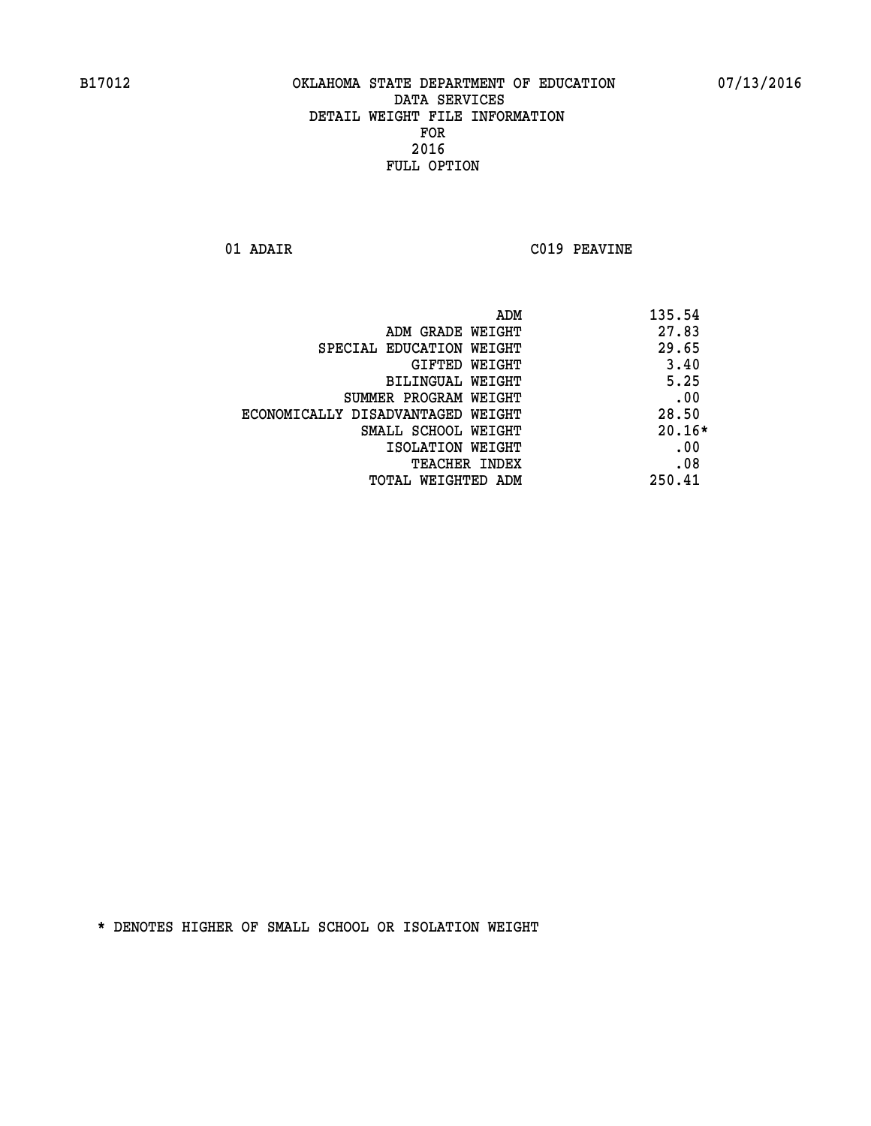**01 ADAIR C019 PEAVINE**

| ADM                               | 135.54   |
|-----------------------------------|----------|
| ADM GRADE WEIGHT                  | 27.83    |
| SPECIAL EDUCATION WEIGHT          | 29.65    |
| <b>GIFTED WEIGHT</b>              | 3.40     |
| BILINGUAL WEIGHT                  | 5.25     |
| SUMMER PROGRAM WEIGHT             | .00      |
| ECONOMICALLY DISADVANTAGED WEIGHT | 28.50    |
| SMALL SCHOOL WEIGHT               | $20.16*$ |
| ISOLATION WEIGHT                  | .00      |
| TEACHER INDEX                     | .08      |
| TOTAL WEIGHTED ADM                | 250.41   |
|                                   |          |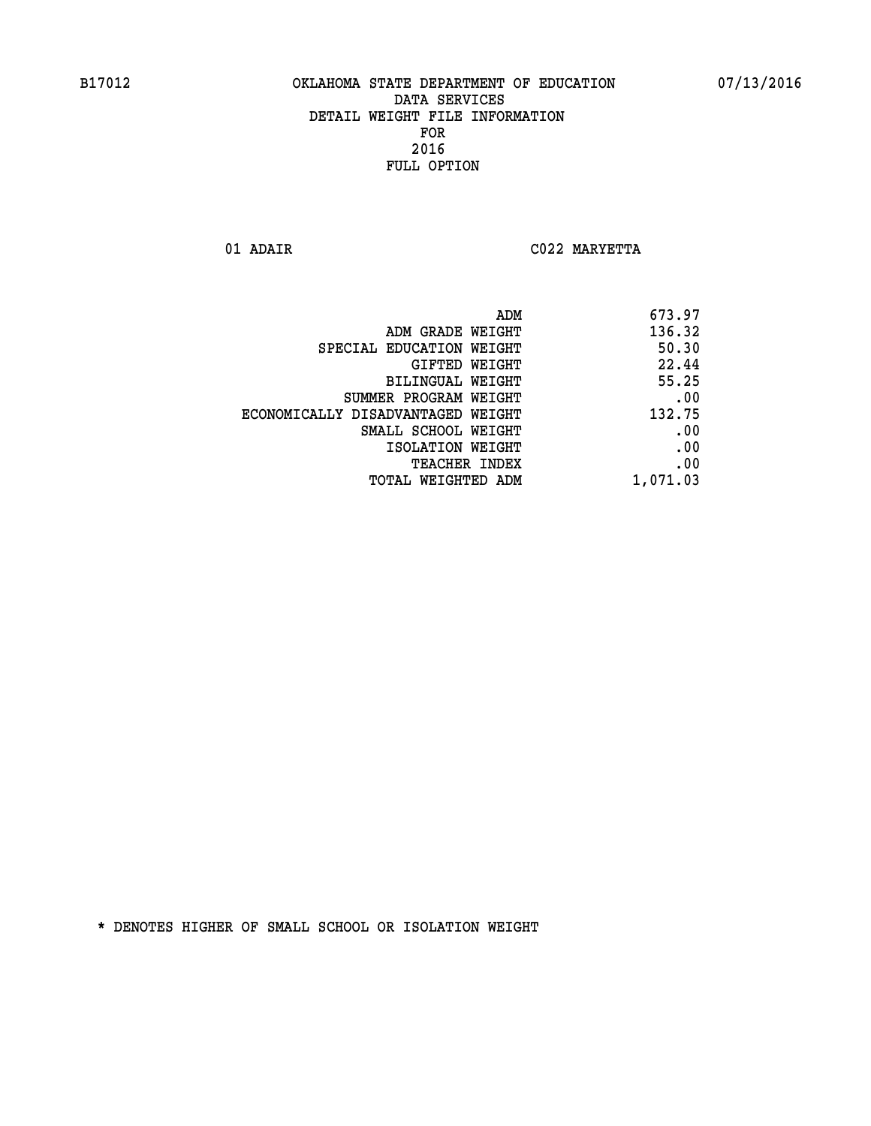**01 ADAIR C022 MARYETTA** 

| 673.97                                      |
|---------------------------------------------|
| 136.32<br>ADM GRADE WEIGHT                  |
| 50.30<br>SPECIAL EDUCATION WEIGHT           |
| 22.44<br>GIFTED WEIGHT                      |
| 55.25<br>BILINGUAL WEIGHT                   |
| .00<br>SUMMER PROGRAM WEIGHT                |
| 132.75<br>ECONOMICALLY DISADVANTAGED WEIGHT |
| .00<br>SMALL SCHOOL WEIGHT                  |
| .00<br>ISOLATION WEIGHT                     |
| .00<br>TEACHER INDEX                        |
| 1,071.03<br>TOTAL WEIGHTED ADM              |
| ADM                                         |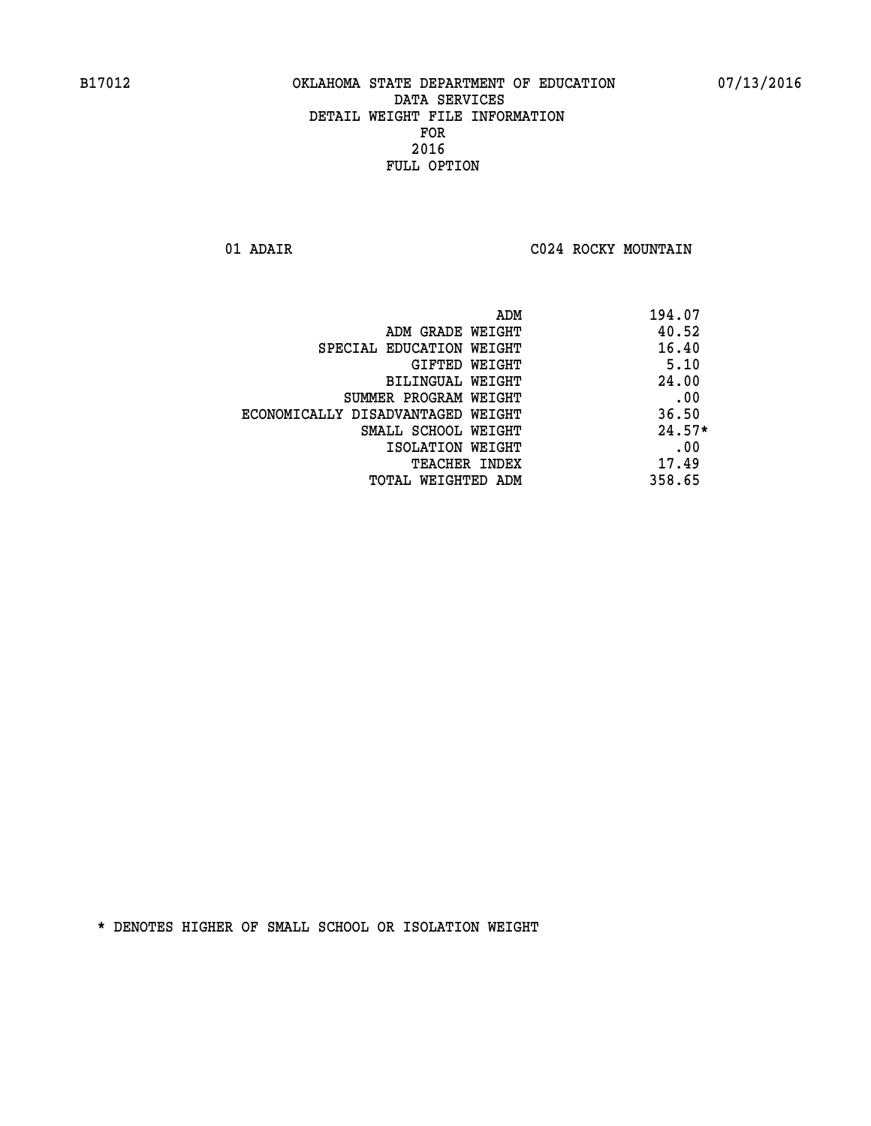**01 ADAIR C024 ROCKY MOUNTAIN** 

| ADM                               | 194.07   |
|-----------------------------------|----------|
| ADM GRADE WEIGHT                  | 40.52    |
| SPECIAL EDUCATION WEIGHT          | 16.40    |
| GIFTED WEIGHT                     | 5.10     |
| BILINGUAL WEIGHT                  | 24.00    |
| SUMMER PROGRAM WEIGHT             | .00      |
| ECONOMICALLY DISADVANTAGED WEIGHT | 36.50    |
| SMALL SCHOOL WEIGHT               | $24.57*$ |
| ISOLATION WEIGHT                  | .00      |
| <b>TEACHER INDEX</b>              | 17.49    |
| TOTAL WEIGHTED ADM                | 358.65   |
|                                   |          |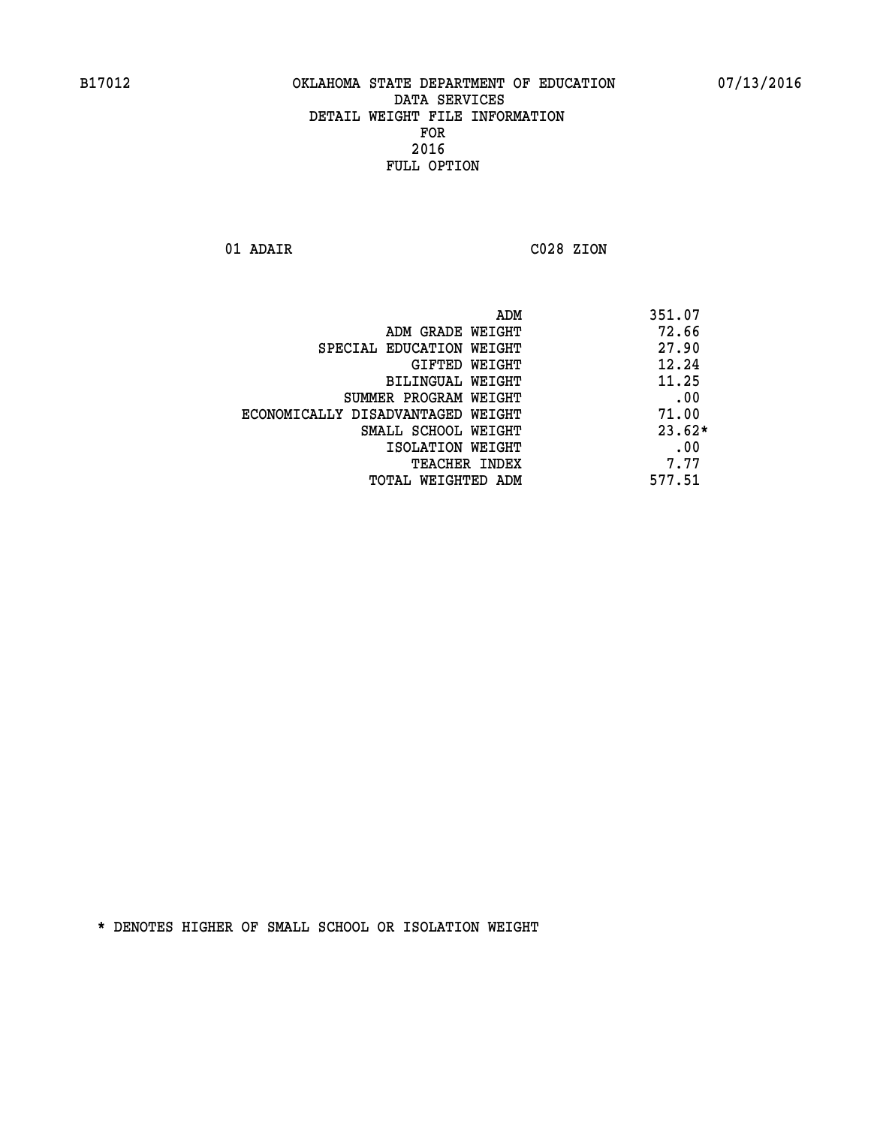**01 ADAIR C028 ZION** 

|                                   | 351.07<br>ADM |
|-----------------------------------|---------------|
| ADM GRADE WEIGHT                  | 72.66         |
| SPECIAL EDUCATION WEIGHT          | 27.90         |
| GIFTED WEIGHT                     | 12.24         |
| BILINGUAL WEIGHT                  | 11.25         |
| SUMMER PROGRAM WEIGHT             | .00           |
| ECONOMICALLY DISADVANTAGED WEIGHT | 71.00         |
| SMALL SCHOOL WEIGHT               | $23.62*$      |
| ISOLATION WEIGHT                  | .00           |
| <b>TEACHER INDEX</b>              | 7.77          |
| TOTAL WEIGHTED ADM                | 577.51        |
|                                   |               |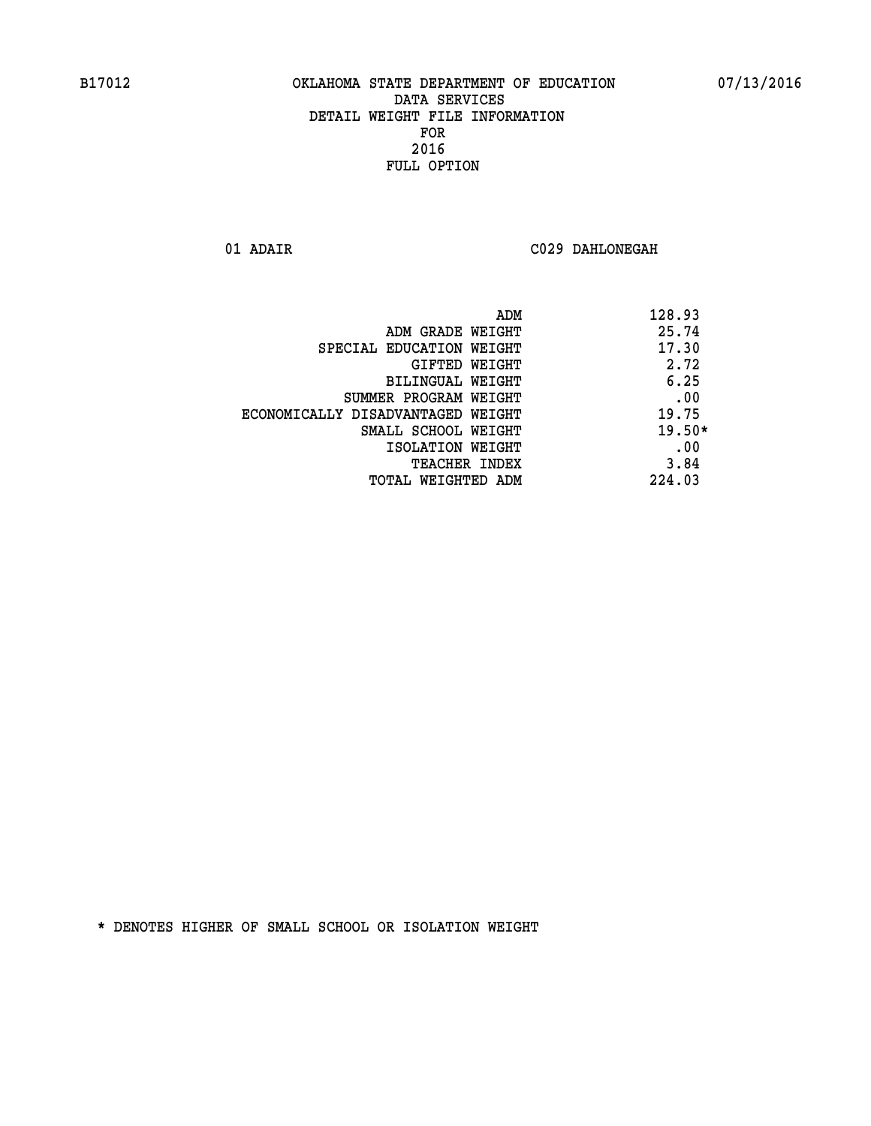**01 ADAIR C029 DAHLONEGAH** 

| ADM                               | 128.93   |
|-----------------------------------|----------|
| ADM GRADE WEIGHT                  | 25.74    |
| SPECIAL EDUCATION WEIGHT          | 17.30    |
| GIFTED WEIGHT                     | 2.72     |
| BILINGUAL WEIGHT                  | 6.25     |
| SUMMER PROGRAM WEIGHT             | .00      |
| ECONOMICALLY DISADVANTAGED WEIGHT | 19.75    |
| SMALL SCHOOL WEIGHT               | $19.50*$ |
| ISOLATION WEIGHT                  | .00      |
| <b>TEACHER INDEX</b>              | 3.84     |
| TOTAL WEIGHTED ADM                | 224.03   |
|                                   |          |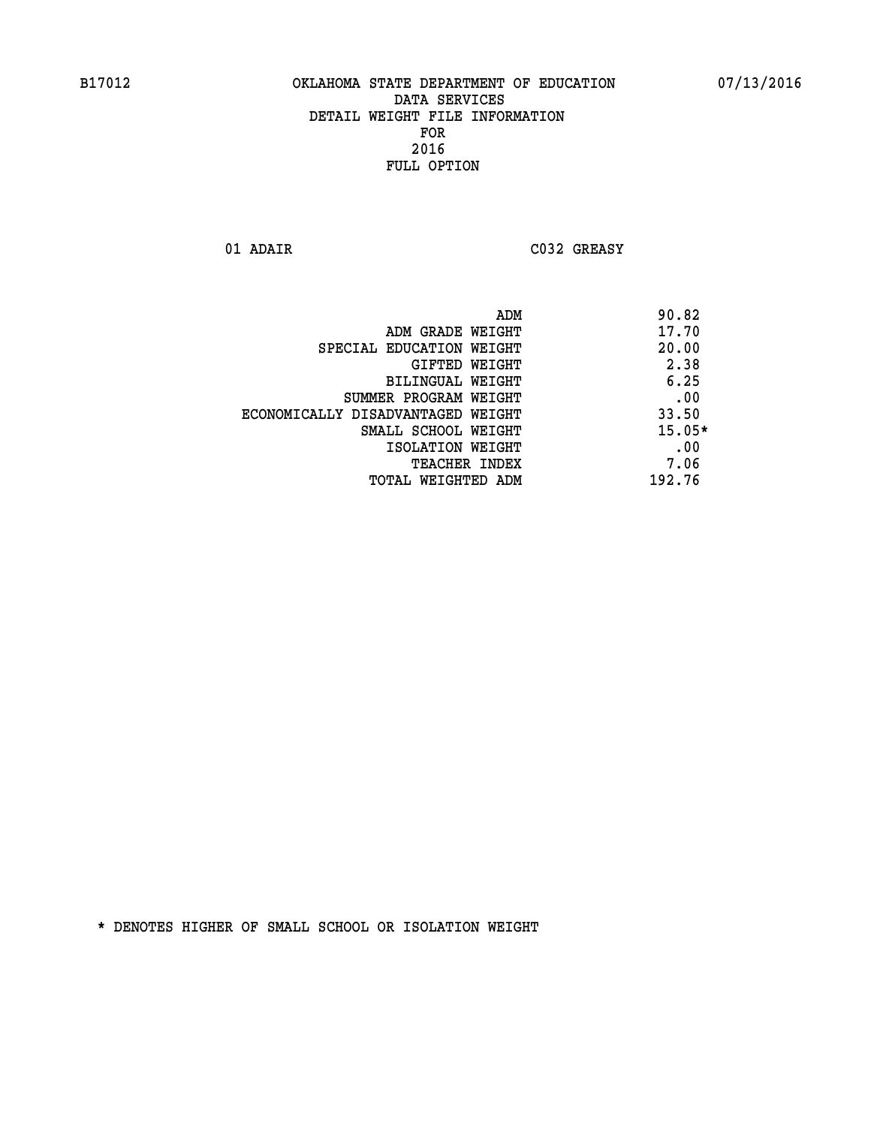**01 ADAIR C032 GREASY** 

|                                   | ADM | 90.82    |
|-----------------------------------|-----|----------|
| ADM GRADE WEIGHT                  |     | 17.70    |
| SPECIAL EDUCATION WEIGHT          |     | 20.00    |
| <b>GIFTED WEIGHT</b>              |     | 2.38     |
| BILINGUAL WEIGHT                  |     | 6.25     |
| SUMMER PROGRAM WEIGHT             |     | .00      |
| ECONOMICALLY DISADVANTAGED WEIGHT |     | 33.50    |
| SMALL SCHOOL WEIGHT               |     | $15.05*$ |
| ISOLATION WEIGHT                  |     | .00      |
| TEACHER INDEX                     |     | 7.06     |
| TOTAL WEIGHTED ADM                |     | 192.76   |
|                                   |     |          |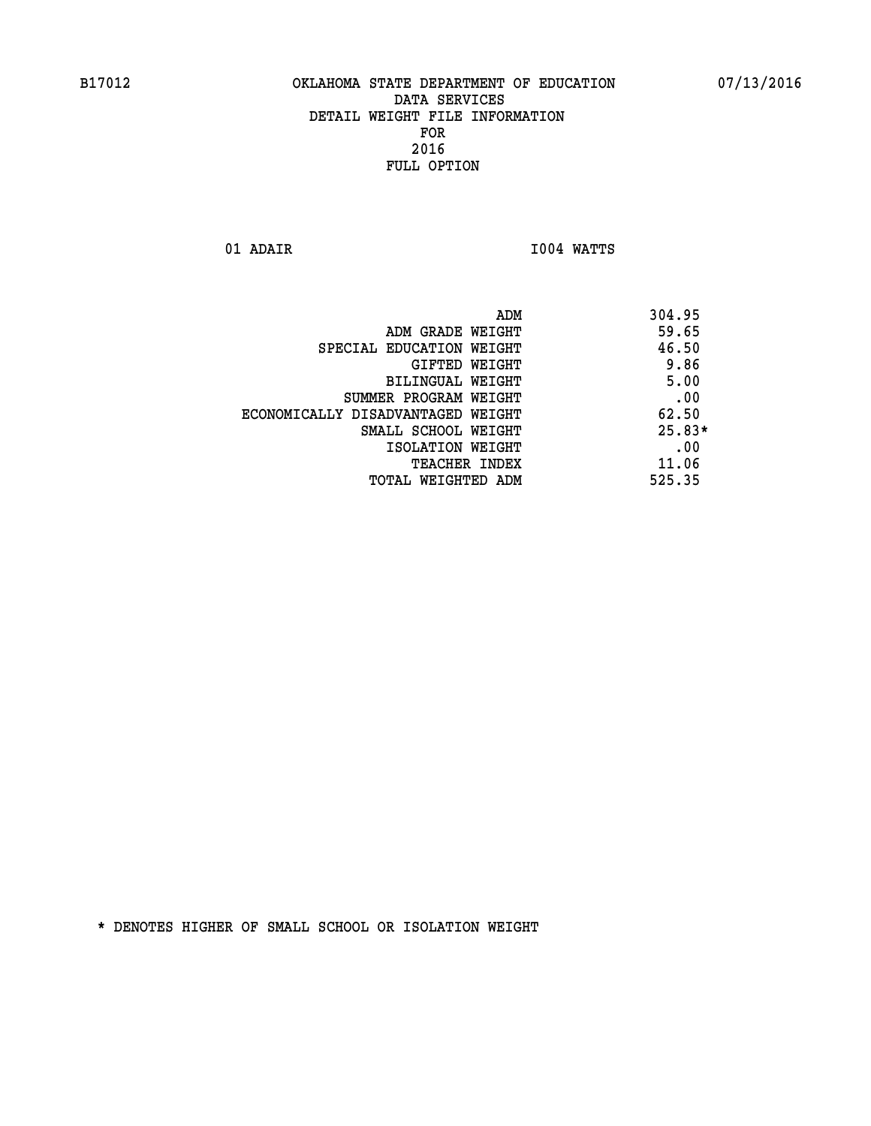**01 ADAIR I004 WATTS** 

|                                   | ADM | 304.95   |
|-----------------------------------|-----|----------|
| ADM GRADE WEIGHT                  |     | 59.65    |
| SPECIAL EDUCATION WEIGHT          |     | 46.50    |
| GIFTED WEIGHT                     |     | 9.86     |
| BILINGUAL WEIGHT                  |     | 5.00     |
| SUMMER PROGRAM WEIGHT             |     | .00      |
| ECONOMICALLY DISADVANTAGED WEIGHT |     | 62.50    |
| SMALL SCHOOL WEIGHT               |     | $25.83*$ |
| ISOLATION WEIGHT                  |     | .00      |
| TEACHER INDEX                     |     | 11.06    |
| TOTAL WEIGHTED ADM                |     | 525.35   |
|                                   |     |          |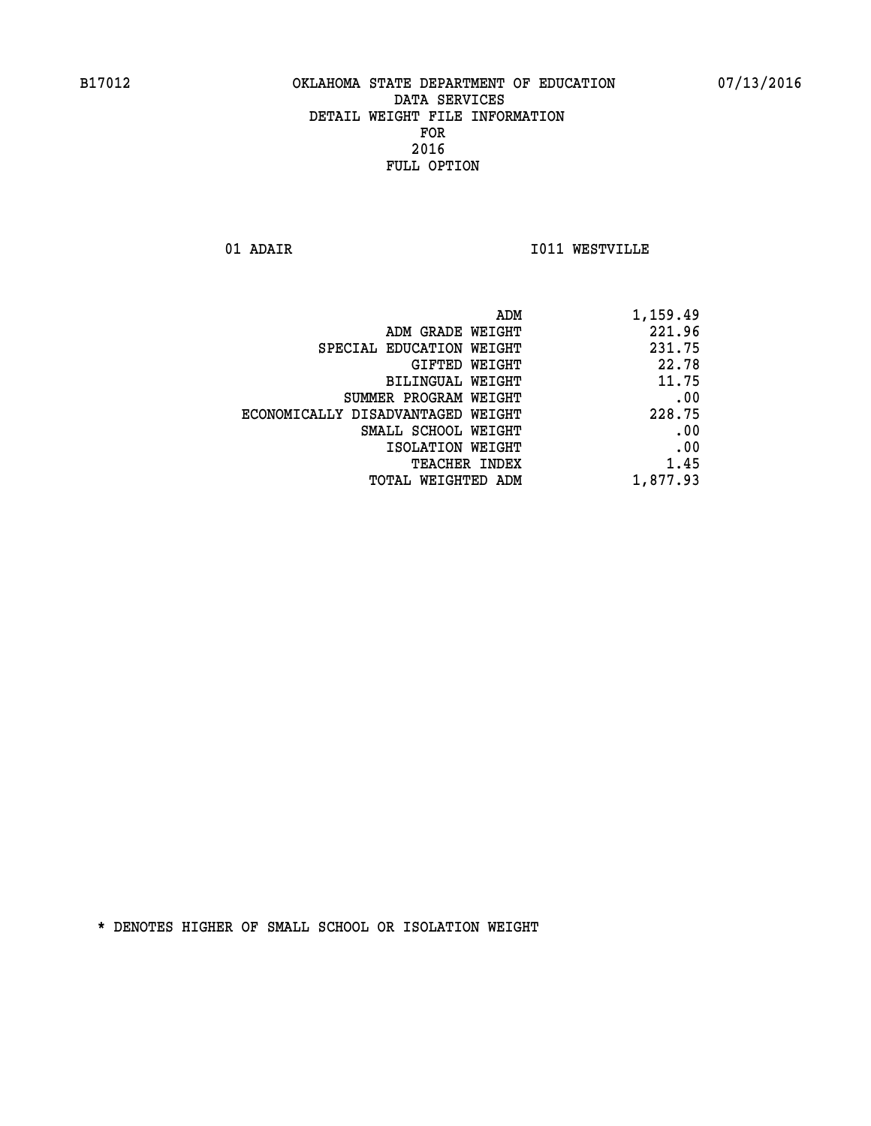**01 ADAIR I011 WESTVILLE** 

| ADM                               | 1,159.49 |
|-----------------------------------|----------|
| ADM GRADE WEIGHT                  | 221.96   |
| SPECIAL EDUCATION WEIGHT          | 231.75   |
| GIFTED WEIGHT                     | 22.78    |
| <b>BILINGUAL WEIGHT</b>           | 11.75    |
| SUMMER PROGRAM WEIGHT             | .00      |
| ECONOMICALLY DISADVANTAGED WEIGHT | 228.75   |
| SMALL SCHOOL WEIGHT               | .00      |
| ISOLATION WEIGHT                  | .00      |
| TEACHER INDEX                     | 1.45     |
| TOTAL WEIGHTED ADM                | 1,877.93 |
|                                   |          |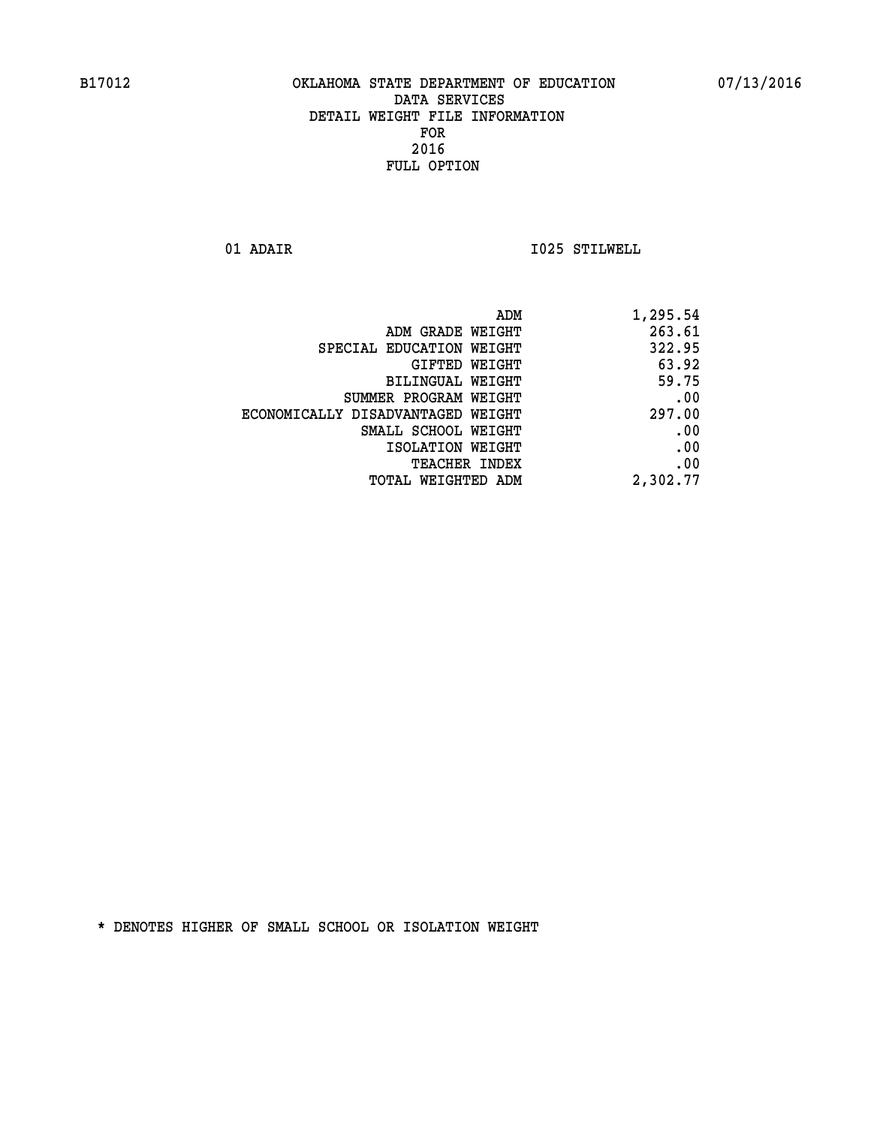**01 ADAIR I025 STILWELL** 

|                                   | 1,295.54<br>ADM |
|-----------------------------------|-----------------|
| ADM GRADE WEIGHT                  | 263.61          |
| SPECIAL EDUCATION WEIGHT          | 322.95          |
| GIFTED WEIGHT                     | 63.92           |
| <b>BILINGUAL WEIGHT</b>           | 59.75           |
| SUMMER PROGRAM WEIGHT             | .00             |
| ECONOMICALLY DISADVANTAGED WEIGHT | 297.00          |
| SMALL SCHOOL WEIGHT               | .00             |
| ISOLATION WEIGHT                  | .00             |
| TEACHER INDEX                     | .00             |
| TOTAL WEIGHTED ADM                | 2,302.77        |
|                                   |                 |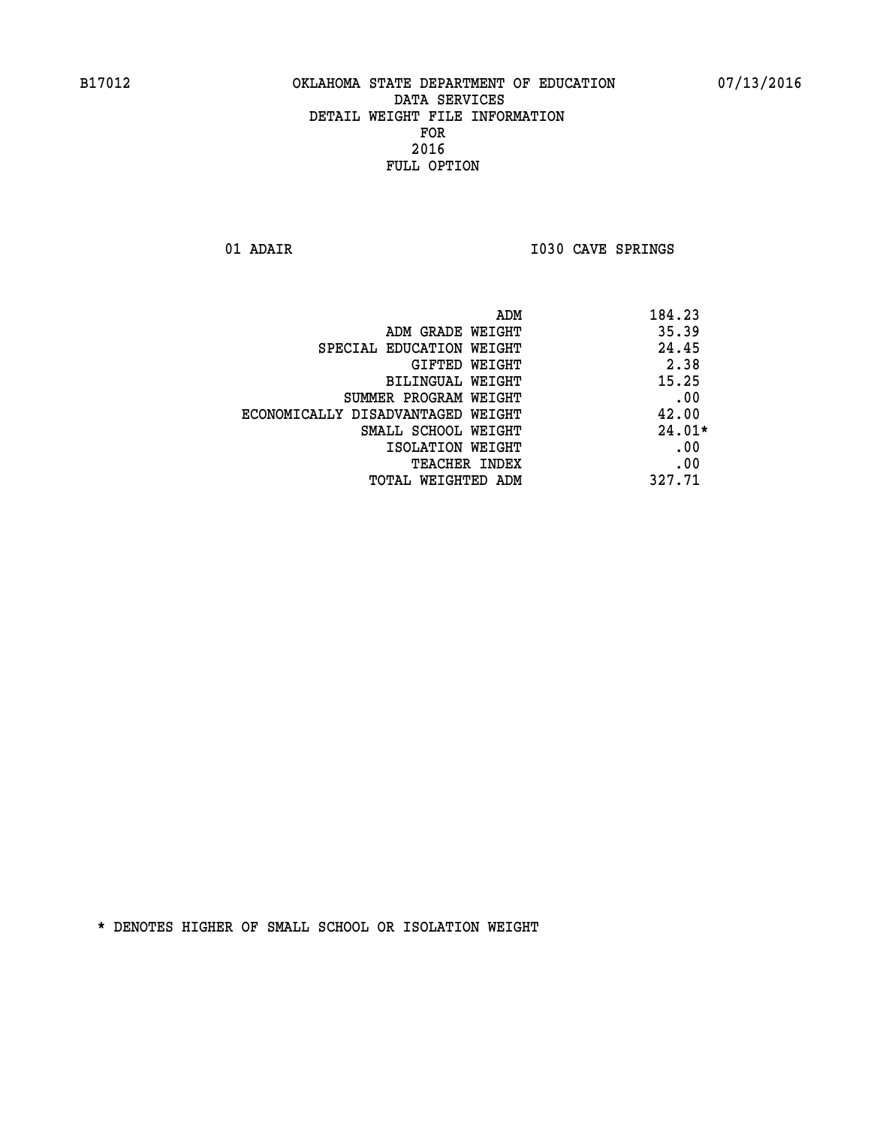**01 ADAIR I030 CAVE SPRINGS** 

|                                   | 184.23<br>ADM |
|-----------------------------------|---------------|
| ADM GRADE WEIGHT                  | 35.39         |
| SPECIAL EDUCATION WEIGHT          | 24.45         |
| GIFTED WEIGHT                     | 2.38          |
| BILINGUAL WEIGHT                  | 15.25         |
| SUMMER PROGRAM WEIGHT             | .00           |
| ECONOMICALLY DISADVANTAGED WEIGHT | 42.00         |
| SMALL SCHOOL WEIGHT               | $24.01*$      |
| ISOLATION WEIGHT                  | .00           |
| <b>TEACHER INDEX</b>              | .00           |
| TOTAL WEIGHTED ADM                | 327.71        |
|                                   |               |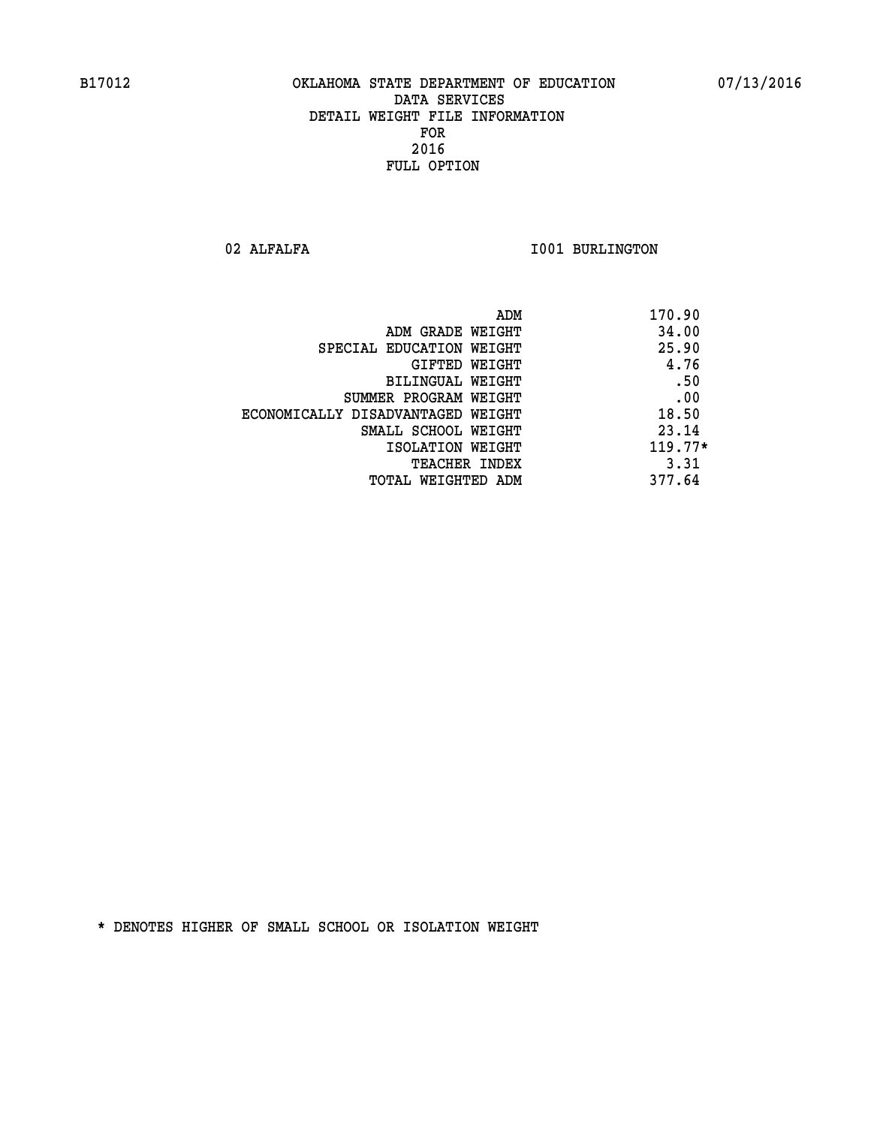02 ALFALFA **I001 BURLINGTON** 

| 170.90<br>ADM |                                   |
|---------------|-----------------------------------|
| 34.00         | ADM GRADE WEIGHT                  |
| 25.90         | SPECIAL EDUCATION WEIGHT          |
| 4.76          | GIFTED WEIGHT                     |
| .50           | BILINGUAL WEIGHT                  |
| .00           | SUMMER PROGRAM WEIGHT             |
| 18.50         | ECONOMICALLY DISADVANTAGED WEIGHT |
| 23.14         | SMALL SCHOOL WEIGHT               |
| $119.77*$     | ISOLATION WEIGHT                  |
| 3.31          | <b>TEACHER INDEX</b>              |
| 377.64        | TOTAL WEIGHTED ADM                |
|               |                                   |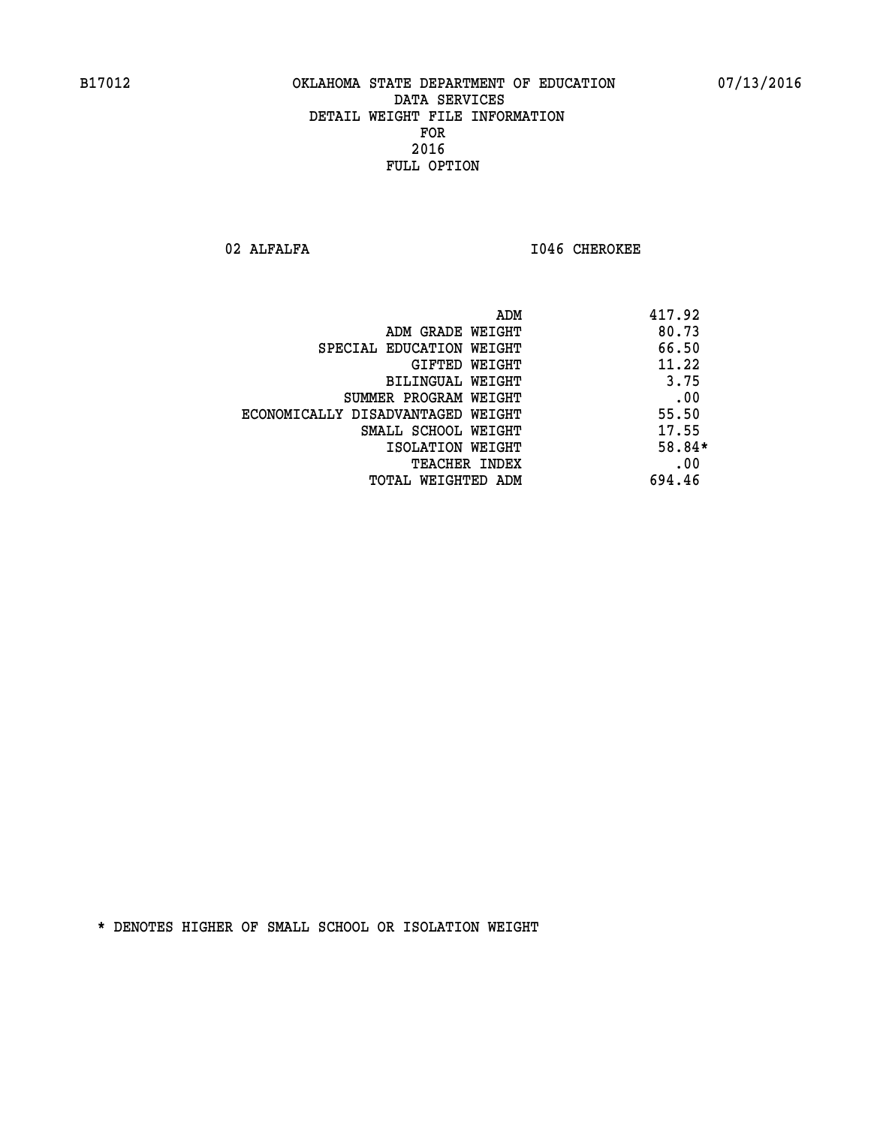02 ALFALFA **I046 CHEROKEE** 

|                                   | 417.92<br>ADM |
|-----------------------------------|---------------|
| ADM GRADE WEIGHT                  | 80.73         |
| SPECIAL EDUCATION WEIGHT          | 66.50         |
| GIFTED WEIGHT                     | 11.22         |
| BILINGUAL WEIGHT                  | 3.75          |
| SUMMER PROGRAM WEIGHT             | .00           |
| ECONOMICALLY DISADVANTAGED WEIGHT | 55.50         |
| SMALL SCHOOL WEIGHT               | 17.55         |
| ISOLATION WEIGHT                  | 58.84*        |
| <b>TEACHER INDEX</b>              | .00           |
| TOTAL WEIGHTED ADM                | 694.46        |
|                                   |               |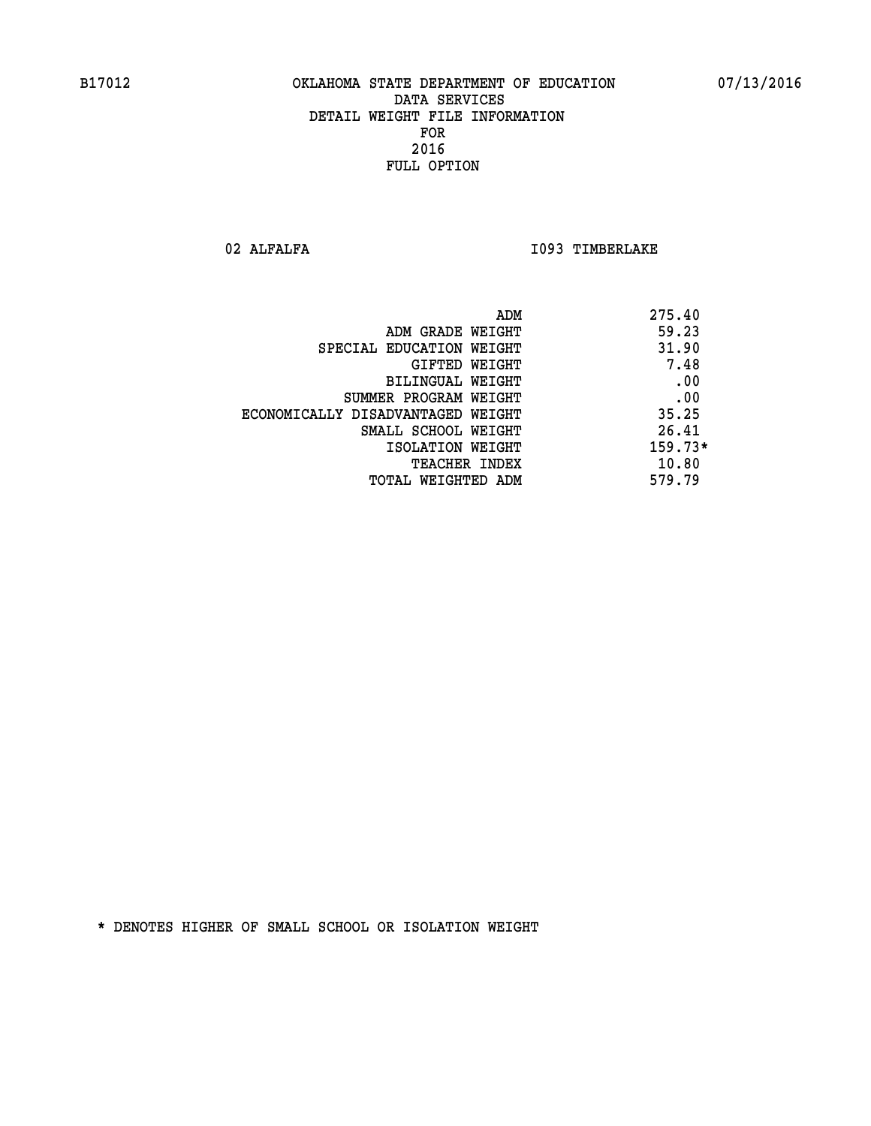02 ALFALFA **I093 TIMBERLAKE** 

| 275.40    | ADM                               |
|-----------|-----------------------------------|
| 59.23     | ADM GRADE WEIGHT                  |
| 31.90     | SPECIAL EDUCATION WEIGHT          |
| 7.48      | GIFTED WEIGHT                     |
| .00       | BILINGUAL WEIGHT                  |
| .00       | SUMMER PROGRAM WEIGHT             |
| 35.25     | ECONOMICALLY DISADVANTAGED WEIGHT |
| 26.41     | SMALL SCHOOL WEIGHT               |
| $159.73*$ | ISOLATION WEIGHT                  |
| 10.80     | <b>TEACHER INDEX</b>              |
| 579.79    | TOTAL WEIGHTED ADM                |
|           |                                   |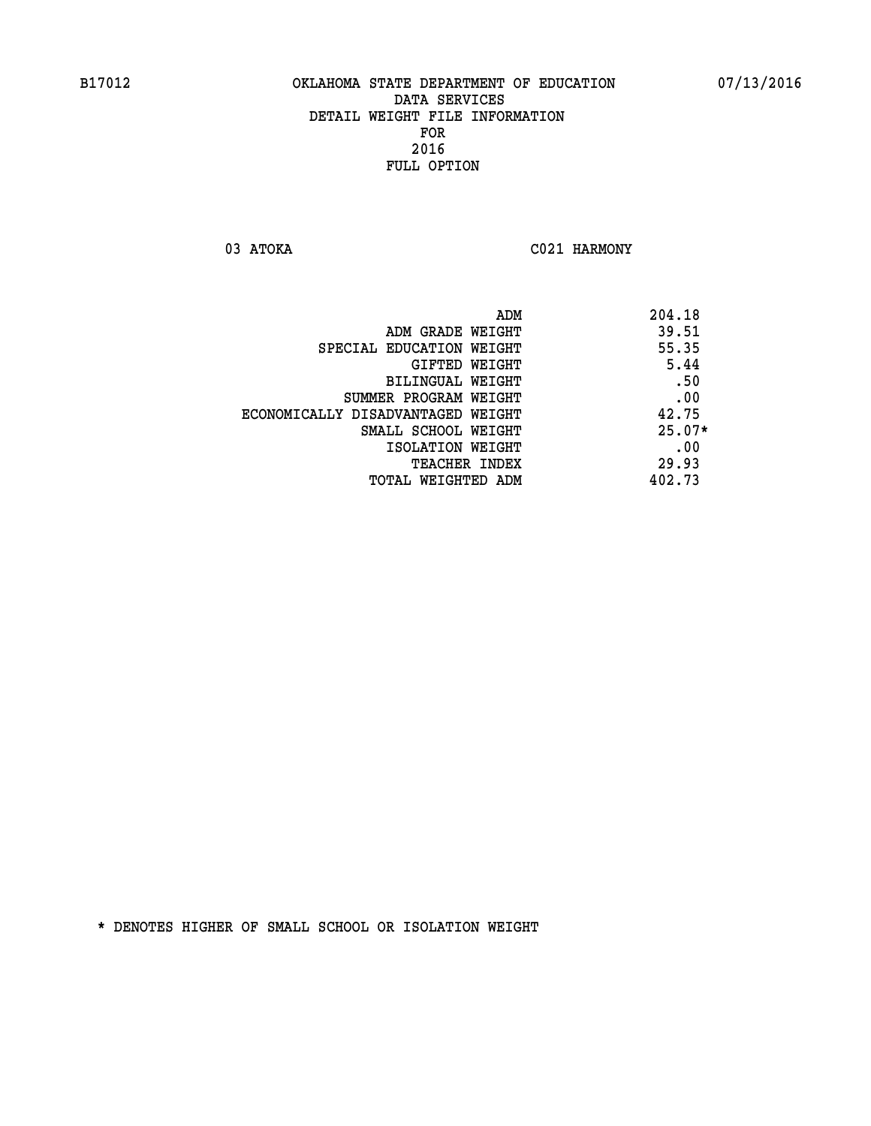03 ATOKA C021 HARMONY

|                                   | ADM | 204.18   |
|-----------------------------------|-----|----------|
| ADM GRADE WEIGHT                  |     | 39.51    |
| SPECIAL EDUCATION WEIGHT          |     | 55.35    |
| GIFTED WEIGHT                     |     | 5.44     |
| BILINGUAL WEIGHT                  |     | .50      |
| SUMMER PROGRAM WEIGHT             |     | .00      |
| ECONOMICALLY DISADVANTAGED WEIGHT |     | 42.75    |
| SMALL SCHOOL WEIGHT               |     | $25.07*$ |
| ISOLATION WEIGHT                  |     | .00      |
| TEACHER INDEX                     |     | 29.93    |
| TOTAL WEIGHTED ADM                |     | 402.73   |
|                                   |     |          |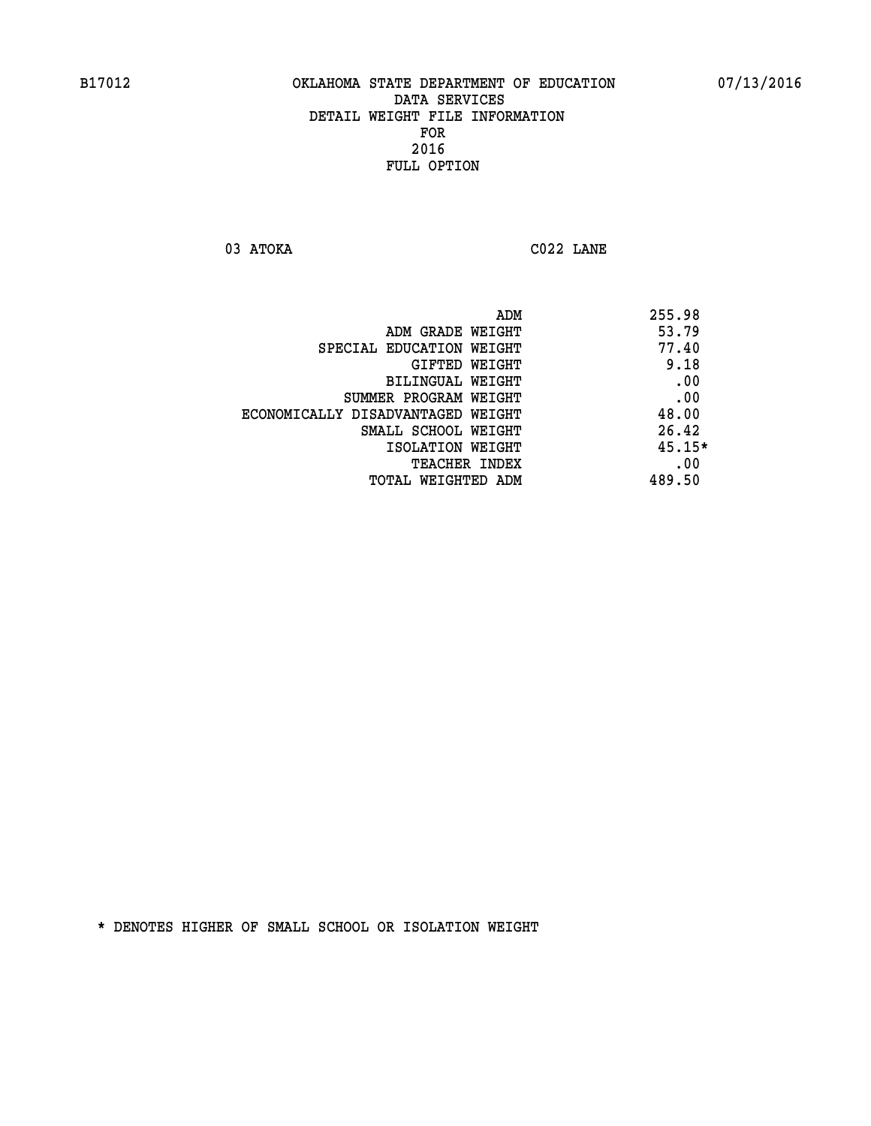**03 ATOKA C022 LANE** 

|                                   | 255.98<br>ADM |
|-----------------------------------|---------------|
| ADM GRADE WEIGHT                  | 53.79         |
| SPECIAL EDUCATION WEIGHT          | 77.40         |
| GIFTED WEIGHT                     | 9.18          |
| BILINGUAL WEIGHT                  | .00           |
| SUMMER PROGRAM WEIGHT             | .00           |
| ECONOMICALLY DISADVANTAGED WEIGHT | 48.00         |
| SMALL SCHOOL WEIGHT               | 26.42         |
| ISOLATION WEIGHT                  | $45.15*$      |
| TEACHER INDEX                     | .00           |
| TOTAL WEIGHTED ADM                | 489.50        |
|                                   |               |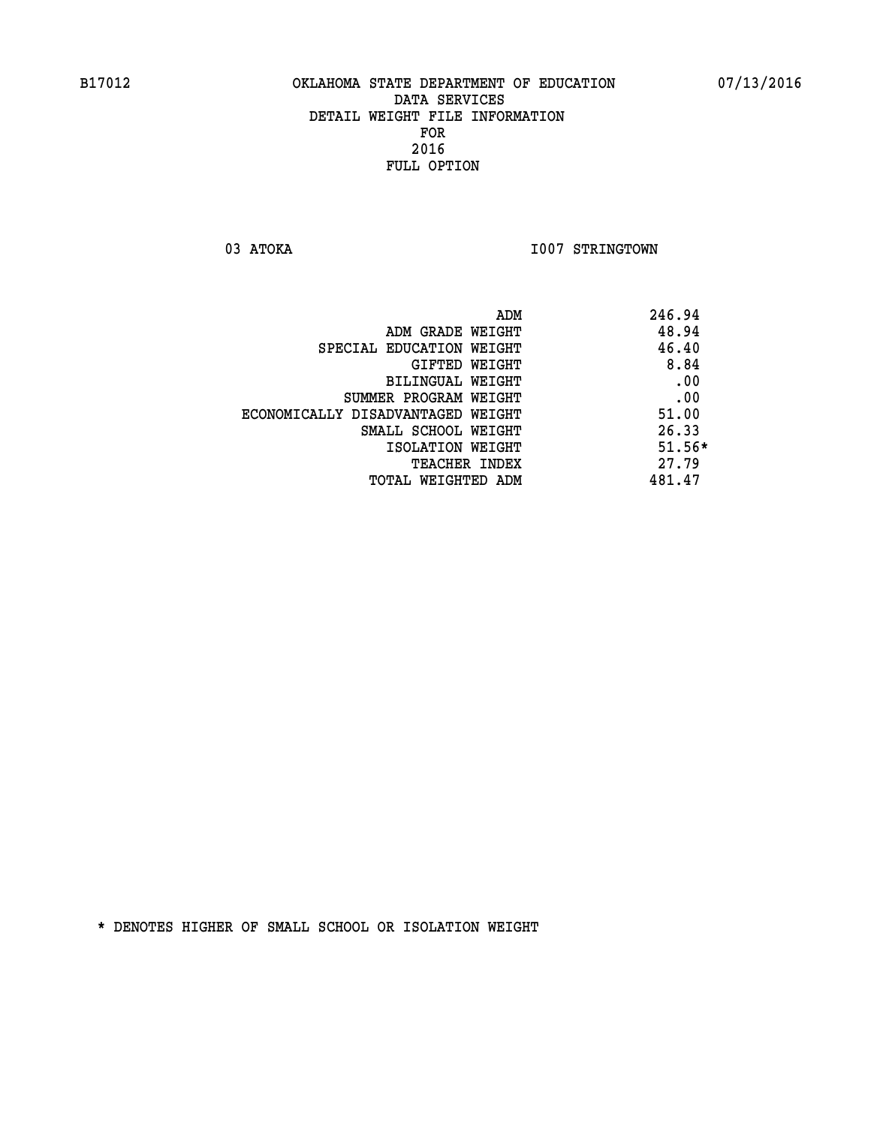03 ATOKA **I007 STRINGTOWN** 

| 246.94<br>ADM                |                                   |
|------------------------------|-----------------------------------|
| 48.94<br>ADM GRADE WEIGHT    |                                   |
| 46.40                        | SPECIAL EDUCATION WEIGHT          |
| 8.84<br>GIFTED WEIGHT        |                                   |
| .00<br>BILINGUAL WEIGHT      |                                   |
| .00<br>SUMMER PROGRAM WEIGHT |                                   |
| 51.00                        | ECONOMICALLY DISADVANTAGED WEIGHT |
| 26.33<br>SMALL SCHOOL WEIGHT |                                   |
| $51.56*$<br>ISOLATION WEIGHT |                                   |
| 27.79<br>TEACHER INDEX       |                                   |
| 481.47<br>TOTAL WEIGHTED ADM |                                   |
|                              |                                   |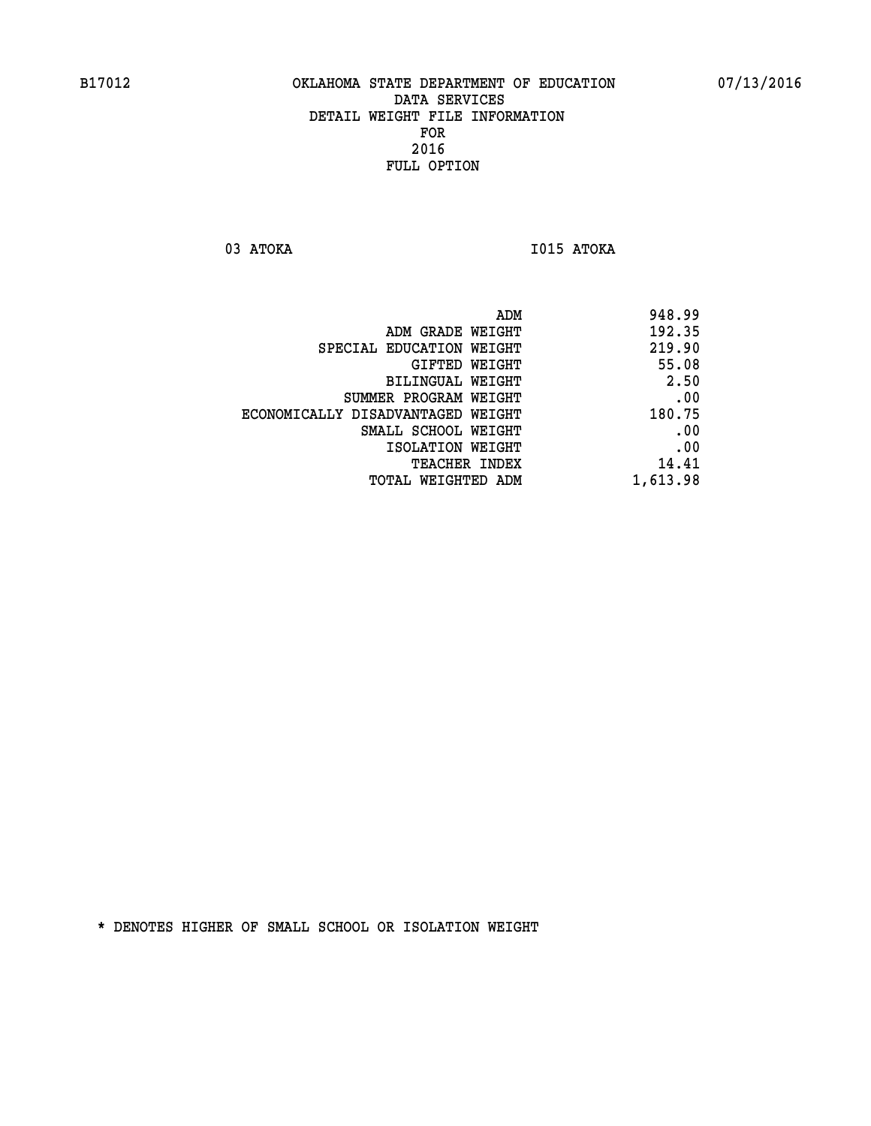**03 ATOKA I015 ATOKA** 

| 948.99<br>ADM                               |
|---------------------------------------------|
| 192.35<br>ADM GRADE WEIGHT                  |
| 219.90<br>SPECIAL EDUCATION WEIGHT          |
| 55.08<br>GIFTED WEIGHT                      |
| 2.50<br>BILINGUAL WEIGHT                    |
| .00<br>SUMMER PROGRAM WEIGHT                |
| 180.75<br>ECONOMICALLY DISADVANTAGED WEIGHT |
| .00<br>SMALL SCHOOL WEIGHT                  |
| .00<br>ISOLATION WEIGHT                     |
| 14.41<br><b>TEACHER INDEX</b>               |
| 1,613.98<br>TOTAL WEIGHTED ADM              |
|                                             |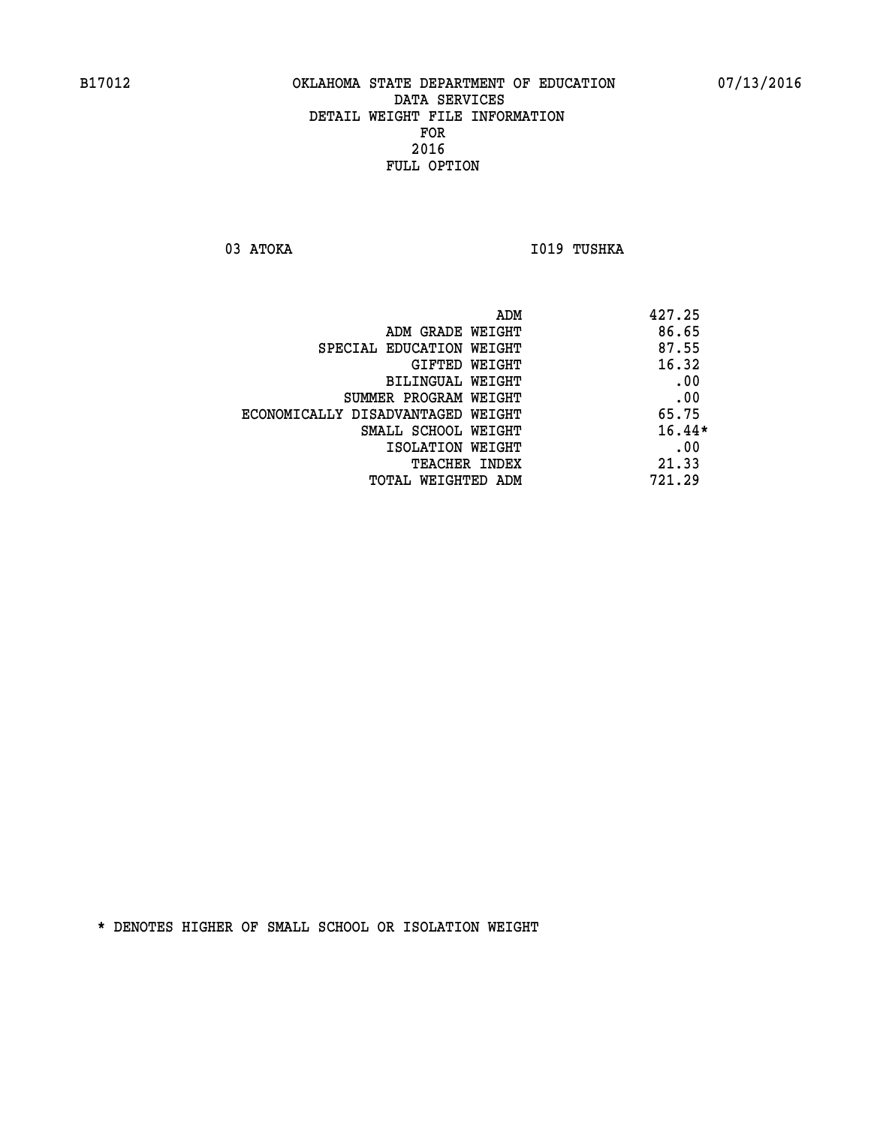03 ATOKA **I019 TUSHKA** 

|                                   | ADM | 427.25   |
|-----------------------------------|-----|----------|
| ADM GRADE WEIGHT                  |     | 86.65    |
| SPECIAL EDUCATION WEIGHT          |     | 87.55    |
| GIFTED WEIGHT                     |     | 16.32    |
| BILINGUAL WEIGHT                  |     | .00      |
| SUMMER PROGRAM WEIGHT             |     | .00      |
| ECONOMICALLY DISADVANTAGED WEIGHT |     | 65.75    |
| SMALL SCHOOL WEIGHT               |     | $16.44*$ |
| ISOLATION WEIGHT                  |     | .00      |
| TEACHER INDEX                     |     | 21.33    |
| TOTAL WEIGHTED ADM                |     | 721.29   |
|                                   |     |          |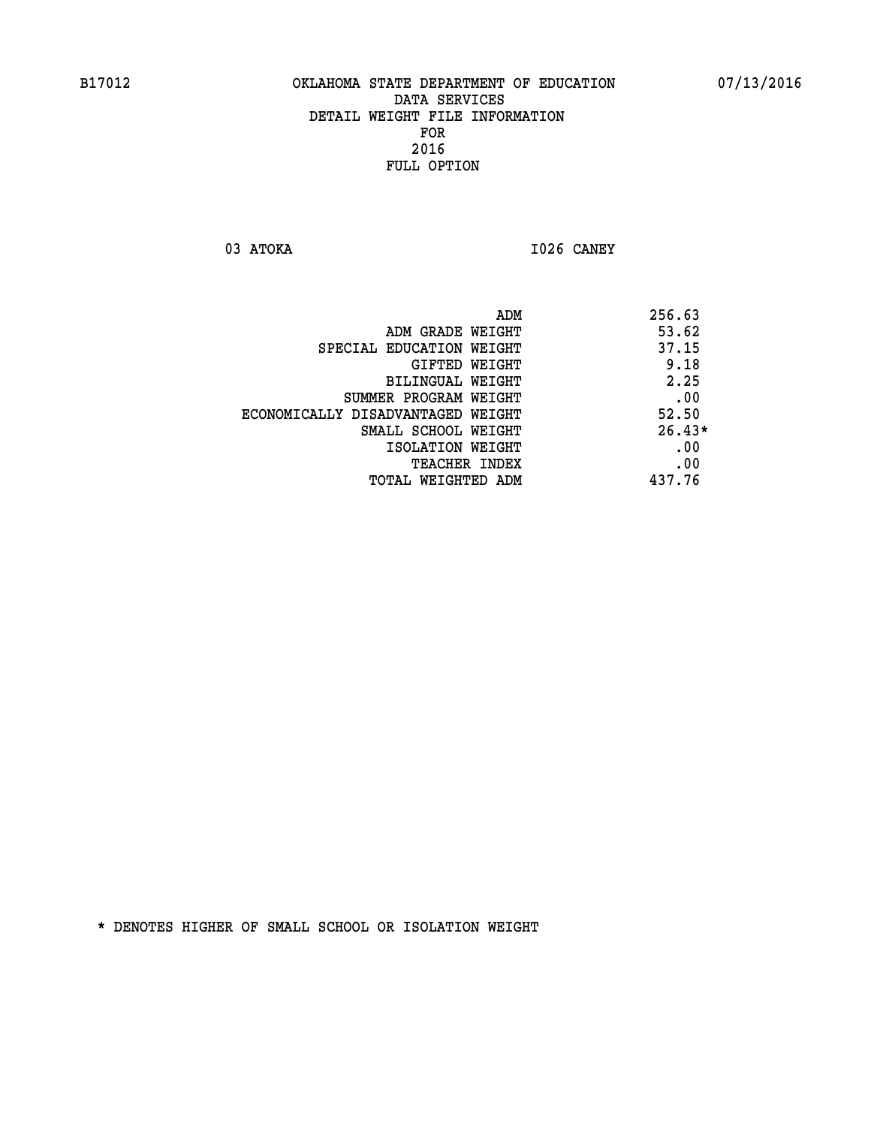**03 ATOKA I026 CANEY** 

|                                   | ADM | 256.63   |
|-----------------------------------|-----|----------|
| ADM GRADE WEIGHT                  |     | 53.62    |
| SPECIAL EDUCATION WEIGHT          |     | 37.15    |
| <b>GIFTED WEIGHT</b>              |     | 9.18     |
| BILINGUAL WEIGHT                  |     | 2.25     |
| SUMMER PROGRAM WEIGHT             |     | .00      |
| ECONOMICALLY DISADVANTAGED WEIGHT |     | 52.50    |
| SMALL SCHOOL WEIGHT               |     | $26.43*$ |
| ISOLATION WEIGHT                  |     | .00      |
| TEACHER INDEX                     |     | .00      |
| TOTAL WEIGHTED ADM                |     | 437.76   |
|                                   |     |          |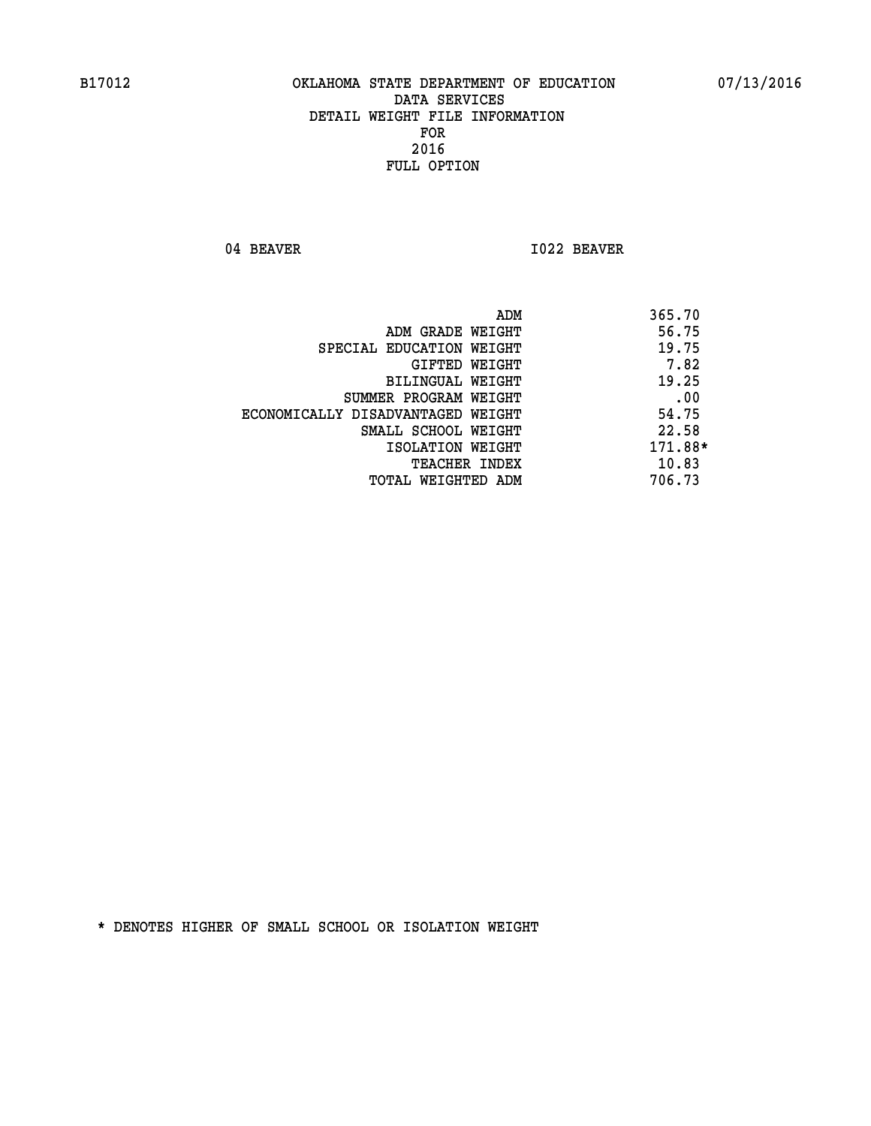04 BEAVER 1022 BEAVER

|                                   | ADM | 365.70  |
|-----------------------------------|-----|---------|
| ADM GRADE WEIGHT                  |     | 56.75   |
| SPECIAL EDUCATION WEIGHT          |     | 19.75   |
| GIFTED WEIGHT                     |     | 7.82    |
| BILINGUAL WEIGHT                  |     | 19.25   |
| SUMMER PROGRAM WEIGHT             |     | .00     |
| ECONOMICALLY DISADVANTAGED WEIGHT |     | 54.75   |
| SMALL SCHOOL WEIGHT               |     | 22.58   |
| ISOLATION WEIGHT                  |     | 171.88* |
| TEACHER INDEX                     |     | 10.83   |
| TOTAL WEIGHTED ADM                |     | 706.73  |
|                                   |     |         |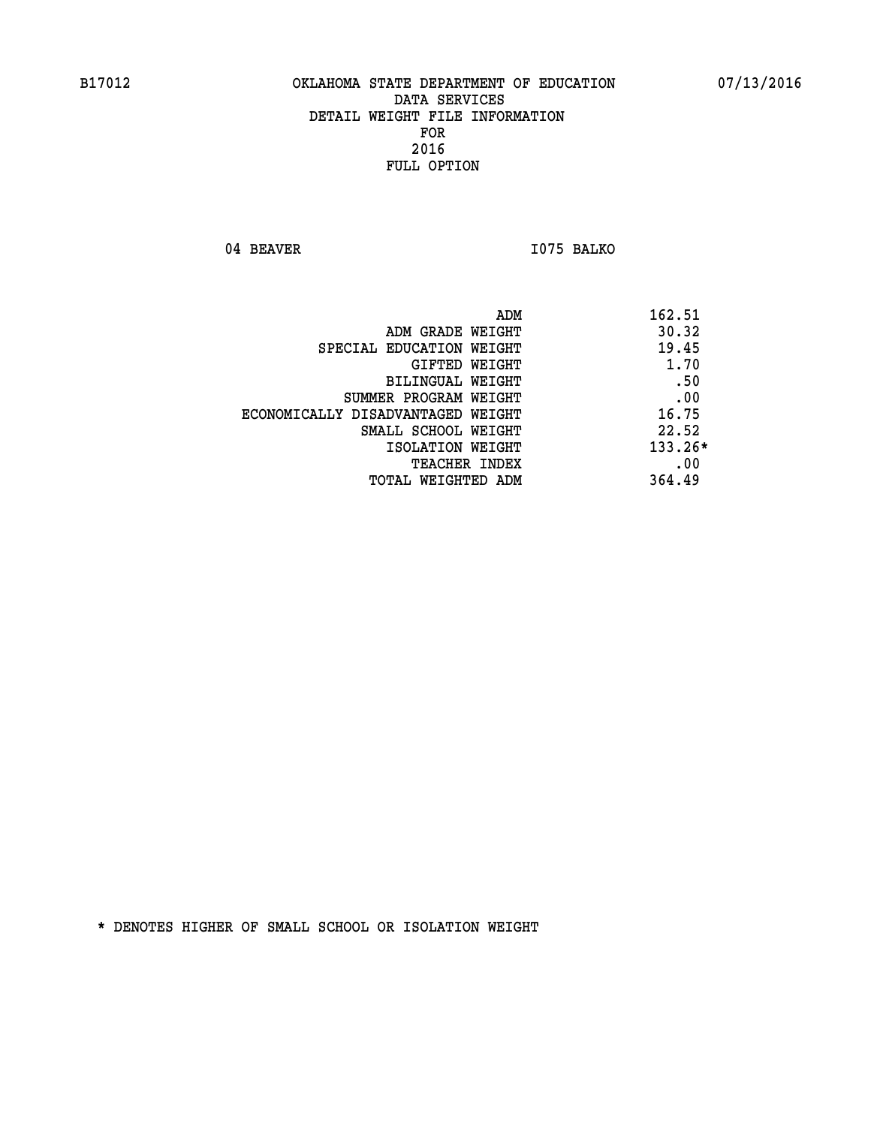04 BEAVER 1075 BALKO

| ADM                               | 162.51    |
|-----------------------------------|-----------|
| ADM GRADE WEIGHT                  | 30.32     |
| SPECIAL EDUCATION WEIGHT          | 19.45     |
| GIFTED WEIGHT                     | 1.70      |
| BILINGUAL WEIGHT                  | .50       |
| SUMMER PROGRAM WEIGHT             | .00       |
| ECONOMICALLY DISADVANTAGED WEIGHT | 16.75     |
| SMALL SCHOOL WEIGHT               | 22.52     |
| ISOLATION WEIGHT                  | $133.26*$ |
| TEACHER INDEX                     | .00       |
| TOTAL WEIGHTED ADM                | 364.49    |
|                                   |           |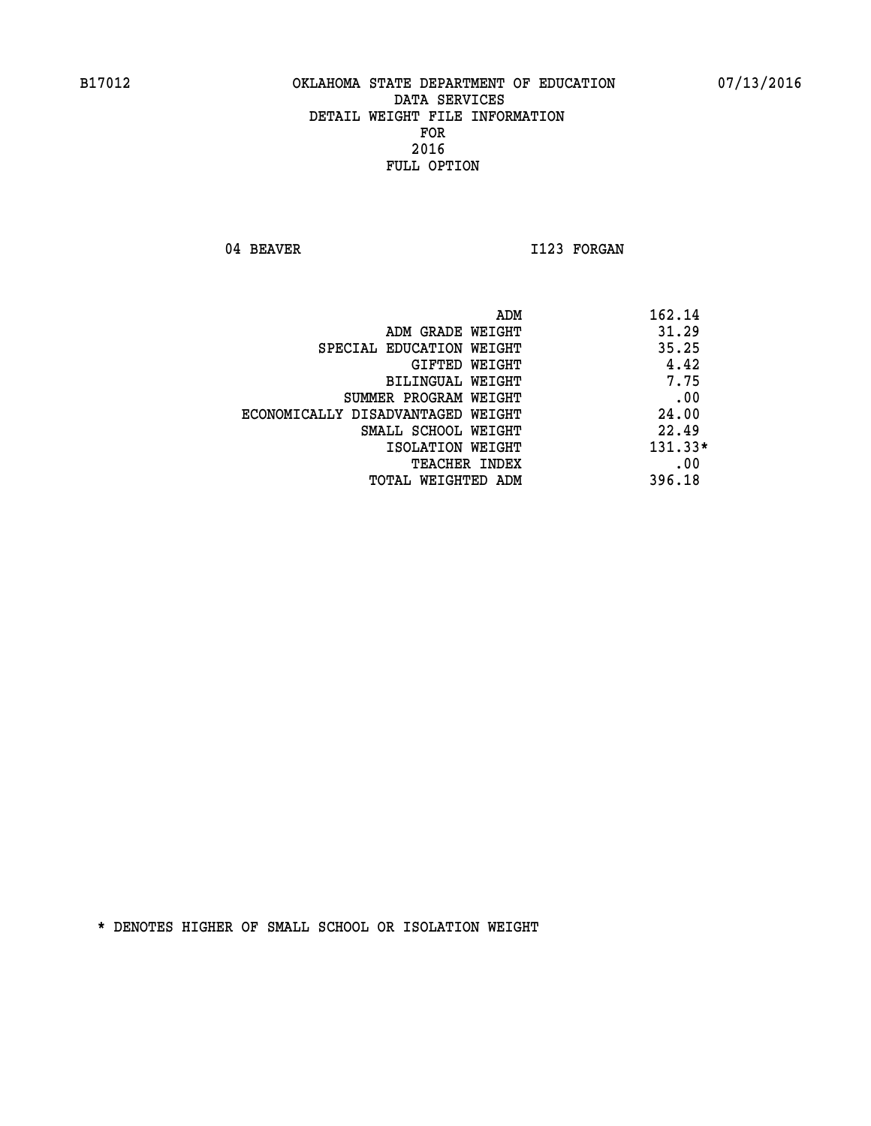04 BEAVER 1123 FORGAN

|                                   | ADM | 162.14    |
|-----------------------------------|-----|-----------|
| ADM GRADE WEIGHT                  |     | 31.29     |
| SPECIAL EDUCATION WEIGHT          |     | 35.25     |
| GIFTED WEIGHT                     |     | 4.42      |
| BILINGUAL WEIGHT                  |     | 7.75      |
| SUMMER PROGRAM WEIGHT             |     | .00       |
| ECONOMICALLY DISADVANTAGED WEIGHT |     | 24.00     |
| SMALL SCHOOL WEIGHT               |     | 22.49     |
| ISOLATION WEIGHT                  |     | $131.33*$ |
| TEACHER INDEX                     |     | .00       |
| TOTAL WEIGHTED ADM                |     | 396.18    |
|                                   |     |           |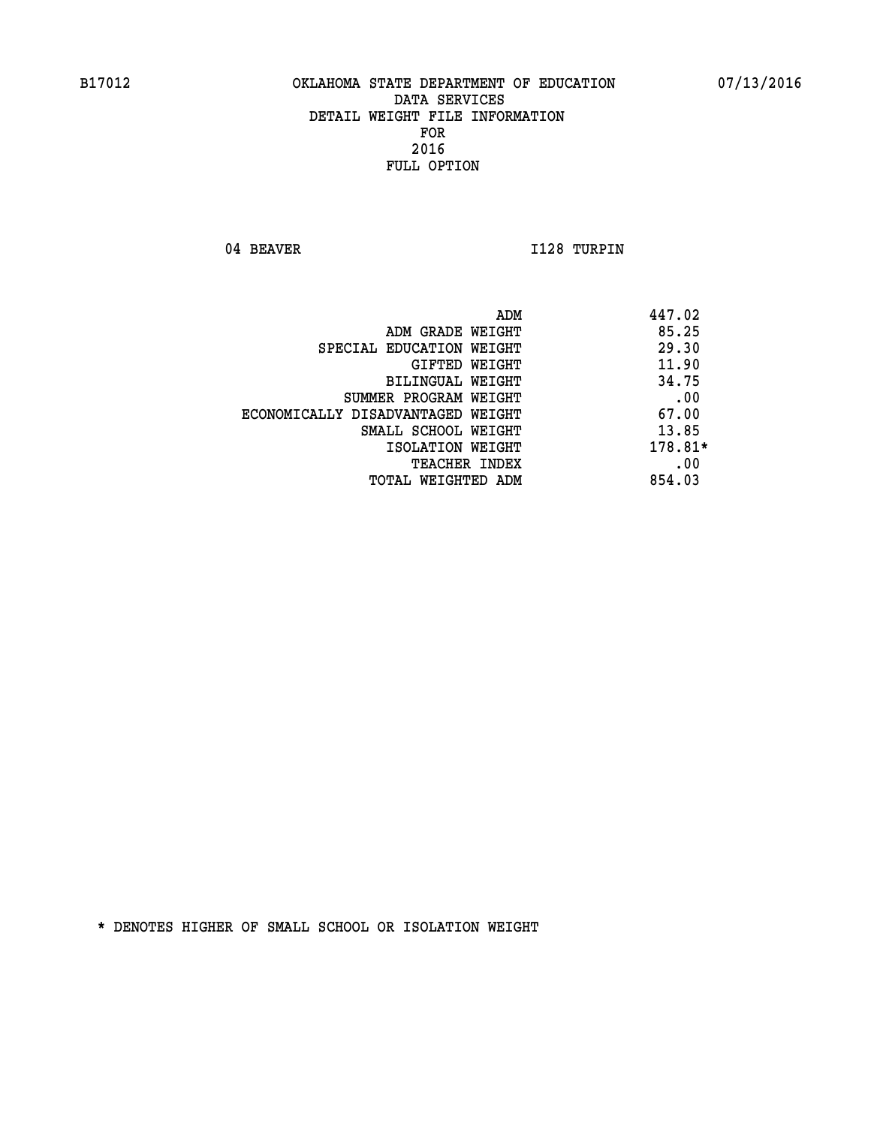04 BEAVER 1128 TURPIN

| ADM<br>447.02               |                                   |
|-----------------------------|-----------------------------------|
| 85.25                       | ADM GRADE WEIGHT                  |
| 29.30                       | SPECIAL EDUCATION WEIGHT          |
| 11.90<br>GIFTED WEIGHT      |                                   |
| 34.75                       | BILINGUAL WEIGHT                  |
| .00                         | SUMMER PROGRAM WEIGHT             |
| 67.00                       | ECONOMICALLY DISADVANTAGED WEIGHT |
| 13.85                       | SMALL SCHOOL WEIGHT               |
| 178.81*                     | ISOLATION WEIGHT                  |
| .00<br><b>TEACHER INDEX</b> |                                   |
| 854.03                      | TOTAL WEIGHTED ADM                |
|                             |                                   |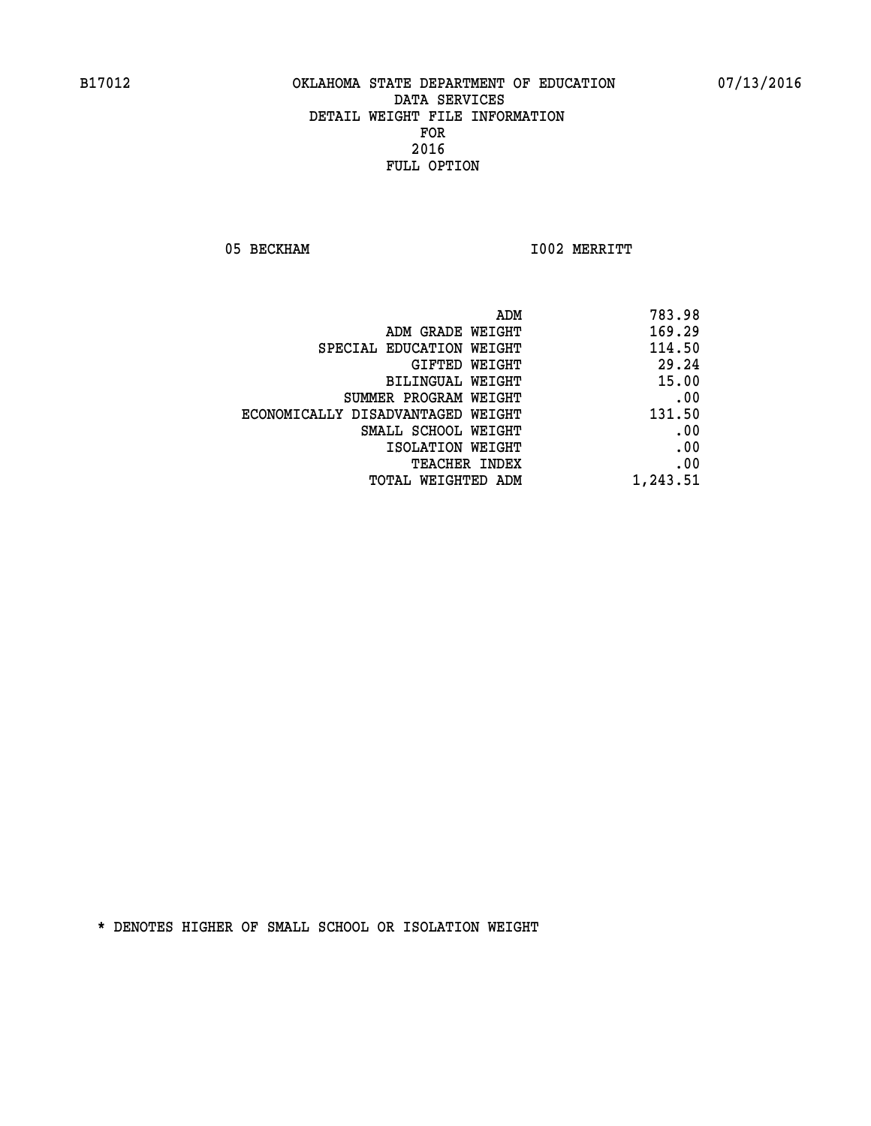05 BECKHAM 1002 MERRITT

|                                   | ADM<br>783.98 |
|-----------------------------------|---------------|
| ADM GRADE WEIGHT                  | 169.29        |
| SPECIAL EDUCATION WEIGHT          | 114.50        |
| <b>GIFTED WEIGHT</b>              | 29.24         |
| <b>BILINGUAL WEIGHT</b>           | 15.00         |
| SUMMER PROGRAM WEIGHT             | .00           |
| ECONOMICALLY DISADVANTAGED WEIGHT | 131.50        |
| SMALL SCHOOL WEIGHT               | .00           |
| ISOLATION WEIGHT                  | .00           |
| TEACHER INDEX                     | .00           |
| TOTAL WEIGHTED ADM                | 1,243.51      |
|                                   |               |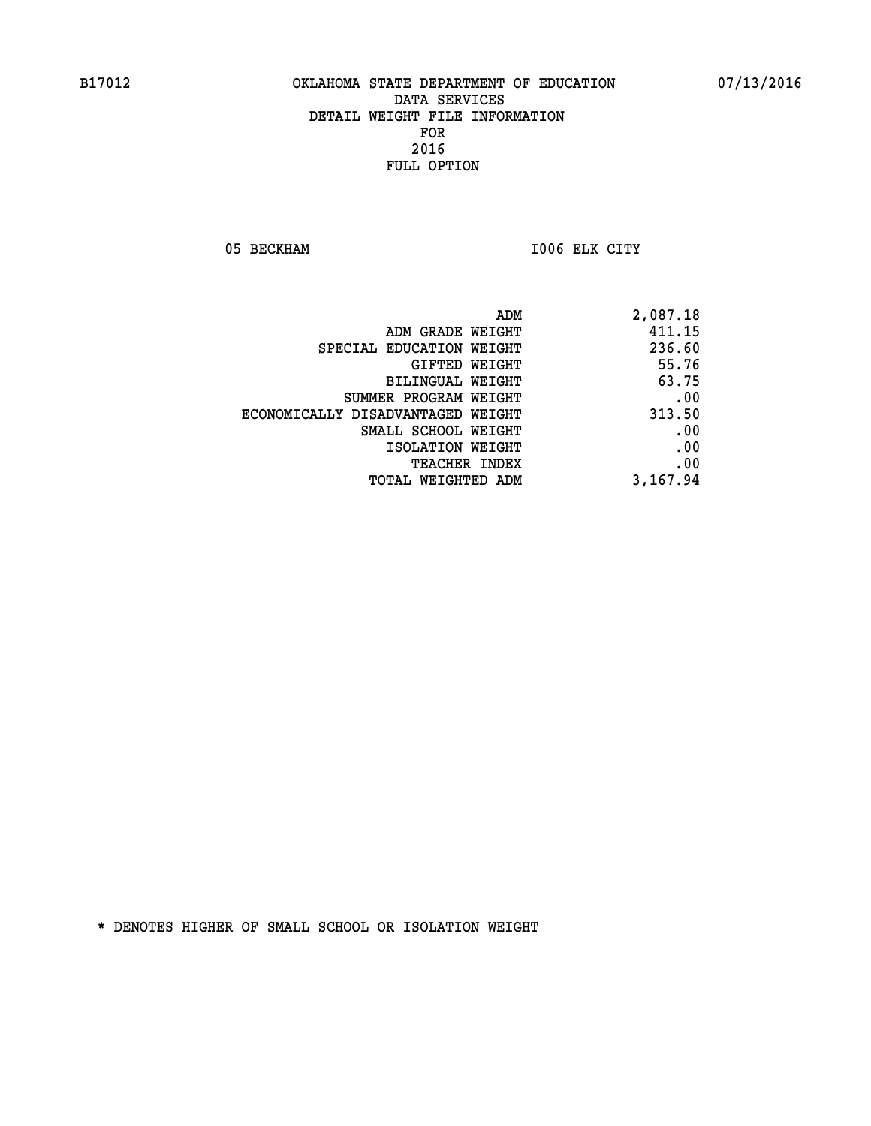05 BECKHAM **I006 ELK CITY** 

| 2,087.18 |
|----------|
| 411.15   |
| 236.60   |
| 55.76    |
| 63.75    |
| .00      |
| 313.50   |
| .00      |
| .00      |
| .00      |
| 3,167.94 |
|          |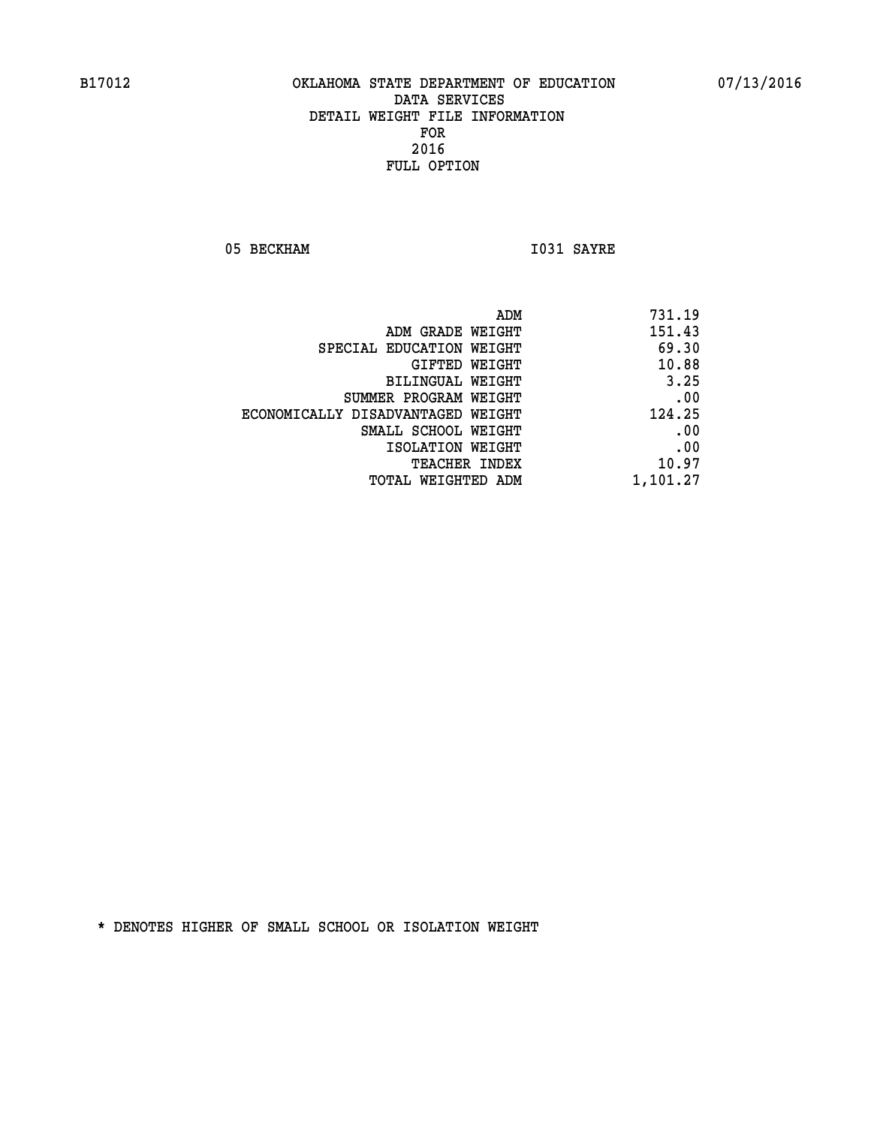05 BECKHAM 1031 SAYRE

| 731.19   |
|----------|
| 151.43   |
| 69.30    |
| 10.88    |
| 3.25     |
| .00      |
| 124.25   |
| .00      |
| .00      |
| 10.97    |
| 1,101.27 |
|          |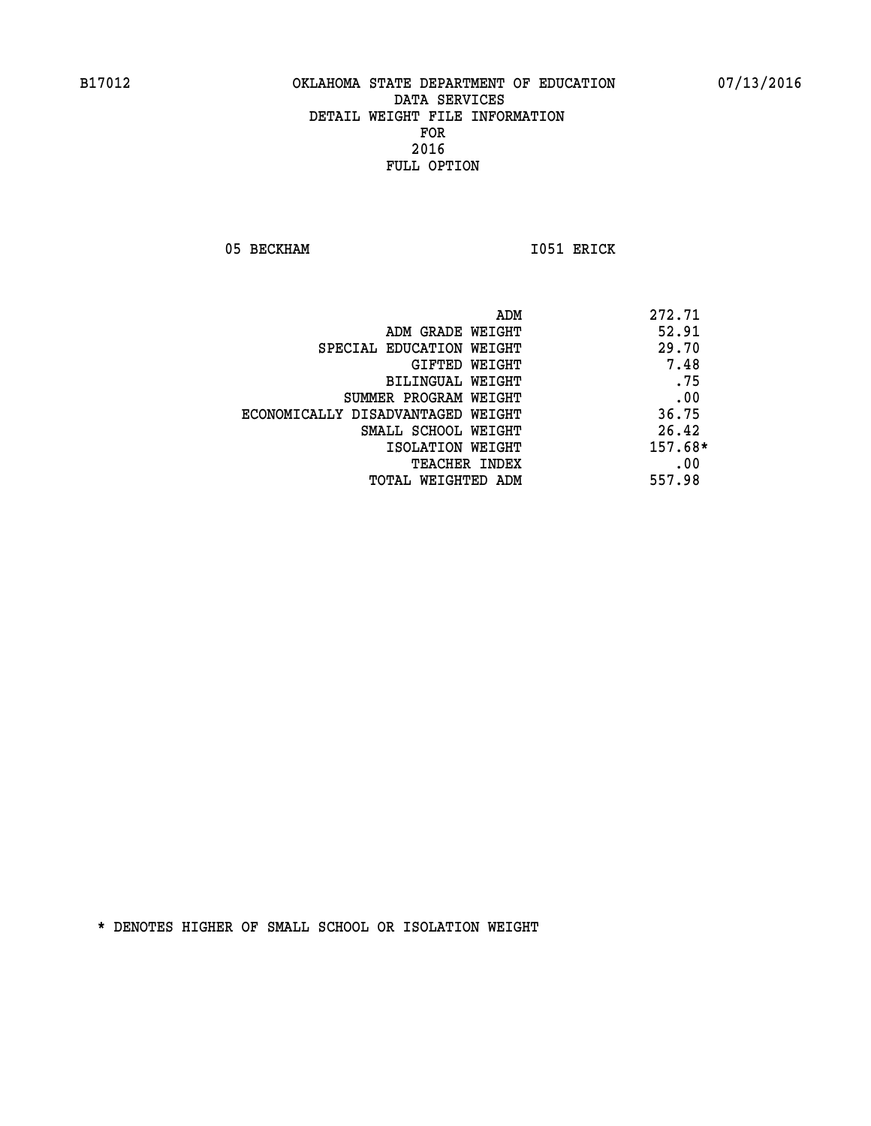05 BECKHAM 1051 ERICK

|                                   | ADM | 272.71  |
|-----------------------------------|-----|---------|
| ADM GRADE WEIGHT                  |     | 52.91   |
| SPECIAL EDUCATION WEIGHT          |     | 29.70   |
| GIFTED WEIGHT                     |     | 7.48    |
| BILINGUAL WEIGHT                  |     | .75     |
| SUMMER PROGRAM WEIGHT             |     | .00     |
| ECONOMICALLY DISADVANTAGED WEIGHT |     | 36.75   |
| SMALL SCHOOL WEIGHT               |     | 26.42   |
| ISOLATION WEIGHT                  |     | 157.68* |
| TEACHER INDEX                     |     | .00     |
| TOTAL WEIGHTED ADM                |     | 557.98  |
|                                   |     |         |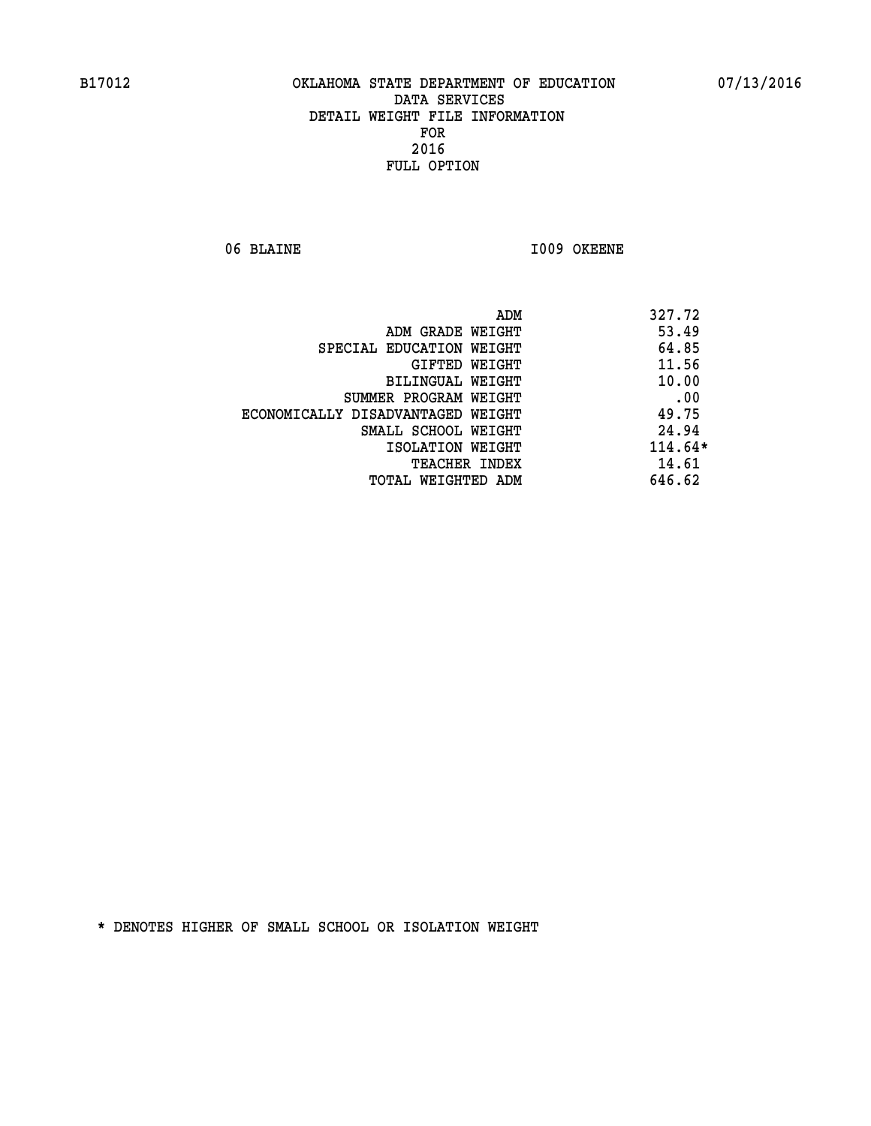06 BLAINE 1009 OKEENE

| ADM                               | 327.72    |
|-----------------------------------|-----------|
| ADM GRADE WEIGHT                  | 53.49     |
| SPECIAL EDUCATION WEIGHT          | 64.85     |
| GIFTED WEIGHT                     | 11.56     |
| BILINGUAL WEIGHT                  | 10.00     |
| SUMMER PROGRAM WEIGHT             | .00       |
| ECONOMICALLY DISADVANTAGED WEIGHT | 49.75     |
| SMALL SCHOOL WEIGHT               | 24.94     |
| ISOLATION WEIGHT                  | $114.64*$ |
| TEACHER INDEX                     | 14.61     |
| TOTAL WEIGHTED ADM                | 646.62    |
|                                   |           |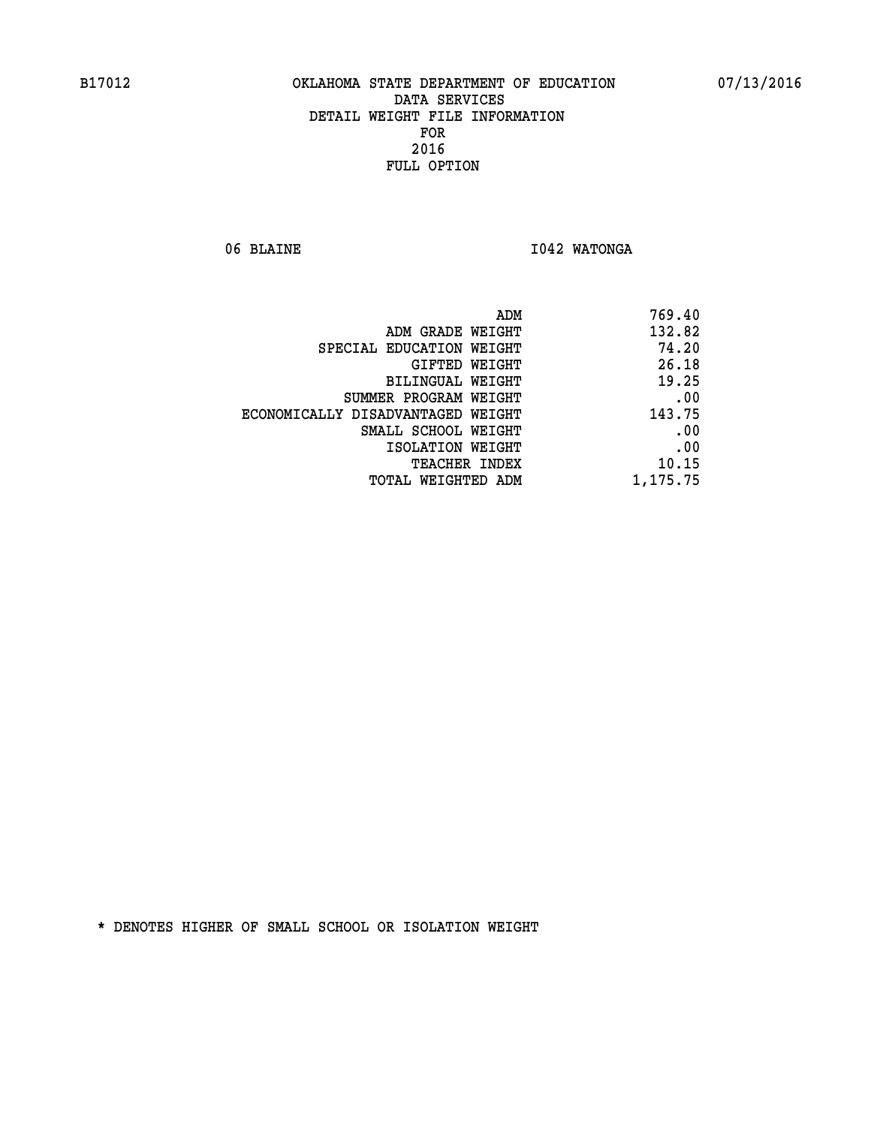06 BLAINE **I042 WATONGA** 

| 769.40   |
|----------|
| 132.82   |
| 74.20    |
| 26.18    |
| 19.25    |
| .00      |
| 143.75   |
| .00      |
| .00      |
| 10.15    |
| 1,175.75 |
|          |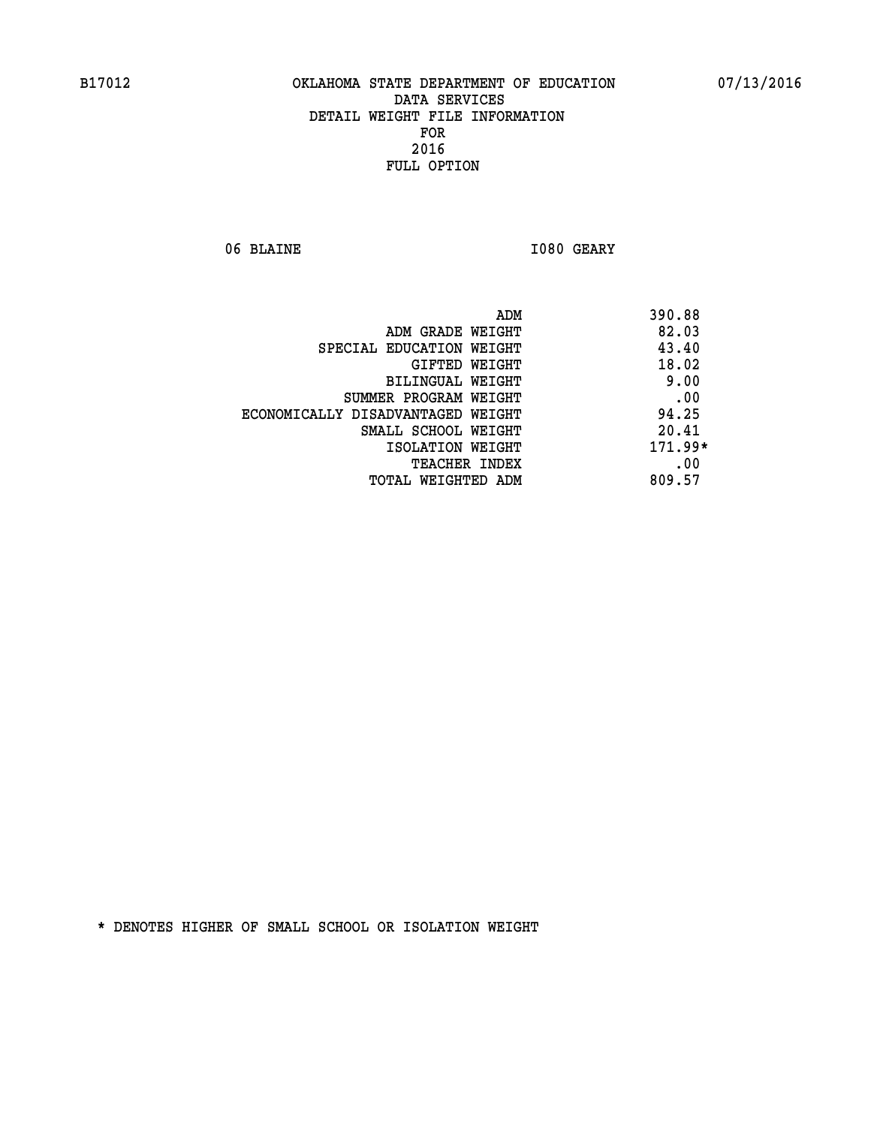06 BLAINE **I080 GEARY** 

| ADM<br>390.88                              |  |
|--------------------------------------------|--|
| 82.03<br>ADM GRADE WEIGHT                  |  |
| 43.40<br>SPECIAL EDUCATION WEIGHT          |  |
| 18.02<br>GIFTED WEIGHT                     |  |
| 9.00<br>BILINGUAL WEIGHT                   |  |
| .00<br>SUMMER PROGRAM WEIGHT               |  |
| 94.25<br>ECONOMICALLY DISADVANTAGED WEIGHT |  |
| 20.41<br>SMALL SCHOOL WEIGHT               |  |
| $171.99*$<br>ISOLATION WEIGHT              |  |
| .00<br><b>TEACHER INDEX</b>                |  |
| 809.57<br>TOTAL WEIGHTED ADM               |  |
|                                            |  |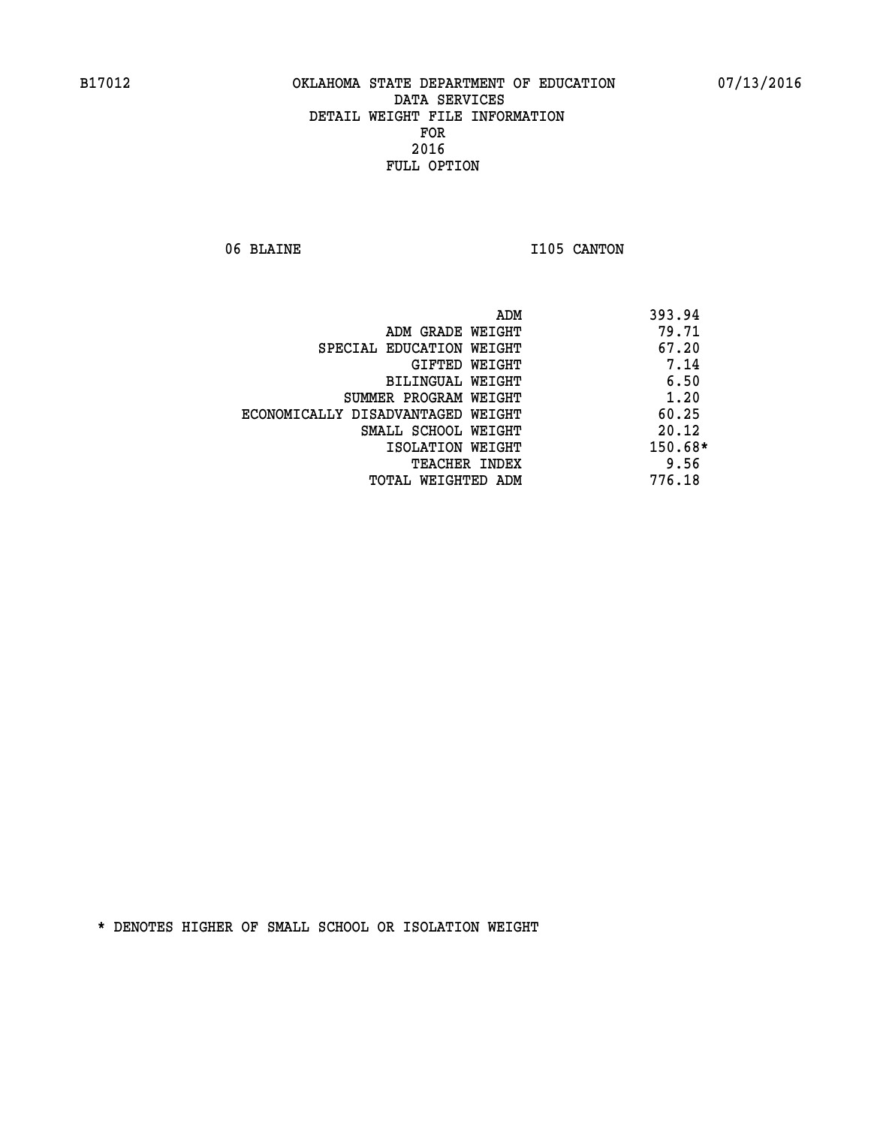06 BLAINE 1105 CANTON

|                                   | ADM | 393.94    |
|-----------------------------------|-----|-----------|
| ADM GRADE WEIGHT                  |     | 79.71     |
| SPECIAL EDUCATION WEIGHT          |     | 67.20     |
| GIFTED WEIGHT                     |     | 7.14      |
| BILINGUAL WEIGHT                  |     | 6.50      |
| SUMMER PROGRAM WEIGHT             |     | 1.20      |
| ECONOMICALLY DISADVANTAGED WEIGHT |     | 60.25     |
| SMALL SCHOOL WEIGHT               |     | 20.12     |
| ISOLATION WEIGHT                  |     | $150.68*$ |
| TEACHER INDEX                     |     | 9.56      |
| TOTAL WEIGHTED ADM                |     | 776.18    |
|                                   |     |           |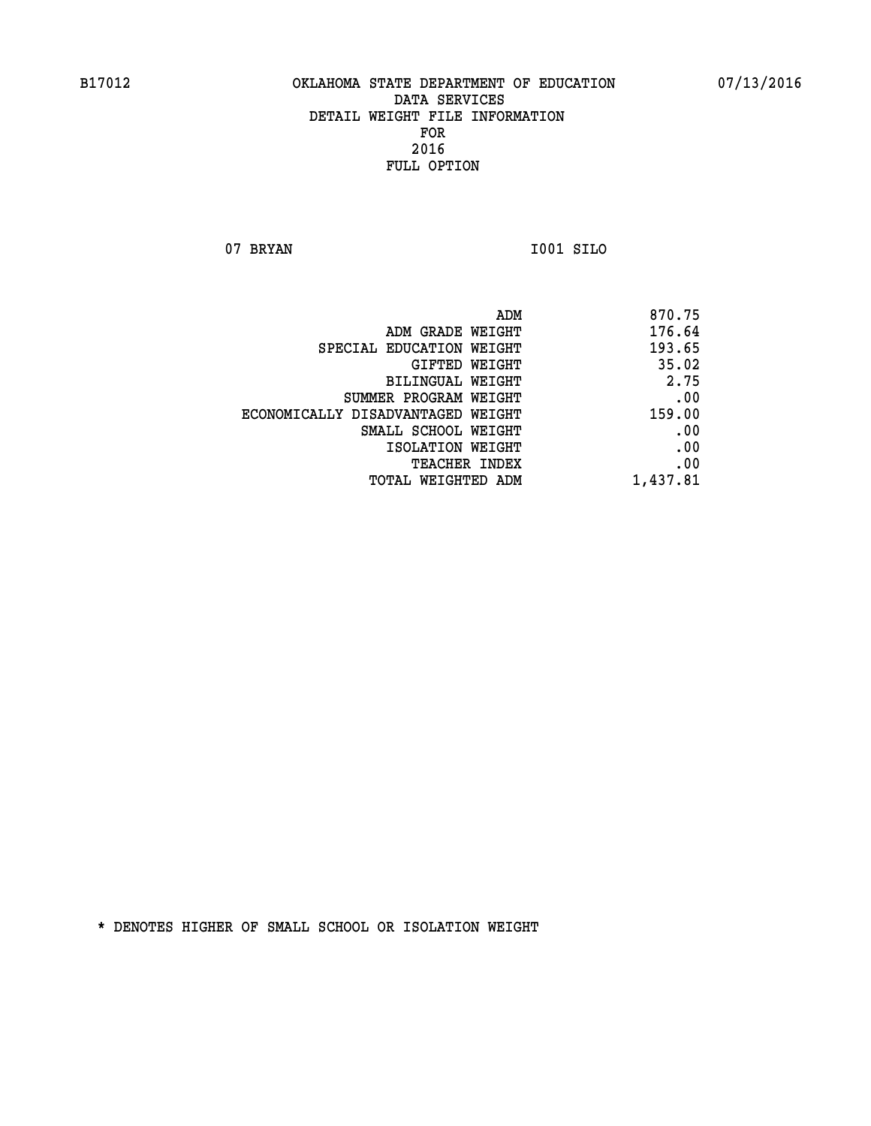**07 BRYAN I001 SILO** 

| 870.75   |
|----------|
| 176.64   |
| 193.65   |
| 35.02    |
| 2.75     |
| .00      |
| 159.00   |
| .00      |
| .00      |
| .00      |
| 1,437.81 |
|          |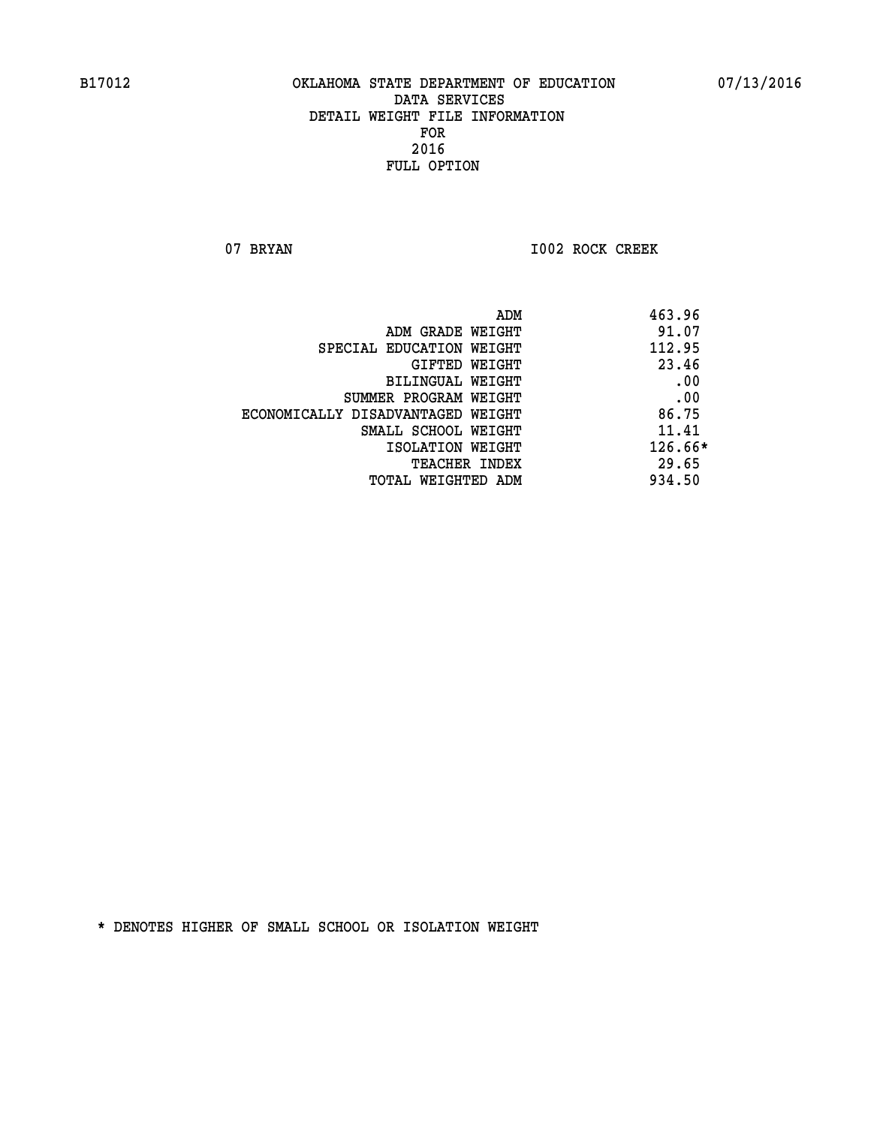07 BRYAN 1002 ROCK CREEK

| 463.96<br>ADM                              |  |
|--------------------------------------------|--|
| 91.07<br>ADM GRADE WEIGHT                  |  |
| 112.95<br>SPECIAL EDUCATION WEIGHT         |  |
| 23.46<br>GIFTED WEIGHT                     |  |
| .00<br><b>BILINGUAL WEIGHT</b>             |  |
| .00<br>SUMMER PROGRAM WEIGHT               |  |
| 86.75<br>ECONOMICALLY DISADVANTAGED WEIGHT |  |
| 11.41<br>SMALL SCHOOL WEIGHT               |  |
| 126.66*<br>ISOLATION WEIGHT                |  |
| 29.65<br><b>TEACHER INDEX</b>              |  |
| 934.50<br>TOTAL WEIGHTED ADM               |  |
|                                            |  |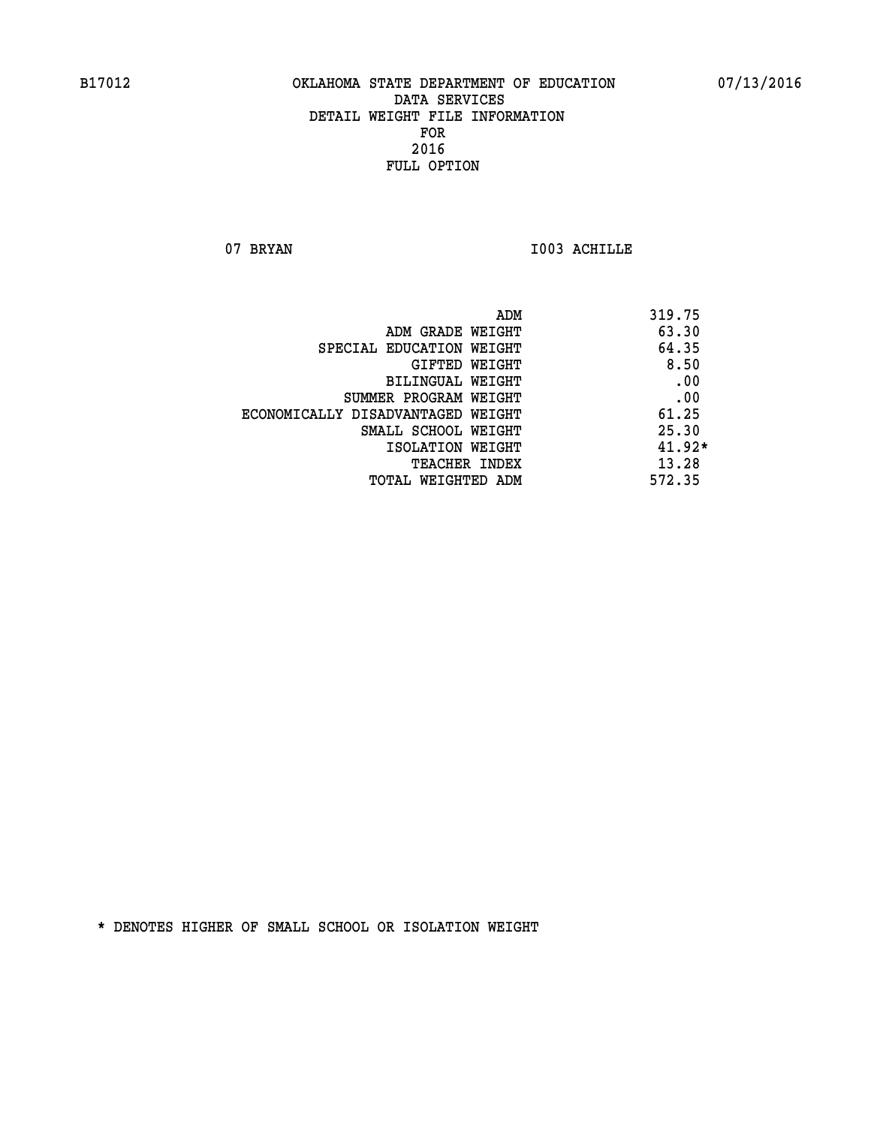07 BRYAN 1003 ACHILLE

|                                   | ADM<br>319.75 |     |
|-----------------------------------|---------------|-----|
| ADM GRADE WEIGHT                  | 63.30         |     |
| SPECIAL EDUCATION WEIGHT          | 64.35         |     |
| GIFTED WEIGHT                     | 8.50          |     |
| BILINGUAL WEIGHT                  |               | .00 |
| SUMMER PROGRAM WEIGHT             |               | .00 |
| ECONOMICALLY DISADVANTAGED WEIGHT | 61.25         |     |
| SMALL SCHOOL WEIGHT               | 25.30         |     |
| ISOLATION WEIGHT                  | $41.92*$      |     |
| TEACHER INDEX                     | 13.28         |     |
| TOTAL WEIGHTED ADM                | 572.35        |     |
|                                   |               |     |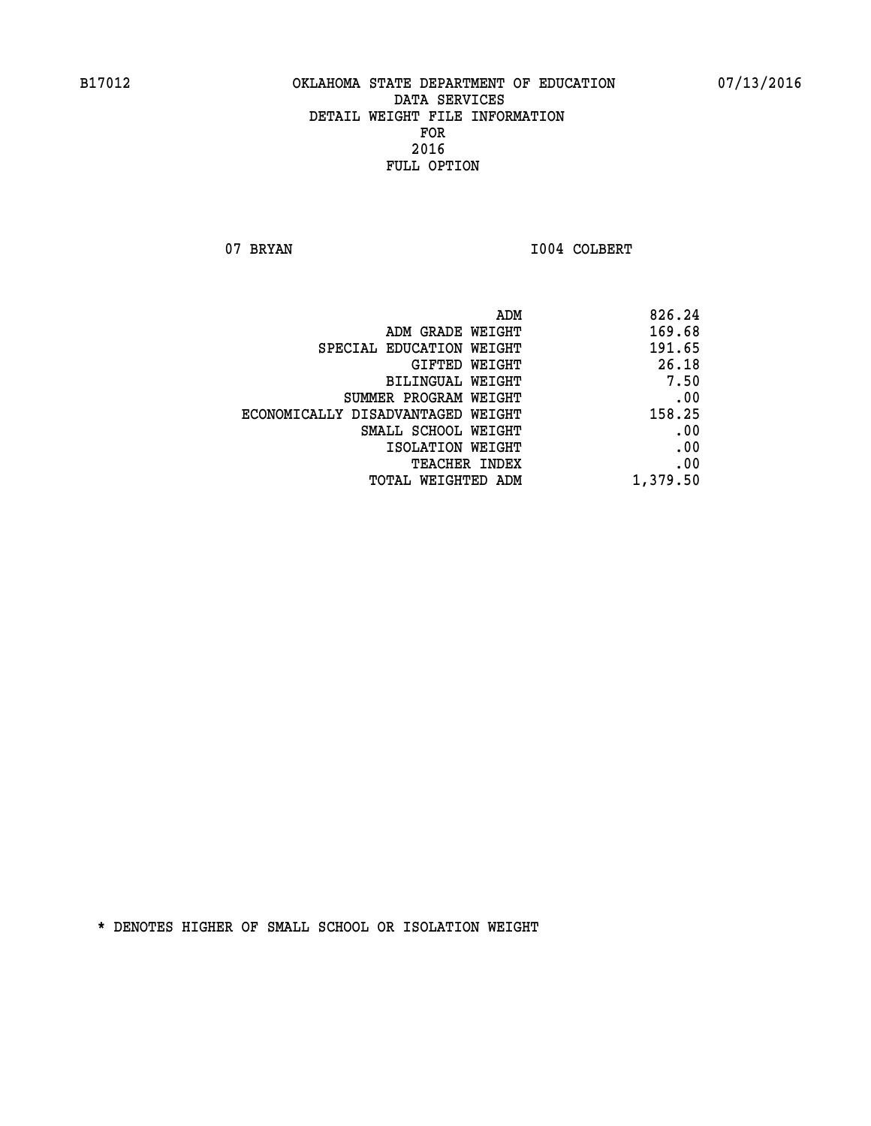07 BRYAN 1004 COLBERT

|                                   | 826.24<br>ADM |
|-----------------------------------|---------------|
| ADM GRADE WEIGHT                  | 169.68        |
| SPECIAL EDUCATION WEIGHT          | 191.65        |
| GIFTED WEIGHT                     | 26.18         |
| BILINGUAL WEIGHT                  | 7.50          |
| SUMMER PROGRAM WEIGHT             | .00           |
| ECONOMICALLY DISADVANTAGED WEIGHT | 158.25        |
| SMALL SCHOOL WEIGHT               | .00           |
| ISOLATION WEIGHT                  | .00           |
| TEACHER INDEX                     | .00           |
| TOTAL WEIGHTED ADM                | 1,379.50      |
|                                   |               |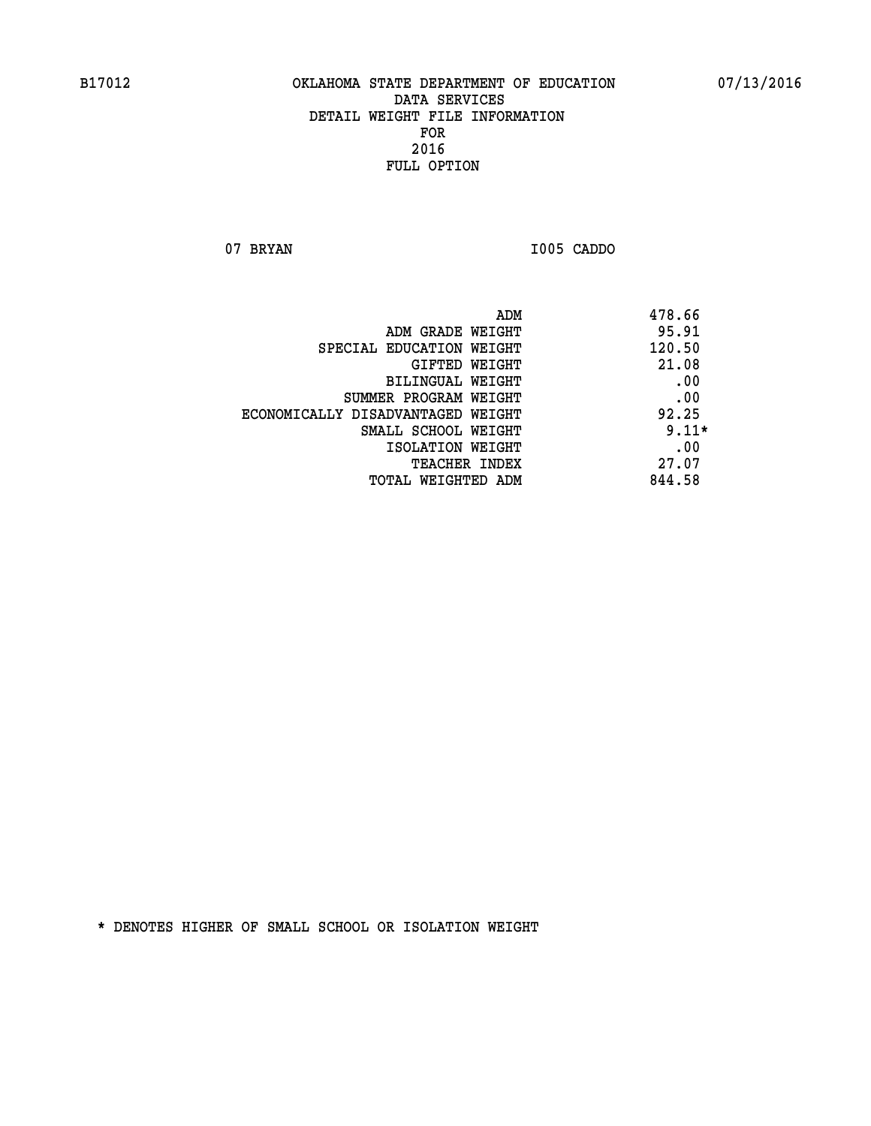**07 BRYAN I005 CADDO** 

| 478.66<br>ADM                              |  |
|--------------------------------------------|--|
| 95.91<br>ADM GRADE WEIGHT                  |  |
| 120.50<br>SPECIAL EDUCATION WEIGHT         |  |
| 21.08<br>GIFTED WEIGHT                     |  |
| .00<br>BILINGUAL WEIGHT                    |  |
| .00<br>SUMMER PROGRAM WEIGHT               |  |
| 92.25<br>ECONOMICALLY DISADVANTAGED WEIGHT |  |
| $9.11*$<br>SMALL SCHOOL WEIGHT             |  |
| .00<br>ISOLATION WEIGHT                    |  |
| 27.07<br><b>TEACHER INDEX</b>              |  |
| 844.58<br>TOTAL WEIGHTED ADM               |  |
|                                            |  |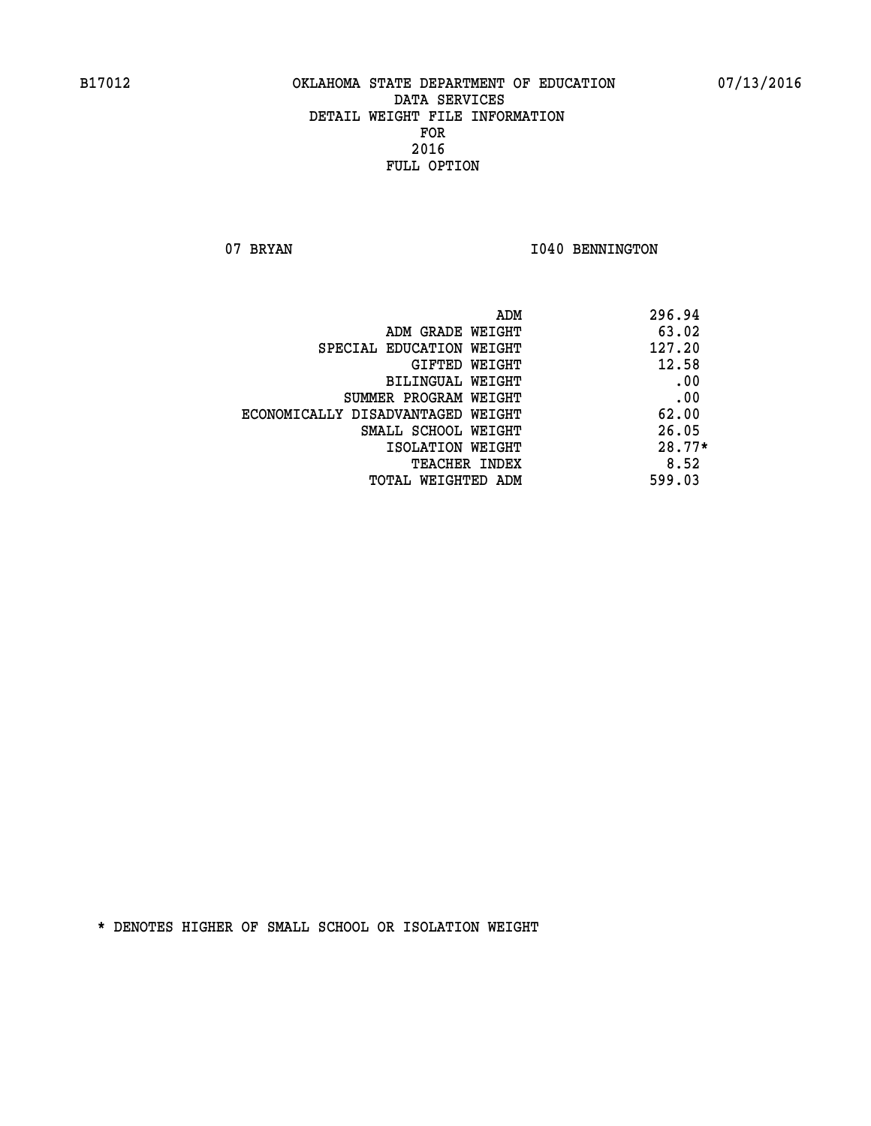07 BRYAN 1040 BENNINGTON

| ADM                               | 296.94   |
|-----------------------------------|----------|
| ADM GRADE WEIGHT                  | 63.02    |
| SPECIAL EDUCATION WEIGHT          | 127.20   |
| GIFTED WEIGHT                     | 12.58    |
| <b>BILINGUAL WEIGHT</b>           | .00      |
| SUMMER PROGRAM WEIGHT             | .00      |
| ECONOMICALLY DISADVANTAGED WEIGHT | 62.00    |
| SMALL SCHOOL WEIGHT               | 26.05    |
| ISOLATION WEIGHT                  | $28.77*$ |
| <b>TEACHER INDEX</b>              | 8.52     |
| TOTAL WEIGHTED ADM                | 599.03   |
|                                   |          |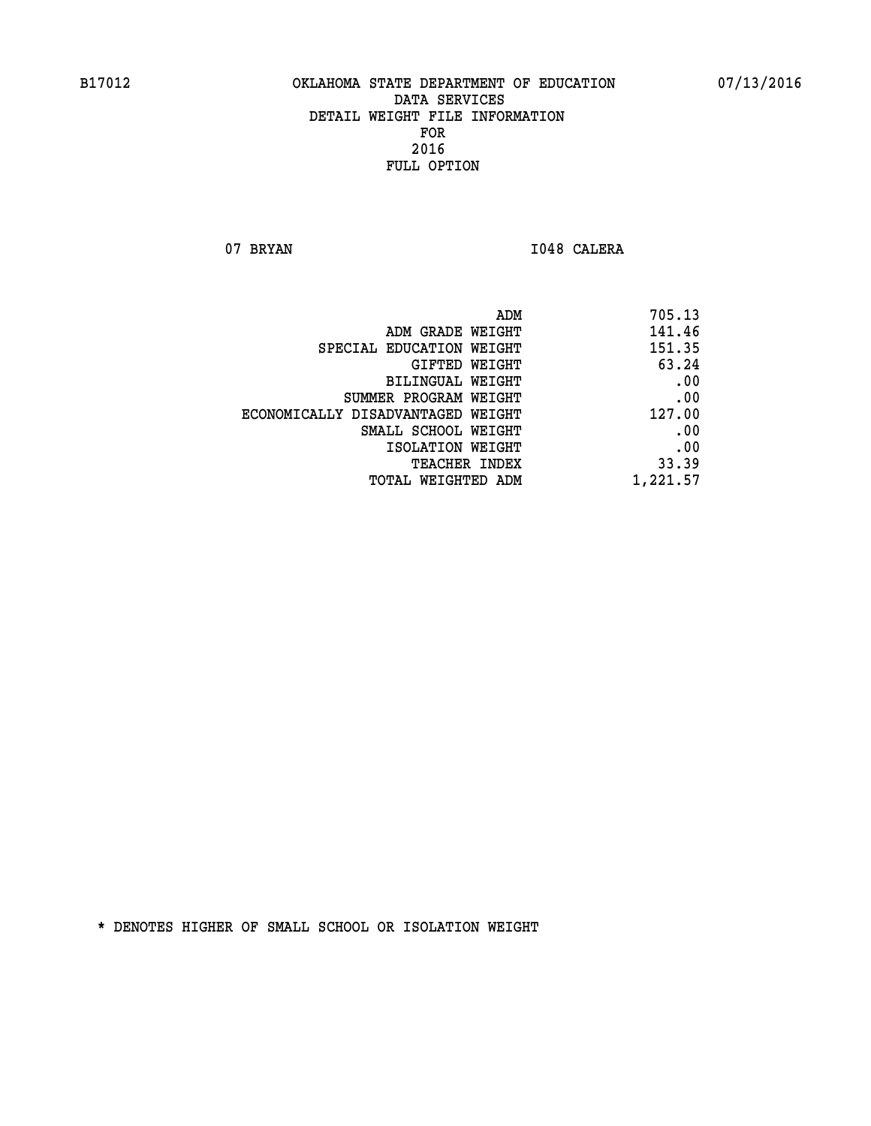07 BRYAN 1048 CALERA

|                                   | ADM<br>705.13 |  |
|-----------------------------------|---------------|--|
| ADM GRADE WEIGHT                  | 141.46        |  |
| SPECIAL EDUCATION WEIGHT          | 151.35        |  |
| GIFTED WEIGHT                     | 63.24         |  |
| BILINGUAL WEIGHT                  | .00           |  |
| SUMMER PROGRAM WEIGHT             | .00           |  |
| ECONOMICALLY DISADVANTAGED WEIGHT | 127.00        |  |
| SMALL SCHOOL WEIGHT               | .00           |  |
| ISOLATION WEIGHT                  | .00           |  |
| TEACHER INDEX                     | 33.39         |  |
| TOTAL WEIGHTED ADM                | 1,221.57      |  |
|                                   |               |  |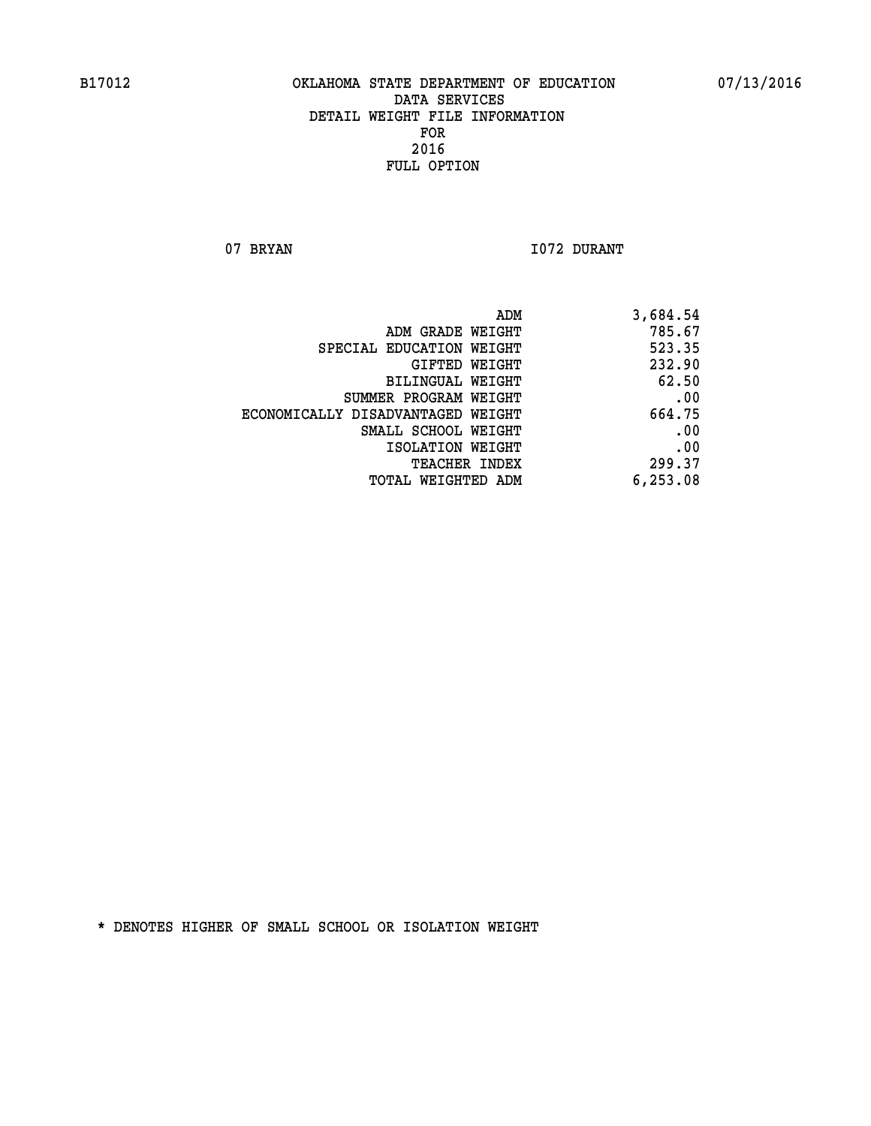07 BRYAN 1072 DURANT

| 3,684.54 |
|----------|
| 785.67   |
| 523.35   |
| 232.90   |
| 62.50    |
| .00      |
| 664.75   |
| .00      |
| .00      |
| 299.37   |
| 6,253.08 |
|          |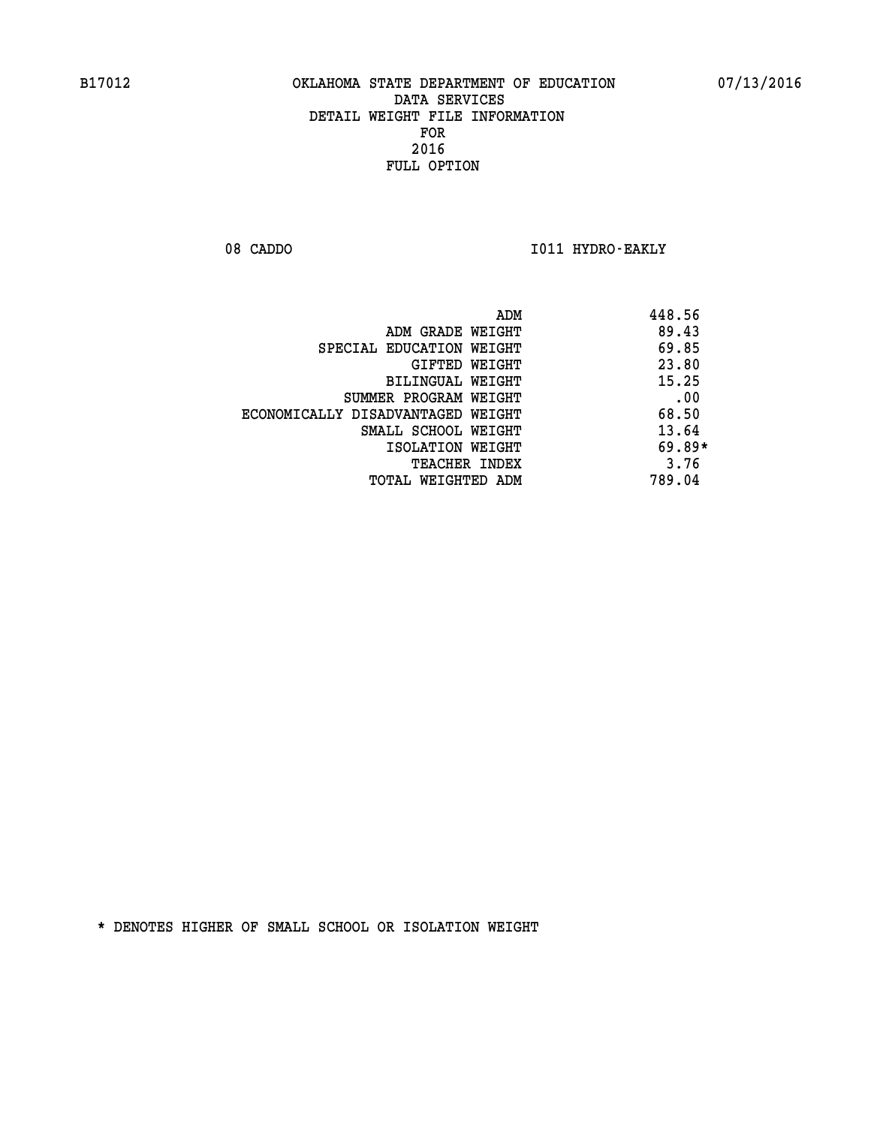08 CADDO **I011 HYDRO-EAKLY** 

|                                   | 448.56<br>ADM |
|-----------------------------------|---------------|
| ADM GRADE WEIGHT                  | 89.43         |
| SPECIAL EDUCATION WEIGHT          | 69.85         |
| GIFTED WEIGHT                     | 23.80         |
| BILINGUAL WEIGHT                  | 15.25         |
| SUMMER PROGRAM WEIGHT             | .00           |
| ECONOMICALLY DISADVANTAGED WEIGHT | 68.50         |
| SMALL SCHOOL WEIGHT               | 13.64         |
| ISOLATION WEIGHT                  | $69.89*$      |
| <b>TEACHER INDEX</b>              | 3.76          |
| TOTAL WEIGHTED ADM                | 789.04        |
|                                   |               |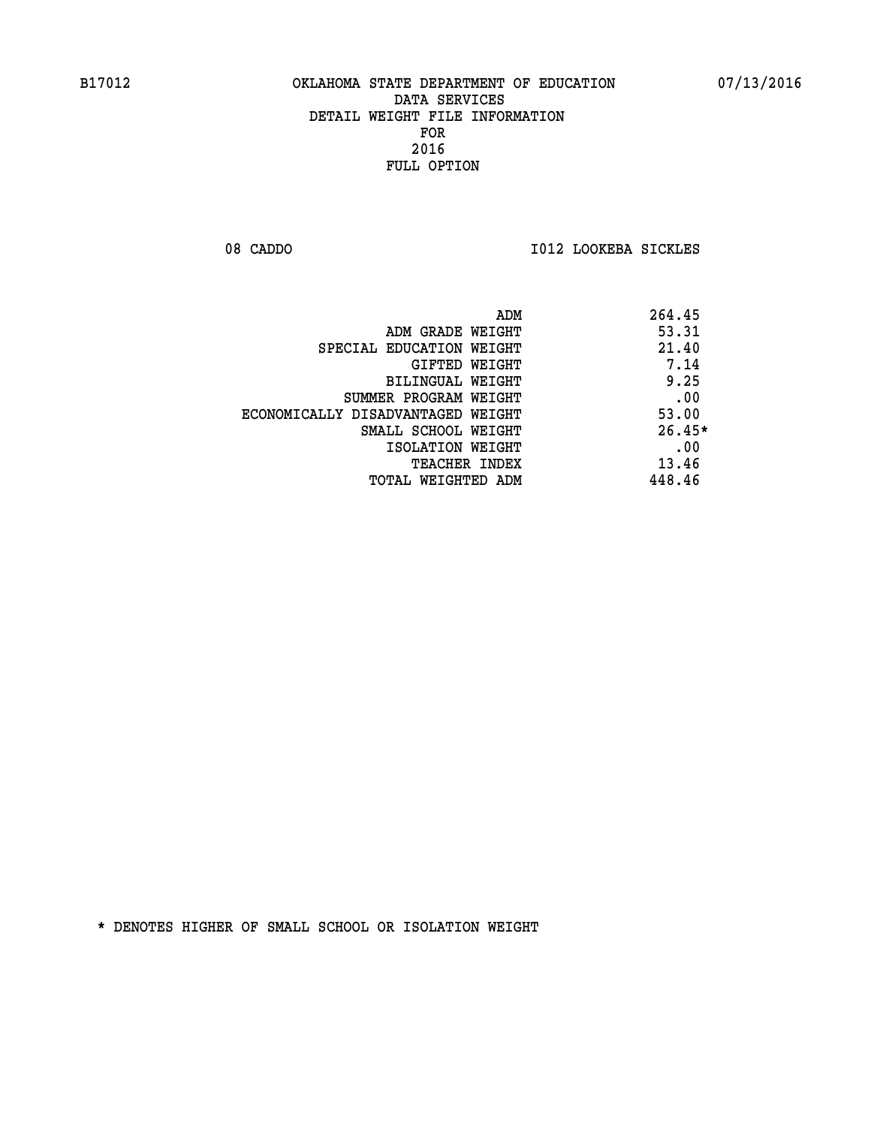08 CADDO **I012 LOOKEBA SICKLES** 

|                                   | ADM | 264.45   |
|-----------------------------------|-----|----------|
| ADM GRADE WEIGHT                  |     | 53.31    |
| SPECIAL EDUCATION WEIGHT          |     | 21.40    |
| GIFTED WEIGHT                     |     | 7.14     |
| BILINGUAL WEIGHT                  |     | 9.25     |
| SUMMER PROGRAM WEIGHT             |     | .00      |
| ECONOMICALLY DISADVANTAGED WEIGHT |     | 53.00    |
| SMALL SCHOOL WEIGHT               |     | $26.45*$ |
| ISOLATION WEIGHT                  |     | .00      |
| TEACHER INDEX                     |     | 13.46    |
| TOTAL WEIGHTED ADM                |     | 448.46   |
|                                   |     |          |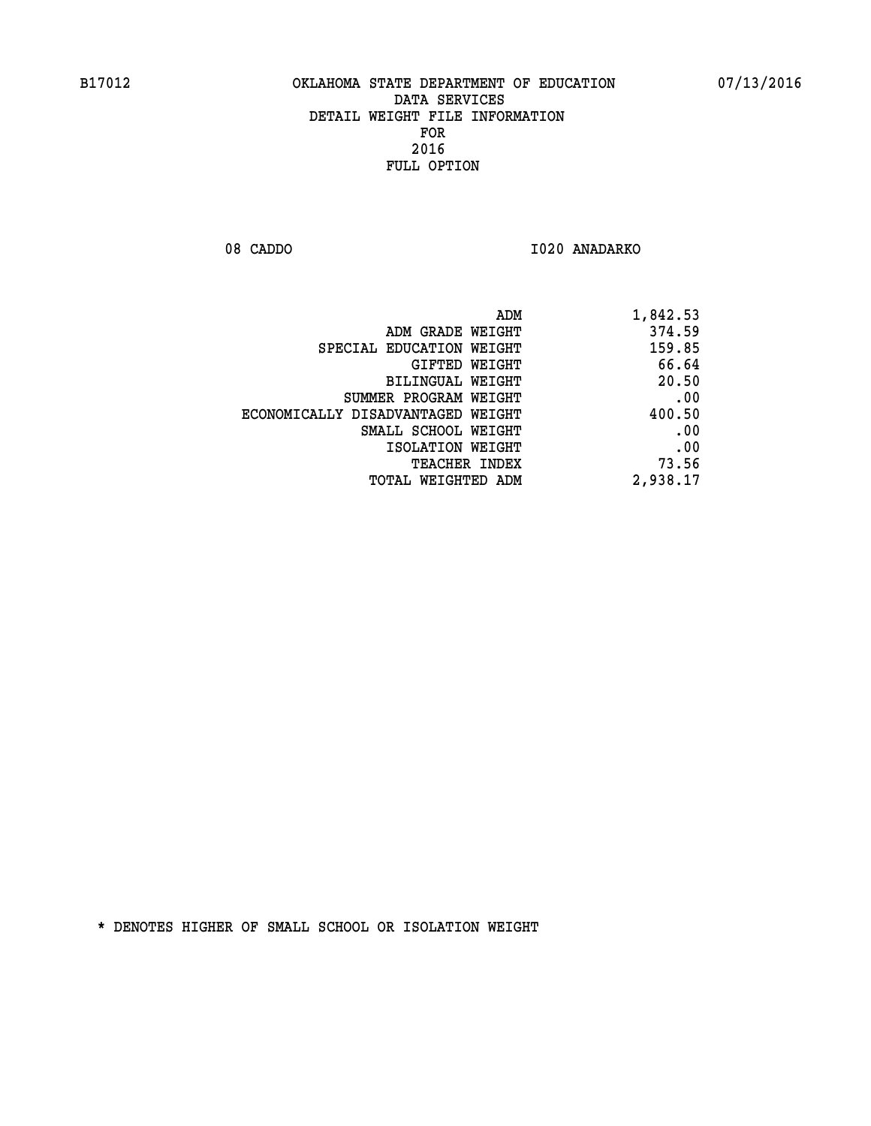08 CADDO 1020 ANADARKO

| 1,842.53 |
|----------|
| 374.59   |
| 159.85   |
| 66.64    |
| 20.50    |
| .00      |
| 400.50   |
| .00      |
| .00      |
| 73.56    |
| 2,938.17 |
|          |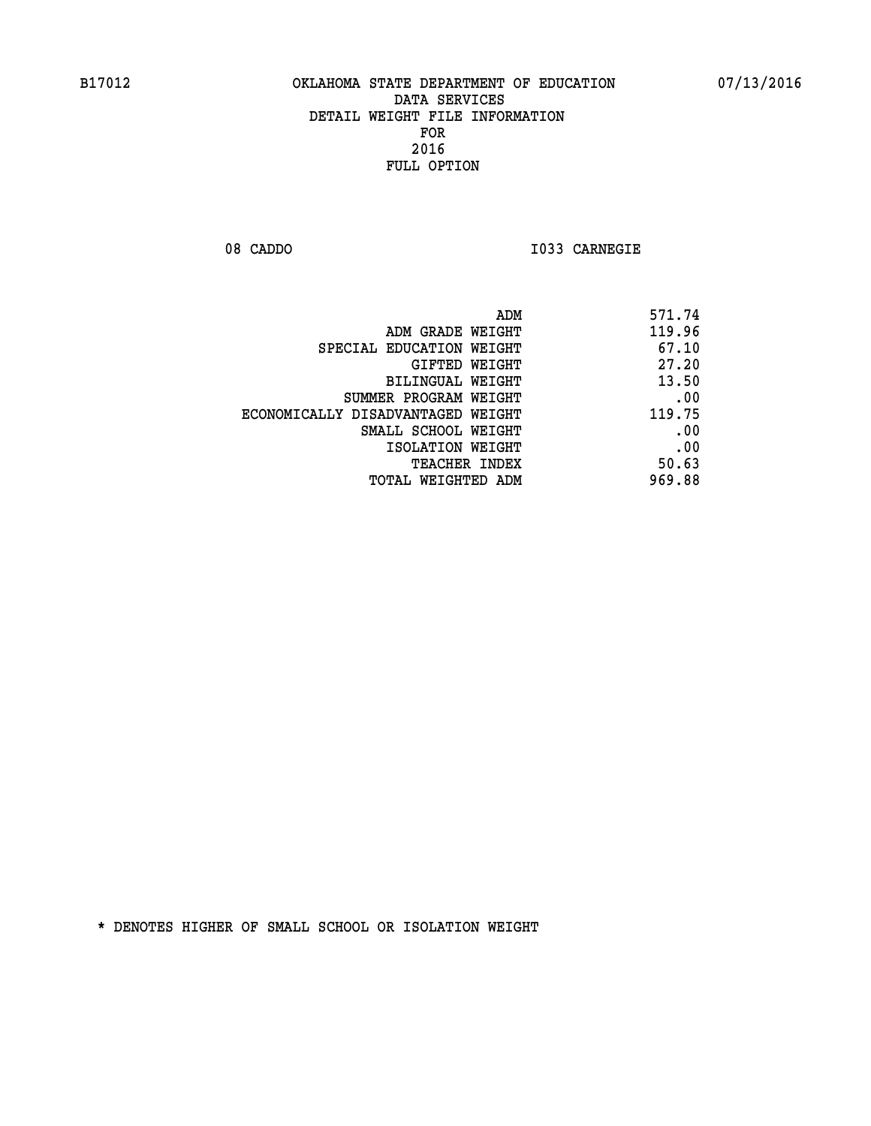**08 CADDO I033 CARNEGIE** 

| 571.74 |
|--------|
| 119.96 |
| 67.10  |
| 27.20  |
| 13.50  |
| .00    |
| 119.75 |
| .00    |
| .00    |
| 50.63  |
| 969.88 |
|        |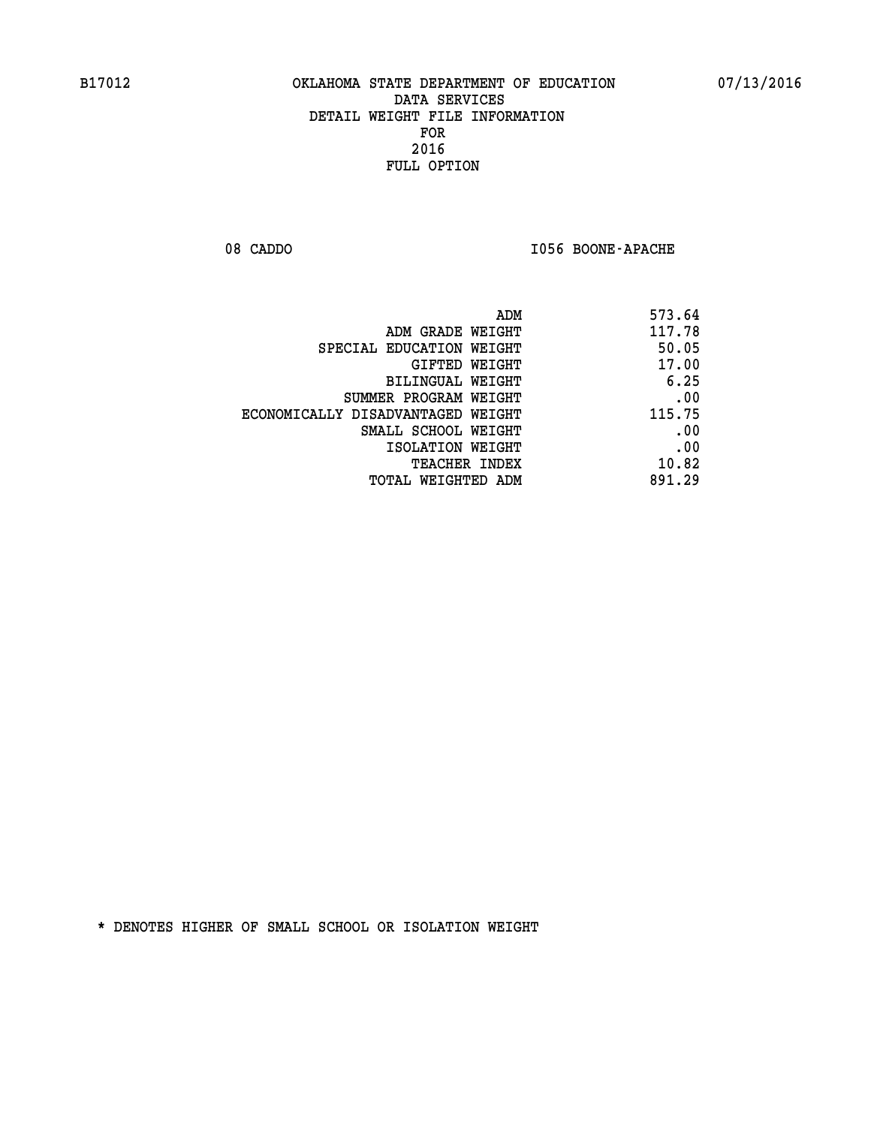08 CADDO **I056 BOONE-APACHE** 

| ADM                               | 573.64 |
|-----------------------------------|--------|
| ADM GRADE WEIGHT                  | 117.78 |
| SPECIAL EDUCATION WEIGHT          | 50.05  |
| GIFTED WEIGHT                     | 17.00  |
| <b>BILINGUAL WEIGHT</b>           | 6.25   |
| SUMMER PROGRAM WEIGHT             | .00    |
| ECONOMICALLY DISADVANTAGED WEIGHT | 115.75 |
| SMALL SCHOOL WEIGHT               | .00    |
| ISOLATION WEIGHT                  | .00    |
| TEACHER INDEX                     | 10.82  |
| TOTAL WEIGHTED ADM                | 891.29 |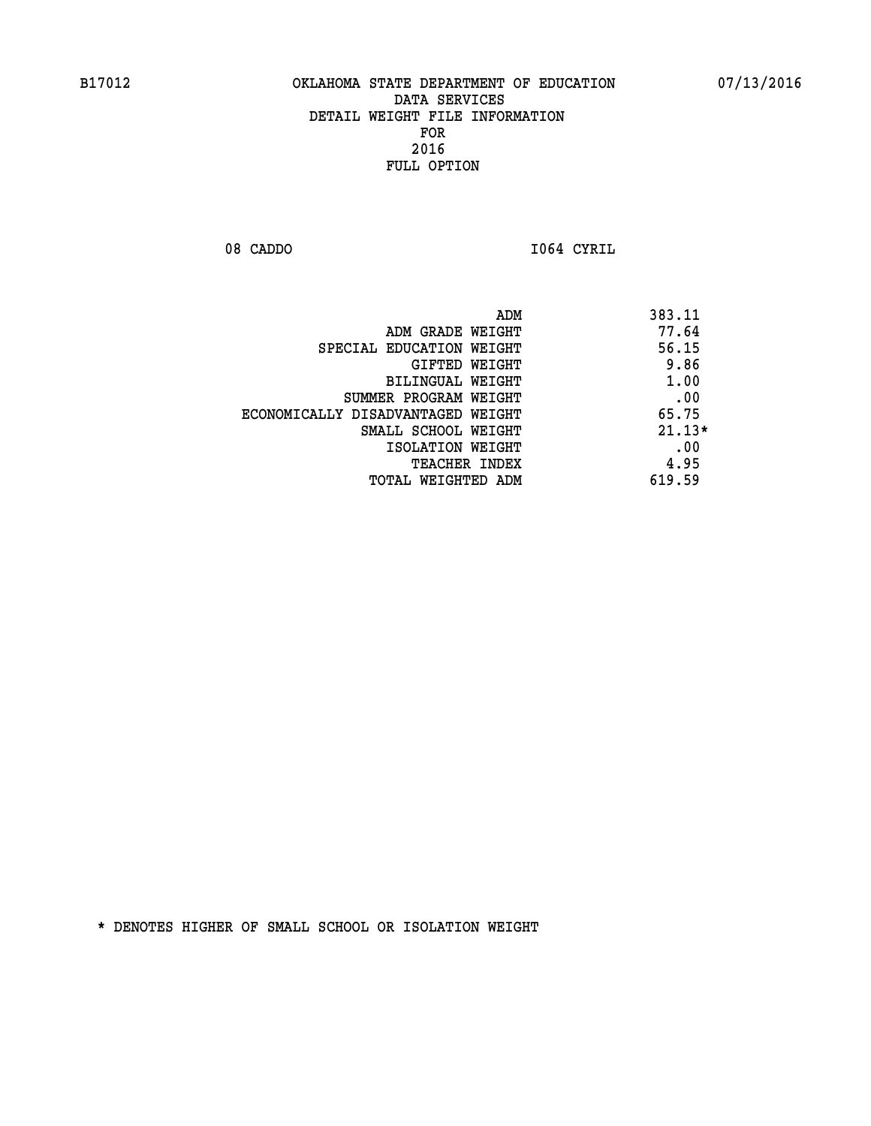**08 CADDO I064 CYRIL** 

| ADM<br>383.11                              |          |
|--------------------------------------------|----------|
| 77.64<br>ADM GRADE WEIGHT                  |          |
| 56.15<br>SPECIAL EDUCATION WEIGHT          |          |
| GIFTED WEIGHT                              | 9.86     |
| BILINGUAL WEIGHT                           | 1.00     |
| SUMMER PROGRAM WEIGHT                      | .00      |
| 65.75<br>ECONOMICALLY DISADVANTAGED WEIGHT |          |
| SMALL SCHOOL WEIGHT                        | $21.13*$ |
| ISOLATION WEIGHT                           | .00      |
| <b>TEACHER INDEX</b>                       | 4.95     |
| 619.59<br>TOTAL WEIGHTED ADM               |          |
|                                            |          |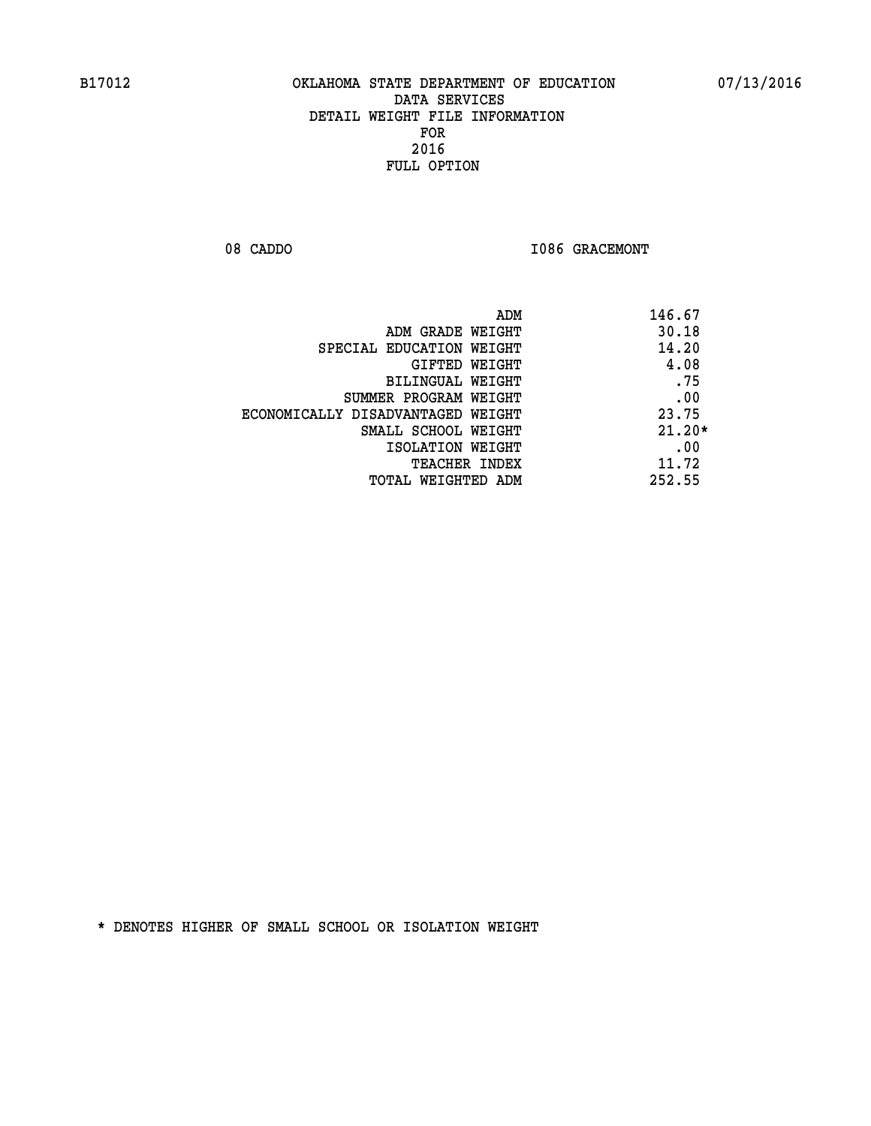08 CADDO **I086 GRACEMONT** 

| ADM                               | 146.67   |
|-----------------------------------|----------|
| ADM GRADE WEIGHT                  | 30.18    |
| SPECIAL EDUCATION WEIGHT          | 14.20    |
| GIFTED WEIGHT                     | 4.08     |
| BILINGUAL WEIGHT                  | .75      |
| SUMMER PROGRAM WEIGHT             | .00      |
| ECONOMICALLY DISADVANTAGED WEIGHT | 23.75    |
| SMALL SCHOOL WEIGHT               | $21.20*$ |
| ISOLATION WEIGHT                  | .00      |
| <b>TEACHER INDEX</b>              | 11.72    |
| TOTAL WEIGHTED ADM                | 252.55   |
|                                   |          |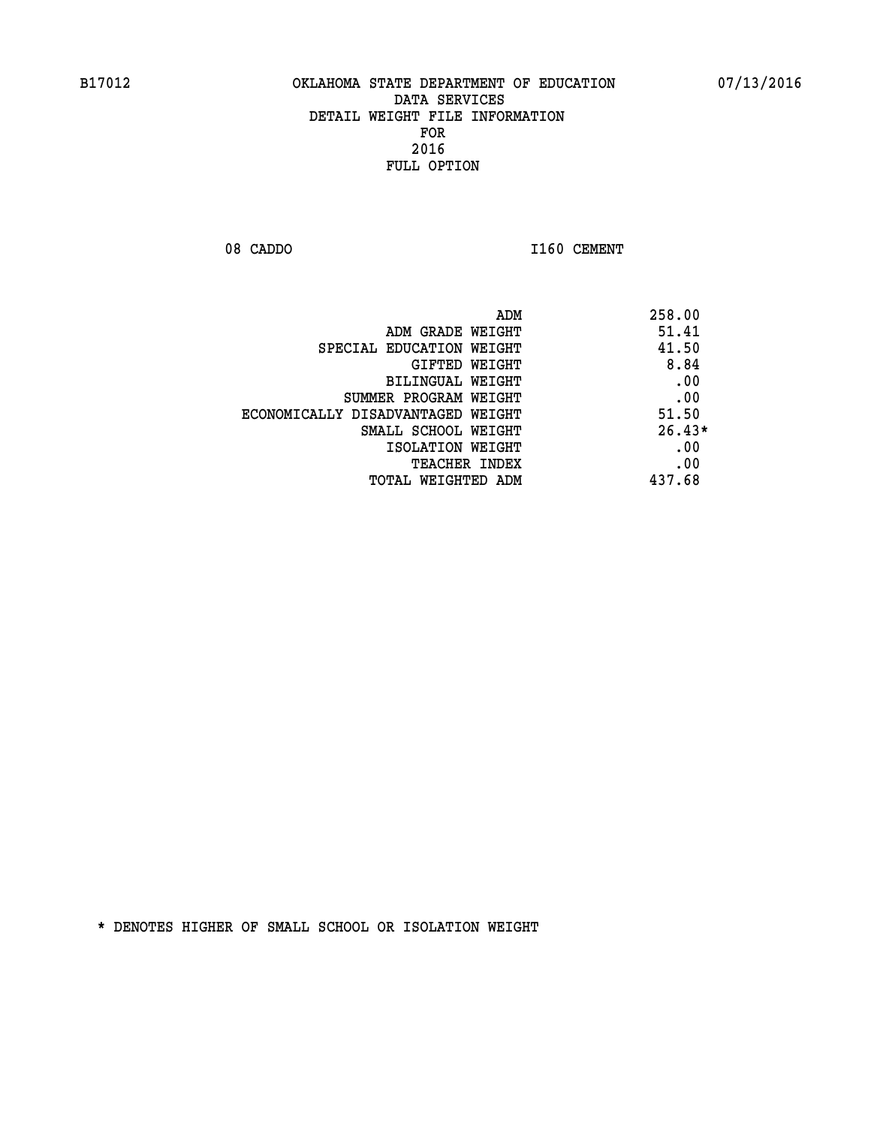08 CADDO 1160 CEMENT

| ADM                               | 258.00   |
|-----------------------------------|----------|
| ADM GRADE WEIGHT                  | 51.41    |
| SPECIAL EDUCATION WEIGHT          | 41.50    |
| GIFTED WEIGHT                     | 8.84     |
| <b>BILINGUAL WEIGHT</b>           | .00      |
| SUMMER PROGRAM WEIGHT             | .00      |
| ECONOMICALLY DISADVANTAGED WEIGHT | 51.50    |
| SMALL SCHOOL WEIGHT               | $26.43*$ |
| ISOLATION WEIGHT                  | .00      |
| <b>TEACHER INDEX</b>              | .00      |
| TOTAL WEIGHTED ADM                | 437.68   |
|                                   |          |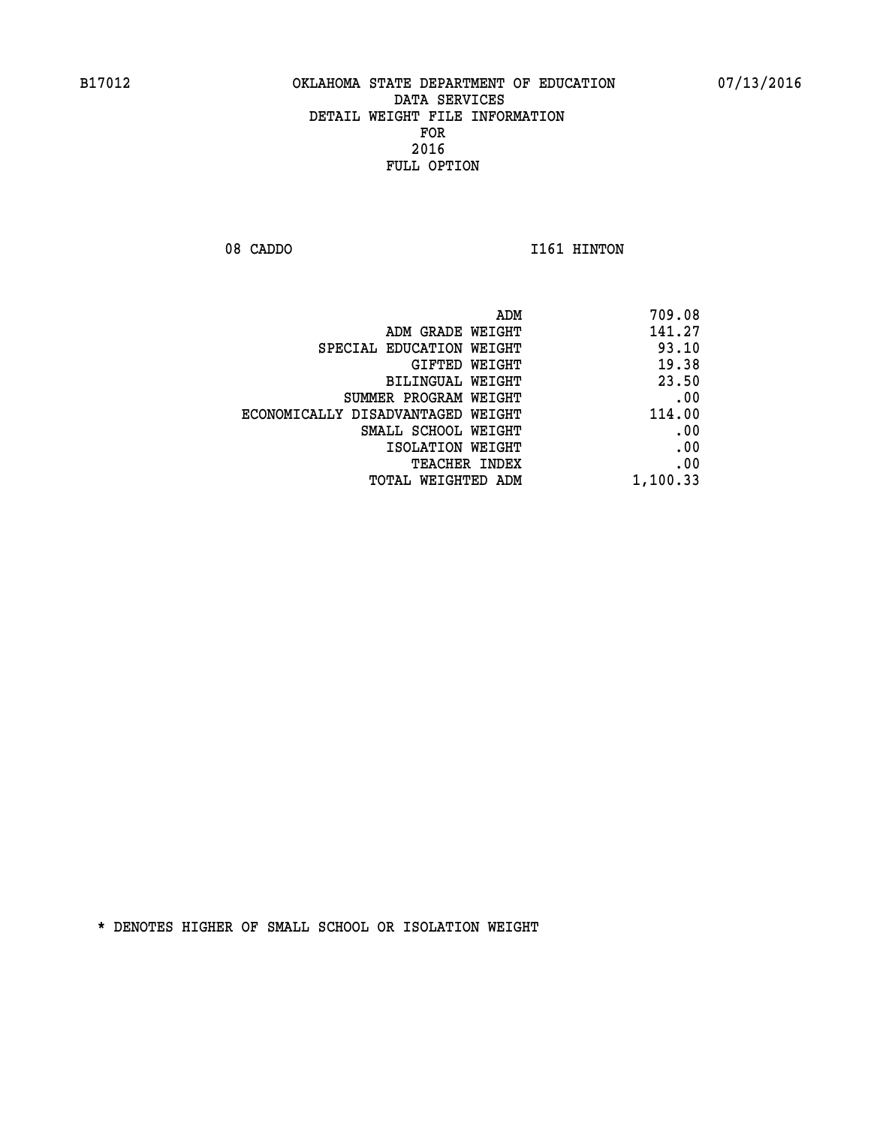08 CADDO 1161 HINTON

|                                   | 709.08<br>ADM |
|-----------------------------------|---------------|
| ADM GRADE WEIGHT                  | 141.27        |
| SPECIAL EDUCATION WEIGHT          | 93.10         |
| GIFTED WEIGHT                     | 19.38         |
| BILINGUAL WEIGHT                  | 23.50         |
| SUMMER PROGRAM WEIGHT             | .00           |
| ECONOMICALLY DISADVANTAGED WEIGHT | 114.00        |
| SMALL SCHOOL WEIGHT               | .00           |
| ISOLATION WEIGHT                  | .00           |
| TEACHER INDEX                     | .00           |
| TOTAL WEIGHTED ADM                | 1,100.33      |
|                                   |               |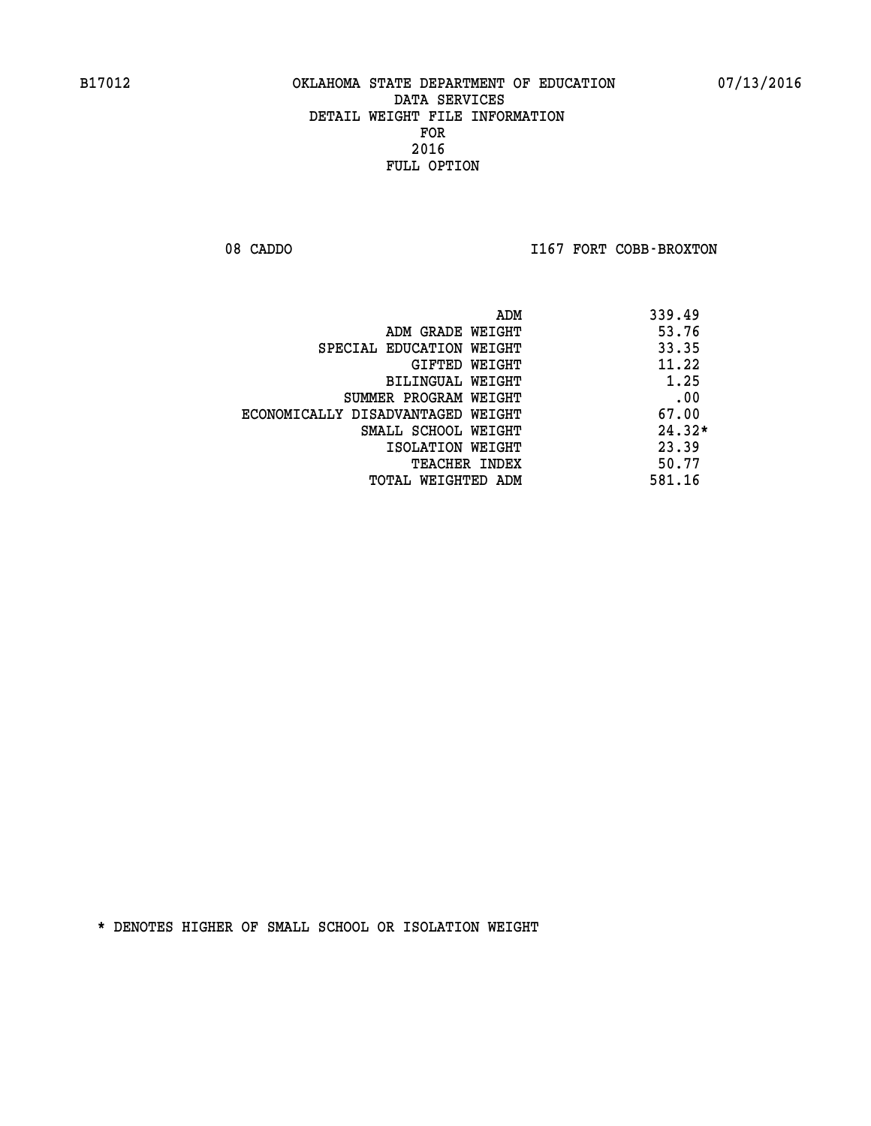08 CADDO **I167 FORT COBB-BROXTON** 

| ADM                               | 339.49   |
|-----------------------------------|----------|
| ADM GRADE WEIGHT                  | 53.76    |
| SPECIAL EDUCATION WEIGHT          | 33.35    |
| GIFTED WEIGHT                     | 11.22    |
| <b>BILINGUAL WEIGHT</b>           | 1.25     |
| SUMMER PROGRAM WEIGHT             | .00      |
| ECONOMICALLY DISADVANTAGED WEIGHT | 67.00    |
| SMALL SCHOOL WEIGHT               | $24.32*$ |
| ISOLATION WEIGHT                  | 23.39    |
| <b>TEACHER INDEX</b>              | 50.77    |
| TOTAL WEIGHTED ADM                | 581.16   |
|                                   |          |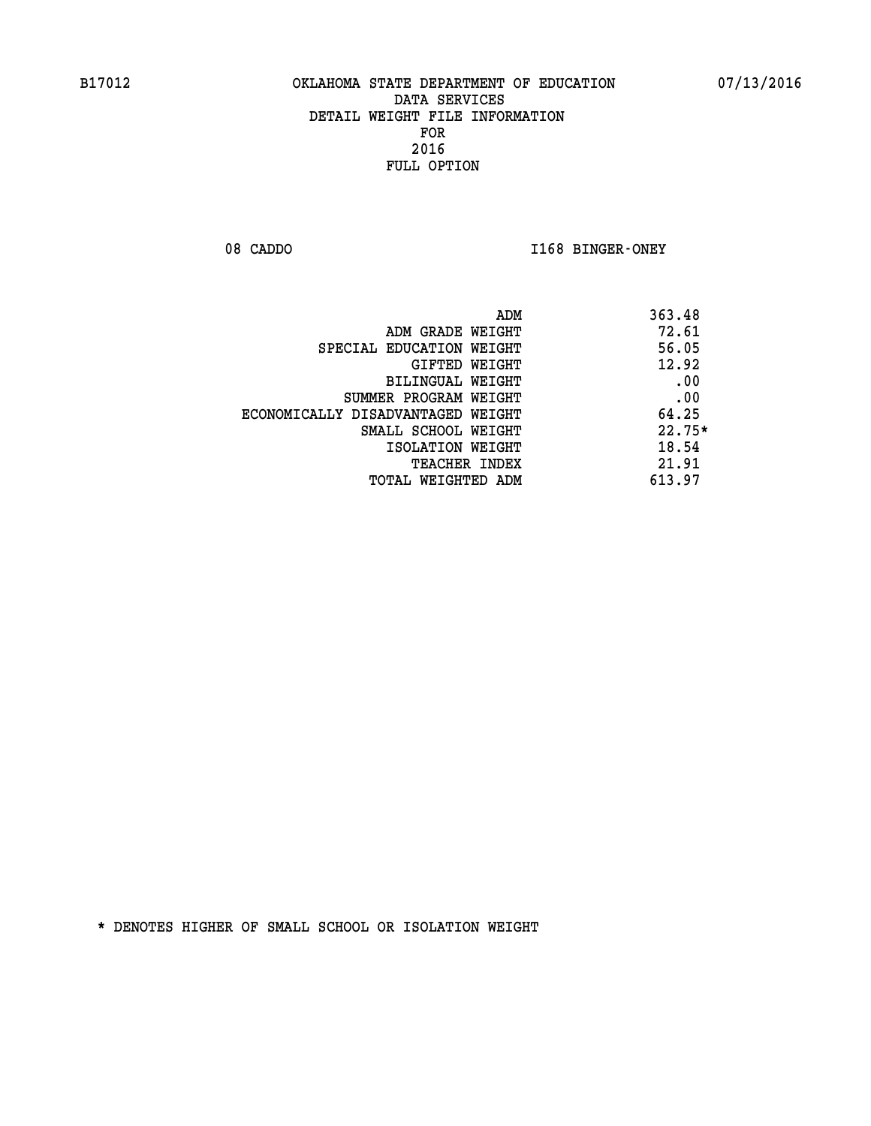08 CADDO **I168 BINGER-ONEY** 

|                                   | ADM | 363.48   |
|-----------------------------------|-----|----------|
| ADM GRADE WEIGHT                  |     | 72.61    |
| SPECIAL EDUCATION WEIGHT          |     | 56.05    |
| GIFTED WEIGHT                     |     | 12.92    |
| BILINGUAL WEIGHT                  |     | .00      |
| SUMMER PROGRAM WEIGHT             |     | .00      |
| ECONOMICALLY DISADVANTAGED WEIGHT |     | 64.25    |
| SMALL SCHOOL WEIGHT               |     | $22.75*$ |
| ISOLATION WEIGHT                  |     | 18.54    |
| <b>TEACHER INDEX</b>              |     | 21.91    |
| TOTAL WEIGHTED ADM                |     | 613.97   |
|                                   |     |          |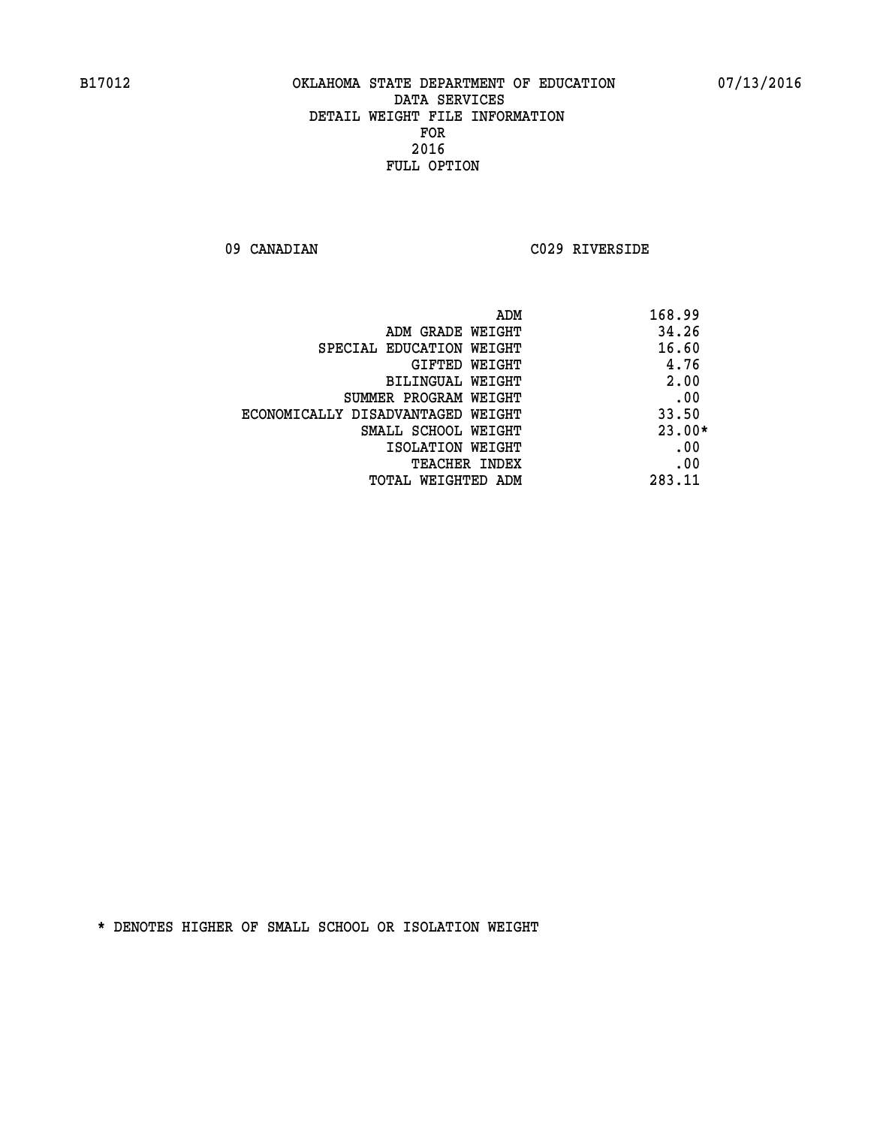**09 CANADIAN C029 RIVERSIDE** 

|                                   | 168.99<br>ADM |  |
|-----------------------------------|---------------|--|
| ADM GRADE WEIGHT                  | 34.26         |  |
| SPECIAL EDUCATION WEIGHT          | 16.60         |  |
| GIFTED WEIGHT                     | 4.76          |  |
| BILINGUAL WEIGHT                  | 2.00          |  |
| SUMMER PROGRAM WEIGHT             | .00           |  |
| ECONOMICALLY DISADVANTAGED WEIGHT | 33.50         |  |
| SMALL SCHOOL WEIGHT               | $23.00*$      |  |
| ISOLATION WEIGHT                  | .00           |  |
| <b>TEACHER INDEX</b>              | .00           |  |
| TOTAL WEIGHTED ADM                | 283.11        |  |
|                                   |               |  |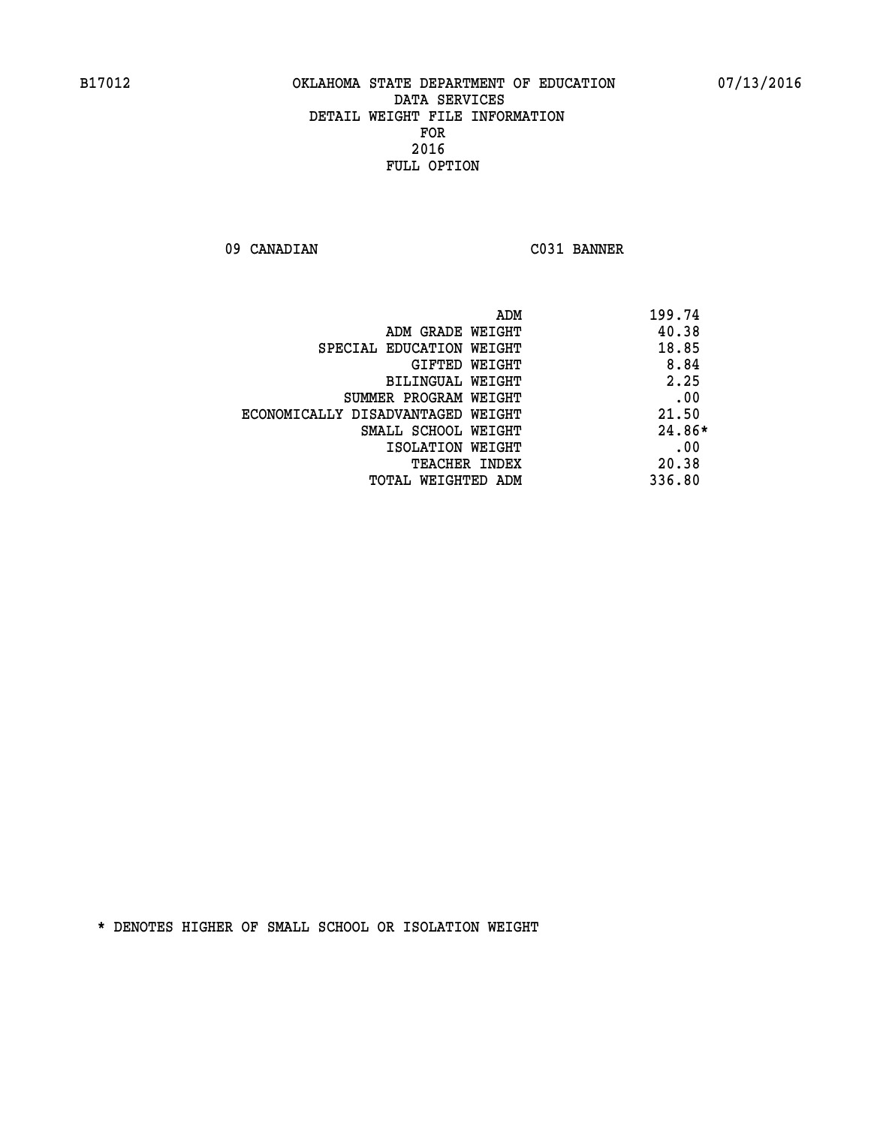**09 CANADIAN C031 BANNER** 

| ADM                               | 199.74   |
|-----------------------------------|----------|
| ADM GRADE WEIGHT                  | 40.38    |
| SPECIAL EDUCATION WEIGHT          | 18.85    |
| GIFTED WEIGHT                     | 8.84     |
| BILINGUAL WEIGHT                  | 2.25     |
| SUMMER PROGRAM WEIGHT             | .00      |
| ECONOMICALLY DISADVANTAGED WEIGHT | 21.50    |
| SMALL SCHOOL WEIGHT               | $24.86*$ |
| ISOLATION WEIGHT                  | .00      |
| <b>TEACHER INDEX</b>              | 20.38    |
| TOTAL WEIGHTED ADM                | 336.80   |
|                                   |          |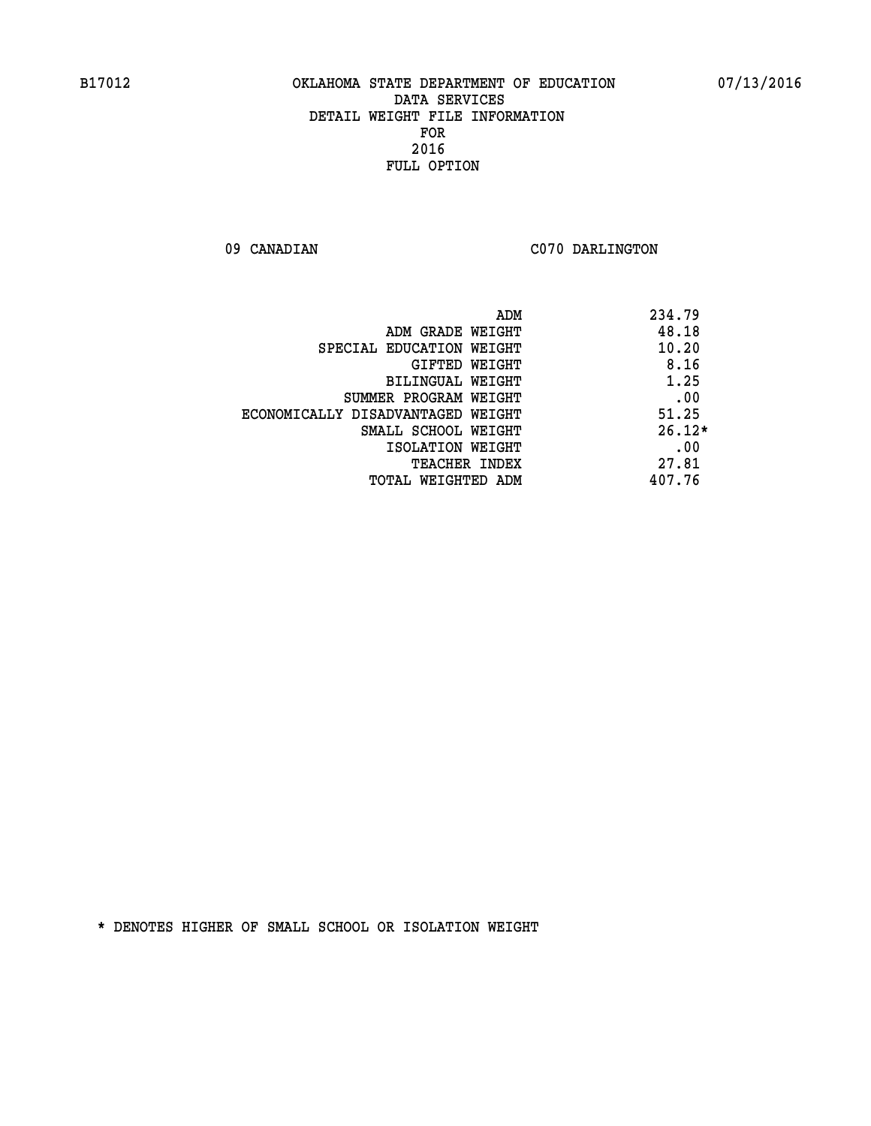09 CANADIAN C070 DARLINGTON

|                                   | 234.79<br>ADM |
|-----------------------------------|---------------|
| ADM GRADE WEIGHT                  | 48.18         |
| SPECIAL EDUCATION WEIGHT          | 10.20         |
| GIFTED WEIGHT                     | 8.16          |
| BILINGUAL WEIGHT                  | 1.25          |
| SUMMER PROGRAM WEIGHT             | .00           |
| ECONOMICALLY DISADVANTAGED WEIGHT | 51.25         |
| SMALL SCHOOL WEIGHT               | $26.12*$      |
| ISOLATION WEIGHT                  | .00           |
| <b>TEACHER INDEX</b>              | 27.81         |
| TOTAL WEIGHTED ADM                | 407.76        |
|                                   |               |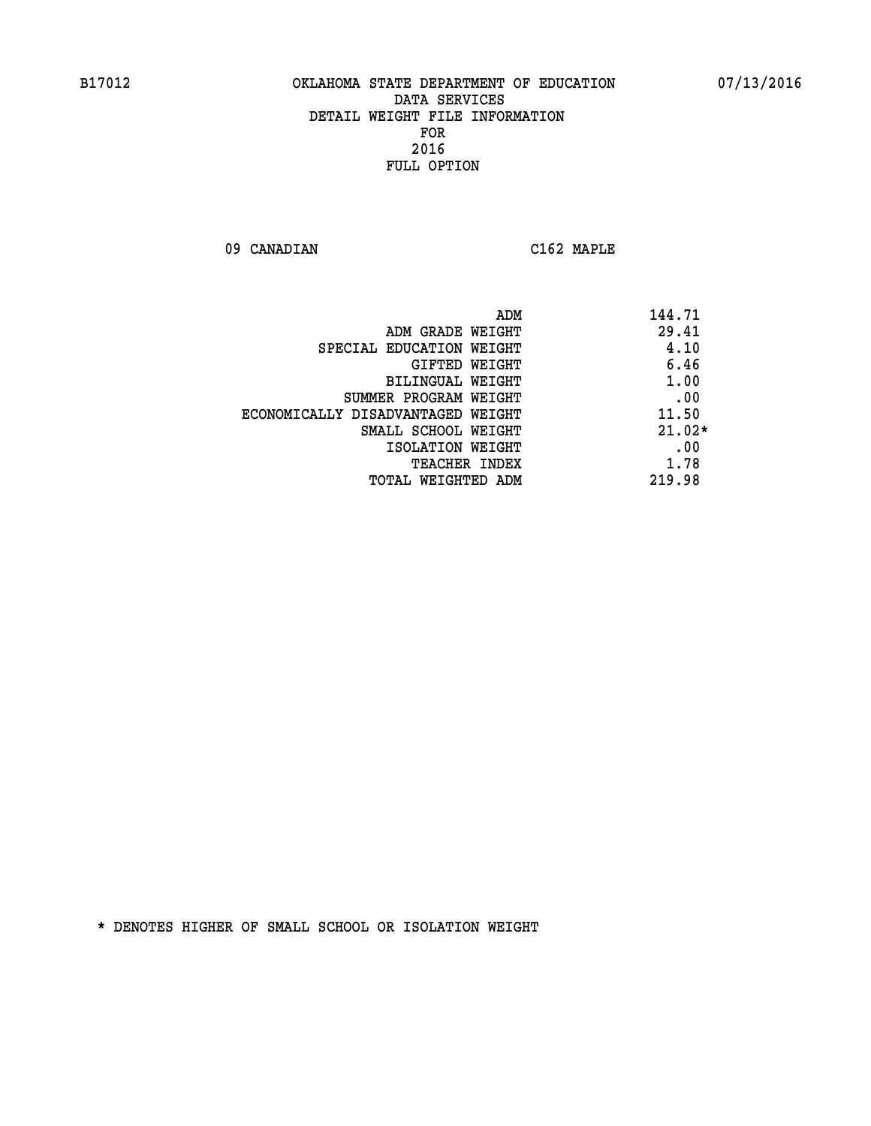**09 CANADIAN C162 MAPLE** 

| ADM                               | 144.71   |
|-----------------------------------|----------|
| ADM GRADE WEIGHT                  | 29.41    |
| SPECIAL EDUCATION WEIGHT          | 4.10     |
| <b>GIFTED WEIGHT</b>              | 6.46     |
| BILINGUAL WEIGHT                  | 1.00     |
| SUMMER PROGRAM WEIGHT             | .00      |
| ECONOMICALLY DISADVANTAGED WEIGHT | 11.50    |
| SMALL SCHOOL WEIGHT               | $21.02*$ |
| ISOLATION WEIGHT                  | .00      |
| <b>TEACHER INDEX</b>              | 1.78     |
| TOTAL WEIGHTED ADM                | 219.98   |
|                                   |          |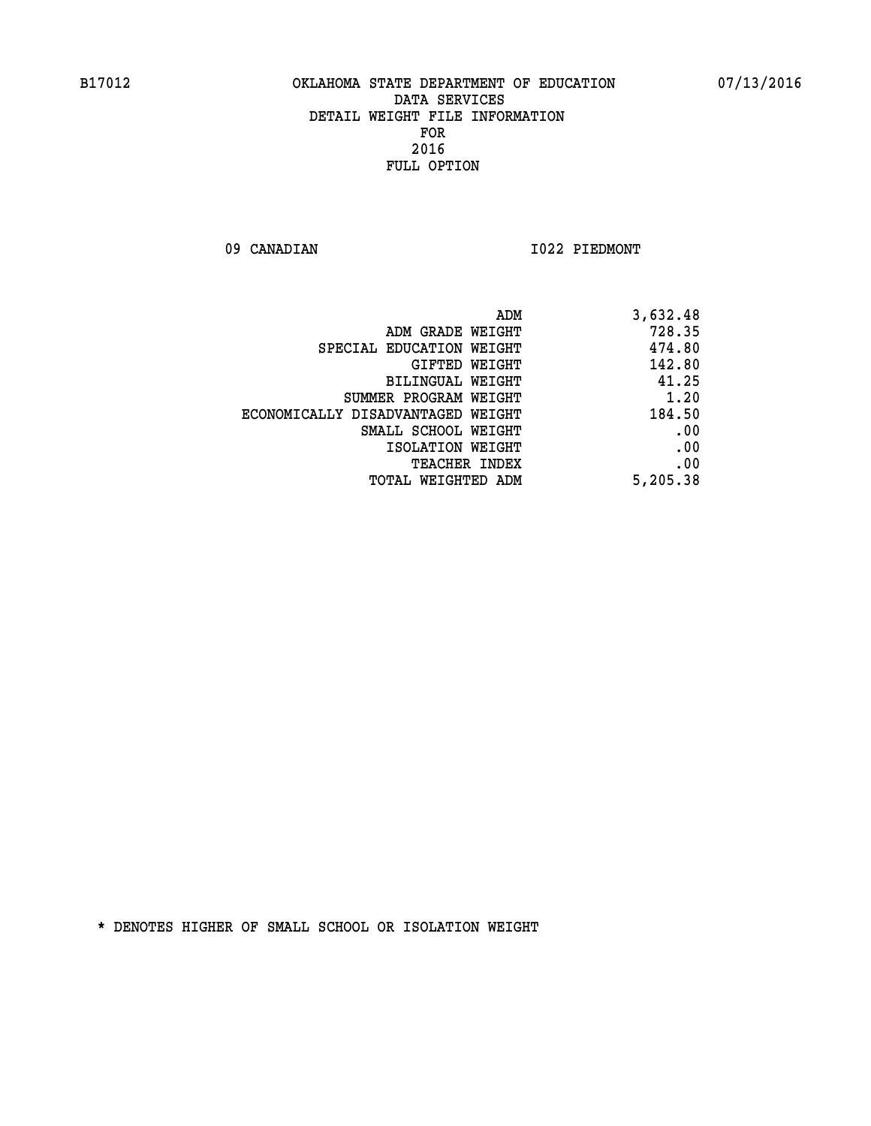09 CANADIAN 1022 PIEDMONT

| ADM                               | 3,632.48 |
|-----------------------------------|----------|
| ADM GRADE WEIGHT                  | 728.35   |
| SPECIAL EDUCATION WEIGHT          | 474.80   |
| GIFTED WEIGHT                     | 142.80   |
| BILINGUAL WEIGHT                  | 41.25    |
| SUMMER PROGRAM WEIGHT             | 1.20     |
| ECONOMICALLY DISADVANTAGED WEIGHT | 184.50   |
| SMALL SCHOOL WEIGHT               | .00      |
| ISOLATION WEIGHT                  | .00      |
| <b>TEACHER INDEX</b>              | .00      |
| <b>TOTAL WEIGHTED ADM</b>         | 5,205.38 |
|                                   |          |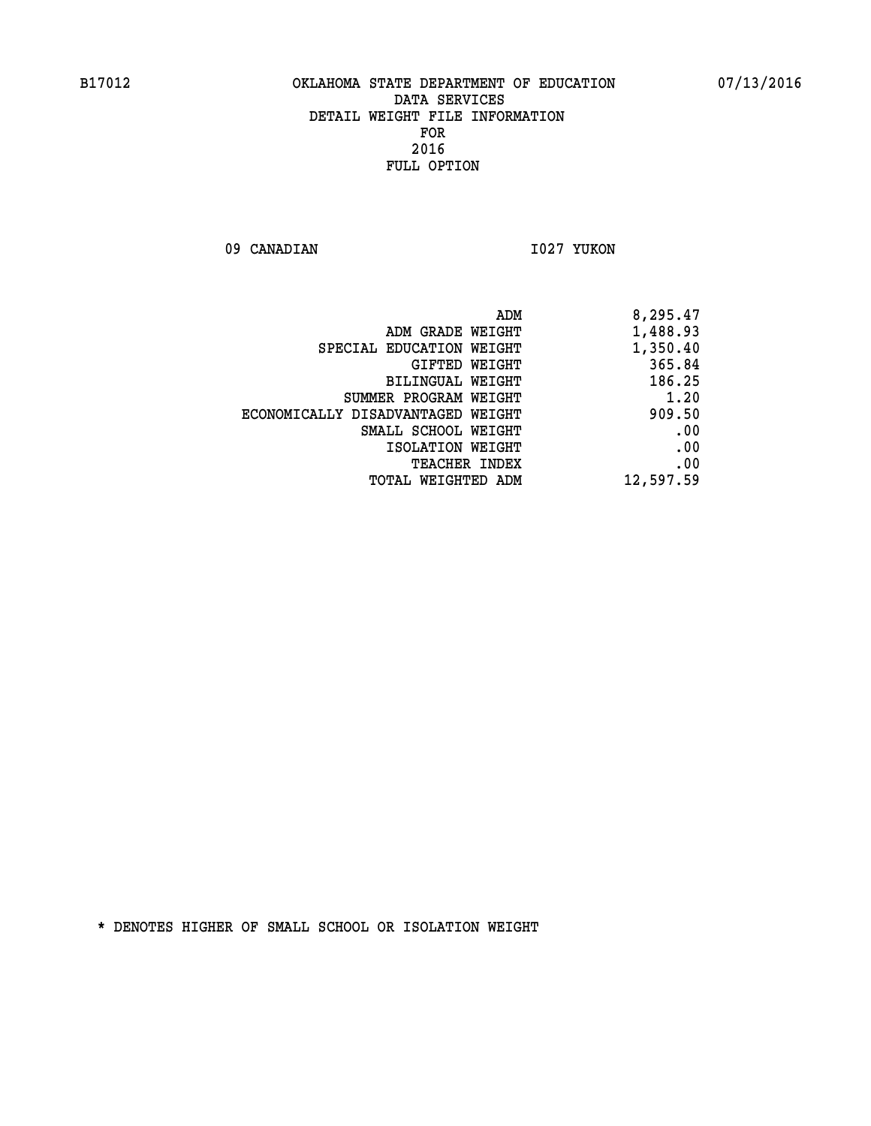09 CANADIAN 1027 YUKON

| 8,295.47  |
|-----------|
| 1,488.93  |
| 1,350.40  |
| 365.84    |
| 186.25    |
| 1.20      |
| 909.50    |
| .00       |
| .00       |
| .00       |
| 12,597.59 |
|           |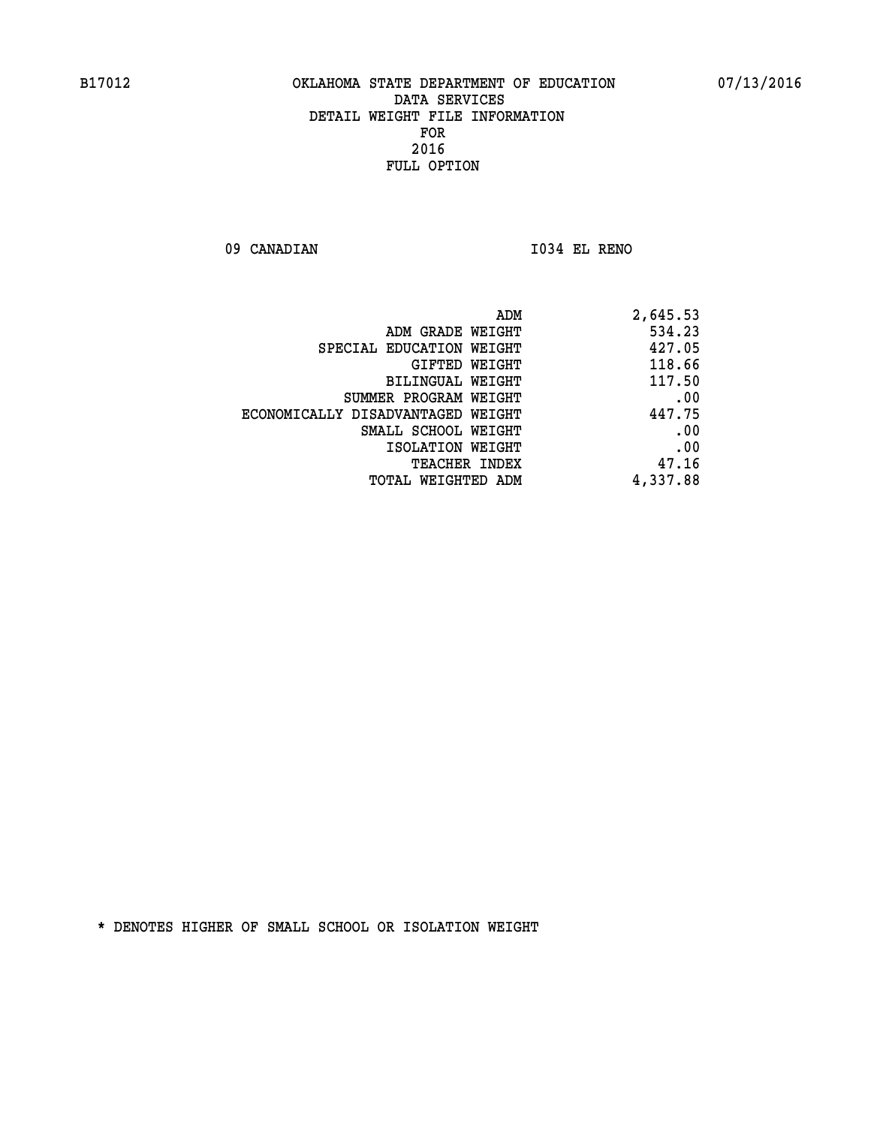**09 CANADIAN I034 EL RENO** 

| 2,645.53 |
|----------|
| 534.23   |
| 427.05   |
| 118.66   |
| 117.50   |
| .00      |
| 447.75   |
| .00      |
| .00      |
| 47.16    |
| 4,337.88 |
|          |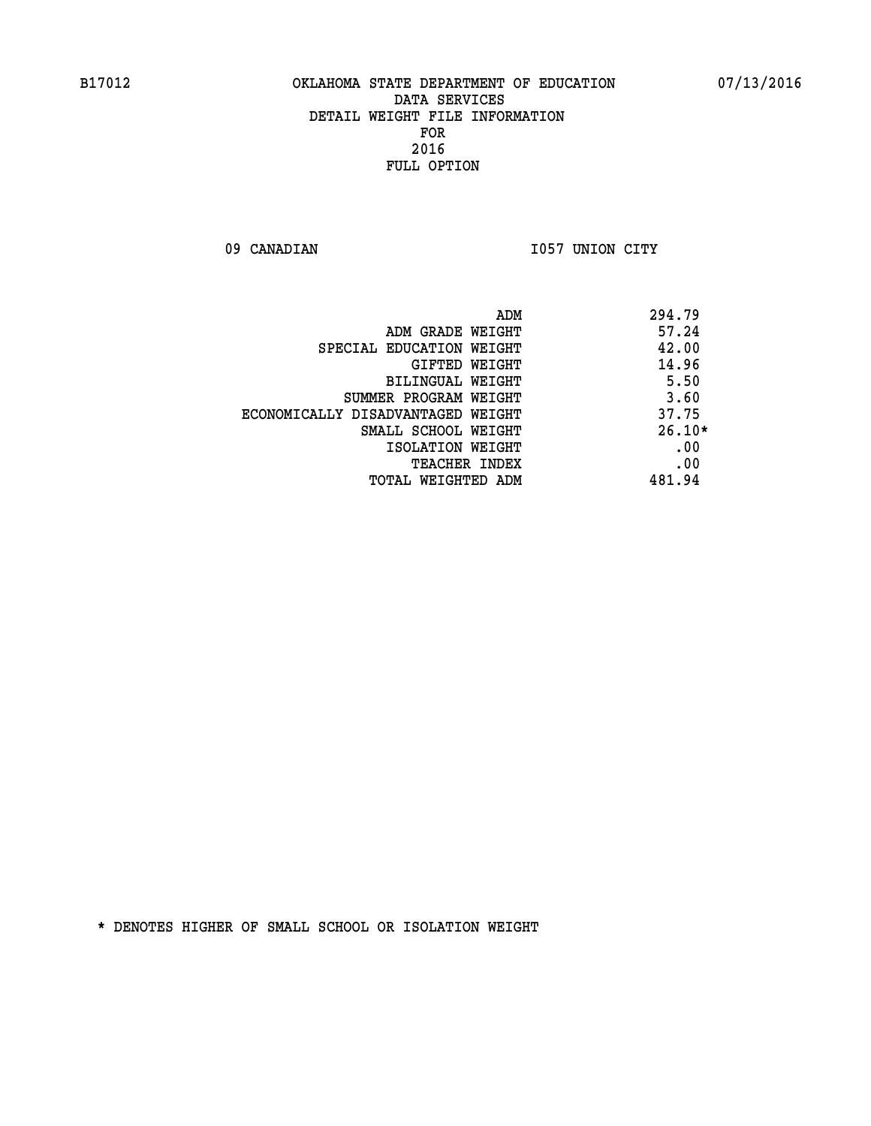09 CANADIAN 1057 UNION CITY

|                                   | 294.79<br>ADM |
|-----------------------------------|---------------|
| ADM GRADE WEIGHT                  | 57.24         |
| SPECIAL EDUCATION WEIGHT          | 42.00         |
| GIFTED WEIGHT                     | 14.96         |
| <b>BILINGUAL WEIGHT</b>           | 5.50          |
| SUMMER PROGRAM WEIGHT             | 3.60          |
| ECONOMICALLY DISADVANTAGED WEIGHT | 37.75         |
| SMALL SCHOOL WEIGHT               | $26.10*$      |
| ISOLATION WEIGHT                  | .00           |
| <b>TEACHER INDEX</b>              | .00           |
| TOTAL WEIGHTED ADM                | 481.94        |
|                                   |               |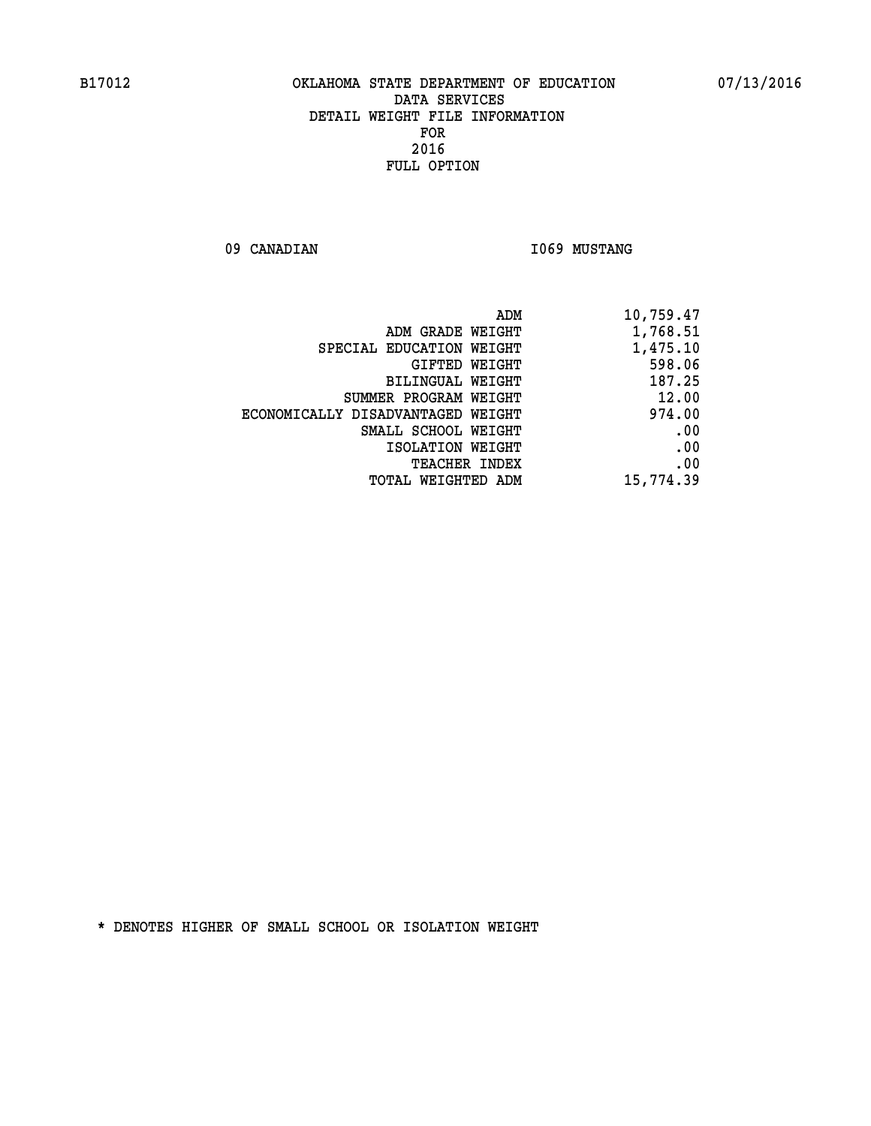09 CANADIAN 1069 MUSTANG

|                                   | ADM<br>10,759.47 |
|-----------------------------------|------------------|
| ADM GRADE WEIGHT                  | 1,768.51         |
| SPECIAL EDUCATION WEIGHT          | 1,475.10         |
| GIFTED WEIGHT                     | 598.06           |
| BILINGUAL WEIGHT                  | 187.25           |
| SUMMER PROGRAM WEIGHT             | 12.00            |
| ECONOMICALLY DISADVANTAGED WEIGHT | 974.00           |
| SMALL SCHOOL WEIGHT               | .00              |
| ISOLATION WEIGHT                  | .00              |
| <b>TEACHER INDEX</b>              | .00              |
| <b>TOTAL WEIGHTED ADM</b>         | 15,774.39        |
|                                   |                  |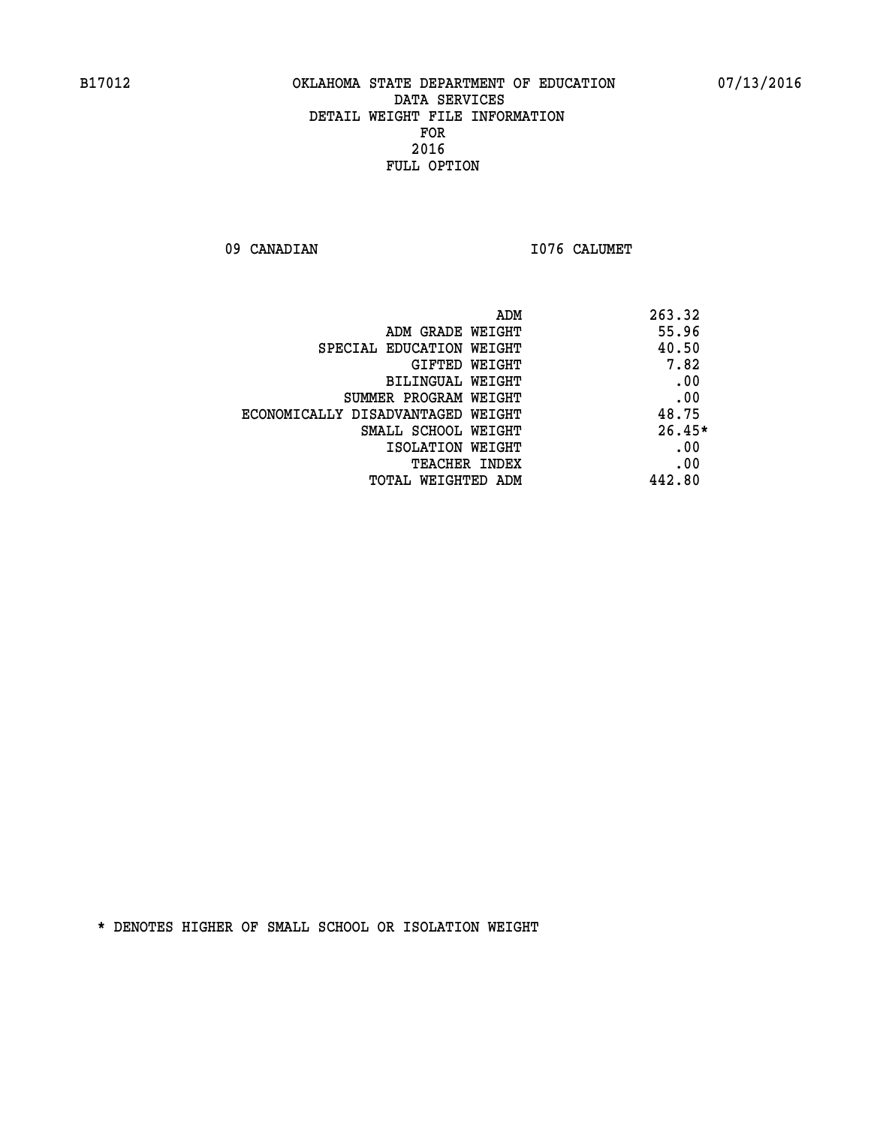09 CANADIAN 1076 CALUMET

|                                   | ADM<br>263.32 |
|-----------------------------------|---------------|
| ADM GRADE WEIGHT                  | 55.96         |
| SPECIAL EDUCATION WEIGHT          | 40.50         |
| GIFTED WEIGHT                     | 7.82          |
| <b>BILINGUAL WEIGHT</b>           | .00           |
| SUMMER PROGRAM WEIGHT             | .00           |
| ECONOMICALLY DISADVANTAGED WEIGHT | 48.75         |
| SMALL SCHOOL WEIGHT               | $26.45*$      |
| ISOLATION WEIGHT                  | .00           |
| <b>TEACHER INDEX</b>              | .00           |
| TOTAL WEIGHTED ADM                | 442.80        |
|                                   |               |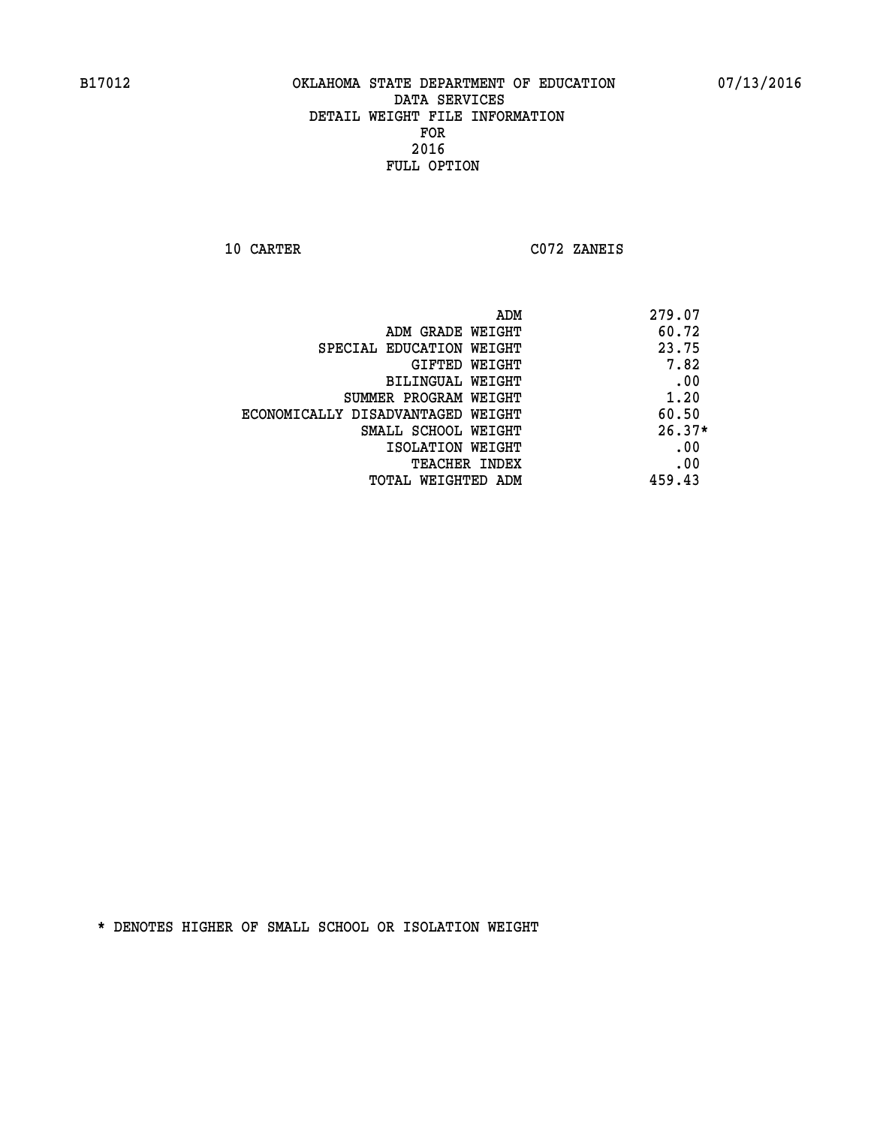**10 CARTER C072 ZANEIS** 

| ADM<br>279.07                              |  |
|--------------------------------------------|--|
| 60.72<br>ADM GRADE WEIGHT                  |  |
| 23.75<br>SPECIAL EDUCATION WEIGHT          |  |
| 7.82<br>GIFTED WEIGHT                      |  |
| .00<br><b>BILINGUAL WEIGHT</b>             |  |
| 1.20<br>SUMMER PROGRAM WEIGHT              |  |
| 60.50<br>ECONOMICALLY DISADVANTAGED WEIGHT |  |
| $26.37*$<br>SMALL SCHOOL WEIGHT            |  |
| .00<br>ISOLATION WEIGHT                    |  |
| .00<br><b>TEACHER INDEX</b>                |  |
| 459.43<br>TOTAL WEIGHTED ADM               |  |
|                                            |  |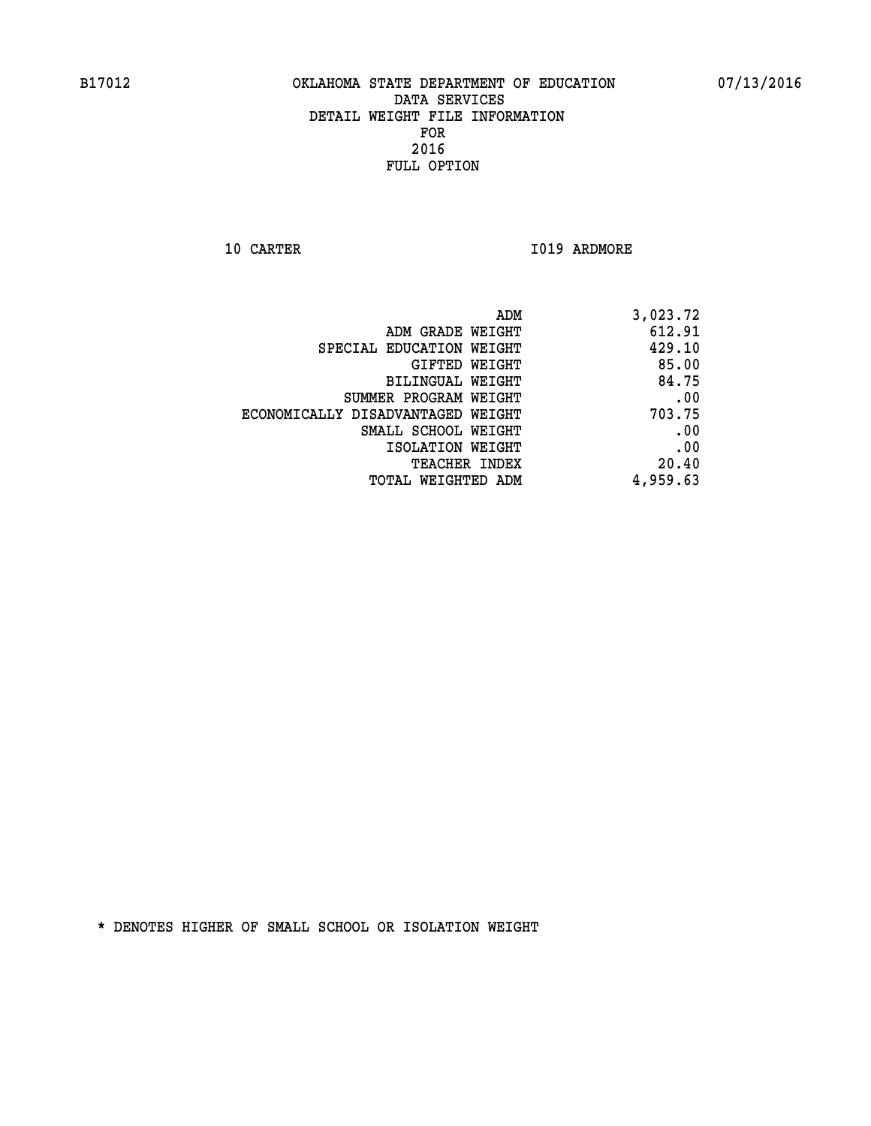**10 CARTER 1019 ARDMORE** 

| 3,023.72 |
|----------|
| 612.91   |
| 429.10   |
| 85.00    |
| 84.75    |
| .00      |
| 703.75   |
| .00      |
| .00      |
| 20.40    |
| 4,959.63 |
|          |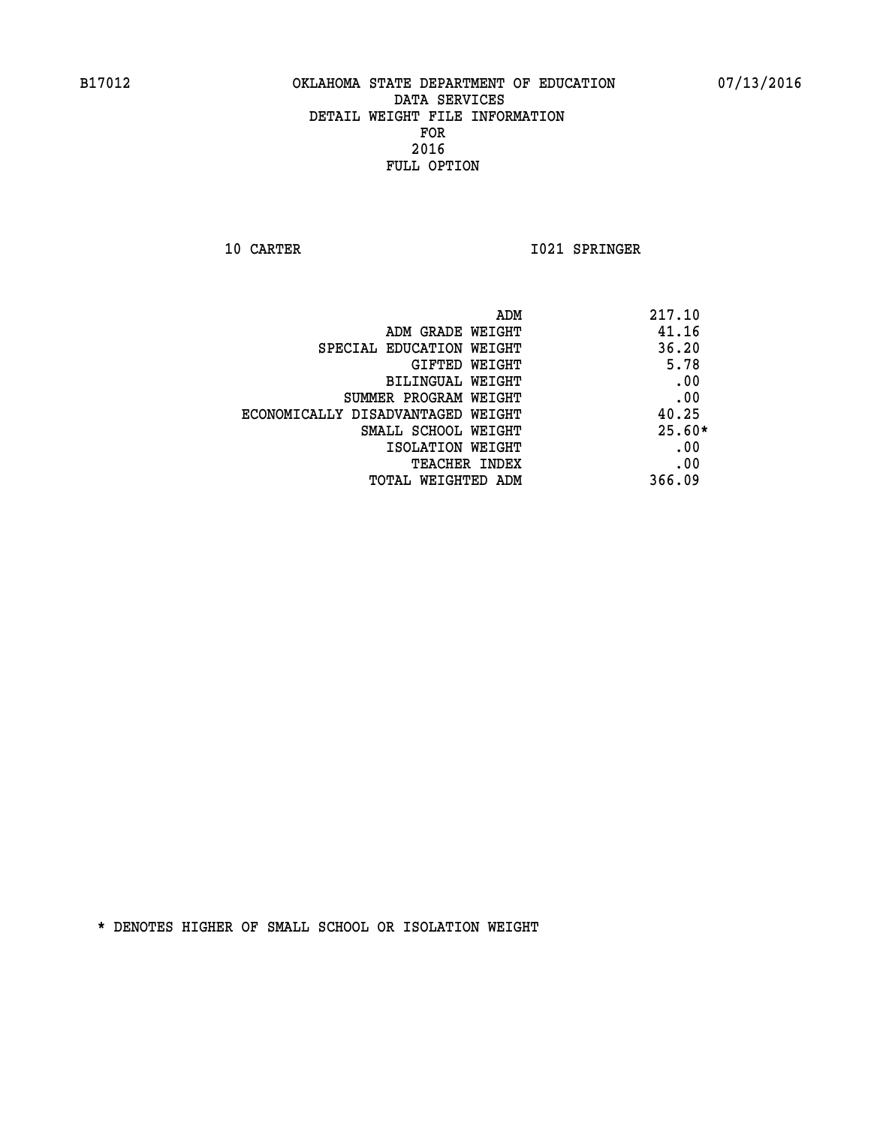**10 CARTER 1021 SPRINGER** 

| ADM                               | 217.10   |
|-----------------------------------|----------|
| ADM GRADE WEIGHT                  | 41.16    |
| SPECIAL EDUCATION WEIGHT          | 36.20    |
| GIFTED WEIGHT                     | 5.78     |
| BILINGUAL WEIGHT                  | .00      |
| SUMMER PROGRAM WEIGHT             | .00      |
| ECONOMICALLY DISADVANTAGED WEIGHT | 40.25    |
| SMALL SCHOOL WEIGHT               | $25.60*$ |
| ISOLATION WEIGHT                  | .00      |
| <b>TEACHER INDEX</b>              | .00      |
| TOTAL WEIGHTED ADM                | 366.09   |
|                                   |          |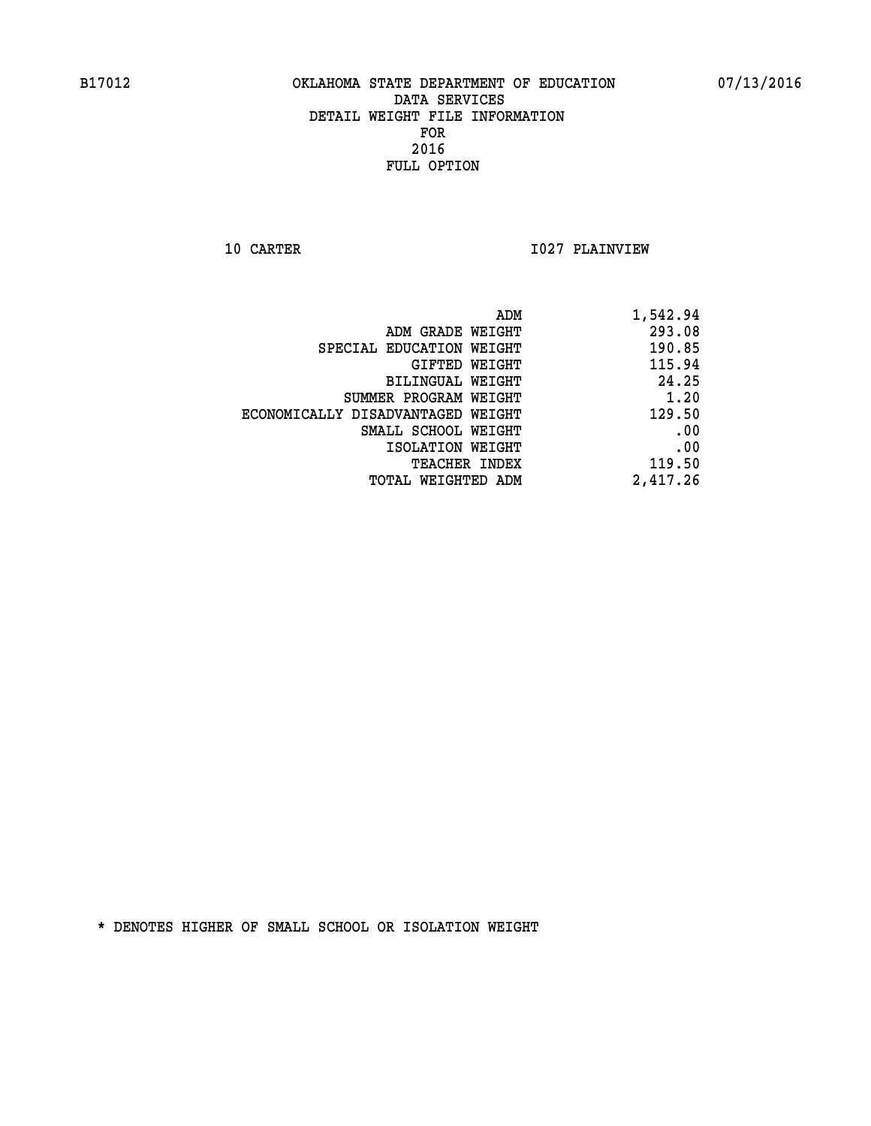**10 CARTER 1027 PLAINVIEW** 

| 1,542.94 |
|----------|
| 293.08   |
| 190.85   |
| 115.94   |
| 24.25    |
| 1.20     |
| 129.50   |
| .00      |
| .00      |
| 119.50   |
| 2,417.26 |
|          |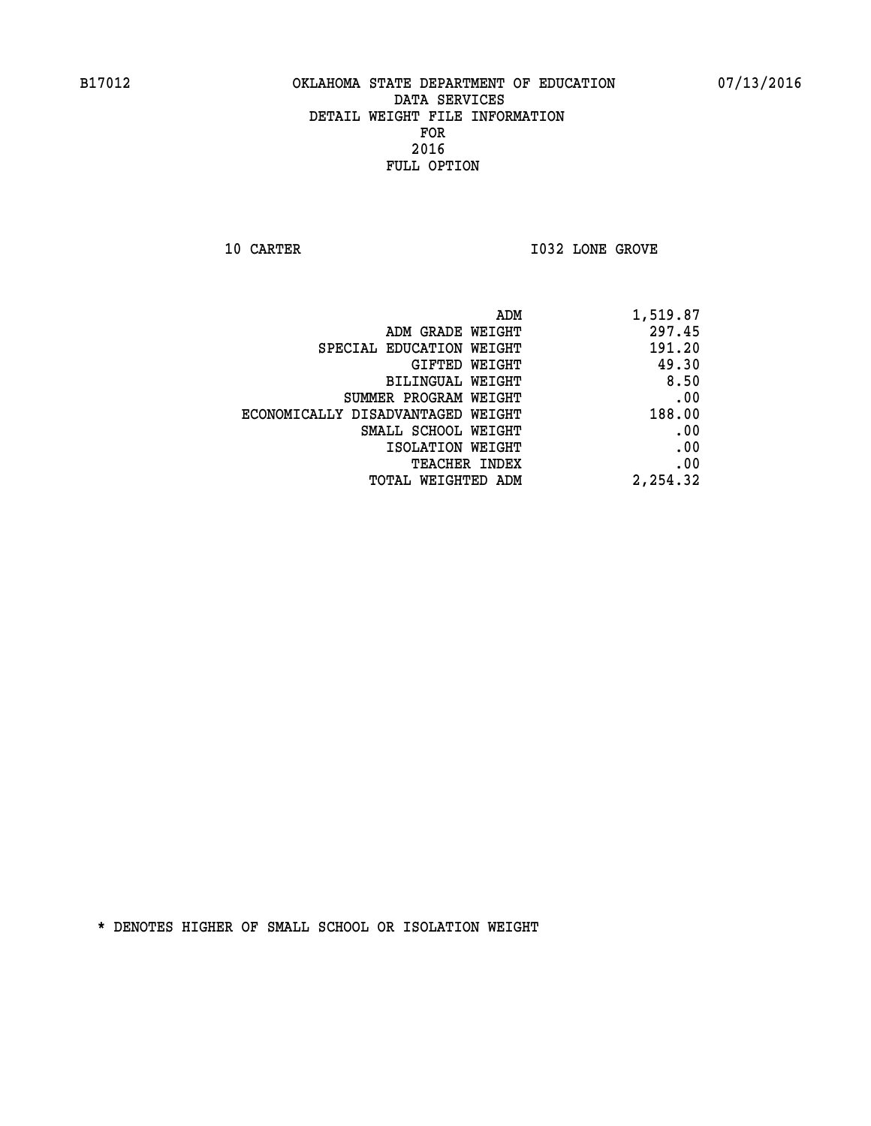**10 CARTER 10 CARTER 1032 LONE GROVE** 

| ADM                               | 1,519.87 |
|-----------------------------------|----------|
| ADM GRADE WEIGHT                  | 297.45   |
| SPECIAL EDUCATION WEIGHT          | 191.20   |
| <b>GIFTED WEIGHT</b>              | 49.30    |
| BILINGUAL WEIGHT                  | 8.50     |
| SUMMER PROGRAM WEIGHT             | .00      |
| ECONOMICALLY DISADVANTAGED WEIGHT | 188.00   |
| SMALL SCHOOL WEIGHT               | .00      |
| ISOLATION WEIGHT                  | .00      |
| <b>TEACHER INDEX</b>              | .00      |
| <b>TOTAL WEIGHTED ADM</b>         | 2,254.32 |
|                                   |          |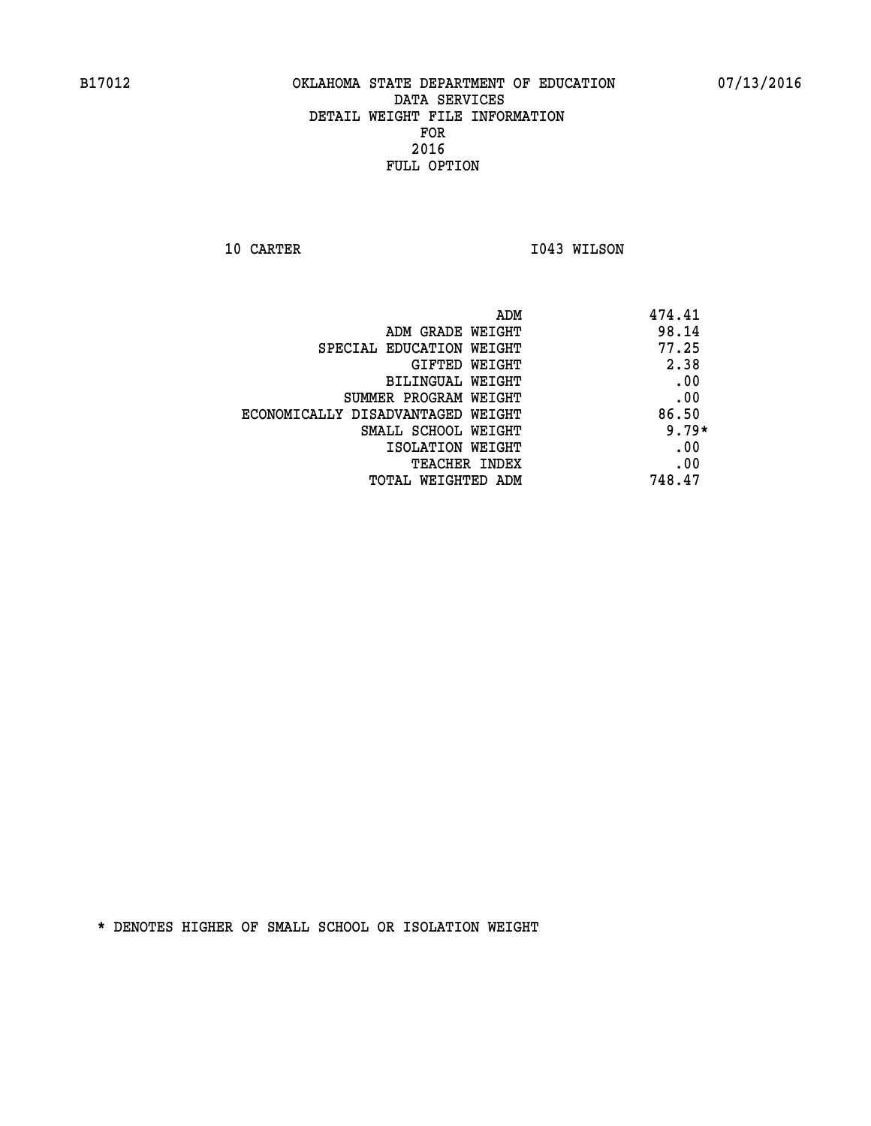**10 CARTER 1043 WILSON** 

| ADM<br>474.41 |                                   |
|---------------|-----------------------------------|
| 98.14         | ADM GRADE WEIGHT                  |
| 77.25         | SPECIAL EDUCATION WEIGHT          |
| 2.38          | GIFTED WEIGHT                     |
| .00           | BILINGUAL WEIGHT                  |
| .00           | SUMMER PROGRAM WEIGHT             |
| 86.50         | ECONOMICALLY DISADVANTAGED WEIGHT |
| $9.79*$       | SMALL SCHOOL WEIGHT               |
| .00           | ISOLATION WEIGHT                  |
| .00           | <b>TEACHER INDEX</b>              |
| 748.47        | TOTAL WEIGHTED ADM                |
|               |                                   |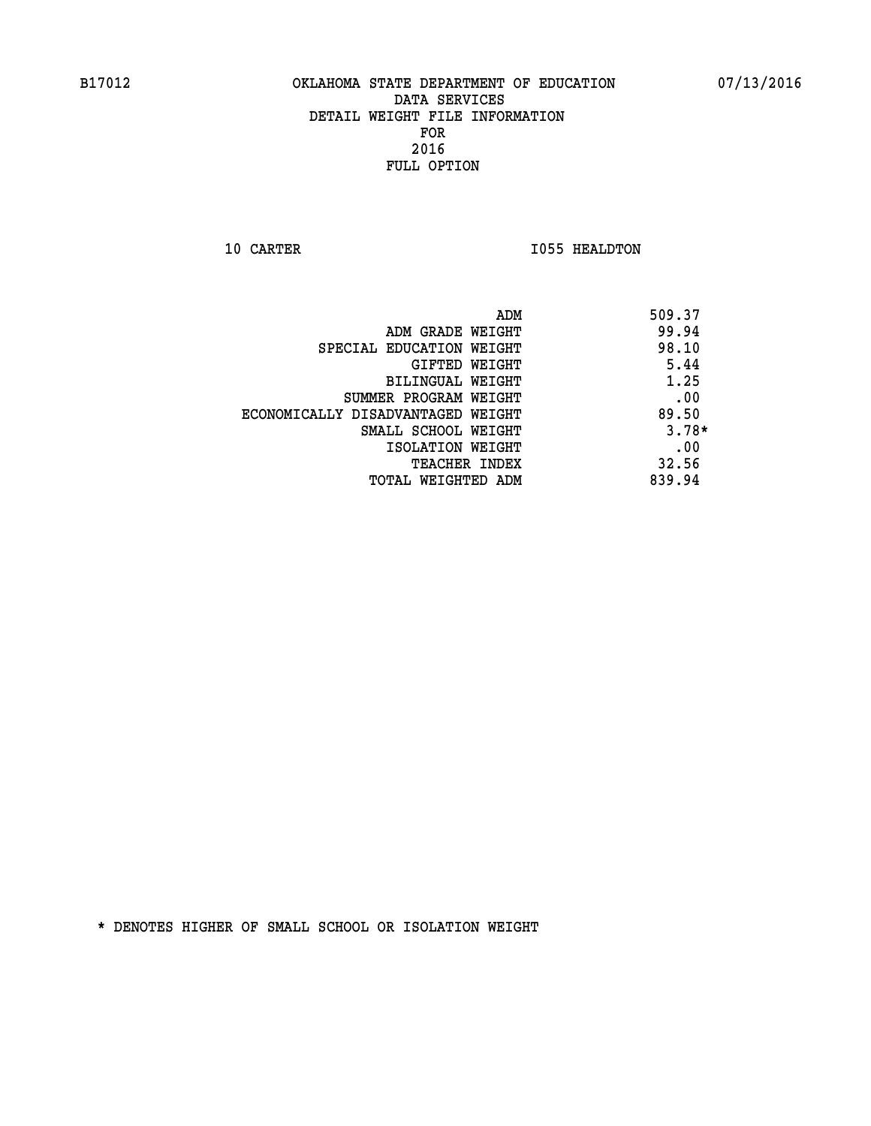**10 CARTER 1055 HEALDTON** 

| ADM                               | 509.37  |
|-----------------------------------|---------|
| ADM GRADE WEIGHT                  | 99.94   |
| SPECIAL EDUCATION WEIGHT          | 98.10   |
| GIFTED WEIGHT                     | 5.44    |
| <b>BILINGUAL WEIGHT</b>           | 1.25    |
| SUMMER PROGRAM WEIGHT             | .00     |
| ECONOMICALLY DISADVANTAGED WEIGHT | 89.50   |
| SMALL SCHOOL WEIGHT               | $3.78*$ |
| ISOLATION WEIGHT                  | .00     |
| <b>TEACHER INDEX</b>              | 32.56   |
| TOTAL WEIGHTED ADM                | 839.94  |
|                                   |         |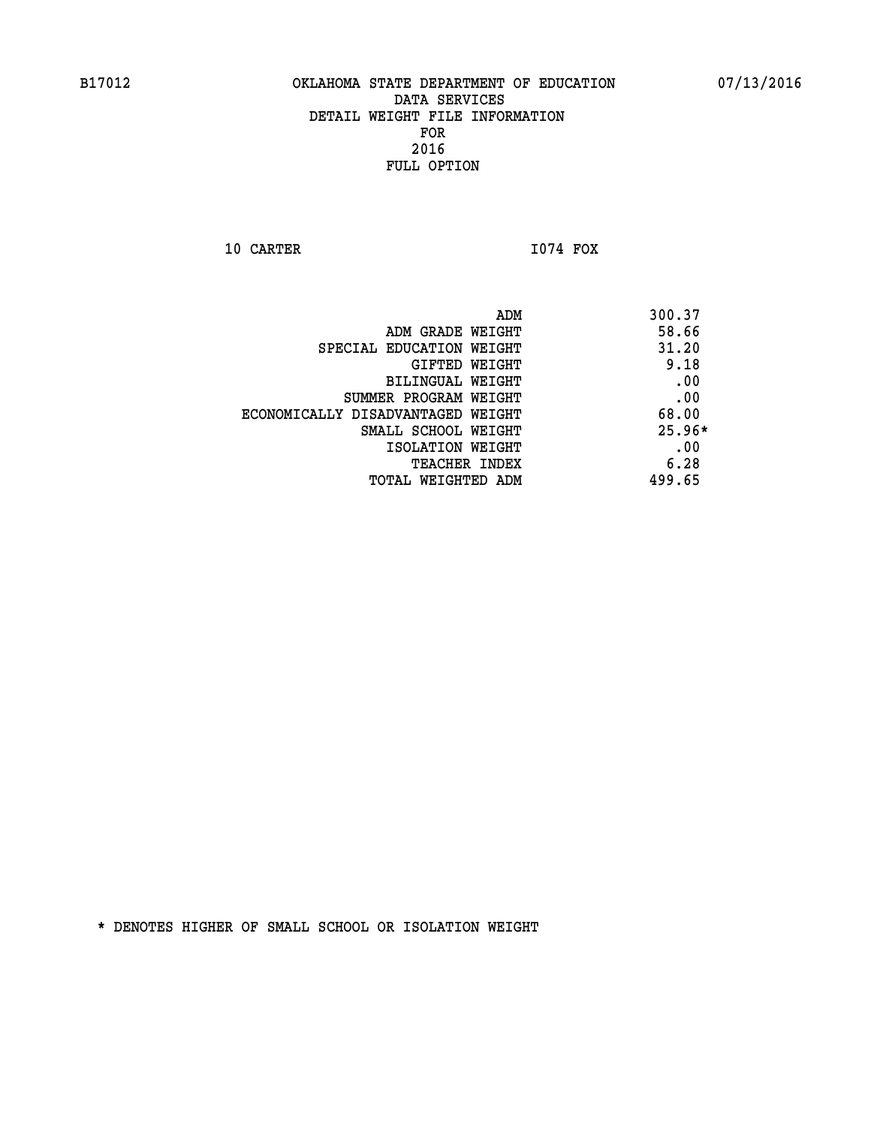**10 CARTER I074 FOX** 

 **ADM 300.37 EXAMPLE WEIGHT 58.66 SPECIAL EDUCATION WEIGHT 41.20 GIFTED WEIGHT** 9.18 **BILINGUAL WEIGHT .00 SUMMER PROGRAM WEIGHT .00 ECONOMICALLY DISADVANTAGED WEIGHT 68.00 SMALL SCHOOL WEIGHT 25.96\* EXECUTED ISOLATION WEIGHT AND RESOLATION WEIGHT TEACHER INDEX** 6.28  **TOTAL WEIGHTED ADM 499.65**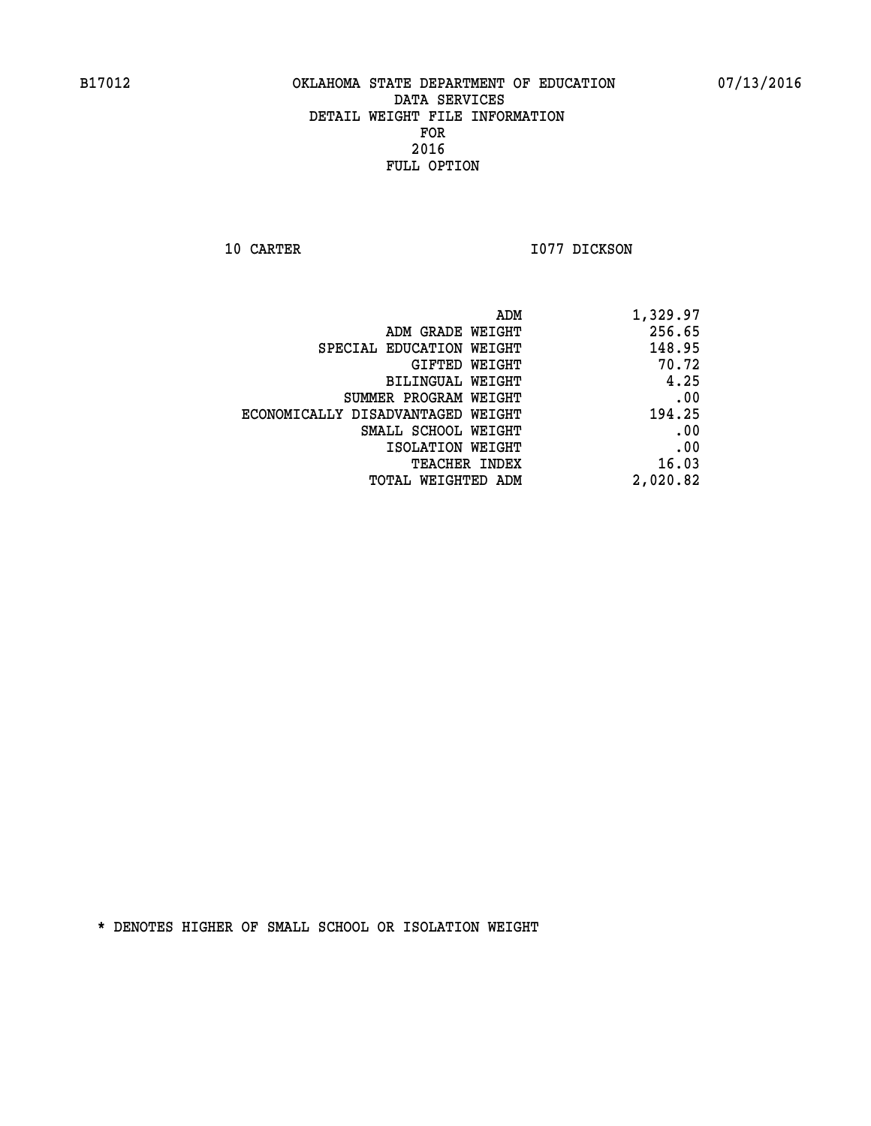**10 CARTER 1077 DICKSON** 

|                                   | ADM<br>1,329.97 |  |
|-----------------------------------|-----------------|--|
| ADM GRADE WEIGHT                  | 256.65          |  |
| SPECIAL EDUCATION WEIGHT          | 148.95          |  |
| GIFTED WEIGHT                     | 70.72           |  |
| <b>BILINGUAL WEIGHT</b>           | 4.25            |  |
| SUMMER PROGRAM WEIGHT             | .00             |  |
| ECONOMICALLY DISADVANTAGED WEIGHT | 194.25          |  |
| SMALL SCHOOL WEIGHT               | .00             |  |
| ISOLATION WEIGHT                  | .00             |  |
| TEACHER INDEX                     | 16.03           |  |
| TOTAL WEIGHTED ADM                | 2,020.82        |  |
|                                   |                 |  |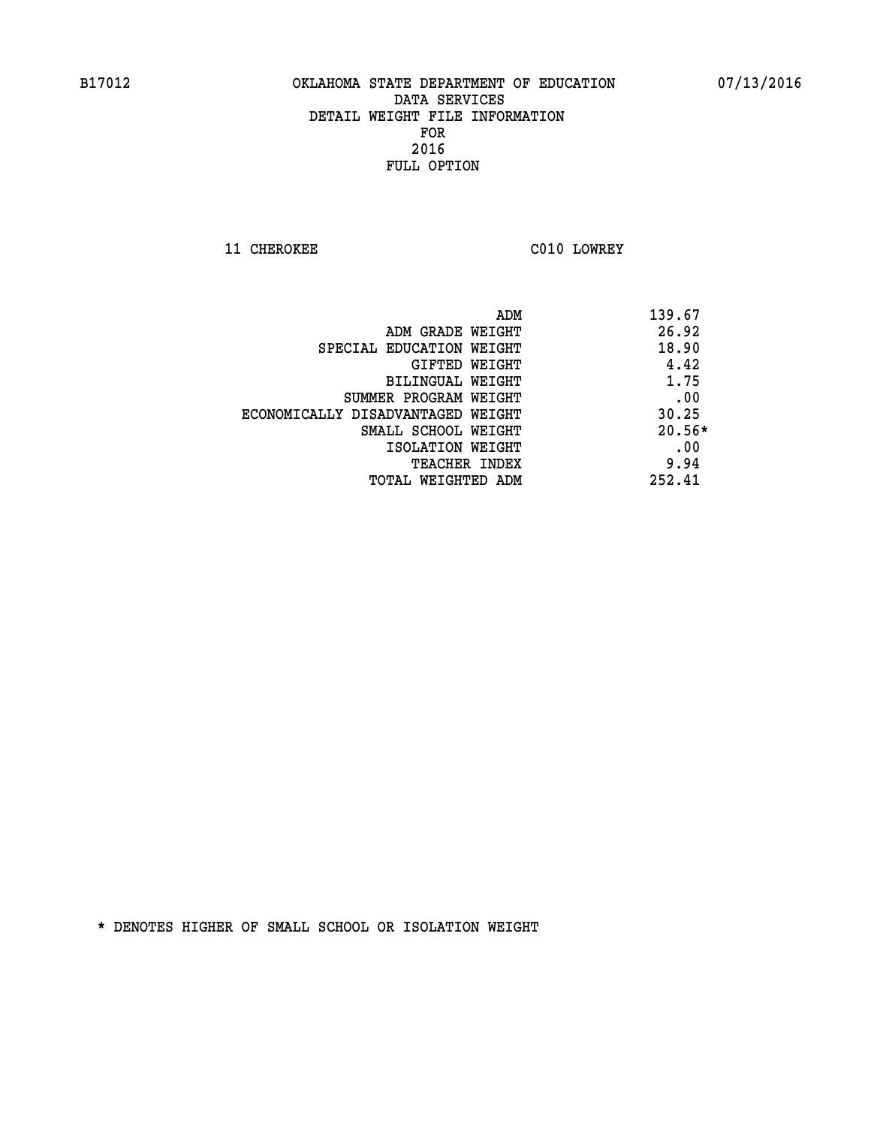**11 CHEROKEE C010 LOWREY** 

| ADM                               | 139.67   |
|-----------------------------------|----------|
| ADM GRADE WEIGHT                  | 26.92    |
| SPECIAL EDUCATION WEIGHT          | 18.90    |
| GIFTED WEIGHT                     | 4.42     |
| BILINGUAL WEIGHT                  | 1.75     |
| SUMMER PROGRAM WEIGHT             | .00      |
| ECONOMICALLY DISADVANTAGED WEIGHT | 30.25    |
| SMALL SCHOOL WEIGHT               | $20.56*$ |
| ISOLATION WEIGHT                  | .00      |
| <b>TEACHER INDEX</b>              | 9.94     |
| TOTAL WEIGHTED ADM                | 252.41   |
|                                   |          |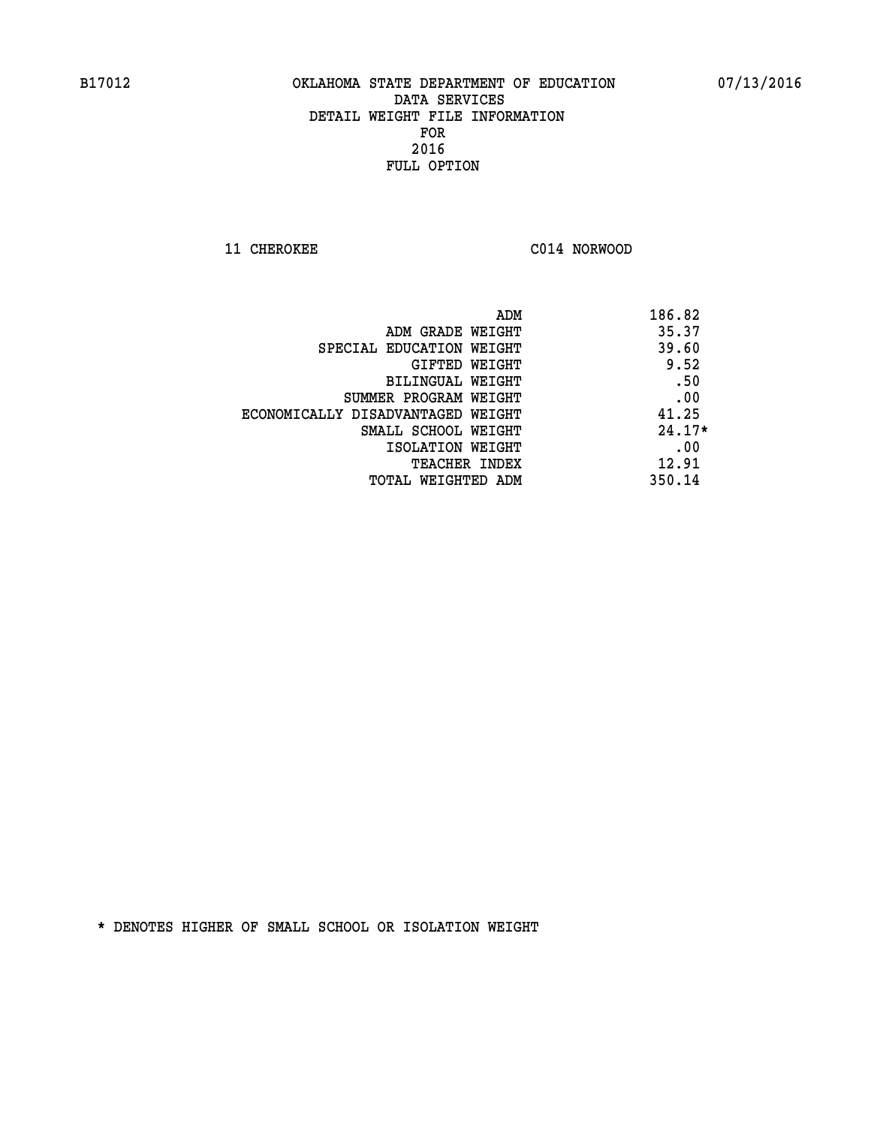**11 CHEROKEE C014 NORWOOD** 

| ADM                               | 186.82   |
|-----------------------------------|----------|
| ADM GRADE WEIGHT                  | 35.37    |
| SPECIAL EDUCATION WEIGHT          | 39.60    |
| GIFTED WEIGHT                     | 9.52     |
| BILINGUAL WEIGHT                  | .50      |
| SUMMER PROGRAM WEIGHT             | .00      |
| ECONOMICALLY DISADVANTAGED WEIGHT | 41.25    |
| SMALL SCHOOL WEIGHT               | $24.17*$ |
| ISOLATION WEIGHT                  | .00      |
| <b>TEACHER INDEX</b>              | 12.91    |
| TOTAL WEIGHTED ADM                | 350.14   |
|                                   |          |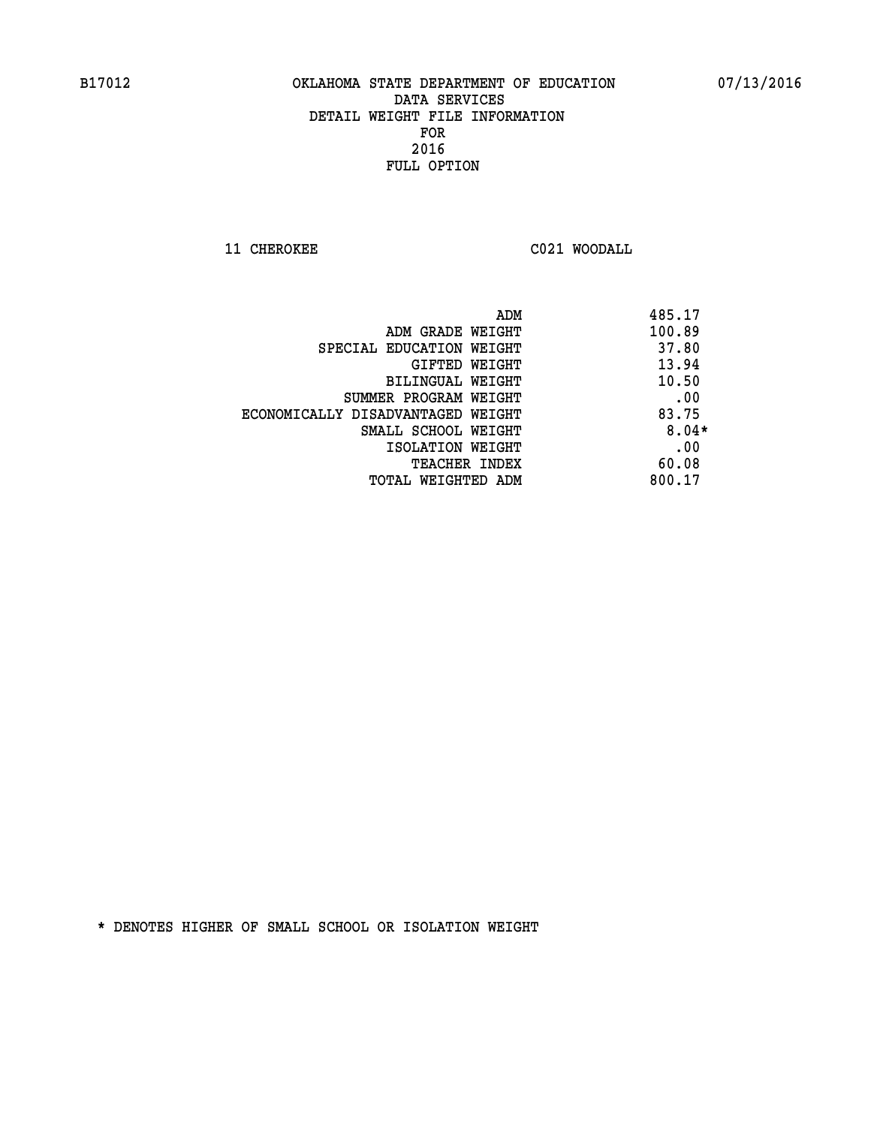**11 CHEROKEE C021 WOODALL** 

|                                   | ADM | 485.17  |
|-----------------------------------|-----|---------|
| ADM GRADE WEIGHT                  |     | 100.89  |
| SPECIAL EDUCATION WEIGHT          |     | 37.80   |
| GIFTED WEIGHT                     |     | 13.94   |
| BILINGUAL WEIGHT                  |     | 10.50   |
| SUMMER PROGRAM WEIGHT             |     | .00     |
| ECONOMICALLY DISADVANTAGED WEIGHT |     | 83.75   |
| SMALL SCHOOL WEIGHT               |     | $8.04*$ |
| ISOLATION WEIGHT                  |     | .00     |
| <b>TEACHER INDEX</b>              |     | 60.08   |
| TOTAL WEIGHTED ADM                |     | 800.17  |
|                                   |     |         |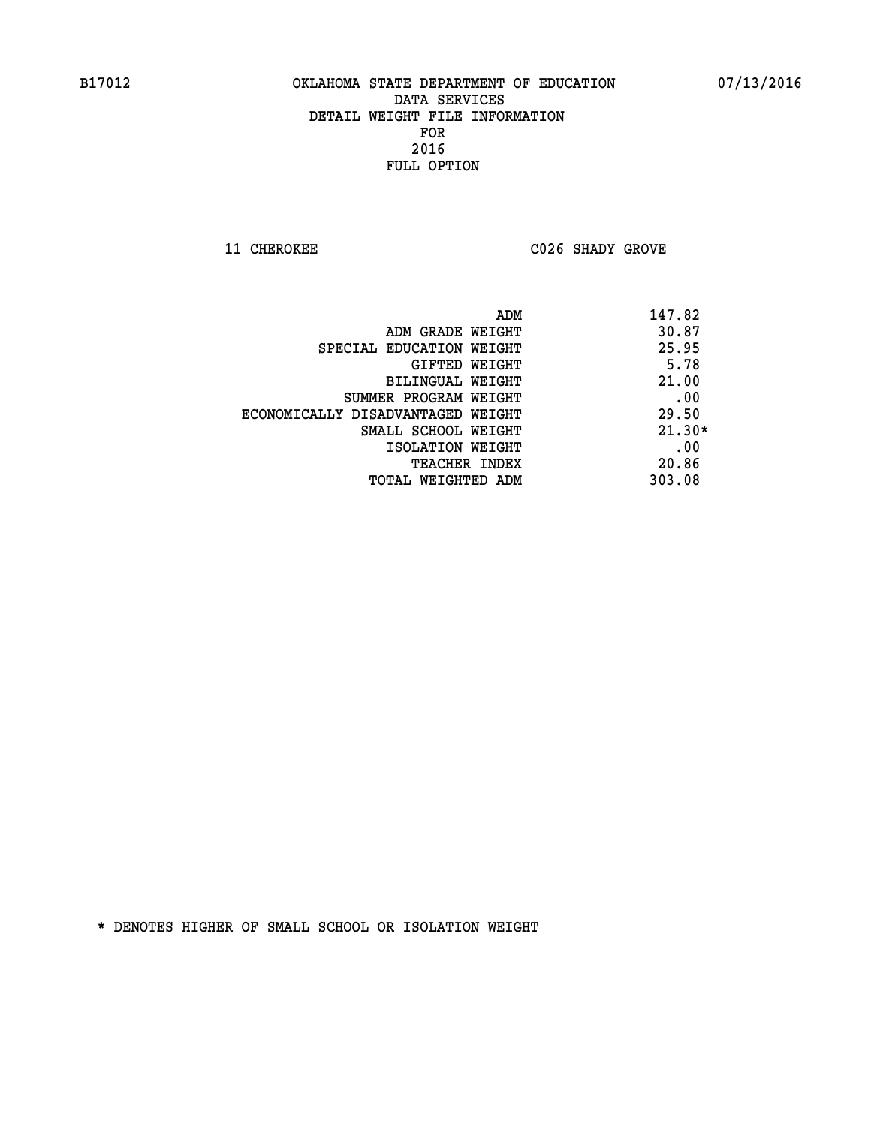**11 CHEROKEE C026 SHADY GROVE** 

|                                   | 147.82<br>ADM |
|-----------------------------------|---------------|
| ADM GRADE WEIGHT                  | 30.87         |
| SPECIAL EDUCATION WEIGHT          | 25.95         |
| GIFTED WEIGHT                     | 5.78          |
| BILINGUAL WEIGHT                  | 21.00         |
| SUMMER PROGRAM WEIGHT             | .00           |
| ECONOMICALLY DISADVANTAGED WEIGHT | 29.50         |
| SMALL SCHOOL WEIGHT               | $21.30*$      |
| ISOLATION WEIGHT                  | .00           |
| <b>TEACHER INDEX</b>              | 20.86         |
| TOTAL WEIGHTED ADM                | 303.08        |
|                                   |               |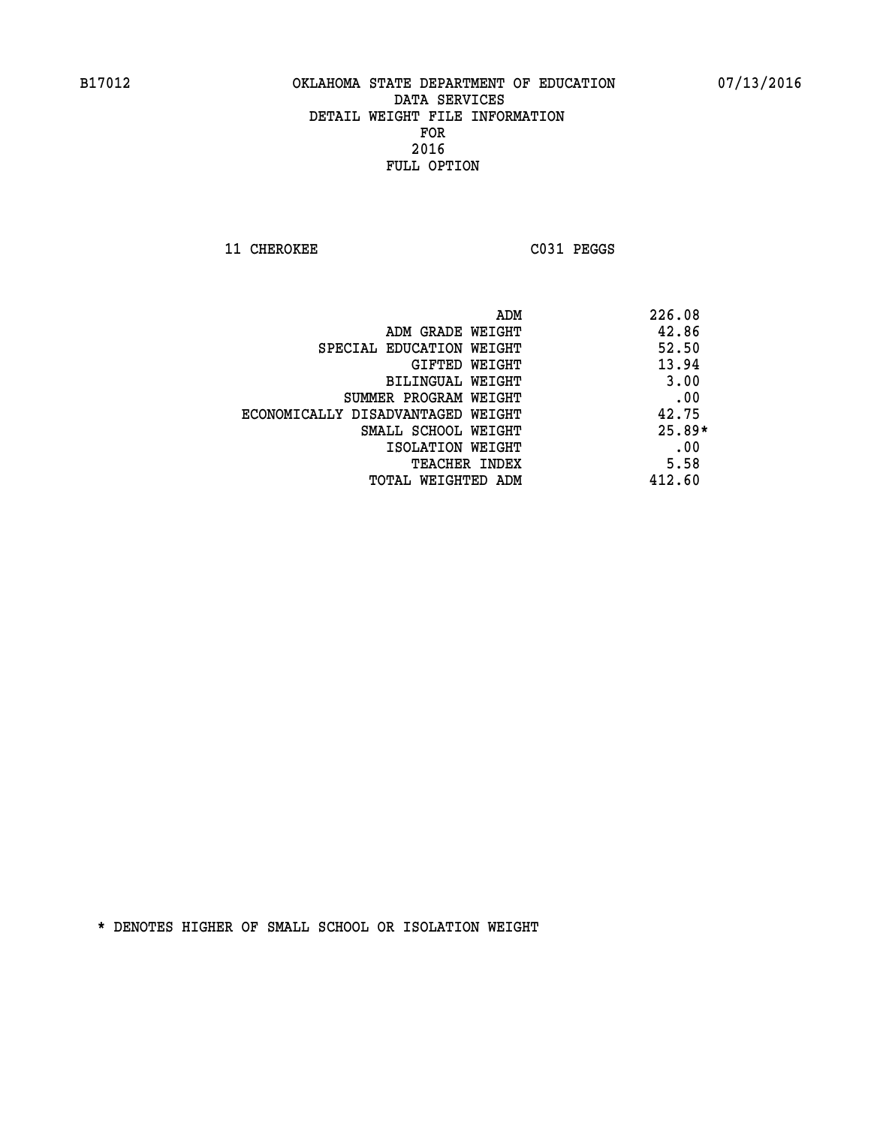**11 CHEROKEE C031 PEGGS** 

| ADM                               | 226.08   |
|-----------------------------------|----------|
| ADM GRADE WEIGHT                  | 42.86    |
| SPECIAL EDUCATION WEIGHT          | 52.50    |
| <b>GIFTED WEIGHT</b>              | 13.94    |
| BILINGUAL WEIGHT                  | 3.00     |
| SUMMER PROGRAM WEIGHT             | .00      |
| ECONOMICALLY DISADVANTAGED WEIGHT | 42.75    |
| SMALL SCHOOL WEIGHT               | $25.89*$ |
| ISOLATION WEIGHT                  | .00      |
| <b>TEACHER INDEX</b>              | 5.58     |
| TOTAL WEIGHTED ADM                | 412.60   |
|                                   |          |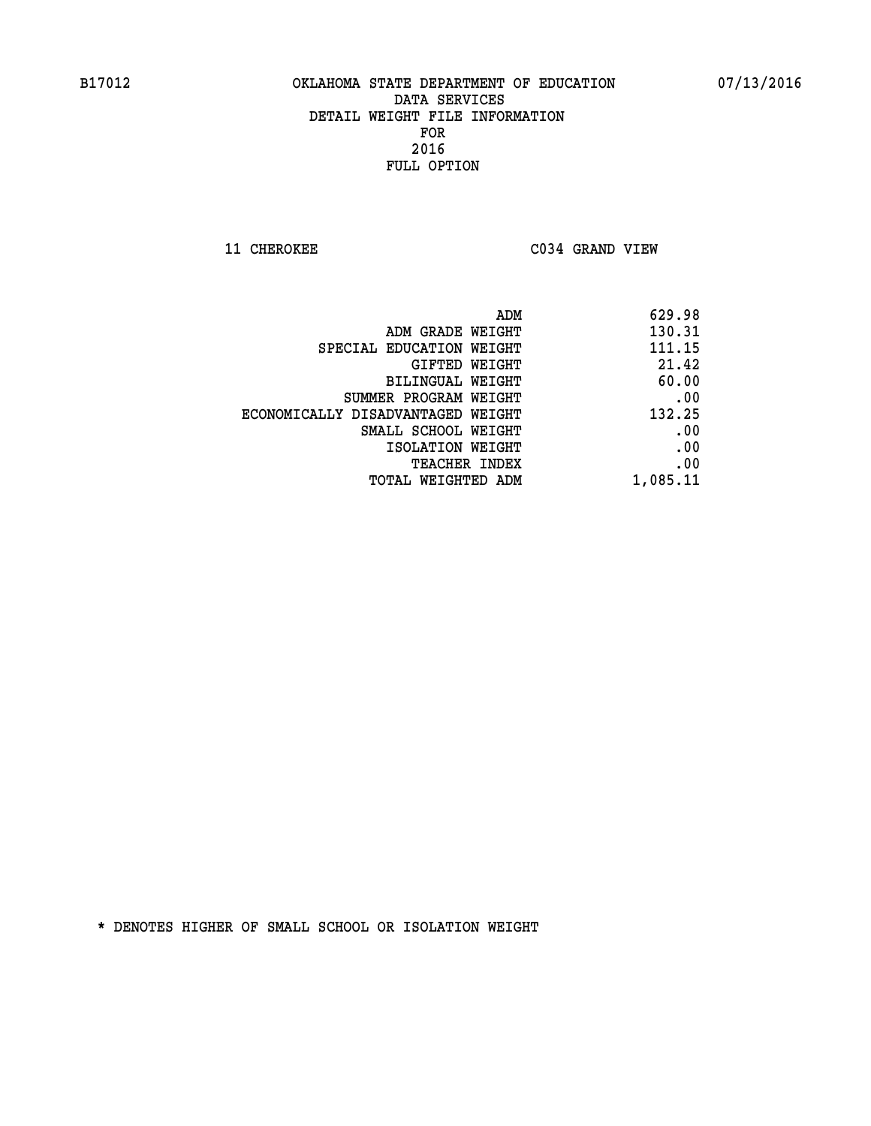**11 CHEROKEE C034 GRAND VIEW** 

| 629.98   |
|----------|
| 130.31   |
| 111.15   |
| 21.42    |
| 60.00    |
| .00      |
| 132.25   |
| .00      |
| .00      |
| .00      |
| 1,085.11 |
|          |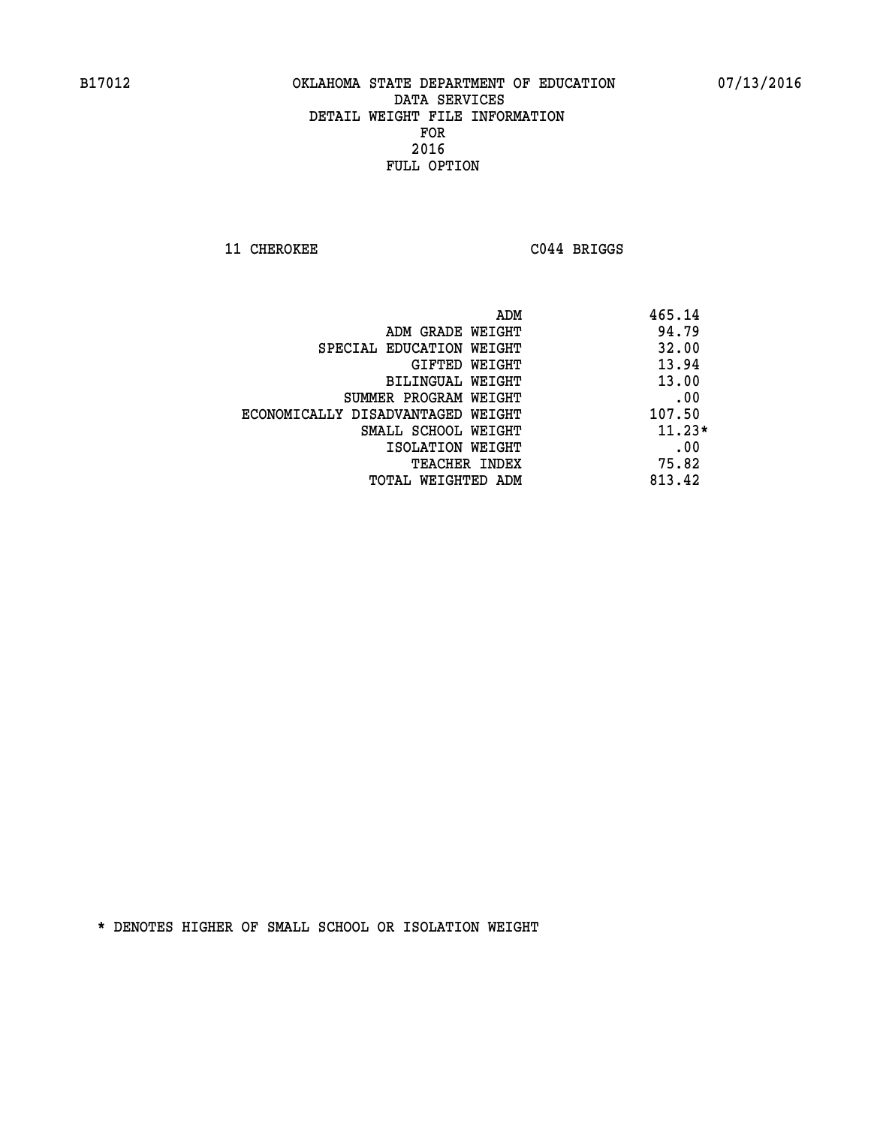**11 CHEROKEE C044 BRIGGS** 

|                                   | ADM | 465.14   |
|-----------------------------------|-----|----------|
| ADM GRADE WEIGHT                  |     | 94.79    |
| SPECIAL EDUCATION WEIGHT          |     | 32.00    |
| GIFTED WEIGHT                     |     | 13.94    |
| BILINGUAL WEIGHT                  |     | 13.00    |
| SUMMER PROGRAM WEIGHT             |     | .00      |
| ECONOMICALLY DISADVANTAGED WEIGHT |     | 107.50   |
| SMALL SCHOOL WEIGHT               |     | $11.23*$ |
| ISOLATION WEIGHT                  |     | .00      |
| TEACHER INDEX                     |     | 75.82    |
| TOTAL WEIGHTED ADM                |     | 813.42   |
|                                   |     |          |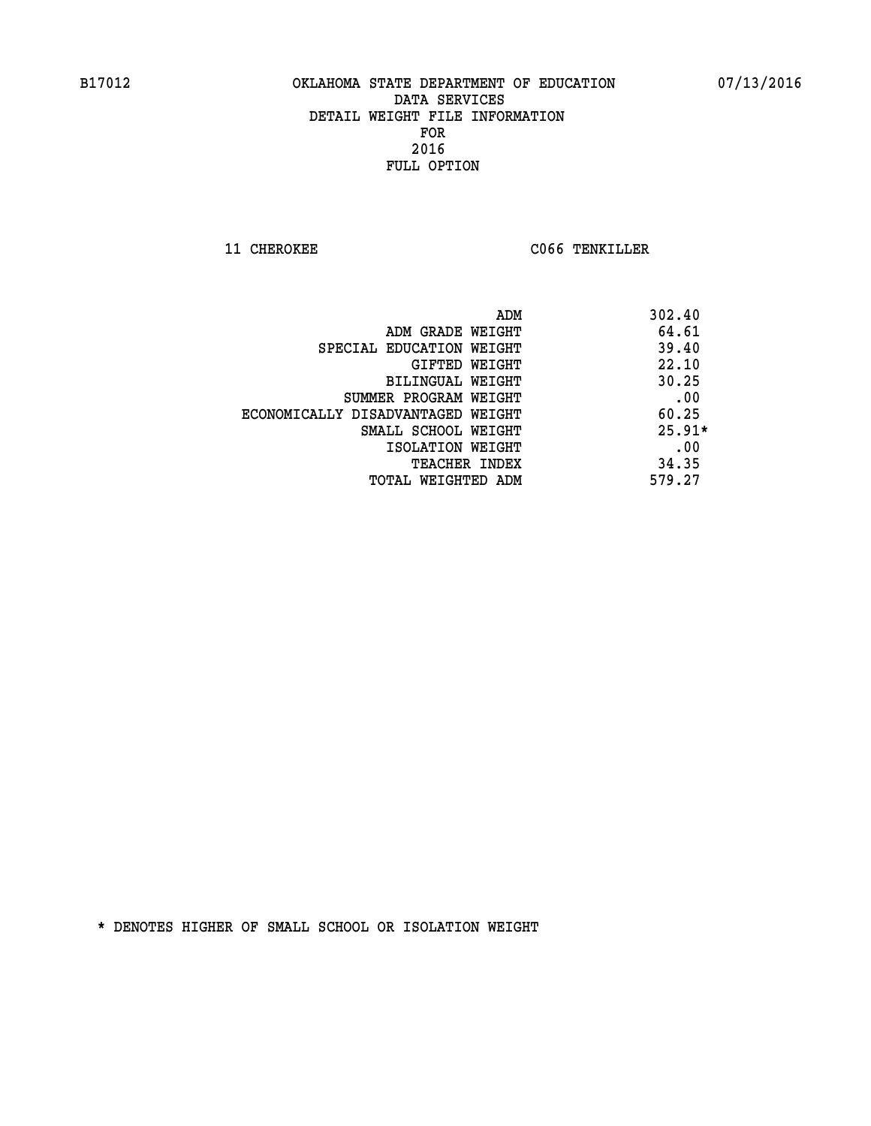**11 CHEROKEE CO66 TENKILLER** 

|                                   | ADM | 302.40   |
|-----------------------------------|-----|----------|
| ADM GRADE WEIGHT                  |     | 64.61    |
| SPECIAL EDUCATION WEIGHT          |     | 39.40    |
| GIFTED WEIGHT                     |     | 22.10    |
| BILINGUAL WEIGHT                  |     | 30.25    |
| SUMMER PROGRAM WEIGHT             |     | .00      |
| ECONOMICALLY DISADVANTAGED WEIGHT |     | 60.25    |
| SMALL SCHOOL WEIGHT               |     | $25.91*$ |
| ISOLATION WEIGHT                  |     | .00      |
| <b>TEACHER INDEX</b>              |     | 34.35    |
| TOTAL WEIGHTED ADM                |     | 579.27   |
|                                   |     |          |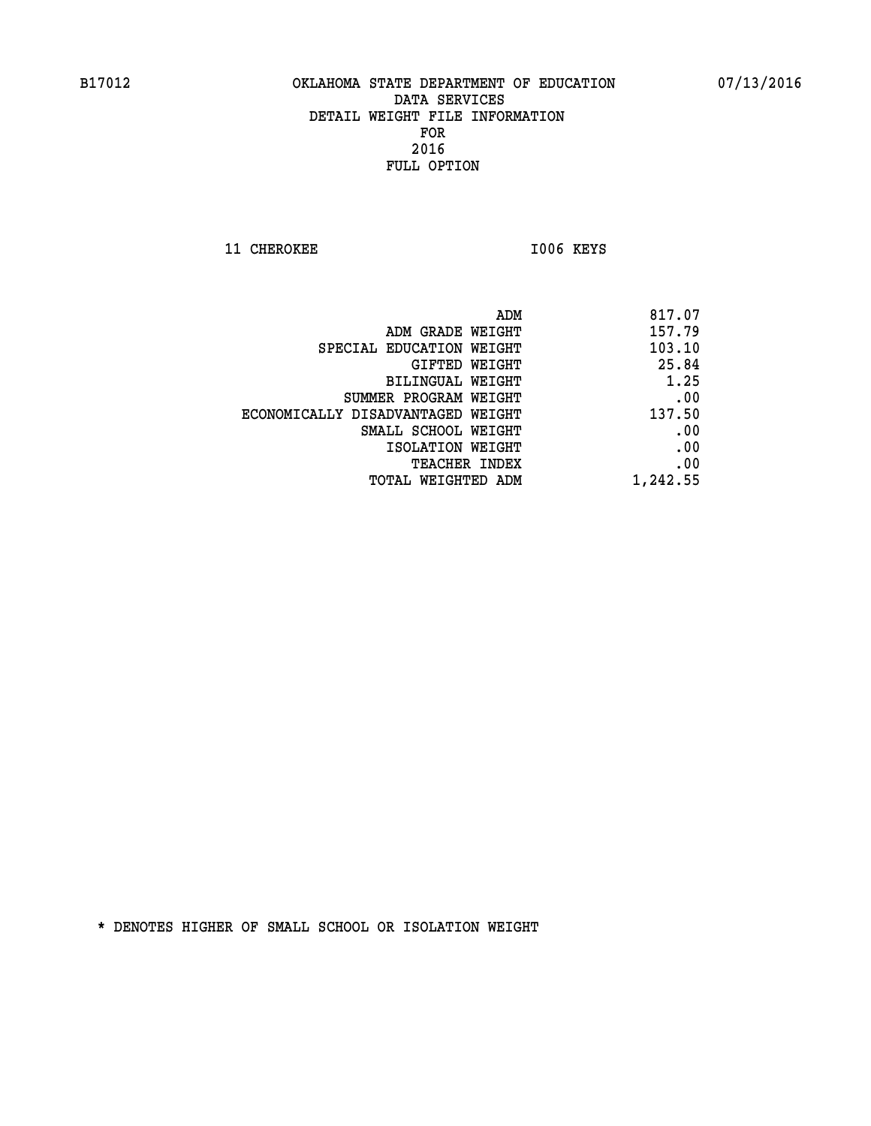**11 CHEROKEE 1006 KEYS** 

| ADM                               | 817.07   |
|-----------------------------------|----------|
| ADM GRADE WEIGHT                  | 157.79   |
| SPECIAL EDUCATION WEIGHT          | 103.10   |
| GIFTED WEIGHT                     | 25.84    |
| BILINGUAL WEIGHT                  | 1.25     |
| SUMMER PROGRAM WEIGHT             | .00      |
| ECONOMICALLY DISADVANTAGED WEIGHT | 137.50   |
| SMALL SCHOOL WEIGHT               | .00      |
| ISOLATION WEIGHT                  | .00      |
| <b>TEACHER INDEX</b>              | .00      |
| TOTAL WEIGHTED ADM                | 1,242.55 |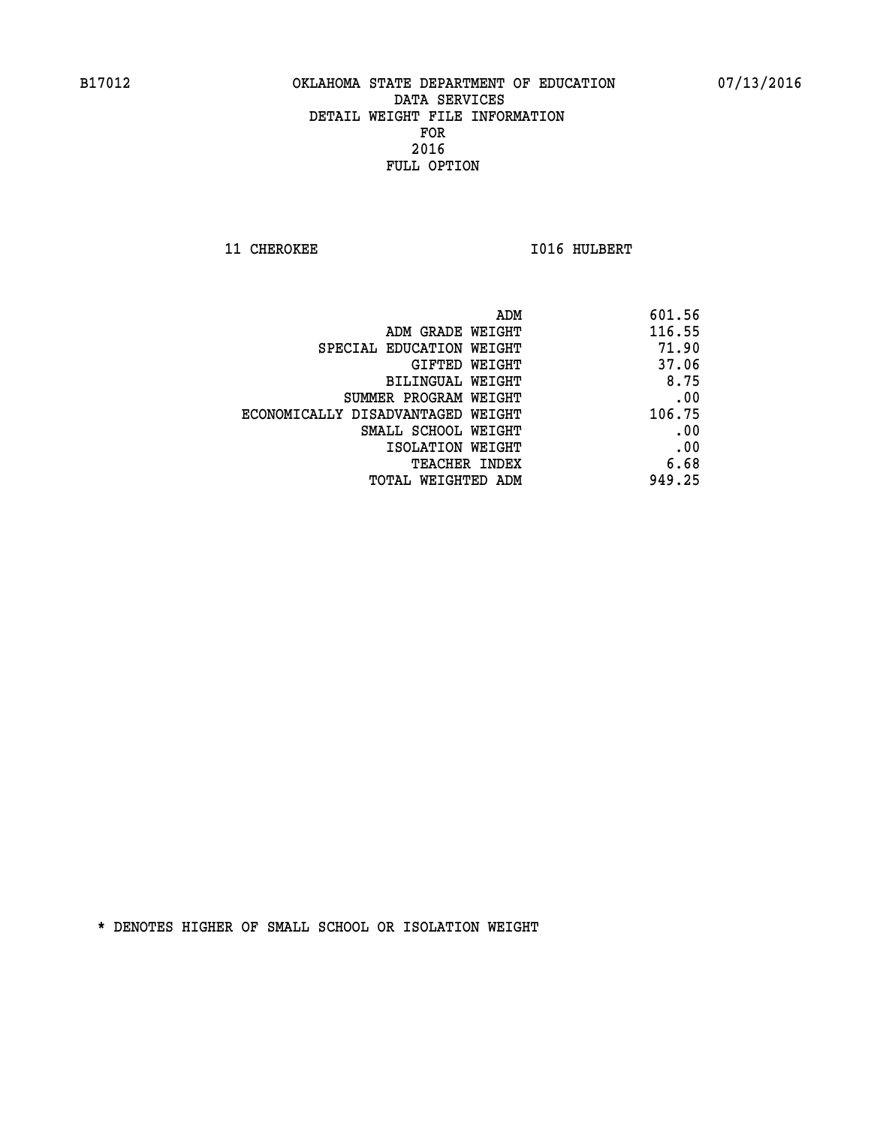**11 CHEROKEE 1016 HULBERT** 

|                                   | 601.56<br>ADM |
|-----------------------------------|---------------|
| ADM GRADE WEIGHT                  | 116.55        |
| SPECIAL EDUCATION WEIGHT          | 71.90         |
| GIFTED WEIGHT                     | 37.06         |
| BILINGUAL WEIGHT                  | 8.75          |
| SUMMER PROGRAM WEIGHT             | .00           |
| ECONOMICALLY DISADVANTAGED WEIGHT | 106.75        |
| SMALL SCHOOL WEIGHT               | .00           |
| ISOLATION WEIGHT                  | .00           |
| TEACHER INDEX                     | 6.68          |
| TOTAL WEIGHTED ADM                | 949.25        |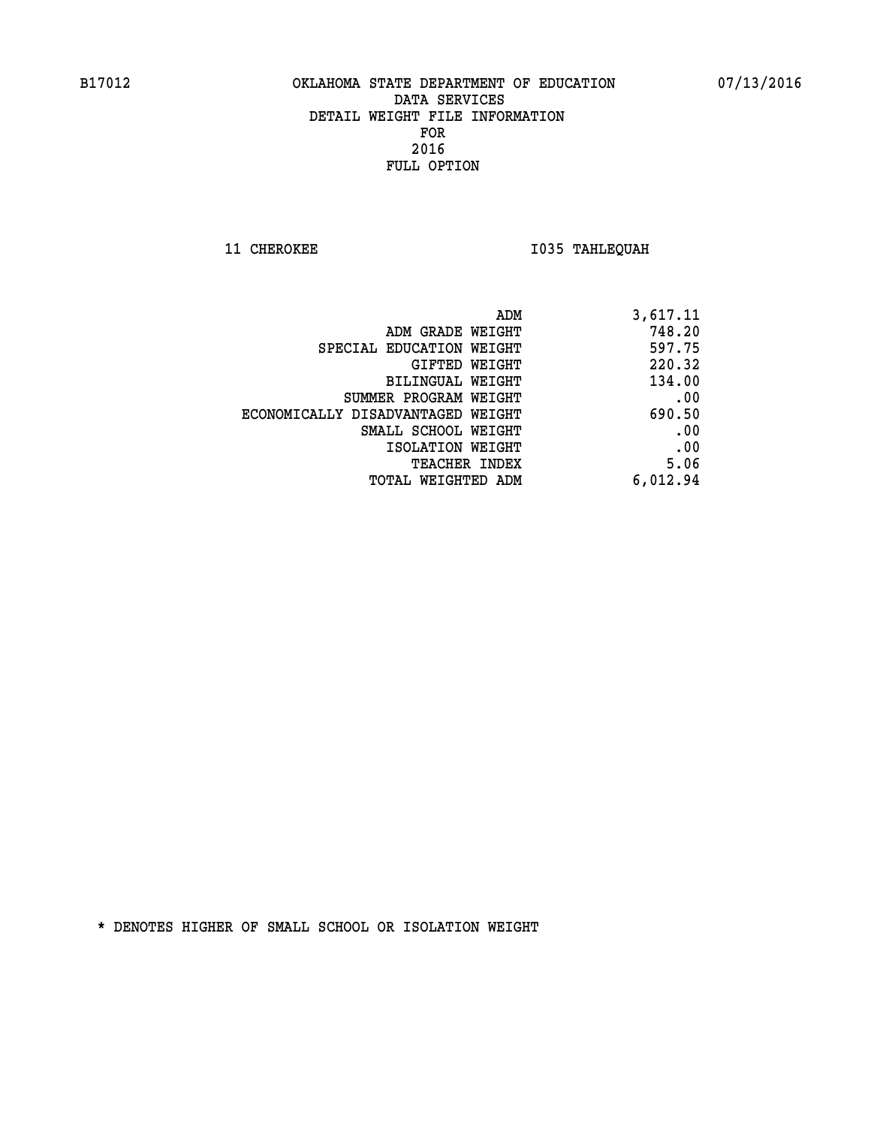**11 CHEROKEE 1035 TAHLEQUAH** 

| ADM                               | 3,617.11 |
|-----------------------------------|----------|
| ADM GRADE WEIGHT                  | 748.20   |
| SPECIAL EDUCATION WEIGHT          | 597.75   |
| <b>GIFTED WEIGHT</b>              | 220.32   |
| BILINGUAL WEIGHT                  | 134.00   |
| SUMMER PROGRAM WEIGHT             | .00      |
| ECONOMICALLY DISADVANTAGED WEIGHT | 690.50   |
| SMALL SCHOOL WEIGHT               | .00      |
| ISOLATION WEIGHT                  | .00      |
| <b>TEACHER INDEX</b>              | 5.06     |
| <b>TOTAL WEIGHTED ADM</b>         | 6,012.94 |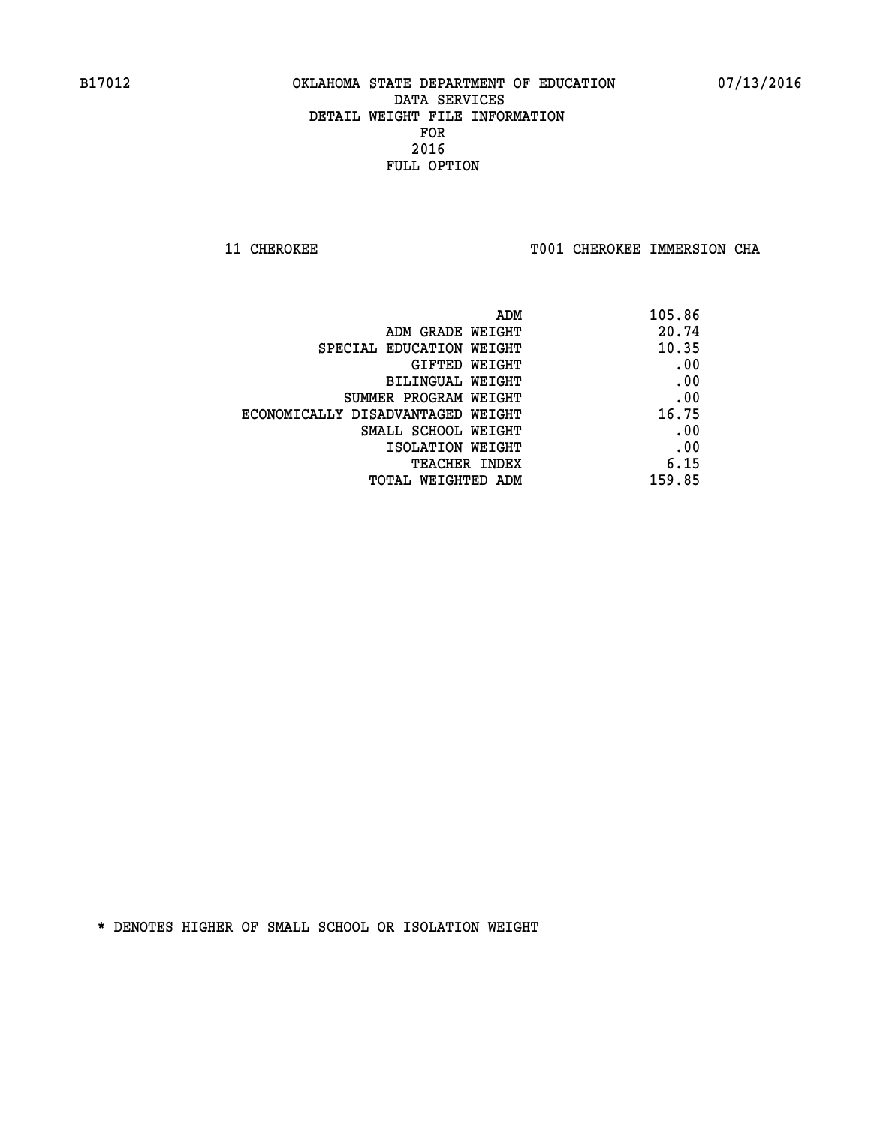**11 CHEROKEE TOO1 CHEROKEE IMMERSION CHA** 

| ADM                               | 105.86 |
|-----------------------------------|--------|
| ADM GRADE WEIGHT                  | 20.74  |
| SPECIAL EDUCATION WEIGHT          | 10.35  |
| GIFTED WEIGHT                     | .00    |
| BILINGUAL WEIGHT                  | .00    |
| SUMMER PROGRAM WEIGHT             | .00    |
| ECONOMICALLY DISADVANTAGED WEIGHT | 16.75  |
| SMALL SCHOOL WEIGHT               | .00    |
| ISOLATION WEIGHT                  | .00    |
| <b>TEACHER INDEX</b>              | 6.15   |
| TOTAL WEIGHTED ADM                | 159.85 |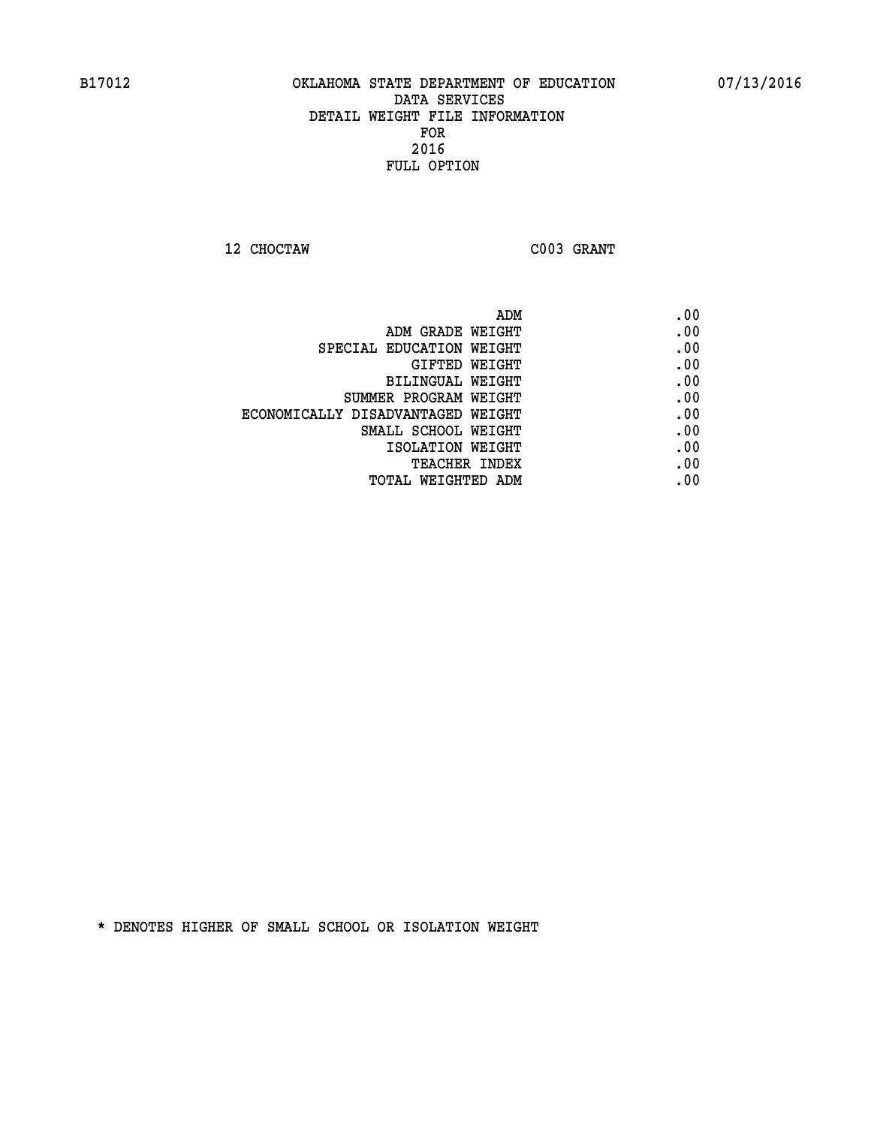**12 CHOCTAW C003 GRANT** 

| ADM                               | .00 |
|-----------------------------------|-----|
| ADM GRADE WEIGHT                  | .00 |
| SPECIAL EDUCATION WEIGHT          | .00 |
| GIFTED WEIGHT                     | .00 |
| BILINGUAL WEIGHT                  | .00 |
| SUMMER PROGRAM WEIGHT             | .00 |
| ECONOMICALLY DISADVANTAGED WEIGHT | .00 |
| SMALL SCHOOL WEIGHT               | .00 |
| ISOLATION WEIGHT                  | .00 |
| TEACHER INDEX                     | .00 |
| <b>TOTAL WEIGHTED ADM</b>         | .00 |
|                                   |     |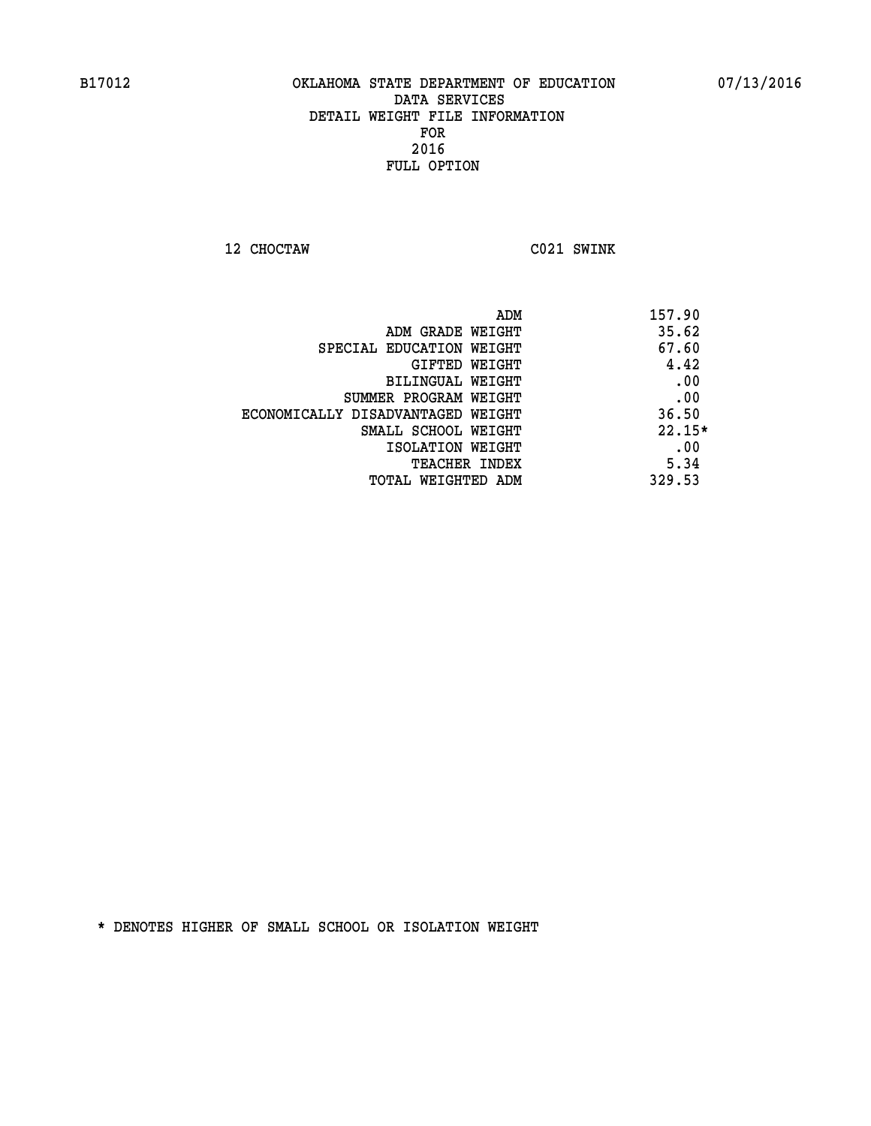**12 CHOCTAW C021 SWINK** 

| ADM                               | 157.90   |
|-----------------------------------|----------|
| ADM GRADE WEIGHT                  | 35.62    |
| SPECIAL EDUCATION WEIGHT          | 67.60    |
| GIFTED WEIGHT                     | 4.42     |
| BILINGUAL WEIGHT                  | .00      |
| SUMMER PROGRAM WEIGHT             | .00      |
| ECONOMICALLY DISADVANTAGED WEIGHT | 36.50    |
| SMALL SCHOOL WEIGHT               | $22.15*$ |
| ISOLATION WEIGHT                  | .00      |
| <b>TEACHER INDEX</b>              | 5.34     |
| TOTAL WEIGHTED ADM                | 329.53   |
|                                   |          |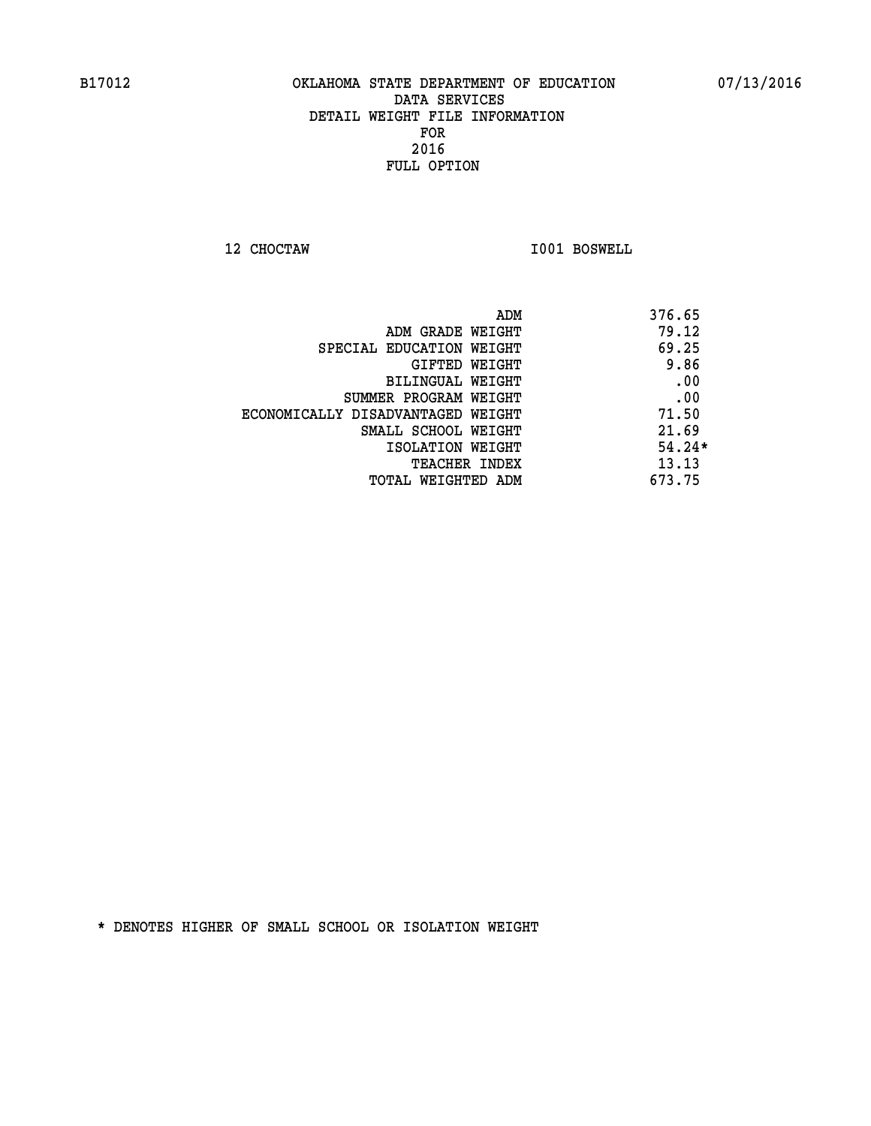**12 CHOCTAW I001 BOSWELL** 

|                                   | ADM | 376.65   |
|-----------------------------------|-----|----------|
| ADM GRADE WEIGHT                  |     | 79.12    |
| SPECIAL EDUCATION WEIGHT          |     | 69.25    |
| GIFTED WEIGHT                     |     | 9.86     |
| BILINGUAL WEIGHT                  |     | .00      |
| SUMMER PROGRAM WEIGHT             |     | .00      |
| ECONOMICALLY DISADVANTAGED WEIGHT |     | 71.50    |
| SMALL SCHOOL WEIGHT               |     | 21.69    |
| ISOLATION WEIGHT                  |     | $54.24*$ |
| TEACHER INDEX                     |     | 13.13    |
| TOTAL WEIGHTED ADM                |     | 673.75   |
|                                   |     |          |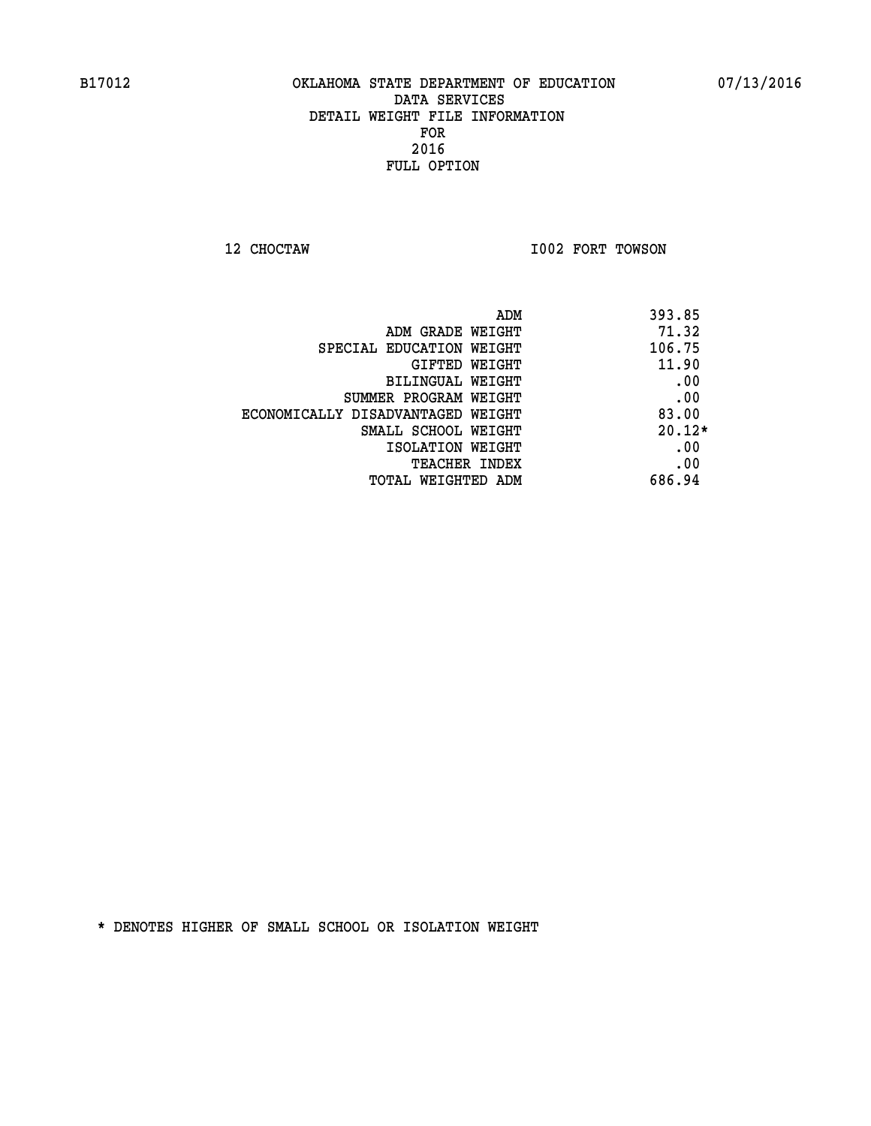**12 CHOCTAW I002 FORT TOWSON** 

| 393.85<br>ADM                              |  |
|--------------------------------------------|--|
| 71.32<br>ADM GRADE WEIGHT                  |  |
| 106.75<br>SPECIAL EDUCATION WEIGHT         |  |
| 11.90<br>GIFTED WEIGHT                     |  |
| .00<br>BILINGUAL WEIGHT                    |  |
| .00<br>SUMMER PROGRAM WEIGHT               |  |
| 83.00<br>ECONOMICALLY DISADVANTAGED WEIGHT |  |
| $20.12*$<br>SMALL SCHOOL WEIGHT            |  |
| .00<br>ISOLATION WEIGHT                    |  |
| .00<br><b>TEACHER INDEX</b>                |  |
| 686.94<br>TOTAL WEIGHTED ADM               |  |
|                                            |  |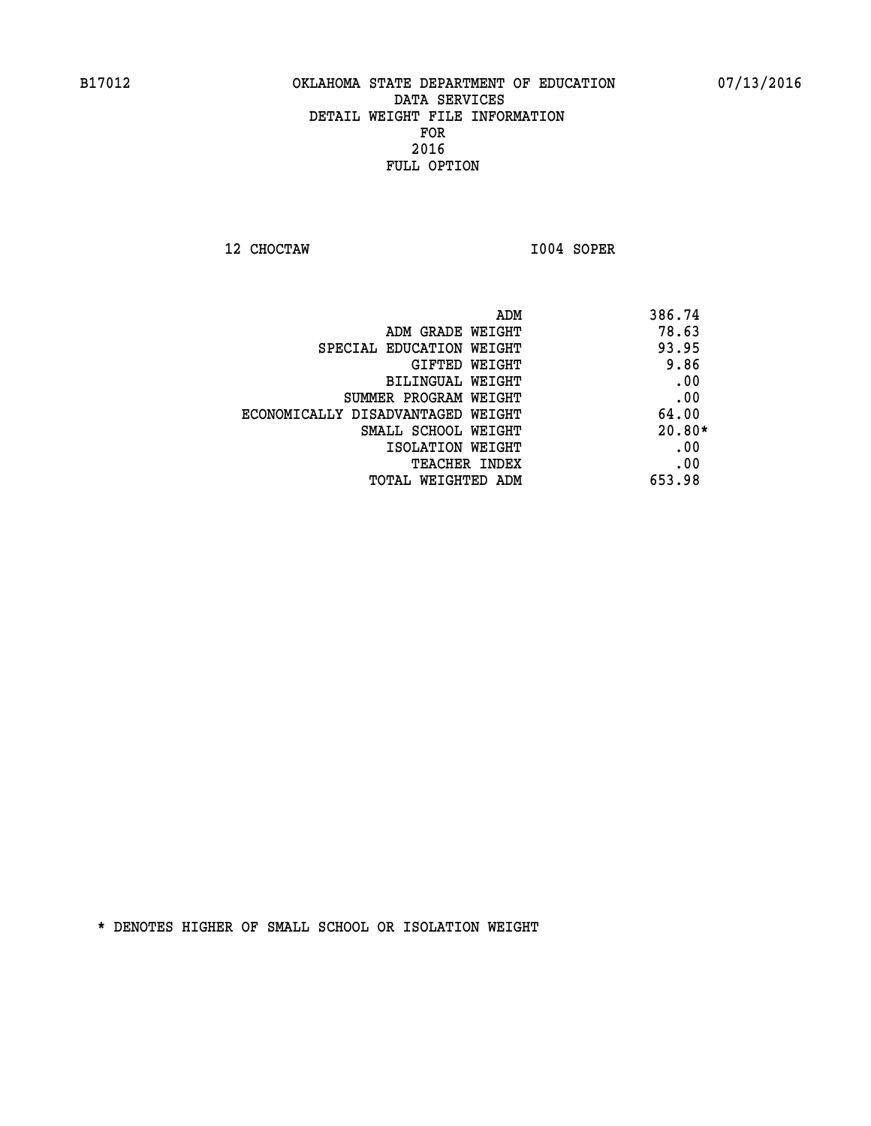**12 CHOCTAW I004 SOPER** 

|                                   | 386.74<br>ADM |
|-----------------------------------|---------------|
| ADM GRADE WEIGHT                  | 78.63         |
| SPECIAL EDUCATION WEIGHT          | 93.95         |
| GIFTED WEIGHT                     | 9.86          |
| BILINGUAL WEIGHT                  | .00           |
| SUMMER PROGRAM WEIGHT             | .00           |
| ECONOMICALLY DISADVANTAGED WEIGHT | 64.00         |
| SMALL SCHOOL WEIGHT               | $20.80*$      |
| ISOLATION WEIGHT                  | .00           |
| <b>TEACHER INDEX</b>              | .00           |
| TOTAL WEIGHTED ADM                | 653.98        |
|                                   |               |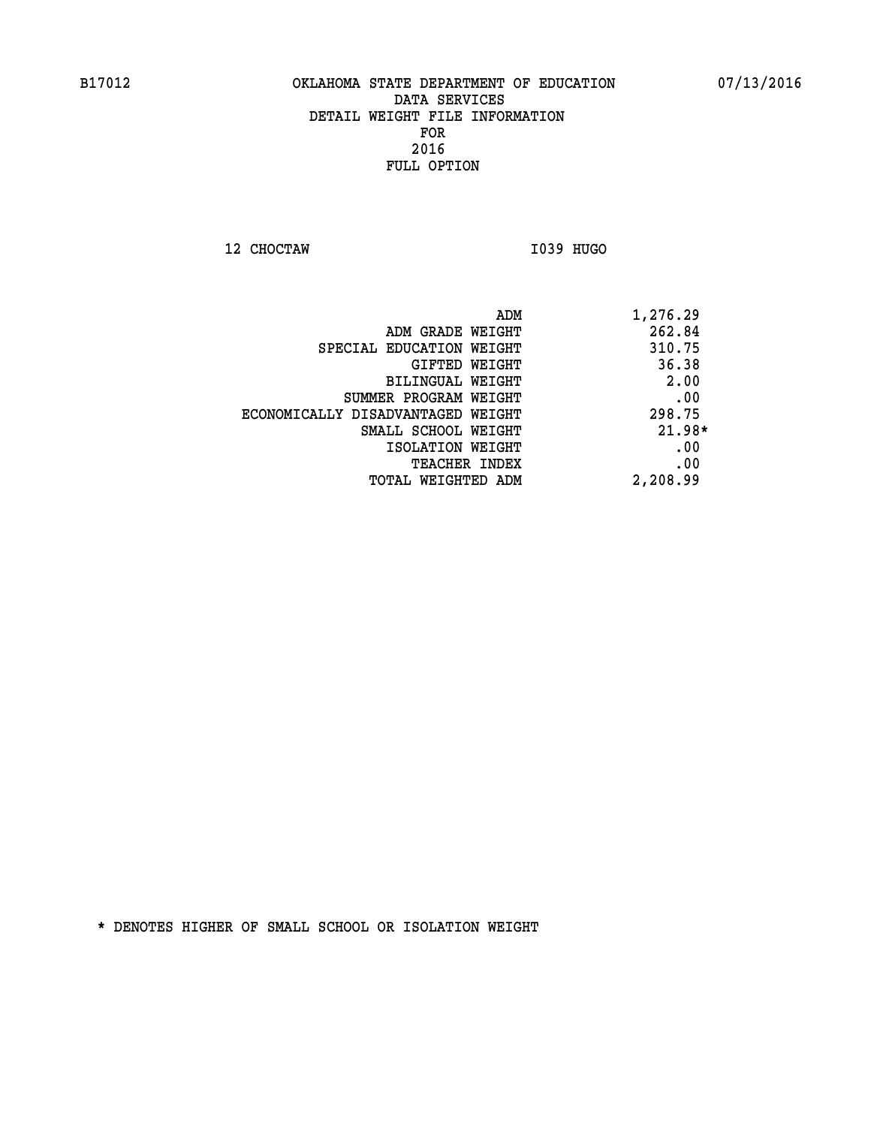**12 CHOCTAW I039 HUGO** 

| 1,276.29 |
|----------|
| 262.84   |
| 310.75   |
| 36.38    |
| 2.00     |
| .00      |
| 298.75   |
| $21.98*$ |
| .00      |
| .00      |
| 2,208.99 |
|          |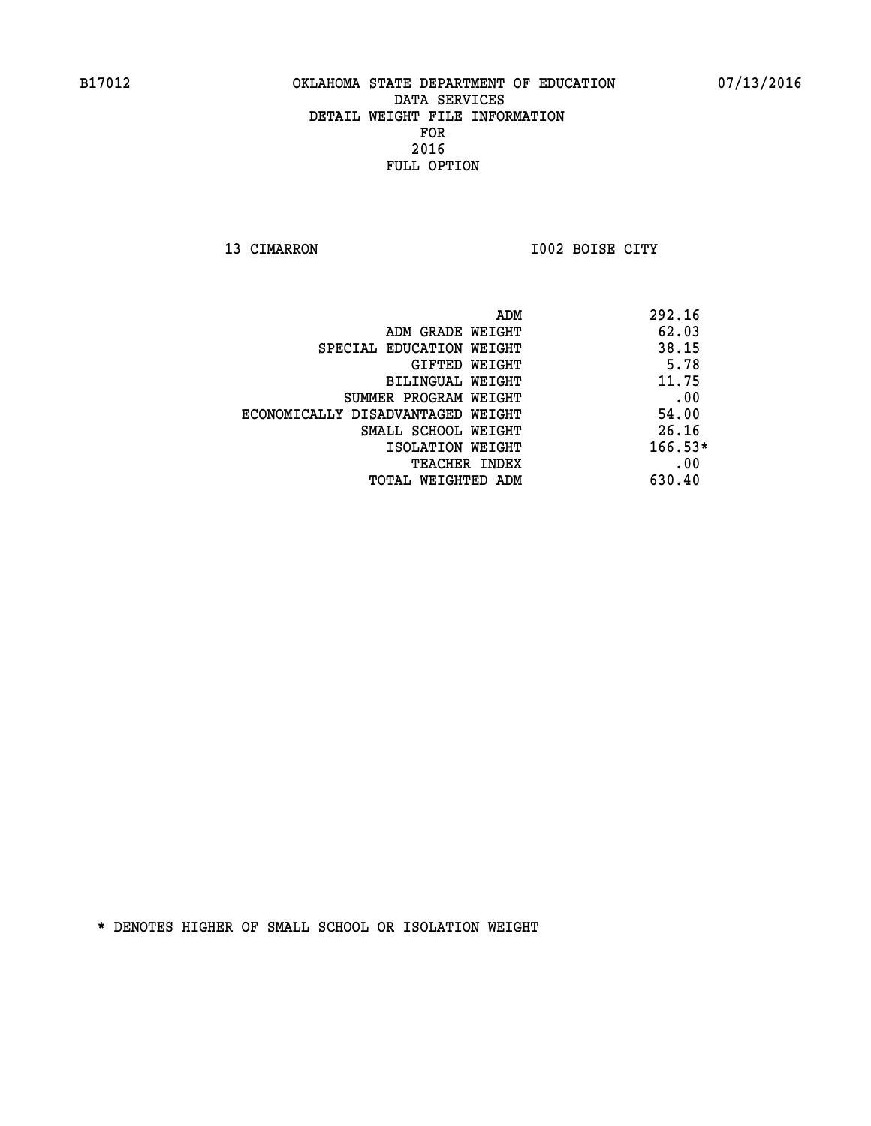**13 CIMARRON I002 BOISE CITY** 

|                                   | ADM | 292.16    |
|-----------------------------------|-----|-----------|
| ADM GRADE WEIGHT                  |     | 62.03     |
| SPECIAL EDUCATION WEIGHT          |     | 38.15     |
| GIFTED WEIGHT                     |     | 5.78      |
| BILINGUAL WEIGHT                  |     | 11.75     |
| SUMMER PROGRAM WEIGHT             |     | .00       |
| ECONOMICALLY DISADVANTAGED WEIGHT |     | 54.00     |
| SMALL SCHOOL WEIGHT               |     | 26.16     |
| ISOLATION WEIGHT                  |     | $166.53*$ |
| TEACHER INDEX                     |     | .00       |
| TOTAL WEIGHTED ADM                |     | 630.40    |
|                                   |     |           |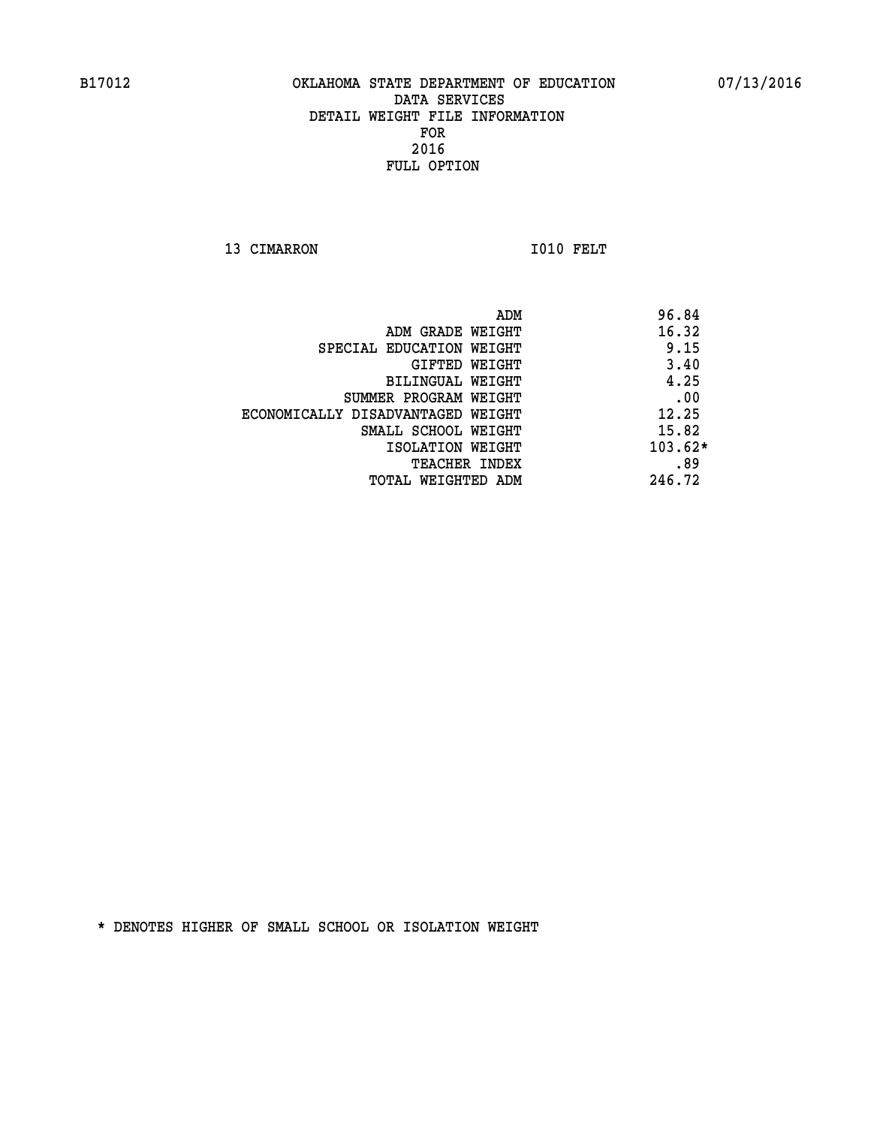13 CIMARRON 1010 FELT

| 96.84<br>ADM                               |  |
|--------------------------------------------|--|
| 16.32<br>ADM GRADE WEIGHT                  |  |
| 9.15<br>SPECIAL EDUCATION WEIGHT           |  |
| 3.40<br>GIFTED WEIGHT                      |  |
| 4.25<br>BILINGUAL WEIGHT                   |  |
| .00<br>SUMMER PROGRAM WEIGHT               |  |
| 12.25<br>ECONOMICALLY DISADVANTAGED WEIGHT |  |
| 15.82<br>SMALL SCHOOL WEIGHT               |  |
| $103.62*$<br>ISOLATION WEIGHT              |  |
| .89<br><b>TEACHER INDEX</b>                |  |
| 246.72<br>TOTAL WEIGHTED ADM               |  |
|                                            |  |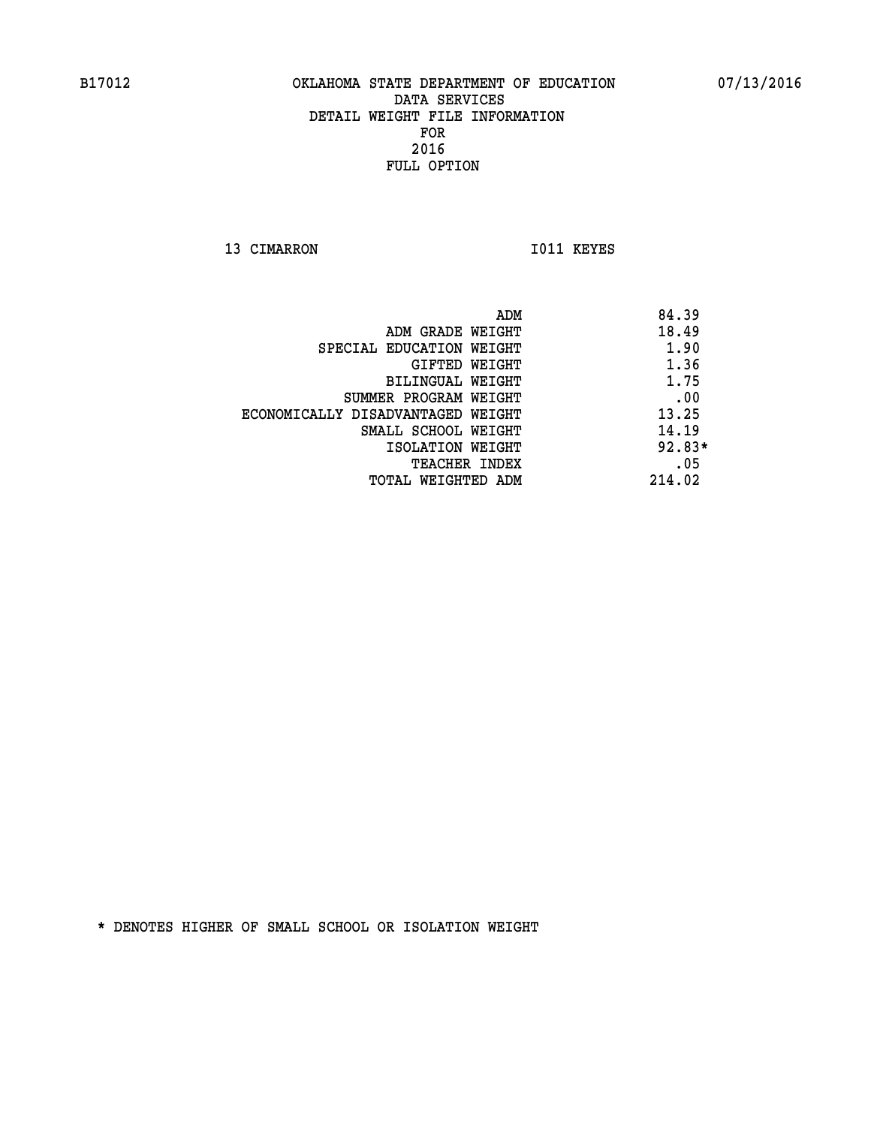13 CIMARRON 1011 KEYES

 **ADM 84.39**

| ADM GRADE WEIGHT                  | 18.49    |
|-----------------------------------|----------|
| SPECIAL EDUCATION WEIGHT          | 1.90     |
| GIFTED WEIGHT                     | 1.36     |
| BILINGUAL WEIGHT                  | 1.75     |
| SUMMER PROGRAM WEIGHT             | .00      |
| ECONOMICALLY DISADVANTAGED WEIGHT | 13.25    |
| SMALL SCHOOL WEIGHT               | 14.19    |
| ISOLATION WEIGHT                  | $92.83*$ |
| <b>TEACHER INDEX</b>              | .05      |
| TOTAL WEIGHTED ADM                | 214.02   |
|                                   |          |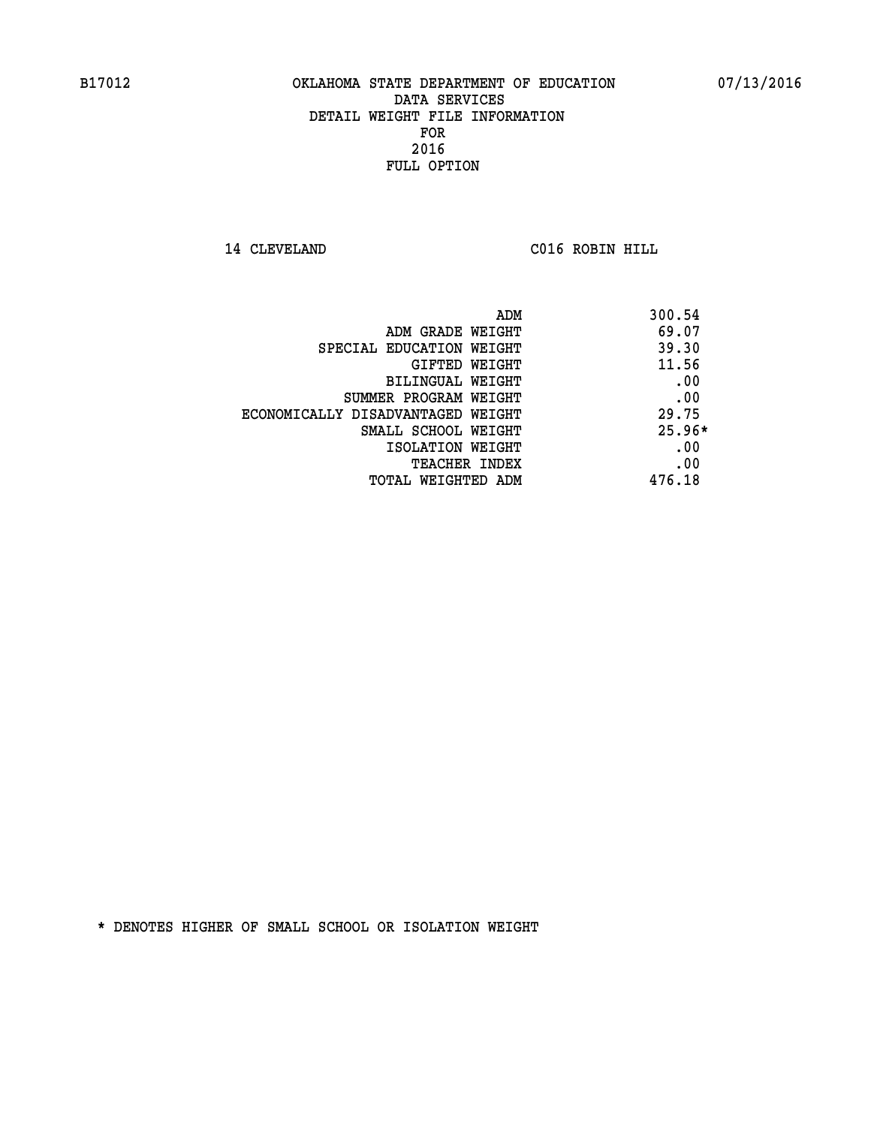**14 CLEVELAND C016 ROBIN HILL** 

|                                   | ADM | 300.54   |
|-----------------------------------|-----|----------|
| ADM GRADE WEIGHT                  |     | 69.07    |
| SPECIAL EDUCATION WEIGHT          |     | 39.30    |
| GIFTED WEIGHT                     |     | 11.56    |
| BILINGUAL WEIGHT                  |     | .00      |
| SUMMER PROGRAM WEIGHT             |     | .00      |
| ECONOMICALLY DISADVANTAGED WEIGHT |     | 29.75    |
| SMALL SCHOOL WEIGHT               |     | $25.96*$ |
| ISOLATION WEIGHT                  |     | .00      |
| <b>TEACHER INDEX</b>              |     | .00      |
| TOTAL WEIGHTED ADM                |     | 476.18   |
|                                   |     |          |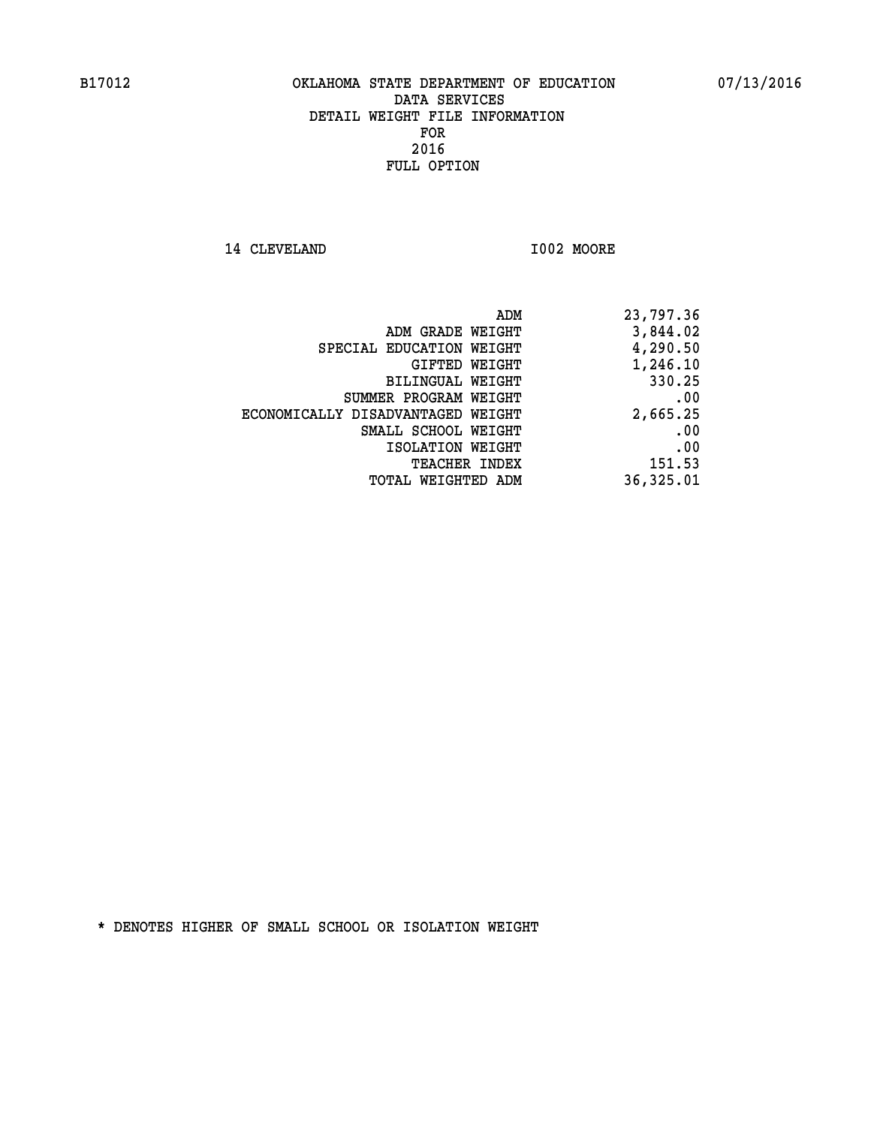**14 CLEVELAND I002 MOORE** 

| 23,797.36 |
|-----------|
| 3,844.02  |
| 4,290.50  |
| 1,246.10  |
| 330.25    |
| .00       |
| 2,665.25  |
| .00       |
| .00       |
| 151.53    |
| 36,325.01 |
|           |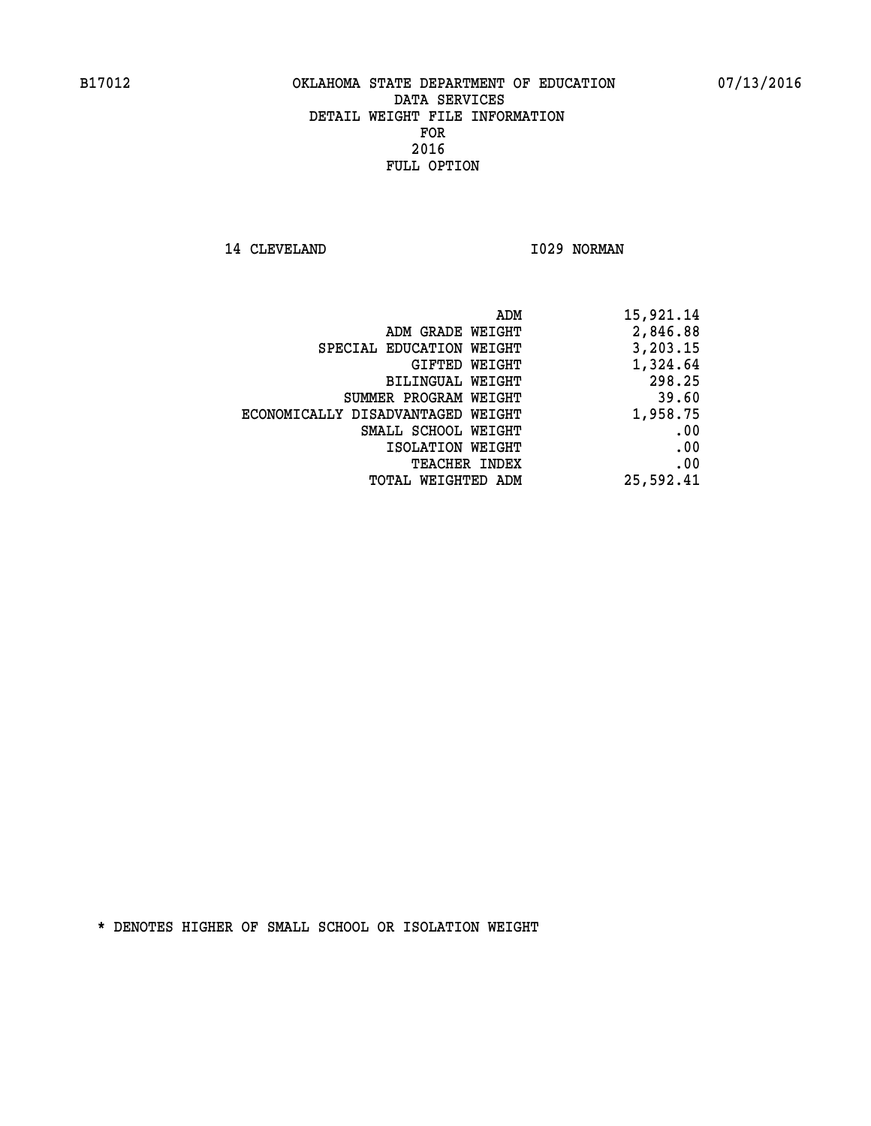14 CLEVELAND 1029 NORMAN

| ADM                               | 15,921.14 |
|-----------------------------------|-----------|
| ADM GRADE WEIGHT                  | 2,846.88  |
| SPECIAL EDUCATION WEIGHT          | 3,203.15  |
| GIFTED WEIGHT                     | 1,324.64  |
| <b>BILINGUAL WEIGHT</b>           | 298.25    |
| SUMMER PROGRAM WEIGHT             | 39.60     |
| ECONOMICALLY DISADVANTAGED WEIGHT | 1,958.75  |
| SMALL SCHOOL WEIGHT               | .00       |
| ISOLATION WEIGHT                  | .00       |
| TEACHER INDEX                     | .00       |
| TOTAL WEIGHTED ADM                | 25,592.41 |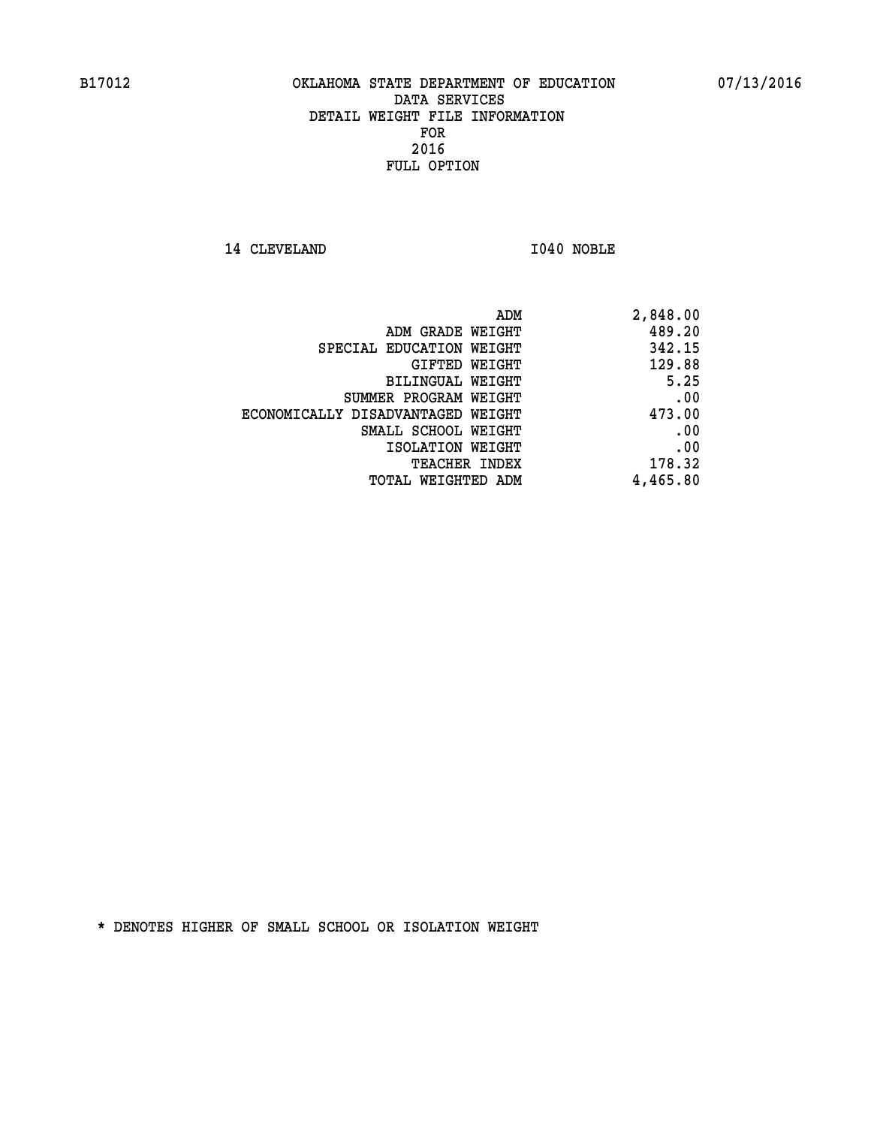**14 CLEVELAND I040 NOBLE** 

| 2,848.00 |
|----------|
| 489.20   |
| 342.15   |
| 129.88   |
| 5.25     |
| .00      |
| 473.00   |
| .00      |
| .00      |
| 178.32   |
| 4,465.80 |
|          |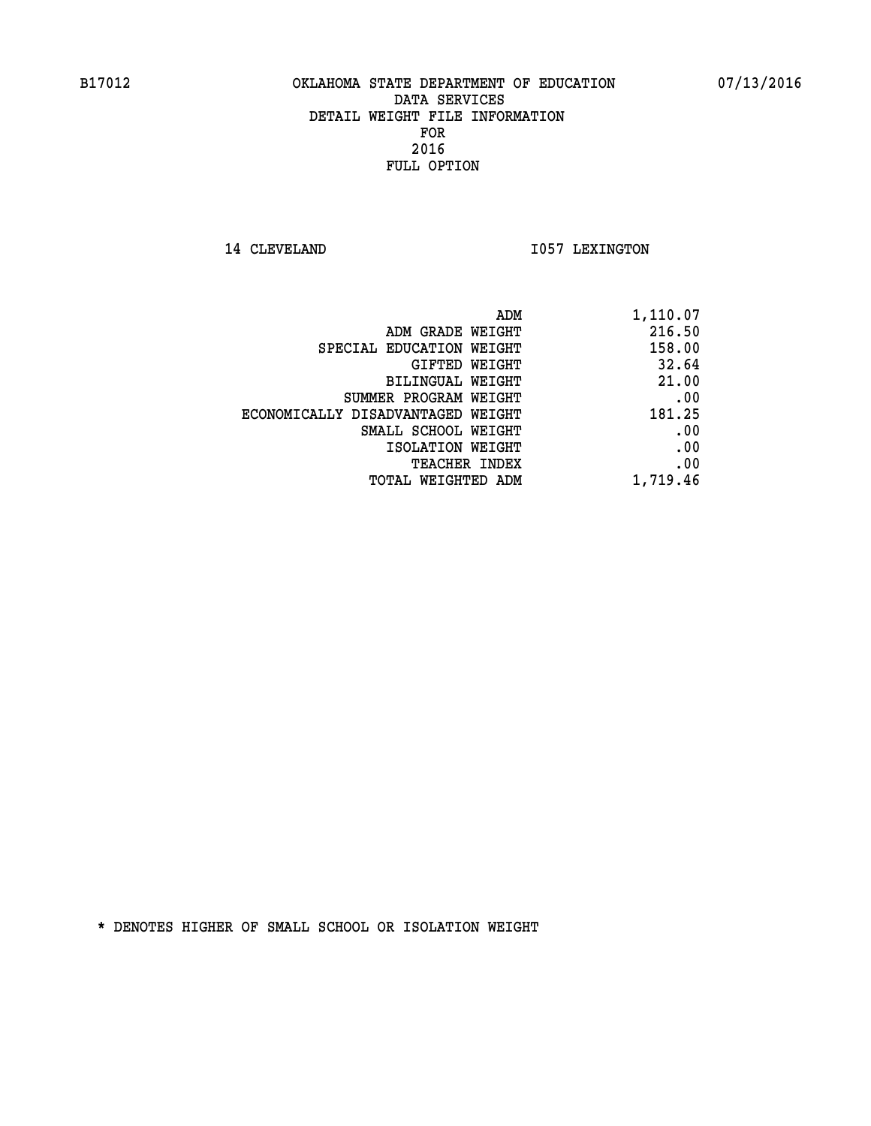14 CLEVELAND 1057 LEXINGTON

| ADM<br>1,110.07 |                                   |
|-----------------|-----------------------------------|
| 216.50          | ADM GRADE WEIGHT                  |
| 158.00          | SPECIAL EDUCATION WEIGHT          |
| 32.64           | GIFTED WEIGHT                     |
| 21.00           | BILINGUAL WEIGHT                  |
| .00             | SUMMER PROGRAM WEIGHT             |
| 181.25          | ECONOMICALLY DISADVANTAGED WEIGHT |
| .00             | SMALL SCHOOL WEIGHT               |
| .00             | ISOLATION WEIGHT                  |
| .00             | <b>TEACHER INDEX</b>              |
| 1,719.46        | <b>TOTAL WEIGHTED ADM</b>         |
|                 |                                   |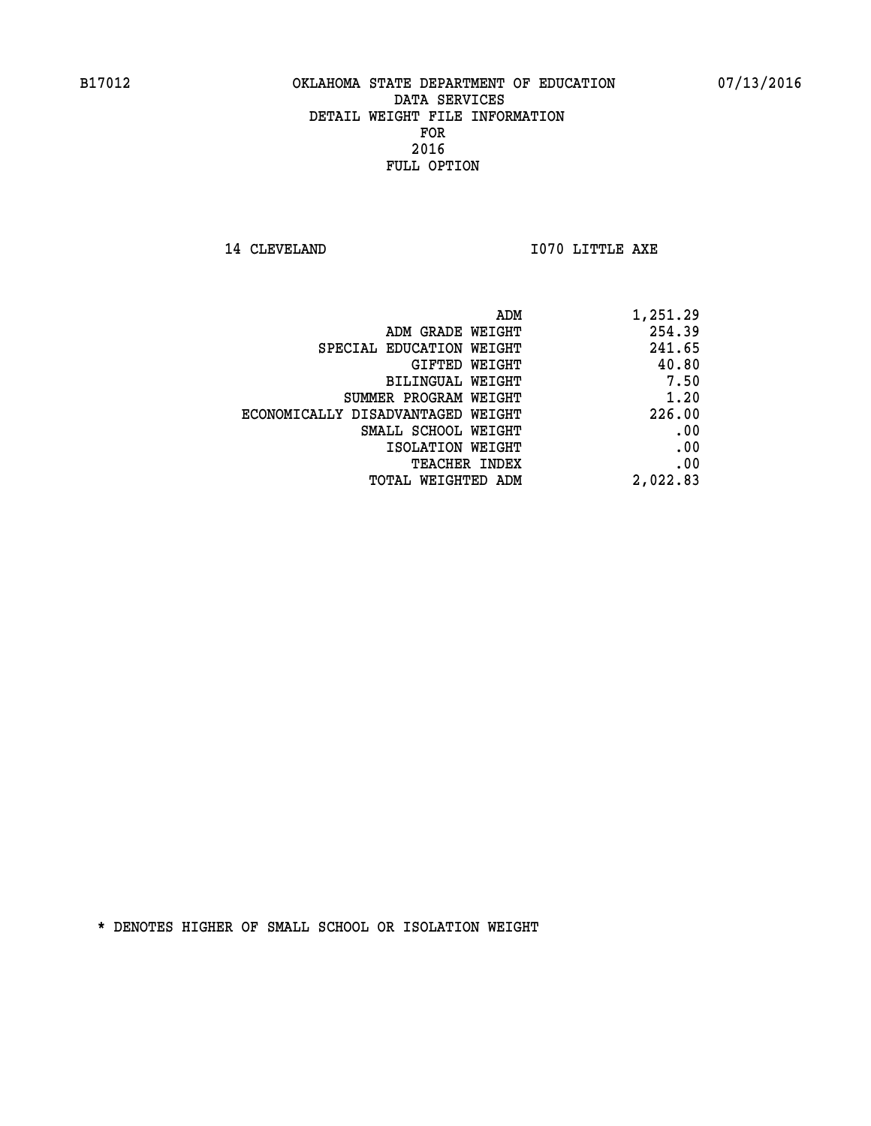**14 CLEVELAND 1070 LITTLE AXE** 

| ADM                               | 1,251.29 |
|-----------------------------------|----------|
| ADM GRADE WEIGHT                  | 254.39   |
| SPECIAL EDUCATION WEIGHT          | 241.65   |
| GIFTED WEIGHT                     | 40.80    |
| BILINGUAL WEIGHT                  | 7.50     |
| SUMMER PROGRAM WEIGHT             | 1.20     |
| ECONOMICALLY DISADVANTAGED WEIGHT | 226.00   |
| SMALL SCHOOL WEIGHT               | .00      |
| ISOLATION WEIGHT                  | .00      |
| <b>TEACHER INDEX</b>              | .00      |
| TOTAL WEIGHTED ADM                | 2,022.83 |
|                                   |          |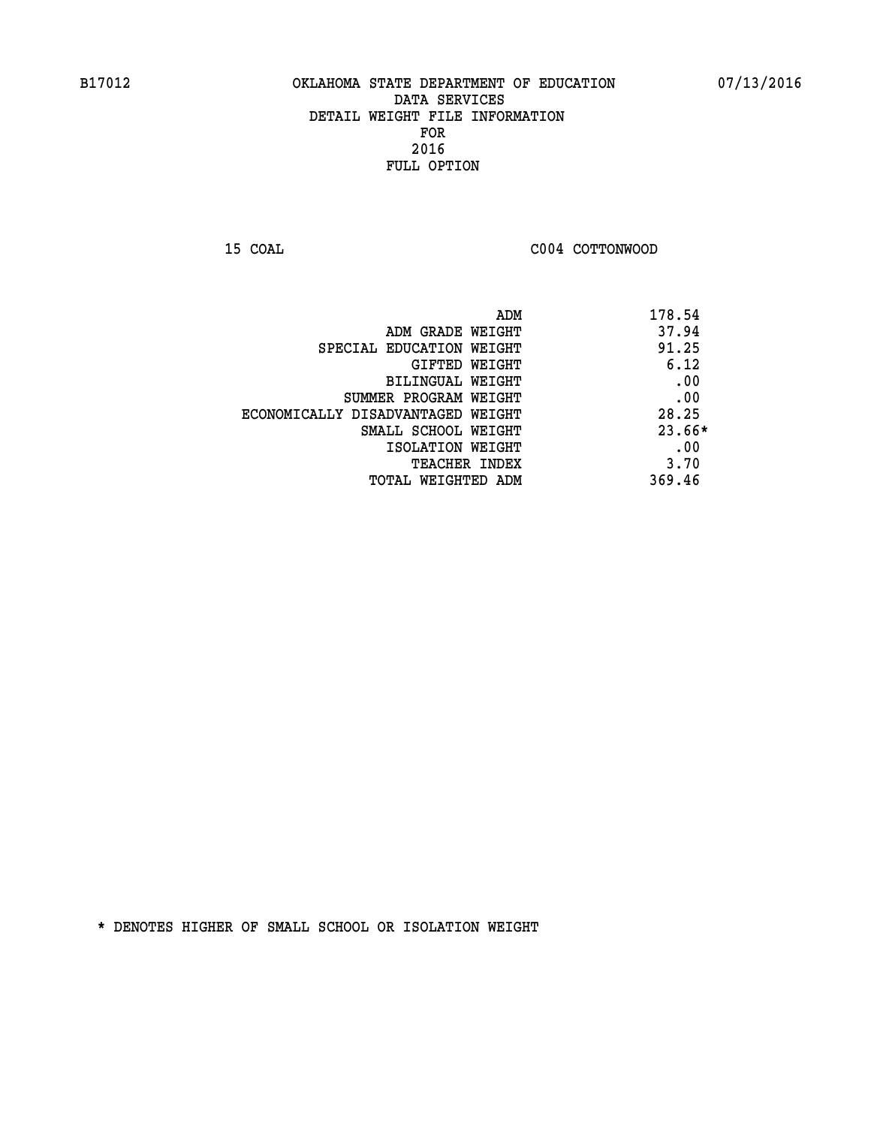**15 COAL COAL COAL COAL COAL COTTONWOOD** 

| 178.54<br>ADM                              |  |
|--------------------------------------------|--|
| 37.94<br>ADM GRADE WEIGHT                  |  |
| 91.25<br>SPECIAL EDUCATION WEIGHT          |  |
| 6.12<br>GIFTED WEIGHT                      |  |
| .00<br>BILINGUAL WEIGHT                    |  |
| .00<br>SUMMER PROGRAM WEIGHT               |  |
| 28.25<br>ECONOMICALLY DISADVANTAGED WEIGHT |  |
| $23.66*$<br>SMALL SCHOOL WEIGHT            |  |
| .00<br>ISOLATION WEIGHT                    |  |
| 3.70<br><b>TEACHER INDEX</b>               |  |
| 369.46<br>TOTAL WEIGHTED ADM               |  |
|                                            |  |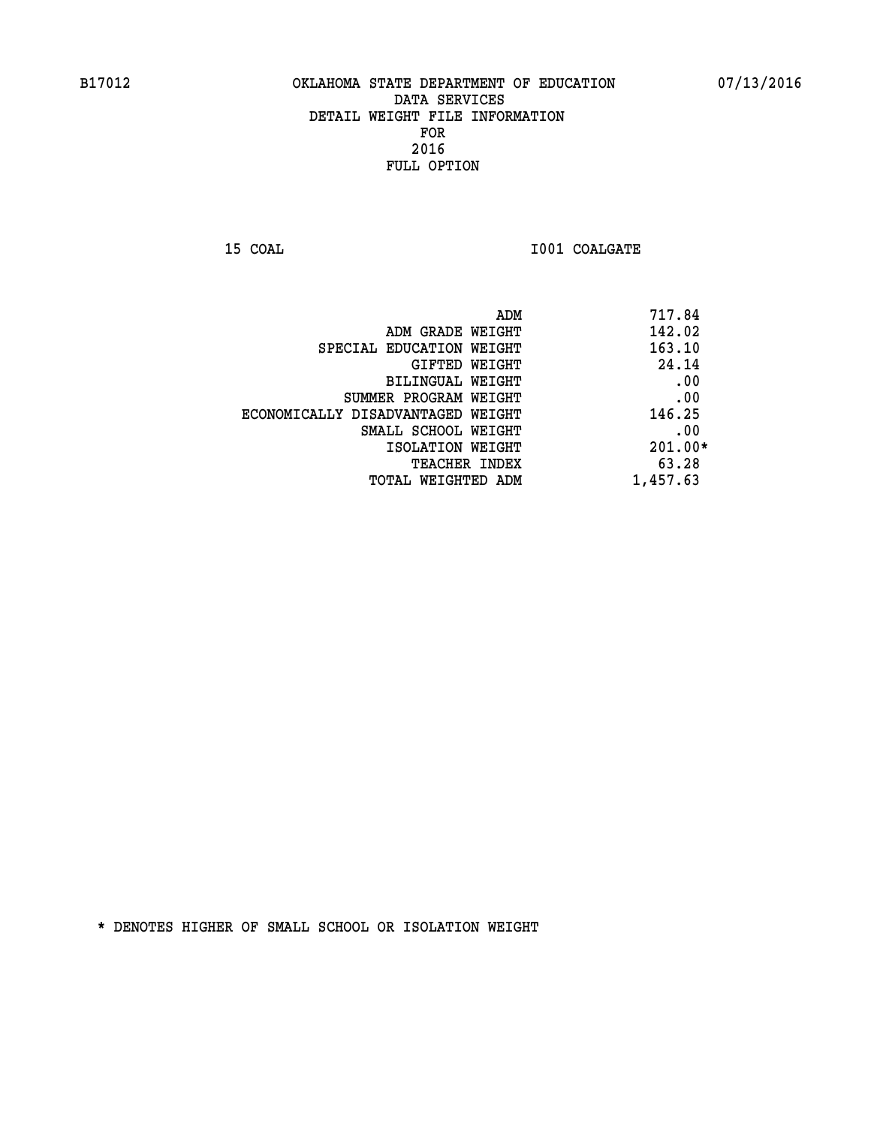**15 COAL 15 COAL I001 COALGATE** 

| 717.84<br>ADM |                                   |
|---------------|-----------------------------------|
| 142.02        | ADM GRADE WEIGHT                  |
| 163.10        | SPECIAL EDUCATION WEIGHT          |
| 24.14         | GIFTED WEIGHT                     |
| .00           | BILINGUAL WEIGHT                  |
| .00           | SUMMER PROGRAM WEIGHT             |
| 146.25        | ECONOMICALLY DISADVANTAGED WEIGHT |
| .00           | SMALL SCHOOL WEIGHT               |
| 201.00*       | ISOLATION WEIGHT                  |
| 63.28         | <b>TEACHER INDEX</b>              |
| 1,457.63      | TOTAL WEIGHTED ADM                |
|               |                                   |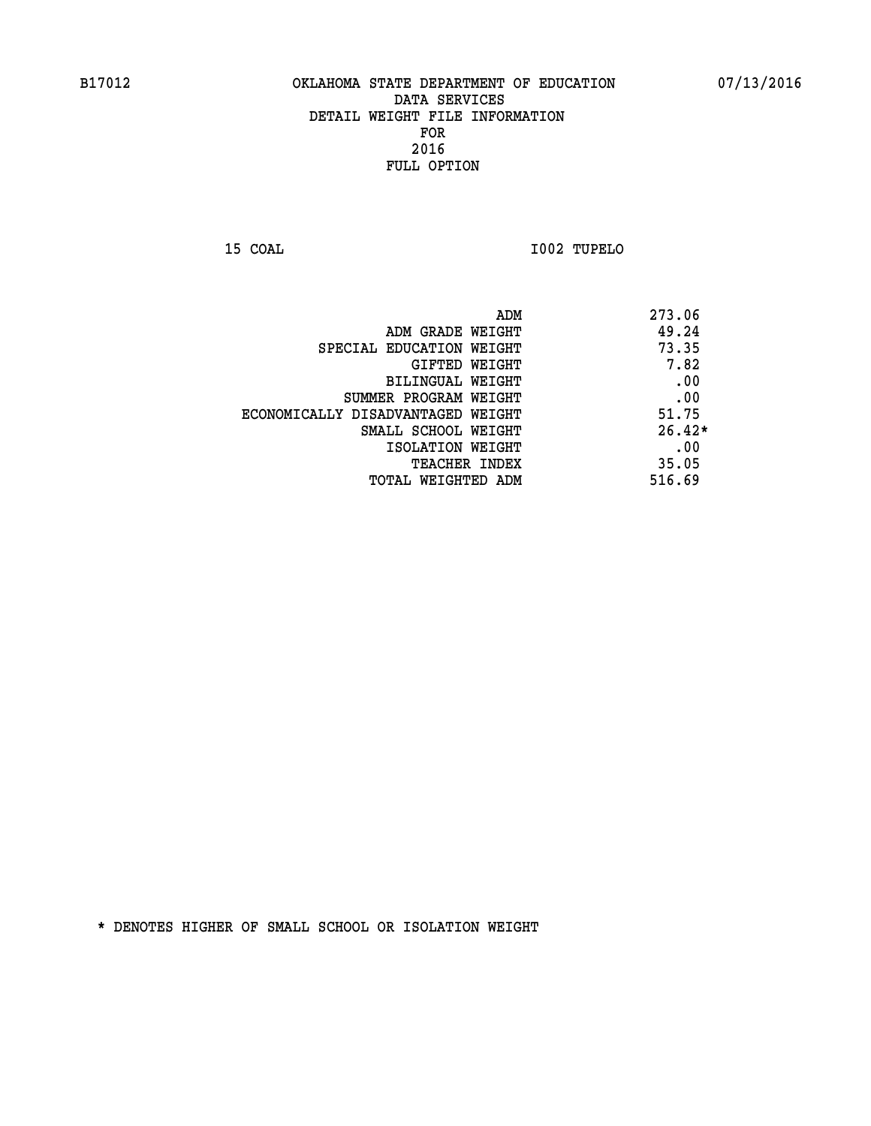**15 COAL I002 TUPELO** 

|                                   | ADM | 273.06   |
|-----------------------------------|-----|----------|
| ADM GRADE WEIGHT                  |     | 49.24    |
| SPECIAL EDUCATION WEIGHT          |     | 73.35    |
| GIFTED WEIGHT                     |     | 7.82     |
| BILINGUAL WEIGHT                  |     | .00      |
| SUMMER PROGRAM WEIGHT             |     | .00      |
| ECONOMICALLY DISADVANTAGED WEIGHT |     | 51.75    |
| SMALL SCHOOL WEIGHT               |     | $26.42*$ |
| ISOLATION WEIGHT                  |     | .00      |
| TEACHER INDEX                     |     | 35.05    |
| TOTAL WEIGHTED ADM                |     | 516.69   |
|                                   |     |          |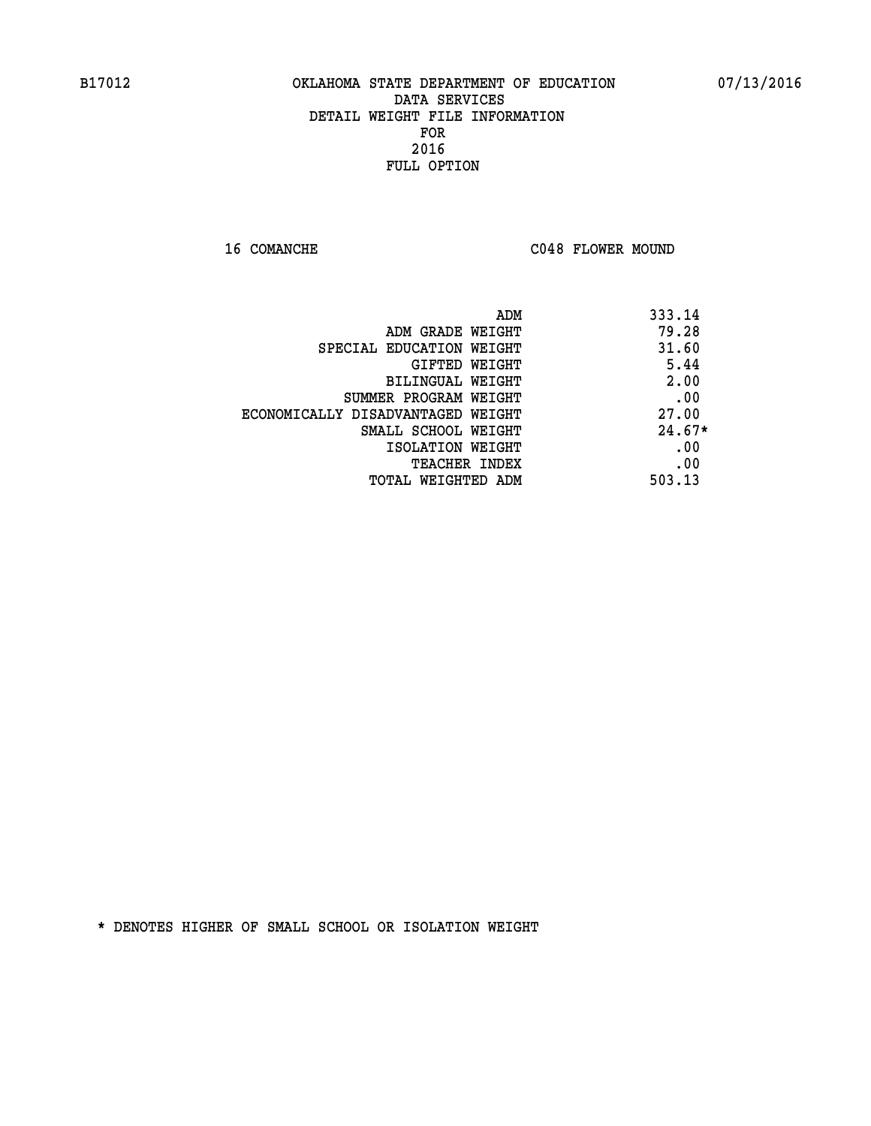16 COMANCHE C048 FLOWER MOUND

| ADM                               | 333.14   |
|-----------------------------------|----------|
| ADM GRADE WEIGHT                  | 79.28    |
| SPECIAL EDUCATION WEIGHT          | 31.60    |
| GIFTED WEIGHT                     | 5.44     |
| BILINGUAL WEIGHT                  | 2.00     |
| SUMMER PROGRAM WEIGHT             | .00      |
| ECONOMICALLY DISADVANTAGED WEIGHT | 27.00    |
| SMALL SCHOOL WEIGHT               | $24.67*$ |
| ISOLATION WEIGHT                  | .00      |
| <b>TEACHER INDEX</b>              | .00      |
| TOTAL WEIGHTED ADM                | 503.13   |
|                                   |          |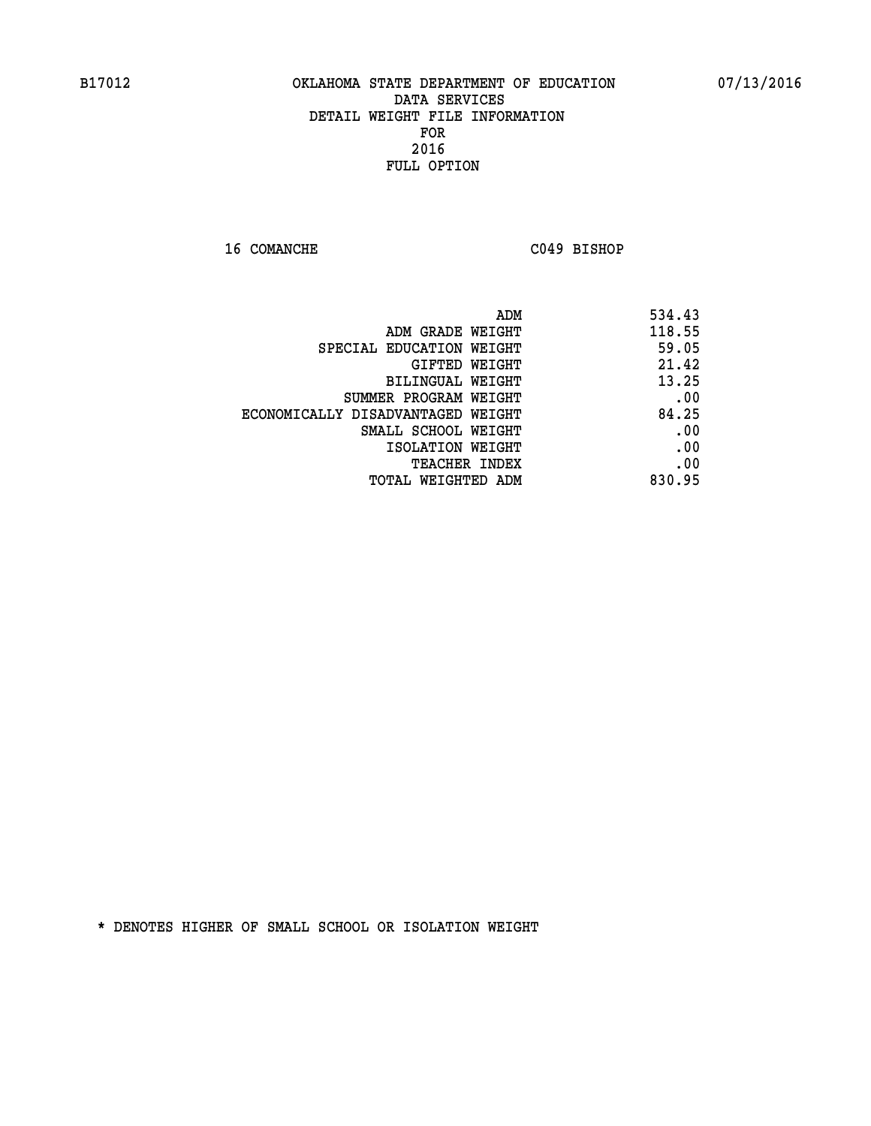**16 COMANCHE C049 BISHOP** 

|                                   | 534.43<br>ADM |  |
|-----------------------------------|---------------|--|
| ADM GRADE WEIGHT                  | 118.55        |  |
| SPECIAL EDUCATION WEIGHT          | 59.05         |  |
| GIFTED WEIGHT                     | 21.42         |  |
| BILINGUAL WEIGHT                  | 13.25         |  |
| SUMMER PROGRAM WEIGHT             | .00           |  |
| ECONOMICALLY DISADVANTAGED WEIGHT | 84.25         |  |
| SMALL SCHOOL WEIGHT               | .00           |  |
| ISOLATION WEIGHT                  | .00           |  |
| TEACHER INDEX                     | .00           |  |
| TOTAL WEIGHTED ADM                | 830.95        |  |
|                                   |               |  |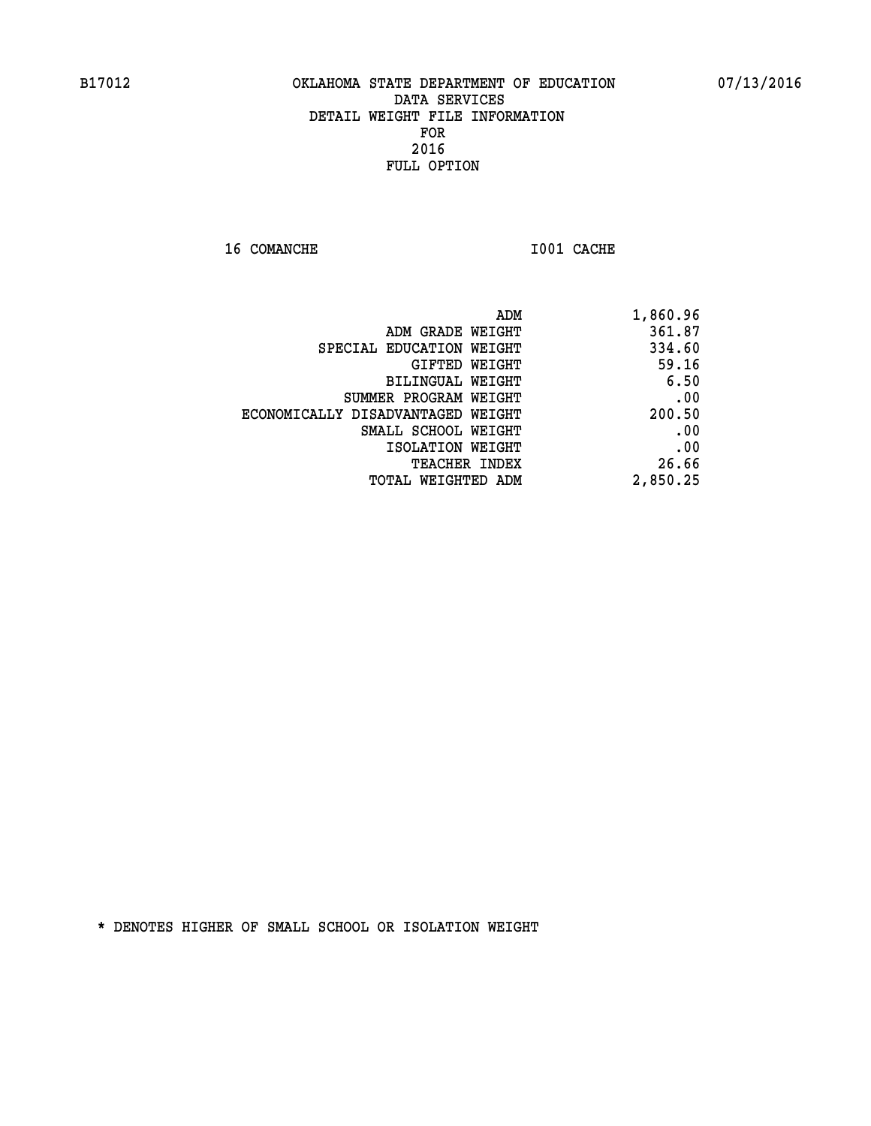**16 COMANCHE 1001 CACHE** 

| 1,860.96 |
|----------|
| 361.87   |
| 334.60   |
| 59.16    |
| 6.50     |
| .00      |
| 200.50   |
| .00      |
| .00      |
| 26.66    |
| 2,850.25 |
|          |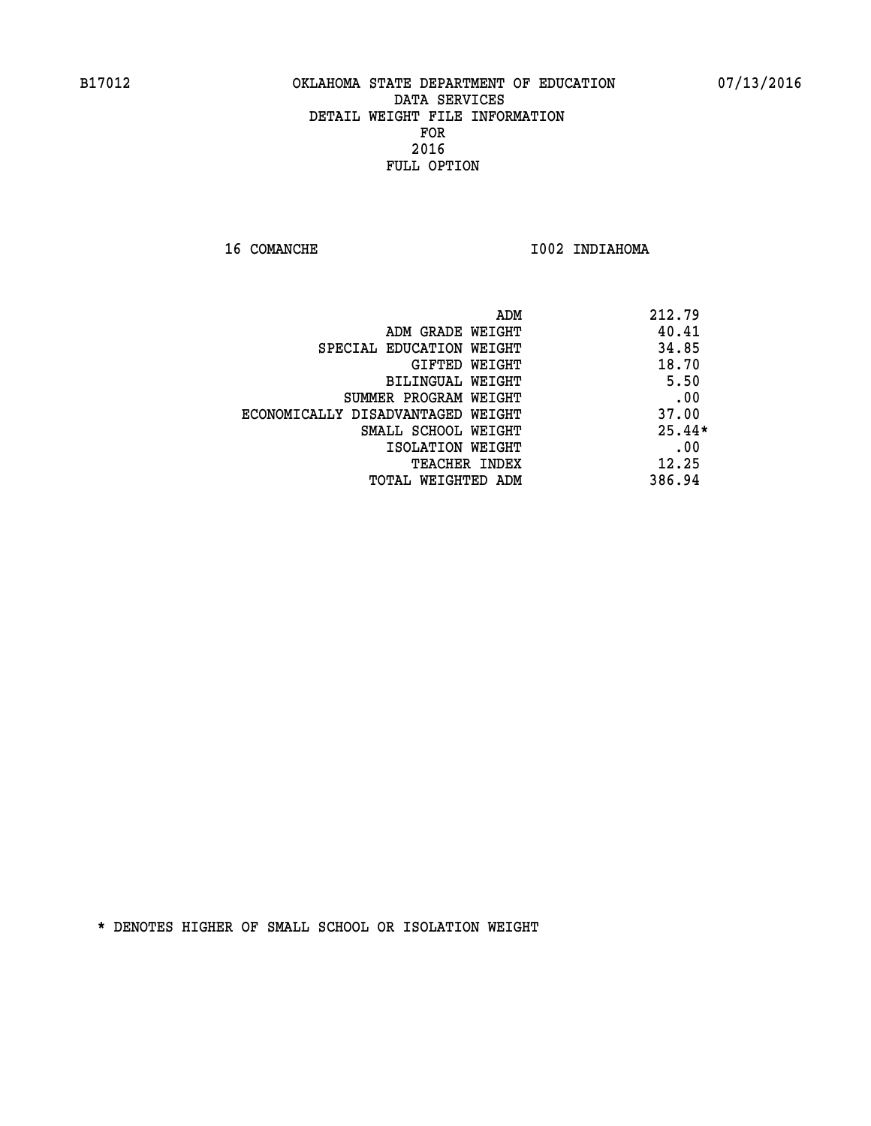16 COMANCHE 1002 INDIAHOMA

|                                   | 212.79<br>ADM |  |
|-----------------------------------|---------------|--|
| ADM GRADE WEIGHT                  | 40.41         |  |
| SPECIAL EDUCATION WEIGHT          | 34.85         |  |
| GIFTED WEIGHT                     | 18.70         |  |
| <b>BILINGUAL WEIGHT</b>           | 5.50          |  |
| SUMMER PROGRAM WEIGHT             | .00           |  |
| ECONOMICALLY DISADVANTAGED WEIGHT | 37.00         |  |
| SMALL SCHOOL WEIGHT               | $25.44*$      |  |
| ISOLATION WEIGHT                  | .00           |  |
| <b>TEACHER INDEX</b>              | 12.25         |  |
| TOTAL WEIGHTED ADM                | 386.94        |  |
|                                   |               |  |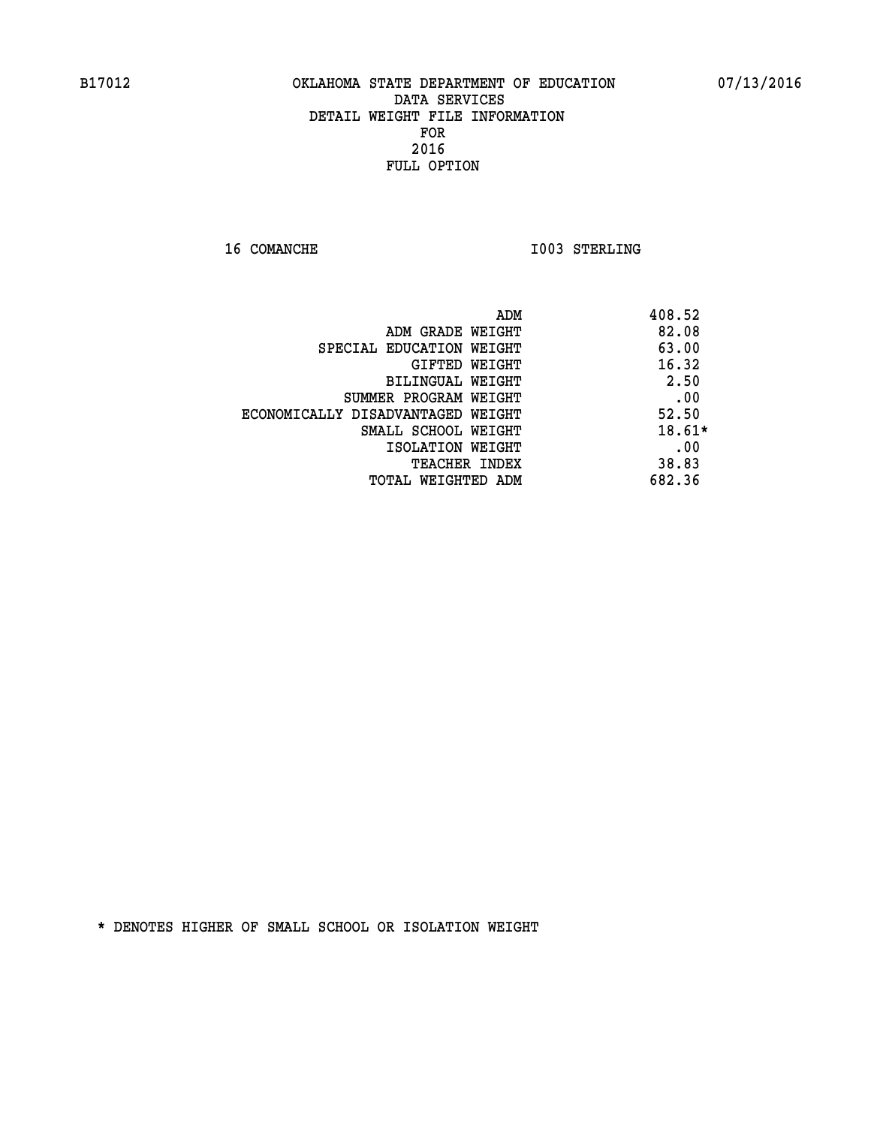**16 COMANCHE 1003 STERLING** 

|                                   | 408.52<br>ADM |     |
|-----------------------------------|---------------|-----|
| ADM GRADE WEIGHT                  | 82.08         |     |
| SPECIAL EDUCATION WEIGHT          | 63.00         |     |
| GIFTED WEIGHT                     | 16.32         |     |
| BILINGUAL WEIGHT                  | 2.50          |     |
| SUMMER PROGRAM WEIGHT             |               | .00 |
| ECONOMICALLY DISADVANTAGED WEIGHT | 52.50         |     |
| SMALL SCHOOL WEIGHT               | $18.61*$      |     |
| ISOLATION WEIGHT                  |               | .00 |
| TEACHER INDEX                     | 38.83         |     |
| TOTAL WEIGHTED ADM                | 682.36        |     |
|                                   |               |     |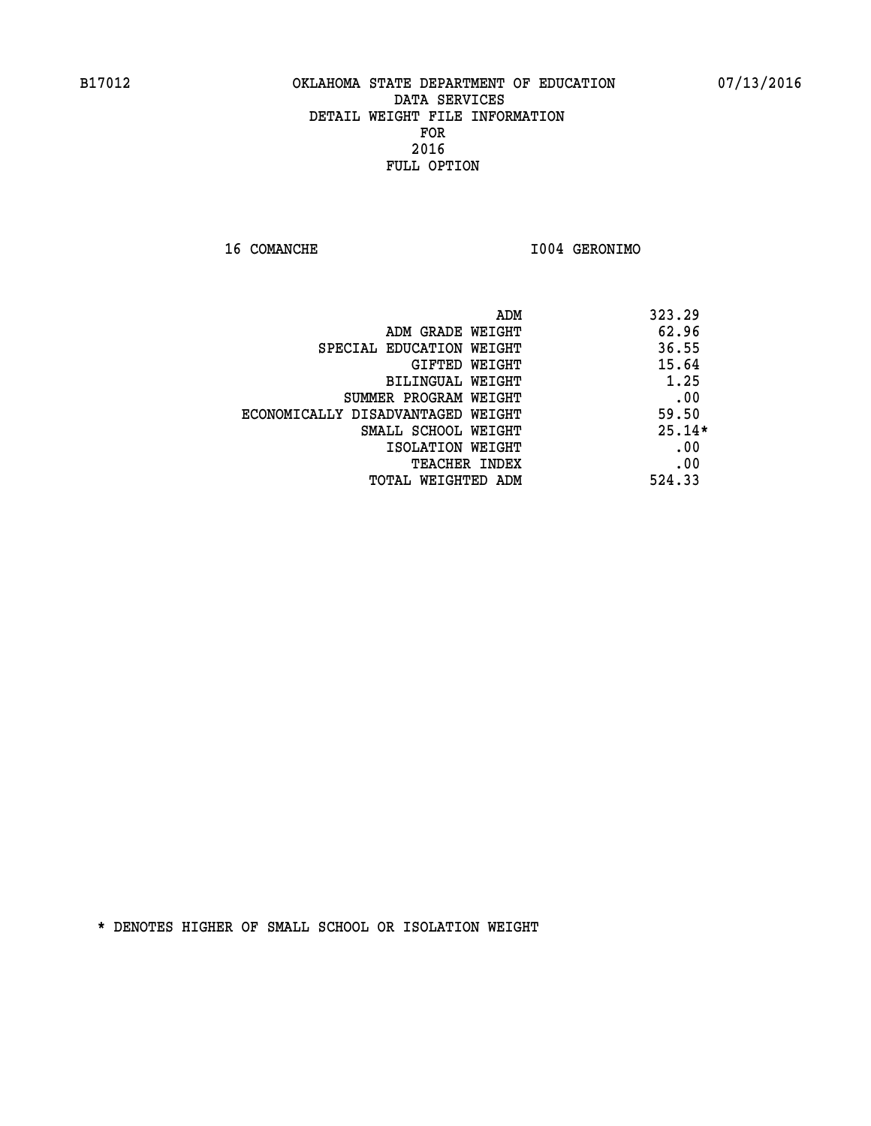**16 COMANCHE I004 GERONIMO** 

|                                   | ADM<br>323.29 |     |
|-----------------------------------|---------------|-----|
| ADM GRADE WEIGHT                  | 62.96         |     |
| SPECIAL EDUCATION WEIGHT          | 36.55         |     |
| GIFTED WEIGHT                     | 15.64         |     |
| BILINGUAL WEIGHT                  | 1.25          |     |
| SUMMER PROGRAM WEIGHT             |               | .00 |
| ECONOMICALLY DISADVANTAGED WEIGHT | 59.50         |     |
| SMALL SCHOOL WEIGHT               | $25.14*$      |     |
| ISOLATION WEIGHT                  |               | .00 |
| <b>TEACHER INDEX</b>              |               | .00 |
| TOTAL WEIGHTED ADM                | 524.33        |     |
|                                   |               |     |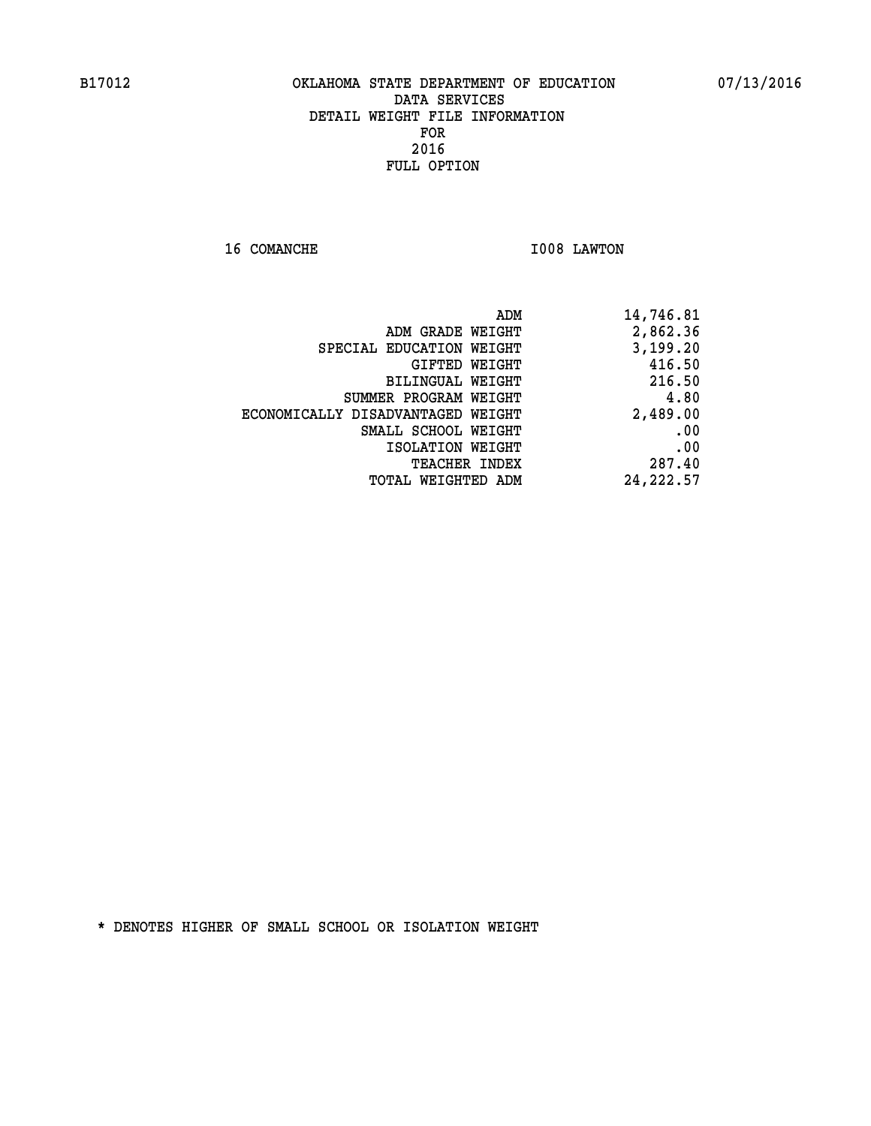**16 COMANCHE 1008 LAWTON** 

|                                   | 14,746.81<br>ADM |
|-----------------------------------|------------------|
| ADM GRADE WEIGHT                  | 2,862.36         |
| SPECIAL EDUCATION WEIGHT          | 3,199.20         |
| GIFTED WEIGHT                     | 416.50           |
| BILINGUAL WEIGHT                  | 216.50           |
| SUMMER PROGRAM WEIGHT             | 4.80             |
| ECONOMICALLY DISADVANTAGED WEIGHT | 2,489.00         |
| SMALL SCHOOL WEIGHT               | .00              |
| ISOLATION WEIGHT                  | .00              |
| <b>TEACHER INDEX</b>              | 287.40           |
| TOTAL WEIGHTED ADM                | 24, 222, 57      |
|                                   |                  |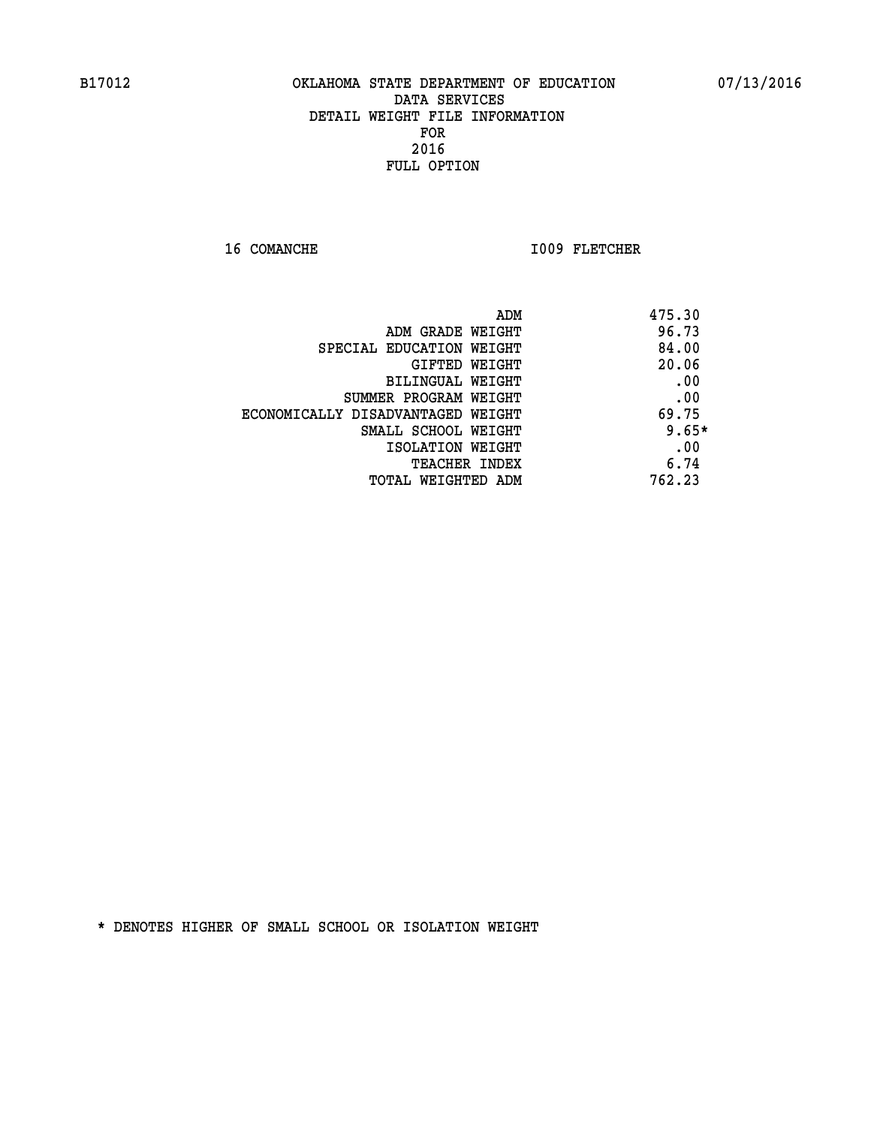16 COMANCHE 1009 FLETCHER

| 475.30<br>ADM                              |  |
|--------------------------------------------|--|
| 96.73<br>ADM GRADE WEIGHT                  |  |
| 84.00<br>SPECIAL EDUCATION WEIGHT          |  |
| 20.06<br>GIFTED WEIGHT                     |  |
| .00<br>BILINGUAL WEIGHT                    |  |
| .00<br>SUMMER PROGRAM WEIGHT               |  |
| 69.75<br>ECONOMICALLY DISADVANTAGED WEIGHT |  |
| $9.65*$<br>SMALL SCHOOL WEIGHT             |  |
| .00<br>ISOLATION WEIGHT                    |  |
| 6.74<br><b>TEACHER INDEX</b>               |  |
| 762.23<br>TOTAL WEIGHTED ADM               |  |
|                                            |  |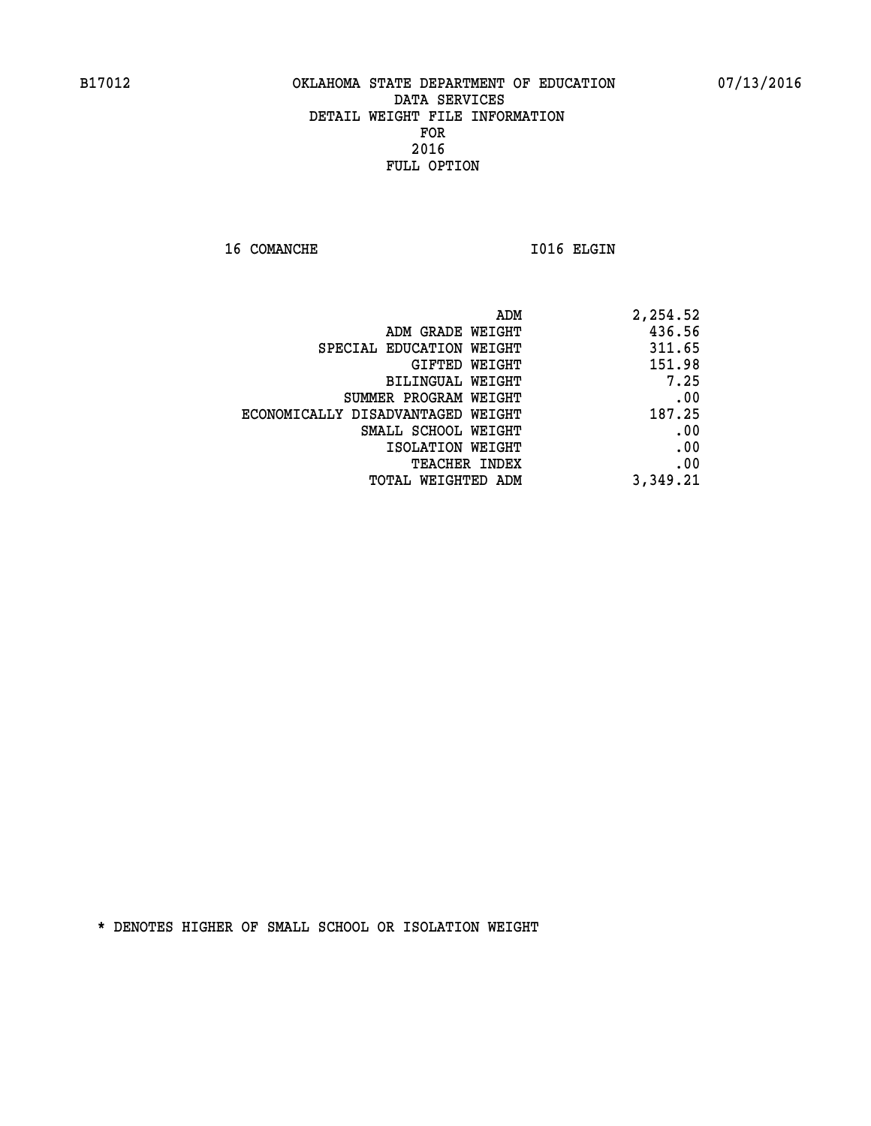16 COMANCHE 1016 ELGIN

| ADM                               | 2,254.52 |
|-----------------------------------|----------|
| ADM GRADE WEIGHT                  | 436.56   |
| SPECIAL EDUCATION WEIGHT          | 311.65   |
| GIFTED WEIGHT                     | 151.98   |
| BILINGUAL WEIGHT                  | 7.25     |
| SUMMER PROGRAM WEIGHT             | .00      |
| ECONOMICALLY DISADVANTAGED WEIGHT | 187.25   |
| SMALL SCHOOL WEIGHT               | .00      |
| ISOLATION WEIGHT                  | .00      |
| <b>TEACHER INDEX</b>              | .00      |
| TOTAL WEIGHTED ADM                | 3,349.21 |
|                                   |          |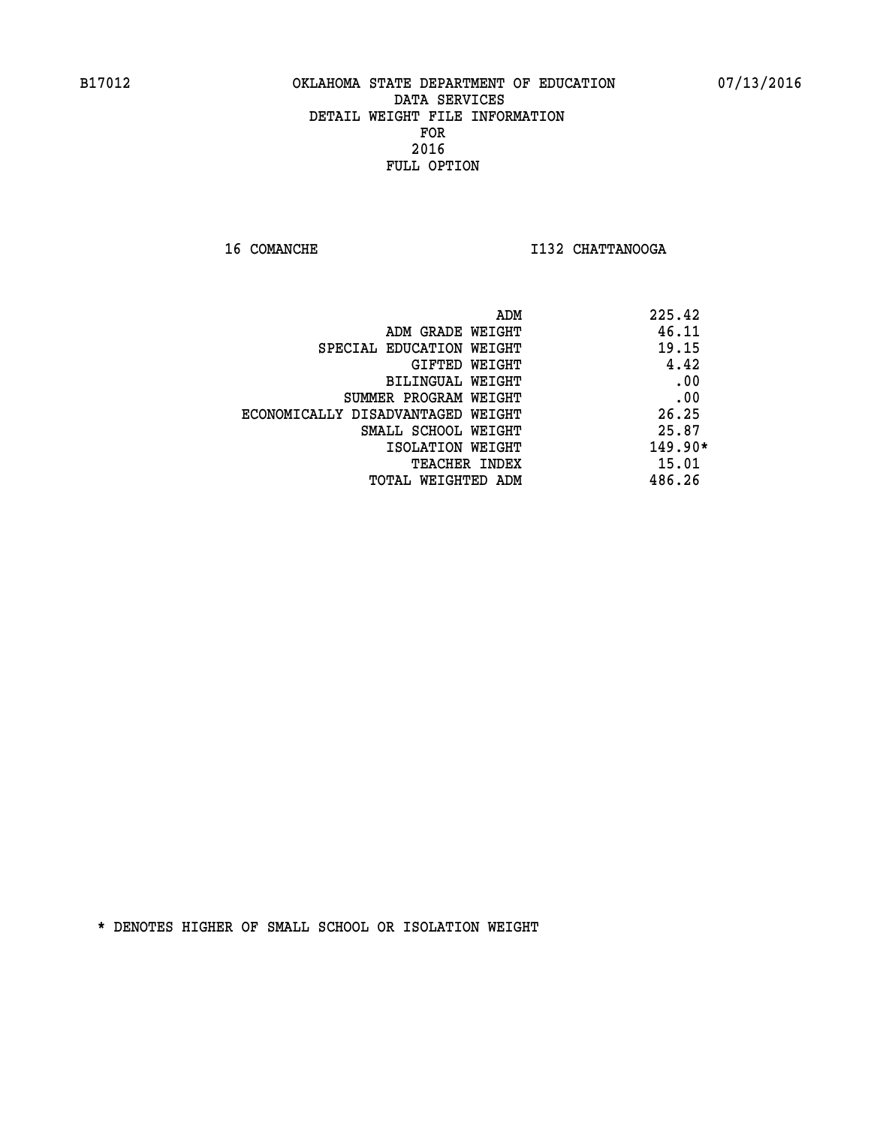**16 COMANCHE I132 CHATTANOOGA** 

| ADM                               | 225.42    |
|-----------------------------------|-----------|
| ADM GRADE WEIGHT                  | 46.11     |
| SPECIAL EDUCATION WEIGHT          | 19.15     |
| GIFTED WEIGHT                     | 4.42      |
| BILINGUAL WEIGHT                  | .00       |
| SUMMER PROGRAM WEIGHT             | .00       |
| ECONOMICALLY DISADVANTAGED WEIGHT | 26.25     |
| SMALL SCHOOL WEIGHT               | 25.87     |
| ISOLATION WEIGHT                  | $149.90*$ |
| TEACHER INDEX                     | 15.01     |
| TOTAL WEIGHTED ADM                | 486.26    |
|                                   |           |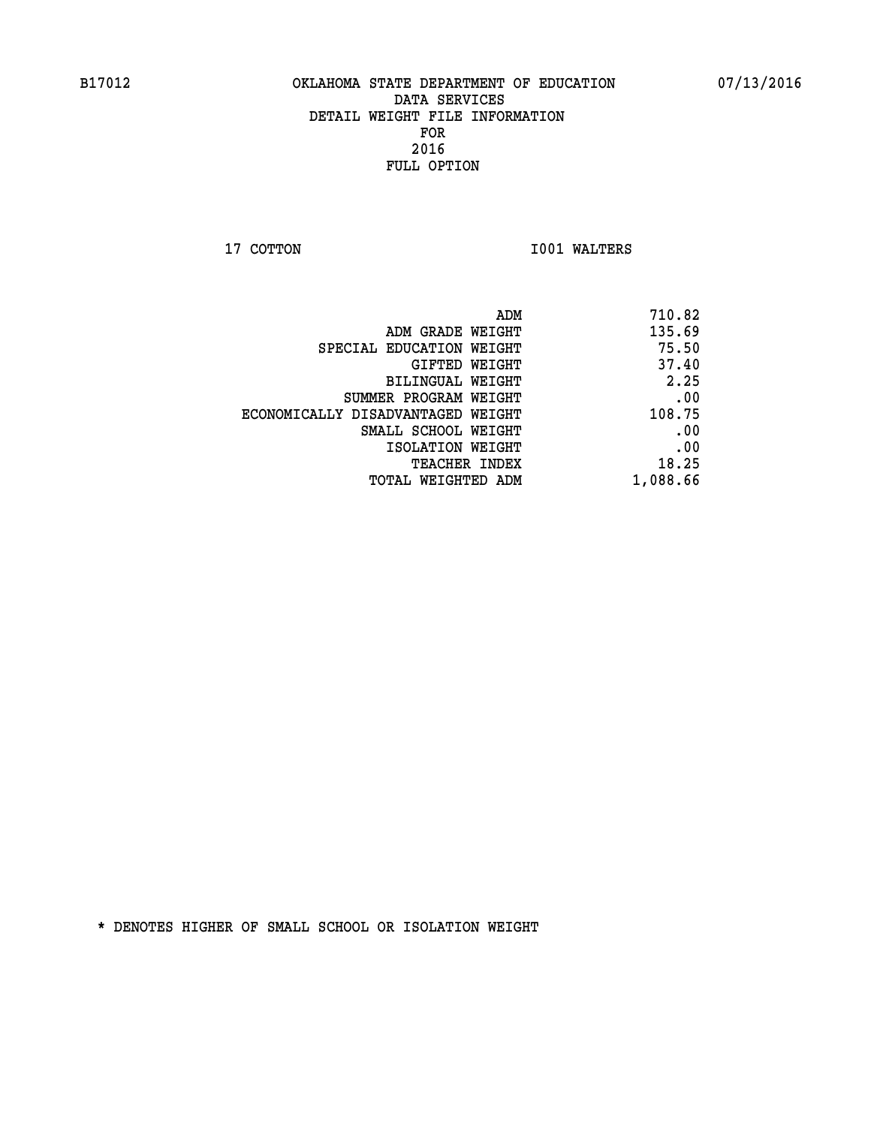**17 COTTON 1001 WALTERS** 

| ADM                               | 710.82   |
|-----------------------------------|----------|
| ADM GRADE WEIGHT                  | 135.69   |
| SPECIAL EDUCATION WEIGHT          | 75.50    |
| GIFTED WEIGHT                     | 37.40    |
| BILINGUAL WEIGHT                  | 2.25     |
| SUMMER PROGRAM WEIGHT             | .00      |
| ECONOMICALLY DISADVANTAGED WEIGHT | 108.75   |
| SMALL SCHOOL WEIGHT               | .00      |
| ISOLATION WEIGHT                  | .00      |
| TEACHER INDEX                     | 18.25    |
| TOTAL WEIGHTED ADM                | 1,088.66 |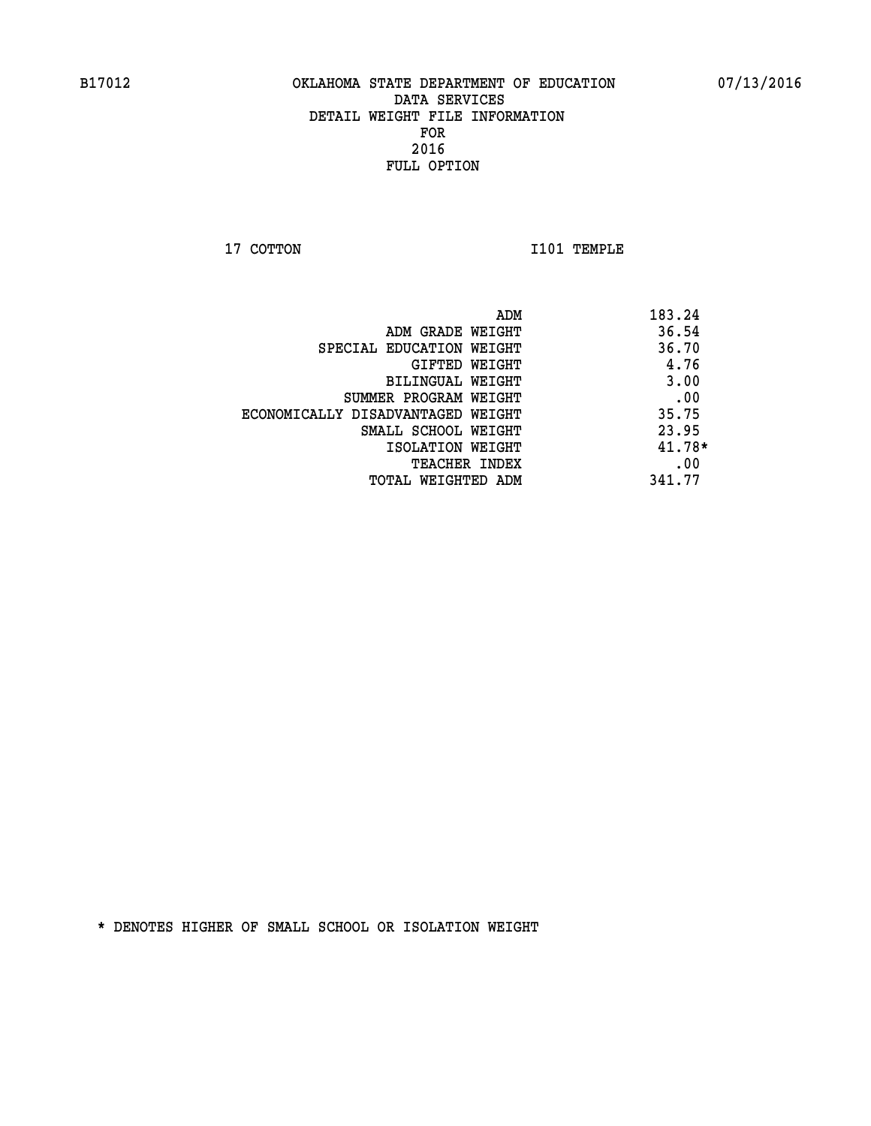**17 COTTON 1101 TEMPLE** 

| ADM                               | 183.24   |
|-----------------------------------|----------|
| ADM GRADE WEIGHT                  | 36.54    |
| SPECIAL EDUCATION WEIGHT          | 36.70    |
| GIFTED WEIGHT                     | 4.76     |
| BILINGUAL WEIGHT                  | 3.00     |
| SUMMER PROGRAM WEIGHT             | .00      |
| ECONOMICALLY DISADVANTAGED WEIGHT | 35.75    |
| SMALL SCHOOL WEIGHT               | 23.95    |
| ISOLATION WEIGHT                  | $41.78*$ |
| <b>TEACHER INDEX</b>              | .00      |
| TOTAL WEIGHTED ADM                | 341.77   |
|                                   |          |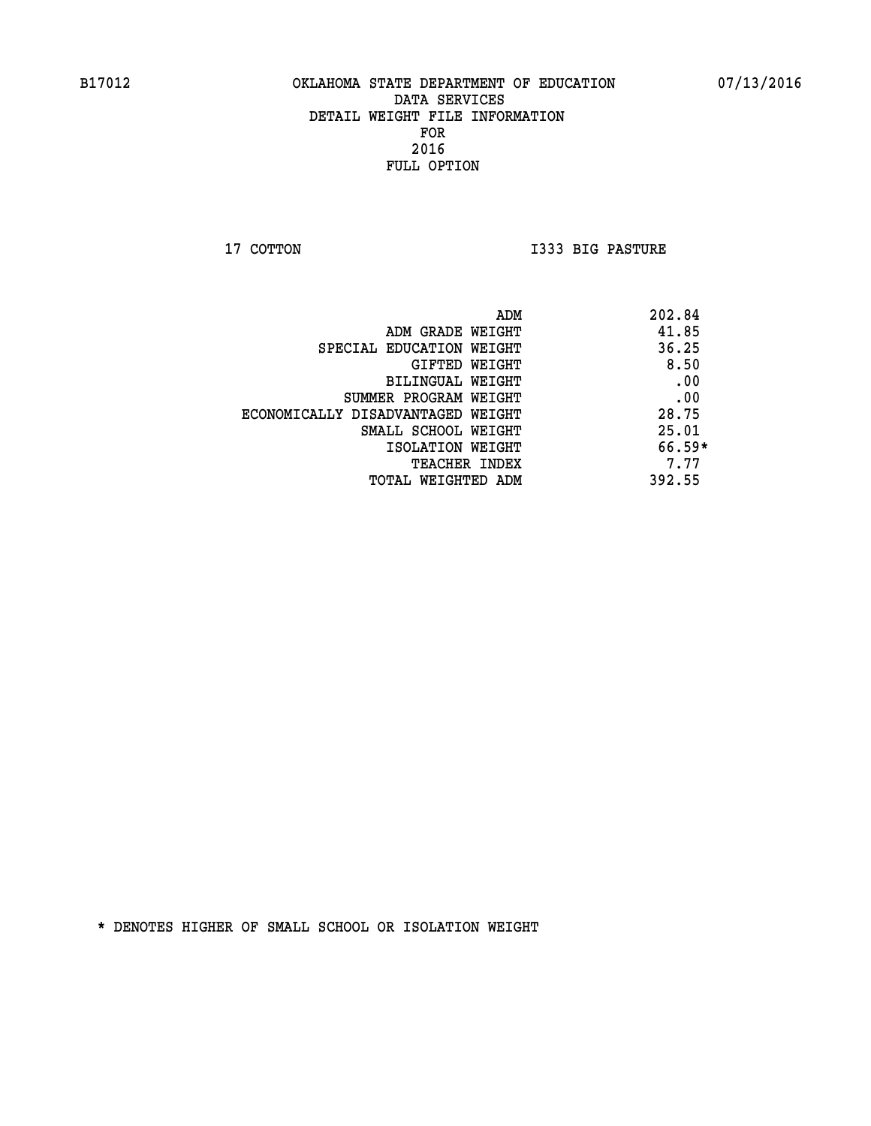**17 COTTON I333 BIG PASTURE** 

|                                   | 202.84<br>ADM |  |
|-----------------------------------|---------------|--|
| ADM GRADE WEIGHT                  | 41.85         |  |
| SPECIAL EDUCATION WEIGHT          | 36.25         |  |
| GIFTED WEIGHT                     | 8.50          |  |
| BILINGUAL WEIGHT                  | .00           |  |
| SUMMER PROGRAM WEIGHT             | .00           |  |
| ECONOMICALLY DISADVANTAGED WEIGHT | 28.75         |  |
| SMALL SCHOOL WEIGHT               | 25.01         |  |
| ISOLATION WEIGHT                  | $66.59*$      |  |
| <b>TEACHER INDEX</b>              | 7.77          |  |
| TOTAL WEIGHTED ADM                | 392.55        |  |
|                                   |               |  |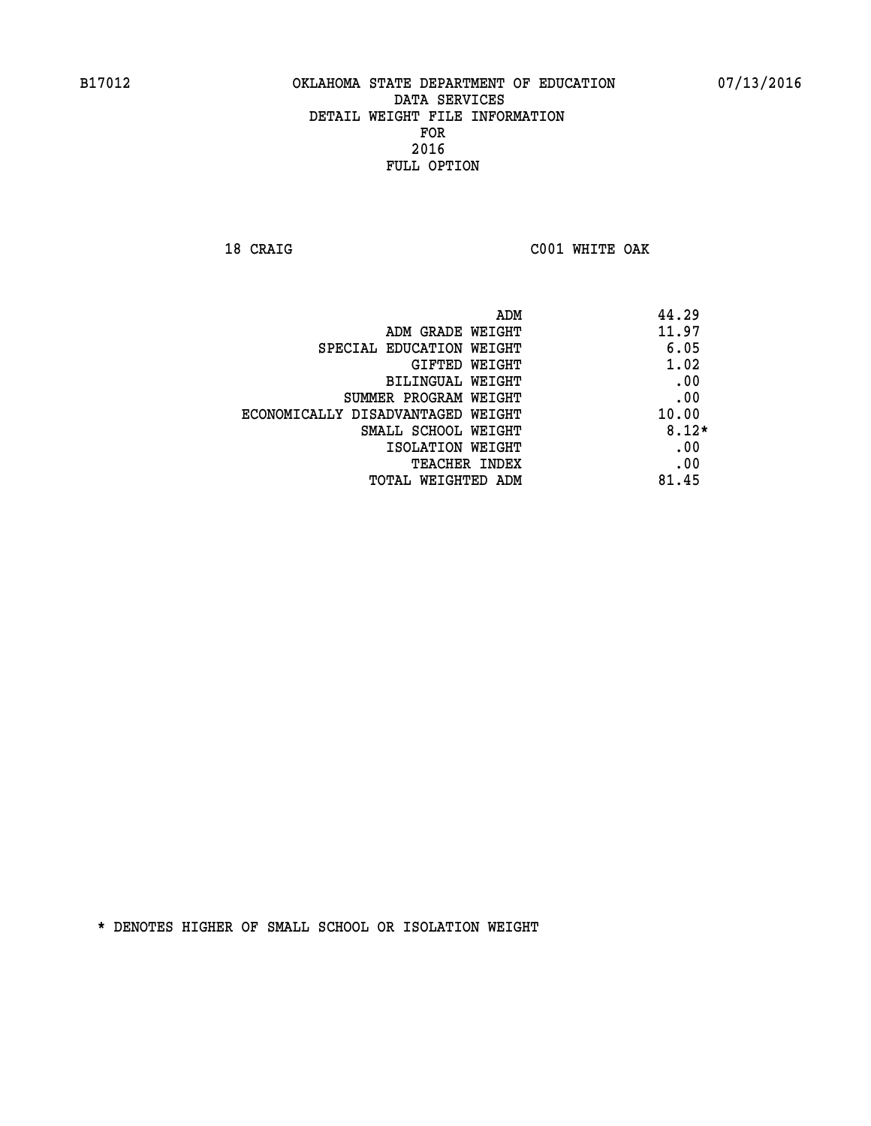**18 CRAIG C001 WHITE OAK** 

| ADM<br>44.29                               |  |
|--------------------------------------------|--|
| 11.97<br>ADM GRADE WEIGHT                  |  |
| 6.05<br>SPECIAL EDUCATION WEIGHT           |  |
| 1.02<br>GIFTED WEIGHT                      |  |
| .00<br><b>BILINGUAL WEIGHT</b>             |  |
| .00<br>SUMMER PROGRAM WEIGHT               |  |
| 10.00<br>ECONOMICALLY DISADVANTAGED WEIGHT |  |
| $8.12*$<br>SMALL SCHOOL WEIGHT             |  |
| .00<br>ISOLATION WEIGHT                    |  |
| .00<br><b>TEACHER INDEX</b>                |  |
| 81.45<br>TOTAL WEIGHTED ADM                |  |
|                                            |  |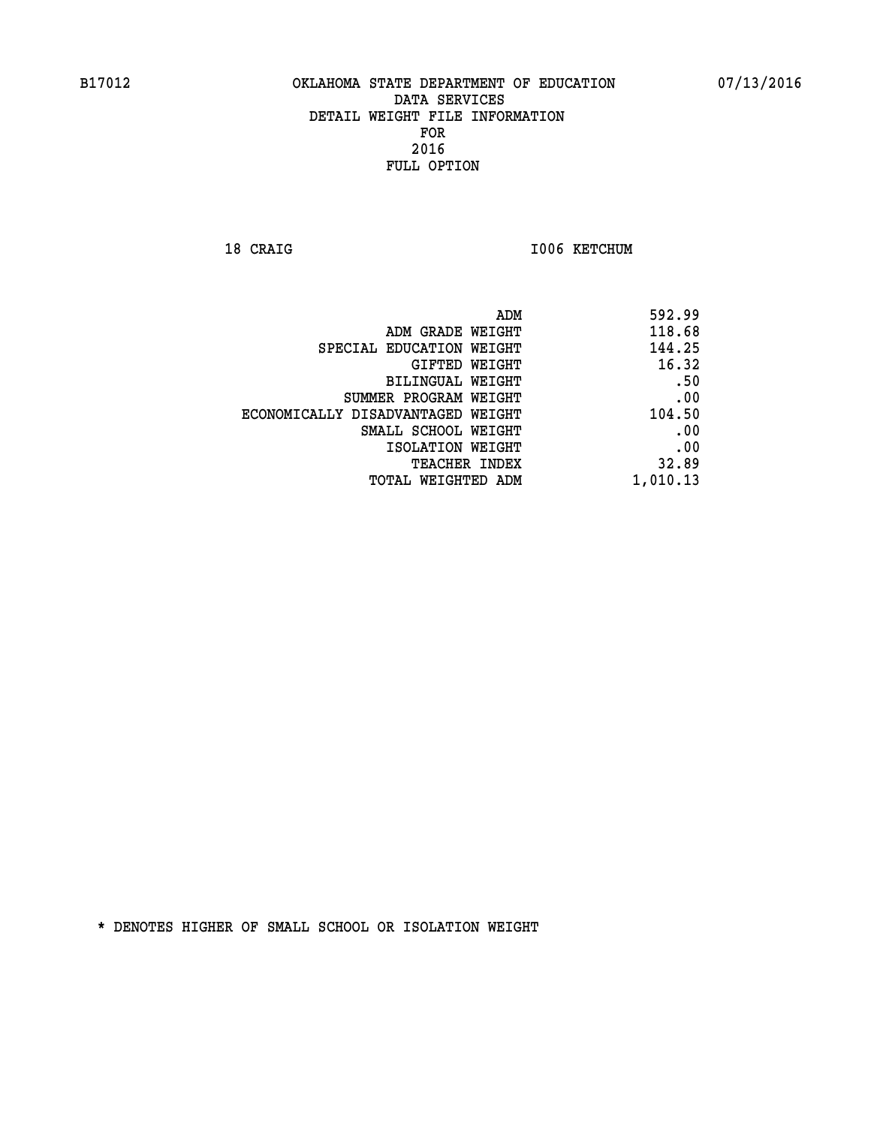18 CRAIG **I006 KETCHUM** 

| 592.99   |
|----------|
| 118.68   |
| 144.25   |
| 16.32    |
| .50      |
| .00      |
| 104.50   |
| .00      |
| .00      |
| 32.89    |
| 1,010.13 |
|          |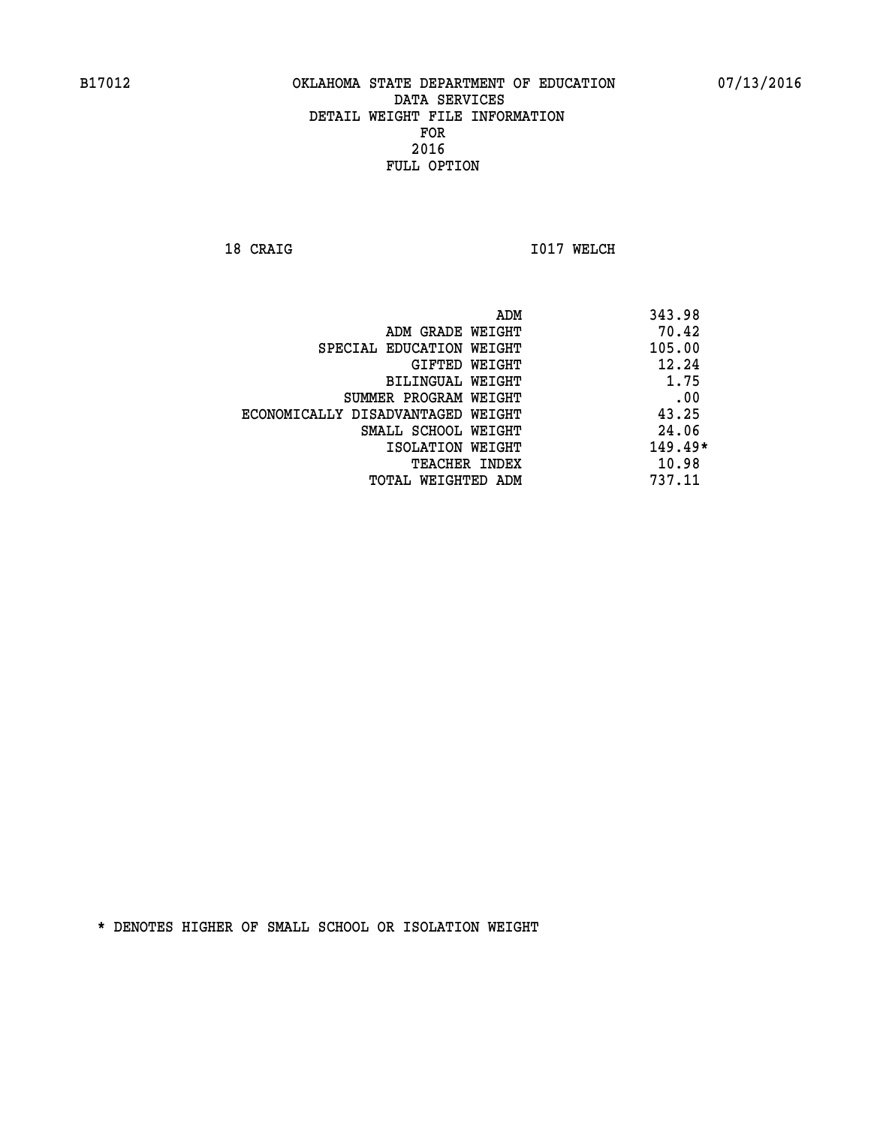**18 CRAIG 1017 WELCH** 

|                                   | 343.98<br>ADM |
|-----------------------------------|---------------|
| ADM GRADE WEIGHT                  | 70.42         |
| SPECIAL EDUCATION WEIGHT          | 105.00        |
| GIFTED WEIGHT                     | 12.24         |
| BILINGUAL WEIGHT                  | 1.75          |
| SUMMER PROGRAM WEIGHT             | .00           |
| ECONOMICALLY DISADVANTAGED WEIGHT | 43.25         |
| SMALL SCHOOL WEIGHT               | 24.06         |
| ISOLATION WEIGHT                  | $149.49*$     |
| <b>TEACHER INDEX</b>              | 10.98         |
| TOTAL WEIGHTED ADM                | 737.11        |
|                                   |               |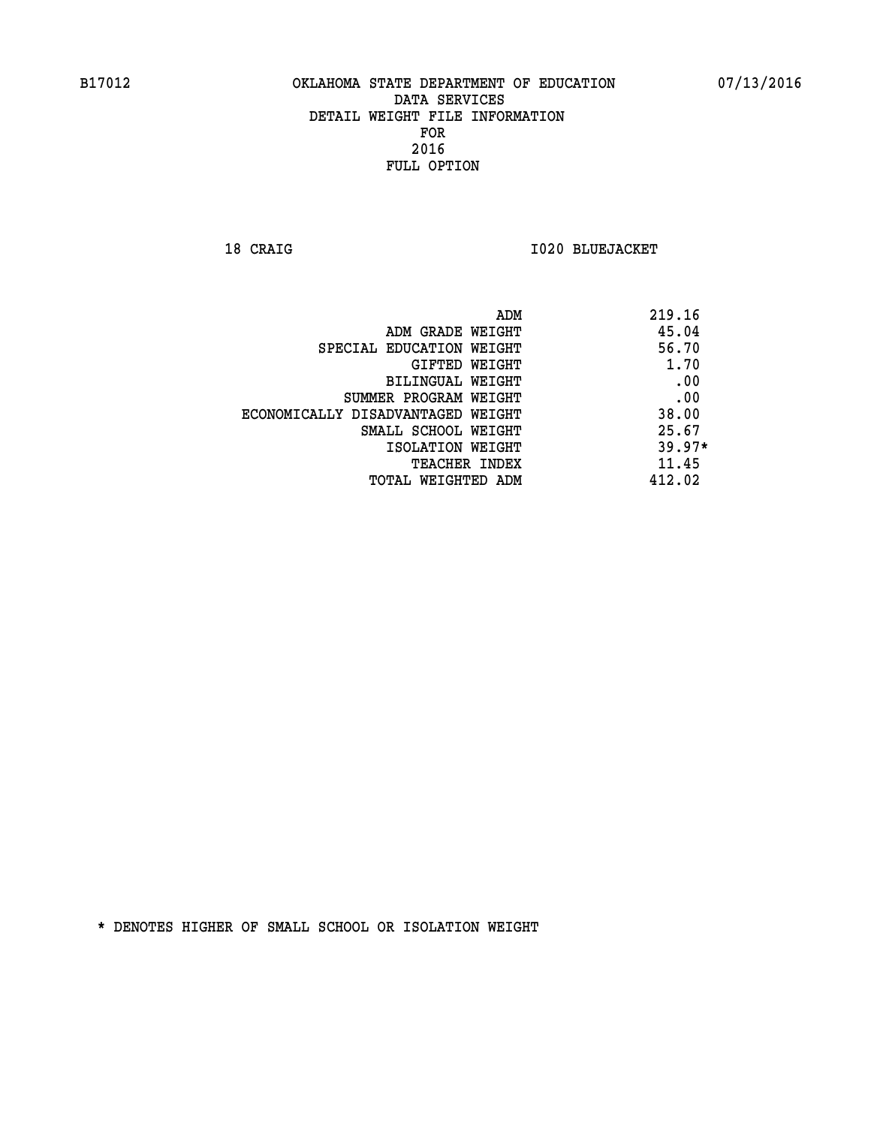**18 CRAIG I020 BLUEJACKET** 

| ADM                               | 219.16   |
|-----------------------------------|----------|
| ADM GRADE WEIGHT                  | 45.04    |
| SPECIAL EDUCATION WEIGHT          | 56.70    |
| GIFTED WEIGHT                     | 1.70     |
| BILINGUAL WEIGHT                  | .00      |
| SUMMER PROGRAM WEIGHT             | .00      |
| ECONOMICALLY DISADVANTAGED WEIGHT | 38.00    |
| SMALL SCHOOL WEIGHT               | 25.67    |
| ISOLATION WEIGHT                  | $39.97*$ |
| TEACHER INDEX                     | 11.45    |
| TOTAL WEIGHTED ADM                | 412.02   |
|                                   |          |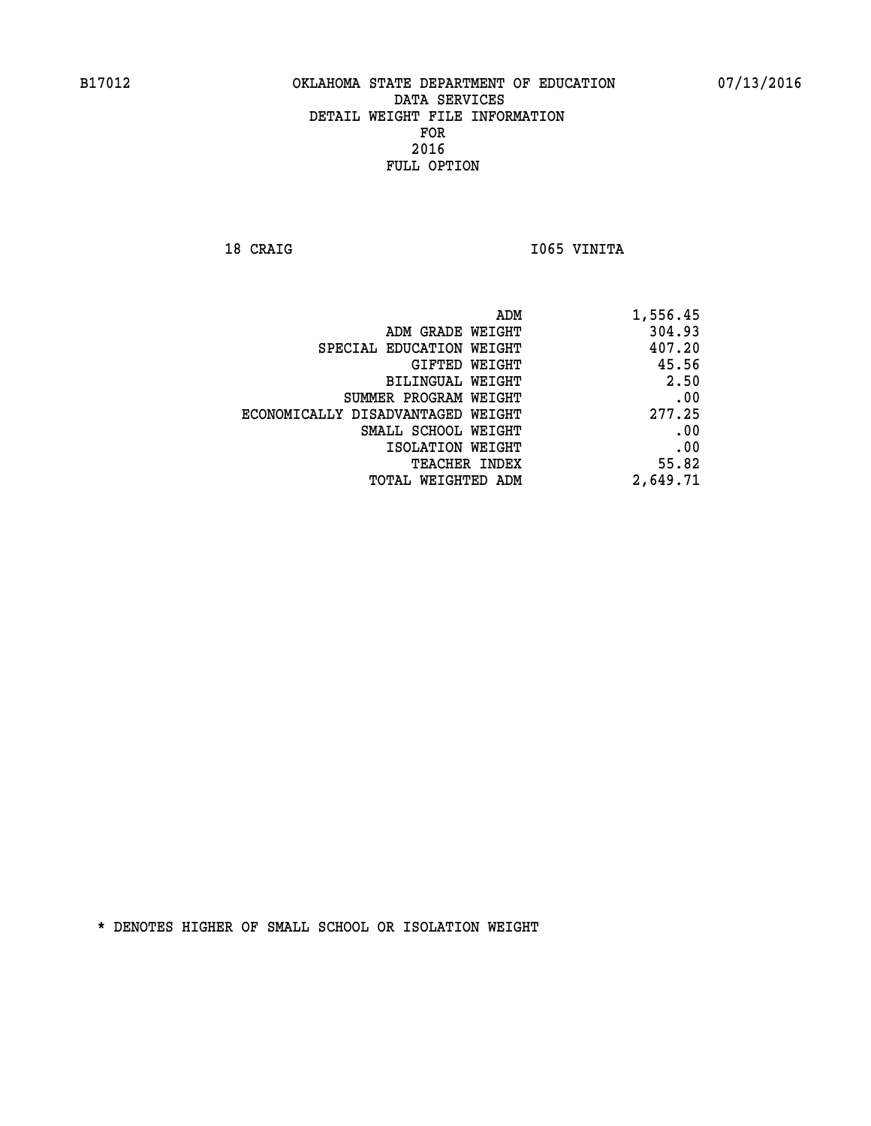18 CRAIG **I**065 VINITA

| 1,556.45 |
|----------|
| 304.93   |
| 407.20   |
| 45.56    |
| 2.50     |
| .00      |
| 277.25   |
| .00      |
| .00      |
| 55.82    |
| 2,649.71 |
|          |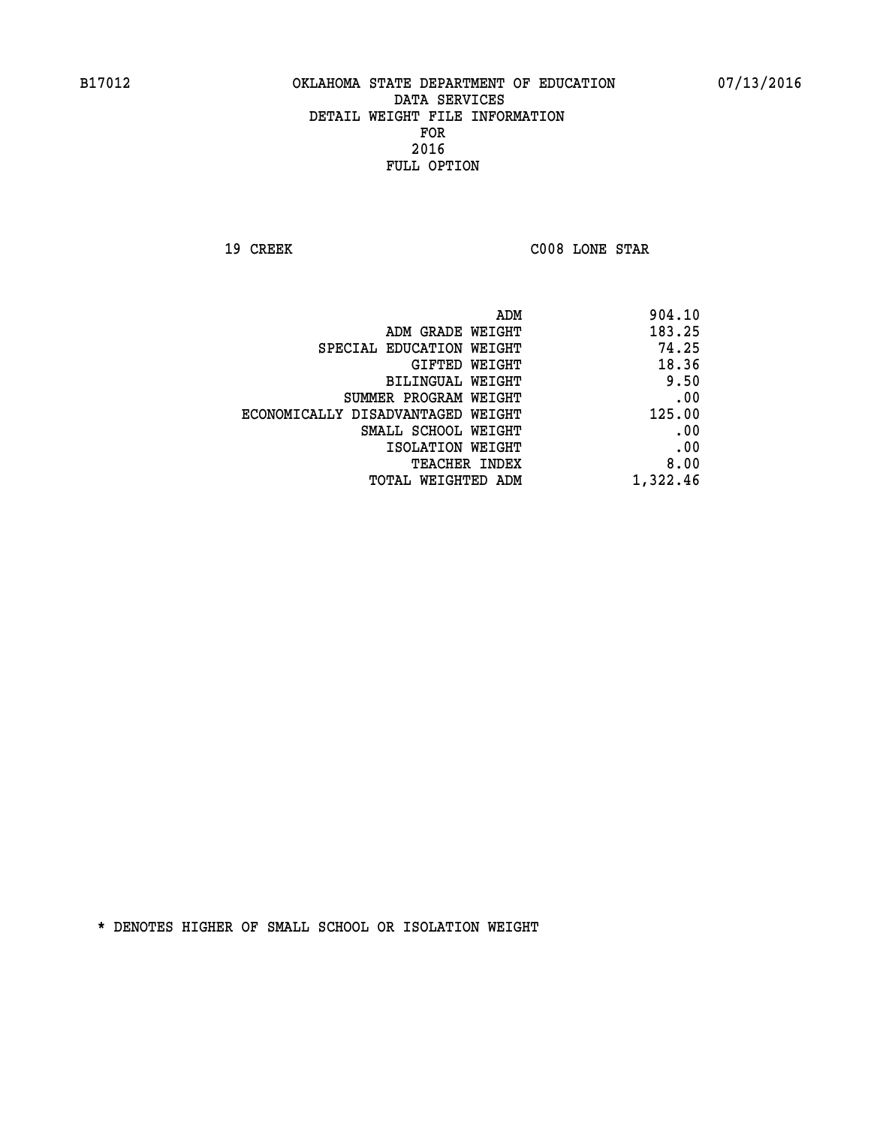**19 CREEK C008 LONE STAR** 

| 904.10   |
|----------|
| 183.25   |
| 74.25    |
| 18.36    |
| 9.50     |
| .00      |
| 125.00   |
| .00      |
| .00      |
| 8.00     |
| 1,322.46 |
|          |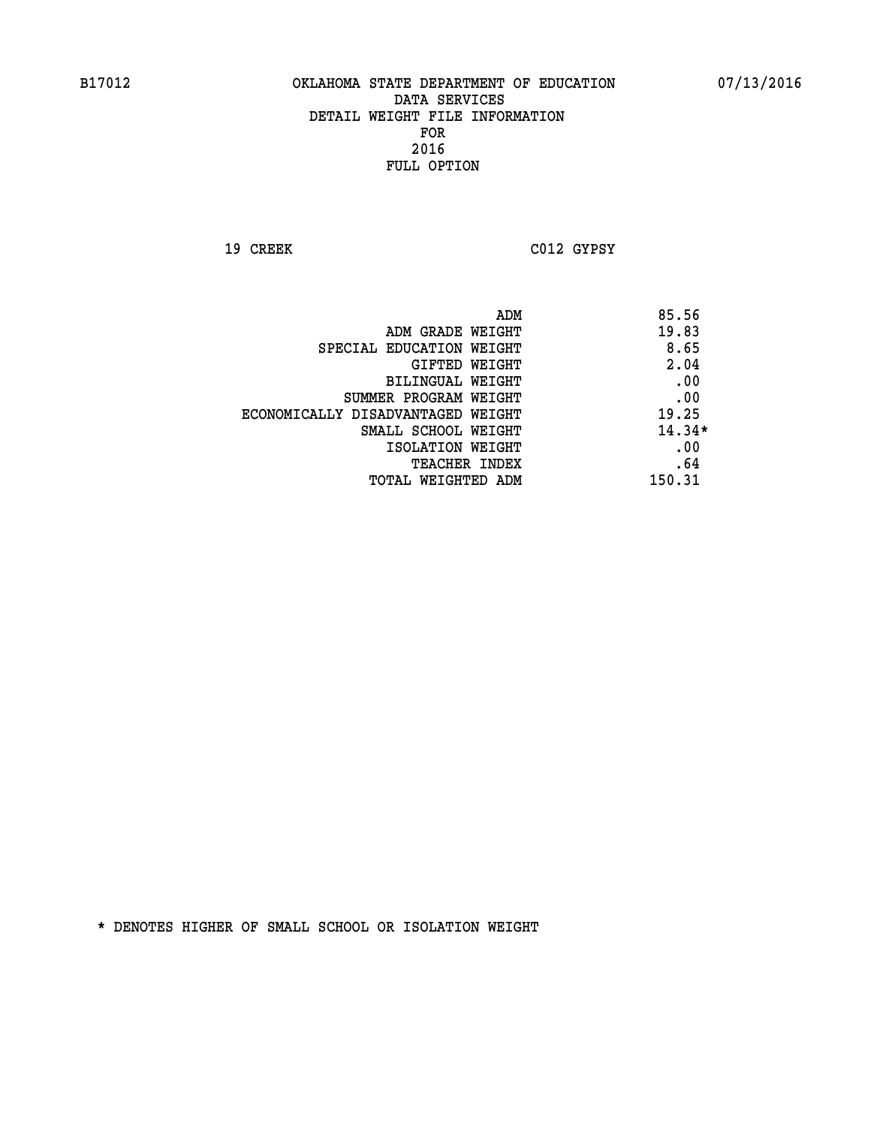**19 CREEK C012 GYPSY** 

|                                   | ADM | 85.56    |
|-----------------------------------|-----|----------|
| ADM GRADE WEIGHT                  |     | 19.83    |
| SPECIAL EDUCATION WEIGHT          |     | 8.65     |
| GIFTED WEIGHT                     |     | 2.04     |
| BILINGUAL WEIGHT                  |     | .00      |
| SUMMER PROGRAM WEIGHT             |     | .00      |
| ECONOMICALLY DISADVANTAGED WEIGHT |     | 19.25    |
| SMALL SCHOOL WEIGHT               |     | $14.34*$ |
| ISOLATION WEIGHT                  |     | .00      |
| TEACHER INDEX                     |     | .64      |
| TOTAL WEIGHTED ADM                |     | 150.31   |
|                                   |     |          |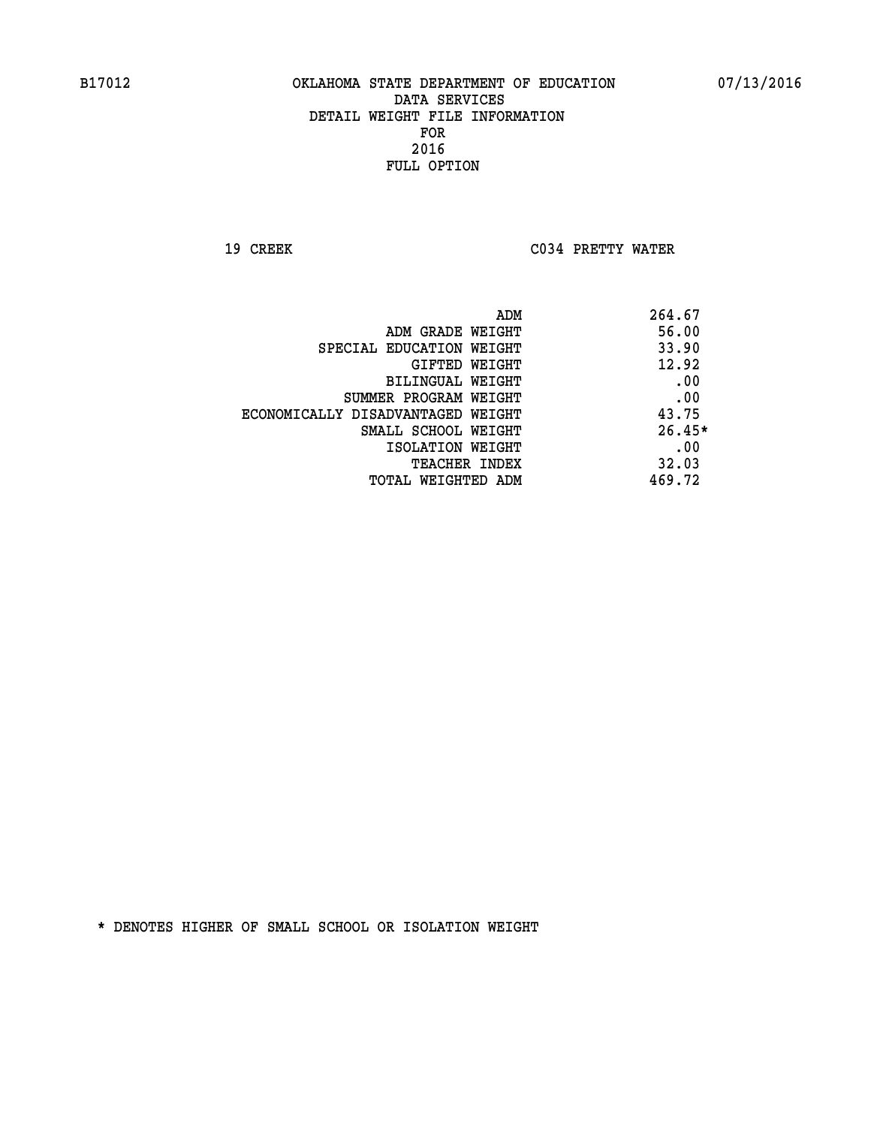**19 CREEK C034 PRETTY WATER** 

| ADM                               | 264.67   |
|-----------------------------------|----------|
| ADM GRADE WEIGHT                  | 56.00    |
| SPECIAL EDUCATION WEIGHT          | 33.90    |
| GIFTED WEIGHT                     | 12.92    |
| BILINGUAL WEIGHT                  | .00      |
| SUMMER PROGRAM WEIGHT             | .00      |
| ECONOMICALLY DISADVANTAGED WEIGHT | 43.75    |
| SMALL SCHOOL WEIGHT               | $26.45*$ |
| ISOLATION WEIGHT                  | .00      |
| <b>TEACHER INDEX</b>              | 32.03    |
| TOTAL WEIGHTED ADM                | 469.72   |
|                                   |          |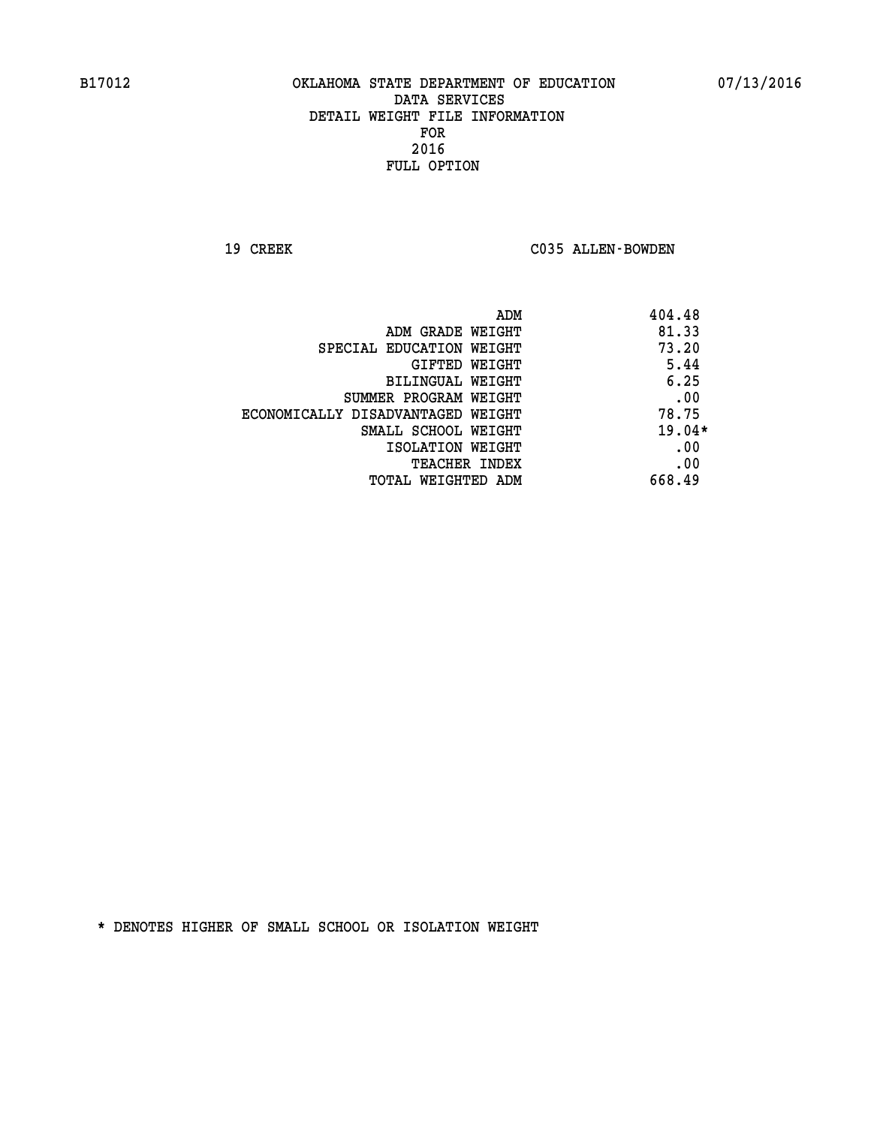19 CREEK C035 ALLEN-BOWDEN

| ADM                               | 404.48   |
|-----------------------------------|----------|
| ADM GRADE WEIGHT                  | 81.33    |
| SPECIAL EDUCATION WEIGHT          | 73.20    |
| GIFTED WEIGHT                     | 5.44     |
| BILINGUAL WEIGHT                  | 6.25     |
| SUMMER PROGRAM WEIGHT             | .00      |
| ECONOMICALLY DISADVANTAGED WEIGHT | 78.75    |
| SMALL SCHOOL WEIGHT               | $19.04*$ |
| ISOLATION WEIGHT                  | .00      |
| <b>TEACHER INDEX</b>              | .00      |
| TOTAL WEIGHTED ADM                | 668.49   |
|                                   |          |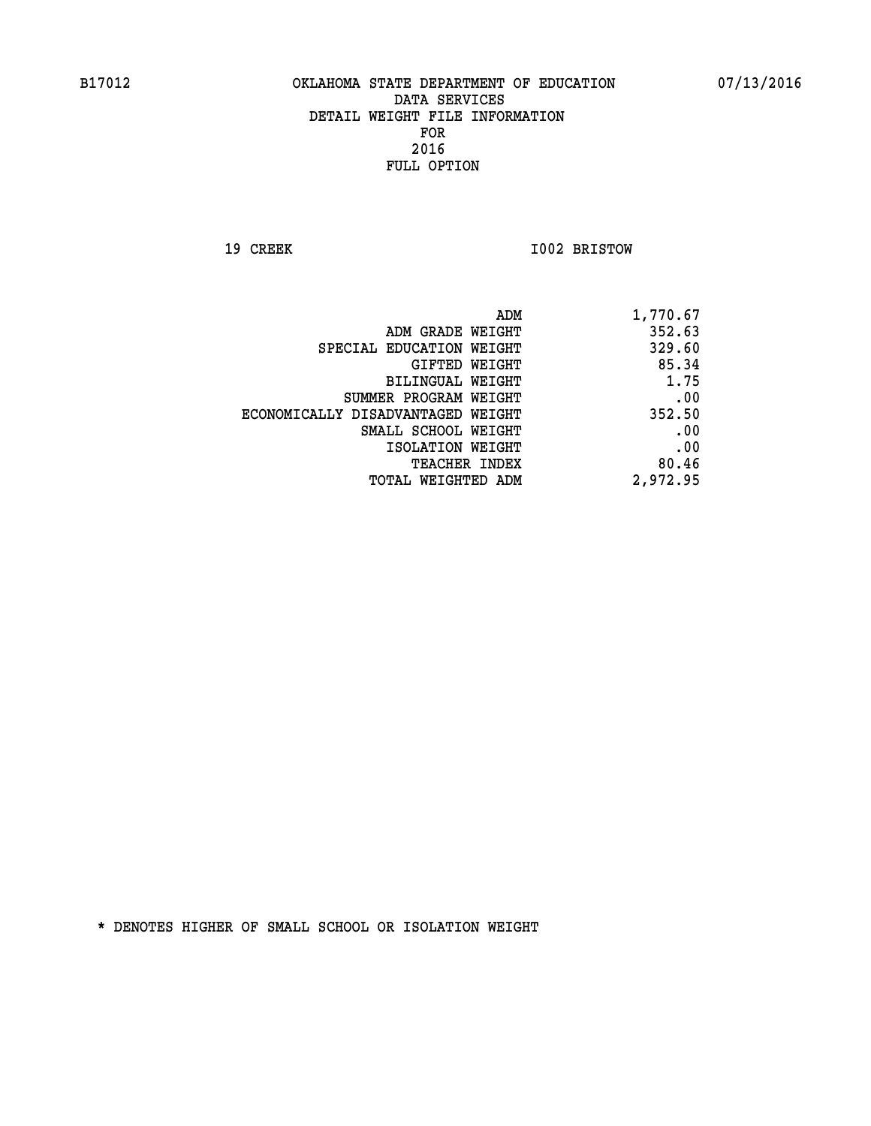**19 CREEK 1002 BRISTOW** 

| ADM                               | 1,770.67 |
|-----------------------------------|----------|
| ADM GRADE WEIGHT                  | 352.63   |
| SPECIAL EDUCATION WEIGHT          | 329.60   |
| GIFTED WEIGHT                     | 85.34    |
| <b>BILINGUAL WEIGHT</b>           | 1.75     |
| SUMMER PROGRAM WEIGHT             | .00      |
| ECONOMICALLY DISADVANTAGED WEIGHT | 352.50   |
| SMALL SCHOOL WEIGHT               | .00      |
| ISOLATION WEIGHT                  | .00      |
| <b>TEACHER INDEX</b>              | 80.46    |
| TOTAL WEIGHTED ADM                | 2,972.95 |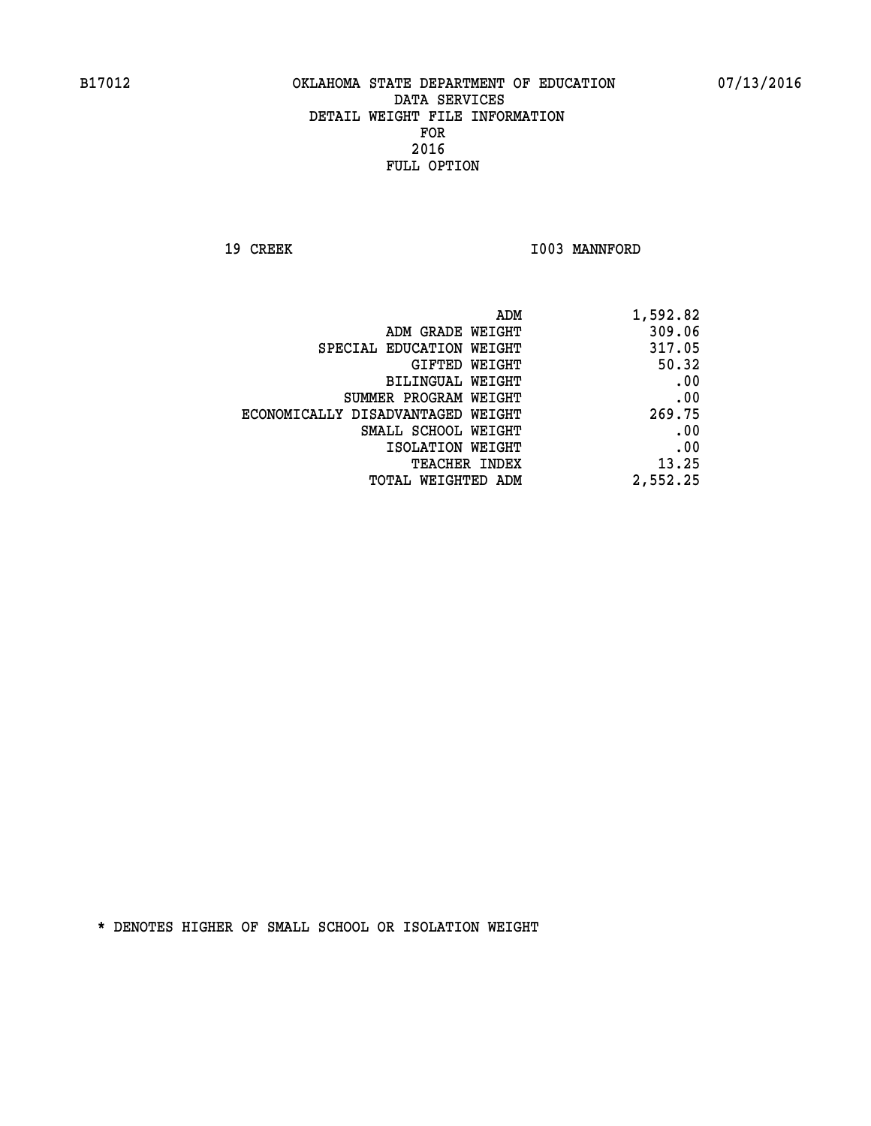19 CREEK 1003 MANNFORD

| 1,592.82 |
|----------|
| 309.06   |
| 317.05   |
| 50.32    |
| .00      |
| .00      |
| 269.75   |
| .00      |
| .00      |
| 13.25    |
| 2,552.25 |
|          |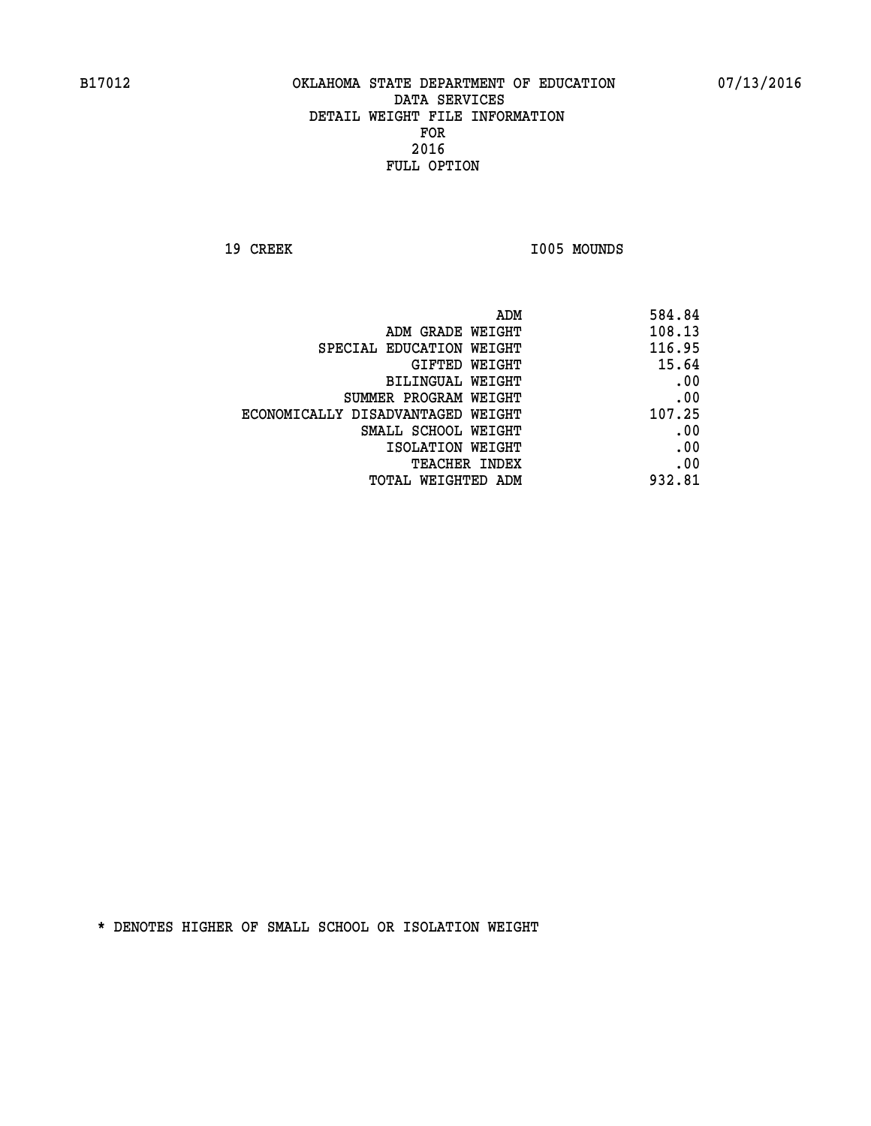19 CREEK 1005 MOUNDS

| 584.84 |
|--------|
| 108.13 |
| 116.95 |
| 15.64  |
| .00    |
| .00    |
| 107.25 |
| .00    |
| .00    |
| .00    |
| 932.81 |
|        |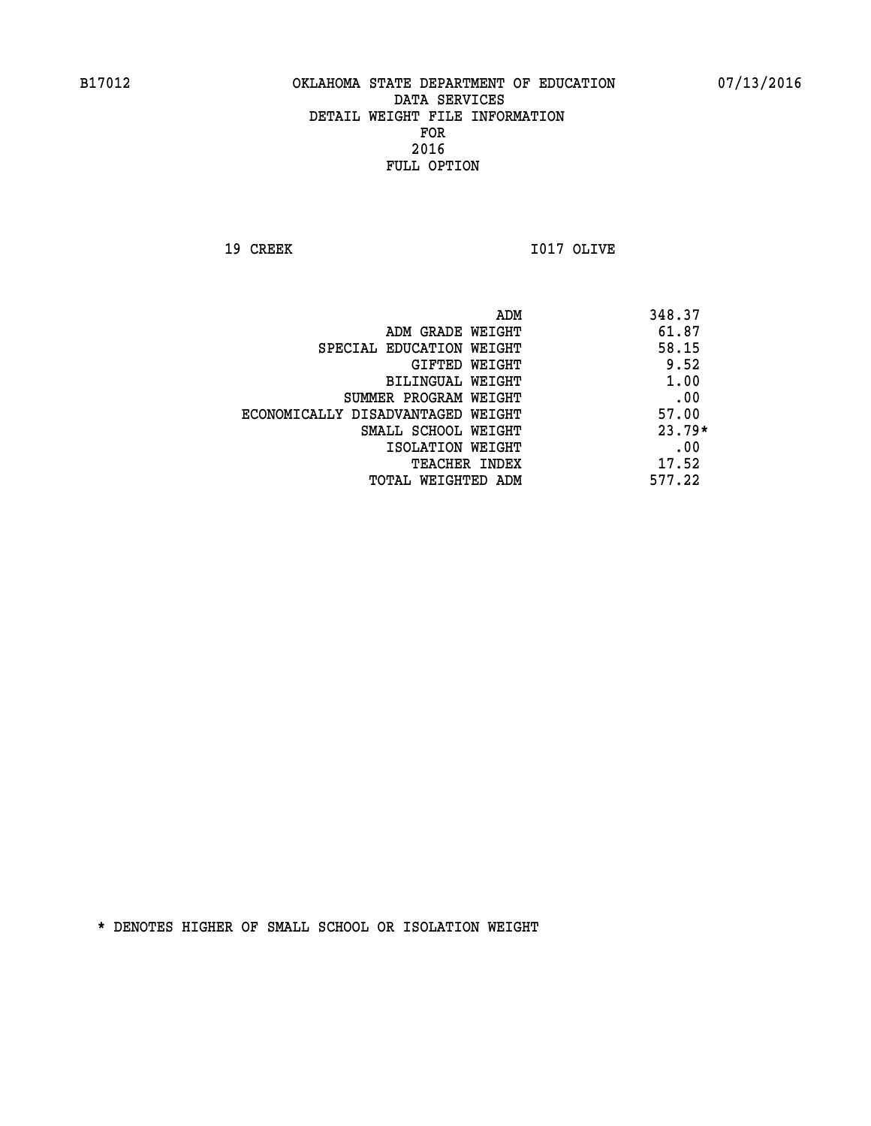**19 CREEK I017 OLIVE** 

| 348.37   |
|----------|
| 61.87    |
| 58.15    |
| 9.52     |
| 1.00     |
| .00      |
| 57.00    |
| $23.79*$ |
| .00      |
| 17.52    |
| 577.22   |
|          |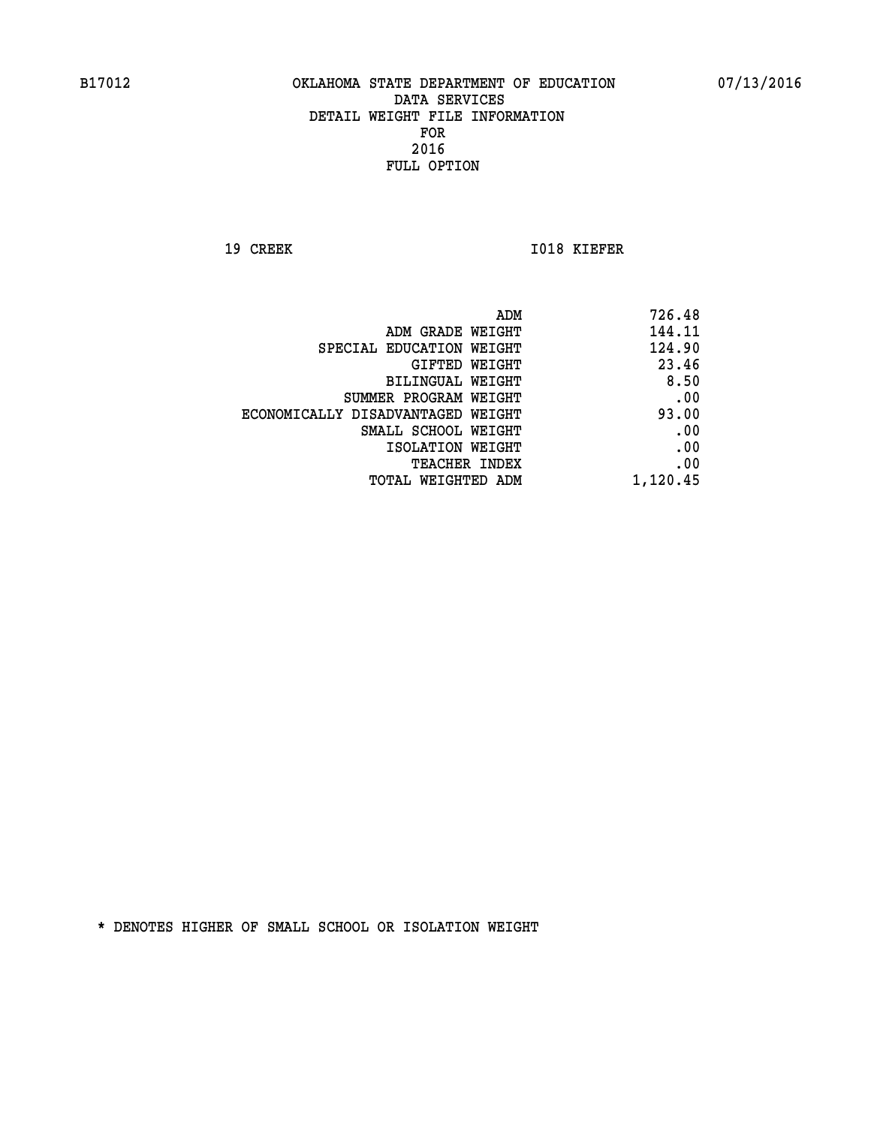**19 CREEK 1018 KIEFER** 

|                                   | 726.48<br>ADM |
|-----------------------------------|---------------|
| ADM GRADE WEIGHT                  | 144.11        |
| SPECIAL EDUCATION WEIGHT          | 124.90        |
| GIFTED WEIGHT                     | 23.46         |
| BILINGUAL WEIGHT                  | 8.50          |
| SUMMER PROGRAM WEIGHT             | .00           |
| ECONOMICALLY DISADVANTAGED WEIGHT | 93.00         |
| SMALL SCHOOL WEIGHT               | .00           |
| ISOLATION WEIGHT                  | .00           |
| TEACHER INDEX                     | .00           |
| TOTAL WEIGHTED ADM                | 1,120.45      |
|                                   |               |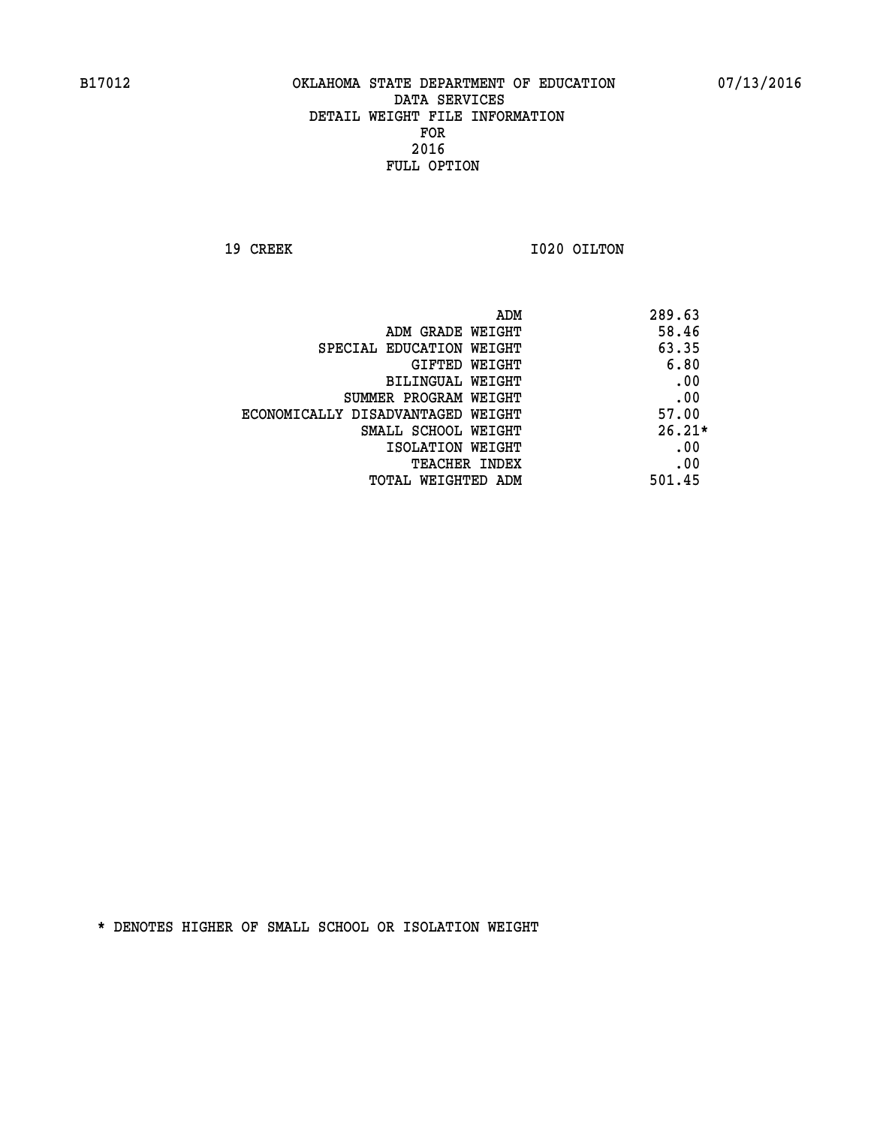**19 CREEK 1020 OILTON** 

|                                   | ADM | 289.63   |
|-----------------------------------|-----|----------|
| ADM GRADE WEIGHT                  |     | 58.46    |
| SPECIAL EDUCATION WEIGHT          |     | 63.35    |
| GIFTED WEIGHT                     |     | 6.80     |
| BILINGUAL WEIGHT                  |     | .00      |
| SUMMER PROGRAM WEIGHT             |     | .00      |
| ECONOMICALLY DISADVANTAGED WEIGHT |     | 57.00    |
| SMALL SCHOOL WEIGHT               |     | $26.21*$ |
| ISOLATION WEIGHT                  |     | .00      |
| <b>TEACHER INDEX</b>              |     | .00      |
| TOTAL WEIGHTED ADM                |     | 501.45   |
|                                   |     |          |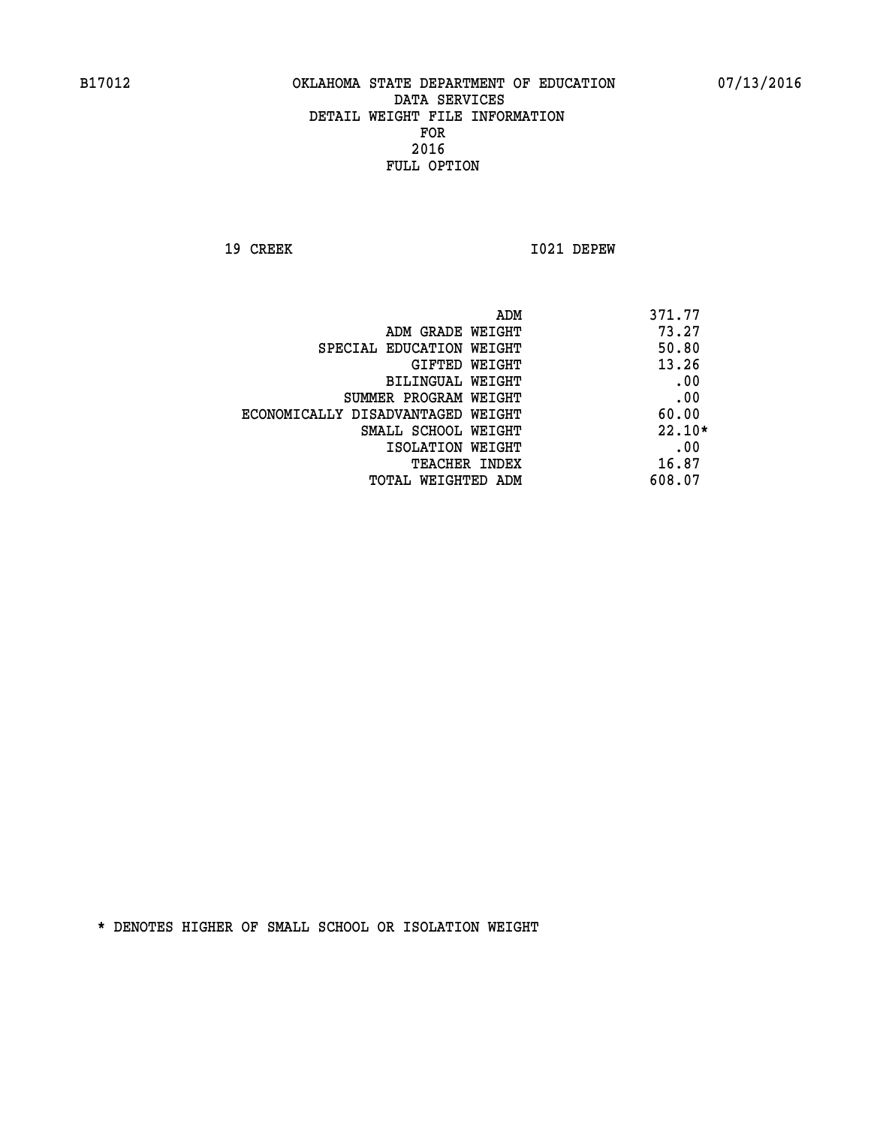**19 CREEK I021 DEPEW** 

|                                   | ADM | 371.77   |
|-----------------------------------|-----|----------|
| ADM GRADE WEIGHT                  |     | 73.27    |
| SPECIAL EDUCATION WEIGHT          |     | 50.80    |
| GIFTED WEIGHT                     |     | 13.26    |
| BILINGUAL WEIGHT                  |     | .00      |
| SUMMER PROGRAM WEIGHT             |     | .00      |
| ECONOMICALLY DISADVANTAGED WEIGHT |     | 60.00    |
| SMALL SCHOOL WEIGHT               |     | $22.10*$ |
| ISOLATION WEIGHT                  |     | .00      |
| <b>TEACHER INDEX</b>              |     | 16.87    |
| TOTAL WEIGHTED ADM                |     | 608.07   |
|                                   |     |          |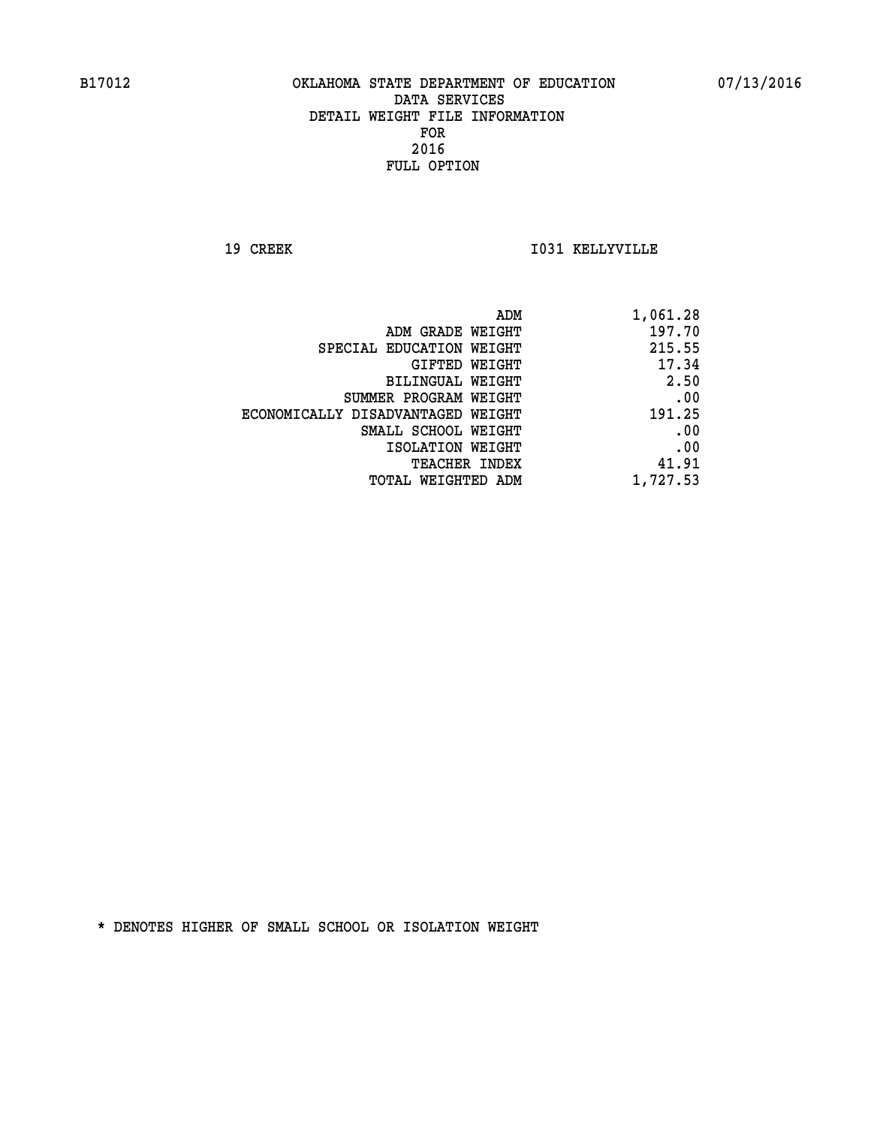**19 CREEK I031 KELLYVILLE** 

| ADM                               | 1,061.28 |
|-----------------------------------|----------|
| ADM GRADE WEIGHT                  | 197.70   |
| SPECIAL EDUCATION WEIGHT          | 215.55   |
| GIFTED WEIGHT                     | 17.34    |
| BILINGUAL WEIGHT                  | 2.50     |
| SUMMER PROGRAM WEIGHT             | .00      |
| ECONOMICALLY DISADVANTAGED WEIGHT | 191.25   |
| SMALL SCHOOL WEIGHT               | .00      |
| ISOLATION WEIGHT                  | .00      |
| <b>TEACHER INDEX</b>              | 41.91    |
| TOTAL WEIGHTED ADM                | 1,727.53 |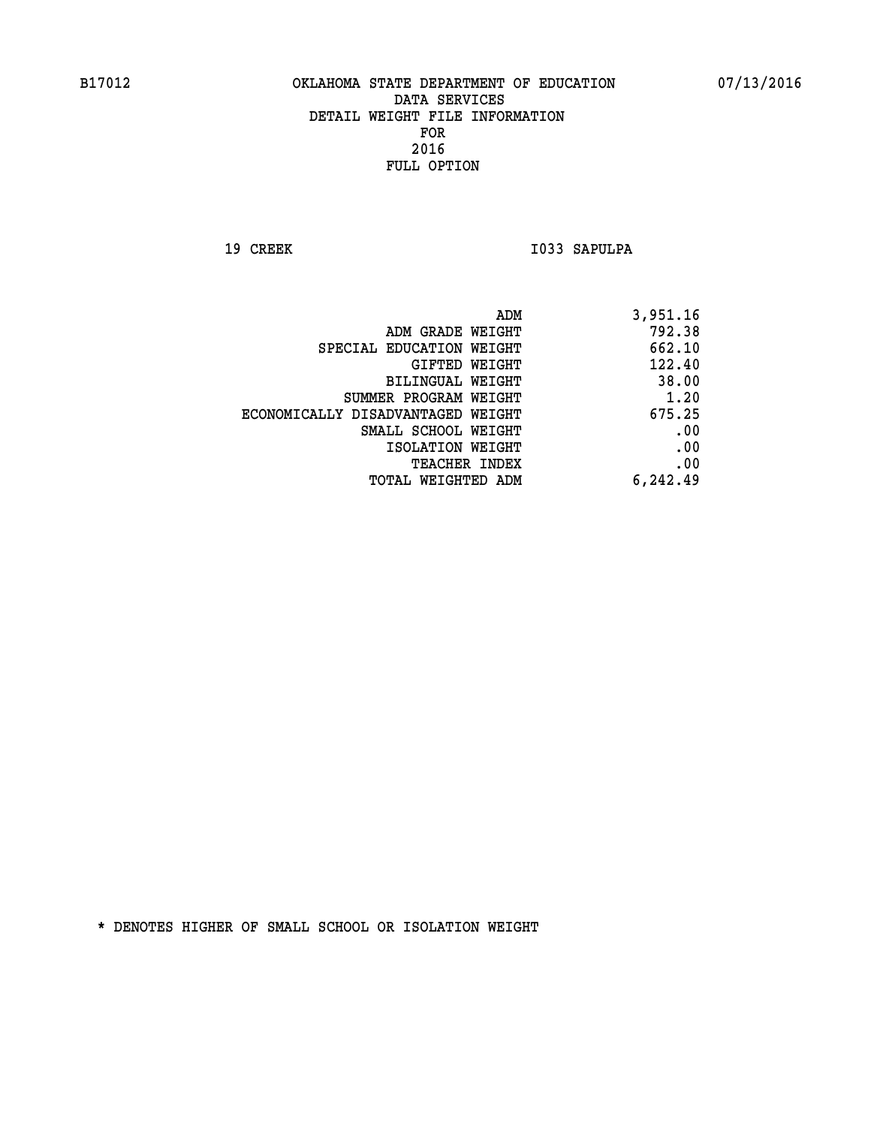19 CREEK 1033 SAPULPA

| 3,951.16 |
|----------|
| 792.38   |
| 662.10   |
| 122.40   |
| 38.00    |
| 1.20     |
| 675.25   |
| .00      |
| .00      |
| .00      |
| 6,242.49 |
|          |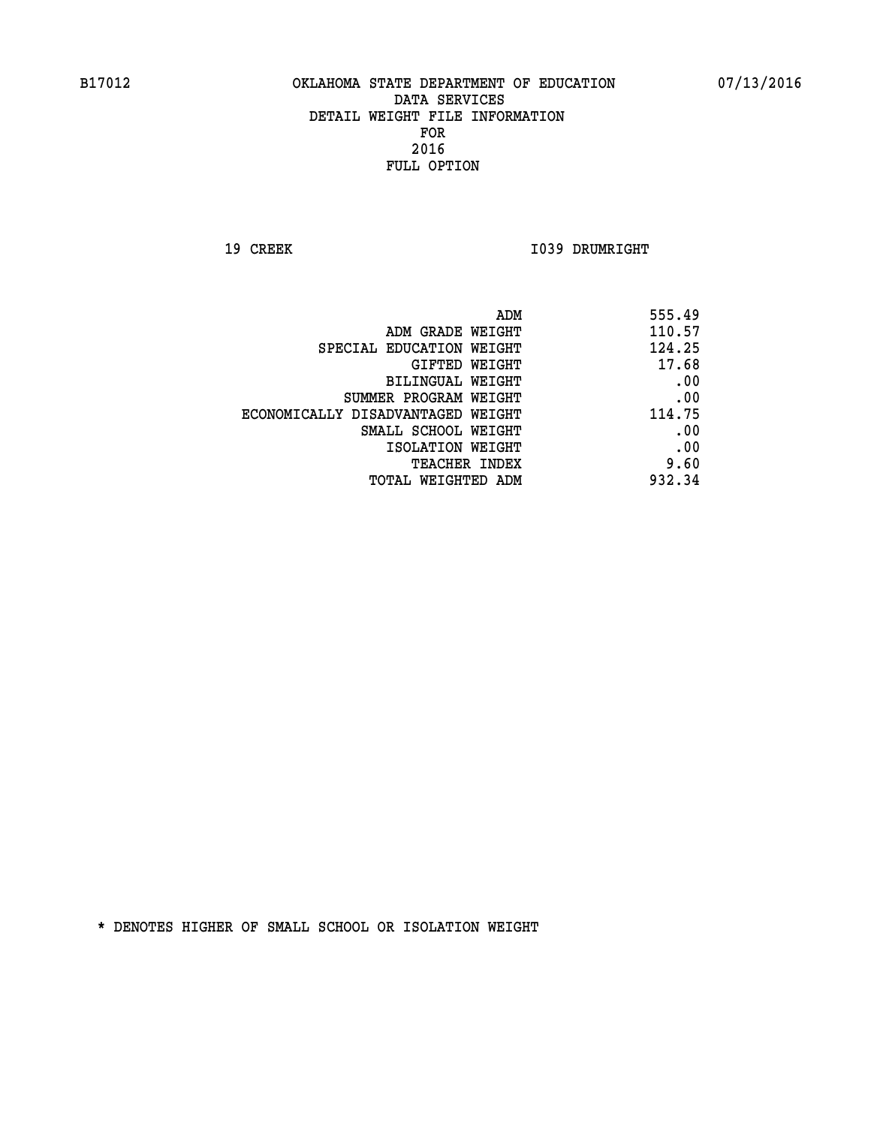**19 CREEK 1039 DRUMRIGHT** 

| ADM<br>555.49                               |      |
|---------------------------------------------|------|
| 110.57<br>ADM GRADE WEIGHT                  |      |
| 124.25<br>SPECIAL EDUCATION WEIGHT          |      |
| 17.68<br>GIFTED WEIGHT                      |      |
| <b>BILINGUAL WEIGHT</b>                     | .00  |
| SUMMER PROGRAM WEIGHT                       | .00  |
| 114.75<br>ECONOMICALLY DISADVANTAGED WEIGHT |      |
| SMALL SCHOOL WEIGHT                         | .00  |
| ISOLATION WEIGHT                            | .00  |
| TEACHER INDEX                               | 9.60 |
| 932.34<br>TOTAL WEIGHTED ADM                |      |
|                                             |      |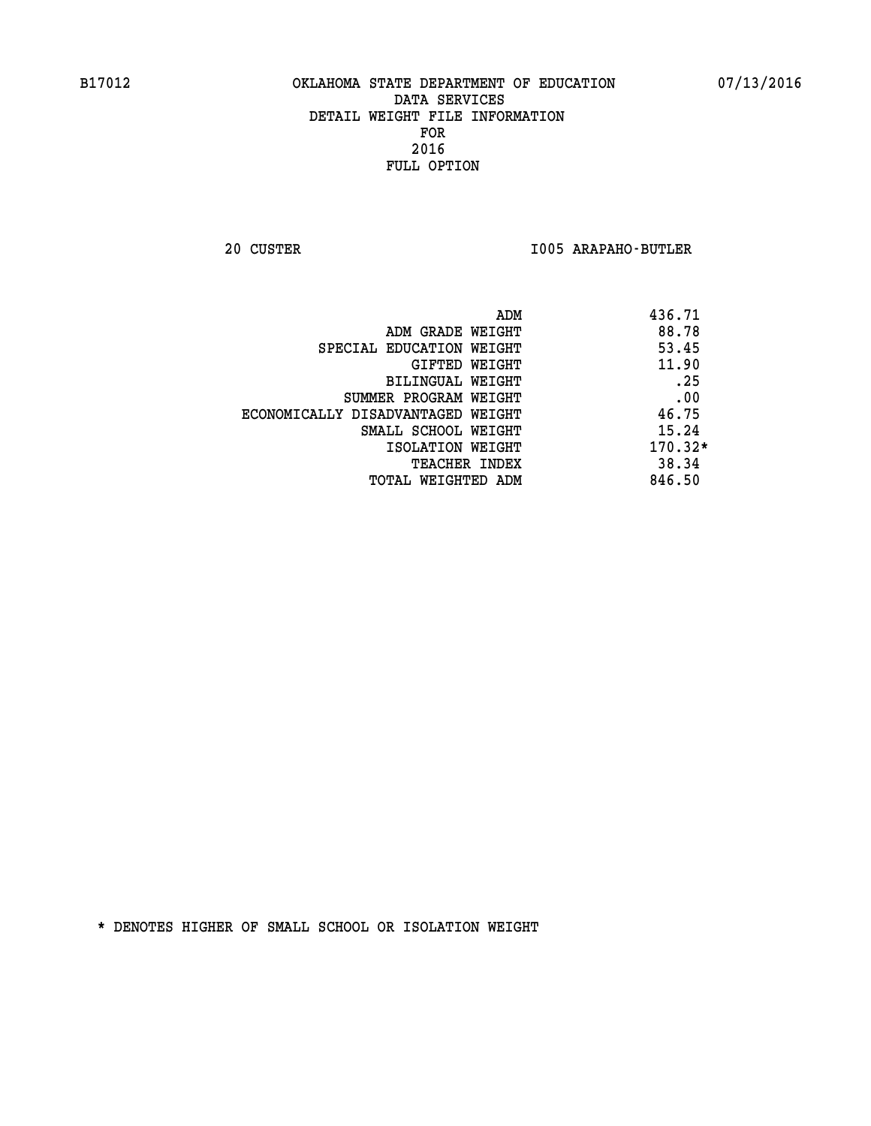**20 CUSTER I005 ARAPAHO-BUTLER** 

| ADM                               | 436.71    |
|-----------------------------------|-----------|
| ADM GRADE WEIGHT                  | 88.78     |
| SPECIAL EDUCATION WEIGHT          | 53.45     |
| GIFTED WEIGHT                     | 11.90     |
| BILINGUAL WEIGHT                  | .25       |
| SUMMER PROGRAM WEIGHT             | .00       |
| ECONOMICALLY DISADVANTAGED WEIGHT | 46.75     |
| SMALL SCHOOL WEIGHT               | 15.24     |
| ISOLATION WEIGHT                  | $170.32*$ |
| <b>TEACHER INDEX</b>              | 38.34     |
| TOTAL WEIGHTED ADM                | 846.50    |
|                                   |           |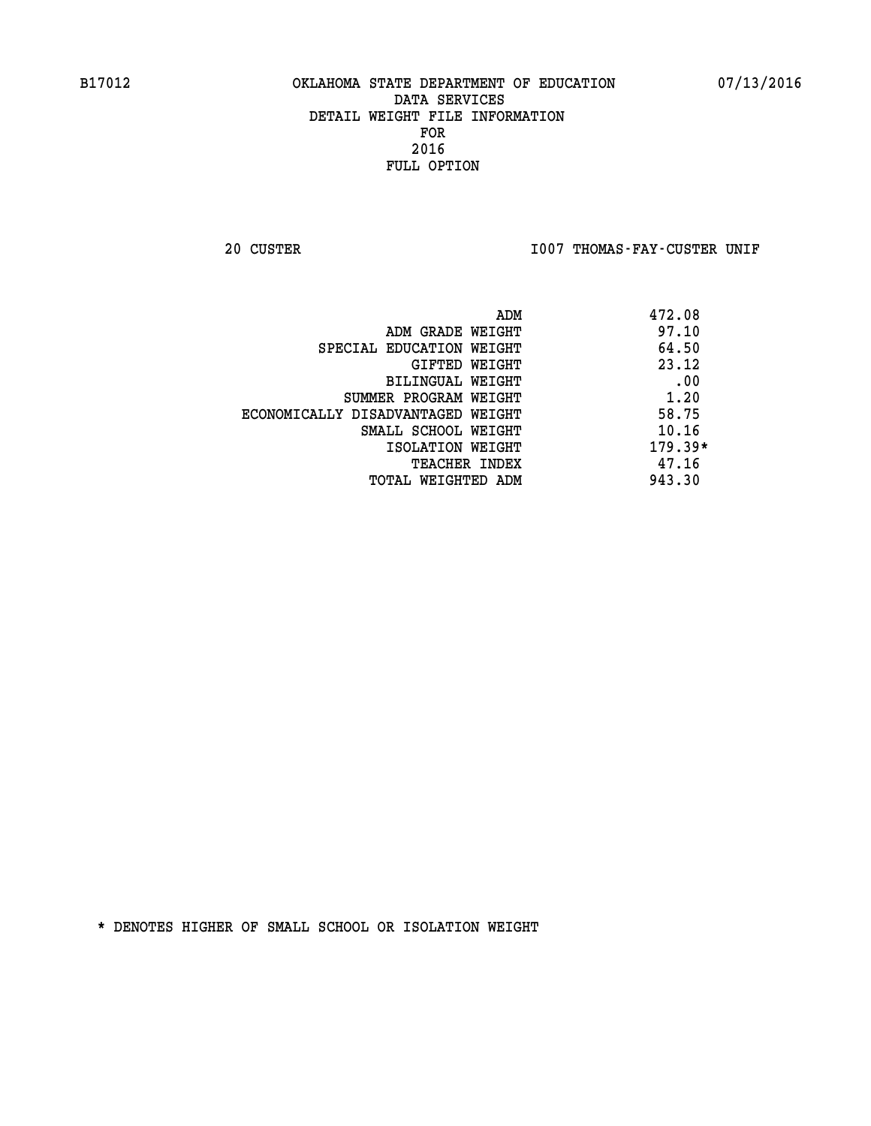20 CUSTER **IOO7 THOMAS-FAY-CUSTER UNIF** 

|                                   | 472.08<br>ADM |
|-----------------------------------|---------------|
| ADM GRADE WEIGHT                  | 97.10         |
| SPECIAL EDUCATION WEIGHT          | 64.50         |
| GIFTED WEIGHT                     | 23.12         |
| BILINGUAL WEIGHT                  | .00           |
| SUMMER PROGRAM WEIGHT             | 1.20          |
| ECONOMICALLY DISADVANTAGED WEIGHT | 58.75         |
| SMALL SCHOOL WEIGHT               | 10.16         |
| ISOLATION WEIGHT                  | $179.39*$     |
| TEACHER INDEX                     | 47.16         |
| TOTAL WEIGHTED ADM                | 943.30        |
|                                   |               |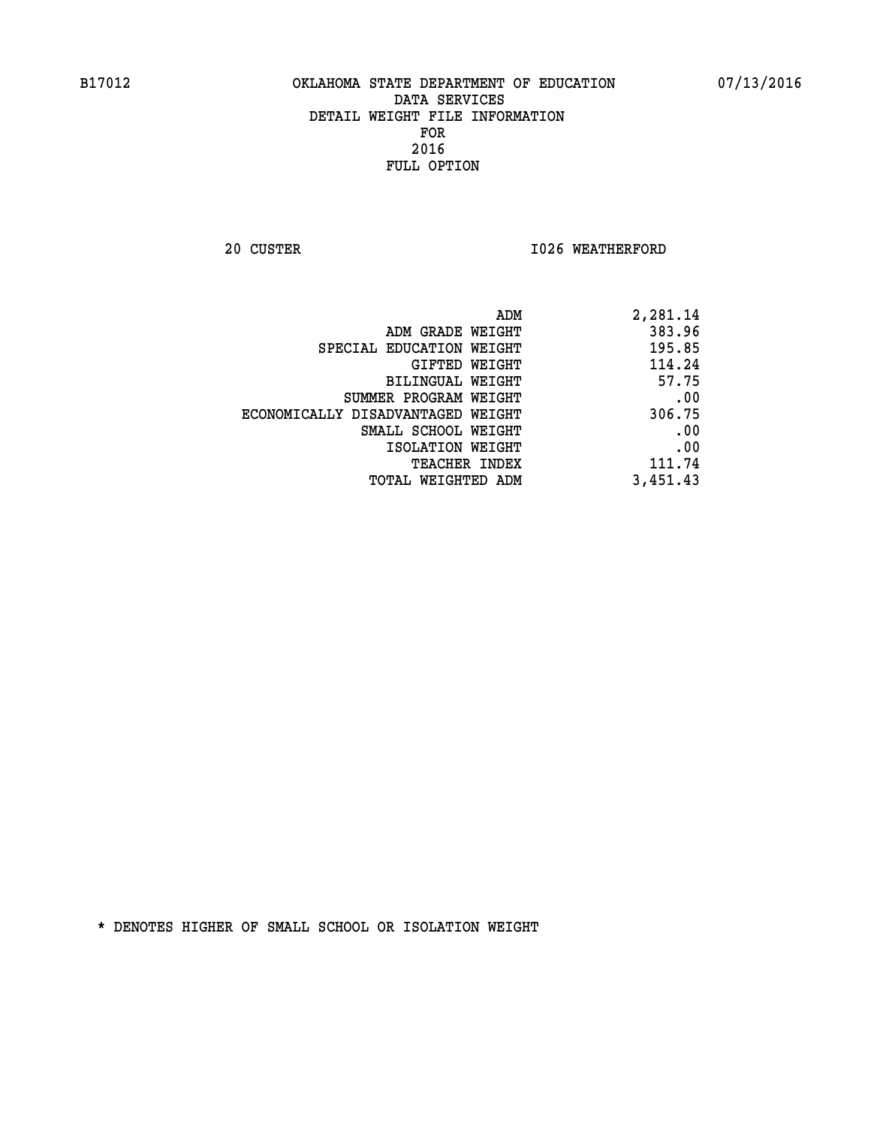**20 CUSTER 1026 WEATHERFORD** 

| ADM                               | 2,281.14 |
|-----------------------------------|----------|
| ADM GRADE WEIGHT                  | 383.96   |
| SPECIAL EDUCATION WEIGHT          | 195.85   |
| GIFTED WEIGHT                     | 114.24   |
| <b>BILINGUAL WEIGHT</b>           | 57.75    |
| SUMMER PROGRAM WEIGHT             | .00      |
| ECONOMICALLY DISADVANTAGED WEIGHT | 306.75   |
| SMALL SCHOOL WEIGHT               | .00      |
| ISOLATION WEIGHT                  | .00      |
| TEACHER INDEX                     | 111.74   |
| TOTAL WEIGHTED ADM                | 3,451.43 |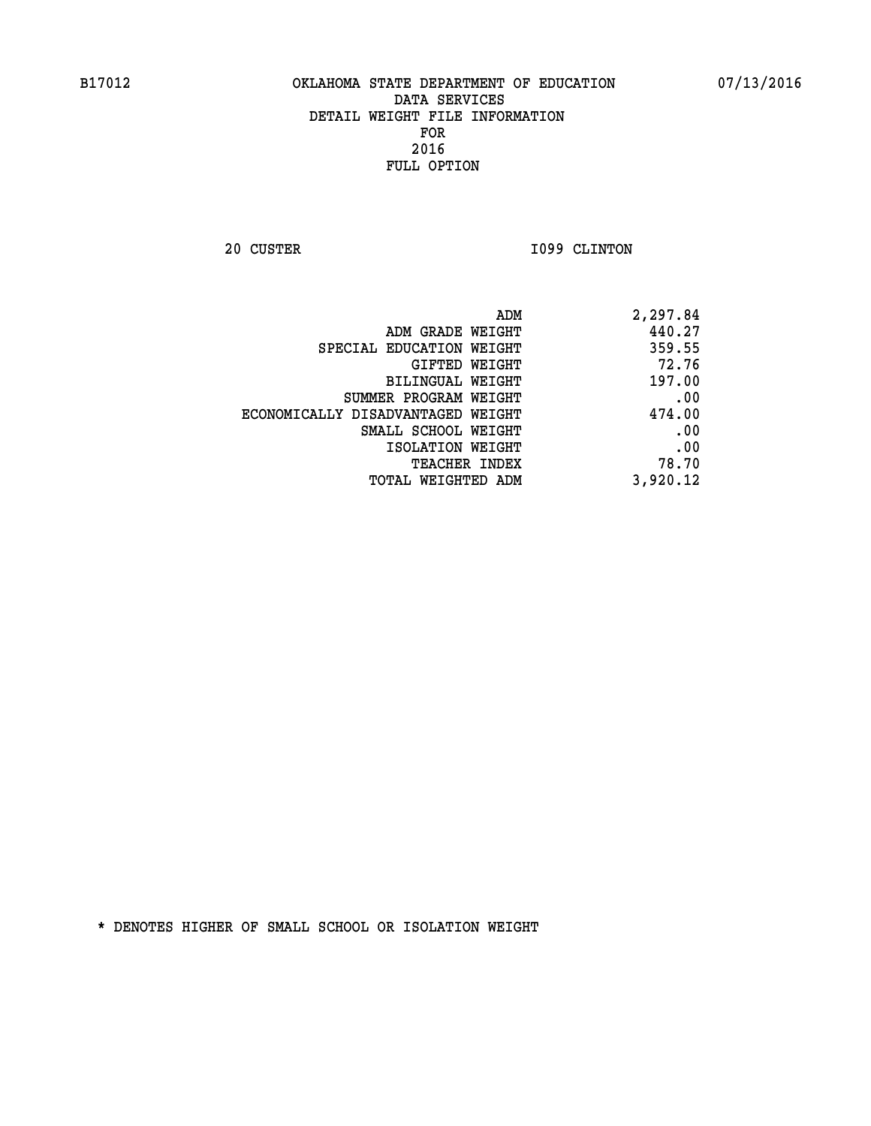**20 CUSTER 1099 CLINTON** 

| 2,297.84 |
|----------|
| 440.27   |
| 359.55   |
| 72.76    |
| 197.00   |
| .00      |
| 474.00   |
| .00      |
| .00      |
| 78.70    |
| 3,920.12 |
|          |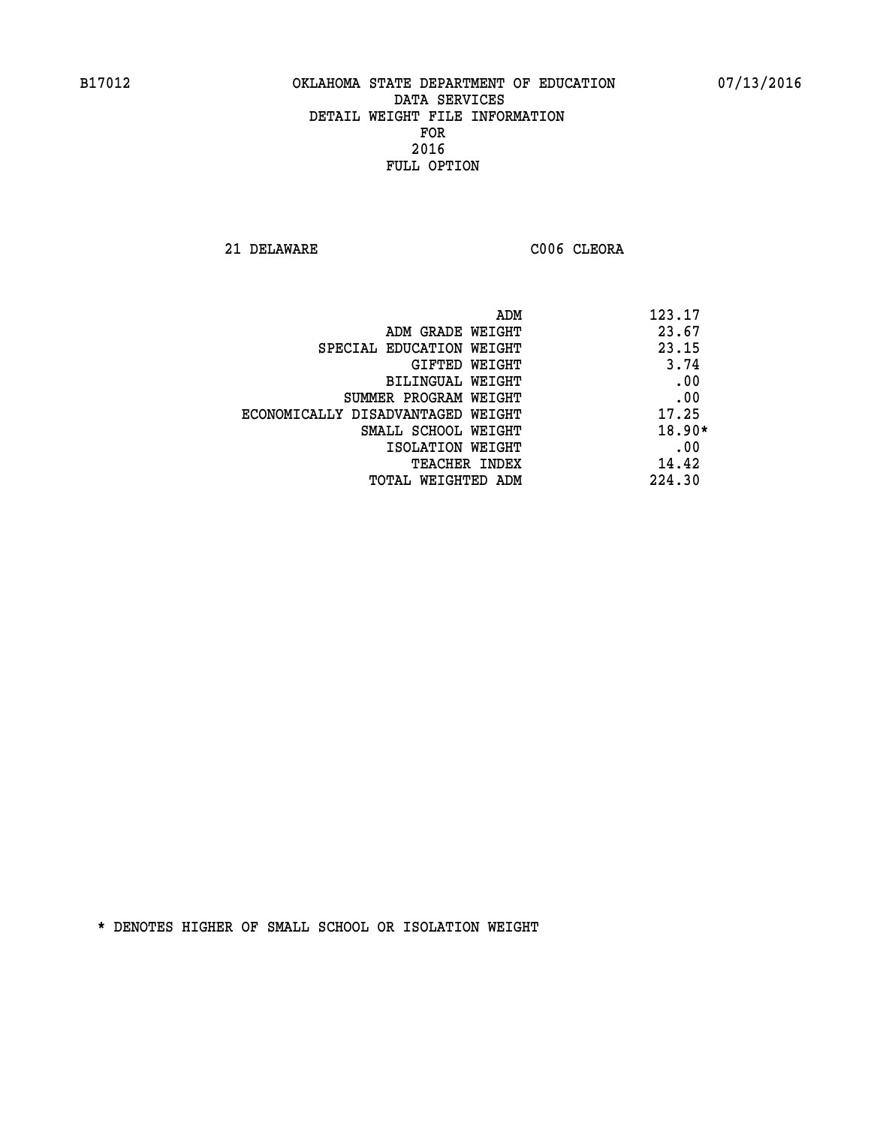**21 DELAWARE C006 CLEORA** 

| ADM                               | 123.17   |
|-----------------------------------|----------|
| ADM GRADE WEIGHT                  | 23.67    |
| SPECIAL EDUCATION WEIGHT          | 23.15    |
| GIFTED WEIGHT                     | 3.74     |
| BILINGUAL WEIGHT                  | .00      |
| SUMMER PROGRAM WEIGHT             | .00      |
| ECONOMICALLY DISADVANTAGED WEIGHT | 17.25    |
| SMALL SCHOOL WEIGHT               | $18.90*$ |
| ISOLATION WEIGHT                  | .00      |
| <b>TEACHER INDEX</b>              | 14.42    |
| TOTAL WEIGHTED ADM                | 224.30   |
|                                   |          |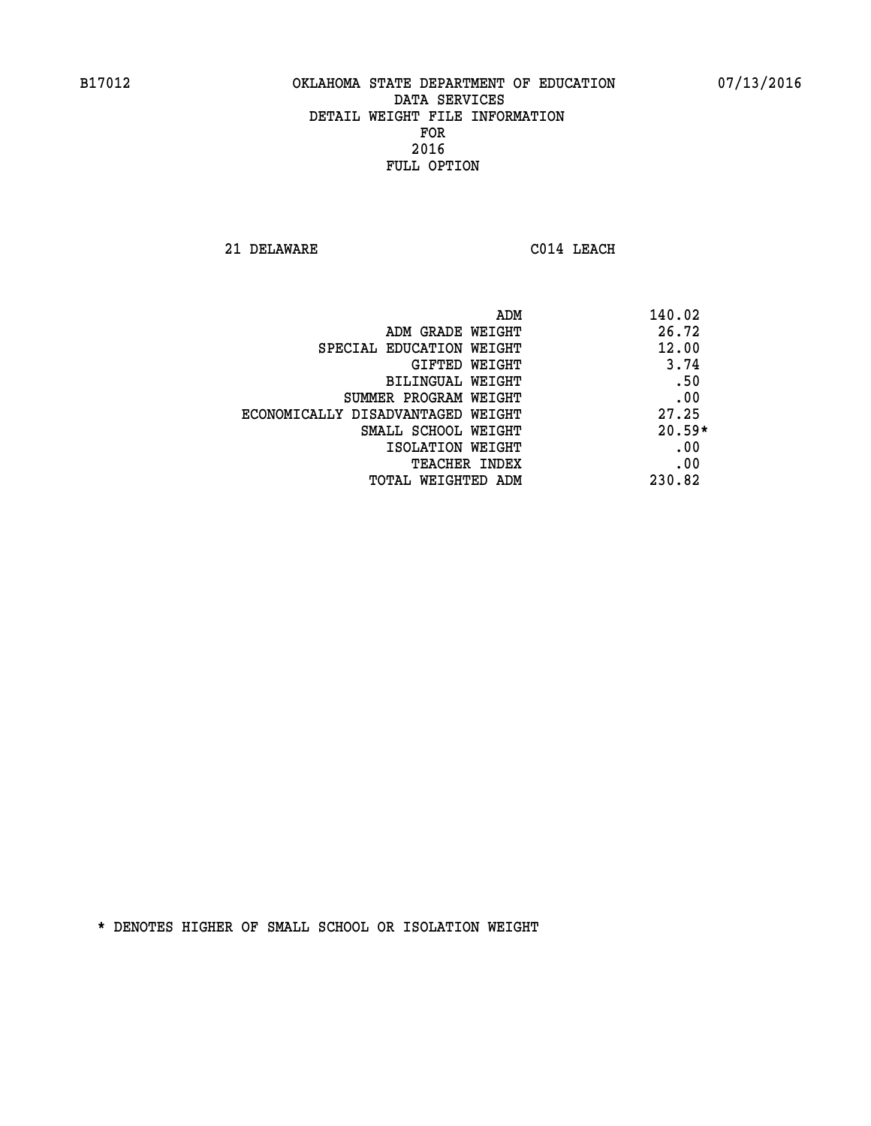**21 DELAWARE C014 LEACH** 

| ADM                               | 140.02   |
|-----------------------------------|----------|
| ADM GRADE WEIGHT                  | 26.72    |
| SPECIAL EDUCATION WEIGHT          | 12.00    |
| GIFTED WEIGHT                     | 3.74     |
| BILINGUAL WEIGHT                  | .50      |
| SUMMER PROGRAM WEIGHT             | .00      |
| ECONOMICALLY DISADVANTAGED WEIGHT | 27.25    |
| SMALL SCHOOL WEIGHT               | $20.59*$ |
| ISOLATION WEIGHT                  | .00      |
| <b>TEACHER INDEX</b>              | .00      |
| TOTAL WEIGHTED ADM                | 230.82   |
|                                   |          |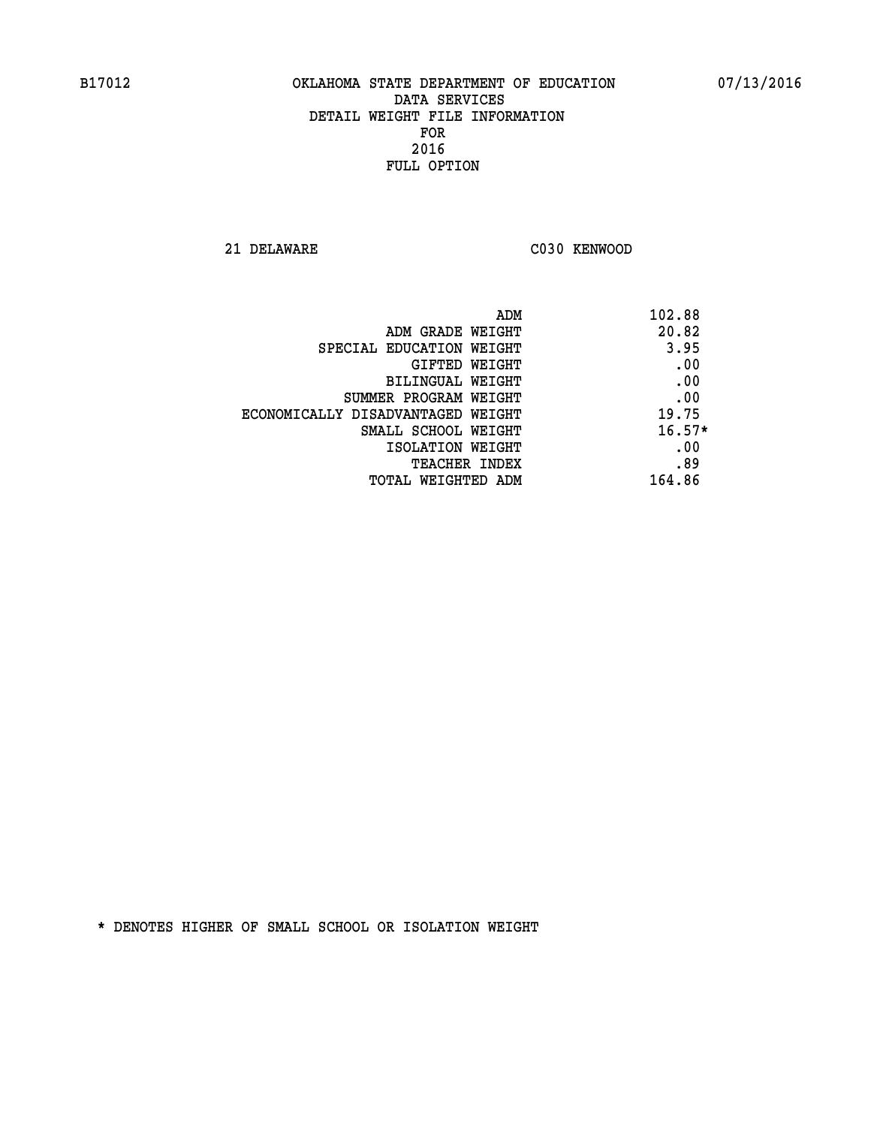**21 DELAWARE C030 KENWOOD** 

| ADM                               | 102.88   |
|-----------------------------------|----------|
| ADM GRADE WEIGHT                  | 20.82    |
| SPECIAL EDUCATION WEIGHT          | 3.95     |
| GIFTED WEIGHT                     | .00      |
| BILINGUAL WEIGHT                  | .00      |
| SUMMER PROGRAM WEIGHT             | .00      |
| ECONOMICALLY DISADVANTAGED WEIGHT | 19.75    |
| SMALL SCHOOL WEIGHT               | $16.57*$ |
| ISOLATION WEIGHT                  | .00      |
| <b>TEACHER INDEX</b>              | .89      |
| TOTAL WEIGHTED ADM                | 164.86   |
|                                   |          |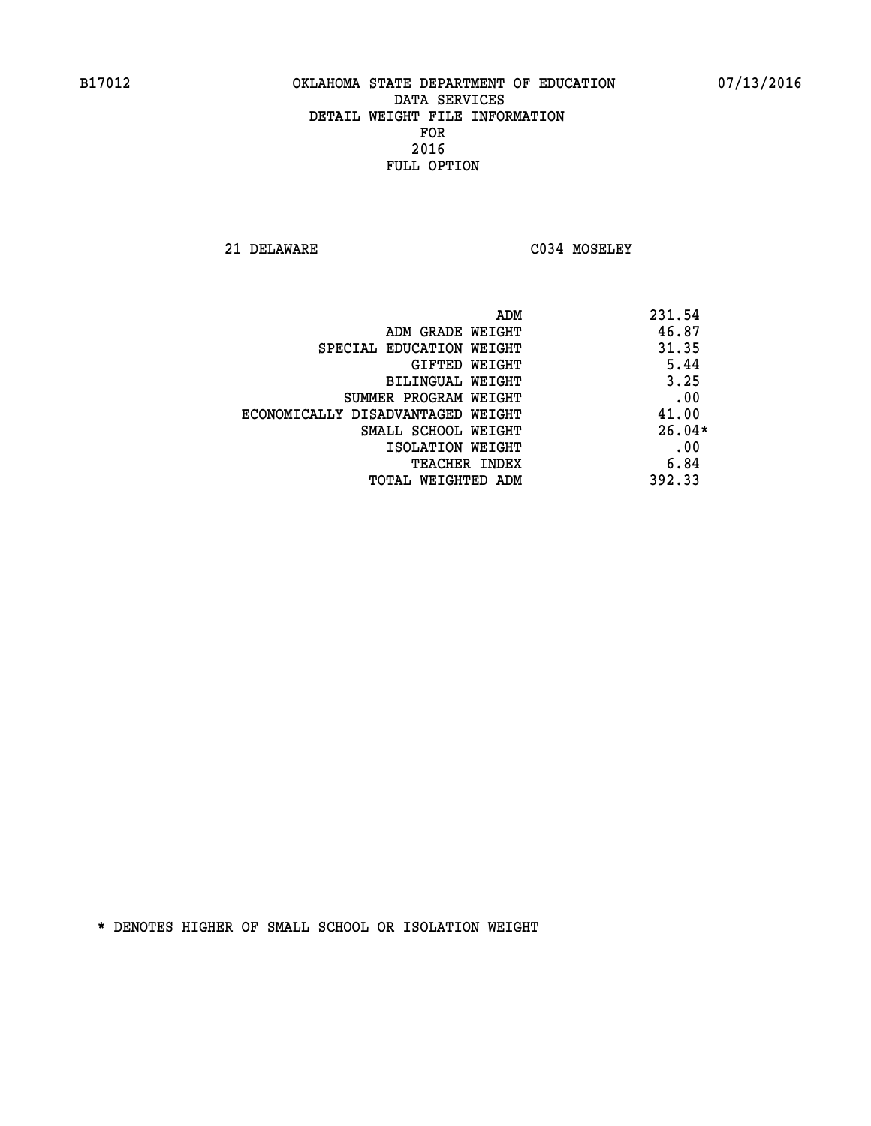**21 DELAWARE C034 MOSELEY** 

|                                   | 231.54<br>ADM |
|-----------------------------------|---------------|
| ADM GRADE WEIGHT                  | 46.87         |
| SPECIAL EDUCATION WEIGHT          | 31.35         |
| GIFTED WEIGHT                     | 5.44          |
| BILINGUAL WEIGHT                  | 3.25          |
| SUMMER PROGRAM WEIGHT             | .00           |
| ECONOMICALLY DISADVANTAGED WEIGHT | 41.00         |
| SMALL SCHOOL WEIGHT               | $26.04*$      |
| ISOLATION WEIGHT                  | .00           |
| <b>TEACHER INDEX</b>              | 6.84          |
| TOTAL WEIGHTED ADM                | 392.33        |
|                                   |               |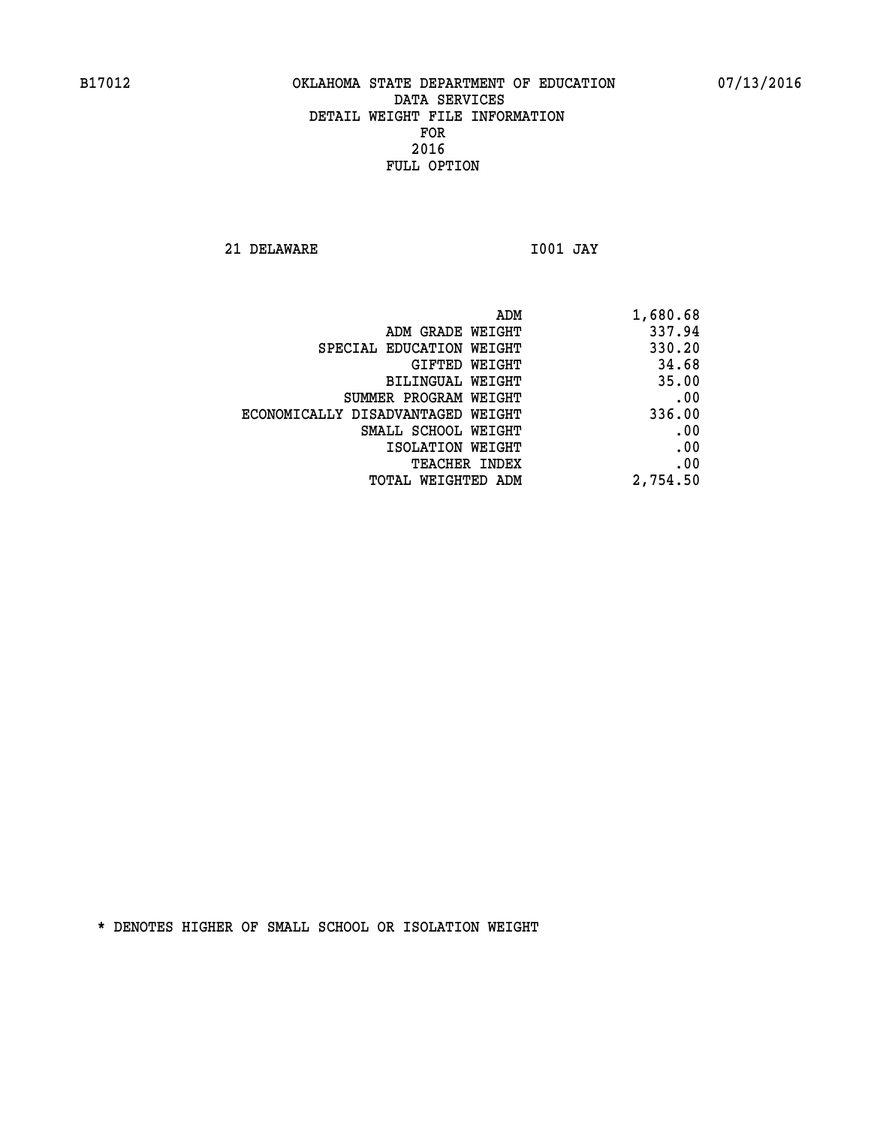**21 DELAWARE I001 JAY** 

| ADM                               | 1,680.68 |
|-----------------------------------|----------|
| ADM GRADE WEIGHT                  | 337.94   |
| SPECIAL EDUCATION WEIGHT          | 330.20   |
| GIFTED WEIGHT                     | 34.68    |
| BILINGUAL WEIGHT                  | 35.00    |
| SUMMER PROGRAM WEIGHT             | .00      |
| ECONOMICALLY DISADVANTAGED WEIGHT | 336.00   |
| SMALL SCHOOL WEIGHT               | .00      |
| ISOLATION WEIGHT                  | .00      |
| <b>TEACHER INDEX</b>              | .00      |
| WEIGHTED ADM<br>TOTAL             | 2,754.50 |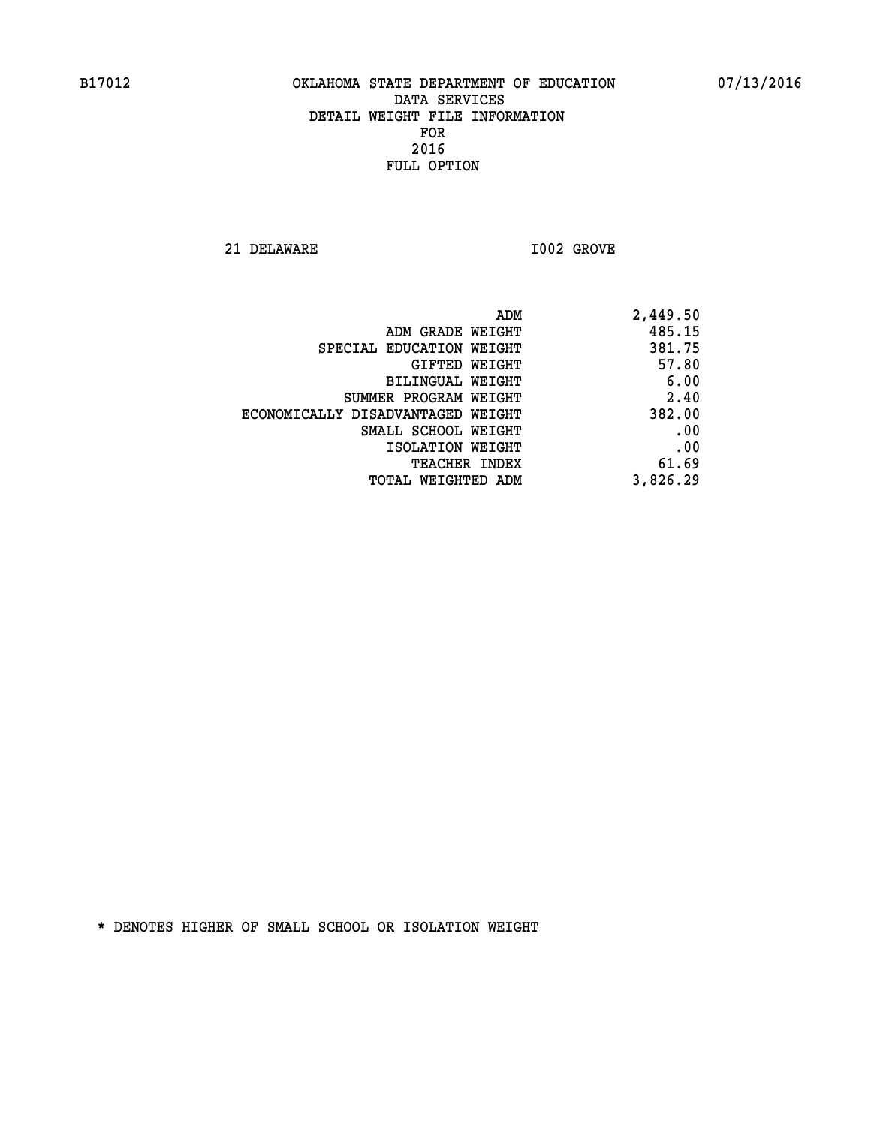**21 DELAWARE I002 GROVE** 

| 2,449.50 |
|----------|
| 485.15   |
| 381.75   |
| 57.80    |
| 6.00     |
| 2.40     |
| 382.00   |
| .00      |
| .00      |
| 61.69    |
| 3,826.29 |
|          |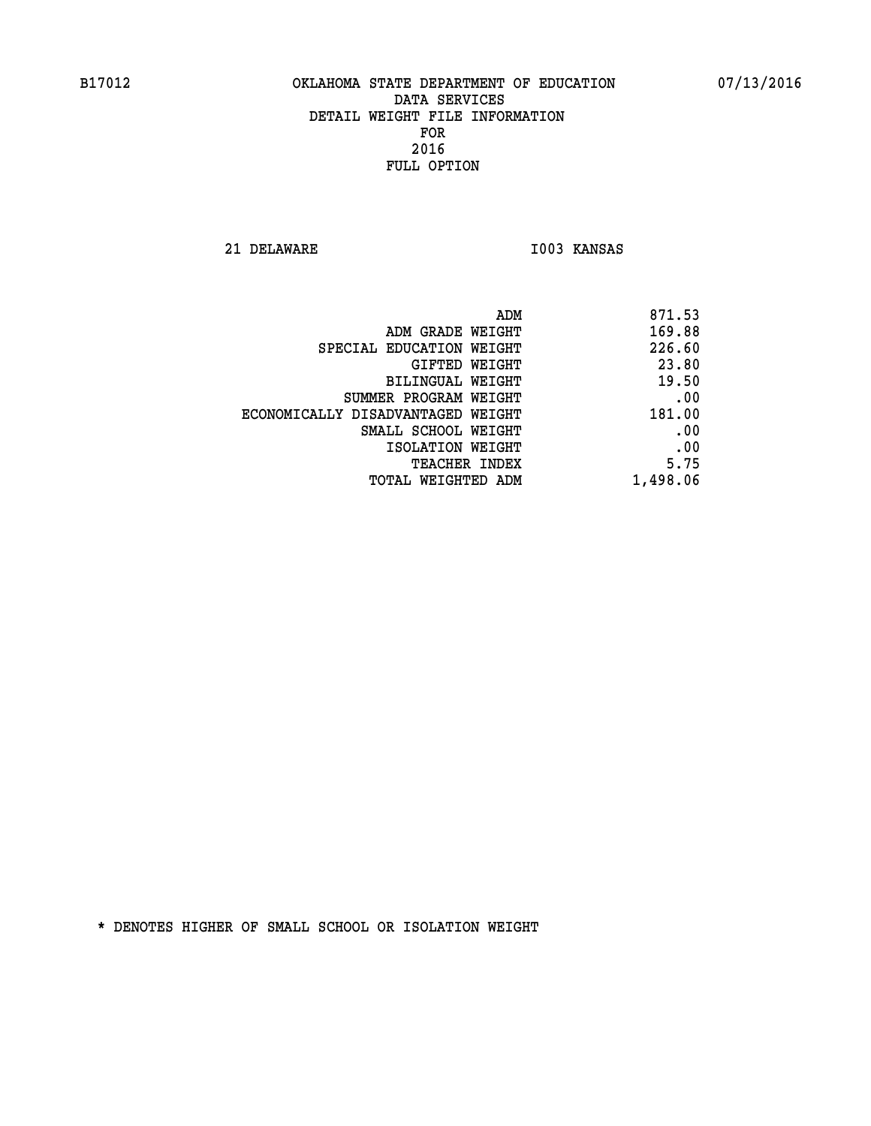**21 DELAWARE I003 KANSAS** 

| ADM                               | 871.53   |
|-----------------------------------|----------|
| ADM GRADE WEIGHT                  | 169.88   |
| SPECIAL EDUCATION WEIGHT          | 226.60   |
| GIFTED WEIGHT                     | 23.80    |
| <b>BILINGUAL WEIGHT</b>           | 19.50    |
| SUMMER PROGRAM WEIGHT             | .00      |
| ECONOMICALLY DISADVANTAGED WEIGHT | 181.00   |
| SMALL SCHOOL WEIGHT               | .00      |
| ISOLATION WEIGHT                  | .00      |
| TEACHER INDEX                     | 5.75     |
| TOTAL WEIGHTED ADM                | 1,498.06 |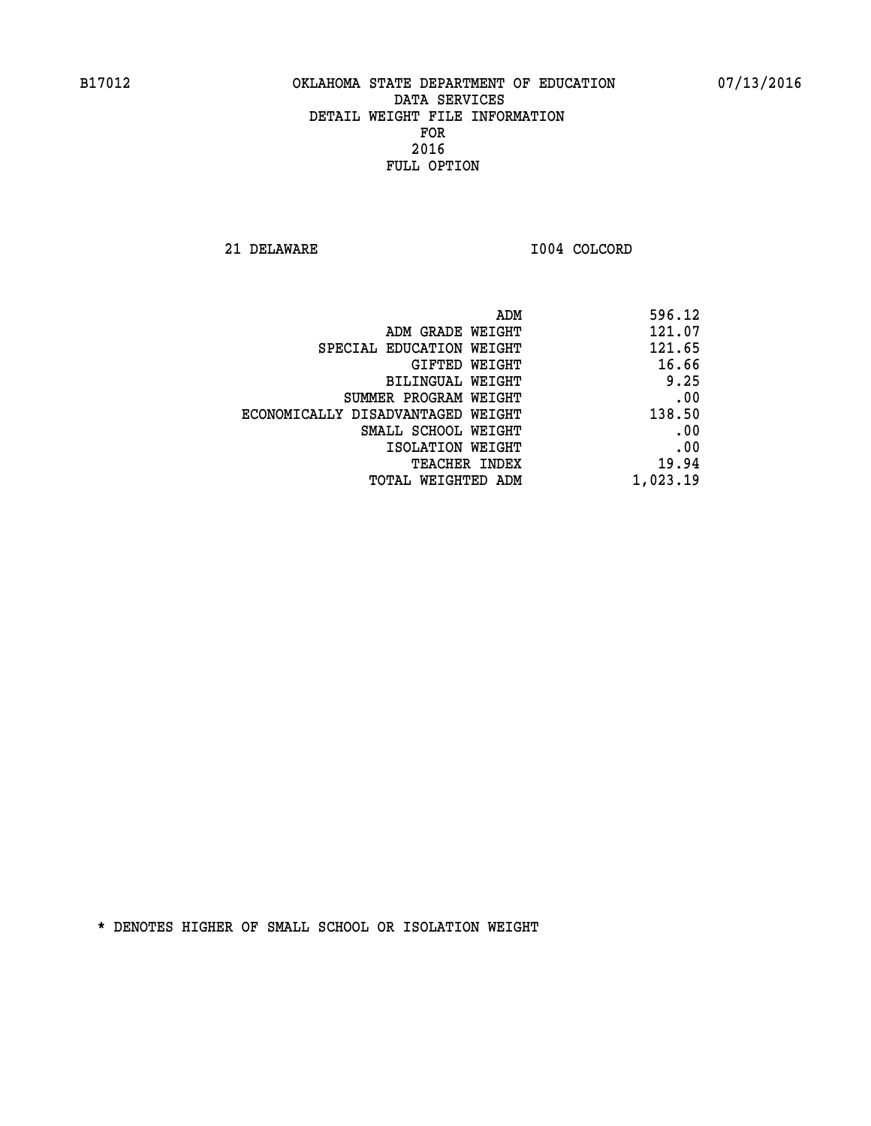**21 DELAWARE I004 COLCORD** 

| 121.07<br>ADM GRADE WEIGHT<br>121.65<br>SPECIAL EDUCATION WEIGHT<br>16.66<br>GIFTED WEIGHT<br>9.25<br>BILINGUAL WEIGHT<br>.00<br>SUMMER PROGRAM WEIGHT<br>138.50<br>ECONOMICALLY DISADVANTAGED WEIGHT<br>.00<br>SMALL SCHOOL WEIGHT<br>.00<br>ISOLATION WEIGHT<br>19.94<br>TEACHER INDEX<br>TOTAL WEIGHTED ADM | ADM | 596.12   |
|----------------------------------------------------------------------------------------------------------------------------------------------------------------------------------------------------------------------------------------------------------------------------------------------------------------|-----|----------|
|                                                                                                                                                                                                                                                                                                                |     |          |
|                                                                                                                                                                                                                                                                                                                |     |          |
|                                                                                                                                                                                                                                                                                                                |     |          |
|                                                                                                                                                                                                                                                                                                                |     |          |
|                                                                                                                                                                                                                                                                                                                |     |          |
|                                                                                                                                                                                                                                                                                                                |     |          |
|                                                                                                                                                                                                                                                                                                                |     |          |
|                                                                                                                                                                                                                                                                                                                |     |          |
|                                                                                                                                                                                                                                                                                                                |     |          |
|                                                                                                                                                                                                                                                                                                                |     | 1,023.19 |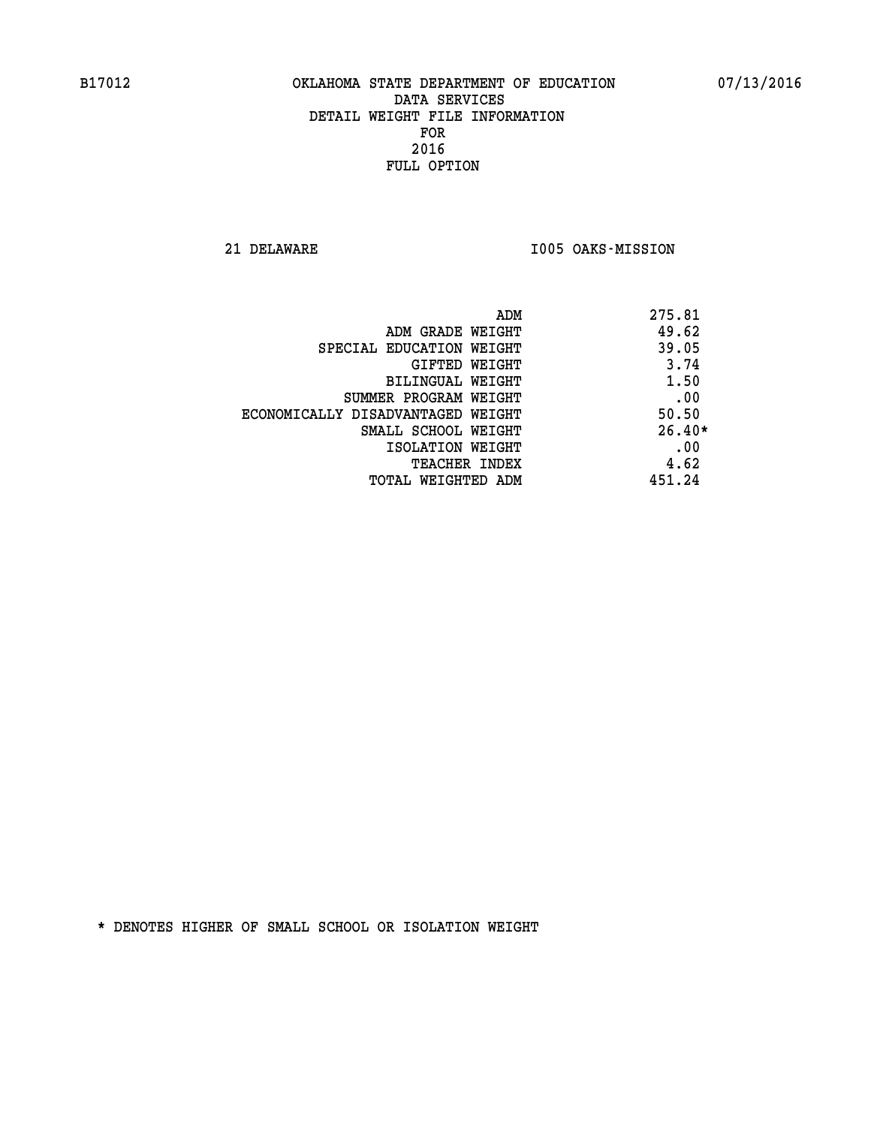**21 DELAWARE I005 OAKS-MISSION** 

| ADM                               | 275.81   |
|-----------------------------------|----------|
| ADM GRADE WEIGHT                  | 49.62    |
| SPECIAL EDUCATION WEIGHT          | 39.05    |
| GIFTED WEIGHT                     | 3.74     |
| BILINGUAL WEIGHT                  | 1.50     |
| SUMMER PROGRAM WEIGHT             | .00      |
| ECONOMICALLY DISADVANTAGED WEIGHT | 50.50    |
| SMALL SCHOOL WEIGHT               | $26.40*$ |
| ISOLATION WEIGHT                  | .00      |
| <b>TEACHER INDEX</b>              | 4.62     |
| TOTAL WEIGHTED ADM                | 451.24   |
|                                   |          |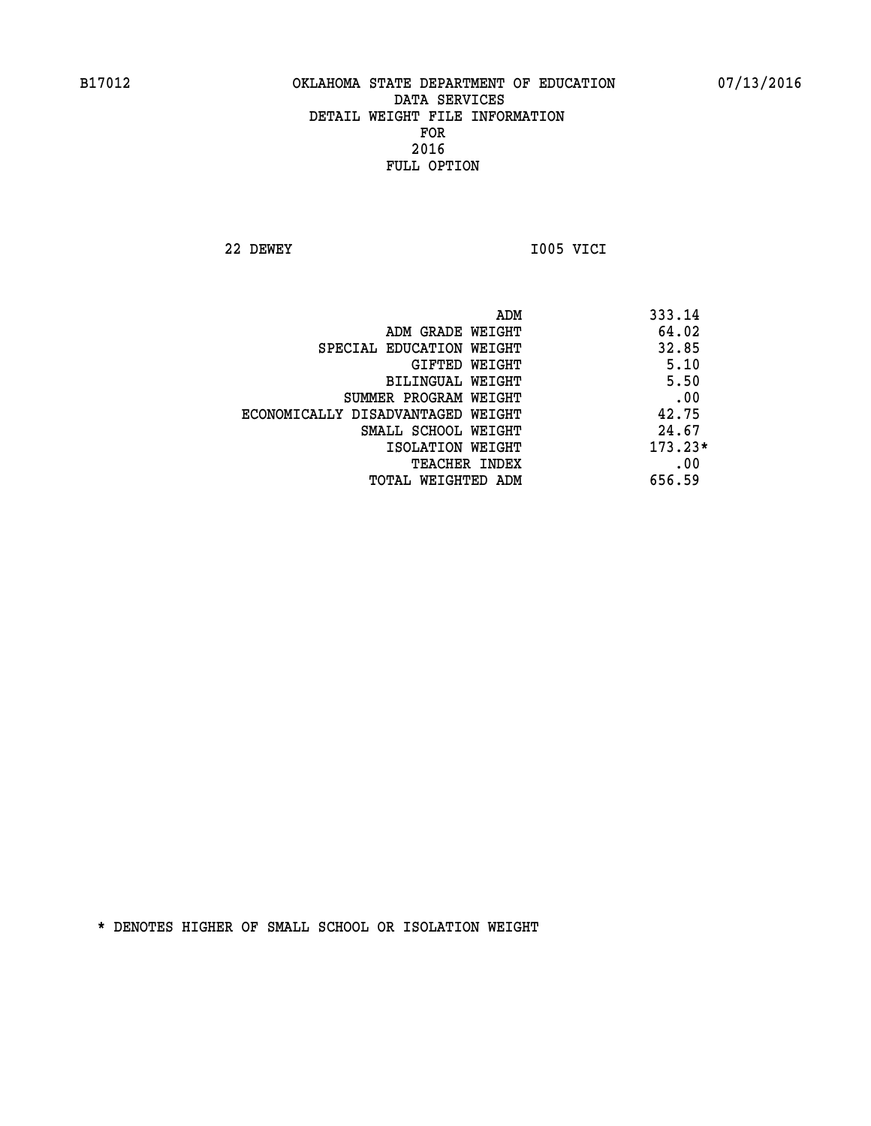**22 DEWEY I005 VICI** 

|                                   | 333.14<br>ADM |           |
|-----------------------------------|---------------|-----------|
| ADM GRADE WEIGHT                  |               | 64.02     |
| SPECIAL EDUCATION WEIGHT          |               | 32.85     |
| GIFTED WEIGHT                     |               | 5.10      |
| BILINGUAL WEIGHT                  |               | 5.50      |
| SUMMER PROGRAM WEIGHT             |               | .00       |
| ECONOMICALLY DISADVANTAGED WEIGHT |               | 42.75     |
| SMALL SCHOOL WEIGHT               |               | 24.67     |
| ISOLATION WEIGHT                  |               | $173.23*$ |
| <b>TEACHER INDEX</b>              |               | .00       |
| TOTAL WEIGHTED ADM                | 656.59        |           |
|                                   |               |           |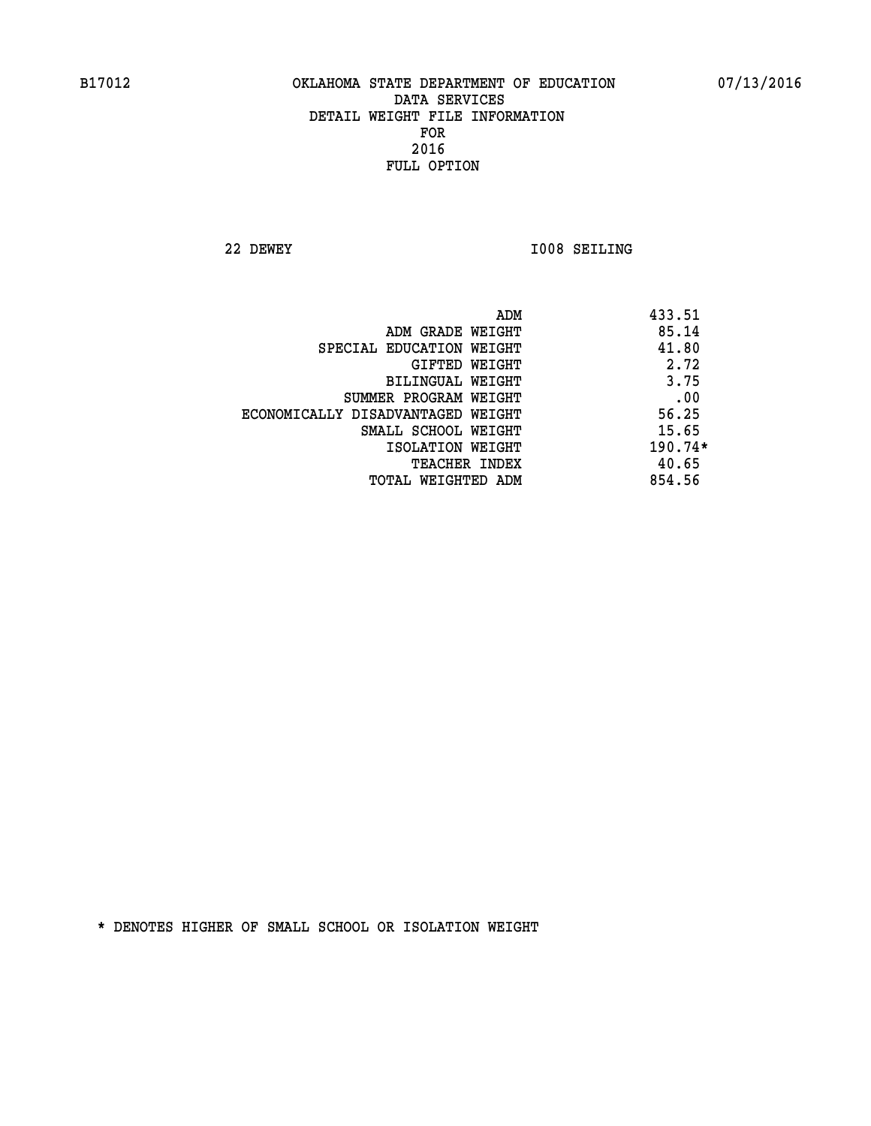**22 DEWEY I008 SEILING** 

|                                   | ADM | 433.51    |
|-----------------------------------|-----|-----------|
| ADM GRADE WEIGHT                  |     | 85.14     |
| SPECIAL EDUCATION WEIGHT          |     | 41.80     |
| GIFTED WEIGHT                     |     | 2.72      |
| BILINGUAL WEIGHT                  |     | 3.75      |
| SUMMER PROGRAM WEIGHT             |     | .00       |
| ECONOMICALLY DISADVANTAGED WEIGHT |     | 56.25     |
| SMALL SCHOOL WEIGHT               |     | 15.65     |
| ISOLATION WEIGHT                  |     | $190.74*$ |
| TEACHER INDEX                     |     | 40.65     |
| TOTAL WEIGHTED ADM                |     | 854.56    |
|                                   |     |           |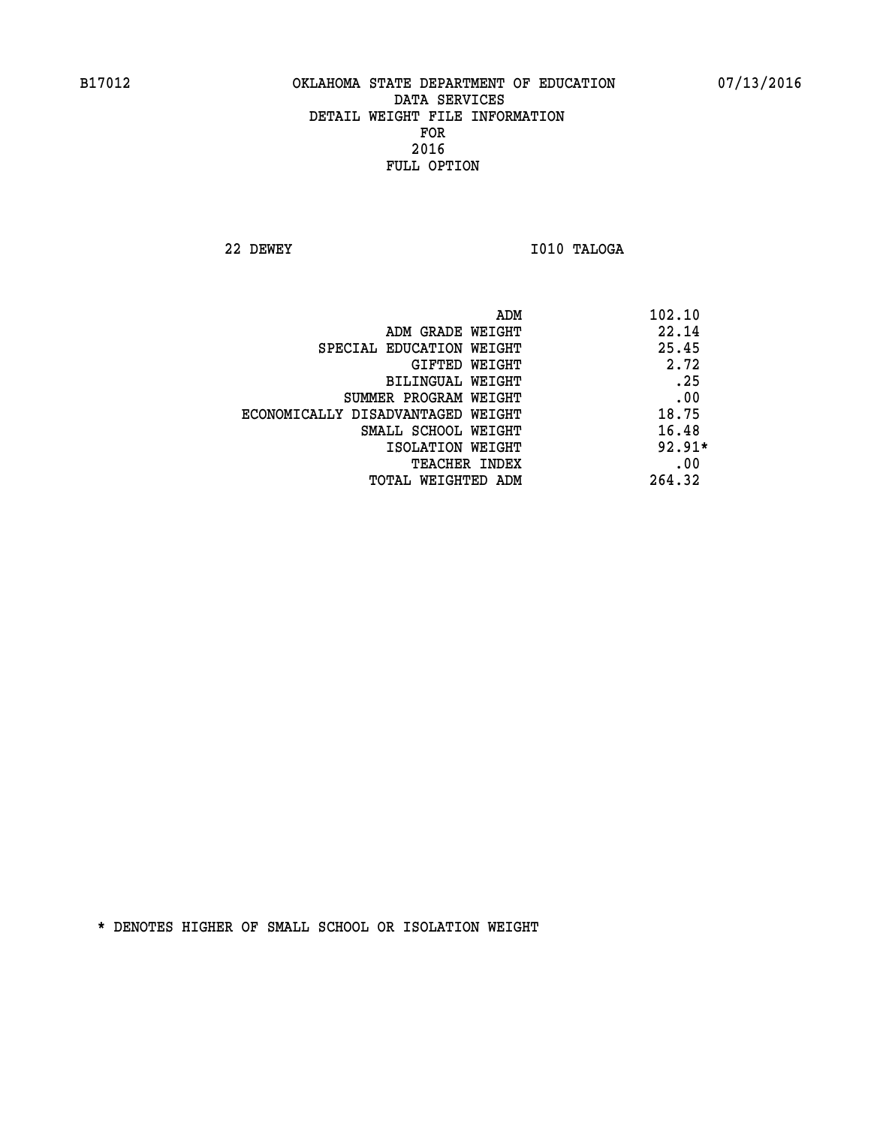**22 DEWEY I010 TALOGA** 

|                                   | 102.10<br>ADM |  |
|-----------------------------------|---------------|--|
| ADM GRADE WEIGHT                  | 22.14         |  |
| SPECIAL EDUCATION WEIGHT          | 25.45         |  |
| GIFTED WEIGHT                     | 2.72          |  |
| BILINGUAL WEIGHT                  | .25           |  |
| SUMMER PROGRAM WEIGHT             | .00           |  |
| ECONOMICALLY DISADVANTAGED WEIGHT | 18.75         |  |
| SMALL SCHOOL WEIGHT               | 16.48         |  |
| ISOLATION WEIGHT                  | $92.91*$      |  |
| <b>TEACHER INDEX</b>              | .00           |  |
| TOTAL WEIGHTED ADM                | 264.32        |  |
|                                   |               |  |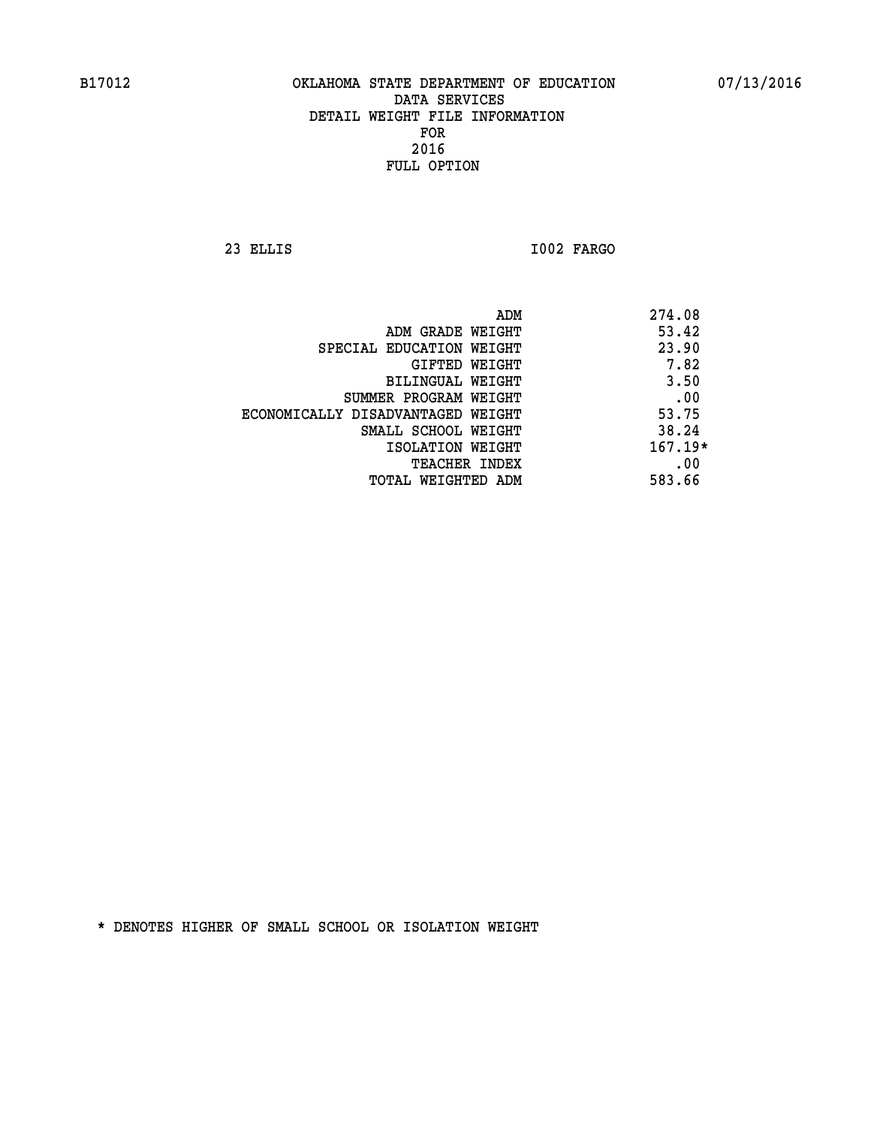**23 ELLIS I002 FARGO** 

| ADM                               | 274.08    |
|-----------------------------------|-----------|
| ADM GRADE WEIGHT                  | 53.42     |
| SPECIAL EDUCATION WEIGHT          | 23.90     |
| GIFTED WEIGHT                     | 7.82      |
| BILINGUAL WEIGHT                  | 3.50      |
| SUMMER PROGRAM WEIGHT             | .00       |
| ECONOMICALLY DISADVANTAGED WEIGHT | 53.75     |
| SMALL SCHOOL WEIGHT               | 38.24     |
| ISOLATION WEIGHT                  | $167.19*$ |
| TEACHER INDEX                     | .00       |
| TOTAL WEIGHTED ADM                | 583.66    |
|                                   |           |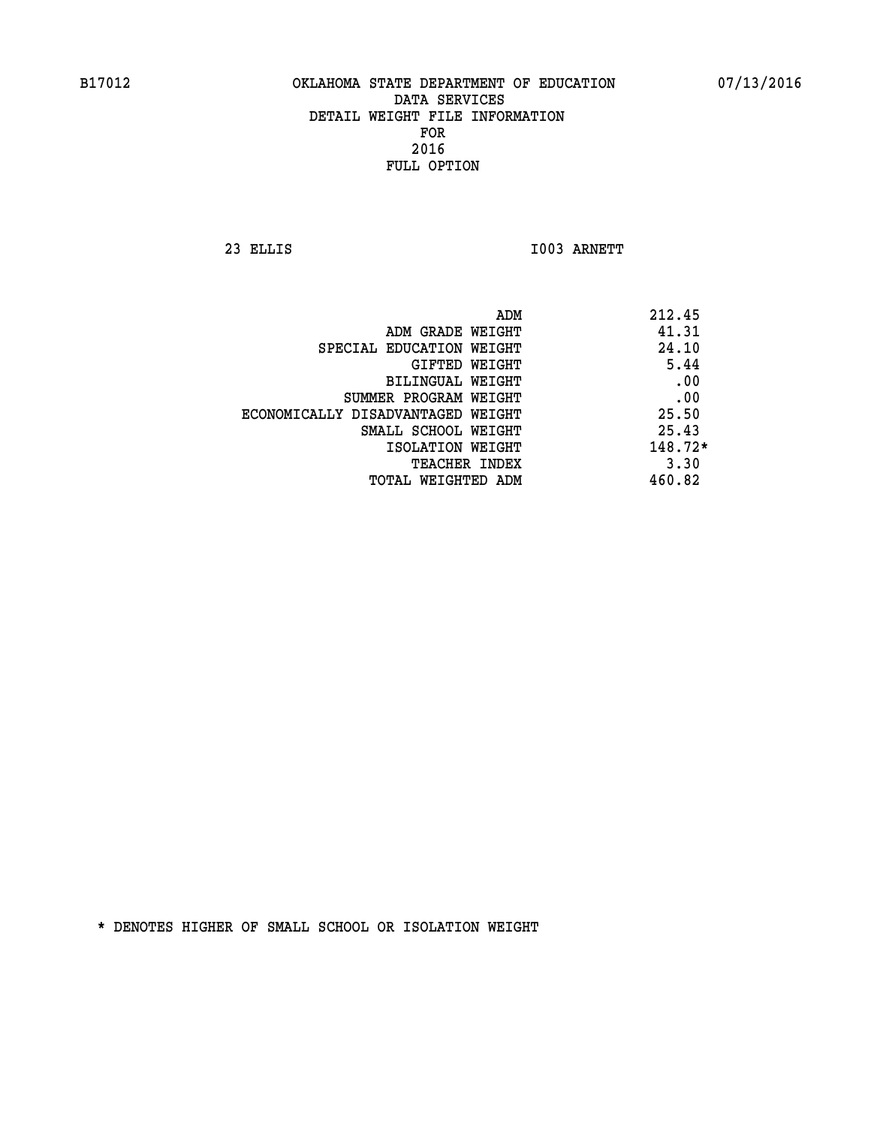**23 ELLIS I003 ARNETT** 

|                                   | 212.45<br>ADM |  |
|-----------------------------------|---------------|--|
| ADM GRADE WEIGHT                  | 41.31         |  |
| SPECIAL EDUCATION WEIGHT          | 24.10         |  |
| GIFTED WEIGHT                     | 5.44          |  |
| BILINGUAL WEIGHT                  | .00           |  |
| SUMMER PROGRAM WEIGHT             | .00           |  |
| ECONOMICALLY DISADVANTAGED WEIGHT | 25.50         |  |
| SMALL SCHOOL WEIGHT               | 25.43         |  |
| ISOLATION WEIGHT                  | $148.72*$     |  |
| TEACHER INDEX                     | 3.30          |  |
| TOTAL WEIGHTED ADM                | 460.82        |  |
|                                   |               |  |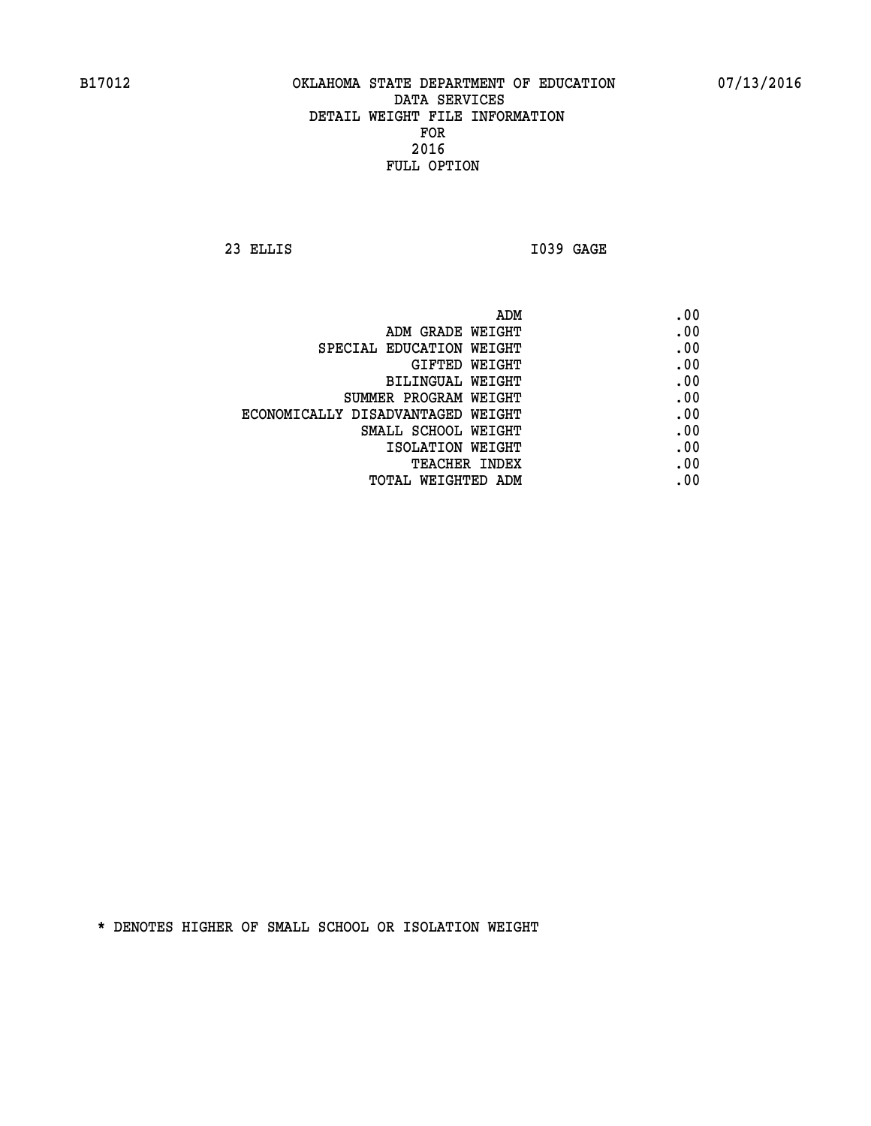**23 ELLIS I039 GAGE** 

| ADM                               | .00 |
|-----------------------------------|-----|
| ADM GRADE WEIGHT                  | .00 |
| SPECIAL EDUCATION WEIGHT          | .00 |
| <b>GIFTED WEIGHT</b>              | .00 |
| BILINGUAL WEIGHT                  | .00 |
| SUMMER PROGRAM WEIGHT             | .00 |
| ECONOMICALLY DISADVANTAGED WEIGHT | .00 |
| SMALL SCHOOL WEIGHT               | .00 |
| ISOLATION WEIGHT                  | .00 |
| <b>TEACHER INDEX</b>              | .00 |
| TOTAL WEIGHTED ADM                | .00 |
|                                   |     |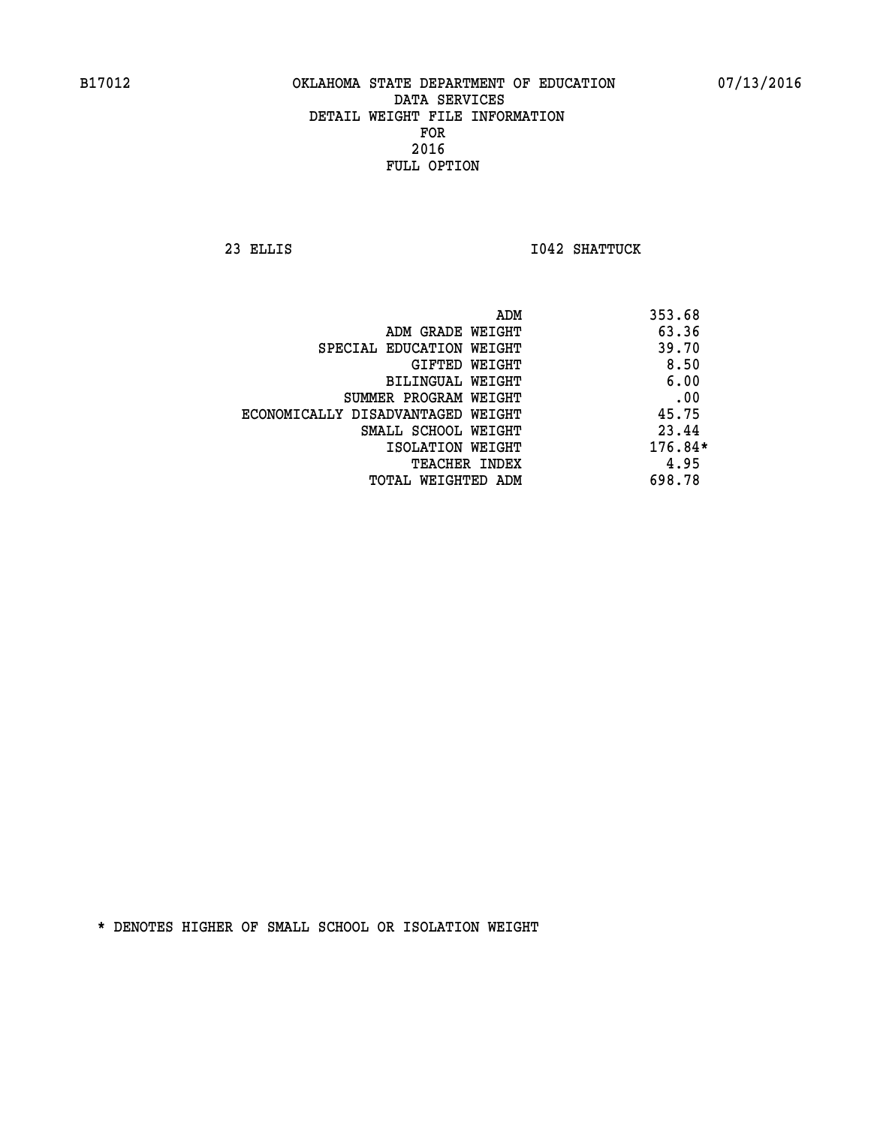**23 ELLIS I042 SHATTUCK** 

|                                   | ADM | 353.68  |
|-----------------------------------|-----|---------|
| ADM GRADE WEIGHT                  |     | 63.36   |
| SPECIAL EDUCATION WEIGHT          |     | 39.70   |
| GIFTED WEIGHT                     |     | 8.50    |
| BILINGUAL WEIGHT                  |     | 6.00    |
| SUMMER PROGRAM WEIGHT             |     | .00     |
| ECONOMICALLY DISADVANTAGED WEIGHT |     | 45.75   |
| SMALL SCHOOL WEIGHT               |     | 23.44   |
| ISOLATION WEIGHT                  |     | 176.84* |
| TEACHER INDEX                     |     | 4.95    |
| TOTAL WEIGHTED ADM                |     | 698.78  |
|                                   |     |         |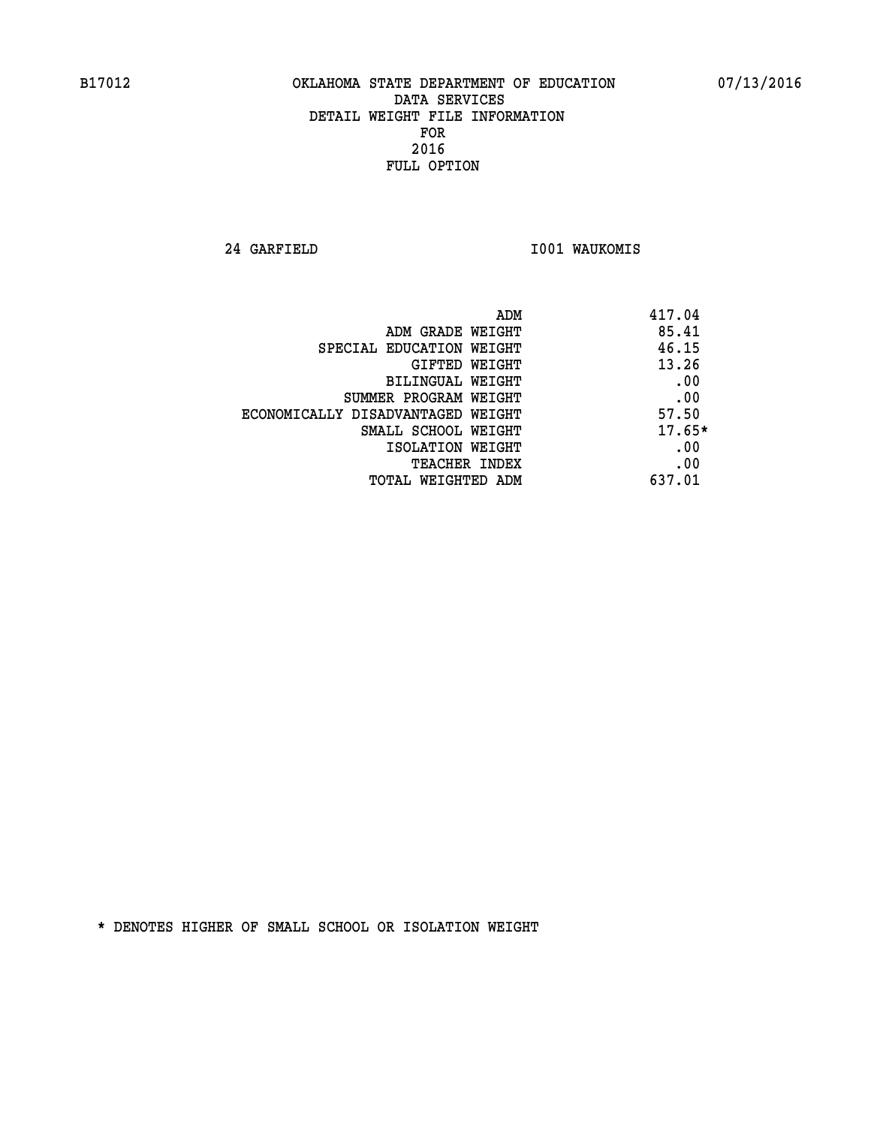**24 GARFIELD I001 WAUKOMIS** 

| ADM                               | 417.04   |
|-----------------------------------|----------|
| ADM GRADE WEIGHT                  | 85.41    |
| SPECIAL EDUCATION WEIGHT          | 46.15    |
| GIFTED WEIGHT                     | 13.26    |
| BILINGUAL WEIGHT                  | .00      |
| SUMMER PROGRAM WEIGHT             | .00      |
| ECONOMICALLY DISADVANTAGED WEIGHT | 57.50    |
| SMALL SCHOOL WEIGHT               | $17.65*$ |
| ISOLATION WEIGHT                  | .00      |
| <b>TEACHER INDEX</b>              | .00      |
| TOTAL WEIGHTED ADM                | 637.01   |
|                                   |          |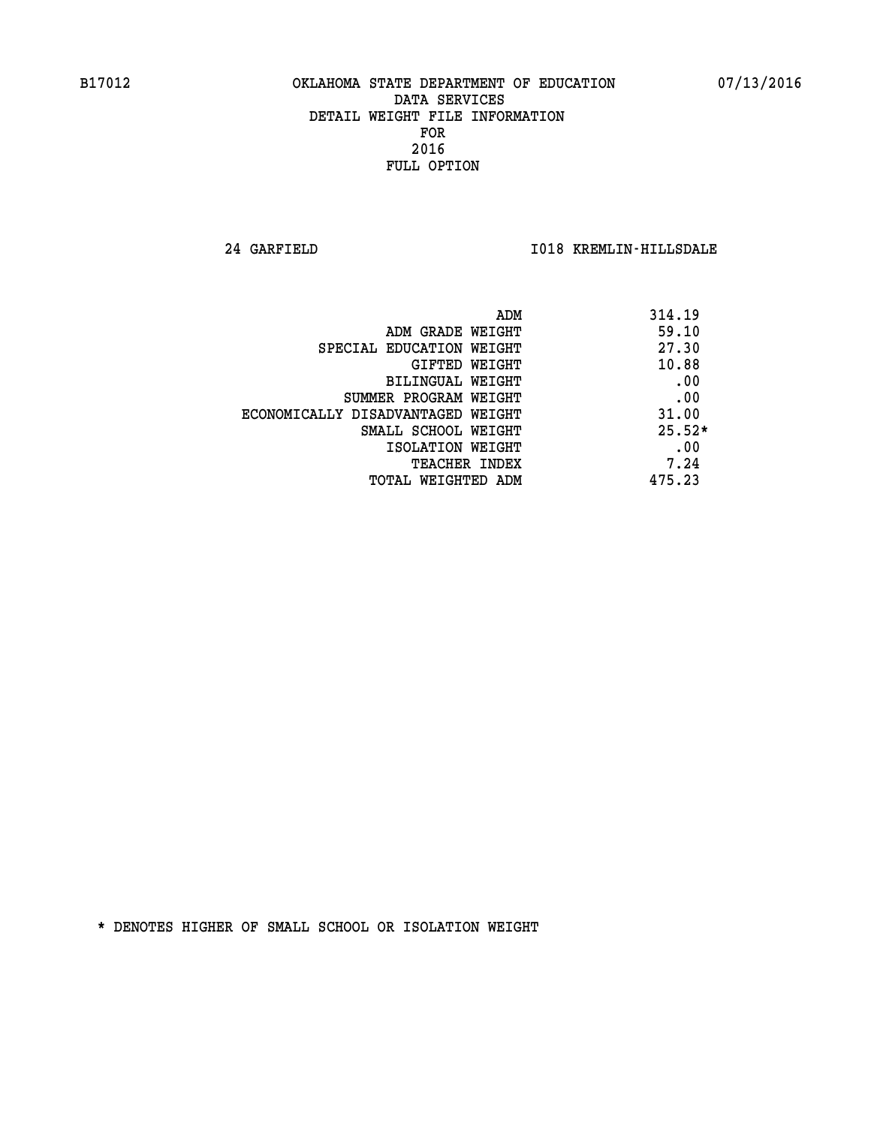**24 GARFIELD I018 KREMLIN-HILLSDALE** 

|                                   | 314.19<br>ADM |
|-----------------------------------|---------------|
| ADM GRADE WEIGHT                  | 59.10         |
| SPECIAL EDUCATION WEIGHT          | 27.30         |
| GIFTED WEIGHT                     | 10.88         |
| BILINGUAL WEIGHT                  | .00           |
| SUMMER PROGRAM WEIGHT             | .00           |
| ECONOMICALLY DISADVANTAGED WEIGHT | 31.00         |
| SMALL SCHOOL WEIGHT               | $25.52*$      |
| ISOLATION WEIGHT                  | .00           |
| TEACHER INDEX                     | 7.24          |
| TOTAL WEIGHTED ADM                | 475.23        |
|                                   |               |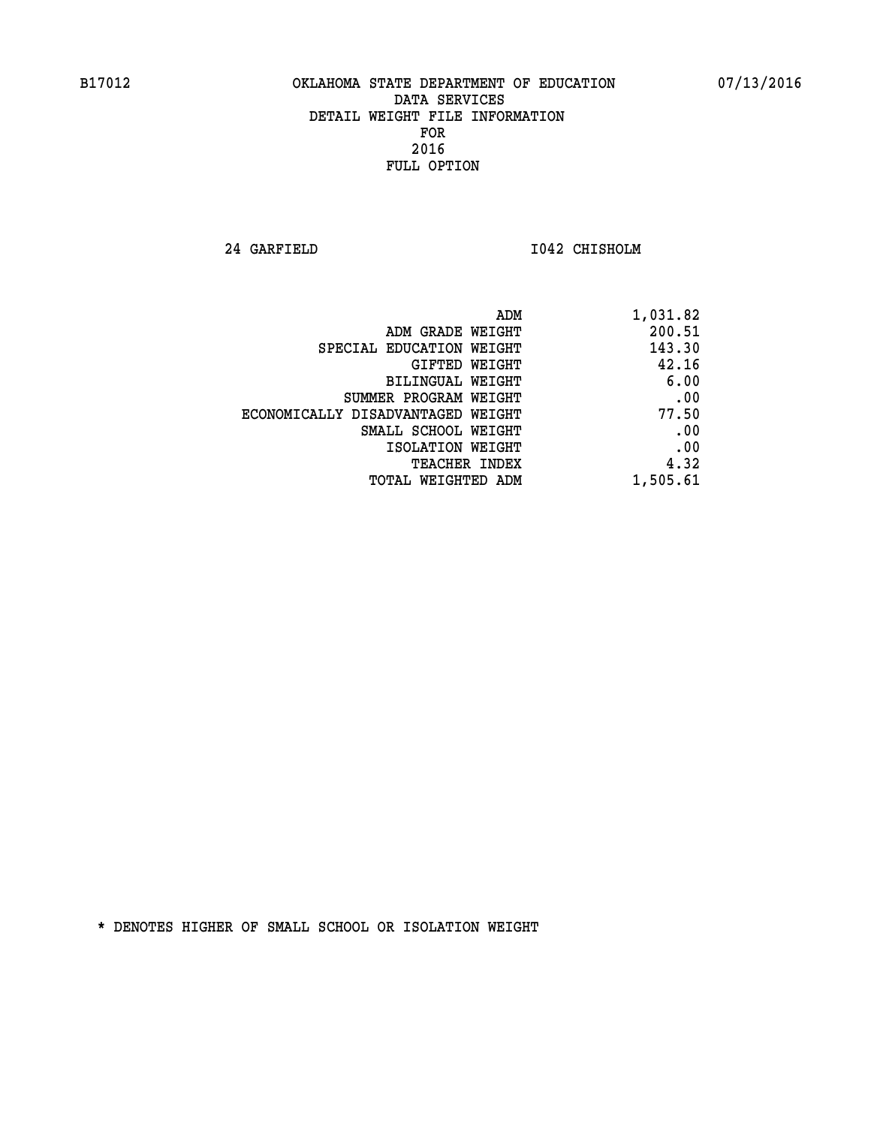**24 GARFIELD I042 CHISHOLM** 

| ADM                               | 1,031.82 |
|-----------------------------------|----------|
| ADM GRADE WEIGHT                  | 200.51   |
| SPECIAL EDUCATION WEIGHT          | 143.30   |
| GIFTED WEIGHT                     | 42.16    |
| <b>BILINGUAL WEIGHT</b>           | 6.00     |
| SUMMER PROGRAM WEIGHT             | .00      |
| ECONOMICALLY DISADVANTAGED WEIGHT | 77.50    |
| SMALL SCHOOL WEIGHT               | .00      |
| ISOLATION WEIGHT                  | .00      |
| TEACHER INDEX                     | 4.32     |
| TOTAL WEIGHTED ADM                | 1,505.61 |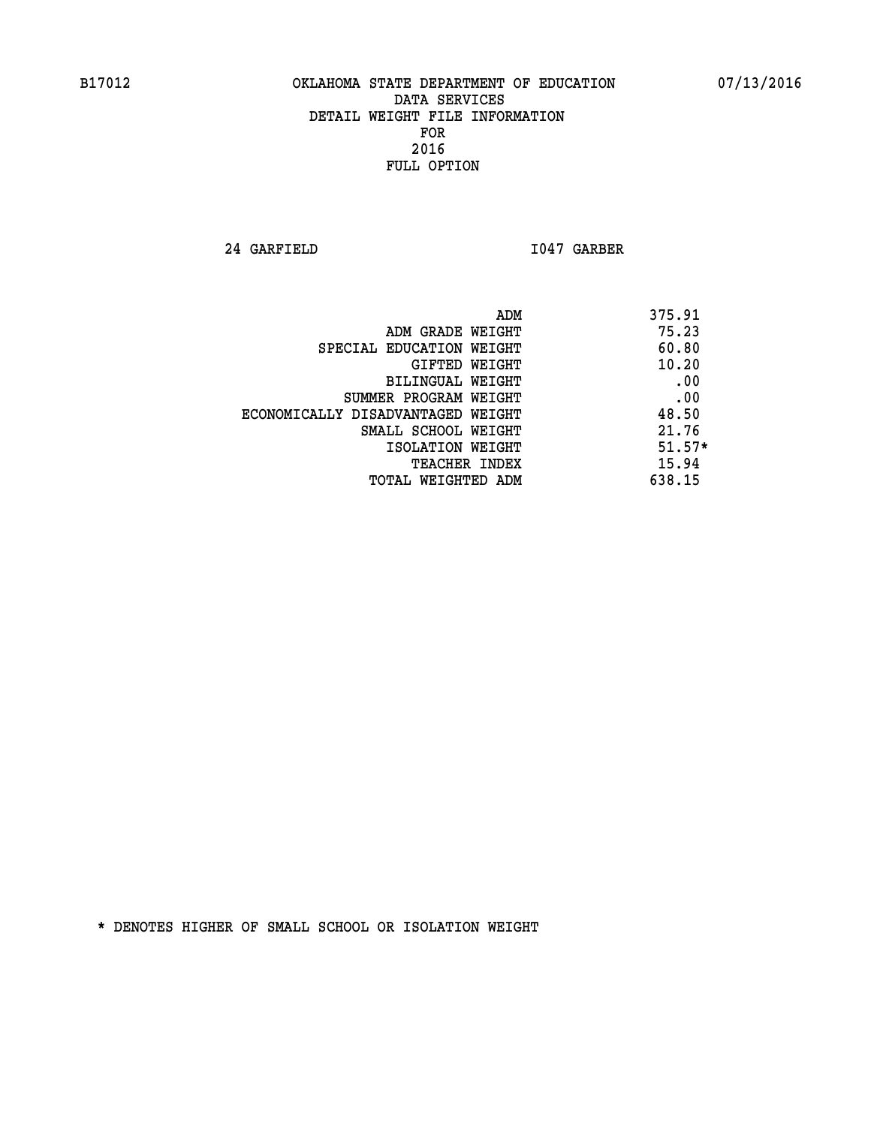**24 GARFIELD I047 GARBER** 

| 375.91<br>ADM                              |     |
|--------------------------------------------|-----|
| 75.23<br>ADM GRADE WEIGHT                  |     |
| 60.80<br>SPECIAL EDUCATION WEIGHT          |     |
| 10.20<br>GIFTED WEIGHT                     |     |
| BILINGUAL WEIGHT                           | .00 |
| SUMMER PROGRAM WEIGHT                      | .00 |
| 48.50<br>ECONOMICALLY DISADVANTAGED WEIGHT |     |
| 21.76<br>SMALL SCHOOL WEIGHT               |     |
| $51.57*$<br>ISOLATION WEIGHT               |     |
| 15.94<br><b>TEACHER INDEX</b>              |     |
| 638.15<br>TOTAL WEIGHTED ADM               |     |
|                                            |     |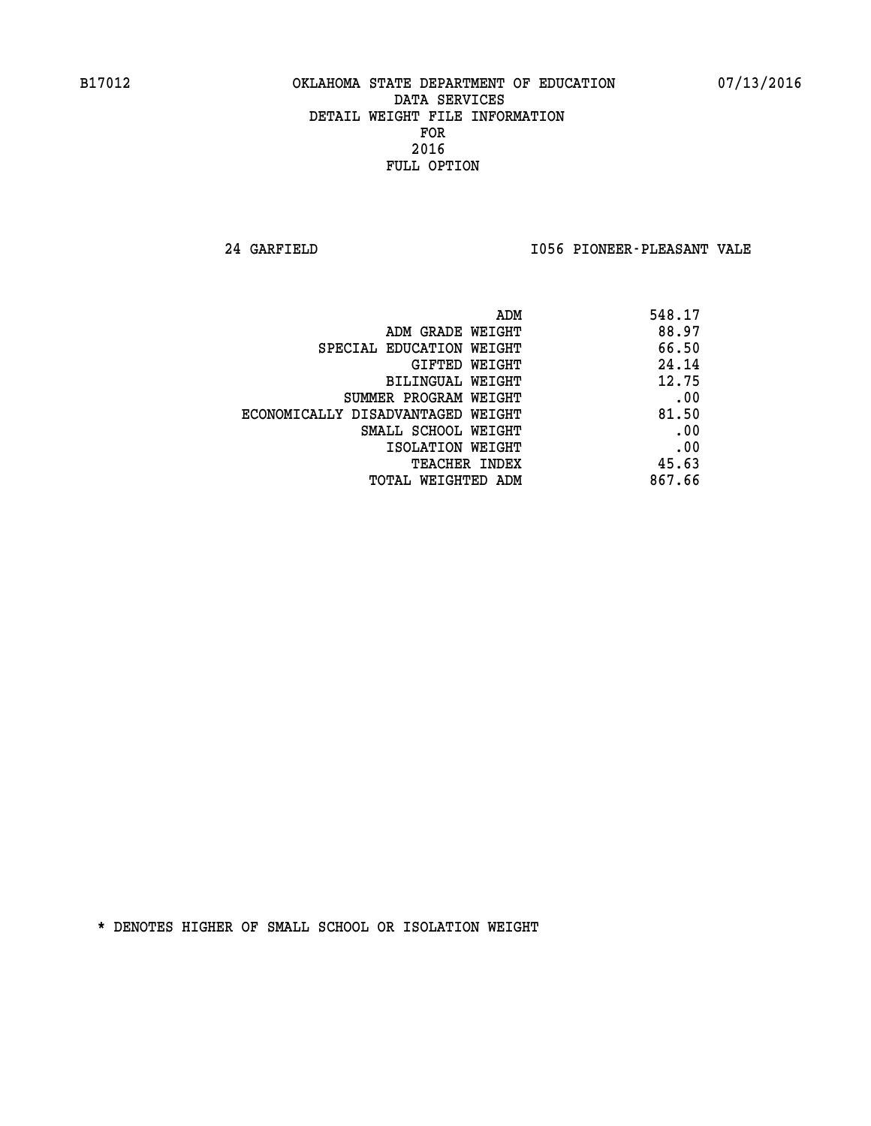**24 GARFIELD I056 PIONEER-PLEASANT VALE** 

| ADM                               | 548.17 |
|-----------------------------------|--------|
| ADM GRADE WEIGHT                  | 88.97  |
| SPECIAL EDUCATION WEIGHT          | 66.50  |
| GIFTED WEIGHT                     | 24.14  |
| BILINGUAL WEIGHT                  | 12.75  |
| SUMMER PROGRAM WEIGHT             | .00    |
| ECONOMICALLY DISADVANTAGED WEIGHT | 81.50  |
| SMALL SCHOOL WEIGHT               | .00    |
| ISOLATION WEIGHT                  | .00    |
| <b>TEACHER INDEX</b>              | 45.63  |
| TOTAL WEIGHTED ADM                | 867.66 |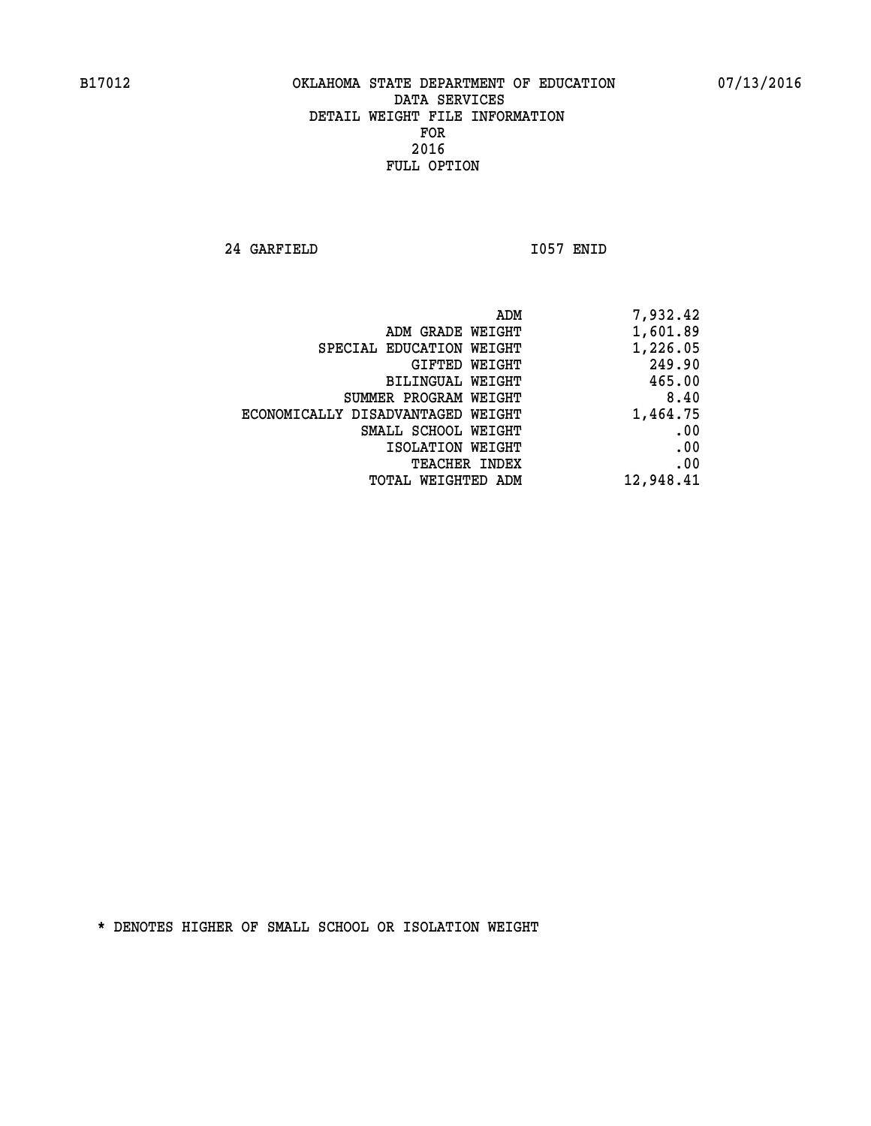**24 GARFIELD I057 ENID** 

| 7,932.42  |
|-----------|
| 1,601.89  |
| 1,226.05  |
| 249.90    |
| 465.00    |
| 8.40      |
| 1,464.75  |
| .00       |
| .00       |
| .00       |
| 12,948.41 |
|           |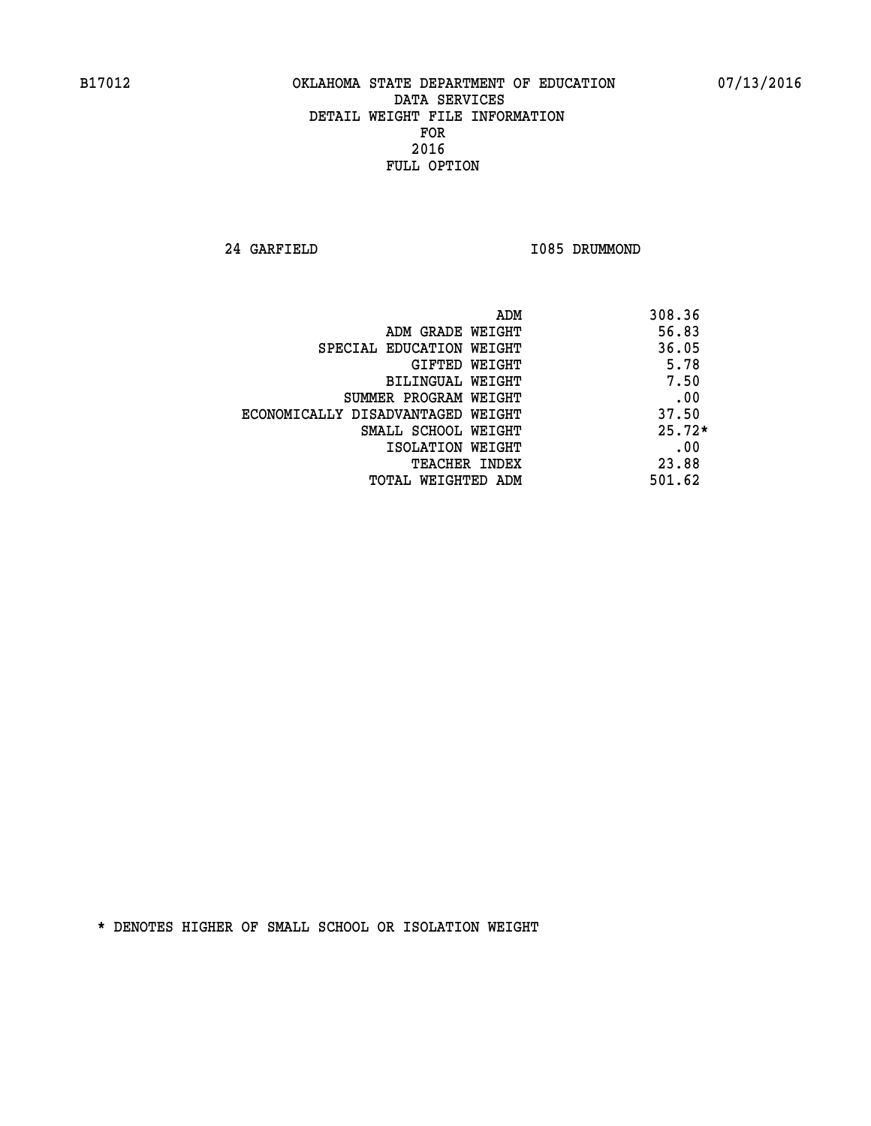**24 GARFIELD I085 DRUMMOND** 

| ADM                               | 308.36   |
|-----------------------------------|----------|
| ADM GRADE WEIGHT                  | 56.83    |
| SPECIAL EDUCATION WEIGHT          | 36.05    |
| <b>GIFTED WEIGHT</b>              | 5.78     |
| BILINGUAL WEIGHT                  | 7.50     |
| SUMMER PROGRAM WEIGHT             | .00      |
| ECONOMICALLY DISADVANTAGED WEIGHT | 37.50    |
| SMALL SCHOOL WEIGHT               | $25.72*$ |
| ISOLATION WEIGHT                  | .00      |
| <b>TEACHER INDEX</b>              | 23.88    |
| TOTAL WEIGHTED ADM                | 501.62   |
|                                   |          |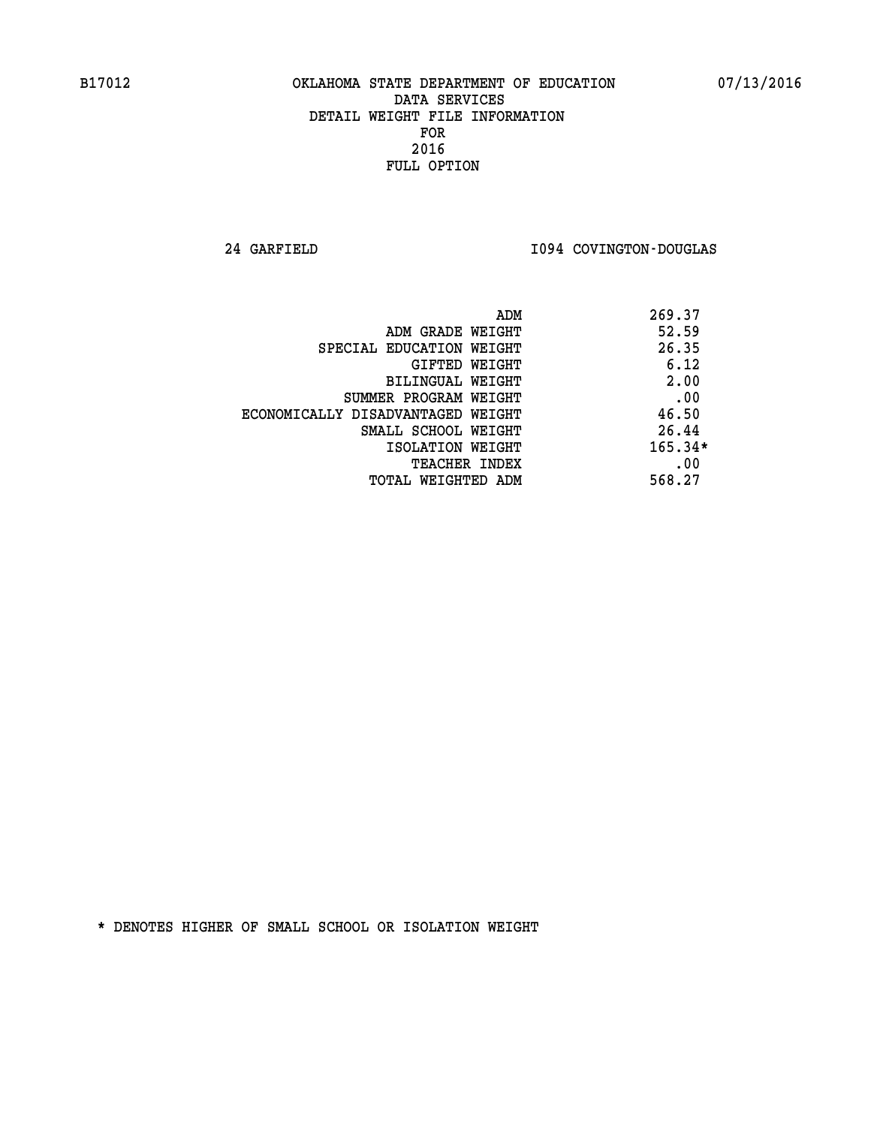**24 GARFIELD I094 COVINGTON-DOUGLAS** 

| 269.37<br>ADM                              |  |
|--------------------------------------------|--|
| 52.59<br>ADM GRADE WEIGHT                  |  |
| 26.35<br>SPECIAL EDUCATION WEIGHT          |  |
| 6.12<br>GIFTED WEIGHT                      |  |
| 2.00<br>BILINGUAL WEIGHT                   |  |
| .00<br>SUMMER PROGRAM WEIGHT               |  |
| 46.50<br>ECONOMICALLY DISADVANTAGED WEIGHT |  |
| 26.44<br>SMALL SCHOOL WEIGHT               |  |
| $165.34*$<br>ISOLATION WEIGHT              |  |
| .00<br><b>TEACHER INDEX</b>                |  |
| 568.27<br>TOTAL WEIGHTED ADM               |  |
|                                            |  |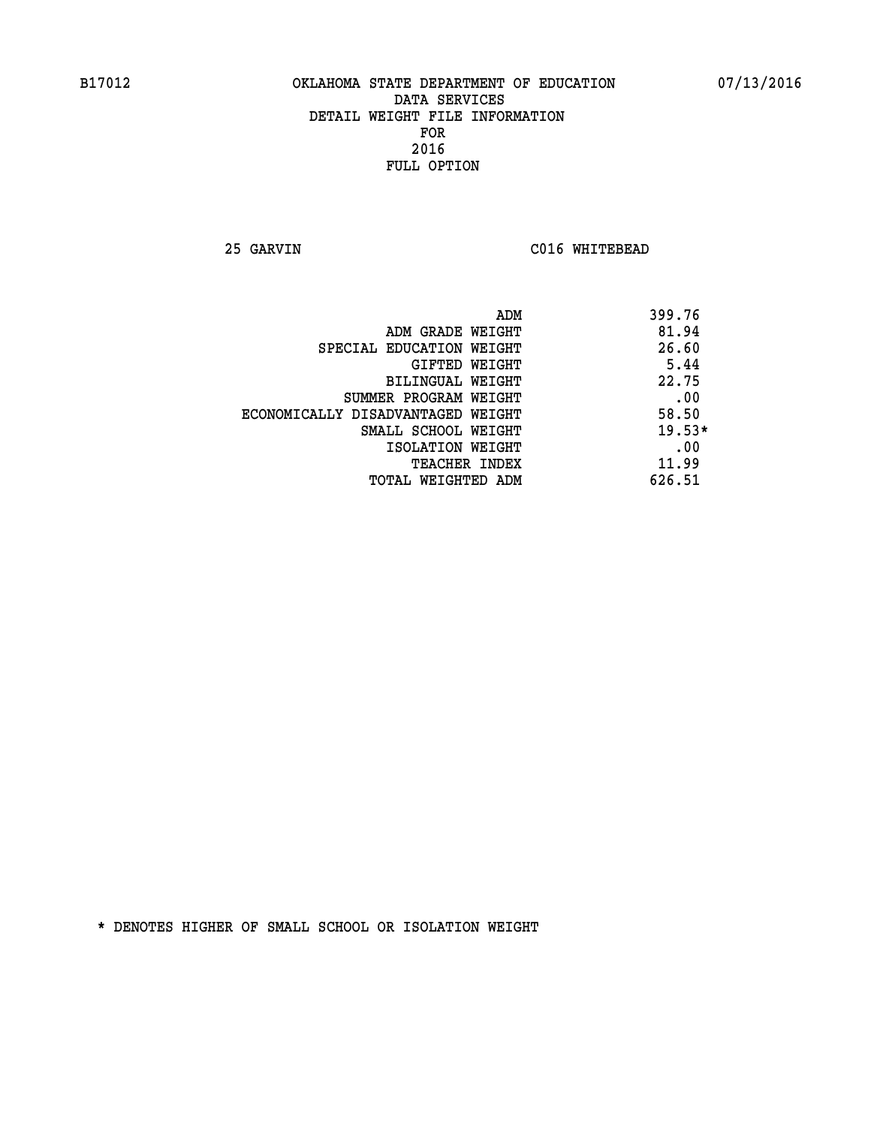**25 GARVIN C016 WHITEBEAD** 

|                                   | 399.76<br>ADM |
|-----------------------------------|---------------|
| ADM GRADE WEIGHT                  | 81.94         |
| SPECIAL EDUCATION WEIGHT          | 26.60         |
| GIFTED WEIGHT                     | 5.44          |
| BILINGUAL WEIGHT                  | 22.75         |
| SUMMER PROGRAM WEIGHT             | .00           |
| ECONOMICALLY DISADVANTAGED WEIGHT | 58.50         |
| SMALL SCHOOL WEIGHT               | $19.53*$      |
| ISOLATION WEIGHT                  | .00           |
| <b>TEACHER INDEX</b>              | 11.99         |
| TOTAL WEIGHTED ADM                | 626.51        |
|                                   |               |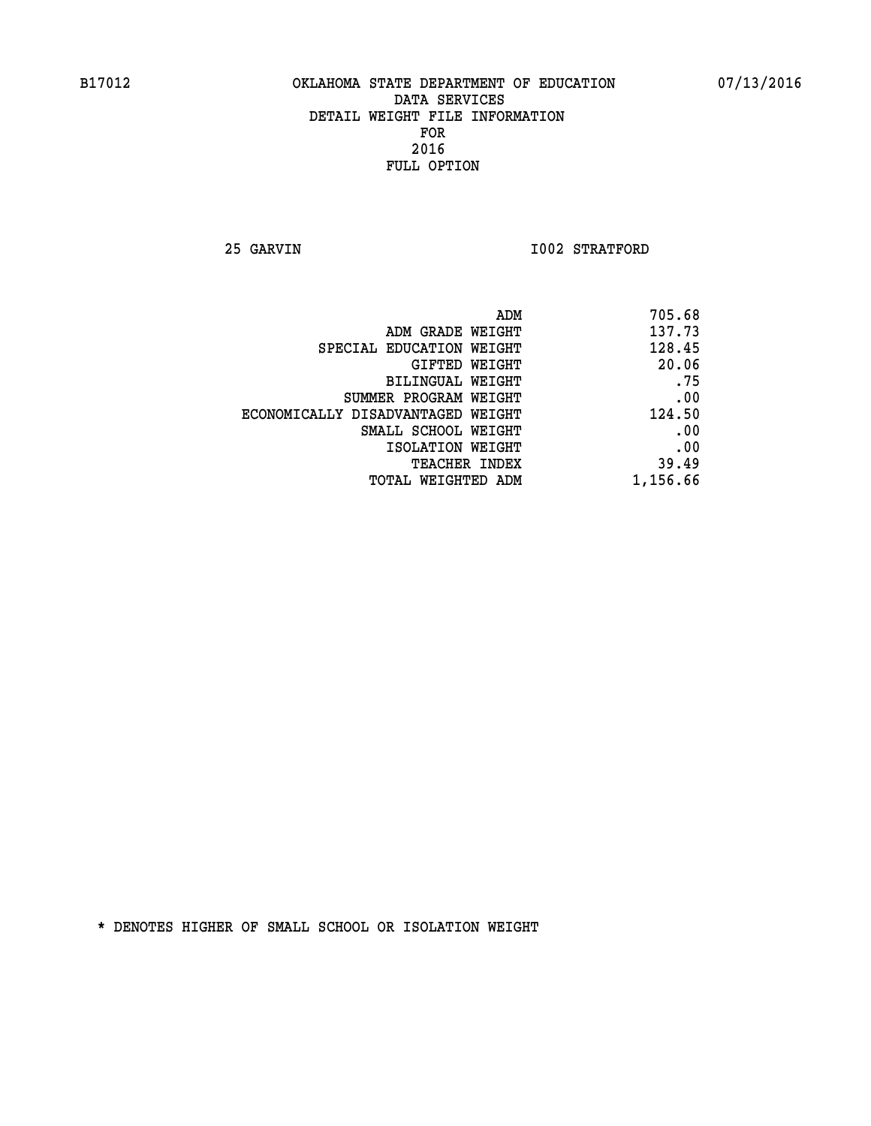**25 GARVIN 1002 STRATFORD** 

| 705.68   |
|----------|
| 137.73   |
| 128.45   |
| 20.06    |
| .75      |
| .00      |
| 124.50   |
| .00      |
| .00      |
| 39.49    |
| 1,156.66 |
|          |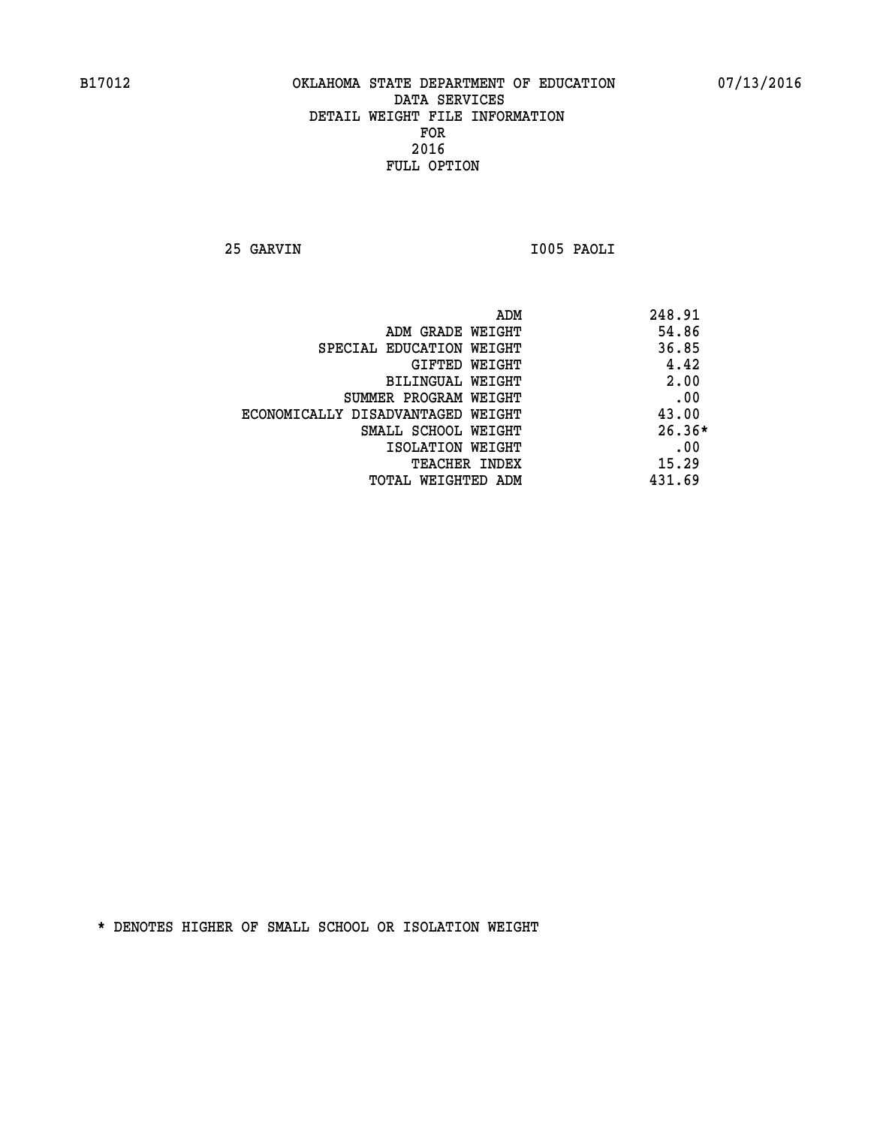**25 GARVIN I005 PAOLI** 

| ADM<br>248.91                              |  |
|--------------------------------------------|--|
| 54.86<br>ADM GRADE WEIGHT                  |  |
| 36.85<br>SPECIAL EDUCATION WEIGHT          |  |
| 4.42<br>GIFTED WEIGHT                      |  |
| 2.00<br><b>BILINGUAL WEIGHT</b>            |  |
| .00<br>SUMMER PROGRAM WEIGHT               |  |
| 43.00<br>ECONOMICALLY DISADVANTAGED WEIGHT |  |
| $26.36*$<br>SMALL SCHOOL WEIGHT            |  |
| .00<br>ISOLATION WEIGHT                    |  |
| 15.29<br><b>TEACHER INDEX</b>              |  |
| 431.69<br>TOTAL WEIGHTED ADM               |  |
|                                            |  |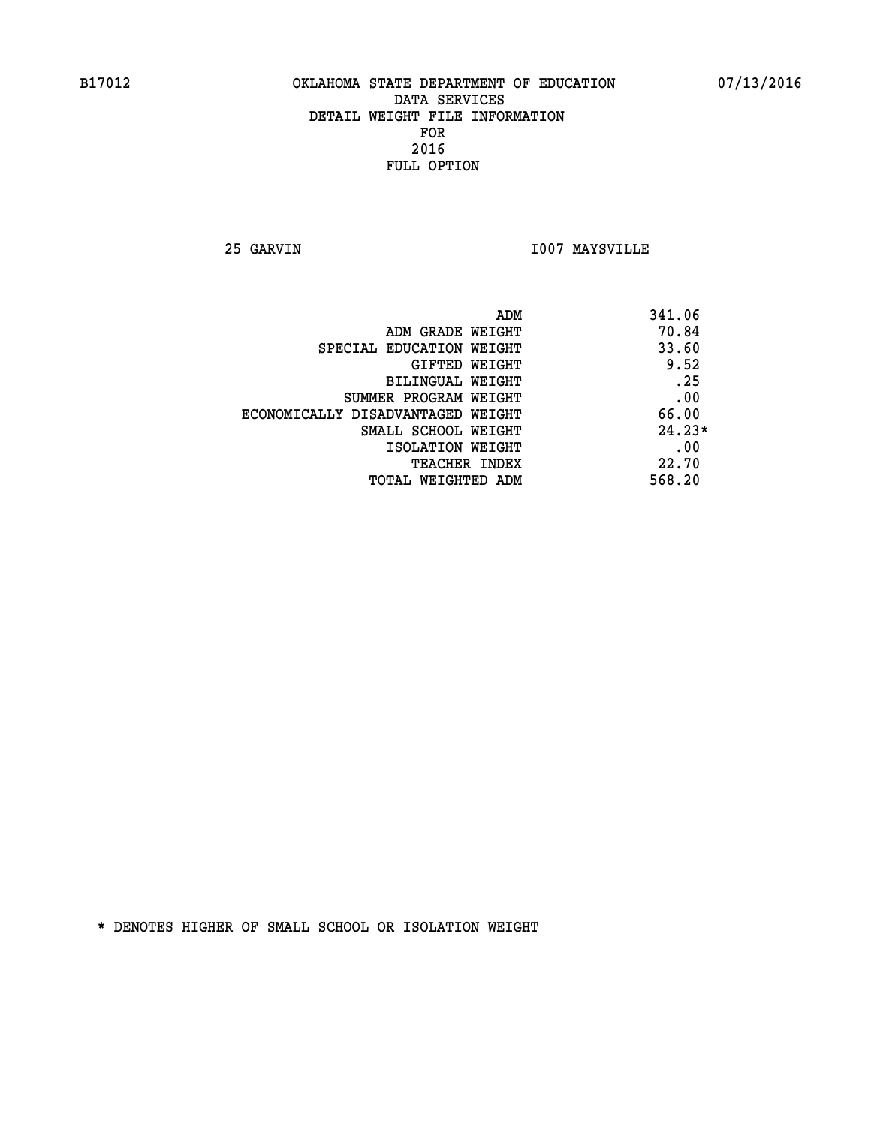**25 GARVIN I007 MAYSVILLE** 

| 341.06<br>ADM                              |     |
|--------------------------------------------|-----|
| 70.84<br>ADM GRADE WEIGHT                  |     |
| 33.60<br>SPECIAL EDUCATION WEIGHT          |     |
| 9.52<br>GIFTED WEIGHT                      |     |
| .25<br>BILINGUAL WEIGHT                    |     |
| SUMMER PROGRAM WEIGHT                      | .00 |
| 66.00<br>ECONOMICALLY DISADVANTAGED WEIGHT |     |
| $24.23*$<br>SMALL SCHOOL WEIGHT            |     |
| ISOLATION WEIGHT                           | .00 |
| 22.70<br><b>TEACHER INDEX</b>              |     |
| 568.20<br>TOTAL WEIGHTED ADM               |     |
|                                            |     |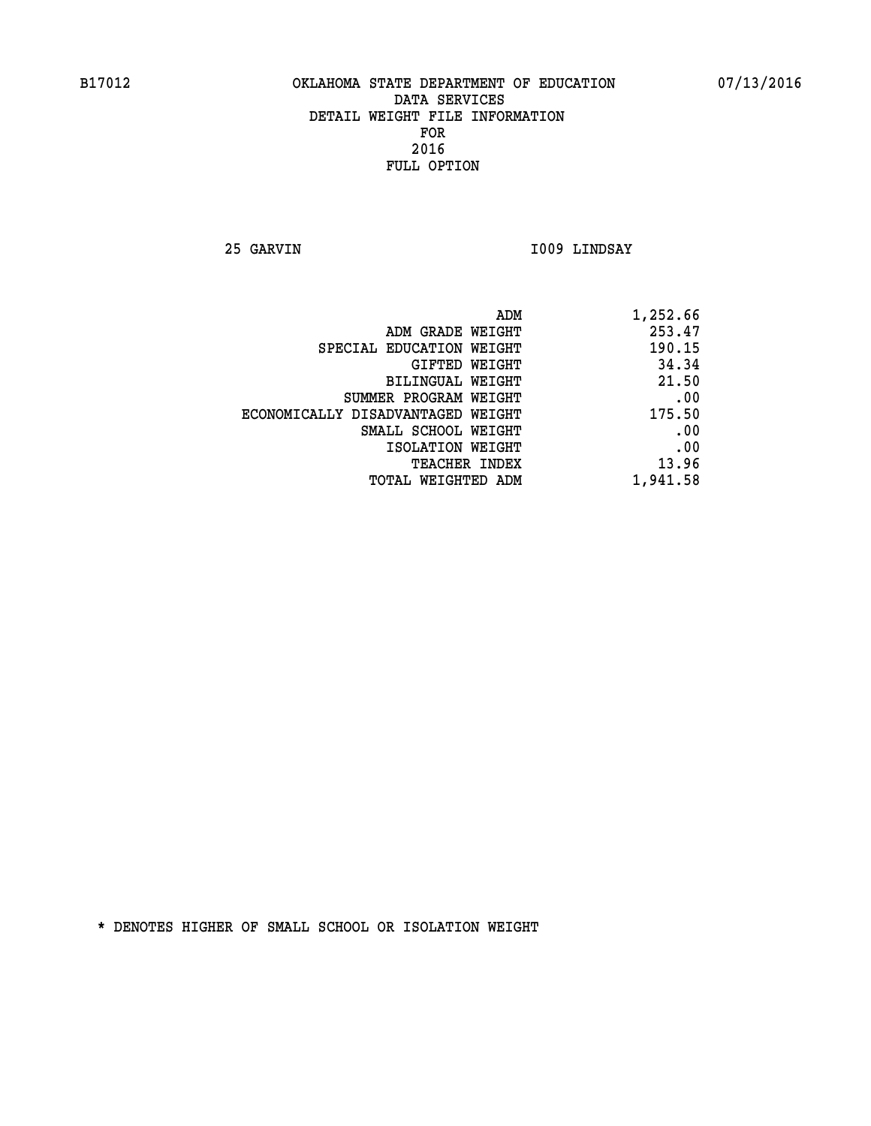**25 GARVIN I009 LINDSAY** 

| 1,252.66 |
|----------|
| 253.47   |
| 190.15   |
| 34.34    |
| 21.50    |
| .00      |
| 175.50   |
| .00      |
| .00      |
| 13.96    |
| 1,941.58 |
|          |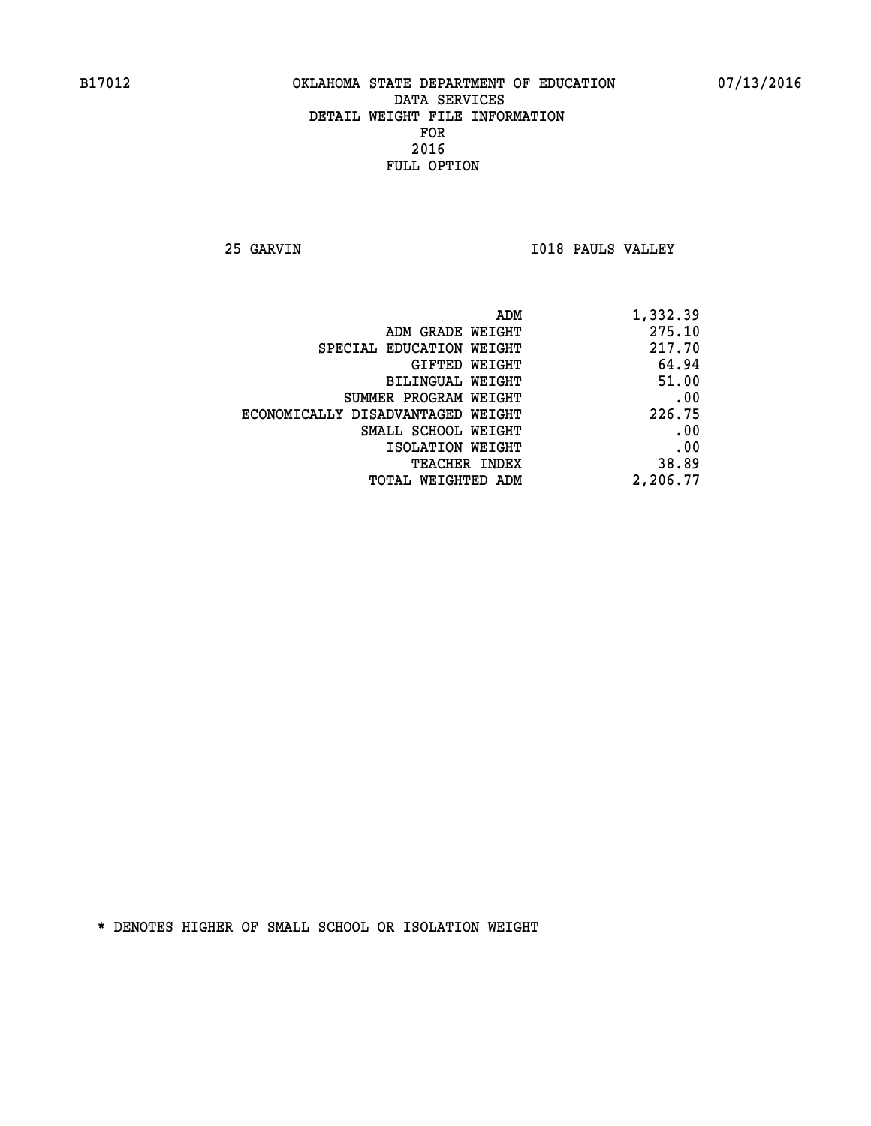**25 GARVIN I018 PAULS VALLEY** 

| ADM<br>1,332.39                             |  |
|---------------------------------------------|--|
| 275.10<br>ADM GRADE WEIGHT                  |  |
| 217.70<br>SPECIAL EDUCATION WEIGHT          |  |
| 64.94<br>GIFTED WEIGHT                      |  |
| 51.00<br>BILINGUAL WEIGHT                   |  |
| .00<br>SUMMER PROGRAM WEIGHT                |  |
| 226.75<br>ECONOMICALLY DISADVANTAGED WEIGHT |  |
| .00<br>SMALL SCHOOL WEIGHT                  |  |
| .00<br>ISOLATION WEIGHT                     |  |
| 38.89<br><b>TEACHER INDEX</b>               |  |
| 2,206.77<br><b>TOTAL WEIGHTED ADM</b>       |  |
|                                             |  |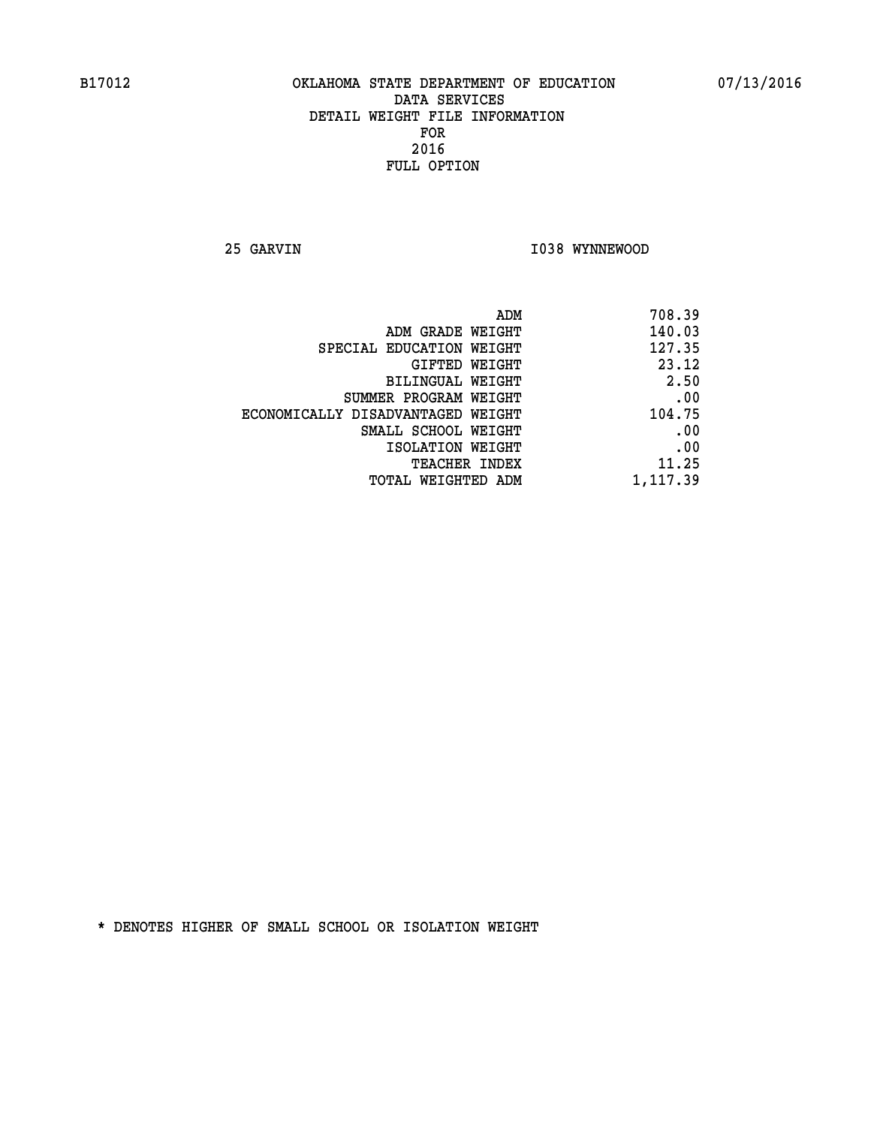**25 GARVIN 1038 WYNNEWOOD** 

| ADM<br>708.39                               |
|---------------------------------------------|
| 140.03<br>ADM GRADE WEIGHT                  |
| 127.35<br>SPECIAL EDUCATION WEIGHT          |
| 23.12<br><b>GIFTED WEIGHT</b>               |
| 2.50<br><b>BILINGUAL WEIGHT</b>             |
| .00<br>SUMMER PROGRAM WEIGHT                |
| 104.75<br>ECONOMICALLY DISADVANTAGED WEIGHT |
| .00<br>SMALL SCHOOL WEIGHT                  |
| .00<br>ISOLATION WEIGHT                     |
| 11.25<br>TEACHER INDEX                      |
| 1,117.39<br>TOTAL WEIGHTED ADM              |
|                                             |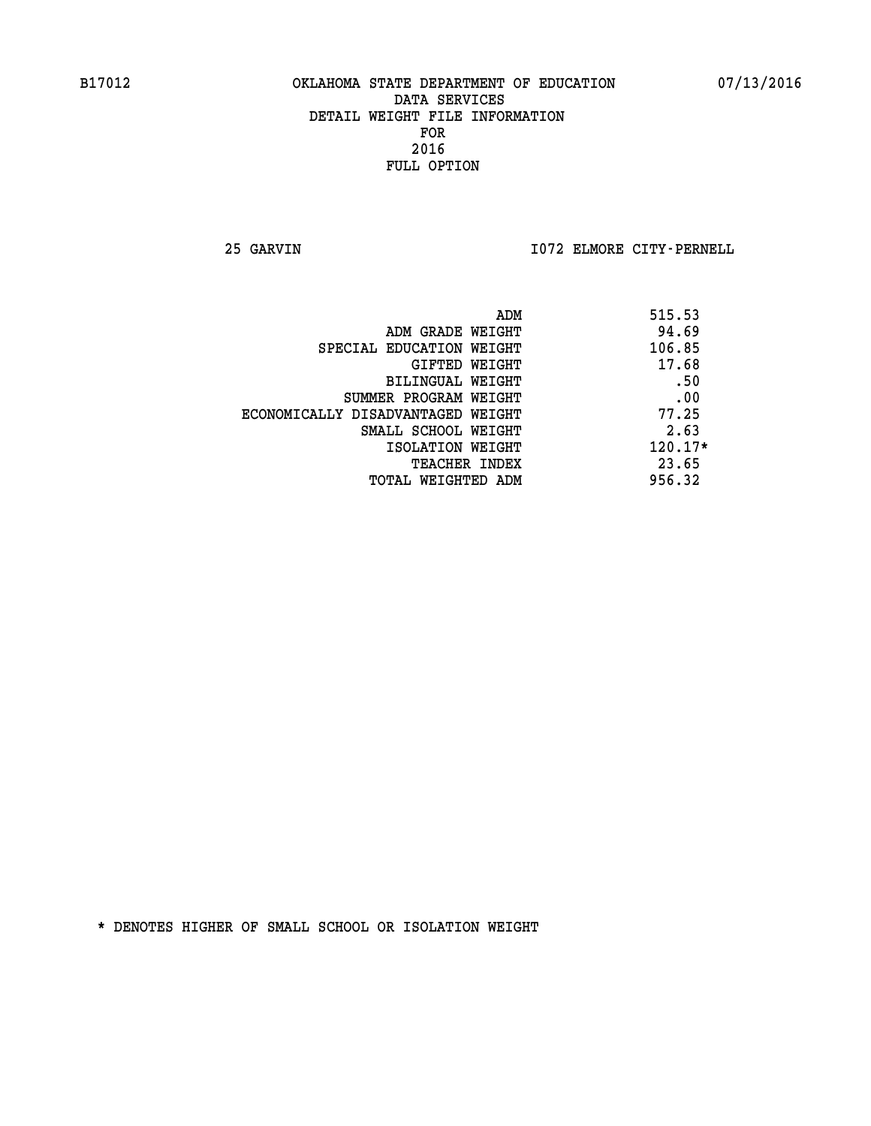**25 GARVIN I072 ELMORE CITY-PERNELL** 

| ADM                               | 515.53    |
|-----------------------------------|-----------|
| ADM GRADE WEIGHT                  | 94.69     |
| SPECIAL EDUCATION WEIGHT          | 106.85    |
| GIFTED WEIGHT                     | 17.68     |
| BILINGUAL WEIGHT                  | .50       |
| SUMMER PROGRAM WEIGHT             | .00       |
| ECONOMICALLY DISADVANTAGED WEIGHT | 77.25     |
| SMALL SCHOOL WEIGHT               | 2.63      |
| ISOLATION WEIGHT                  | $120.17*$ |
| <b>TEACHER INDEX</b>              | 23.65     |
| TOTAL WEIGHTED ADM                | 956.32    |
|                                   |           |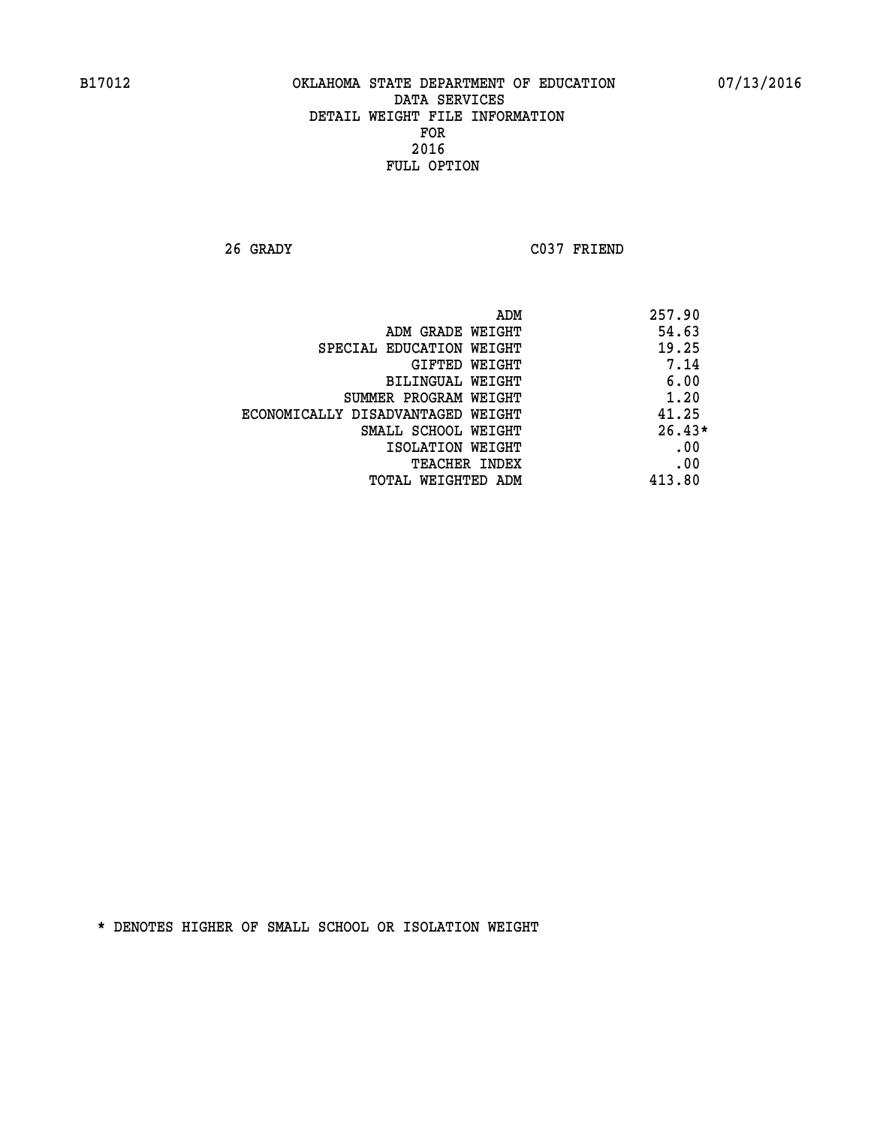**26 GRADY C037 FRIEND** 

|                                   | ADM | 257.90   |
|-----------------------------------|-----|----------|
| ADM GRADE WEIGHT                  |     | 54.63    |
| SPECIAL EDUCATION WEIGHT          |     | 19.25    |
| GIFTED WEIGHT                     |     | 7.14     |
| BILINGUAL WEIGHT                  |     | 6.00     |
| SUMMER PROGRAM WEIGHT             |     | 1.20     |
| ECONOMICALLY DISADVANTAGED WEIGHT |     | 41.25    |
| SMALL SCHOOL WEIGHT               |     | $26.43*$ |
| ISOLATION WEIGHT                  |     | .00      |
| <b>TEACHER INDEX</b>              |     | .00      |
| TOTAL WEIGHTED ADM                |     | 413.80   |
|                                   |     |          |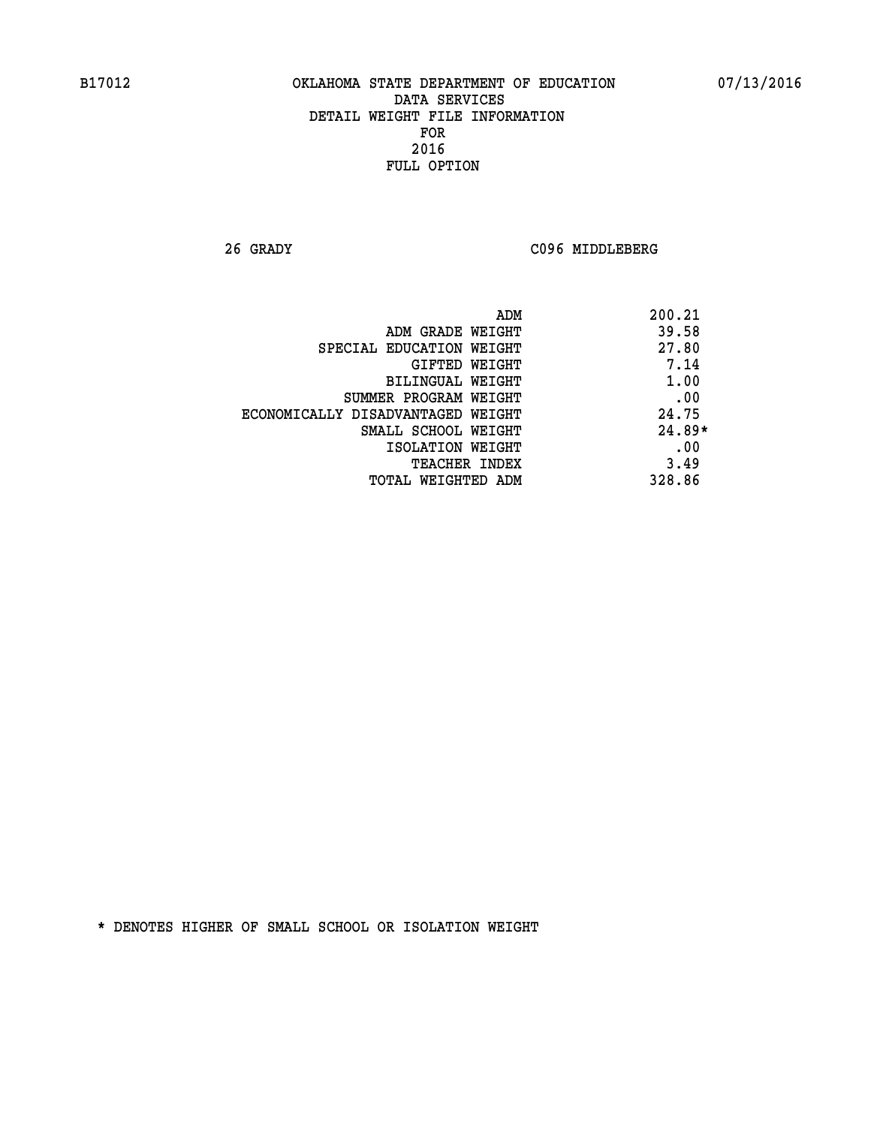**26 GRADY C096 MIDDLEBERG** 

| ADM                               | 200.21   |
|-----------------------------------|----------|
| ADM GRADE WEIGHT                  | 39.58    |
| SPECIAL EDUCATION WEIGHT          | 27.80    |
| GIFTED WEIGHT                     | 7.14     |
| <b>BILINGUAL WEIGHT</b>           | 1.00     |
| SUMMER PROGRAM WEIGHT             | .00      |
| ECONOMICALLY DISADVANTAGED WEIGHT | 24.75    |
| SMALL SCHOOL WEIGHT               | $24.89*$ |
| ISOLATION WEIGHT                  | .00      |
| <b>TEACHER INDEX</b>              | 3.49     |
| TOTAL WEIGHTED ADM                | 328.86   |
|                                   |          |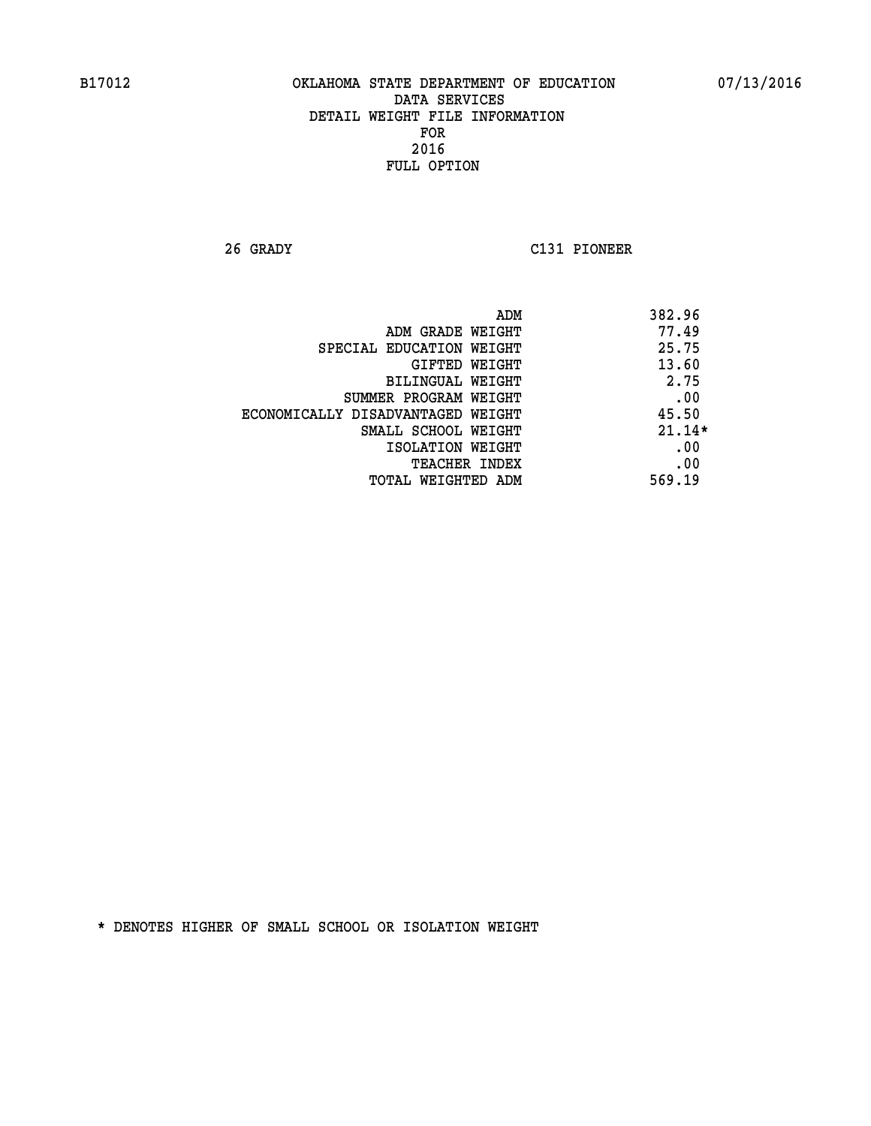**26 GRADY C131 PIONEER** 

|                                   | 382.96<br>ADM |
|-----------------------------------|---------------|
| ADM GRADE WEIGHT                  | 77.49         |
| SPECIAL EDUCATION WEIGHT          | 25.75         |
| GIFTED WEIGHT                     | 13.60         |
| BILINGUAL WEIGHT                  | 2.75          |
| SUMMER PROGRAM WEIGHT             | .00           |
| ECONOMICALLY DISADVANTAGED WEIGHT | 45.50         |
| SMALL SCHOOL WEIGHT               | $21.14*$      |
| ISOLATION WEIGHT                  | .00           |
| <b>TEACHER INDEX</b>              | .00           |
| TOTAL WEIGHTED ADM                | 569.19        |
|                                   |               |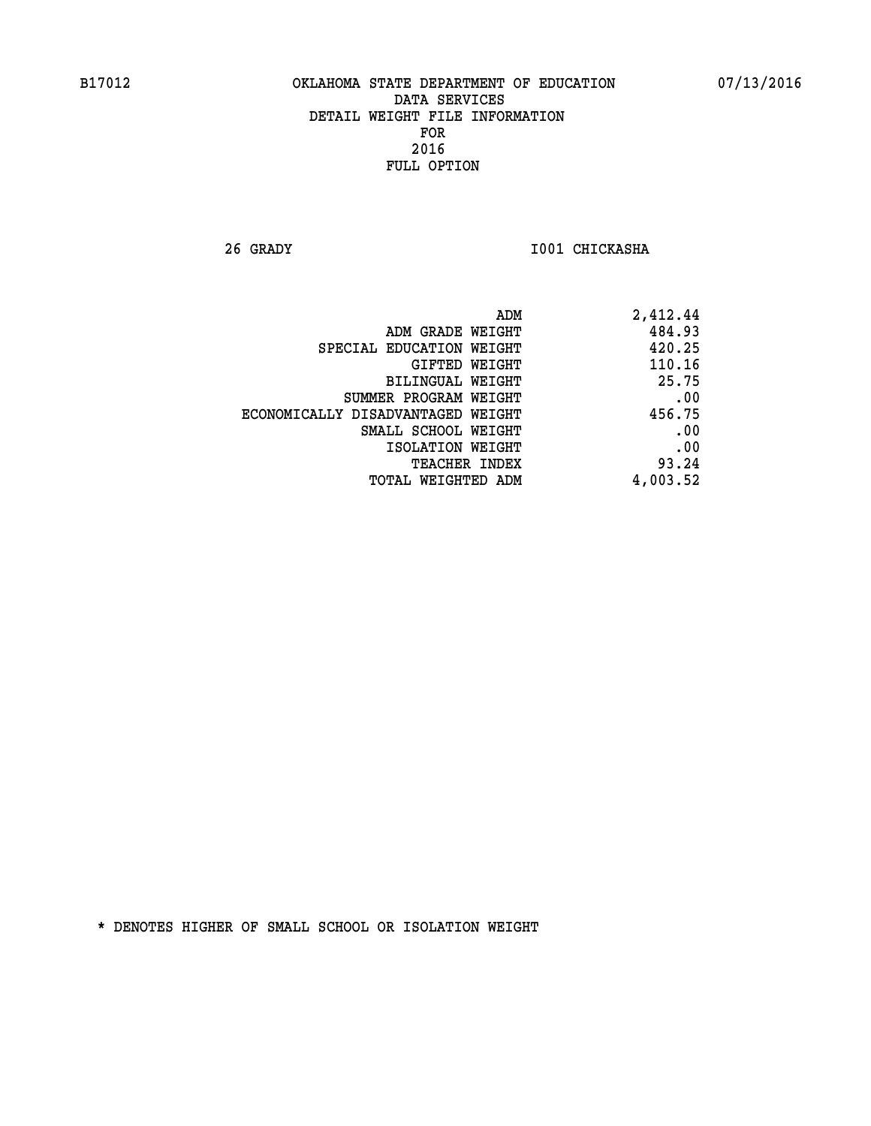**26 GRADY I001 CHICKASHA** 

| ADM                               | 2,412.44 |
|-----------------------------------|----------|
| ADM GRADE WEIGHT                  | 484.93   |
| SPECIAL EDUCATION WEIGHT          | 420.25   |
| GIFTED WEIGHT                     | 110.16   |
| <b>BILINGUAL WEIGHT</b>           | 25.75    |
| SUMMER PROGRAM WEIGHT             | .00      |
| ECONOMICALLY DISADVANTAGED WEIGHT | 456.75   |
| SMALL SCHOOL WEIGHT               | .00      |
| ISOLATION WEIGHT                  | .00      |
| TEACHER INDEX                     | 93.24    |
| TOTAL WEIGHTED ADM                | 4,003.52 |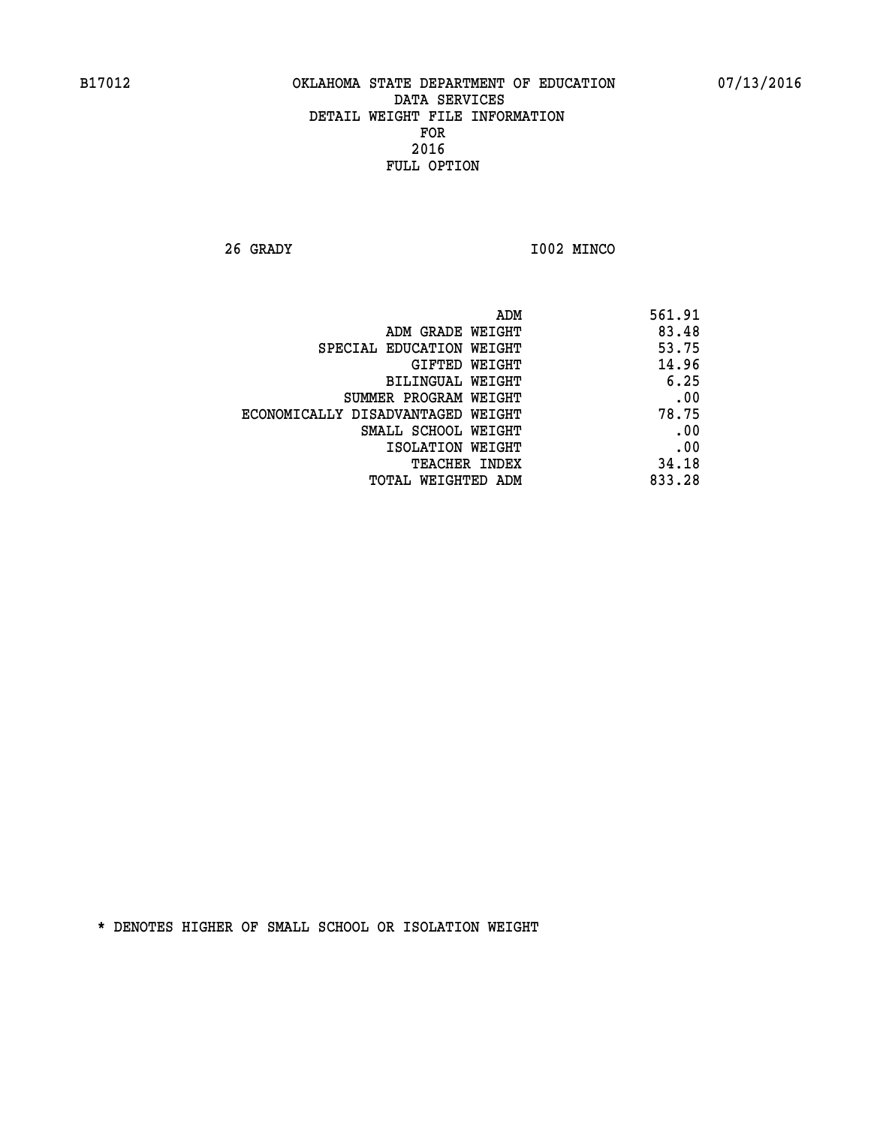**26 GRADY I002 MINCO** 

| ADM<br>561.91                              |
|--------------------------------------------|
| 83.48<br>ADM GRADE WEIGHT                  |
| 53.75<br>SPECIAL EDUCATION WEIGHT          |
| 14.96<br>GIFTED WEIGHT                     |
| 6.25<br>BILINGUAL WEIGHT                   |
| .00<br>SUMMER PROGRAM WEIGHT               |
| 78.75<br>ECONOMICALLY DISADVANTAGED WEIGHT |
| .00<br>SMALL SCHOOL WEIGHT                 |
| .00<br>ISOLATION WEIGHT                    |
| 34.18<br>TEACHER INDEX                     |
| 833.28<br>TOTAL WEIGHTED ADM               |
|                                            |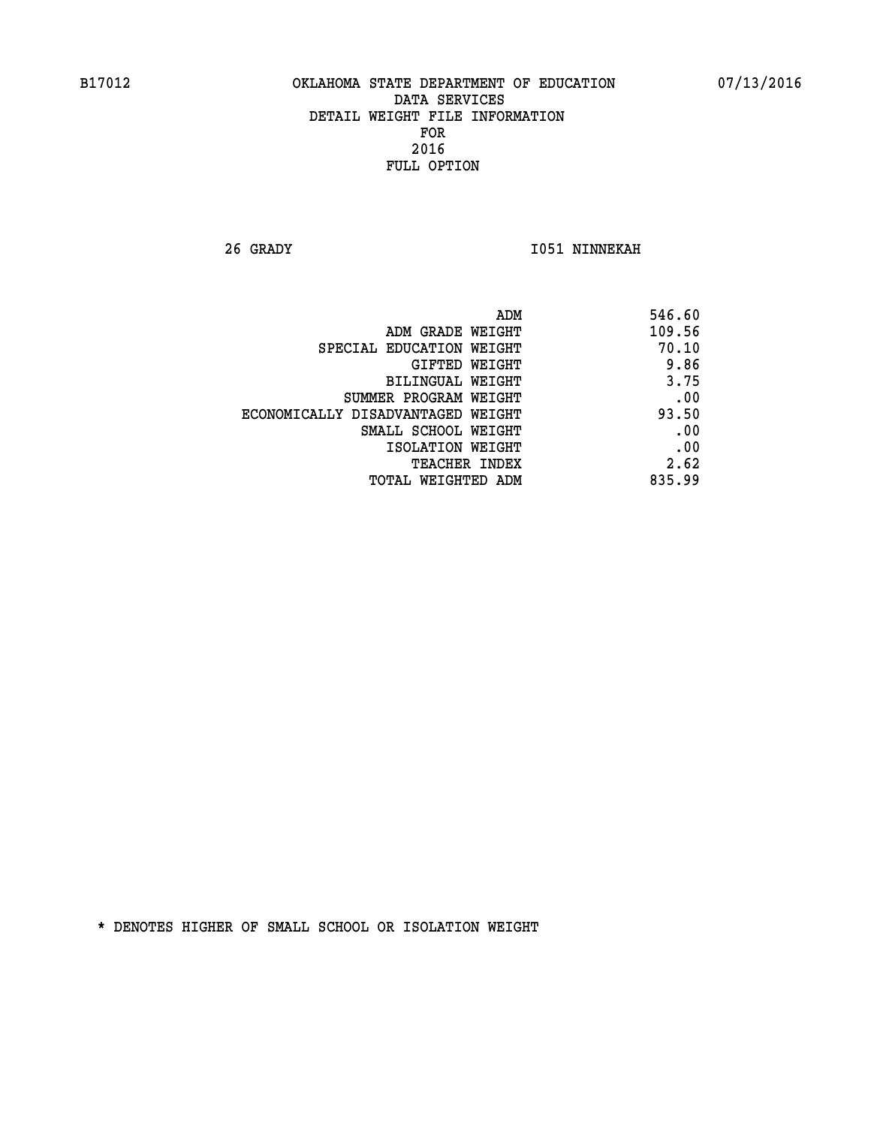**26 GRADY I051 NINNEKAH** 

| 546.60                                                          |
|-----------------------------------------------------------------|
| 109.56<br>ADM GRADE WEIGHT                                      |
| 70.10                                                           |
| 9.86<br>GIFTED WEIGHT                                           |
| 3.75<br>BILINGUAL WEIGHT                                        |
| .00<br>SUMMER PROGRAM WEIGHT                                    |
| 93.50<br>ECONOMICALLY DISADVANTAGED WEIGHT                      |
| .00<br>SMALL SCHOOL WEIGHT                                      |
| .00<br>ISOLATION WEIGHT                                         |
| 2.62                                                            |
| 835.99                                                          |
| SPECIAL EDUCATION WEIGHT<br>TEACHER INDEX<br>TOTAL WEIGHTED ADM |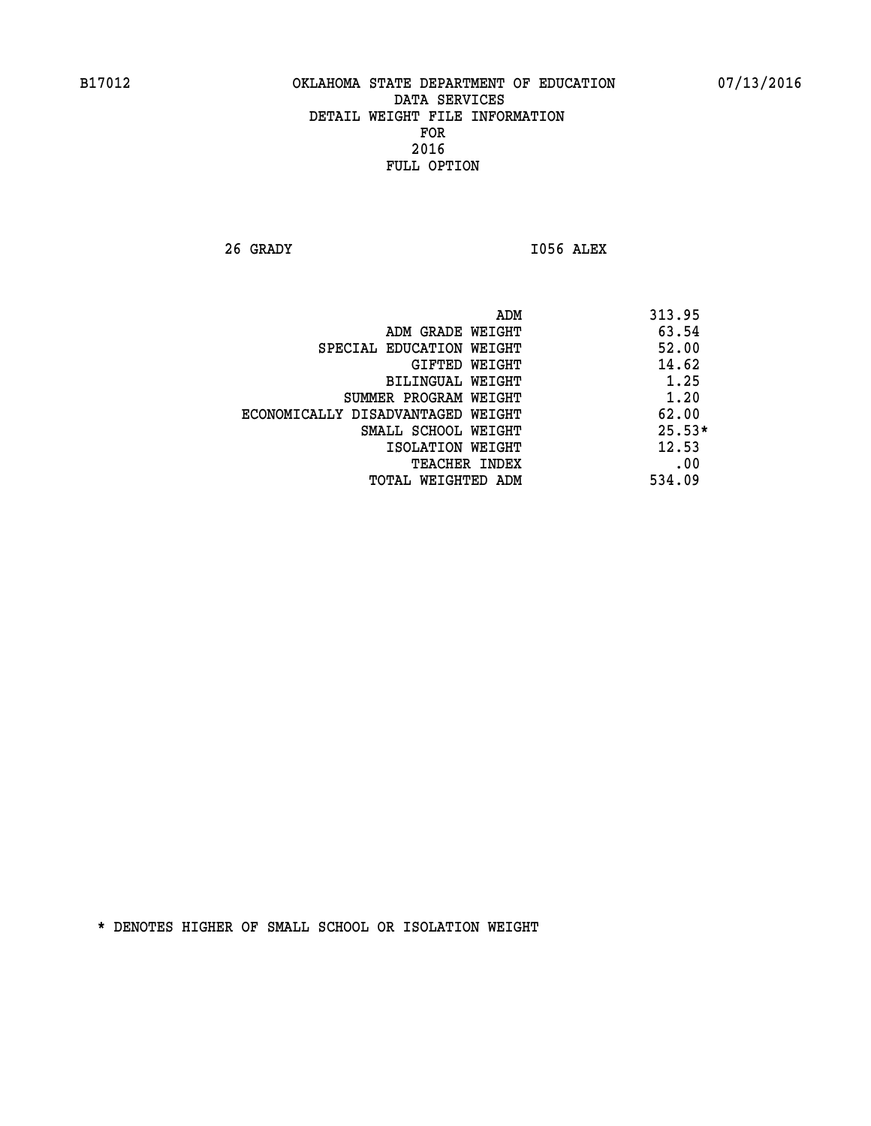**26 GRADY I056 ALEX** 

|                                   | ADM | 313.95   |
|-----------------------------------|-----|----------|
| ADM GRADE WEIGHT                  |     | 63.54    |
| SPECIAL EDUCATION WEIGHT          |     | 52.00    |
| GIFTED WEIGHT                     |     | 14.62    |
| BILINGUAL WEIGHT                  |     | 1.25     |
| SUMMER PROGRAM WEIGHT             |     | 1.20     |
| ECONOMICALLY DISADVANTAGED WEIGHT |     | 62.00    |
| SMALL SCHOOL WEIGHT               |     | $25.53*$ |
| ISOLATION WEIGHT                  |     | 12.53    |
| TEACHER INDEX                     |     | .00      |
| TOTAL WEIGHTED ADM                |     | 534.09   |
|                                   |     |          |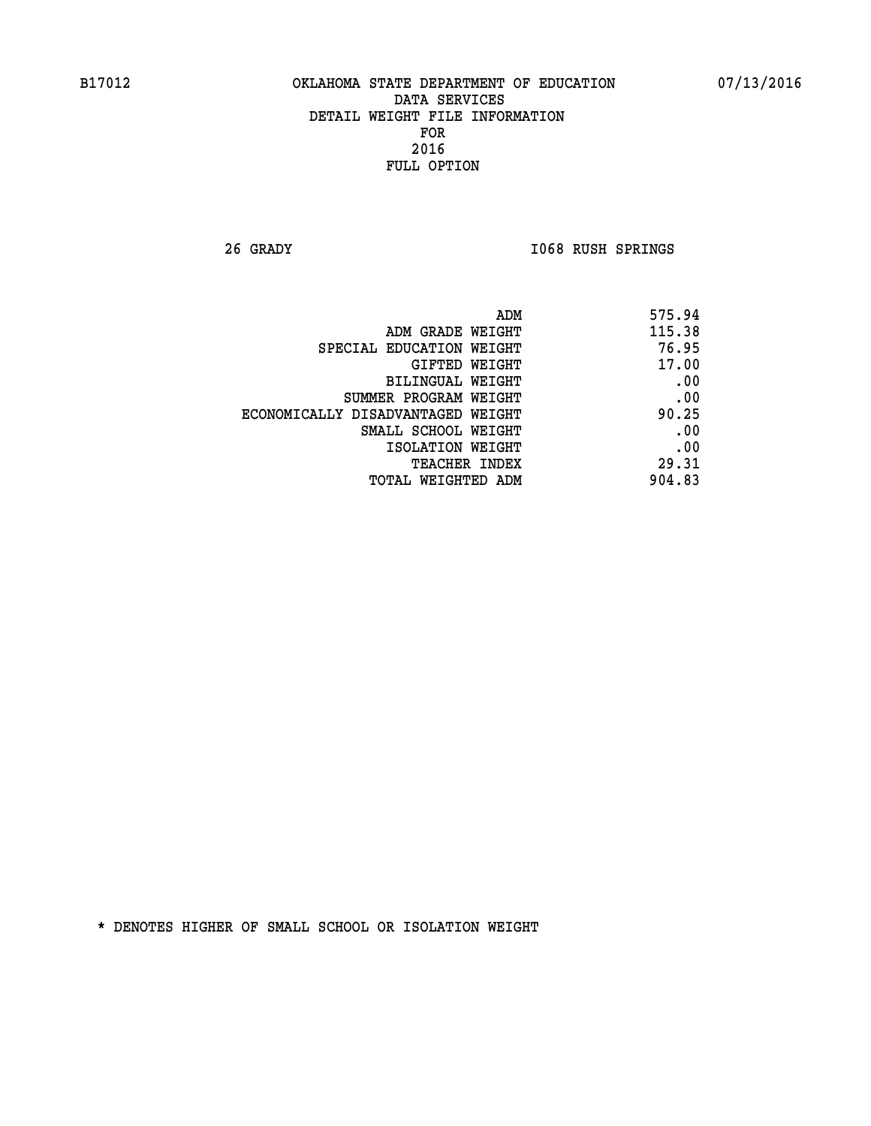**26 GRADY I068 RUSH SPRINGS** 

| 575.94 |
|--------|
| 115.38 |
| 76.95  |
| 17.00  |
| .00    |
| .00    |
| 90.25  |
| .00    |
| .00    |
| 29.31  |
| 904.83 |
|        |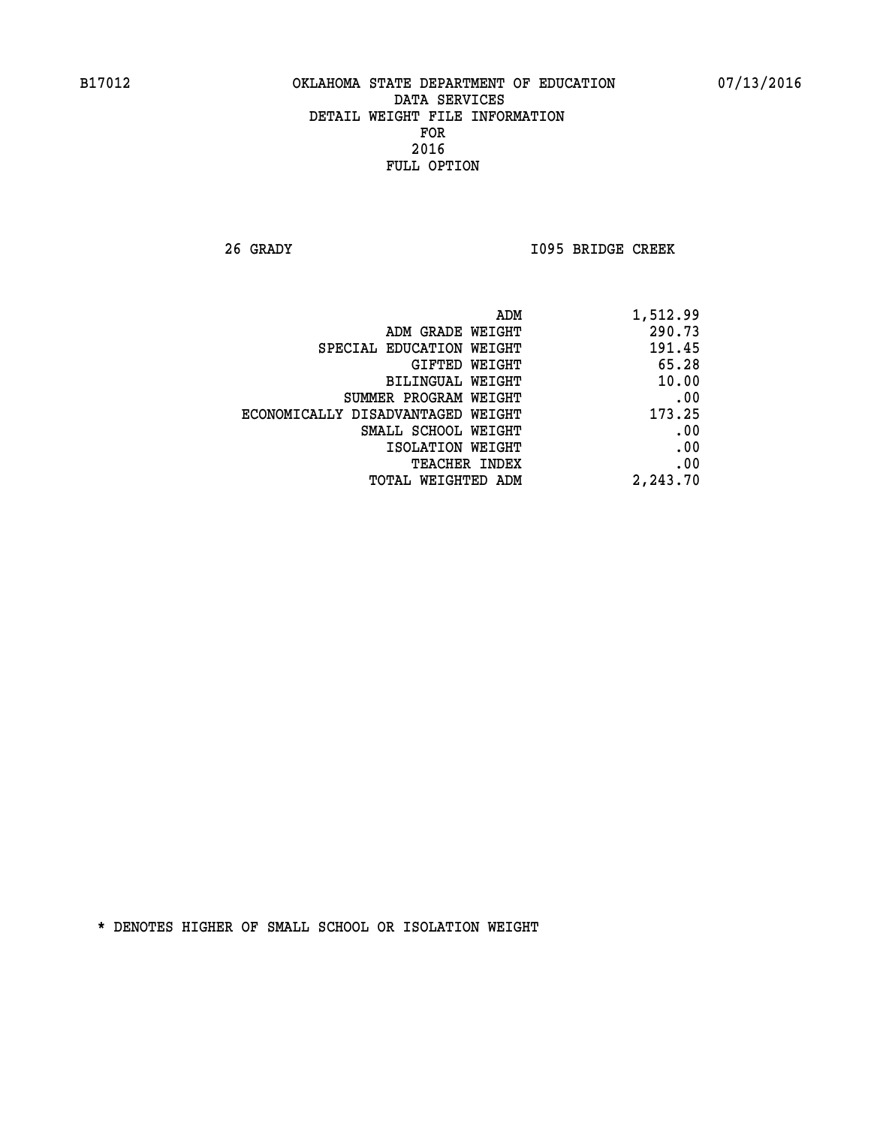**26 GRADY I095 BRIDGE CREEK** 

| 1,512.99 |
|----------|
| 290.73   |
| 191.45   |
| 65.28    |
| 10.00    |
| .00      |
| 173.25   |
| .00      |
| .00      |
| .00      |
| 2,243.70 |
|          |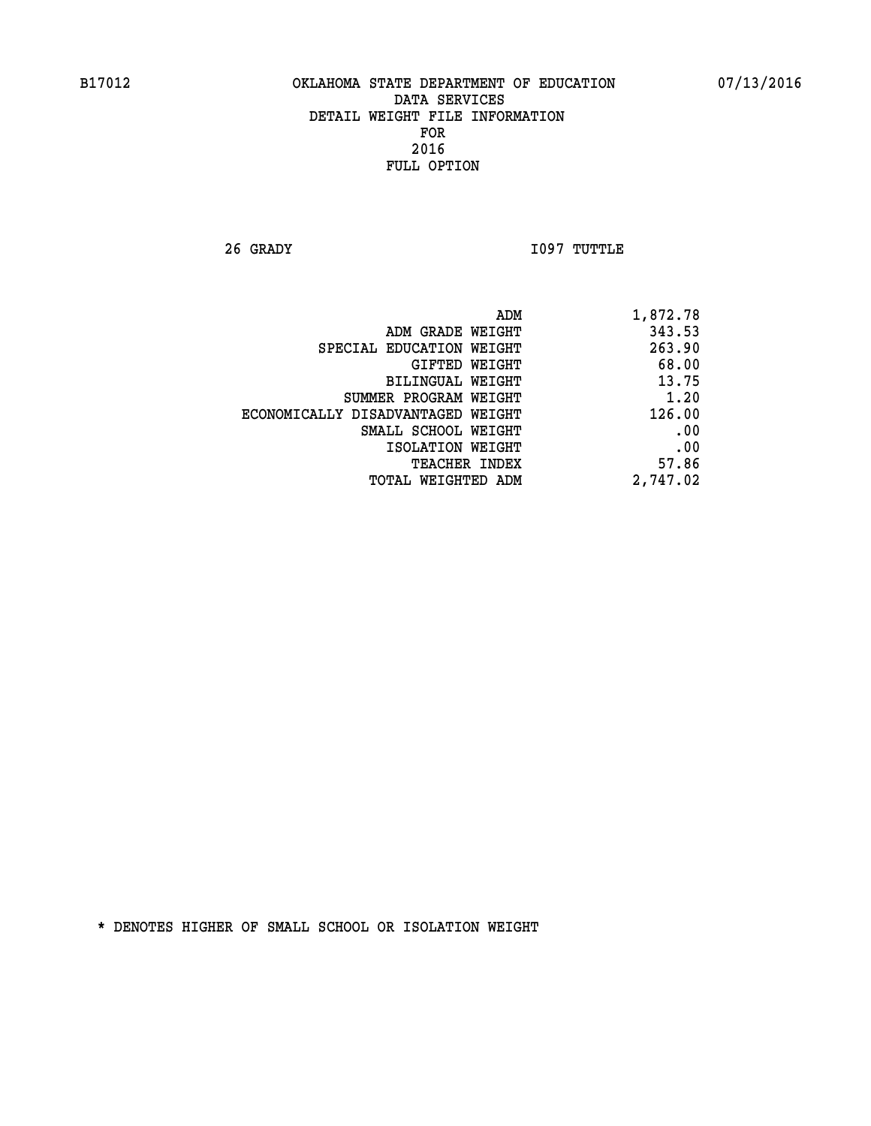**26 GRADY I097 TUTTLE** 

| 1,872.78 |
|----------|
| 343.53   |
| 263.90   |
| 68.00    |
| 13.75    |
| 1.20     |
| 126.00   |
| .00      |
| .00      |
| 57.86    |
| 2,747.02 |
|          |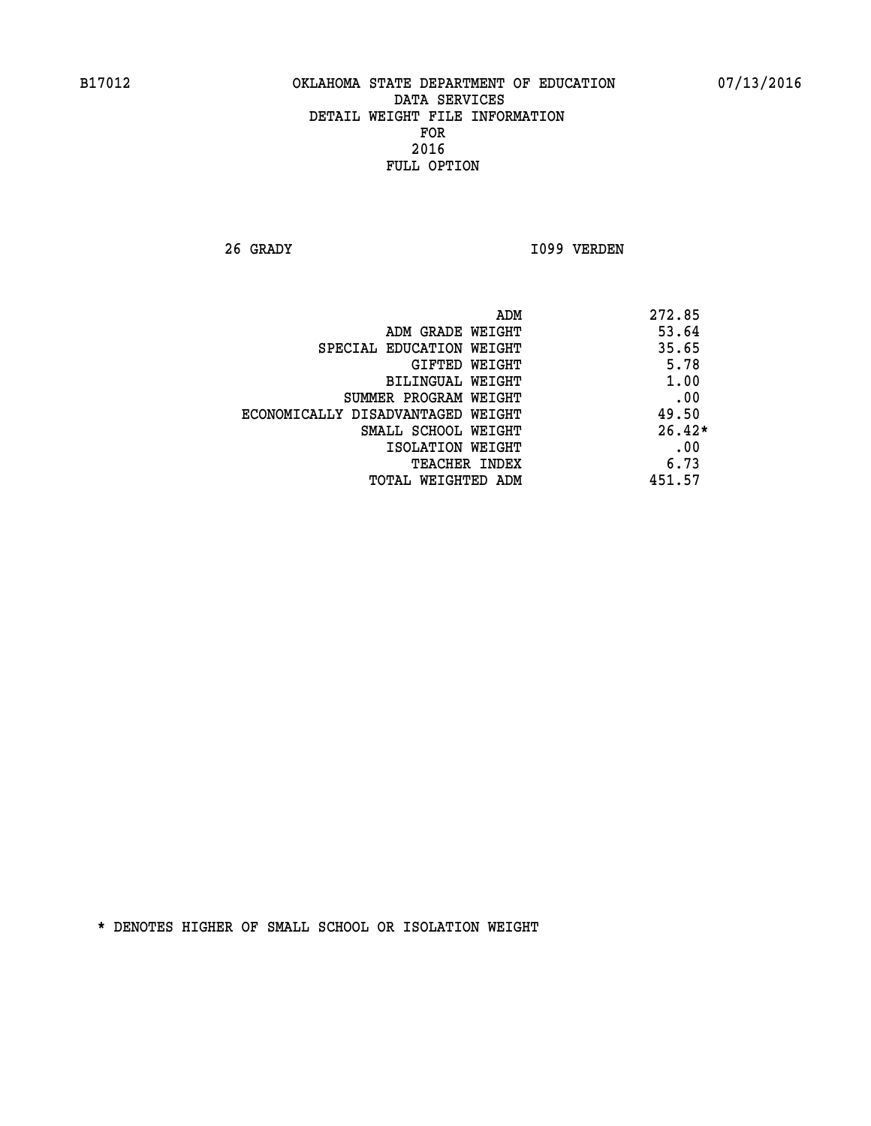**26 GRADY I099 VERDEN** 

| 272.85<br>ADM                              |  |
|--------------------------------------------|--|
| 53.64<br>ADM GRADE WEIGHT                  |  |
| 35.65<br>SPECIAL EDUCATION WEIGHT          |  |
| 5.78<br>GIFTED WEIGHT                      |  |
| 1.00<br>BILINGUAL WEIGHT                   |  |
| .00<br>SUMMER PROGRAM WEIGHT               |  |
| 49.50<br>ECONOMICALLY DISADVANTAGED WEIGHT |  |
| $26.42*$<br>SMALL SCHOOL WEIGHT            |  |
| .00<br>ISOLATION WEIGHT                    |  |
| 6.73<br><b>TEACHER INDEX</b>               |  |
| 451.57<br>TOTAL WEIGHTED ADM               |  |
|                                            |  |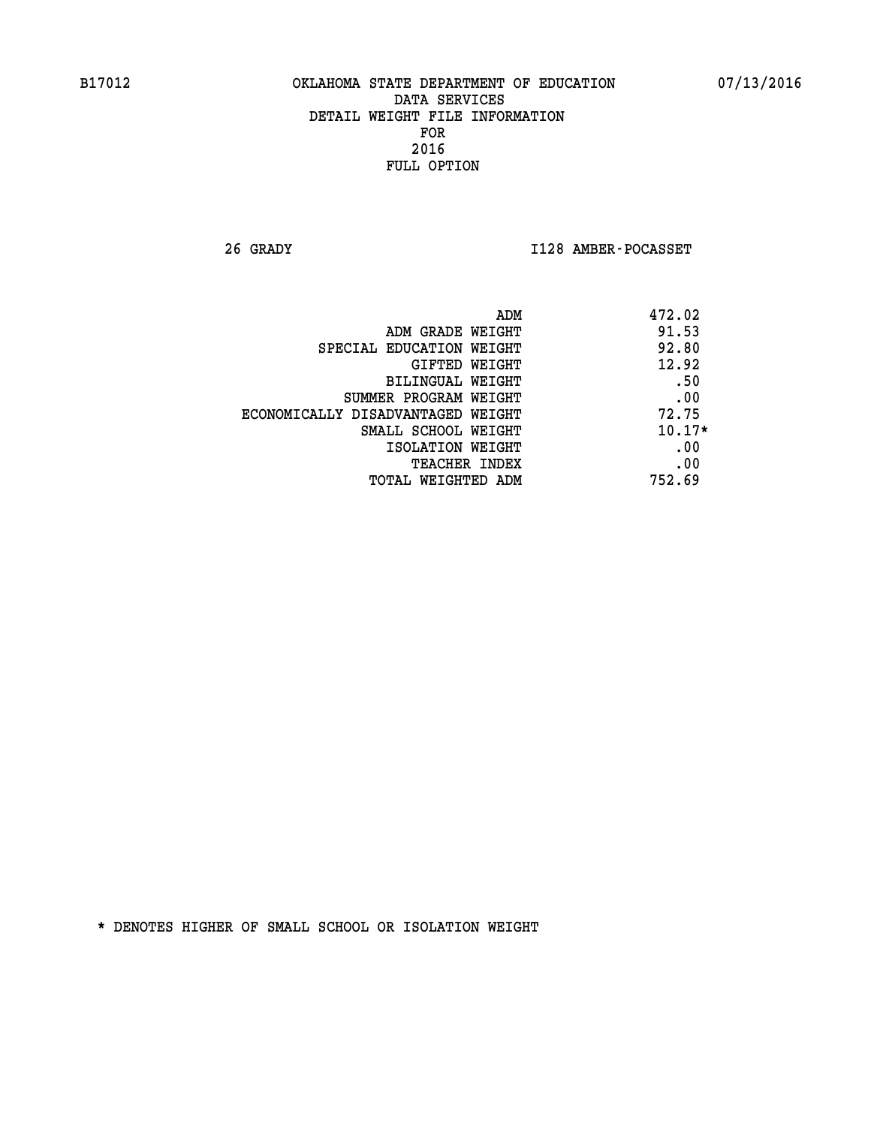**26 GRADY I128 AMBER-POCASSET** 

| ADM                               | 472.02   |
|-----------------------------------|----------|
| ADM GRADE WEIGHT                  | 91.53    |
| SPECIAL EDUCATION WEIGHT          | 92.80    |
| <b>GIFTED WEIGHT</b>              | 12.92    |
| BILINGUAL WEIGHT                  | .50      |
| SUMMER PROGRAM WEIGHT             | .00      |
| ECONOMICALLY DISADVANTAGED WEIGHT | 72.75    |
| SMALL SCHOOL WEIGHT               | $10.17*$ |
| ISOLATION WEIGHT                  | .00      |
| <b>TEACHER INDEX</b>              | .00      |
| TOTAL WEIGHTED ADM                | 752.69   |
|                                   |          |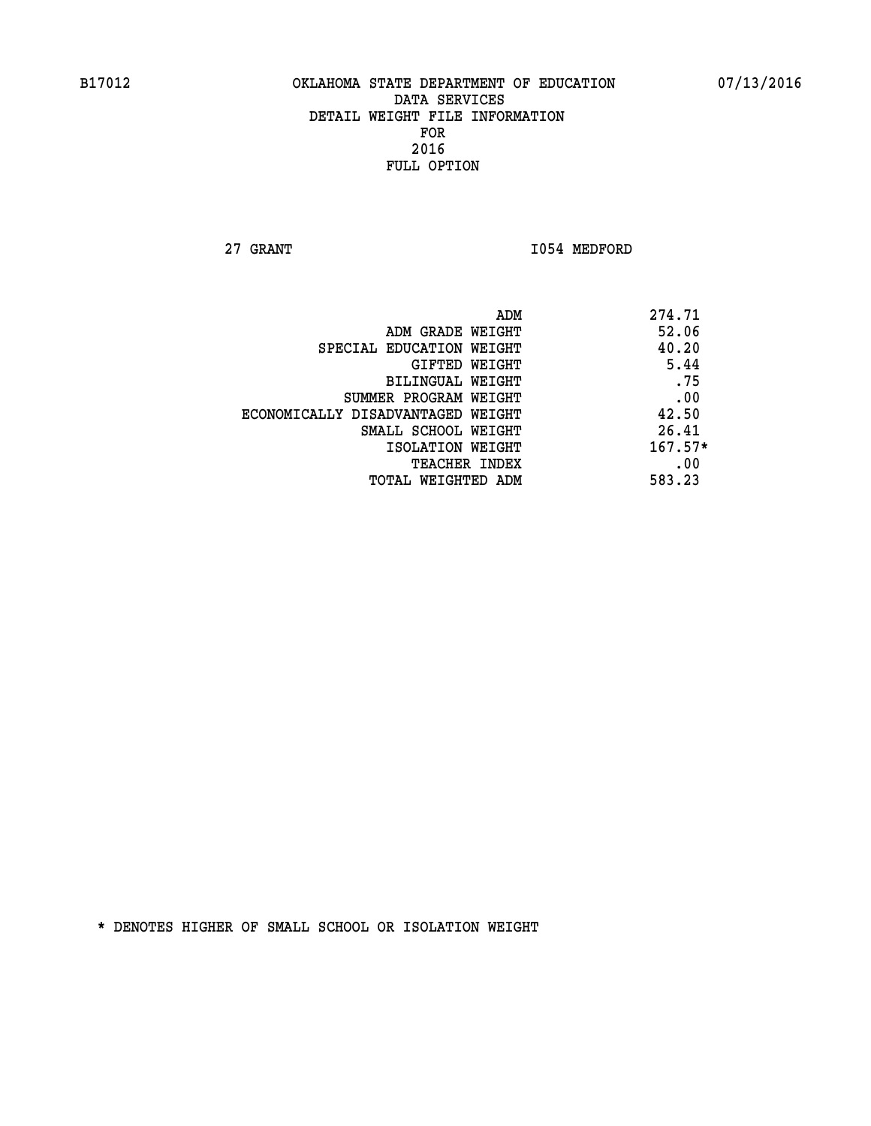**27 GRANT 1054 MEDFORD** 

|                                   | ADM | 274.71    |
|-----------------------------------|-----|-----------|
| ADM GRADE WEIGHT                  |     | 52.06     |
| SPECIAL EDUCATION WEIGHT          |     | 40.20     |
| GIFTED WEIGHT                     |     | 5.44      |
| BILINGUAL WEIGHT                  |     | .75       |
| SUMMER PROGRAM WEIGHT             |     | .00       |
| ECONOMICALLY DISADVANTAGED WEIGHT |     | 42.50     |
| SMALL SCHOOL WEIGHT               |     | 26.41     |
| ISOLATION WEIGHT                  |     | $167.57*$ |
| TEACHER INDEX                     |     | .00       |
| TOTAL WEIGHTED ADM                |     | 583.23    |
|                                   |     |           |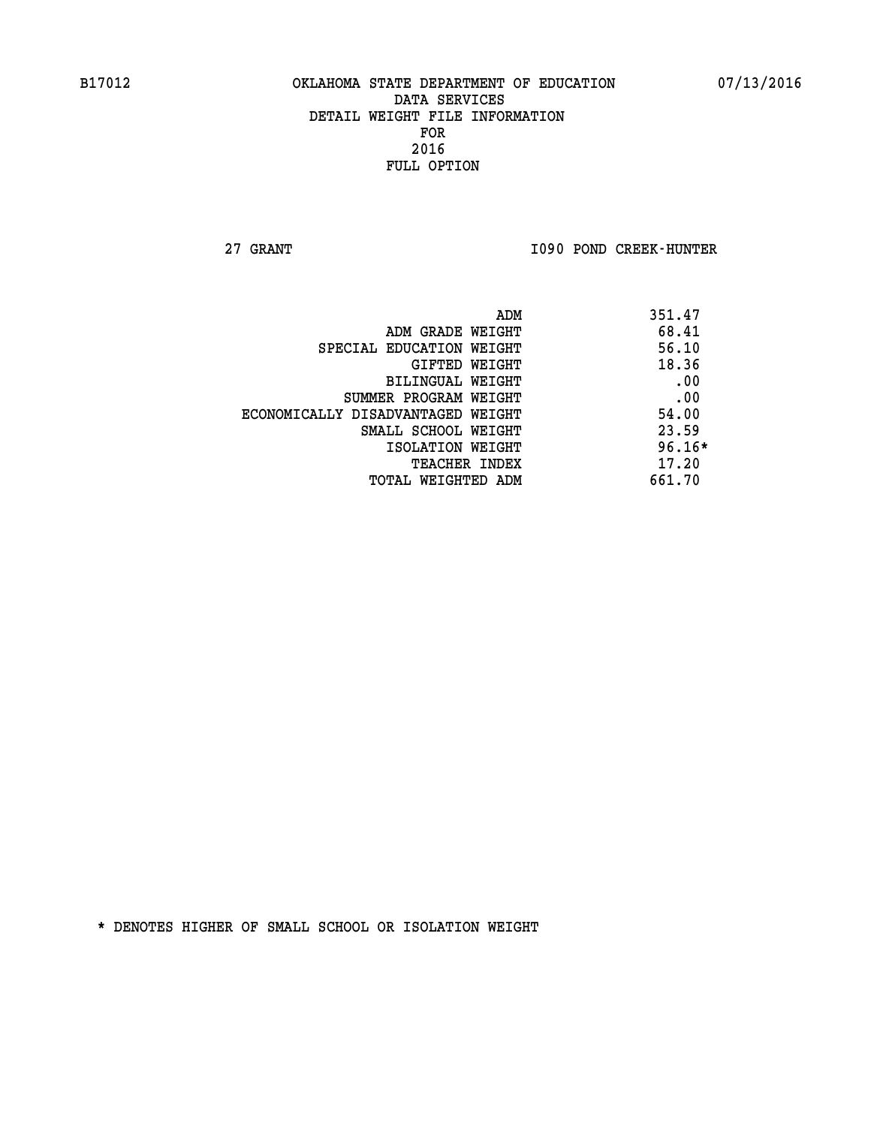**27 GRANT I090 POND CREEK-HUNTER** 

| ADM                               | 351.47   |
|-----------------------------------|----------|
| ADM GRADE WEIGHT                  | 68.41    |
| SPECIAL EDUCATION WEIGHT          | 56.10    |
| GIFTED WEIGHT                     | 18.36    |
| BILINGUAL WEIGHT                  | .00      |
| SUMMER PROGRAM WEIGHT             | .00      |
| ECONOMICALLY DISADVANTAGED WEIGHT | 54.00    |
| SMALL SCHOOL WEIGHT               | 23.59    |
| ISOLATION WEIGHT                  | $96.16*$ |
| <b>TEACHER INDEX</b>              | 17.20    |
| TOTAL WEIGHTED ADM                | 661.70   |
|                                   |          |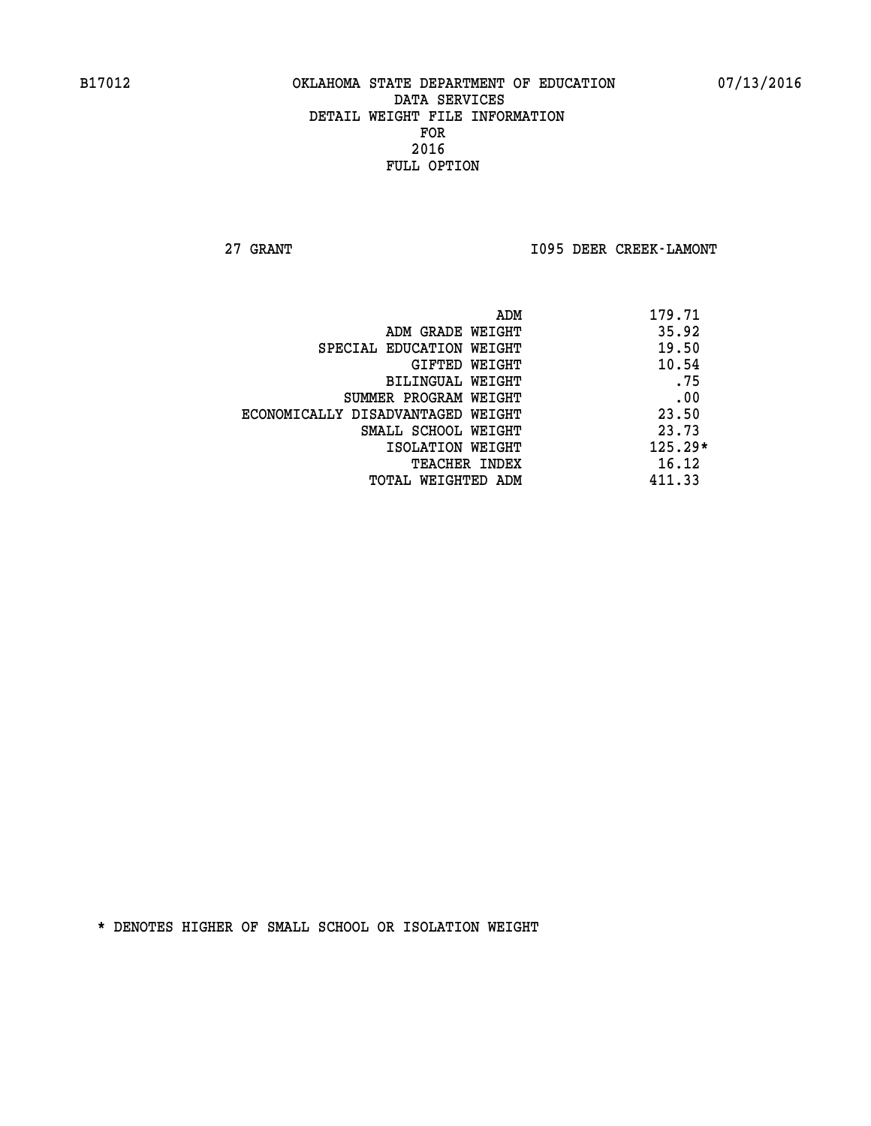**27 GRANT I095 DEER CREEK-LAMONT** 

|                                   | ADM | 179.71    |
|-----------------------------------|-----|-----------|
| ADM GRADE WEIGHT                  |     | 35.92     |
| SPECIAL EDUCATION WEIGHT          |     | 19.50     |
| GIFTED WEIGHT                     |     | 10.54     |
| BILINGUAL WEIGHT                  |     | .75       |
| SUMMER PROGRAM WEIGHT             |     | .00       |
| ECONOMICALLY DISADVANTAGED WEIGHT |     | 23.50     |
| SMALL SCHOOL WEIGHT               |     | 23.73     |
| ISOLATION WEIGHT                  |     | $125.29*$ |
| <b>TEACHER INDEX</b>              |     | 16.12     |
| TOTAL WEIGHTED ADM                |     | 411.33    |
|                                   |     |           |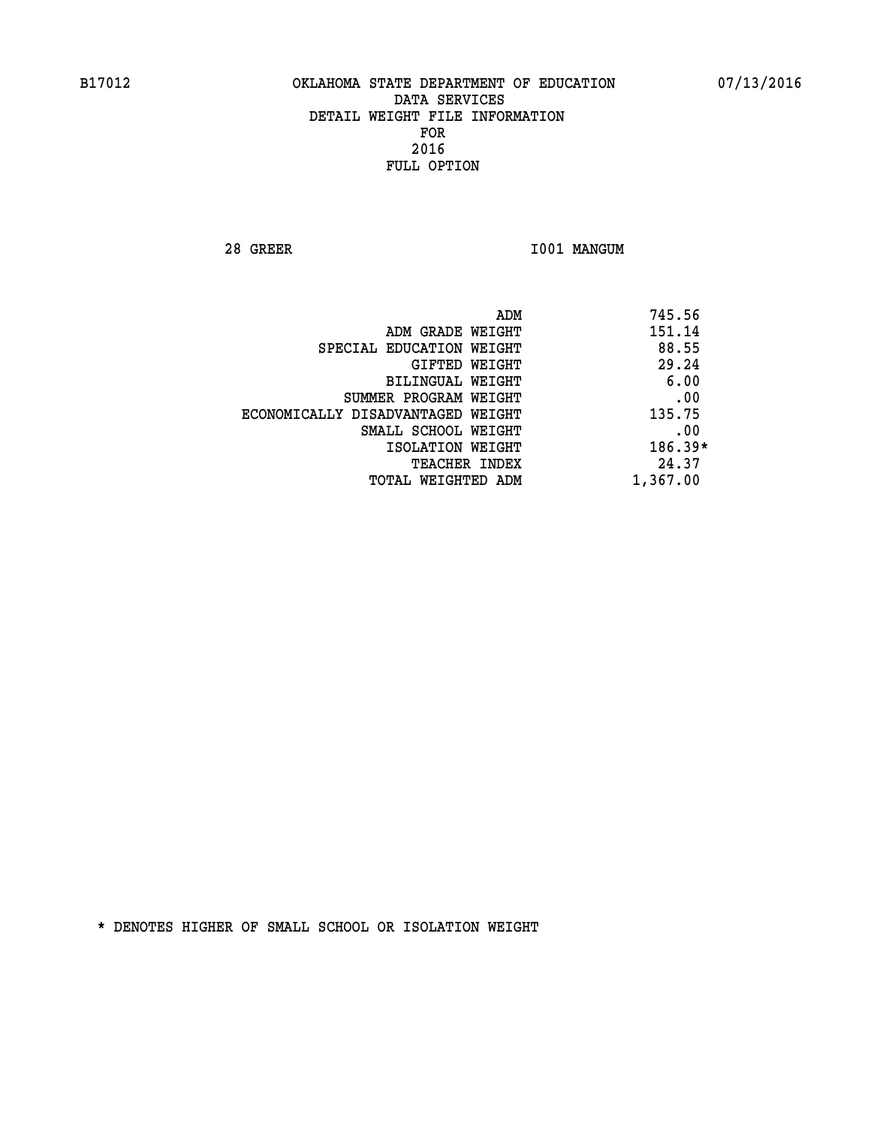**28 GREER I001 MANGUM** 

| ADM                               | 745.56    |
|-----------------------------------|-----------|
| ADM GRADE WEIGHT                  | 151.14    |
| SPECIAL EDUCATION WEIGHT          | 88.55     |
| GIFTED WEIGHT                     | 29.24     |
| BILINGUAL WEIGHT                  | 6.00      |
| SUMMER PROGRAM WEIGHT             | .00       |
| ECONOMICALLY DISADVANTAGED WEIGHT | 135.75    |
| SMALL SCHOOL WEIGHT               | .00       |
| ISOLATION WEIGHT                  | $186.39*$ |
| TEACHER INDEX                     | 24.37     |
| TOTAL WEIGHTED ADM                | 1,367.00  |
|                                   |           |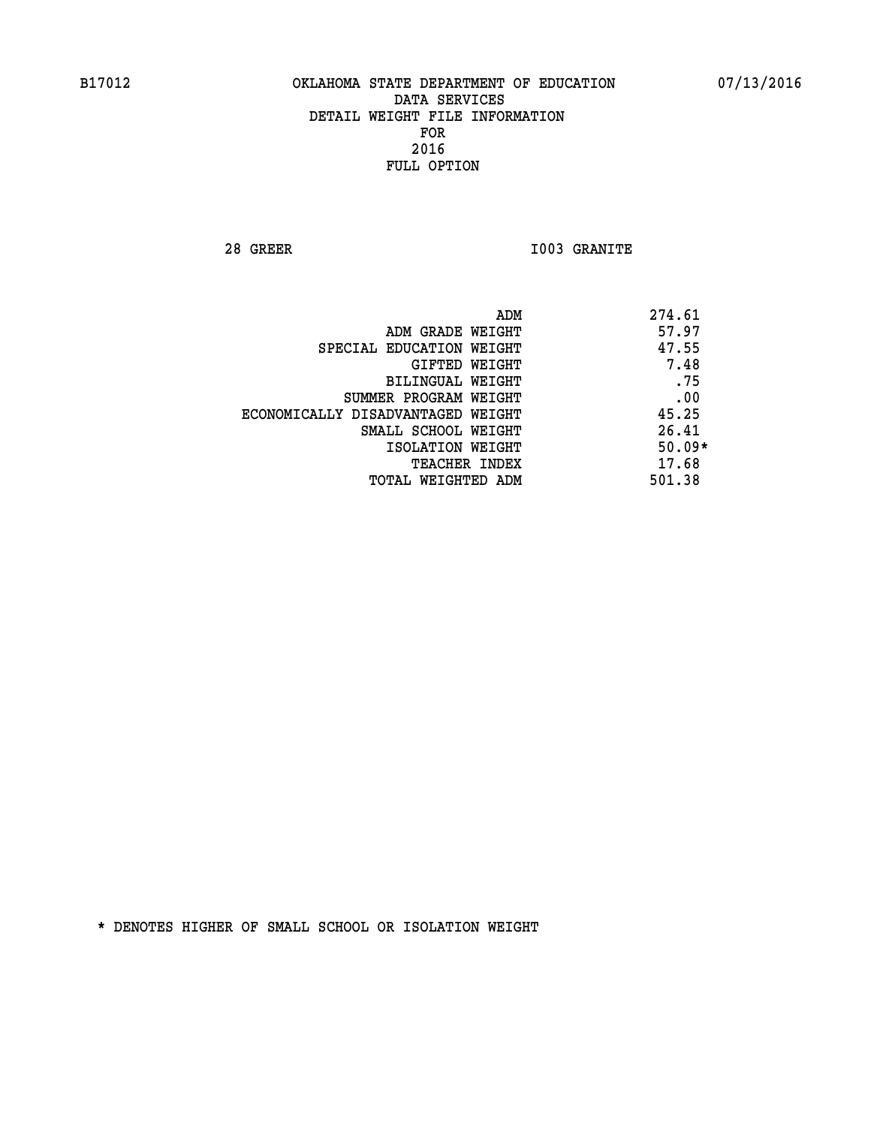**28 GREER I003 GRANITE** 

|                                   | ADM | 274.61   |
|-----------------------------------|-----|----------|
| ADM GRADE WEIGHT                  |     | 57.97    |
| SPECIAL EDUCATION WEIGHT          |     | 47.55    |
| GIFTED WEIGHT                     |     | 7.48     |
| BILINGUAL WEIGHT                  |     | .75      |
| SUMMER PROGRAM WEIGHT             |     | .00      |
| ECONOMICALLY DISADVANTAGED WEIGHT |     | 45.25    |
| SMALL SCHOOL WEIGHT               |     | 26.41    |
| ISOLATION WEIGHT                  |     | $50.09*$ |
| TEACHER INDEX                     |     | 17.68    |
| TOTAL WEIGHTED ADM                |     | 501.38   |
|                                   |     |          |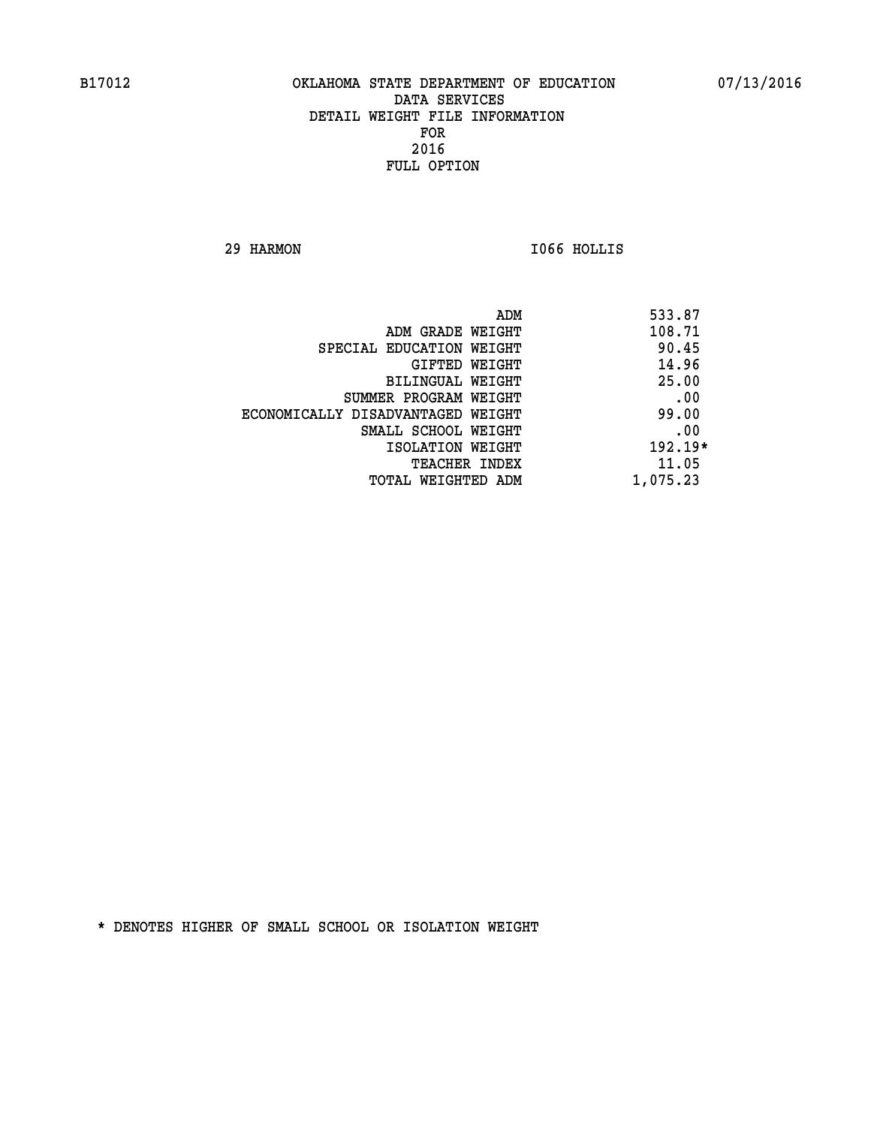**29 HARMON I066 HOLLIS** 

|                                   | ADM | 533.87    |
|-----------------------------------|-----|-----------|
| ADM GRADE WEIGHT                  |     | 108.71    |
| SPECIAL EDUCATION WEIGHT          |     | 90.45     |
| GIFTED WEIGHT                     |     | 14.96     |
| BILINGUAL WEIGHT                  |     | 25.00     |
| SUMMER PROGRAM WEIGHT             |     | .00       |
| ECONOMICALLY DISADVANTAGED WEIGHT |     | 99.00     |
| SMALL SCHOOL WEIGHT               |     | .00       |
| ISOLATION WEIGHT                  |     | $192.19*$ |
| TEACHER INDEX                     |     | 11.05     |
| TOTAL WEIGHTED ADM                |     | 1,075.23  |
|                                   |     |           |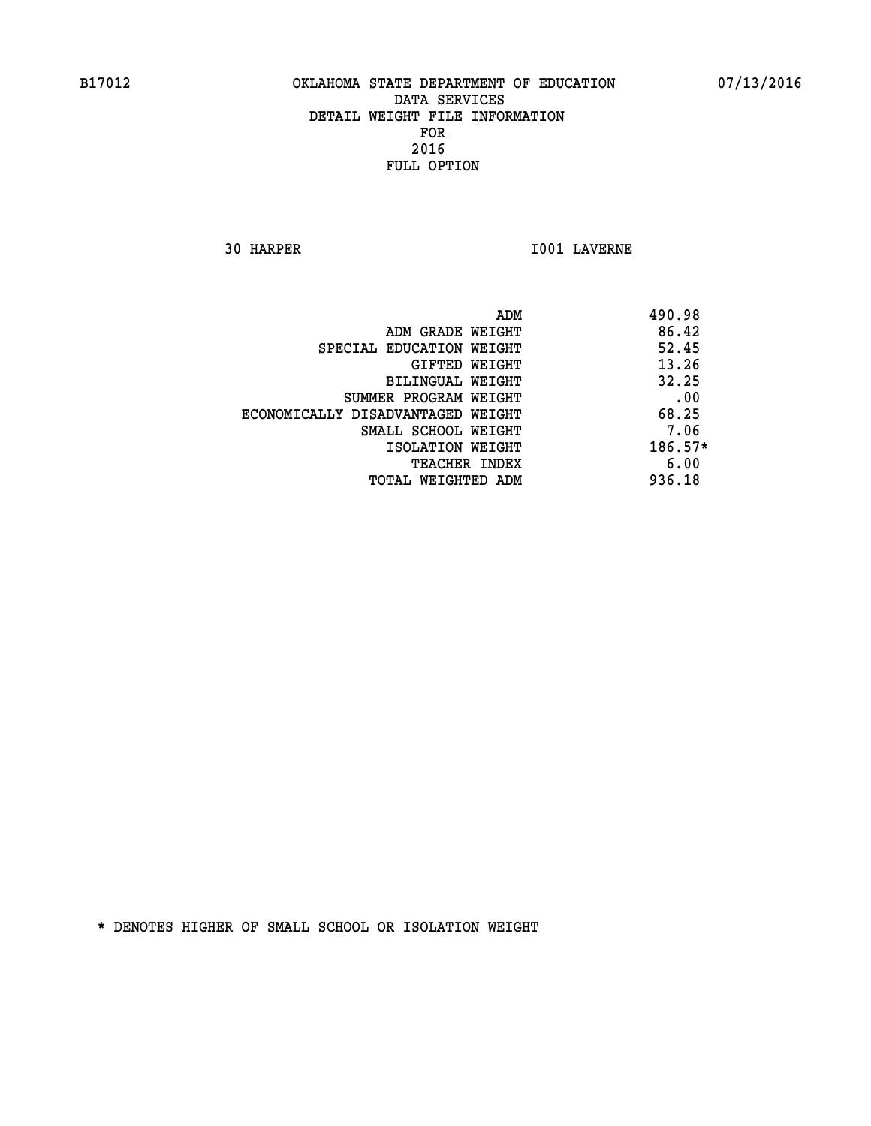**30 HARPER I001 LAVERNE** 

|                                   | ADM | 490.98    |
|-----------------------------------|-----|-----------|
| ADM GRADE WEIGHT                  |     | 86.42     |
| SPECIAL EDUCATION WEIGHT          |     | 52.45     |
| GIFTED WEIGHT                     |     | 13.26     |
| BILINGUAL WEIGHT                  |     | 32.25     |
| SUMMER PROGRAM WEIGHT             |     | .00       |
| ECONOMICALLY DISADVANTAGED WEIGHT |     | 68.25     |
| SMALL SCHOOL WEIGHT               |     | 7.06      |
| ISOLATION WEIGHT                  |     | $186.57*$ |
| <b>TEACHER INDEX</b>              |     | 6.00      |
| TOTAL WEIGHTED ADM                |     | 936.18    |
|                                   |     |           |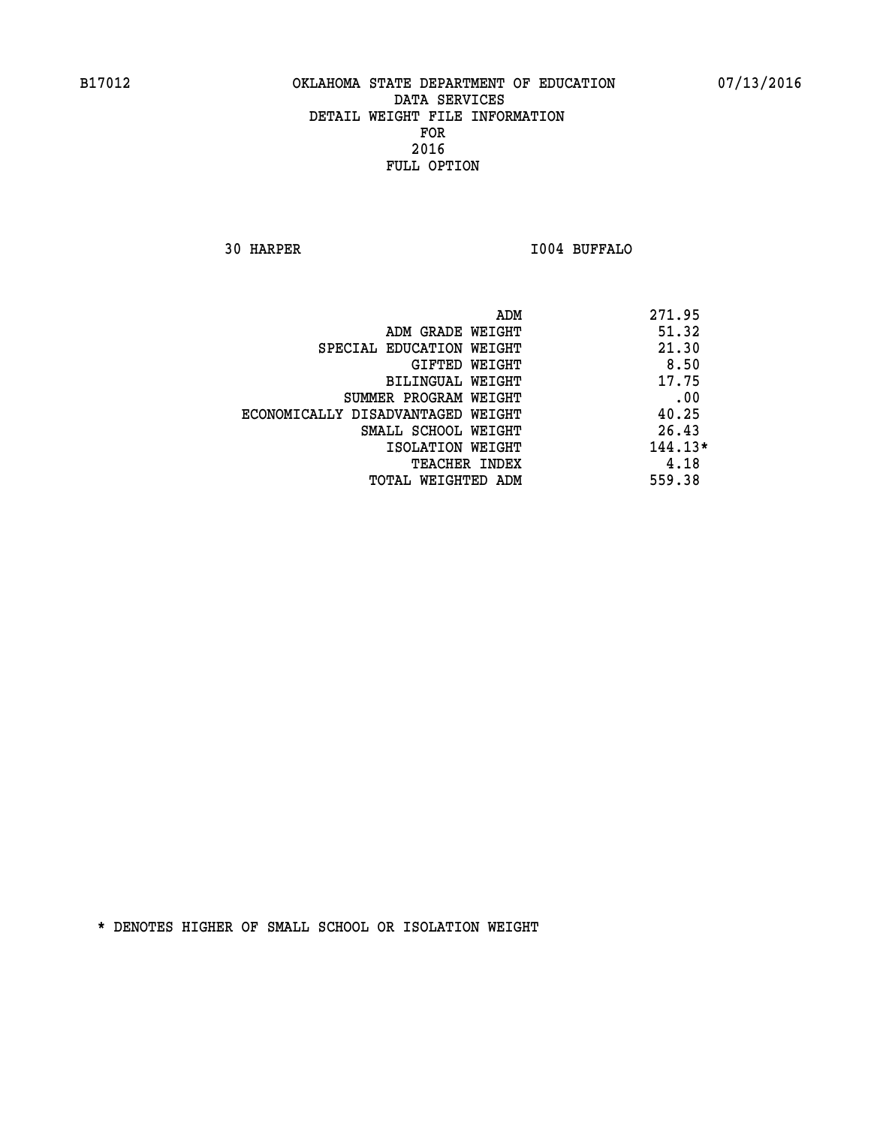**30 HARPER I004 BUFFALO** 

|                                   | ADM | 271.95    |
|-----------------------------------|-----|-----------|
| ADM GRADE WEIGHT                  |     | 51.32     |
| SPECIAL EDUCATION WEIGHT          |     | 21.30     |
| GIFTED WEIGHT                     |     | 8.50      |
| BILINGUAL WEIGHT                  |     | 17.75     |
| SUMMER PROGRAM WEIGHT             |     | .00       |
| ECONOMICALLY DISADVANTAGED WEIGHT |     | 40.25     |
| SMALL SCHOOL WEIGHT               |     | 26.43     |
| ISOLATION WEIGHT                  |     | $144.13*$ |
| TEACHER INDEX                     |     | 4.18      |
| TOTAL WEIGHTED ADM                |     | 559.38    |
|                                   |     |           |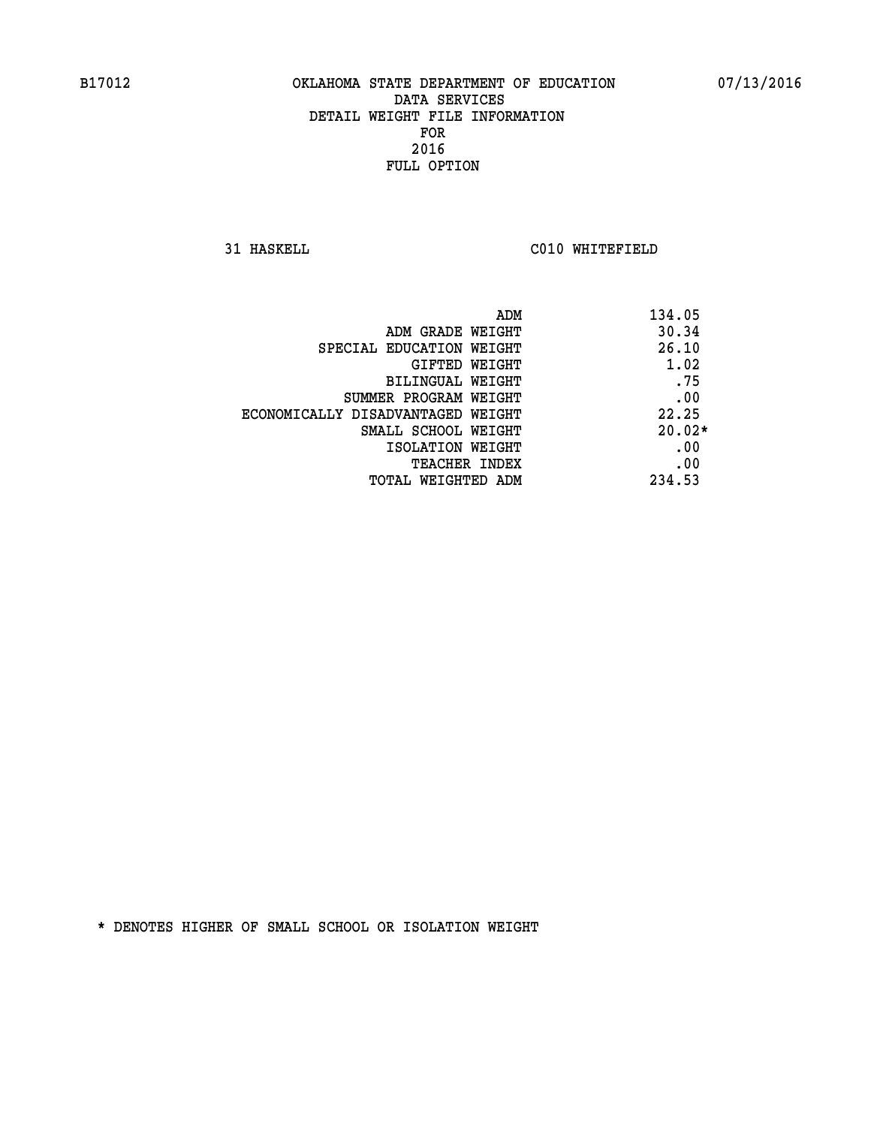**31 HASKELL C010 WHITEFIELD** 

| 134.05<br>ADM                              |          |
|--------------------------------------------|----------|
| 30.34<br>ADM GRADE WEIGHT                  |          |
| 26.10<br>SPECIAL EDUCATION WEIGHT          |          |
| GIFTED WEIGHT                              | 1.02     |
| BILINGUAL WEIGHT                           | .75      |
| SUMMER PROGRAM WEIGHT                      | .00      |
| 22.25<br>ECONOMICALLY DISADVANTAGED WEIGHT |          |
| SMALL SCHOOL WEIGHT                        | $20.02*$ |
| ISOLATION WEIGHT                           | .00      |
| <b>TEACHER INDEX</b>                       | .00      |
| 234.53<br>TOTAL WEIGHTED ADM               |          |
|                                            |          |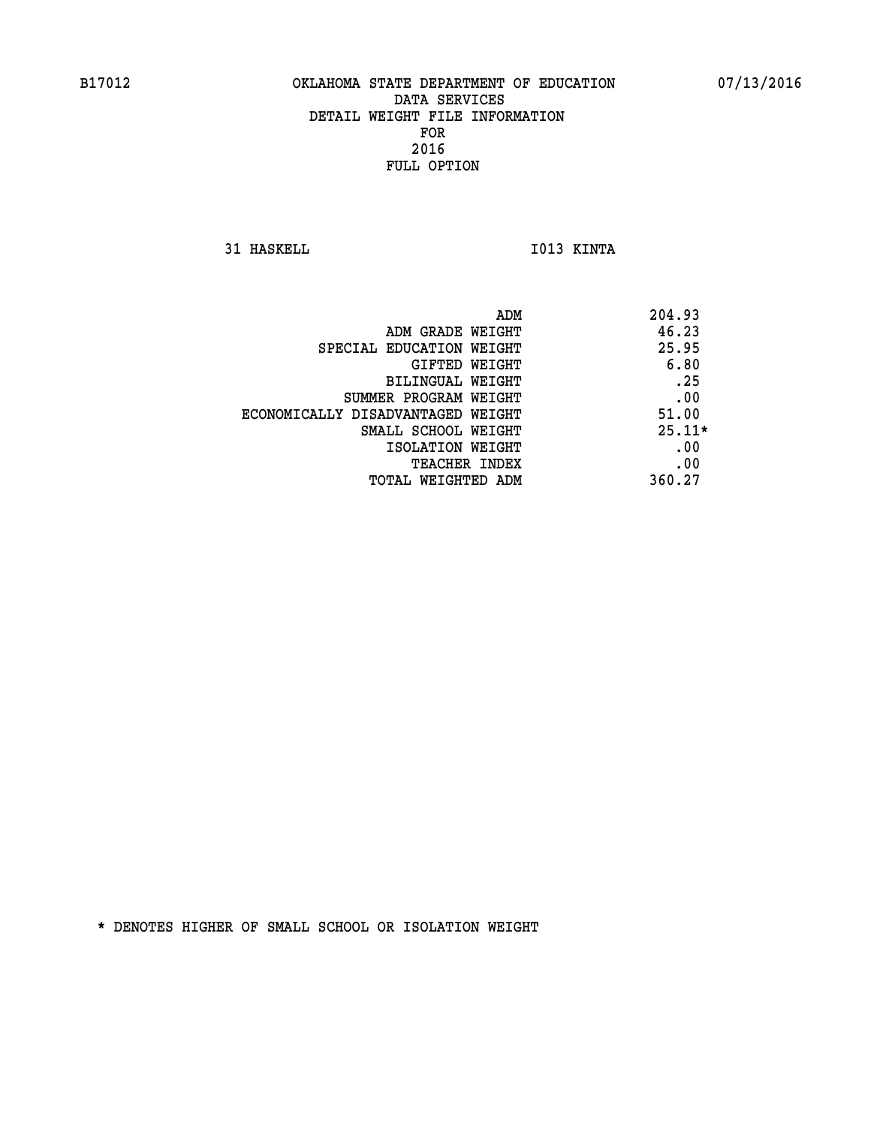**31 HASKELL 1013 KINTA** 

|                                   | ADM<br>204.93 |
|-----------------------------------|---------------|
| ADM GRADE WEIGHT                  | 46.23         |
| SPECIAL EDUCATION WEIGHT          | 25.95         |
| GIFTED WEIGHT                     | 6.80          |
| BILINGUAL WEIGHT                  | .25           |
| SUMMER PROGRAM WEIGHT             | .00           |
| ECONOMICALLY DISADVANTAGED WEIGHT | 51.00         |
| SMALL SCHOOL WEIGHT               | $25.11*$      |
| ISOLATION WEIGHT                  | .00           |
| <b>TEACHER INDEX</b>              | .00           |
| TOTAL WEIGHTED ADM                | 360.27        |
|                                   |               |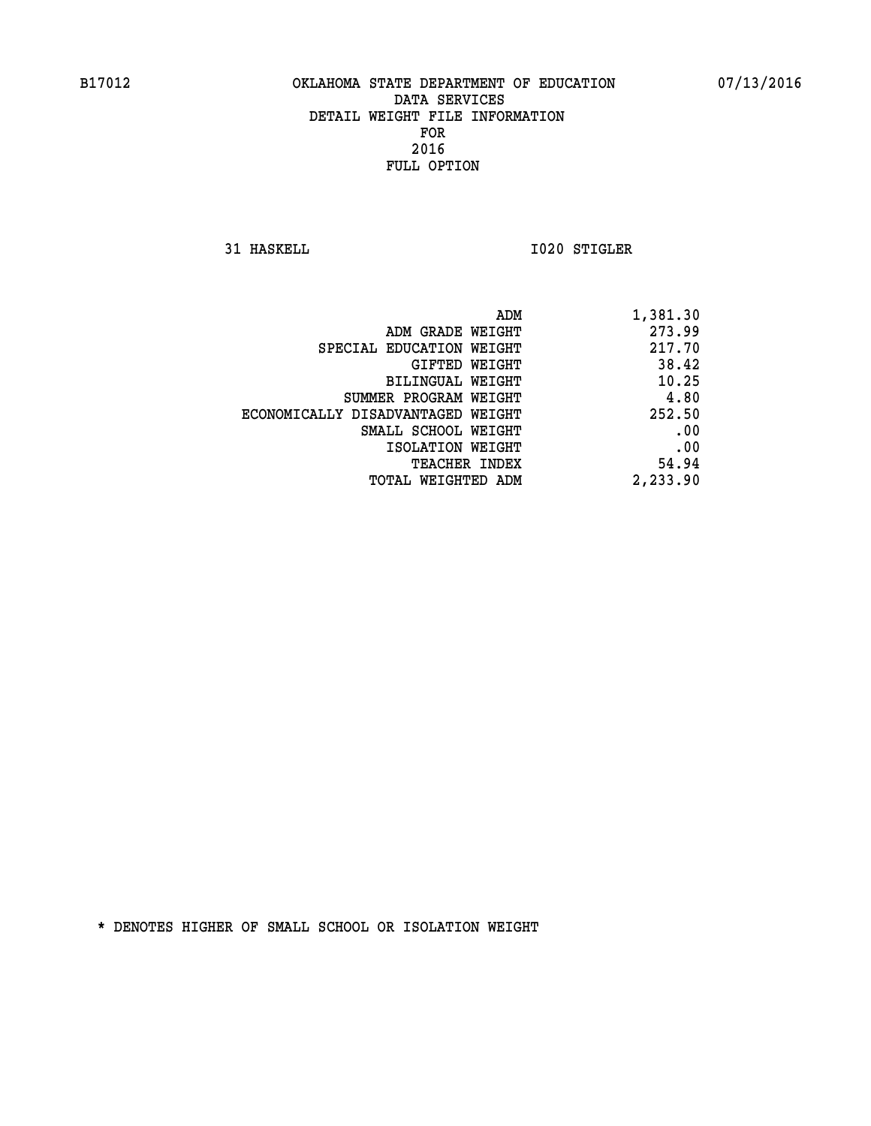**31 HASKELL 1020 STIGLER** 

| 1,381.30 |
|----------|
| 273.99   |
| 217.70   |
| 38.42    |
| 10.25    |
| 4.80     |
| 252.50   |
| .00      |
| .00      |
| 54.94    |
| 2,233.90 |
|          |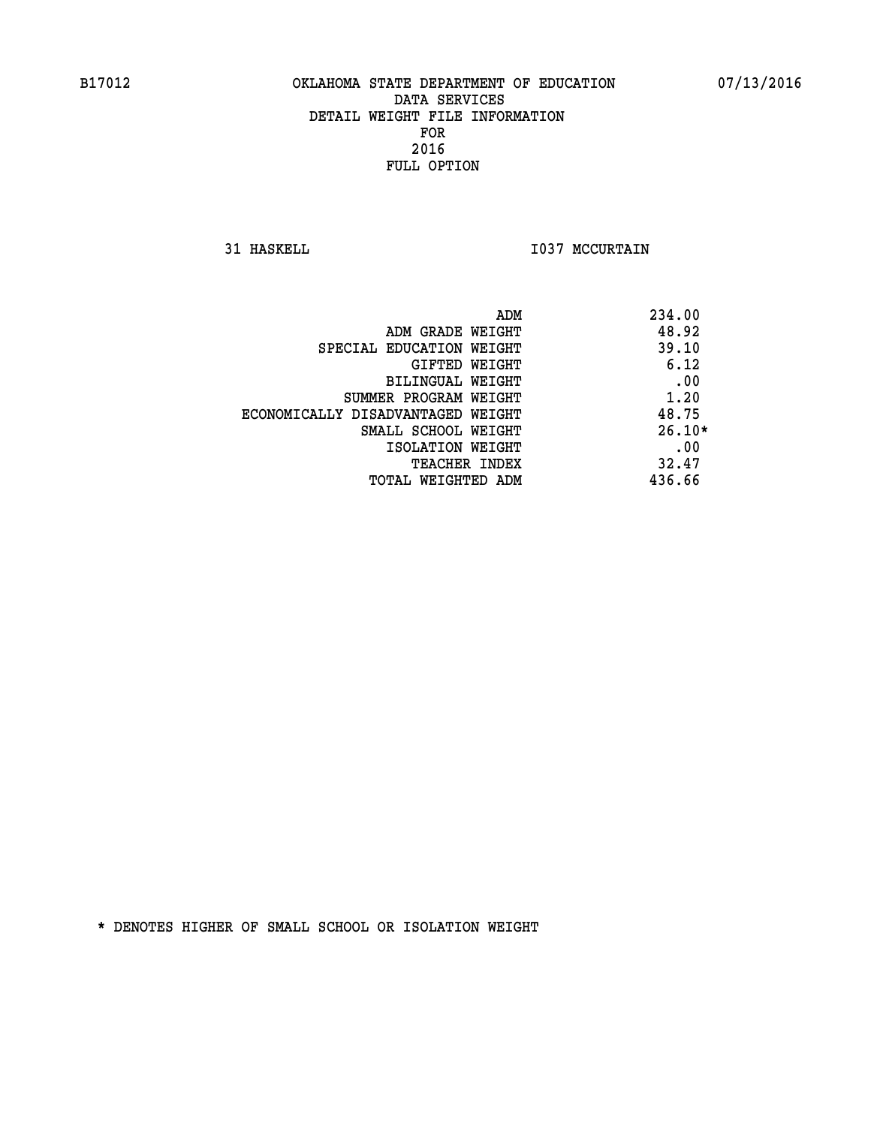**31 HASKELL 1037 MCCURTAIN** 

|                                   | 234.00<br>ADM |
|-----------------------------------|---------------|
| ADM GRADE WEIGHT                  | 48.92         |
| SPECIAL EDUCATION WEIGHT          | 39.10         |
| GIFTED WEIGHT                     | 6.12          |
| BILINGUAL WEIGHT                  | .00           |
| SUMMER PROGRAM WEIGHT             | 1.20          |
| ECONOMICALLY DISADVANTAGED WEIGHT | 48.75         |
| SMALL SCHOOL WEIGHT               | $26.10*$      |
| ISOLATION WEIGHT                  | .00           |
| TEACHER INDEX                     | 32.47         |
| TOTAL WEIGHTED ADM                | 436.66        |
|                                   |               |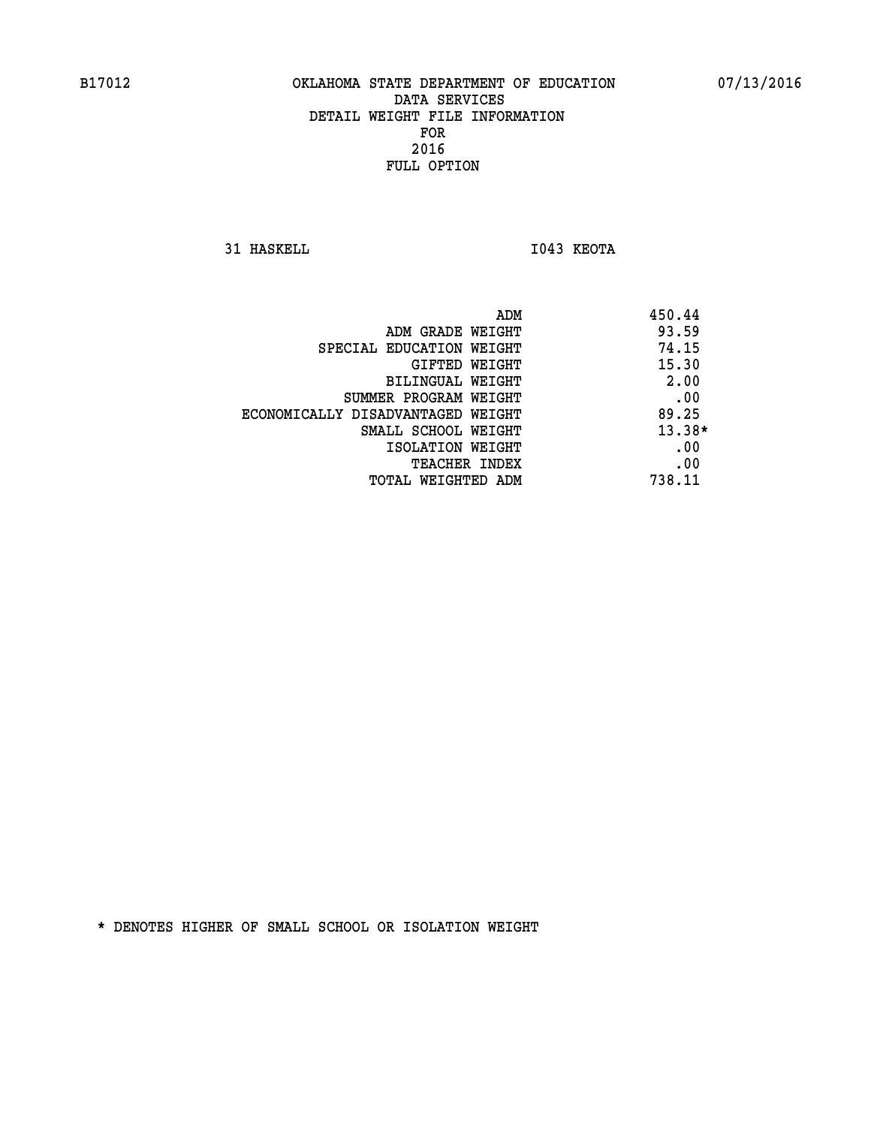**31 HASKELL I043 KEOTA** 

|                                   | ADM<br>450.44 |          |
|-----------------------------------|---------------|----------|
| ADM GRADE WEIGHT                  |               | 93.59    |
| SPECIAL EDUCATION WEIGHT          |               | 74.15    |
| GIFTED WEIGHT                     |               | 15.30    |
| BILINGUAL WEIGHT                  |               | 2.00     |
| SUMMER PROGRAM WEIGHT             |               | .00      |
| ECONOMICALLY DISADVANTAGED WEIGHT |               | 89.25    |
| SMALL SCHOOL WEIGHT               |               | $13.38*$ |
| ISOLATION WEIGHT                  |               | .00      |
| <b>TEACHER INDEX</b>              |               | .00      |
| TOTAL WEIGHTED ADM                | 738.11        |          |
|                                   |               |          |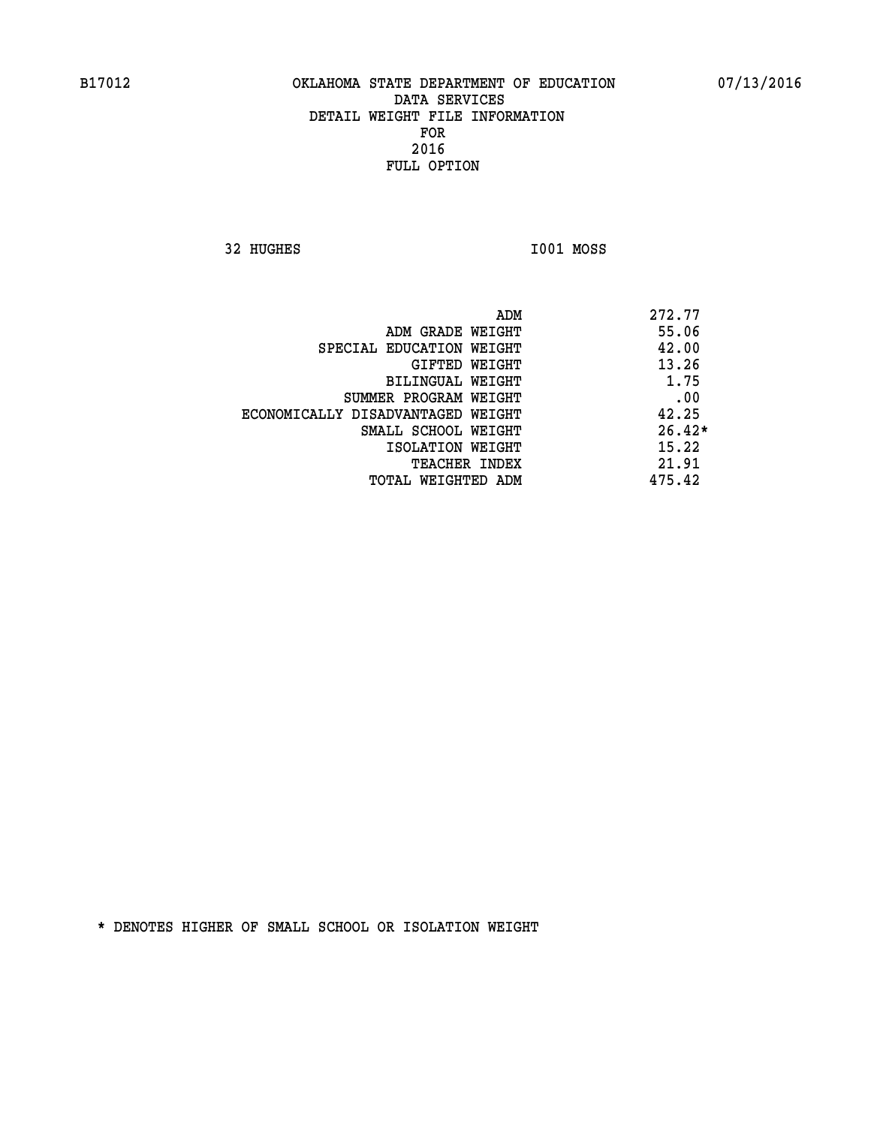**32 HUGHES I001 MOSS** 

|                                   | 272.77<br>ADM |
|-----------------------------------|---------------|
| ADM GRADE WEIGHT                  | 55.06         |
| SPECIAL EDUCATION WEIGHT          | 42.00         |
| GIFTED WEIGHT                     | 13.26         |
| BILINGUAL WEIGHT                  | 1.75          |
| SUMMER PROGRAM WEIGHT             | .00           |
| ECONOMICALLY DISADVANTAGED WEIGHT | 42.25         |
| SMALL SCHOOL WEIGHT               | $26.42*$      |
| ISOLATION WEIGHT                  | 15.22         |
| <b>TEACHER INDEX</b>              | 21.91         |
| TOTAL WEIGHTED ADM                | 475.42        |
|                                   |               |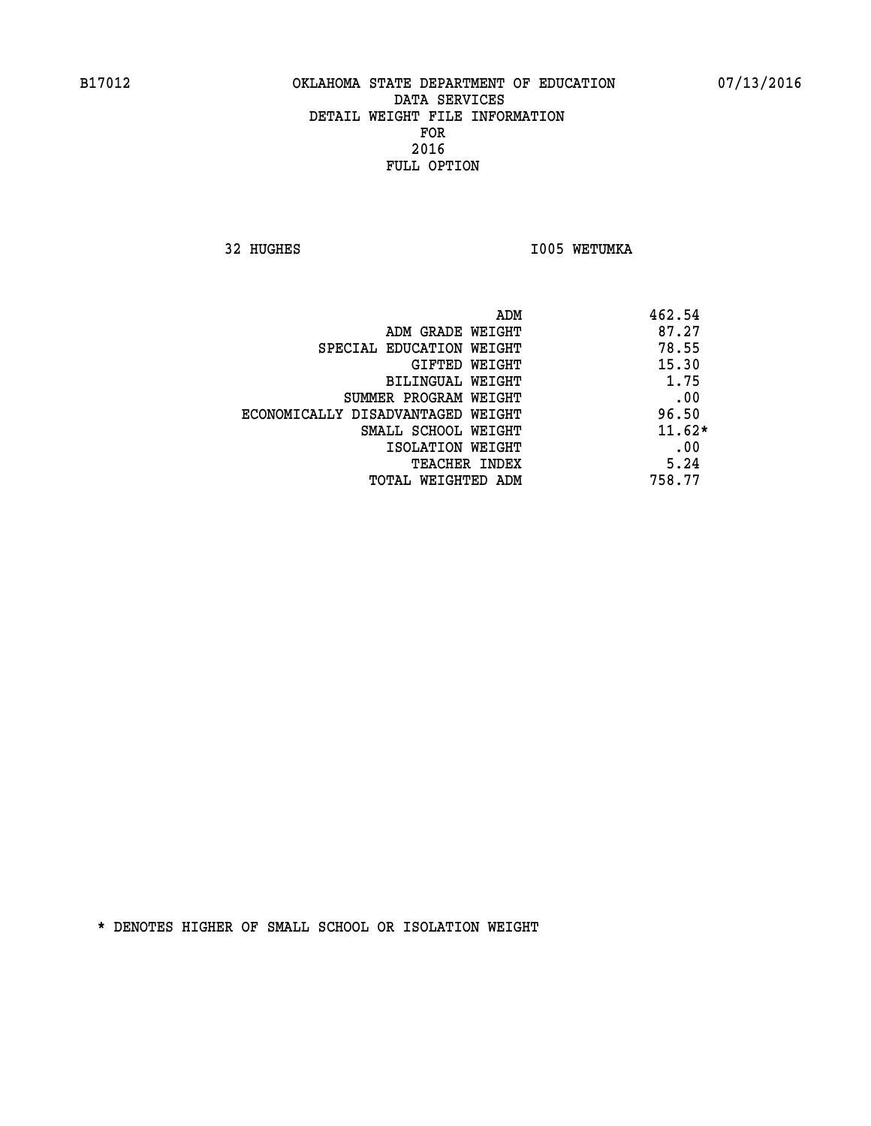**32 HUGHES 1005 WETUMKA** 

| ADM                               | 462.54   |
|-----------------------------------|----------|
| ADM GRADE WEIGHT                  | 87.27    |
| SPECIAL EDUCATION WEIGHT          | 78.55    |
| GIFTED WEIGHT                     | 15.30    |
| BILINGUAL WEIGHT                  | 1.75     |
| SUMMER PROGRAM WEIGHT             | .00      |
| ECONOMICALLY DISADVANTAGED WEIGHT | 96.50    |
| SMALL SCHOOL WEIGHT               | $11.62*$ |
| ISOLATION WEIGHT                  | .00      |
| <b>TEACHER INDEX</b>              | 5.24     |
| TOTAL WEIGHTED ADM                | 758.77   |
|                                   |          |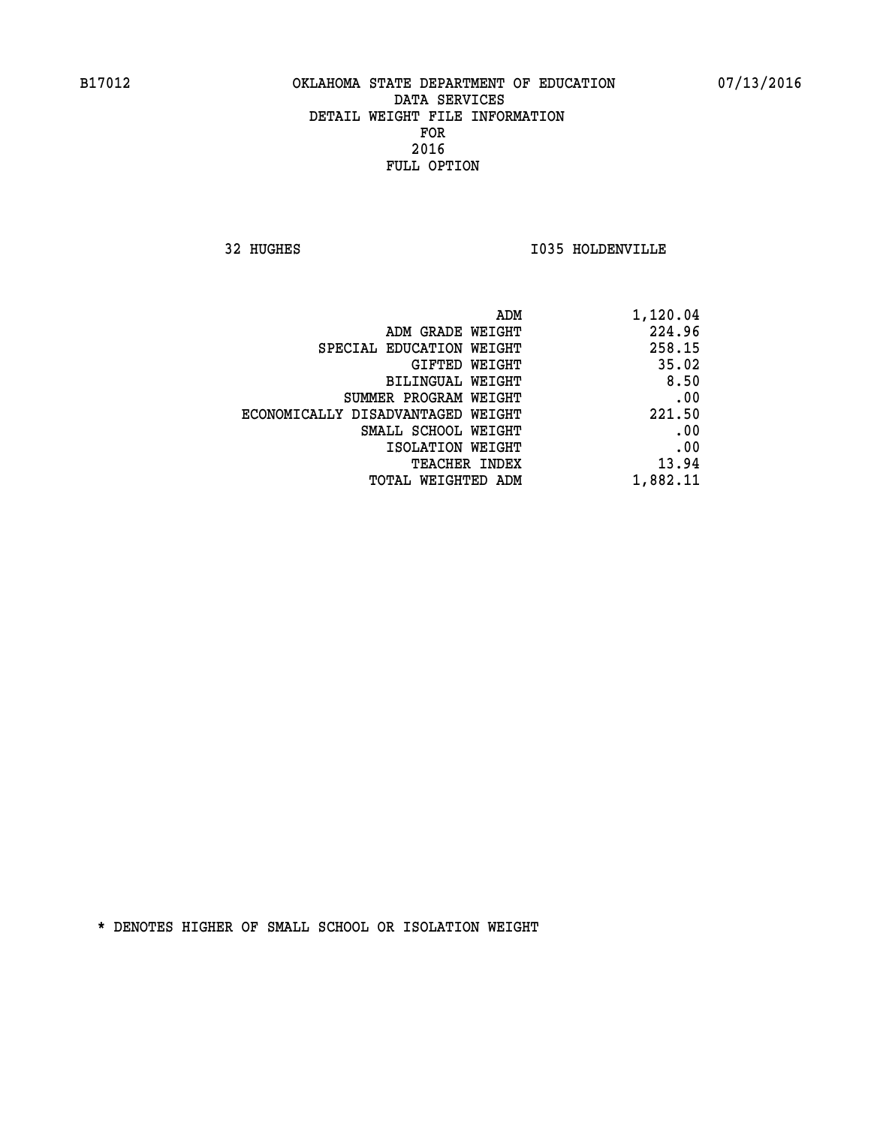**32 HUGHES I035 HOLDENVILLE** 

| 1,120.04 |
|----------|
| 224.96   |
| 258.15   |
| 35.02    |
| 8.50     |
| .00      |
| 221.50   |
| .00      |
| .00      |
| 13.94    |
| 1,882.11 |
|          |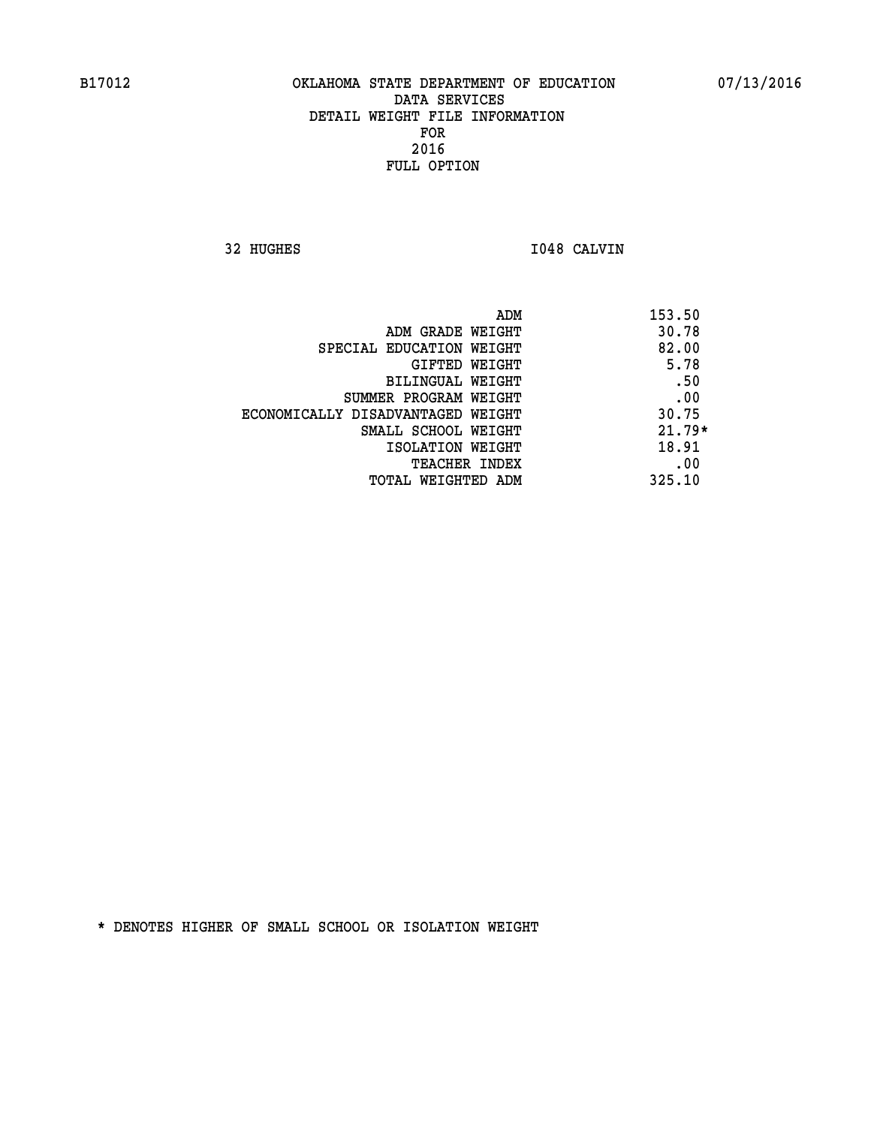**32 HUGHES I048 CALVIN** 

|                                   | ADM | 153.50   |
|-----------------------------------|-----|----------|
| ADM GRADE WEIGHT                  |     | 30.78    |
| SPECIAL EDUCATION WEIGHT          |     | 82.00    |
| GIFTED WEIGHT                     |     | 5.78     |
| BILINGUAL WEIGHT                  |     | .50      |
| SUMMER PROGRAM WEIGHT             |     | .00      |
| ECONOMICALLY DISADVANTAGED WEIGHT |     | 30.75    |
| SMALL SCHOOL WEIGHT               |     | $21.79*$ |
| ISOLATION WEIGHT                  |     | 18.91    |
| TEACHER INDEX                     |     | .00      |
| TOTAL WEIGHTED ADM                |     | 325.10   |
|                                   |     |          |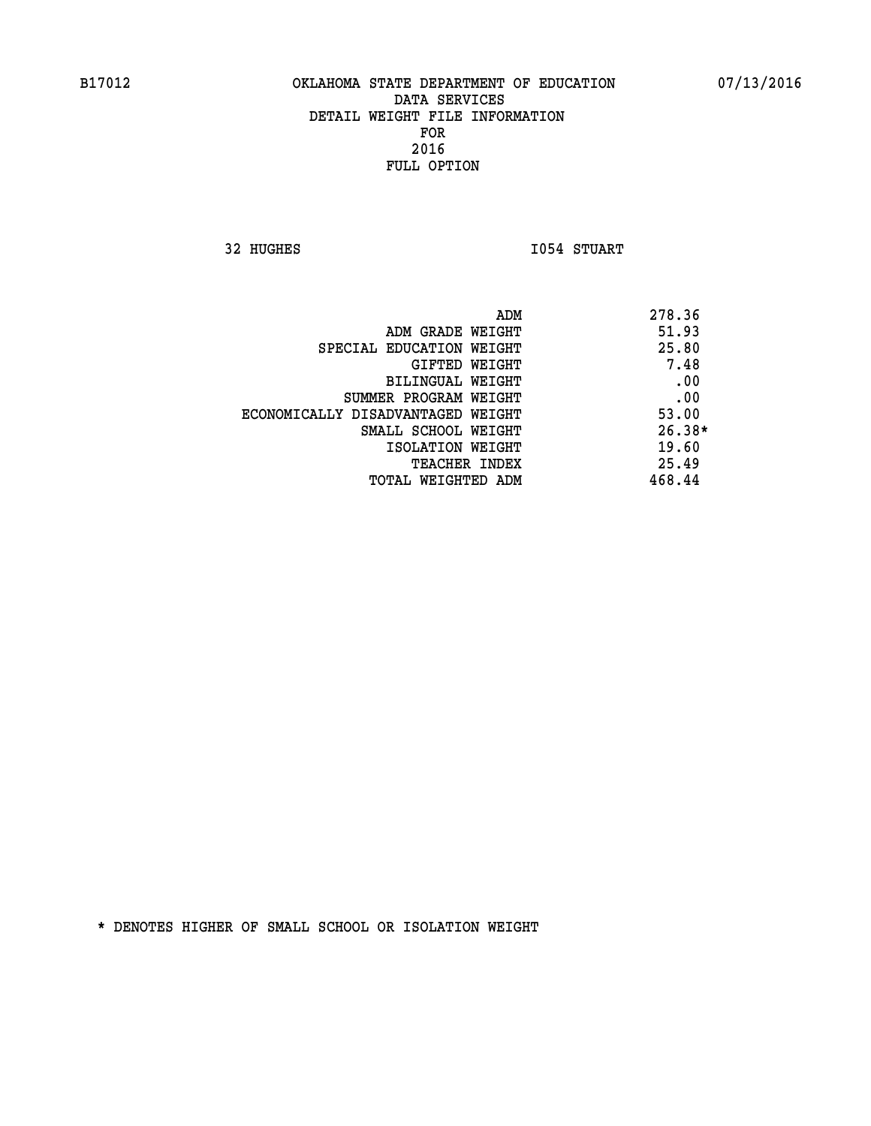**32 HUGHES I054 STUART** 

| ADM<br>278.36 |                                   |
|---------------|-----------------------------------|
| 51.93         | ADM GRADE WEIGHT                  |
| 25.80         | SPECIAL EDUCATION WEIGHT          |
| 7.48          | GIFTED WEIGHT                     |
| .00           | <b>BILINGUAL WEIGHT</b>           |
| .00           | SUMMER PROGRAM WEIGHT             |
| 53.00         | ECONOMICALLY DISADVANTAGED WEIGHT |
| $26.38*$      | SMALL SCHOOL WEIGHT               |
| 19.60         | ISOLATION WEIGHT                  |
| 25.49         | <b>TEACHER INDEX</b>              |
| 468.44        | TOTAL WEIGHTED ADM                |
|               |                                   |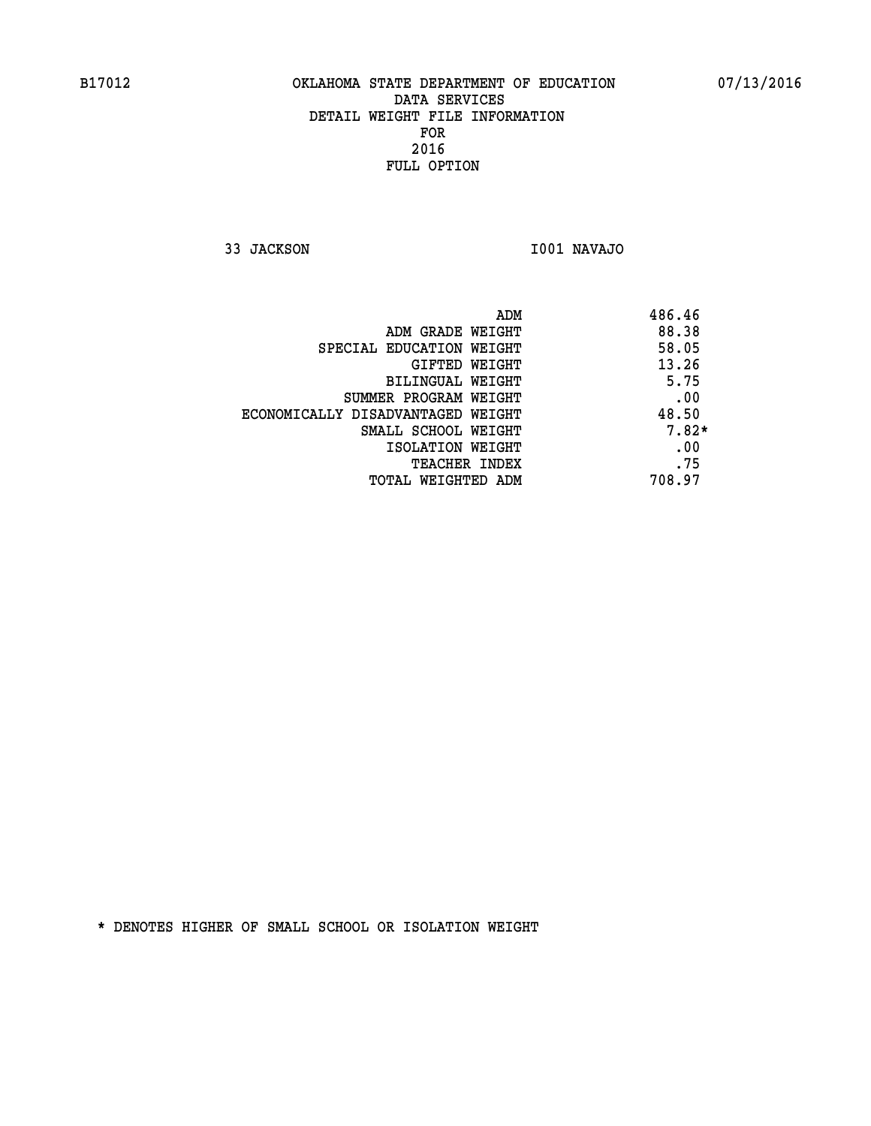**33 JACKSON I001 NAVAJO** 

|                                   | 486.46<br>ADM |
|-----------------------------------|---------------|
| ADM GRADE WEIGHT                  | 88.38         |
| SPECIAL EDUCATION WEIGHT          | 58.05         |
| GIFTED WEIGHT                     | 13.26         |
| BILINGUAL WEIGHT                  | 5.75          |
| SUMMER PROGRAM WEIGHT             | .00           |
| ECONOMICALLY DISADVANTAGED WEIGHT | 48.50         |
| SMALL SCHOOL WEIGHT               | $7.82*$       |
| ISOLATION WEIGHT                  | .00           |
| <b>TEACHER INDEX</b>              | .75           |
| TOTAL WEIGHTED ADM                | 708.97        |
|                                   |               |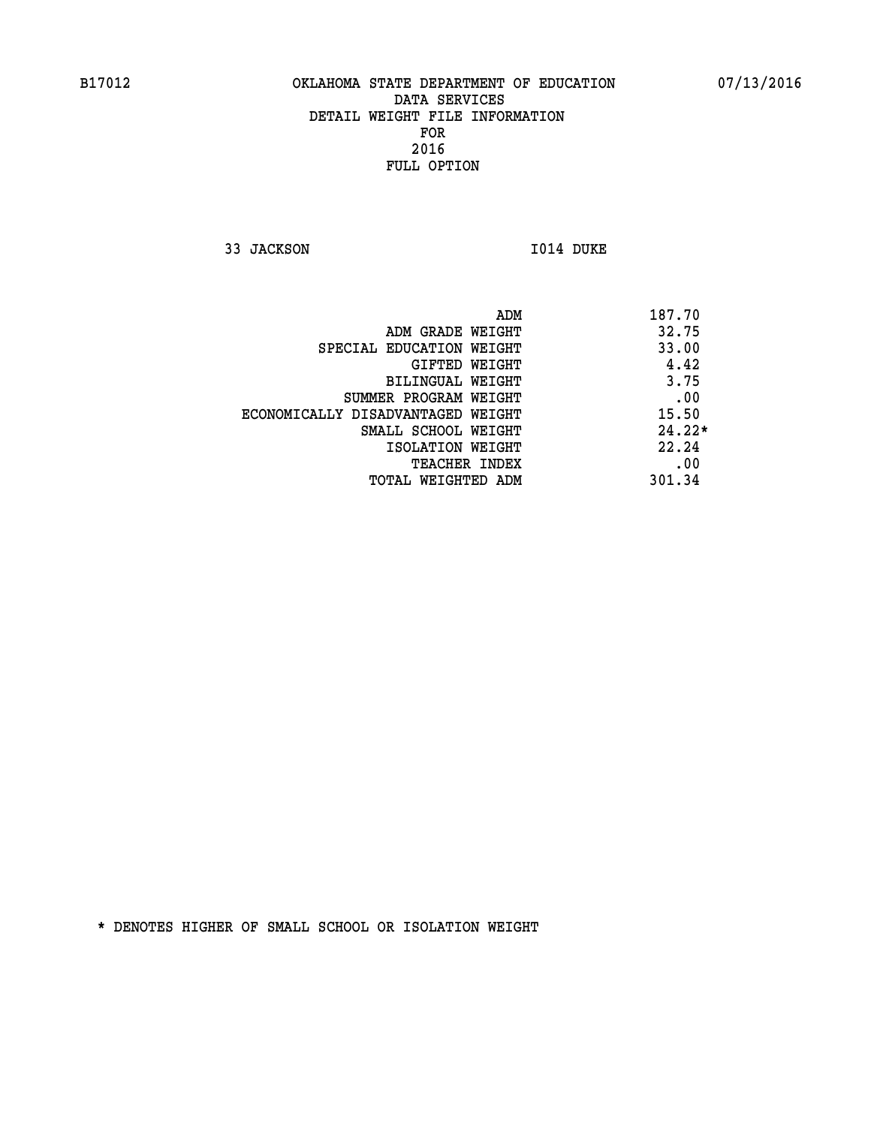**33 JACKSON 1014 DUKE** 

| ADM                               | 187.70   |
|-----------------------------------|----------|
| ADM GRADE WEIGHT                  | 32.75    |
| SPECIAL EDUCATION WEIGHT          | 33.00    |
| GIFTED WEIGHT                     | 4.42     |
| BILINGUAL WEIGHT                  | 3.75     |
| SUMMER PROGRAM WEIGHT             | .00      |
| ECONOMICALLY DISADVANTAGED WEIGHT | 15.50    |
| SMALL SCHOOL WEIGHT               | $24.22*$ |
| ISOLATION WEIGHT                  | 22.24    |
| <b>TEACHER INDEX</b>              | .00      |
| TOTAL WEIGHTED ADM                | 301.34   |
|                                   |          |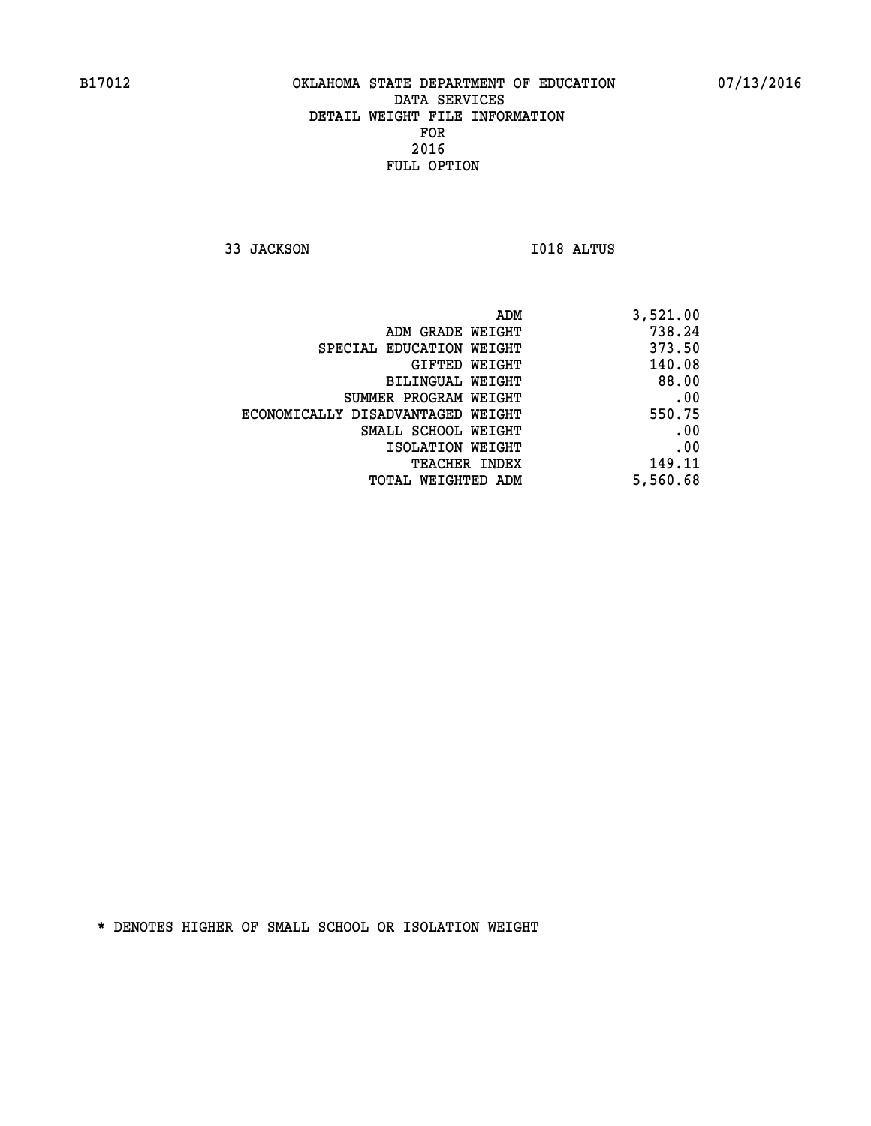**33 JACKSON I018 ALTUS** 

| ADM                               | 3,521.00 |
|-----------------------------------|----------|
| ADM GRADE WEIGHT                  | 738.24   |
| SPECIAL EDUCATION WEIGHT          | 373.50   |
| GIFTED WEIGHT                     | 140.08   |
| BILINGUAL WEIGHT                  | 88.00    |
| SUMMER PROGRAM WEIGHT             | .00      |
| ECONOMICALLY DISADVANTAGED WEIGHT | 550.75   |
| SMALL SCHOOL WEIGHT               | .00      |
| ISOLATION WEIGHT                  | .00      |
| TEACHER INDEX                     | 149.11   |
| TOTAL WEIGHTED ADM                | 5,560.68 |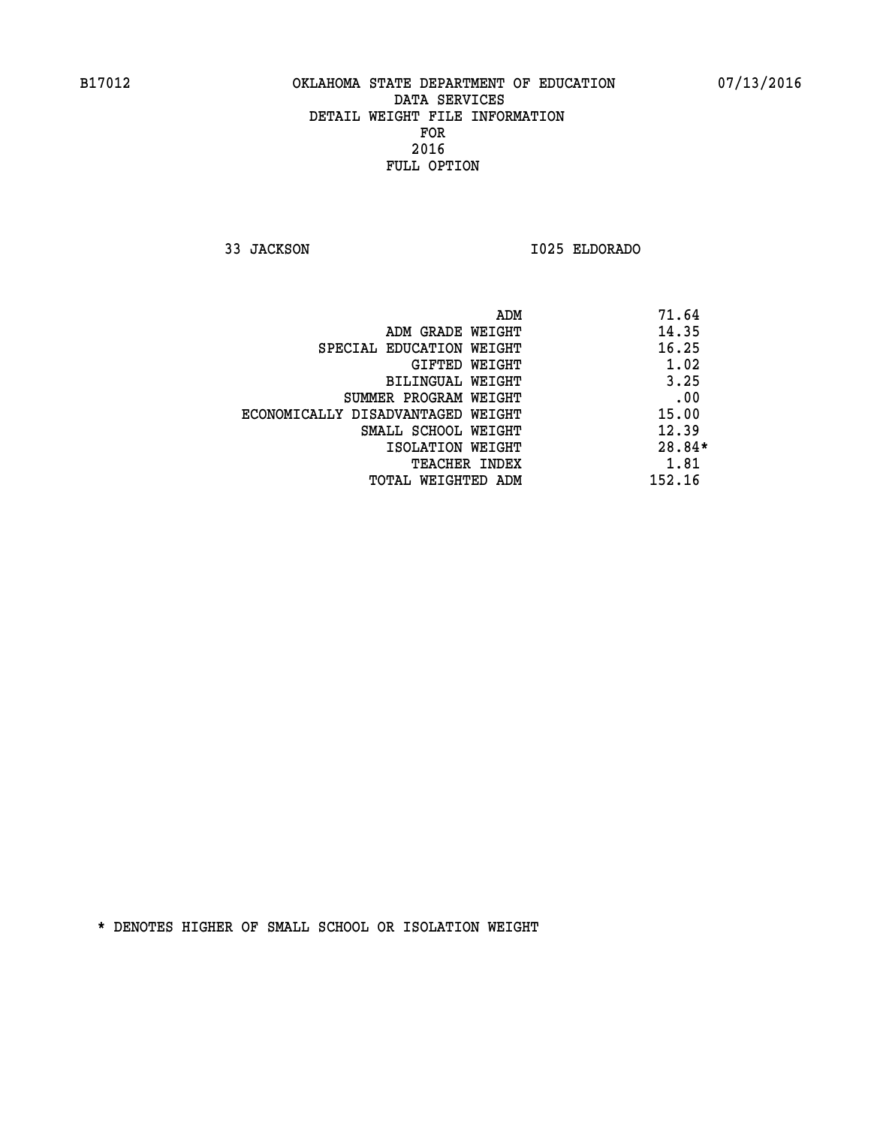**33 JACKSON I025 ELDORADO** 

|                                   | ADM | 71.64    |
|-----------------------------------|-----|----------|
| ADM GRADE WEIGHT                  |     | 14.35    |
| SPECIAL EDUCATION WEIGHT          |     | 16.25    |
| GIFTED WEIGHT                     |     | 1.02     |
| BILINGUAL WEIGHT                  |     | 3.25     |
| SUMMER PROGRAM WEIGHT             |     | .00      |
| ECONOMICALLY DISADVANTAGED WEIGHT |     | 15.00    |
| SMALL SCHOOL WEIGHT               |     | 12.39    |
| ISOLATION WEIGHT                  |     | $28.84*$ |
| <b>TEACHER INDEX</b>              |     | 1.81     |
| TOTAL WEIGHTED ADM                |     | 152.16   |
|                                   |     |          |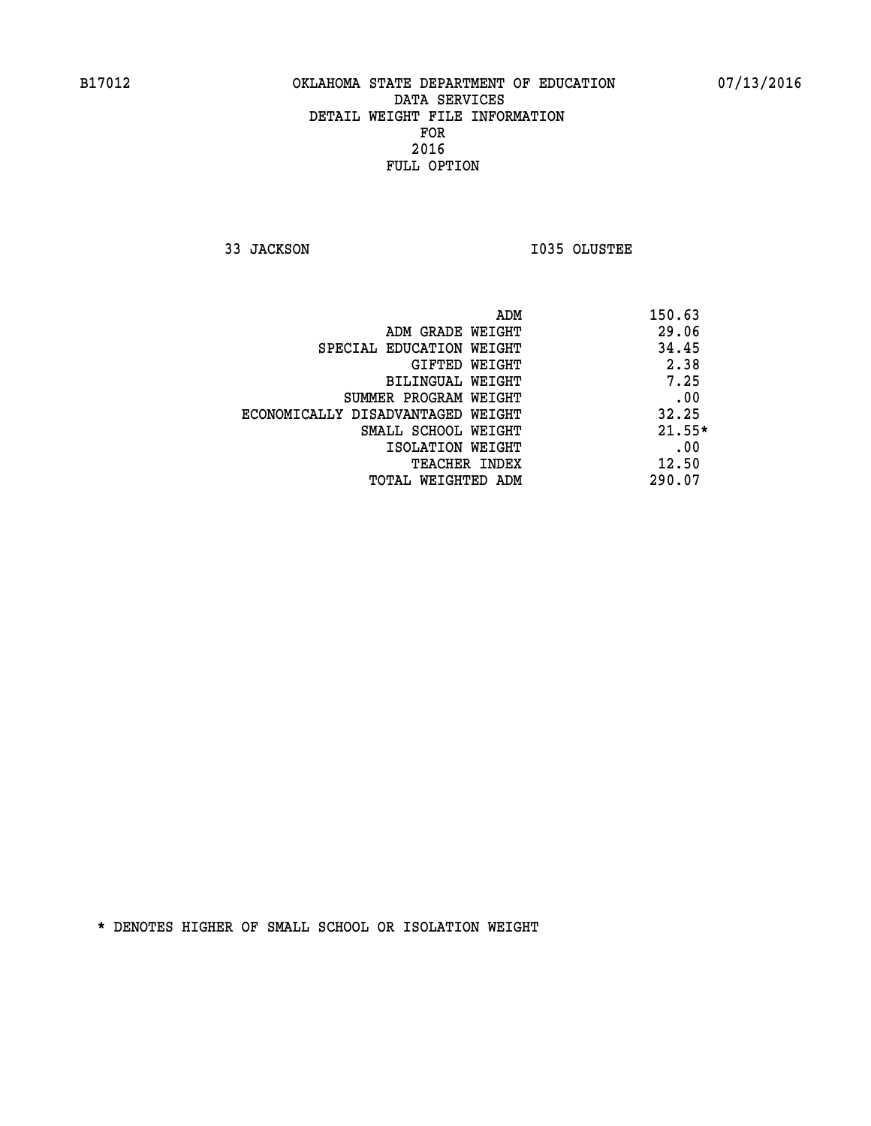**33 JACKSON I035 OLUSTEE** 

|                                   | ADM | 150.63   |
|-----------------------------------|-----|----------|
| ADM GRADE WEIGHT                  |     | 29.06    |
| SPECIAL EDUCATION WEIGHT          |     | 34.45    |
| GIFTED WEIGHT                     |     | 2.38     |
| BILINGUAL WEIGHT                  |     | 7.25     |
| SUMMER PROGRAM WEIGHT             |     | .00      |
| ECONOMICALLY DISADVANTAGED WEIGHT |     | 32.25    |
| SMALL SCHOOL WEIGHT               |     | $21.55*$ |
| ISOLATION WEIGHT                  |     | .00      |
| <b>TEACHER INDEX</b>              |     | 12.50    |
| TOTAL WEIGHTED ADM                |     | 290.07   |
|                                   |     |          |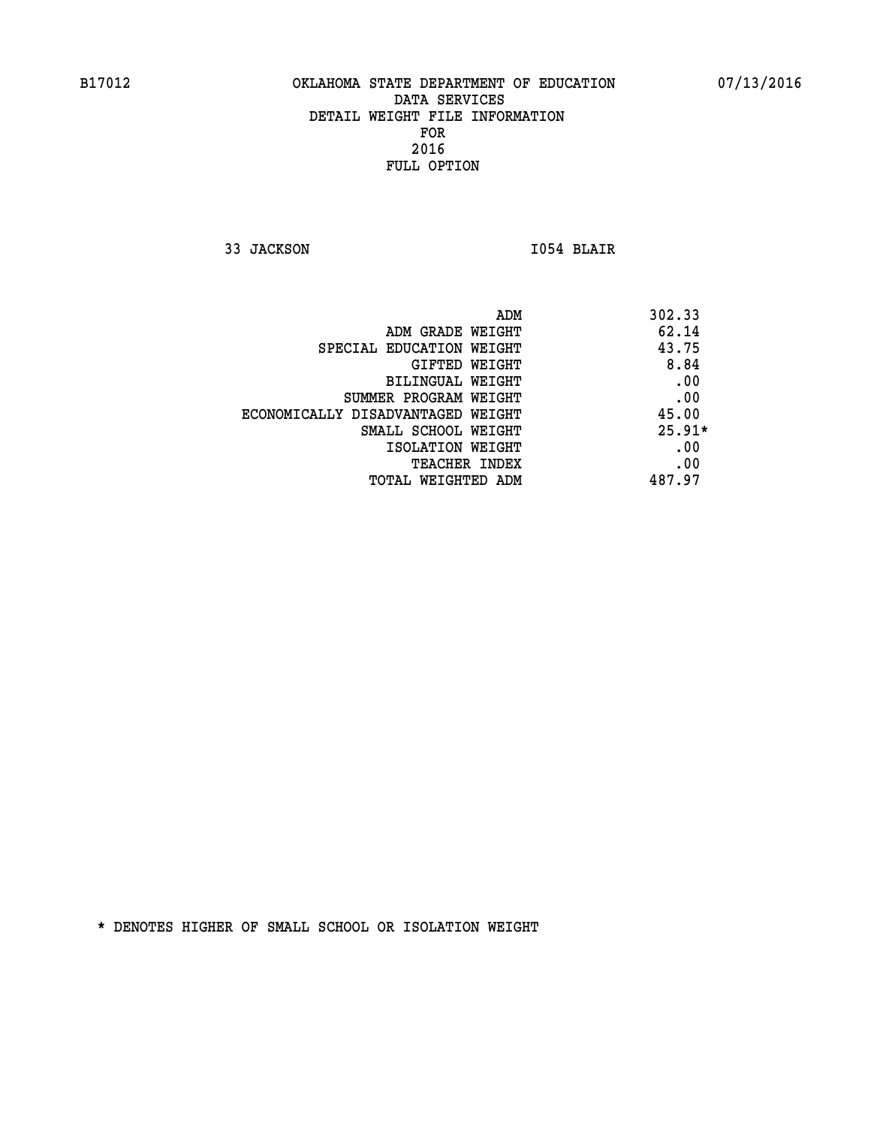**33 JACKSON I054 BLAIR** 

|                                   | ADM | 302.33   |
|-----------------------------------|-----|----------|
| ADM GRADE WEIGHT                  |     | 62.14    |
| SPECIAL EDUCATION WEIGHT          |     | 43.75    |
| GIFTED WEIGHT                     |     | 8.84     |
| BILINGUAL WEIGHT                  |     | .00      |
| SUMMER PROGRAM WEIGHT             |     | .00      |
| ECONOMICALLY DISADVANTAGED WEIGHT |     | 45.00    |
| SMALL SCHOOL WEIGHT               |     | $25.91*$ |
| ISOLATION WEIGHT                  |     | .00      |
| TEACHER INDEX                     |     | .00      |
| TOTAL WEIGHTED ADM                |     | 487.97   |
|                                   |     |          |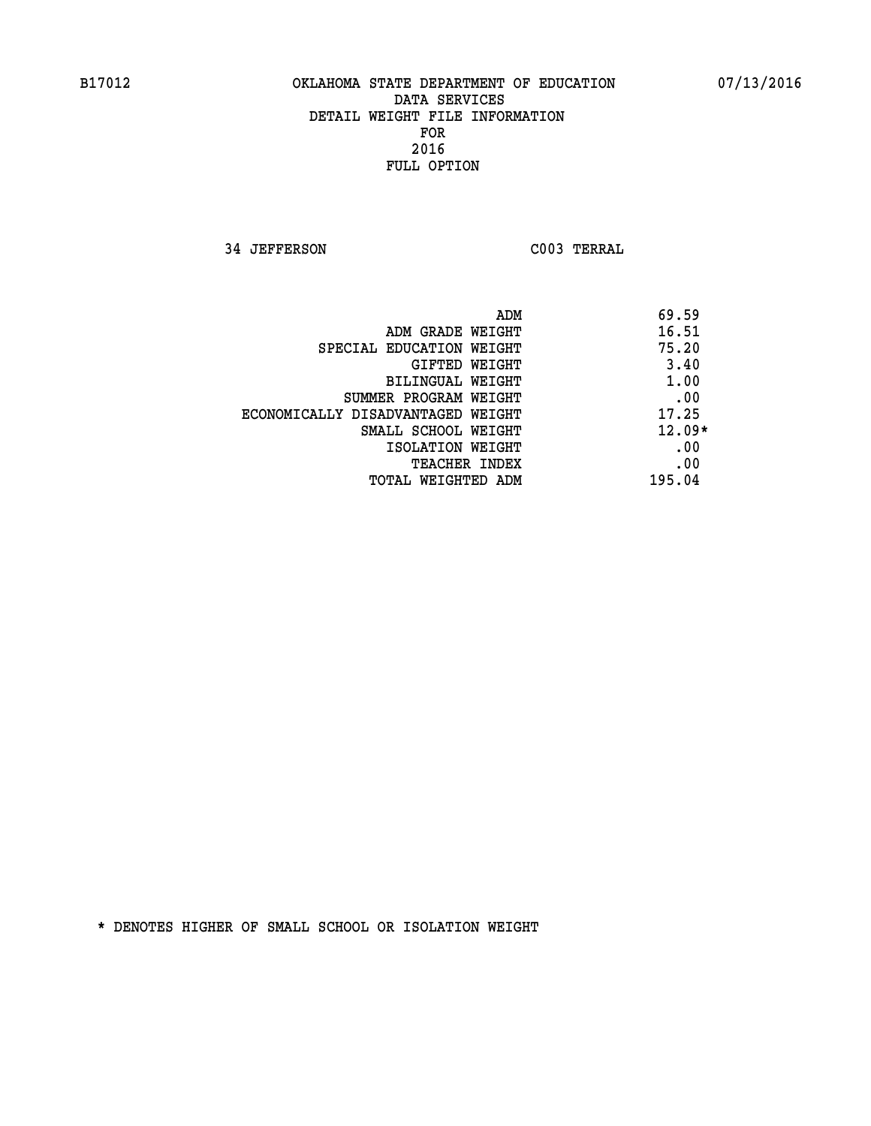**34 JEFFERSON C003 TERRAL** 

| ADM                               | 69.59    |
|-----------------------------------|----------|
| ADM GRADE WEIGHT                  | 16.51    |
| SPECIAL EDUCATION WEIGHT          | 75.20    |
| GIFTED WEIGHT                     | 3.40     |
| BILINGUAL WEIGHT                  | 1.00     |
| SUMMER PROGRAM WEIGHT             | .00      |
| ECONOMICALLY DISADVANTAGED WEIGHT | 17.25    |
| SMALL SCHOOL WEIGHT               | $12.09*$ |
| ISOLATION WEIGHT                  | .00      |
| <b>TEACHER INDEX</b>              | .00      |
| TOTAL WEIGHTED ADM                | 195.04   |
|                                   |          |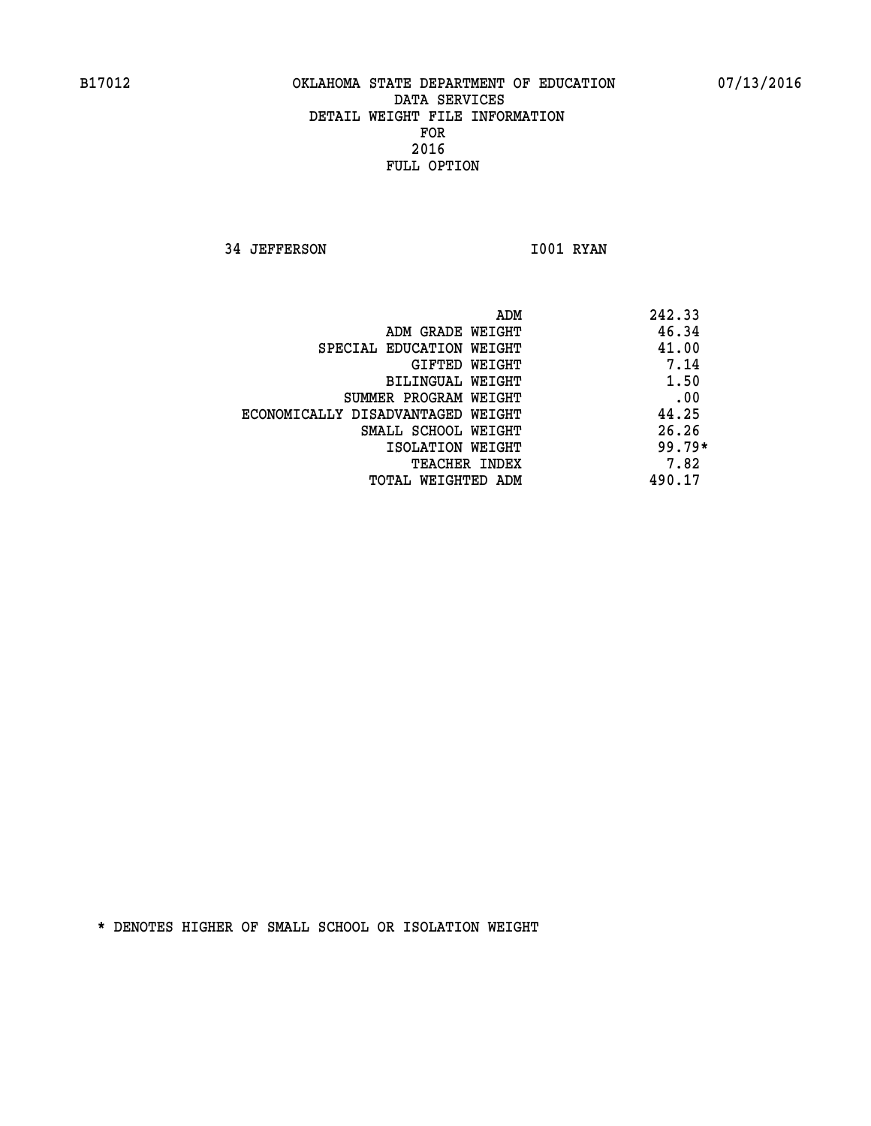**34 JEFFERSON 1001 RYAN** 

|                                   | ADM | 242.33   |
|-----------------------------------|-----|----------|
| ADM GRADE WEIGHT                  |     | 46.34    |
| SPECIAL EDUCATION WEIGHT          |     | 41.00    |
| GIFTED WEIGHT                     |     | 7.14     |
| BILINGUAL WEIGHT                  |     | 1.50     |
| SUMMER PROGRAM WEIGHT             |     | .00      |
| ECONOMICALLY DISADVANTAGED WEIGHT |     | 44.25    |
| SMALL SCHOOL WEIGHT               |     | 26.26    |
| ISOLATION WEIGHT                  |     | $99.79*$ |
| TEACHER INDEX                     |     | 7.82     |
| TOTAL WEIGHTED ADM                |     | 490.17   |
|                                   |     |          |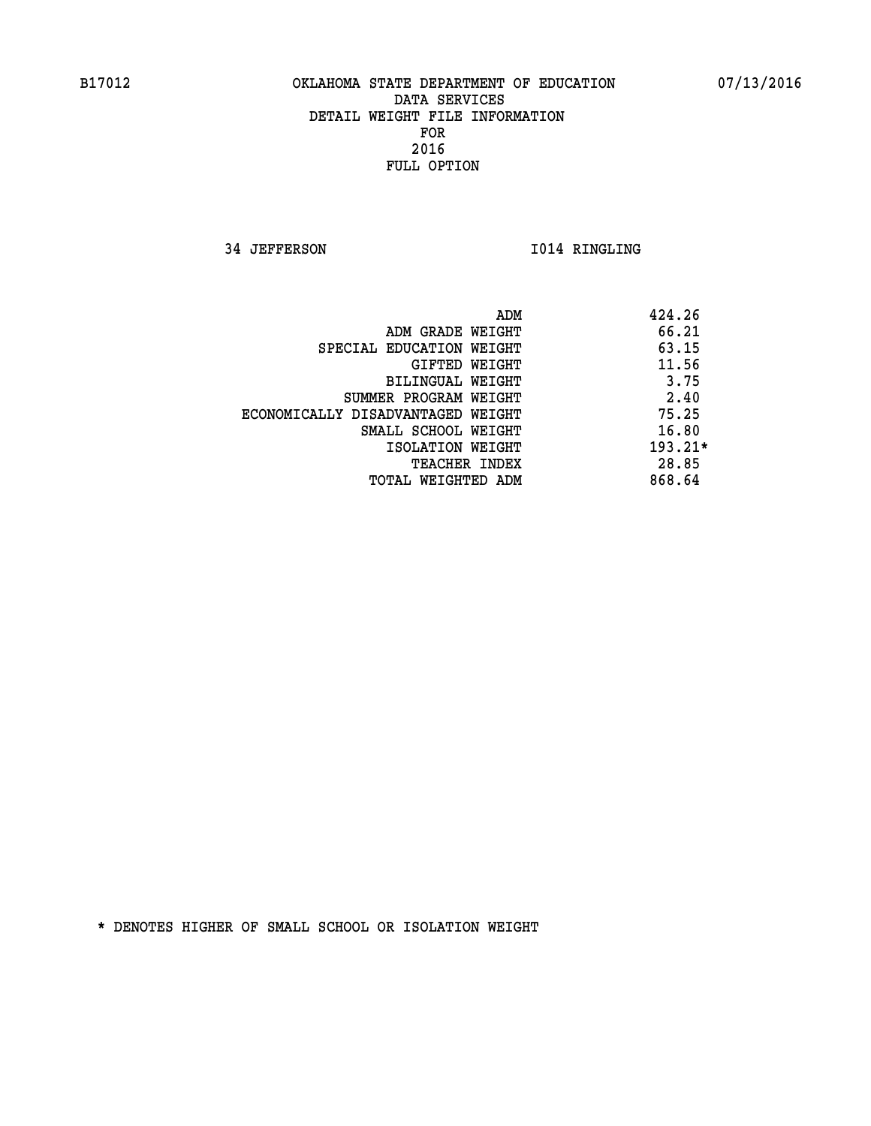**34 JEFFERSON 1014 RINGLING** 

|                                   | ADM | 424.26    |
|-----------------------------------|-----|-----------|
| ADM GRADE WEIGHT                  |     | 66.21     |
| SPECIAL EDUCATION WEIGHT          |     | 63.15     |
| <b>GIFTED WEIGHT</b>              |     | 11.56     |
| BILINGUAL WEIGHT                  |     | 3.75      |
| SUMMER PROGRAM WEIGHT             |     | 2.40      |
| ECONOMICALLY DISADVANTAGED WEIGHT |     | 75.25     |
| SMALL SCHOOL WEIGHT               |     | 16.80     |
| ISOLATION WEIGHT                  |     | $193.21*$ |
| <b>TEACHER INDEX</b>              |     | 28.85     |
| TOTAL WEIGHTED ADM                |     | 868.64    |
|                                   |     |           |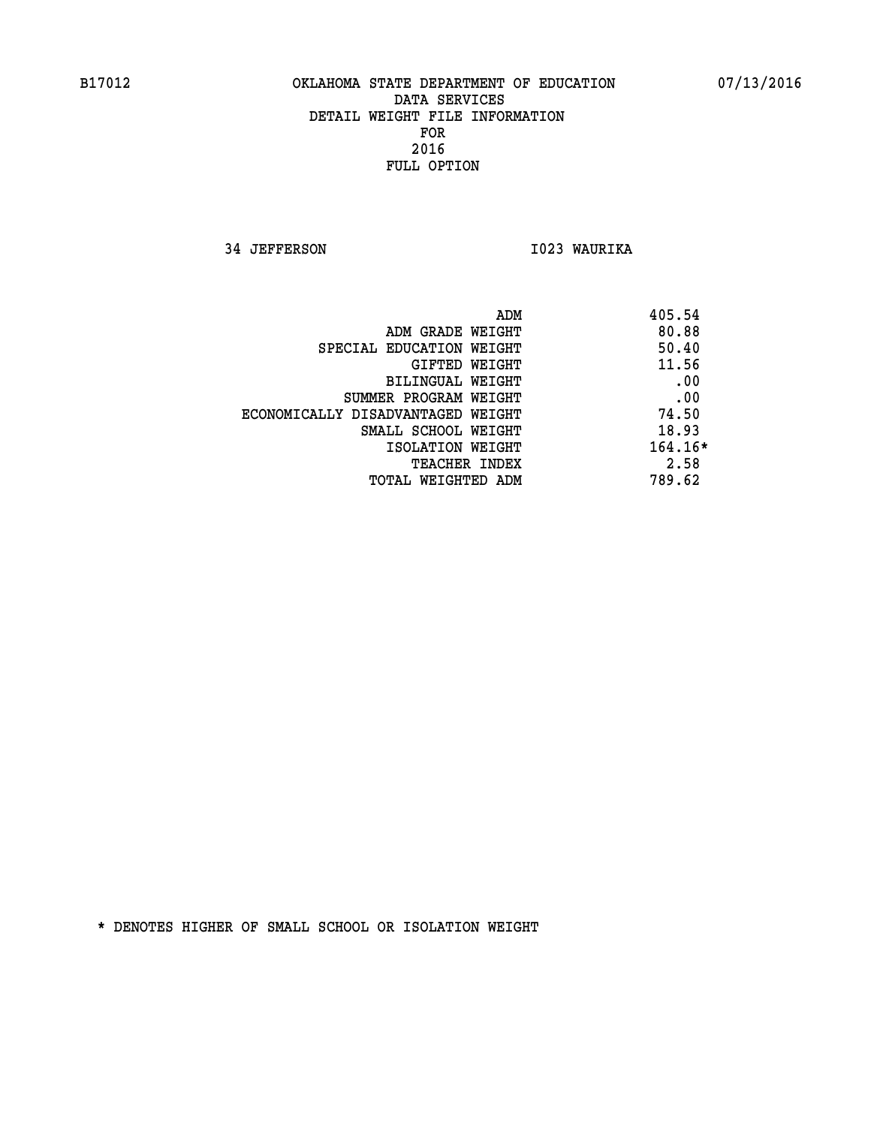**34 JEFFERSON I023 WAURIKA** 

| ADM                               | 405.54    |
|-----------------------------------|-----------|
| ADM GRADE WEIGHT                  | 80.88     |
| SPECIAL EDUCATION WEIGHT          | 50.40     |
| GIFTED WEIGHT                     | 11.56     |
| BILINGUAL WEIGHT                  | .00       |
| SUMMER PROGRAM WEIGHT             | .00       |
| ECONOMICALLY DISADVANTAGED WEIGHT | 74.50     |
| SMALL SCHOOL WEIGHT               | 18.93     |
| ISOLATION WEIGHT                  | $164.16*$ |
| <b>TEACHER INDEX</b>              | 2.58      |
| TOTAL WEIGHTED ADM                | 789.62    |
|                                   |           |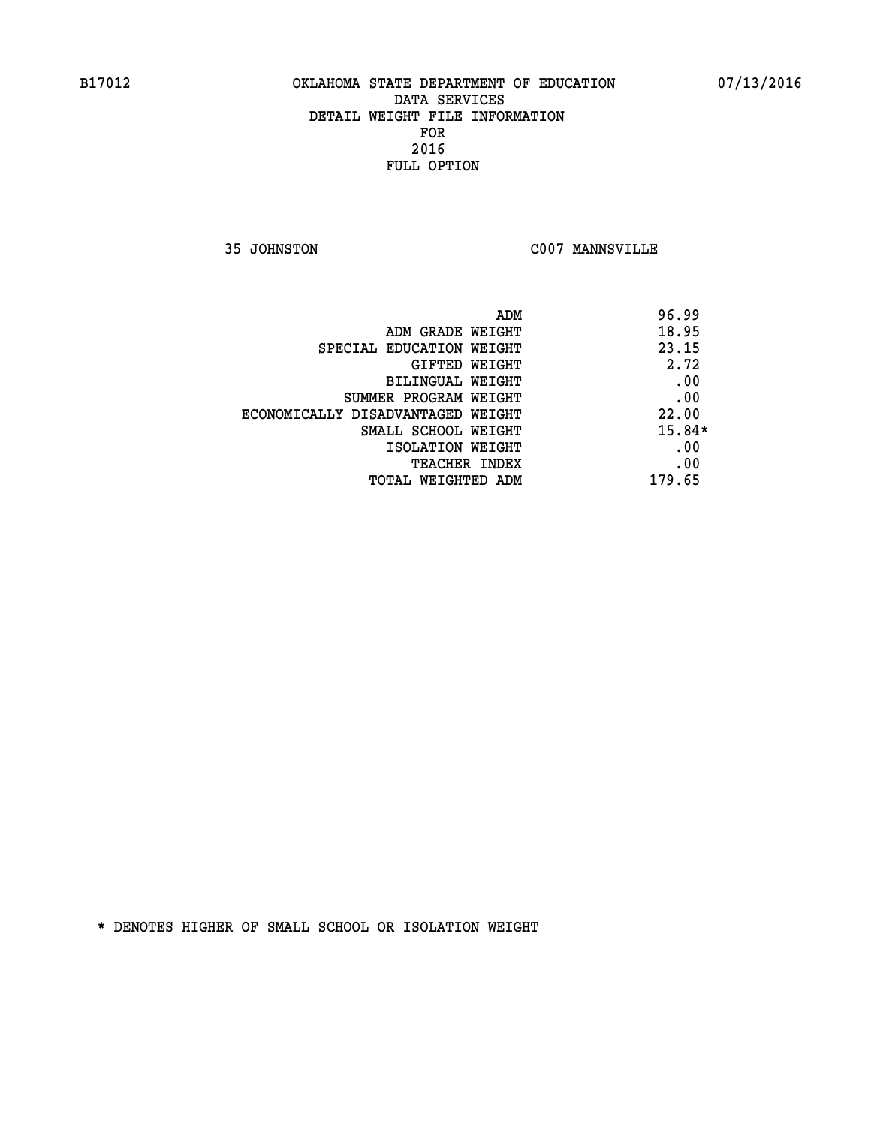**35 JOHNSTON C007 MANNSVILLE** 

| ADM                               | 96.99    |
|-----------------------------------|----------|
| ADM GRADE WEIGHT                  | 18.95    |
| SPECIAL EDUCATION WEIGHT          | 23.15    |
| GIFTED WEIGHT                     | 2.72     |
| BILINGUAL WEIGHT                  | .00      |
| SUMMER PROGRAM WEIGHT             | .00      |
| ECONOMICALLY DISADVANTAGED WEIGHT | 22.00    |
| SMALL SCHOOL WEIGHT               | $15.84*$ |
| ISOLATION WEIGHT                  | .00      |
| <b>TEACHER INDEX</b>              | .00      |
| TOTAL WEIGHTED ADM                | 179.65   |
|                                   |          |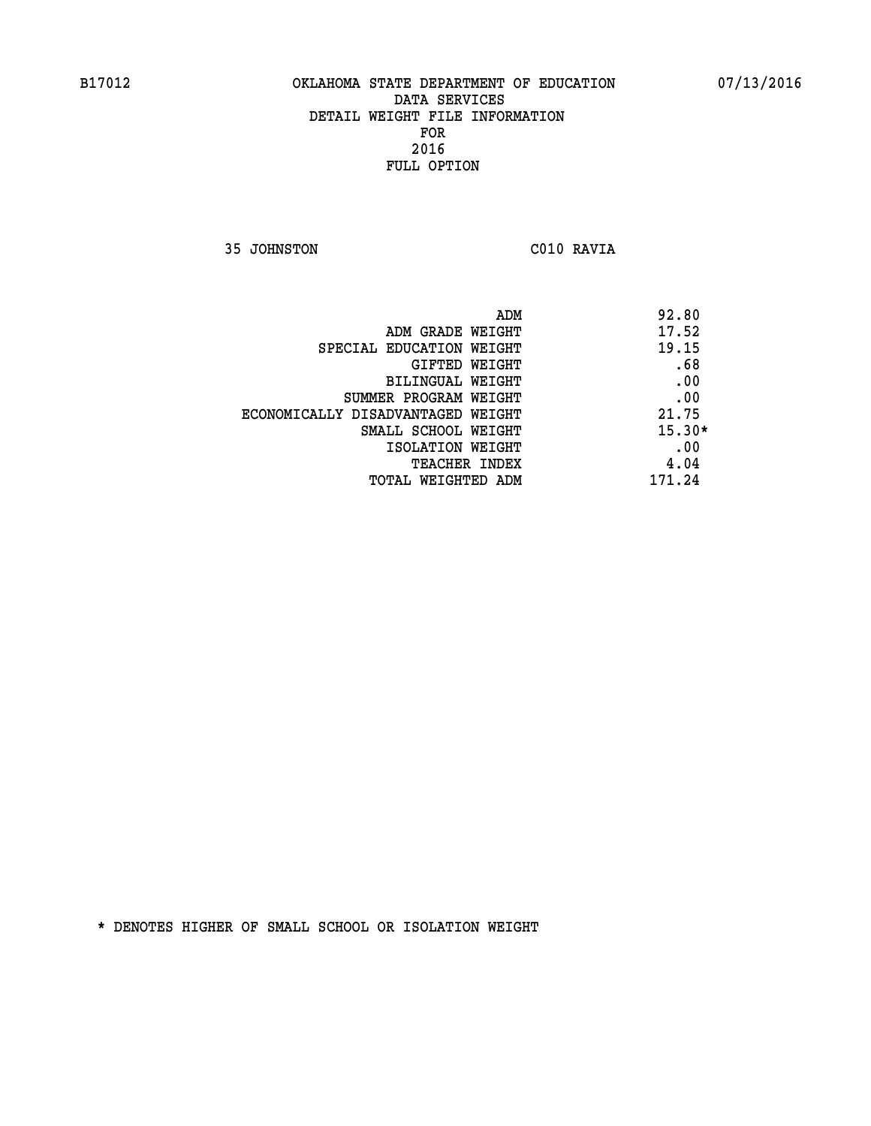**35 JOHNSTON C010 RAVIA** 

|                                   | ADM | 92.80    |
|-----------------------------------|-----|----------|
| ADM GRADE WEIGHT                  |     | 17.52    |
| SPECIAL EDUCATION WEIGHT          |     | 19.15    |
| GIFTED WEIGHT                     |     | .68      |
| BILINGUAL WEIGHT                  |     | .00      |
| SUMMER PROGRAM WEIGHT             |     | .00      |
| ECONOMICALLY DISADVANTAGED WEIGHT |     | 21.75    |
| SMALL SCHOOL WEIGHT               |     | $15.30*$ |
| ISOLATION WEIGHT                  |     | .00      |
| TEACHER INDEX                     |     | 4.04     |
| TOTAL WEIGHTED ADM                |     | 171.24   |
|                                   |     |          |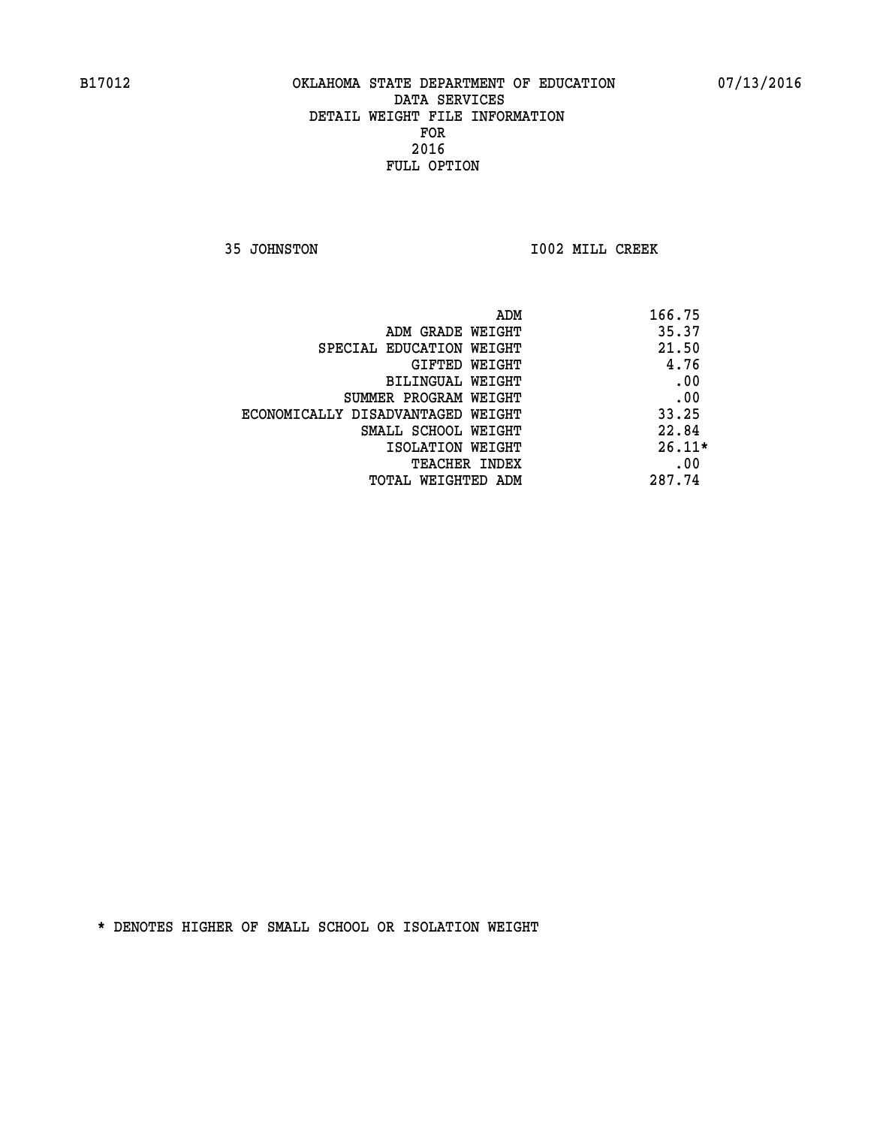**35 JOHNSTON I002 MILL CREEK** 

| 166.75<br>ADM                              |          |
|--------------------------------------------|----------|
| 35.37<br>ADM GRADE WEIGHT                  |          |
| 21.50<br>SPECIAL EDUCATION WEIGHT          |          |
| GIFTED WEIGHT                              | 4.76     |
| BILINGUAL WEIGHT                           | .00      |
| SUMMER PROGRAM WEIGHT                      | .00      |
| 33.25<br>ECONOMICALLY DISADVANTAGED WEIGHT |          |
| 22.84<br>SMALL SCHOOL WEIGHT               |          |
| ISOLATION WEIGHT                           | $26.11*$ |
| <b>TEACHER INDEX</b>                       | .00      |
| 287.74<br>TOTAL WEIGHTED ADM               |          |
|                                            |          |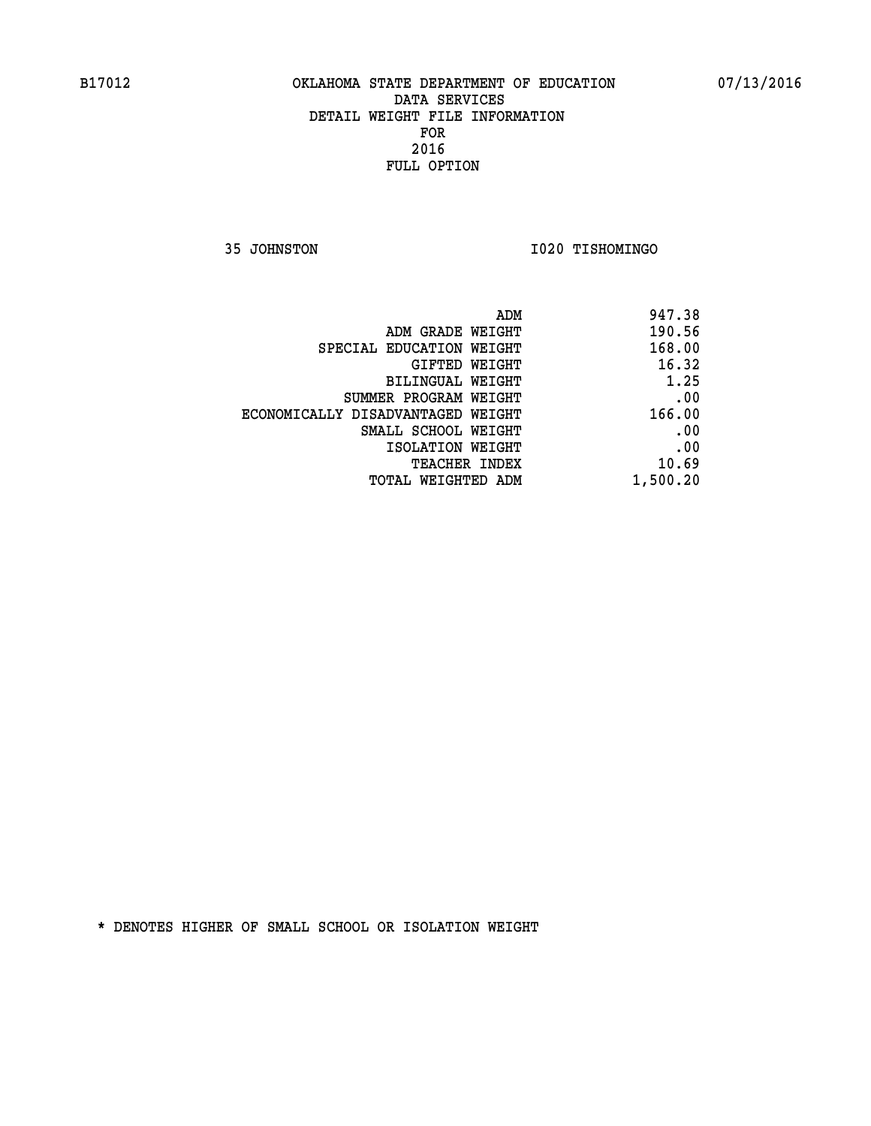**35 JOHNSTON I020 TISHOMINGO** 

| 947.38                                      |
|---------------------------------------------|
| 190.56<br>ADM GRADE WEIGHT                  |
| 168.00<br>SPECIAL EDUCATION WEIGHT          |
| 16.32<br>GIFTED WEIGHT                      |
| 1.25<br><b>BILINGUAL WEIGHT</b>             |
| .00<br>SUMMER PROGRAM WEIGHT                |
| 166.00<br>ECONOMICALLY DISADVANTAGED WEIGHT |
| .00<br>SMALL SCHOOL WEIGHT                  |
| .00<br>ISOLATION WEIGHT                     |
| 10.69<br>TEACHER INDEX                      |
| 1,500.20<br>TOTAL WEIGHTED ADM              |
| ADM                                         |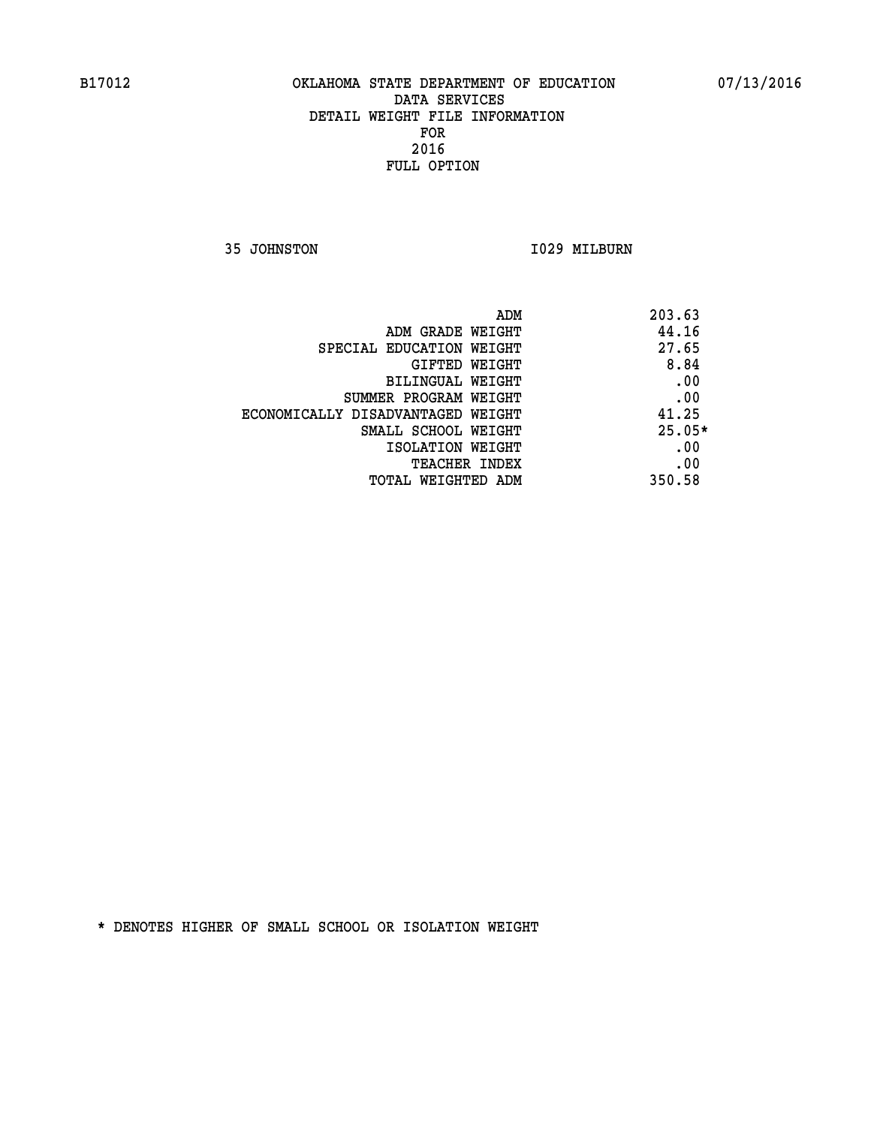**35 JOHNSTON 1029 MILBURN** 

| ADM                               | 203.63   |
|-----------------------------------|----------|
| ADM GRADE WEIGHT                  | 44.16    |
| SPECIAL EDUCATION WEIGHT          | 27.65    |
| GIFTED WEIGHT                     | 8.84     |
| BILINGUAL WEIGHT                  | .00      |
| SUMMER PROGRAM WEIGHT             | .00      |
| ECONOMICALLY DISADVANTAGED WEIGHT | 41.25    |
| SMALL SCHOOL WEIGHT               | $25.05*$ |
| ISOLATION WEIGHT                  | .00      |
| <b>TEACHER INDEX</b>              | .00      |
| TOTAL WEIGHTED ADM                | 350.58   |
|                                   |          |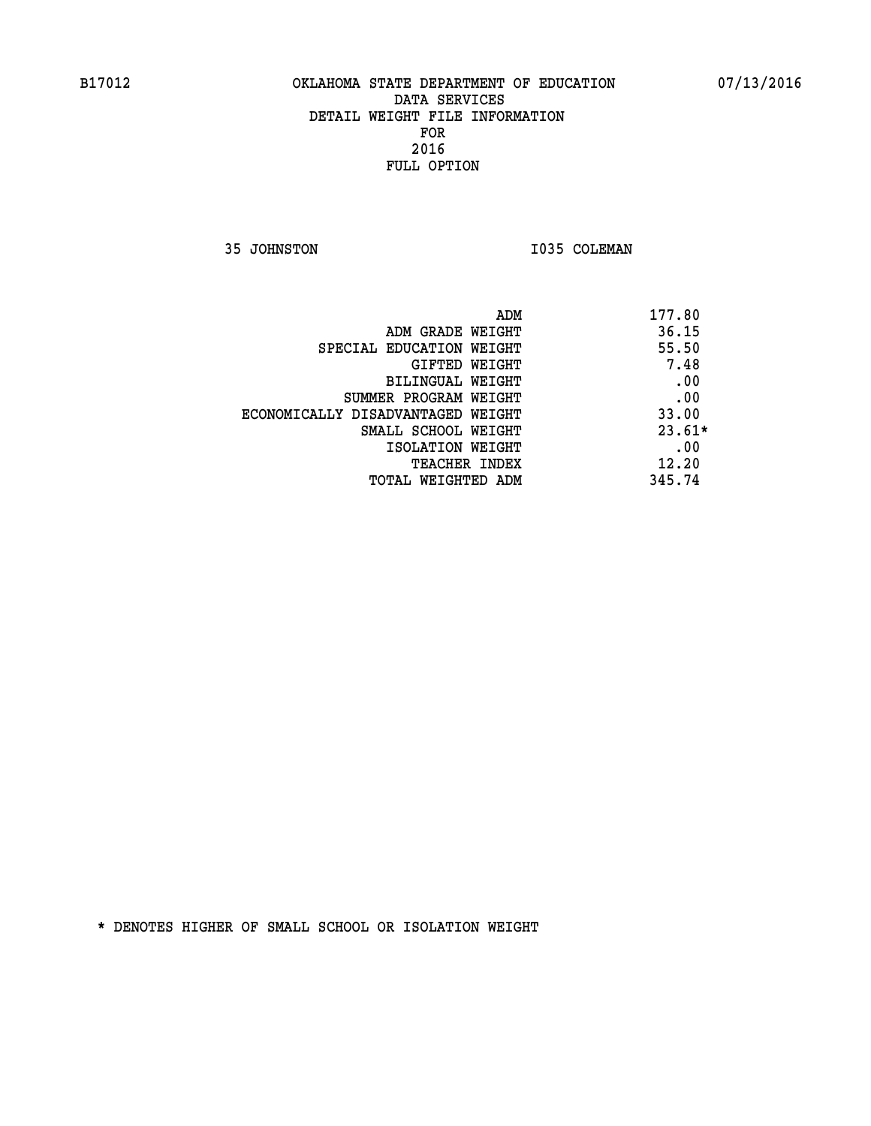**35 JOHNSTON 1035 COLEMAN** 

| ADM                               | 177.80   |
|-----------------------------------|----------|
| ADM GRADE WEIGHT                  | 36.15    |
| SPECIAL EDUCATION WEIGHT          | 55.50    |
| <b>GIFTED WEIGHT</b>              | 7.48     |
| BILINGUAL WEIGHT                  | .00      |
| SUMMER PROGRAM WEIGHT             | .00      |
| ECONOMICALLY DISADVANTAGED WEIGHT | 33.00    |
| SMALL SCHOOL WEIGHT               | $23.61*$ |
| ISOLATION WEIGHT                  | .00      |
| <b>TEACHER INDEX</b>              | 12.20    |
| TOTAL WEIGHTED ADM                | 345.74   |
|                                   |          |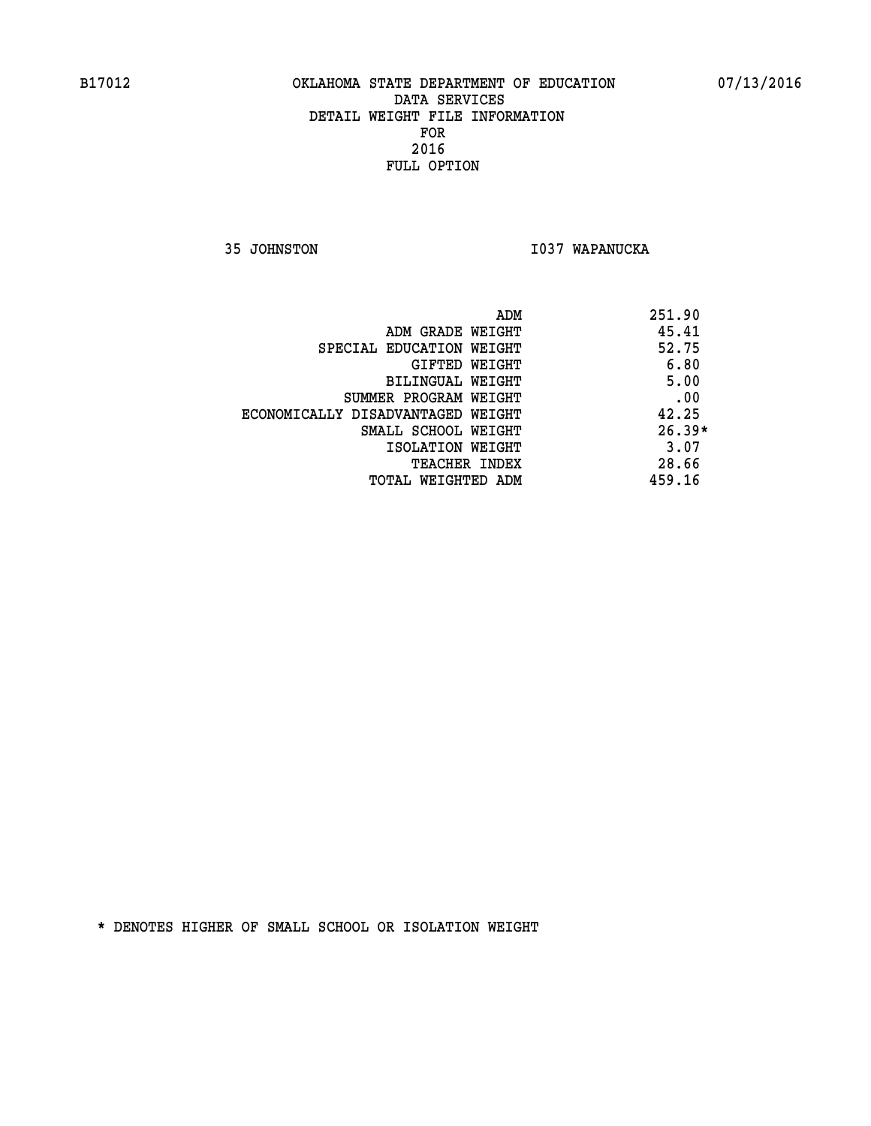**35 JOHNSTON I037 WAPANUCKA** 

|                                   | ADM | 251.90   |
|-----------------------------------|-----|----------|
| ADM GRADE WEIGHT                  |     | 45.41    |
| SPECIAL EDUCATION WEIGHT          |     | 52.75    |
| GIFTED WEIGHT                     |     | 6.80     |
| BILINGUAL WEIGHT                  |     | 5.00     |
| SUMMER PROGRAM WEIGHT             |     | .00      |
| ECONOMICALLY DISADVANTAGED WEIGHT |     | 42.25    |
| SMALL SCHOOL WEIGHT               |     | $26.39*$ |
| ISOLATION WEIGHT                  |     | 3.07     |
| TEACHER INDEX                     |     | 28.66    |
| TOTAL WEIGHTED ADM                |     | 459.16   |
|                                   |     |          |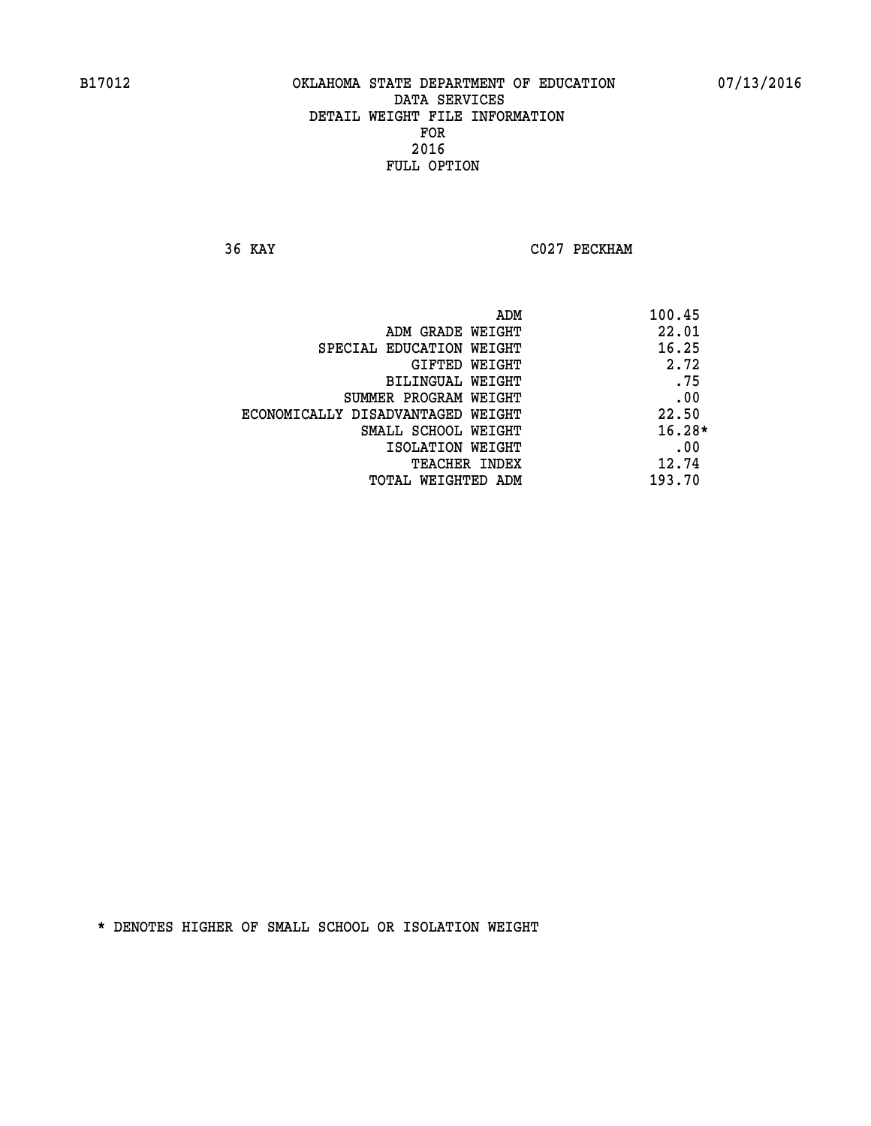**36 KAY C027 PECKHAM** 

|                                   | 100.45<br>ADM |          |
|-----------------------------------|---------------|----------|
| ADM GRADE WEIGHT                  |               | 22.01    |
| SPECIAL EDUCATION WEIGHT          |               | 16.25    |
| GIFTED WEIGHT                     |               | 2.72     |
| BILINGUAL WEIGHT                  |               | .75      |
| SUMMER PROGRAM WEIGHT             |               | .00      |
| ECONOMICALLY DISADVANTAGED WEIGHT |               | 22.50    |
| SMALL SCHOOL WEIGHT               |               | $16.28*$ |
| ISOLATION WEIGHT                  |               | .00      |
| TEACHER INDEX                     |               | 12.74    |
| TOTAL WEIGHTED ADM                | 193.70        |          |
|                                   |               |          |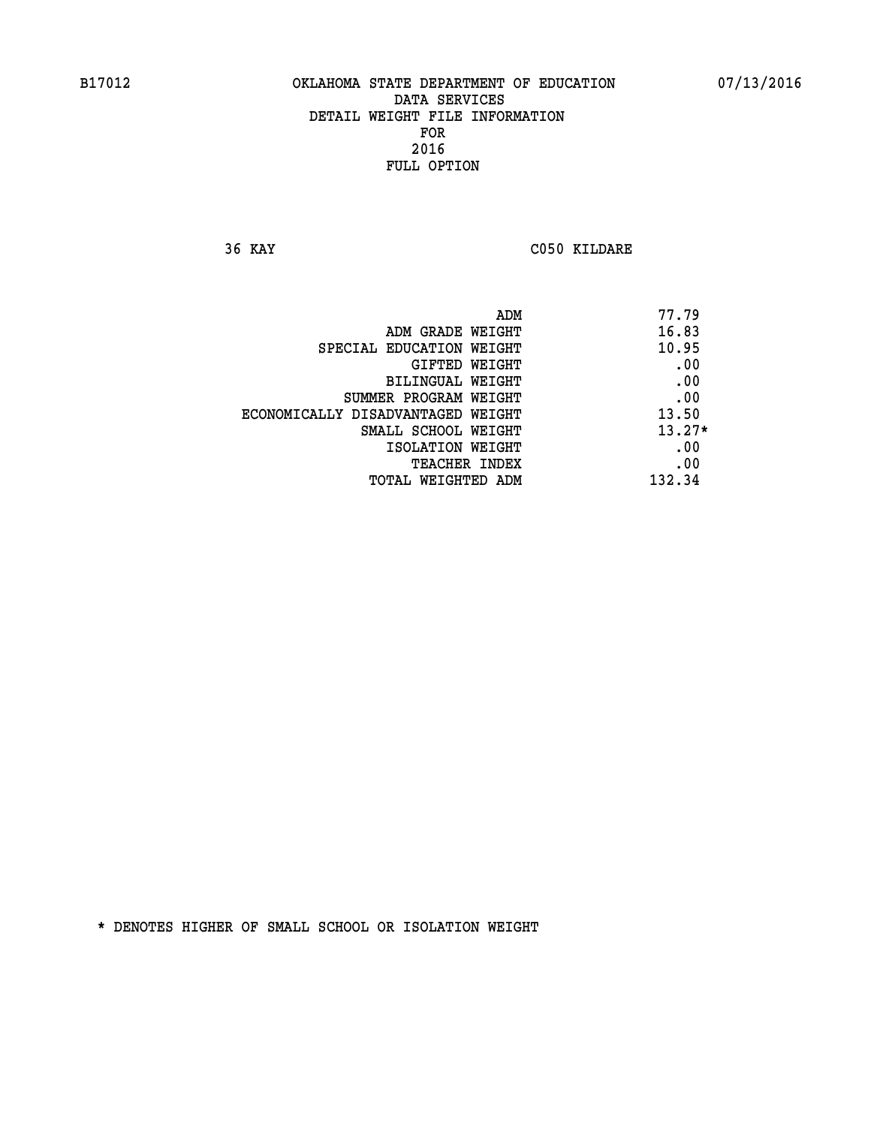**36 KAY C050 KILDARE** 

|                                   | ADM | 77.79    |
|-----------------------------------|-----|----------|
| ADM GRADE WEIGHT                  |     | 16.83    |
| SPECIAL EDUCATION WEIGHT          |     | 10.95    |
| GIFTED WEIGHT                     |     | .00      |
| BILINGUAL WEIGHT                  |     | .00      |
| SUMMER PROGRAM WEIGHT             |     | .00      |
| ECONOMICALLY DISADVANTAGED WEIGHT |     | 13.50    |
| SMALL SCHOOL WEIGHT               |     | $13.27*$ |
| ISOLATION WEIGHT                  |     | .00      |
| TEACHER INDEX                     |     | .00      |
| TOTAL WEIGHTED ADM                |     | 132.34   |
|                                   |     |          |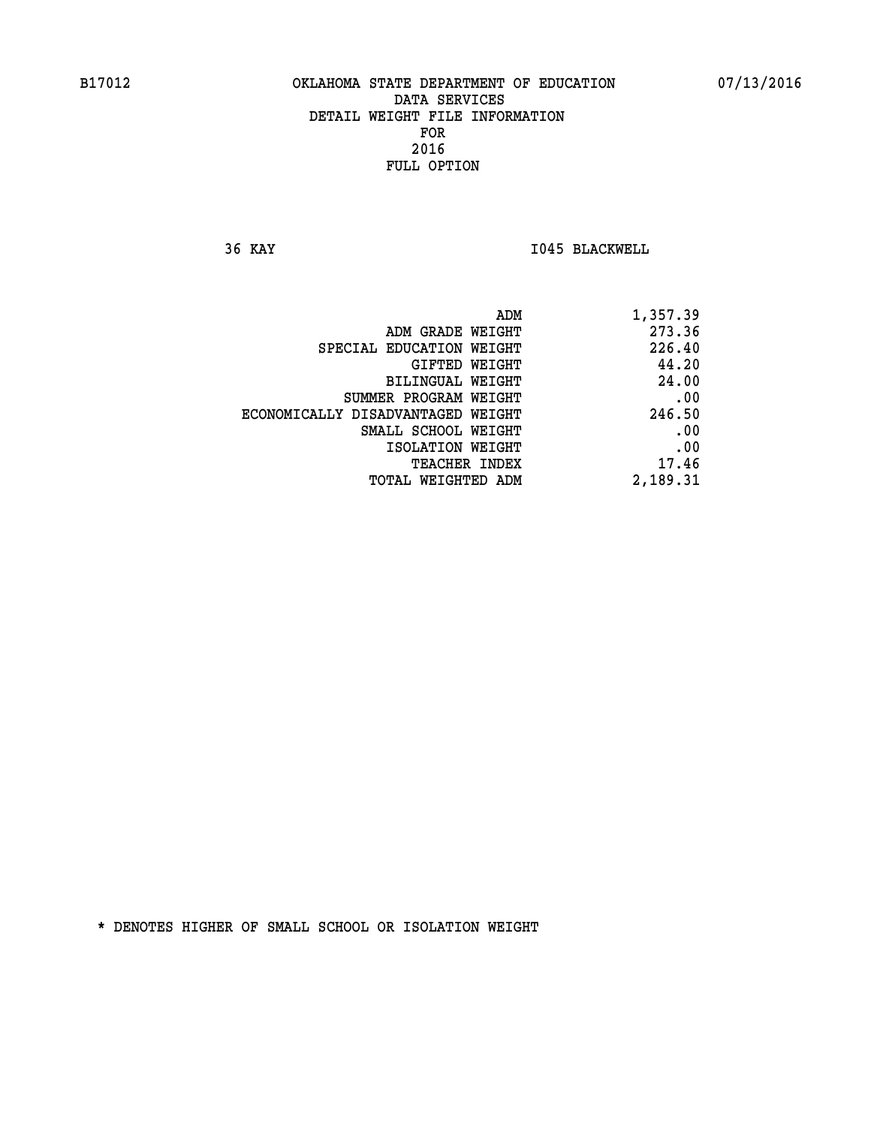**36 KAY I045 BLACKWELL** 

| ADM                               | 1,357.39 |
|-----------------------------------|----------|
| ADM GRADE WEIGHT                  | 273.36   |
| SPECIAL EDUCATION WEIGHT          | 226.40   |
| GIFTED WEIGHT                     | 44.20    |
| BILINGUAL WEIGHT                  | 24.00    |
| SUMMER PROGRAM WEIGHT             | .00      |
| ECONOMICALLY DISADVANTAGED WEIGHT | 246.50   |
| SMALL SCHOOL WEIGHT               | .00      |
| ISOLATION WEIGHT                  | .00      |
| <b>TEACHER INDEX</b>              | 17.46    |
| TOTAL WEIGHTED ADM                | 2,189.31 |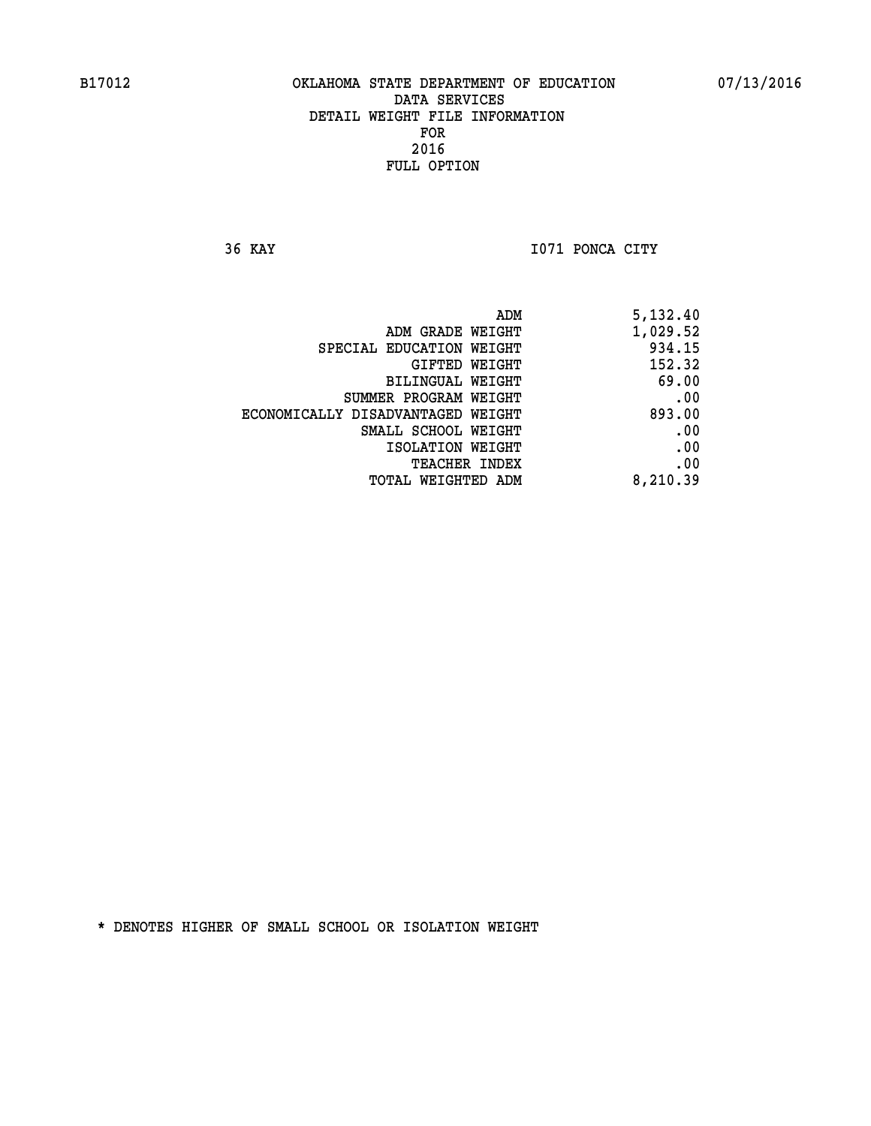**36 KAY I071 PONCA CITY** 

| ADM                               | 5,132.40 |
|-----------------------------------|----------|
| ADM GRADE WEIGHT                  | 1,029.52 |
| SPECIAL EDUCATION WEIGHT          | 934.15   |
| GIFTED WEIGHT                     | 152.32   |
| BILINGUAL WEIGHT                  | 69.00    |
| SUMMER PROGRAM WEIGHT             | .00      |
| ECONOMICALLY DISADVANTAGED WEIGHT | 893.00   |
| SMALL SCHOOL WEIGHT               | .00      |
| ISOLATION WEIGHT                  | .00      |
| TEACHER INDEX                     | .00      |
| TOTAL WEIGHTED ADM                | 8,210.39 |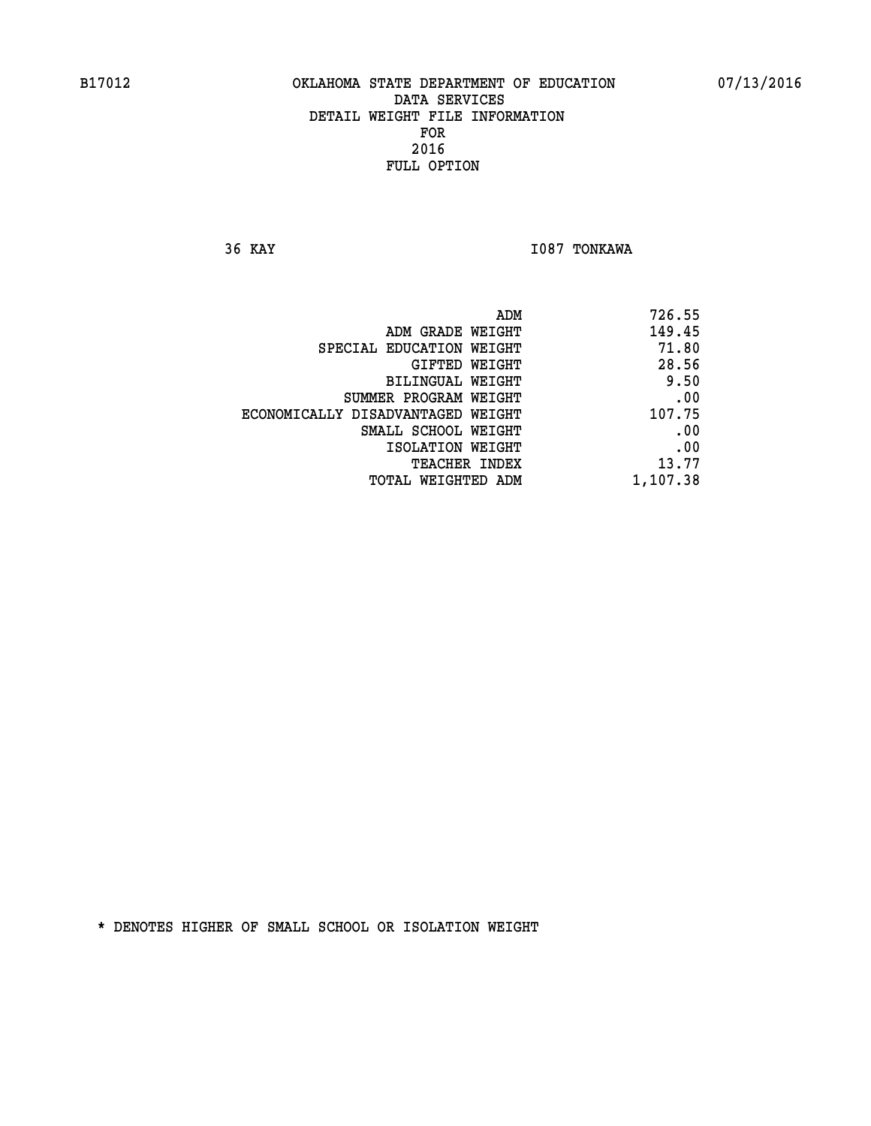**36 KAY I087 TONKAWA** 

| 726.55   |
|----------|
| 149.45   |
| 71.80    |
| 28.56    |
| 9.50     |
| .00      |
| 107.75   |
| .00      |
| .00      |
| 13.77    |
| 1,107.38 |
|          |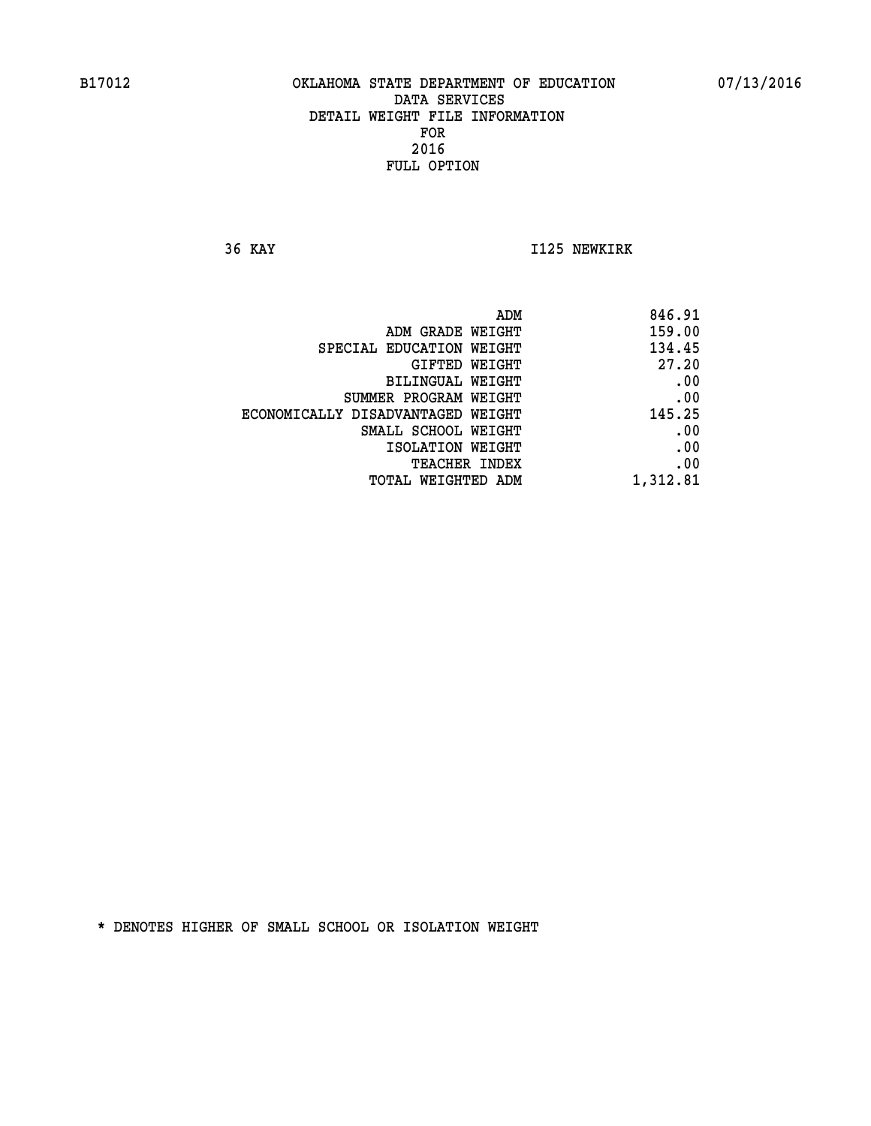**36 KAY I125 NEWKIRK** 

|                                   | 846.91<br>ADM |
|-----------------------------------|---------------|
| ADM GRADE WEIGHT                  | 159.00        |
| SPECIAL EDUCATION WEIGHT          | 134.45        |
| GIFTED WEIGHT                     | 27.20         |
| BILINGUAL WEIGHT                  | .00           |
| SUMMER PROGRAM WEIGHT             | .00           |
| ECONOMICALLY DISADVANTAGED WEIGHT | 145.25        |
| SMALL SCHOOL WEIGHT               | .00           |
| ISOLATION WEIGHT                  | .00           |
| TEACHER INDEX                     | .00           |
| TOTAL WEIGHTED ADM                | 1,312.81      |
|                                   |               |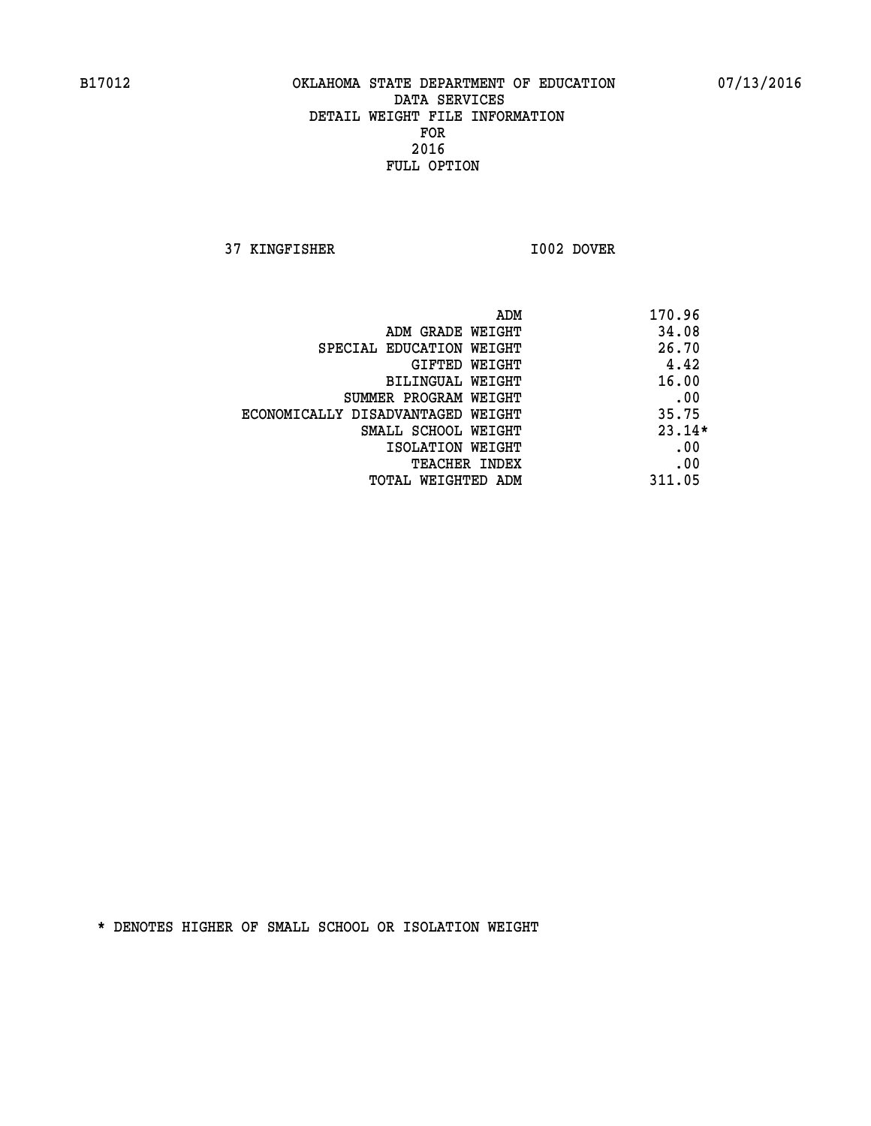**37 KINGFISHER I002 DOVER** 

|                                   | ADM | 170.96   |
|-----------------------------------|-----|----------|
| ADM GRADE WEIGHT                  |     | 34.08    |
| SPECIAL EDUCATION WEIGHT          |     | 26.70    |
| GIFTED WEIGHT                     |     | 4.42     |
| BILINGUAL WEIGHT                  |     | 16.00    |
| SUMMER PROGRAM WEIGHT             |     | .00      |
| ECONOMICALLY DISADVANTAGED WEIGHT |     | 35.75    |
| SMALL SCHOOL WEIGHT               |     | $23.14*$ |
| ISOLATION WEIGHT                  |     | .00      |
| <b>TEACHER INDEX</b>              |     | .00      |
| TOTAL WEIGHTED ADM                |     | 311.05   |
|                                   |     |          |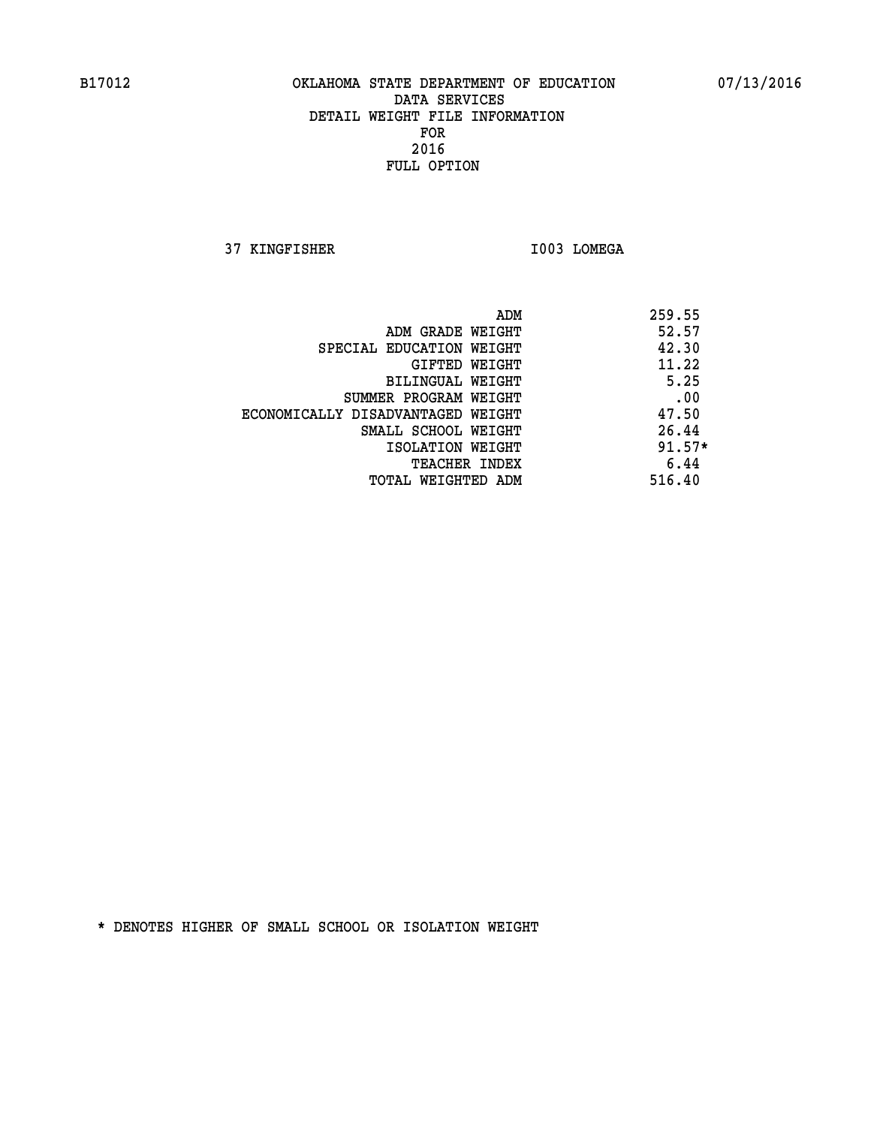**37 KINGFISHER I003 LOMEGA** 

|                                   | 259.55<br>ADM |
|-----------------------------------|---------------|
| ADM GRADE WEIGHT                  | 52.57         |
| SPECIAL EDUCATION WEIGHT          | 42.30         |
| GIFTED WEIGHT                     | 11.22         |
| BILINGUAL WEIGHT                  | 5.25          |
| SUMMER PROGRAM WEIGHT             | .00           |
| ECONOMICALLY DISADVANTAGED WEIGHT | 47.50         |
| SMALL SCHOOL WEIGHT               | 26.44         |
| ISOLATION WEIGHT                  | $91.57*$      |
| <b>TEACHER INDEX</b>              | 6.44          |
| TOTAL WEIGHTED ADM                | 516.40        |
|                                   |               |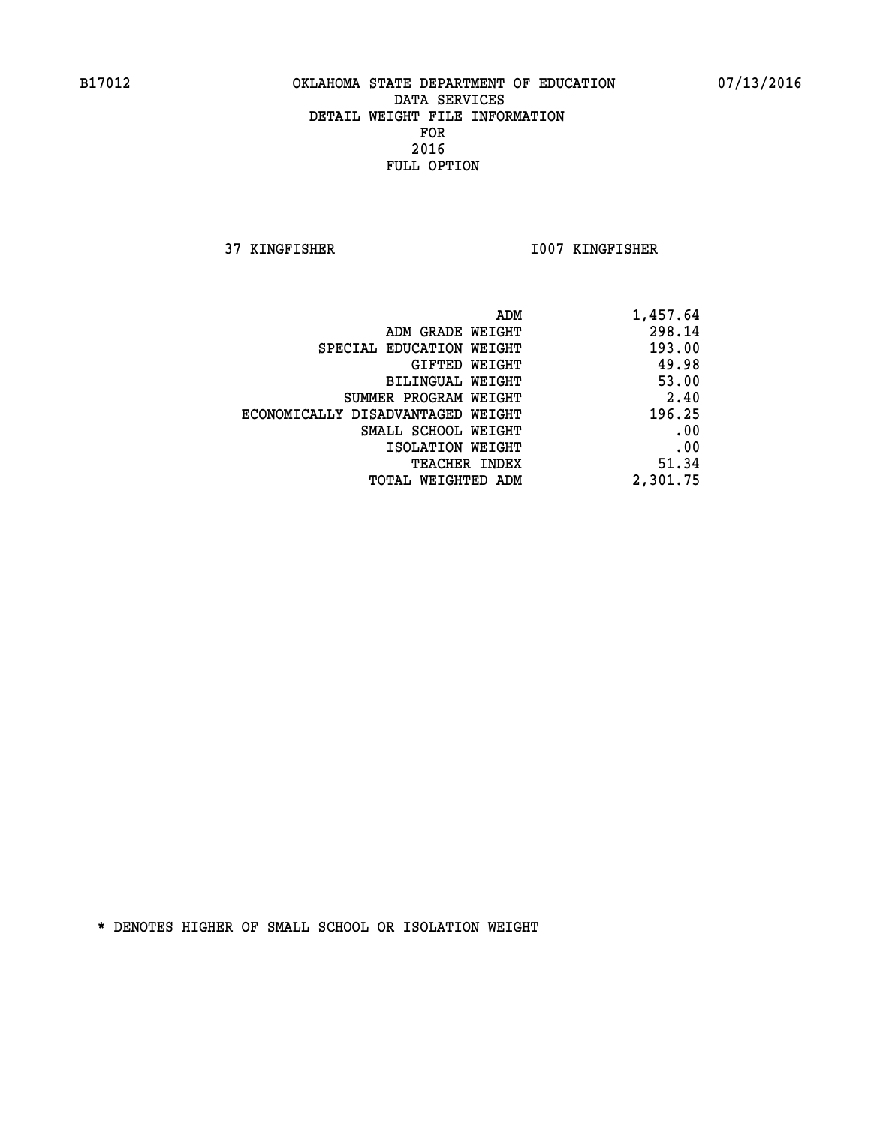**37 KINGFISHER I007 KINGFISHER** 

| ADM                               | 1,457.64 |
|-----------------------------------|----------|
| ADM GRADE WEIGHT                  | 298.14   |
| SPECIAL EDUCATION WEIGHT          | 193.00   |
| GIFTED WEIGHT                     | 49.98    |
| <b>BILINGUAL WEIGHT</b>           | 53.00    |
| SUMMER PROGRAM WEIGHT             | 2.40     |
| ECONOMICALLY DISADVANTAGED WEIGHT | 196.25   |
| SMALL SCHOOL WEIGHT               | .00      |
| ISOLATION WEIGHT                  | .00      |
| TEACHER INDEX                     | 51.34    |
| TOTAL WEIGHTED ADM                | 2,301.75 |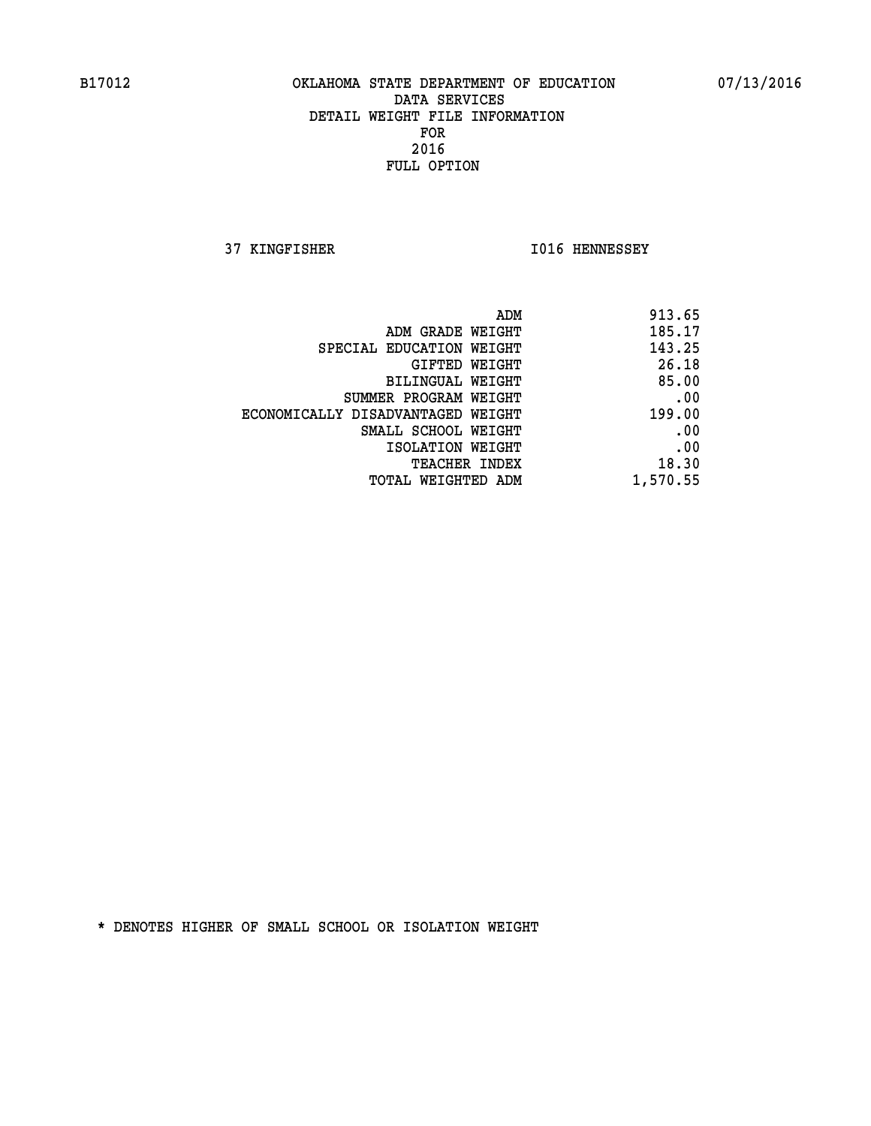**37 KINGFISHER I016 HENNESSEY** 

| 913.65   |
|----------|
| 185.17   |
| 143.25   |
| 26.18    |
| 85.00    |
| .00      |
| 199.00   |
| .00      |
| .00      |
| 18.30    |
| 1,570.55 |
|          |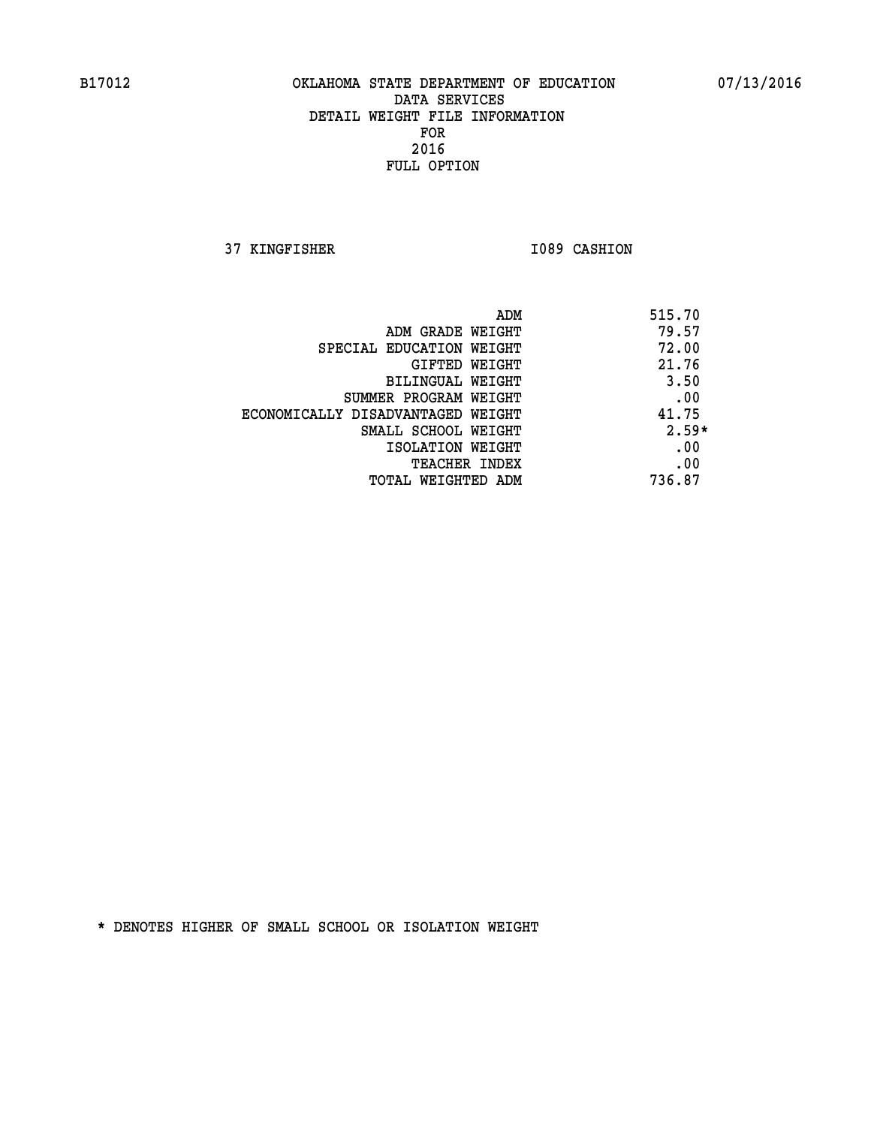**37 KINGFISHER 1089 CASHION** 

|                                   | ADM | 515.70  |
|-----------------------------------|-----|---------|
| ADM GRADE WEIGHT                  |     | 79.57   |
| SPECIAL EDUCATION WEIGHT          |     | 72.00   |
| GIFTED WEIGHT                     |     | 21.76   |
| BILINGUAL WEIGHT                  |     | 3.50    |
| SUMMER PROGRAM WEIGHT             |     | .00     |
| ECONOMICALLY DISADVANTAGED WEIGHT |     | 41.75   |
| SMALL SCHOOL WEIGHT               |     | $2.59*$ |
| ISOLATION WEIGHT                  |     | .00     |
| TEACHER INDEX                     |     | .00     |
| TOTAL WEIGHTED ADM                |     | 736.87  |
|                                   |     |         |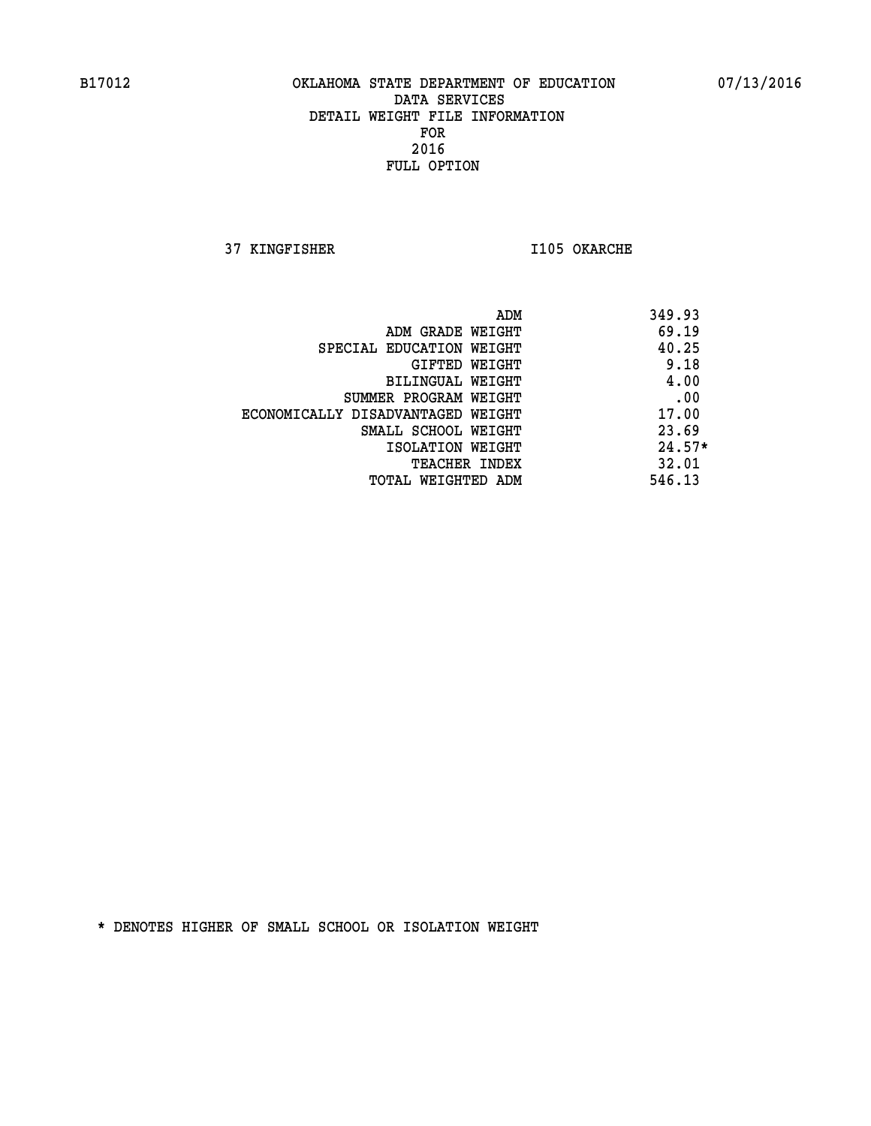**37 KINGFISHER I105 OKARCHE** 

|                                   | ADM | 349.93   |
|-----------------------------------|-----|----------|
| ADM GRADE WEIGHT                  |     | 69.19    |
| SPECIAL EDUCATION WEIGHT          |     | 40.25    |
| GIFTED WEIGHT                     |     | 9.18     |
| BILINGUAL WEIGHT                  |     | 4.00     |
| SUMMER PROGRAM WEIGHT             |     | .00      |
| ECONOMICALLY DISADVANTAGED WEIGHT |     | 17.00    |
| SMALL SCHOOL WEIGHT               |     | 23.69    |
| ISOLATION WEIGHT                  |     | $24.57*$ |
| TEACHER INDEX                     |     | 32.01    |
| TOTAL WEIGHTED ADM                |     | 546.13   |
|                                   |     |          |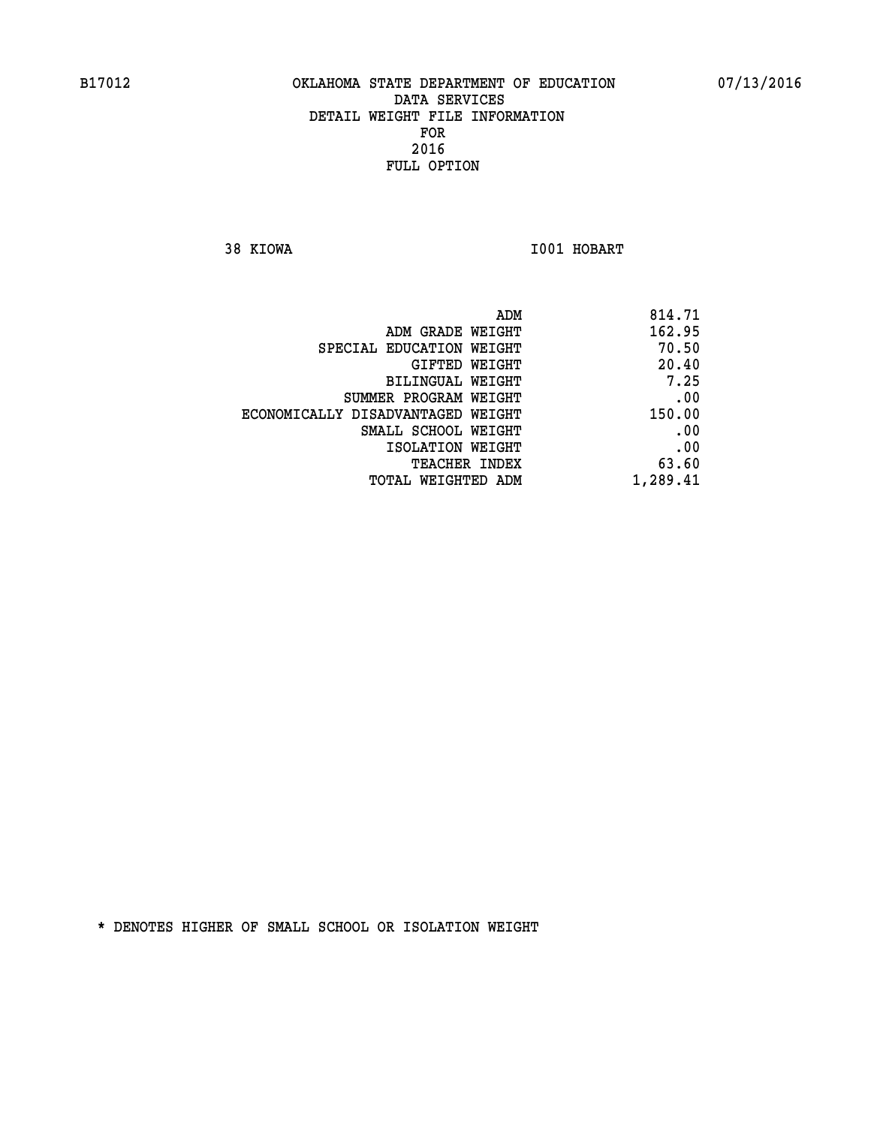**38 KIOWA I001 HOBART** 

| 814.71                                    |
|-------------------------------------------|
| 162.95                                    |
| 70.50                                     |
| 20.40                                     |
| 7.25                                      |
| .00                                       |
| 150.00                                    |
| .00                                       |
| .00                                       |
| 63.60                                     |
| 1,289.41                                  |
| ADM GRADE WEIGHT<br>SUMMER PROGRAM WEIGHT |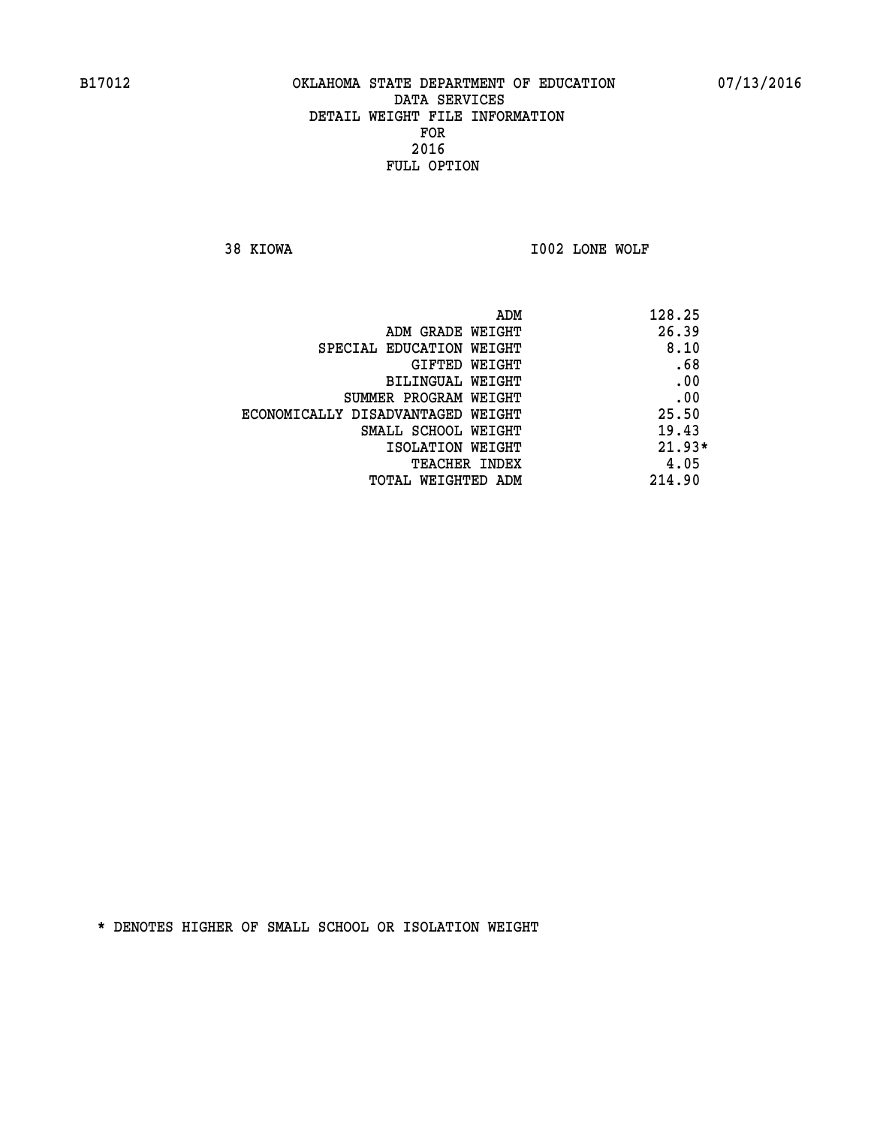**38 KIOWA I002 LONE WOLF** 

| ADM                               | 128.25   |
|-----------------------------------|----------|
| ADM GRADE WEIGHT                  | 26.39    |
| SPECIAL EDUCATION WEIGHT          | 8.10     |
| GIFTED WEIGHT                     | .68      |
| BILINGUAL WEIGHT                  | .00      |
| SUMMER PROGRAM WEIGHT             | .00      |
| ECONOMICALLY DISADVANTAGED WEIGHT | 25.50    |
| SMALL SCHOOL WEIGHT               | 19.43    |
| ISOLATION WEIGHT                  | $21.93*$ |
| <b>TEACHER INDEX</b>              | 4.05     |
| TOTAL WEIGHTED ADM                | 214.90   |
|                                   |          |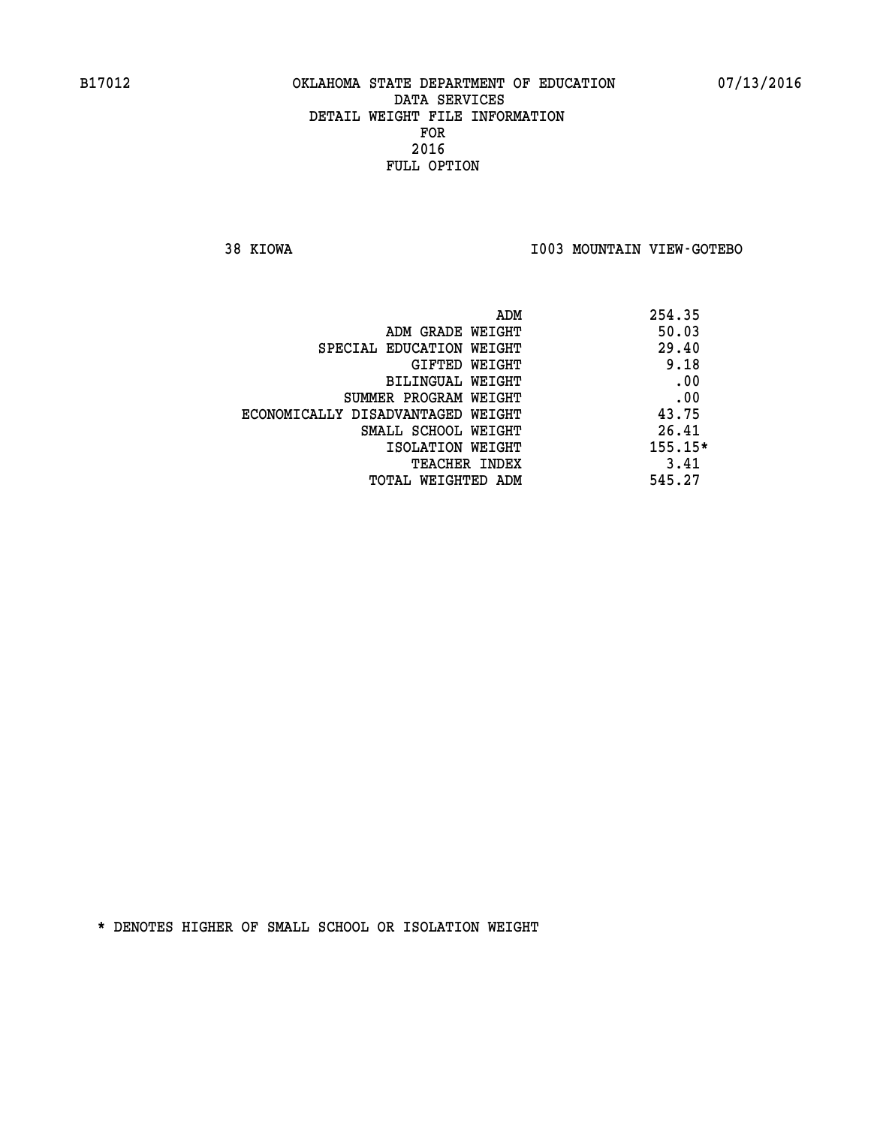**38 KIOWA I003 MOUNTAIN VIEW-GOTEBO** 

|                                   | ADM | 254.35    |
|-----------------------------------|-----|-----------|
| ADM GRADE WEIGHT                  |     | 50.03     |
| SPECIAL EDUCATION WEIGHT          |     | 29.40     |
| GIFTED WEIGHT                     |     | 9.18      |
| BILINGUAL WEIGHT                  |     | .00       |
| SUMMER PROGRAM WEIGHT             |     | .00       |
| ECONOMICALLY DISADVANTAGED WEIGHT |     | 43.75     |
| SMALL SCHOOL WEIGHT               |     | 26.41     |
| ISOLATION WEIGHT                  |     | $155.15*$ |
| TEACHER INDEX                     |     | 3.41      |
| TOTAL WEIGHTED ADM                |     | 545.27    |
|                                   |     |           |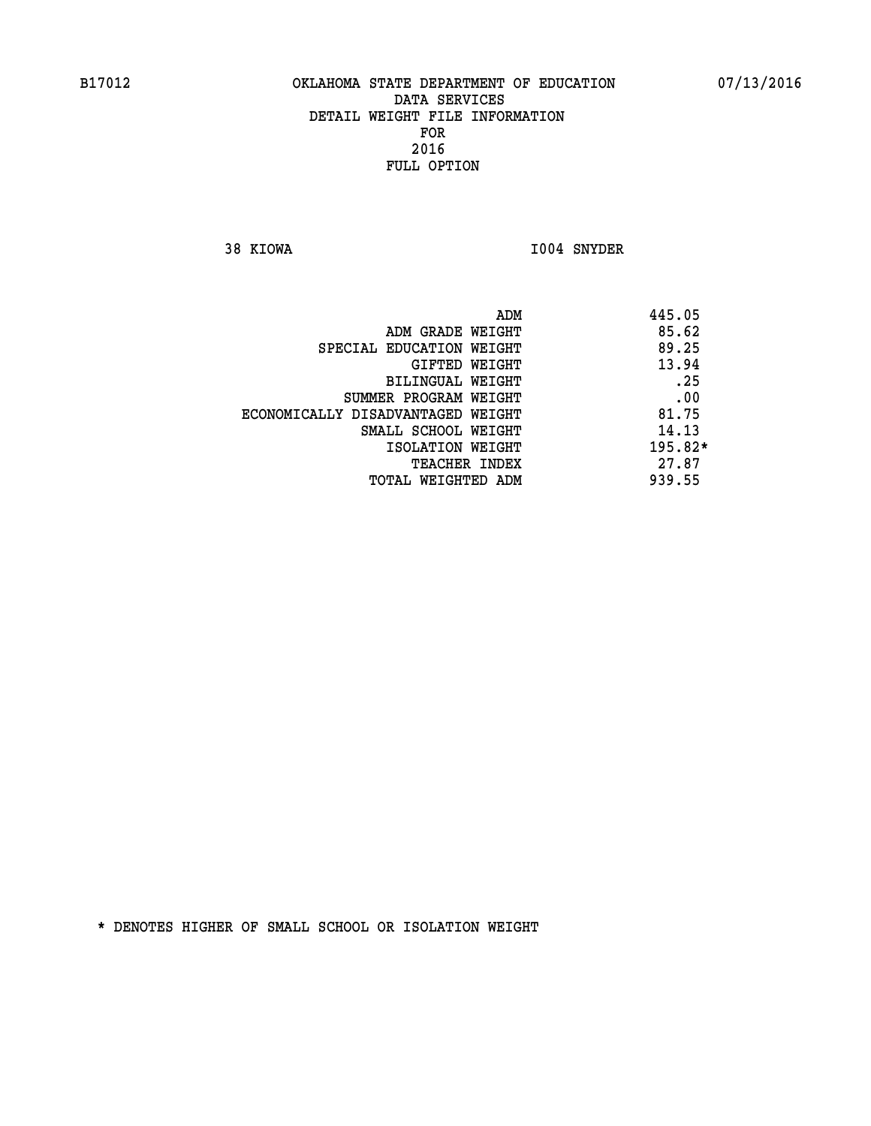**38 KIOWA I004 SNYDER** 

|                                   | ADM | 445.05    |
|-----------------------------------|-----|-----------|
| ADM GRADE WEIGHT                  |     | 85.62     |
| SPECIAL EDUCATION WEIGHT          |     | 89.25     |
| GIFTED WEIGHT                     |     | 13.94     |
| BILINGUAL WEIGHT                  |     | .25       |
| SUMMER PROGRAM WEIGHT             |     | .00       |
| ECONOMICALLY DISADVANTAGED WEIGHT |     | 81.75     |
| SMALL SCHOOL WEIGHT               |     | 14.13     |
| ISOLATION WEIGHT                  |     | $195.82*$ |
| TEACHER INDEX                     |     | 27.87     |
| TOTAL WEIGHTED ADM                |     | 939.55    |
|                                   |     |           |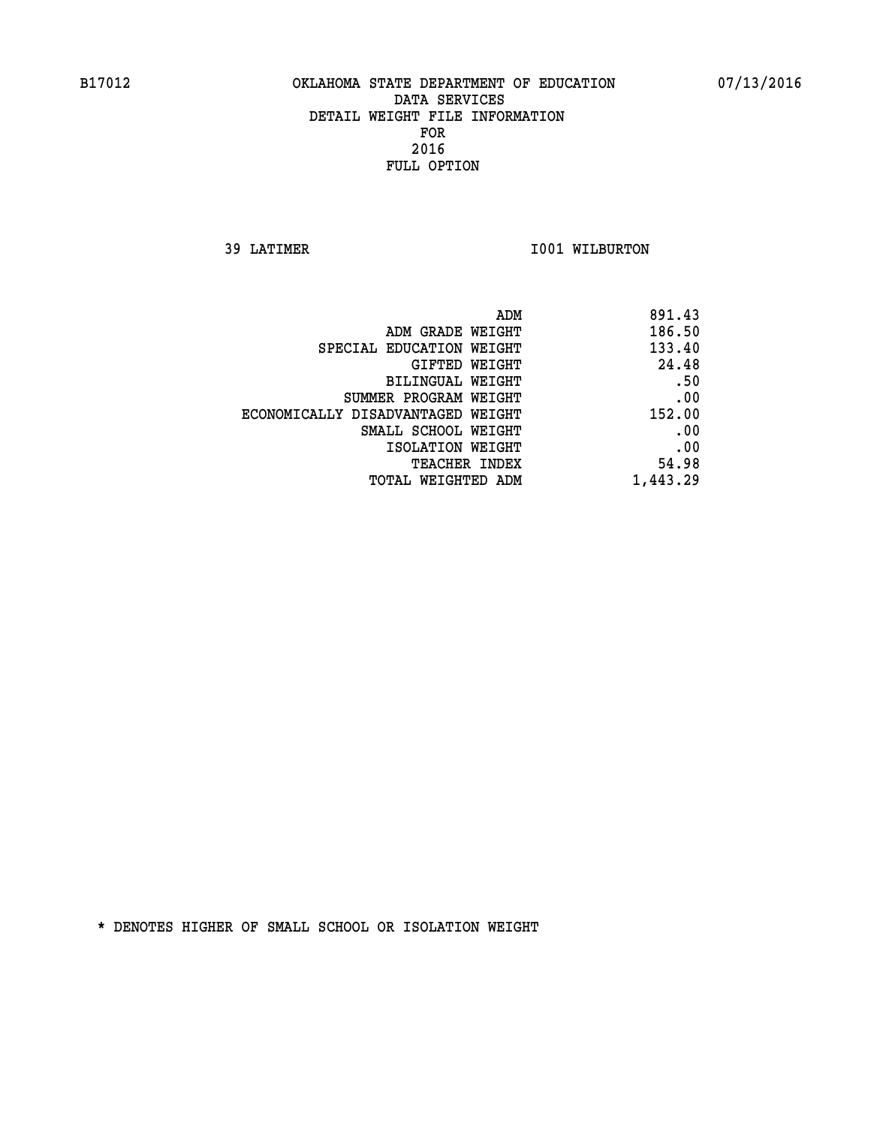**39 LATIMER 1001 WILBURTON** 

| 891.43   |
|----------|
| 186.50   |
| 133.40   |
| 24.48    |
| .50      |
| .00      |
| 152.00   |
| .00      |
| .00      |
| 54.98    |
| 1,443.29 |
|          |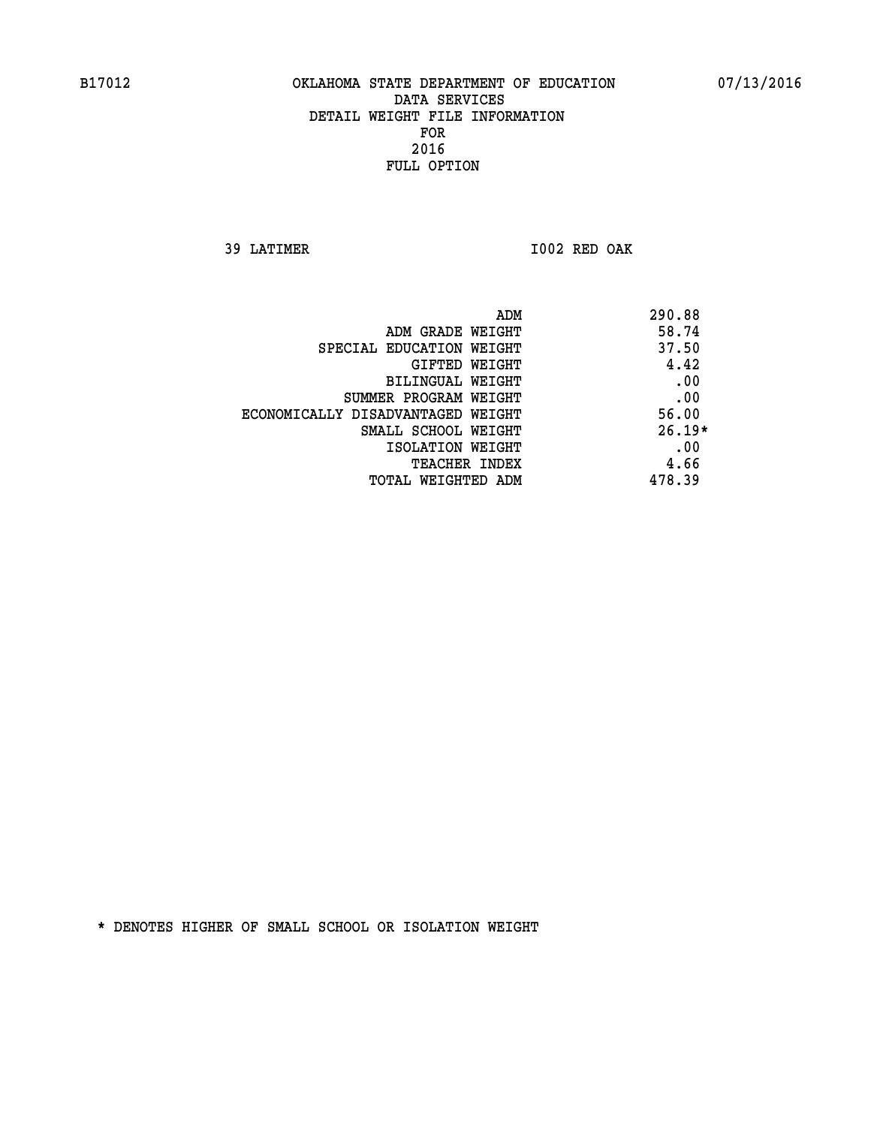**39 LATIMER I002 RED OAK** 

| ADM                               | 290.88   |
|-----------------------------------|----------|
| ADM GRADE WEIGHT                  | 58.74    |
| SPECIAL EDUCATION WEIGHT          | 37.50    |
| GIFTED WEIGHT                     | 4.42     |
| BILINGUAL WEIGHT                  | .00      |
| SUMMER PROGRAM WEIGHT             | .00      |
| ECONOMICALLY DISADVANTAGED WEIGHT | 56.00    |
| SMALL SCHOOL WEIGHT               | $26.19*$ |
| ISOLATION WEIGHT                  | .00      |
| <b>TEACHER INDEX</b>              | 4.66     |
| TOTAL WEIGHTED ADM                | 478.39   |
|                                   |          |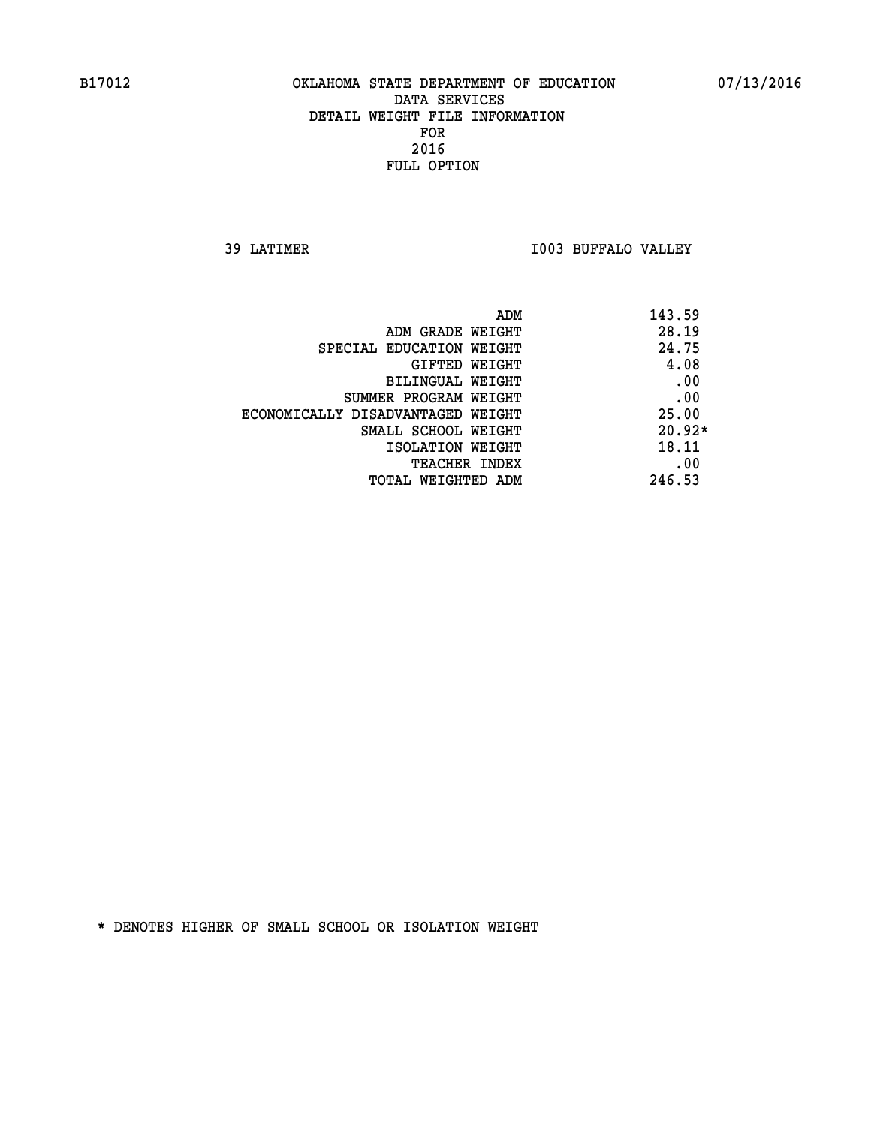**39 LATIMER I003 BUFFALO VALLEY** 

|                                   | 143.59<br>ADM |
|-----------------------------------|---------------|
| ADM GRADE WEIGHT                  | 28.19         |
| SPECIAL EDUCATION WEIGHT          | 24.75         |
| GIFTED WEIGHT                     | 4.08          |
| BILINGUAL WEIGHT                  | .00           |
| SUMMER PROGRAM WEIGHT             | .00           |
| ECONOMICALLY DISADVANTAGED WEIGHT | 25.00         |
| SMALL SCHOOL WEIGHT               | $20.92*$      |
| ISOLATION WEIGHT                  | 18.11         |
| <b>TEACHER INDEX</b>              | .00           |
| TOTAL WEIGHTED ADM                | 246.53        |
|                                   |               |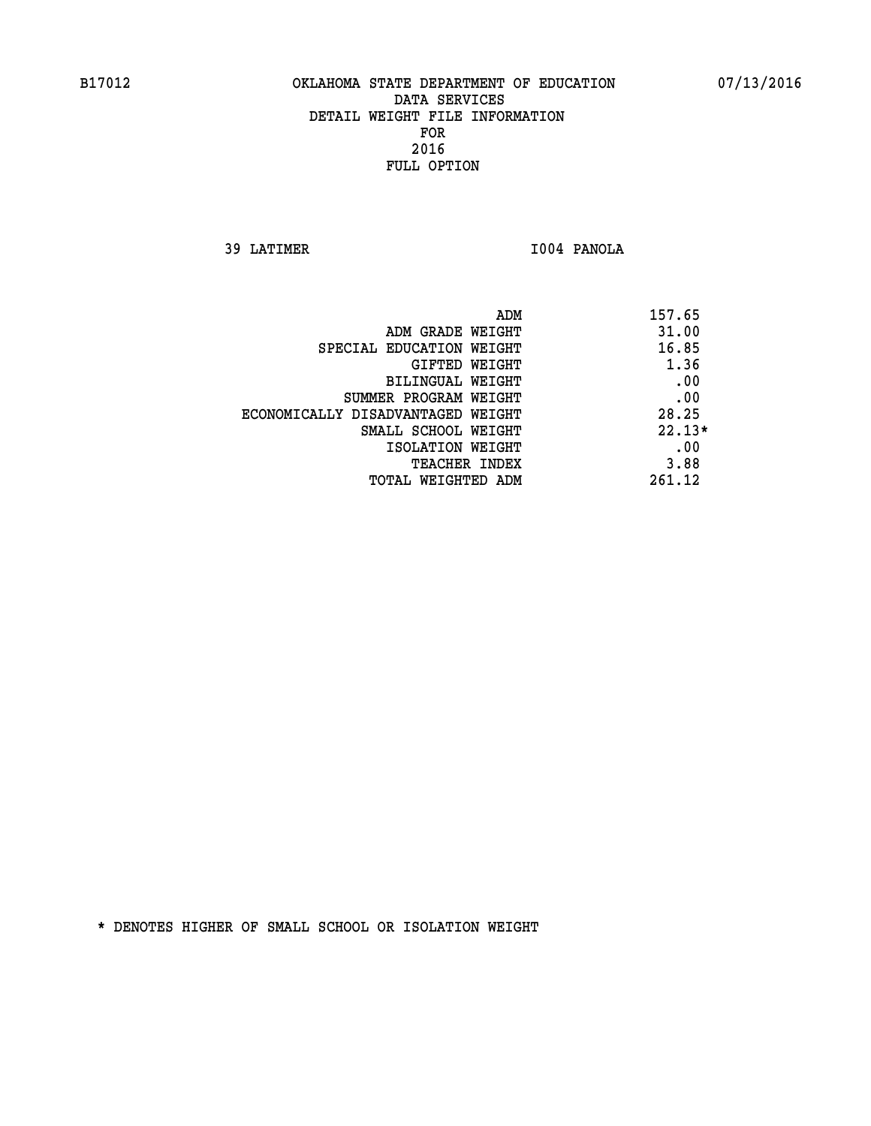**39 LATIMER I004 PANOLA** 

| ADM                               | 157.65   |
|-----------------------------------|----------|
| ADM GRADE WEIGHT                  | 31.00    |
| SPECIAL EDUCATION WEIGHT          | 16.85    |
| GIFTED WEIGHT                     | 1.36     |
| BILINGUAL WEIGHT                  | .00      |
| SUMMER PROGRAM WEIGHT             | .00      |
| ECONOMICALLY DISADVANTAGED WEIGHT | 28.25    |
| SMALL SCHOOL WEIGHT               | $22.13*$ |
| ISOLATION WEIGHT                  | .00      |
| <b>TEACHER INDEX</b>              | 3.88     |
| TOTAL WEIGHTED ADM                | 261.12   |
|                                   |          |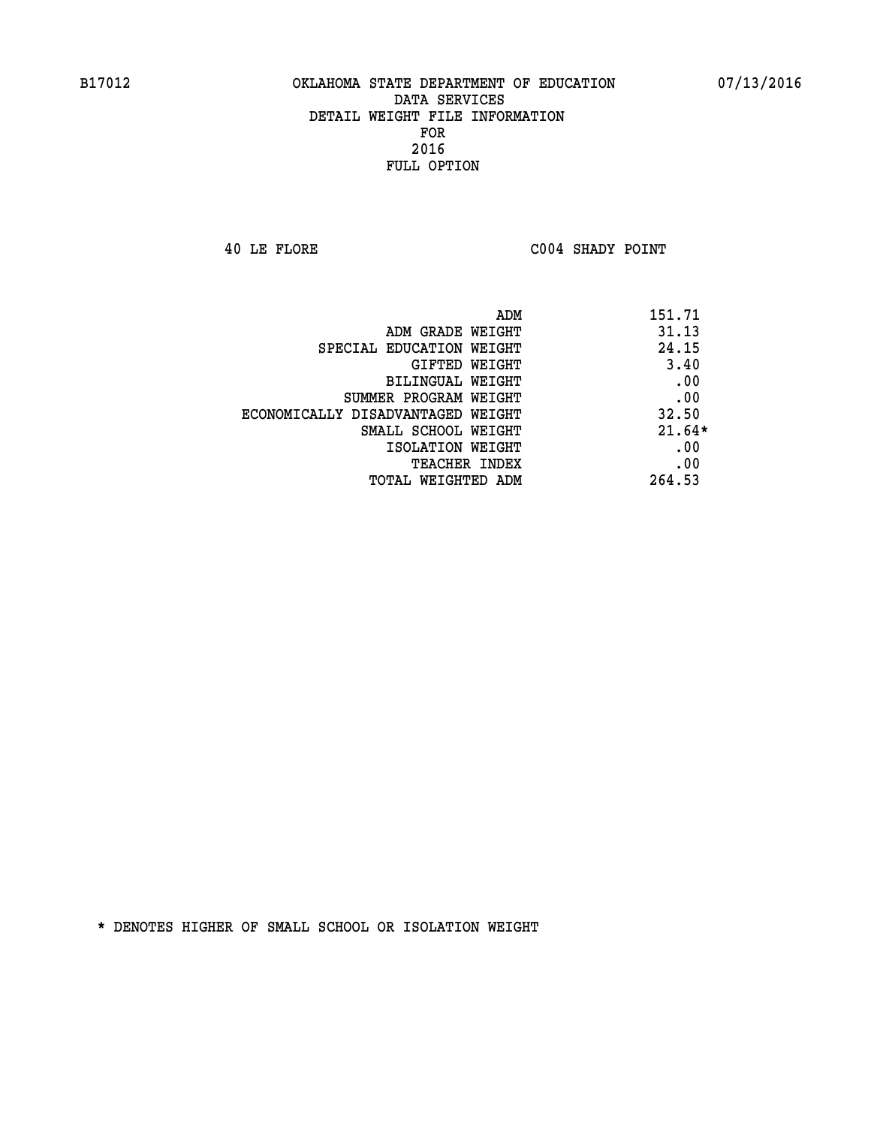**40 LE FLORE C004 SHADY POINT** 

| ADM                               | 151.71   |
|-----------------------------------|----------|
| ADM GRADE WEIGHT                  | 31.13    |
| SPECIAL EDUCATION WEIGHT          | 24.15    |
| GIFTED WEIGHT                     | 3.40     |
| BILINGUAL WEIGHT                  | .00      |
| SUMMER PROGRAM WEIGHT             | .00      |
| ECONOMICALLY DISADVANTAGED WEIGHT | 32.50    |
| SMALL SCHOOL WEIGHT               | $21.64*$ |
| ISOLATION WEIGHT                  | .00      |
| TEACHER INDEX                     | .00      |
| TOTAL WEIGHTED ADM                | 264.53   |
|                                   |          |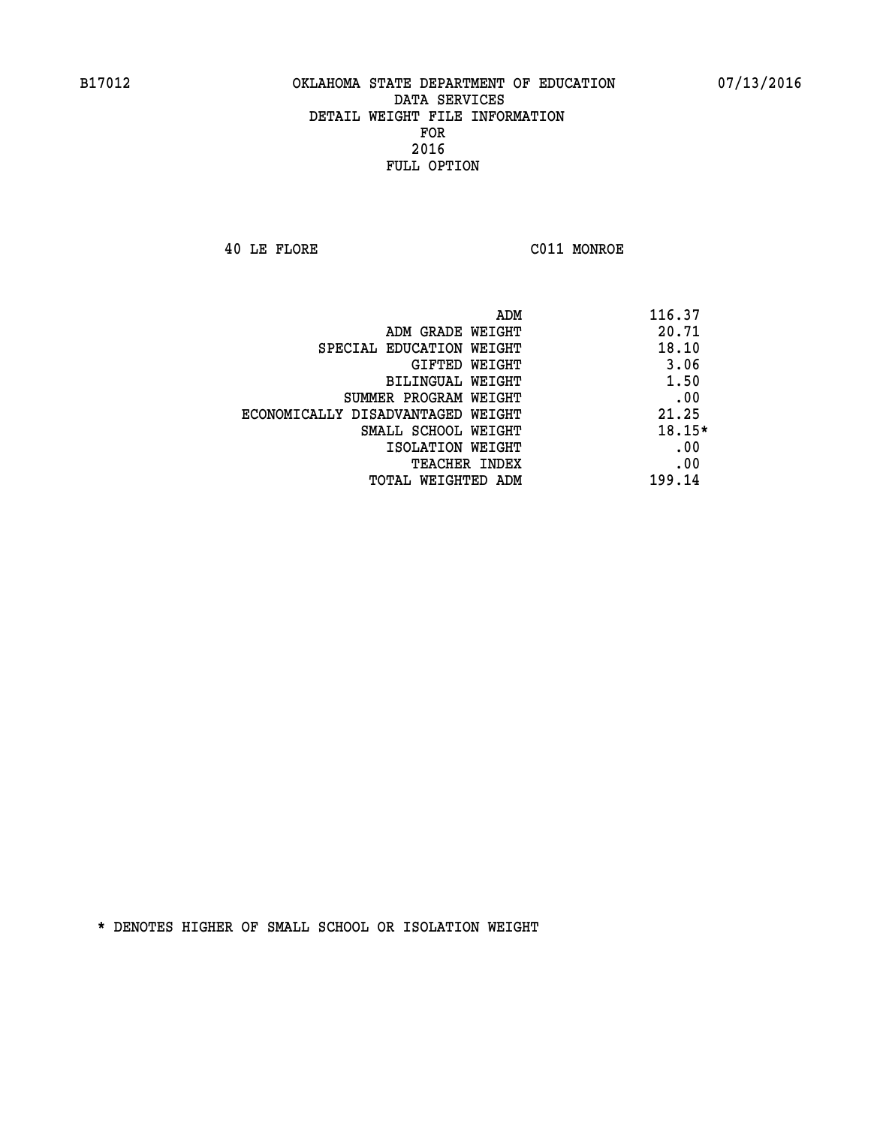**40 LE FLORE C011 MONROE** 

| ADM                               | 116.37   |
|-----------------------------------|----------|
| ADM GRADE WEIGHT                  | 20.71    |
| SPECIAL EDUCATION WEIGHT          | 18.10    |
| <b>GIFTED WEIGHT</b>              | 3.06     |
| BILINGUAL WEIGHT                  | 1.50     |
| SUMMER PROGRAM WEIGHT             | .00      |
| ECONOMICALLY DISADVANTAGED WEIGHT | 21.25    |
| SMALL SCHOOL WEIGHT               | $18.15*$ |
| ISOLATION WEIGHT                  | .00      |
| <b>TEACHER INDEX</b>              | .00      |
| TOTAL WEIGHTED ADM                | 199.14   |
|                                   |          |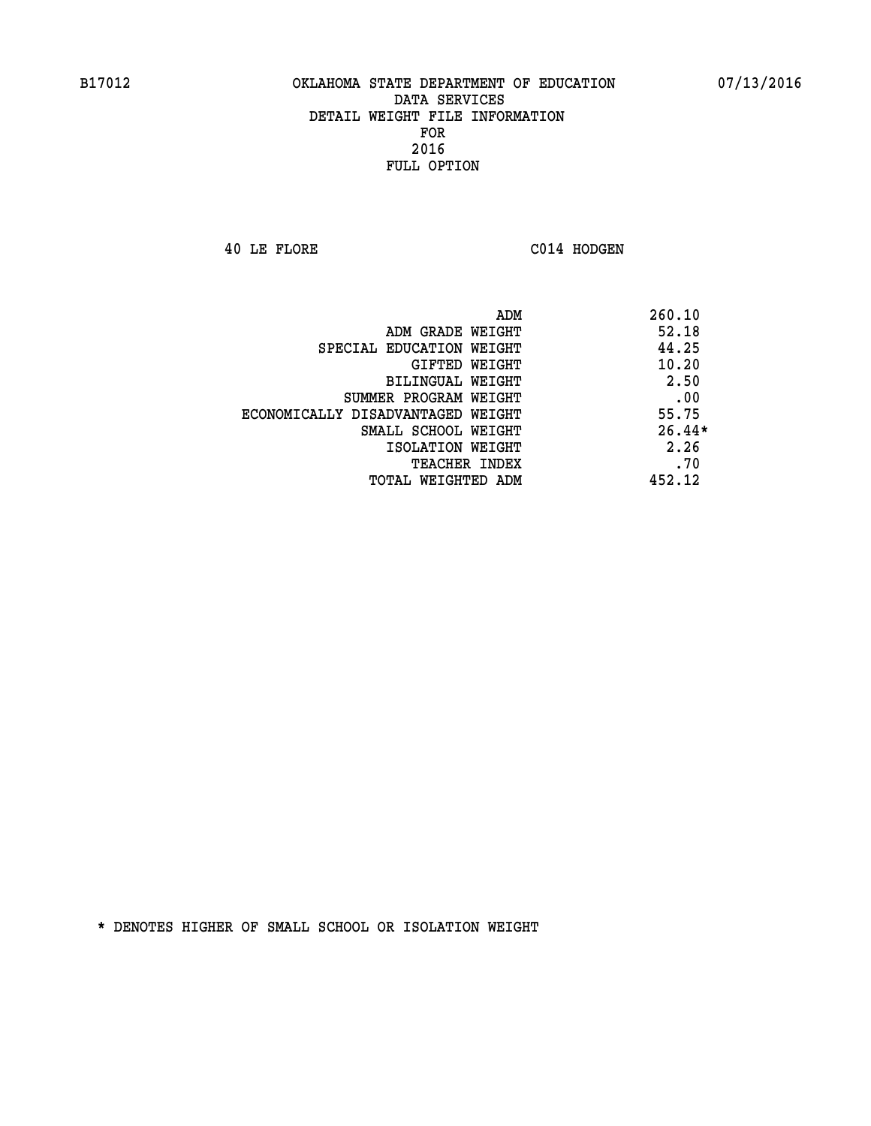**40 LE FLORE C014 HODGEN** 

|                                   | 260.10<br>ADM |
|-----------------------------------|---------------|
| ADM GRADE WEIGHT                  | 52.18         |
| SPECIAL EDUCATION WEIGHT          | 44.25         |
| GIFTED WEIGHT                     | 10.20         |
| <b>BILINGUAL WEIGHT</b>           | 2.50          |
| SUMMER PROGRAM WEIGHT             | .00           |
| ECONOMICALLY DISADVANTAGED WEIGHT | 55.75         |
| SMALL SCHOOL WEIGHT               | $26.44*$      |
| ISOLATION WEIGHT                  | 2.26          |
| <b>TEACHER INDEX</b>              | .70           |
| TOTAL WEIGHTED ADM                | 452.12        |
|                                   |               |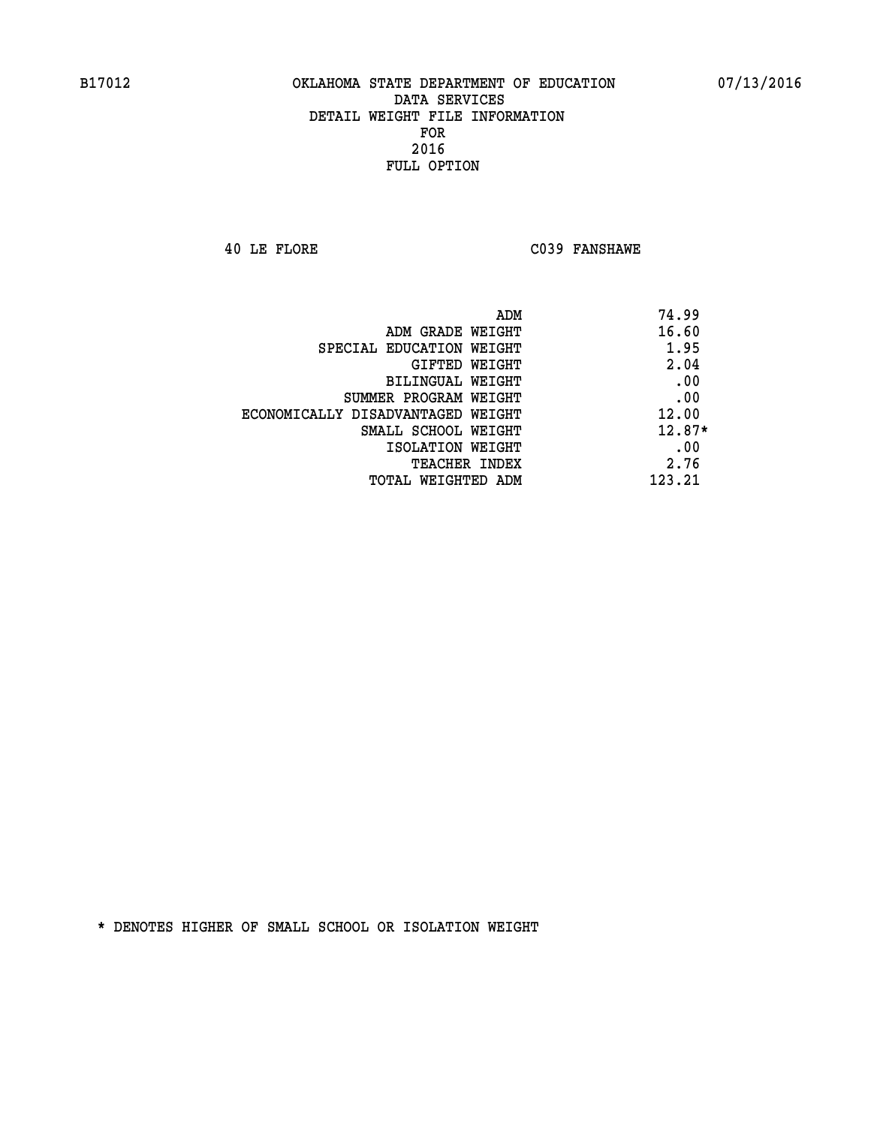**40 LE FLORE C039 FANSHAWE** 

| ADM<br>74.99                               |  |
|--------------------------------------------|--|
| 16.60<br>ADM GRADE WEIGHT                  |  |
| 1.95<br>SPECIAL EDUCATION WEIGHT           |  |
| 2.04<br>GIFTED WEIGHT                      |  |
| .00<br>BILINGUAL WEIGHT                    |  |
| .00<br>SUMMER PROGRAM WEIGHT               |  |
| 12.00<br>ECONOMICALLY DISADVANTAGED WEIGHT |  |
| $12.87*$<br>SMALL SCHOOL WEIGHT            |  |
| .00<br>ISOLATION WEIGHT                    |  |
| 2.76<br><b>TEACHER INDEX</b>               |  |
| 123.21<br>TOTAL WEIGHTED ADM               |  |
|                                            |  |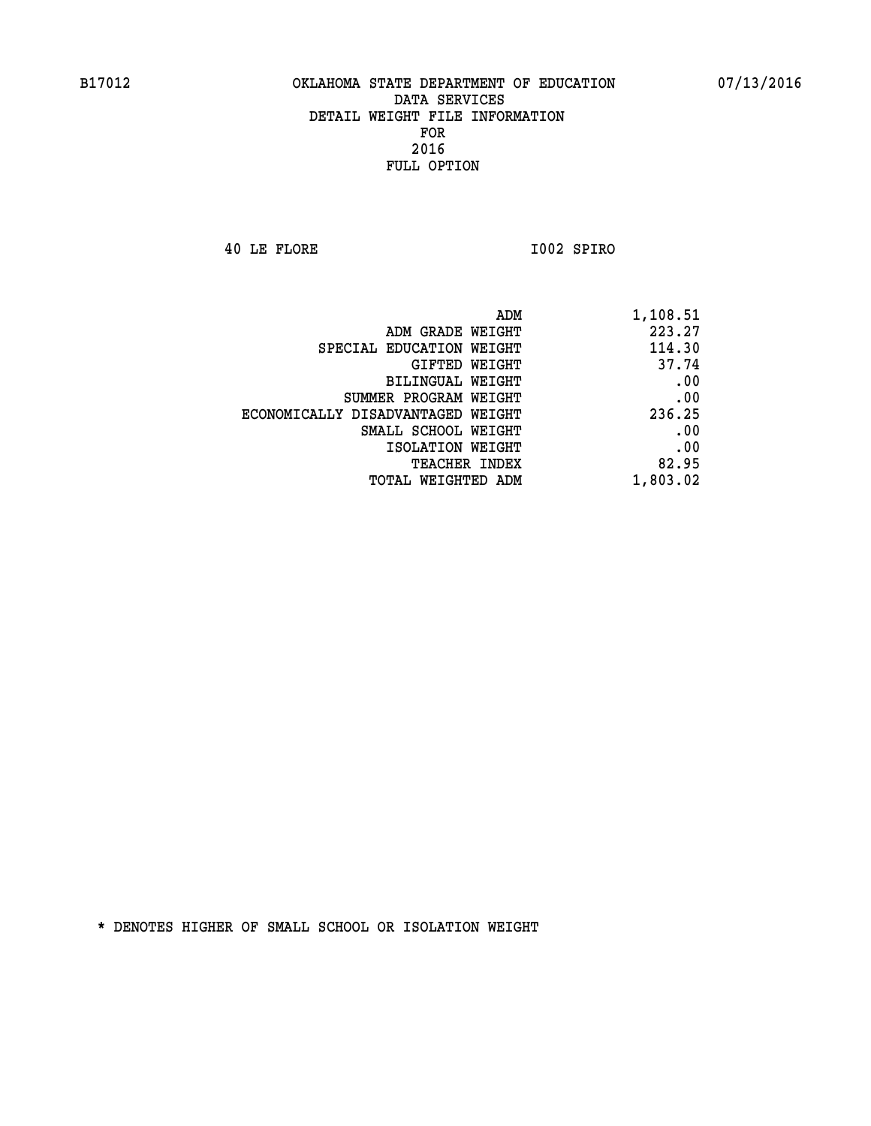**40 LE FLORE I002 SPIRO** 

|                                   | ADM | 1,108.51 |
|-----------------------------------|-----|----------|
| ADM GRADE WEIGHT                  |     | 223.27   |
| SPECIAL EDUCATION WEIGHT          |     | 114.30   |
| GIFTED WEIGHT                     |     | 37.74    |
| <b>BILINGUAL WEIGHT</b>           |     | .00      |
| SUMMER PROGRAM WEIGHT             |     | .00      |
| ECONOMICALLY DISADVANTAGED WEIGHT |     | 236.25   |
| SMALL SCHOOL WEIGHT               |     | .00      |
| ISOLATION WEIGHT                  |     | .00      |
| TEACHER INDEX                     |     | 82.95    |
| TOTAL WEIGHTED ADM                |     | 1,803.02 |
|                                   |     |          |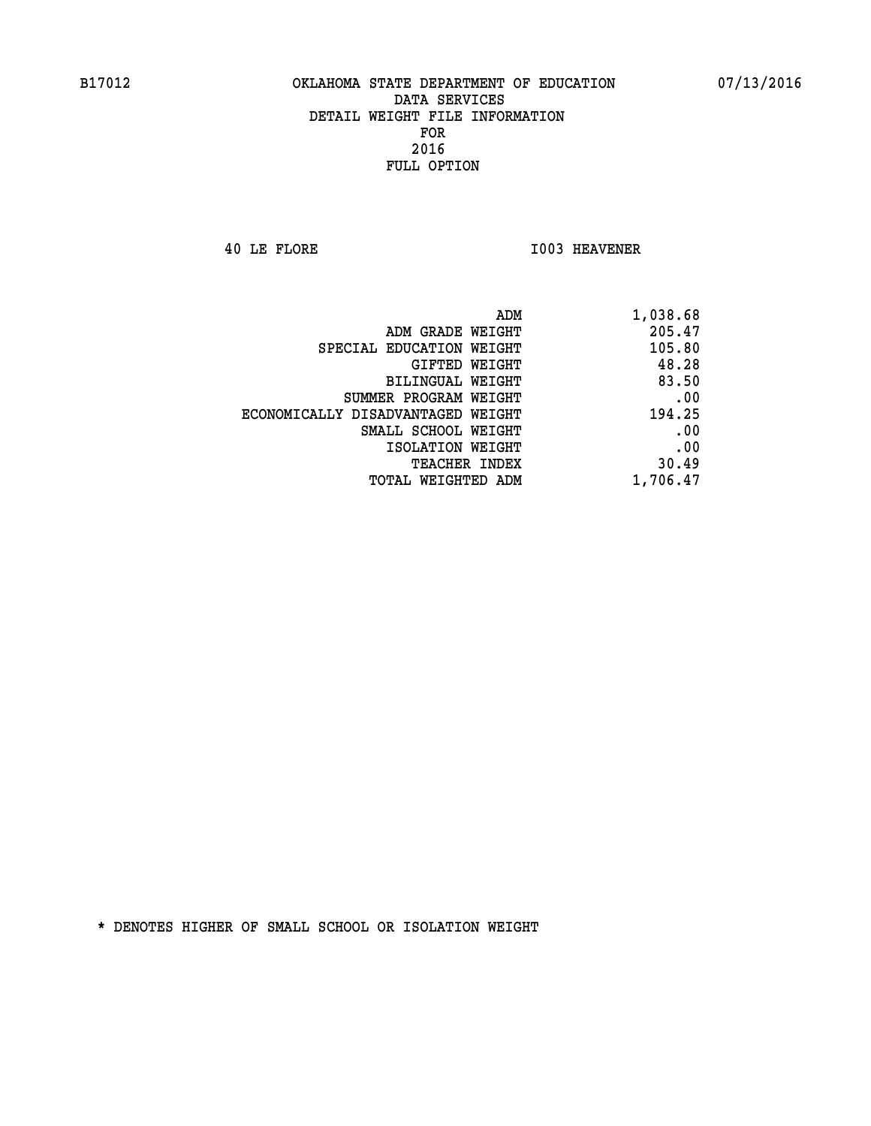**40 LE FLORE I003 HEAVENER** 

| 1,038.68 | ADM                               |
|----------|-----------------------------------|
| 205.47   | ADM GRADE WEIGHT                  |
| 105.80   | SPECIAL EDUCATION WEIGHT          |
| 48.28    | GIFTED WEIGHT                     |
| 83.50    | BILINGUAL WEIGHT                  |
| .00      | SUMMER PROGRAM WEIGHT             |
| 194.25   | ECONOMICALLY DISADVANTAGED WEIGHT |
| .00      | SMALL SCHOOL WEIGHT               |
| .00      | ISOLATION WEIGHT                  |
| 30.49    | <b>TEACHER INDEX</b>              |
| 1,706.47 | <b>TOTAL WEIGHTED ADM</b>         |
|          |                                   |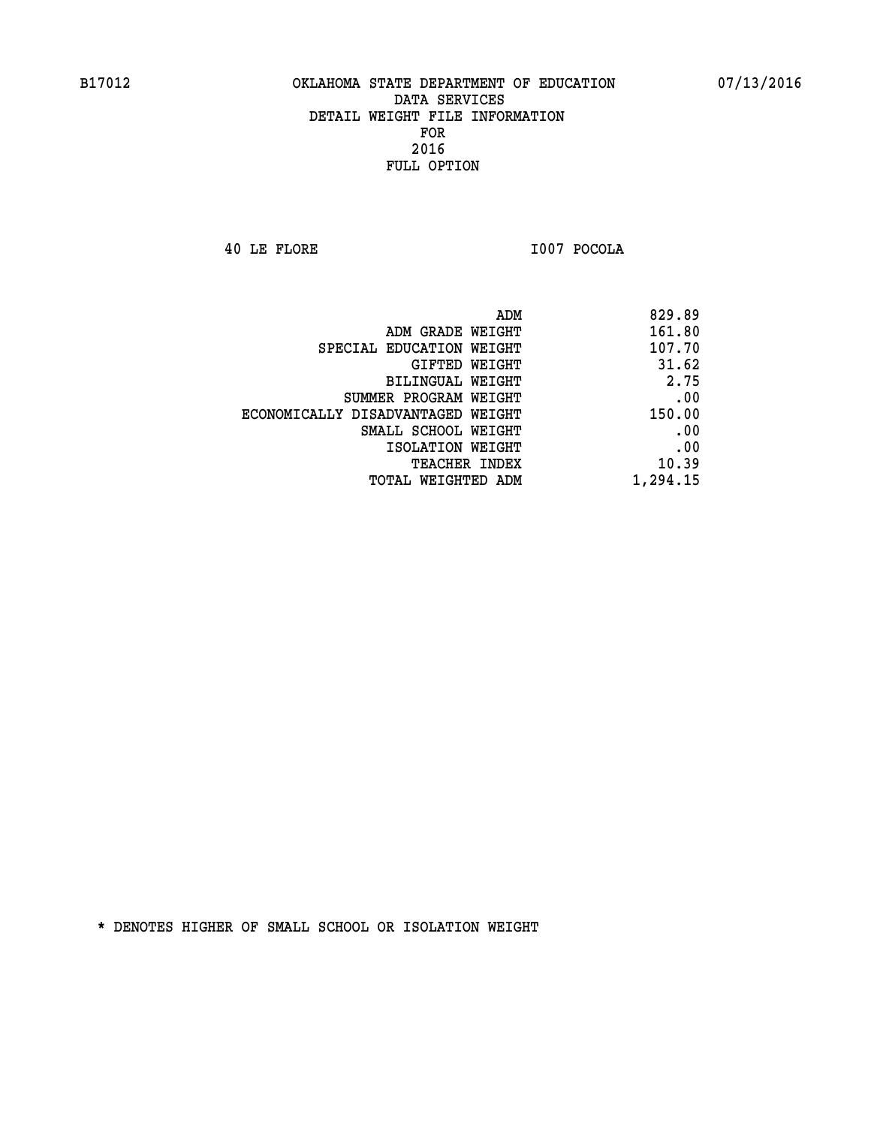**40 LE FLORE I007 POCOLA** 

| 829.89   |
|----------|
| 161.80   |
| 107.70   |
| 31.62    |
| 2.75     |
| .00      |
| 150.00   |
| .00      |
| .00      |
| 10.39    |
| 1,294.15 |
|          |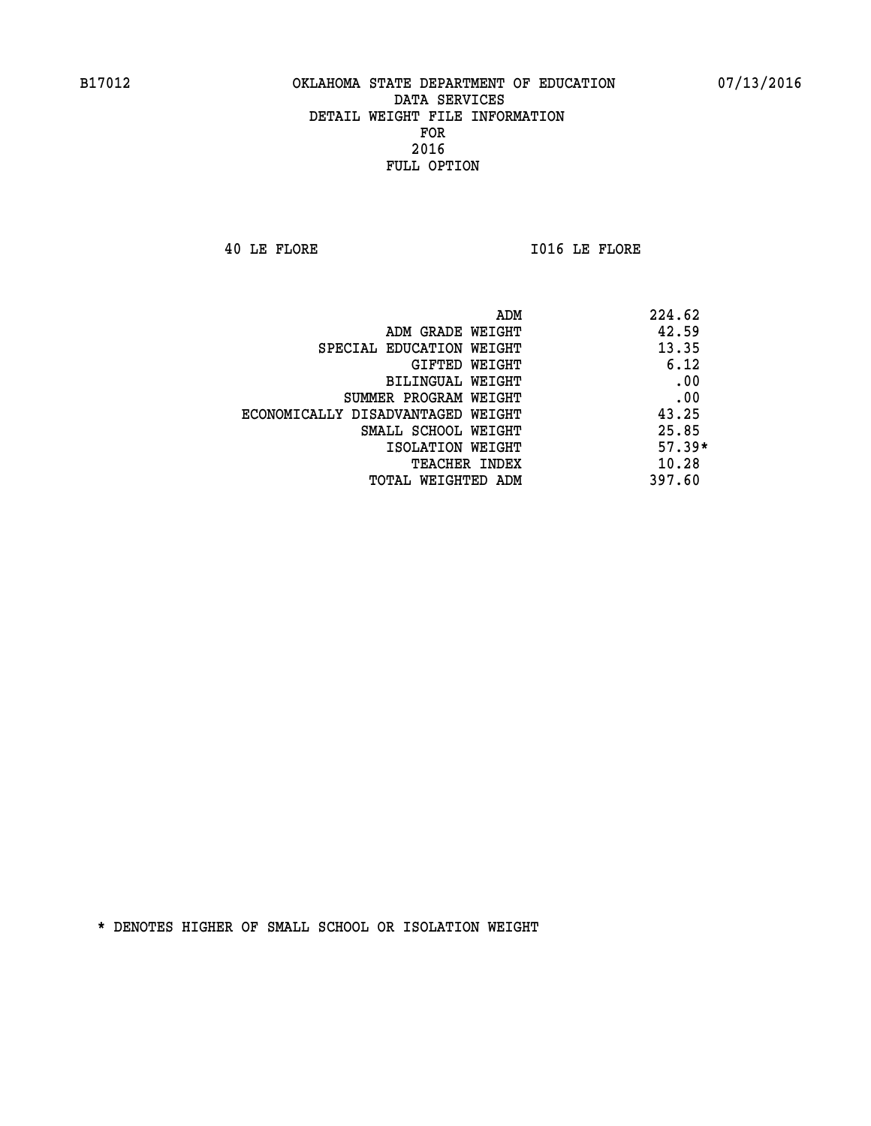**40 LE FLORE I016 LE FLORE** 

| ADM                               | 224.62   |
|-----------------------------------|----------|
| ADM GRADE WEIGHT                  | 42.59    |
| SPECIAL EDUCATION WEIGHT          | 13.35    |
| GIFTED WEIGHT                     | 6.12     |
| BILINGUAL WEIGHT                  | .00      |
| SUMMER PROGRAM WEIGHT             | .00      |
| ECONOMICALLY DISADVANTAGED WEIGHT | 43.25    |
| SMALL SCHOOL WEIGHT               | 25.85    |
| ISOLATION WEIGHT                  | $57.39*$ |
| <b>TEACHER INDEX</b>              | 10.28    |
| TOTAL WEIGHTED ADM                | 397.60   |
|                                   |          |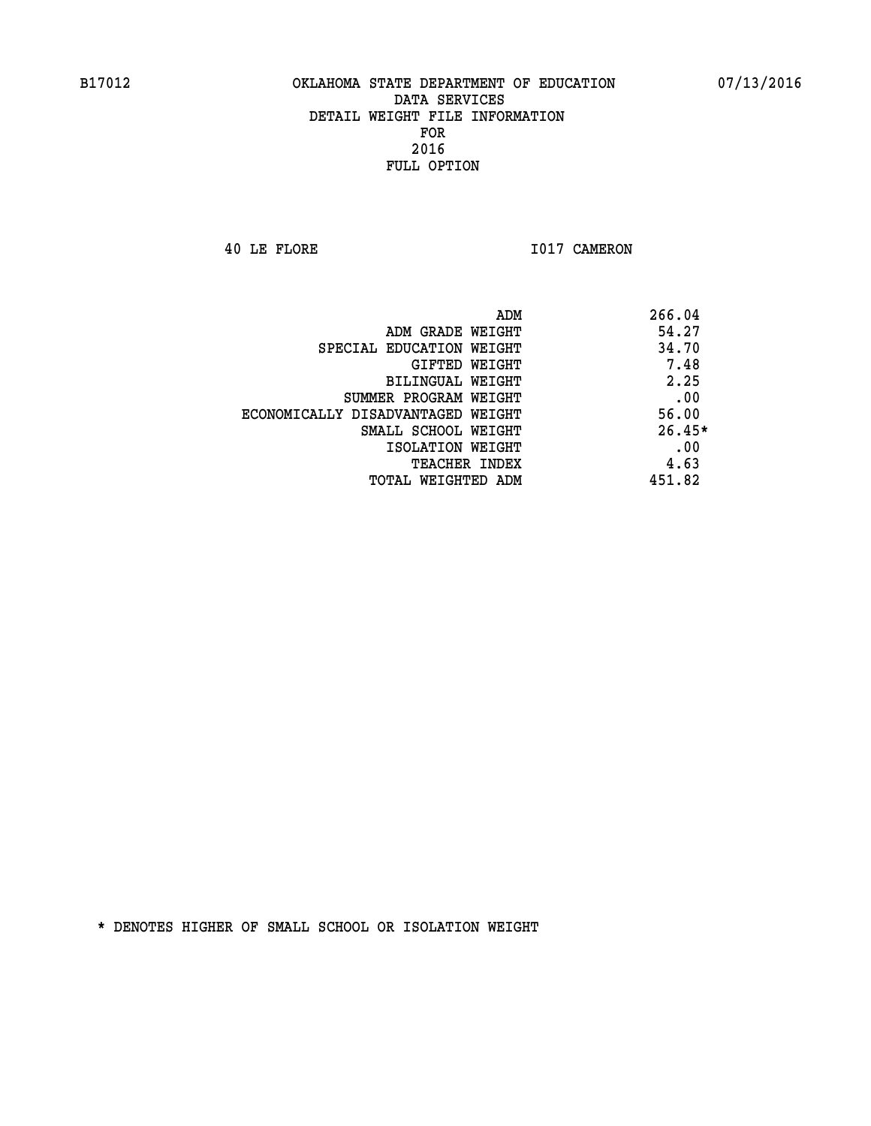**40 LE FLORE 1017 CAMERON** 

| ADM<br>266.04                              |  |
|--------------------------------------------|--|
| 54.27<br>ADM GRADE WEIGHT                  |  |
| 34.70<br>SPECIAL EDUCATION WEIGHT          |  |
| 7.48<br><b>GIFTED WEIGHT</b>               |  |
| 2.25<br>BILINGUAL WEIGHT                   |  |
| .00<br>SUMMER PROGRAM WEIGHT               |  |
| 56.00<br>ECONOMICALLY DISADVANTAGED WEIGHT |  |
| $26.45*$<br>SMALL SCHOOL WEIGHT            |  |
| .00<br>ISOLATION WEIGHT                    |  |
| 4.63<br><b>TEACHER INDEX</b>               |  |
| 451.82<br>TOTAL WEIGHTED ADM               |  |
|                                            |  |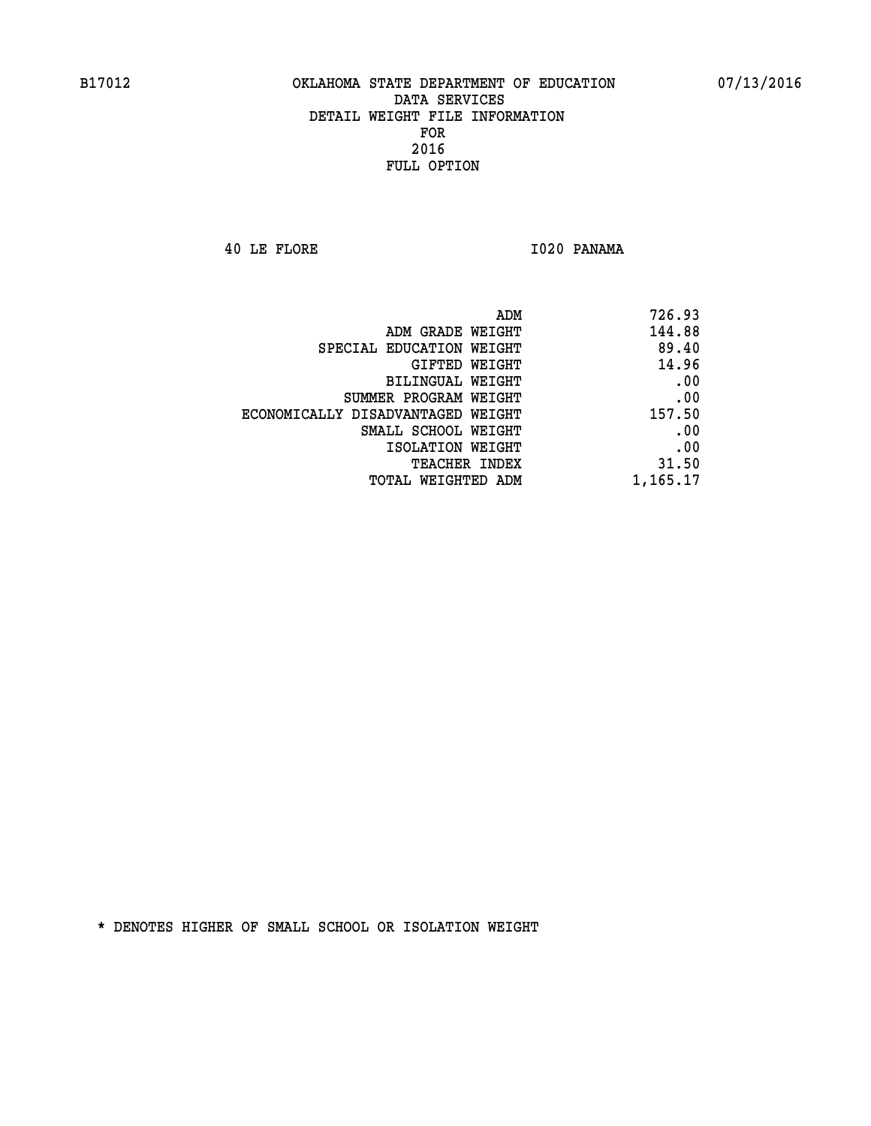**40 LE FLORE I020 PANAMA** 

| 726.93   |
|----------|
| 144.88   |
| 89.40    |
| 14.96    |
| .00      |
| .00      |
| 157.50   |
| .00      |
| .00      |
| 31.50    |
| 1,165.17 |
|          |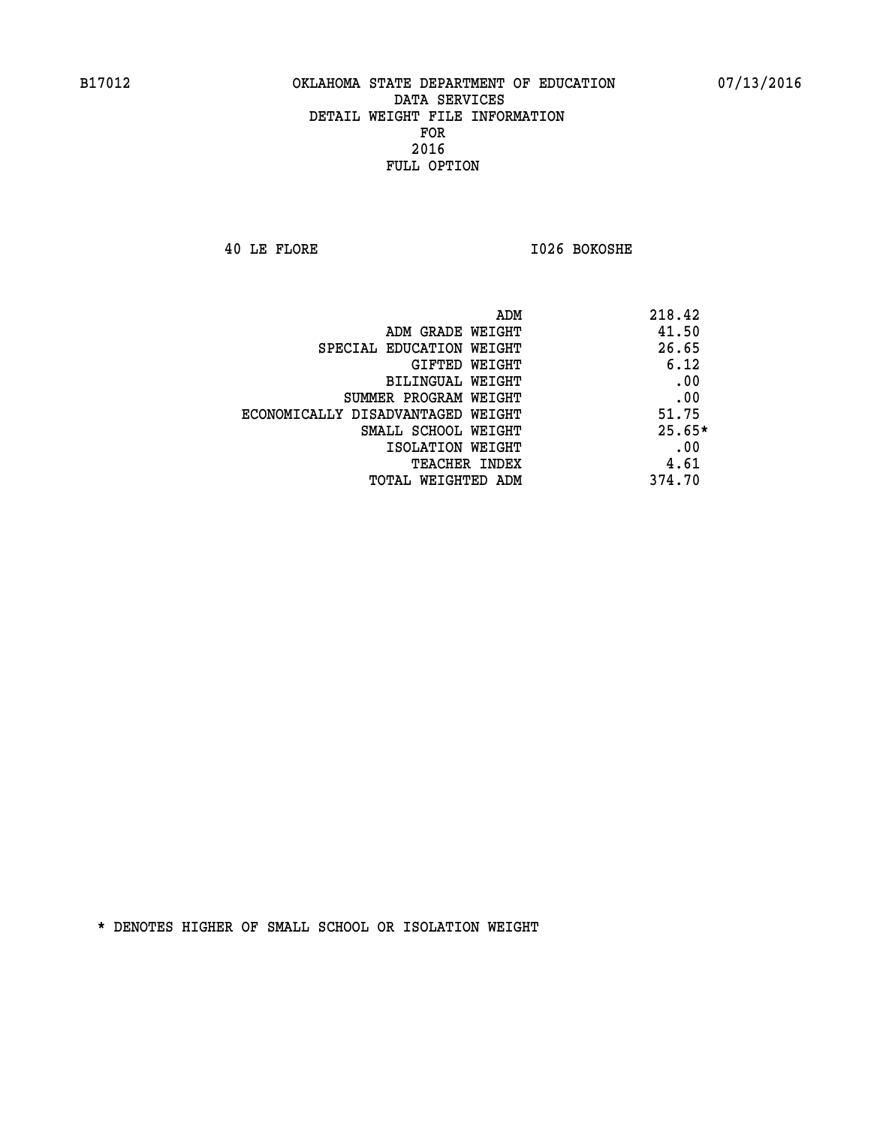**40 LE FLORE I026 BOKOSHE** 

| ADM<br>218.42                              |  |
|--------------------------------------------|--|
| 41.50<br>ADM GRADE WEIGHT                  |  |
| 26.65<br>SPECIAL EDUCATION WEIGHT          |  |
| 6.12<br>GIFTED WEIGHT                      |  |
| .00<br><b>BILINGUAL WEIGHT</b>             |  |
| .00<br>SUMMER PROGRAM WEIGHT               |  |
| 51.75<br>ECONOMICALLY DISADVANTAGED WEIGHT |  |
| $25.65*$<br>SMALL SCHOOL WEIGHT            |  |
| .00<br>ISOLATION WEIGHT                    |  |
| 4.61<br><b>TEACHER INDEX</b>               |  |
| 374.70<br>TOTAL WEIGHTED ADM               |  |
|                                            |  |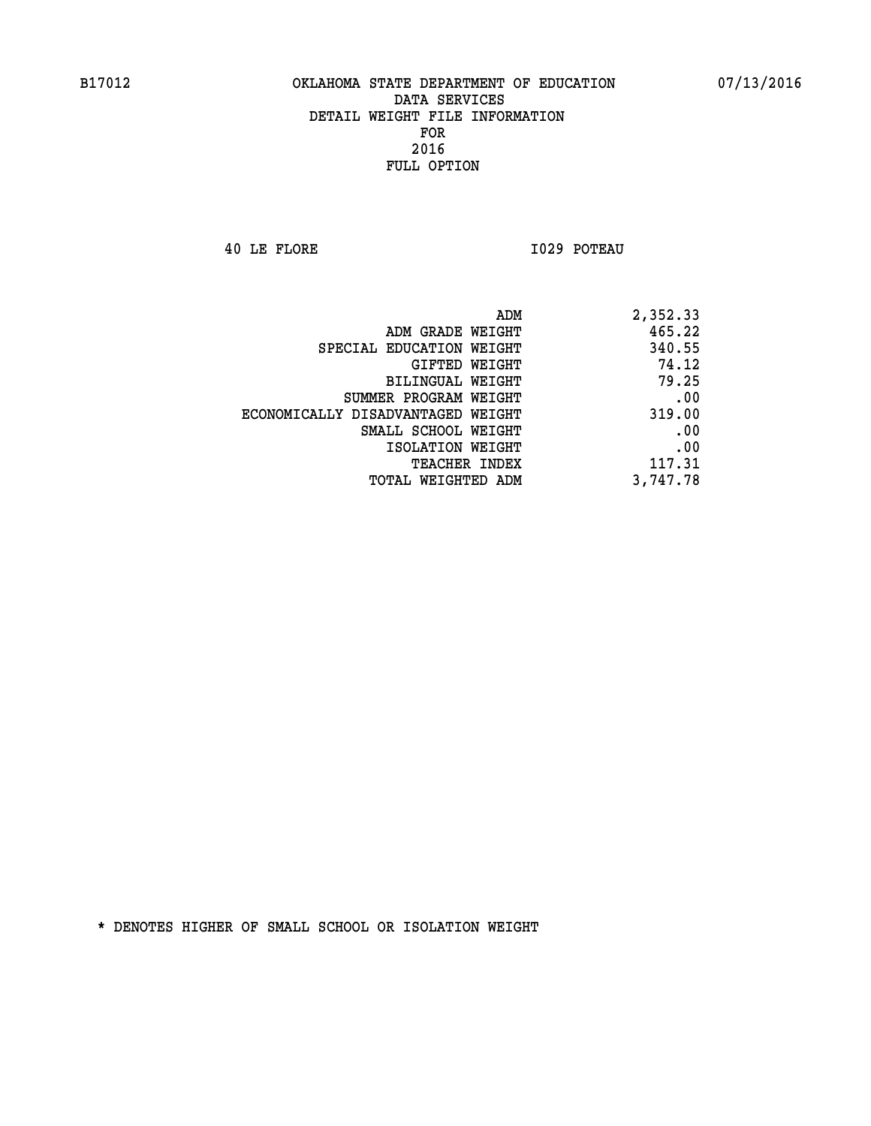**40 LE FLORE I029 POTEAU** 

| 465.22<br>ADM GRADE WEIGHT<br>340.55<br>SPECIAL EDUCATION WEIGHT<br>74.12<br>GIFTED WEIGHT<br>79.25<br><b>BILINGUAL WEIGHT</b><br>.00<br>SUMMER PROGRAM WEIGHT<br>319.00<br>ECONOMICALLY DISADVANTAGED WEIGHT<br>.00<br>SMALL SCHOOL WEIGHT<br>.00<br>ISOLATION WEIGHT<br>117.31<br>TEACHER INDEX<br>3,747.78<br>TOTAL WEIGHTED ADM | ADM | 2,352.33 |
|-------------------------------------------------------------------------------------------------------------------------------------------------------------------------------------------------------------------------------------------------------------------------------------------------------------------------------------|-----|----------|
|                                                                                                                                                                                                                                                                                                                                     |     |          |
|                                                                                                                                                                                                                                                                                                                                     |     |          |
|                                                                                                                                                                                                                                                                                                                                     |     |          |
|                                                                                                                                                                                                                                                                                                                                     |     |          |
|                                                                                                                                                                                                                                                                                                                                     |     |          |
|                                                                                                                                                                                                                                                                                                                                     |     |          |
|                                                                                                                                                                                                                                                                                                                                     |     |          |
|                                                                                                                                                                                                                                                                                                                                     |     |          |
|                                                                                                                                                                                                                                                                                                                                     |     |          |
|                                                                                                                                                                                                                                                                                                                                     |     |          |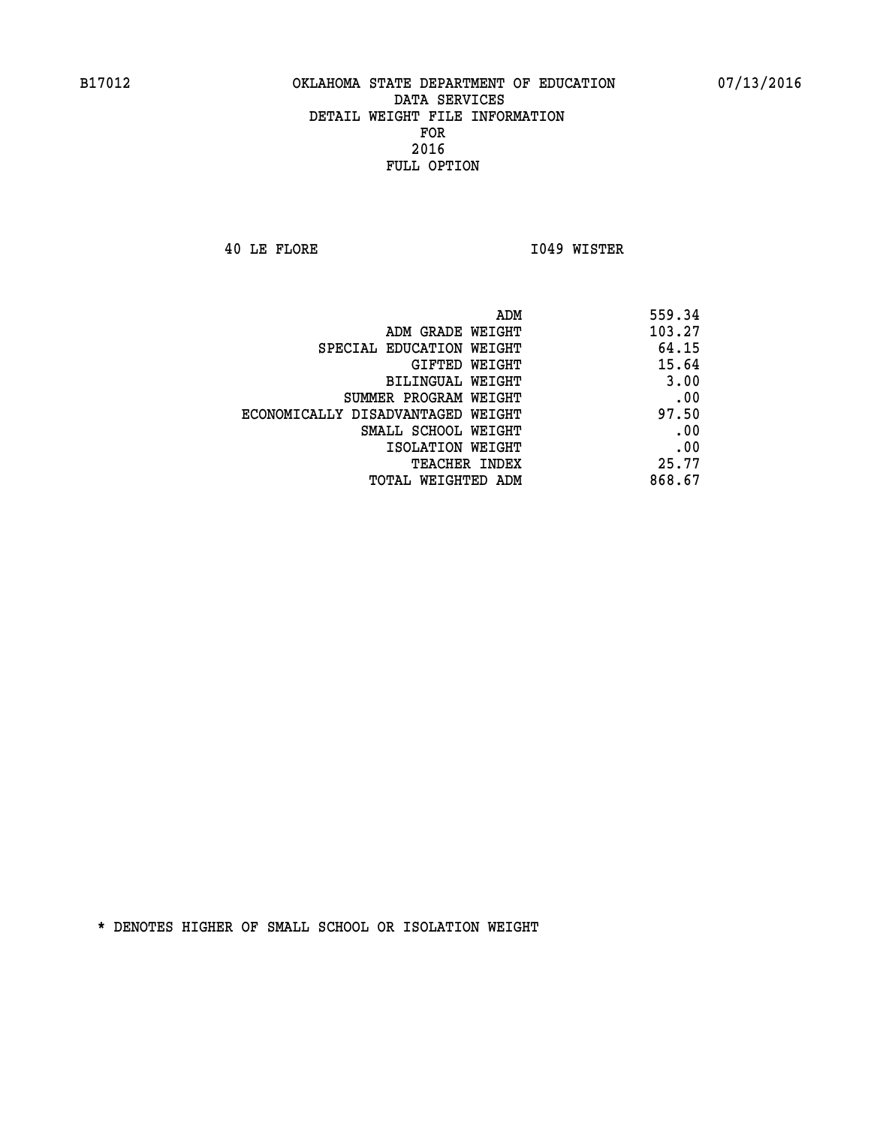**40 LE FLORE I049 WISTER** 

| ADM                               | 559.34 |
|-----------------------------------|--------|
| ADM GRADE WEIGHT                  | 103.27 |
| SPECIAL EDUCATION WEIGHT          | 64.15  |
| GIFTED WEIGHT                     | 15.64  |
| <b>BILINGUAL WEIGHT</b>           | 3.00   |
| SUMMER PROGRAM WEIGHT             | .00    |
| ECONOMICALLY DISADVANTAGED WEIGHT | 97.50  |
| SMALL SCHOOL WEIGHT               | .00    |
| ISOLATION WEIGHT                  | .00    |
| TEACHER INDEX                     | 25.77  |
| TOTAL WEIGHTED ADM                | 868.67 |
|                                   |        |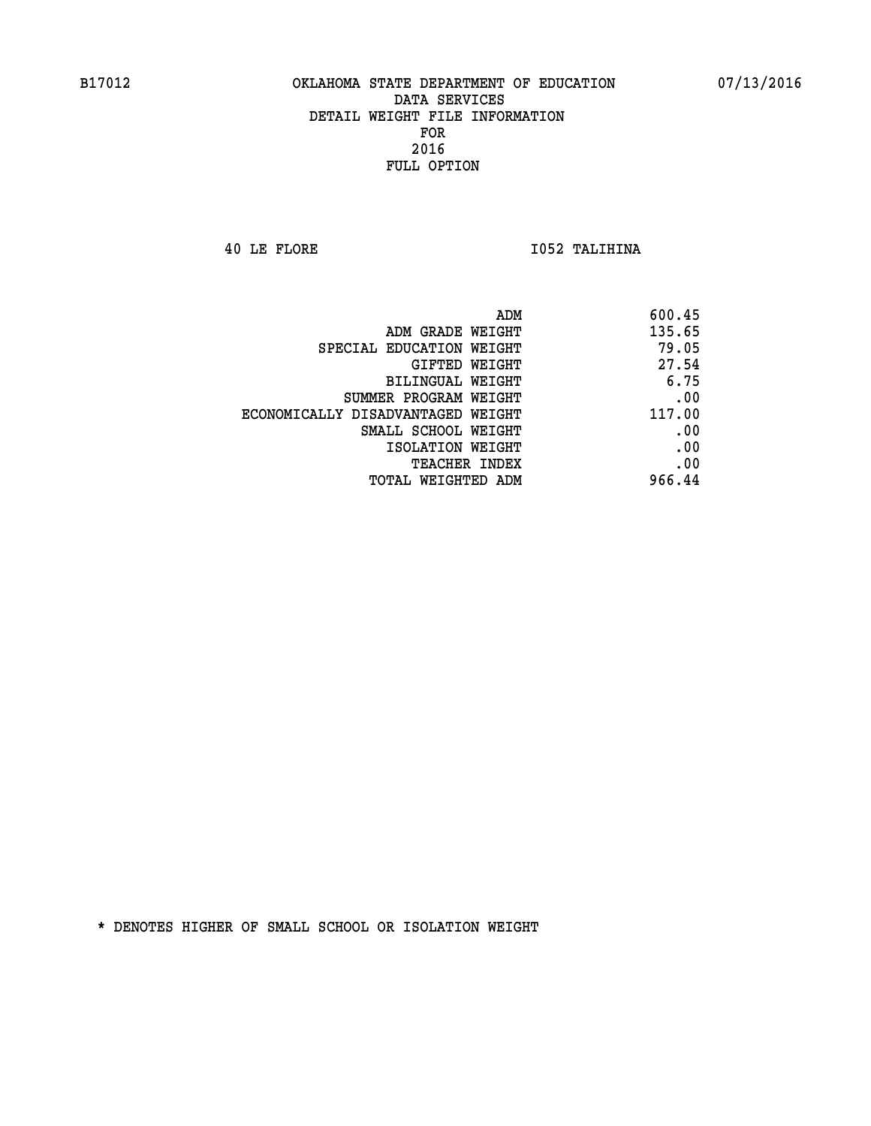**40 LE FLORE I052 TALIHINA** 

| 600.45 |
|--------|
| 135.65 |
| 79.05  |
| 27.54  |
| 6.75   |
| .00    |
| 117.00 |
| .00    |
| .00    |
| .00    |
| 966.44 |
|        |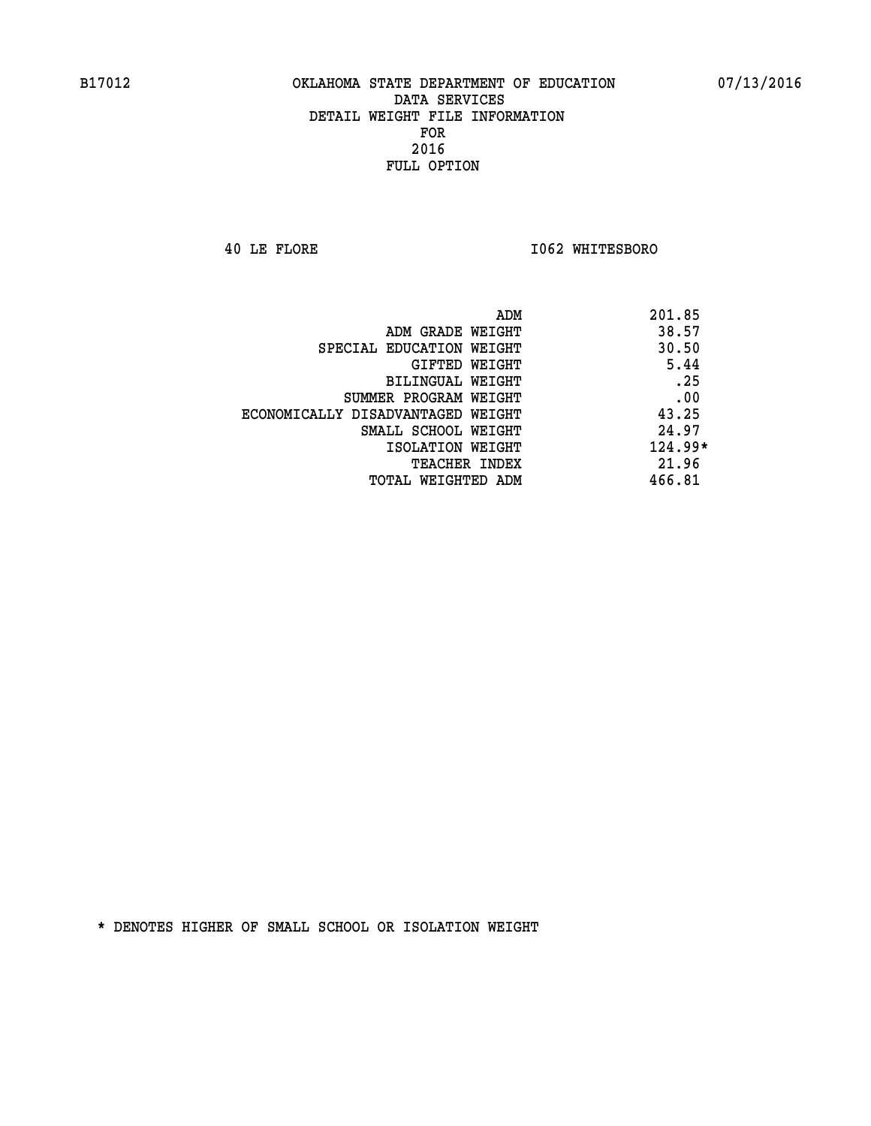**40 LE FLORE I062 WHITESBORO** 

|                                   | ADM | 201.85    |
|-----------------------------------|-----|-----------|
| ADM GRADE WEIGHT                  |     | 38.57     |
| SPECIAL EDUCATION WEIGHT          |     | 30.50     |
| GIFTED WEIGHT                     |     | 5.44      |
| BILINGUAL WEIGHT                  |     | .25       |
| SUMMER PROGRAM WEIGHT             |     | .00       |
| ECONOMICALLY DISADVANTAGED WEIGHT |     | 43.25     |
| SMALL SCHOOL WEIGHT               |     | 24.97     |
| ISOLATION WEIGHT                  |     | $124.99*$ |
| TEACHER INDEX                     |     | 21.96     |
| TOTAL WEIGHTED ADM                |     | 466.81    |
|                                   |     |           |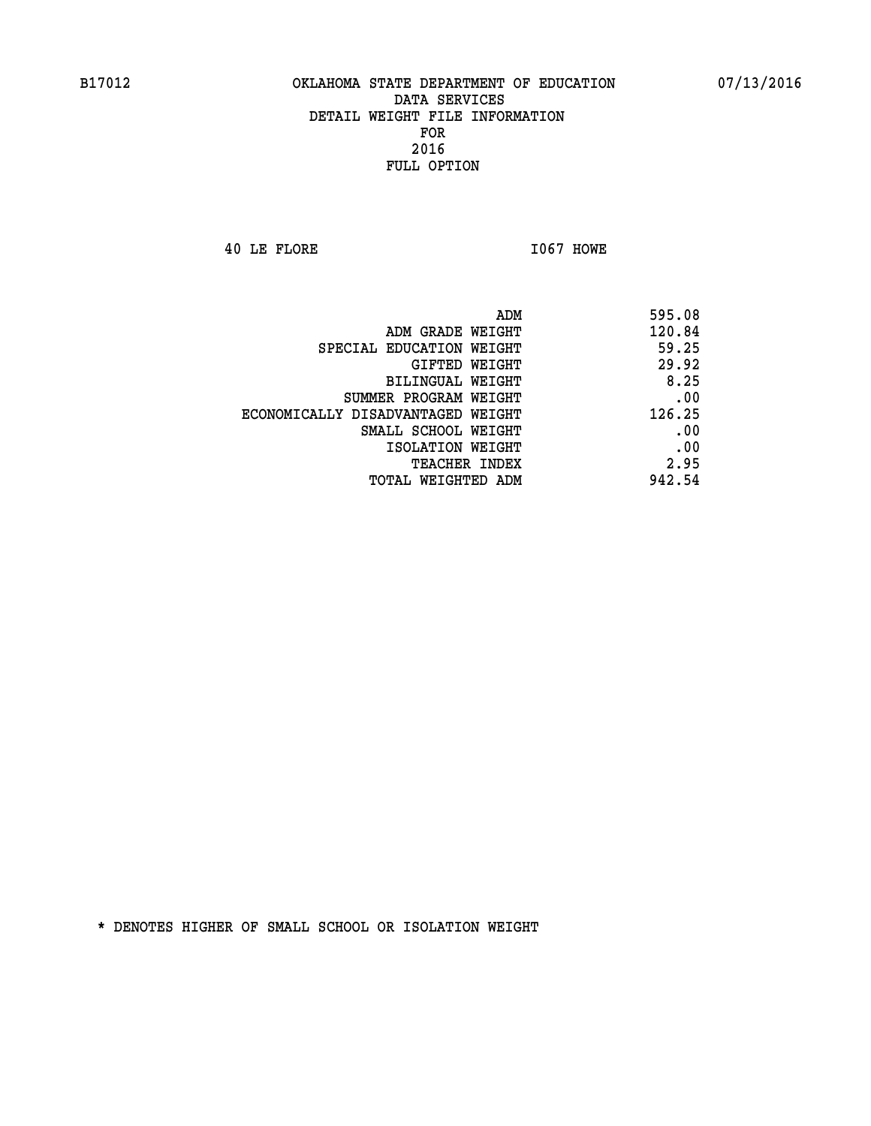**40 LE FLORE I067 HOWE** 

| ADM<br>595.08                               |       |
|---------------------------------------------|-------|
| 120.84<br>ADM GRADE WEIGHT                  |       |
| SPECIAL EDUCATION WEIGHT                    | 59.25 |
| GIFTED WEIGHT                               | 29.92 |
| <b>BILINGUAL WEIGHT</b>                     | 8.25  |
| SUMMER PROGRAM WEIGHT                       | .00   |
| 126.25<br>ECONOMICALLY DISADVANTAGED WEIGHT |       |
| SMALL SCHOOL WEIGHT                         | .00   |
| ISOLATION WEIGHT                            | .00   |
| <b>TEACHER INDEX</b>                        | 2.95  |
| 942.54<br>TOTAL WEIGHTED ADM                |       |
|                                             |       |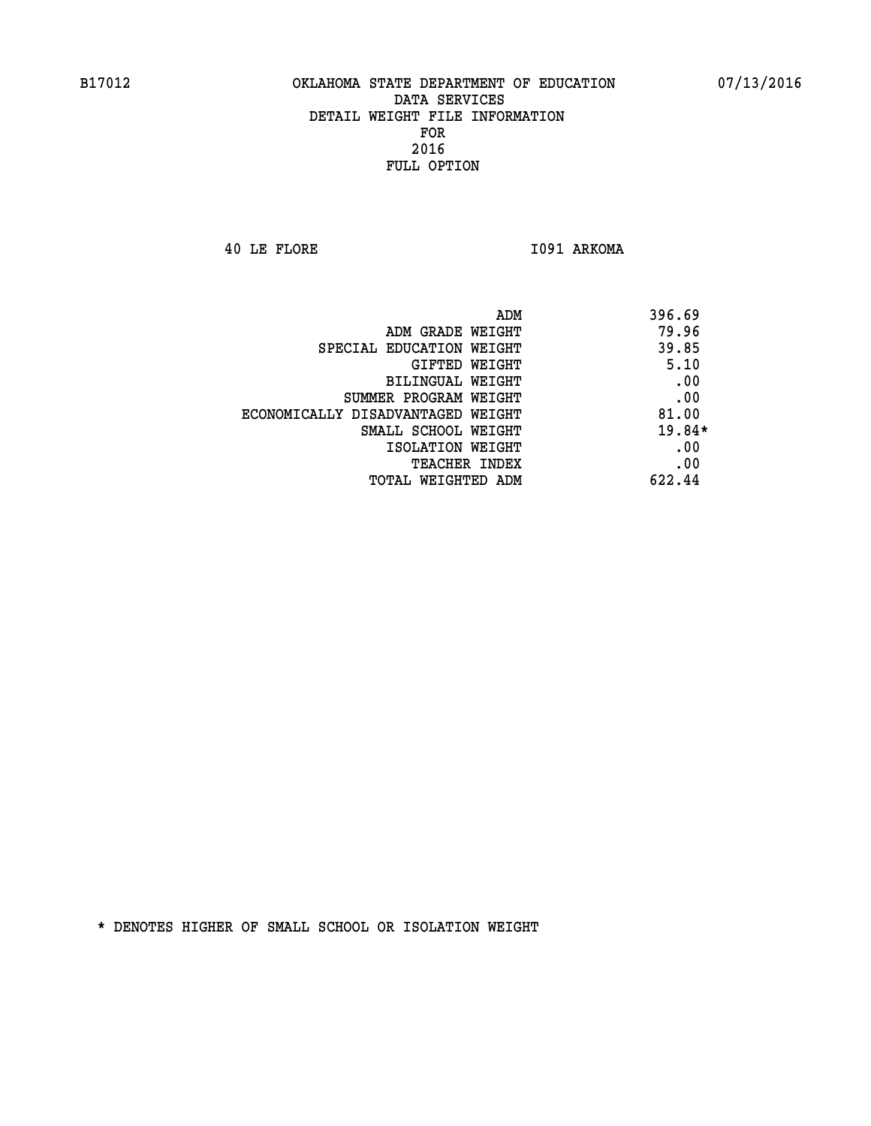**40 LE FLORE I091 ARKOMA** 

| ADM<br>396.69 |                                   |
|---------------|-----------------------------------|
| 79.96         | ADM GRADE WEIGHT                  |
| 39.85         | SPECIAL EDUCATION WEIGHT          |
| 5.10          | <b>GIFTED WEIGHT</b>              |
| .00           | BILINGUAL WEIGHT                  |
| .00           | SUMMER PROGRAM WEIGHT             |
| 81.00         | ECONOMICALLY DISADVANTAGED WEIGHT |
| $19.84*$      | SMALL SCHOOL WEIGHT               |
| .00           | ISOLATION WEIGHT                  |
| .00           | <b>TEACHER INDEX</b>              |
| 622.44        | TOTAL WEIGHTED ADM                |
|               |                                   |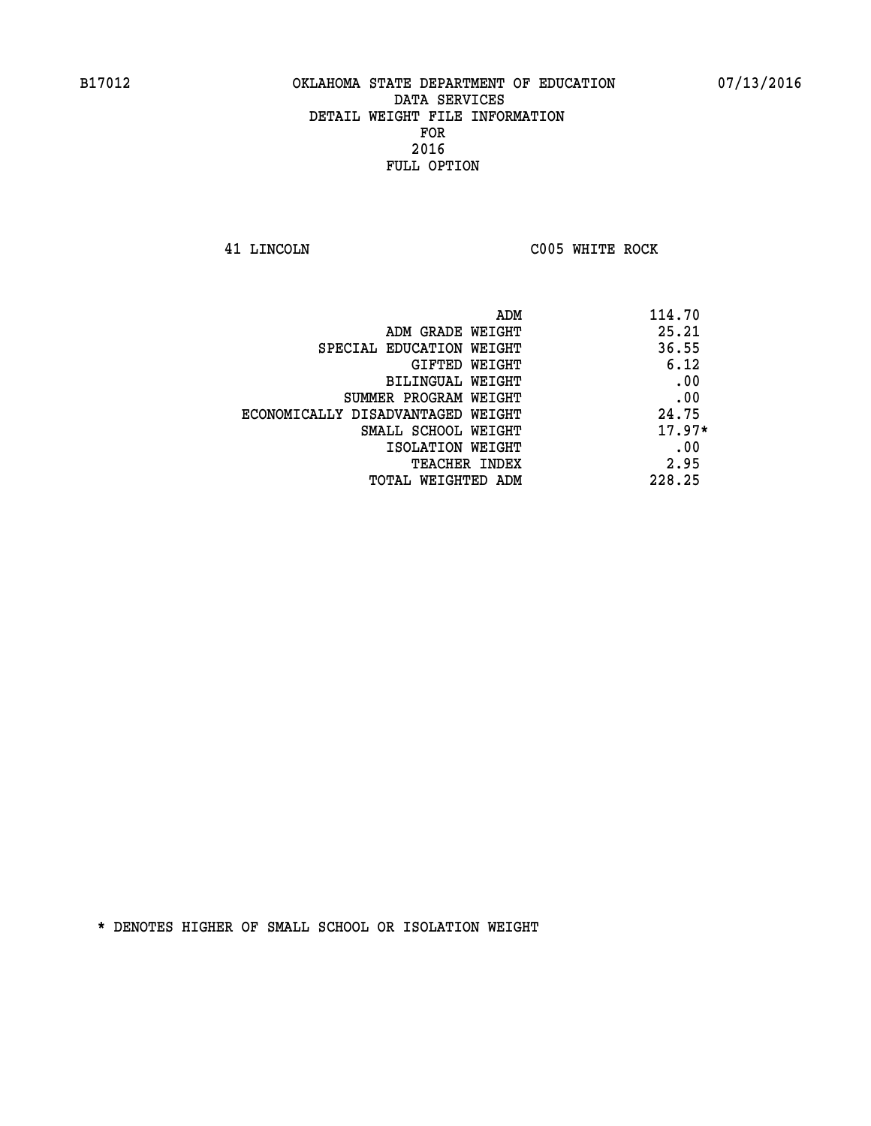**41 LINCOLN C005 WHITE ROCK** 

| ADM                               | 114.70   |
|-----------------------------------|----------|
| ADM GRADE WEIGHT                  | 25.21    |
| SPECIAL EDUCATION WEIGHT          | 36.55    |
| GIFTED WEIGHT                     | 6.12     |
| BILINGUAL WEIGHT                  | .00      |
| SUMMER PROGRAM WEIGHT             | .00      |
| ECONOMICALLY DISADVANTAGED WEIGHT | 24.75    |
| SMALL SCHOOL WEIGHT               | $17.97*$ |
| ISOLATION WEIGHT                  | .00      |
| <b>TEACHER INDEX</b>              | 2.95     |
| TOTAL WEIGHTED ADM                | 228.25   |
|                                   |          |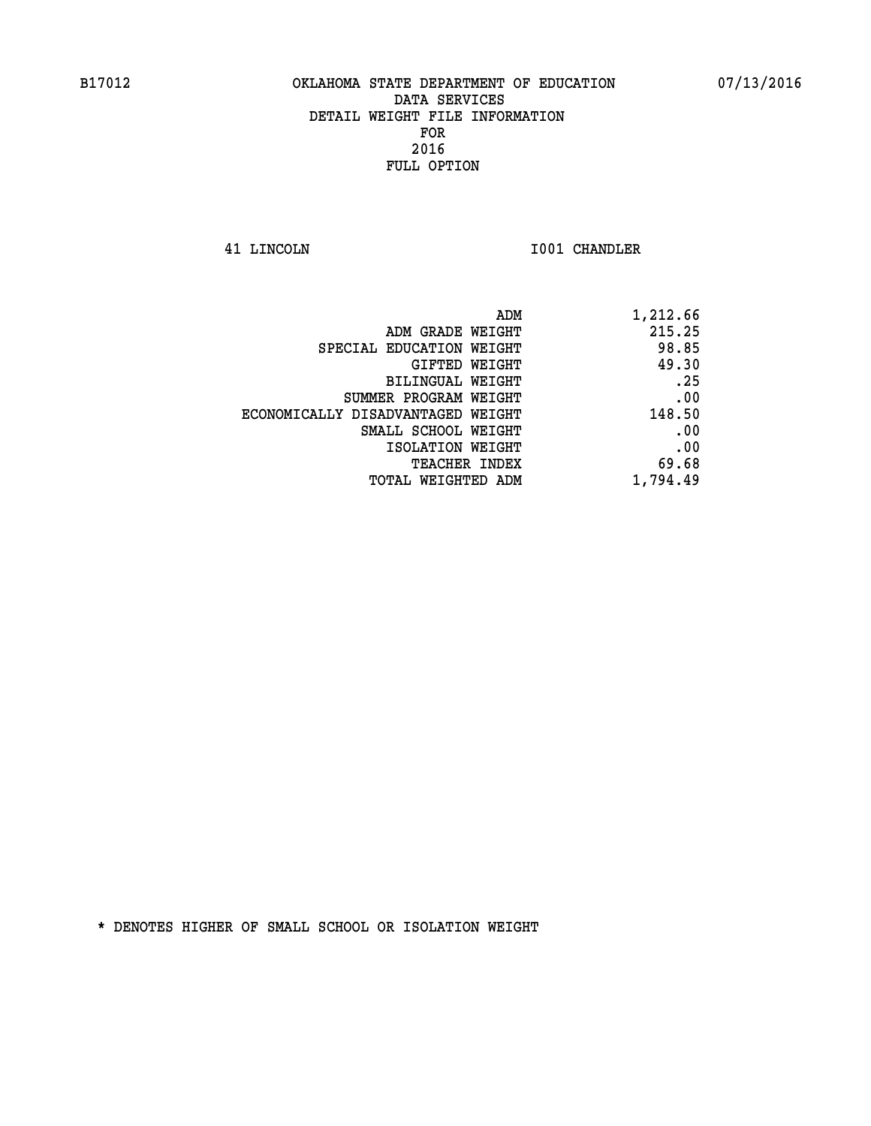**41 LINCOLN I001 CHANDLER** 

| 1,212.66 |
|----------|
| 215.25   |
| 98.85    |
| 49.30    |
| .25      |
| .00      |
| 148.50   |
| .00      |
| .00      |
| 69.68    |
| 1,794.49 |
|          |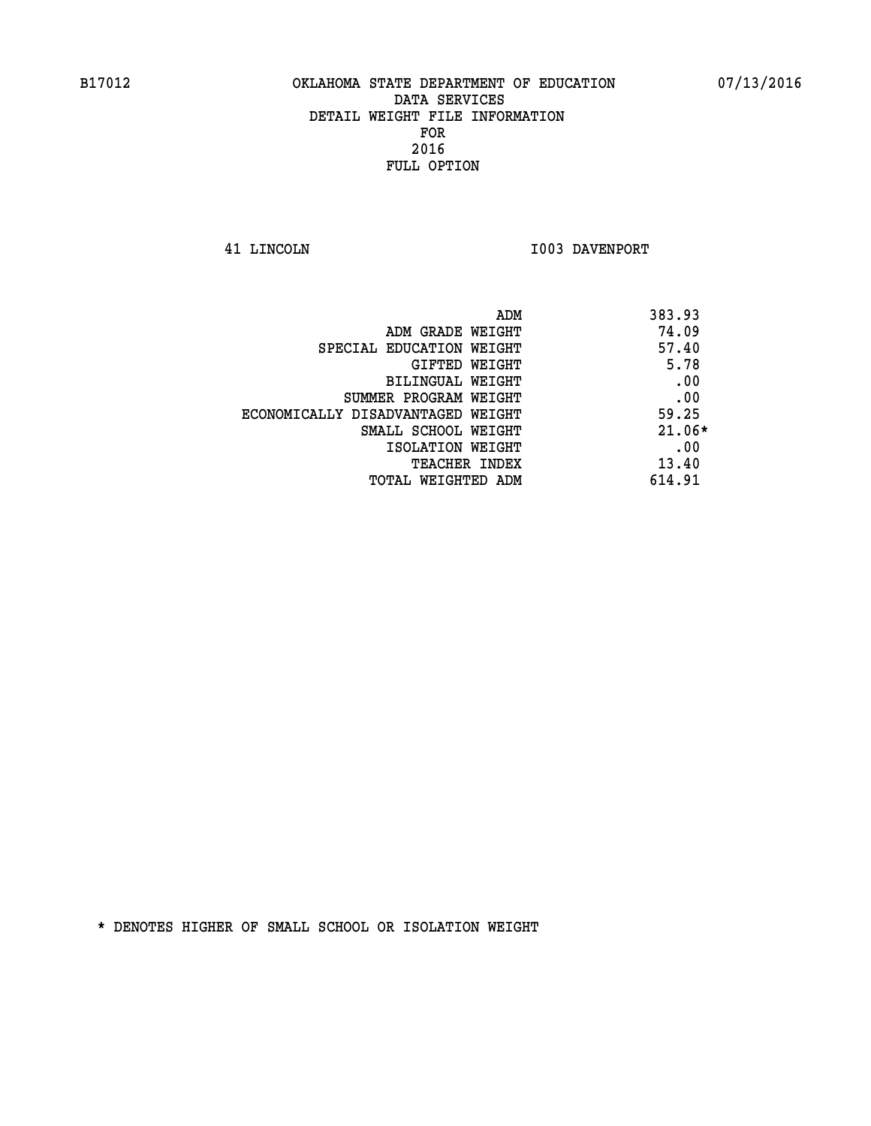**41 LINCOLN I003 DAVENPORT** 

| ADM                               | 383.93   |
|-----------------------------------|----------|
| ADM GRADE WEIGHT                  | 74.09    |
| SPECIAL EDUCATION WEIGHT          | 57.40    |
| GIFTED WEIGHT                     | 5.78     |
| BILINGUAL WEIGHT                  | .00      |
| SUMMER PROGRAM WEIGHT             | .00      |
| ECONOMICALLY DISADVANTAGED WEIGHT | 59.25    |
| SMALL SCHOOL WEIGHT               | $21.06*$ |
| ISOLATION WEIGHT                  | .00      |
| <b>TEACHER INDEX</b>              | 13.40    |
| TOTAL WEIGHTED ADM                | 614.91   |
|                                   |          |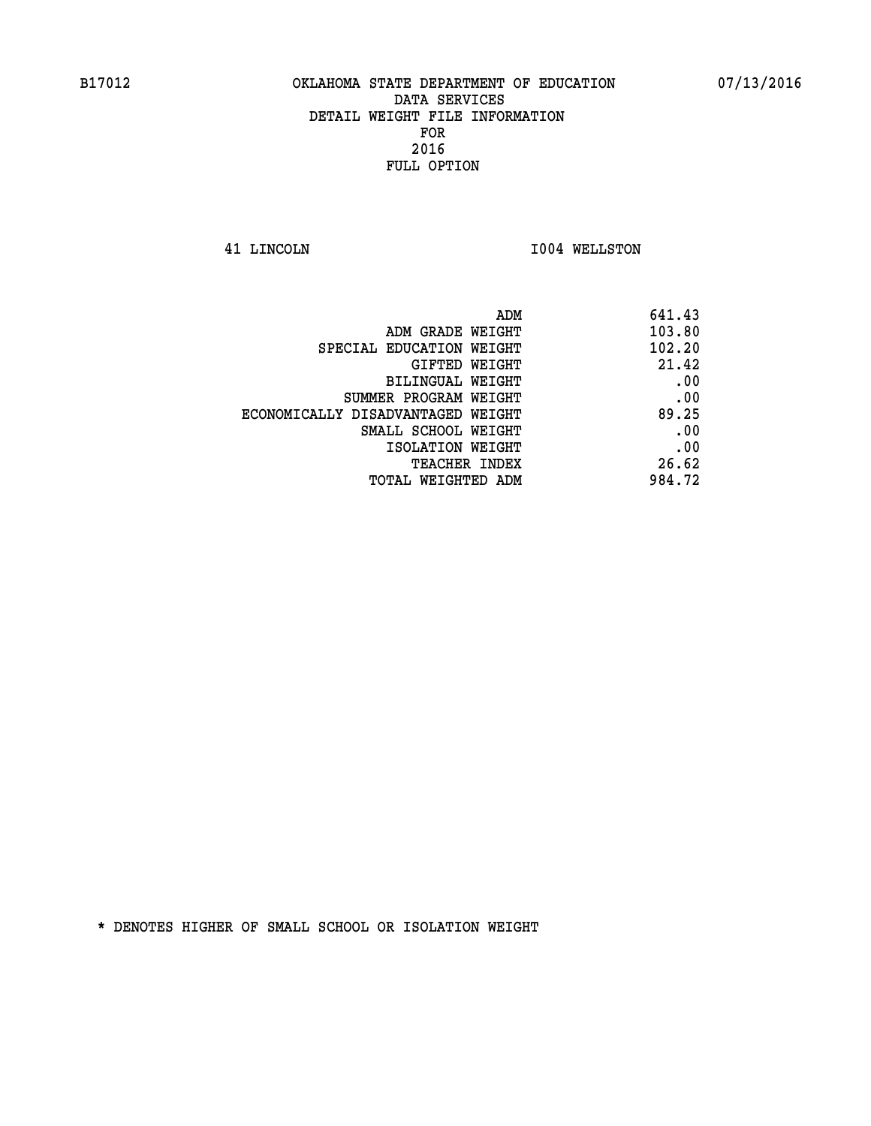**41 LINCOLN I004 WELLSTON** 

|                                   | ADM | 641.43 |
|-----------------------------------|-----|--------|
| ADM GRADE WEIGHT                  |     | 103.80 |
| SPECIAL EDUCATION WEIGHT          |     | 102.20 |
| GIFTED WEIGHT                     |     | 21.42  |
| BILINGUAL WEIGHT                  |     | .00    |
| SUMMER PROGRAM WEIGHT             |     | .00    |
| ECONOMICALLY DISADVANTAGED WEIGHT |     | 89.25  |
| SMALL SCHOOL WEIGHT               |     | .00    |
| ISOLATION WEIGHT                  |     | .00    |
| TEACHER INDEX                     |     | 26.62  |
| TOTAL WEIGHTED ADM                |     | 984.72 |
|                                   |     |        |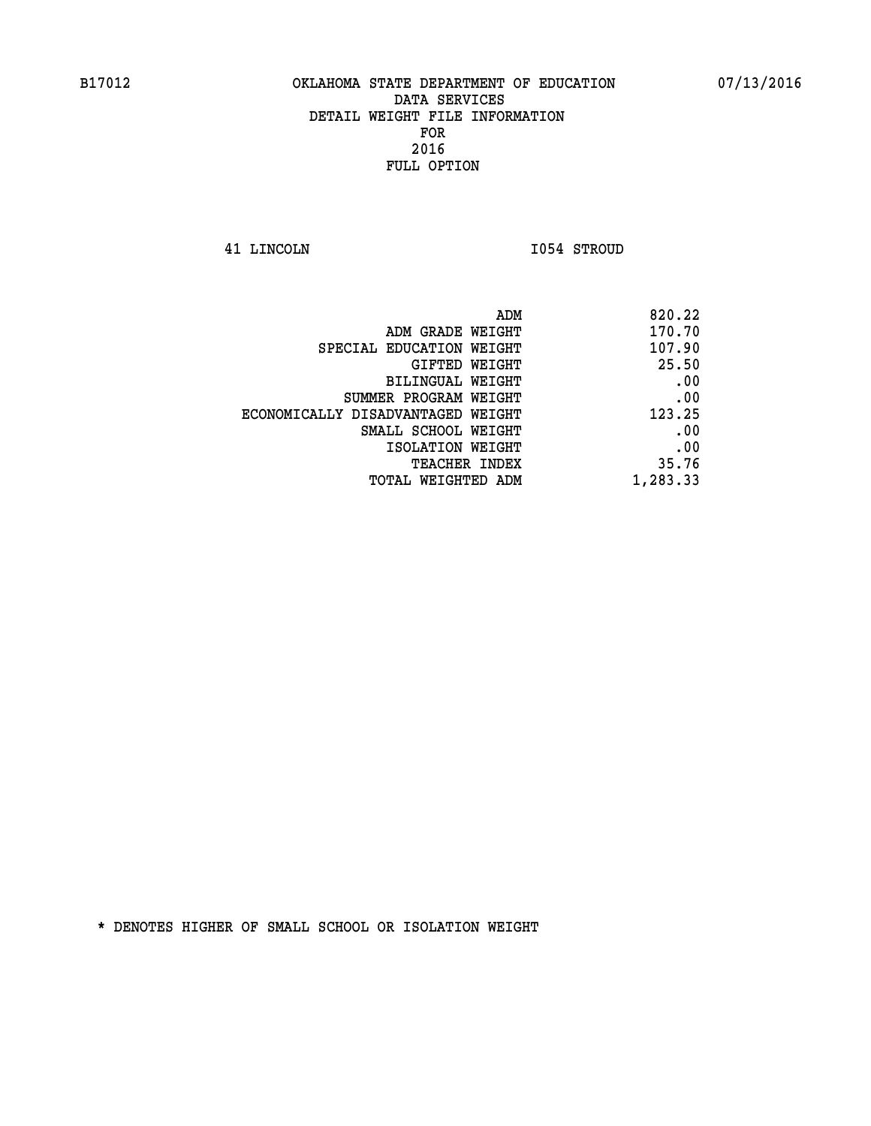**41 LINCOLN I054 STROUD** 

| 170.70<br>ADM GRADE WEIGHT<br>107.90<br>SPECIAL EDUCATION WEIGHT<br>25.50<br>GIFTED WEIGHT<br>.00<br>BILINGUAL WEIGHT<br>.00<br>SUMMER PROGRAM WEIGHT<br>123.25<br>ECONOMICALLY DISADVANTAGED WEIGHT<br>.00<br>SMALL SCHOOL WEIGHT |
|------------------------------------------------------------------------------------------------------------------------------------------------------------------------------------------------------------------------------------|
|                                                                                                                                                                                                                                    |
|                                                                                                                                                                                                                                    |
|                                                                                                                                                                                                                                    |
|                                                                                                                                                                                                                                    |
|                                                                                                                                                                                                                                    |
|                                                                                                                                                                                                                                    |
|                                                                                                                                                                                                                                    |
| .00<br>ISOLATION WEIGHT                                                                                                                                                                                                            |
| 35.76<br>TEACHER INDEX                                                                                                                                                                                                             |
| 1,283.33<br>TOTAL WEIGHTED ADM                                                                                                                                                                                                     |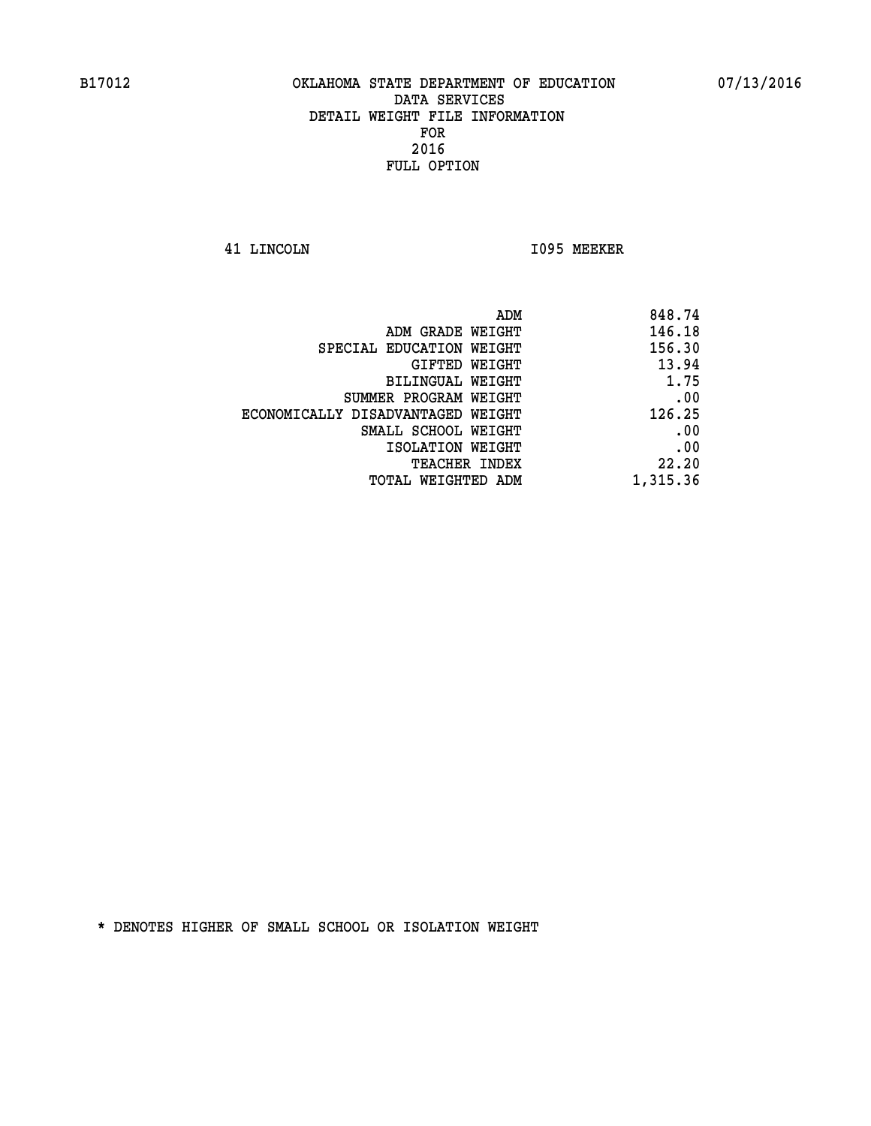**41 LINCOLN I095 MEEKER** 

| 848.74   |
|----------|
| 146.18   |
| 156.30   |
| 13.94    |
| 1.75     |
| .00      |
| 126.25   |
| .00      |
| .00      |
| 22.20    |
| 1,315.36 |
|          |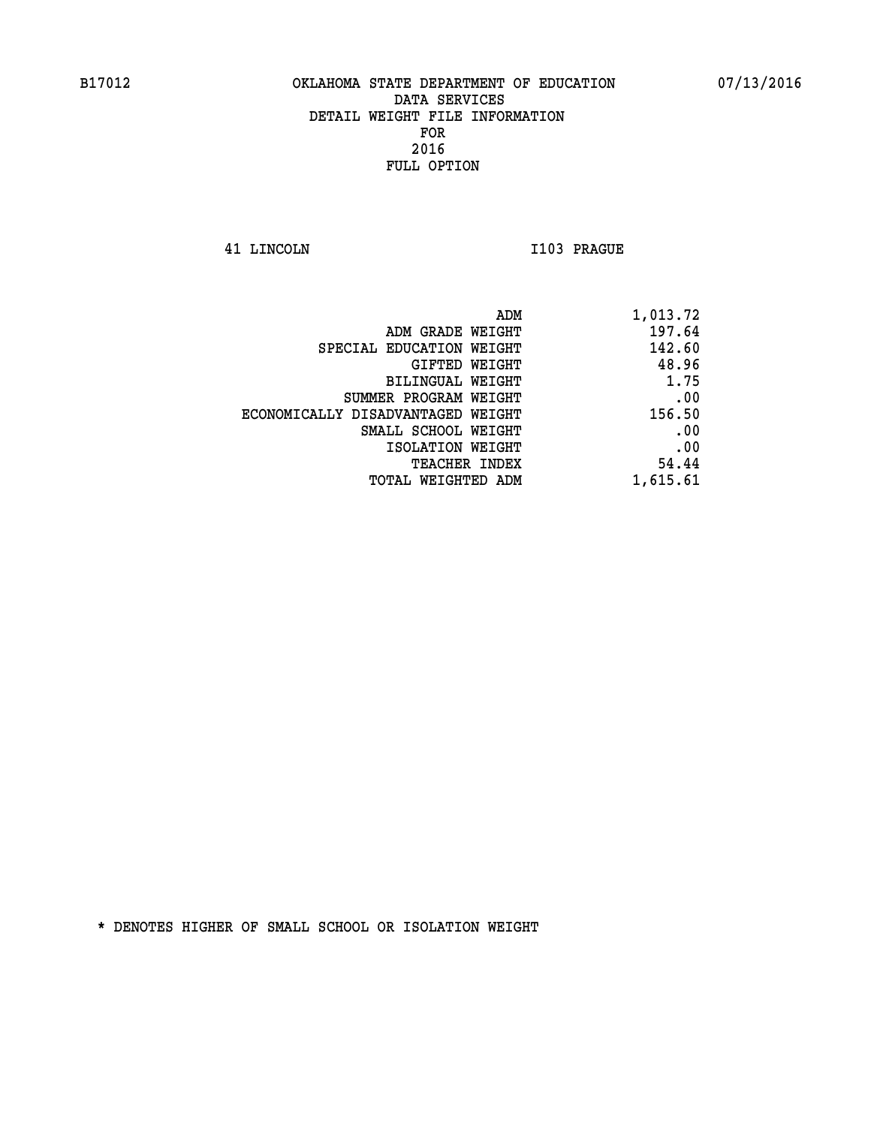**41 LINCOLN I103 PRAGUE** 

| 1,013.72 |
|----------|
| 197.64   |
| 142.60   |
| 48.96    |
| 1.75     |
| .00      |
| 156.50   |
| .00      |
| .00      |
| 54.44    |
| 1,615.61 |
|          |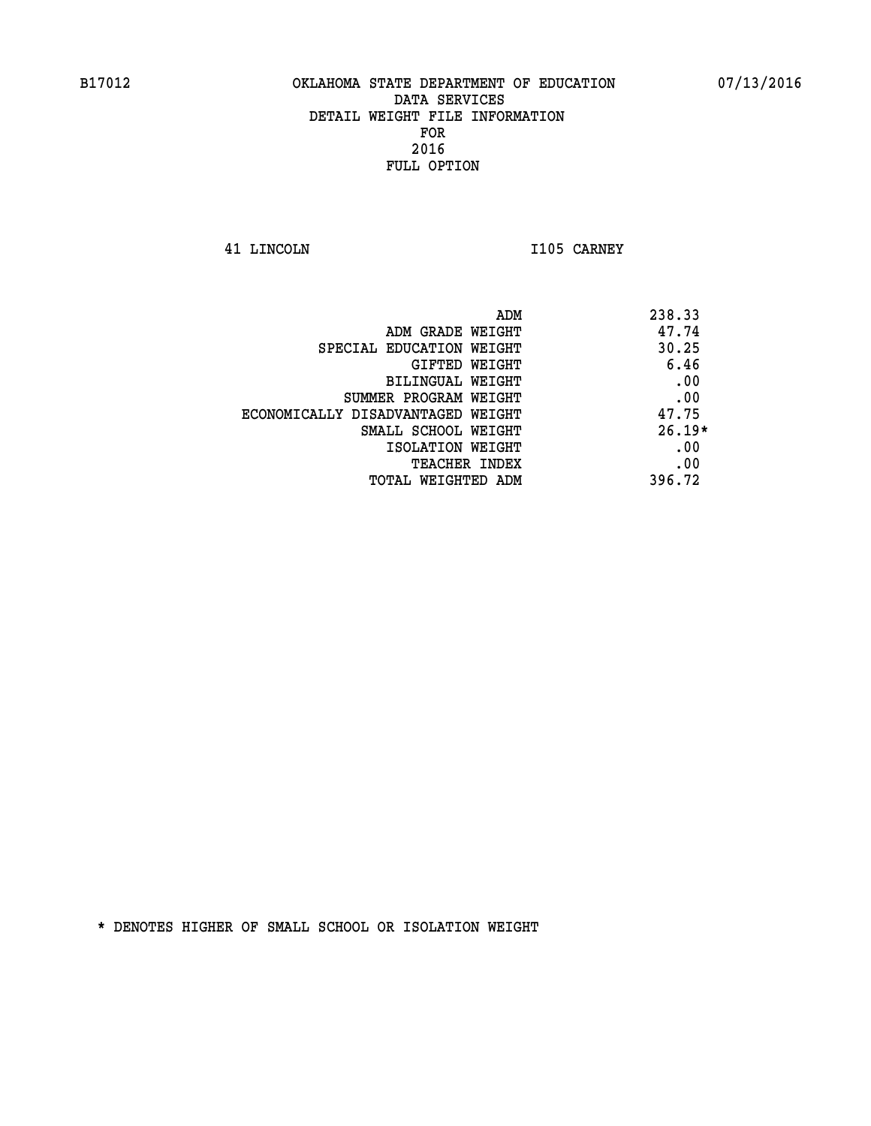**41 LINCOLN I105 CARNEY** 

| 238.33   | ADM                               |
|----------|-----------------------------------|
| 47.74    | ADM GRADE WEIGHT                  |
| 30.25    | SPECIAL EDUCATION WEIGHT          |
| 6.46     | <b>GIFTED WEIGHT</b>              |
| .00      | <b>BILINGUAL WEIGHT</b>           |
| .00      | SUMMER PROGRAM WEIGHT             |
| 47.75    | ECONOMICALLY DISADVANTAGED WEIGHT |
| $26.19*$ | SMALL SCHOOL WEIGHT               |
| .00      | ISOLATION WEIGHT                  |
| .00      | <b>TEACHER INDEX</b>              |
| 396.72   | TOTAL WEIGHTED ADM                |
|          |                                   |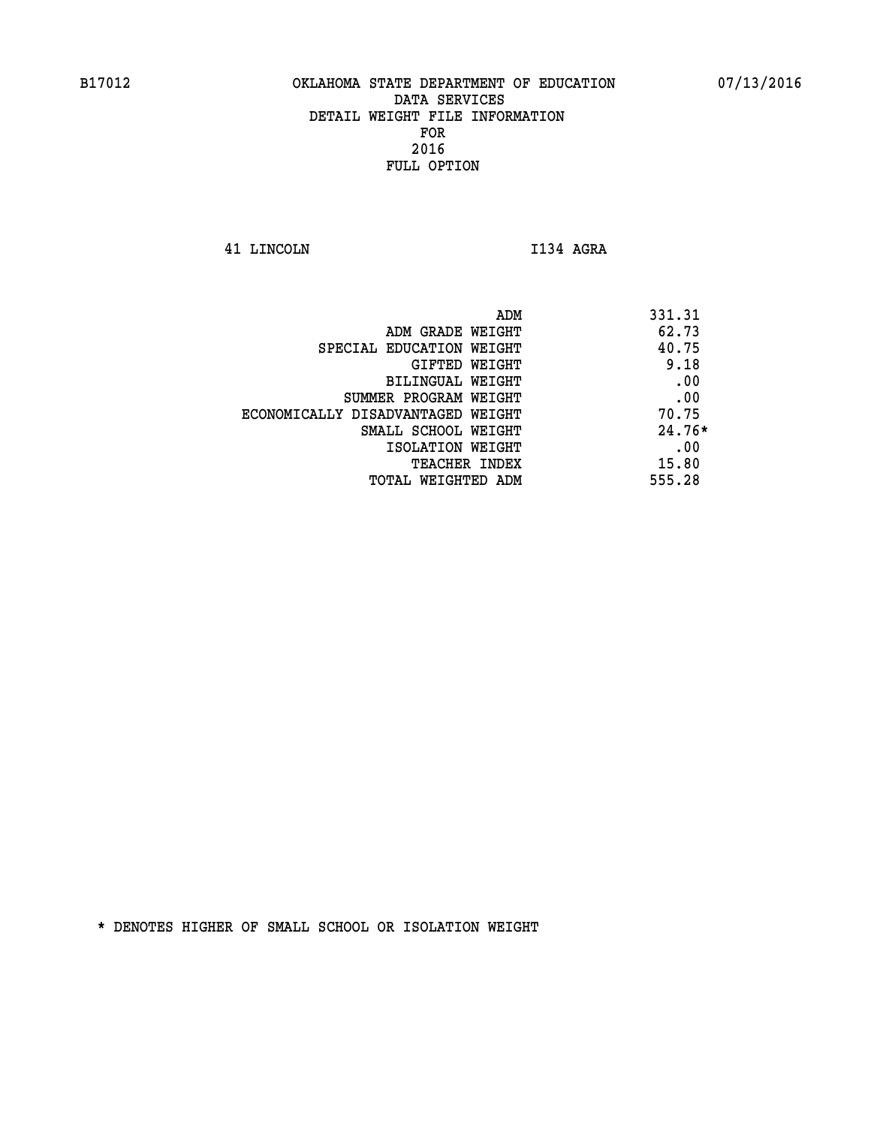**41 LINCOLN I134 AGRA** 

| ADM                               | 331.31   |
|-----------------------------------|----------|
| ADM GRADE WEIGHT                  | 62.73    |
| SPECIAL EDUCATION WEIGHT          | 40.75    |
| GIFTED WEIGHT                     | 9.18     |
| BILINGUAL WEIGHT                  | .00      |
| SUMMER PROGRAM WEIGHT             | .00      |
| ECONOMICALLY DISADVANTAGED WEIGHT | 70.75    |
| SMALL SCHOOL WEIGHT               | $24.76*$ |
| ISOLATION WEIGHT                  | .00      |
| <b>TEACHER INDEX</b>              | 15.80    |
| WEIGHTED ADM<br>TOTAL             | 555.28   |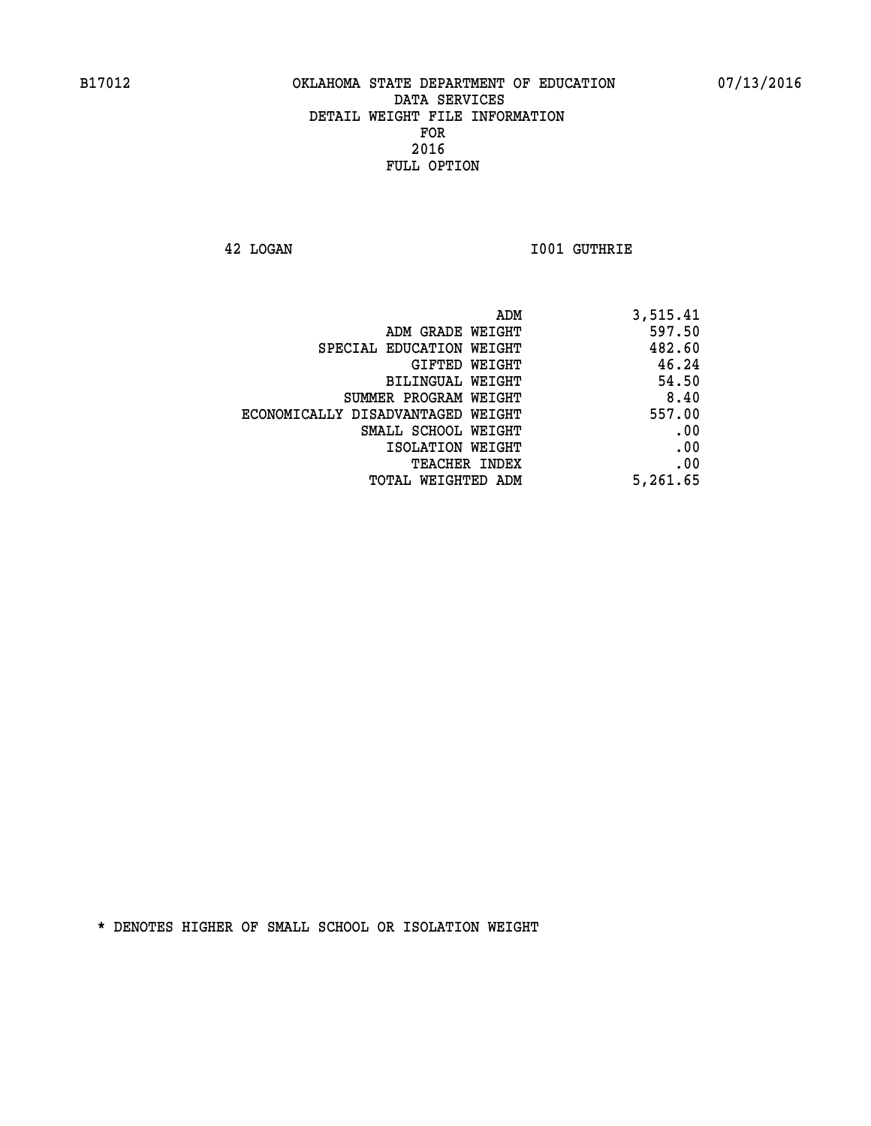**42 LOGAN I001 GUTHRIE** 

| 3,515.41 |
|----------|
| 597.50   |
| 482.60   |
| 46.24    |
| 54.50    |
| 8.40     |
| 557.00   |
| .00      |
| .00      |
| .00      |
| 5,261.65 |
|          |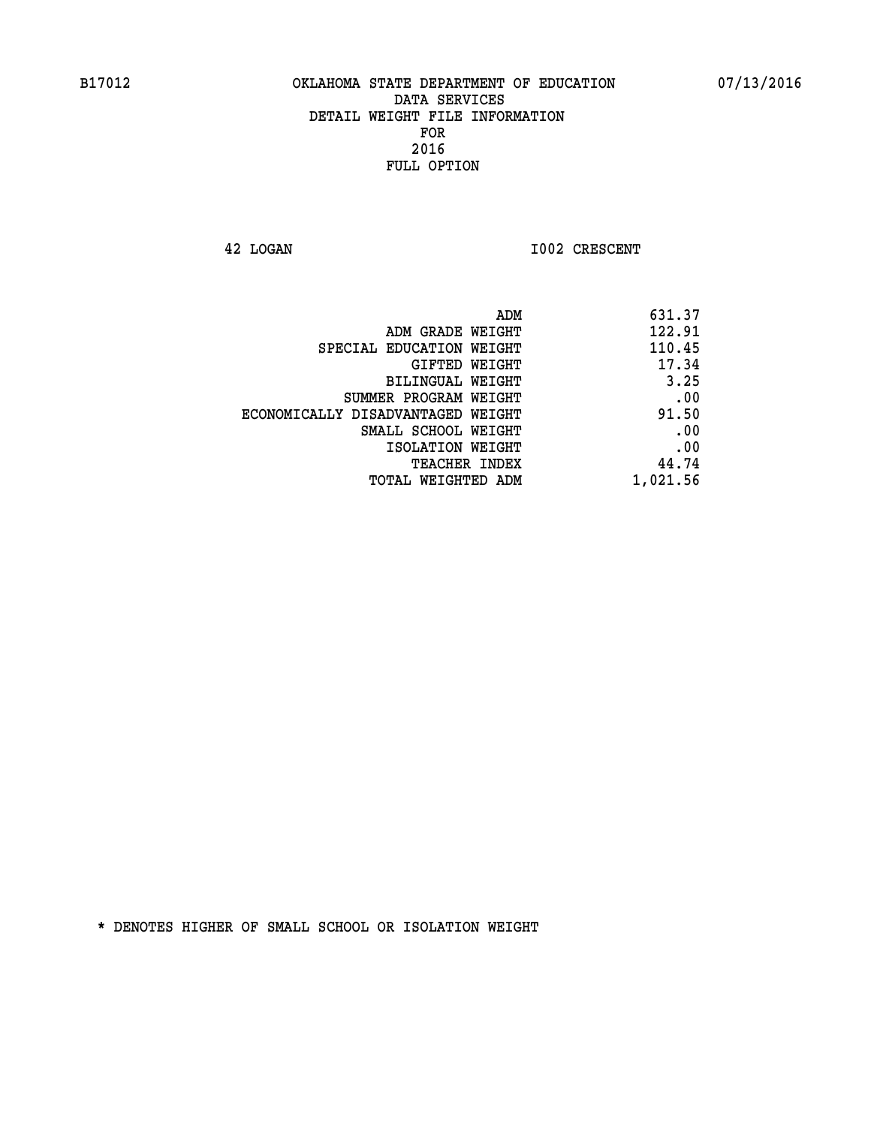**42 LOGAN 1002 CRESCENT** 

| 631.37   |
|----------|
| 122.91   |
| 110.45   |
| 17.34    |
| 3.25     |
| .00      |
| 91.50    |
| .00      |
| .00      |
| 44.74    |
| 1,021.56 |
|          |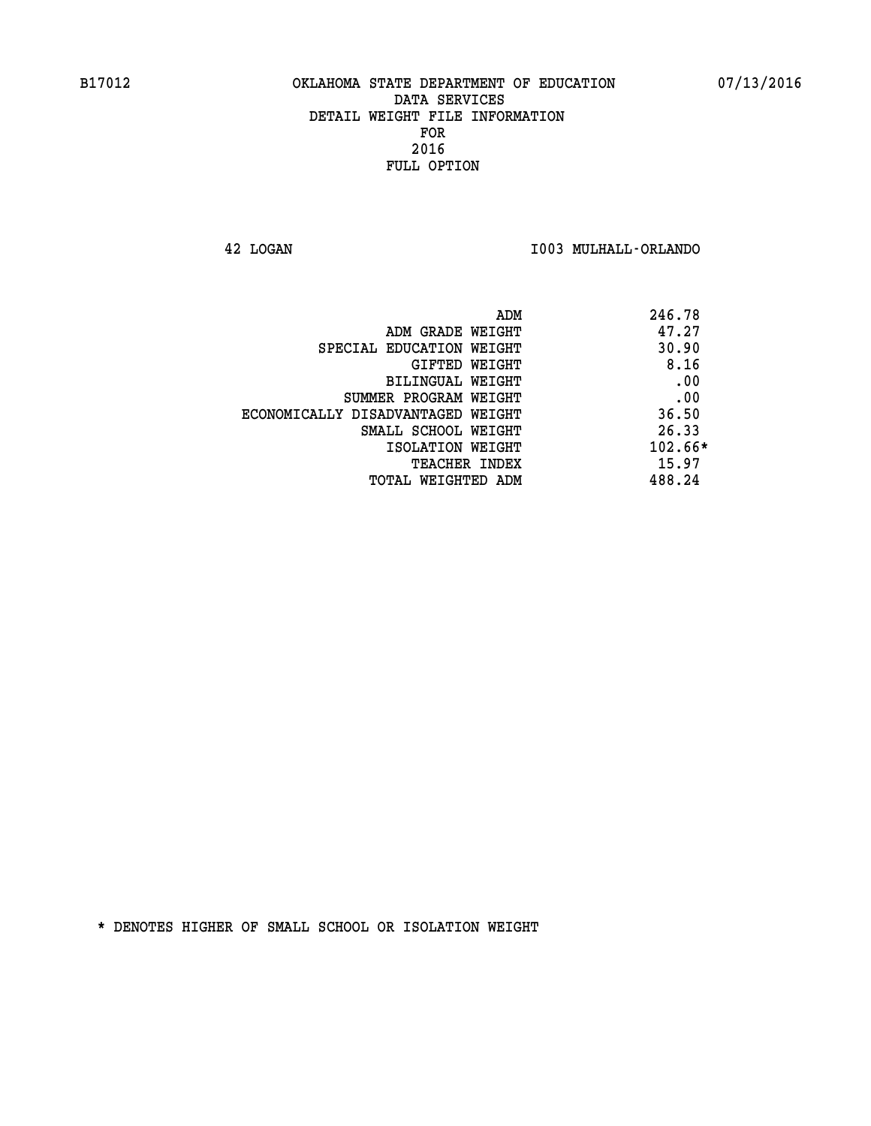**42 LOGAN I003 MULHALL-ORLANDO** 

| 246.78    | ADM                               |
|-----------|-----------------------------------|
| 47.27     | ADM GRADE WEIGHT                  |
| 30.90     | SPECIAL EDUCATION WEIGHT          |
| 8.16      | GIFTED WEIGHT                     |
| .00       | BILINGUAL WEIGHT                  |
| .00       | SUMMER PROGRAM WEIGHT             |
| 36.50     | ECONOMICALLY DISADVANTAGED WEIGHT |
| 26.33     | SMALL SCHOOL WEIGHT               |
| $102.66*$ | ISOLATION WEIGHT                  |
| 15.97     | <b>TEACHER INDEX</b>              |
| 488.24    | TOTAL WEIGHTED ADM                |
|           |                                   |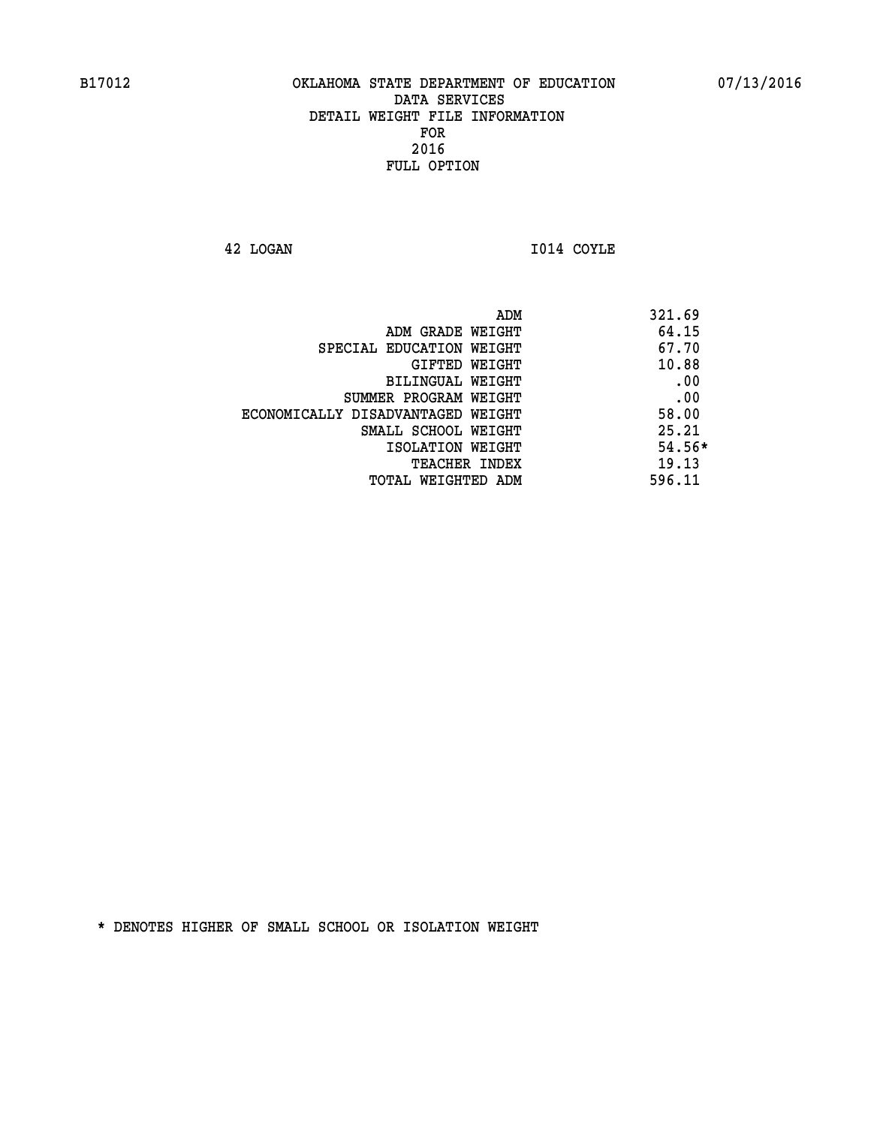**42 LOGAN I014 COYLE** 

| 321.69   |
|----------|
| 64.15    |
| 67.70    |
| 10.88    |
| .00      |
| .00      |
| 58.00    |
| 25.21    |
| $54.56*$ |
| 19.13    |
| 596.11   |
|          |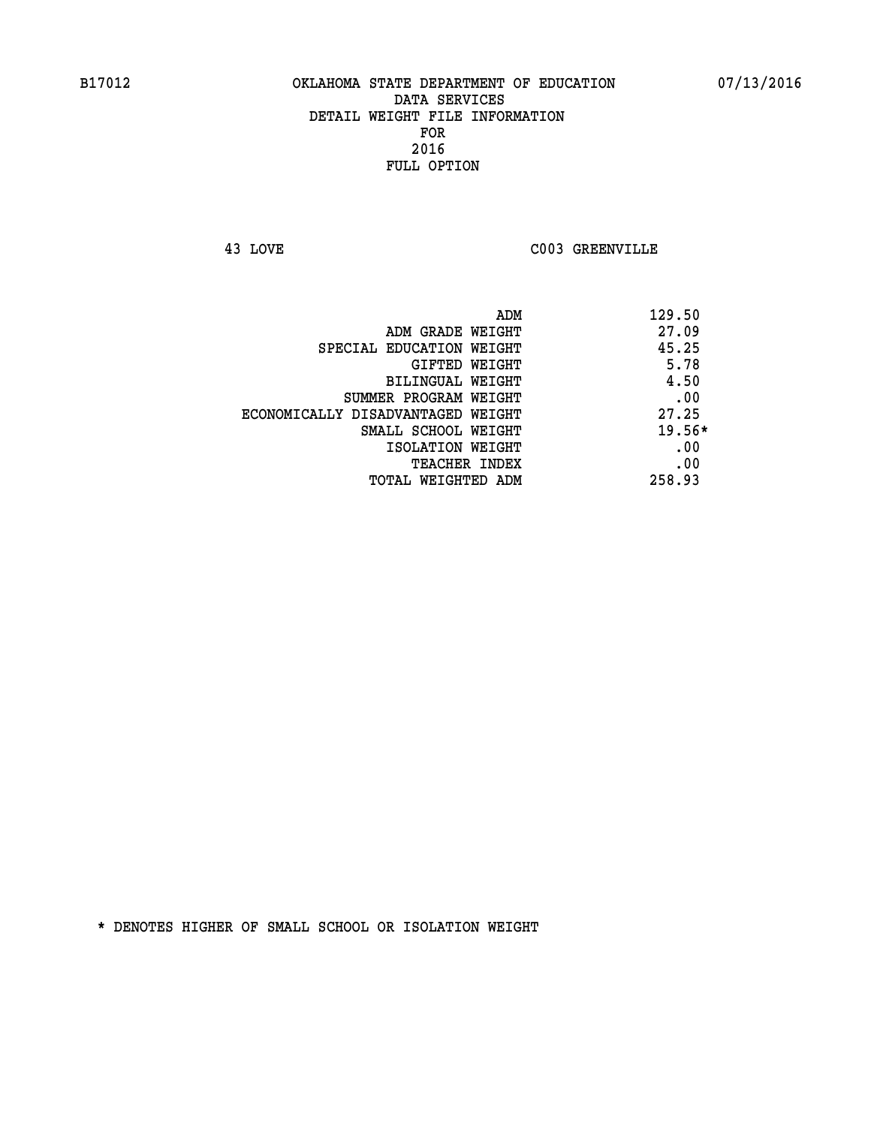**43 LOVE C003 GREENVILLE** 

| ADM                               | 129.50   |
|-----------------------------------|----------|
| ADM GRADE WEIGHT                  | 27.09    |
| SPECIAL EDUCATION WEIGHT          | 45.25    |
| <b>GIFTED WEIGHT</b>              | 5.78     |
| BILINGUAL WEIGHT                  | 4.50     |
| SUMMER PROGRAM WEIGHT             | .00      |
| ECONOMICALLY DISADVANTAGED WEIGHT | 27.25    |
| SMALL SCHOOL WEIGHT               | $19.56*$ |
| ISOLATION WEIGHT                  | .00      |
| <b>TEACHER INDEX</b>              | .00      |
| TOTAL WEIGHTED ADM                | 258.93   |
|                                   |          |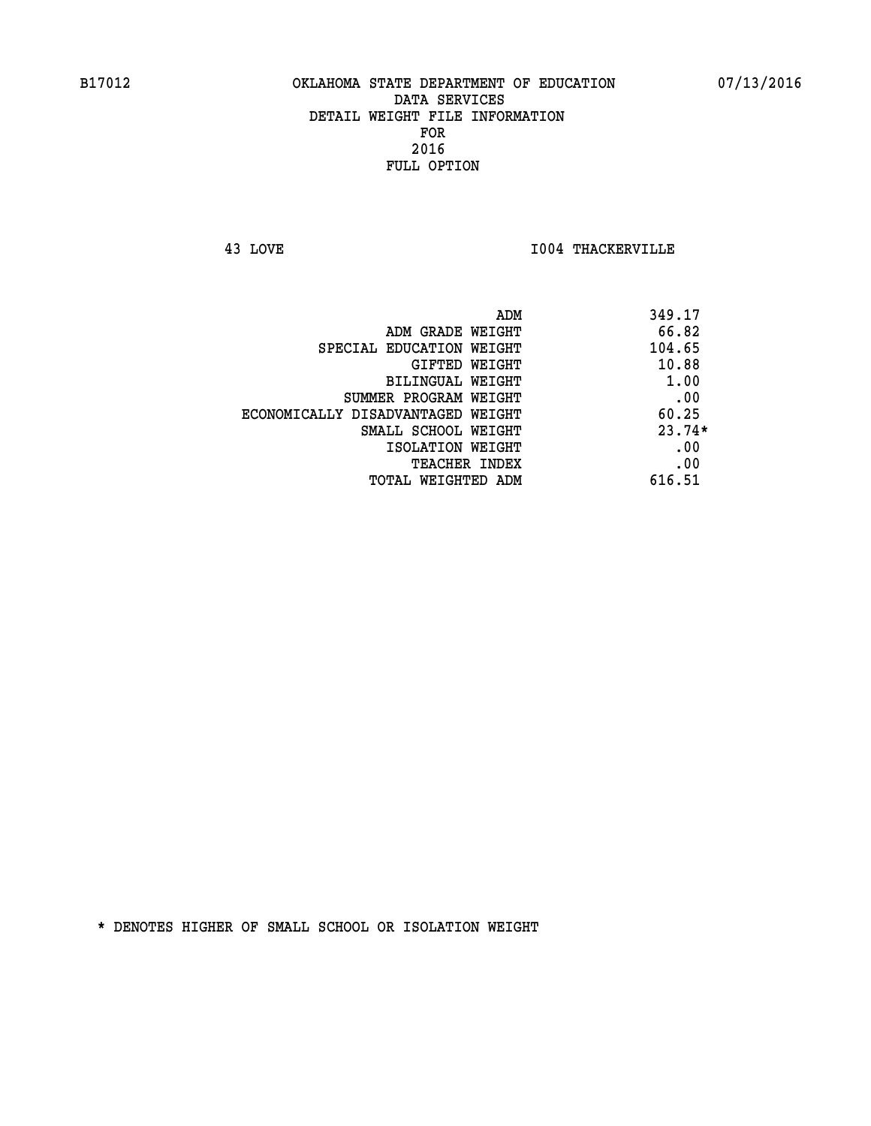**43 LOVE I004 THACKERVILLE** 

| ADM                               | 349.17   |
|-----------------------------------|----------|
| ADM GRADE WEIGHT                  | 66.82    |
| SPECIAL EDUCATION WEIGHT          | 104.65   |
| GIFTED WEIGHT                     | 10.88    |
| BILINGUAL WEIGHT                  | 1.00     |
| SUMMER PROGRAM WEIGHT             | .00      |
| ECONOMICALLY DISADVANTAGED WEIGHT | 60.25    |
| SMALL SCHOOL WEIGHT               | $23.74*$ |
| ISOLATION WEIGHT                  | .00      |
| <b>TEACHER INDEX</b>              | .00      |
| TOTAL WEIGHTED ADM                | 616.51   |
|                                   |          |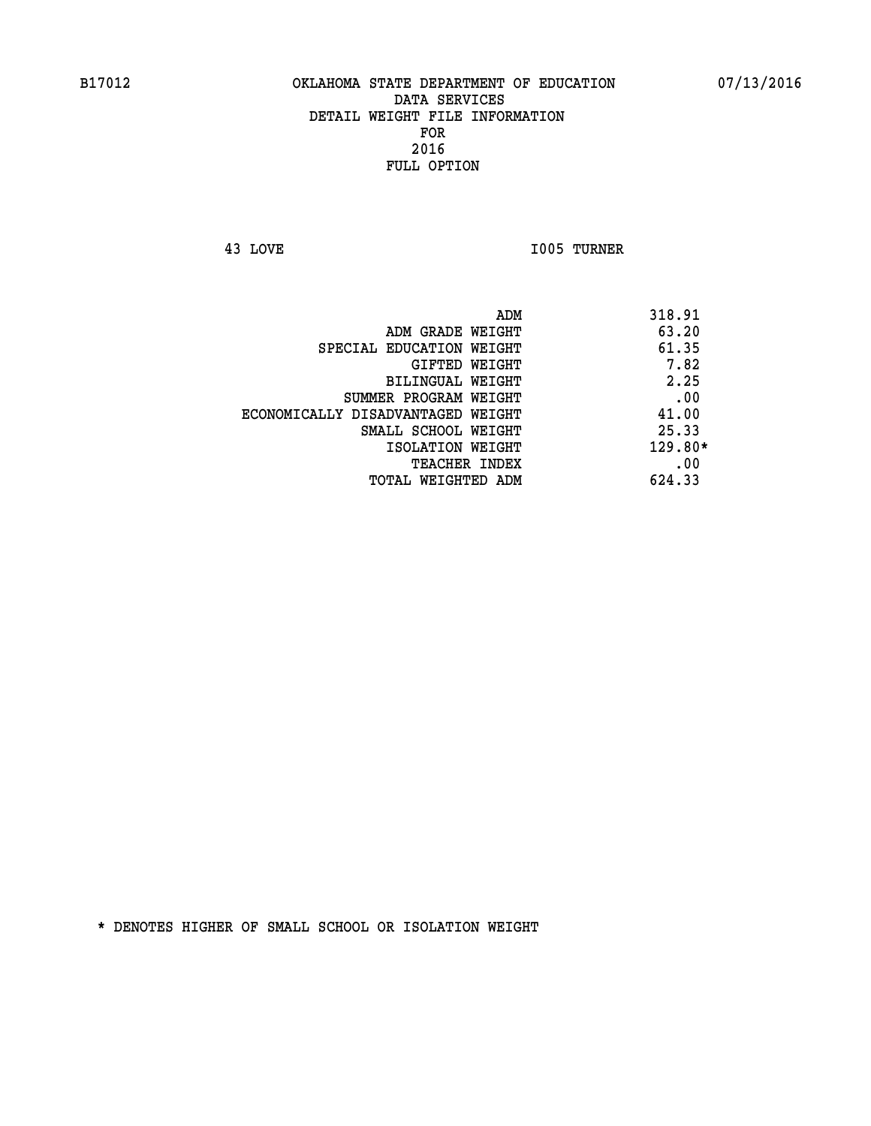**43 LOVE I005 TURNER** 

|                                   | ADM | 318.91    |
|-----------------------------------|-----|-----------|
| ADM GRADE WEIGHT                  |     | 63.20     |
| SPECIAL EDUCATION WEIGHT          |     | 61.35     |
| GIFTED WEIGHT                     |     | 7.82      |
| BILINGUAL WEIGHT                  |     | 2.25      |
| SUMMER PROGRAM WEIGHT             |     | .00       |
| ECONOMICALLY DISADVANTAGED WEIGHT |     | 41.00     |
| SMALL SCHOOL WEIGHT               |     | 25.33     |
| ISOLATION WEIGHT                  |     | $129.80*$ |
| TEACHER INDEX                     |     | .00       |
| TOTAL WEIGHTED ADM                |     | 624.33    |
|                                   |     |           |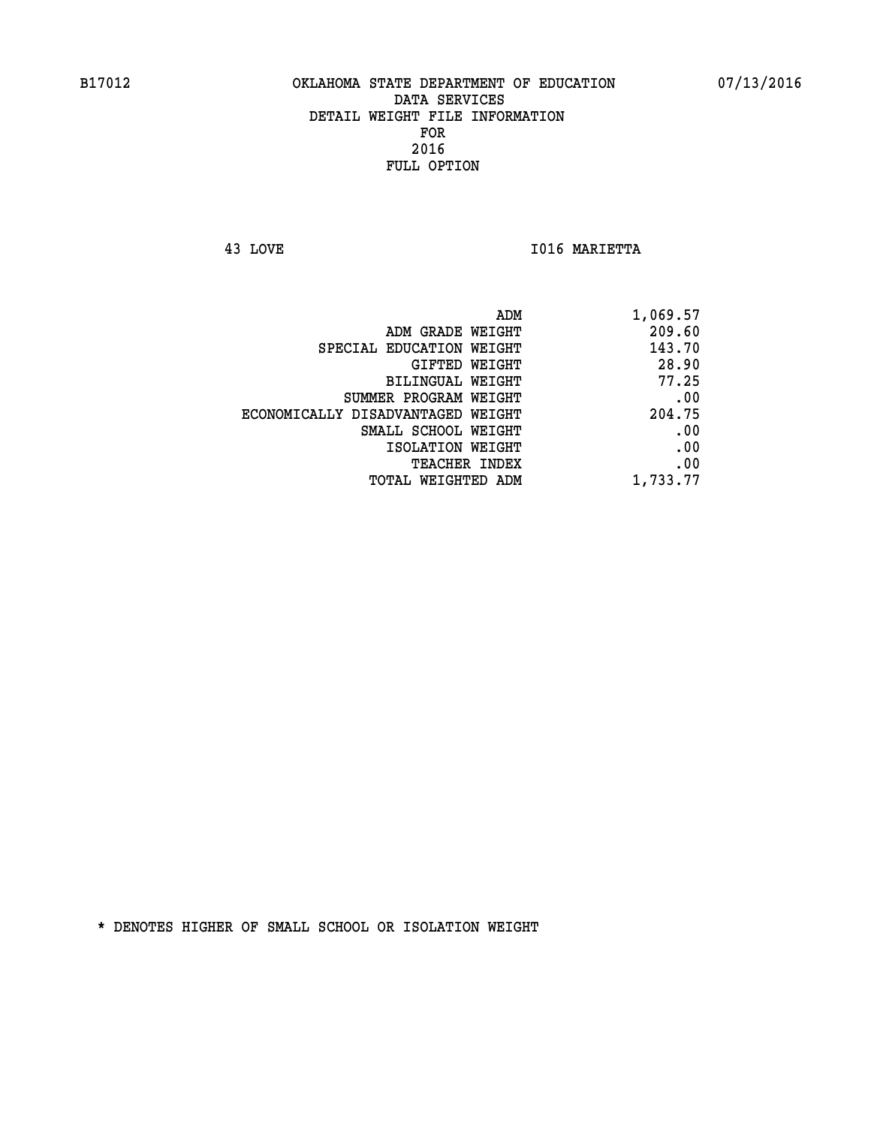**43 LOVE I016 MARIETTA** 

|                                   | 1,069.57<br>ADM |
|-----------------------------------|-----------------|
| ADM GRADE WEIGHT                  | 209.60          |
| SPECIAL EDUCATION WEIGHT          | 143.70          |
| GIFTED WEIGHT                     | 28.90           |
| <b>BILINGUAL WEIGHT</b>           | 77.25           |
| SUMMER PROGRAM WEIGHT             | .00             |
| ECONOMICALLY DISADVANTAGED WEIGHT | 204.75          |
| SMALL SCHOOL WEIGHT               | .00             |
| ISOLATION WEIGHT                  | .00             |
| TEACHER INDEX                     | .00             |
| TOTAL WEIGHTED ADM                | 1,733.77        |
|                                   |                 |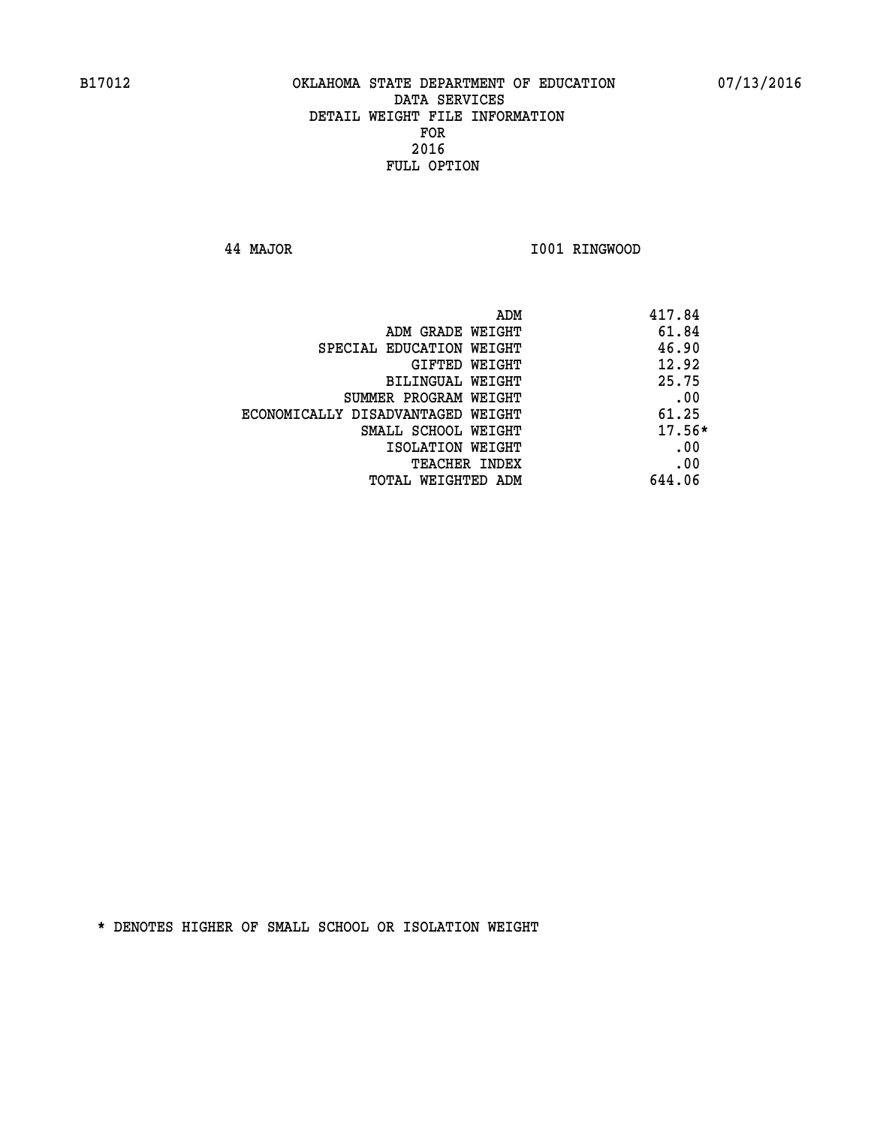**44 MAJOR I001 RINGWOOD** 

| ADM                               | 417.84   |
|-----------------------------------|----------|
| ADM GRADE WEIGHT                  | 61.84    |
| SPECIAL EDUCATION WEIGHT          | 46.90    |
| GIFTED WEIGHT                     | 12.92    |
| <b>BILINGUAL WEIGHT</b>           | 25.75    |
| SUMMER PROGRAM WEIGHT             | .00      |
| ECONOMICALLY DISADVANTAGED WEIGHT | 61.25    |
| SMALL SCHOOL WEIGHT               | $17.56*$ |
| ISOLATION WEIGHT                  | .00      |
| <b>TEACHER INDEX</b>              | .00      |
| TOTAL WEIGHTED ADM                | 644.06   |
|                                   |          |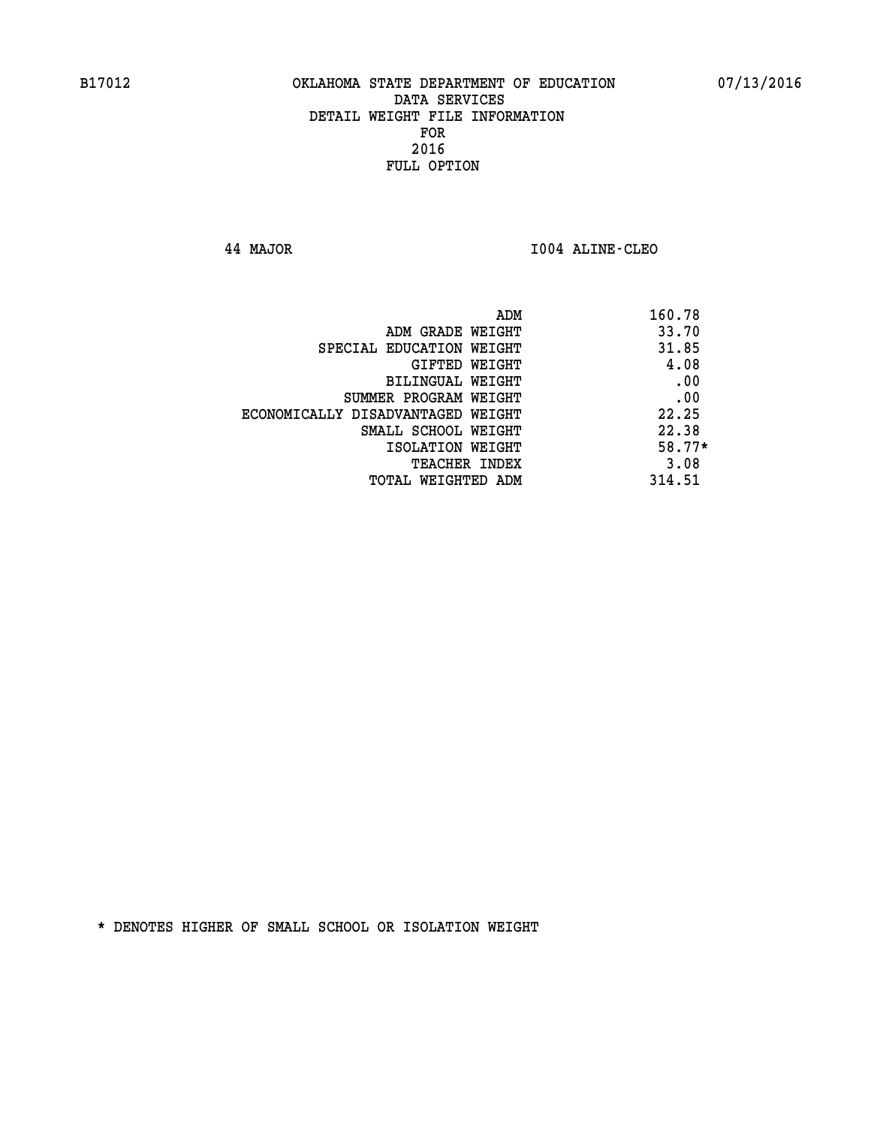**44 MAJOR I004 ALINE-CLEO** 

| ADM                               | 160.78 |
|-----------------------------------|--------|
| ADM GRADE WEIGHT                  | 33.70  |
| SPECIAL EDUCATION WEIGHT          | 31.85  |
| GIFTED WEIGHT                     | 4.08   |
| <b>BILINGUAL WEIGHT</b>           | .00    |
| SUMMER PROGRAM WEIGHT             | .00    |
| ECONOMICALLY DISADVANTAGED WEIGHT | 22.25  |
| SMALL SCHOOL WEIGHT               | 22.38  |
| ISOLATION WEIGHT                  | 58.77* |
| <b>TEACHER INDEX</b>              | 3.08   |
| TOTAL WEIGHTED ADM                | 314.51 |
|                                   |        |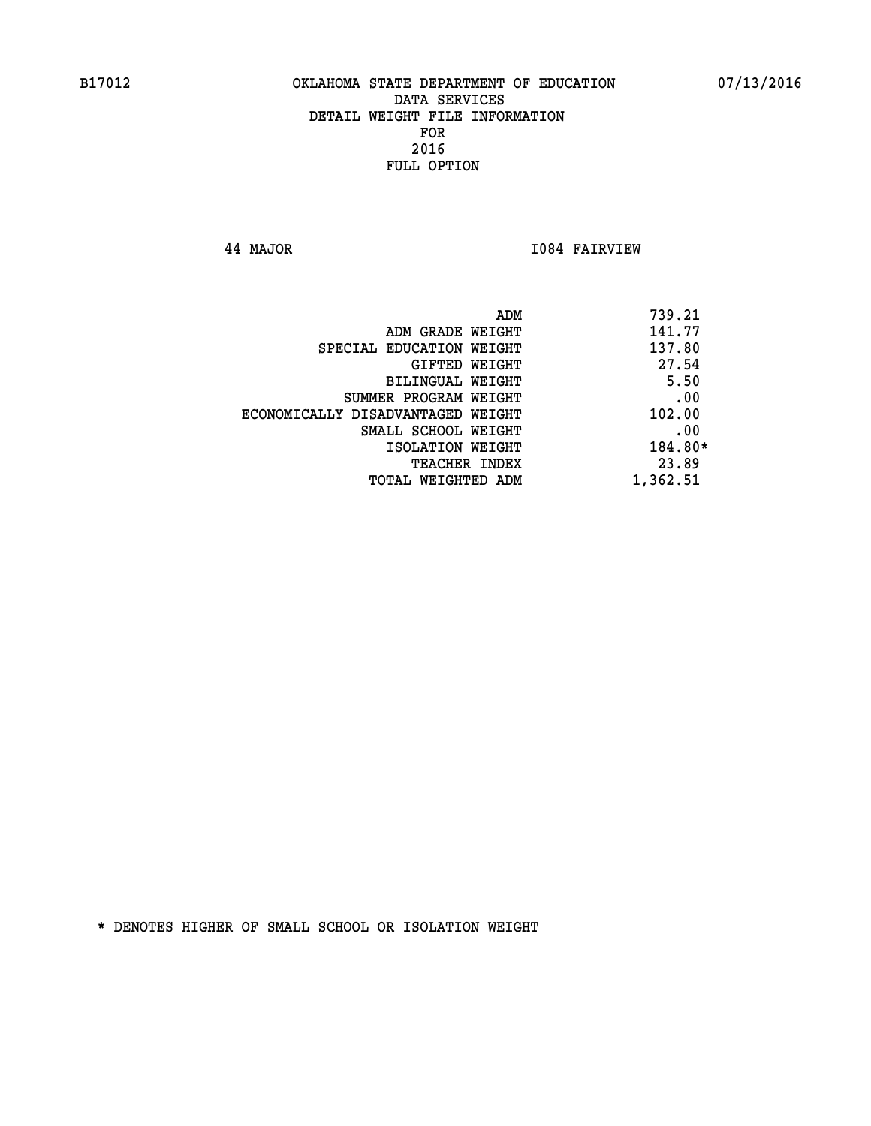**44 MAJOR I084 FAIRVIEW** 

|                                   | 739.21<br>ADM |      |
|-----------------------------------|---------------|------|
| ADM GRADE WEIGHT                  | 141.77        |      |
| SPECIAL EDUCATION WEIGHT          | 137.80        |      |
| GIFTED WEIGHT                     | 27.54         |      |
| BILINGUAL WEIGHT                  |               | 5.50 |
| SUMMER PROGRAM WEIGHT             |               | .00  |
| ECONOMICALLY DISADVANTAGED WEIGHT | 102.00        |      |
| SMALL SCHOOL WEIGHT               |               | .00  |
| ISOLATION WEIGHT                  | 184.80*       |      |
| TEACHER INDEX                     | 23.89         |      |
| TOTAL WEIGHTED ADM                | 1,362.51      |      |
|                                   |               |      |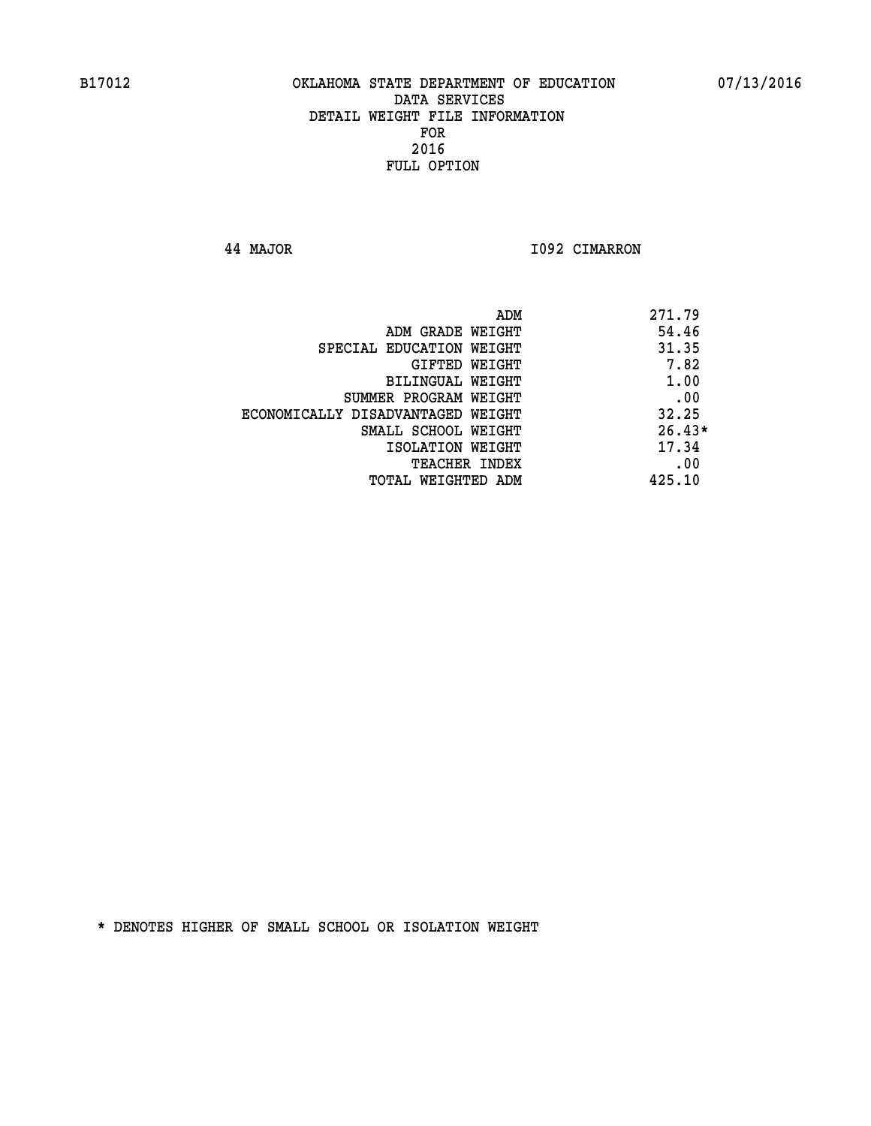**44 MAJOR I092 CIMARRON** 

| ADM                               | 271.79   |
|-----------------------------------|----------|
| ADM GRADE WEIGHT                  | 54.46    |
| SPECIAL EDUCATION WEIGHT          | 31.35    |
| GIFTED WEIGHT                     | 7.82     |
| BILINGUAL WEIGHT                  | 1.00     |
| SUMMER PROGRAM WEIGHT             | .00      |
| ECONOMICALLY DISADVANTAGED WEIGHT | 32.25    |
| SMALL SCHOOL WEIGHT               | $26.43*$ |
| ISOLATION WEIGHT                  | 17.34    |
| TEACHER INDEX                     | .00      |
| TOTAL WEIGHTED ADM                | 425.10   |
|                                   |          |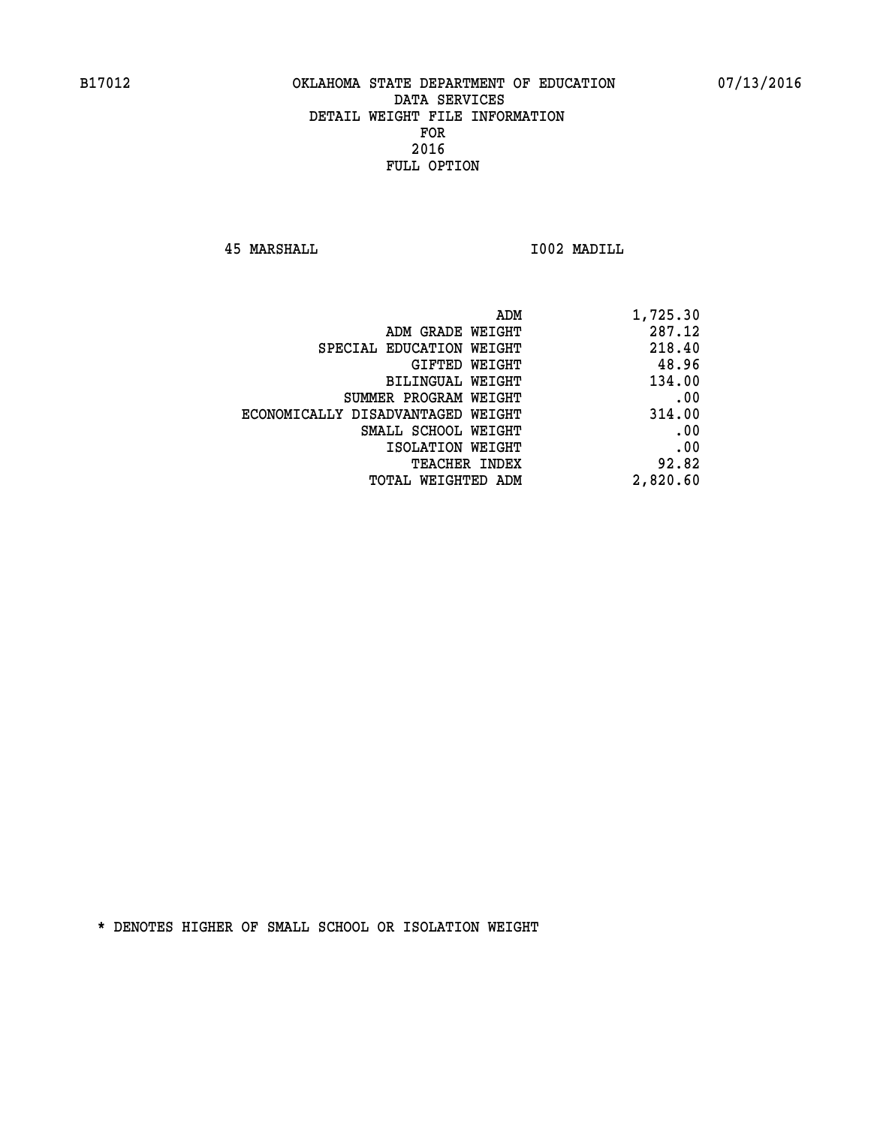**45 MARSHALL I002 MADILL** 

| 1,725.30 |
|----------|
| 287.12   |
| 218.40   |
| 48.96    |
| 134.00   |
| .00      |
| 314.00   |
| .00      |
| .00      |
| 92.82    |
| 2,820.60 |
|          |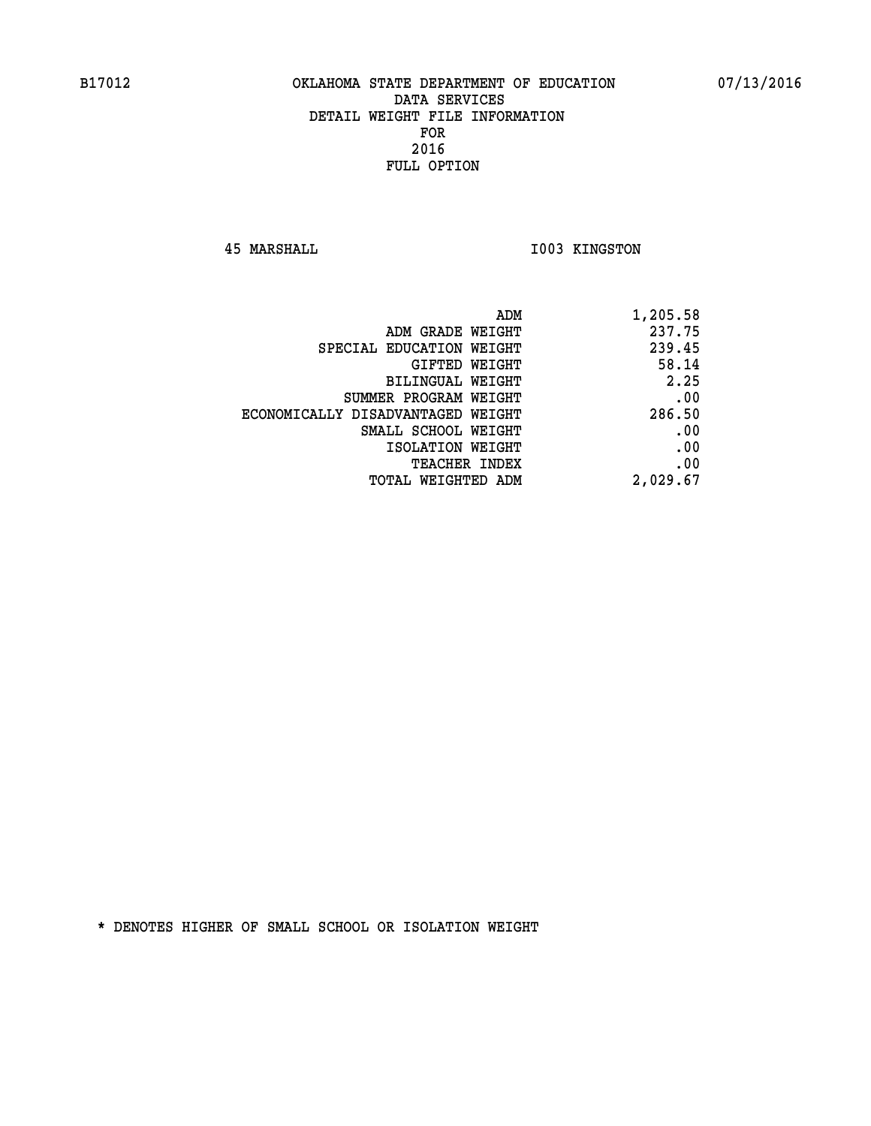**45 MARSHALL I003 KINGSTON** 

| ADM<br>1,205.58                |                                   |
|--------------------------------|-----------------------------------|
| 237.75<br>ADM GRADE WEIGHT     |                                   |
| 239.45                         | SPECIAL EDUCATION WEIGHT          |
| 58.14<br>GIFTED WEIGHT         |                                   |
| 2.25<br>BILINGUAL WEIGHT       |                                   |
| .00<br>SUMMER PROGRAM WEIGHT   |                                   |
| 286.50                         | ECONOMICALLY DISADVANTAGED WEIGHT |
| .00<br>SMALL SCHOOL WEIGHT     |                                   |
| .00<br>ISOLATION WEIGHT        |                                   |
| .00<br><b>TEACHER INDEX</b>    |                                   |
| 2,029.67<br>TOTAL WEIGHTED ADM |                                   |
|                                |                                   |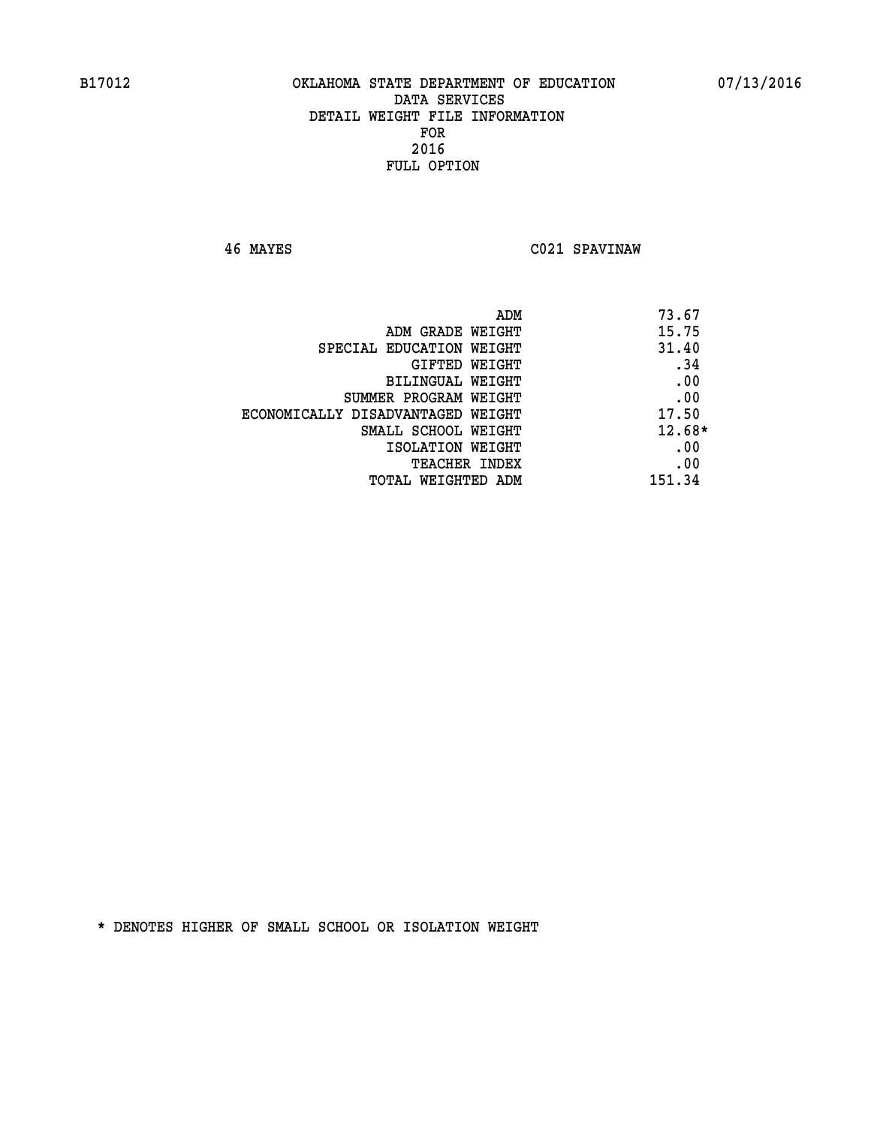**46 MAYES C021 SPAVINAW** 

| ADM                               | 73.67    |
|-----------------------------------|----------|
| ADM GRADE WEIGHT                  | 15.75    |
| SPECIAL EDUCATION WEIGHT          | 31.40    |
| GIFTED WEIGHT                     | .34      |
| <b>BILINGUAL WEIGHT</b>           | .00      |
| SUMMER PROGRAM WEIGHT             | .00      |
| ECONOMICALLY DISADVANTAGED WEIGHT | 17.50    |
| SMALL SCHOOL WEIGHT               | $12.68*$ |
| ISOLATION WEIGHT                  | .00      |
| <b>TEACHER INDEX</b>              | .00      |
| TOTAL WEIGHTED ADM                | 151.34   |
|                                   |          |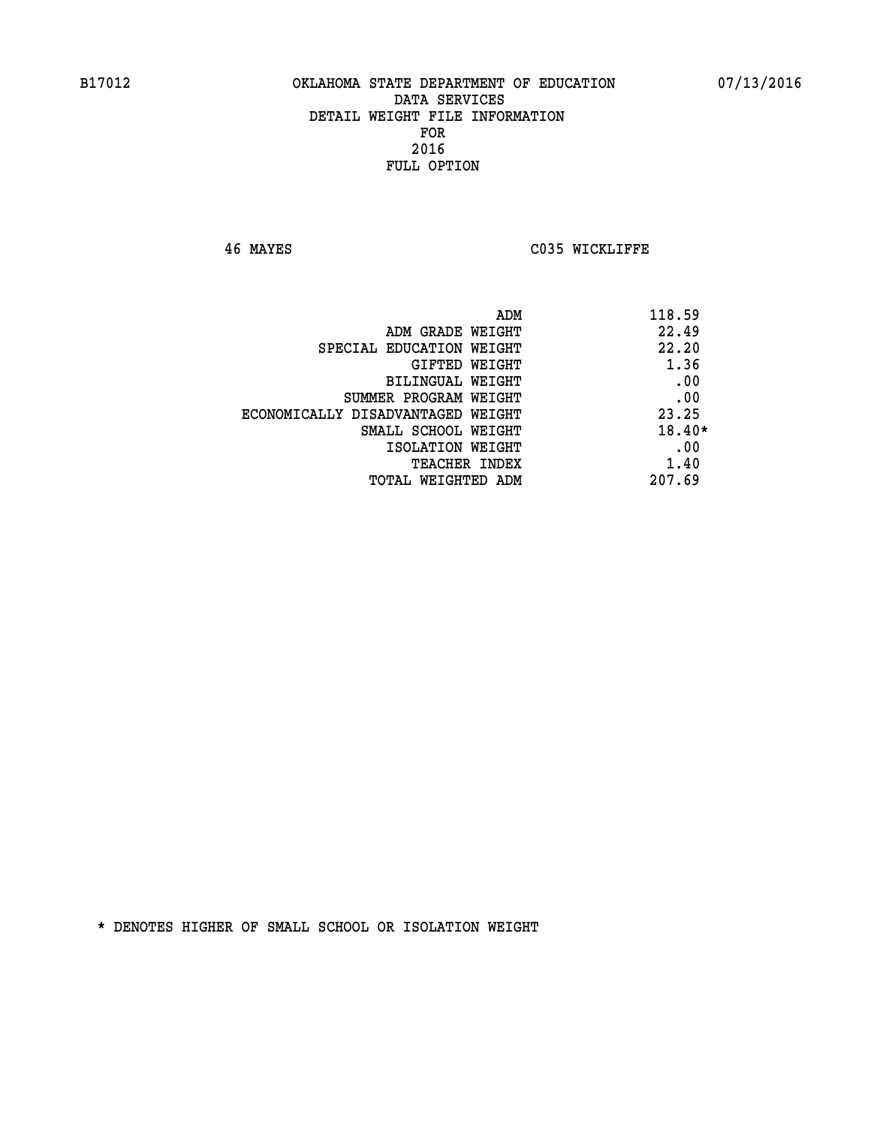**46 MAYES C035 WICKLIFFE** 

| ADM                               | 118.59   |
|-----------------------------------|----------|
| ADM GRADE WEIGHT                  | 22.49    |
| SPECIAL EDUCATION WEIGHT          | 22.20    |
| GIFTED WEIGHT                     | 1.36     |
| BILINGUAL WEIGHT                  | .00      |
| SUMMER PROGRAM WEIGHT             | .00      |
| ECONOMICALLY DISADVANTAGED WEIGHT | 23.25    |
| SMALL SCHOOL WEIGHT               | $18.40*$ |
| ISOLATION WEIGHT                  | .00      |
| <b>TEACHER INDEX</b>              | 1.40     |
| TOTAL WEIGHTED ADM                | 207.69   |
|                                   |          |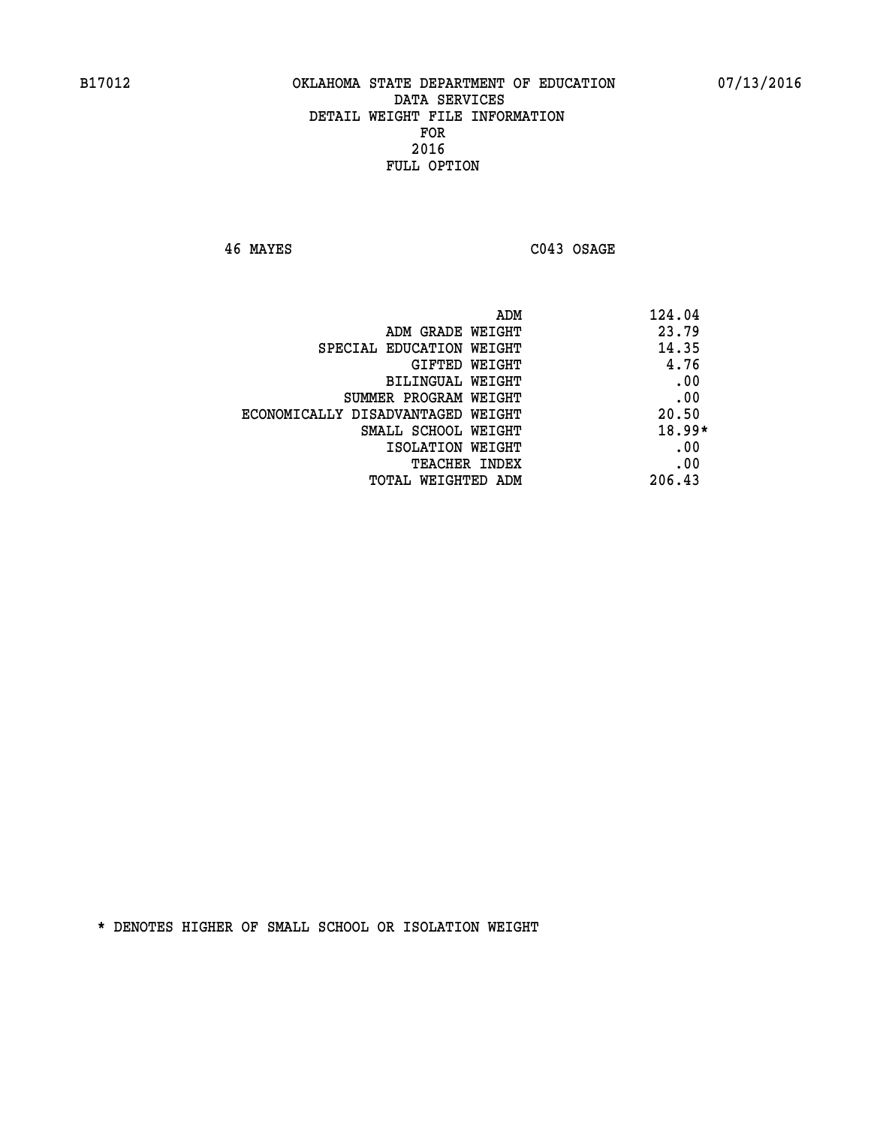**46 MAYES C043 OSAGE** 

| ADM                               | 124.04   |
|-----------------------------------|----------|
| ADM GRADE WEIGHT                  | 23.79    |
| SPECIAL EDUCATION WEIGHT          | 14.35    |
| GIFTED WEIGHT                     | 4.76     |
| BILINGUAL WEIGHT                  | .00      |
| SUMMER PROGRAM WEIGHT             | .00      |
| ECONOMICALLY DISADVANTAGED WEIGHT | 20.50    |
| SMALL SCHOOL WEIGHT               | $18.99*$ |
| ISOLATION WEIGHT                  | .00      |
| <b>TEACHER INDEX</b>              | .00      |
| TOTAL WEIGHTED ADM                | 206.43   |
|                                   |          |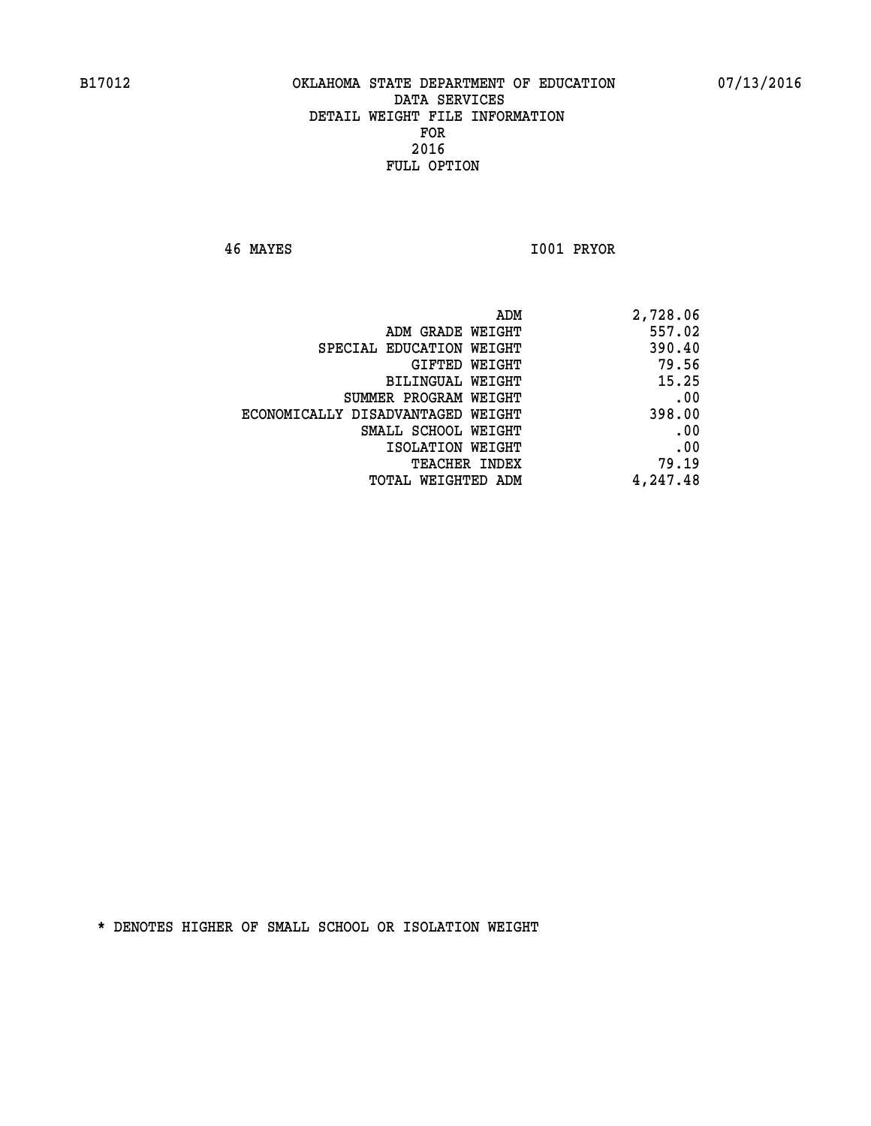**46 MAYES I001 PRYOR** 

| 2,728.06 |
|----------|
| 557.02   |
| 390.40   |
| 79.56    |
| 15.25    |
| .00      |
| 398.00   |
| .00      |
| .00      |
| 79.19    |
| 4,247.48 |
|          |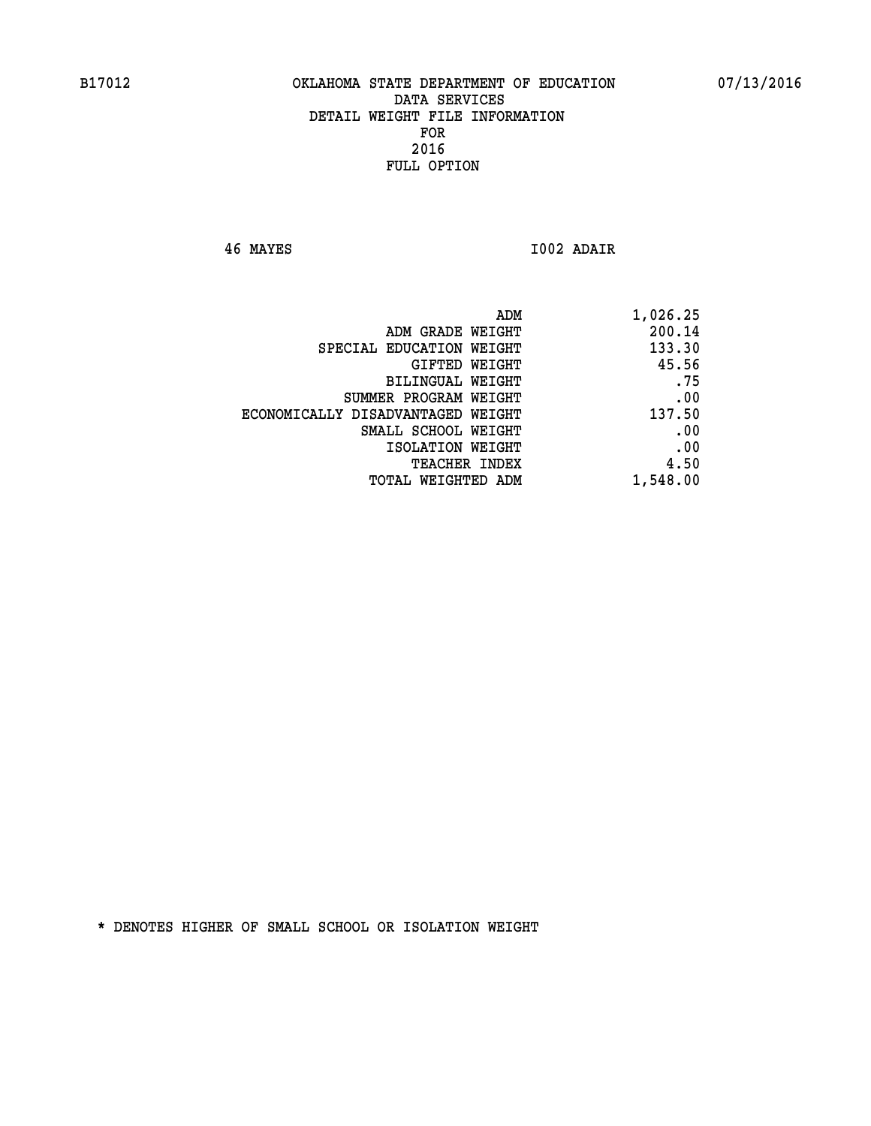**46 MAYES I002 ADAIR** 

|                                   | ADM<br>1,026.25 |  |
|-----------------------------------|-----------------|--|
| ADM GRADE WEIGHT                  | 200.14          |  |
| SPECIAL EDUCATION WEIGHT          | 133.30          |  |
| GIFTED WEIGHT                     | 45.56           |  |
| <b>BILINGUAL WEIGHT</b>           | .75             |  |
| SUMMER PROGRAM WEIGHT             | .00             |  |
| ECONOMICALLY DISADVANTAGED WEIGHT | 137.50          |  |
| SMALL SCHOOL WEIGHT               | .00             |  |
| ISOLATION WEIGHT                  | .00             |  |
| TEACHER INDEX                     | 4.50            |  |
| TOTAL WEIGHTED ADM                | 1,548.00        |  |
|                                   |                 |  |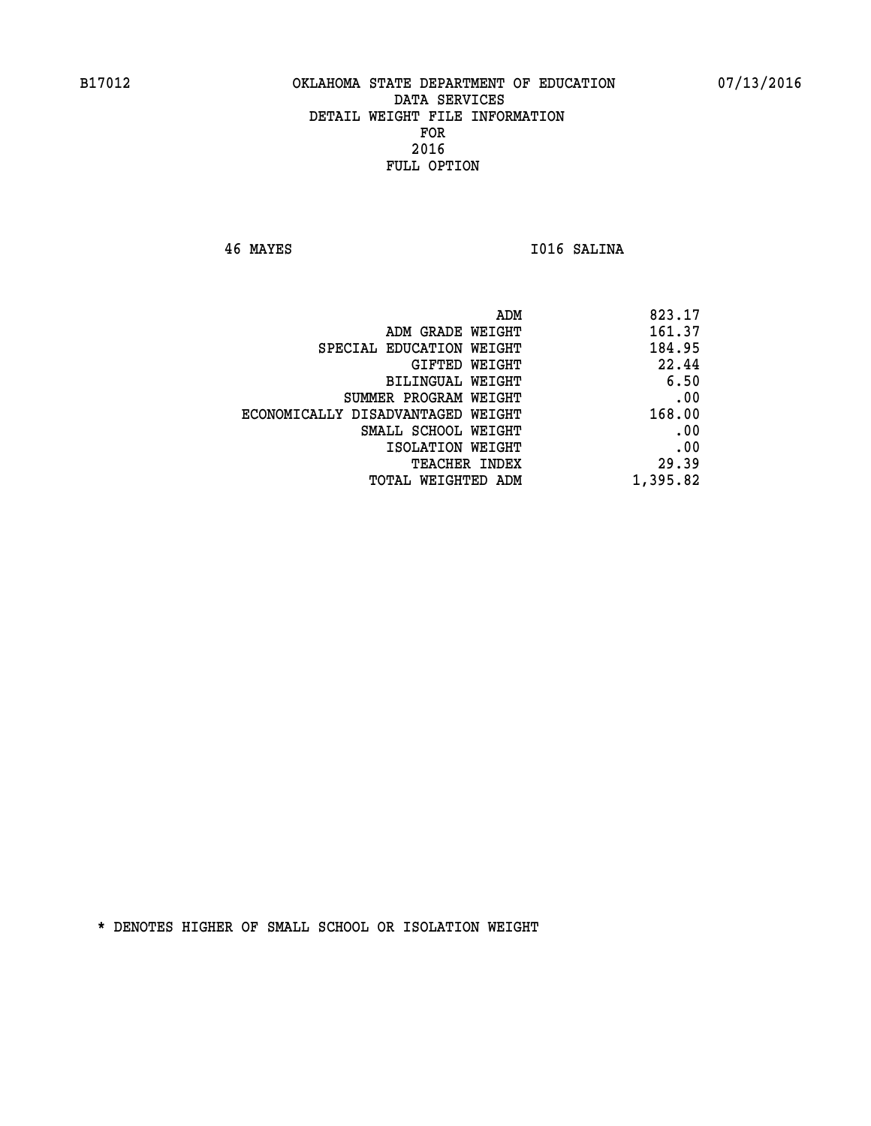**46 MAYES I016 SALINA** 

| 823.17   |
|----------|
| 161.37   |
| 184.95   |
| 22.44    |
| 6.50     |
| .00      |
| 168.00   |
| .00      |
| .00      |
| 29.39    |
| 1,395.82 |
|          |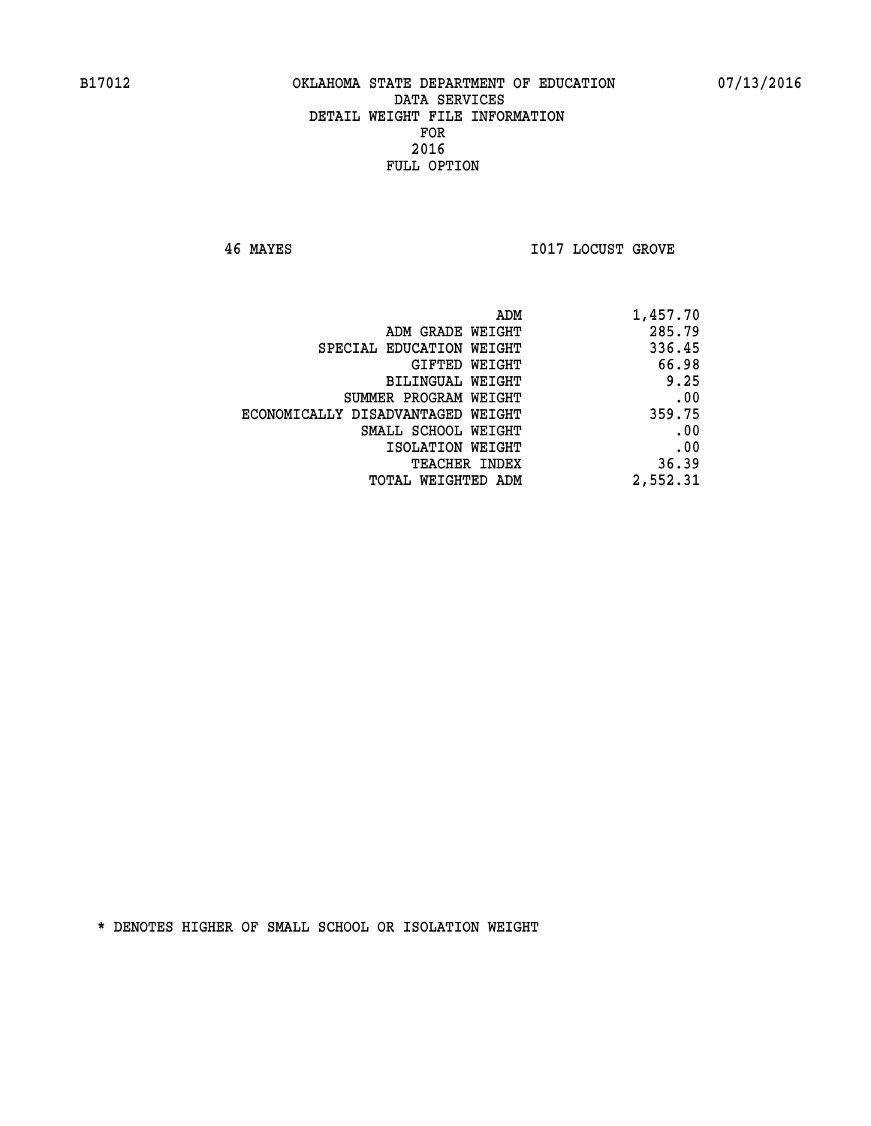**46 MAYES I017 LOCUST GROVE** 

| 1,457.70 |
|----------|
| 285.79   |
| 336.45   |
| 66.98    |
| 9.25     |
| .00      |
| 359.75   |
| .00      |
| .00      |
| 36.39    |
| 2,552.31 |
|          |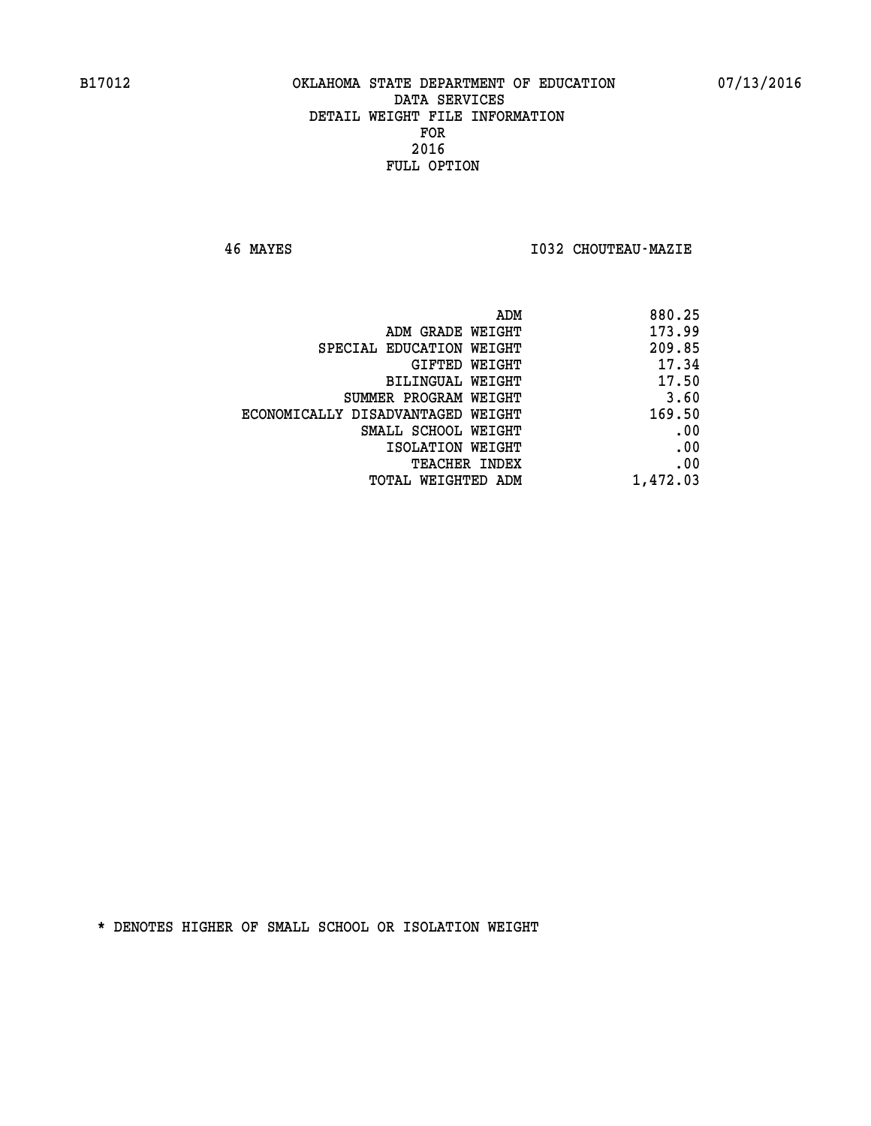**46 MAYES I032 CHOUTEAU-MAZIE** 

|                                   | ADM<br>880.25 |
|-----------------------------------|---------------|
| ADM GRADE WEIGHT                  | 173.99        |
| SPECIAL EDUCATION WEIGHT          | 209.85        |
| GIFTED WEIGHT                     | 17.34         |
| <b>BILINGUAL WEIGHT</b>           | 17.50         |
| SUMMER PROGRAM WEIGHT             | 3.60          |
| ECONOMICALLY DISADVANTAGED WEIGHT | 169.50        |
| SMALL SCHOOL WEIGHT               | .00           |
| ISOLATION WEIGHT                  | .00           |
| TEACHER INDEX                     | .00           |
| TOTAL WEIGHTED ADM                | 1,472.03      |
|                                   |               |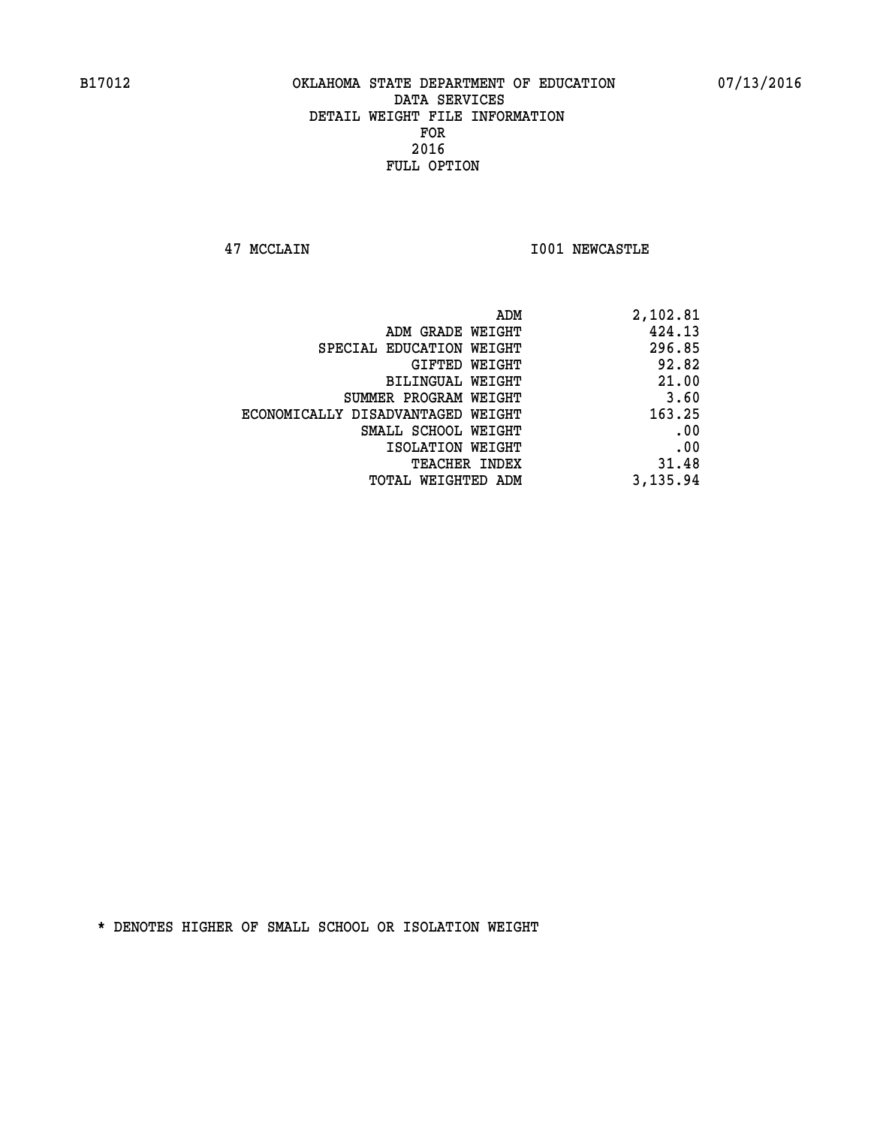**47 MCCLAIN I001 NEWCASTLE** 

| ADM                               | 2,102.81 |
|-----------------------------------|----------|
| ADM GRADE WEIGHT                  | 424.13   |
| SPECIAL EDUCATION WEIGHT          | 296.85   |
| GIFTED WEIGHT                     | 92.82    |
| <b>BILINGUAL WEIGHT</b>           | 21.00    |
| SUMMER PROGRAM WEIGHT             | 3.60     |
| ECONOMICALLY DISADVANTAGED WEIGHT | 163.25   |
| SMALL SCHOOL WEIGHT               | .00      |
| ISOLATION WEIGHT                  | .00      |
| <b>TEACHER INDEX</b>              | 31.48    |
| TOTAL WEIGHTED ADM                | 3,135.94 |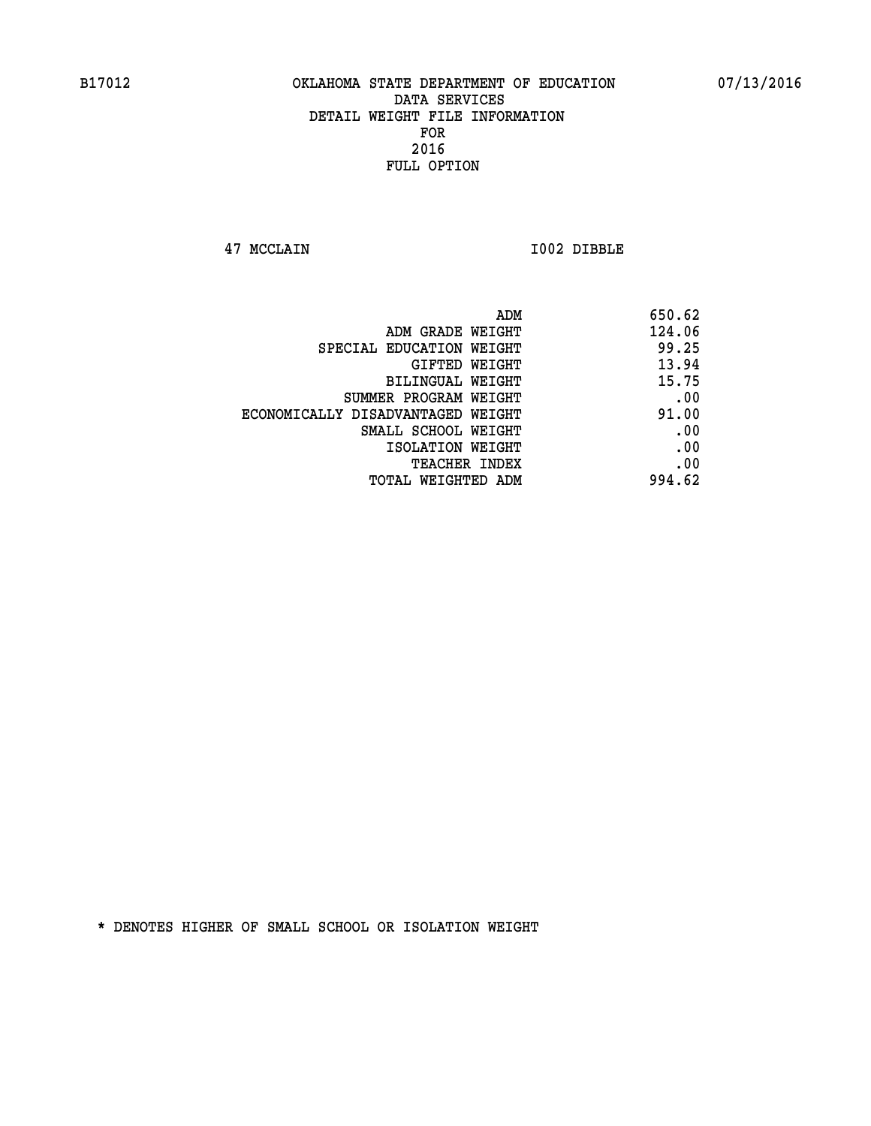**47 MCCLAIN I002 DIBBLE** 

| ADM                               | 650.62 |
|-----------------------------------|--------|
| ADM GRADE WEIGHT                  | 124.06 |
| SPECIAL EDUCATION WEIGHT          | 99.25  |
| GIFTED WEIGHT                     | 13.94  |
| BILINGUAL WEIGHT                  | 15.75  |
| SUMMER PROGRAM WEIGHT             | .00    |
| ECONOMICALLY DISADVANTAGED WEIGHT | 91.00  |
| SMALL SCHOOL WEIGHT               | .00    |
| ISOLATION WEIGHT                  | .00    |
| TEACHER INDEX                     | .00    |
| TOTAL WEIGHTED ADM                | 994.62 |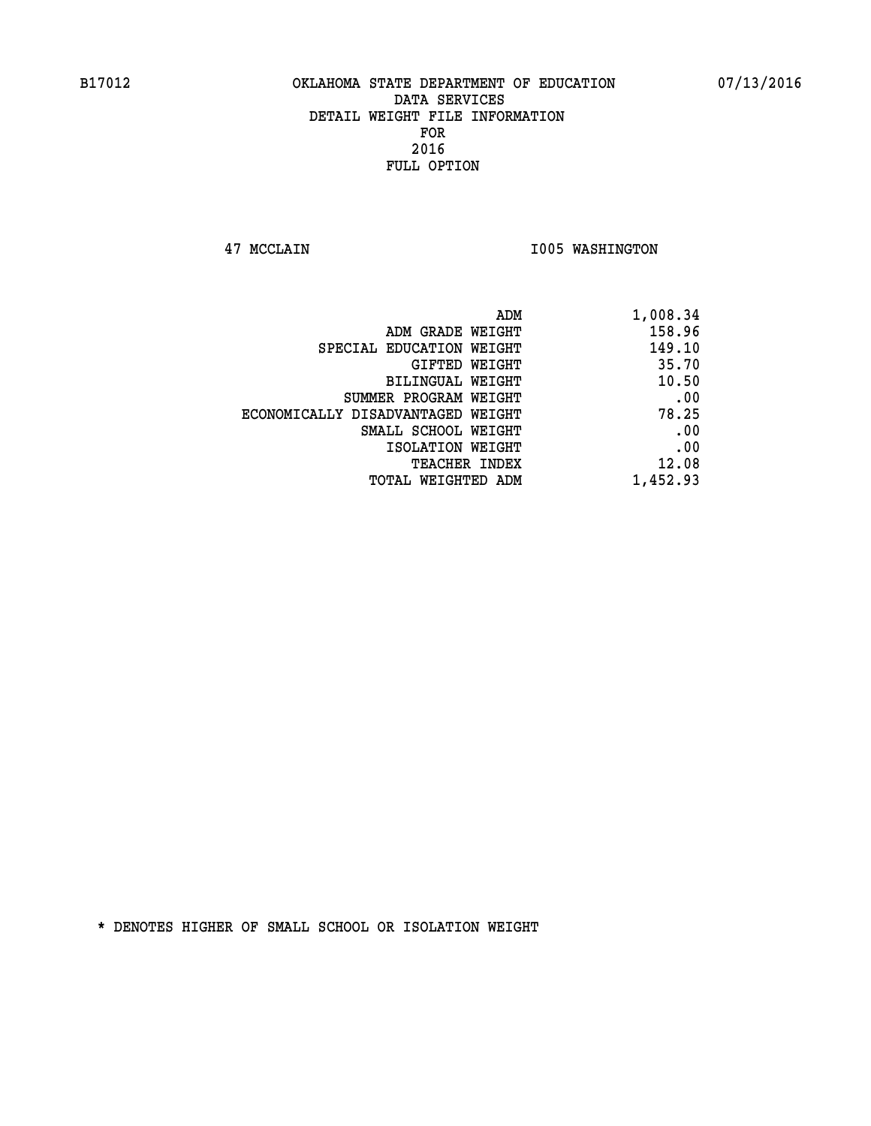**47 MCCLAIN I005 WASHINGTON** 

| 1,008.34 |
|----------|
| 158.96   |
| 149.10   |
| 35.70    |
| 10.50    |
| .00      |
| 78.25    |
| .00      |
| .00      |
| 12.08    |
| 1,452.93 |
|          |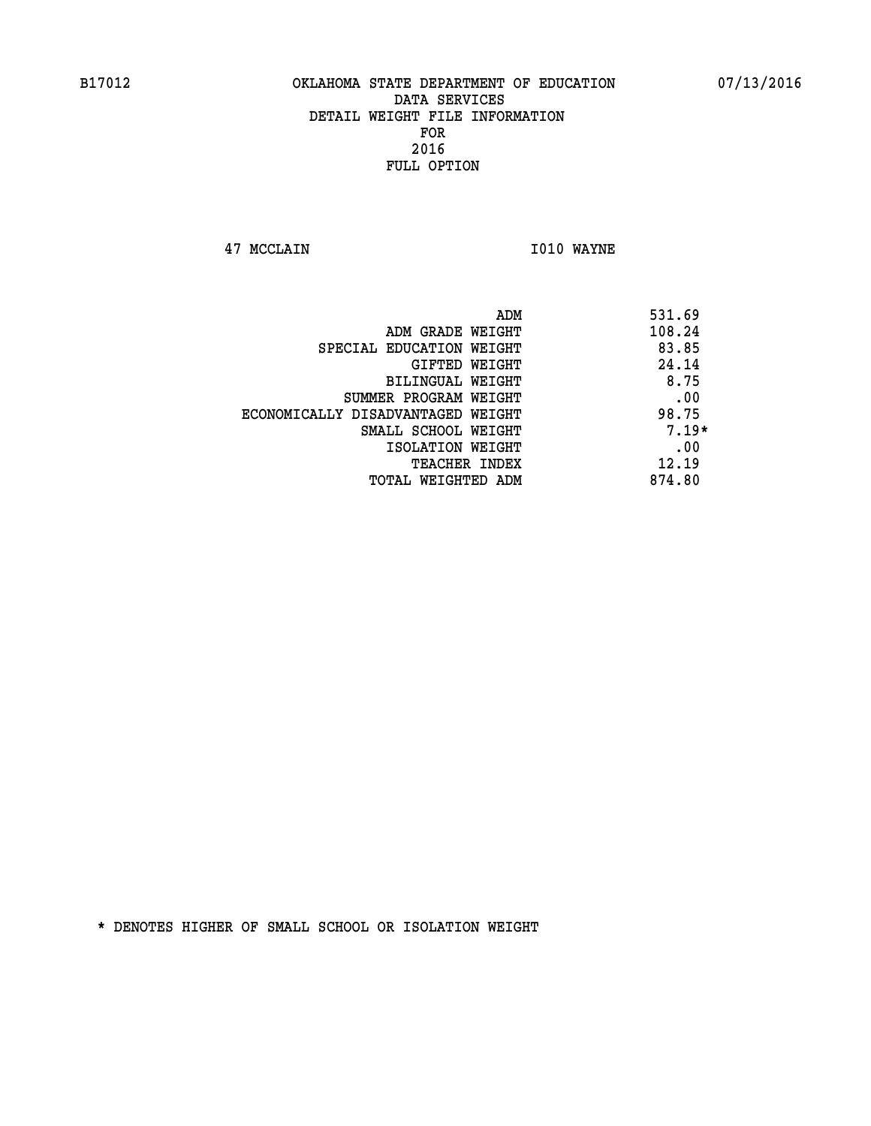**47 MCCLAIN I010 WAYNE** 

|                                   | ADM | 531.69  |
|-----------------------------------|-----|---------|
| ADM GRADE WEIGHT                  |     | 108.24  |
| SPECIAL EDUCATION WEIGHT          |     | 83.85   |
| GIFTED WEIGHT                     |     | 24.14   |
| BILINGUAL WEIGHT                  |     | 8.75    |
| SUMMER PROGRAM WEIGHT             |     | .00     |
| ECONOMICALLY DISADVANTAGED WEIGHT |     | 98.75   |
| SMALL SCHOOL WEIGHT               |     | $7.19*$ |
| ISOLATION WEIGHT                  |     | .00     |
| <b>TEACHER INDEX</b>              |     | 12.19   |
| TOTAL WEIGHTED ADM                |     | 874.80  |
|                                   |     |         |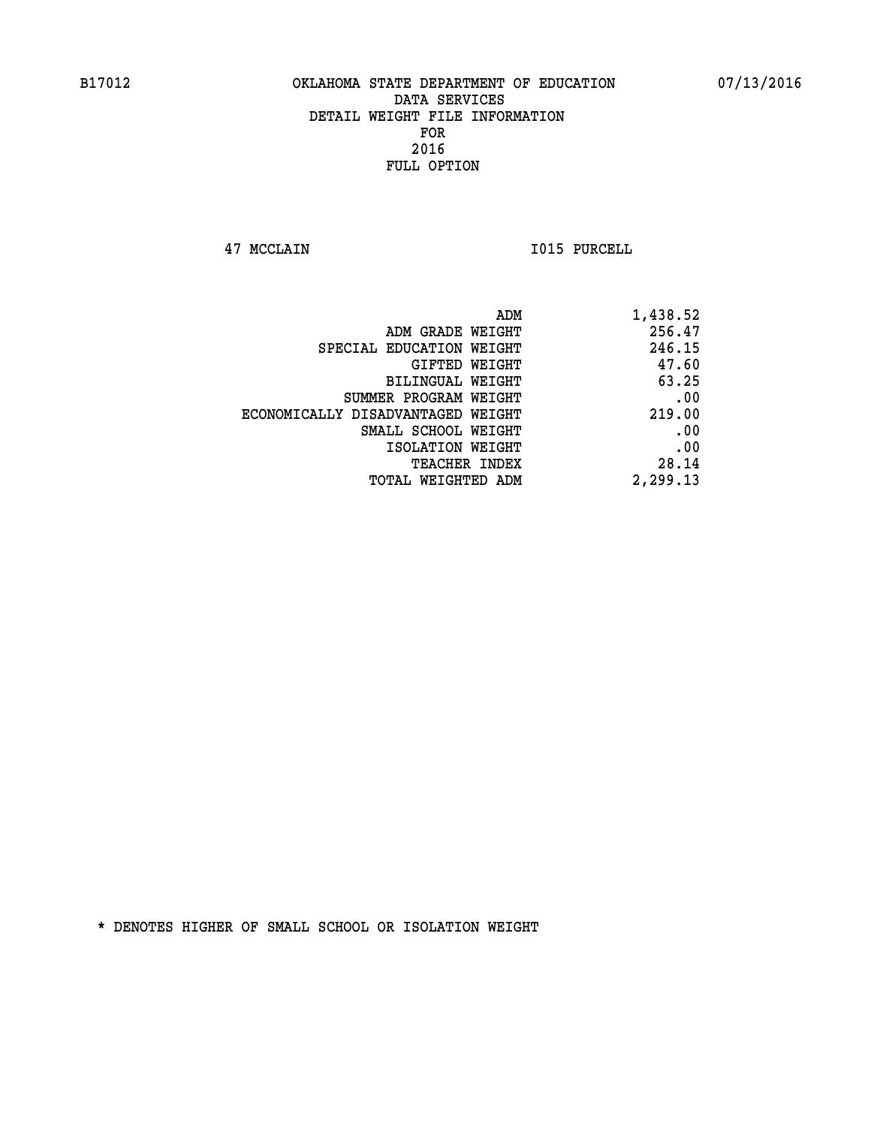**47 MCCLAIN I015 PURCELL** 

| ADM                               | 1,438.52 |
|-----------------------------------|----------|
| ADM GRADE WEIGHT                  | 256.47   |
| SPECIAL EDUCATION WEIGHT          | 246.15   |
| GIFTED WEIGHT                     | 47.60    |
| <b>BILINGUAL WEIGHT</b>           | 63.25    |
| SUMMER PROGRAM WEIGHT             | .00      |
| ECONOMICALLY DISADVANTAGED WEIGHT | 219.00   |
| SMALL SCHOOL WEIGHT               | .00      |
| ISOLATION WEIGHT                  | .00      |
| TEACHER INDEX                     | 28.14    |
| TOTAL WEIGHTED ADM                | 2,299.13 |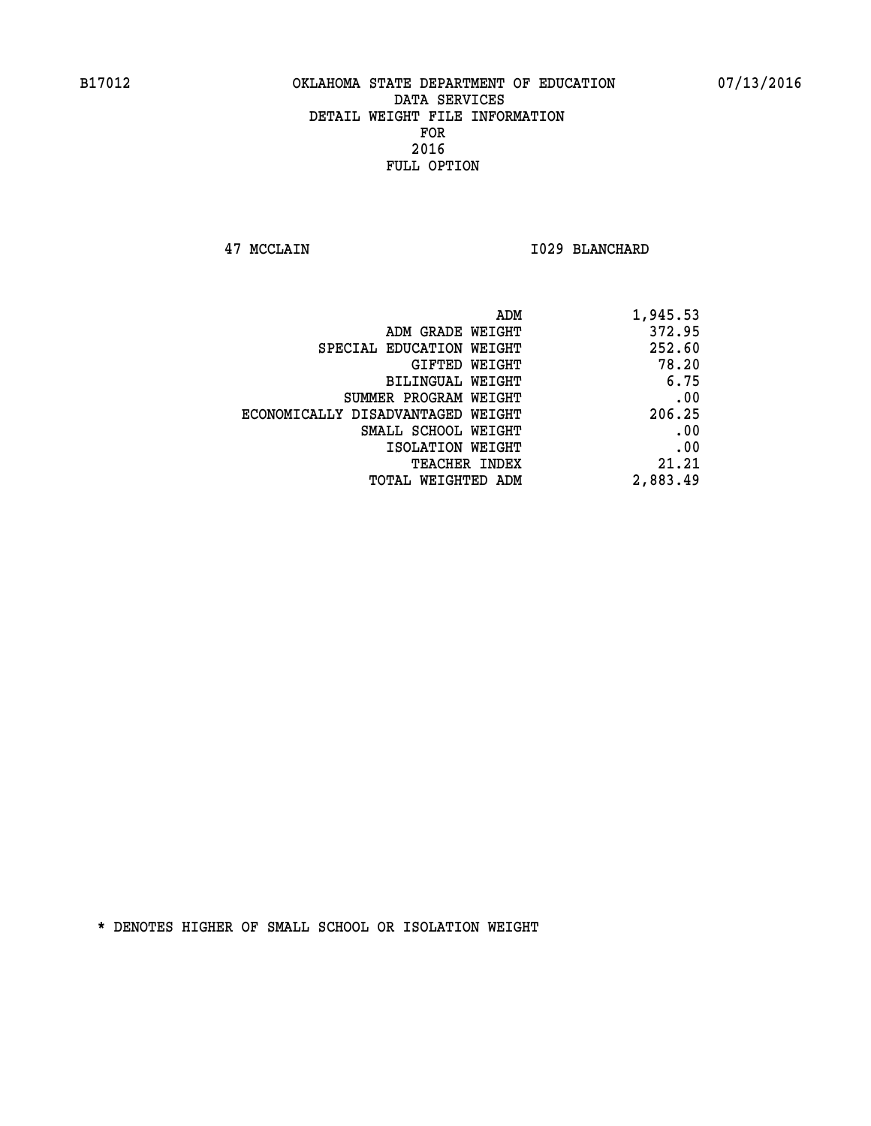**47 MCCLAIN I029 BLANCHARD** 

| ADM<br>1,945.53                             |  |
|---------------------------------------------|--|
| 372.95<br>ADM GRADE WEIGHT                  |  |
| 252.60<br>SPECIAL EDUCATION WEIGHT          |  |
| 78.20<br>GIFTED WEIGHT                      |  |
| 6.75<br><b>BILINGUAL WEIGHT</b>             |  |
| .00<br>SUMMER PROGRAM WEIGHT                |  |
| 206.25<br>ECONOMICALLY DISADVANTAGED WEIGHT |  |
| .00<br>SMALL SCHOOL WEIGHT                  |  |
| .00<br>ISOLATION WEIGHT                     |  |
| 21.21<br><b>TEACHER INDEX</b>               |  |
| 2,883.49<br>TOTAL WEIGHTED ADM              |  |
|                                             |  |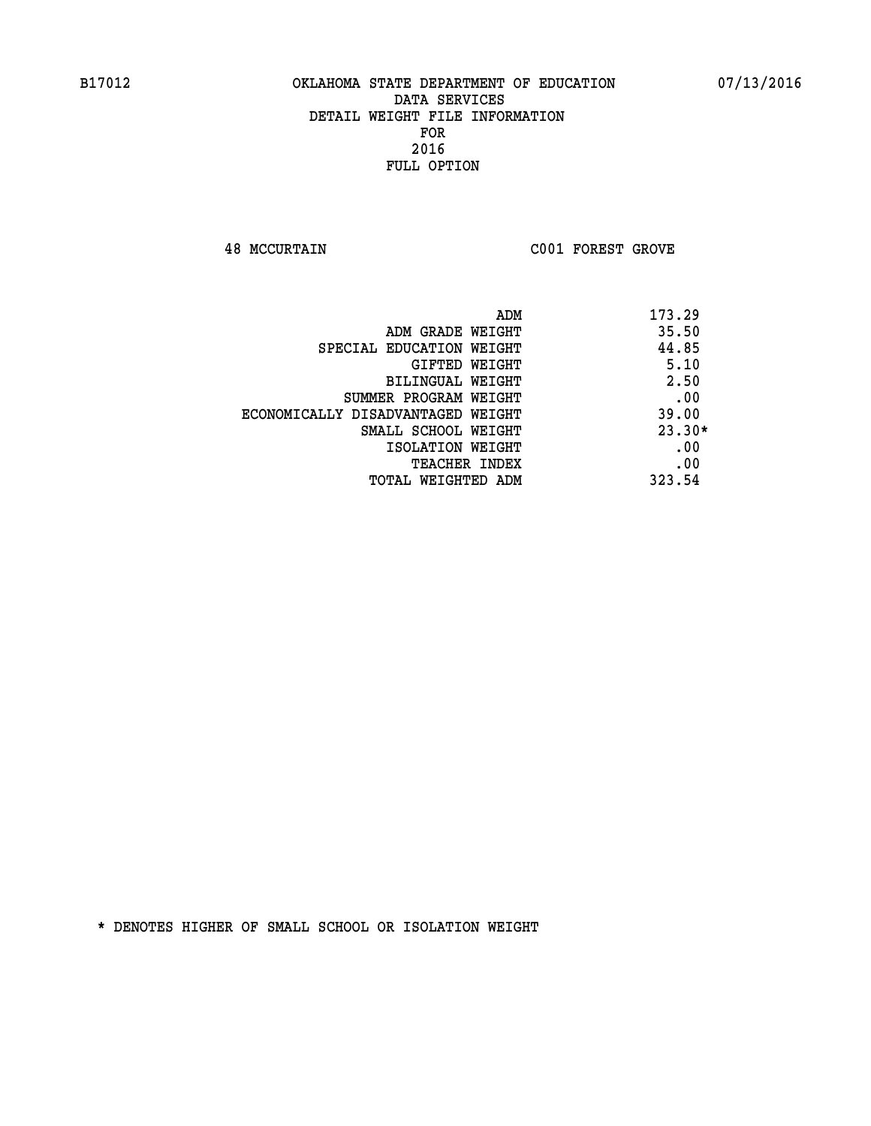**48 MCCURTAIN C001 FOREST GROVE** 

|                                   | ADM | 173.29   |
|-----------------------------------|-----|----------|
| ADM GRADE WEIGHT                  |     | 35.50    |
| SPECIAL EDUCATION WEIGHT          |     | 44.85    |
| GIFTED WEIGHT                     |     | 5.10     |
| BILINGUAL WEIGHT                  |     | 2.50     |
| SUMMER PROGRAM WEIGHT             |     | .00      |
| ECONOMICALLY DISADVANTAGED WEIGHT |     | 39.00    |
| SMALL SCHOOL WEIGHT               |     | $23.30*$ |
| ISOLATION WEIGHT                  |     | .00      |
| TEACHER INDEX                     |     | .00      |
| TOTAL WEIGHTED ADM                |     | 323.54   |
|                                   |     |          |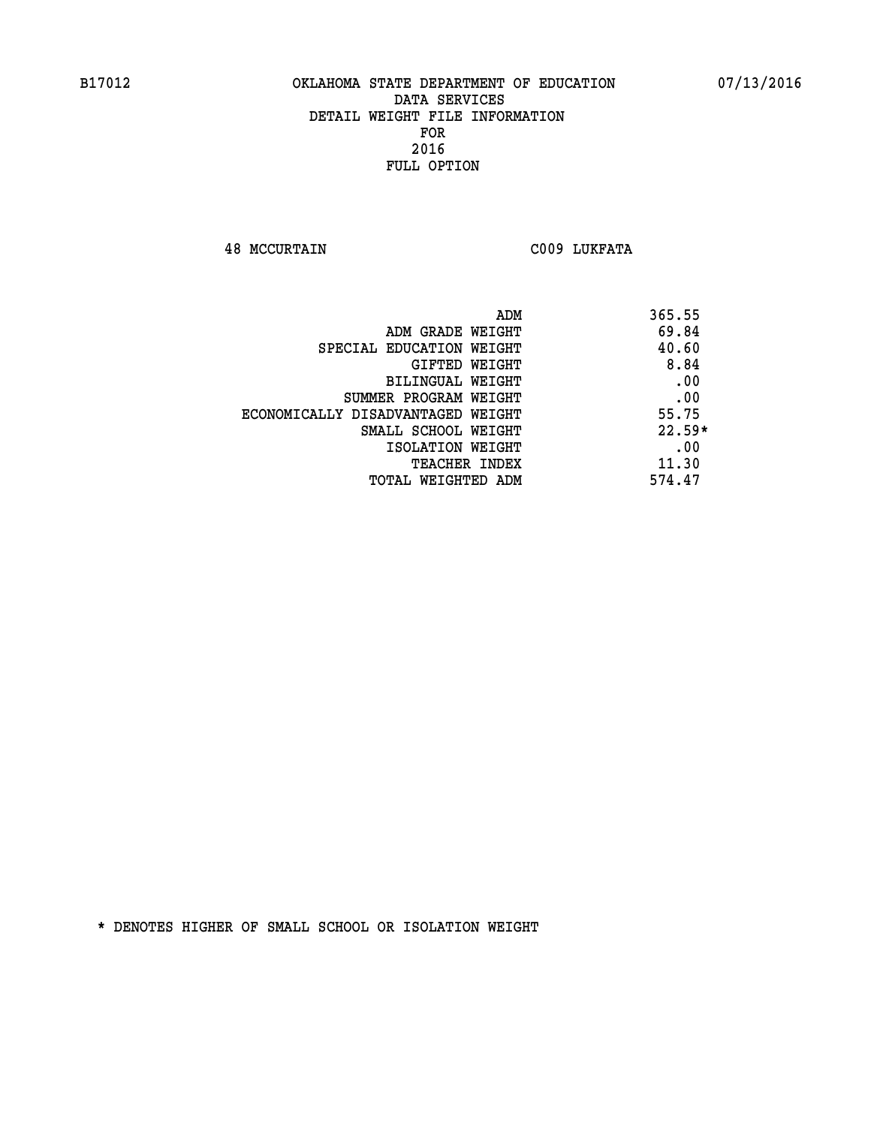**48 MCCURTAIN C009 LUKFATA** 

| ADM                               | 365.55   |
|-----------------------------------|----------|
| ADM GRADE WEIGHT                  | 69.84    |
| SPECIAL EDUCATION WEIGHT          | 40.60    |
| GIFTED WEIGHT                     | 8.84     |
| BILINGUAL WEIGHT                  | .00      |
| SUMMER PROGRAM WEIGHT             | .00      |
| ECONOMICALLY DISADVANTAGED WEIGHT | 55.75    |
| SMALL SCHOOL WEIGHT               | $22.59*$ |
| ISOLATION WEIGHT                  | .00      |
| <b>TEACHER INDEX</b>              | 11.30    |
| TOTAL WEIGHTED ADM                | 574.47   |
|                                   |          |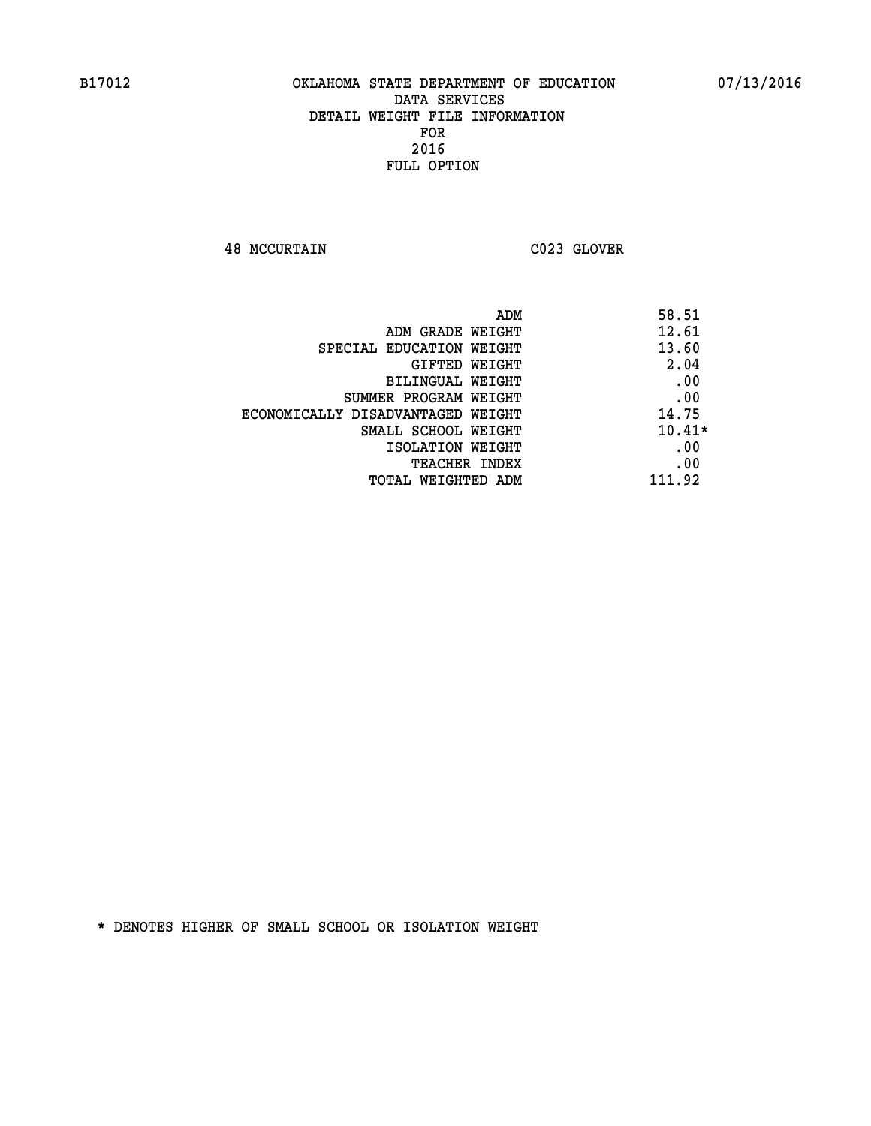**48 MCCURTAIN C023 GLOVER** 

|                                   | ADM | 58.51    |
|-----------------------------------|-----|----------|
| ADM GRADE WEIGHT                  |     | 12.61    |
| SPECIAL EDUCATION WEIGHT          |     | 13.60    |
| GIFTED WEIGHT                     |     | 2.04     |
| BILINGUAL WEIGHT                  |     | .00      |
| SUMMER PROGRAM WEIGHT             |     | .00      |
| ECONOMICALLY DISADVANTAGED WEIGHT |     | 14.75    |
| SMALL SCHOOL WEIGHT               |     | $10.41*$ |
| ISOLATION WEIGHT                  |     | .00      |
| TEACHER INDEX                     |     | .00      |
| TOTAL WEIGHTED ADM                |     | 111.92   |
|                                   |     |          |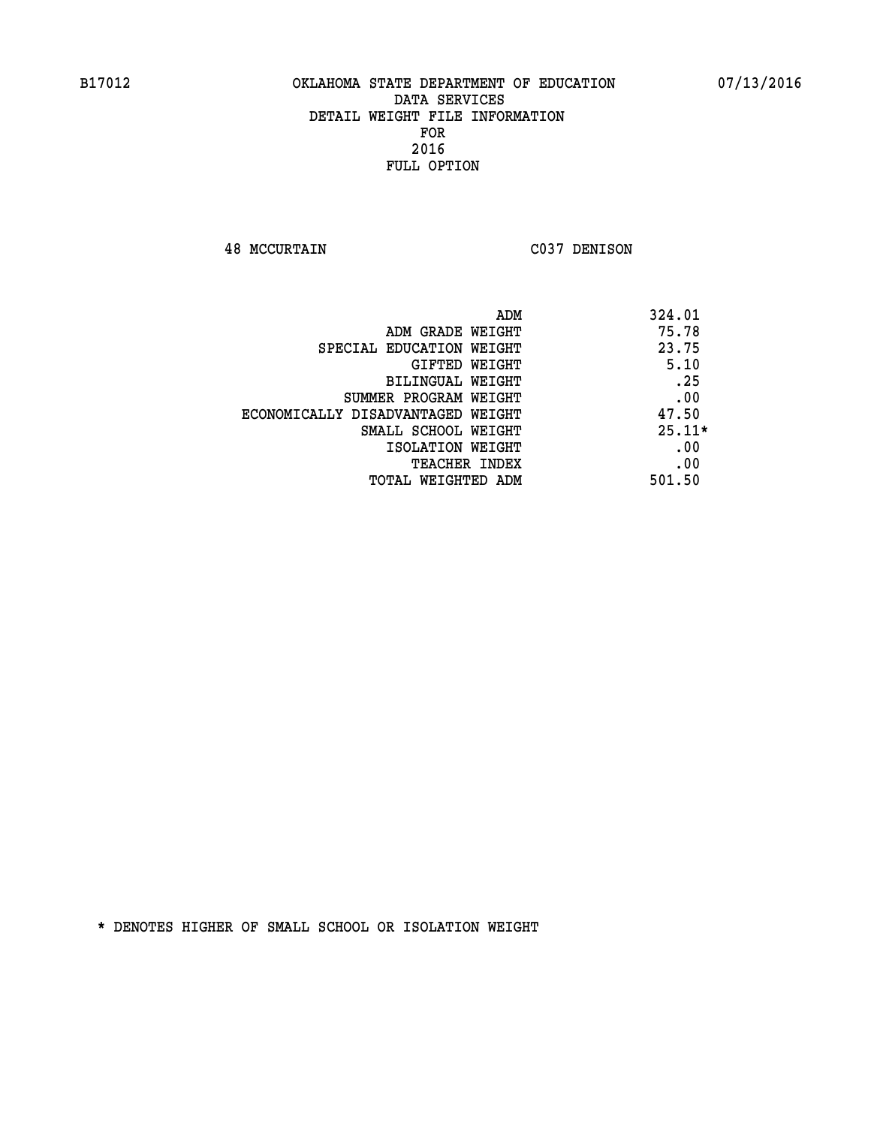**48 MCCURTAIN C037 DENISON** 

|                                   | ADM | 324.01   |
|-----------------------------------|-----|----------|
| ADM GRADE WEIGHT                  |     | 75.78    |
| SPECIAL EDUCATION WEIGHT          |     | 23.75    |
| GIFTED WEIGHT                     |     | 5.10     |
| BILINGUAL WEIGHT                  |     | .25      |
| SUMMER PROGRAM WEIGHT             |     | .00      |
| ECONOMICALLY DISADVANTAGED WEIGHT |     | 47.50    |
| SMALL SCHOOL WEIGHT               |     | $25.11*$ |
| ISOLATION WEIGHT                  |     | .00      |
| <b>TEACHER INDEX</b>              |     | .00      |
| TOTAL WEIGHTED ADM                |     | 501.50   |
|                                   |     |          |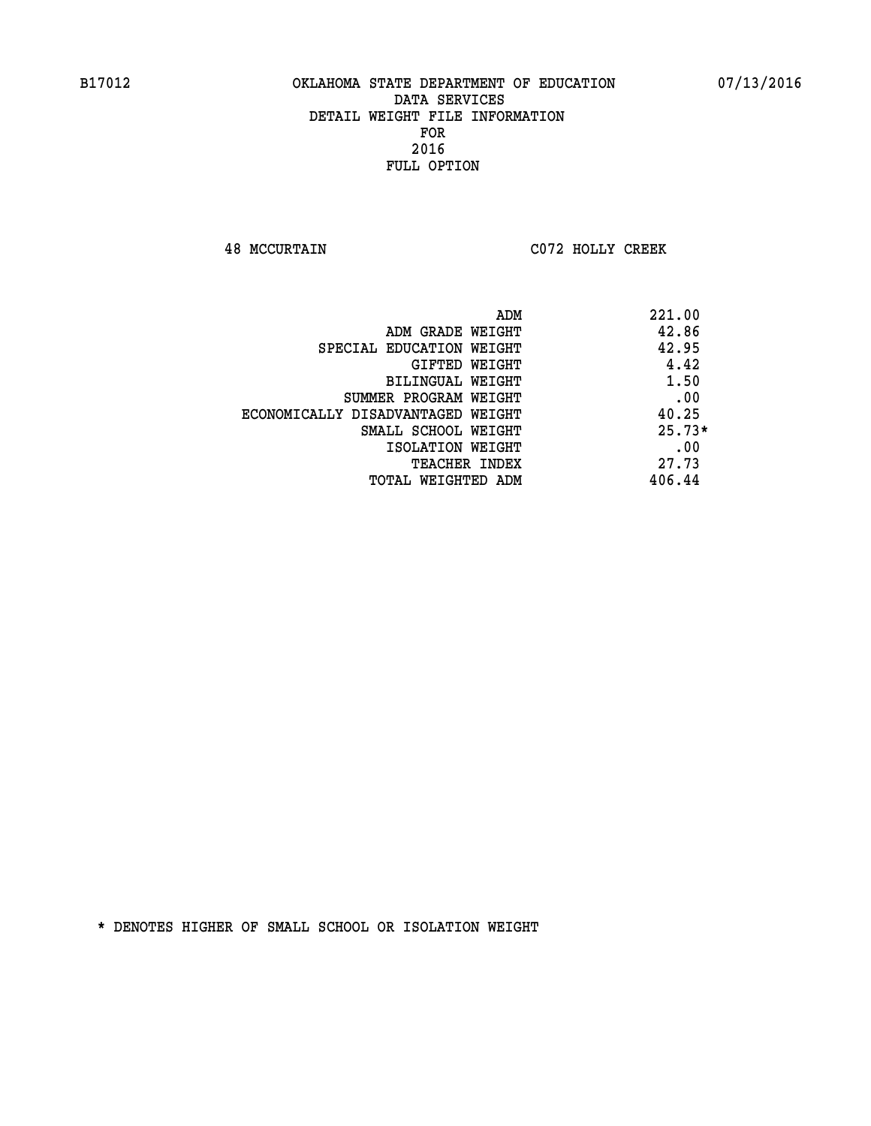**48 MCCURTAIN C072 HOLLY CREEK** 

| ADM                               | 221.00   |
|-----------------------------------|----------|
| ADM GRADE WEIGHT                  | 42.86    |
| SPECIAL EDUCATION WEIGHT          | 42.95    |
| GIFTED WEIGHT                     | 4.42     |
| <b>BILINGUAL WEIGHT</b>           | 1.50     |
| SUMMER PROGRAM WEIGHT             | .00      |
| ECONOMICALLY DISADVANTAGED WEIGHT | 40.25    |
| SMALL SCHOOL WEIGHT               | $25.73*$ |
| ISOLATION WEIGHT                  | .00      |
| <b>TEACHER INDEX</b>              | 27.73    |
| TOTAL WEIGHTED ADM                | 406.44   |
|                                   |          |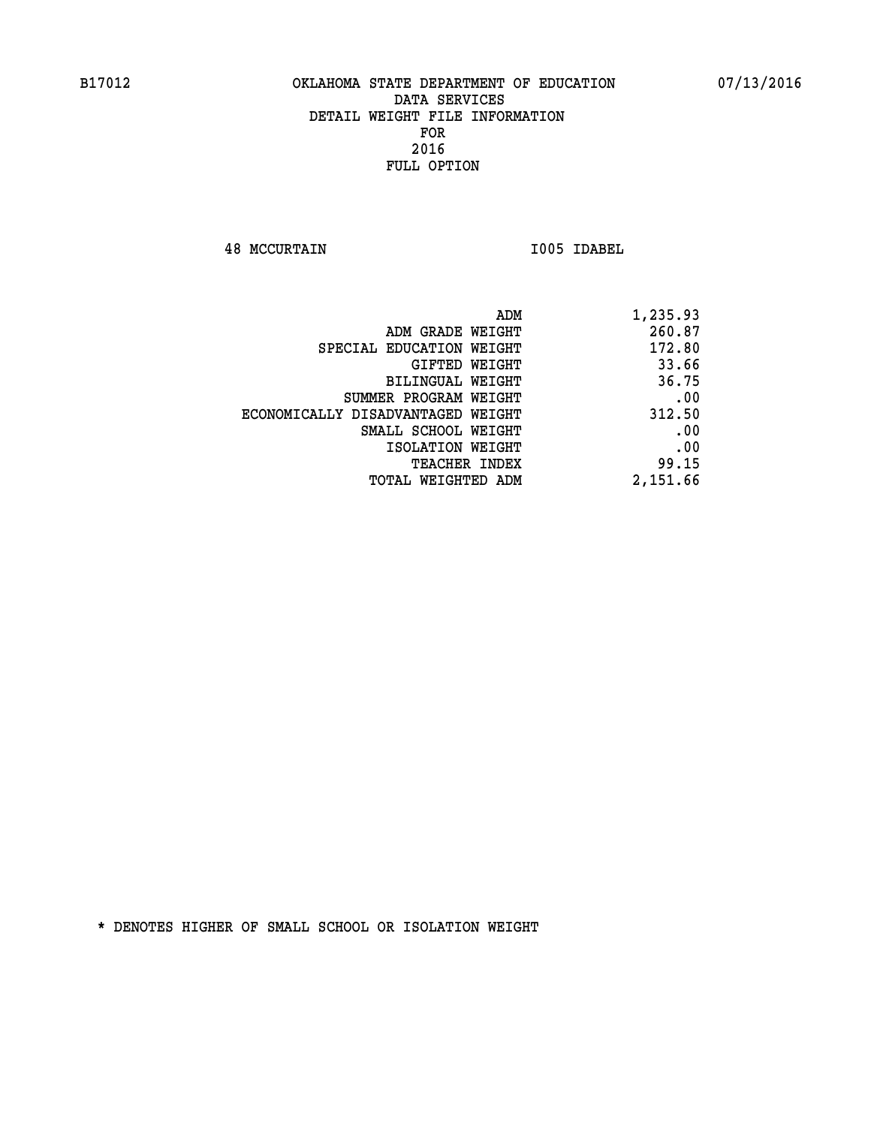**48 MCCURTAIN I005 IDABEL** 

| 1,235.93 |
|----------|
| 260.87   |
| 172.80   |
| 33.66    |
| 36.75    |
| .00      |
| 312.50   |
| .00      |
| .00      |
| 99.15    |
| 2,151.66 |
|          |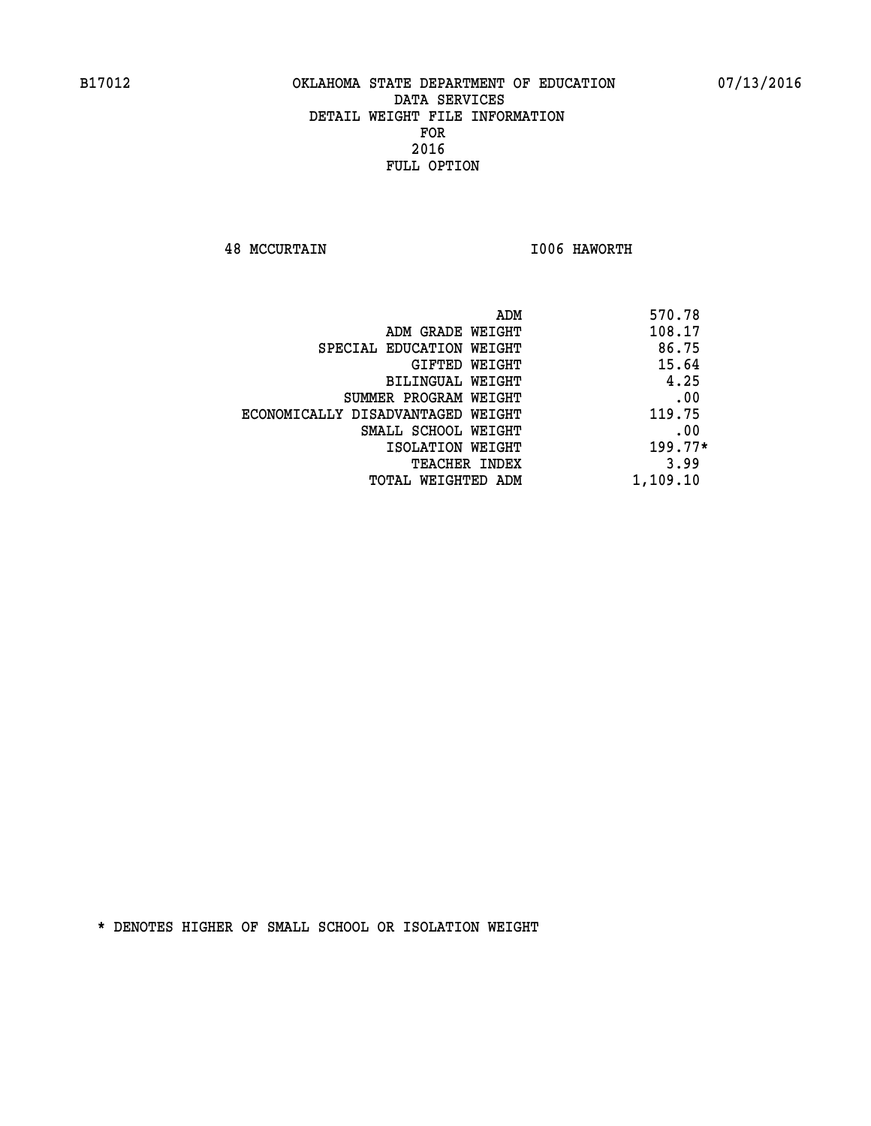**48 MCCURTAIN I006 HAWORTH** 

| ADM<br>570.78                     |           |
|-----------------------------------|-----------|
| 108.17<br>ADM GRADE WEIGHT        |           |
| SPECIAL EDUCATION WEIGHT          | 86.75     |
| GIFTED WEIGHT                     | 15.64     |
| BILINGUAL WEIGHT                  | 4.25      |
| SUMMER PROGRAM WEIGHT             | .00       |
| ECONOMICALLY DISADVANTAGED WEIGHT | 119.75    |
| SMALL SCHOOL WEIGHT               | .00       |
| ISOLATION WEIGHT                  | $199.77*$ |
| <b>TEACHER INDEX</b>              | 3.99      |
| 1,109.10<br>TOTAL WEIGHTED ADM    |           |
|                                   |           |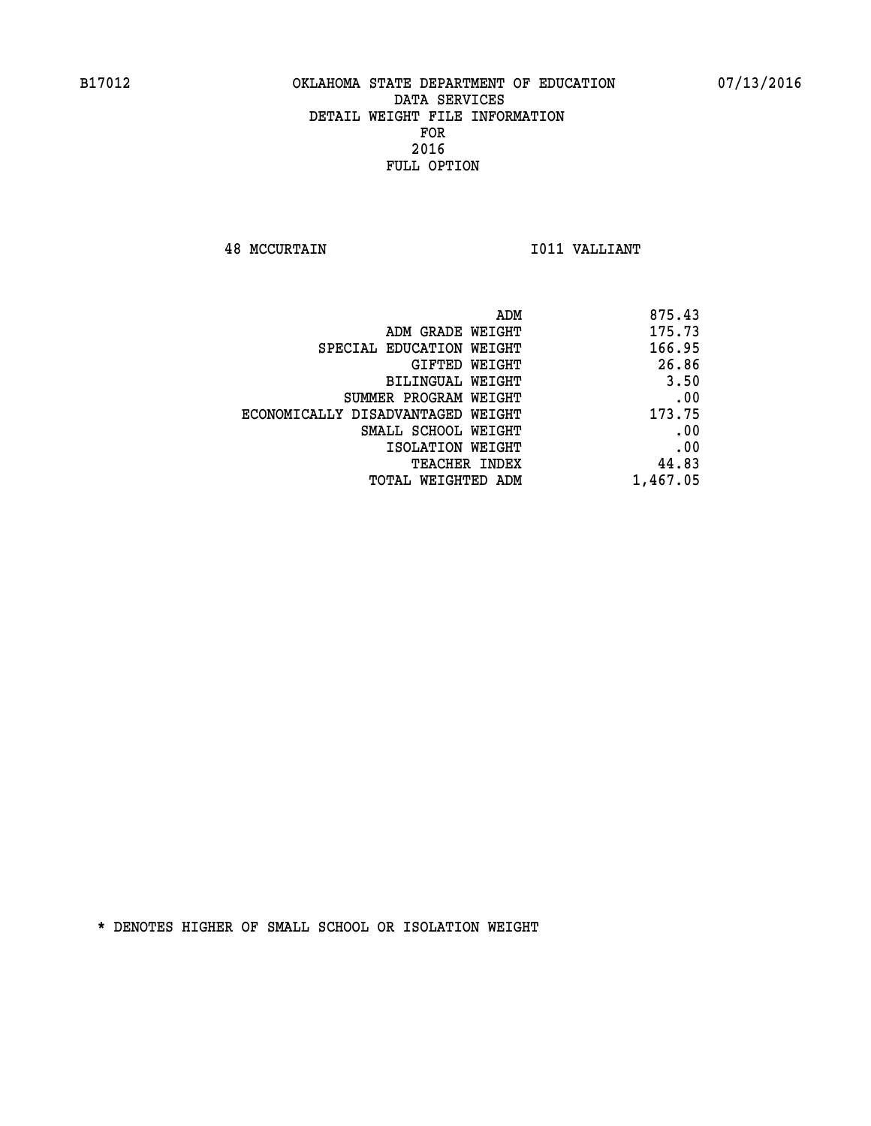**48 MCCURTAIN I011 VALLIANT** 

| 875.43   |
|----------|
| 175.73   |
| 166.95   |
| 26.86    |
| 3.50     |
| .00      |
| 173.75   |
| .00      |
| .00      |
| 44.83    |
| 1,467.05 |
|          |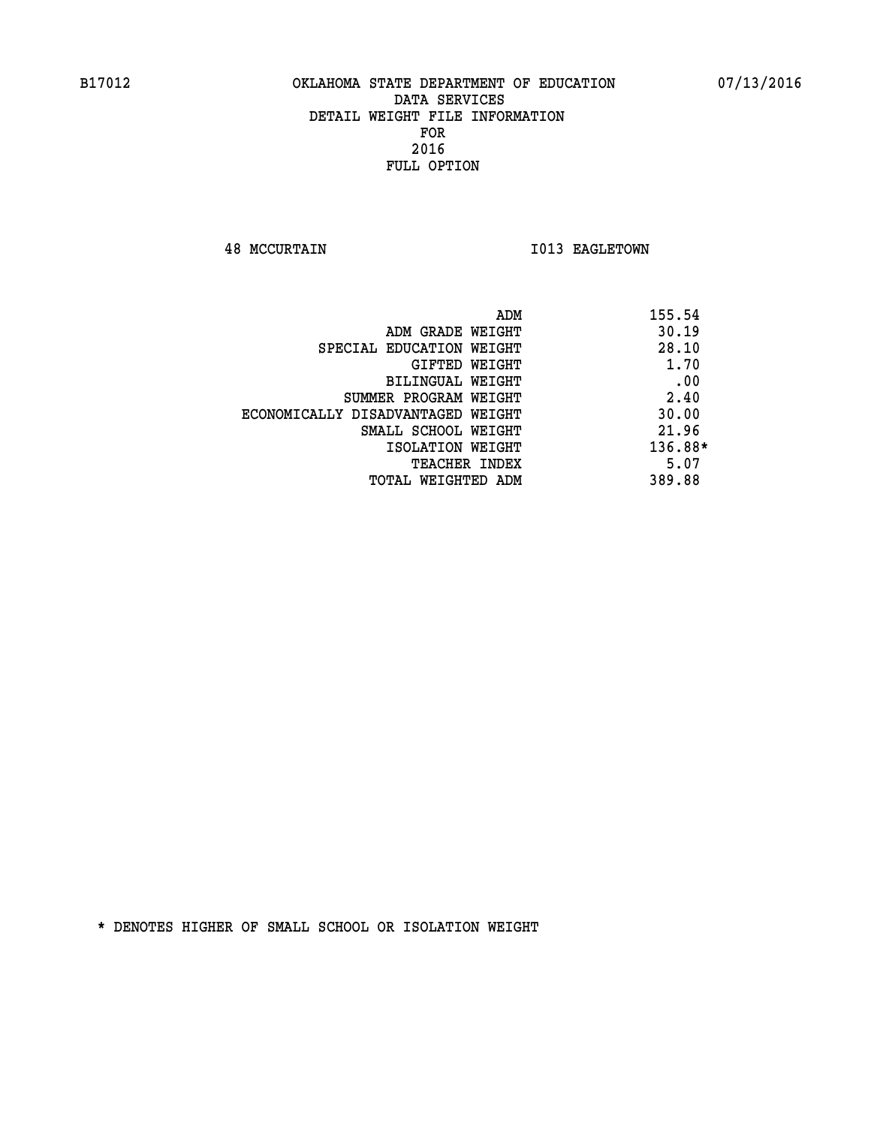**48 MCCURTAIN 1013 EAGLETOWN** 

| ADM                               | 155.54  |
|-----------------------------------|---------|
| ADM GRADE WEIGHT                  | 30.19   |
| SPECIAL EDUCATION WEIGHT          | 28.10   |
| GIFTED WEIGHT                     | 1.70    |
| <b>BILINGUAL WEIGHT</b>           | .00     |
| SUMMER PROGRAM WEIGHT             | 2.40    |
| ECONOMICALLY DISADVANTAGED WEIGHT | 30.00   |
| SMALL SCHOOL WEIGHT               | 21.96   |
| ISOLATION WEIGHT                  | 136.88* |
| <b>TEACHER INDEX</b>              | 5.07    |
| TOTAL WEIGHTED ADM                | 389.88  |
|                                   |         |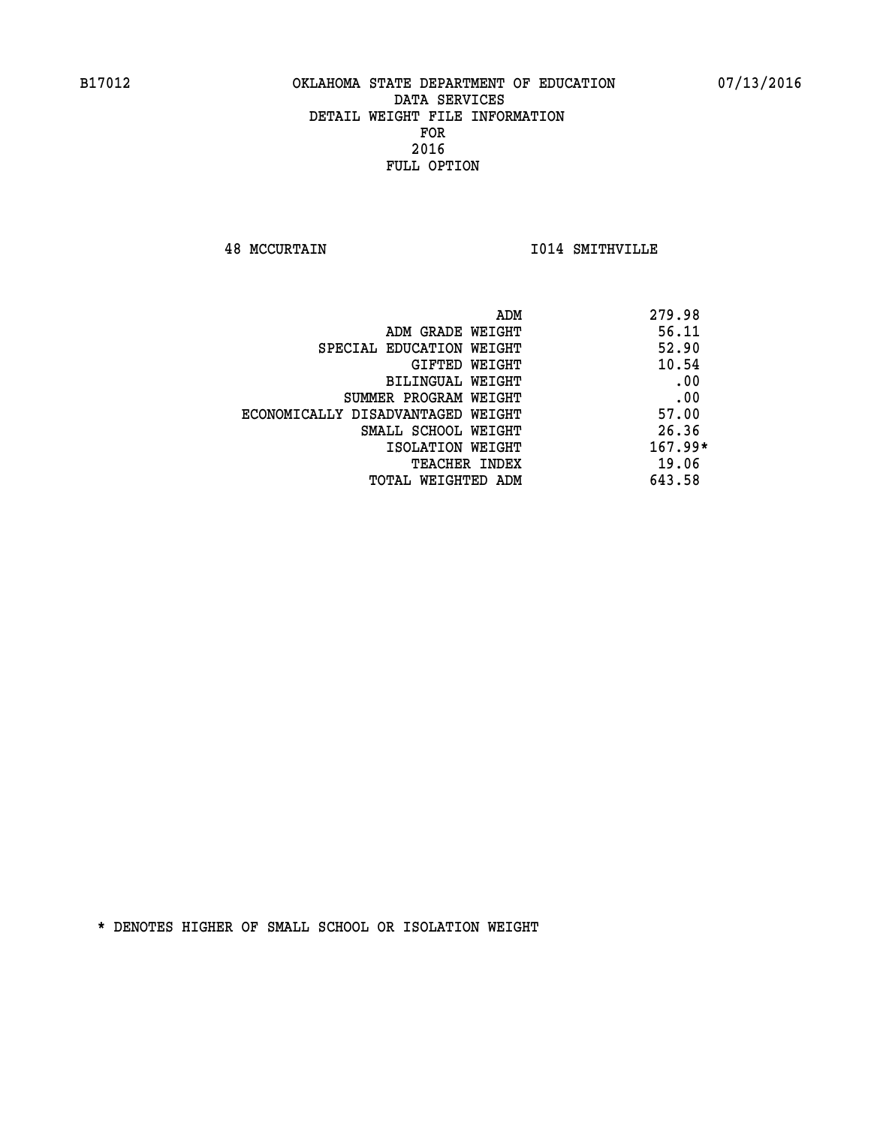**48 MCCURTAIN I014 SMITHVILLE** 

| ADM                               | 279.98    |
|-----------------------------------|-----------|
| ADM GRADE WEIGHT                  | 56.11     |
| SPECIAL EDUCATION WEIGHT          | 52.90     |
| GIFTED WEIGHT                     | 10.54     |
| BILINGUAL WEIGHT                  | .00       |
| SUMMER PROGRAM WEIGHT             | .00       |
| ECONOMICALLY DISADVANTAGED WEIGHT | 57.00     |
| SMALL SCHOOL WEIGHT               | 26.36     |
| ISOLATION WEIGHT                  | $167.99*$ |
| <b>TEACHER INDEX</b>              | 19.06     |
| TOTAL WEIGHTED ADM                | 643.58    |
|                                   |           |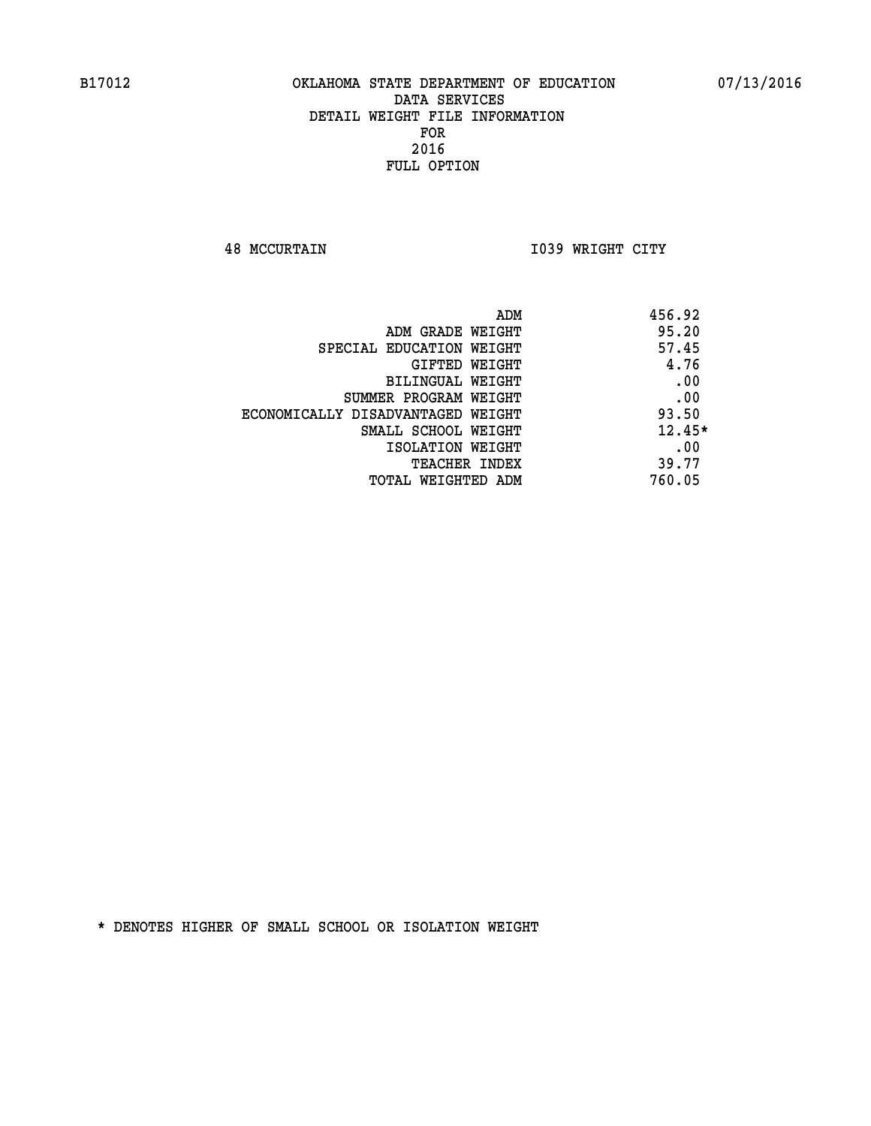**48 MCCURTAIN I039 WRIGHT CITY** 

| ADM                               | 456.92   |
|-----------------------------------|----------|
| ADM GRADE WEIGHT                  | 95.20    |
| SPECIAL EDUCATION WEIGHT          | 57.45    |
| GIFTED WEIGHT                     | 4.76     |
| BILINGUAL WEIGHT                  | .00      |
| SUMMER PROGRAM WEIGHT             | .00      |
| ECONOMICALLY DISADVANTAGED WEIGHT | 93.50    |
| SMALL SCHOOL WEIGHT               | $12.45*$ |
| ISOLATION WEIGHT                  | .00      |
| <b>TEACHER INDEX</b>              | 39.77    |
| TOTAL WEIGHTED ADM                | 760.05   |
|                                   |          |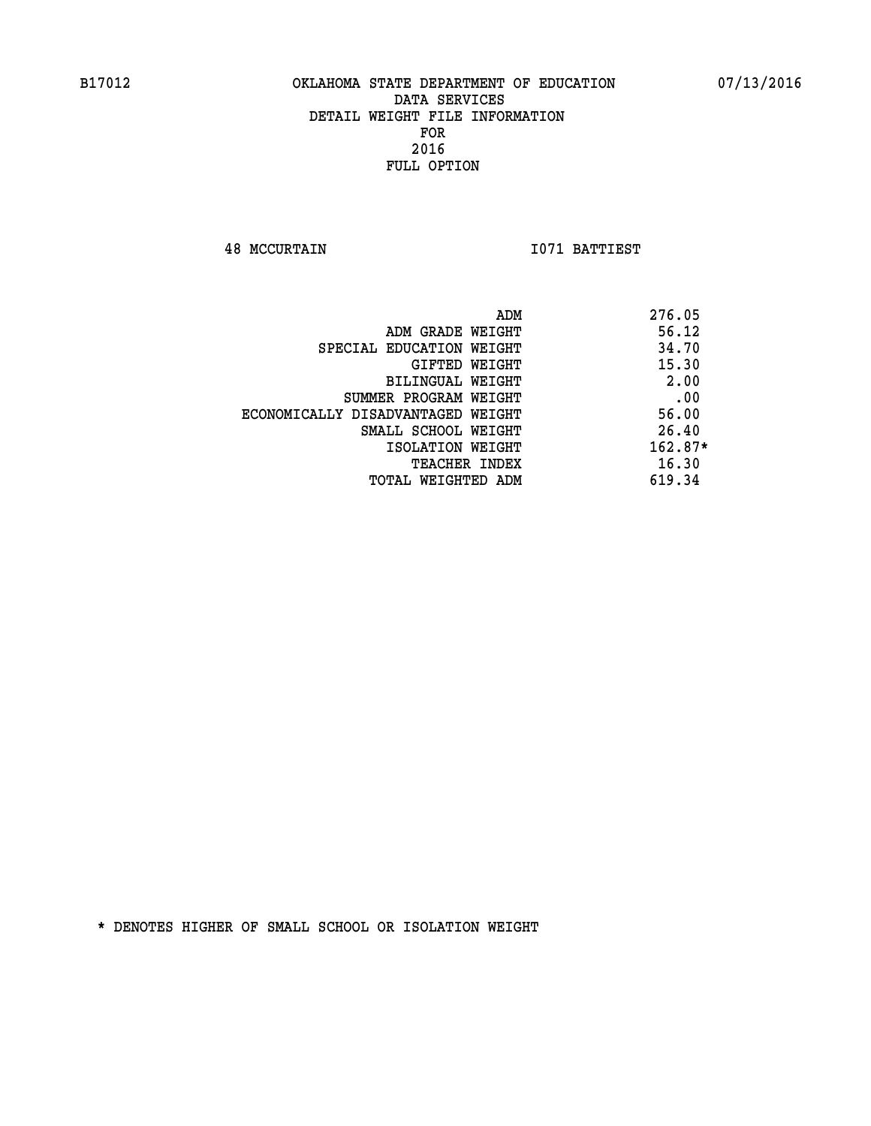**48 MCCURTAIN I071 BATTIEST** 

|                                   | ADM | 276.05    |
|-----------------------------------|-----|-----------|
| ADM GRADE WEIGHT                  |     | 56.12     |
| SPECIAL EDUCATION WEIGHT          |     | 34.70     |
| GIFTED WEIGHT                     |     | 15.30     |
| BILINGUAL WEIGHT                  |     | 2.00      |
| SUMMER PROGRAM WEIGHT             |     | .00       |
| ECONOMICALLY DISADVANTAGED WEIGHT |     | 56.00     |
| SMALL SCHOOL WEIGHT               |     | 26.40     |
| ISOLATION WEIGHT                  |     | $162.87*$ |
| <b>TEACHER INDEX</b>              |     | 16.30     |
| TOTAL WEIGHTED ADM                |     | 619.34    |
|                                   |     |           |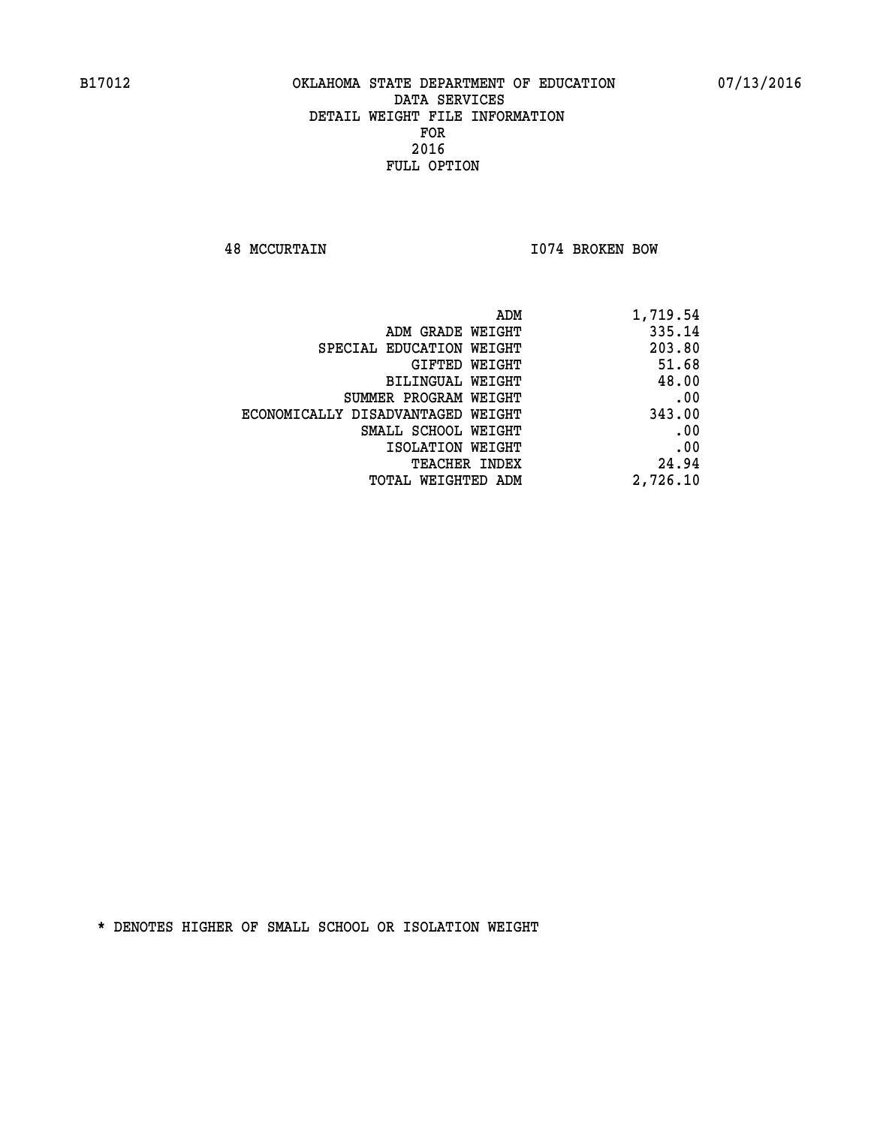**48 MCCURTAIN I074 BROKEN BOW** 

| 1,719.54 |
|----------|
| 335.14   |
| 203.80   |
| 51.68    |
| 48.00    |
| .00      |
| 343.00   |
| .00      |
| .00      |
| 24.94    |
| 2,726.10 |
|          |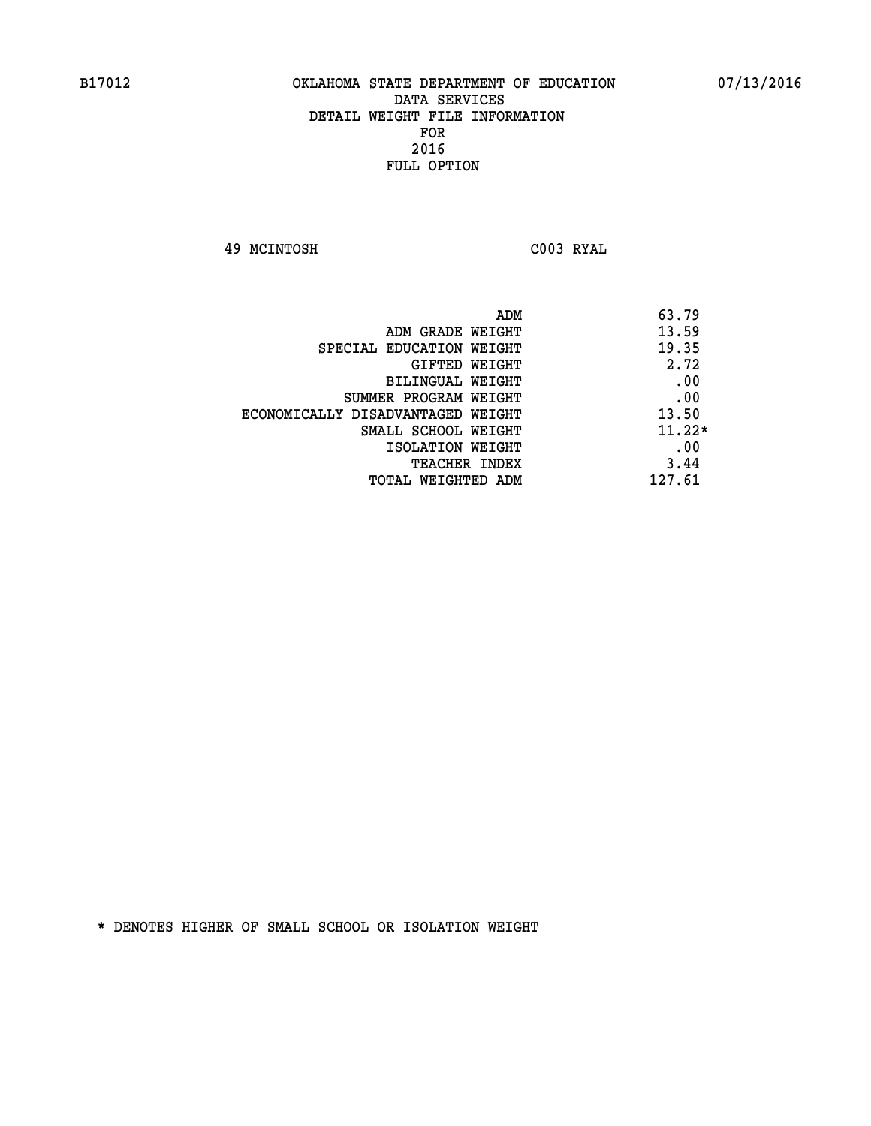**49 MCINTOSH C003 RYAL** 

| 63.79<br>ADM                               |  |
|--------------------------------------------|--|
| 13.59<br>ADM GRADE WEIGHT                  |  |
| 19.35<br>SPECIAL EDUCATION WEIGHT          |  |
| 2.72<br>GIFTED WEIGHT                      |  |
| .00<br>BILINGUAL WEIGHT                    |  |
| .00<br>SUMMER PROGRAM WEIGHT               |  |
| 13.50<br>ECONOMICALLY DISADVANTAGED WEIGHT |  |
| $11.22*$<br>SMALL SCHOOL WEIGHT            |  |
| .00<br>ISOLATION WEIGHT                    |  |
| 3.44<br><b>TEACHER INDEX</b>               |  |
| 127.61<br>TOTAL WEIGHTED ADM               |  |
|                                            |  |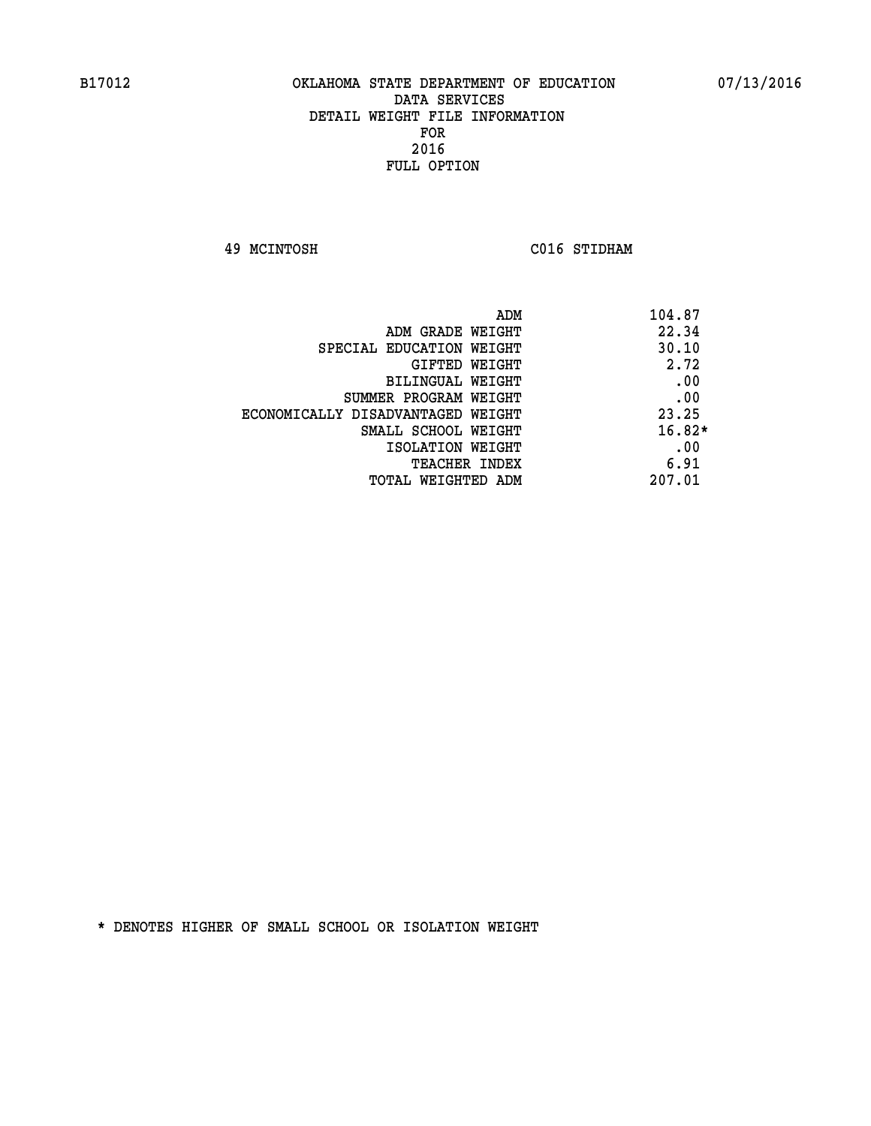**49 MCINTOSH C016 STIDHAM** 

| 104.87<br>ADM                              |  |
|--------------------------------------------|--|
| 22.34<br>ADM GRADE WEIGHT                  |  |
| 30.10<br>SPECIAL EDUCATION WEIGHT          |  |
| 2.72<br>GIFTED WEIGHT                      |  |
| .00<br>BILINGUAL WEIGHT                    |  |
| .00<br>SUMMER PROGRAM WEIGHT               |  |
| 23.25<br>ECONOMICALLY DISADVANTAGED WEIGHT |  |
| $16.82*$<br>SMALL SCHOOL WEIGHT            |  |
| .00<br>ISOLATION WEIGHT                    |  |
| 6.91<br><b>TEACHER INDEX</b>               |  |
| 207.01<br>TOTAL WEIGHTED ADM               |  |
|                                            |  |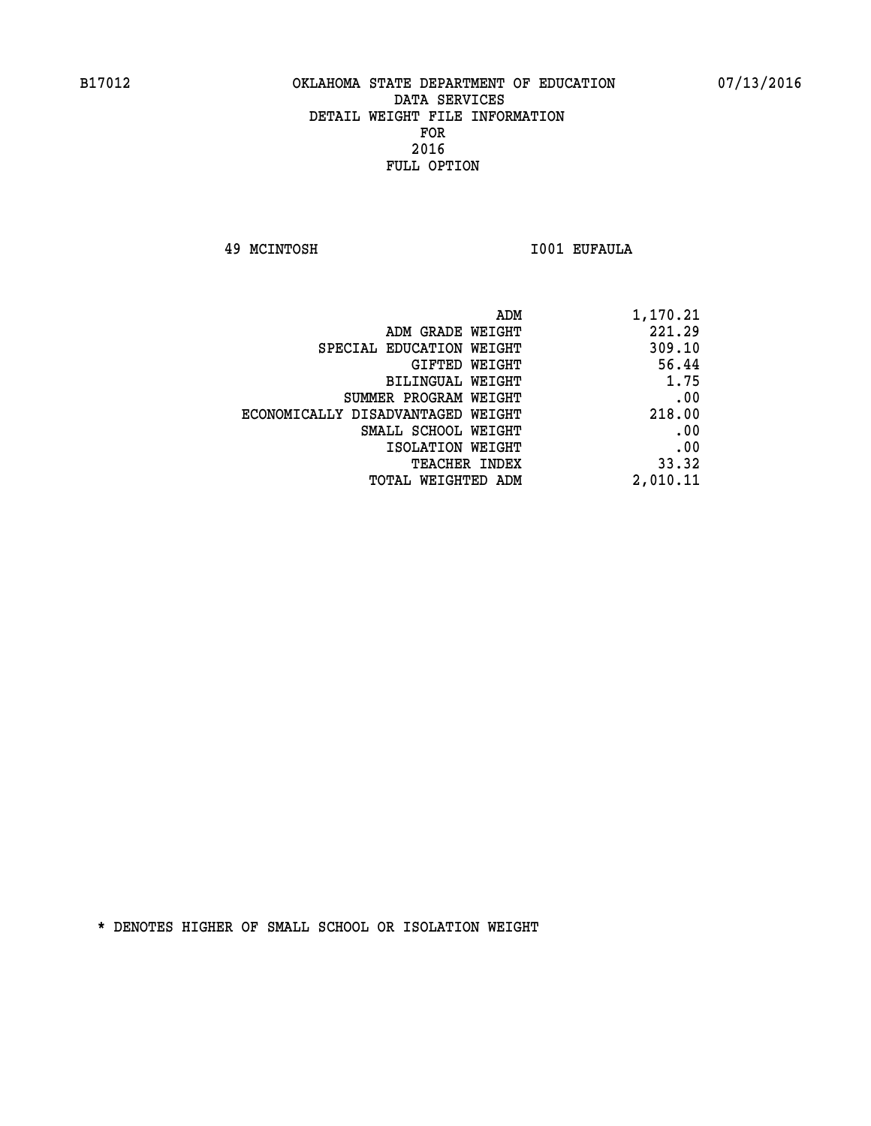**49 MCINTOSH I001 EUFAULA** 

| 1,170.21 |
|----------|
| 221.29   |
| 309.10   |
| 56.44    |
| 1.75     |
| .00      |
| 218.00   |
| .00      |
| .00      |
| 33.32    |
| 2,010.11 |
|          |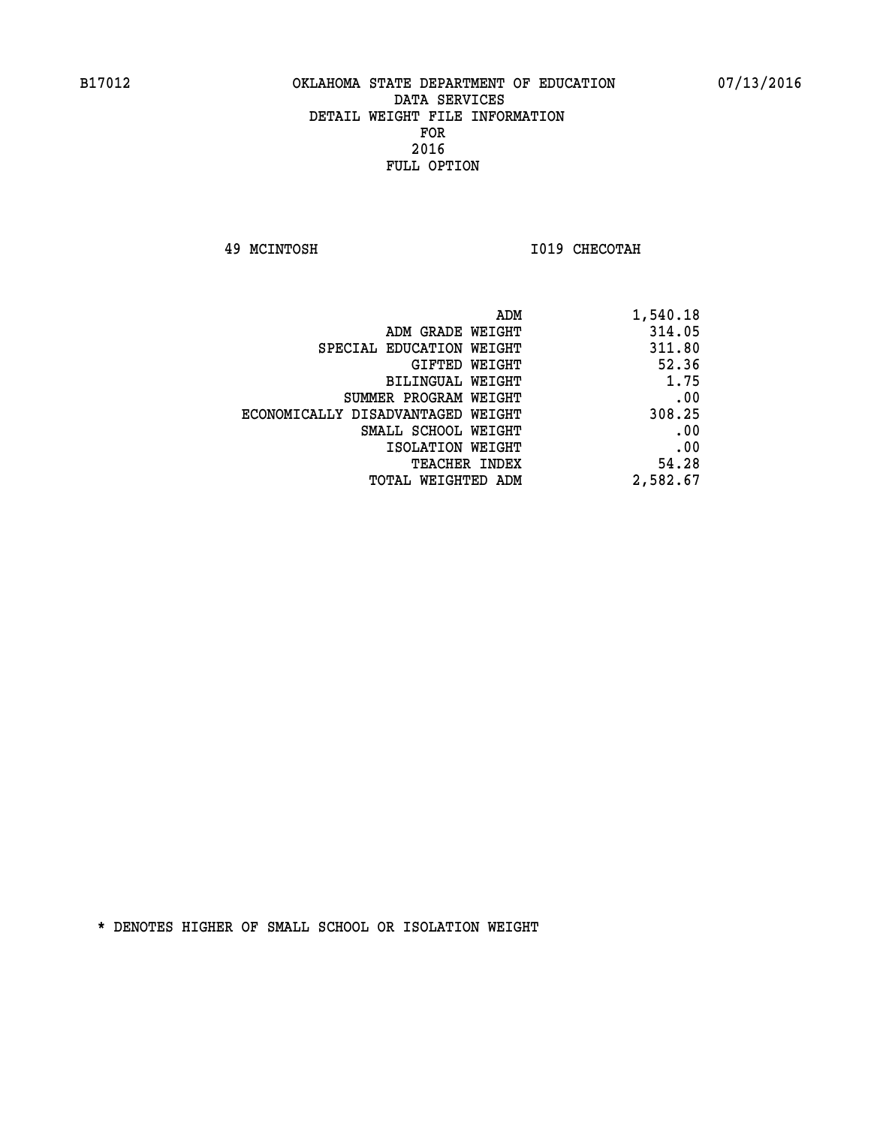**49 MCINTOSH I019 CHECOTAH** 

| 1,540.18 |
|----------|
| 314.05   |
| 311.80   |
| 52.36    |
| 1.75     |
| .00      |
| 308.25   |
| .00      |
| .00      |
| 54.28    |
| 2,582.67 |
|          |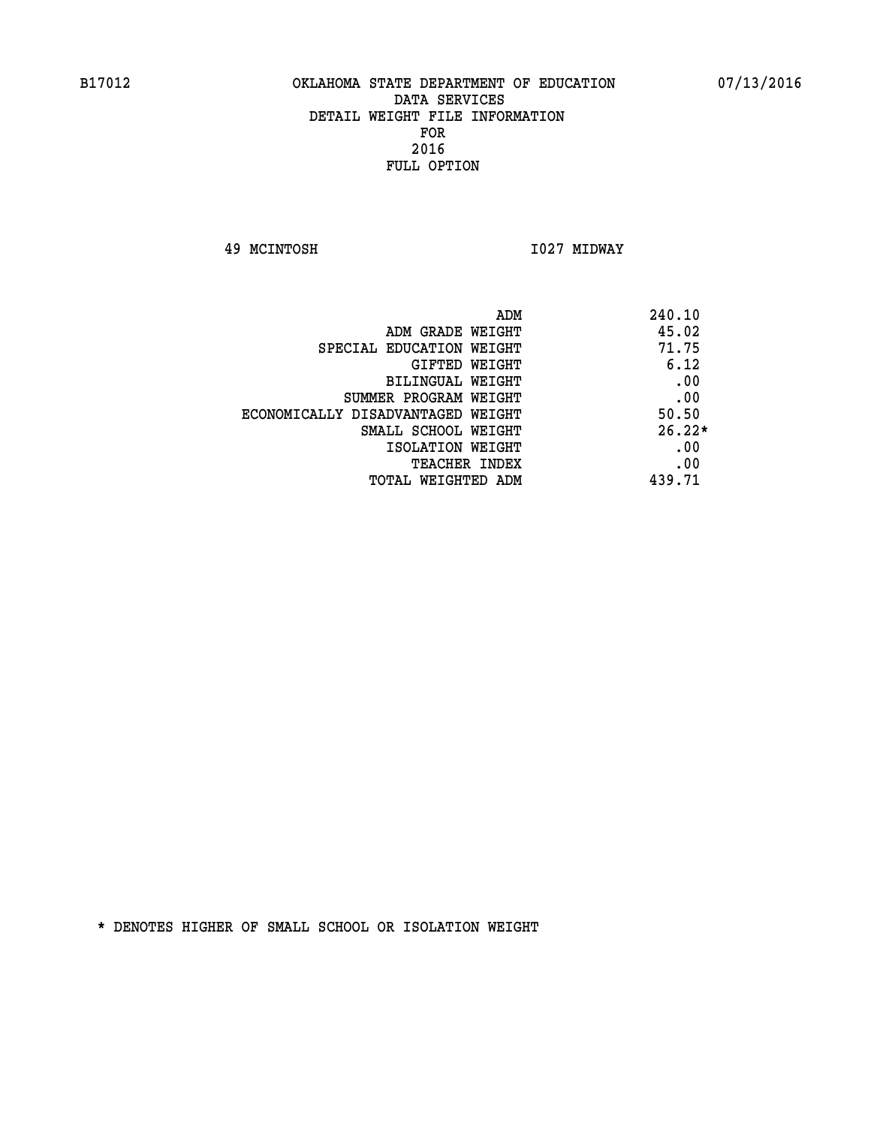**49 MCINTOSH I027 MIDWAY** 

| 240.10<br>ADM                              |  |
|--------------------------------------------|--|
| 45.02<br>ADM GRADE WEIGHT                  |  |
| 71.75<br>SPECIAL EDUCATION WEIGHT          |  |
| 6.12<br>GIFTED WEIGHT                      |  |
| .00<br>BILINGUAL WEIGHT                    |  |
| .00<br>SUMMER PROGRAM WEIGHT               |  |
| 50.50<br>ECONOMICALLY DISADVANTAGED WEIGHT |  |
| $26.22*$<br>SMALL SCHOOL WEIGHT            |  |
| .00<br>ISOLATION WEIGHT                    |  |
| .00<br><b>TEACHER INDEX</b>                |  |
| 439.71<br>TOTAL WEIGHTED ADM               |  |
|                                            |  |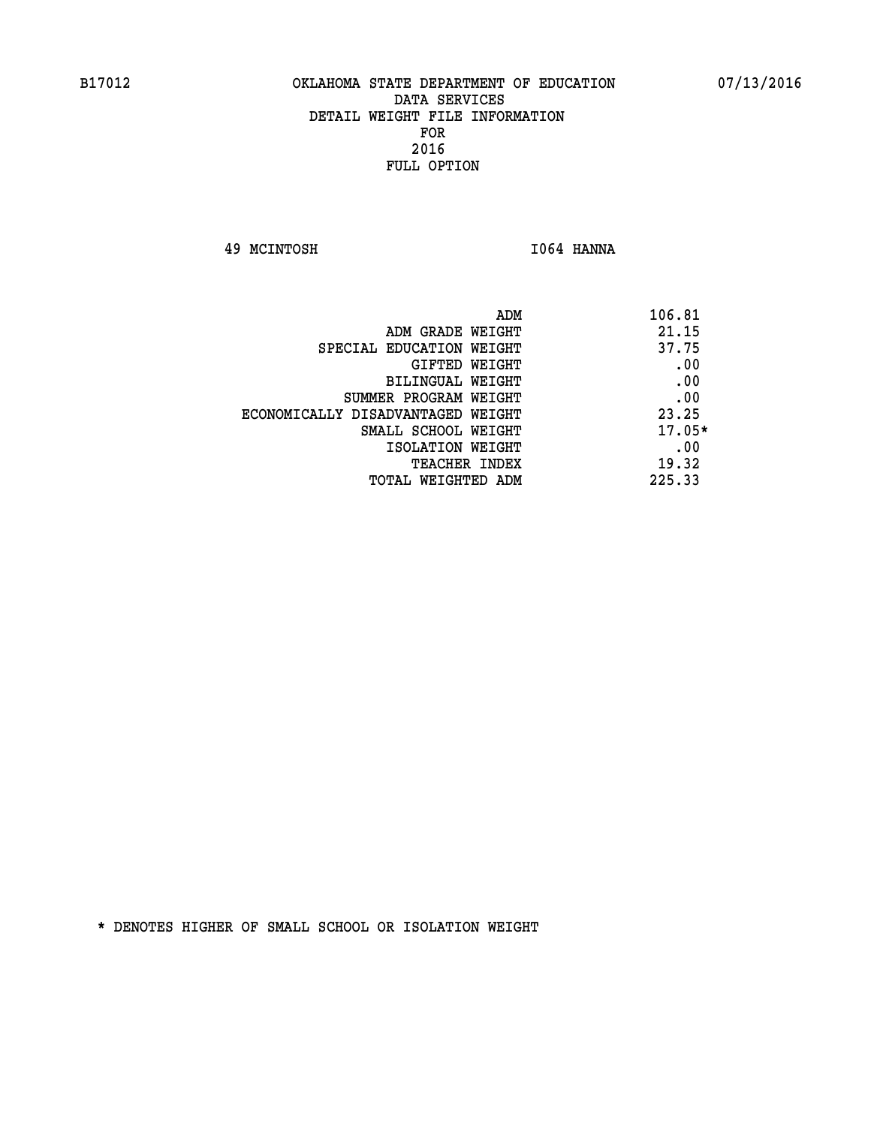**49 MCINTOSH I064 HANNA** 

| 106.81<br>ADM                              |  |
|--------------------------------------------|--|
| 21.15<br>ADM GRADE WEIGHT                  |  |
| 37.75<br>SPECIAL EDUCATION WEIGHT          |  |
| .00<br>GIFTED WEIGHT                       |  |
| .00<br>BILINGUAL WEIGHT                    |  |
| .00<br>SUMMER PROGRAM WEIGHT               |  |
| 23.25<br>ECONOMICALLY DISADVANTAGED WEIGHT |  |
| $17.05*$<br>SMALL SCHOOL WEIGHT            |  |
| .00<br>ISOLATION WEIGHT                    |  |
| 19.32<br><b>TEACHER INDEX</b>              |  |
| 225.33<br>TOTAL WEIGHTED ADM               |  |
|                                            |  |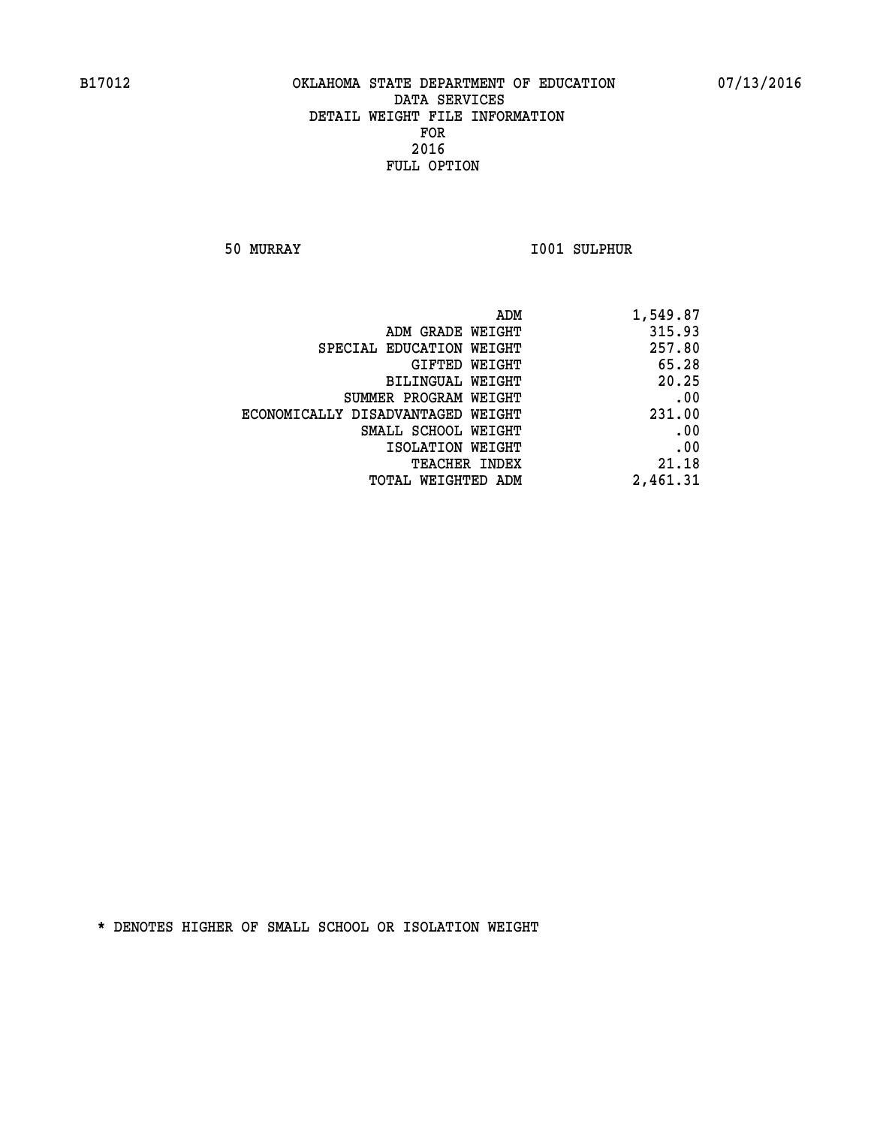**50 MURRAY I001 SULPHUR** 

| 1,549.87 |
|----------|
| 315.93   |
| 257.80   |
| 65.28    |
| 20.25    |
| .00      |
| 231.00   |
| .00      |
| .00      |
| 21.18    |
| 2,461.31 |
|          |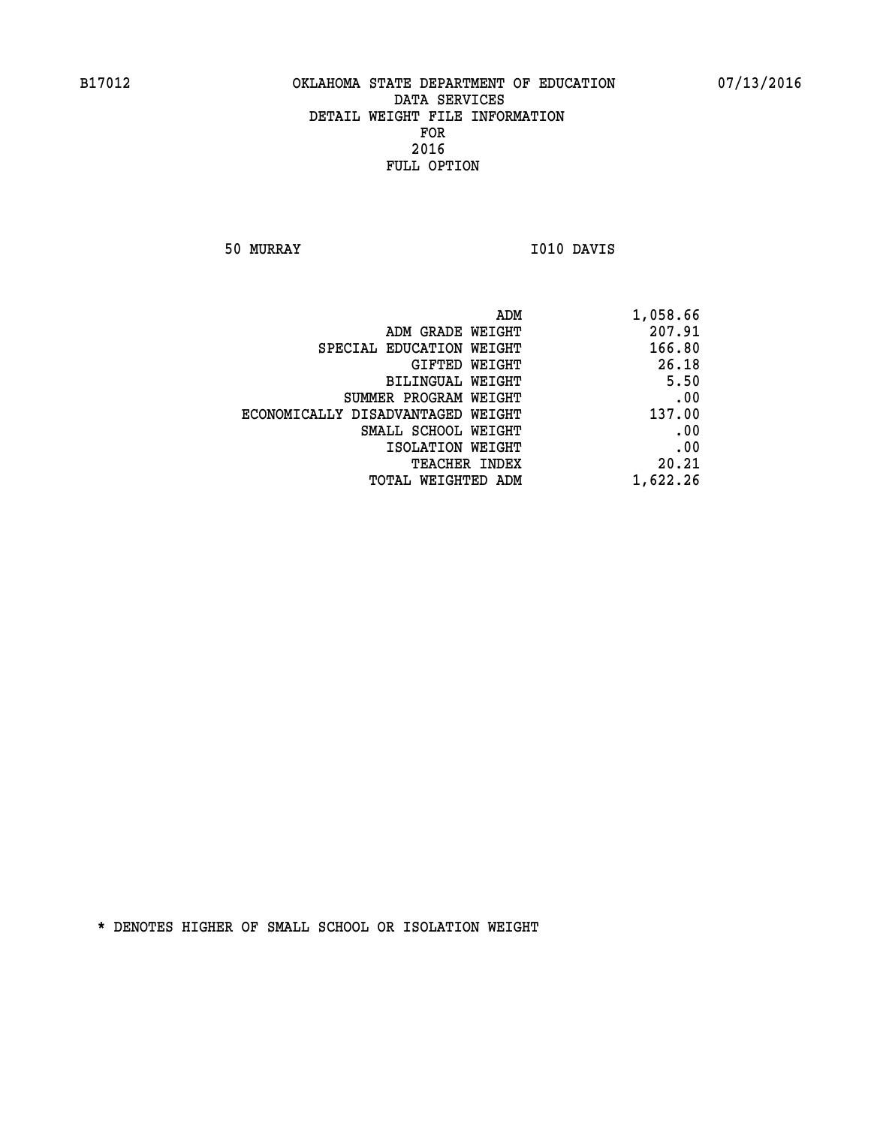**50 MURRAY I010 DAVIS** 

| 1,058.66 |
|----------|
| 207.91   |
| 166.80   |
| 26.18    |
| 5.50     |
| .00      |
| 137.00   |
| .00      |
| .00      |
| 20.21    |
| 1,622.26 |
|          |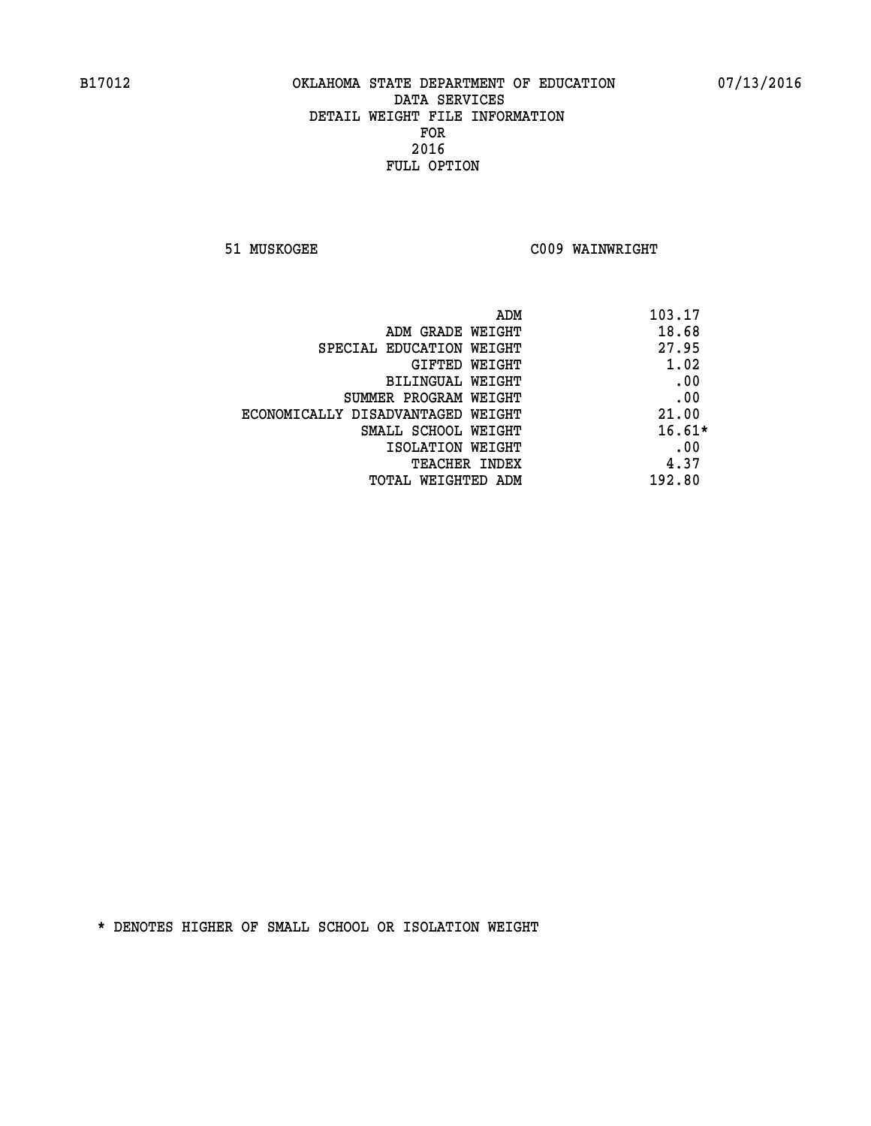**51 MUSKOGEE C009 WAINWRIGHT** 

| ADM                               | 103.17   |
|-----------------------------------|----------|
| ADM GRADE WEIGHT                  | 18.68    |
| SPECIAL EDUCATION WEIGHT          | 27.95    |
| GIFTED WEIGHT                     | 1.02     |
| BILINGUAL WEIGHT                  | .00      |
| SUMMER PROGRAM WEIGHT             | .00      |
| ECONOMICALLY DISADVANTAGED WEIGHT | 21.00    |
| SMALL SCHOOL WEIGHT               | $16.61*$ |
| ISOLATION WEIGHT                  | .00      |
| <b>TEACHER INDEX</b>              | 4.37     |
| TOTAL WEIGHTED ADM                | 192.80   |
|                                   |          |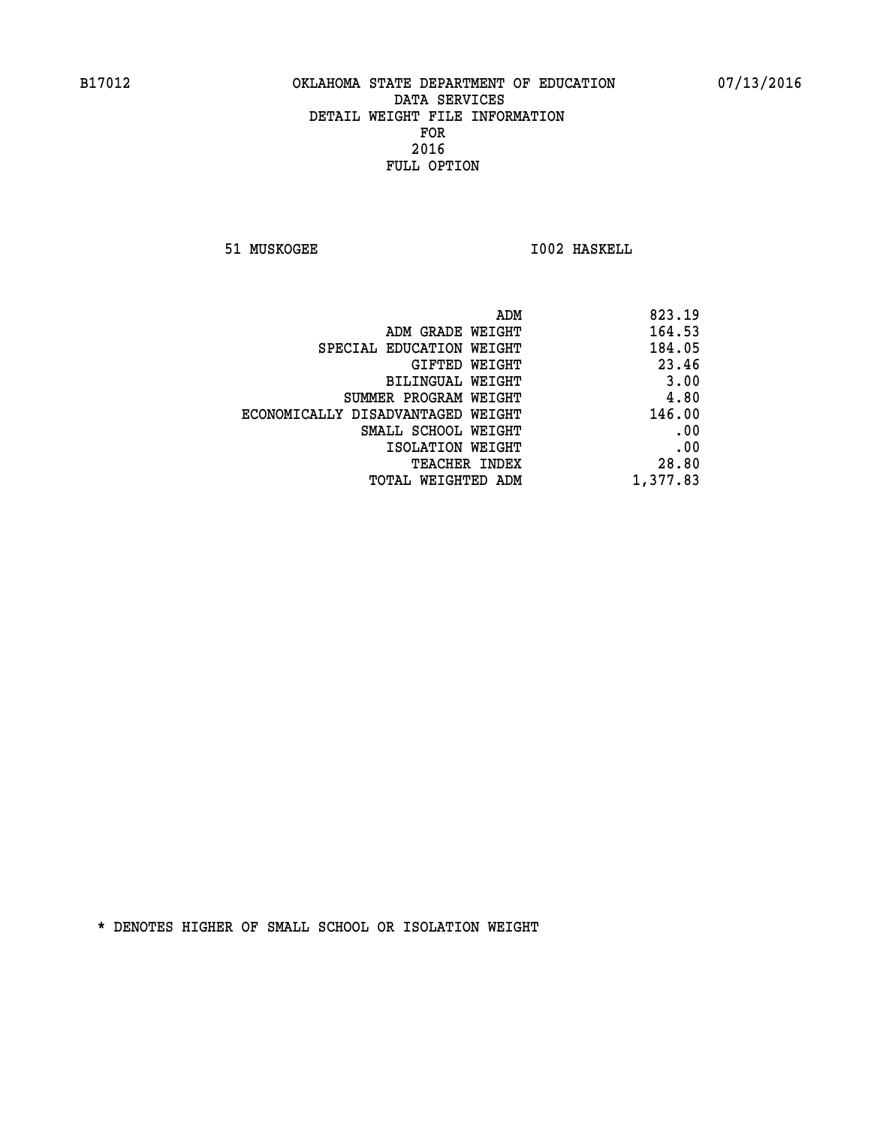**51 MUSKOGEE 1002 HASKELL** 

| 823.19   |
|----------|
| 164.53   |
| 184.05   |
| 23.46    |
| 3.00     |
| 4.80     |
| 146.00   |
| .00      |
| .00      |
| 28.80    |
| 1,377.83 |
|          |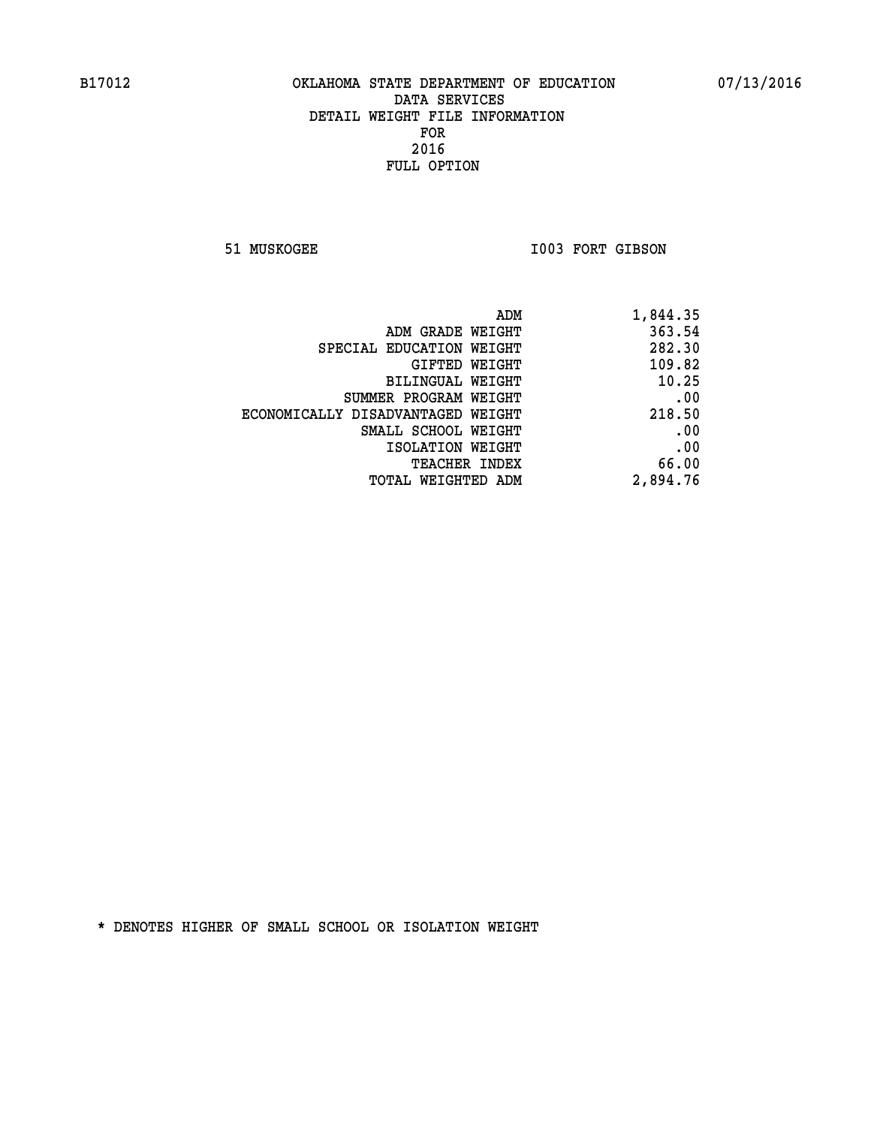51 MUSKOGEE 1003 FORT GIBSON

| 1,844.35 |
|----------|
| 363.54   |
| 282.30   |
| 109.82   |
| 10.25    |
| .00      |
| 218.50   |
| .00      |
| .00      |
| 66.00    |
| 2,894.76 |
|          |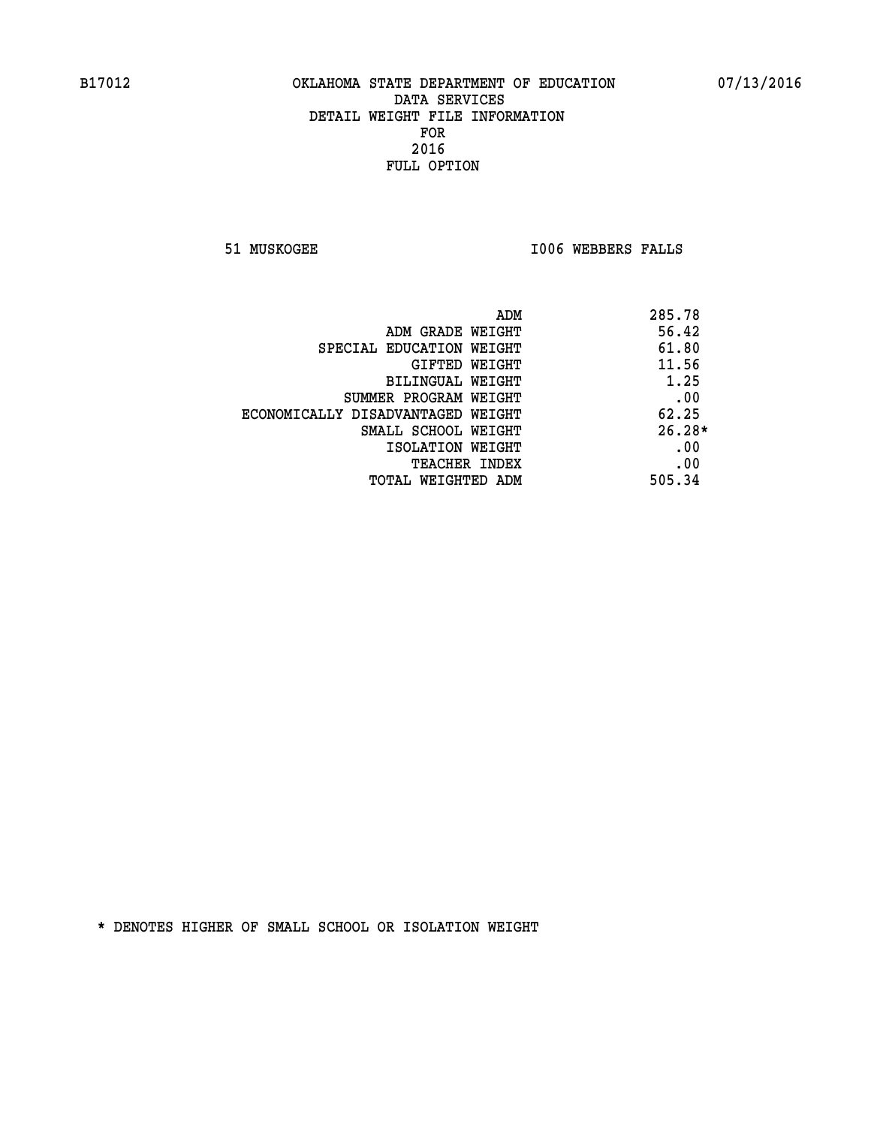**51 MUSKOGEE I006 WEBBERS FALLS** 

|                                   | 285.78<br>ADM |
|-----------------------------------|---------------|
| ADM GRADE WEIGHT                  | 56.42         |
| SPECIAL EDUCATION WEIGHT          | 61.80         |
| <b>GIFTED WEIGHT</b>              | 11.56         |
| BILINGUAL WEIGHT                  | 1.25          |
| SUMMER PROGRAM WEIGHT             | .00           |
| ECONOMICALLY DISADVANTAGED WEIGHT | 62.25         |
| SMALL SCHOOL WEIGHT               | $26.28*$      |
| ISOLATION WEIGHT                  | .00           |
| <b>TEACHER INDEX</b>              | .00           |
| TOTAL WEIGHTED ADM                | 505.34        |
|                                   |               |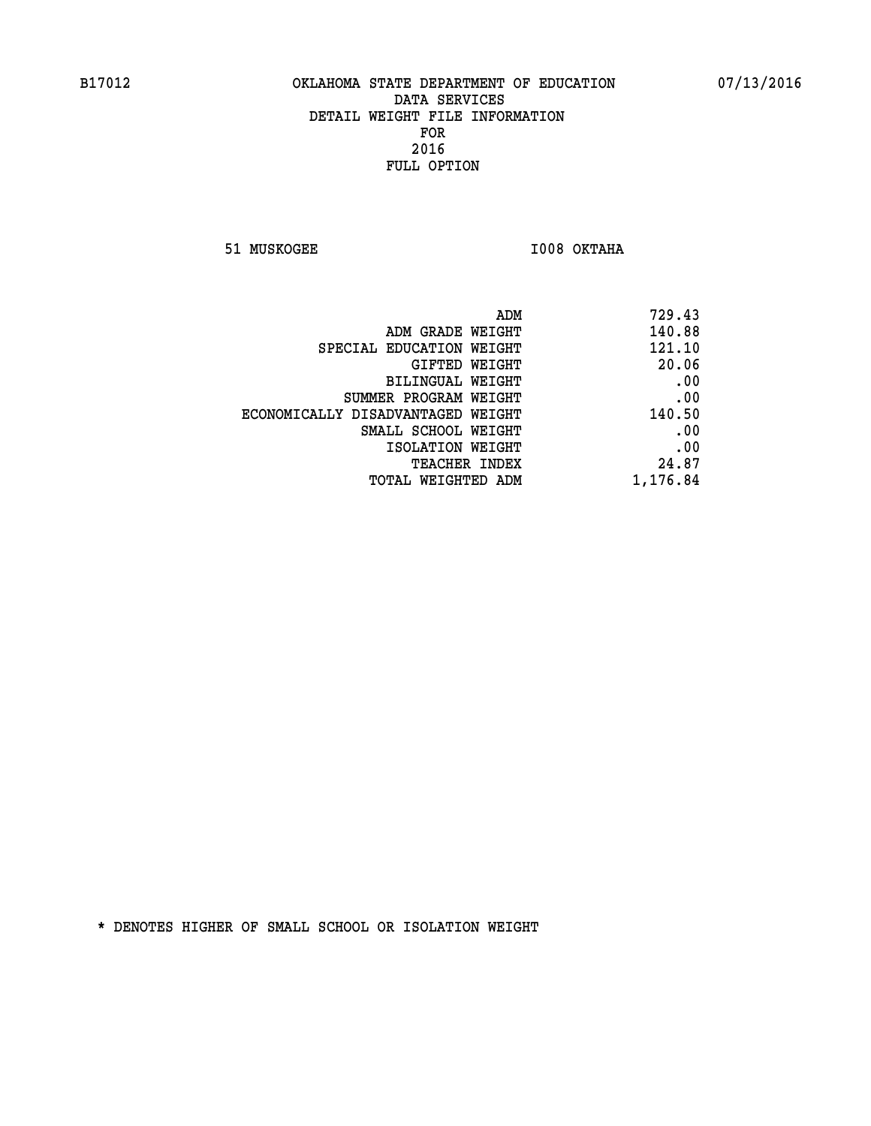**51 MUSKOGEE I008 OKTAHA** 

| 729.43                                                                            |
|-----------------------------------------------------------------------------------|
| 140.88                                                                            |
| 121.10                                                                            |
| 20.06                                                                             |
| .00                                                                               |
| .00                                                                               |
| 140.50                                                                            |
| .00                                                                               |
| .00                                                                               |
| 24.87                                                                             |
| 1,176.84                                                                          |
| ADM GRADE WEIGHT<br>GIFTED WEIGHT<br>SUMMER PROGRAM WEIGHT<br>SMALL SCHOOL WEIGHT |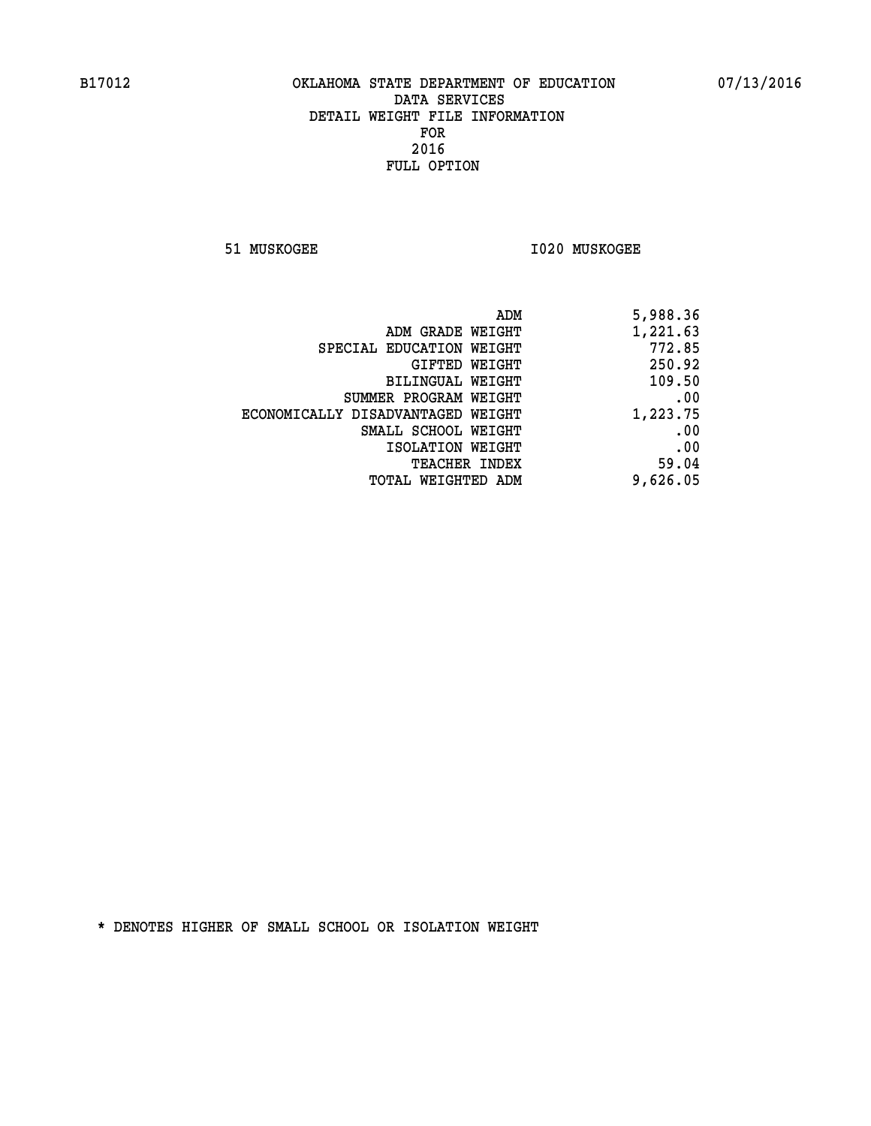**51 MUSKOGEE I020 MUSKOGEE** 

|                                   | 5,988.36<br>ADM |
|-----------------------------------|-----------------|
| ADM GRADE WEIGHT                  | 1,221.63        |
| SPECIAL EDUCATION WEIGHT          | 772.85          |
| <b>GIFTED WEIGHT</b>              | 250.92          |
| BILINGUAL WEIGHT                  | 109.50          |
| SUMMER PROGRAM WEIGHT             | .00             |
| ECONOMICALLY DISADVANTAGED WEIGHT | 1,223.75        |
| SMALL SCHOOL WEIGHT               | .00             |
| ISOLATION WEIGHT                  | .00             |
| <b>TEACHER INDEX</b>              | 59.04           |
| <b>TOTAL WEIGHTED ADM</b>         | 9,626.05        |
|                                   |                 |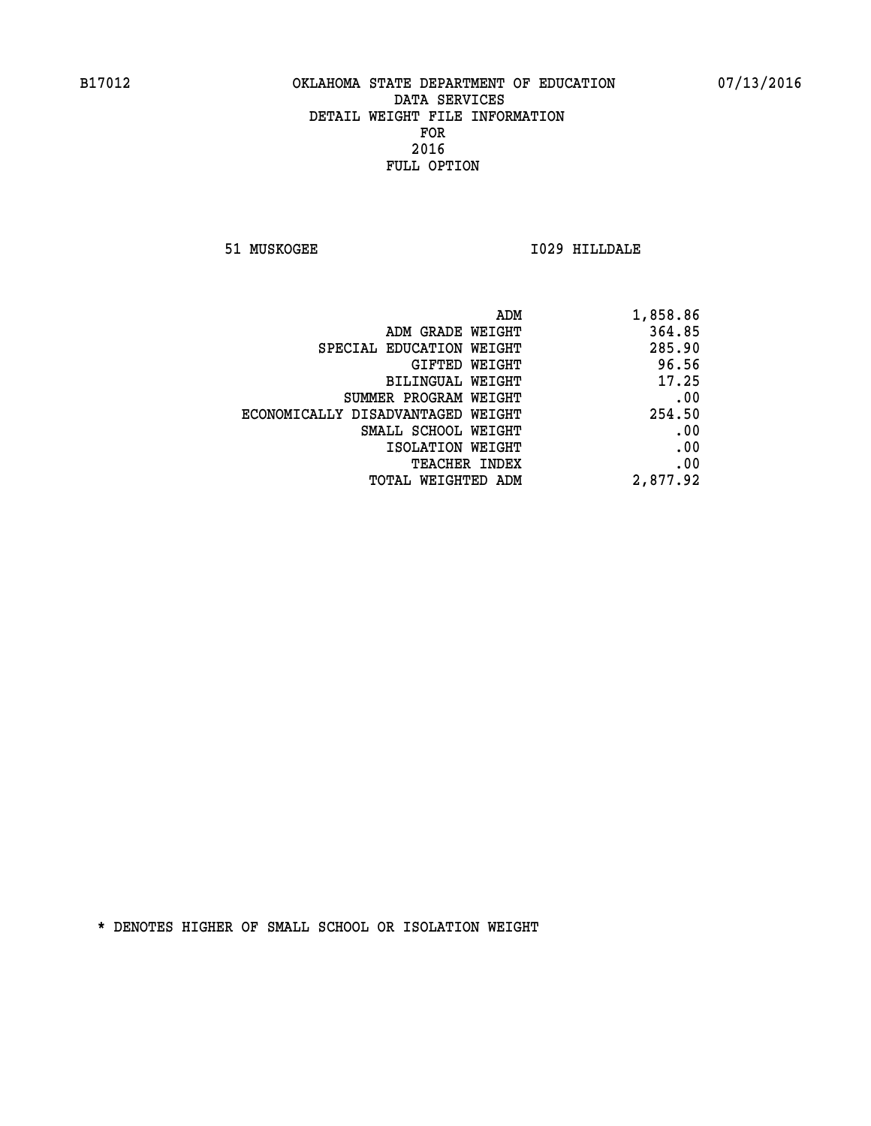**51 MUSKOGEE I029 HILLDALE** 

| ADM                               | 1,858.86 |
|-----------------------------------|----------|
| ADM GRADE WEIGHT                  | 364.85   |
| SPECIAL EDUCATION WEIGHT          | 285.90   |
| GIFTED WEIGHT                     | 96.56    |
| BILINGUAL WEIGHT                  | 17.25    |
| SUMMER PROGRAM WEIGHT             | .00      |
| ECONOMICALLY DISADVANTAGED WEIGHT | 254.50   |
| SMALL SCHOOL WEIGHT               | .00      |
| ISOLATION WEIGHT                  | .00      |
| <b>TEACHER INDEX</b>              | .00      |
| TOTAL WEIGHTED ADM                | 2,877.92 |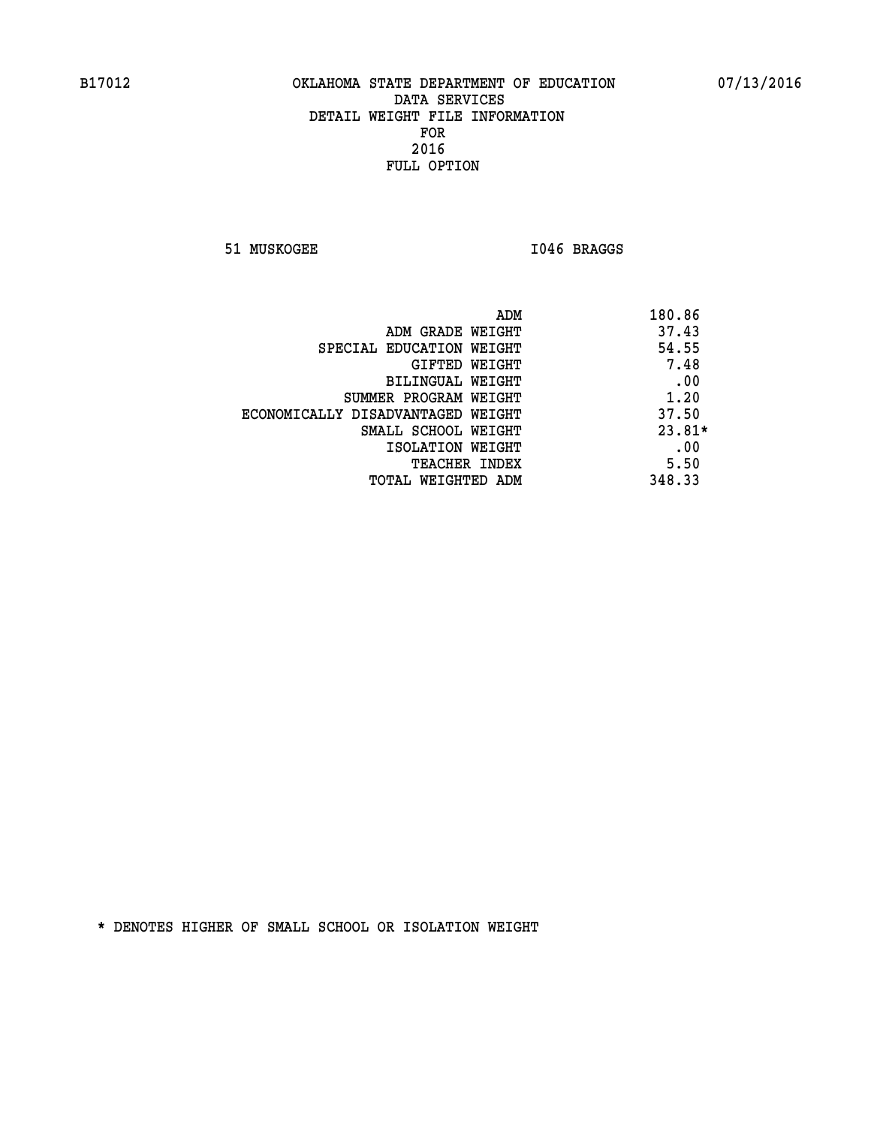51 MUSKOGEE 1046 BRAGGS

|                                   | 180.86<br>ADM |
|-----------------------------------|---------------|
| ADM GRADE WEIGHT                  | 37.43         |
| SPECIAL EDUCATION WEIGHT          | 54.55         |
| GIFTED WEIGHT                     | 7.48          |
| BILINGUAL WEIGHT                  | .00           |
| SUMMER PROGRAM WEIGHT             | 1.20          |
| ECONOMICALLY DISADVANTAGED WEIGHT | 37.50         |
| SMALL SCHOOL WEIGHT               | $23.81*$      |
| ISOLATION WEIGHT                  | .00           |
| <b>TEACHER INDEX</b>              | 5.50          |
| TOTAL WEIGHTED ADM                | 348.33        |
|                                   |               |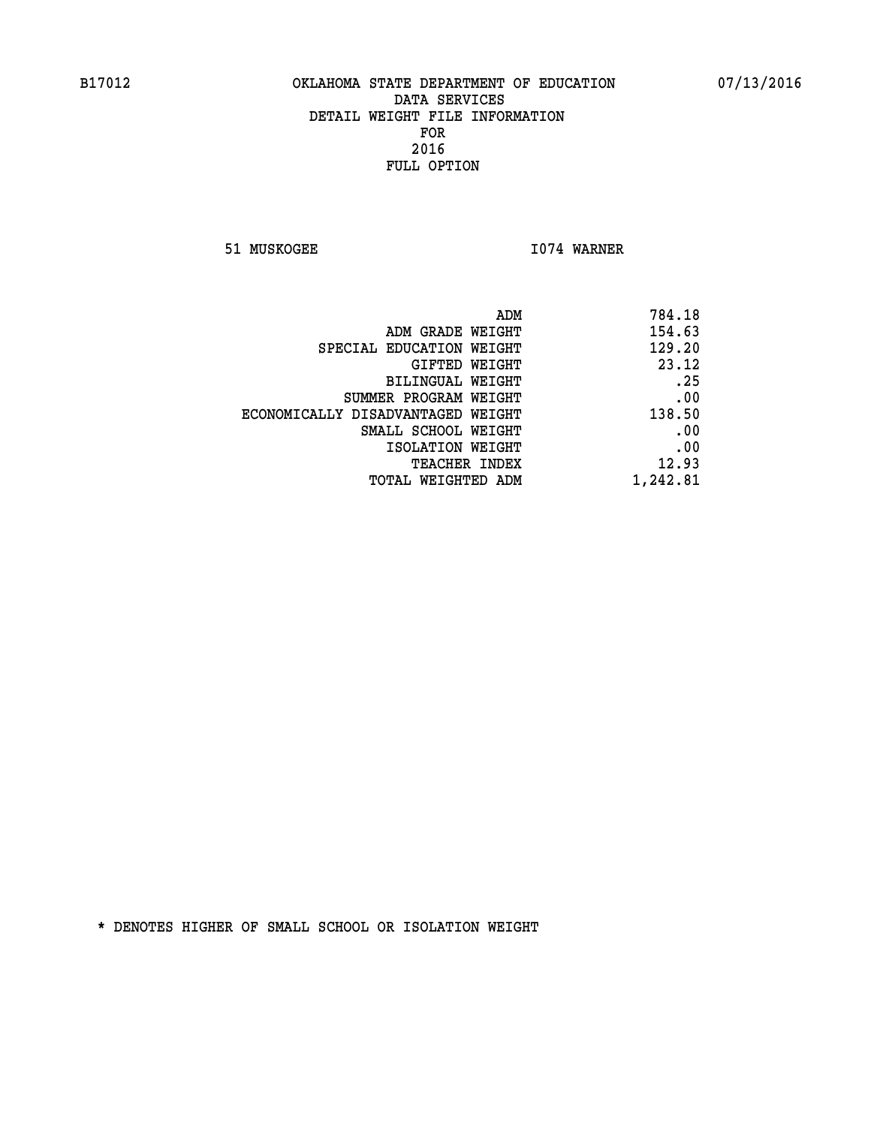**51 MUSKOGEE 1074 WARNER** 

| 784.18   |
|----------|
| 154.63   |
| 129.20   |
| 23.12    |
| .25      |
| .00      |
| 138.50   |
| .00      |
| .00      |
| 12.93    |
| 1,242.81 |
|          |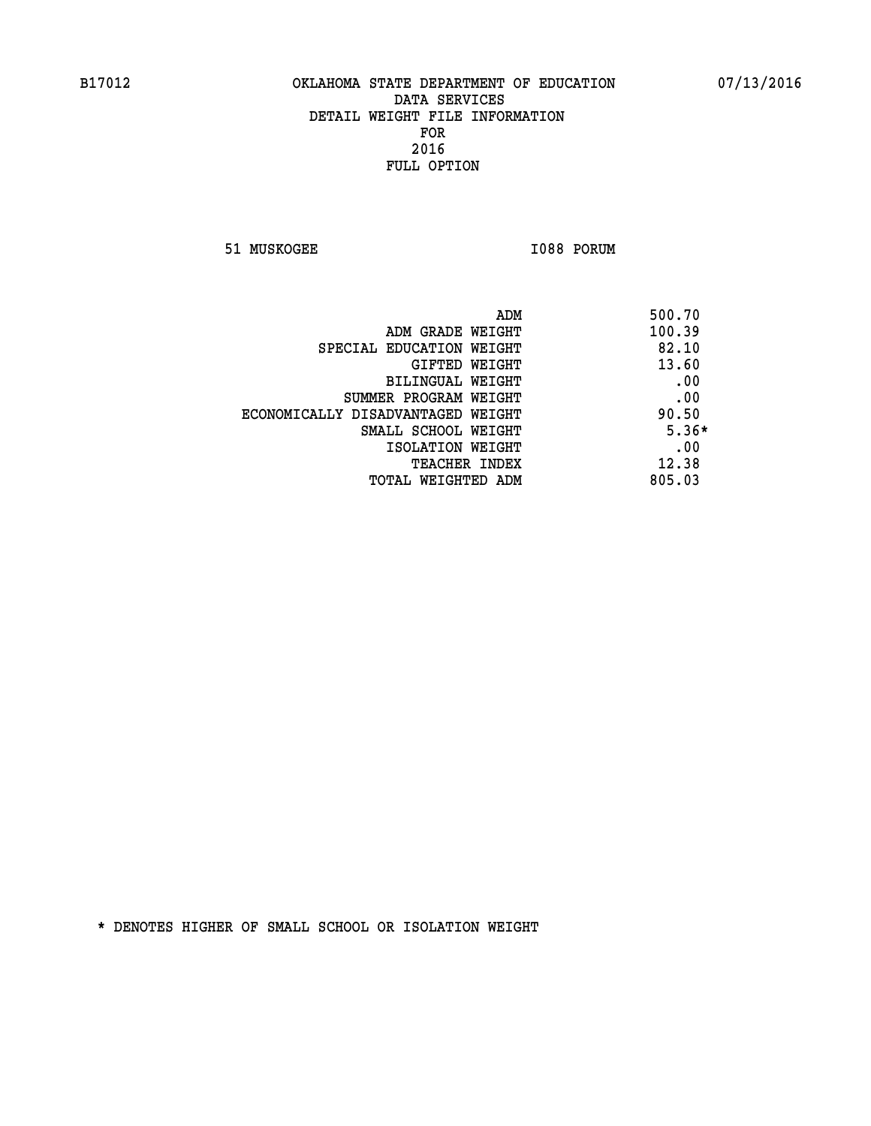**51 MUSKOGEE 1088 PORUM** 

| ADM                               | 500.70  |
|-----------------------------------|---------|
| ADM GRADE WEIGHT                  | 100.39  |
| SPECIAL EDUCATION WEIGHT          | 82.10   |
| GIFTED WEIGHT                     | 13.60   |
| BILINGUAL WEIGHT                  | .00     |
| SUMMER PROGRAM WEIGHT             | .00     |
| ECONOMICALLY DISADVANTAGED WEIGHT | 90.50   |
| SMALL SCHOOL WEIGHT               | $5.36*$ |
| ISOLATION WEIGHT                  | .00     |
| <b>TEACHER INDEX</b>              | 12.38   |
| TOTAL WEIGHTED ADM                | 805.03  |
|                                   |         |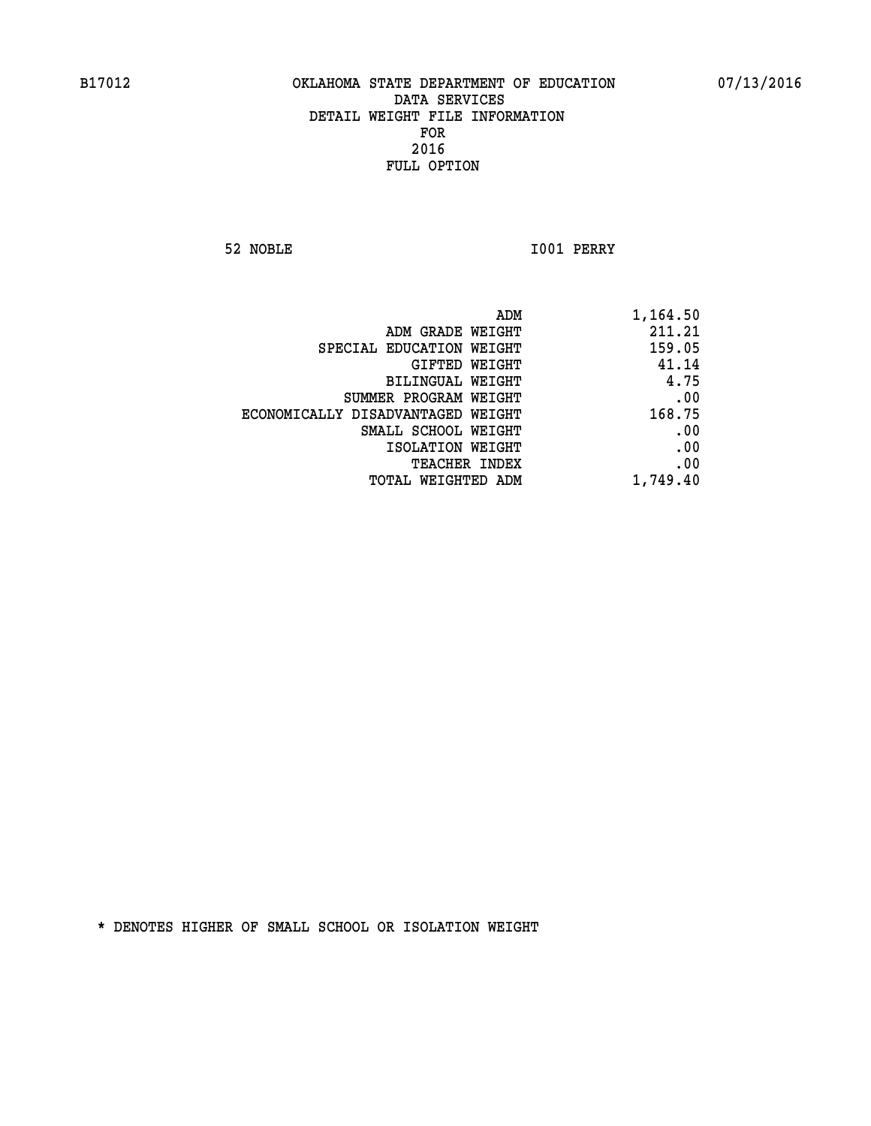**52 NOBLE I001 PERRY** 

|                                   | ADM<br>1,164.50 |
|-----------------------------------|-----------------|
| ADM GRADE WEIGHT                  | 211.21          |
| SPECIAL EDUCATION WEIGHT          | 159.05          |
| GIFTED WEIGHT                     | 41.14           |
| <b>BILINGUAL WEIGHT</b>           | 4.75            |
| SUMMER PROGRAM WEIGHT             | .00             |
| ECONOMICALLY DISADVANTAGED WEIGHT | 168.75          |
| SMALL SCHOOL WEIGHT               | .00             |
| ISOLATION WEIGHT                  | .00             |
| TEACHER INDEX                     | .00             |
| TOTAL WEIGHTED ADM                | 1,749.40        |
|                                   |                 |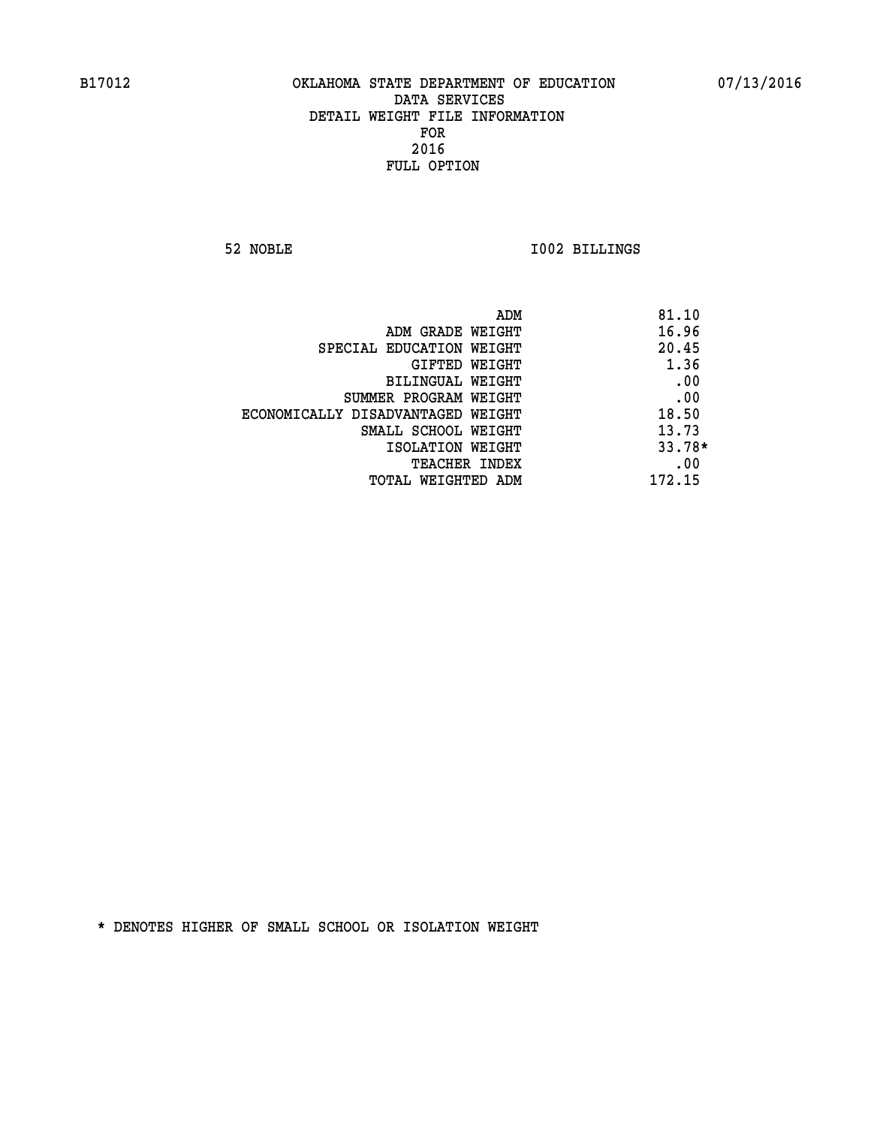**52 NOBLE I002 BILLINGS** 

|                                   | ADM<br>81.10 |  |
|-----------------------------------|--------------|--|
| ADM GRADE WEIGHT                  | 16.96        |  |
| SPECIAL EDUCATION WEIGHT          | 20.45        |  |
| <b>GIFTED WEIGHT</b>              | 1.36         |  |
| BILINGUAL WEIGHT                  | .00          |  |
| SUMMER PROGRAM WEIGHT             | .00          |  |
| ECONOMICALLY DISADVANTAGED WEIGHT | 18.50        |  |
| SMALL SCHOOL WEIGHT               | 13.73        |  |
| ISOLATION WEIGHT                  | $33.78*$     |  |
| TEACHER INDEX                     | .00          |  |
| TOTAL WEIGHTED ADM                | 172.15       |  |
|                                   |              |  |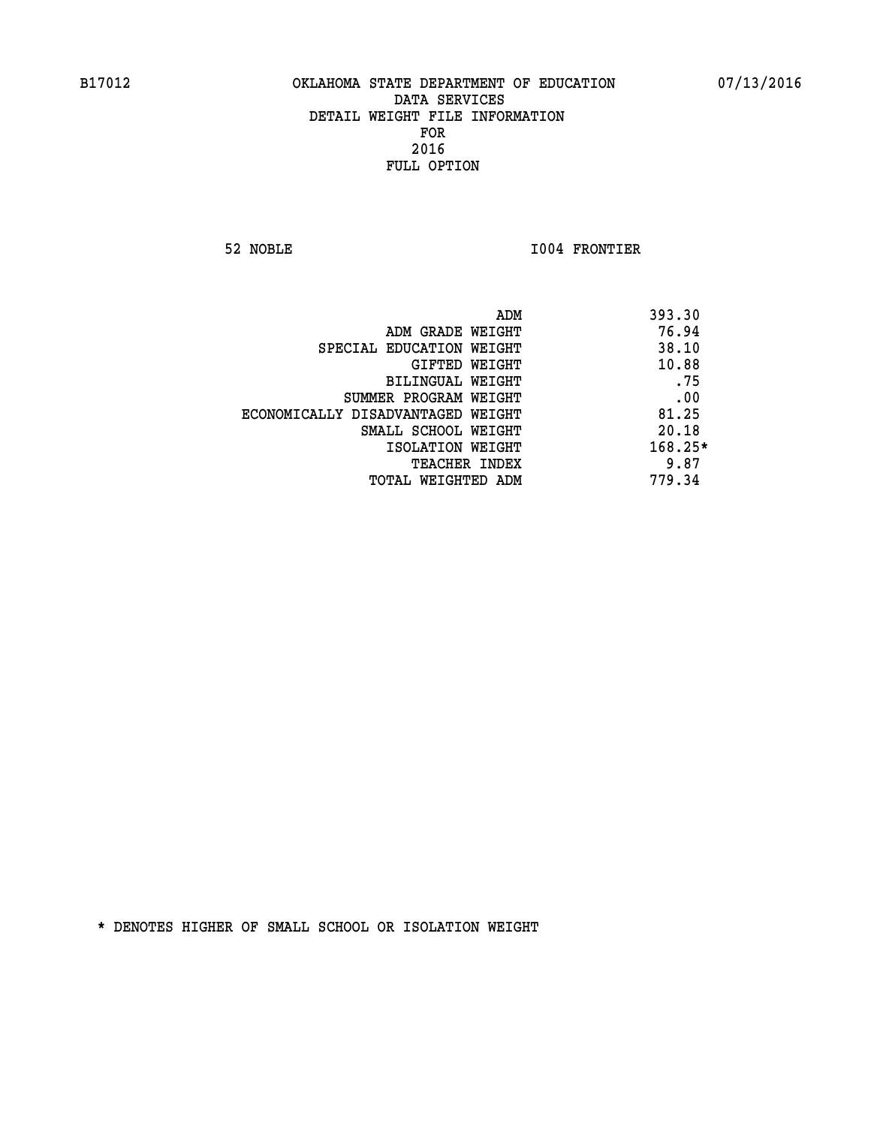**52 NOBLE I004 FRONTIER** 

|                                   | ADM | 393.30    |
|-----------------------------------|-----|-----------|
| ADM GRADE WEIGHT                  |     | 76.94     |
| SPECIAL EDUCATION WEIGHT          |     | 38.10     |
| GIFTED WEIGHT                     |     | 10.88     |
| BILINGUAL WEIGHT                  |     | .75       |
| SUMMER PROGRAM WEIGHT             |     | .00       |
| ECONOMICALLY DISADVANTAGED WEIGHT |     | 81.25     |
| SMALL SCHOOL WEIGHT               |     | 20.18     |
| ISOLATION WEIGHT                  |     | $168.25*$ |
| TEACHER INDEX                     |     | 9.87      |
| TOTAL WEIGHTED ADM                |     | 779.34    |
|                                   |     |           |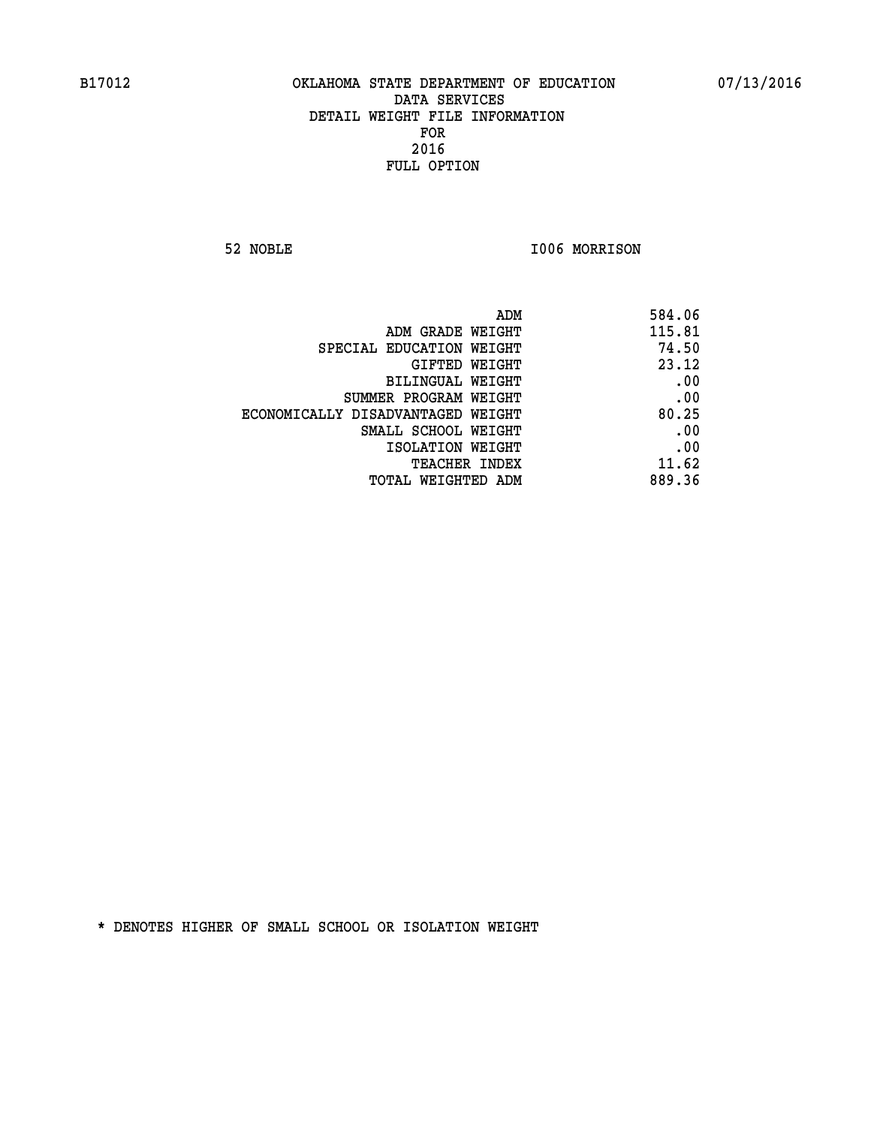**52 NOBLE I006 MORRISON** 

| 584.06                                                                                                                                                                                                                                   |
|------------------------------------------------------------------------------------------------------------------------------------------------------------------------------------------------------------------------------------------|
| 115.81                                                                                                                                                                                                                                   |
| 74.50                                                                                                                                                                                                                                    |
| 23.12                                                                                                                                                                                                                                    |
| .00                                                                                                                                                                                                                                      |
| .00                                                                                                                                                                                                                                      |
| 80.25                                                                                                                                                                                                                                    |
| .00                                                                                                                                                                                                                                      |
| .00                                                                                                                                                                                                                                      |
| 11.62                                                                                                                                                                                                                                    |
| 889.36                                                                                                                                                                                                                                   |
| ADM<br>ADM GRADE WEIGHT<br>SPECIAL EDUCATION WEIGHT<br>GIFTED WEIGHT<br>BILINGUAL WEIGHT<br>SUMMER PROGRAM WEIGHT<br>ECONOMICALLY DISADVANTAGED WEIGHT<br>SMALL SCHOOL WEIGHT<br>ISOLATION WEIGHT<br>TEACHER INDEX<br>TOTAL WEIGHTED ADM |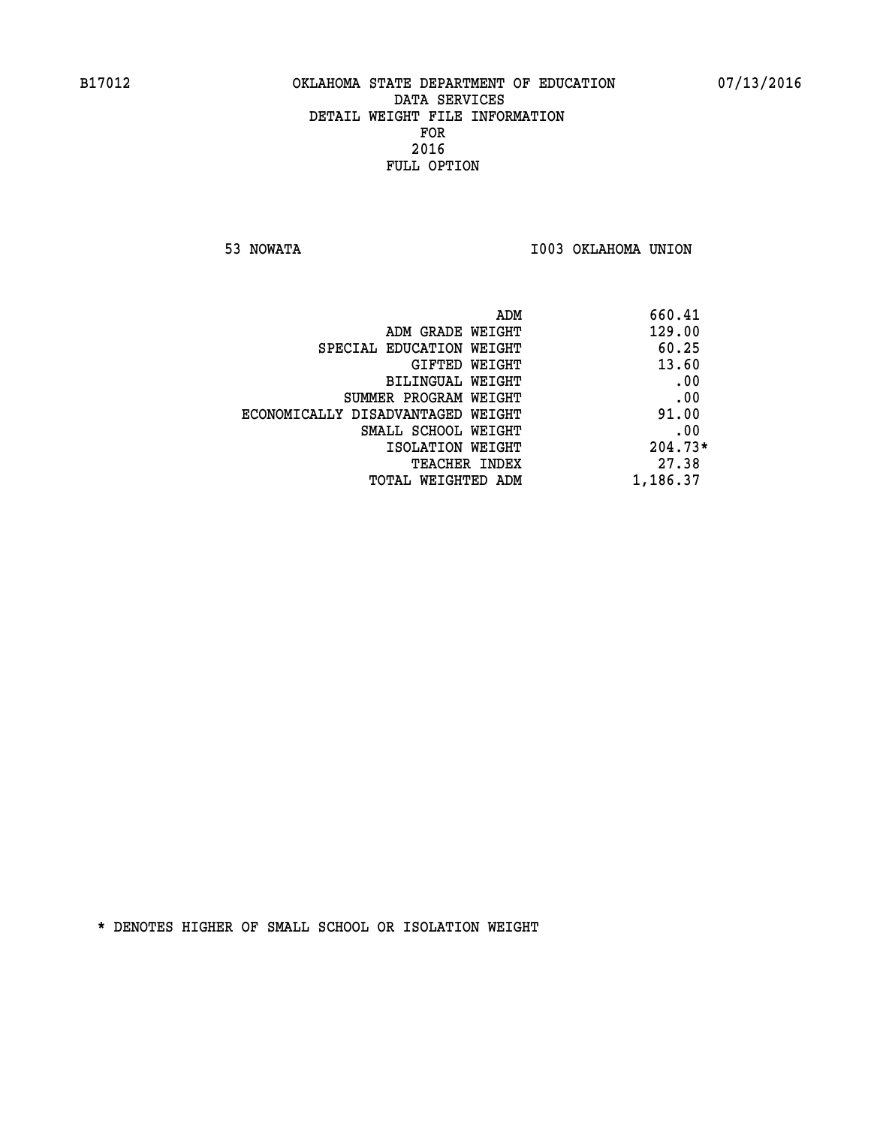**53 NOWATA I003 OKLAHOMA UNION** 

| 660.41    | ADM                               |
|-----------|-----------------------------------|
| 129.00    | ADM GRADE WEIGHT                  |
| 60.25     | SPECIAL EDUCATION WEIGHT          |
| 13.60     | GIFTED WEIGHT                     |
| .00       | BILINGUAL WEIGHT                  |
| .00       | SUMMER PROGRAM WEIGHT             |
| 91.00     | ECONOMICALLY DISADVANTAGED WEIGHT |
| .00       | SMALL SCHOOL WEIGHT               |
| $204.73*$ | ISOLATION WEIGHT                  |
| 27.38     | <b>TEACHER INDEX</b>              |
| 1,186.37  | TOTAL WEIGHTED ADM                |
|           |                                   |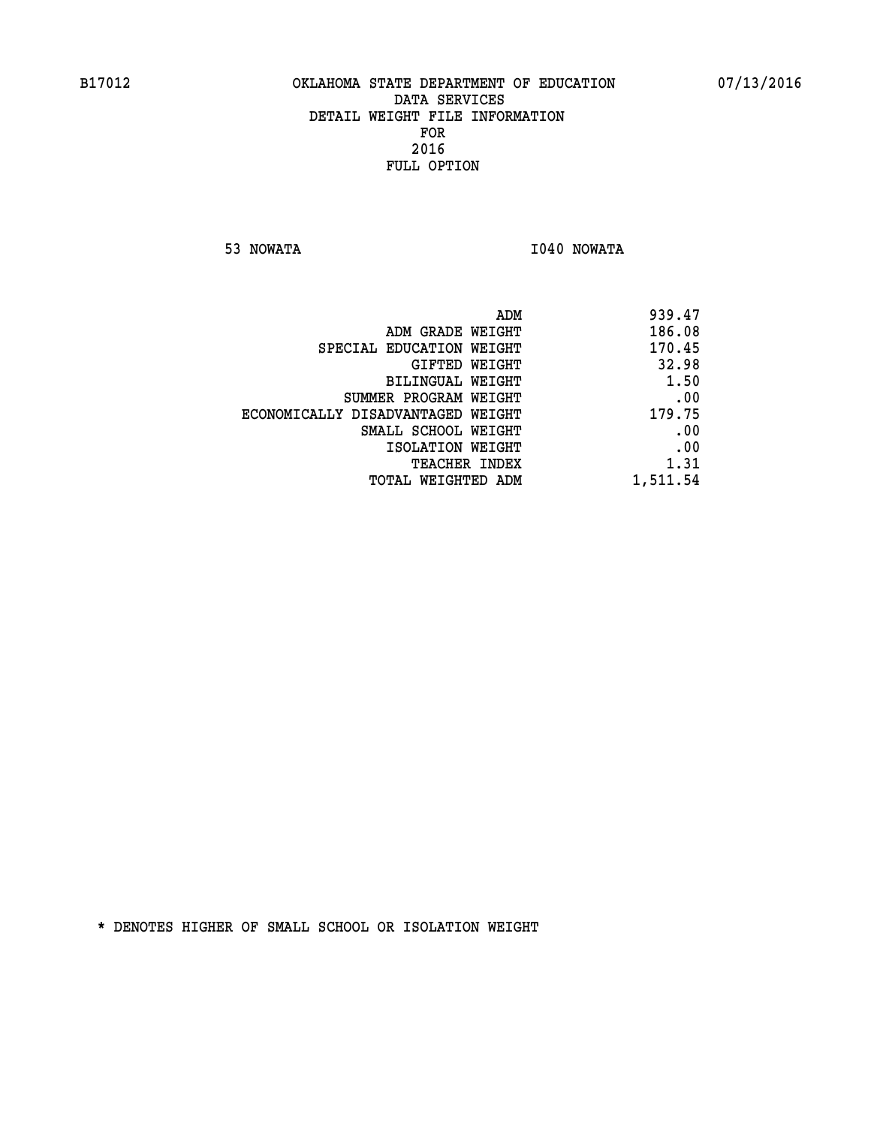**53 NOWATA I040 NOWATA** 

|                                   | ADM | 939.47   |
|-----------------------------------|-----|----------|
| ADM GRADE WEIGHT                  |     | 186.08   |
| SPECIAL EDUCATION WEIGHT          |     | 170.45   |
| GIFTED WEIGHT                     |     | 32.98    |
| <b>BILINGUAL WEIGHT</b>           |     | 1.50     |
| SUMMER PROGRAM WEIGHT             |     | .00      |
| ECONOMICALLY DISADVANTAGED WEIGHT |     | 179.75   |
| SMALL SCHOOL WEIGHT               |     | .00      |
| ISOLATION WEIGHT                  |     | .00      |
| TEACHER INDEX                     |     | 1.31     |
| TOTAL WEIGHTED ADM                |     | 1,511.54 |
|                                   |     |          |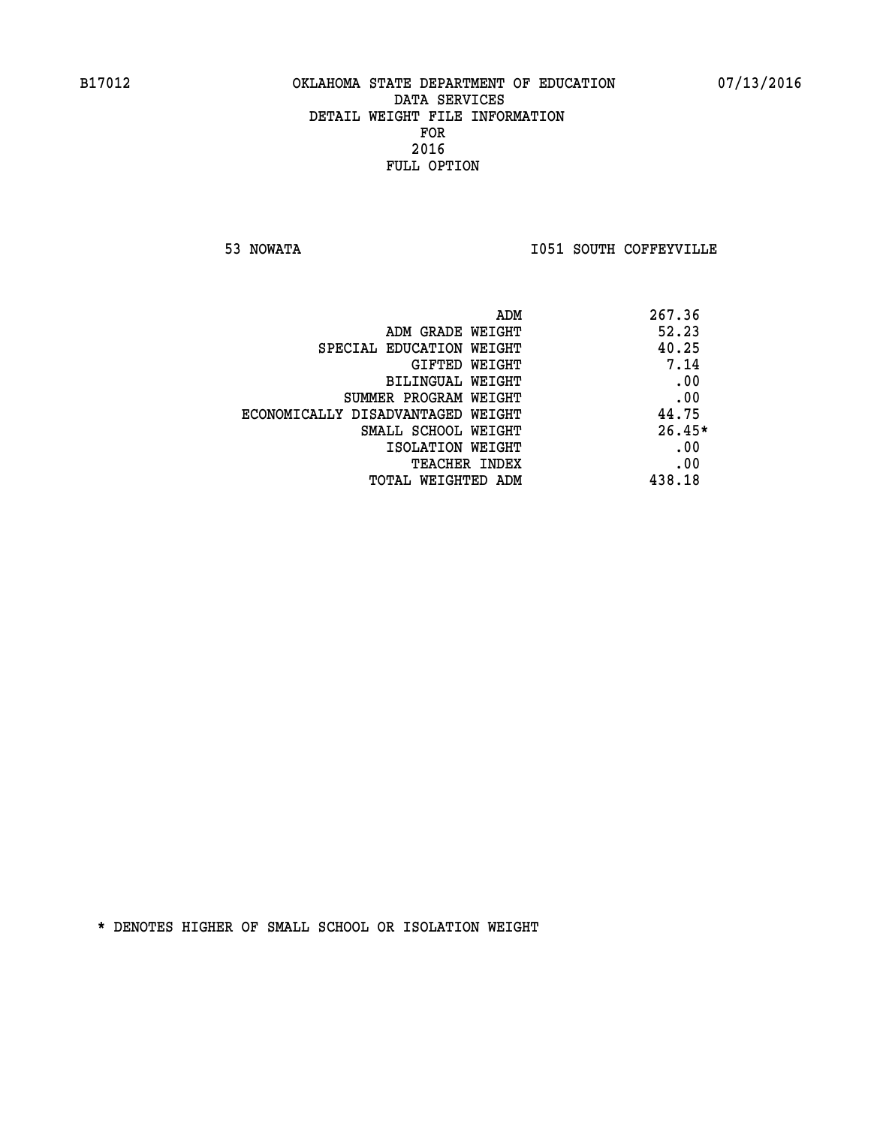**53 NOWATA I051 SOUTH COFFEYVILLE** 

| ADM<br>267.36                              |  |
|--------------------------------------------|--|
| 52.23<br>ADM GRADE WEIGHT                  |  |
| 40.25<br>SPECIAL EDUCATION WEIGHT          |  |
| 7.14<br><b>GIFTED WEIGHT</b>               |  |
| .00<br>BILINGUAL WEIGHT                    |  |
| .00<br>SUMMER PROGRAM WEIGHT               |  |
| 44.75<br>ECONOMICALLY DISADVANTAGED WEIGHT |  |
| $26.45*$<br>SMALL SCHOOL WEIGHT            |  |
| .00<br>ISOLATION WEIGHT                    |  |
| .00<br><b>TEACHER INDEX</b>                |  |
| 438.18<br>TOTAL WEIGHTED ADM               |  |
|                                            |  |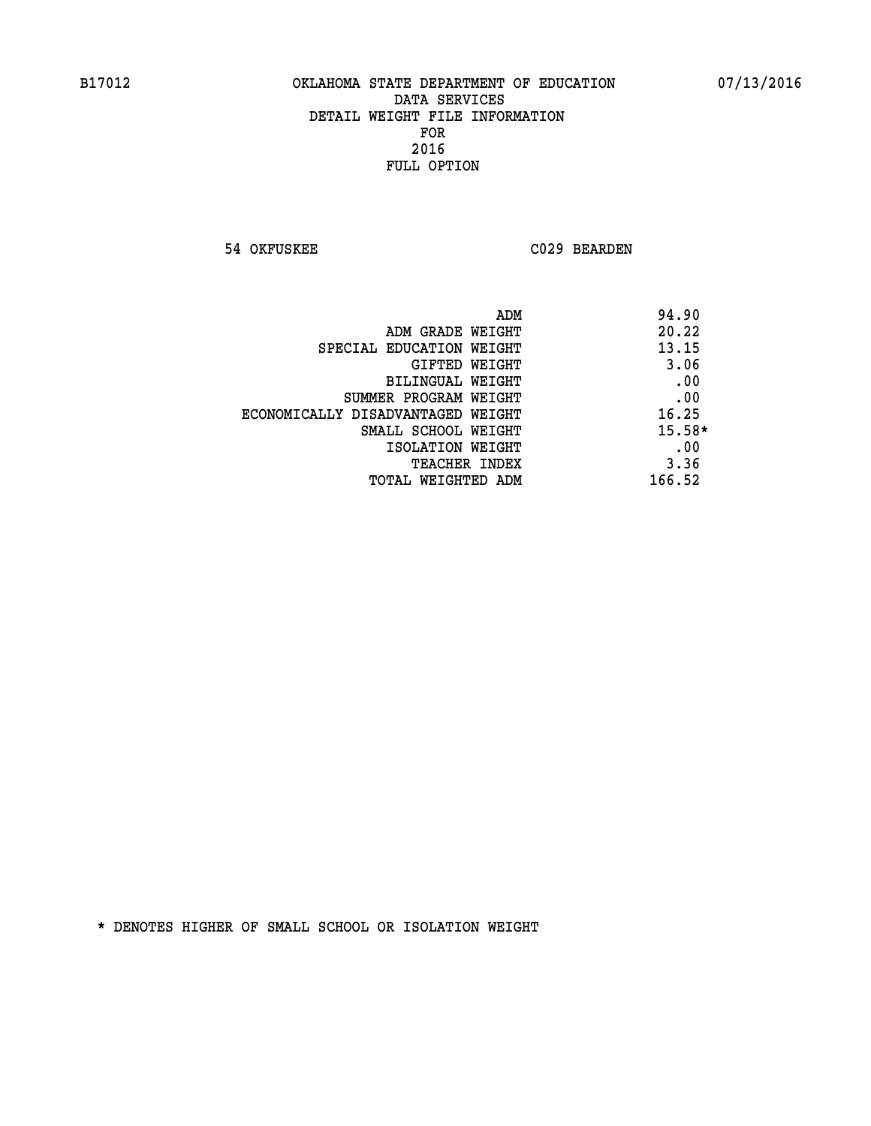**54 OKFUSKEE C029 BEARDEN** 

| ADM<br>94.90                   |                                   |
|--------------------------------|-----------------------------------|
| 20.22<br>ADM GRADE WEIGHT      |                                   |
| 13.15                          | SPECIAL EDUCATION WEIGHT          |
| 3.06<br>GIFTED WEIGHT          |                                   |
| .00<br><b>BILINGUAL WEIGHT</b> |                                   |
| .00                            | SUMMER PROGRAM WEIGHT             |
| 16.25                          | ECONOMICALLY DISADVANTAGED WEIGHT |
| $15.58*$                       | SMALL SCHOOL WEIGHT               |
| .00<br>ISOLATION WEIGHT        |                                   |
| 3.36<br><b>TEACHER INDEX</b>   |                                   |
| 166.52<br>TOTAL WEIGHTED ADM   |                                   |
|                                |                                   |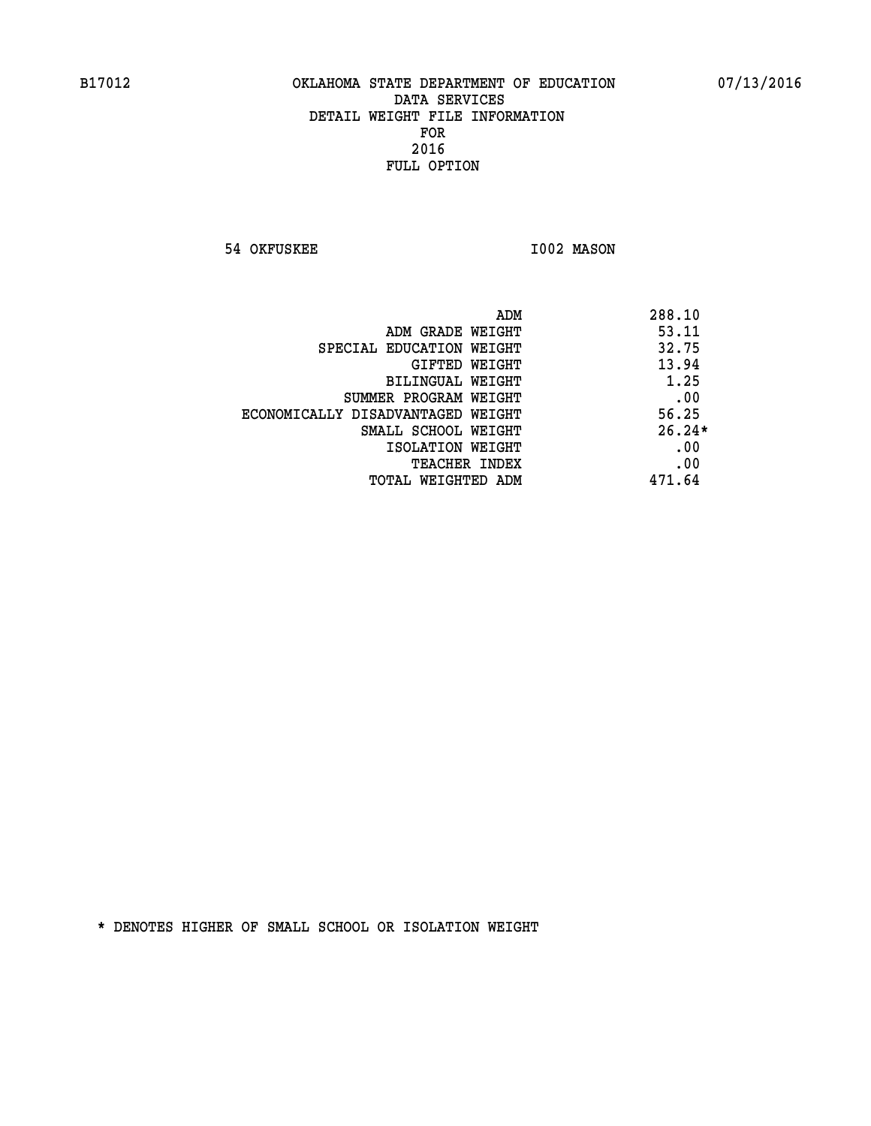**54 OKFUSKEE 1002 MASON** 

| ADM                               | 288.10   |
|-----------------------------------|----------|
| ADM GRADE WEIGHT                  | 53.11    |
| SPECIAL EDUCATION WEIGHT          | 32.75    |
| GIFTED WEIGHT                     | 13.94    |
| BILINGUAL WEIGHT                  | 1.25     |
| SUMMER PROGRAM WEIGHT             | .00      |
| ECONOMICALLY DISADVANTAGED WEIGHT | 56.25    |
| SMALL SCHOOL WEIGHT               | $26.24*$ |
| ISOLATION WEIGHT                  | .00      |
| <b>TEACHER INDEX</b>              | .00      |
| TOTAL WEIGHTED ADM                | 471.64   |
|                                   |          |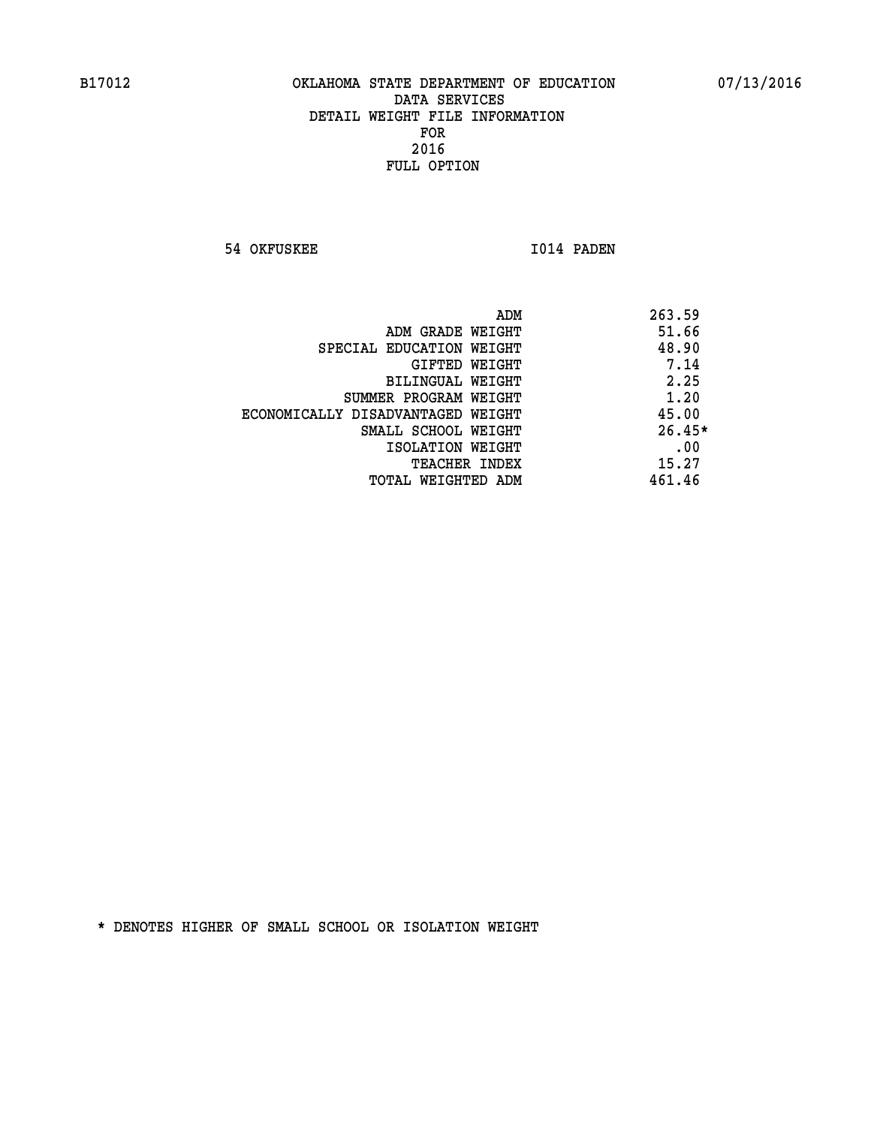**54 OKFUSKEE 1014 PADEN** 

|                                   | 263.59<br>ADM |
|-----------------------------------|---------------|
| ADM GRADE WEIGHT                  | 51.66         |
| SPECIAL EDUCATION WEIGHT          | 48.90         |
| GIFTED WEIGHT                     | 7.14          |
| BILINGUAL WEIGHT                  | 2.25          |
| SUMMER PROGRAM WEIGHT             | 1.20          |
| ECONOMICALLY DISADVANTAGED WEIGHT | 45.00         |
| SMALL SCHOOL WEIGHT               | $26.45*$      |
| ISOLATION WEIGHT                  | .00           |
| <b>TEACHER INDEX</b>              | 15.27         |
| TOTAL WEIGHTED ADM                | 461.46        |
|                                   |               |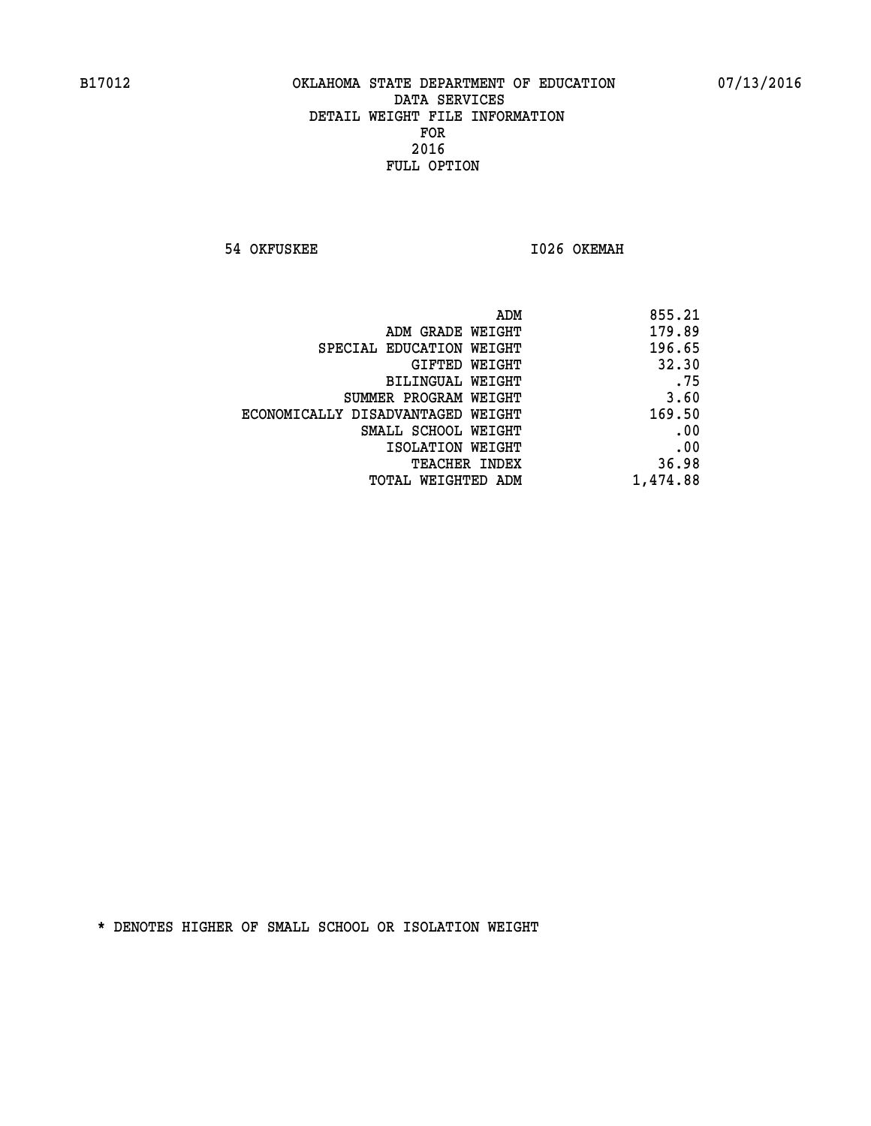**54 OKFUSKEE 1026 OKEMAH** 

| 855.21   |
|----------|
| 179.89   |
| 196.65   |
| 32.30    |
| .75      |
| 3.60     |
| 169.50   |
| .00      |
| .00      |
| 36.98    |
| 1,474.88 |
|          |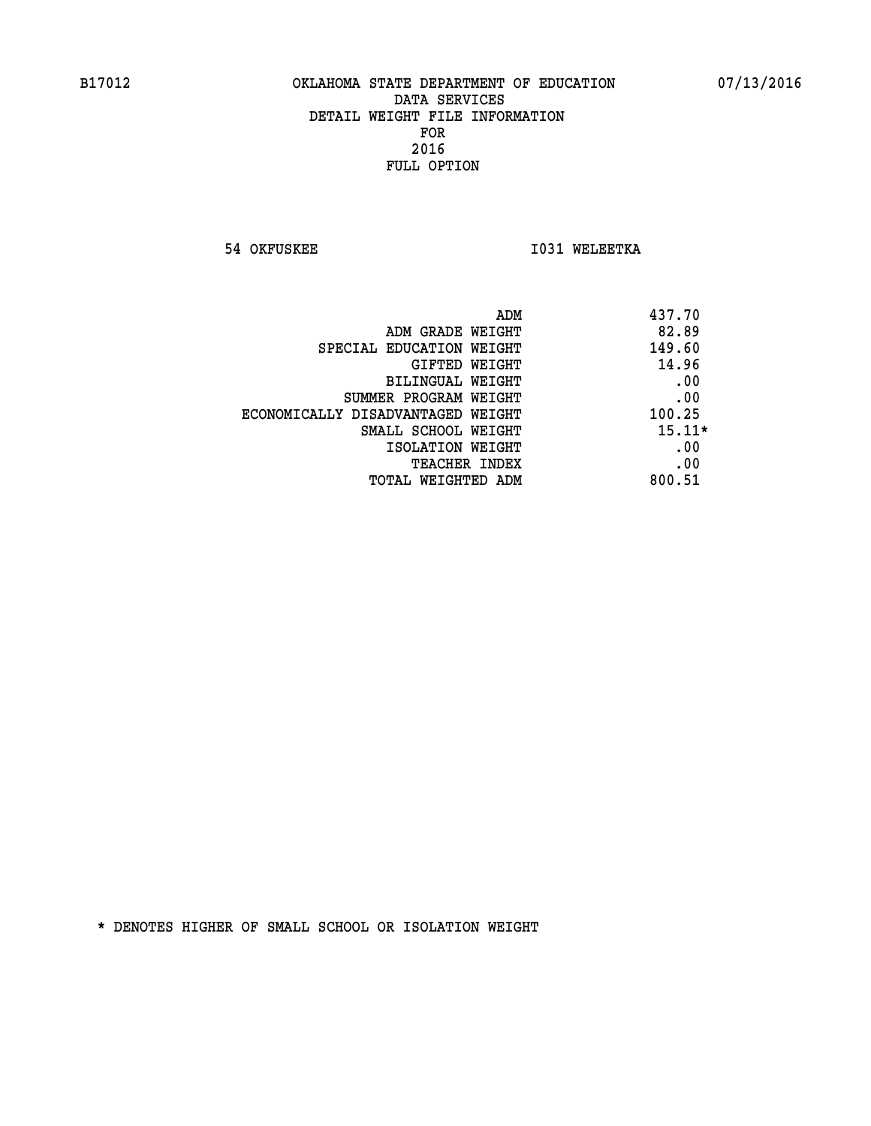**54 OKFUSKEE 1031 WELEETKA** 

| ADM                               | 437.70   |
|-----------------------------------|----------|
| ADM GRADE WEIGHT                  | 82.89    |
| SPECIAL EDUCATION WEIGHT          | 149.60   |
| GIFTED WEIGHT                     | 14.96    |
| BILINGUAL WEIGHT                  | .00      |
| SUMMER PROGRAM WEIGHT             | .00      |
| ECONOMICALLY DISADVANTAGED WEIGHT | 100.25   |
| SMALL SCHOOL WEIGHT               | $15.11*$ |
| ISOLATION WEIGHT                  | .00      |
| <b>TEACHER INDEX</b>              | .00      |
| TOTAL WEIGHTED ADM                | 800.51   |
|                                   |          |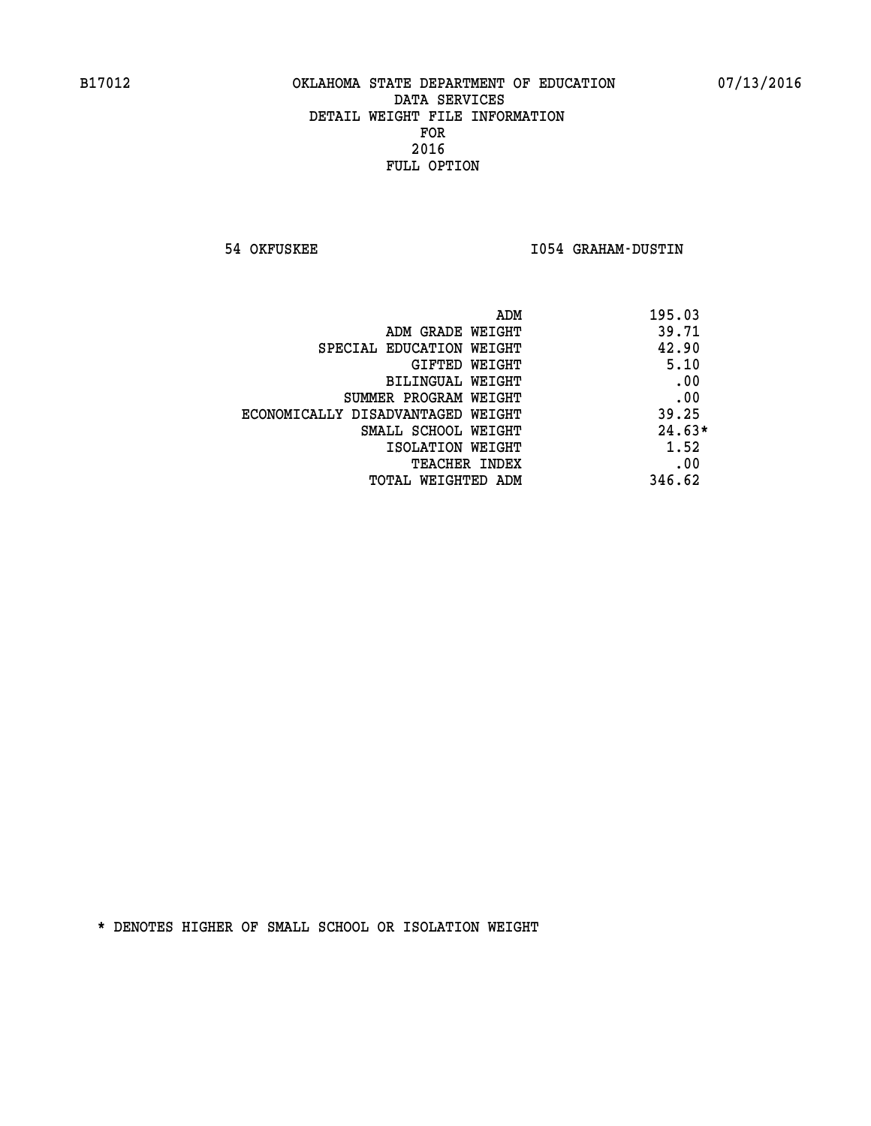**54 OKFUSKEE I054 GRAHAM-DUSTIN** 

| ADM                               | 195.03   |
|-----------------------------------|----------|
| ADM GRADE WEIGHT                  | 39.71    |
| SPECIAL EDUCATION WEIGHT          | 42.90    |
| GIFTED WEIGHT                     | 5.10     |
| BILINGUAL WEIGHT                  | .00      |
| SUMMER PROGRAM WEIGHT             | .00      |
| ECONOMICALLY DISADVANTAGED WEIGHT | 39.25    |
| SMALL SCHOOL WEIGHT               | $24.63*$ |
| ISOLATION WEIGHT                  | 1.52     |
| TEACHER INDEX                     | .00      |
| TOTAL WEIGHTED ADM                | 346.62   |
|                                   |          |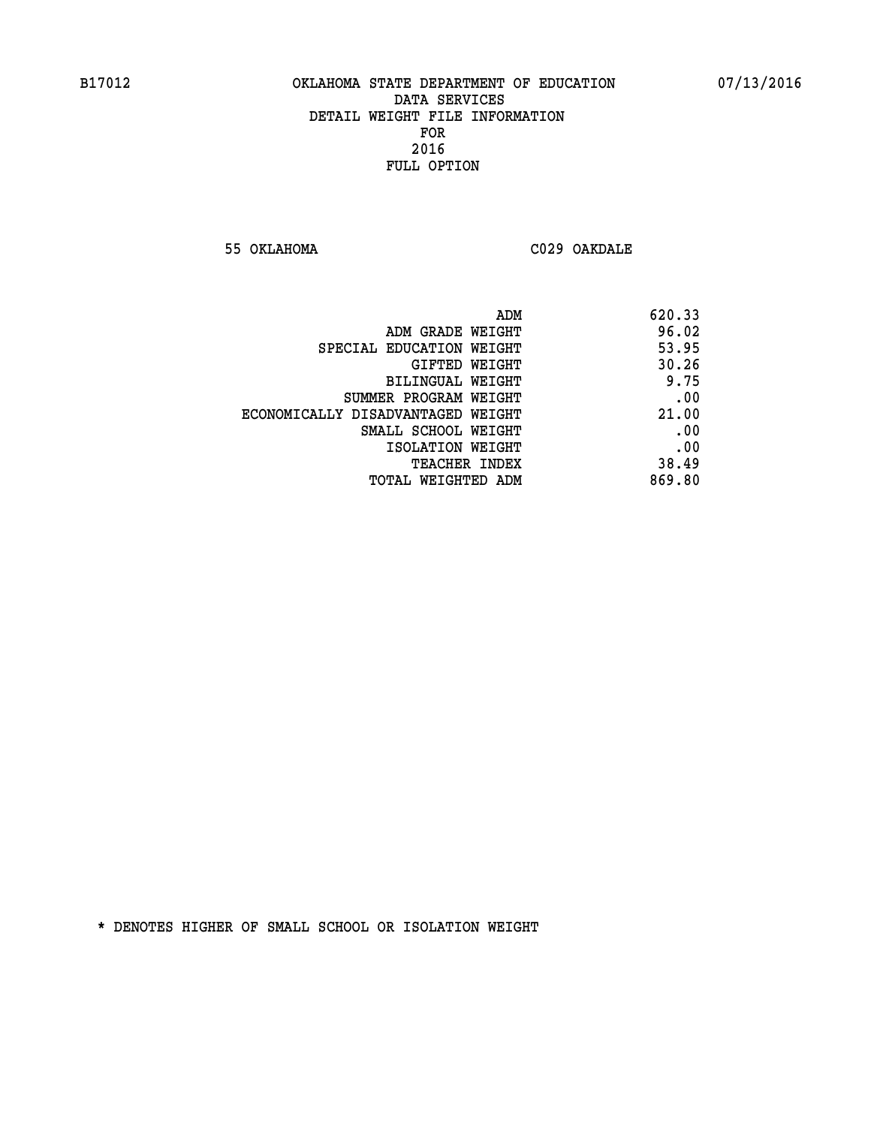**55 OKLAHOMA C029 OAKDALE** 

| 620.33 |
|--------|
| 96.02  |
| 53.95  |
| 30.26  |
| 9.75   |
| .00    |
| 21.00  |
| .00    |
| .00    |
| 38.49  |
| 869.80 |
|        |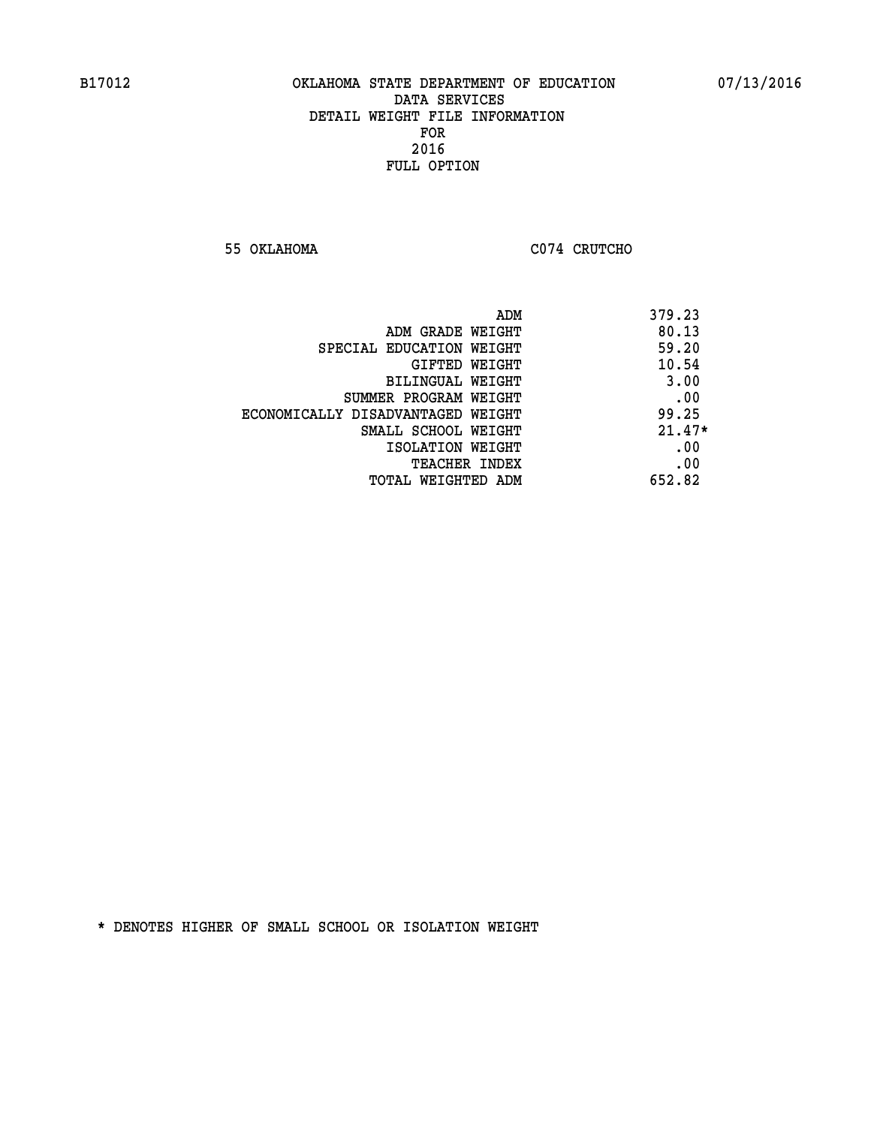**55 OKLAHOMA C074 CRUTCHO** 

| ADM                               | 379.23   |
|-----------------------------------|----------|
| ADM GRADE WEIGHT                  | 80.13    |
| SPECIAL EDUCATION WEIGHT          | 59.20    |
| GIFTED WEIGHT                     | 10.54    |
| BILINGUAL WEIGHT                  | 3.00     |
| SUMMER PROGRAM WEIGHT             | .00      |
| ECONOMICALLY DISADVANTAGED WEIGHT | 99.25    |
| SMALL SCHOOL WEIGHT               | $21.47*$ |
| ISOLATION WEIGHT                  | .00      |
| <b>TEACHER INDEX</b>              | .00      |
| TOTAL WEIGHTED ADM                | 652.82   |
|                                   |          |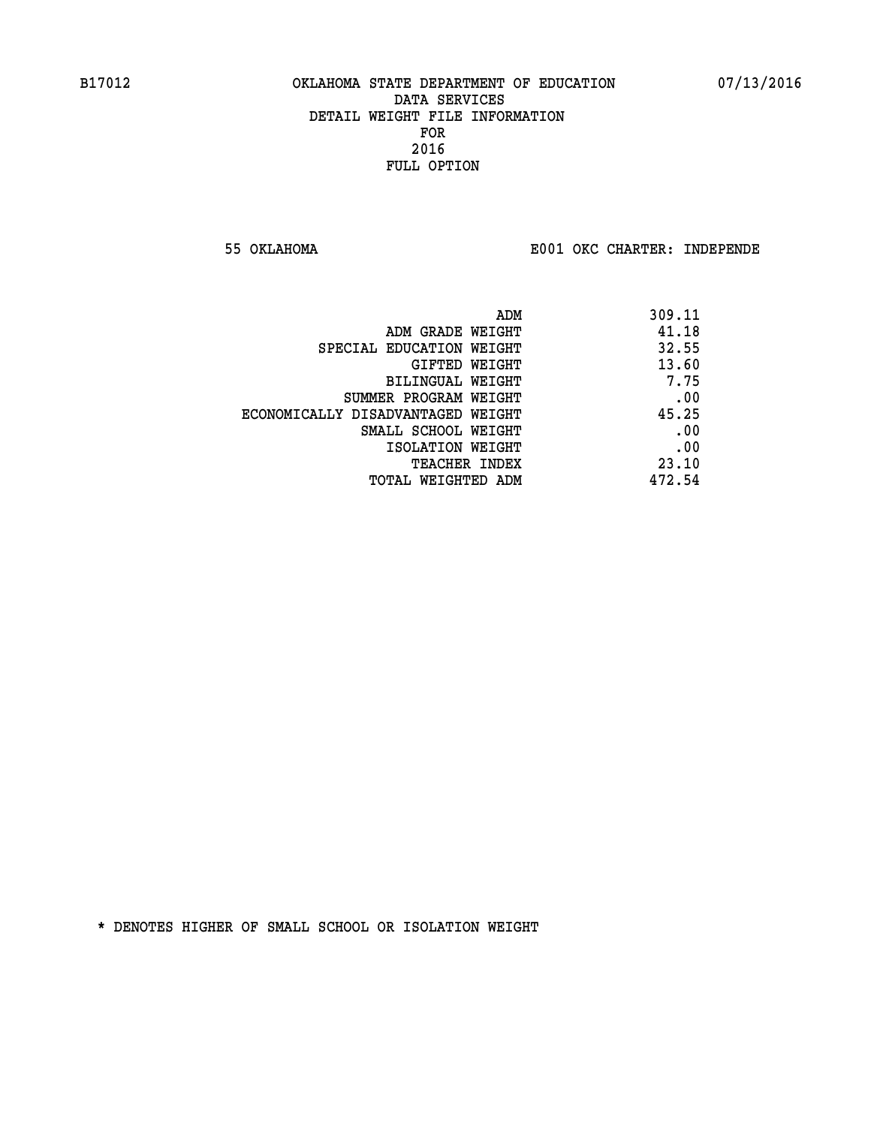**55 OKLAHOMA E001 OKC CHARTER: INDEPENDE**

| ADM                               | 309.11 |
|-----------------------------------|--------|
| ADM GRADE WEIGHT                  | 41.18  |
| SPECIAL EDUCATION WEIGHT          | 32.55  |
| GIFTED WEIGHT                     | 13.60  |
| BILINGUAL WEIGHT                  | 7.75   |
| SUMMER PROGRAM WEIGHT             | .00    |
| ECONOMICALLY DISADVANTAGED WEIGHT | 45.25  |
| SMALL SCHOOL WEIGHT               | .00    |
| ISOLATION WEIGHT                  | .00    |
| <b>TEACHER INDEX</b>              | 23.10  |
| TOTAL WEIGHTED ADM                | 472.54 |
|                                   |        |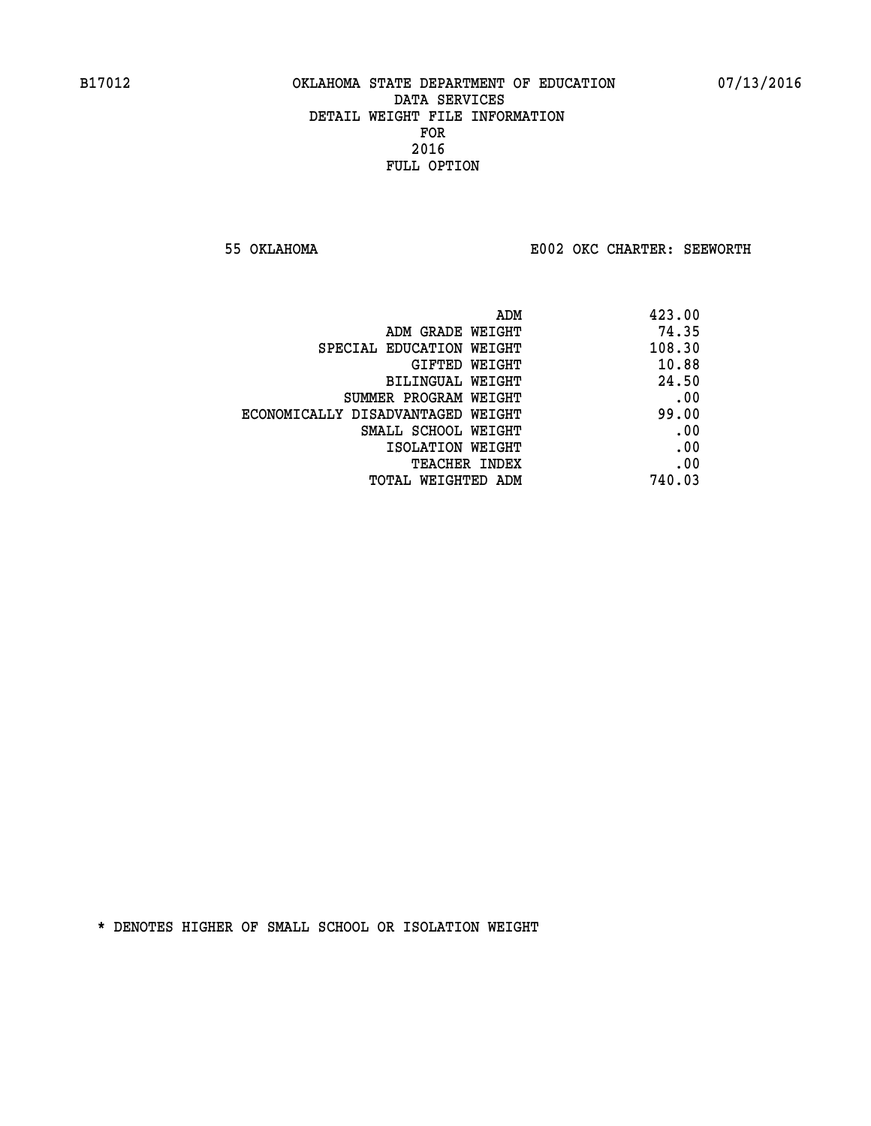**55 OKLAHOMA E002 OKC CHARTER: SEEWORTH** 

| ADM                               | 423.00 |
|-----------------------------------|--------|
| ADM GRADE WEIGHT                  | 74.35  |
| SPECIAL EDUCATION WEIGHT          | 108.30 |
| GIFTED WEIGHT                     | 10.88  |
| BILINGUAL WEIGHT                  | 24.50  |
| SUMMER PROGRAM WEIGHT             | .00    |
| ECONOMICALLY DISADVANTAGED WEIGHT | 99.00  |
| SMALL SCHOOL WEIGHT               | .00    |
| ISOLATION WEIGHT                  | .00    |
| <b>TEACHER INDEX</b>              | .00    |
| TOTAL WEIGHTED ADM                | 740.03 |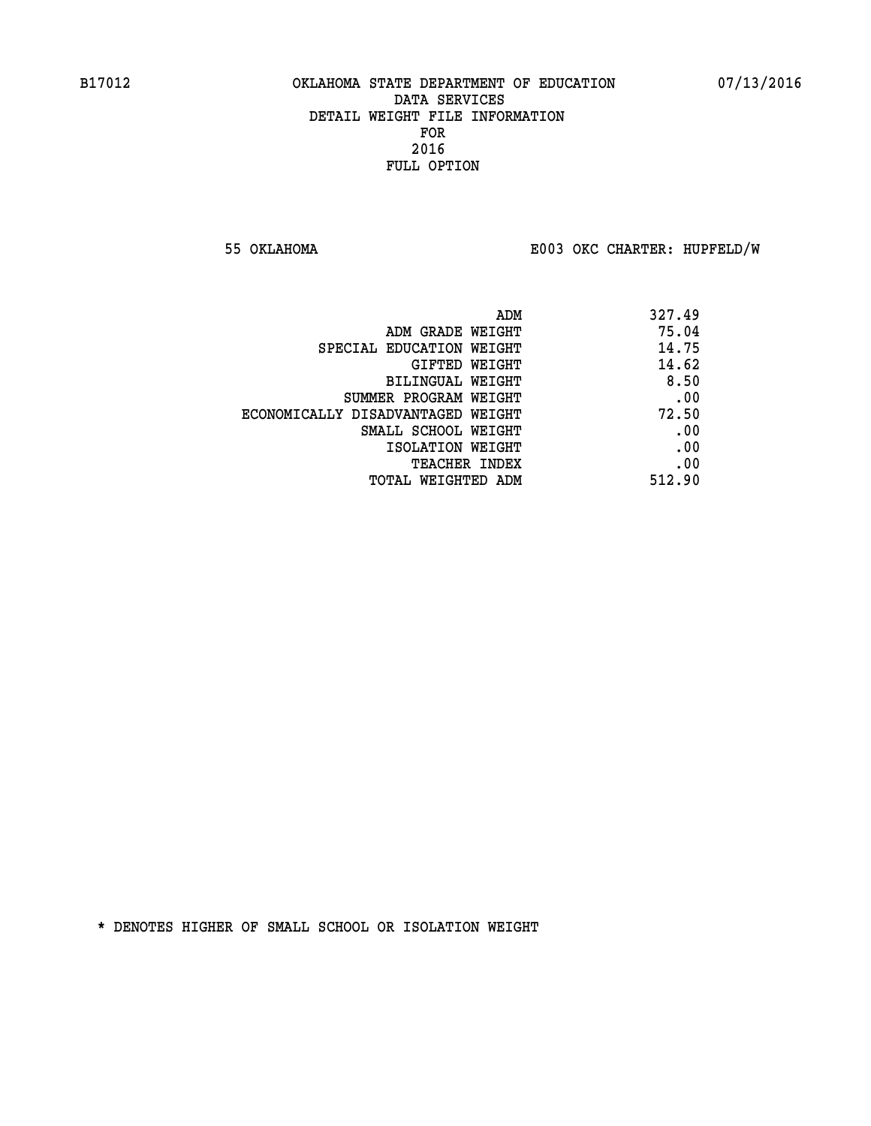**55 OKLAHOMA E003 OKC CHARTER: HUPFELD/W**

| 327.49 |
|--------|
| 75.04  |
| 14.75  |
| 14.62  |
| 8.50   |
| .00    |
| 72.50  |
| .00    |
| .00    |
| .00    |
| 512.90 |
|        |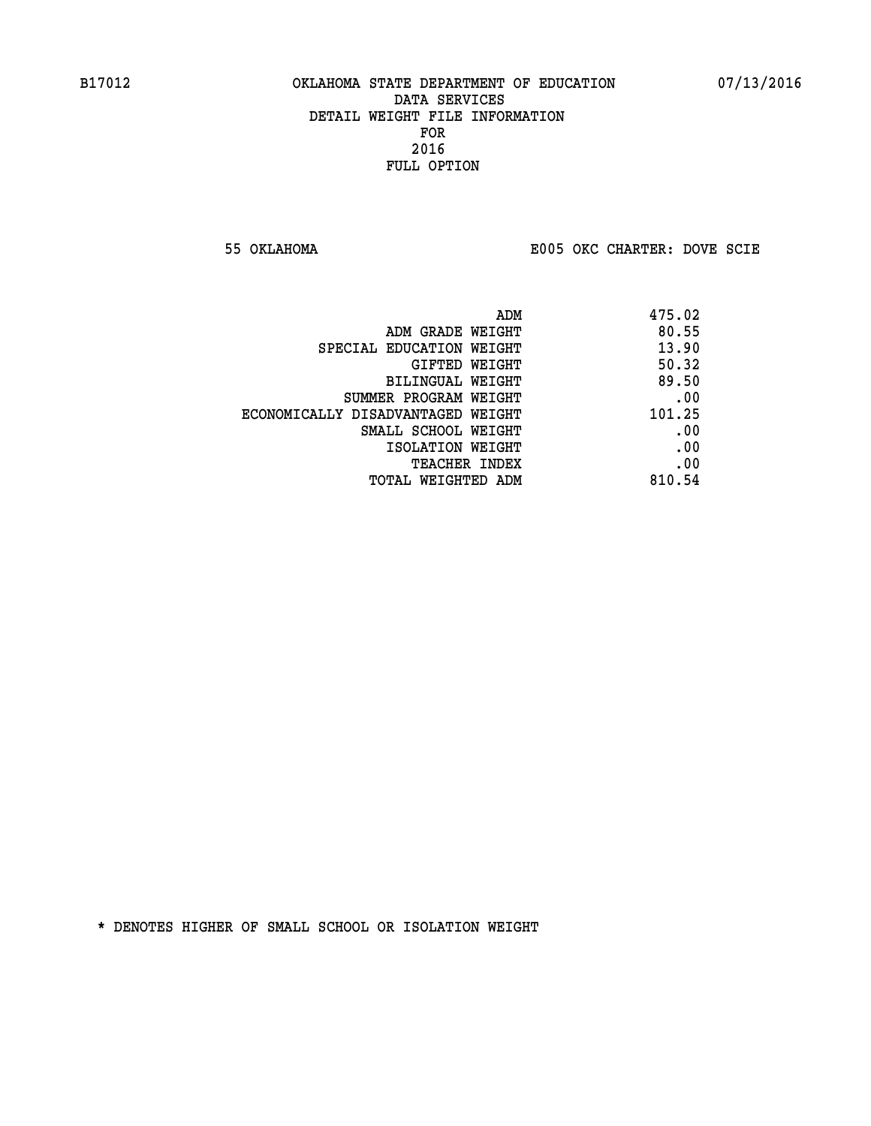**55 OKLAHOMA E005 OKC CHARTER: DOVE SCIE**

|                                   | 475.02<br>ADM |     |
|-----------------------------------|---------------|-----|
| ADM GRADE WEIGHT                  | 80.55         |     |
| SPECIAL EDUCATION WEIGHT          | 13.90         |     |
| <b>GIFTED WEIGHT</b>              | 50.32         |     |
| BILINGUAL WEIGHT                  | 89.50         |     |
| SUMMER PROGRAM WEIGHT             |               | .00 |
| ECONOMICALLY DISADVANTAGED WEIGHT | 101.25        |     |
| SMALL SCHOOL WEIGHT               |               | .00 |
| ISOLATION WEIGHT                  |               | .00 |
| <b>TEACHER INDEX</b>              |               | .00 |
| TOTAL WEIGHTED ADM                | 810.54        |     |
|                                   |               |     |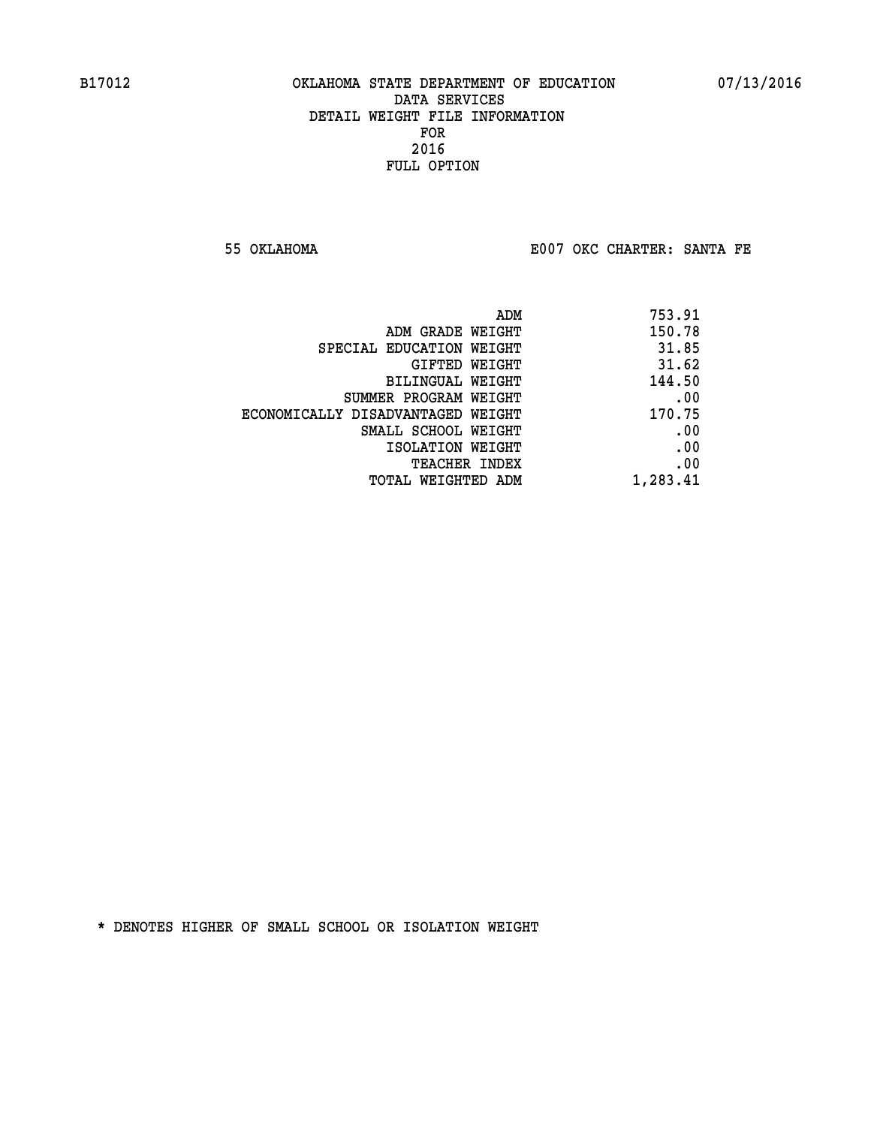**55 OKLAHOMA E007 OKC CHARTER: SANTA FE** 

| 753.91   |
|----------|
| 150.78   |
| 31.85    |
| 31.62    |
| 144.50   |
| .00      |
| 170.75   |
| .00      |
| .00      |
| .00      |
| 1,283.41 |
|          |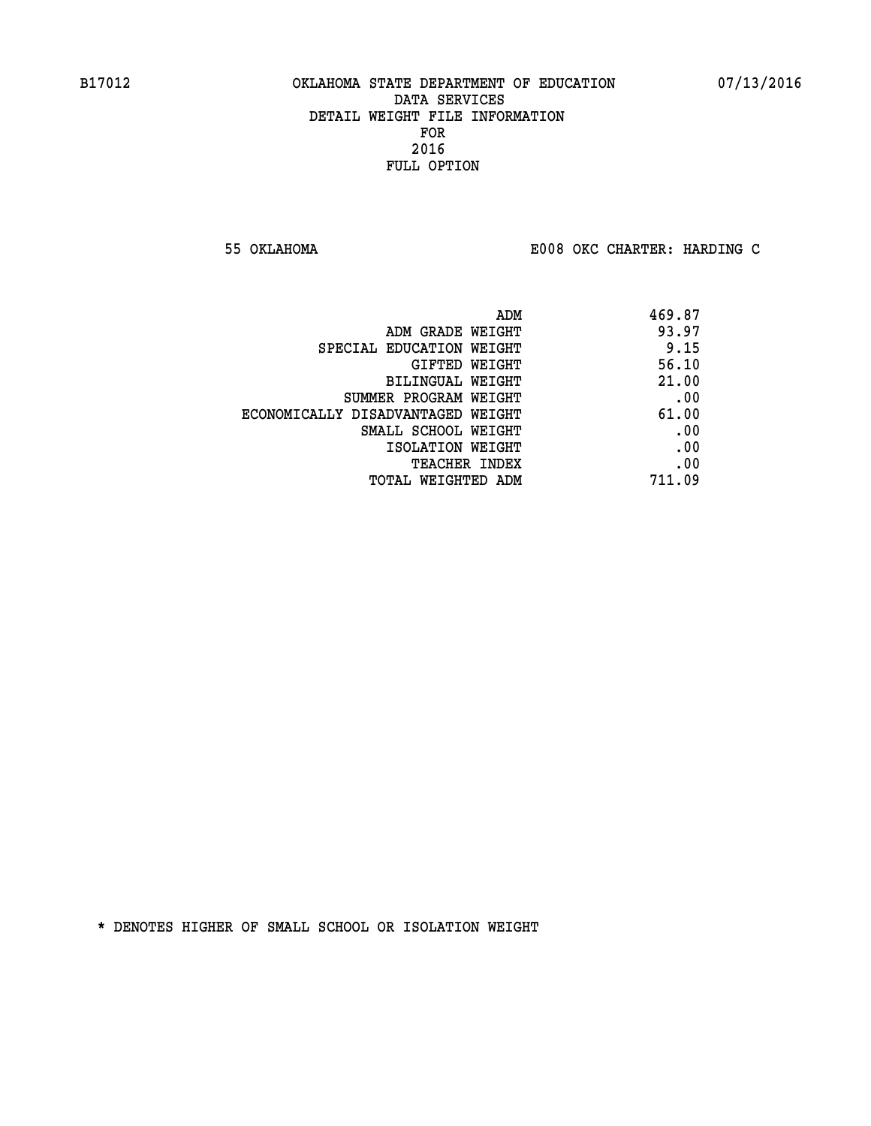**55 OKLAHOMA E008 OKC CHARTER: HARDING C**

| 469.87 |
|--------|
| 93.97  |
| 9.15   |
| 56.10  |
| 21.00  |
| .00    |
| 61.00  |
| .00    |
| .00    |
| .00    |
| 711.09 |
|        |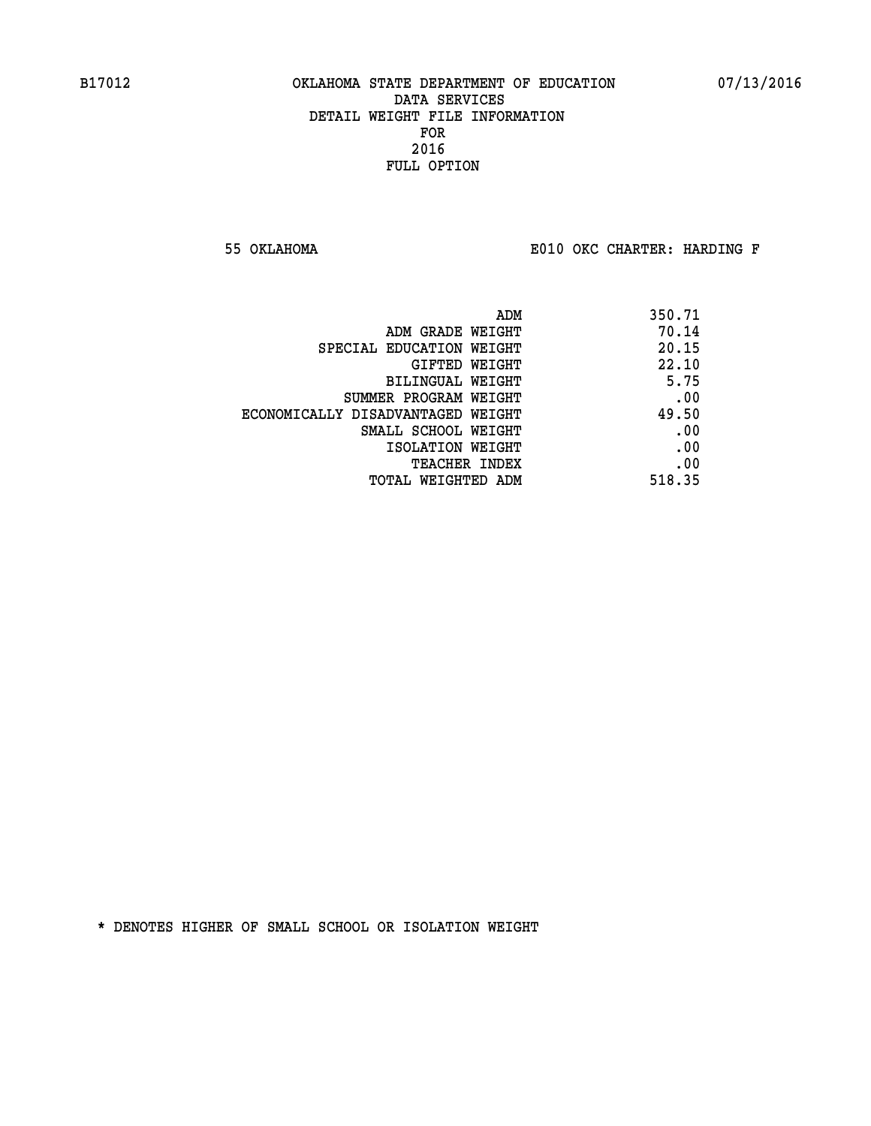**55 OKLAHOMA E010 OKC CHARTER: HARDING F**

| ADM                               | 350.71 |
|-----------------------------------|--------|
| ADM GRADE WEIGHT                  | 70.14  |
| SPECIAL EDUCATION WEIGHT          | 20.15  |
| GIFTED WEIGHT                     | 22.10  |
| BILINGUAL WEIGHT                  | 5.75   |
| SUMMER PROGRAM WEIGHT             | .00    |
| ECONOMICALLY DISADVANTAGED WEIGHT | 49.50  |
| SMALL SCHOOL WEIGHT               | .00    |
| ISOLATION WEIGHT                  | .00    |
| <b>TEACHER INDEX</b>              | .00    |
| TOTAL WEIGHTED ADM                | 518.35 |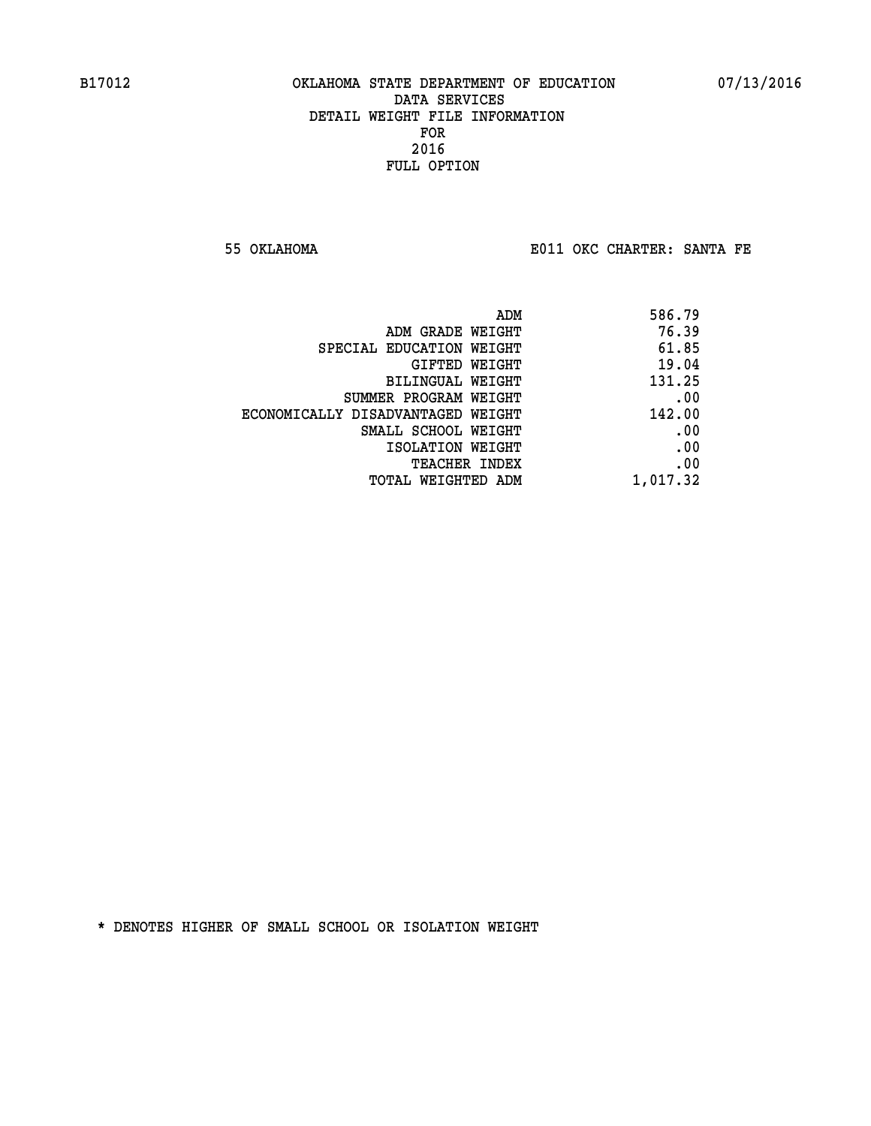**55 OKLAHOMA E011 OKC CHARTER: SANTA FE** 

| 586.79   |
|----------|
| 76.39    |
| 61.85    |
| 19.04    |
| 131.25   |
| .00      |
| 142.00   |
| .00      |
| .00      |
| .00      |
| 1,017.32 |
|          |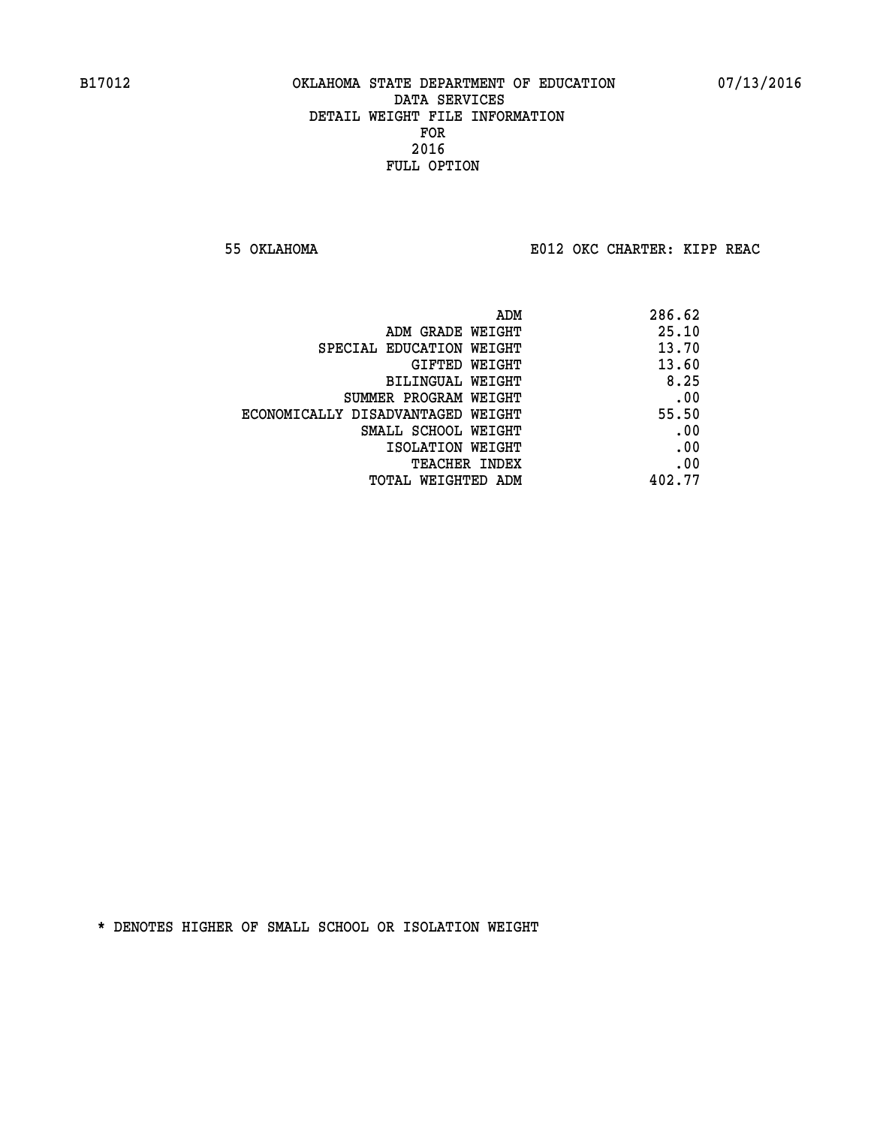**55 OKLAHOMA E012 OKC CHARTER: KIPP REAC**

|                                   | ADM | 286.62 |
|-----------------------------------|-----|--------|
| ADM GRADE WEIGHT                  |     | 25.10  |
| SPECIAL EDUCATION WEIGHT          |     | 13.70  |
| GIFTED WEIGHT                     |     | 13.60  |
| BILINGUAL WEIGHT                  |     | 8.25   |
| SUMMER PROGRAM WEIGHT             |     | .00    |
| ECONOMICALLY DISADVANTAGED WEIGHT |     | 55.50  |
| SMALL SCHOOL WEIGHT               |     | .00    |
| ISOLATION WEIGHT                  |     | .00    |
| <b>TEACHER INDEX</b>              |     | .00    |
| TOTAL WEIGHTED ADM                |     | 402.77 |
|                                   |     |        |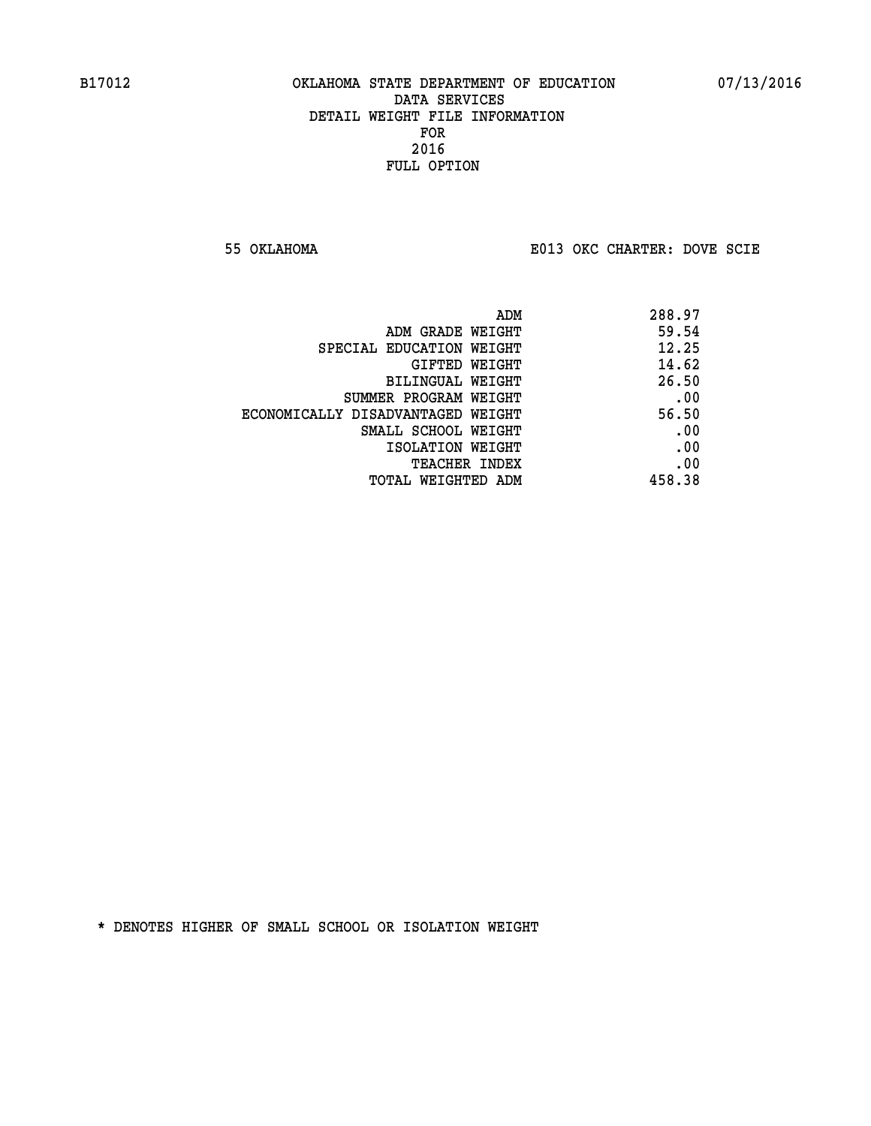**55 OKLAHOMA E013 OKC CHARTER: DOVE SCIE**

| 288.97 |
|--------|
| 59.54  |
| 12.25  |
| 14.62  |
| 26.50  |
| .00    |
| 56.50  |
| .00    |
| .00    |
| .00    |
| 458.38 |
|        |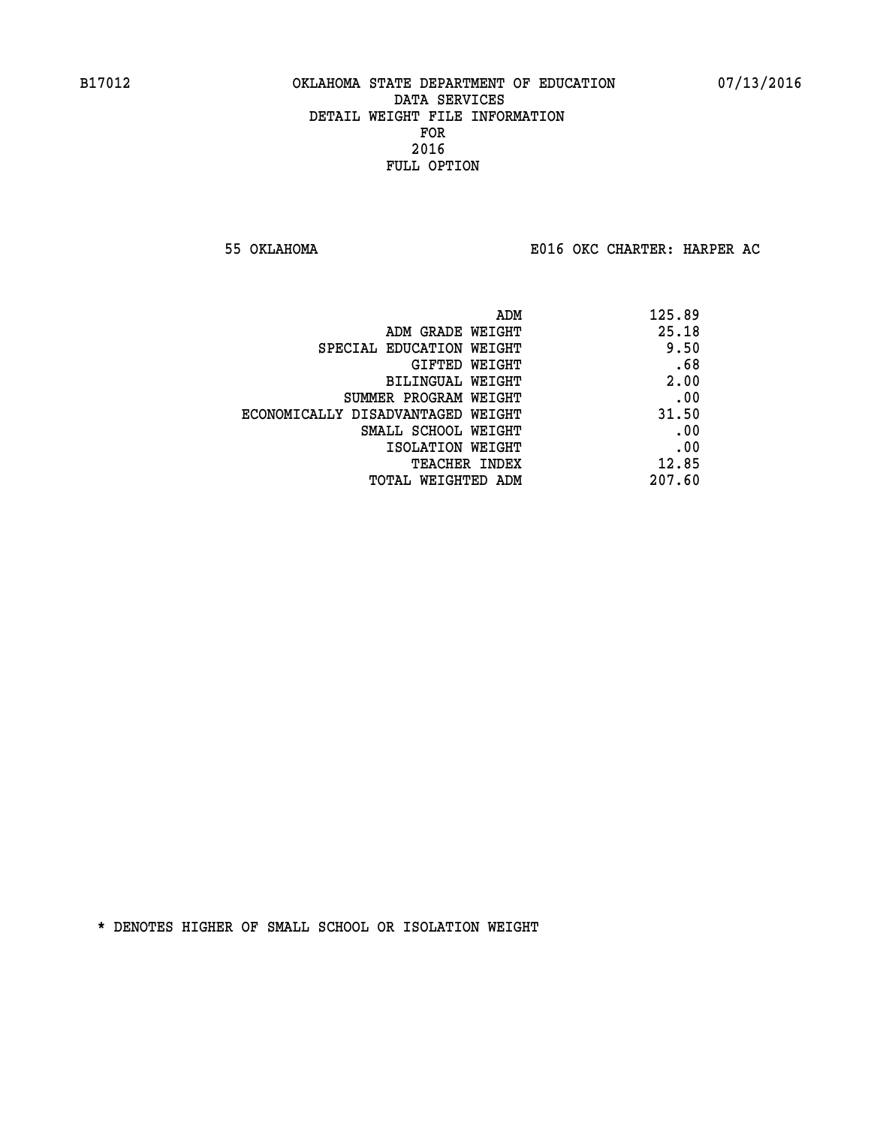**55 OKLAHOMA E016 OKC CHARTER: HARPER AC**

| 125.89 |
|--------|
| 25.18  |
| 9.50   |
| .68    |
| 2.00   |
| .00    |
| 31.50  |
| .00    |
| .00    |
| 12.85  |
| 207.60 |
|        |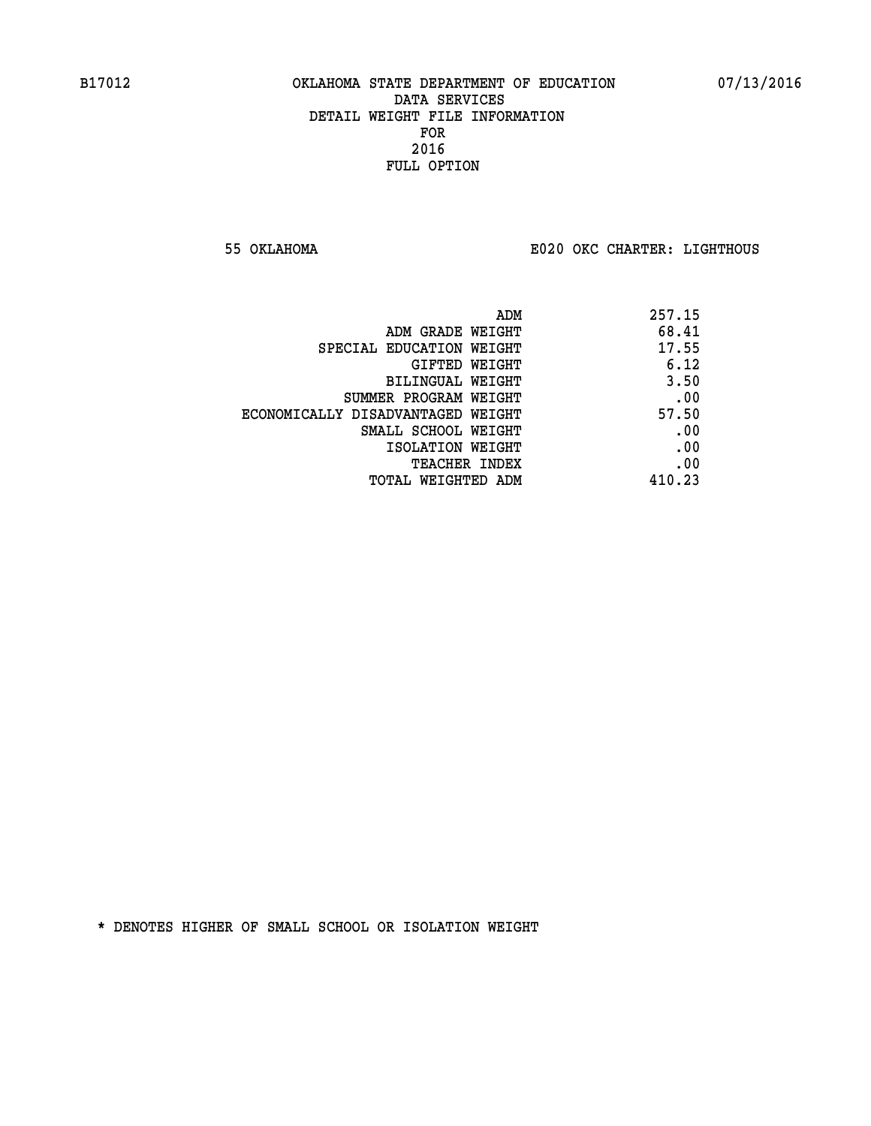**55 OKLAHOMA E020 OKC CHARTER: LIGHTHOUS**

| ADM                               | 257.15 |
|-----------------------------------|--------|
| ADM GRADE WEIGHT                  | 68.41  |
| SPECIAL EDUCATION WEIGHT          | 17.55  |
| GIFTED WEIGHT                     | 6.12   |
| BILINGUAL WEIGHT                  | 3.50   |
| SUMMER PROGRAM WEIGHT             | .00    |
| ECONOMICALLY DISADVANTAGED WEIGHT | 57.50  |
| SMALL SCHOOL WEIGHT               | .00    |
| ISOLATION WEIGHT                  | .00    |
| <b>TEACHER INDEX</b>              | .00    |
| TOTAL WEIGHTED ADM                | 410.23 |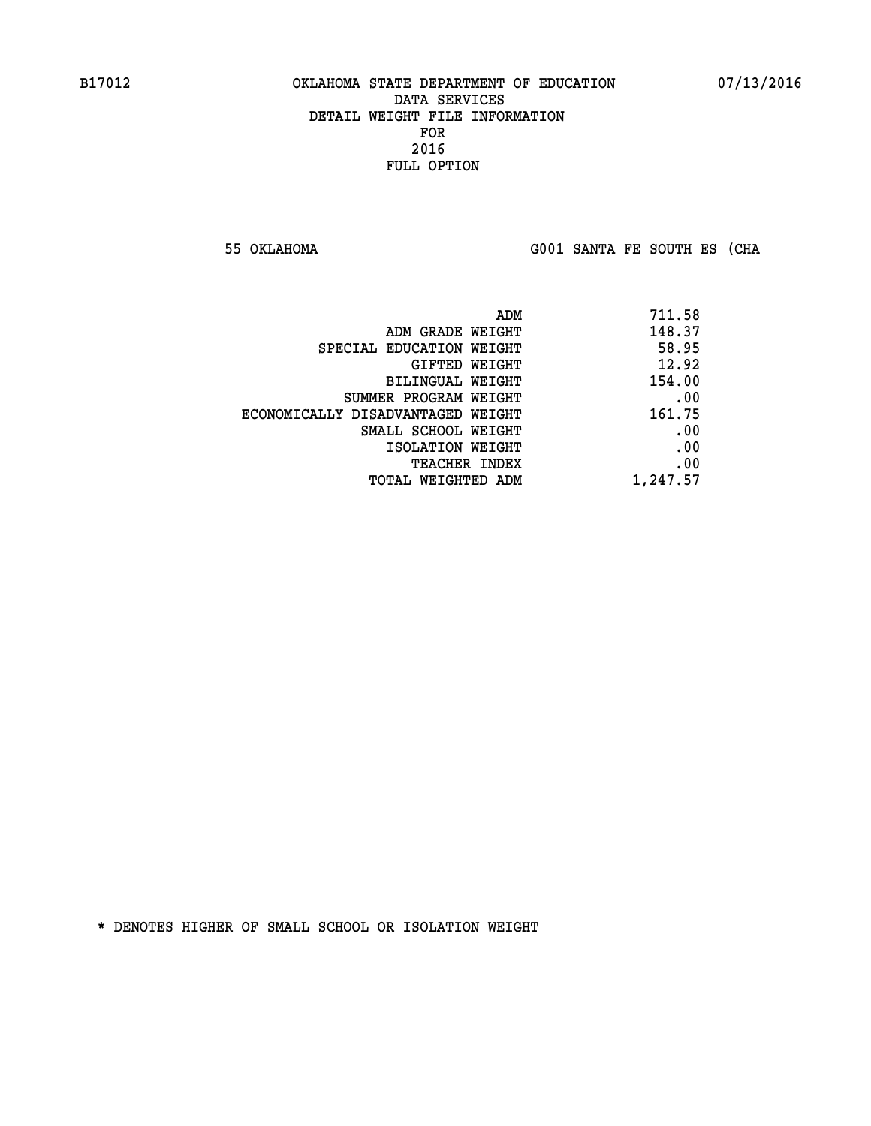**55 OKLAHOMA G001 SANTA FE SOUTH ES (CHA**

| 711.58   |
|----------|
| 148.37   |
| 58.95    |
| 12.92    |
| 154.00   |
| .00      |
| 161.75   |
| .00      |
| .00      |
| .00      |
| 1,247.57 |
|          |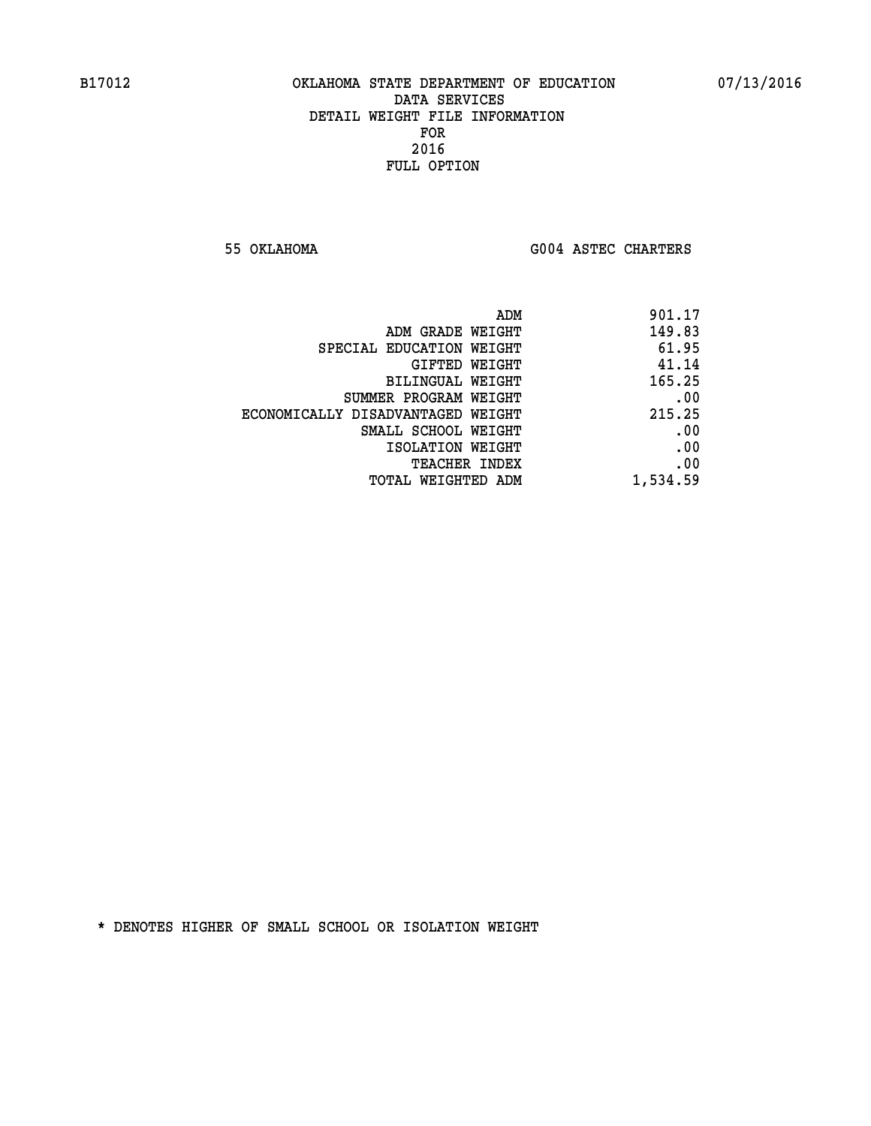**55 OKLAHOMA G004 ASTEC CHARTERS** 

|                                   | 901.17<br>ADM |
|-----------------------------------|---------------|
| ADM GRADE WEIGHT                  | 149.83        |
| SPECIAL EDUCATION WEIGHT          | 61.95         |
| <b>GIFTED WEIGHT</b>              | 41.14         |
| BILINGUAL WEIGHT                  | 165.25        |
| SUMMER PROGRAM WEIGHT             | .00           |
| ECONOMICALLY DISADVANTAGED WEIGHT | 215.25        |
| SMALL SCHOOL WEIGHT               | .00           |
| ISOLATION WEIGHT                  | .00           |
| <b>TEACHER INDEX</b>              | .00           |
| TOTAL WEIGHTED ADM                | 1,534.59      |
|                                   |               |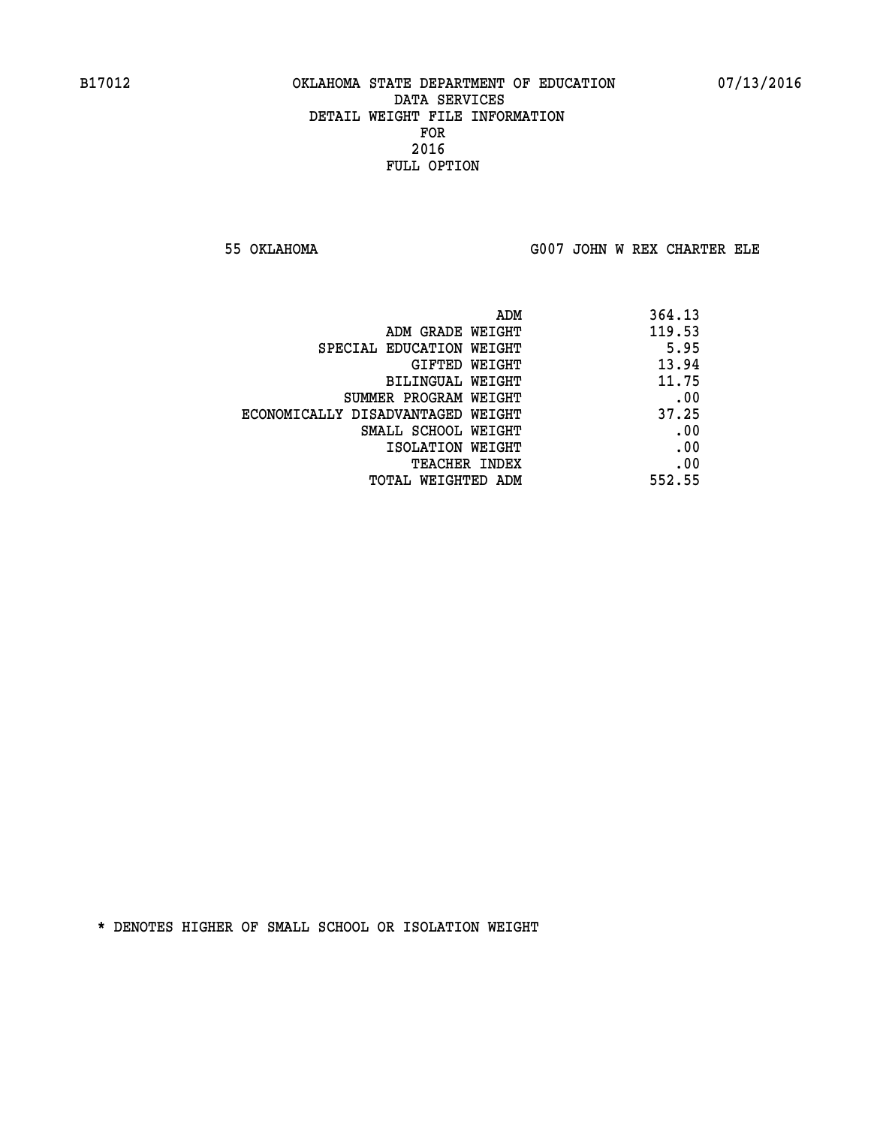**55 OKLAHOMA G007 JOHN W REX CHARTER ELE**

| 364.13 |
|--------|
| 119.53 |
| 5.95   |
| 13.94  |
| 11.75  |
| .00    |
| 37.25  |
| .00    |
| .00    |
| .00    |
| 552.55 |
|        |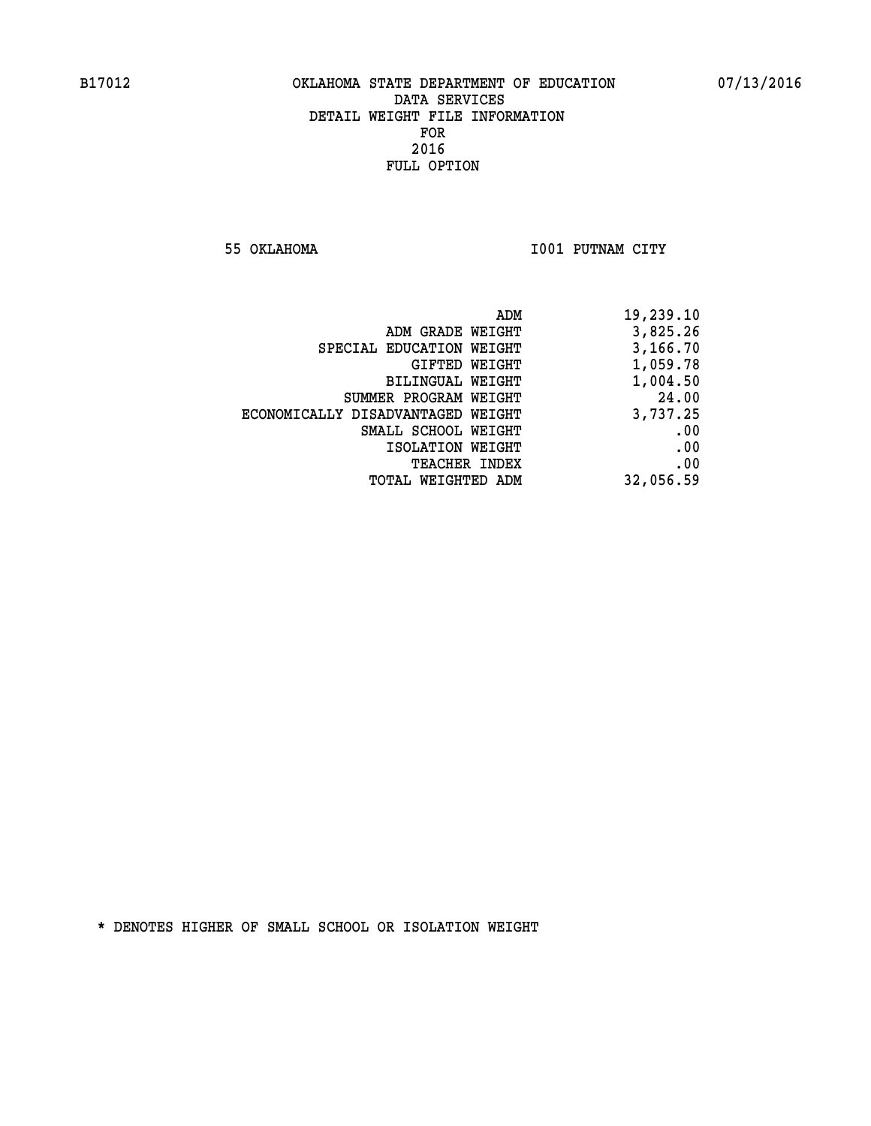**55 OKLAHOMA I001 PUTNAM CITY** 

| 19,239.10 |
|-----------|
| 3,825.26  |
| 3,166.70  |
| 1,059.78  |
| 1,004.50  |
| 24.00     |
| 3,737.25  |
| .00       |
| .00       |
| .00       |
| 32,056.59 |
|           |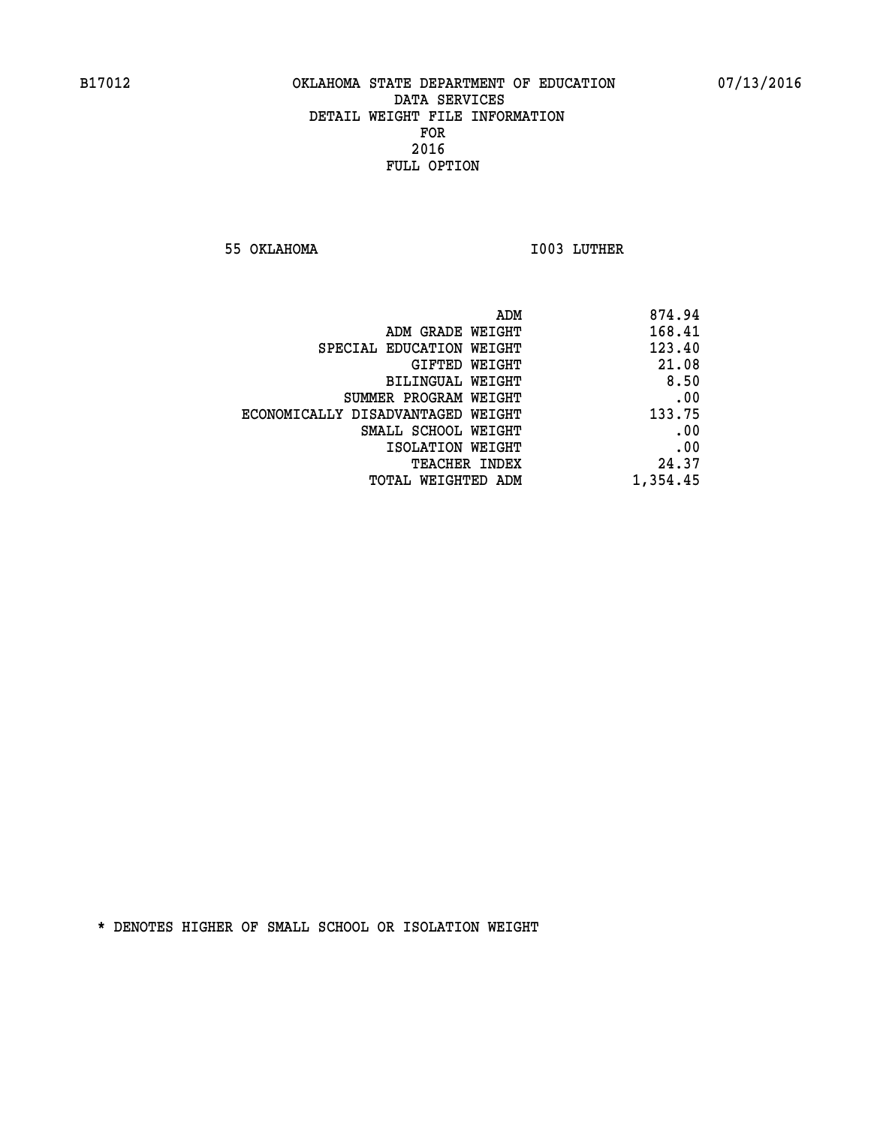**55 OKLAHOMA I003 LUTHER** 

| 874.94   |
|----------|
| 168.41   |
| 123.40   |
| 21.08    |
| 8.50     |
| .00      |
| 133.75   |
| .00      |
| .00      |
| 24.37    |
| 1,354.45 |
|          |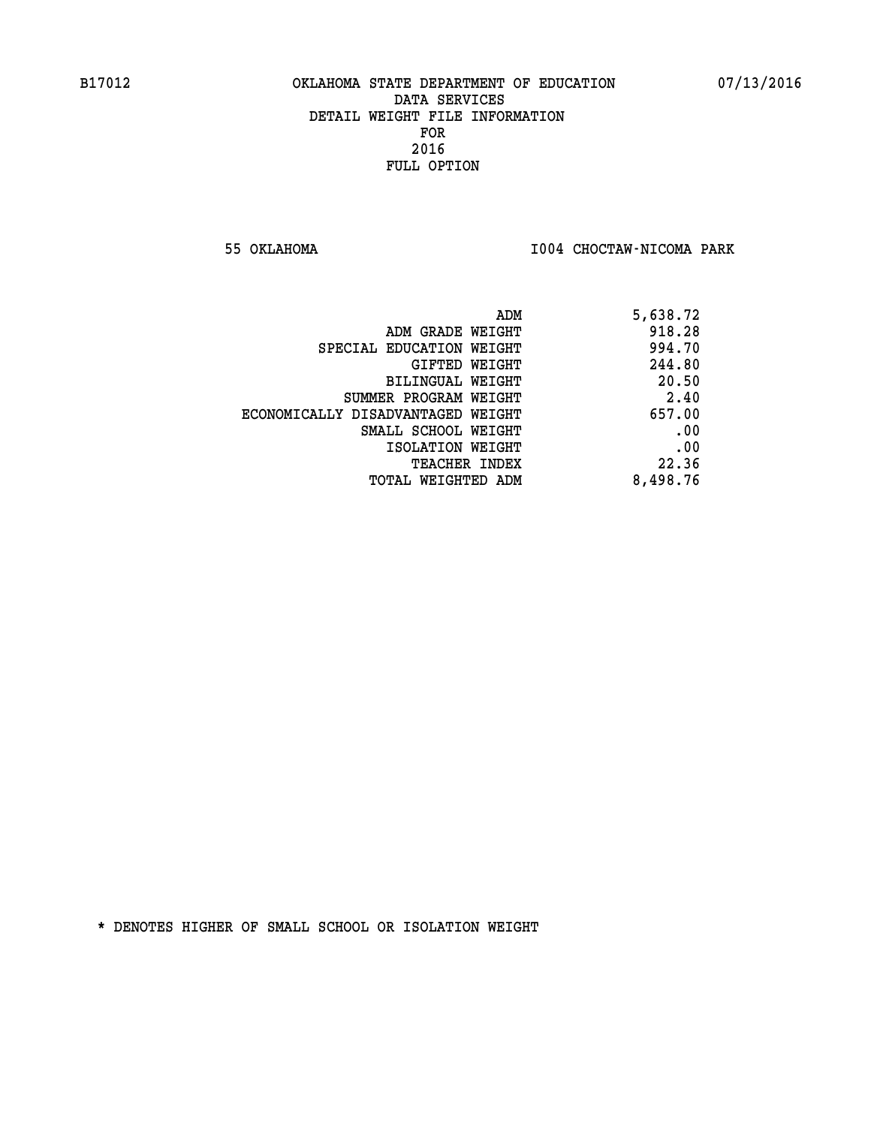**55 OKLAHOMA I004 CHOCTAW-NICOMA PARK** 

| ADM                               | 5,638.72 |
|-----------------------------------|----------|
| ADM GRADE WEIGHT                  | 918.28   |
| SPECIAL EDUCATION WEIGHT          | 994.70   |
| GIFTED WEIGHT                     | 244.80   |
| BILINGUAL WEIGHT                  | 20.50    |
| SUMMER PROGRAM WEIGHT             | 2.40     |
| ECONOMICALLY DISADVANTAGED WEIGHT | 657.00   |
| SMALL SCHOOL WEIGHT               | .00      |
| ISOLATION WEIGHT                  | .00      |
| <b>TEACHER INDEX</b>              | 22.36    |
| TOTAL WEIGHTED ADM                | 8,498.76 |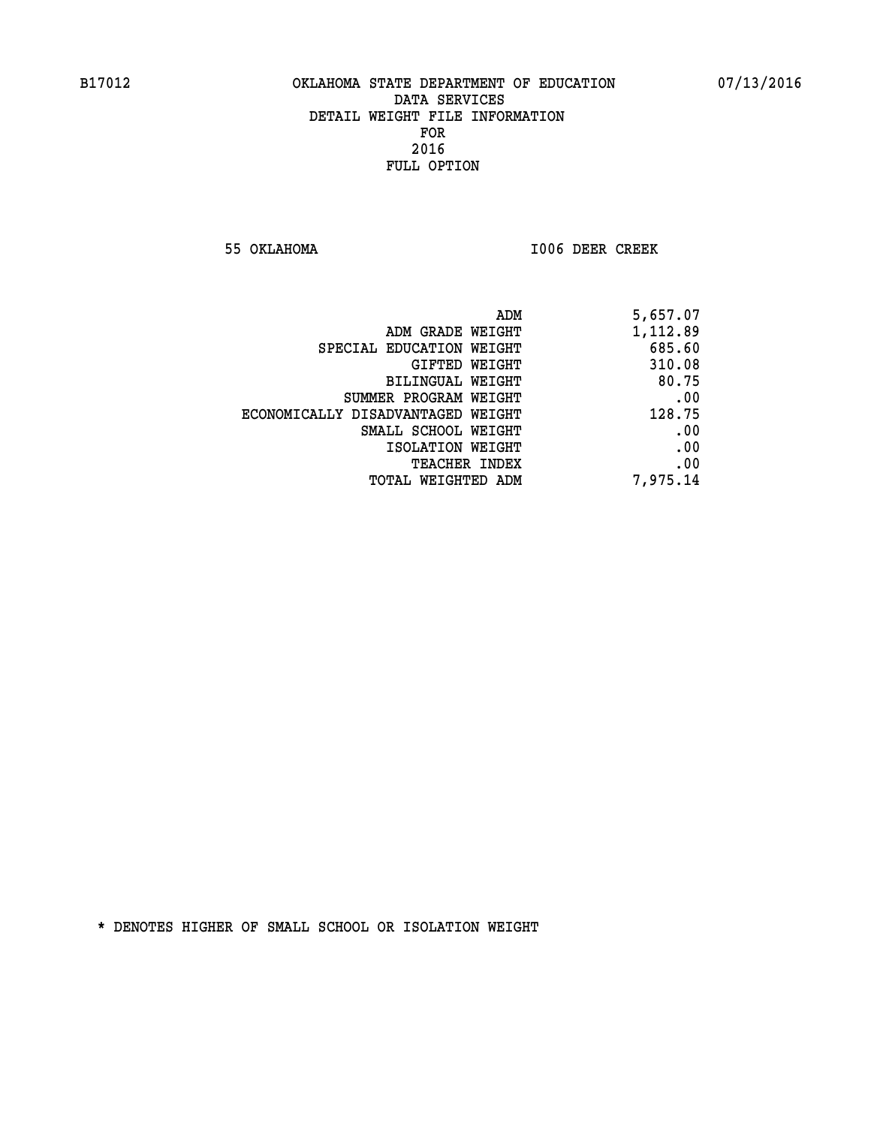**55 OKLAHOMA I006 DEER CREEK** 

|                                   | 5,657.07<br>ADM |
|-----------------------------------|-----------------|
| ADM GRADE WEIGHT                  | 1,112.89        |
| SPECIAL EDUCATION WEIGHT          | 685.60          |
| <b>GIFTED WEIGHT</b>              | 310.08          |
| BILINGUAL WEIGHT                  | 80.75           |
| SUMMER PROGRAM WEIGHT             | .00             |
| ECONOMICALLY DISADVANTAGED WEIGHT | 128.75          |
| SMALL SCHOOL WEIGHT               | .00             |
| ISOLATION WEIGHT                  | .00             |
| <b>TEACHER INDEX</b>              | .00             |
| <b>TOTAL WEIGHTED ADM</b>         | 7,975.14        |
|                                   |                 |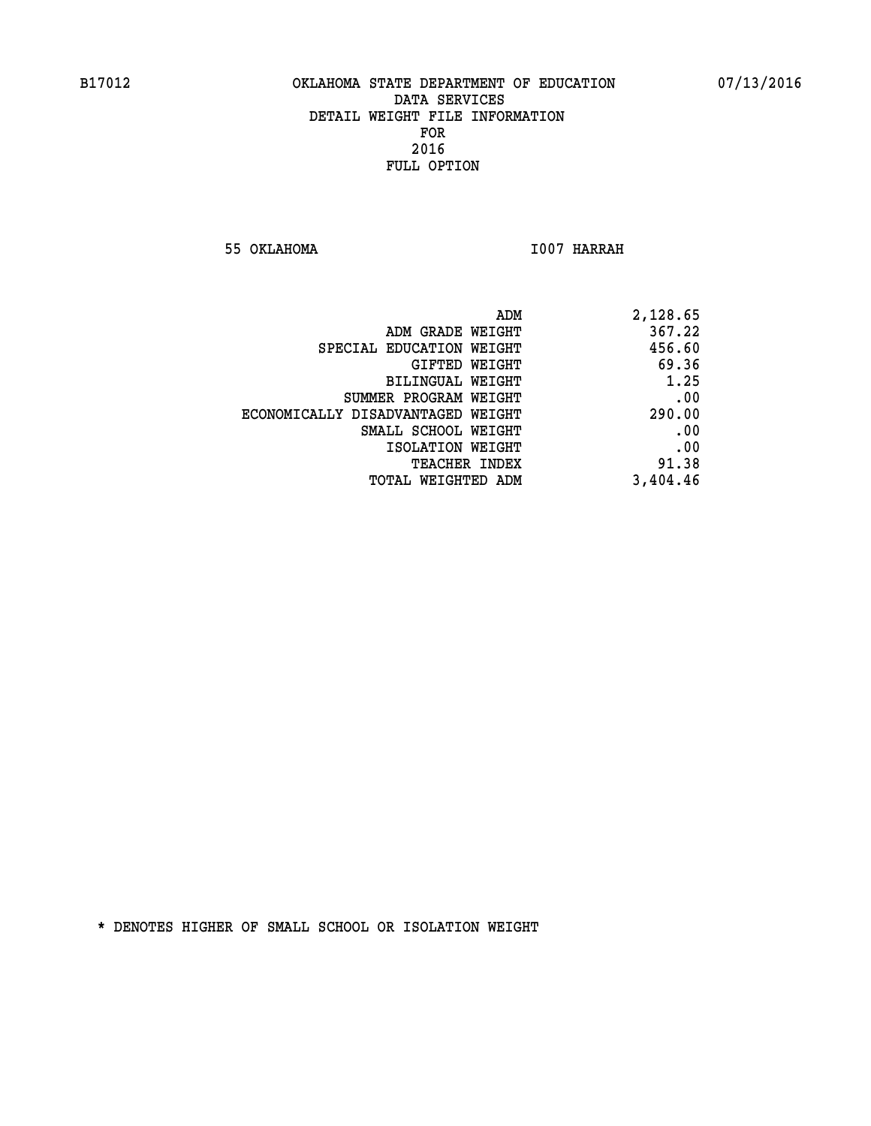**55 OKLAHOMA I007 HARRAH** 

| ADM                               | 2,128.65 |
|-----------------------------------|----------|
| ADM GRADE WEIGHT                  | 367.22   |
| SPECIAL EDUCATION WEIGHT          | 456.60   |
| GIFTED WEIGHT                     | 69.36    |
| <b>BILINGUAL WEIGHT</b>           | 1.25     |
| SUMMER PROGRAM WEIGHT             | .00      |
| ECONOMICALLY DISADVANTAGED WEIGHT | 290.00   |
| SMALL SCHOOL WEIGHT               | .00      |
| ISOLATION WEIGHT                  | .00      |
| TEACHER INDEX                     | 91.38    |
| TOTAL WEIGHTED ADM                | 3,404.46 |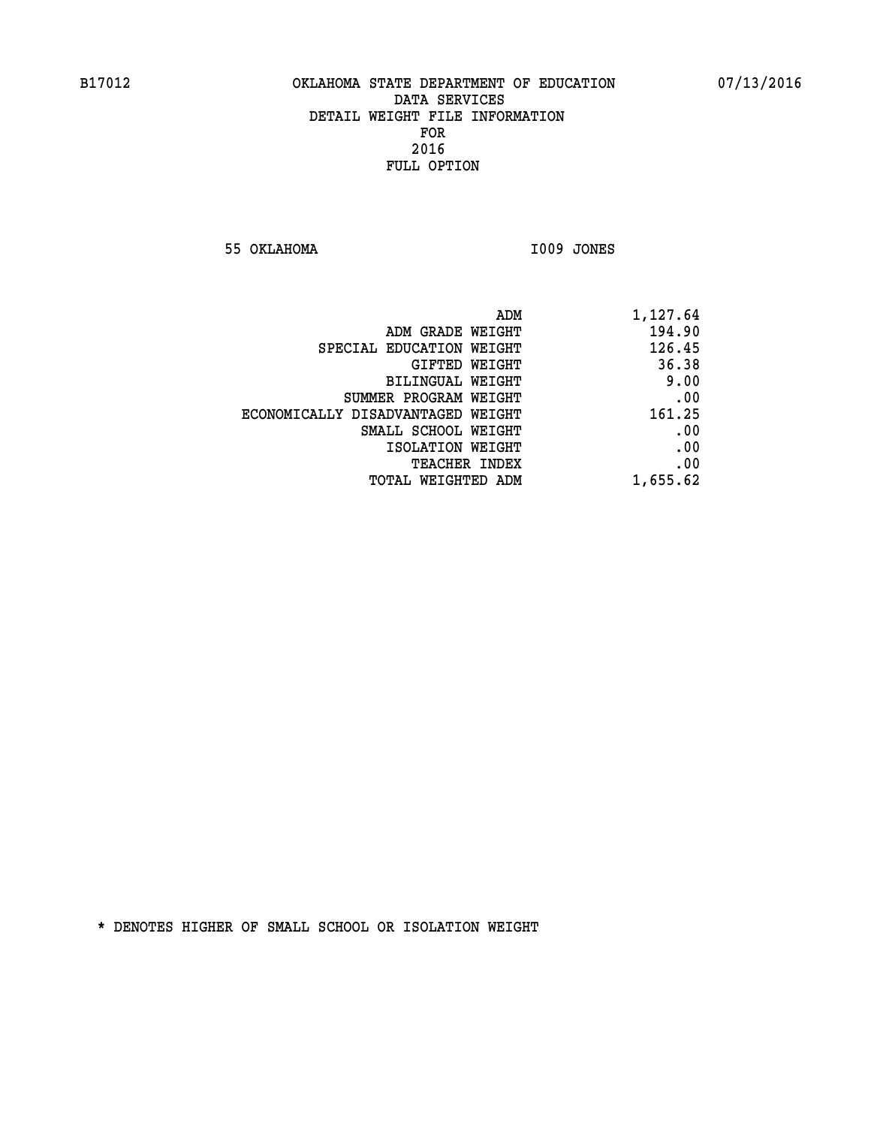**55 OKLAHOMA I009 JONES** 

| ADM                               | 1,127.64 |
|-----------------------------------|----------|
| ADM GRADE WEIGHT                  | 194.90   |
| SPECIAL EDUCATION WEIGHT          | 126.45   |
| GIFTED WEIGHT                     | 36.38    |
| BILINGUAL WEIGHT                  | 9.00     |
| SUMMER PROGRAM WEIGHT             | .00      |
| ECONOMICALLY DISADVANTAGED WEIGHT | 161.25   |
| SMALL SCHOOL WEIGHT               | .00      |
| ISOLATION WEIGHT                  | .00      |
| <b>TEACHER INDEX</b>              | .00      |
| <b>TOTAL WEIGHTED ADM</b>         | 1,655.62 |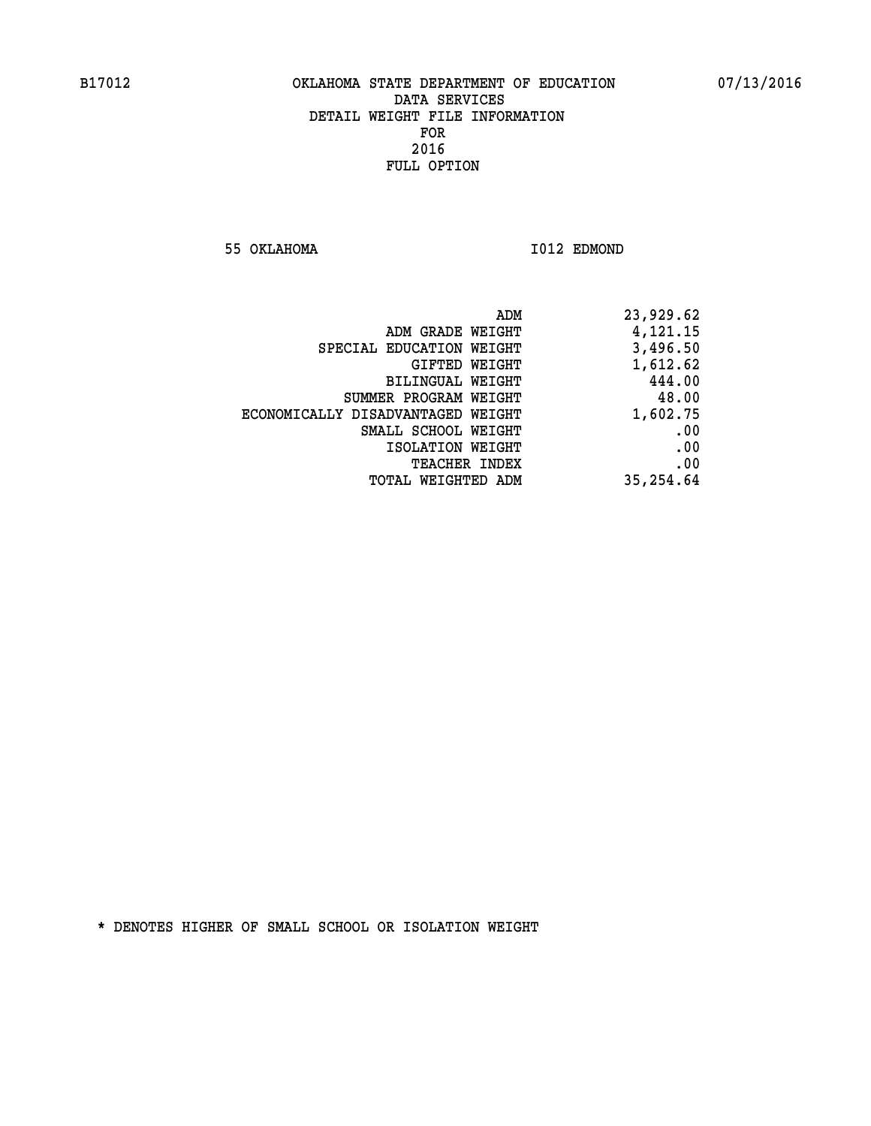**55 OKLAHOMA I012 EDMOND** 

|                                   | ADM<br>23,929.62 |  |
|-----------------------------------|------------------|--|
| ADM GRADE WEIGHT                  | 4,121.15         |  |
| SPECIAL EDUCATION WEIGHT          | 3,496.50         |  |
| GIFTED WEIGHT                     | 1,612.62         |  |
| BILINGUAL WEIGHT                  | 444.00           |  |
| SUMMER PROGRAM WEIGHT             | 48.00            |  |
| ECONOMICALLY DISADVANTAGED WEIGHT | 1,602.75         |  |
| SMALL SCHOOL WEIGHT               | .00              |  |
| ISOLATION WEIGHT                  | .00              |  |
| TEACHER INDEX                     | .00              |  |
| TOTAL WEIGHTED ADM                | 35,254.64        |  |
|                                   |                  |  |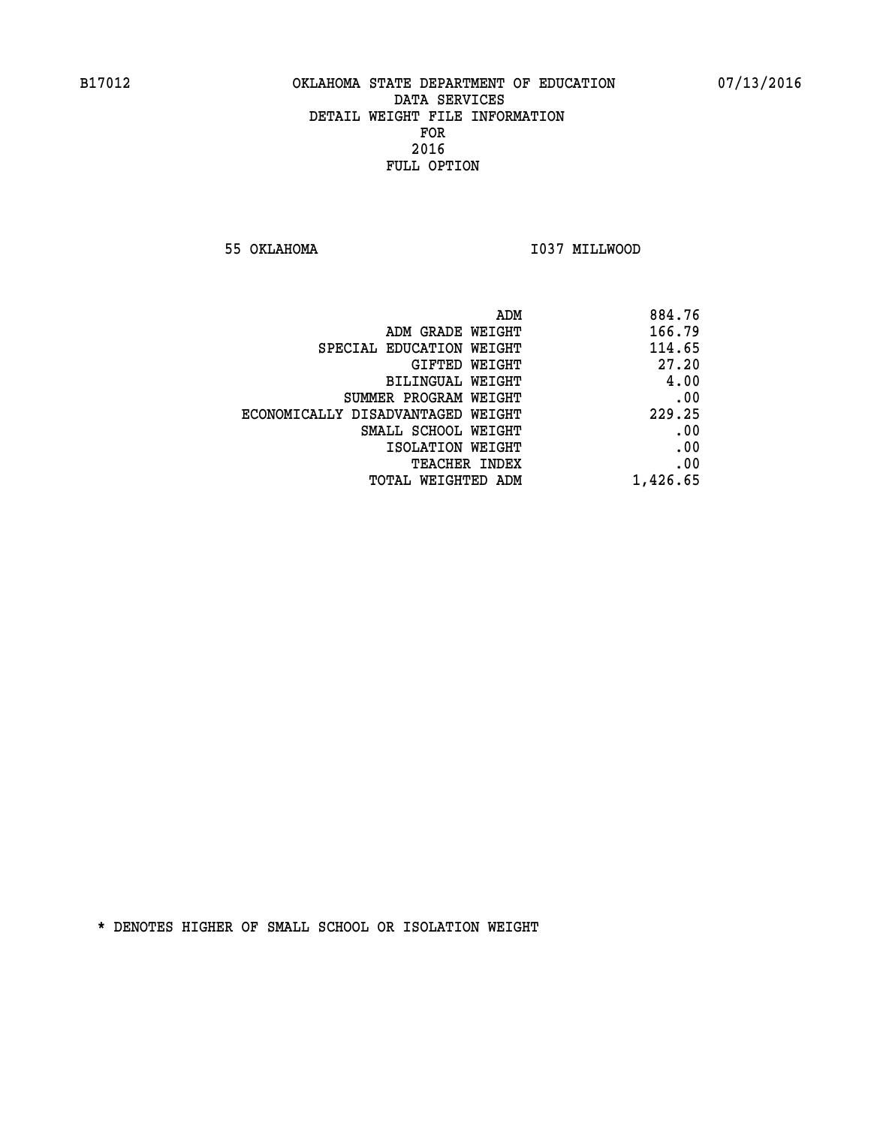**55 OKLAHOMA I037 MILLWOOD** 

| ADM                               | 884.76   |
|-----------------------------------|----------|
| ADM GRADE WEIGHT                  | 166.79   |
| SPECIAL EDUCATION WEIGHT          | 114.65   |
| GIFTED WEIGHT                     | 27.20    |
| <b>BILINGUAL WEIGHT</b>           | 4.00     |
| SUMMER PROGRAM WEIGHT             | .00      |
| ECONOMICALLY DISADVANTAGED WEIGHT | 229.25   |
| SMALL SCHOOL WEIGHT               | .00      |
| ISOLATION WEIGHT                  | .00      |
| TEACHER INDEX                     | .00      |
| TOTAL WEIGHTED ADM                | 1,426.65 |
|                                   |          |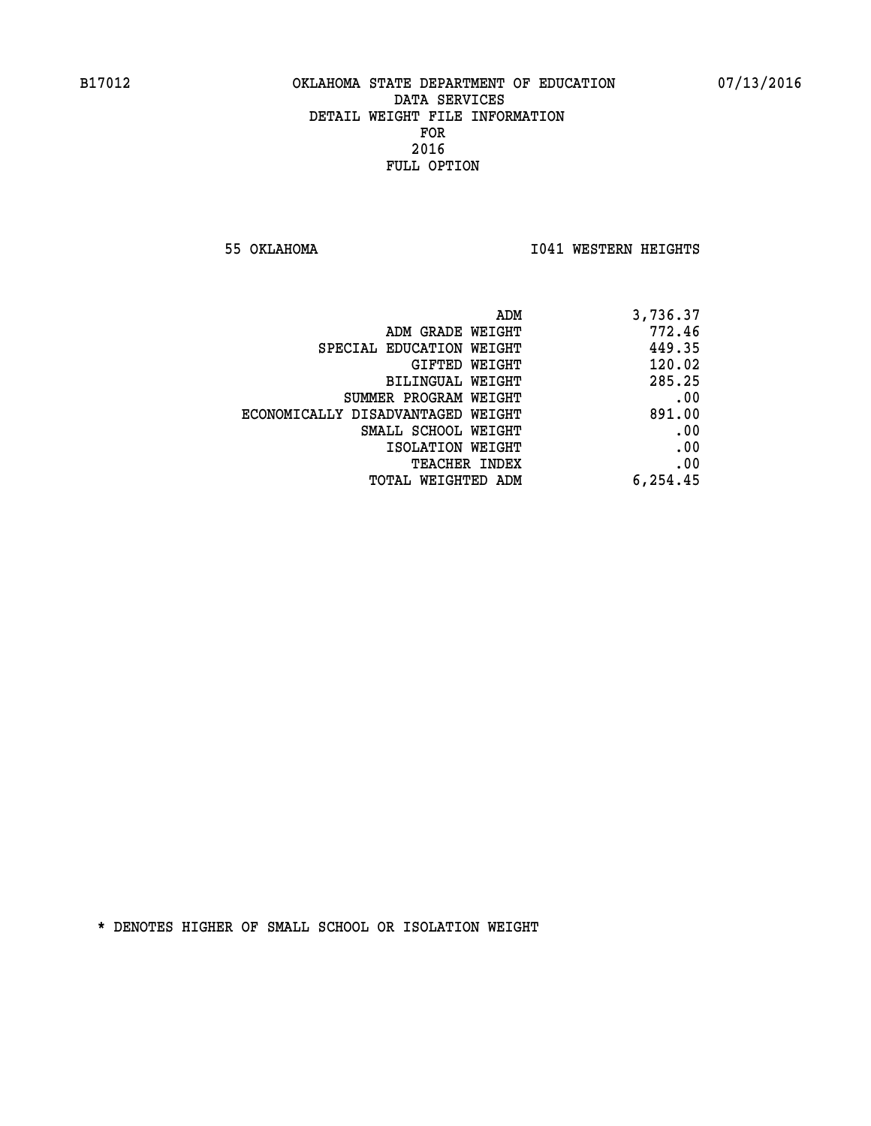**55 OKLAHOMA I041 WESTERN HEIGHTS** 

| 3,736.37 | ADM                               |  |
|----------|-----------------------------------|--|
| 772.46   | ADM GRADE WEIGHT                  |  |
| 449.35   | SPECIAL EDUCATION WEIGHT          |  |
| 120.02   | <b>GIFTED WEIGHT</b>              |  |
| 285.25   | BILINGUAL WEIGHT                  |  |
| .00      | SUMMER PROGRAM WEIGHT             |  |
| 891.00   | ECONOMICALLY DISADVANTAGED WEIGHT |  |
| .00      | SMALL SCHOOL WEIGHT               |  |
| .00      | ISOLATION WEIGHT                  |  |
| .00      | <b>TEACHER INDEX</b>              |  |
| 6,254.45 | TOTAL WEIGHTED ADM                |  |
|          |                                   |  |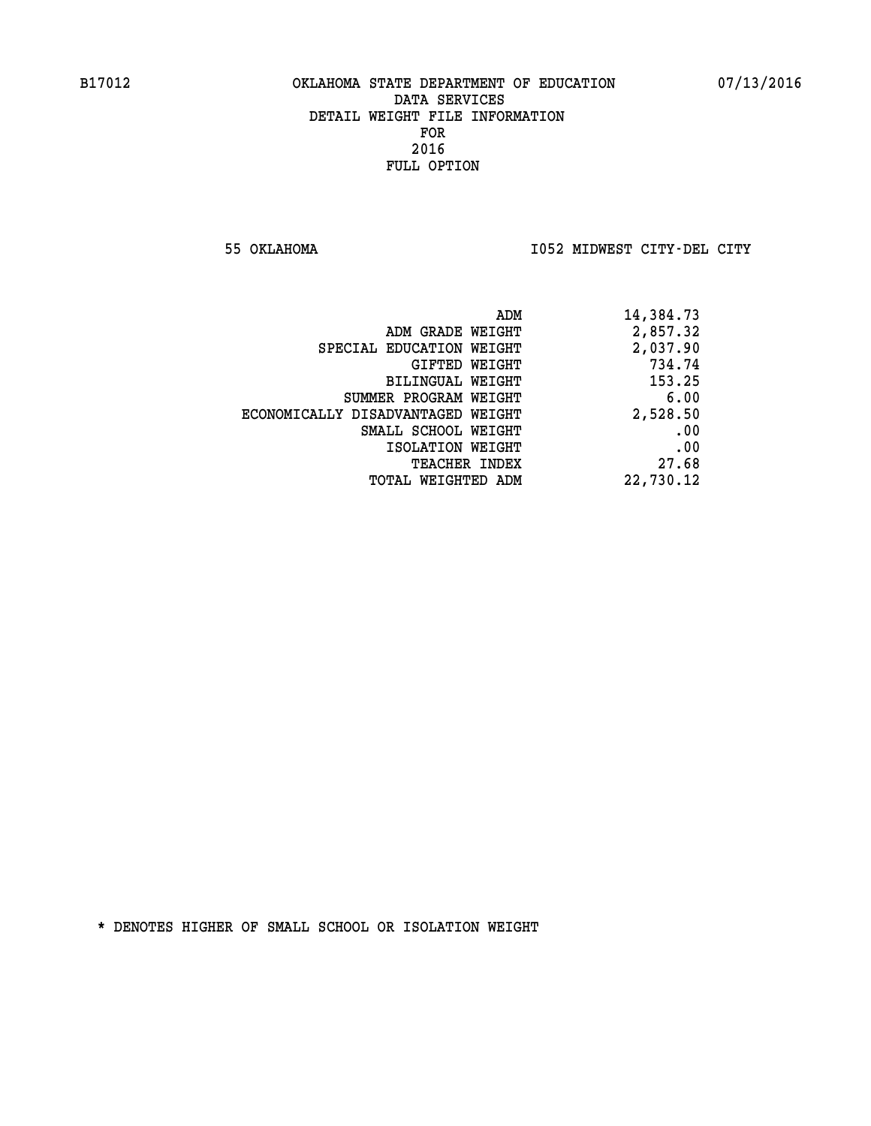**55 OKLAHOMA I052 MIDWEST CITY-DEL CITY** 

| ADM                               | 14,384.73 |
|-----------------------------------|-----------|
| ADM GRADE WEIGHT                  | 2,857.32  |
| SPECIAL EDUCATION WEIGHT          | 2,037.90  |
| GIFTED WEIGHT                     | 734.74    |
| BILINGUAL WEIGHT                  | 153.25    |
| SUMMER PROGRAM WEIGHT             | 6.00      |
| ECONOMICALLY DISADVANTAGED WEIGHT | 2,528.50  |
| SMALL SCHOOL WEIGHT               | .00       |
| ISOLATION WEIGHT                  | .00       |
| <b>TEACHER INDEX</b>              | 27.68     |
| TOTAL WEIGHTED ADM                | 22,730.12 |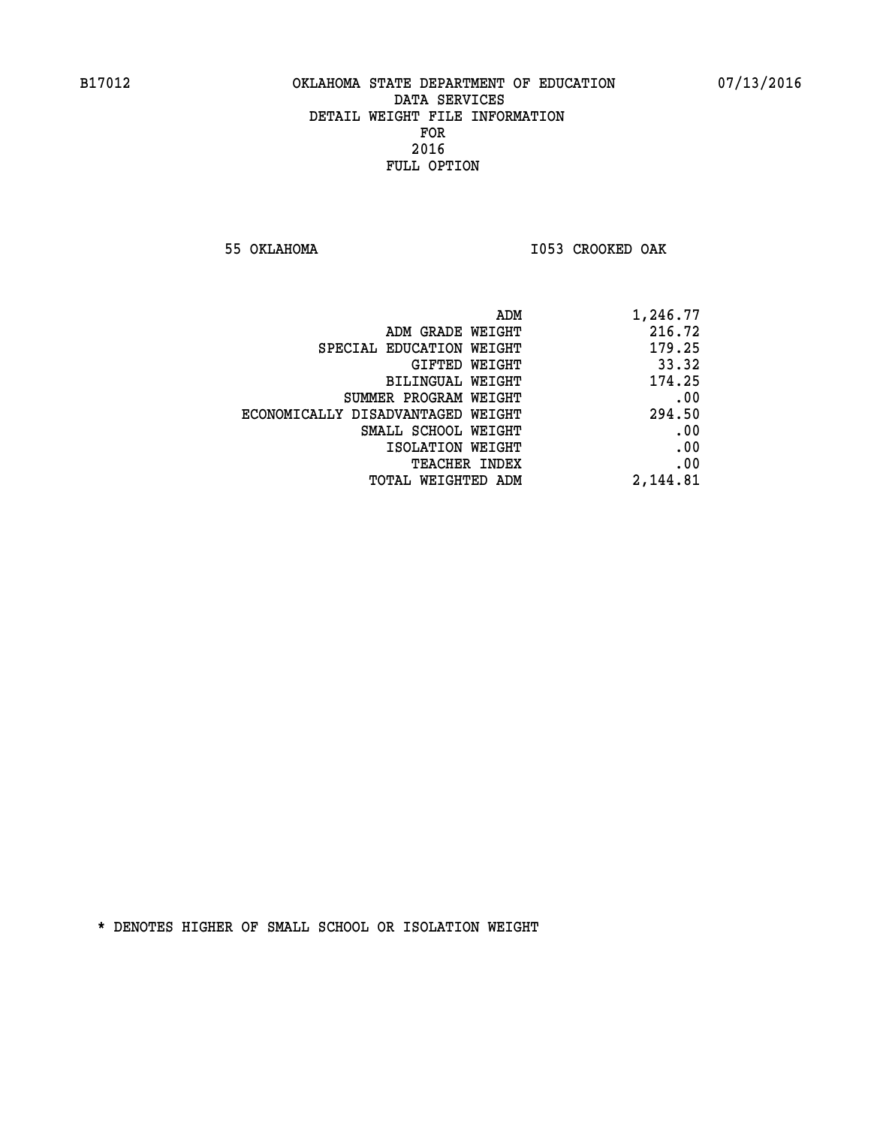**55 OKLAHOMA I053 CROOKED OAK** 

| ADM                               | 1,246.77 |
|-----------------------------------|----------|
| ADM GRADE WEIGHT                  | 216.72   |
| SPECIAL EDUCATION WEIGHT          | 179.25   |
| GIFTED WEIGHT                     | 33.32    |
| <b>BILINGUAL WEIGHT</b>           | 174.25   |
| SUMMER PROGRAM WEIGHT             | .00      |
| ECONOMICALLY DISADVANTAGED WEIGHT | 294.50   |
| SMALL SCHOOL WEIGHT               | .00      |
| ISOLATION WEIGHT                  | .00      |
| TEACHER INDEX                     | .00      |
| TOTAL WEIGHTED ADM                | 2,144.81 |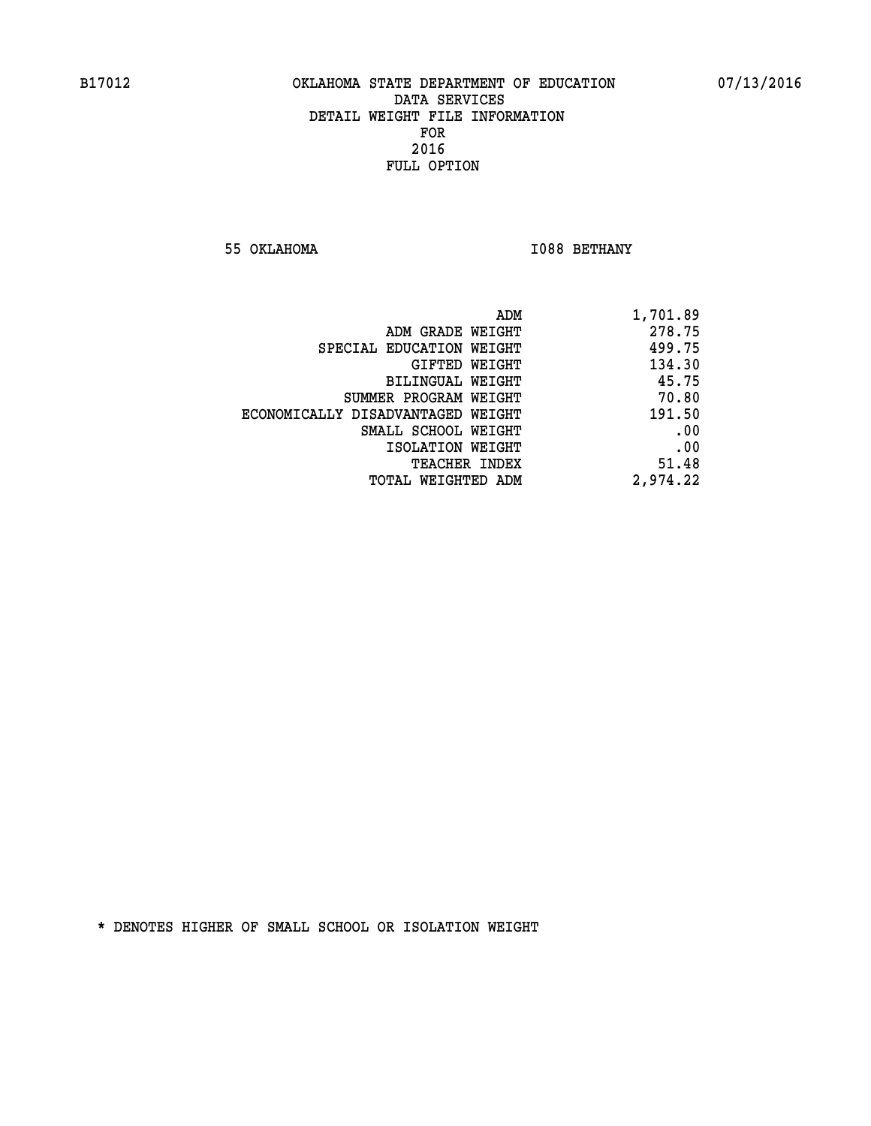**55 OKLAHOMA I088 BETHANY** 

| ADM                               | 1,701.89 |
|-----------------------------------|----------|
| ADM GRADE WEIGHT                  | 278.75   |
| SPECIAL EDUCATION WEIGHT          | 499.75   |
| GIFTED WEIGHT                     | 134.30   |
| BILINGUAL WEIGHT                  | 45.75    |
| SUMMER PROGRAM WEIGHT             | 70.80    |
| ECONOMICALLY DISADVANTAGED WEIGHT | 191.50   |
| SMALL SCHOOL WEIGHT               | .00      |
| ISOLATION WEIGHT                  | .00      |
| TEACHER INDEX                     | 51.48    |
| TOTAL WEIGHTED ADM                | 2,974.22 |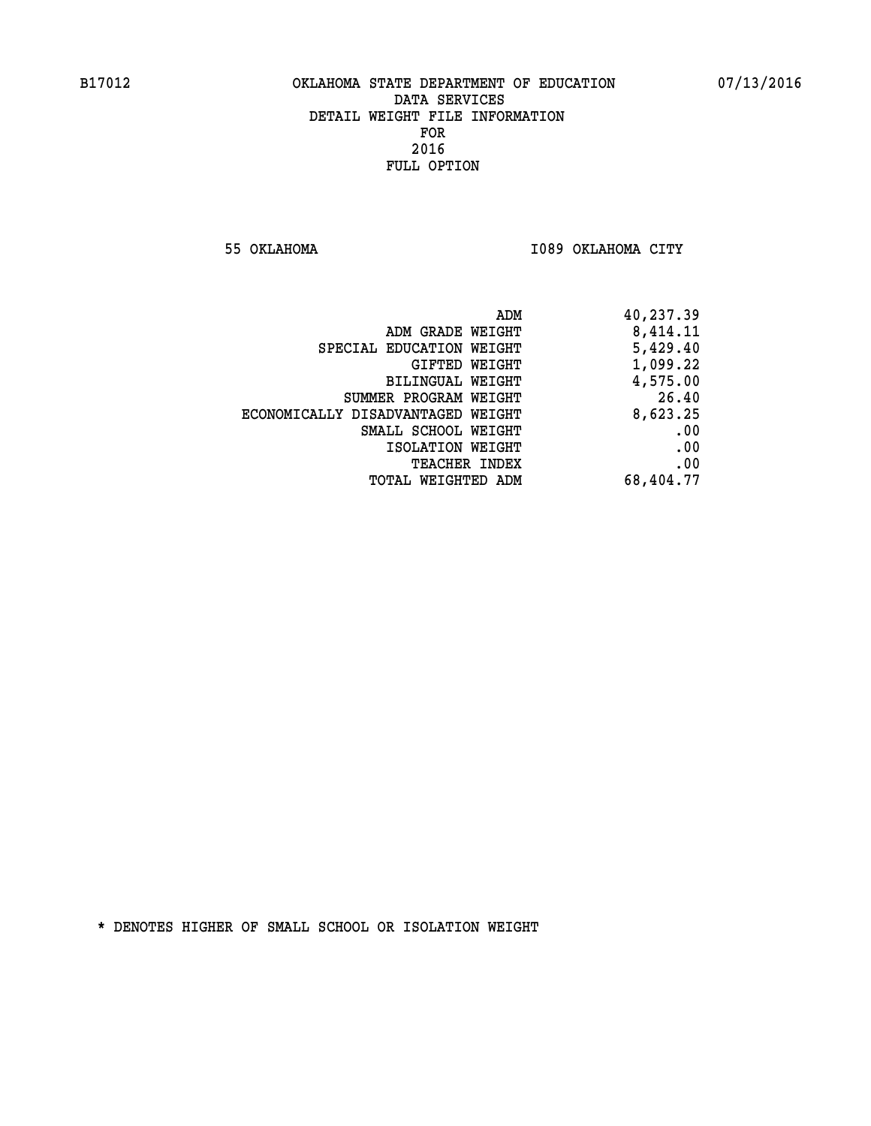**55 OKLAHOMA I089 OKLAHOMA CITY** 

| 40,237.39 |
|-----------|
| 8,414.11  |
| 5,429.40  |
| 1,099.22  |
| 4,575.00  |
| 26.40     |
| 8,623.25  |
| .00       |
| .00       |
| .00       |
| 68,404.77 |
|           |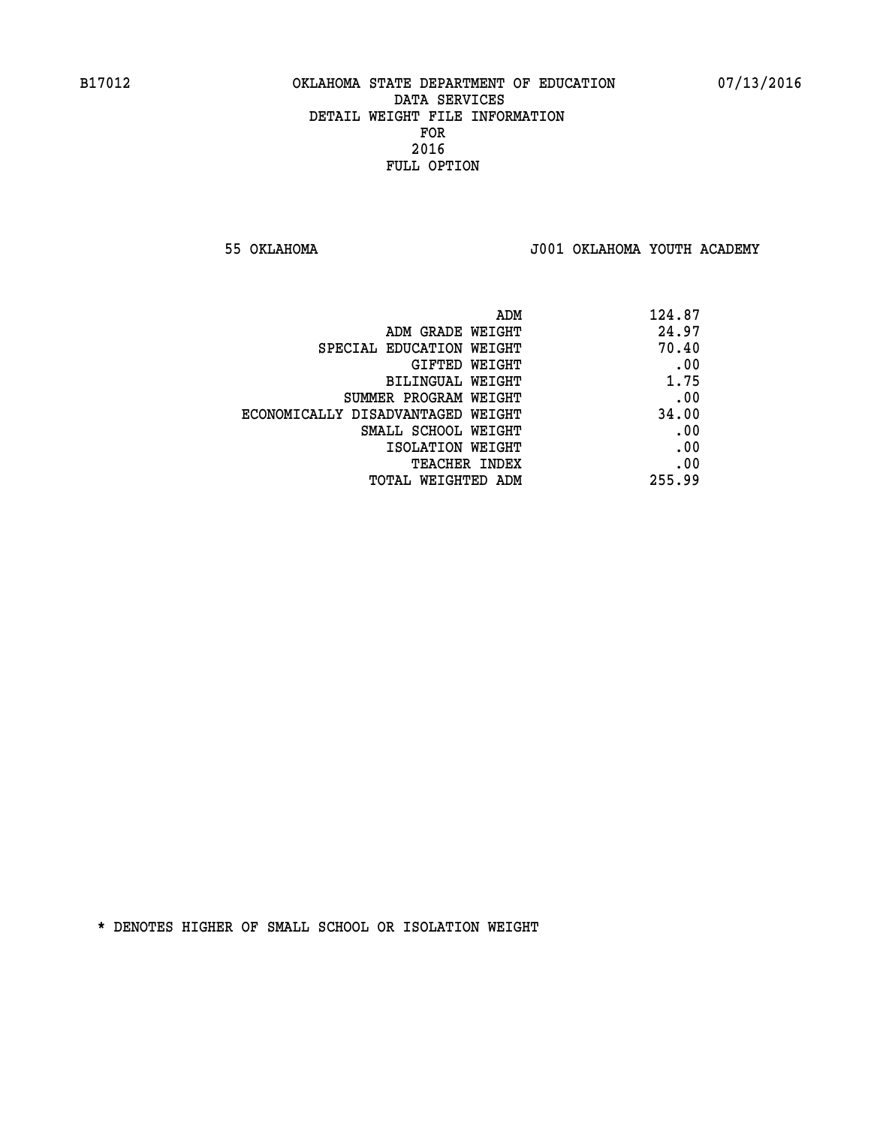**55 OKLAHOMA J001 OKLAHOMA YOUTH ACADEMY**

| ADM                               | 124.87 |
|-----------------------------------|--------|
| ADM GRADE WEIGHT                  | 24.97  |
| SPECIAL EDUCATION WEIGHT          | 70.40  |
| GIFTED WEIGHT                     | .00    |
| BILINGUAL WEIGHT                  | 1.75   |
| SUMMER PROGRAM WEIGHT             | .00    |
| ECONOMICALLY DISADVANTAGED WEIGHT | 34.00  |
| SMALL SCHOOL WEIGHT               | .00    |
| ISOLATION WEIGHT                  | .00    |
| TEACHER INDEX                     | .00    |
| TOTAL WEIGHTED ADM                | 255.99 |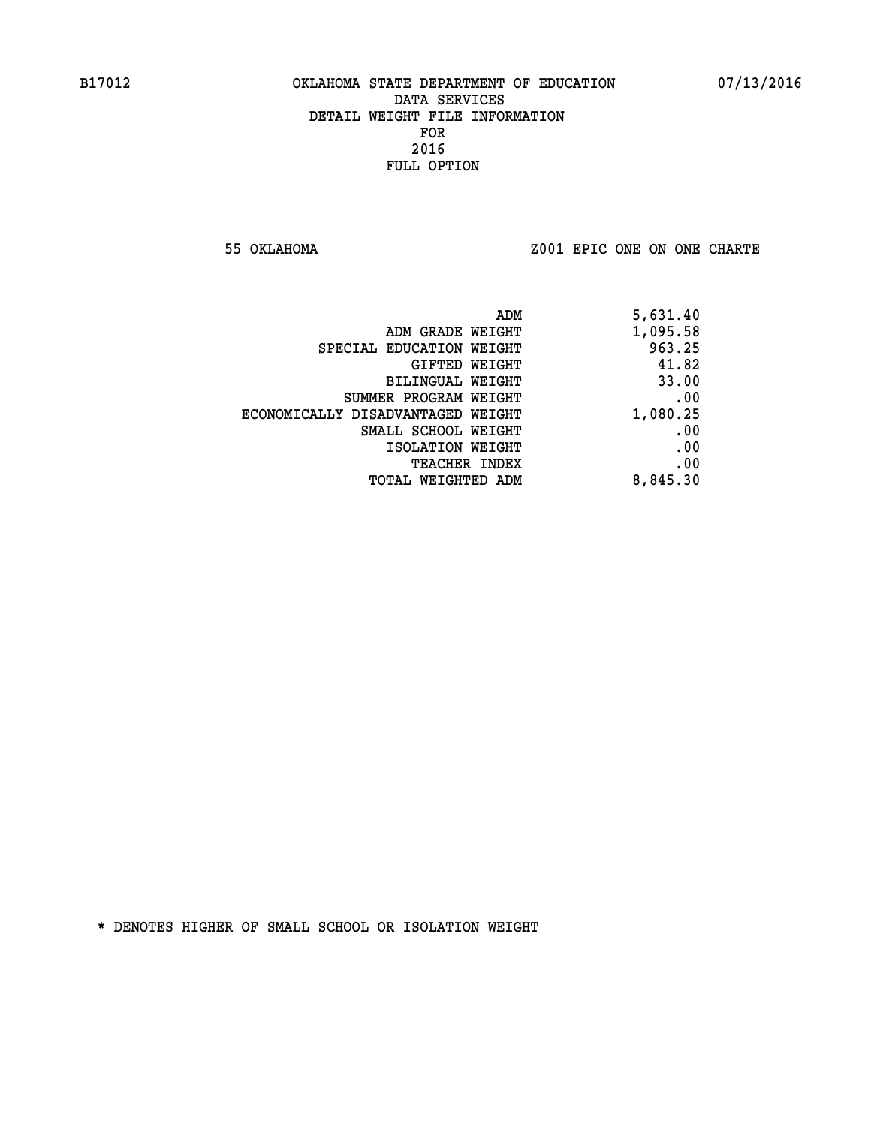**55 OKLAHOMA Z001 EPIC ONE ON ONE CHARTE**

| ADM                               | 5,631.40 |
|-----------------------------------|----------|
| ADM GRADE WEIGHT                  | 1,095.58 |
| SPECIAL EDUCATION WEIGHT          | 963.25   |
| GIFTED WEIGHT                     | 41.82    |
| BILINGUAL WEIGHT                  | 33.00    |
| SUMMER PROGRAM WEIGHT             | .00      |
| ECONOMICALLY DISADVANTAGED WEIGHT | 1,080.25 |
| SMALL SCHOOL WEIGHT               | .00      |
| ISOLATION WEIGHT                  | .00      |
| <b>TEACHER INDEX</b>              | .00      |
| TOTAL WEIGHTED ADM                | 8,845.30 |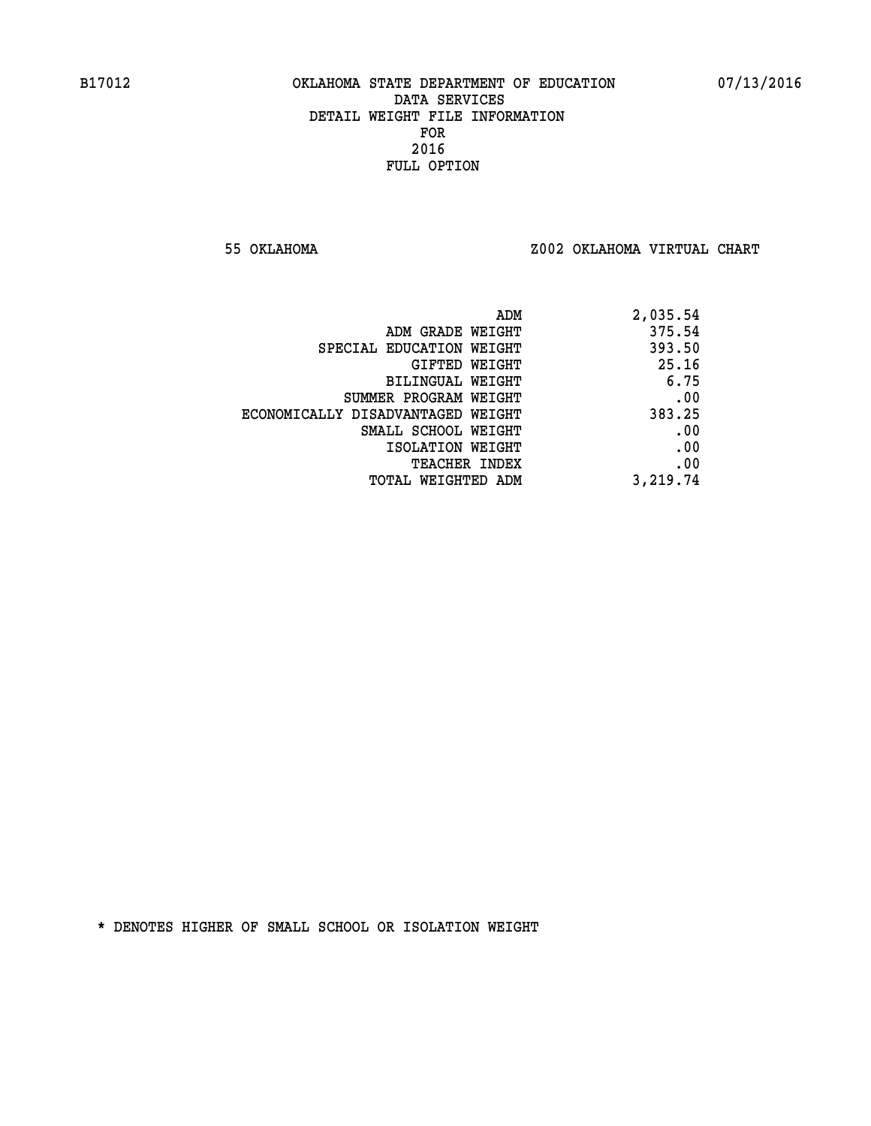**55 OKLAHOMA Z002 OKLAHOMA VIRTUAL CHART**

| ADM                               | 2,035.54 |
|-----------------------------------|----------|
| ADM GRADE WEIGHT                  | 375.54   |
| SPECIAL EDUCATION WEIGHT          | 393.50   |
| GIFTED WEIGHT                     | 25.16    |
| <b>BILINGUAL WEIGHT</b>           | 6.75     |
| SUMMER PROGRAM WEIGHT             | .00      |
| ECONOMICALLY DISADVANTAGED WEIGHT | 383.25   |
| SMALL SCHOOL WEIGHT               | .00      |
| ISOLATION WEIGHT                  | .00      |
| <b>TEACHER INDEX</b>              | .00      |
| TOTAL WEIGHTED ADM                | 3,219.74 |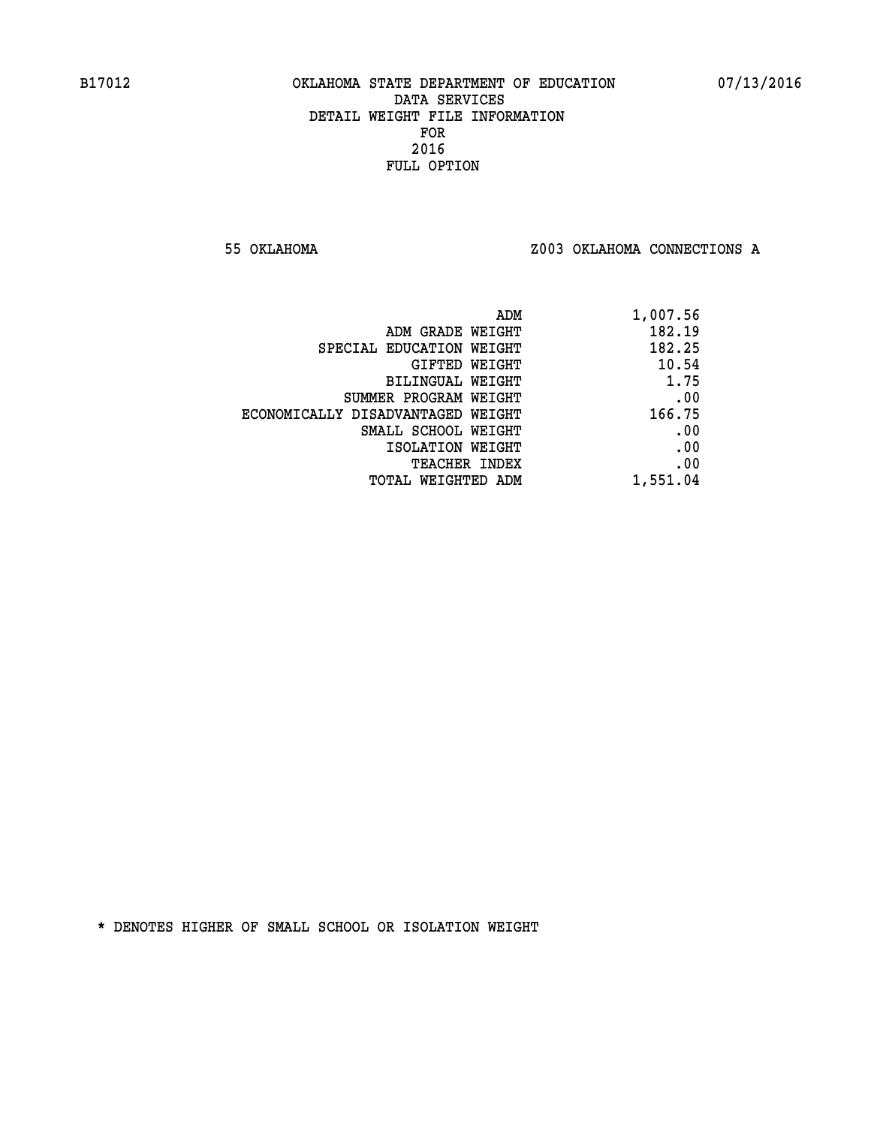#### **55 OKLAHOMA Z003 OKLAHOMA CONNECTIONS A**

| ADM                               | 1,007.56 |
|-----------------------------------|----------|
| ADM GRADE WEIGHT                  | 182.19   |
| SPECIAL EDUCATION WEIGHT          | 182.25   |
| GIFTED WEIGHT                     | 10.54    |
| <b>BILINGUAL WEIGHT</b>           | 1.75     |
| SUMMER PROGRAM WEIGHT             | .00      |
| ECONOMICALLY DISADVANTAGED WEIGHT | 166.75   |
| SMALL SCHOOL WEIGHT               | .00      |
| ISOLATION WEIGHT                  | .00      |
| <b>TEACHER INDEX</b>              | .00      |
| TOTAL WEIGHTED ADM                | 1,551.04 |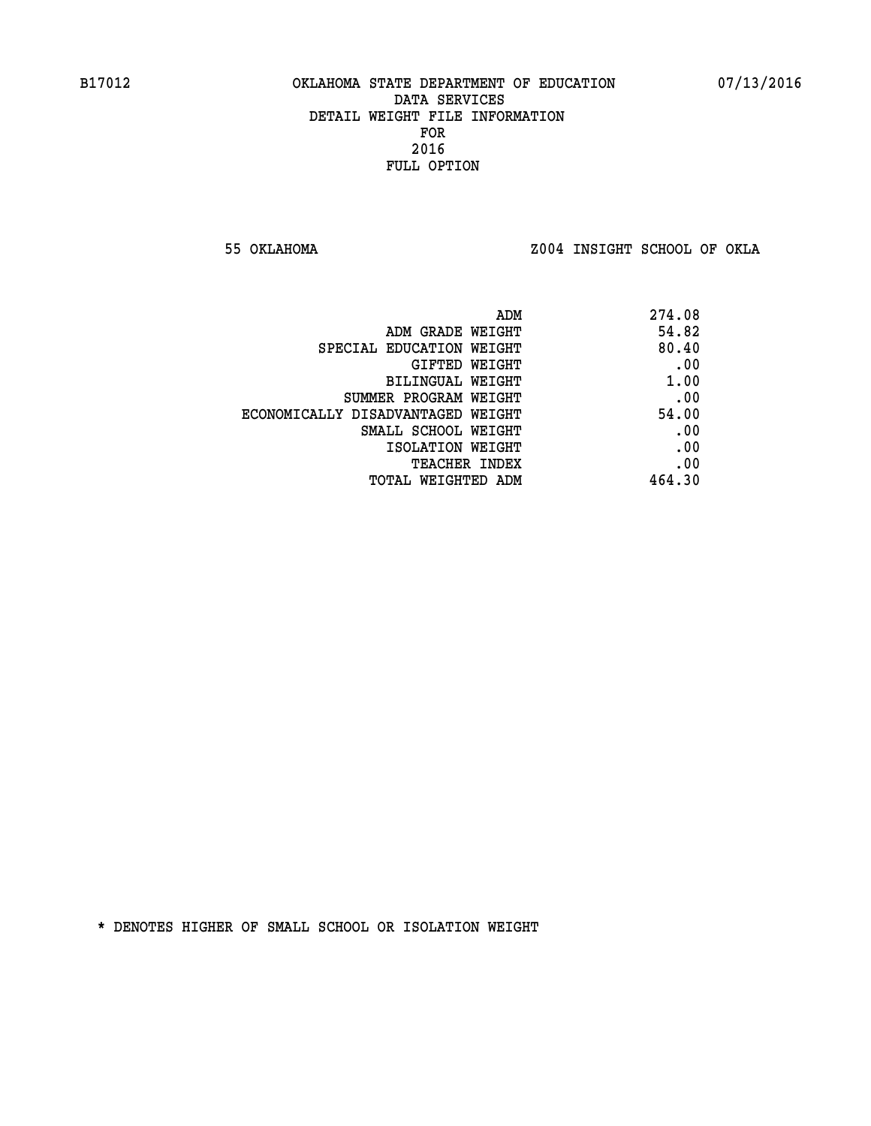**55 OKLAHOMA Z004 INSIGHT SCHOOL OF OKLA**

| ADM                               | 274.08 |
|-----------------------------------|--------|
| ADM GRADE WEIGHT                  | 54.82  |
| SPECIAL EDUCATION WEIGHT          | 80.40  |
| GIFTED WEIGHT                     | .00    |
| BILINGUAL WEIGHT                  | 1.00   |
| SUMMER PROGRAM WEIGHT             | .00    |
| ECONOMICALLY DISADVANTAGED WEIGHT | 54.00  |
| SMALL SCHOOL WEIGHT               | .00    |
| ISOLATION WEIGHT                  | .00    |
| <b>TEACHER INDEX</b>              | .00    |
| TOTAL WEIGHTED ADM                | 464.30 |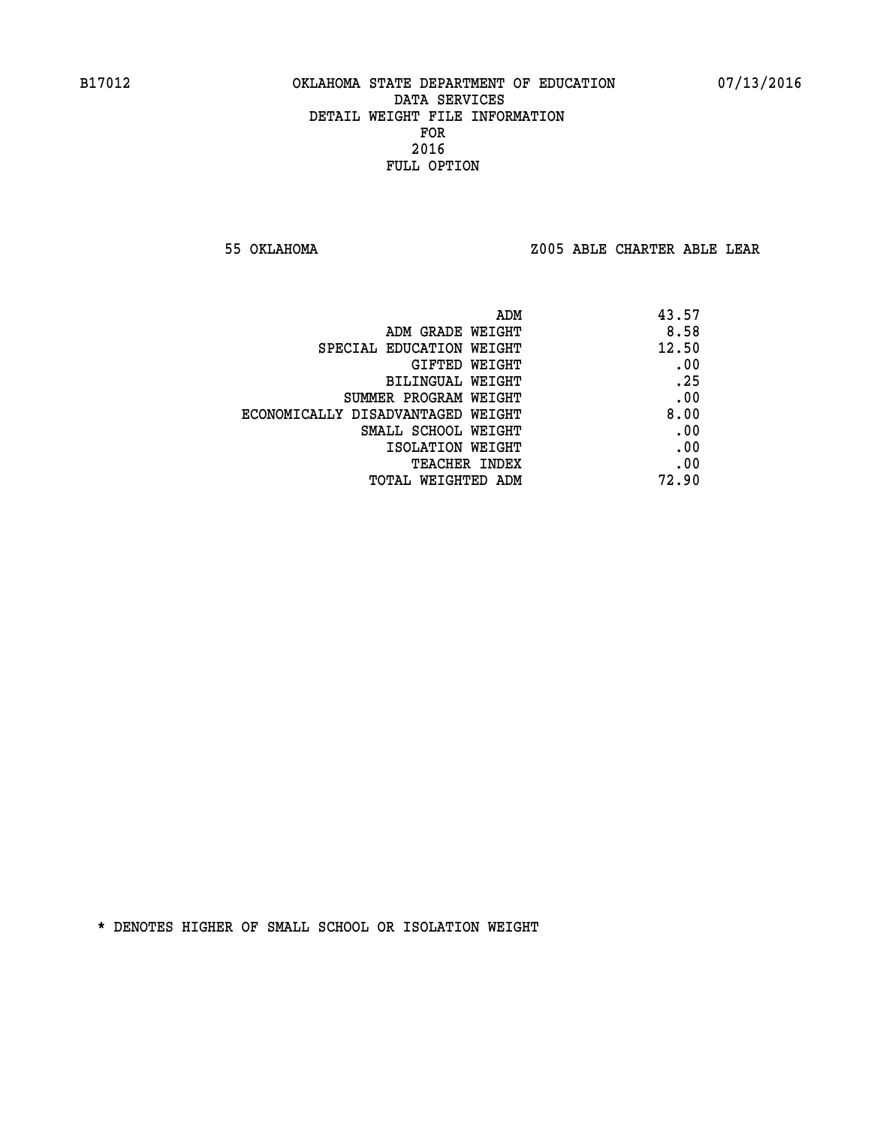**55 OKLAHOMA Z005 ABLE CHARTER ABLE LEAR**

| ADM                               | 43.57 |
|-----------------------------------|-------|
| ADM GRADE WEIGHT                  | 8.58  |
| SPECIAL EDUCATION WEIGHT          | 12.50 |
| GIFTED WEIGHT                     | .00   |
| BILINGUAL WEIGHT                  | .25   |
| SUMMER PROGRAM WEIGHT             | .00   |
| ECONOMICALLY DISADVANTAGED WEIGHT | 8.00  |
| SMALL SCHOOL WEIGHT               | .00   |
| ISOLATION WEIGHT                  | .00   |
| TEACHER INDEX                     | .00   |
| TOTAL WEIGHTED ADM                | 72.90 |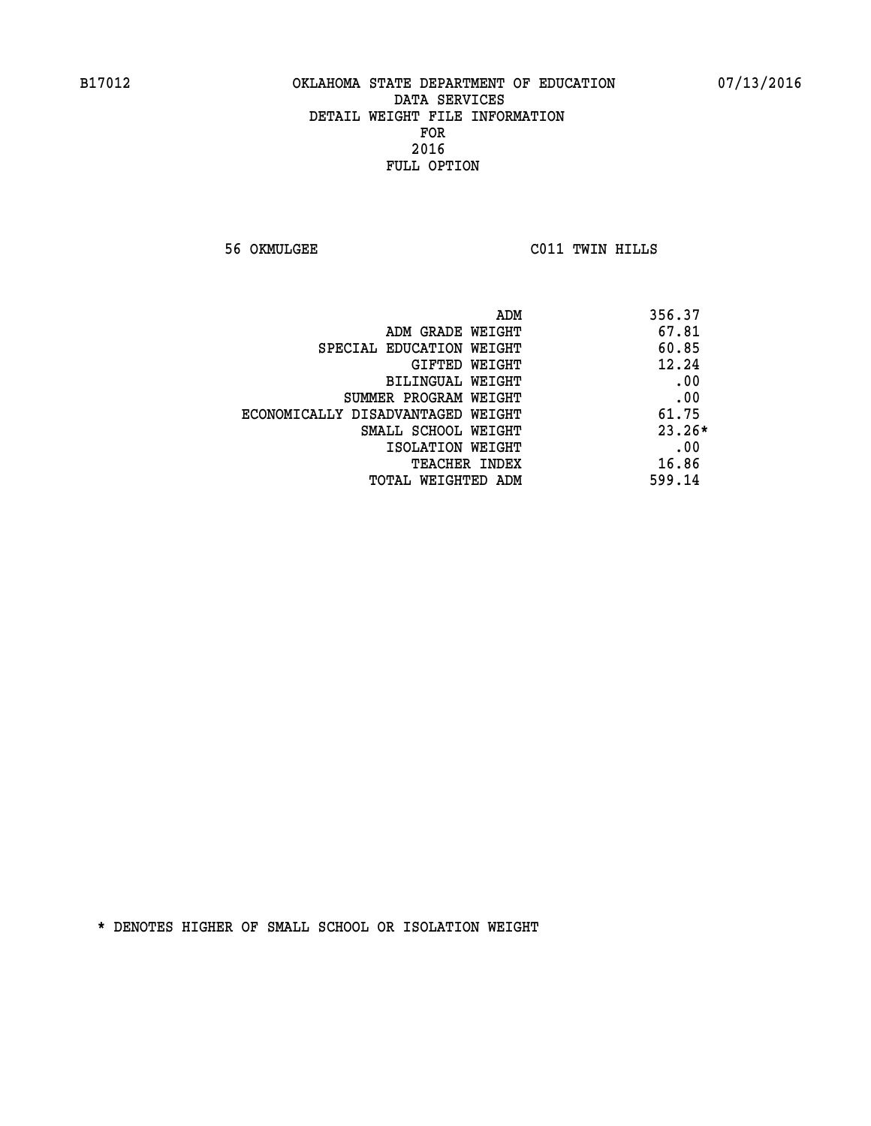**56 OKMULGEE C011 TWIN HILLS** 

| 356.37<br>ADM                     |          |
|-----------------------------------|----------|
| ADM GRADE WEIGHT                  | 67.81    |
| SPECIAL EDUCATION WEIGHT          | 60.85    |
| GIFTED WEIGHT                     | 12.24    |
| BILINGUAL WEIGHT                  | .00      |
| SUMMER PROGRAM WEIGHT             | .00      |
| ECONOMICALLY DISADVANTAGED WEIGHT | 61.75    |
| SMALL SCHOOL WEIGHT               | $23.26*$ |
| ISOLATION WEIGHT                  | .00      |
| <b>TEACHER INDEX</b>              | 16.86    |
| 599.14<br>TOTAL WEIGHTED ADM      |          |
|                                   |          |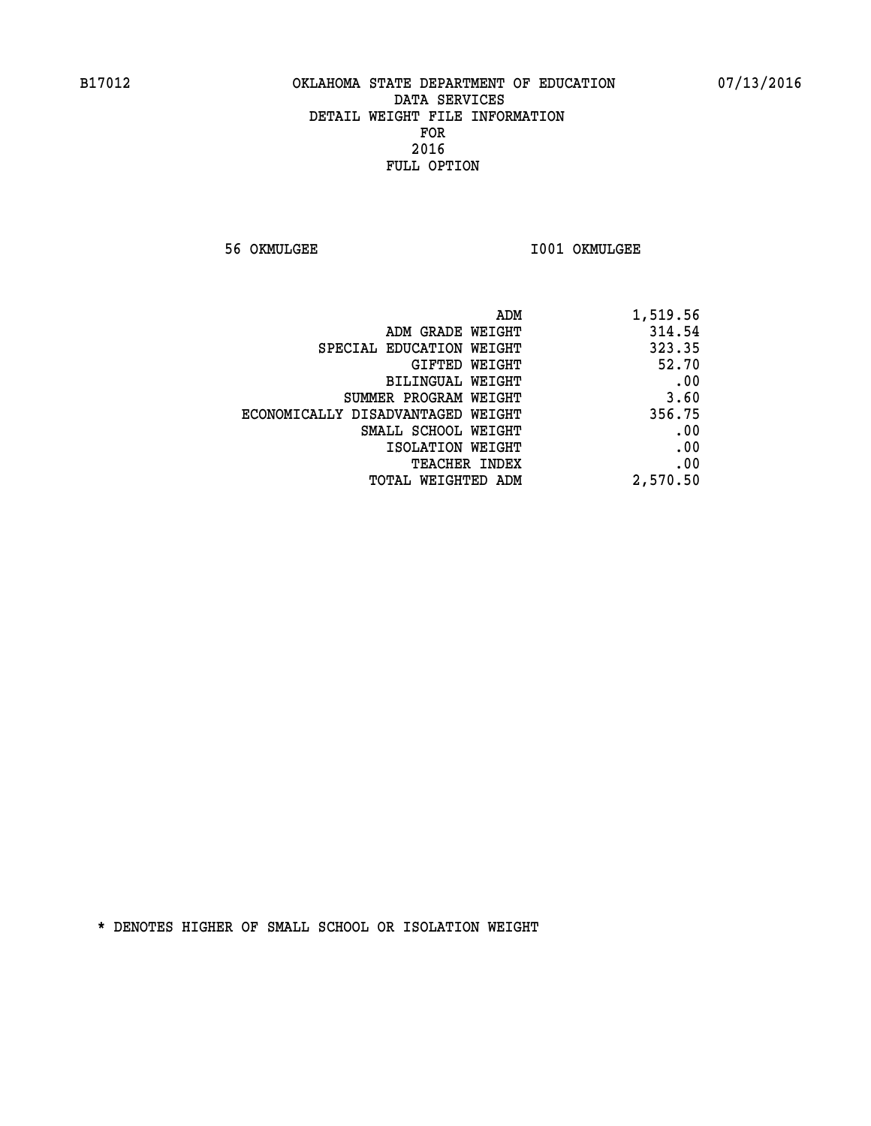**56 OKMULGEE I001 OKMULGEE** 

| 1,519.56 | ADM                               |  |
|----------|-----------------------------------|--|
| 314.54   | ADM GRADE WEIGHT                  |  |
| 323.35   | SPECIAL EDUCATION WEIGHT          |  |
| 52.70    | GIFTED WEIGHT                     |  |
| .00      | BILINGUAL WEIGHT                  |  |
| 3.60     | SUMMER PROGRAM WEIGHT             |  |
| 356.75   | ECONOMICALLY DISADVANTAGED WEIGHT |  |
| .00      | SMALL SCHOOL WEIGHT               |  |
| .00      | ISOLATION WEIGHT                  |  |
| .00      | <b>TEACHER INDEX</b>              |  |
| 2,570.50 | TOTAL WEIGHTED ADM                |  |
|          |                                   |  |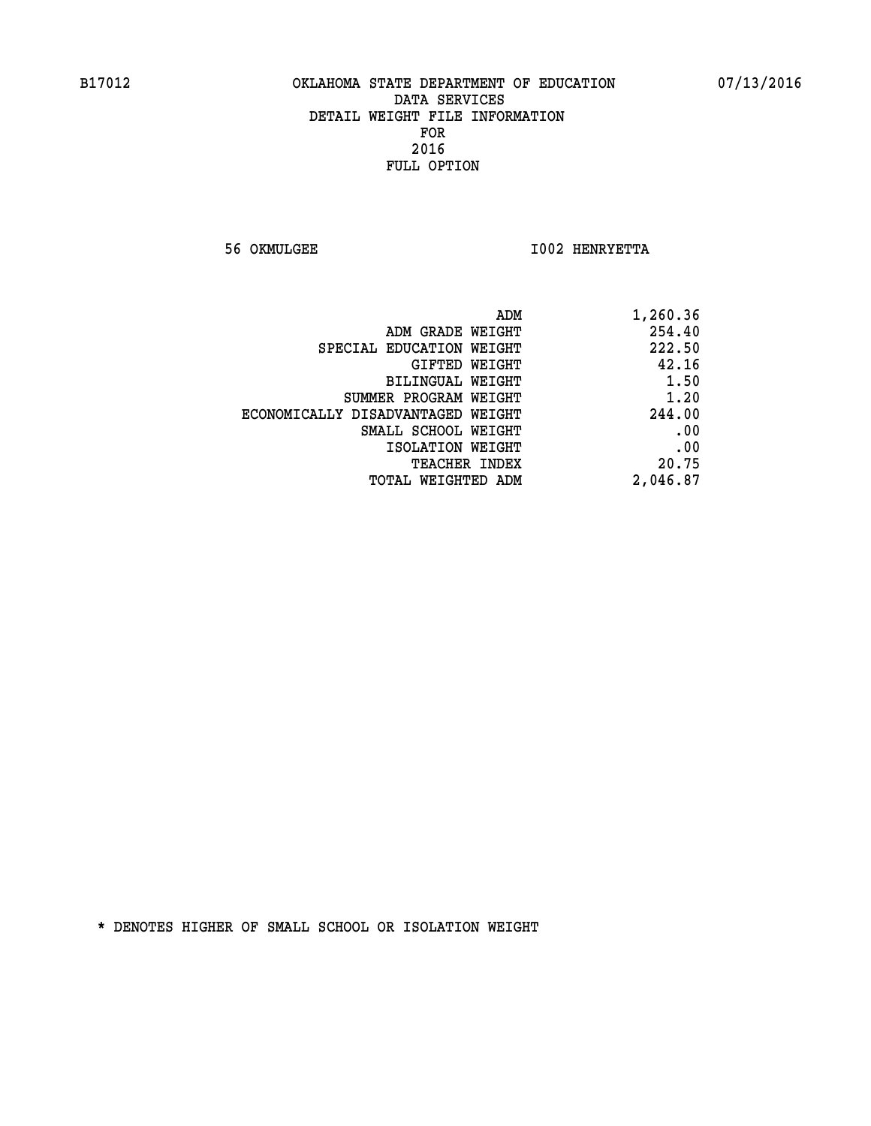**56 OKMULGEE I002 HENRYETTA** 

| 1,260.36 | ADM                               |  |
|----------|-----------------------------------|--|
| 254.40   | ADM GRADE WEIGHT                  |  |
| 222.50   | SPECIAL EDUCATION WEIGHT          |  |
| 42.16    | GIFTED WEIGHT                     |  |
| 1.50     | BILINGUAL WEIGHT                  |  |
| 1.20     | SUMMER PROGRAM WEIGHT             |  |
| 244.00   | ECONOMICALLY DISADVANTAGED WEIGHT |  |
| .00      | SMALL SCHOOL WEIGHT               |  |
| .00      | ISOLATION WEIGHT                  |  |
| 20.75    | <b>TEACHER INDEX</b>              |  |
| 2,046.87 | <b>TOTAL WEIGHTED ADM</b>         |  |
|          |                                   |  |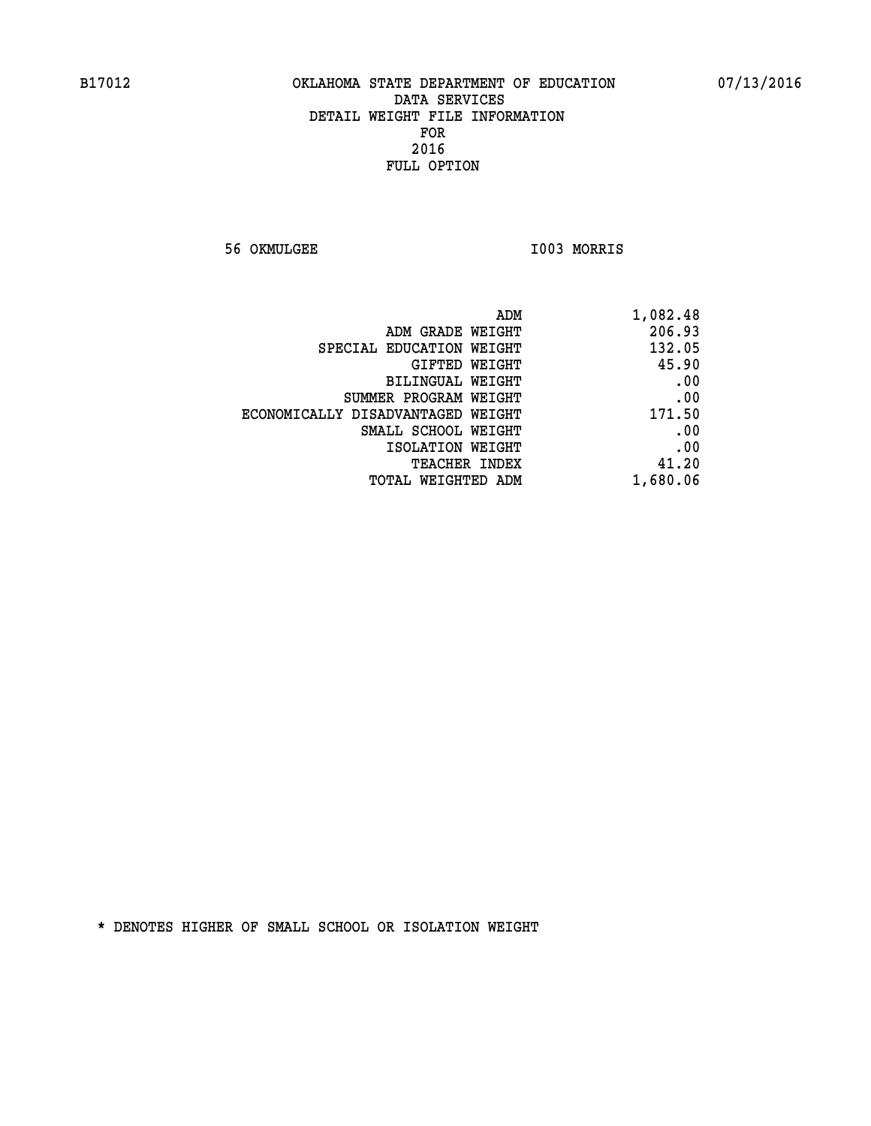**56 OKMULGEE I003 MORRIS** 

| 1,082.48 | ADM                               |
|----------|-----------------------------------|
| 206.93   | ADM GRADE WEIGHT                  |
| 132.05   | SPECIAL EDUCATION WEIGHT          |
| 45.90    | GIFTED WEIGHT                     |
| .00      | BILINGUAL WEIGHT                  |
| .00      | SUMMER PROGRAM WEIGHT             |
| 171.50   | ECONOMICALLY DISADVANTAGED WEIGHT |
| .00      | SMALL SCHOOL WEIGHT               |
| .00      | ISOLATION WEIGHT                  |
| 41.20    | <b>TEACHER INDEX</b>              |
| 1,680.06 | <b>TOTAL WEIGHTED ADM</b>         |
|          |                                   |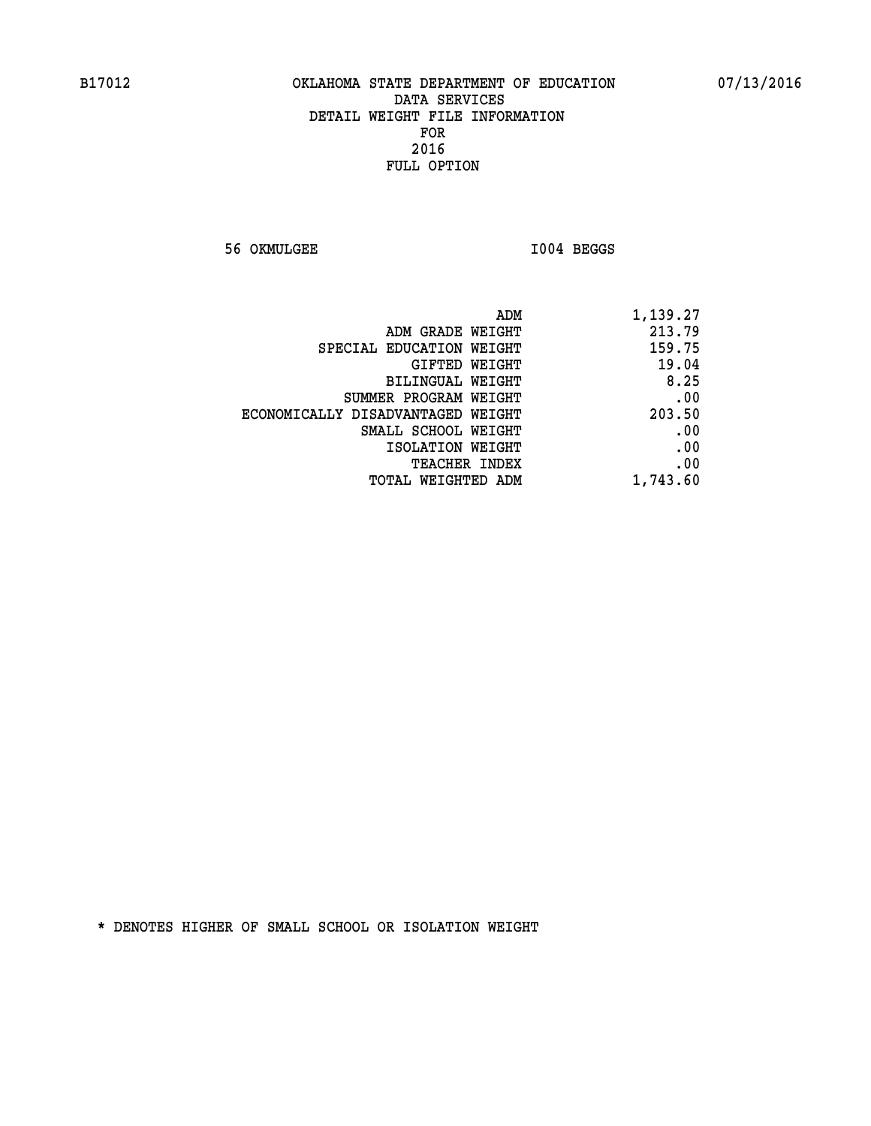**56 OKMULGEE I004 BEGGS** 

| 1,139.27 |
|----------|
| 213.79   |
| 159.75   |
| 19.04    |
| 8.25     |
| .00      |
| 203.50   |
| .00      |
| .00      |
| .00      |
| 1,743.60 |
|          |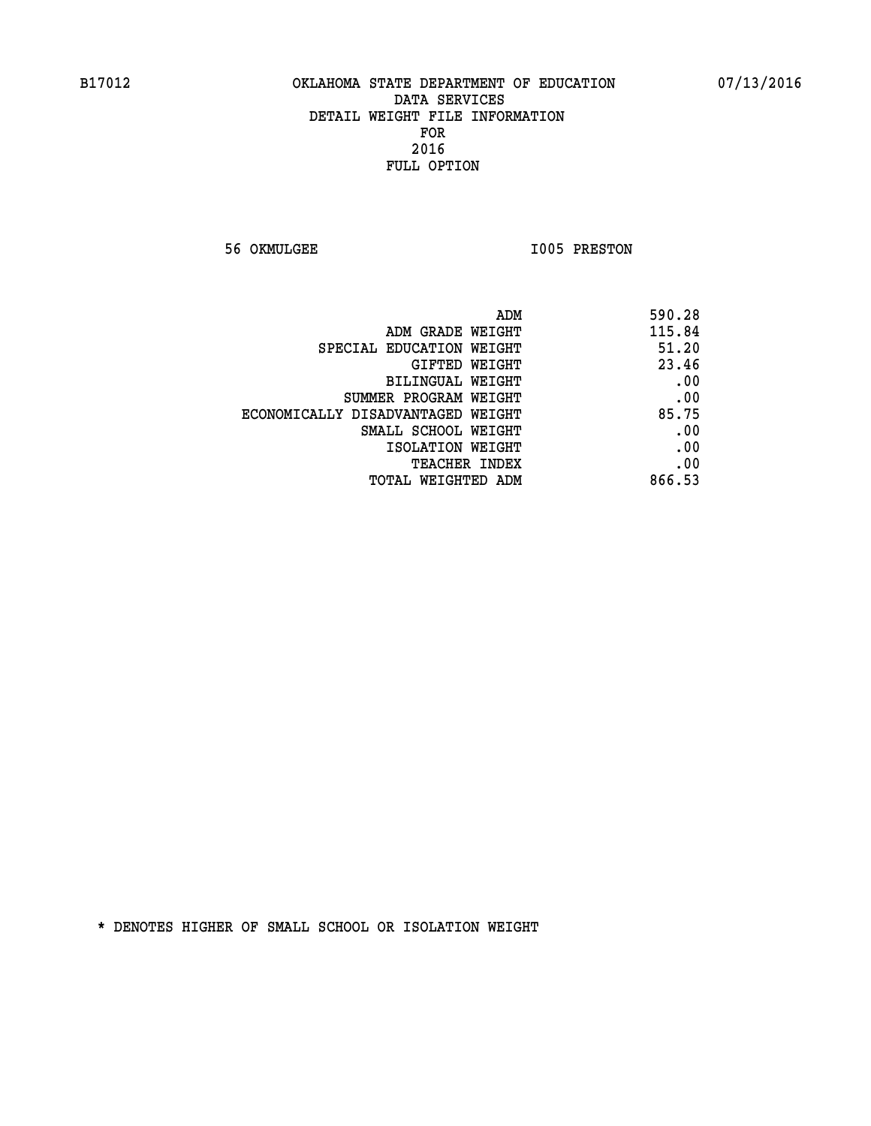**56 OKMULGEE 1005 PRESTON** 

| ADM                               | 590.28 |
|-----------------------------------|--------|
| ADM GRADE WEIGHT                  | 115.84 |
| SPECIAL EDUCATION WEIGHT          | 51.20  |
| GIFTED WEIGHT                     | 23.46  |
| <b>BILINGUAL WEIGHT</b>           | .00    |
| SUMMER PROGRAM WEIGHT             | .00    |
| ECONOMICALLY DISADVANTAGED WEIGHT | 85.75  |
| SMALL SCHOOL WEIGHT               | .00    |
| ISOLATION WEIGHT                  | .00    |
| TEACHER INDEX                     | .00    |
| <b>TOTAL WEIGHTED ADM</b>         | 866.53 |
|                                   |        |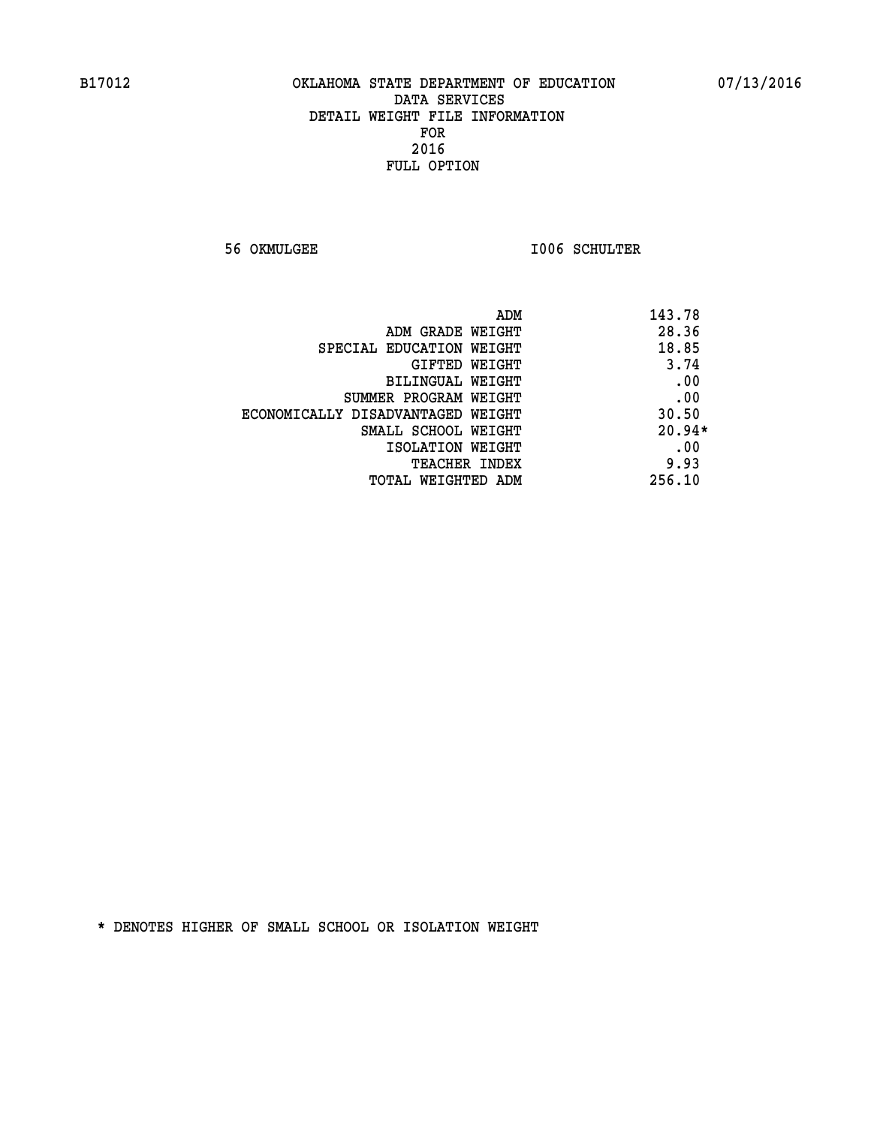**56 OKMULGEE I006 SCHULTER** 

| ADM                               | 143.78   |
|-----------------------------------|----------|
| ADM GRADE WEIGHT                  | 28.36    |
| SPECIAL EDUCATION WEIGHT          | 18.85    |
| GIFTED WEIGHT                     | 3.74     |
| BILINGUAL WEIGHT                  | .00      |
| SUMMER PROGRAM WEIGHT             | .00      |
| ECONOMICALLY DISADVANTAGED WEIGHT | 30.50    |
| SMALL SCHOOL WEIGHT               | $20.94*$ |
| ISOLATION WEIGHT                  | .00      |
| <b>TEACHER INDEX</b>              | 9.93     |
| TOTAL WEIGHTED ADM                | 256.10   |
|                                   |          |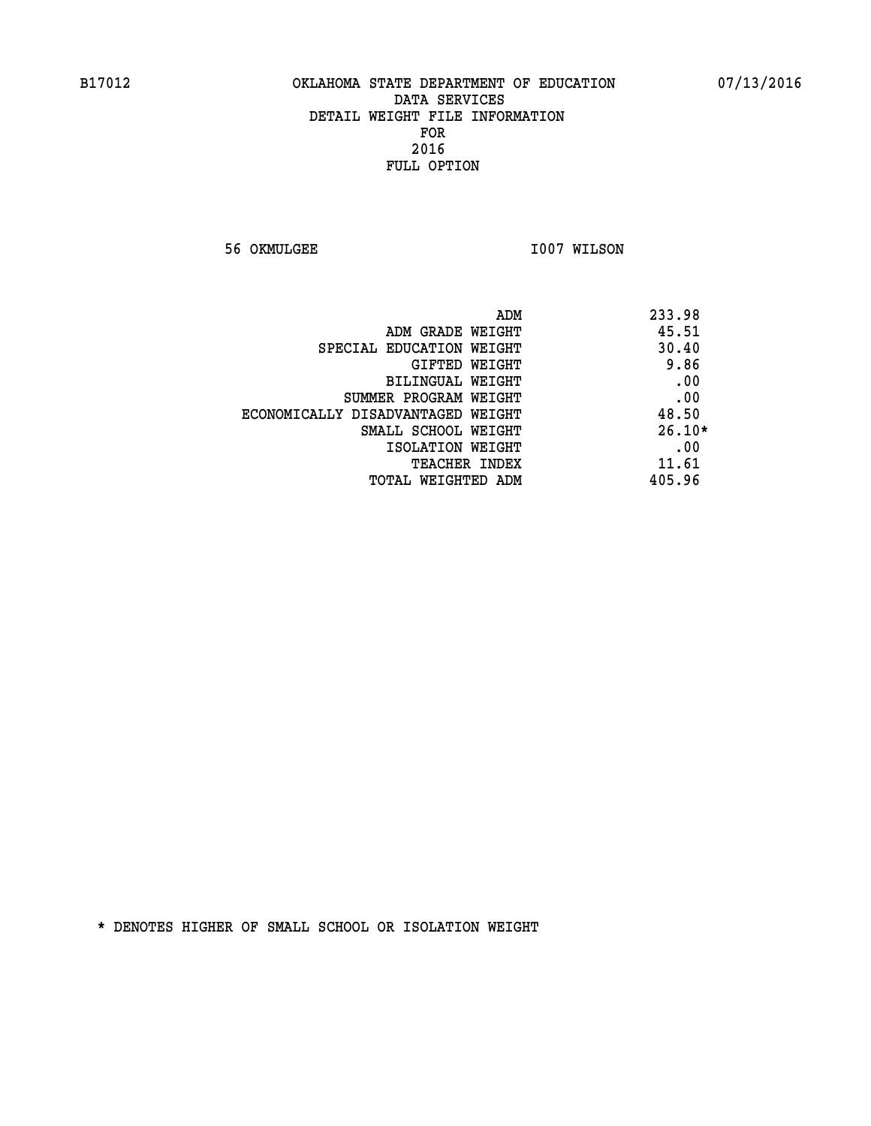**56 OKMULGEE 1007 WILSON** 

| ADM                               | 233.98   |
|-----------------------------------|----------|
| ADM GRADE WEIGHT                  | 45.51    |
| SPECIAL EDUCATION WEIGHT          | 30.40    |
| <b>GIFTED WEIGHT</b>              | 9.86     |
| BILINGUAL WEIGHT                  | .00      |
| SUMMER PROGRAM WEIGHT             | .00      |
| ECONOMICALLY DISADVANTAGED WEIGHT | 48.50    |
| SMALL SCHOOL WEIGHT               | $26.10*$ |
| ISOLATION WEIGHT                  | .00      |
| <b>TEACHER INDEX</b>              | 11.61    |
| TOTAL WEIGHTED ADM                | 405.96   |
|                                   |          |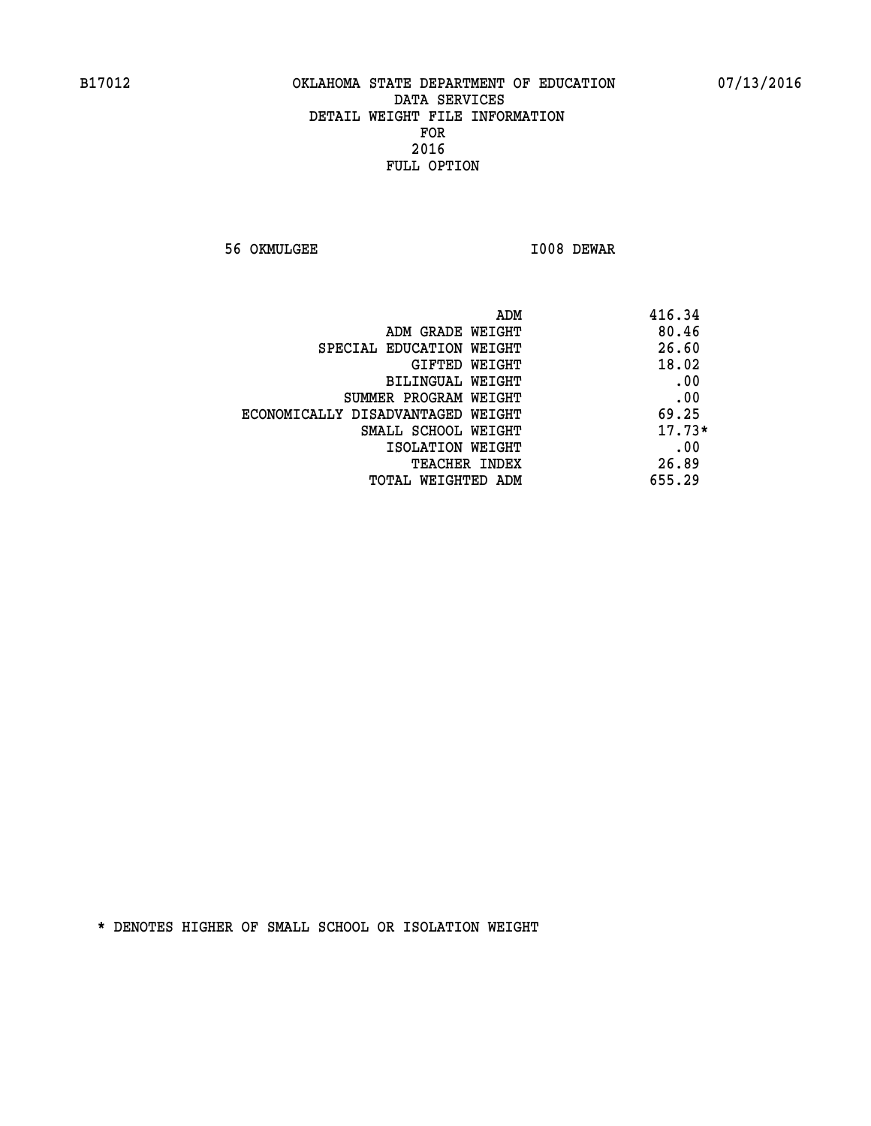**56 OKMULGEE I008 DEWAR** 

| 416.34<br>ADM                              |          |
|--------------------------------------------|----------|
| 80.46<br>ADM GRADE WEIGHT                  |          |
| 26.60<br>SPECIAL EDUCATION WEIGHT          |          |
| 18.02<br>GIFTED WEIGHT                     |          |
| BILINGUAL WEIGHT                           | .00      |
| SUMMER PROGRAM WEIGHT                      | .00      |
| 69.25<br>ECONOMICALLY DISADVANTAGED WEIGHT |          |
| SMALL SCHOOL WEIGHT                        | $17.73*$ |
| ISOLATION WEIGHT                           | .00      |
| 26.89<br><b>TEACHER INDEX</b>              |          |
| 655.29<br>TOTAL WEIGHTED ADM               |          |
|                                            |          |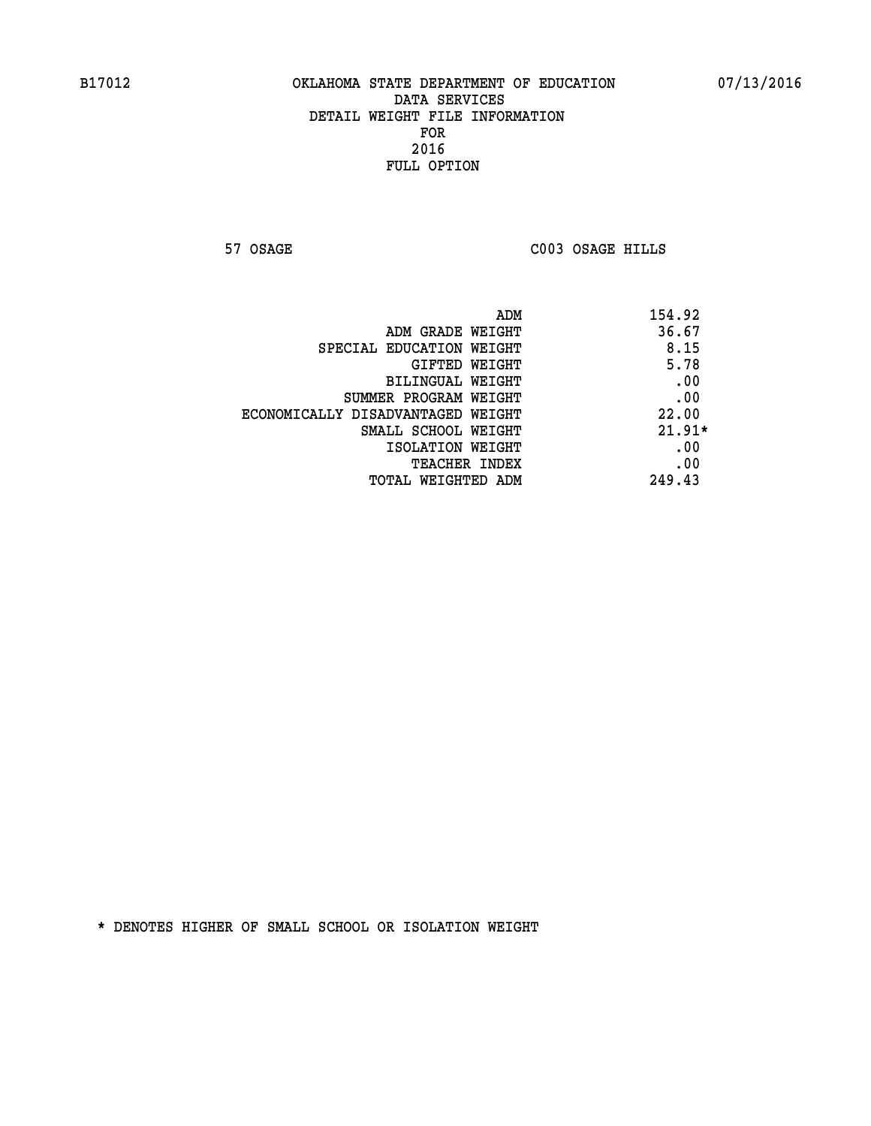**57 OSAGE C003 OSAGE HILLS** 

| ADM                               | 154.92   |
|-----------------------------------|----------|
| ADM GRADE WEIGHT                  | 36.67    |
| SPECIAL EDUCATION WEIGHT          | 8.15     |
| GIFTED WEIGHT                     | 5.78     |
| BILINGUAL WEIGHT                  | .00      |
| SUMMER PROGRAM WEIGHT             | .00      |
| ECONOMICALLY DISADVANTAGED WEIGHT | 22.00    |
| SMALL SCHOOL WEIGHT               | $21.91*$ |
| ISOLATION WEIGHT                  | .00      |
| <b>TEACHER INDEX</b>              | .00      |
| TOTAL WEIGHTED ADM                | 249.43   |
|                                   |          |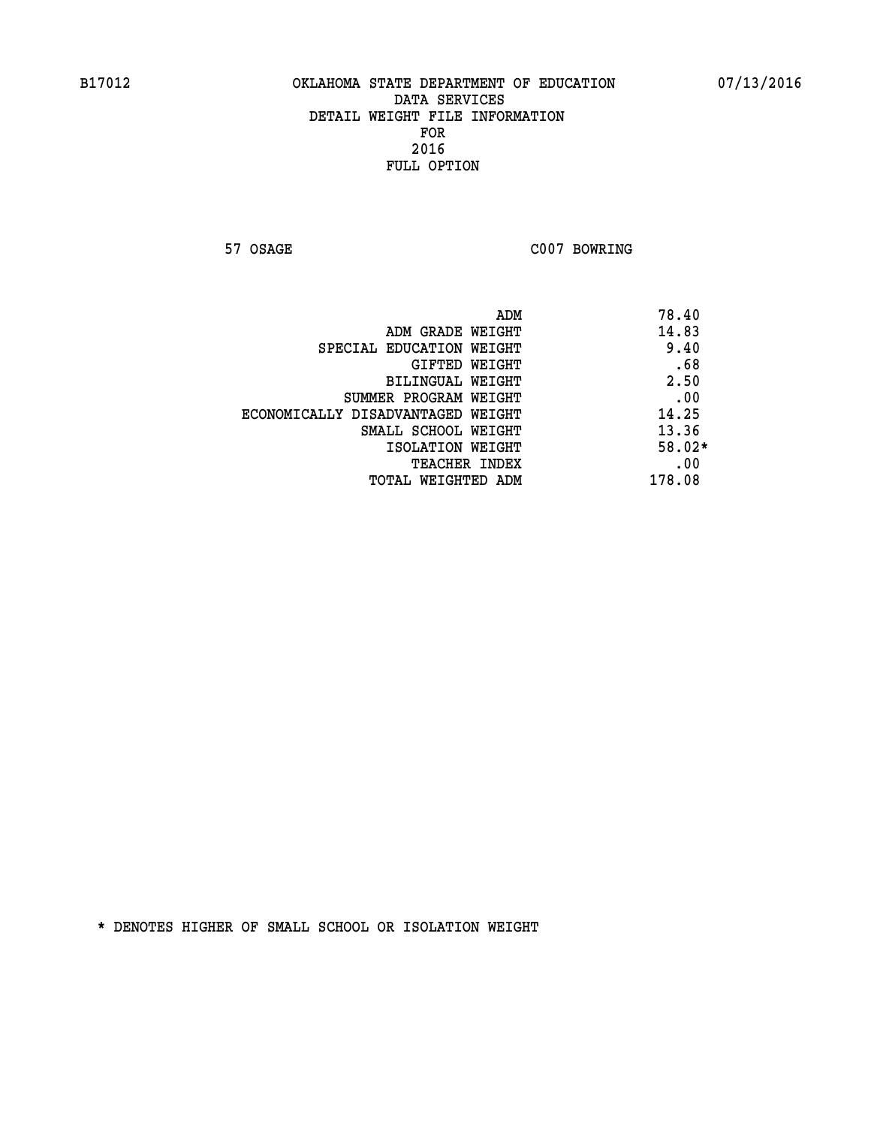**57 OSAGE C007 BOWRING** 

|                                   | ADM | 78.40    |
|-----------------------------------|-----|----------|
| ADM GRADE WEIGHT                  |     | 14.83    |
| SPECIAL EDUCATION WEIGHT          |     | 9.40     |
| GIFTED WEIGHT                     |     | .68      |
| <b>BILINGUAL WEIGHT</b>           |     | 2.50     |
| SUMMER PROGRAM WEIGHT             |     | .00      |
| ECONOMICALLY DISADVANTAGED WEIGHT |     | 14.25    |
| SMALL SCHOOL WEIGHT               |     | 13.36    |
| ISOLATION WEIGHT                  |     | $58.02*$ |
| TEACHER INDEX                     |     | .00      |
| TOTAL WEIGHTED ADM                |     | 178.08   |
|                                   |     |          |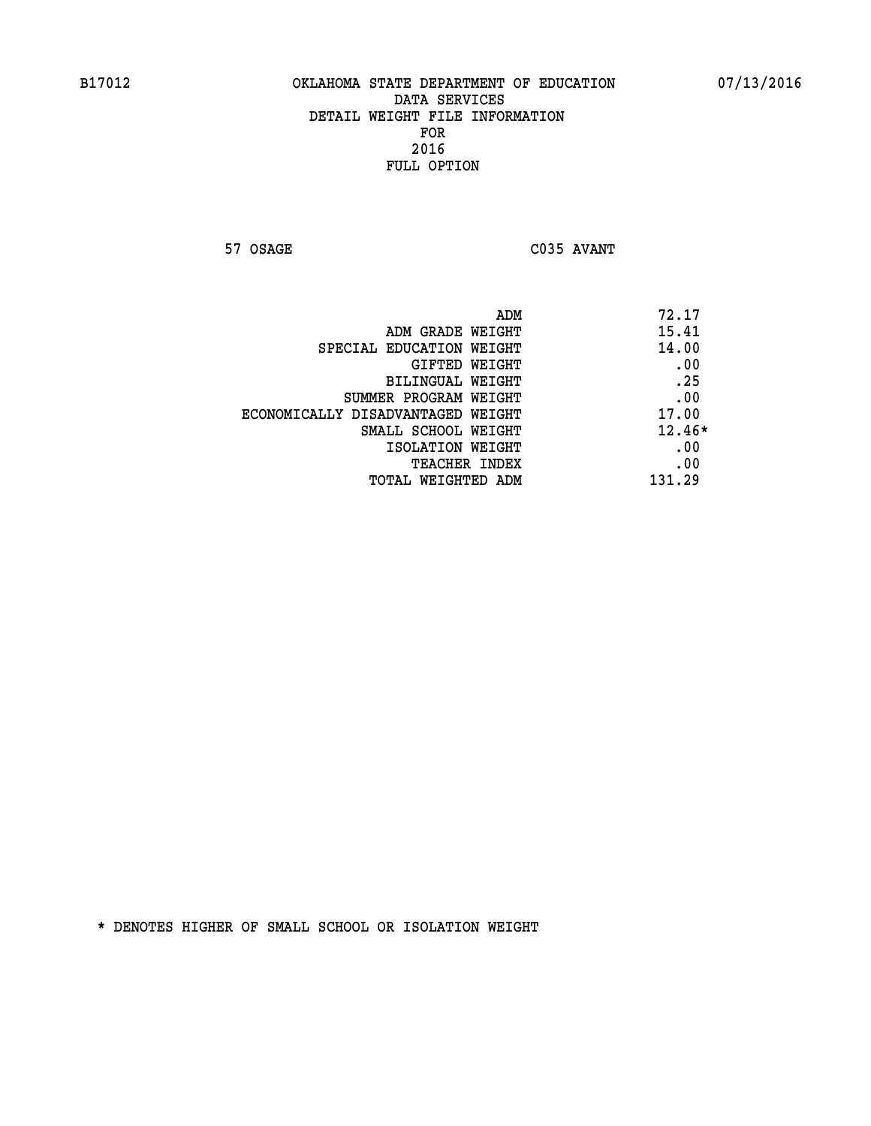**57 OSAGE C035 AVANT** 

|                                   | ADM<br>72.17 |
|-----------------------------------|--------------|
| ADM GRADE WEIGHT                  | 15.41        |
| SPECIAL EDUCATION WEIGHT          | 14.00        |
| GIFTED WEIGHT                     | .00          |
| <b>BILINGUAL WEIGHT</b>           | .25          |
| SUMMER PROGRAM WEIGHT             | .00          |
| ECONOMICALLY DISADVANTAGED WEIGHT | 17.00        |
| SMALL SCHOOL WEIGHT               | $12.46*$     |
| ISOLATION WEIGHT                  | .00          |
| <b>TEACHER INDEX</b>              | .00          |
| TOTAL WEIGHTED ADM                | 131.29       |
|                                   |              |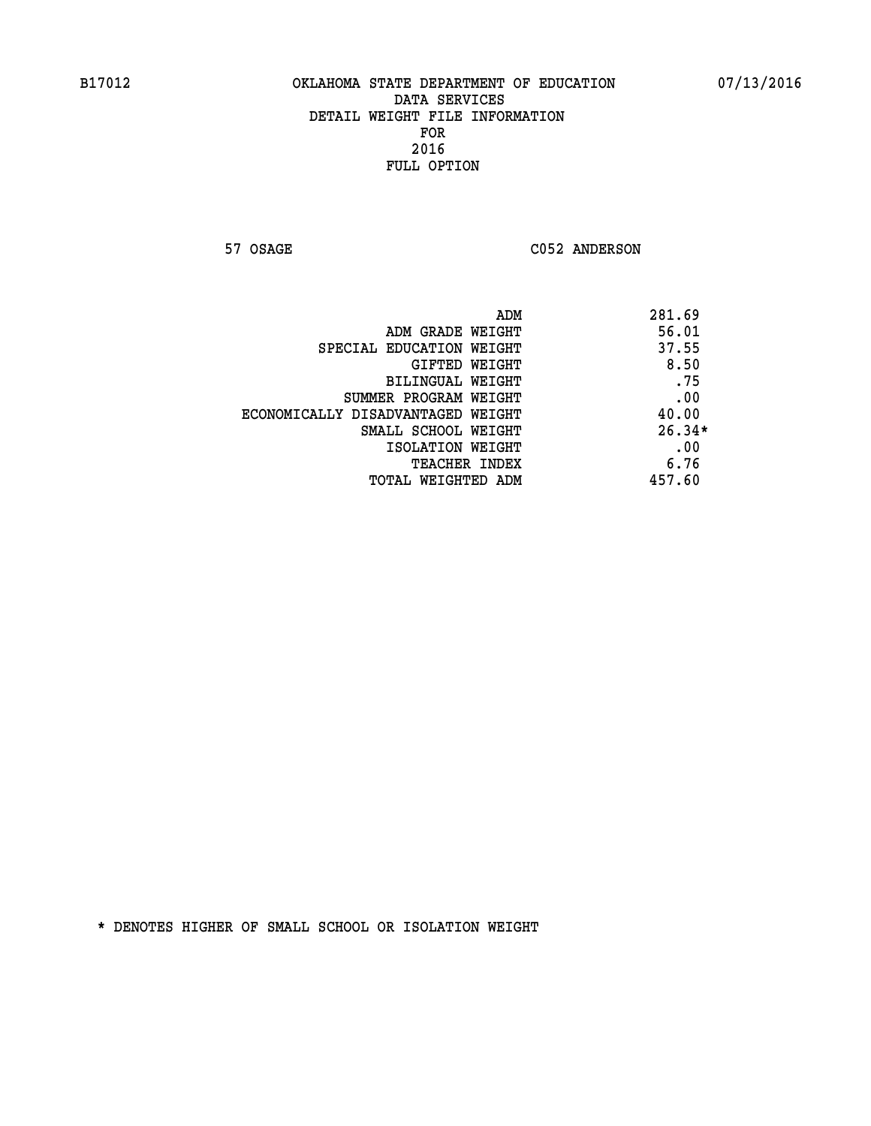57 OSAGE C052 ANDERSON

| ADM<br>281.69                              |  |
|--------------------------------------------|--|
| 56.01<br>ADM GRADE WEIGHT                  |  |
| 37.55<br>SPECIAL EDUCATION WEIGHT          |  |
| 8.50<br><b>GIFTED WEIGHT</b>               |  |
| .75<br>BILINGUAL WEIGHT                    |  |
| .00<br>SUMMER PROGRAM WEIGHT               |  |
| 40.00<br>ECONOMICALLY DISADVANTAGED WEIGHT |  |
| $26.34*$<br>SMALL SCHOOL WEIGHT            |  |
| .00<br>ISOLATION WEIGHT                    |  |
| 6.76<br><b>TEACHER INDEX</b>               |  |
| 457.60<br>TOTAL WEIGHTED ADM               |  |
|                                            |  |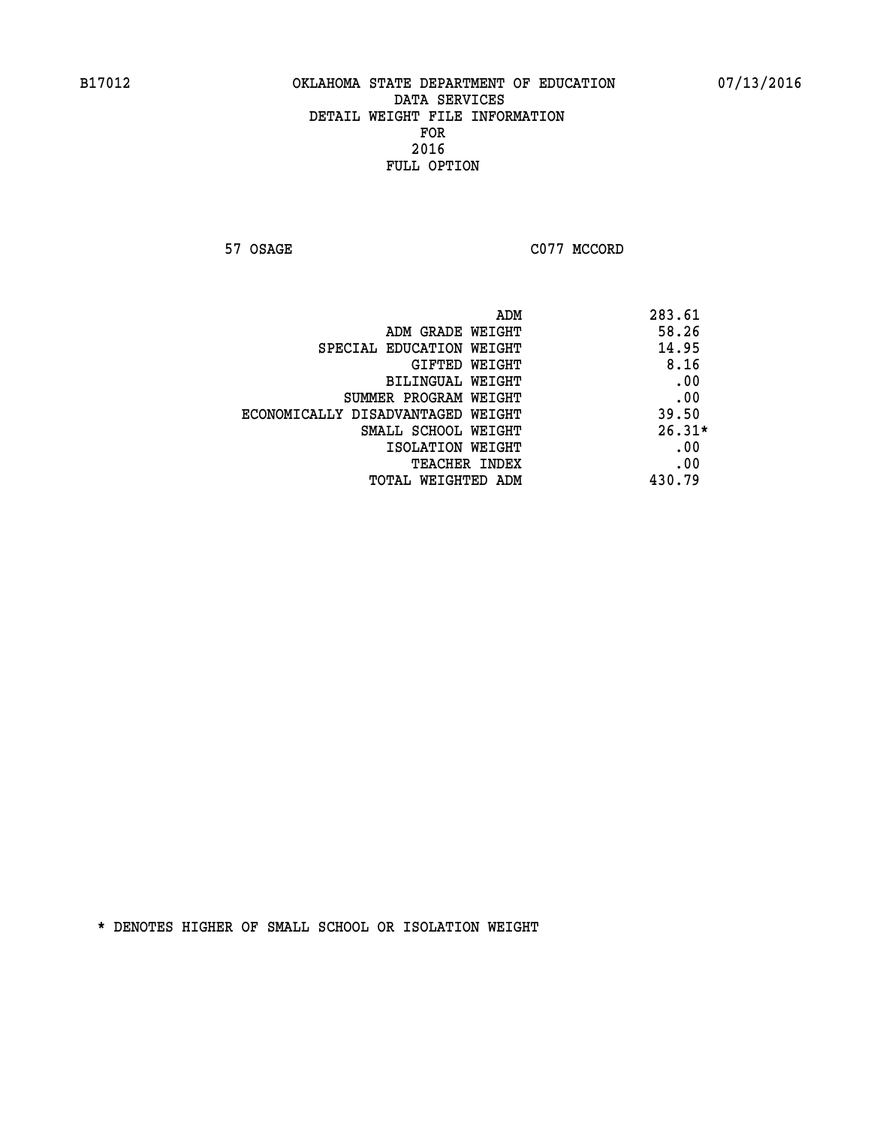**57 OSAGE C077 MCCORD** 

| ADM                               | 283.61   |
|-----------------------------------|----------|
| ADM GRADE WEIGHT                  | 58.26    |
| SPECIAL EDUCATION WEIGHT          | 14.95    |
| GIFTED WEIGHT                     | 8.16     |
| BILINGUAL WEIGHT                  | .00      |
| SUMMER PROGRAM WEIGHT             | .00      |
| ECONOMICALLY DISADVANTAGED WEIGHT | 39.50    |
| SMALL SCHOOL WEIGHT               | $26.31*$ |
| ISOLATION WEIGHT                  | .00      |
| <b>TEACHER INDEX</b>              | .00      |
| TOTAL WEIGHTED ADM                | 430.79   |
|                                   |          |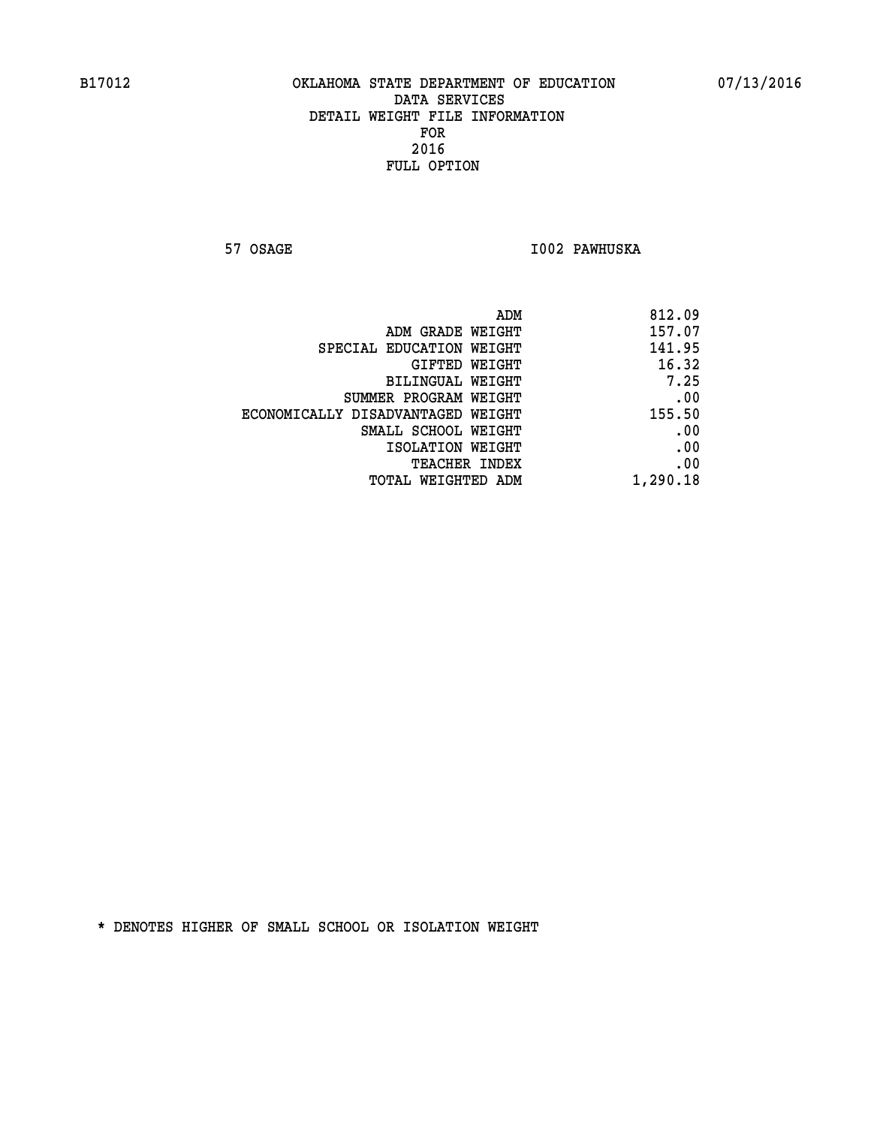**57 OSAGE I002 PAWHUSKA** 

| 812.09   |
|----------|
| 157.07   |
| 141.95   |
| 16.32    |
| 7.25     |
| .00      |
| 155.50   |
| .00      |
| .00      |
| .00      |
| 1,290.18 |
|          |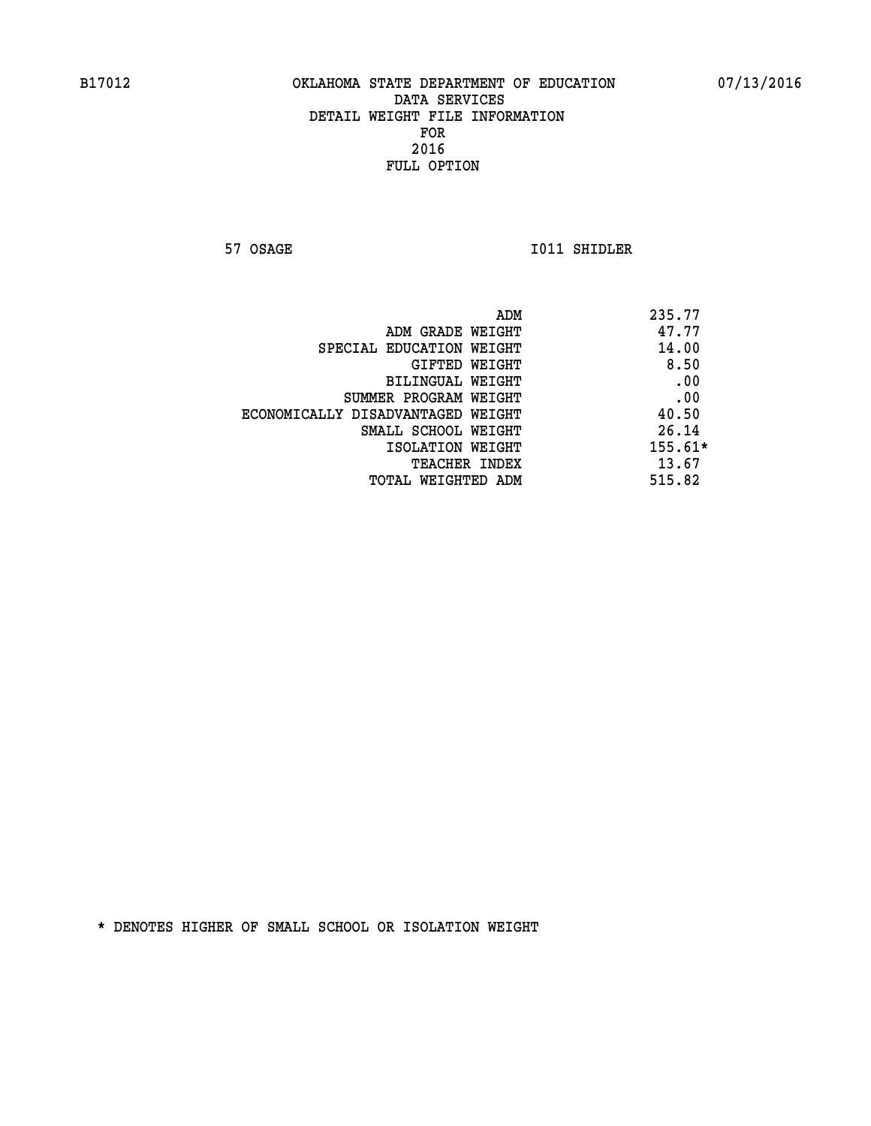**57 OSAGE 1011 SHIDLER** 

|                                   | ADM | 235.77    |
|-----------------------------------|-----|-----------|
| ADM GRADE WEIGHT                  |     | 47.77     |
| SPECIAL EDUCATION WEIGHT          |     | 14.00     |
| GIFTED WEIGHT                     |     | 8.50      |
| BILINGUAL WEIGHT                  |     | .00       |
| SUMMER PROGRAM WEIGHT             |     | .00       |
| ECONOMICALLY DISADVANTAGED WEIGHT |     | 40.50     |
| SMALL SCHOOL WEIGHT               |     | 26.14     |
| ISOLATION WEIGHT                  |     | $155.61*$ |
| TEACHER INDEX                     |     | 13.67     |
| TOTAL WEIGHTED ADM                |     | 515.82    |
|                                   |     |           |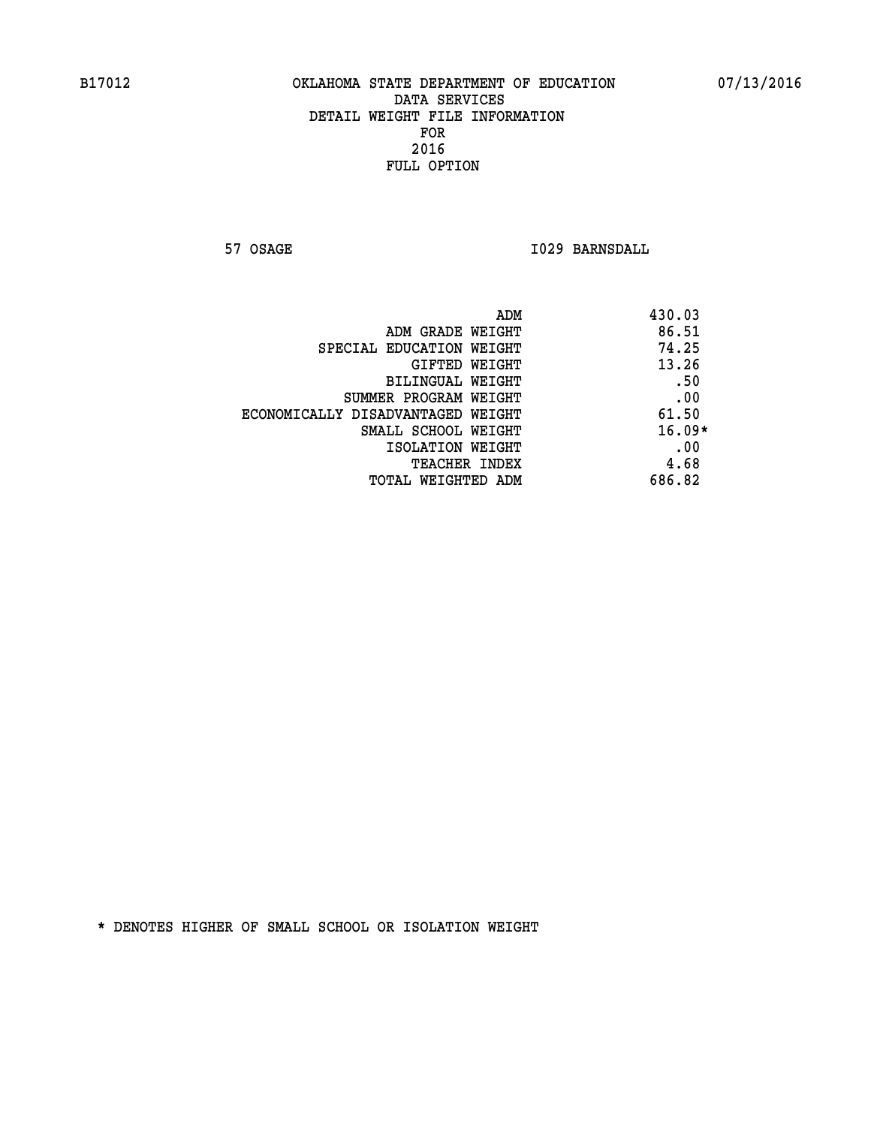**57 OSAGE 1029 BARNSDALL** 

| ADM                               | 430.03   |
|-----------------------------------|----------|
| ADM GRADE WEIGHT                  | 86.51    |
| SPECIAL EDUCATION WEIGHT          | 74.25    |
| GIFTED WEIGHT                     | 13.26    |
| BILINGUAL WEIGHT                  | .50      |
| SUMMER PROGRAM WEIGHT             | .00      |
| ECONOMICALLY DISADVANTAGED WEIGHT | 61.50    |
| SMALL SCHOOL WEIGHT               | $16.09*$ |
| ISOLATION WEIGHT                  | .00      |
| <b>TEACHER INDEX</b>              | 4.68     |
| TOTAL WEIGHTED ADM                | 686.82   |
|                                   |          |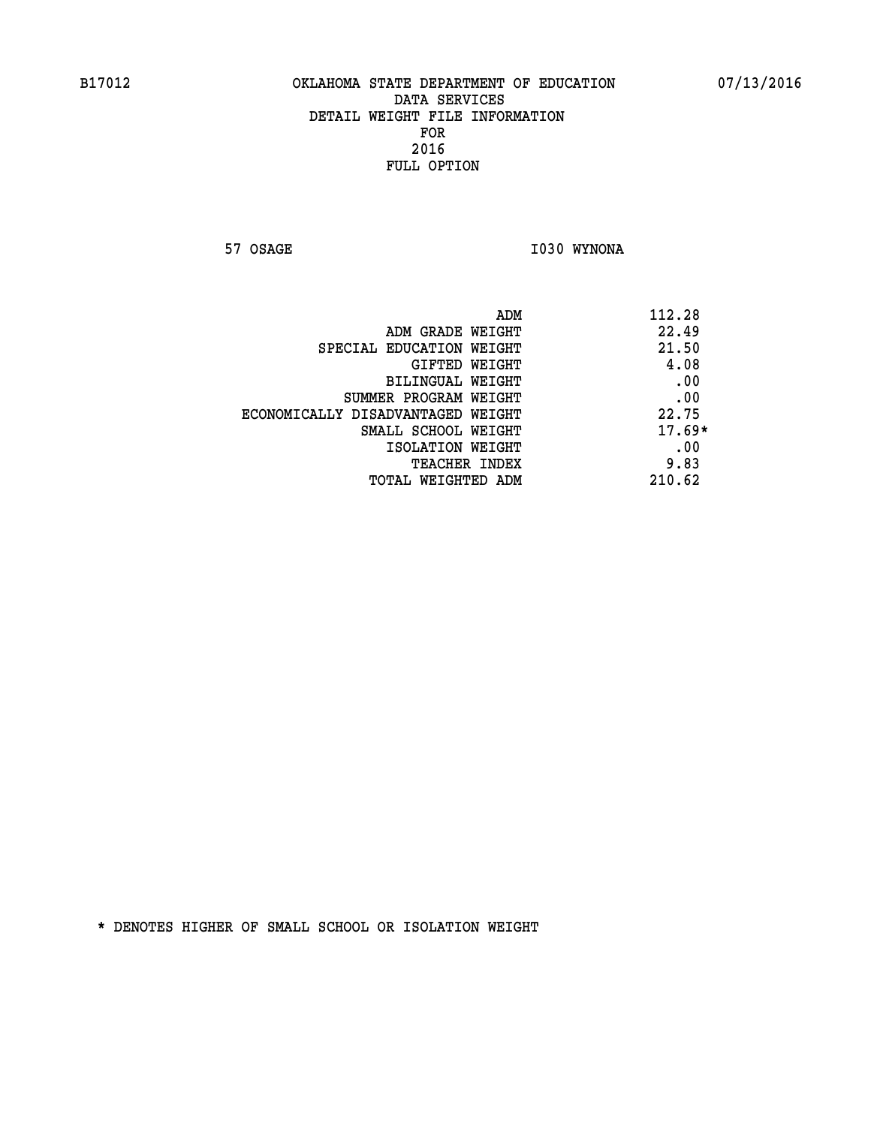**57 OSAGE 1030 WYNONA** 

| ADM                               | 112.28   |
|-----------------------------------|----------|
| ADM GRADE WEIGHT                  | 22.49    |
| SPECIAL EDUCATION WEIGHT          | 21.50    |
| GIFTED WEIGHT                     | 4.08     |
| BILINGUAL WEIGHT                  | .00      |
| SUMMER PROGRAM WEIGHT             | .00      |
| ECONOMICALLY DISADVANTAGED WEIGHT | 22.75    |
| SMALL SCHOOL WEIGHT               | $17.69*$ |
| ISOLATION WEIGHT                  | .00      |
| <b>TEACHER INDEX</b>              | 9.83     |
| TOTAL WEIGHTED ADM                | 210.62   |
|                                   |          |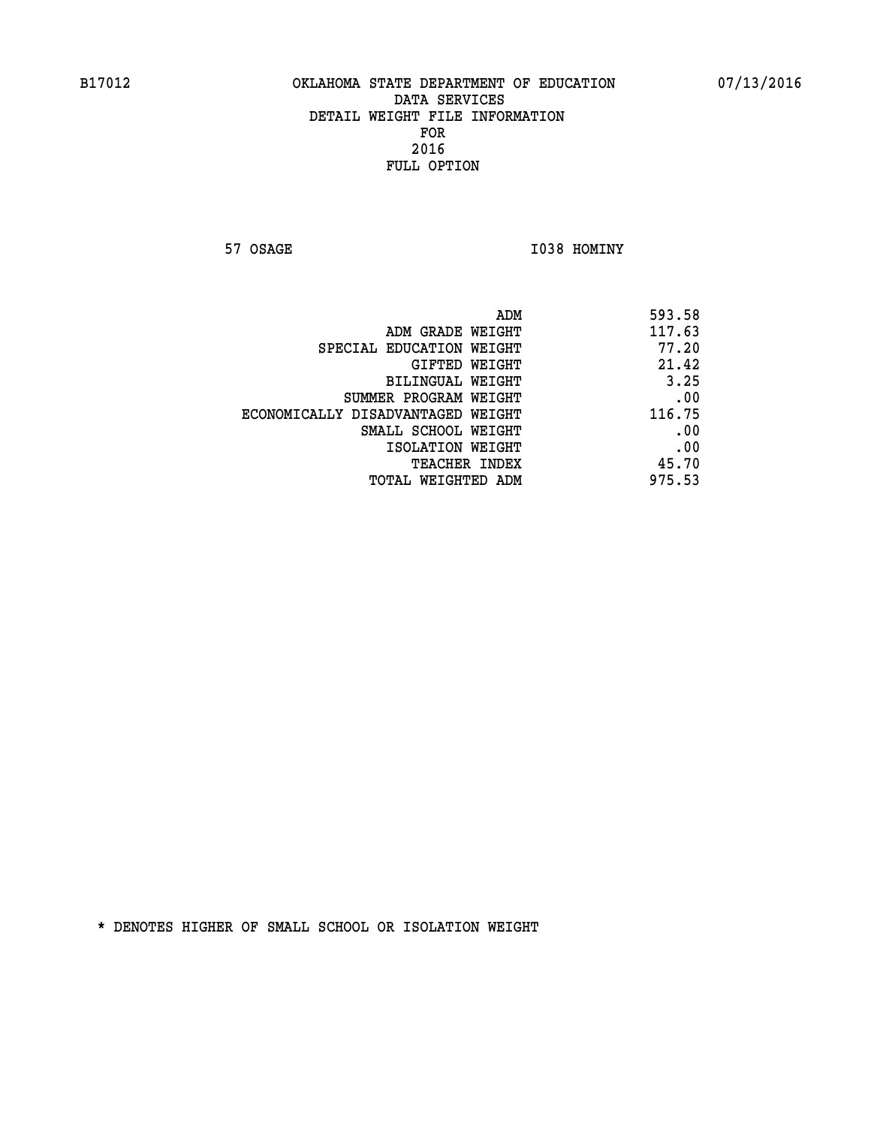**57 OSAGE 1038 HOMINY** 

| 593.58 |
|--------|
| 117.63 |
| 77.20  |
| 21.42  |
| 3.25   |
| .00    |
| 116.75 |
| .00    |
| .00    |
| 45.70  |
| 975.53 |
|        |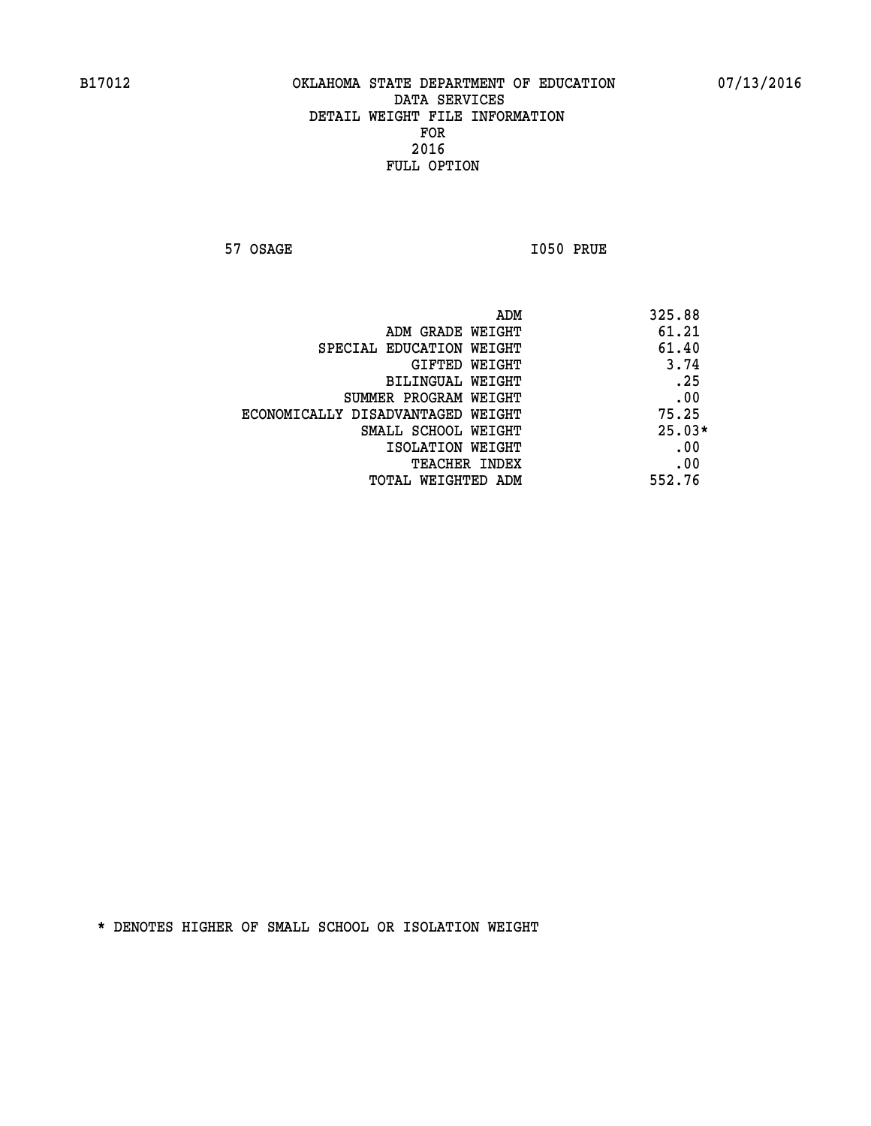**57 OSAGE 1050 PRUE** 

|                                   | ADM | 325.88   |
|-----------------------------------|-----|----------|
| ADM GRADE WEIGHT                  |     | 61.21    |
| SPECIAL EDUCATION WEIGHT          |     | 61.40    |
| GIFTED WEIGHT                     |     | 3.74     |
| BILINGUAL WEIGHT                  |     | .25      |
| SUMMER PROGRAM WEIGHT             |     | .00      |
| ECONOMICALLY DISADVANTAGED WEIGHT |     | 75.25    |
| SMALL SCHOOL WEIGHT               |     | $25.03*$ |
| ISOLATION WEIGHT                  |     | .00      |
| TEACHER INDEX                     |     | .00      |
| TOTAL WEIGHTED ADM                |     | 552.76   |
|                                   |     |          |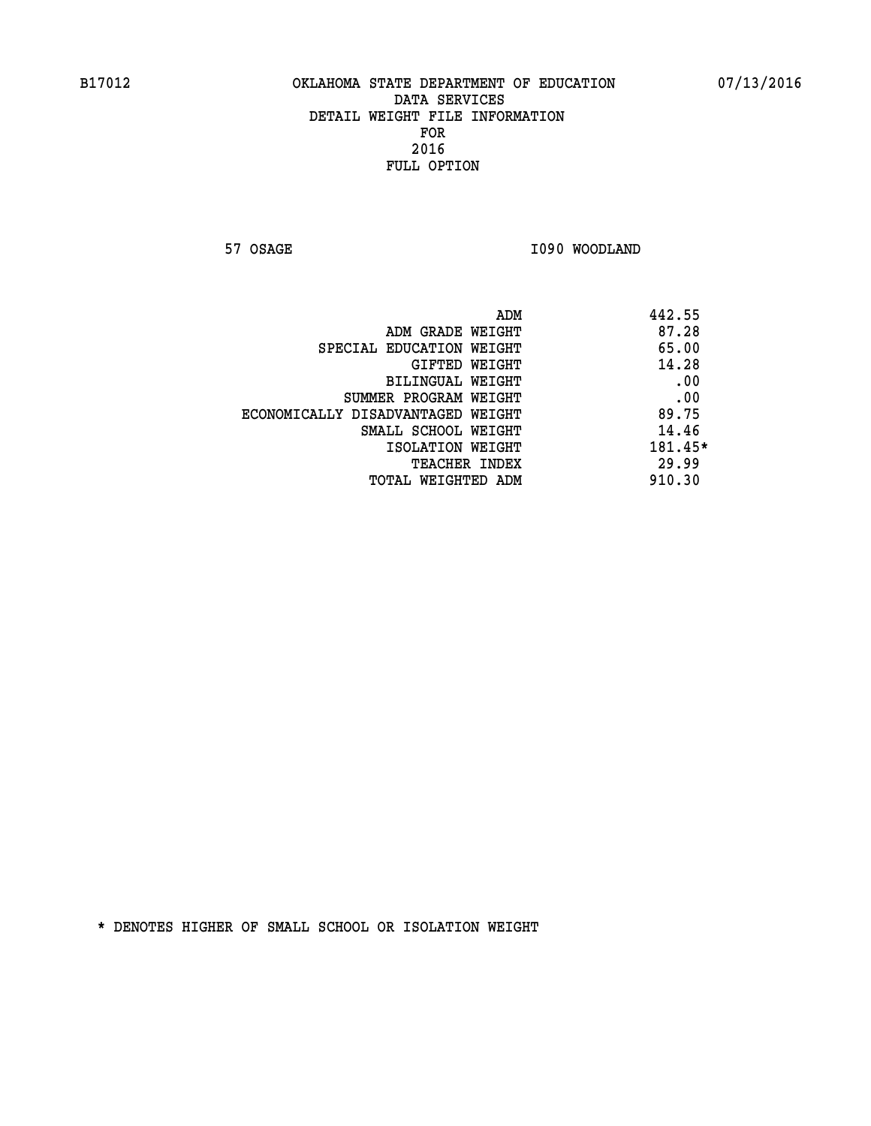**57 OSAGE 1090 WOODLAND** 

|                                   | ADM | 442.55  |
|-----------------------------------|-----|---------|
| ADM GRADE WEIGHT                  |     | 87.28   |
| SPECIAL EDUCATION WEIGHT          |     | 65.00   |
| GIFTED WEIGHT                     |     | 14.28   |
| BILINGUAL WEIGHT                  |     | .00     |
| SUMMER PROGRAM WEIGHT             |     | .00     |
| ECONOMICALLY DISADVANTAGED WEIGHT |     | 89.75   |
| SMALL SCHOOL WEIGHT               |     | 14.46   |
| ISOLATION WEIGHT                  |     | 181.45* |
| TEACHER INDEX                     |     | 29.99   |
| TOTAL WEIGHTED ADM                |     | 910.30  |
|                                   |     |         |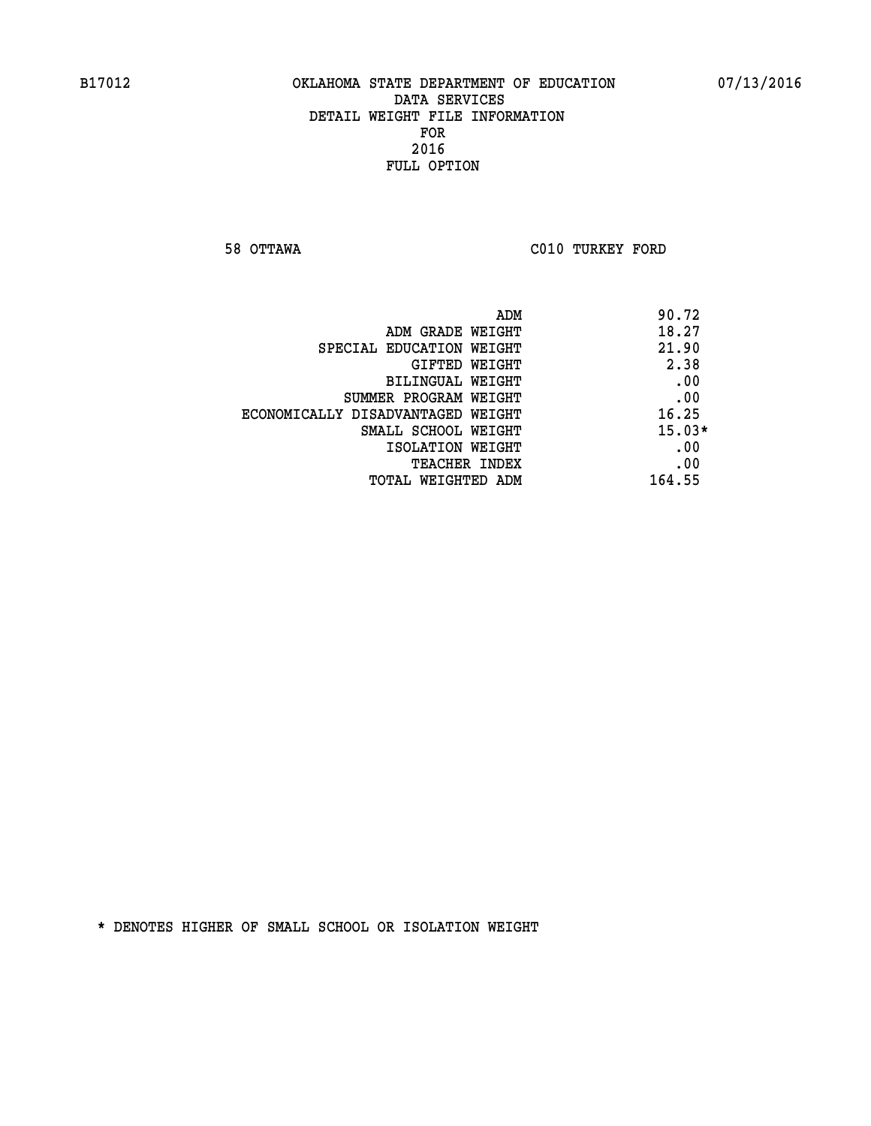**58 OTTAWA C010 TURKEY FORD** 

| ADM<br>90.72 |                                   |
|--------------|-----------------------------------|
| 18.27        | ADM GRADE WEIGHT                  |
| 21.90        | SPECIAL EDUCATION WEIGHT          |
| 2.38         | <b>GIFTED WEIGHT</b>              |
| .00          | BILINGUAL WEIGHT                  |
| .00          | SUMMER PROGRAM WEIGHT             |
| 16.25        | ECONOMICALLY DISADVANTAGED WEIGHT |
| $15.03*$     | SMALL SCHOOL WEIGHT               |
| .00          | ISOLATION WEIGHT                  |
| .00          | <b>TEACHER INDEX</b>              |
| 164.55       | TOTAL WEIGHTED ADM                |
|              |                                   |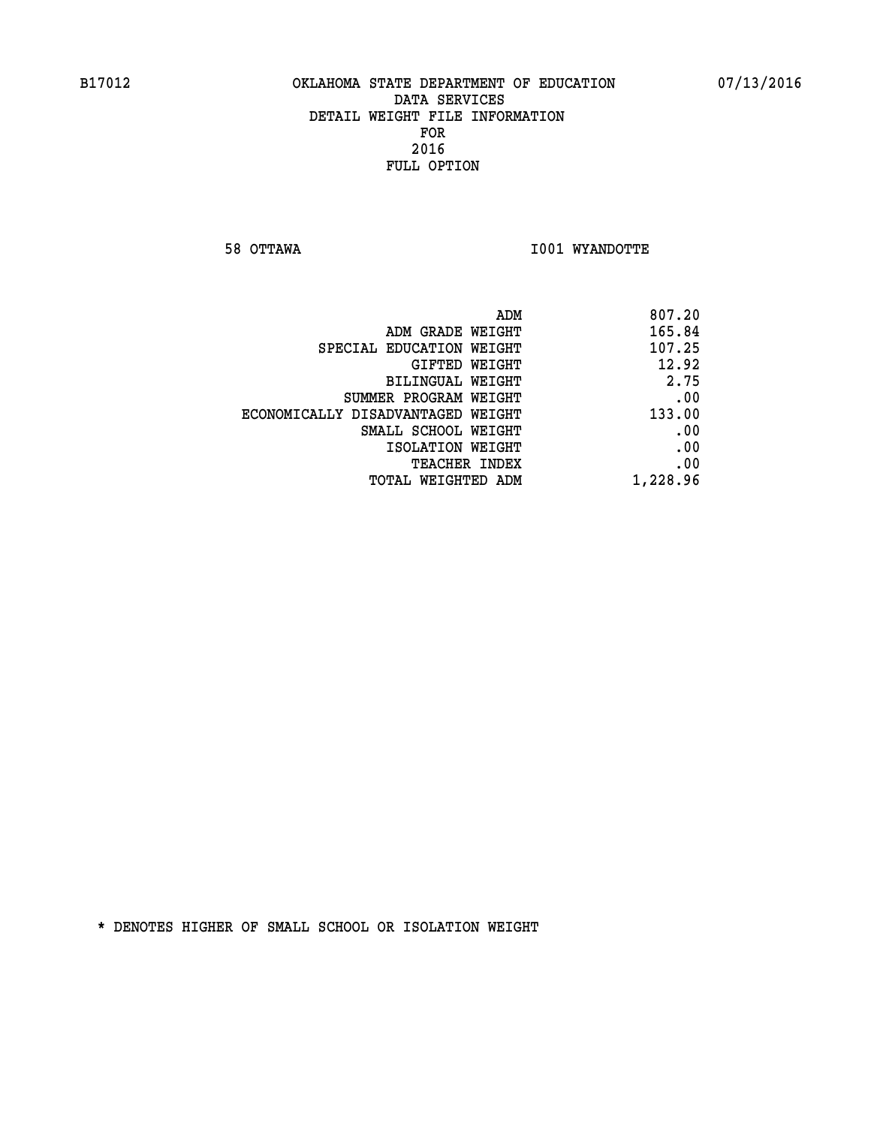**58 OTTAWA I001 WYANDOTTE** 

| ADM<br>807.20                               |
|---------------------------------------------|
| 165.84<br>ADM GRADE WEIGHT                  |
| 107.25<br>SPECIAL EDUCATION WEIGHT          |
| 12.92<br>GIFTED WEIGHT                      |
| 2.75<br><b>BILINGUAL WEIGHT</b>             |
| .00<br>SUMMER PROGRAM WEIGHT                |
| 133.00<br>ECONOMICALLY DISADVANTAGED WEIGHT |
| .00<br>SMALL SCHOOL WEIGHT                  |
| .00<br>ISOLATION WEIGHT                     |
| .00<br>TEACHER INDEX                        |
| 1,228.96<br>TOTAL WEIGHTED ADM              |
|                                             |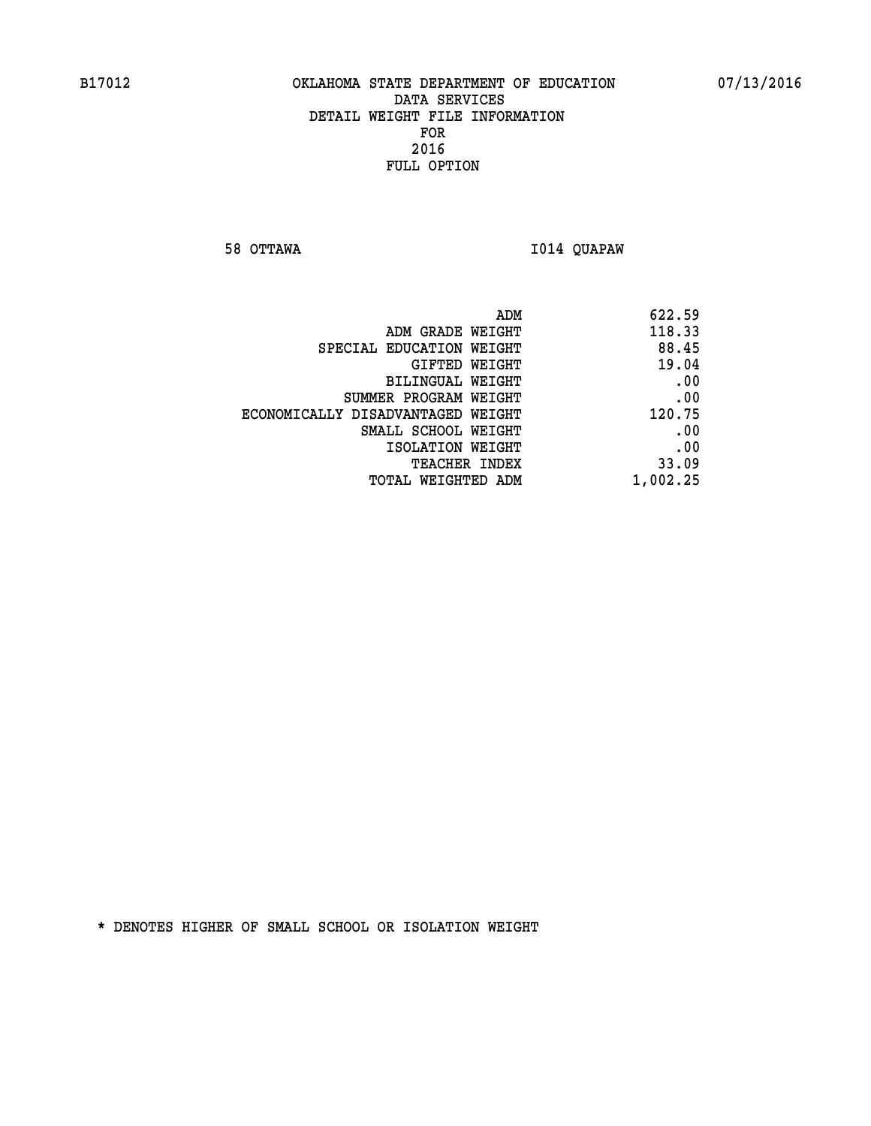**58 OTTAWA I014 QUAPAW** 

| ADM                               | 622.59   |
|-----------------------------------|----------|
| ADM GRADE WEIGHT                  | 118.33   |
| SPECIAL EDUCATION WEIGHT          | 88.45    |
| GIFTED WEIGHT                     | 19.04    |
| <b>BILINGUAL WEIGHT</b>           | .00      |
| SUMMER PROGRAM WEIGHT             | .00      |
| ECONOMICALLY DISADVANTAGED WEIGHT | 120.75   |
| SMALL SCHOOL WEIGHT               | .00      |
| ISOLATION WEIGHT                  | .00      |
| TEACHER INDEX                     | 33.09    |
| TOTAL WEIGHTED ADM                | 1,002.25 |
|                                   |          |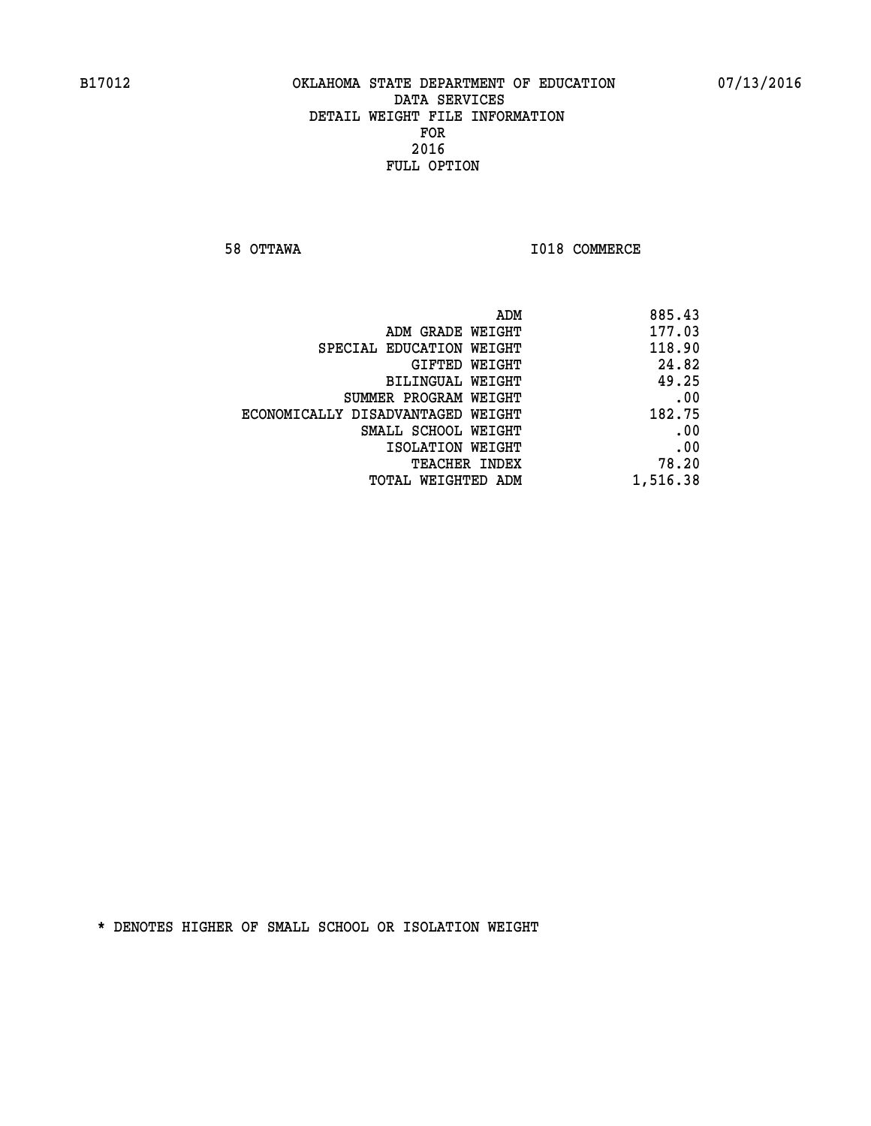**58 OTTAWA I018 COMMERCE** 

| 885.43   |
|----------|
| 177.03   |
| 118.90   |
| 24.82    |
| 49.25    |
| .00      |
| 182.75   |
| .00      |
| .00      |
| 78.20    |
| 1,516.38 |
|          |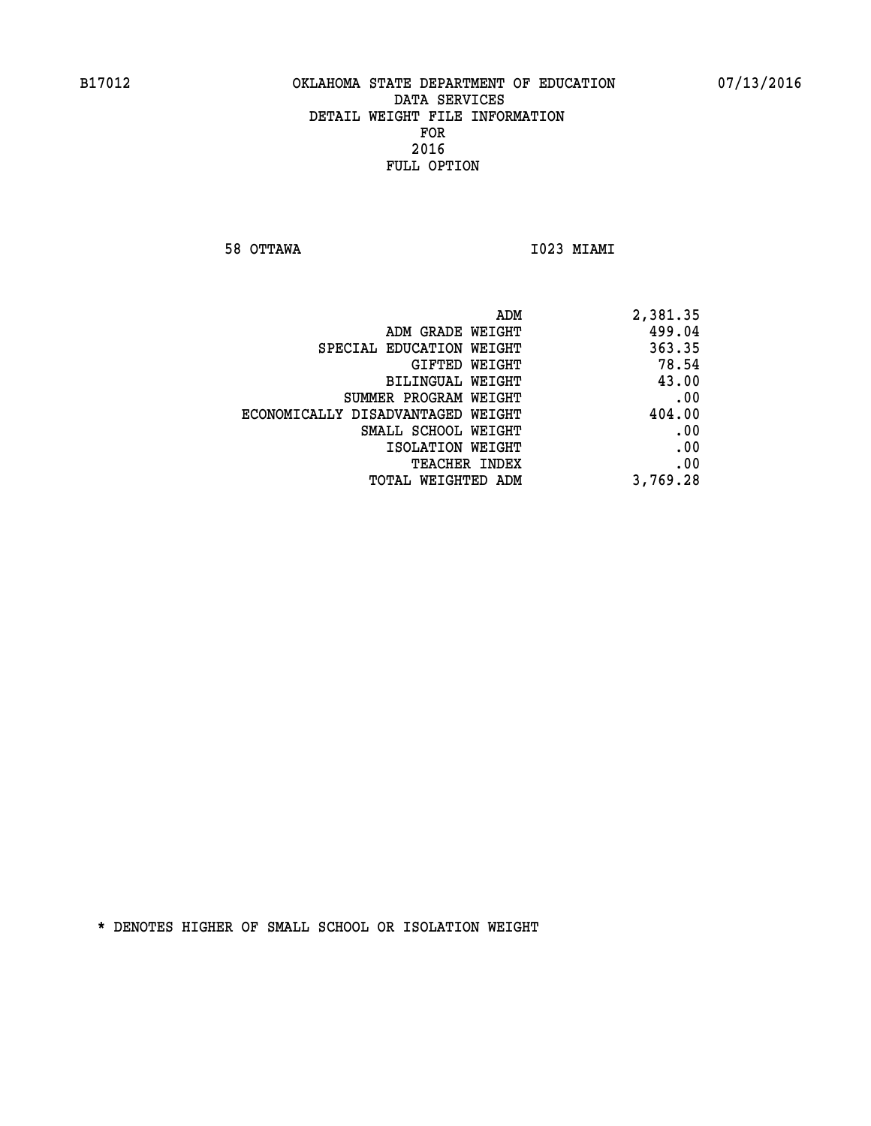**58 OTTAWA I023 MIAMI** 

| 2,381.35 |
|----------|
| 499.04   |
| 363.35   |
| 78.54    |
| 43.00    |
| .00      |
| 404.00   |
| .00      |
| .00      |
| .00      |
| 3,769.28 |
|          |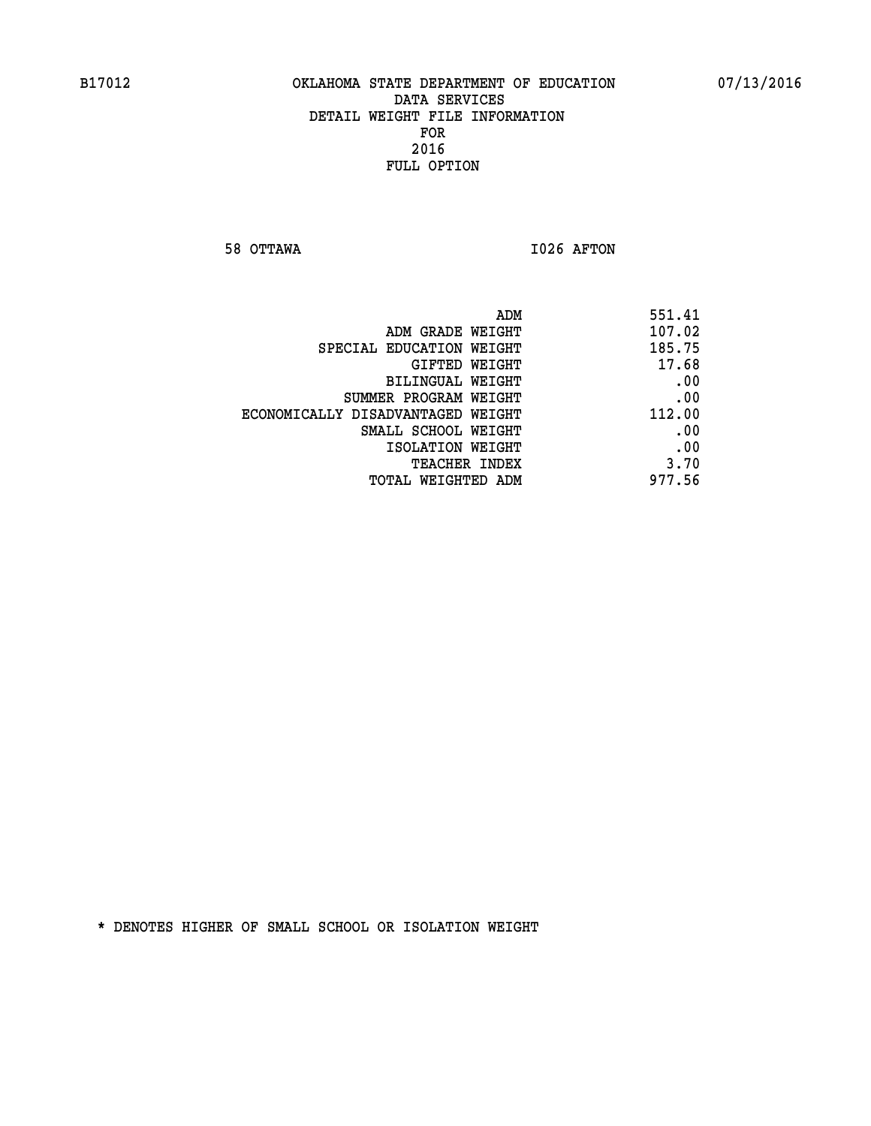**58 OTTAWA I026 AFTON** 

| ADM                               | 551.41 |
|-----------------------------------|--------|
| ADM GRADE WEIGHT                  | 107.02 |
| SPECIAL EDUCATION WEIGHT          | 185.75 |
| GIFTED WEIGHT                     | 17.68  |
| <b>BILINGUAL WEIGHT</b>           | .00    |
| SUMMER PROGRAM WEIGHT             | .00    |
| ECONOMICALLY DISADVANTAGED WEIGHT | 112.00 |
| SMALL SCHOOL WEIGHT               | .00    |
| ISOLATION WEIGHT                  | .00    |
| TEACHER INDEX                     | 3.70   |
| TOTAL WEIGHTED ADM                | 977.56 |
|                                   |        |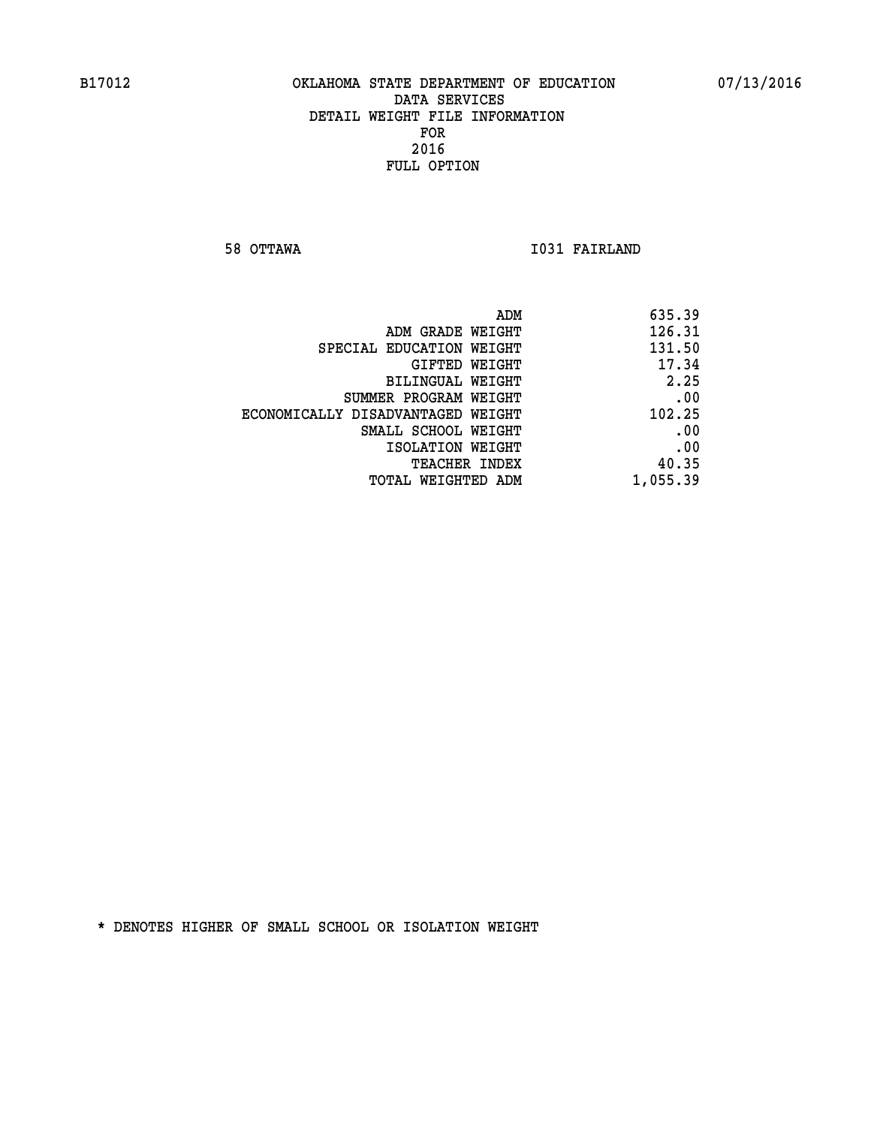**58 OTTAWA I031 FAIRLAND** 

|                                   | ADM<br>635.39 |       |
|-----------------------------------|---------------|-------|
| ADM GRADE WEIGHT                  | 126.31        |       |
| SPECIAL EDUCATION WEIGHT          | 131.50        |       |
| GIFTED WEIGHT                     |               | 17.34 |
| <b>BILINGUAL WEIGHT</b>           |               | 2.25  |
| SUMMER PROGRAM WEIGHT             |               | .00   |
| ECONOMICALLY DISADVANTAGED WEIGHT | 102.25        |       |
| SMALL SCHOOL WEIGHT               |               | .00   |
| ISOLATION WEIGHT                  |               | .00   |
| TEACHER INDEX                     |               | 40.35 |
| TOTAL WEIGHTED ADM                | 1,055.39      |       |
|                                   |               |       |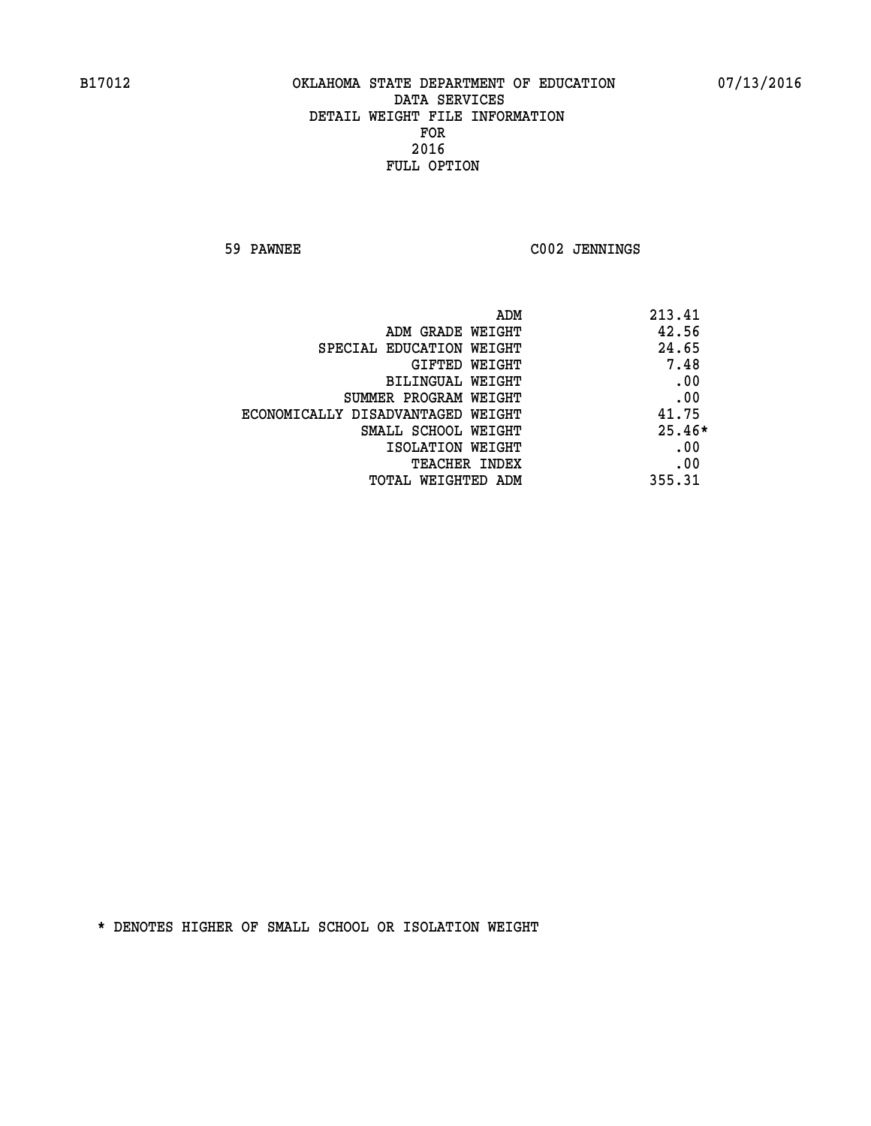**59 PAWNEE C002 JENNINGS** 

| ADM                               | 213.41   |
|-----------------------------------|----------|
| ADM GRADE WEIGHT                  | 42.56    |
| SPECIAL EDUCATION WEIGHT          | 24.65    |
| GIFTED WEIGHT                     | 7.48     |
| BILINGUAL WEIGHT                  | .00      |
| SUMMER PROGRAM WEIGHT             | .00      |
| ECONOMICALLY DISADVANTAGED WEIGHT | 41.75    |
| SMALL SCHOOL WEIGHT               | $25.46*$ |
| ISOLATION WEIGHT                  | .00      |
| <b>TEACHER INDEX</b>              | .00      |
| TOTAL WEIGHTED ADM                | 355.31   |
|                                   |          |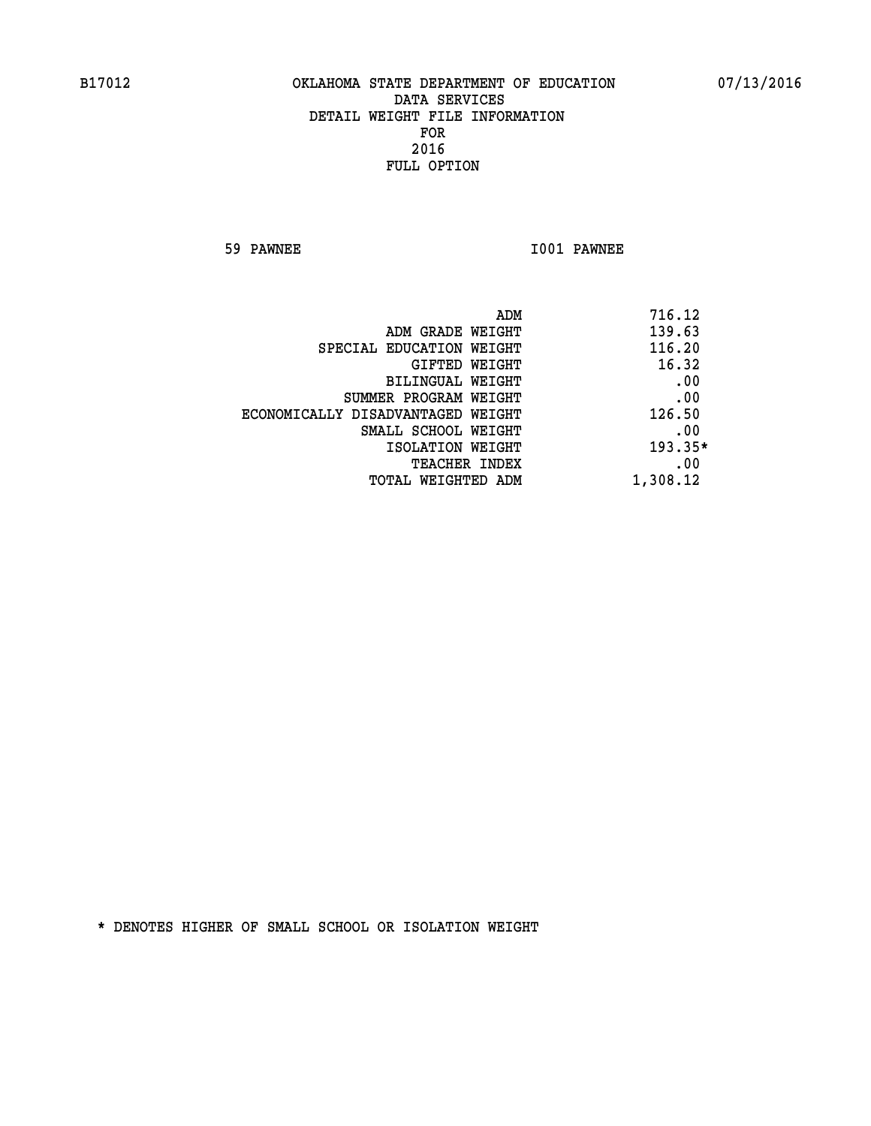**59 PAWNEE I001 PAWNEE** 

| ADM<br>716.12 |                                   |
|---------------|-----------------------------------|
| 139.63        | ADM GRADE WEIGHT                  |
| 116.20        | SPECIAL EDUCATION WEIGHT          |
| 16.32         | GIFTED WEIGHT                     |
| .00           | BILINGUAL WEIGHT                  |
| .00           | SUMMER PROGRAM WEIGHT             |
| 126.50        | ECONOMICALLY DISADVANTAGED WEIGHT |
| .00           | SMALL SCHOOL WEIGHT               |
| 193.35*       | ISOLATION WEIGHT                  |
| .00           | <b>TEACHER INDEX</b>              |
| 1,308.12      | TOTAL WEIGHTED ADM                |
|               |                                   |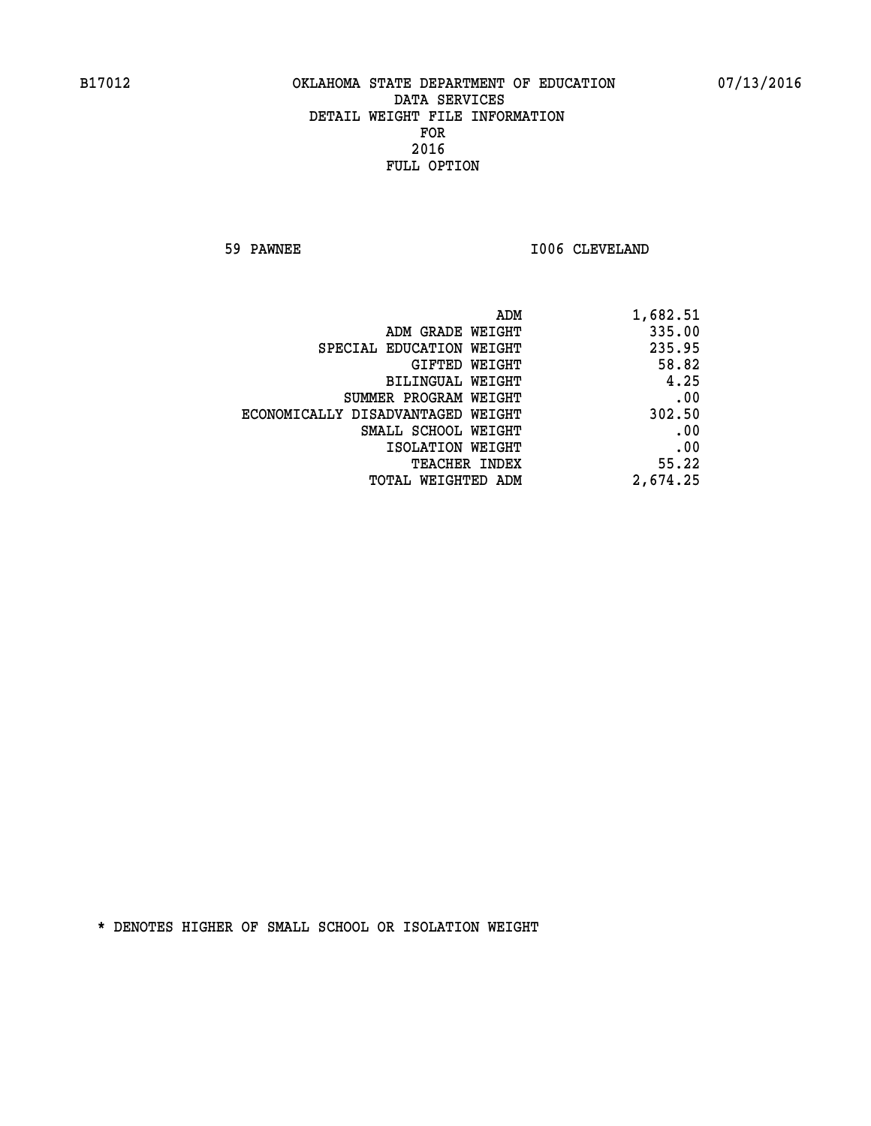**59 PAWNEE 1006 CLEVELAND** 

| 1,682.51 |
|----------|
| 335.00   |
| 235.95   |
| 58.82    |
| 4.25     |
| .00      |
| 302.50   |
| .00      |
| .00      |
| 55.22    |
| 2,674.25 |
|          |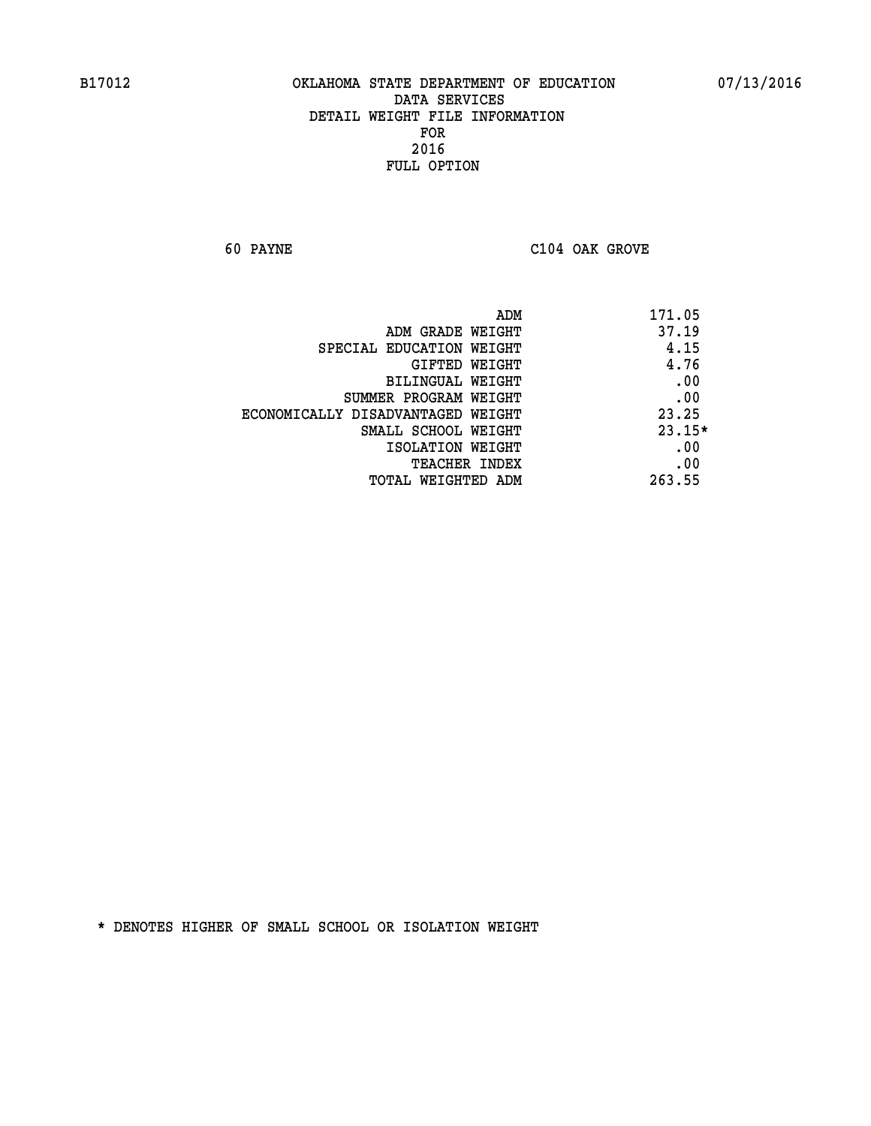**60 PAYNE C104 OAK GROVE** 

| ADM<br>171.05                              |          |
|--------------------------------------------|----------|
| 37.19<br>ADM GRADE WEIGHT                  |          |
| SPECIAL EDUCATION WEIGHT                   | 4.15     |
| <b>GIFTED WEIGHT</b>                       | 4.76     |
| <b>BILINGUAL WEIGHT</b>                    | .00      |
| SUMMER PROGRAM WEIGHT                      | .00      |
| 23.25<br>ECONOMICALLY DISADVANTAGED WEIGHT |          |
| SMALL SCHOOL WEIGHT                        | $23.15*$ |
| ISOLATION WEIGHT                           | .00      |
| <b>TEACHER INDEX</b>                       | .00      |
| 263.55<br>TOTAL WEIGHTED ADM               |          |
|                                            |          |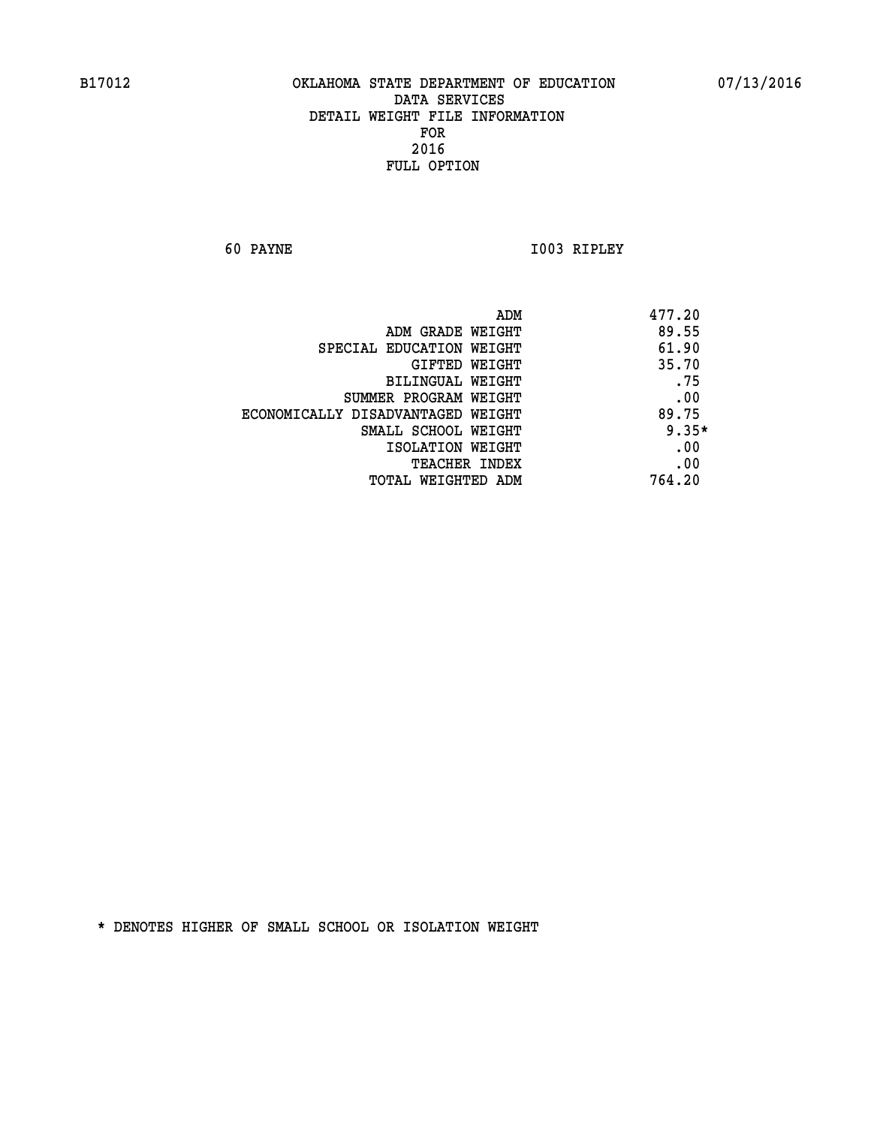**60 PAYNE I003 RIPLEY** 

| ADM                               | 477.20  |
|-----------------------------------|---------|
| ADM GRADE WEIGHT                  | 89.55   |
| SPECIAL EDUCATION WEIGHT          | 61.90   |
| GIFTED WEIGHT                     | 35.70   |
| BILINGUAL WEIGHT                  | .75     |
| SUMMER PROGRAM WEIGHT             | .00     |
| ECONOMICALLY DISADVANTAGED WEIGHT | 89.75   |
| SMALL SCHOOL WEIGHT               | $9.35*$ |
| ISOLATION WEIGHT                  | .00     |
| <b>TEACHER INDEX</b>              | .00     |
| TOTAL WEIGHTED ADM                | 764.20  |
|                                   |         |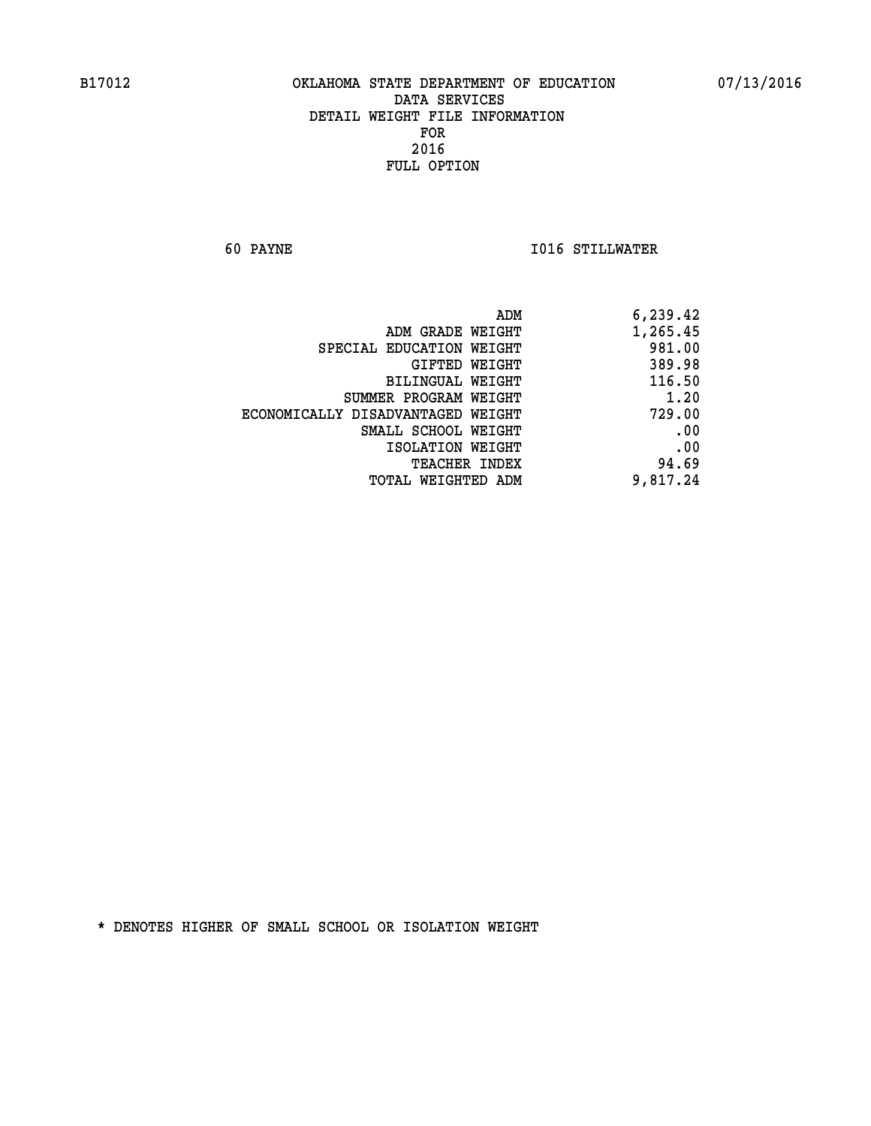**60 PAYNE I016 STILLWATER** 

| 6,239.42 |
|----------|
| 1,265.45 |
| 981.00   |
| 389.98   |
| 116.50   |
| 1.20     |
| 729.00   |
| .00      |
| .00      |
| 94.69    |
| 9,817.24 |
|          |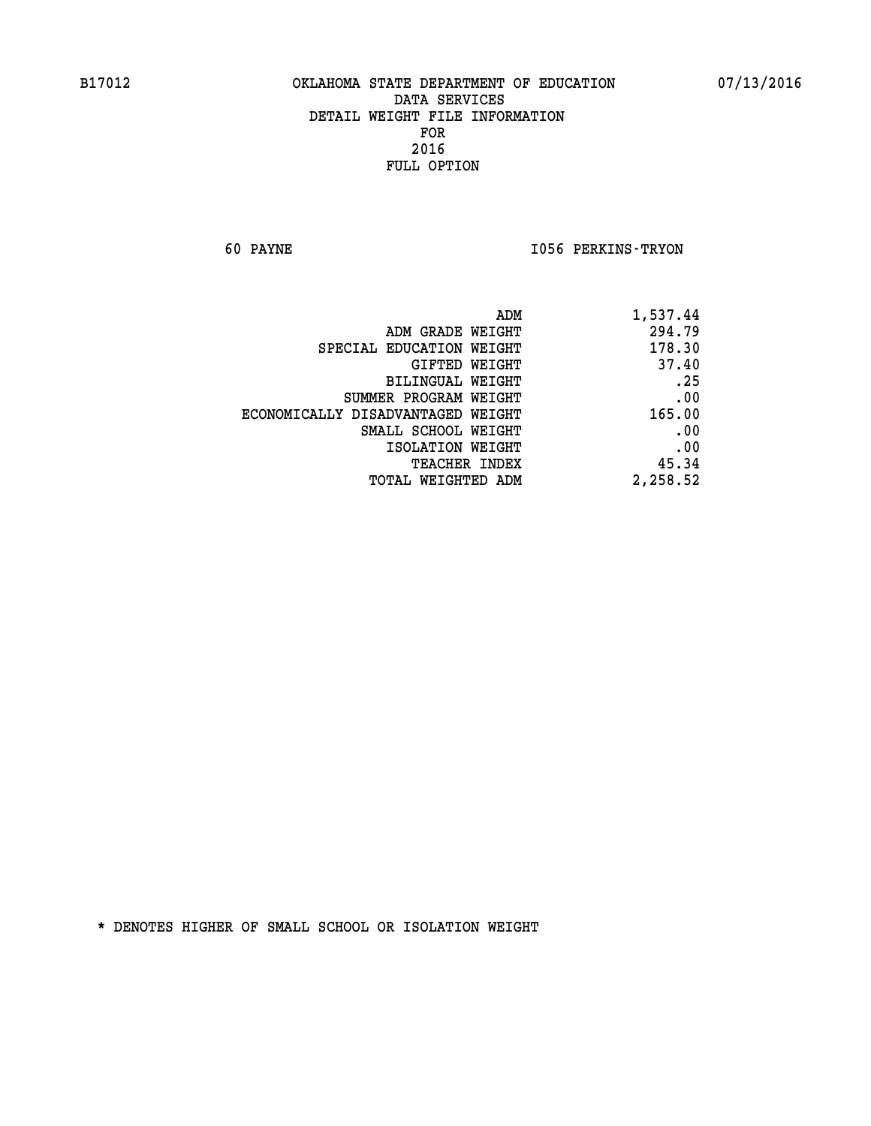**60 PAYNE I056 PERKINS-TRYON** 

| 1,537.44                                                                                                                                              |
|-------------------------------------------------------------------------------------------------------------------------------------------------------|
| 294.79                                                                                                                                                |
| 178.30                                                                                                                                                |
| 37.40                                                                                                                                                 |
| .25                                                                                                                                                   |
| .00                                                                                                                                                   |
| 165.00                                                                                                                                                |
| .00                                                                                                                                                   |
| .00                                                                                                                                                   |
| 45.34                                                                                                                                                 |
| 2,258.52                                                                                                                                              |
| ADM GRADE WEIGHT<br>SPECIAL EDUCATION WEIGHT<br>BILINGUAL WEIGHT<br>SUMMER PROGRAM WEIGHT<br>ECONOMICALLY DISADVANTAGED WEIGHT<br>SMALL SCHOOL WEIGHT |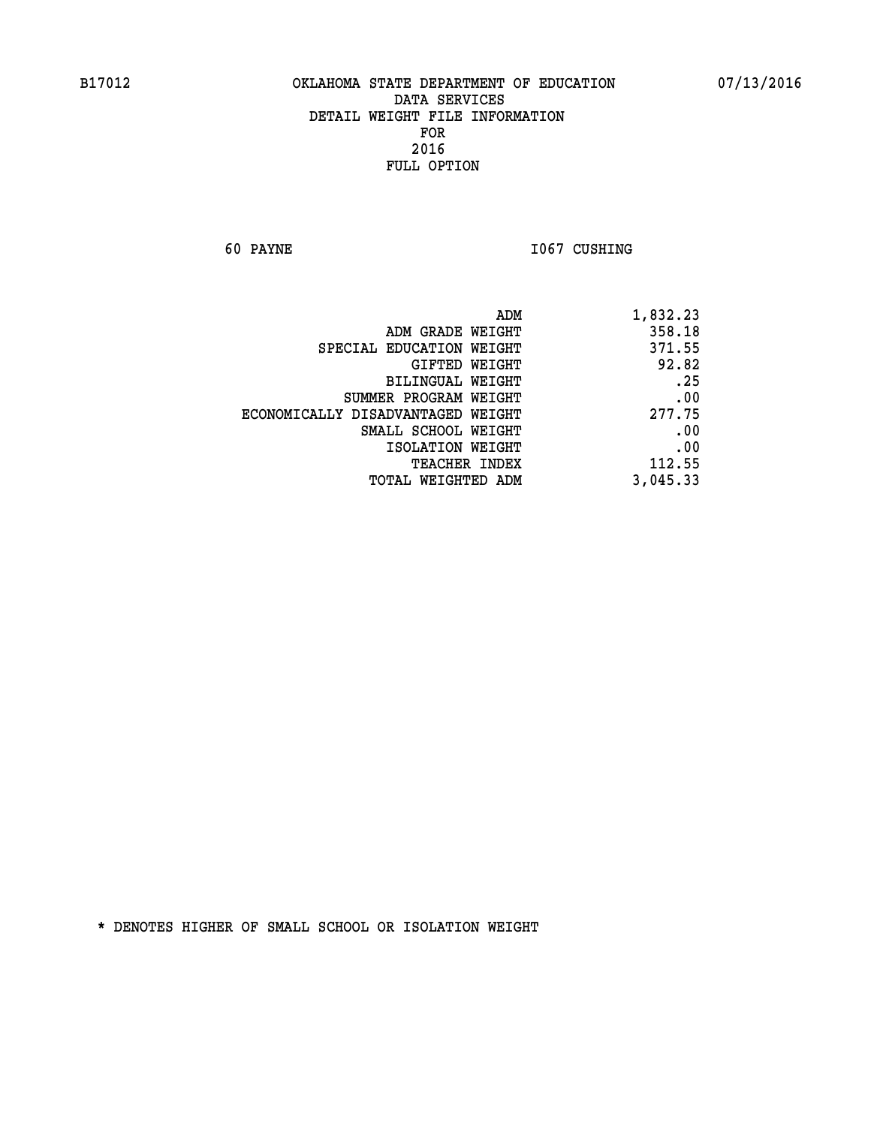**60 PAYNE 1067 CUSHING** 

| 1,832.23 |
|----------|
| 358.18   |
| 371.55   |
| 92.82    |
| .25      |
| .00      |
| 277.75   |
| .00      |
| .00      |
| 112.55   |
| 3,045.33 |
|          |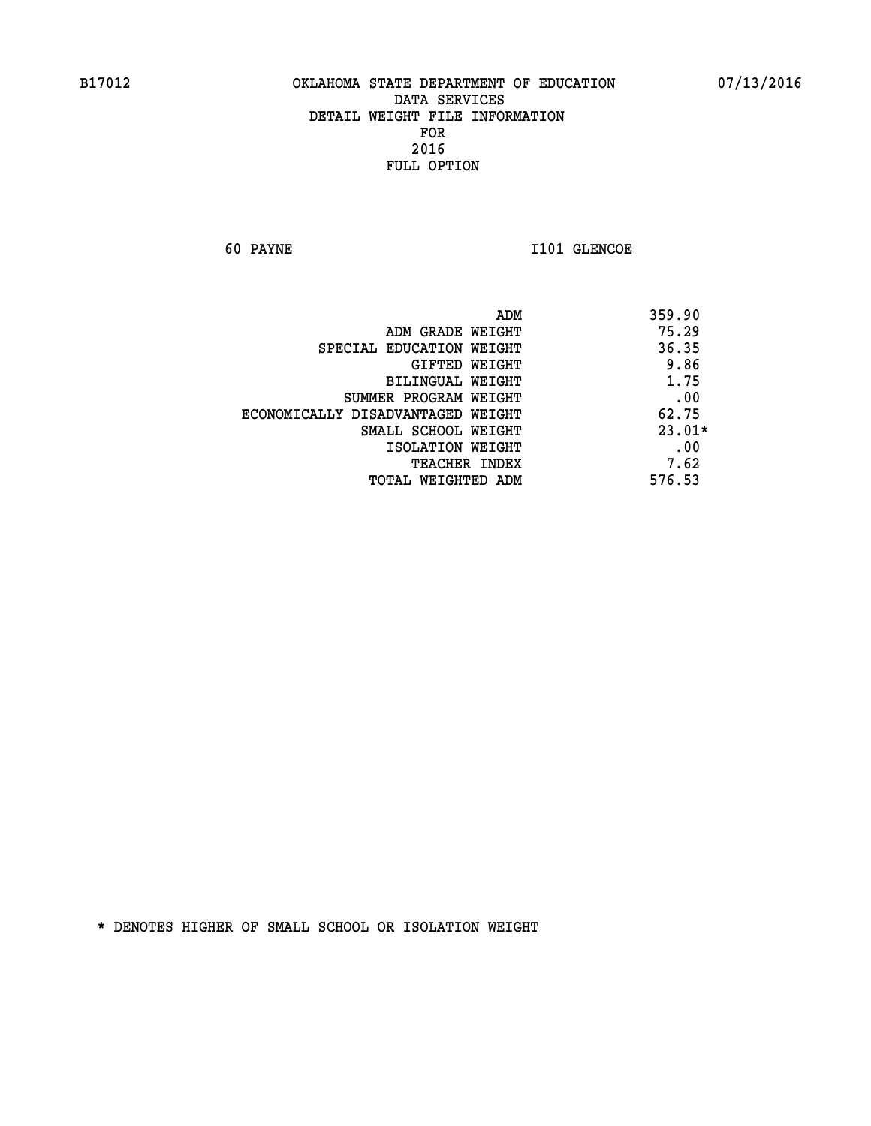**60 PAYNE 1101 GLENCOE** 

|                                   | ADM | 359.90   |
|-----------------------------------|-----|----------|
| ADM GRADE WEIGHT                  |     | 75.29    |
| SPECIAL EDUCATION WEIGHT          |     | 36.35    |
| GIFTED WEIGHT                     |     | 9.86     |
| BILINGUAL WEIGHT                  |     | 1.75     |
| SUMMER PROGRAM WEIGHT             |     | .00      |
| ECONOMICALLY DISADVANTAGED WEIGHT |     | 62.75    |
| SMALL SCHOOL WEIGHT               |     | $23.01*$ |
| ISOLATION WEIGHT                  |     | .00      |
| <b>TEACHER INDEX</b>              |     | 7.62     |
| TOTAL WEIGHTED ADM                |     | 576.53   |
|                                   |     |          |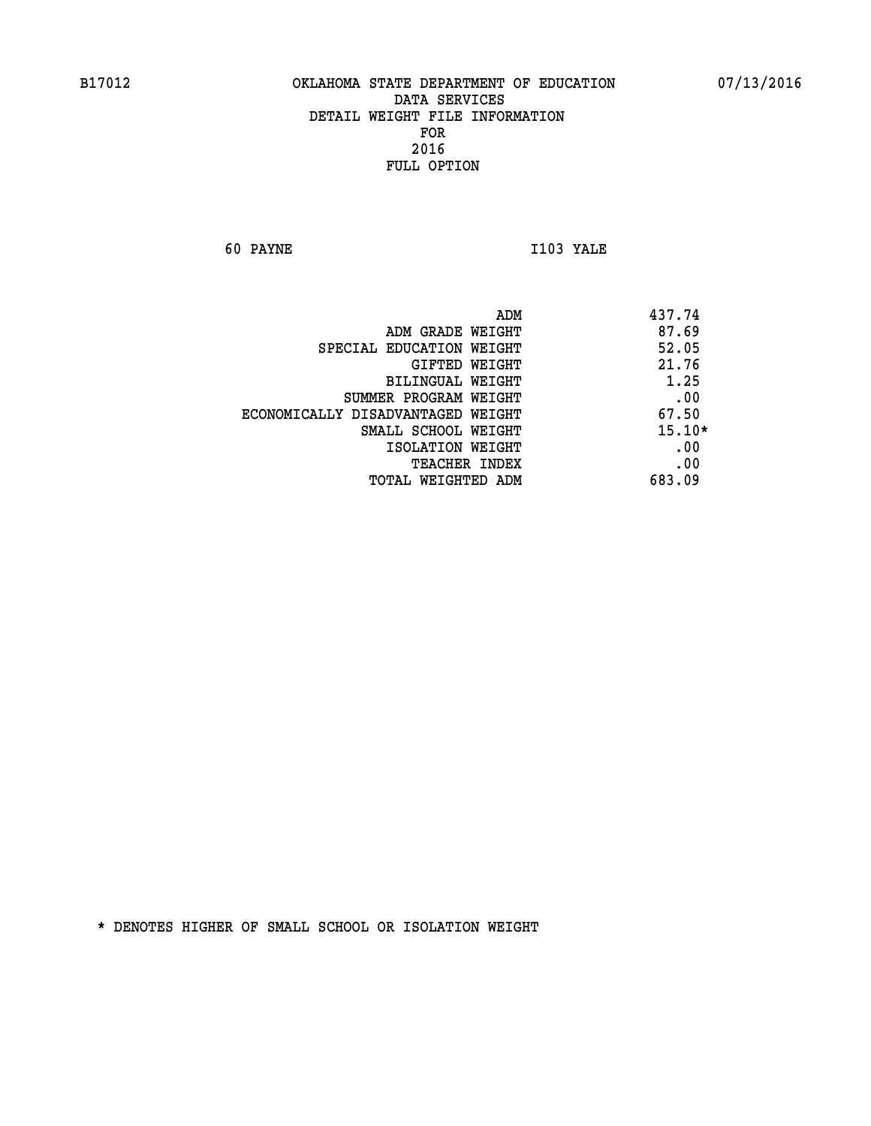**60 PAYNE I103 YALE** 

|                                   | ADM | 437.74   |
|-----------------------------------|-----|----------|
| ADM GRADE WEIGHT                  |     | 87.69    |
| SPECIAL EDUCATION WEIGHT          |     | 52.05    |
| <b>GIFTED WEIGHT</b>              |     | 21.76    |
| BILINGUAL WEIGHT                  |     | 1.25     |
| SUMMER PROGRAM WEIGHT             |     | .00      |
| ECONOMICALLY DISADVANTAGED WEIGHT |     | 67.50    |
| SMALL SCHOOL WEIGHT               |     | $15.10*$ |
| ISOLATION WEIGHT                  |     | .00      |
| TEACHER INDEX                     |     | .00      |
| TOTAL WEIGHTED ADM                |     | 683.09   |
|                                   |     |          |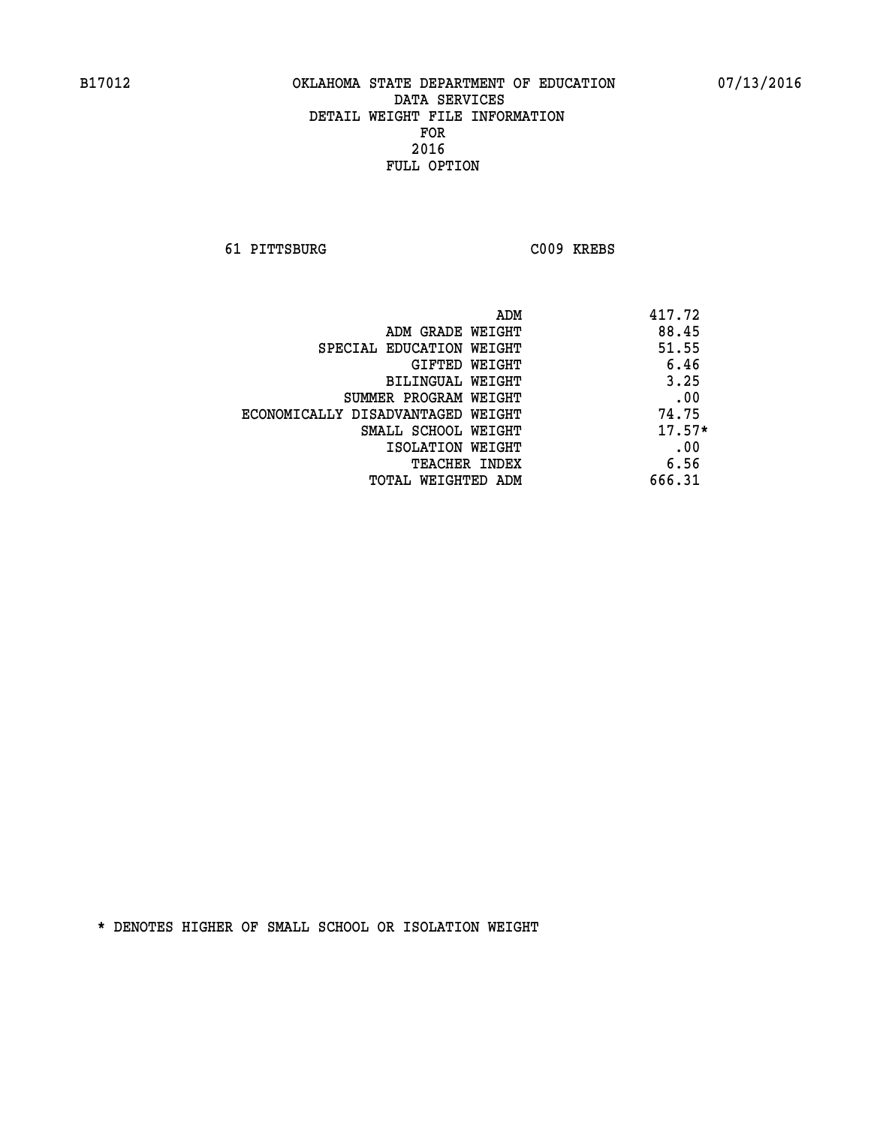**61 PITTSBURG C009 KREBS** 

|                                   | ADM | 417.72   |
|-----------------------------------|-----|----------|
| ADM GRADE WEIGHT                  |     | 88.45    |
| SPECIAL EDUCATION WEIGHT          |     | 51.55    |
| GIFTED WEIGHT                     |     | 6.46     |
| BILINGUAL WEIGHT                  |     | 3.25     |
| SUMMER PROGRAM WEIGHT             |     | .00      |
| ECONOMICALLY DISADVANTAGED WEIGHT |     | 74.75    |
| SMALL SCHOOL WEIGHT               |     | $17.57*$ |
| ISOLATION WEIGHT                  |     | .00      |
| <b>TEACHER INDEX</b>              |     | 6.56     |
| TOTAL WEIGHTED ADM                |     | 666.31   |
|                                   |     |          |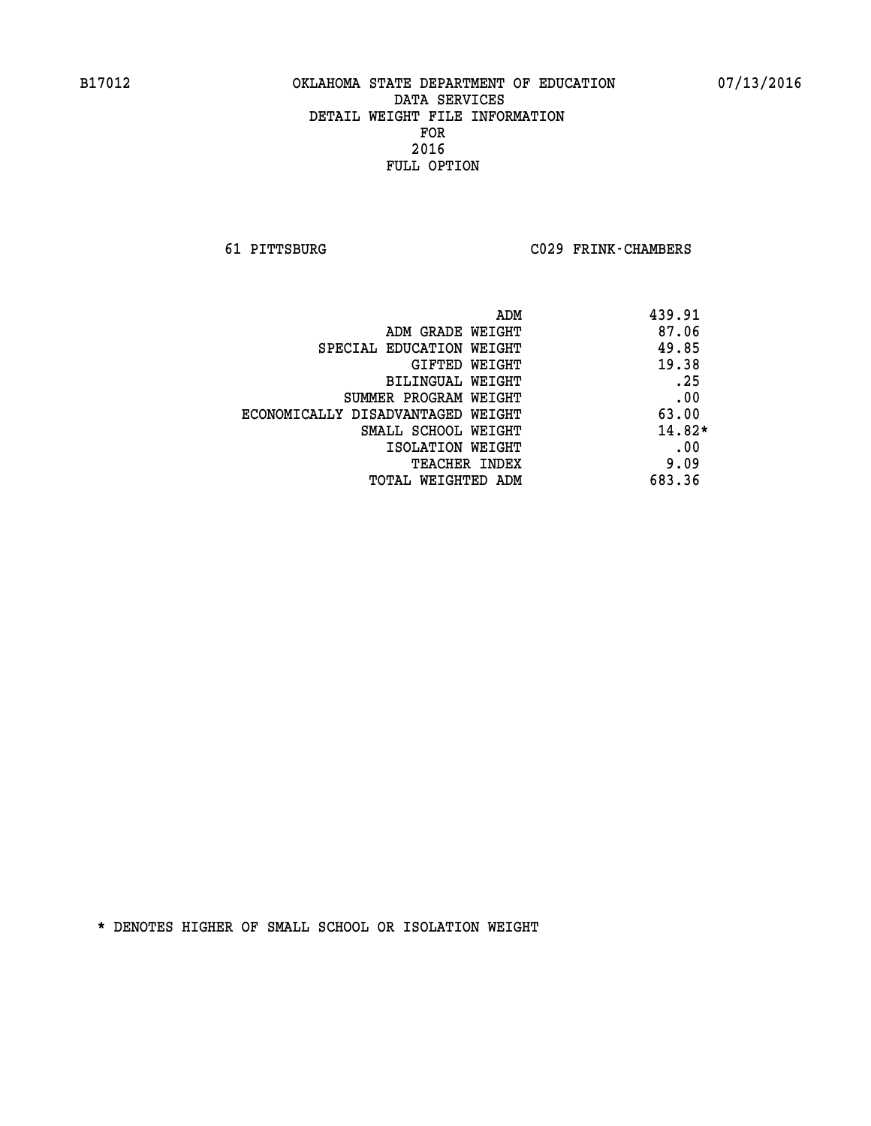**61 PITTSBURG C029 FRINK-CHAMBERS** 

|                                   | 439.91<br>ADM |
|-----------------------------------|---------------|
| ADM GRADE WEIGHT                  | 87.06         |
| SPECIAL EDUCATION WEIGHT          | 49.85         |
| GIFTED WEIGHT                     | 19.38         |
| BILINGUAL WEIGHT                  | .25           |
| SUMMER PROGRAM WEIGHT             | .00           |
| ECONOMICALLY DISADVANTAGED WEIGHT | 63.00         |
| SMALL SCHOOL WEIGHT               | $14.82*$      |
| ISOLATION WEIGHT                  | .00           |
| TEACHER INDEX                     | 9.09          |
| TOTAL WEIGHTED ADM                | 683.36        |
|                                   |               |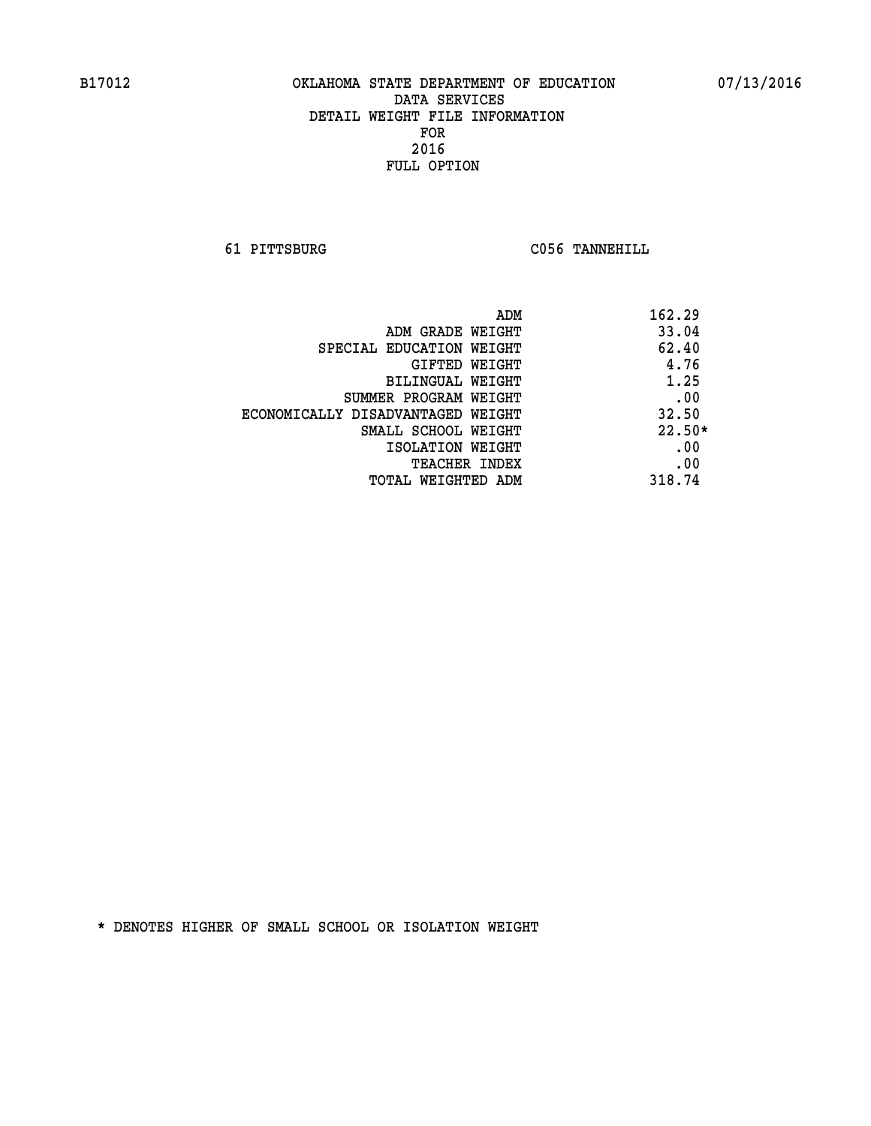**61 PITTSBURG C056 TANNEHILL** 

| ADM                               | 162.29   |
|-----------------------------------|----------|
| ADM GRADE WEIGHT                  | 33.04    |
| SPECIAL EDUCATION WEIGHT          | 62.40    |
| GIFTED WEIGHT                     | 4.76     |
| BILINGUAL WEIGHT                  | 1.25     |
| SUMMER PROGRAM WEIGHT             | .00      |
| ECONOMICALLY DISADVANTAGED WEIGHT | 32.50    |
| SMALL SCHOOL WEIGHT               | $22.50*$ |
| ISOLATION WEIGHT                  | .00      |
| <b>TEACHER INDEX</b>              | .00      |
| TOTAL WEIGHTED ADM                | 318.74   |
|                                   |          |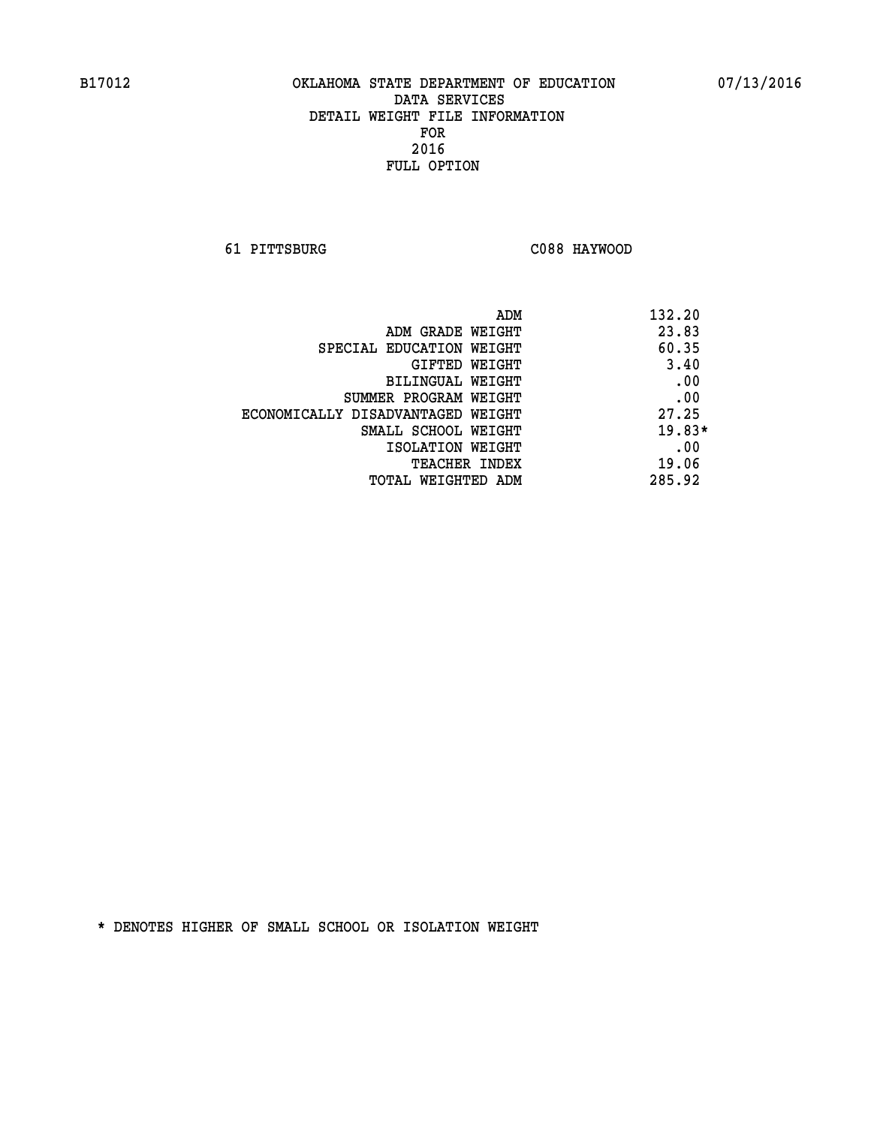**61 PITTSBURG C088 HAYWOOD** 

| ADM                               | 132.20   |
|-----------------------------------|----------|
| ADM GRADE WEIGHT                  | 23.83    |
| SPECIAL EDUCATION WEIGHT          | 60.35    |
| GIFTED WEIGHT                     | 3.40     |
| BILINGUAL WEIGHT                  | .00      |
| SUMMER PROGRAM WEIGHT             | .00      |
| ECONOMICALLY DISADVANTAGED WEIGHT | 27.25    |
| SMALL SCHOOL WEIGHT               | $19.83*$ |
| ISOLATION WEIGHT                  | .00      |
| <b>TEACHER INDEX</b>              | 19.06    |
| TOTAL WEIGHTED ADM                | 285.92   |
|                                   |          |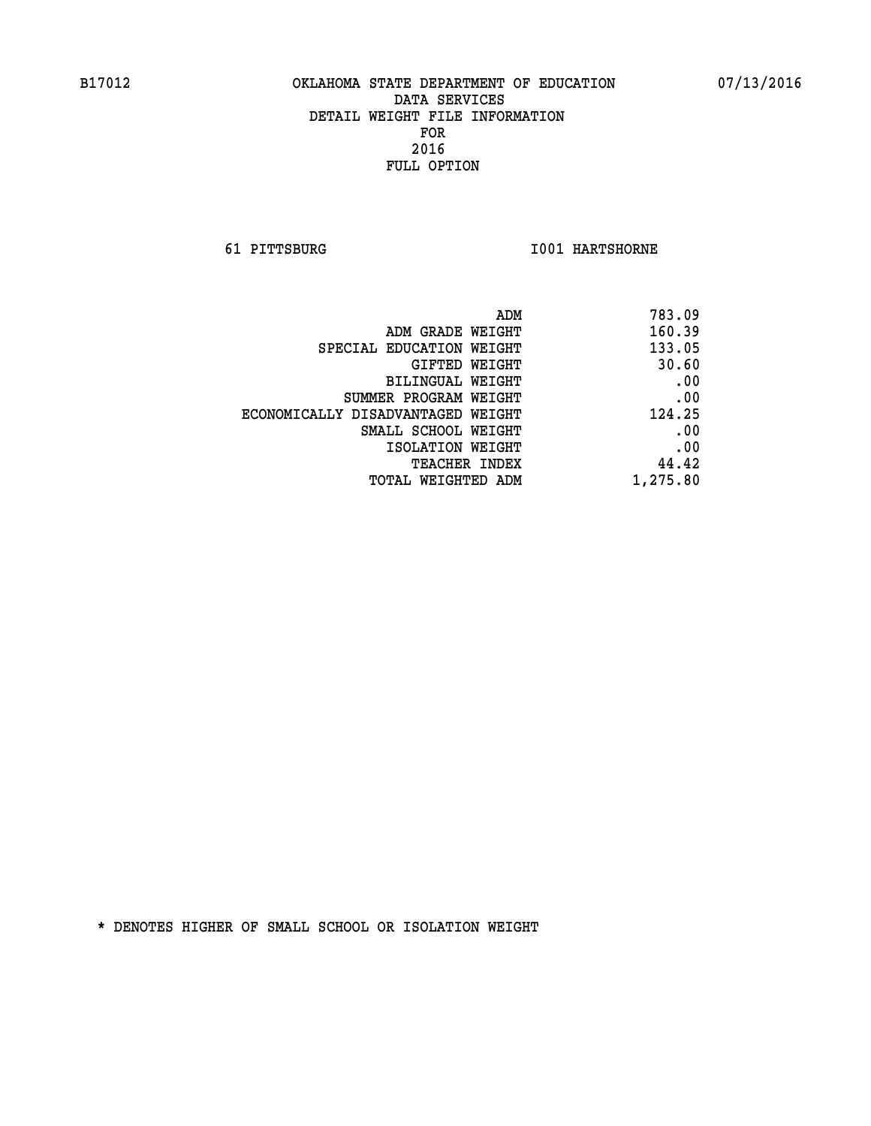**61 PITTSBURG I001 HARTSHORNE** 

| 783.09   |
|----------|
| 160.39   |
| 133.05   |
| 30.60    |
| .00      |
| .00      |
| 124.25   |
| .00      |
| .00      |
| 44.42    |
| 1,275.80 |
|          |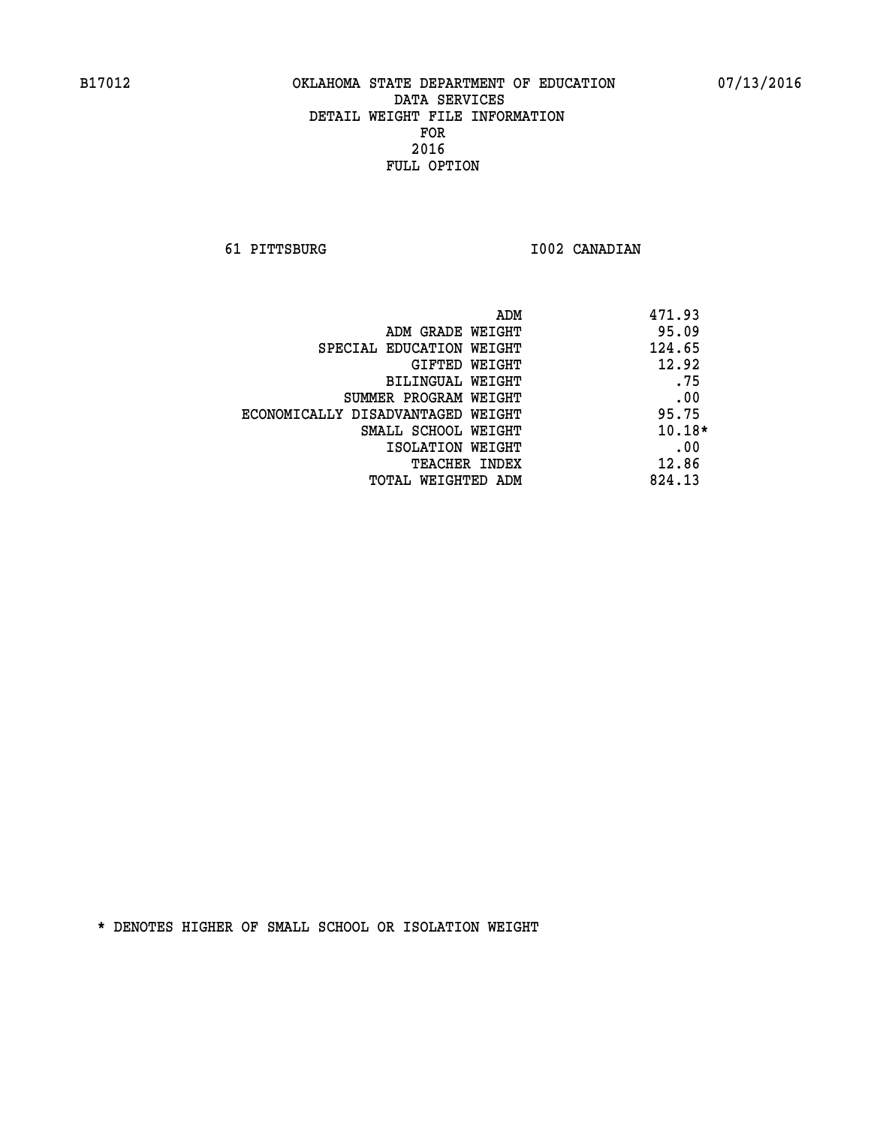**61 PITTSBURG I002 CANADIAN** 

| ADM                               | 471.93   |
|-----------------------------------|----------|
| ADM GRADE WEIGHT                  | 95.09    |
| SPECIAL EDUCATION WEIGHT          | 124.65   |
| GIFTED WEIGHT                     | 12.92    |
| BILINGUAL WEIGHT                  | .75      |
| SUMMER PROGRAM WEIGHT             | .00      |
| ECONOMICALLY DISADVANTAGED WEIGHT | 95.75    |
| SMALL SCHOOL WEIGHT               | $10.18*$ |
| ISOLATION WEIGHT                  | .00      |
| <b>TEACHER INDEX</b>              | 12.86    |
| TOTAL WEIGHTED ADM                | 824.13   |
|                                   |          |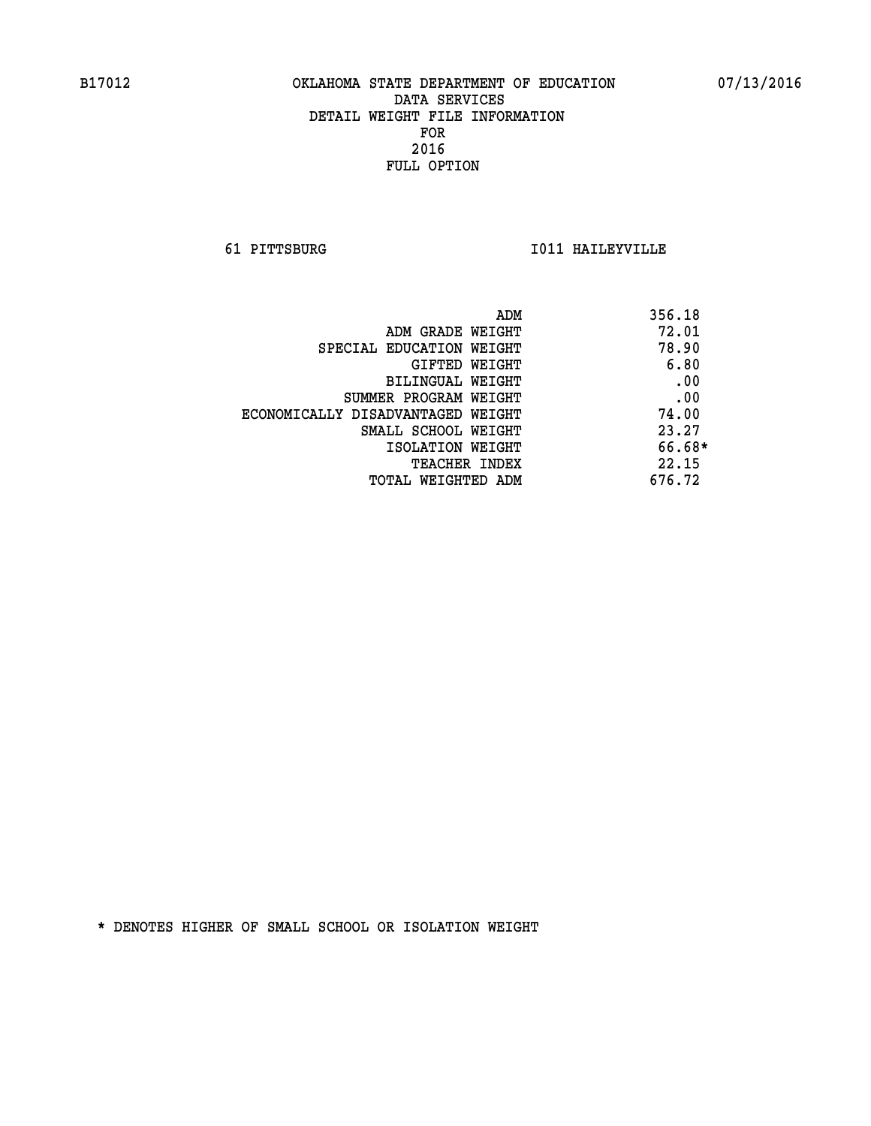**61 PITTSBURG I011 HAILEYVILLE** 

| ADM                               | 356.18 |
|-----------------------------------|--------|
| ADM GRADE WEIGHT                  | 72.01  |
| SPECIAL EDUCATION WEIGHT          | 78.90  |
| GIFTED WEIGHT                     | 6.80   |
| BILINGUAL WEIGHT                  | .00    |
| SUMMER PROGRAM WEIGHT             | .00    |
| ECONOMICALLY DISADVANTAGED WEIGHT | 74.00  |
| SMALL SCHOOL WEIGHT               | 23.27  |
| ISOLATION WEIGHT                  | 66.68* |
| <b>TEACHER INDEX</b>              | 22.15  |
| TOTAL WEIGHTED ADM                | 676.72 |
|                                   |        |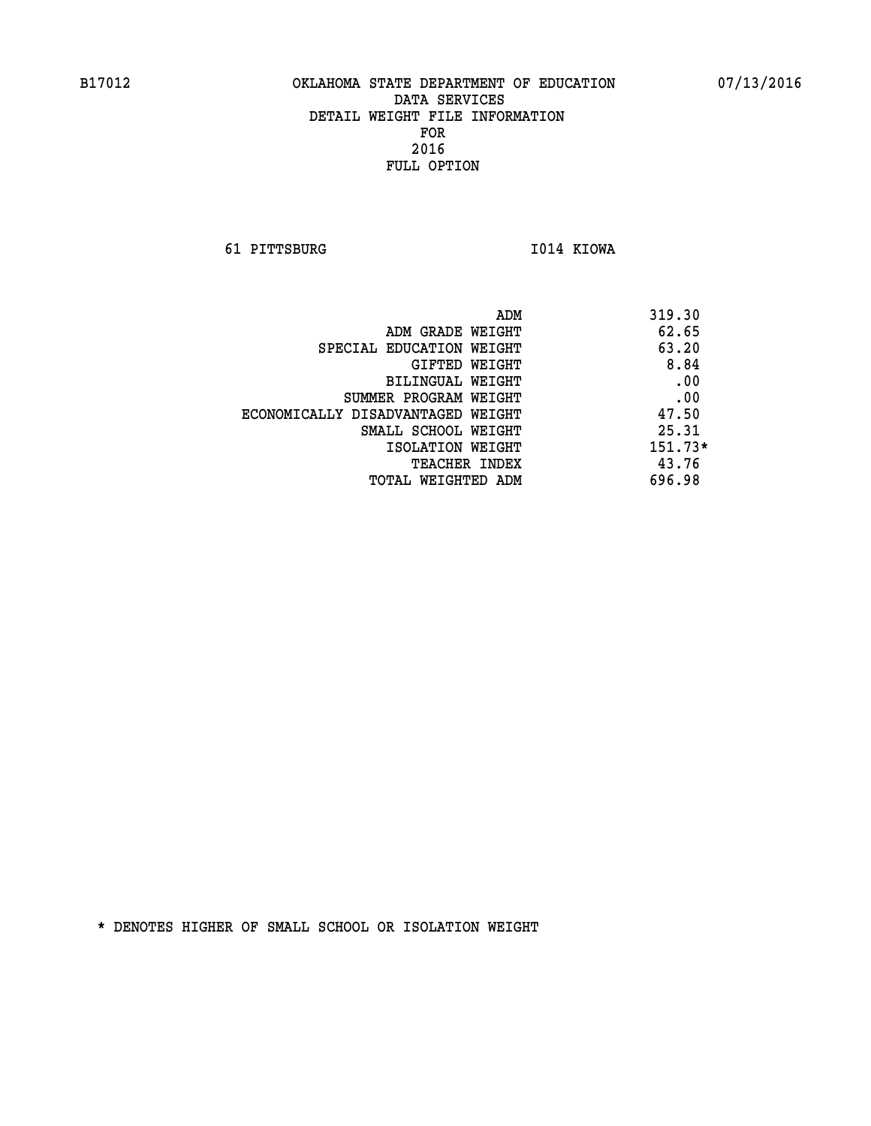**61 PITTSBURG I014 KIOWA** 

|                                   | 319.30<br>ADM |
|-----------------------------------|---------------|
| ADM GRADE WEIGHT                  | 62.65         |
| SPECIAL EDUCATION WEIGHT          | 63.20         |
| GIFTED WEIGHT                     | 8.84          |
| BILINGUAL WEIGHT                  | .00           |
| SUMMER PROGRAM WEIGHT             | .00           |
| ECONOMICALLY DISADVANTAGED WEIGHT | 47.50         |
| SMALL SCHOOL WEIGHT               | 25.31         |
| ISOLATION WEIGHT                  | 151.73*       |
| <b>TEACHER INDEX</b>              | 43.76         |
| TOTAL WEIGHTED ADM                | 696.98        |
|                                   |               |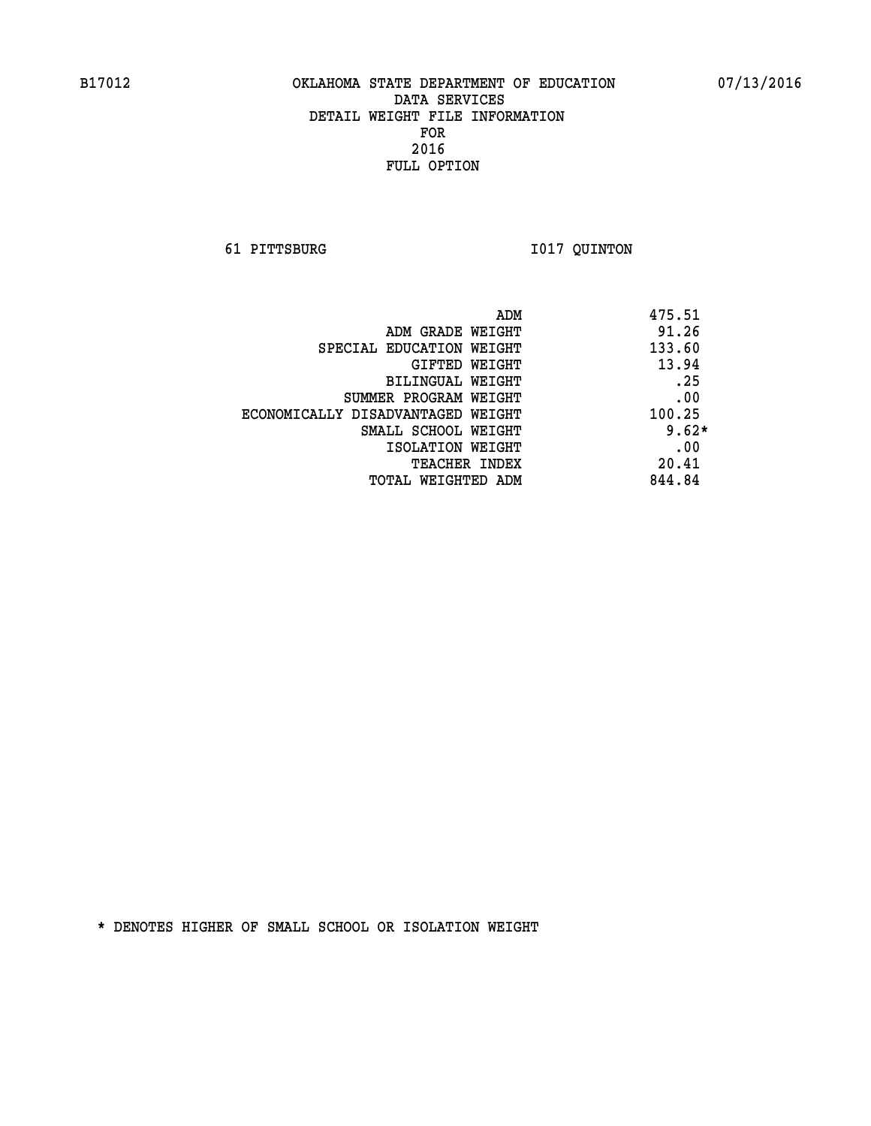**61 PITTSBURG I017 QUINTON** 

| 475.51<br>ADM |                                   |
|---------------|-----------------------------------|
| 91.26         | ADM GRADE WEIGHT                  |
| 133.60        | SPECIAL EDUCATION WEIGHT          |
| 13.94         | GIFTED WEIGHT                     |
| .25           | BILINGUAL WEIGHT                  |
| .00           | SUMMER PROGRAM WEIGHT             |
| 100.25        | ECONOMICALLY DISADVANTAGED WEIGHT |
| $9.62*$       | SMALL SCHOOL WEIGHT               |
| .00           | ISOLATION WEIGHT                  |
| 20.41         | <b>TEACHER INDEX</b>              |
| 844.84        | TOTAL WEIGHTED ADM                |
|               |                                   |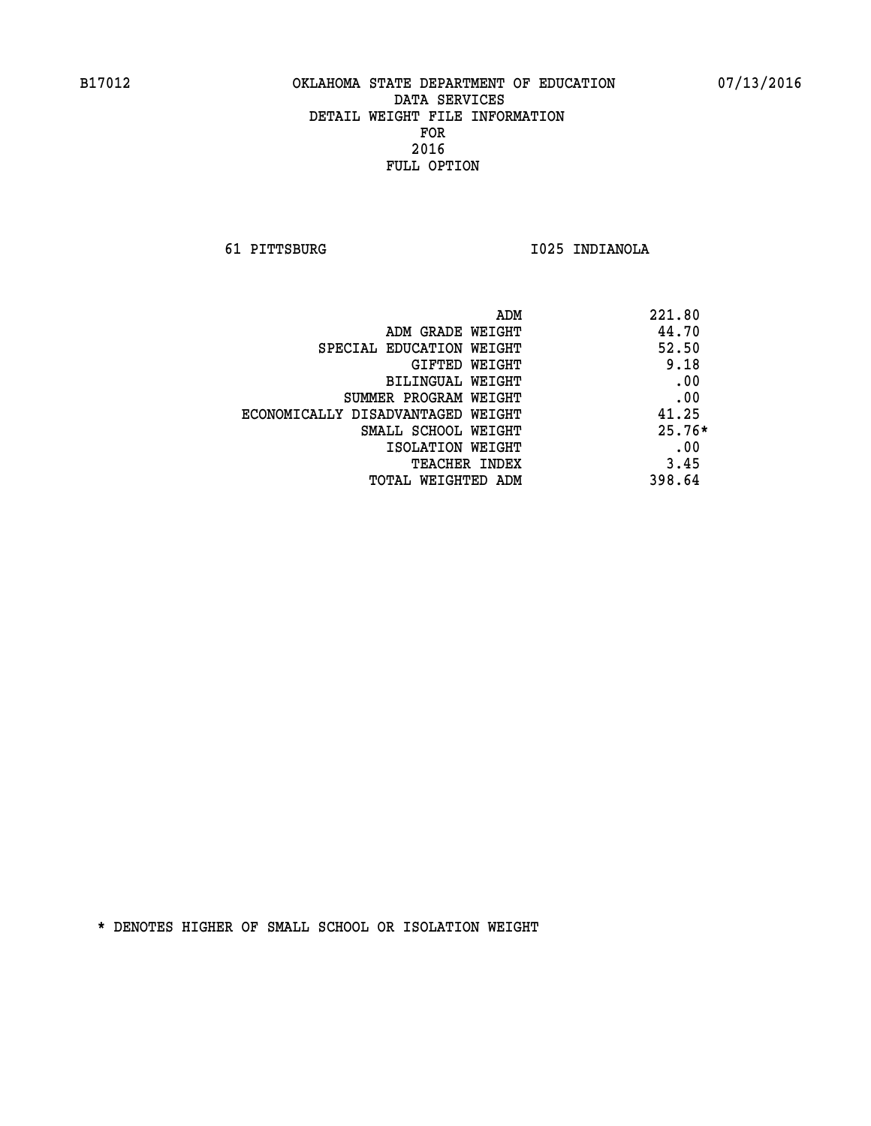**61 PITTSBURG I025 INDIANOLA** 

| ADM                               | 221.80   |
|-----------------------------------|----------|
| ADM GRADE WEIGHT                  | 44.70    |
| SPECIAL EDUCATION WEIGHT          | 52.50    |
| GIFTED WEIGHT                     | 9.18     |
| BILINGUAL WEIGHT                  | .00      |
| SUMMER PROGRAM WEIGHT             | .00      |
| ECONOMICALLY DISADVANTAGED WEIGHT | 41.25    |
| SMALL SCHOOL WEIGHT               | $25.76*$ |
| ISOLATION WEIGHT                  | .00      |
| <b>TEACHER INDEX</b>              | 3.45     |
| TOTAL WEIGHTED ADM                | 398.64   |
|                                   |          |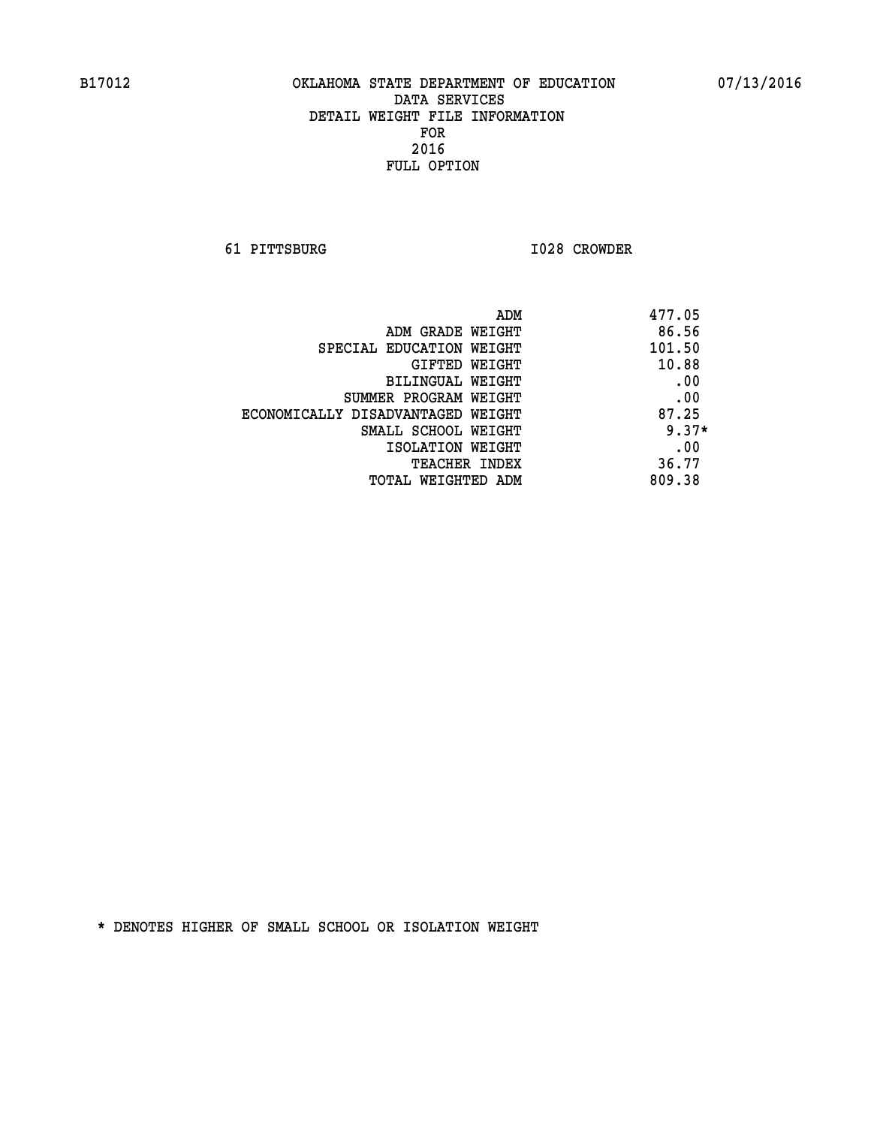**61 PITTSBURG I028 CROWDER** 

| ADM                               | 477.05  |
|-----------------------------------|---------|
| ADM GRADE WEIGHT                  | 86.56   |
| SPECIAL EDUCATION WEIGHT          | 101.50  |
| GIFTED WEIGHT                     | 10.88   |
| BILINGUAL WEIGHT                  | .00     |
| SUMMER PROGRAM WEIGHT             | .00     |
| ECONOMICALLY DISADVANTAGED WEIGHT | 87.25   |
| SMALL SCHOOL WEIGHT               | $9.37*$ |
| ISOLATION WEIGHT                  | .00     |
| <b>TEACHER INDEX</b>              | 36.77   |
| TOTAL WEIGHTED ADM                | 809.38  |
|                                   |         |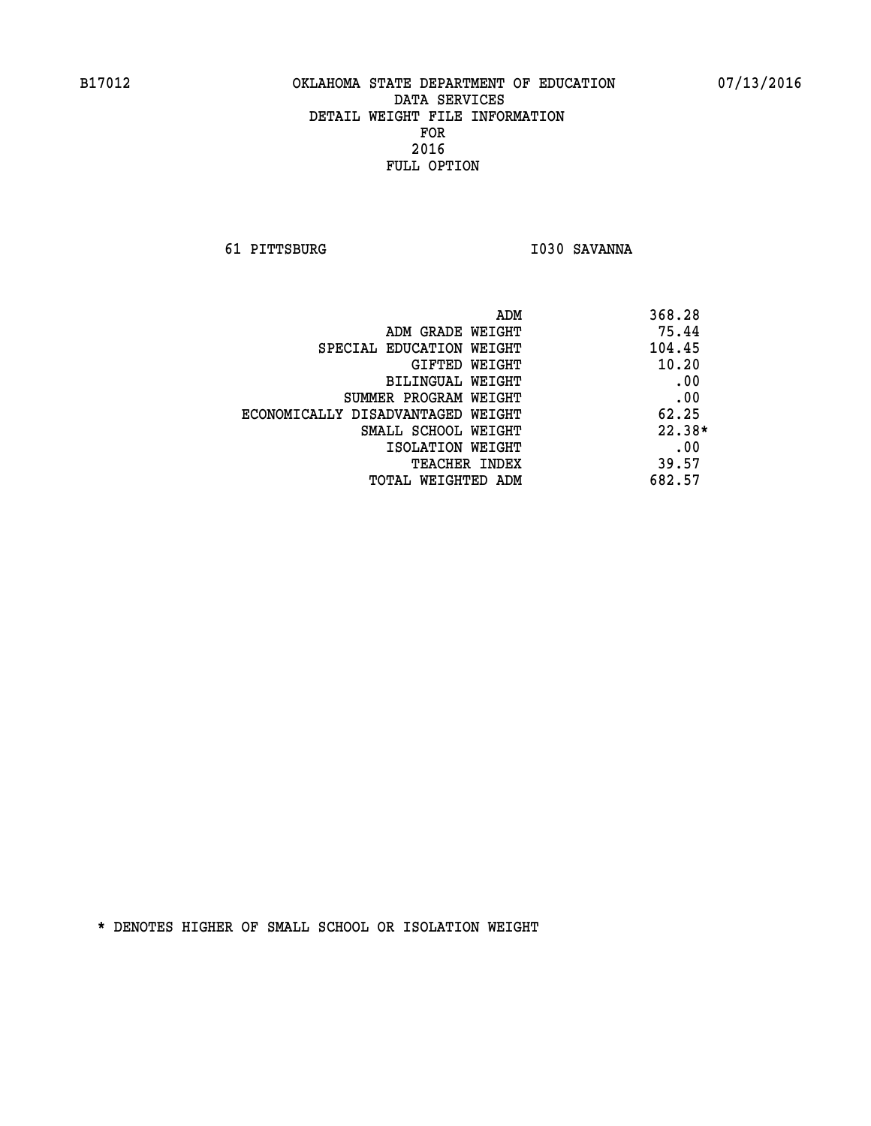**61 PITTSBURG I030 SAVANNA** 

| 368.28<br>ADM                              |  |
|--------------------------------------------|--|
| 75.44<br>ADM GRADE WEIGHT                  |  |
| 104.45<br>SPECIAL EDUCATION WEIGHT         |  |
| 10.20<br>GIFTED WEIGHT                     |  |
| .00<br>BILINGUAL WEIGHT                    |  |
| .00<br>SUMMER PROGRAM WEIGHT               |  |
| 62.25<br>ECONOMICALLY DISADVANTAGED WEIGHT |  |
| $22.38*$<br>SMALL SCHOOL WEIGHT            |  |
| .00<br>ISOLATION WEIGHT                    |  |
| 39.57<br><b>TEACHER INDEX</b>              |  |
| 682.57<br>TOTAL WEIGHTED ADM               |  |
|                                            |  |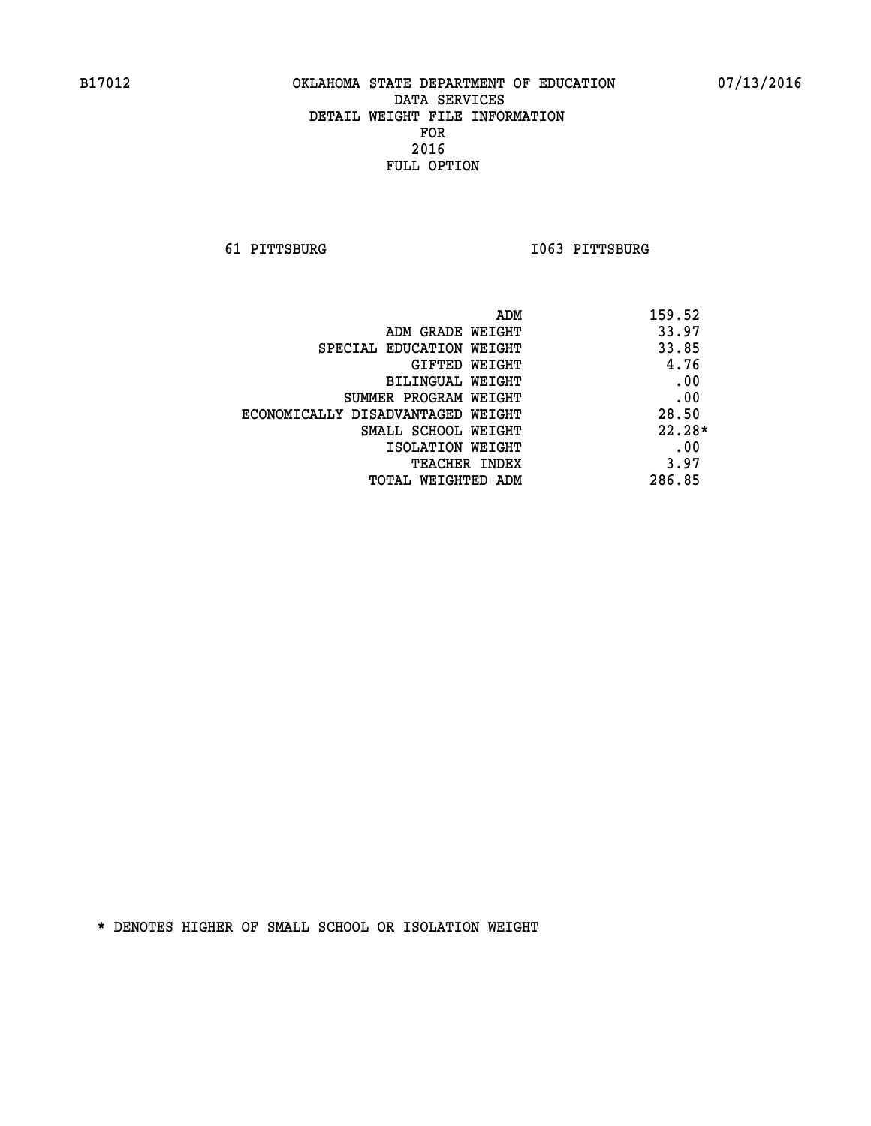**61 PITTSBURG I063 PITTSBURG** 

| ADM                               | 159.52   |
|-----------------------------------|----------|
| ADM GRADE WEIGHT                  | 33.97    |
| SPECIAL EDUCATION WEIGHT          | 33.85    |
| GIFTED WEIGHT                     | 4.76     |
| BILINGUAL WEIGHT                  | .00      |
| SUMMER PROGRAM WEIGHT             | .00      |
| ECONOMICALLY DISADVANTAGED WEIGHT | 28.50    |
| SMALL SCHOOL WEIGHT               | $22.28*$ |
| ISOLATION WEIGHT                  | .00      |
| <b>TEACHER INDEX</b>              | 3.97     |
| TOTAL WEIGHTED ADM                | 286.85   |
|                                   |          |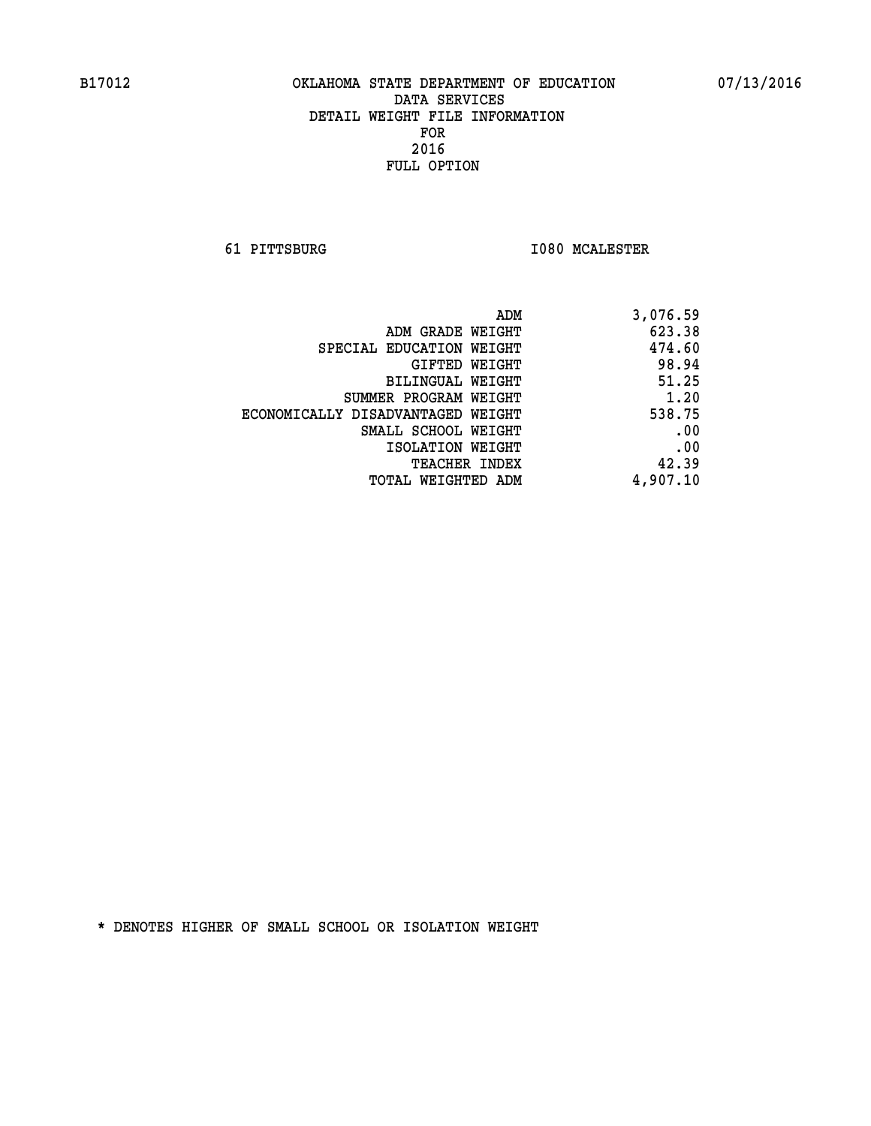**61 PITTSBURG I080 MCALESTER** 

| 3,076.59 |
|----------|
| 623.38   |
| 474.60   |
| 98.94    |
| 51.25    |
| 1.20     |
| 538.75   |
| .00      |
| .00      |
| 42.39    |
| 4,907.10 |
|          |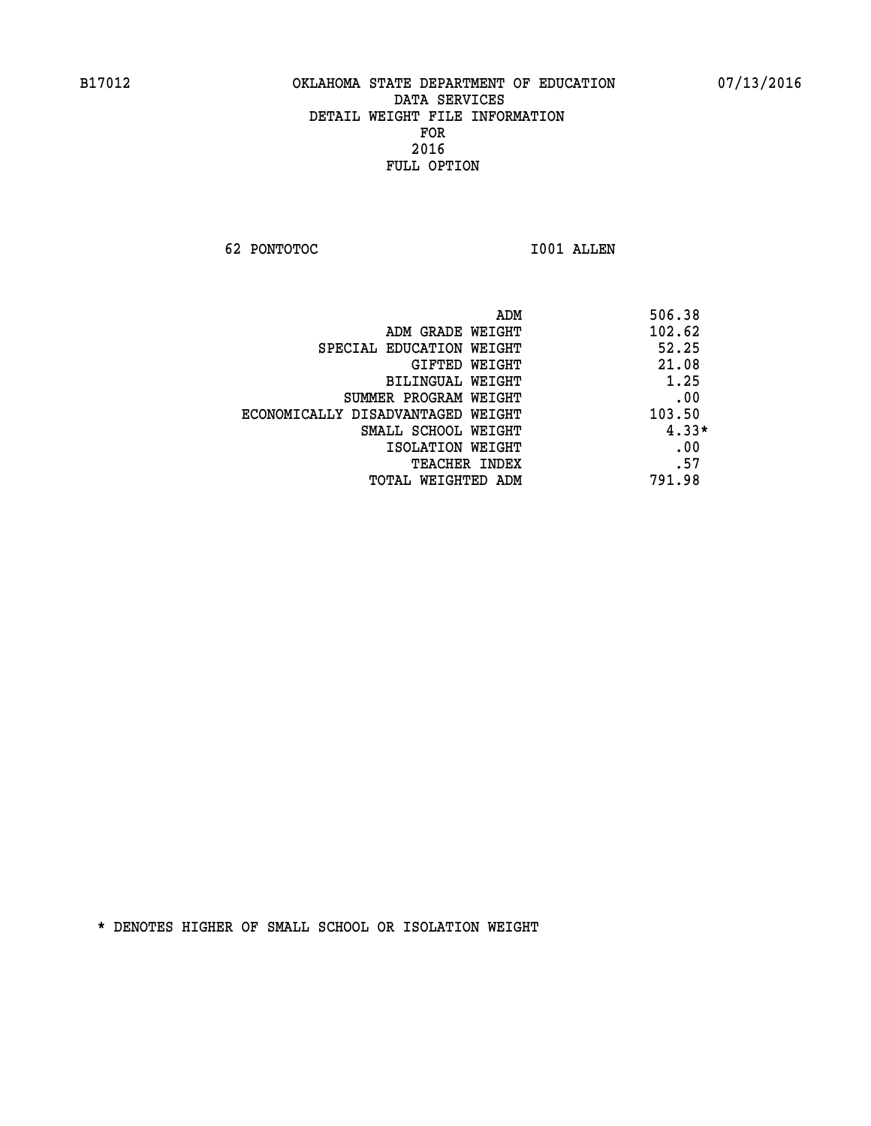**62 PONTOTOC I001 ALLEN** 

| ADM                               | 506.38  |
|-----------------------------------|---------|
| ADM GRADE WEIGHT                  | 102.62  |
| SPECIAL EDUCATION WEIGHT          | 52.25   |
| GIFTED WEIGHT                     | 21.08   |
| BILINGUAL WEIGHT                  | 1.25    |
| SUMMER PROGRAM WEIGHT             | .00     |
| ECONOMICALLY DISADVANTAGED WEIGHT | 103.50  |
| SMALL SCHOOL WEIGHT               | $4.33*$ |
| ISOLATION WEIGHT                  | .00     |
| <b>TEACHER INDEX</b>              | .57     |
| TOTAL WEIGHTED ADM                | 791.98  |
|                                   |         |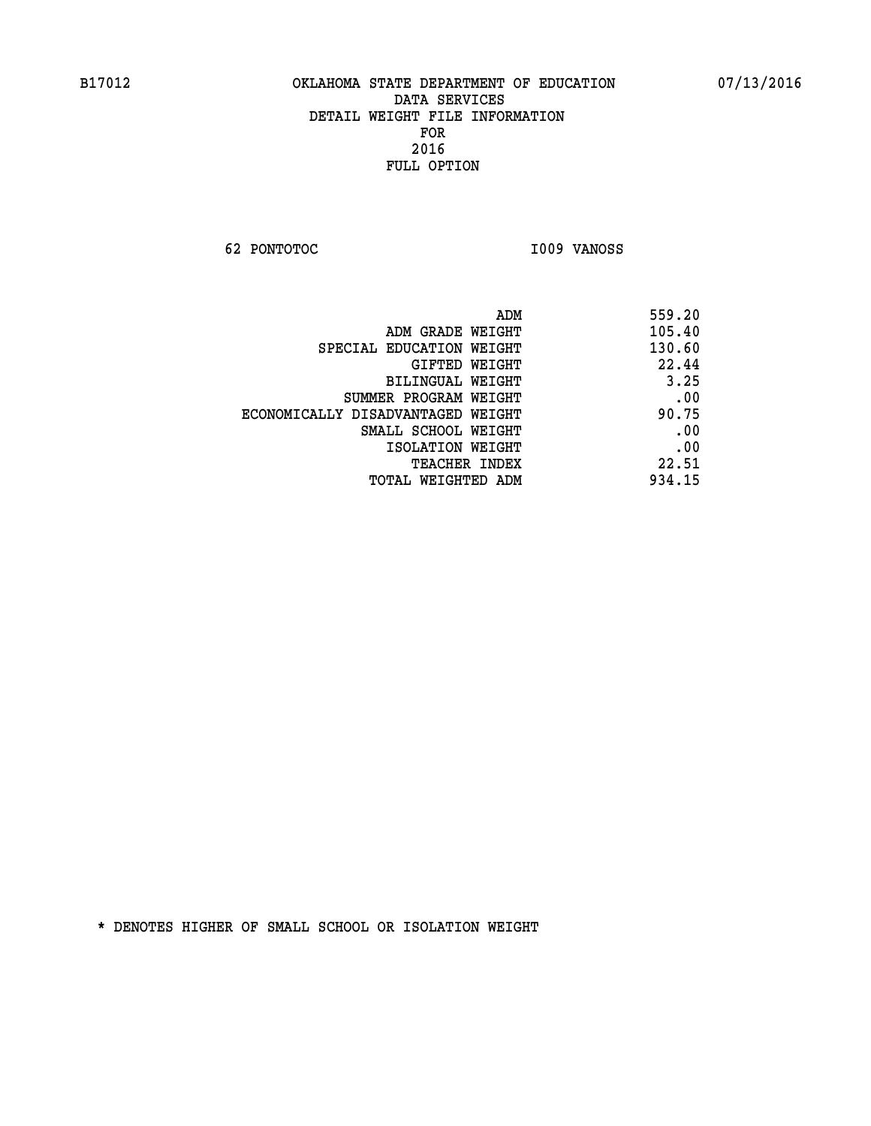**62 PONTOTOC I009 VANOSS** 

| 559.20 |
|--------|
| 105.40 |
| 130.60 |
| 22.44  |
| 3.25   |
| .00    |
| 90.75  |
| .00    |
| .00    |
| 22.51  |
| 934.15 |
|        |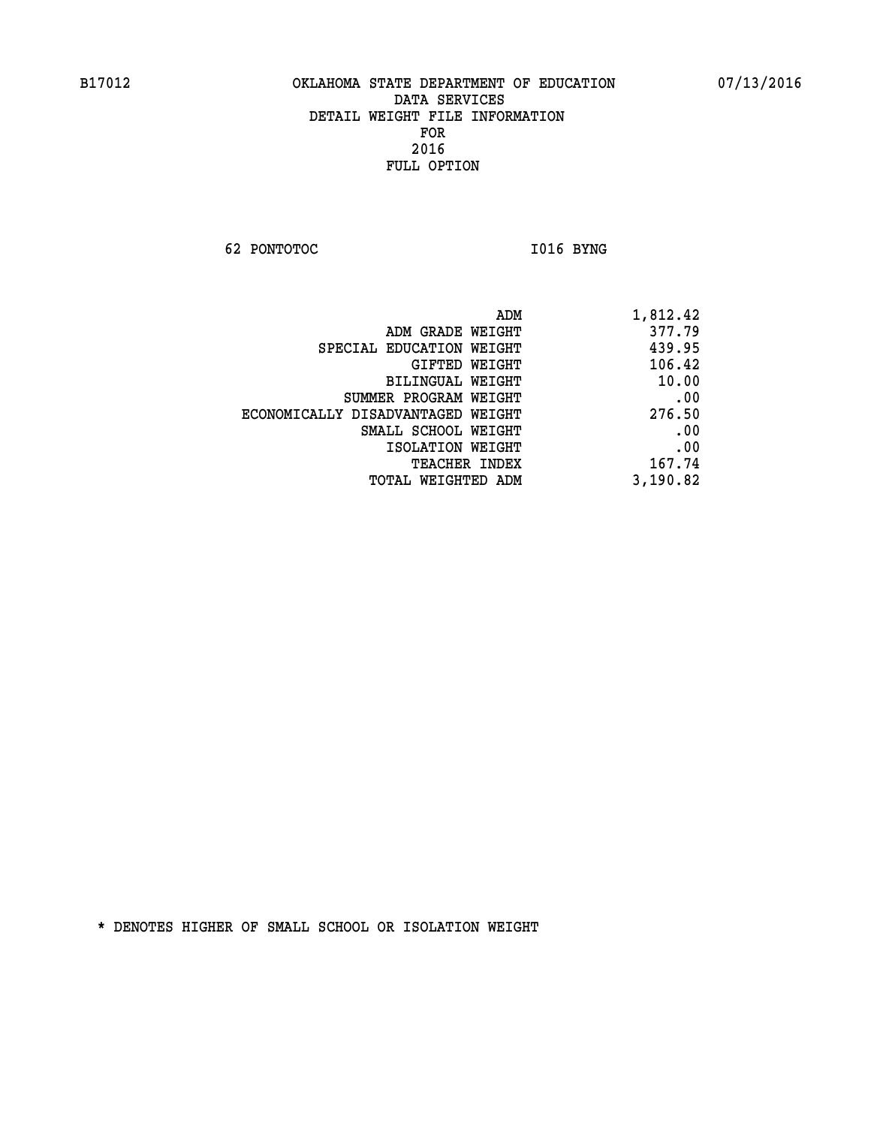**62 PONTOTOC** 1016 BYNG

| ADM                               | 1,812.42 |
|-----------------------------------|----------|
| ADM GRADE WEIGHT                  | 377.79   |
| SPECIAL EDUCATION WEIGHT          | 439.95   |
| GIFTED WEIGHT                     | 106.42   |
| BILINGUAL WEIGHT                  | 10.00    |
| SUMMER PROGRAM WEIGHT             | .00      |
| ECONOMICALLY DISADVANTAGED WEIGHT | 276.50   |
| SMALL SCHOOL WEIGHT               | .00      |
| ISOLATION WEIGHT                  | .00      |
| TEACHER INDEX                     | 167.74   |
| TOTAL WEIGHTED ADM                | 3,190.82 |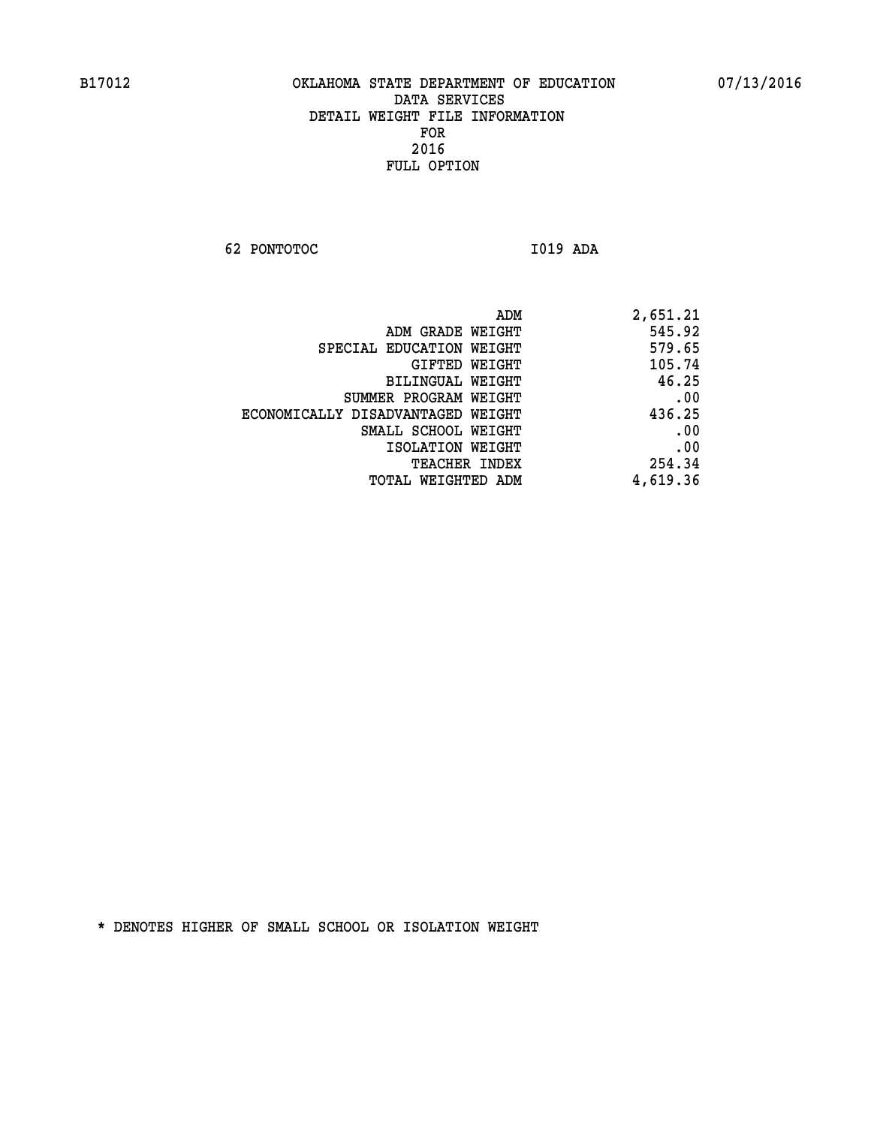**62 PONTOTOC I019 ADA** 

| ADM                               | 2,651.21 |
|-----------------------------------|----------|
| ADM GRADE WEIGHT                  | 545.92   |
| SPECIAL EDUCATION WEIGHT          | 579.65   |
| GIFTED WEIGHT                     | 105.74   |
| <b>BILINGUAL WEIGHT</b>           | 46.25    |
| SUMMER PROGRAM WEIGHT             | .00      |
| ECONOMICALLY DISADVANTAGED WEIGHT | 436.25   |
| SMALL SCHOOL WEIGHT               | .00      |
| ISOLATION WEIGHT                  | .00      |
| TEACHER INDEX                     | 254.34   |
| TOTAL WEIGHTED ADM                | 4,619.36 |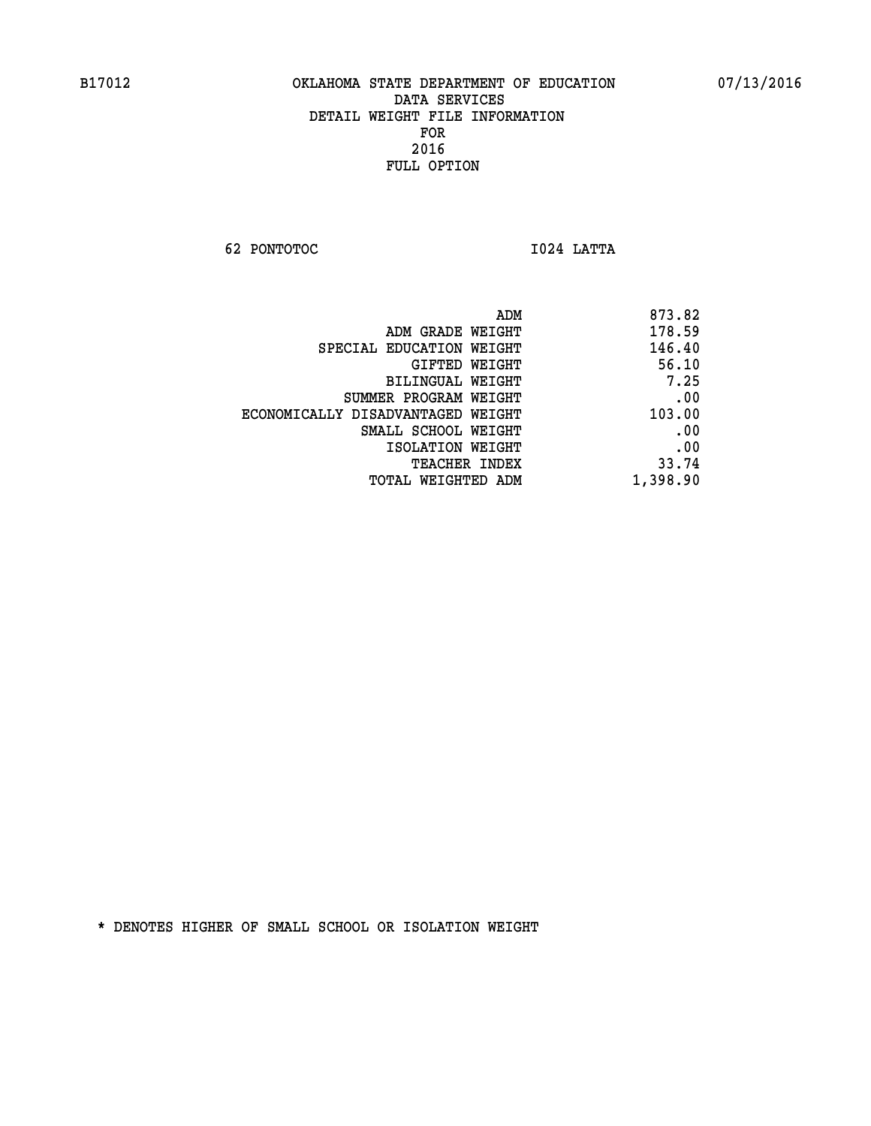**62 PONTOTOC I024 LATTA** 

| 873.82   |
|----------|
| 178.59   |
| 146.40   |
| 56.10    |
| 7.25     |
| .00      |
| 103.00   |
| .00      |
| .00      |
| 33.74    |
| 1,398.90 |
|          |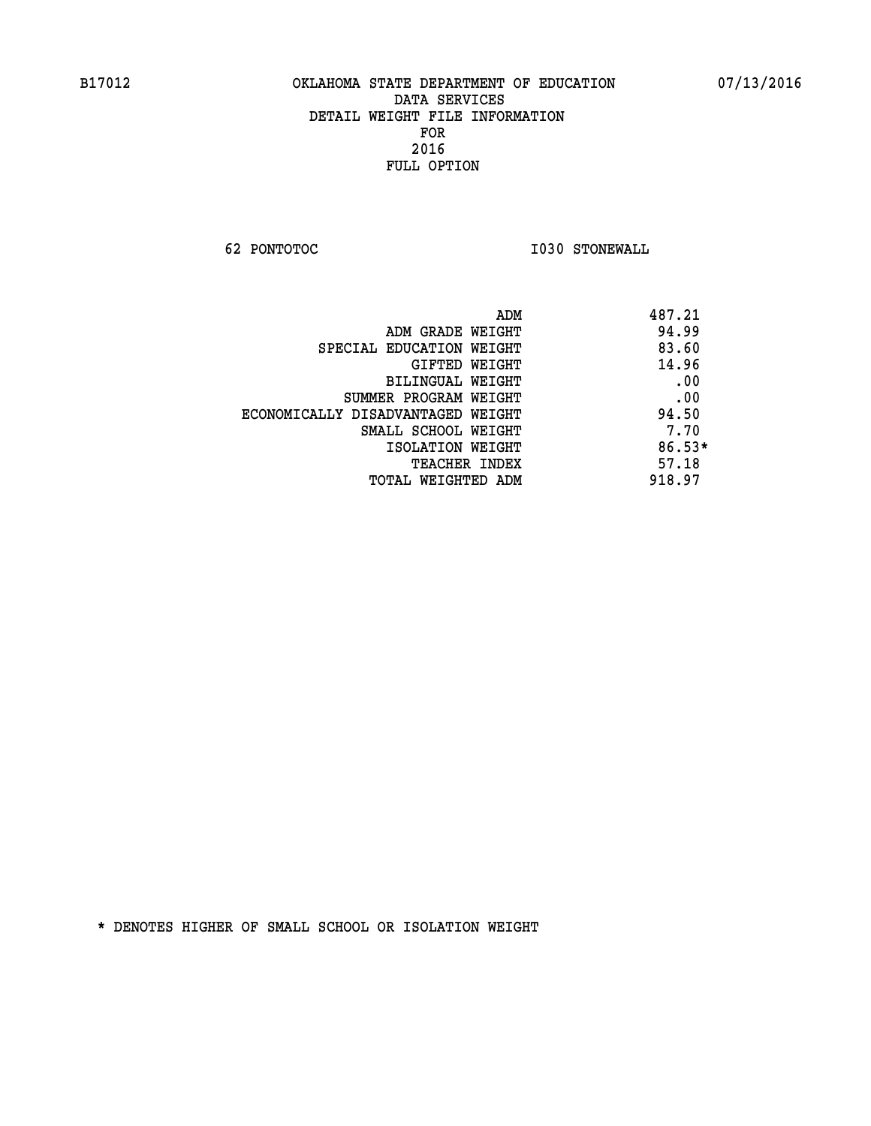**62 PONTOTOC I030 STONEWALL** 

|                                   | 487.21<br>ADM |
|-----------------------------------|---------------|
| ADM GRADE WEIGHT                  | 94.99         |
| SPECIAL EDUCATION WEIGHT          | 83.60         |
| GIFTED WEIGHT                     | 14.96         |
| BILINGUAL WEIGHT                  | .00           |
| SUMMER PROGRAM WEIGHT             | .00           |
| ECONOMICALLY DISADVANTAGED WEIGHT | 94.50         |
| SMALL SCHOOL WEIGHT               | 7.70          |
| ISOLATION WEIGHT                  | $86.53*$      |
| <b>TEACHER INDEX</b>              | 57.18         |
| TOTAL WEIGHTED ADM                | 918.97        |
|                                   |               |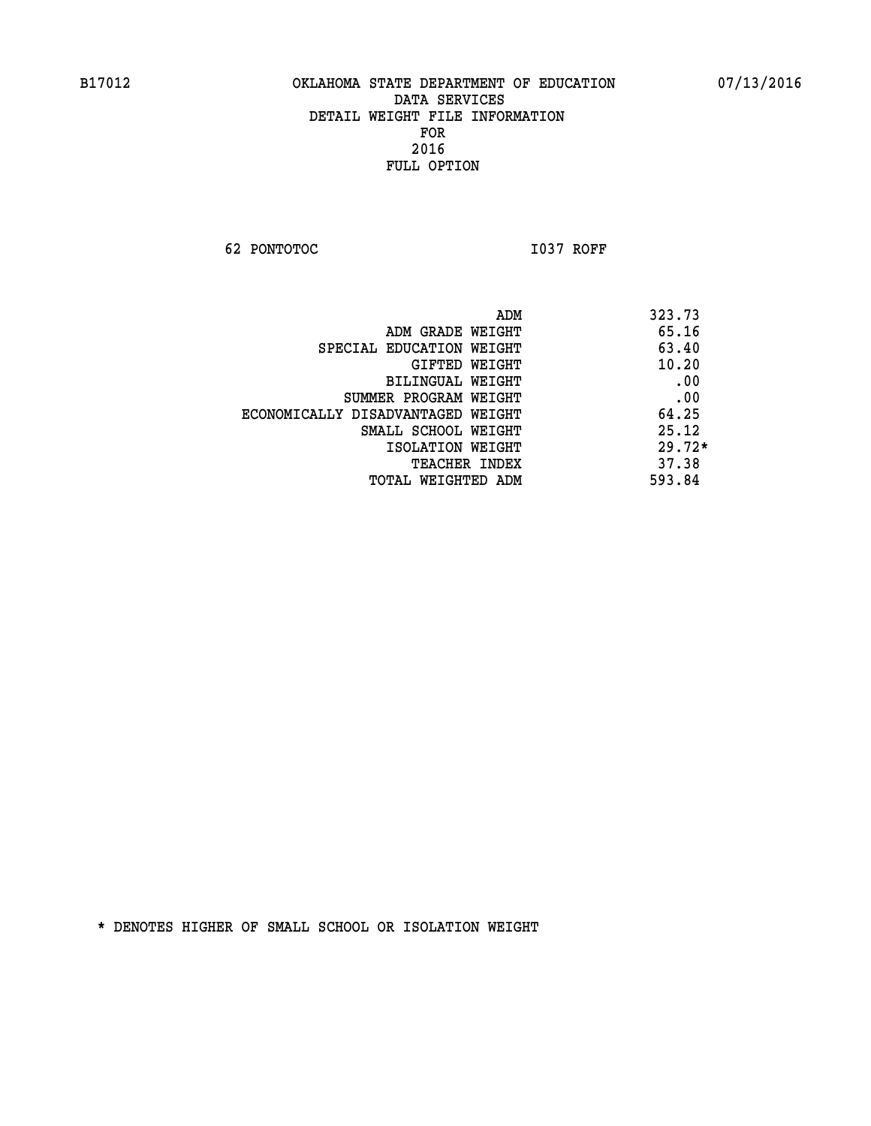**62 PONTOTOC I037 ROFF** 

| ADM                               | 323.73   |
|-----------------------------------|----------|
| ADM GRADE WEIGHT                  | 65.16    |
| SPECIAL EDUCATION WEIGHT          | 63.40    |
| GIFTED WEIGHT                     | 10.20    |
| <b>BILINGUAL WEIGHT</b>           | .00      |
| SUMMER PROGRAM WEIGHT             | .00      |
| ECONOMICALLY DISADVANTAGED WEIGHT | 64.25    |
| SMALL SCHOOL WEIGHT               | 25.12    |
| ISOLATION WEIGHT                  | $29.72*$ |
| <b>TEACHER INDEX</b>              | 37.38    |
| TOTAL WEIGHTED ADM                | 593.84   |
|                                   |          |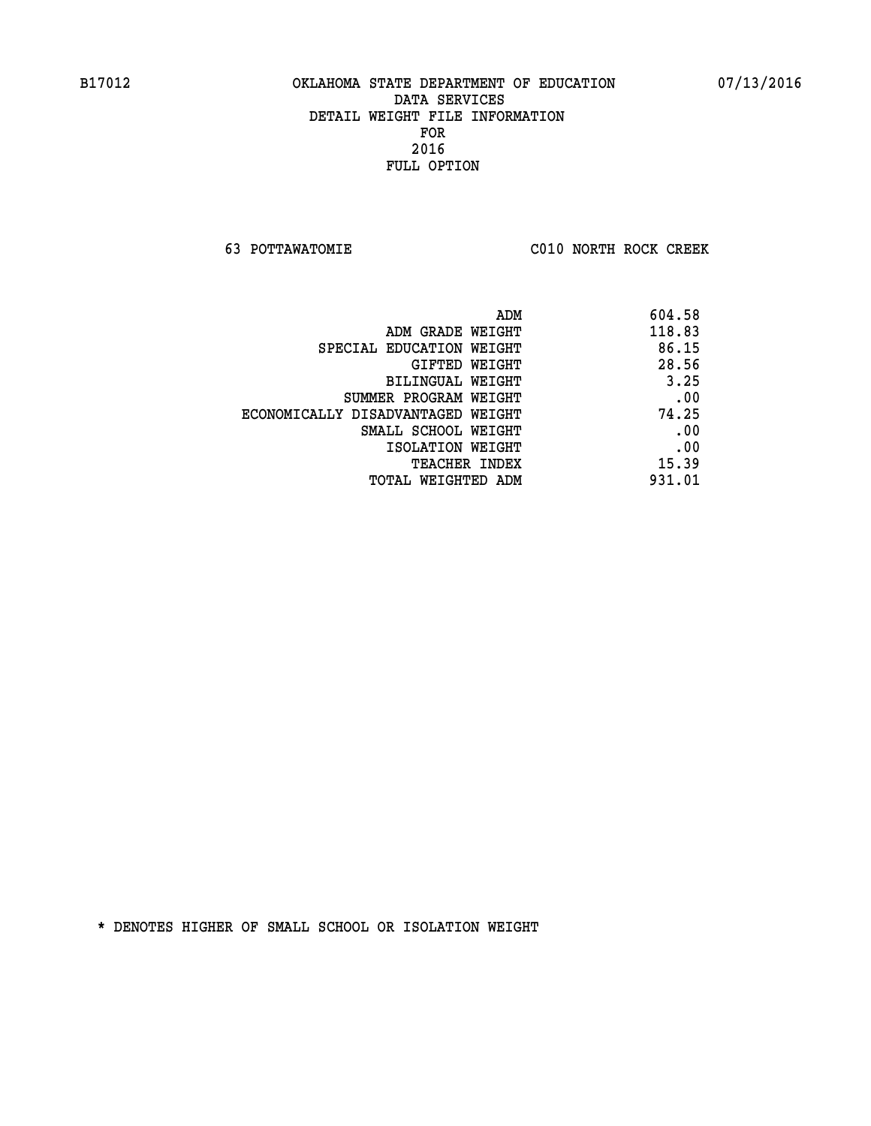**63 POTTAWATOMIE C010 NORTH ROCK CREEK** 

|                                   | 604.58<br>ADM |
|-----------------------------------|---------------|
| ADM GRADE WEIGHT                  | 118.83        |
| SPECIAL EDUCATION WEIGHT          | 86.15         |
| <b>GIFTED WEIGHT</b>              | 28.56         |
| BILINGUAL WEIGHT                  | 3.25          |
| SUMMER PROGRAM WEIGHT             | .00           |
| ECONOMICALLY DISADVANTAGED WEIGHT | 74.25         |
| SMALL SCHOOL WEIGHT               | .00           |
| ISOLATION WEIGHT                  | .00           |
| <b>TEACHER INDEX</b>              | 15.39         |
| TOTAL WEIGHTED ADM                | 931.01        |
|                                   |               |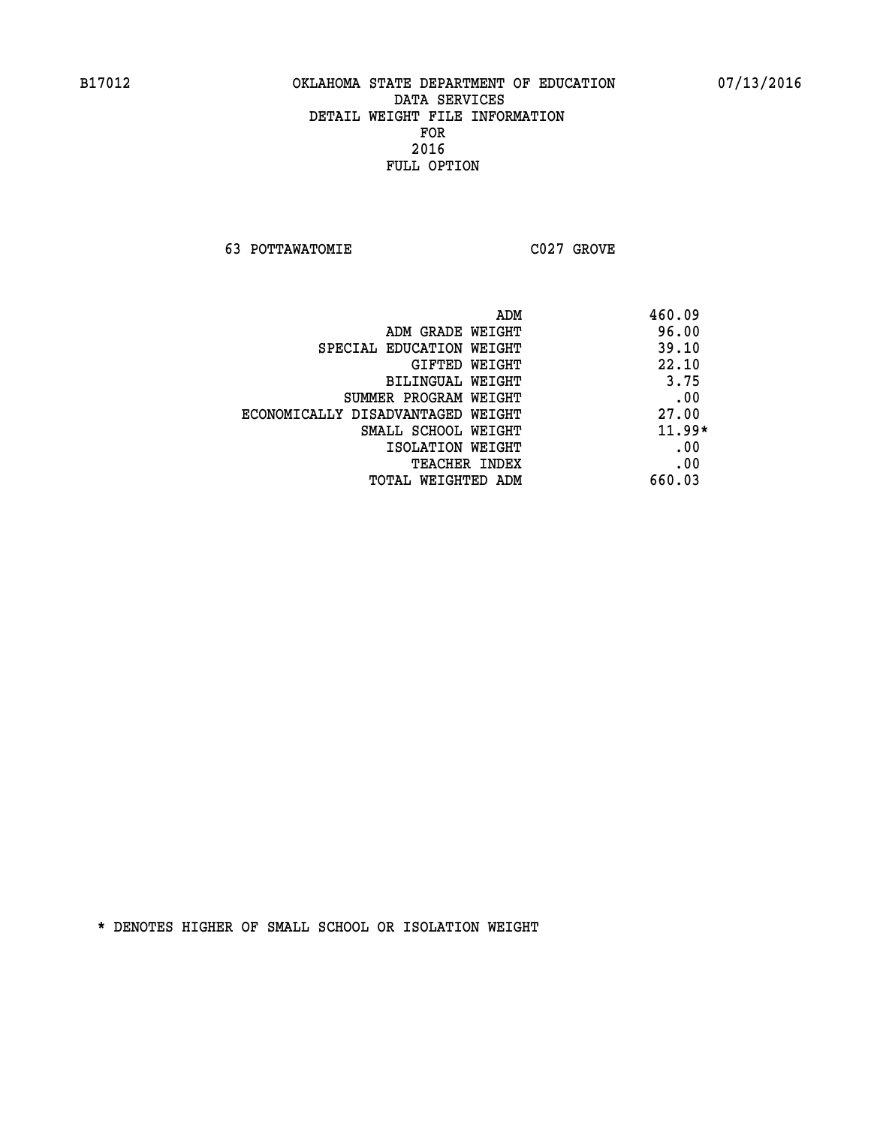**63 POTTAWATOMIE C027 GROVE** 

| ADM                               | 460.09   |
|-----------------------------------|----------|
| ADM GRADE WEIGHT                  | 96.00    |
| SPECIAL EDUCATION WEIGHT          | 39.10    |
| GIFTED WEIGHT                     | 22.10    |
| BILINGUAL WEIGHT                  | 3.75     |
| SUMMER PROGRAM WEIGHT             | .00      |
| ECONOMICALLY DISADVANTAGED WEIGHT | 27.00    |
| SMALL SCHOOL WEIGHT               | $11.99*$ |
| ISOLATION WEIGHT                  | .00      |
| <b>TEACHER INDEX</b>              | .00      |
| TOTAL WEIGHTED ADM                | 660.03   |
|                                   |          |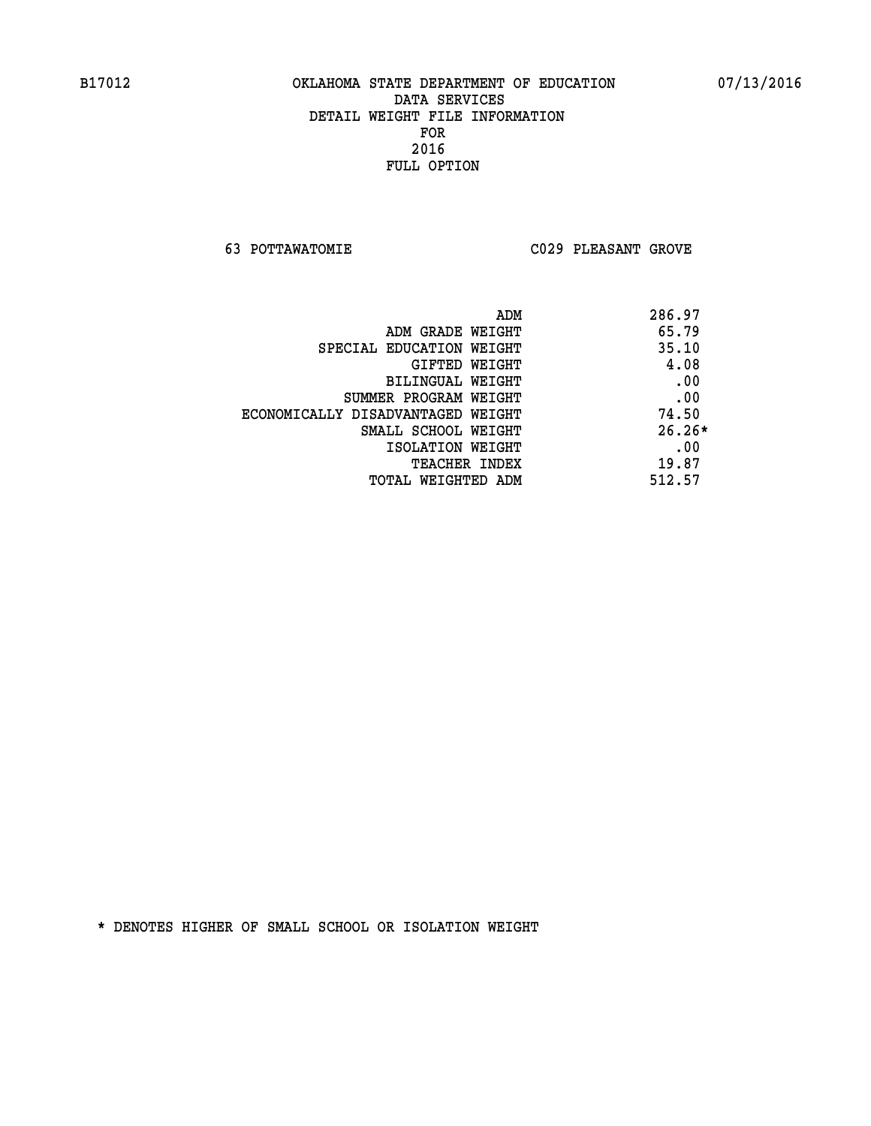**63 POTTAWATOMIE C029 PLEASANT GROVE** 

| ADM                               | 286.97   |
|-----------------------------------|----------|
| ADM GRADE WEIGHT                  | 65.79    |
| SPECIAL EDUCATION WEIGHT          | 35.10    |
| GIFTED WEIGHT                     | 4.08     |
| BILINGUAL WEIGHT                  | .00      |
| SUMMER PROGRAM WEIGHT             | .00      |
| ECONOMICALLY DISADVANTAGED WEIGHT | 74.50    |
| SMALL SCHOOL WEIGHT               | $26.26*$ |
| ISOLATION WEIGHT                  | .00      |
| TEACHER INDEX                     | 19.87    |
| TOTAL WEIGHTED ADM                | 512.57   |
|                                   |          |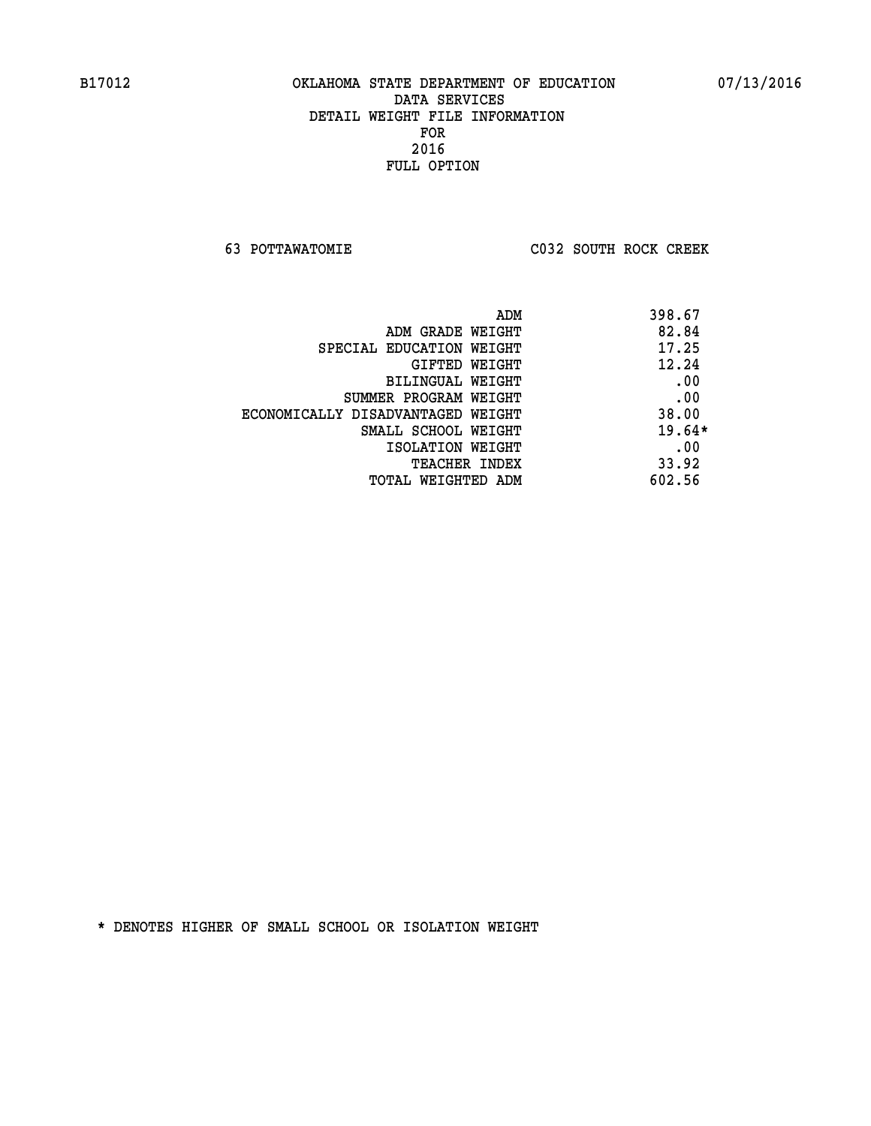**63 POTTAWATOMIE C032 SOUTH ROCK CREEK** 

| ADM                               | 398.67   |
|-----------------------------------|----------|
| ADM GRADE WEIGHT                  | 82.84    |
| SPECIAL EDUCATION WEIGHT          | 17.25    |
| GIFTED WEIGHT                     | 12.24    |
| BILINGUAL WEIGHT                  | .00      |
| SUMMER PROGRAM WEIGHT             | .00      |
| ECONOMICALLY DISADVANTAGED WEIGHT | 38.00    |
| SMALL SCHOOL WEIGHT               | $19.64*$ |
| ISOLATION WEIGHT                  | .00      |
| <b>TEACHER INDEX</b>              | 33.92    |
| TOTAL WEIGHTED ADM                | 602.56   |
|                                   |          |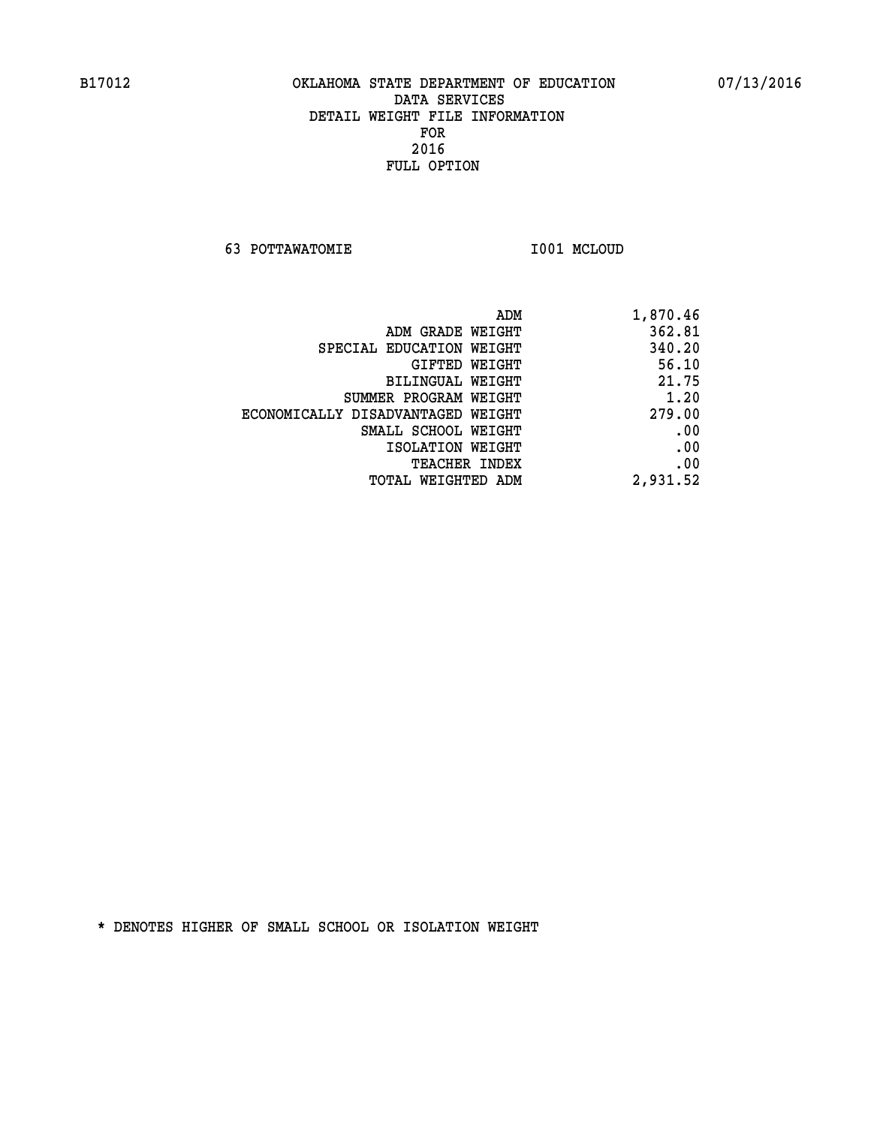**63 POTTAWATOMIE I001 MCLOUD** 

| 1,870.46 |
|----------|
| 362.81   |
| 340.20   |
| 56.10    |
| 21.75    |
| 1.20     |
| 279.00   |
| .00      |
| .00      |
| .00      |
| 2,931.52 |
|          |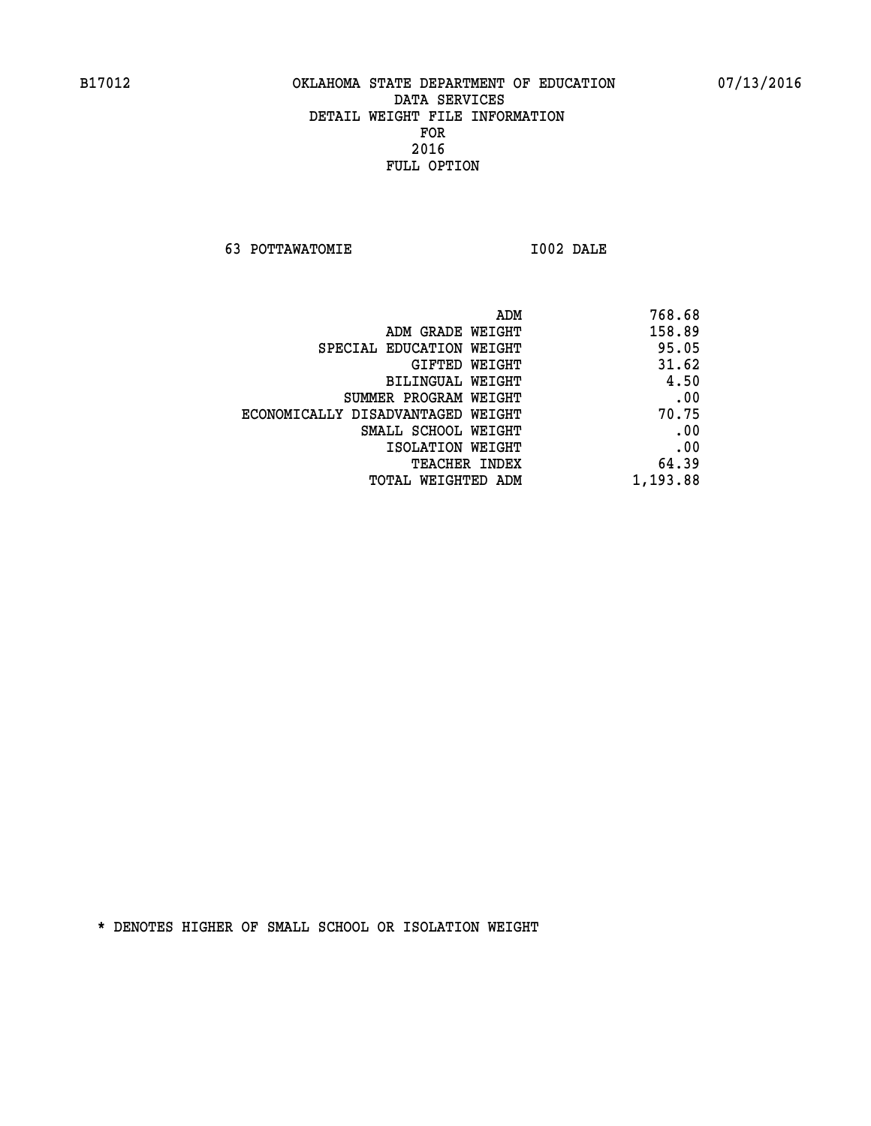**63 POTTAWATOMIE I002 DALE** 

| ADM                               | 768.68   |
|-----------------------------------|----------|
| ADM GRADE WEIGHT                  | 158.89   |
| SPECIAL EDUCATION WEIGHT          | 95.05    |
| GIFTED WEIGHT                     | 31.62    |
| BILINGUAL WEIGHT                  | 4.50     |
| SUMMER PROGRAM WEIGHT             | .00      |
| ECONOMICALLY DISADVANTAGED WEIGHT | 70.75    |
| SMALL SCHOOL WEIGHT               | .00      |
| ISOLATION WEIGHT                  | .00      |
| <b>TEACHER INDEX</b>              | 64.39    |
| TOTAL WEIGHTED ADM                | 1,193.88 |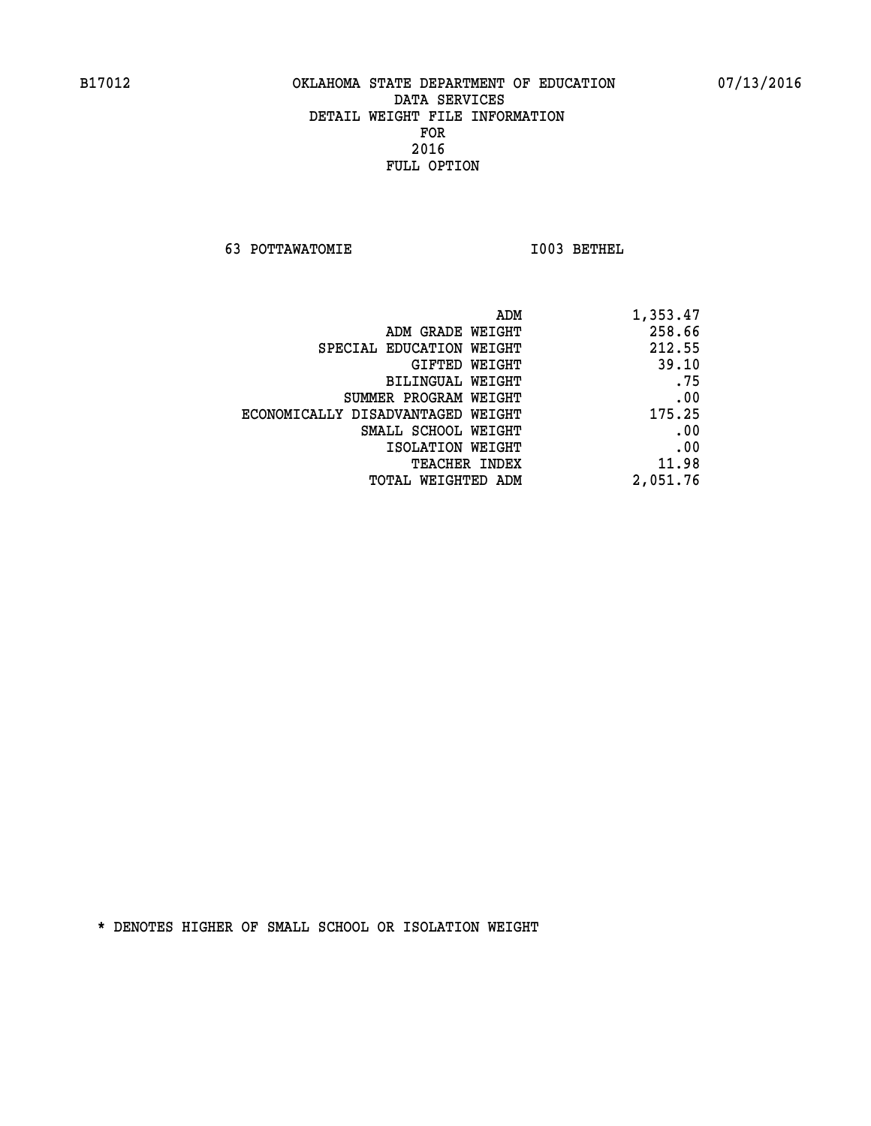**63 POTTAWATOMIE I003 BETHEL** 

| ADM                               | 1,353.47 |
|-----------------------------------|----------|
| ADM GRADE WEIGHT                  | 258.66   |
| SPECIAL EDUCATION WEIGHT          | 212.55   |
| GIFTED WEIGHT                     | 39.10    |
| BILINGUAL WEIGHT                  | .75      |
| SUMMER PROGRAM WEIGHT             | .00      |
| ECONOMICALLY DISADVANTAGED WEIGHT | 175.25   |
| SMALL SCHOOL WEIGHT               | .00      |
| ISOLATION WEIGHT                  | .00      |
| <b>TEACHER INDEX</b>              | 11.98    |
| TOTAL WEIGHTED ADM                | 2,051.76 |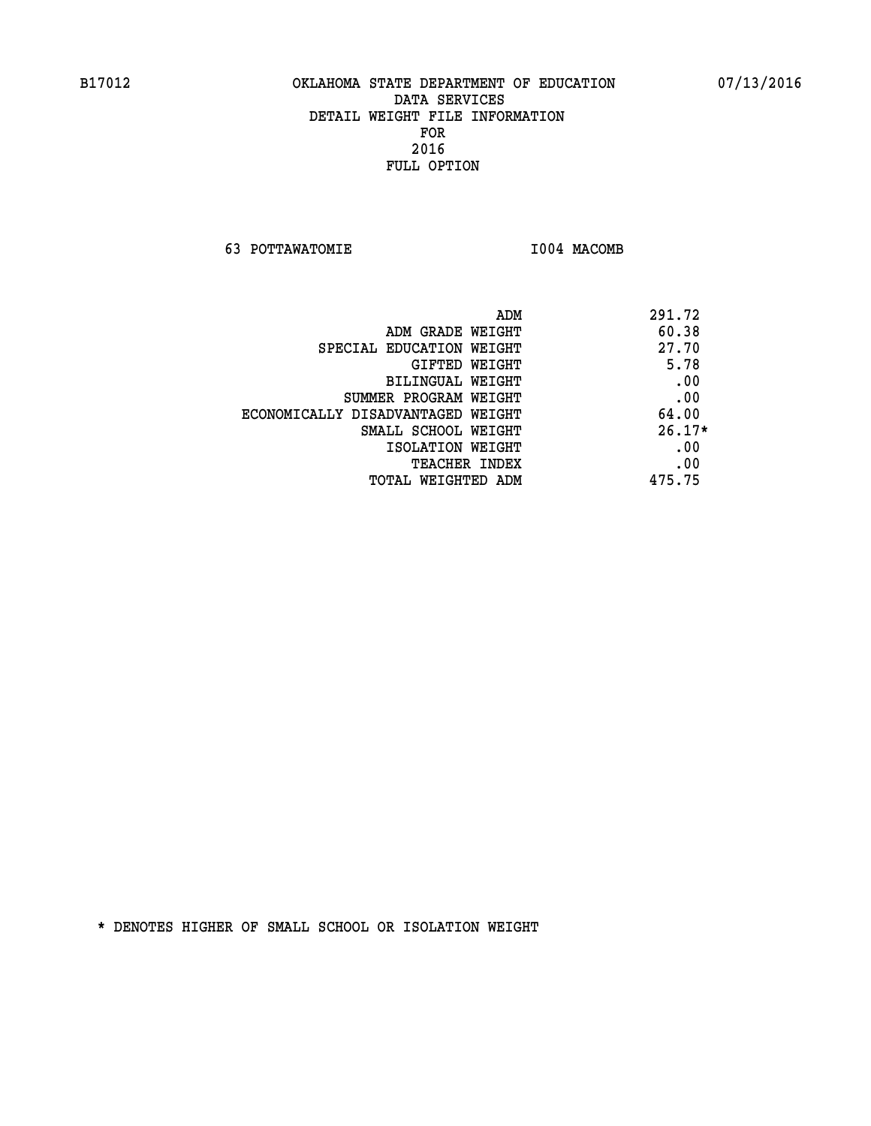**63 POTTAWATOMIE I004 MACOMB** 

| ADM                               | 291.72   |
|-----------------------------------|----------|
| ADM GRADE WEIGHT                  | 60.38    |
| SPECIAL EDUCATION WEIGHT          | 27.70    |
| GIFTED WEIGHT                     | 5.78     |
| BILINGUAL WEIGHT                  | .00      |
| SUMMER PROGRAM WEIGHT             | .00      |
| ECONOMICALLY DISADVANTAGED WEIGHT | 64.00    |
| SMALL SCHOOL WEIGHT               | $26.17*$ |
| ISOLATION WEIGHT                  | .00      |
| <b>TEACHER INDEX</b>              | .00      |
| TOTAL WEIGHTED ADM                | 475.75   |
|                                   |          |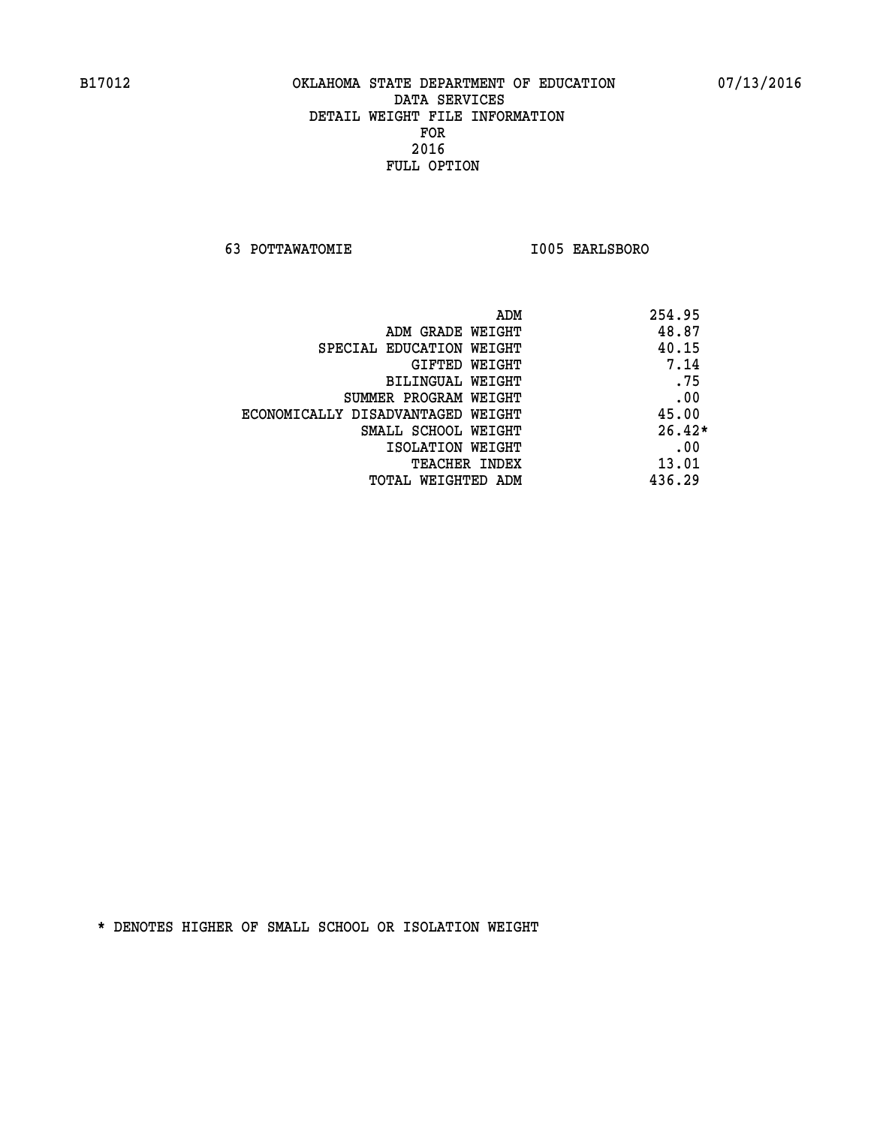**63 POTTAWATOMIE I005 EARLSBORO** 

|                                   | ADM | 254.95   |
|-----------------------------------|-----|----------|
| ADM GRADE WEIGHT                  |     | 48.87    |
| SPECIAL EDUCATION WEIGHT          |     | 40.15    |
| GIFTED WEIGHT                     |     | 7.14     |
| BILINGUAL WEIGHT                  |     | .75      |
| SUMMER PROGRAM WEIGHT             |     | .00      |
| ECONOMICALLY DISADVANTAGED WEIGHT |     | 45.00    |
| SMALL SCHOOL WEIGHT               |     | $26.42*$ |
| ISOLATION WEIGHT                  |     | .00      |
| <b>TEACHER INDEX</b>              |     | 13.01    |
| TOTAL WEIGHTED ADM                |     | 436.29   |
|                                   |     |          |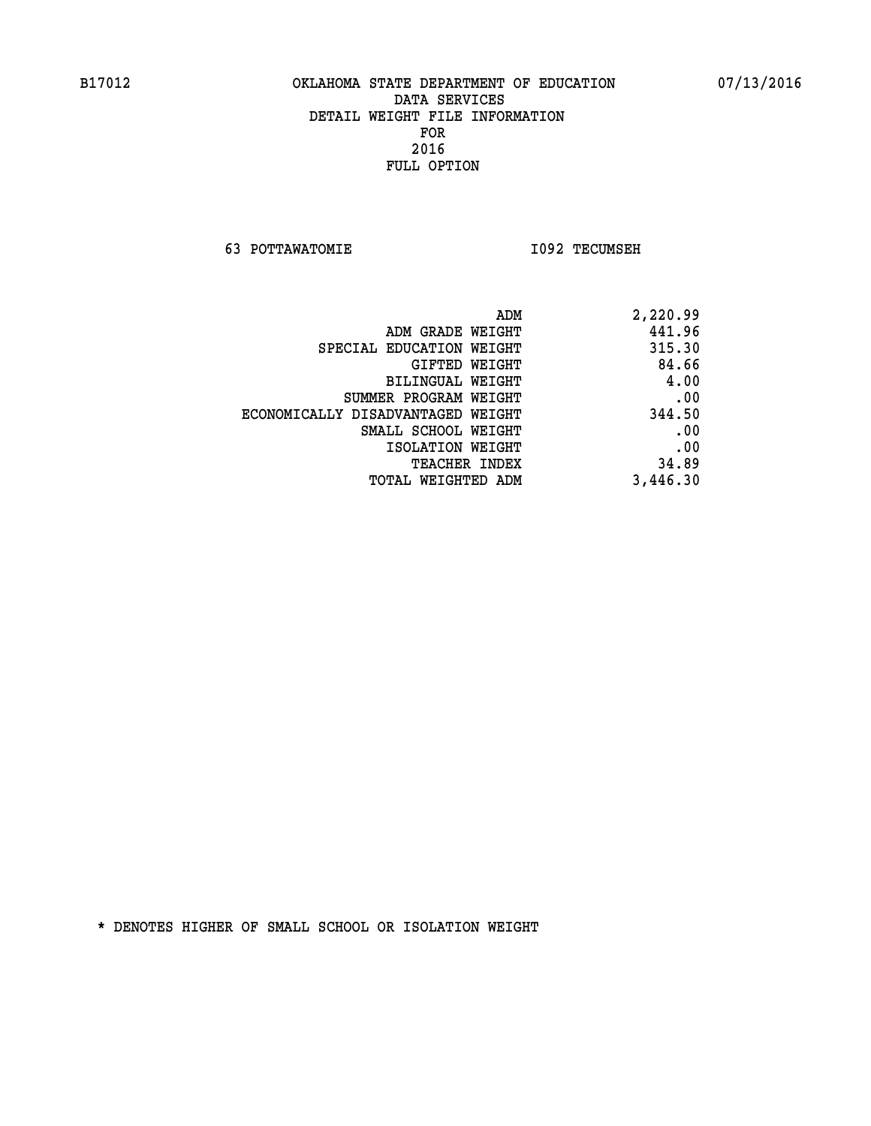**63 POTTAWATOMIE I092 TECUMSEH** 

| 2,220.99 |
|----------|
| 441.96   |
| 315.30   |
| 84.66    |
| 4.00     |
| .00      |
| 344.50   |
| .00      |
| .00      |
| 34.89    |
| 3,446.30 |
|          |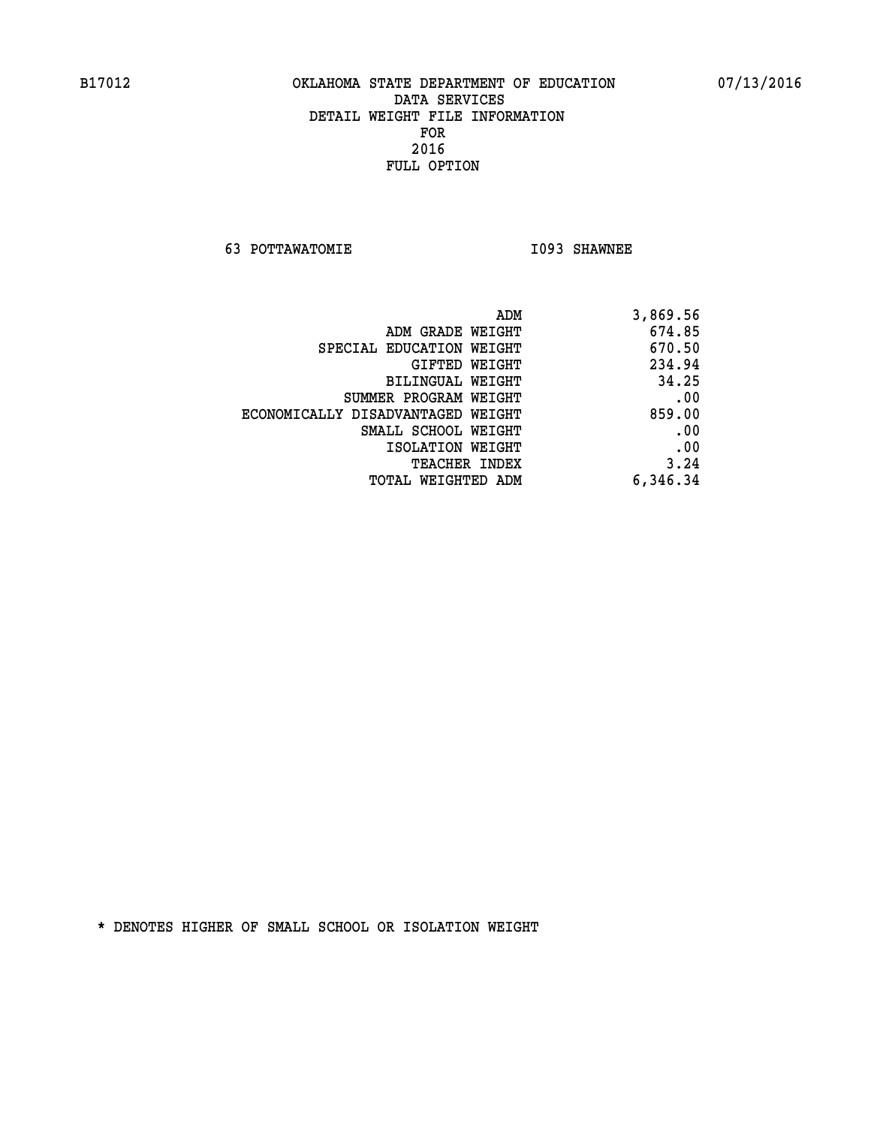**63 POTTAWATOMIE I093 SHAWNEE** 

| 3,869.56 |
|----------|
| 674.85   |
| 670.50   |
| 234.94   |
| 34.25    |
| .00      |
| 859.00   |
| .00      |
| .00      |
| 3.24     |
| 6,346.34 |
|          |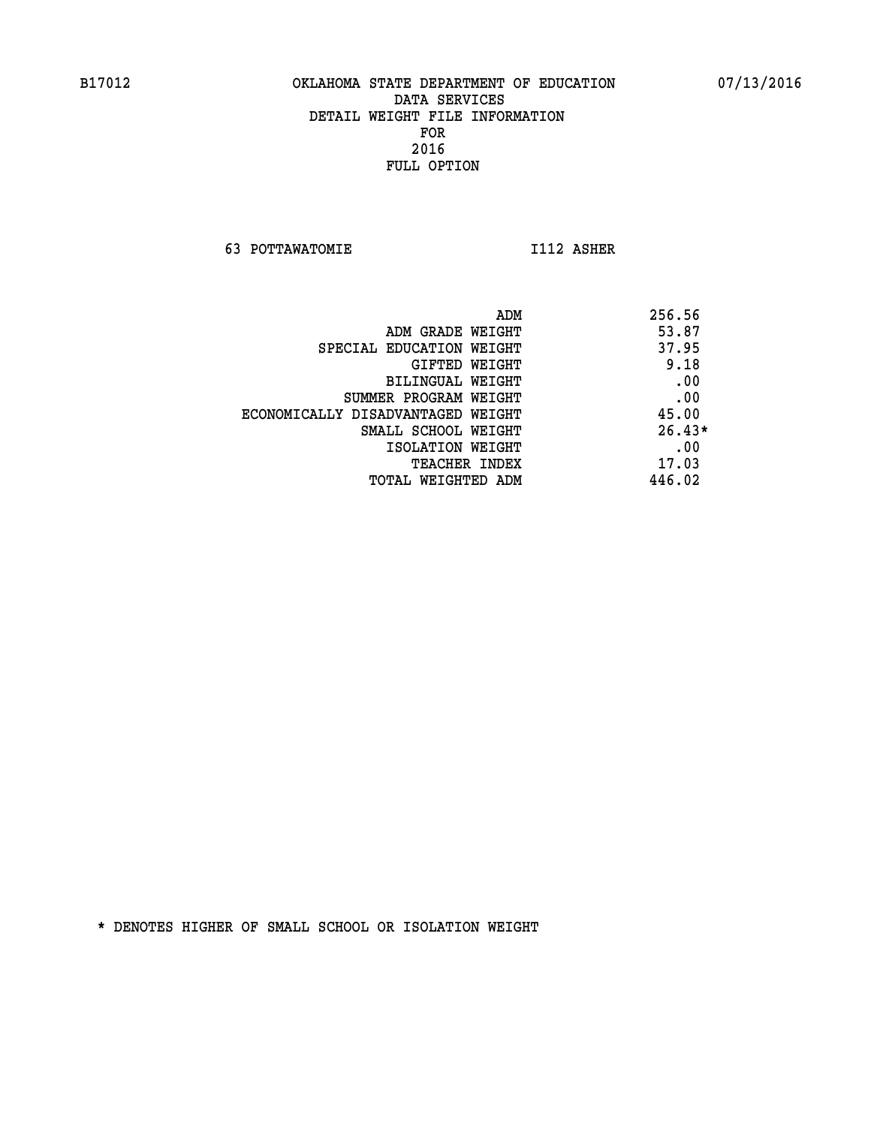**63 POTTAWATOMIE I112 ASHER** 

 **ADM 256.56 ADM GRADE WEIGHT 53.87 SPECIAL EDUCATION WEIGHT 37.95 GIFTED WEIGHT** 9.18 **BILINGUAL WEIGHT .00 SUMMER PROGRAM WEIGHT .00 ECONOMICALLY DISADVANTAGED WEIGHT 45.00 SMALL SCHOOL WEIGHT** 26.43\* **EXECUTED ISOLATION WEIGHT AND RESOLATION WEIGHT TEACHER INDEX** 17.03  **TOTAL WEIGHTED ADM 446.02**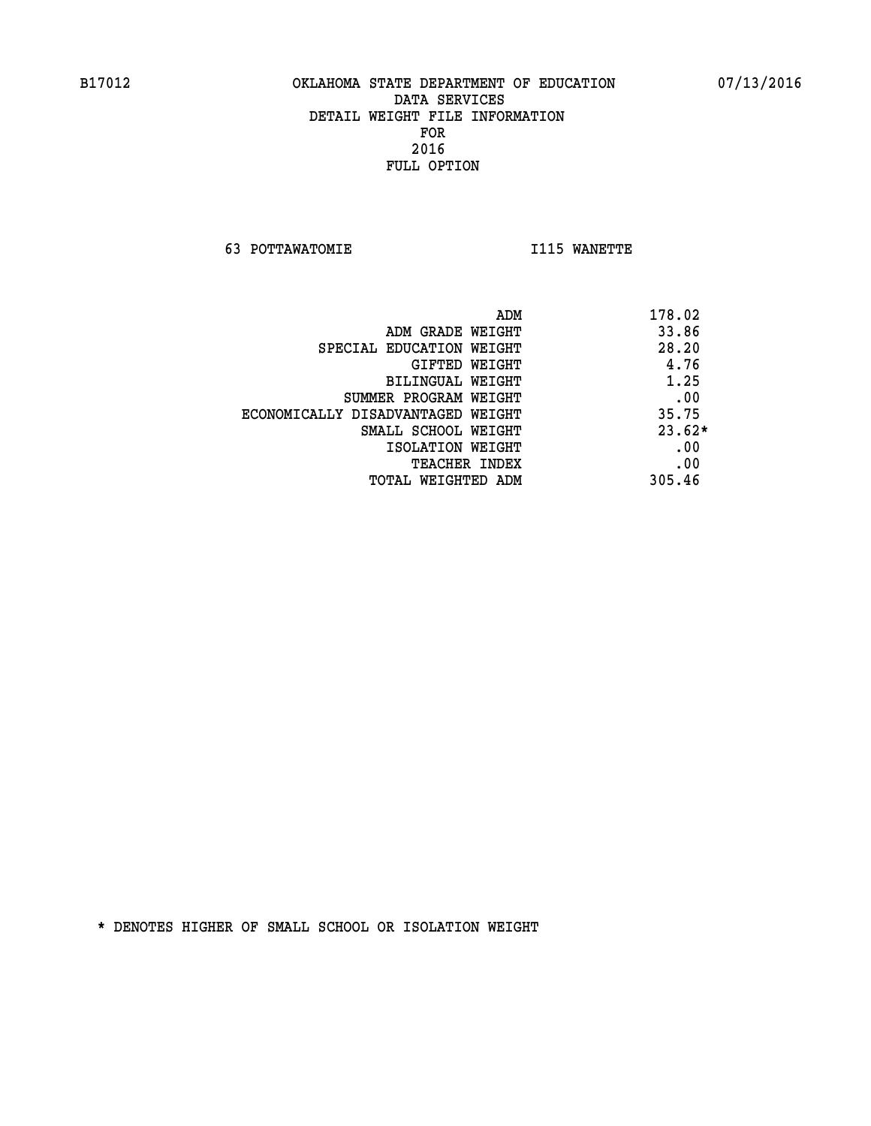**63 POTTAWATOMIE I115 WANETTE** 

| ADM                               | 178.02   |
|-----------------------------------|----------|
| ADM GRADE WEIGHT                  | 33.86    |
| SPECIAL EDUCATION WEIGHT          | 28.20    |
| GIFTED WEIGHT                     | 4.76     |
| BILINGUAL WEIGHT                  | 1.25     |
| SUMMER PROGRAM WEIGHT             | .00      |
| ECONOMICALLY DISADVANTAGED WEIGHT | 35.75    |
| SMALL SCHOOL WEIGHT               | $23.62*$ |
| ISOLATION WEIGHT                  | .00      |
| <b>TEACHER INDEX</b>              | .00      |
| TOTAL WEIGHTED ADM                | 305.46   |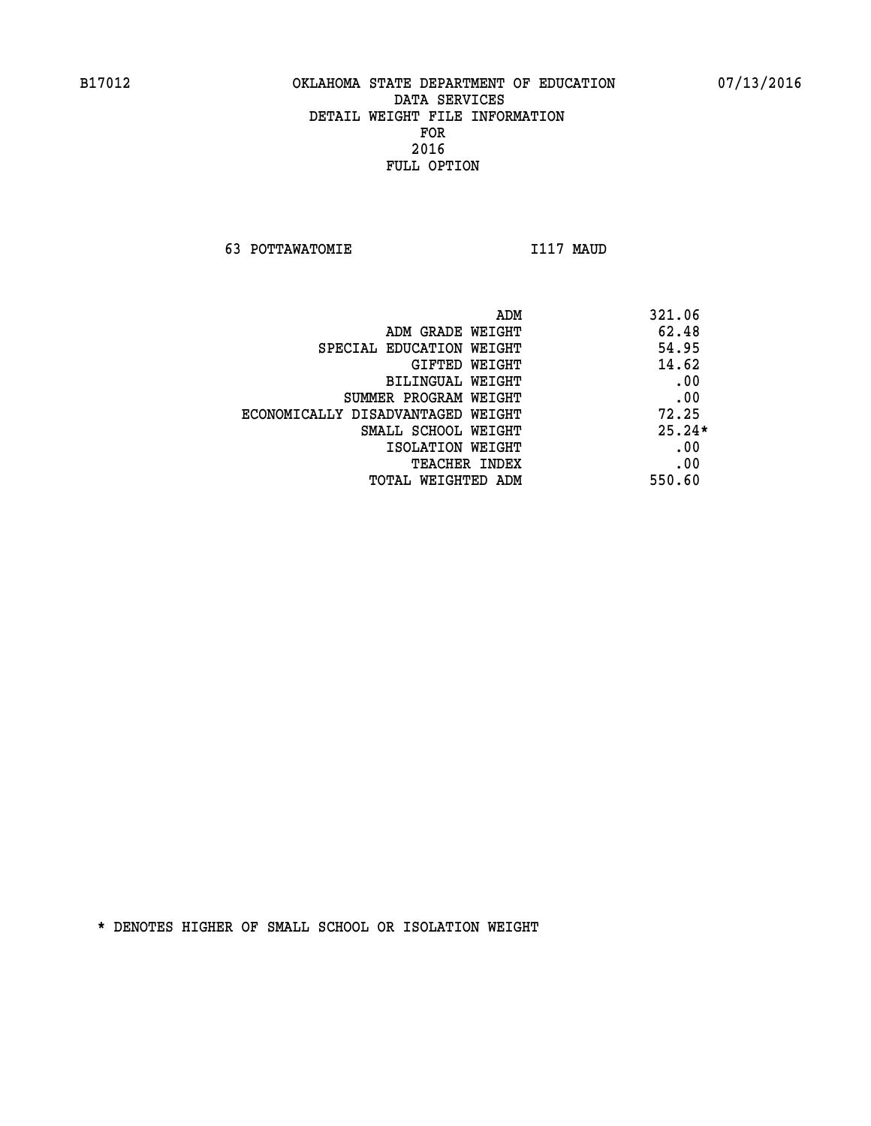**63 POTTAWATOMIE I117 MAUD** 

| ADM                               | 321.06   |
|-----------------------------------|----------|
| ADM GRADE WEIGHT                  | 62.48    |
| SPECIAL EDUCATION WEIGHT          | 54.95    |
| GIFTED WEIGHT                     | 14.62    |
| BILINGUAL WEIGHT                  | .00      |
| SUMMER PROGRAM WEIGHT             | .00      |
| ECONOMICALLY DISADVANTAGED WEIGHT | 72.25    |
| SMALL SCHOOL WEIGHT               | $25.24*$ |
| ISOLATION WEIGHT                  | .00      |
| <b>TEACHER INDEX</b>              | .00      |
| TOTAL WEIGHTED ADM                | 550.60   |
|                                   |          |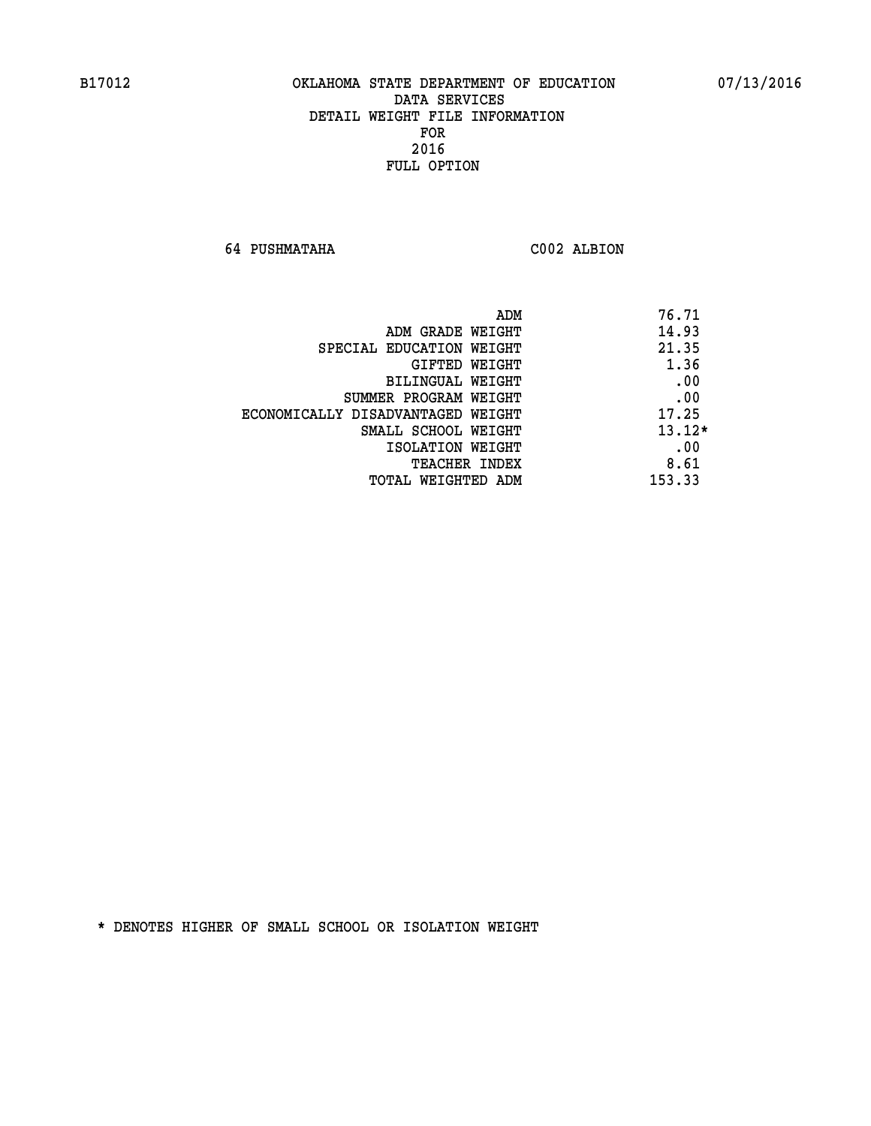**64 PUSHMATAHA C002 ALBION** 

|                                   | ADM<br>76.71 |
|-----------------------------------|--------------|
| ADM GRADE WEIGHT                  | 14.93        |
| SPECIAL EDUCATION WEIGHT          | 21.35        |
| <b>GIFTED WEIGHT</b>              | 1.36         |
| BILINGUAL WEIGHT                  | .00          |
| SUMMER PROGRAM WEIGHT             | .00          |
| ECONOMICALLY DISADVANTAGED WEIGHT | 17.25        |
| SMALL SCHOOL WEIGHT               | $13.12*$     |
| ISOLATION WEIGHT                  | .00          |
| TEACHER INDEX                     | 8.61         |
| TOTAL WEIGHTED ADM                | 153.33       |
|                                   |              |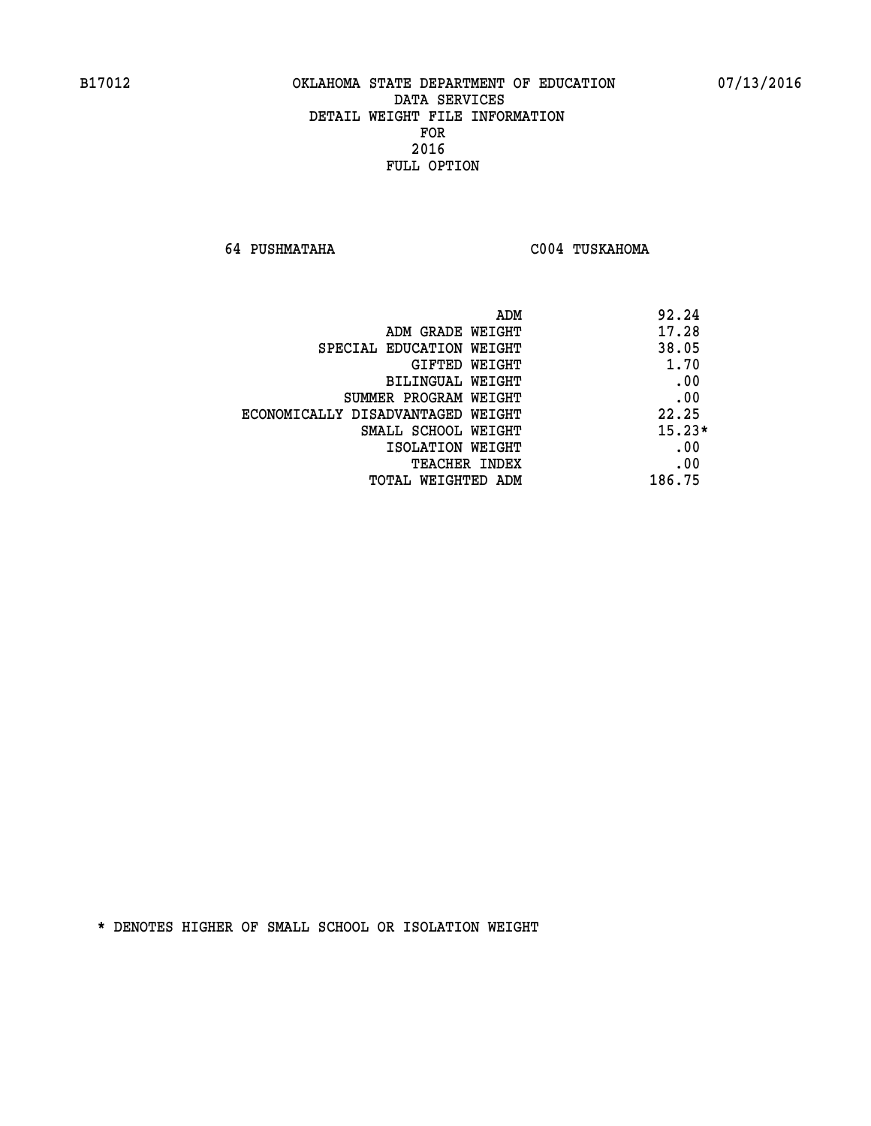**64 PUSHMATAHA C004 TUSKAHOMA** 

| ADM<br>92.24                               |  |
|--------------------------------------------|--|
| 17.28<br>ADM GRADE WEIGHT                  |  |
| 38.05<br>SPECIAL EDUCATION WEIGHT          |  |
| 1.70<br>GIFTED WEIGHT                      |  |
| .00<br>BILINGUAL WEIGHT                    |  |
| .00<br>SUMMER PROGRAM WEIGHT               |  |
| 22.25<br>ECONOMICALLY DISADVANTAGED WEIGHT |  |
| $15.23*$<br>SMALL SCHOOL WEIGHT            |  |
| .00<br>ISOLATION WEIGHT                    |  |
| .00<br><b>TEACHER INDEX</b>                |  |
| 186.75<br>TOTAL WEIGHTED ADM               |  |
|                                            |  |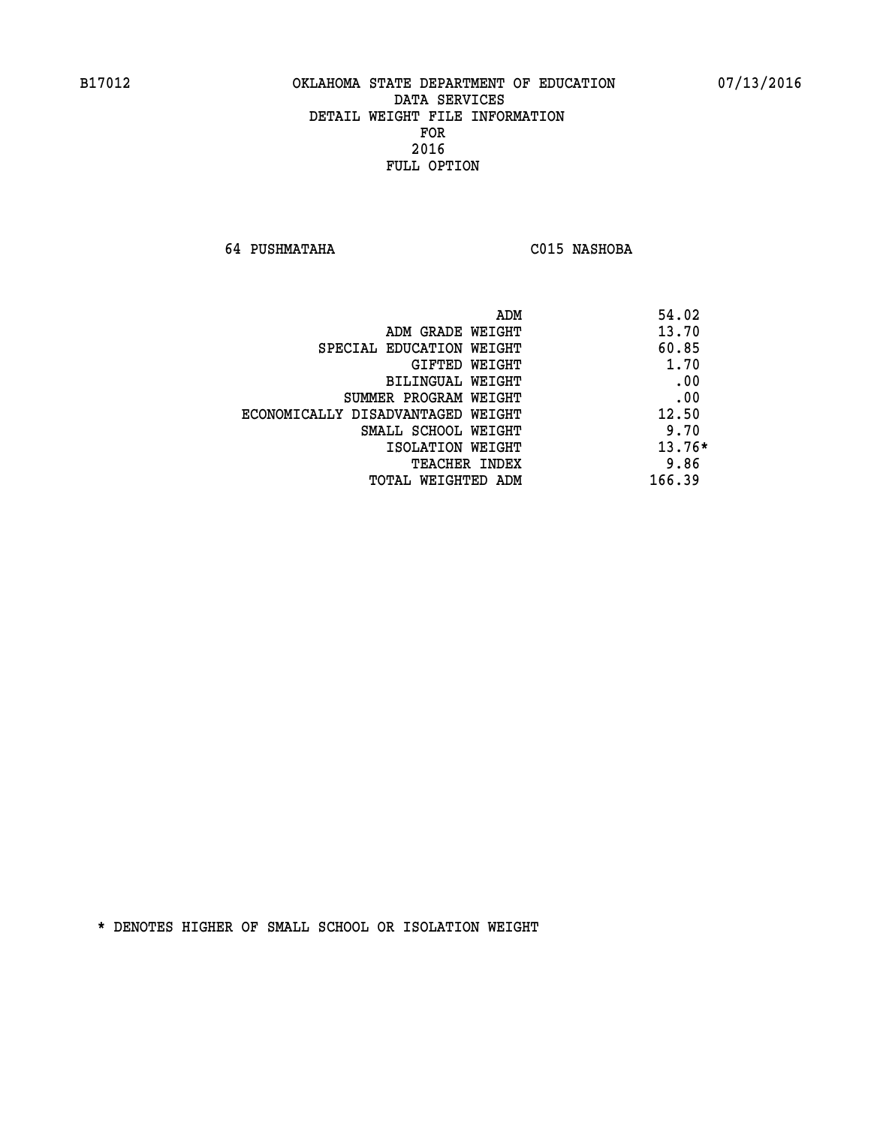**64 PUSHMATAHA C015 NASHOBA** 

| ADM                               | 54.02    |
|-----------------------------------|----------|
| ADM GRADE WEIGHT                  | 13.70    |
| SPECIAL EDUCATION WEIGHT          | 60.85    |
| GIFTED WEIGHT                     | 1.70     |
| BILINGUAL WEIGHT                  | .00      |
| SUMMER PROGRAM WEIGHT             | .00      |
| ECONOMICALLY DISADVANTAGED WEIGHT | 12.50    |
| SMALL SCHOOL WEIGHT               | 9.70     |
| ISOLATION WEIGHT                  | $13.76*$ |
| <b>TEACHER INDEX</b>              | 9.86     |
| TOTAL WEIGHTED ADM                | 166.39   |
|                                   |          |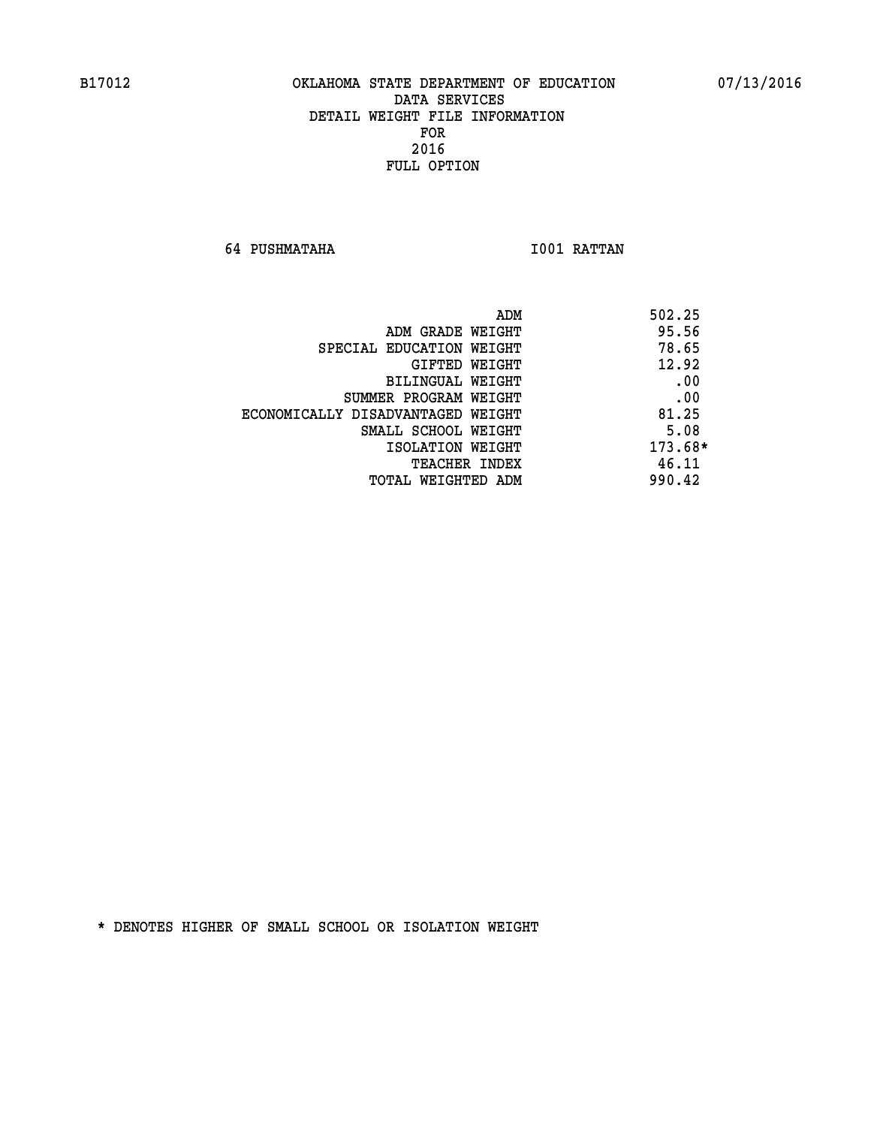**64 PUSHMATAHA I001 RATTAN** 

|                                   | ADM | 502.25  |
|-----------------------------------|-----|---------|
| ADM GRADE WEIGHT                  |     | 95.56   |
| SPECIAL EDUCATION WEIGHT          |     | 78.65   |
| GIFTED WEIGHT                     |     | 12.92   |
| BILINGUAL WEIGHT                  |     | .00     |
| SUMMER PROGRAM WEIGHT             |     | .00     |
| ECONOMICALLY DISADVANTAGED WEIGHT |     | 81.25   |
| SMALL SCHOOL WEIGHT               |     | 5.08    |
| ISOLATION WEIGHT                  |     | 173.68* |
| TEACHER INDEX                     |     | 46.11   |
| TOTAL WEIGHTED ADM                |     | 990.42  |
|                                   |     |         |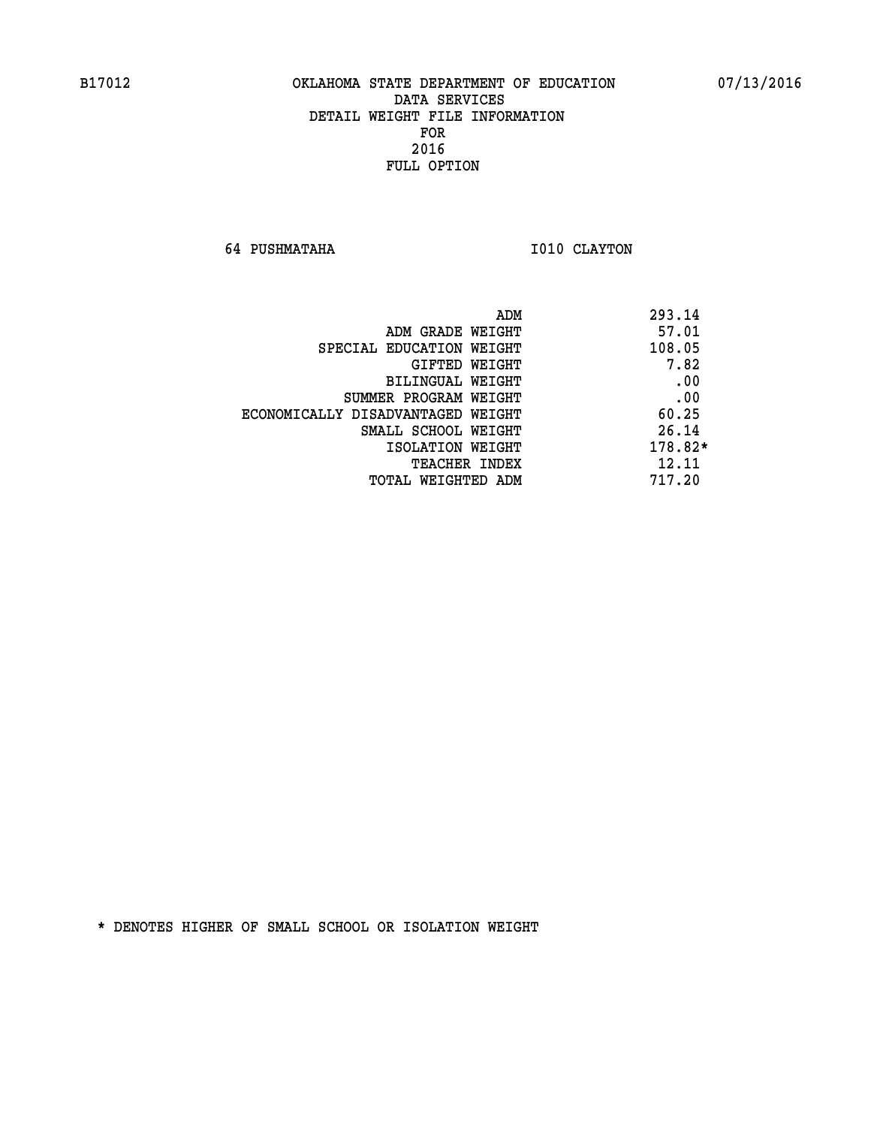**64 PUSHMATAHA 1010 CLAYTON** 

|                                   | ADM | 293.14  |
|-----------------------------------|-----|---------|
| ADM GRADE WEIGHT                  |     | 57.01   |
| SPECIAL EDUCATION WEIGHT          |     | 108.05  |
| GIFTED WEIGHT                     |     | 7.82    |
| BILINGUAL WEIGHT                  |     | .00     |
| SUMMER PROGRAM WEIGHT             |     | .00     |
| ECONOMICALLY DISADVANTAGED WEIGHT |     | 60.25   |
| SMALL SCHOOL WEIGHT               |     | 26.14   |
| ISOLATION WEIGHT                  |     | 178.82* |
| TEACHER INDEX                     |     | 12.11   |
| TOTAL WEIGHTED ADM                |     | 717.20  |
|                                   |     |         |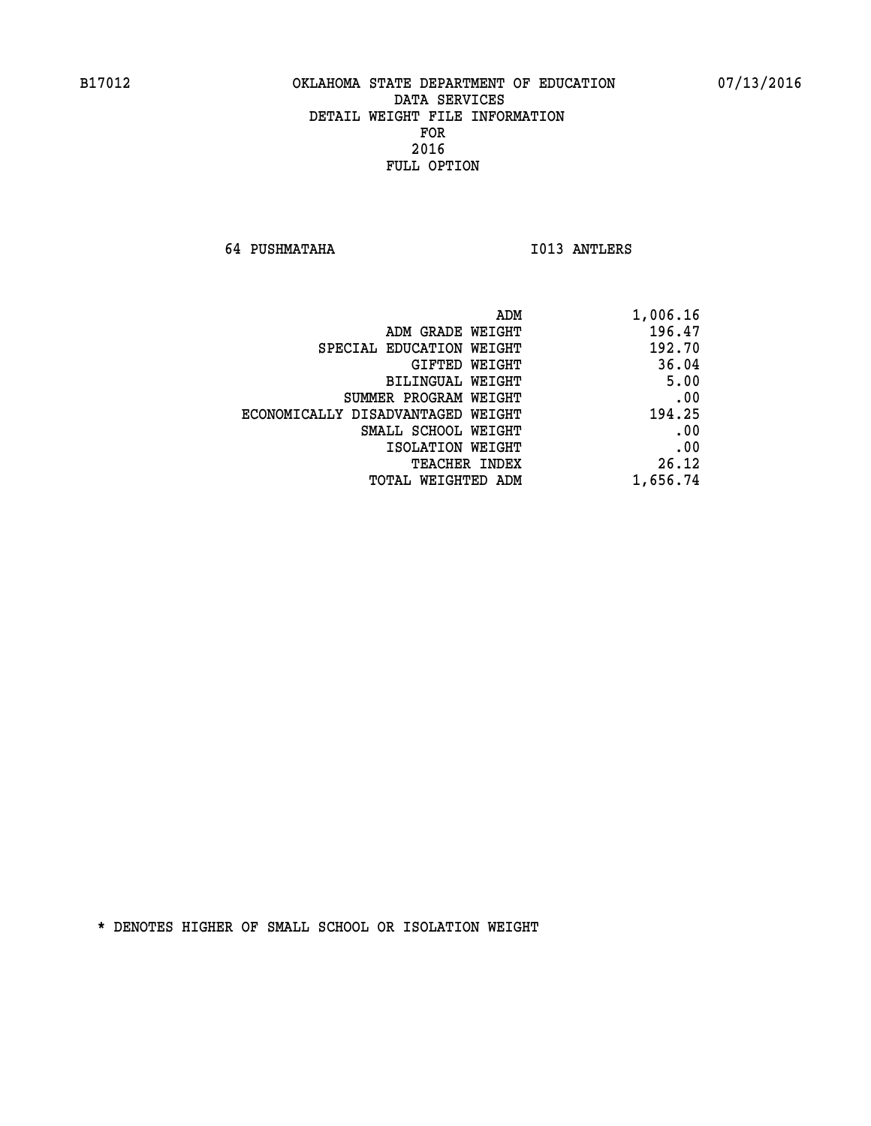**64 PUSHMATAHA I013 ANTLERS** 

|                                   | ADM<br>1,006.16 |
|-----------------------------------|-----------------|
| ADM GRADE WEIGHT                  | 196.47          |
| SPECIAL EDUCATION WEIGHT          | 192.70          |
| GIFTED WEIGHT                     | 36.04           |
| <b>BILINGUAL WEIGHT</b>           | 5.00            |
| SUMMER PROGRAM WEIGHT             | .00             |
| ECONOMICALLY DISADVANTAGED WEIGHT | 194.25          |
| SMALL SCHOOL WEIGHT               | .00             |
| ISOLATION WEIGHT                  | .00             |
| TEACHER INDEX                     | 26.12           |
| TOTAL WEIGHTED ADM                | 1,656.74        |
|                                   |                 |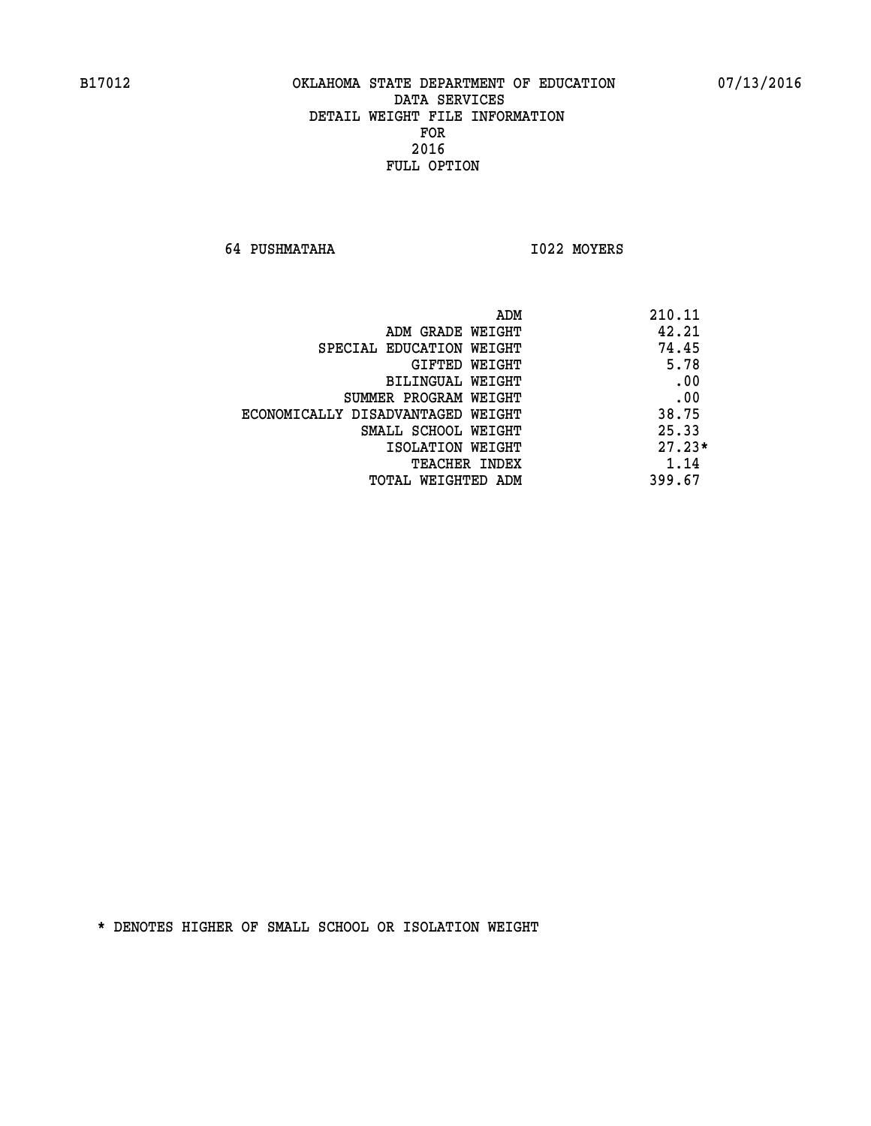**64 PUSHMATAHA I022 MOYERS** 

|                                   | 210.11<br>ADM |
|-----------------------------------|---------------|
| ADM GRADE WEIGHT                  | 42.21         |
| SPECIAL EDUCATION WEIGHT          | 74.45         |
| GIFTED WEIGHT                     | 5.78          |
| BILINGUAL WEIGHT                  | .00           |
| SUMMER PROGRAM WEIGHT             | .00           |
| ECONOMICALLY DISADVANTAGED WEIGHT | 38.75         |
| SMALL SCHOOL WEIGHT               | 25.33         |
| ISOLATION WEIGHT                  | $27.23*$      |
| <b>TEACHER INDEX</b>              | 1.14          |
| TOTAL WEIGHTED ADM                | 399.67        |
|                                   |               |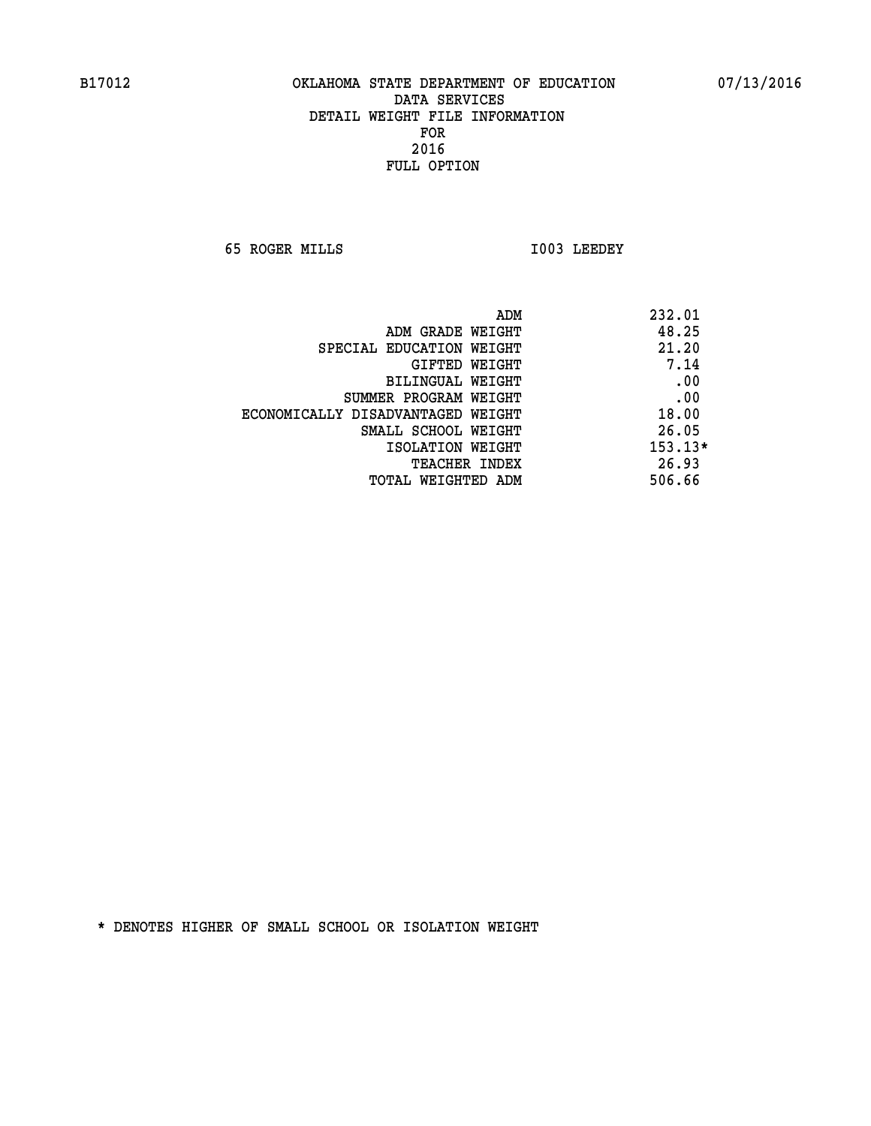**65 ROGER MILLS I003 LEEDEY** 

| ADM                               | 232.01    |
|-----------------------------------|-----------|
| ADM GRADE WEIGHT                  | 48.25     |
| SPECIAL EDUCATION WEIGHT          | 21.20     |
| GIFTED WEIGHT                     | 7.14      |
| BILINGUAL WEIGHT                  | .00       |
| SUMMER PROGRAM WEIGHT             | .00       |
| ECONOMICALLY DISADVANTAGED WEIGHT | 18.00     |
| SMALL SCHOOL WEIGHT               | 26.05     |
| ISOLATION WEIGHT                  | $153.13*$ |
| <b>TEACHER INDEX</b>              | 26.93     |
| TOTAL WEIGHTED ADM                | 506.66    |
|                                   |           |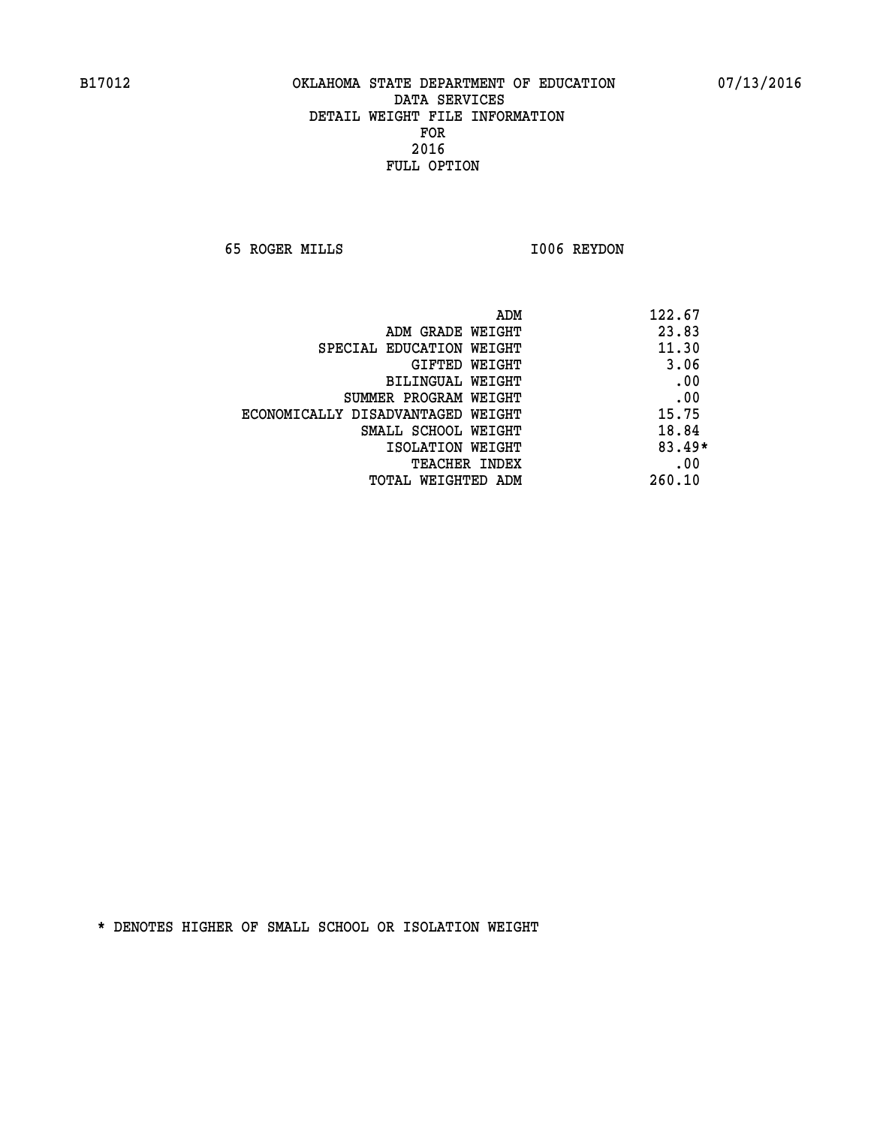**65 ROGER MILLS I006 REYDON** 

| ADM<br>122.67                              |  |
|--------------------------------------------|--|
| 23.83<br>ADM GRADE WEIGHT                  |  |
| 11.30<br>SPECIAL EDUCATION WEIGHT          |  |
| 3.06<br><b>GIFTED WEIGHT</b>               |  |
| .00<br>BILINGUAL WEIGHT                    |  |
| .00<br>SUMMER PROGRAM WEIGHT               |  |
| 15.75<br>ECONOMICALLY DISADVANTAGED WEIGHT |  |
| 18.84<br>SMALL SCHOOL WEIGHT               |  |
| $83.49*$<br>ISOLATION WEIGHT               |  |
| .00<br><b>TEACHER INDEX</b>                |  |
| 260.10<br>TOTAL WEIGHTED ADM               |  |
|                                            |  |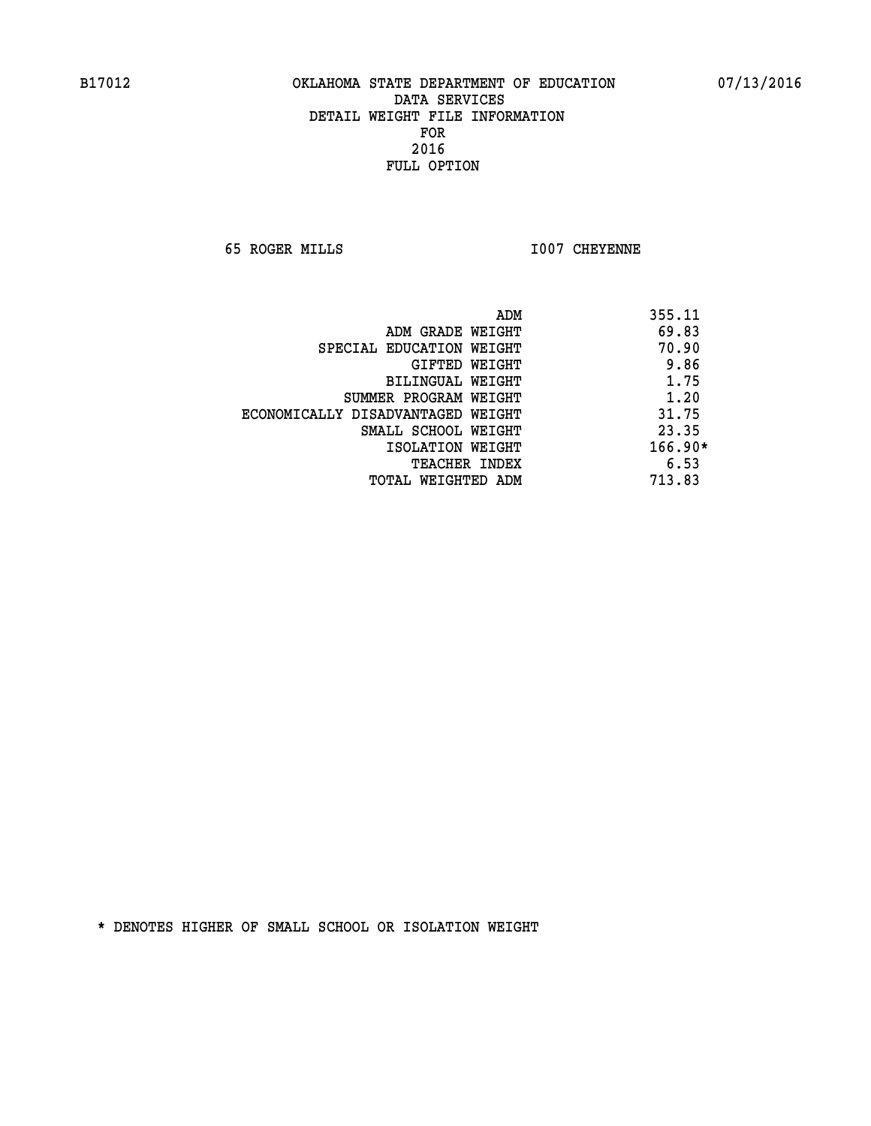**65 ROGER MILLS I007 CHEYENNE** 

|                                   | ADM | 355.11    |
|-----------------------------------|-----|-----------|
| ADM GRADE WEIGHT                  |     | 69.83     |
| SPECIAL EDUCATION WEIGHT          |     | 70.90     |
| GIFTED WEIGHT                     |     | 9.86      |
| BILINGUAL WEIGHT                  |     | 1.75      |
| SUMMER PROGRAM WEIGHT             |     | 1.20      |
| ECONOMICALLY DISADVANTAGED WEIGHT |     | 31.75     |
| SMALL SCHOOL WEIGHT               |     | 23.35     |
| ISOLATION WEIGHT                  |     | $166.90*$ |
| <b>TEACHER INDEX</b>              |     | 6.53      |
| TOTAL WEIGHTED ADM                |     | 713.83    |
|                                   |     |           |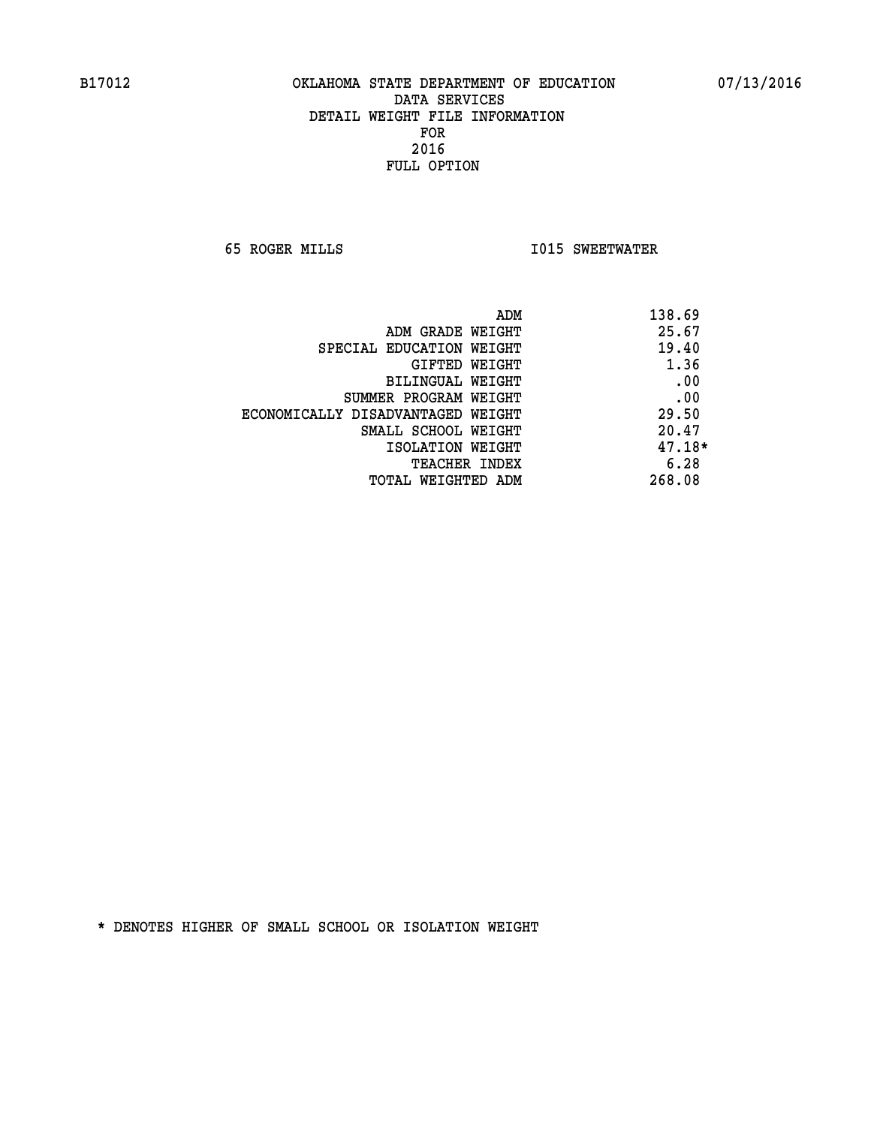**65 ROGER MILLS I015 SWEETWATER** 

| ADM                               | 138.69   |
|-----------------------------------|----------|
| ADM GRADE WEIGHT                  | 25.67    |
| SPECIAL EDUCATION WEIGHT          | 19.40    |
| GIFTED WEIGHT                     | 1.36     |
| BILINGUAL WEIGHT                  | .00      |
| SUMMER PROGRAM WEIGHT             | .00      |
| ECONOMICALLY DISADVANTAGED WEIGHT | 29.50    |
| SMALL SCHOOL WEIGHT               | 20.47    |
| ISOLATION WEIGHT                  | $47.18*$ |
| <b>TEACHER INDEX</b>              | 6.28     |
| TOTAL WEIGHTED ADM                | 268.08   |
|                                   |          |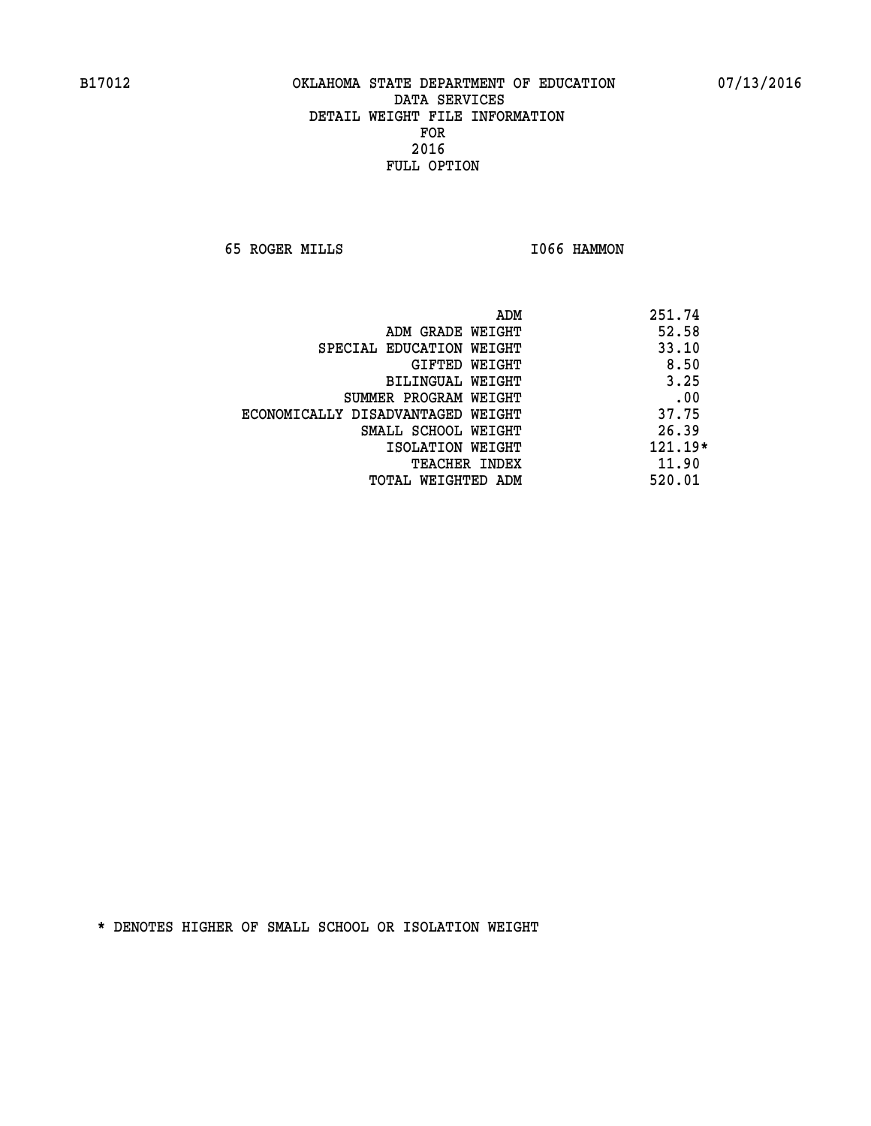**65 ROGER MILLS I066 HAMMON** 

|                                   | ADM | 251.74    |
|-----------------------------------|-----|-----------|
| ADM GRADE WEIGHT                  |     | 52.58     |
| SPECIAL EDUCATION WEIGHT          |     | 33.10     |
| GIFTED WEIGHT                     |     | 8.50      |
| BILINGUAL WEIGHT                  |     | 3.25      |
| SUMMER PROGRAM WEIGHT             |     | .00       |
| ECONOMICALLY DISADVANTAGED WEIGHT |     | 37.75     |
| SMALL SCHOOL WEIGHT               |     | 26.39     |
| ISOLATION WEIGHT                  |     | $121.19*$ |
| <b>TEACHER INDEX</b>              |     | 11.90     |
| TOTAL WEIGHTED ADM                |     | 520.01    |
|                                   |     |           |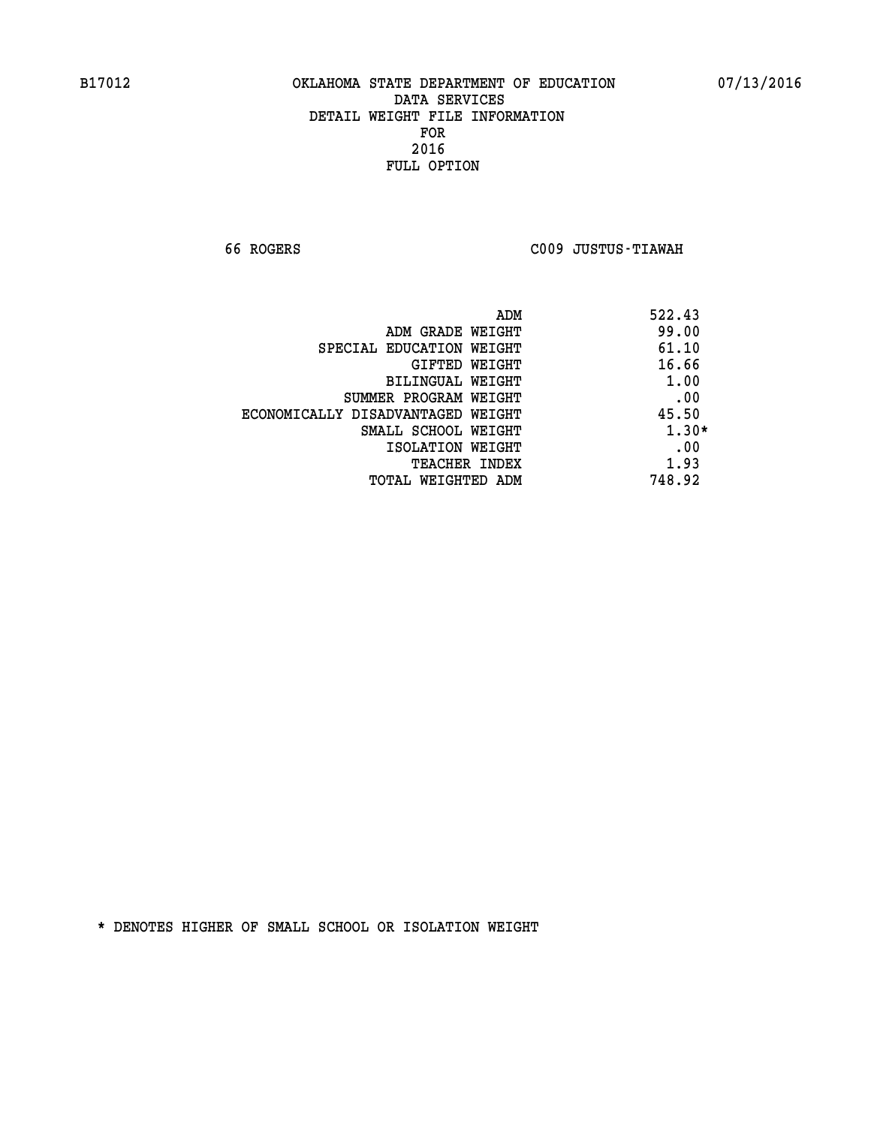**66 ROGERS C009 JUSTUS-TIAWAH** 

| ADM                               | 522.43  |
|-----------------------------------|---------|
| ADM GRADE WEIGHT                  | 99.00   |
| SPECIAL EDUCATION WEIGHT          | 61.10   |
| <b>GIFTED WEIGHT</b>              | 16.66   |
| BILINGUAL WEIGHT                  | 1.00    |
| SUMMER PROGRAM WEIGHT             | .00     |
| ECONOMICALLY DISADVANTAGED WEIGHT | 45.50   |
| SMALL SCHOOL WEIGHT               | $1.30*$ |
| ISOLATION WEIGHT                  | .00     |
| <b>TEACHER INDEX</b>              | 1.93    |
| TOTAL WEIGHTED ADM                | 748.92  |
|                                   |         |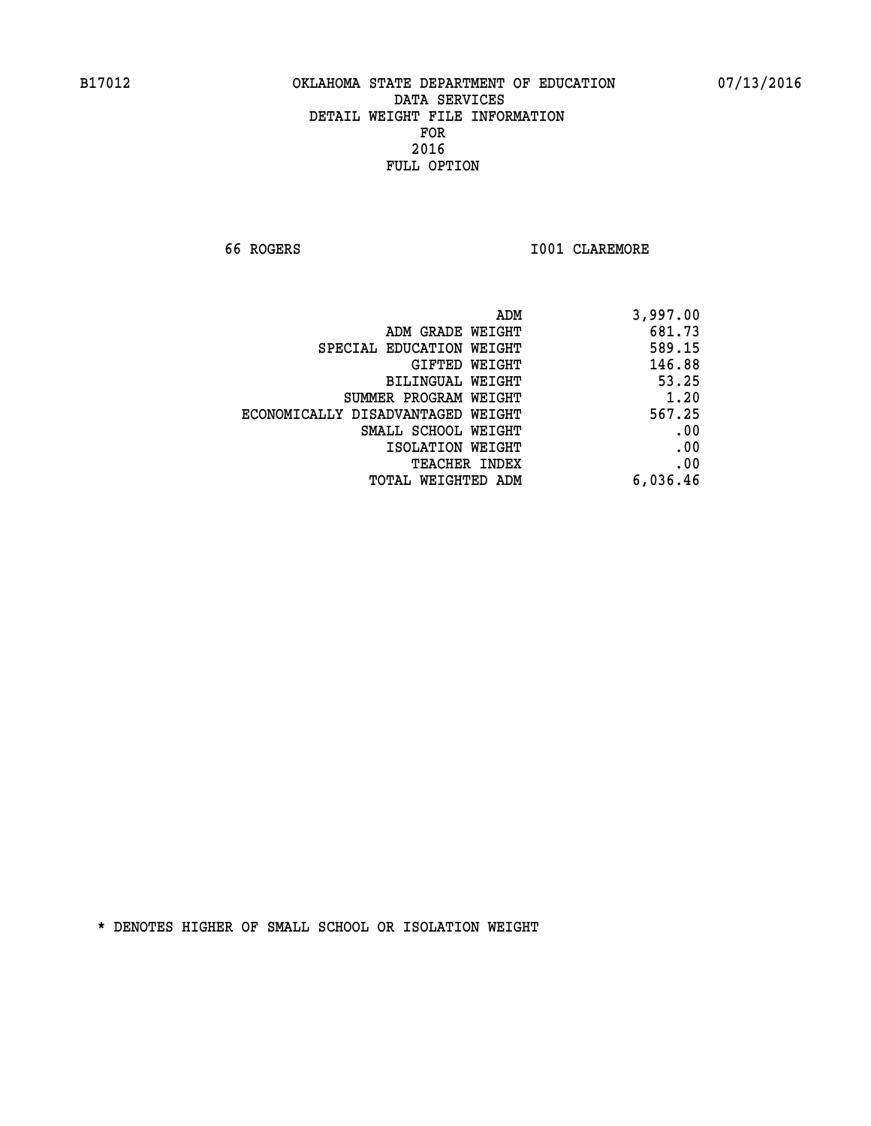**66 ROGERS I001 CLAREMORE** 

| 3,997.00 |
|----------|
| 681.73   |
| 589.15   |
| 146.88   |
| 53.25    |
| 1.20     |
| 567.25   |
| .00      |
| .00      |
| .00      |
| 6,036.46 |
|          |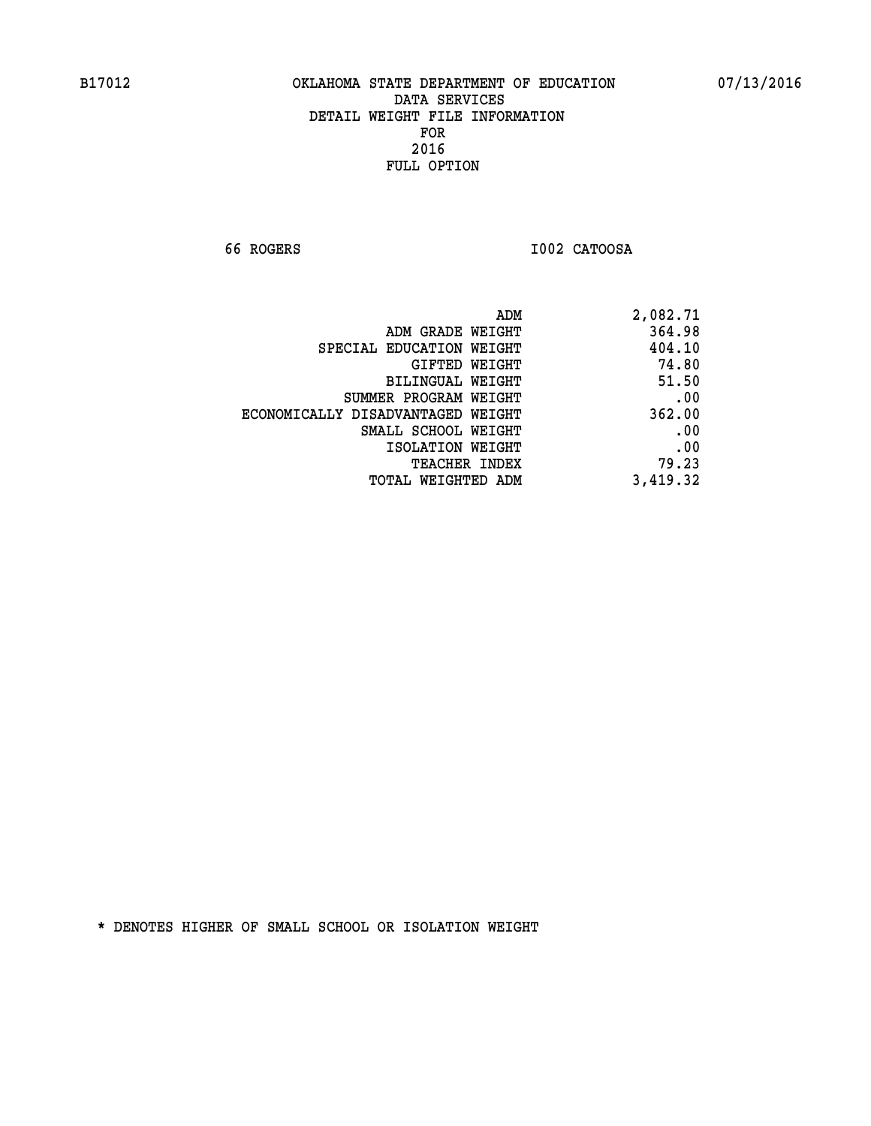**66 ROGERS I002 CATOOSA** 

| 2,082.71 |
|----------|
| 364.98   |
| 404.10   |
| 74.80    |
| 51.50    |
| .00      |
| 362.00   |
| .00      |
| .00      |
| 79.23    |
| 3,419.32 |
|          |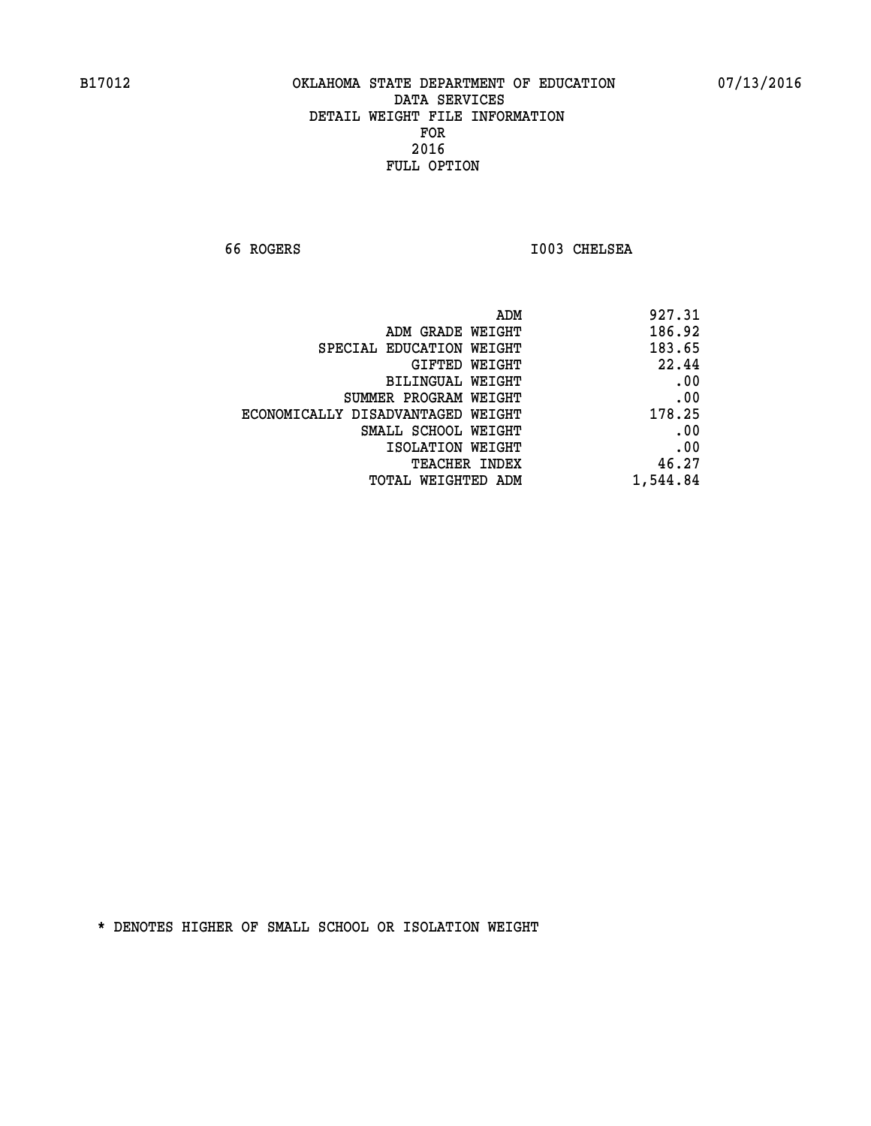**66 ROGERS I003 CHELSEA** 

| 927.31   |
|----------|
| 186.92   |
| 183.65   |
| 22.44    |
| .00      |
| .00      |
| 178.25   |
| .00      |
| .00      |
| 46.27    |
| 1,544.84 |
|          |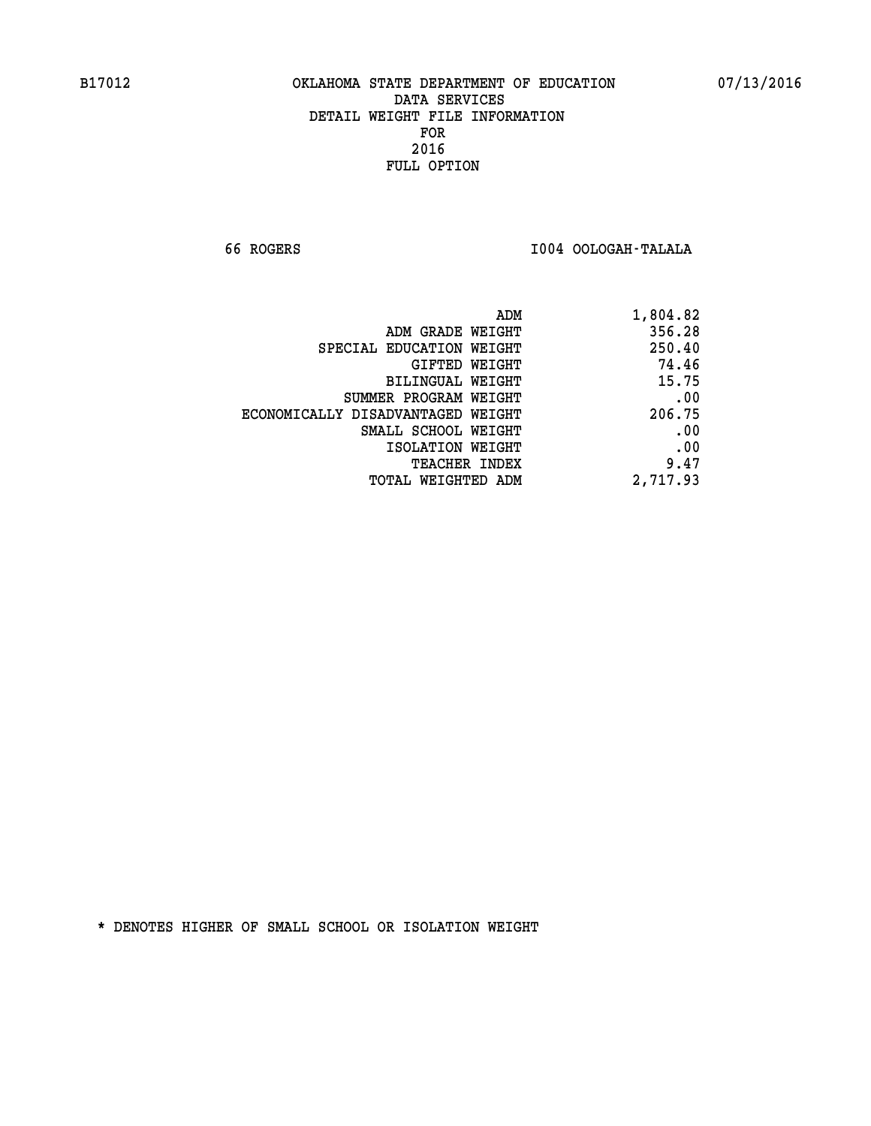**66 ROGERS I004 OOLOGAH-TALALA** 

| ADM<br>1,804.82 |                                   |
|-----------------|-----------------------------------|
| 356.28          | ADM GRADE WEIGHT                  |
| 250.40          | SPECIAL EDUCATION WEIGHT          |
| 74.46           | <b>GIFTED WEIGHT</b>              |
| 15.75           | BILINGUAL WEIGHT                  |
| .00             | SUMMER PROGRAM WEIGHT             |
| 206.75          | ECONOMICALLY DISADVANTAGED WEIGHT |
| .00             | SMALL SCHOOL WEIGHT               |
| .00             | ISOLATION WEIGHT                  |
| 9.47            | <b>TEACHER INDEX</b>              |
| 2,717.93        | TOTAL WEIGHTED ADM                |
|                 |                                   |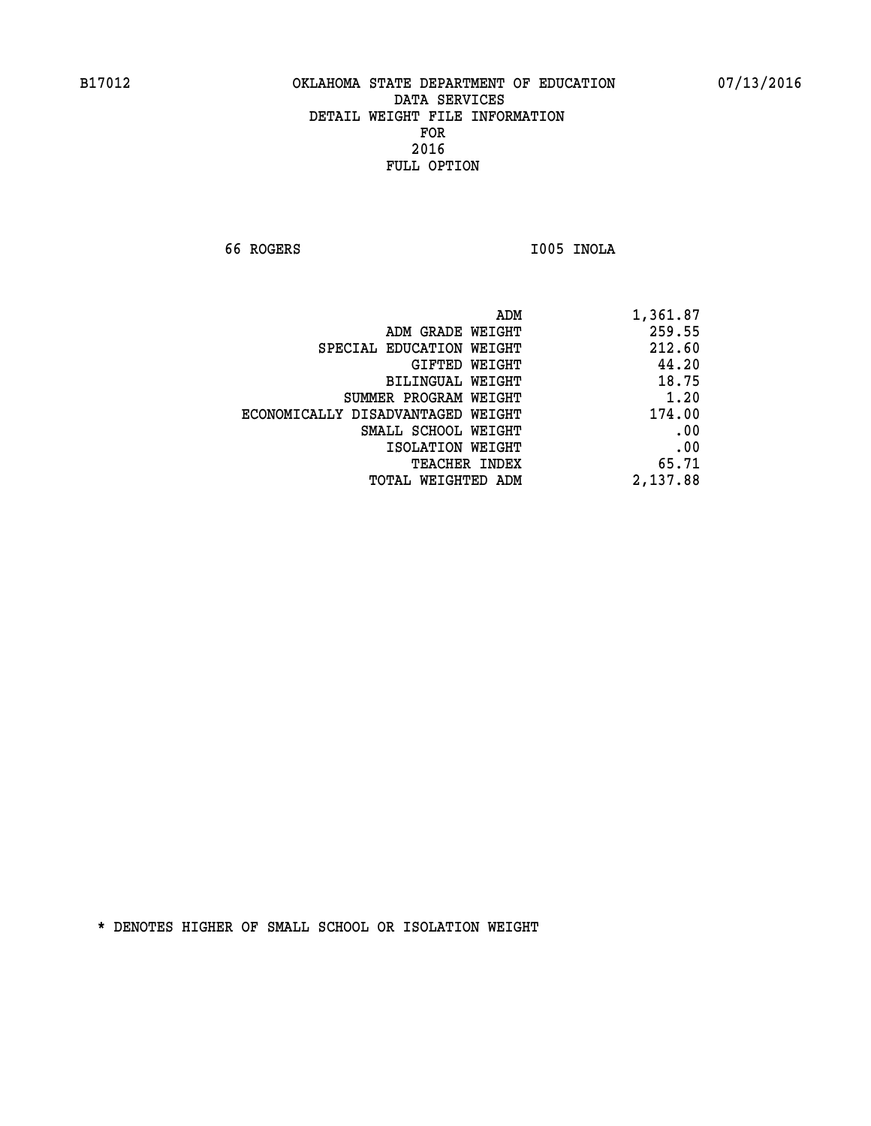**66 ROGERS I005 INOLA** 

| 1,361.87 |
|----------|
| 259.55   |
| 212.60   |
| 44.20    |
| 18.75    |
| 1.20     |
| 174.00   |
| .00      |
| .00      |
| 65.71    |
| 2,137.88 |
|          |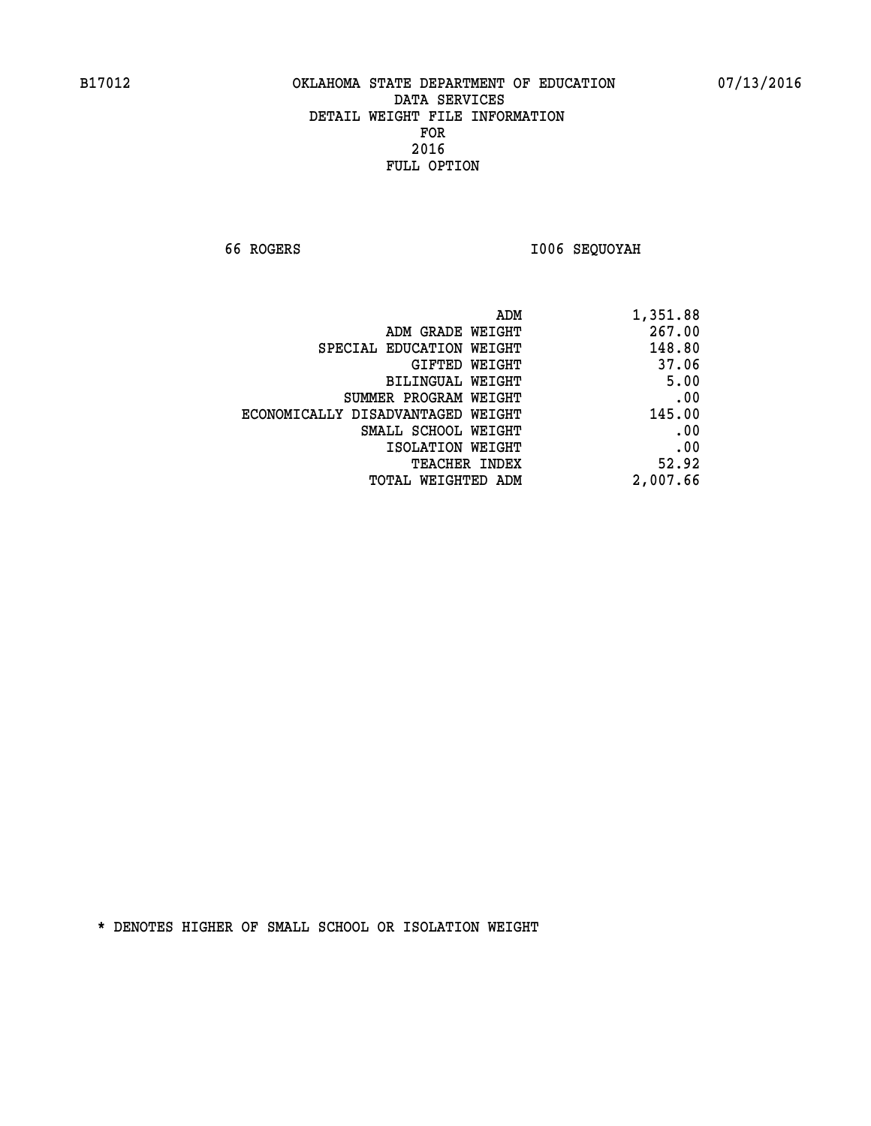**66 ROGERS I006 SEQUOYAH** 

| 1,351.88 |
|----------|
| 267.00   |
| 148.80   |
| 37.06    |
| 5.00     |
| .00      |
| 145.00   |
| .00      |
| .00      |
| 52.92    |
| 2,007.66 |
|          |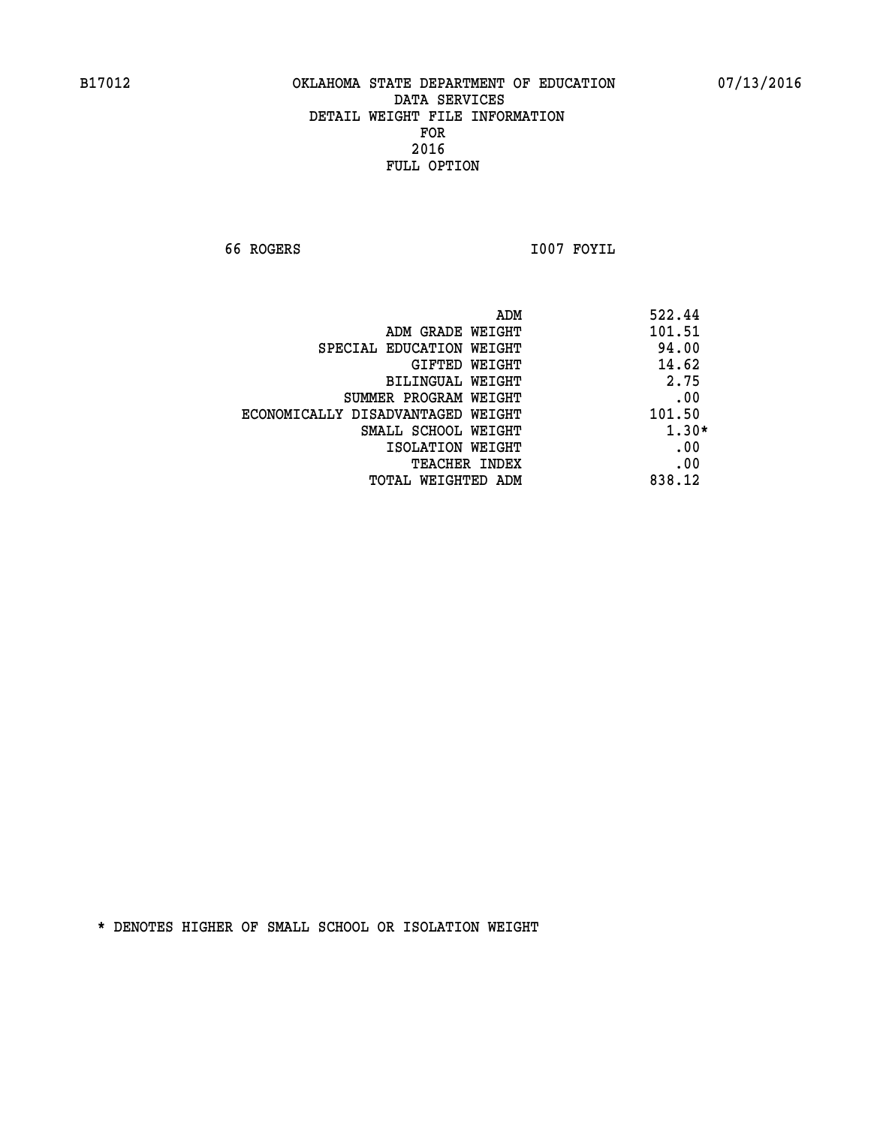**66 ROGERS I007 FOYIL** 

| ADM                               | 522.44  |
|-----------------------------------|---------|
| ADM GRADE WEIGHT                  | 101.51  |
| SPECIAL EDUCATION WEIGHT          | 94.00   |
| <b>GIFTED WEIGHT</b>              | 14.62   |
| BILINGUAL WEIGHT                  | 2.75    |
| SUMMER PROGRAM WEIGHT             | .00     |
| ECONOMICALLY DISADVANTAGED WEIGHT | 101.50  |
| SMALL SCHOOL WEIGHT               | $1.30*$ |
| ISOLATION WEIGHT                  | .00     |
| <b>TEACHER INDEX</b>              | .00     |
| TOTAL WEIGHTED ADM                | 838.12  |
|                                   |         |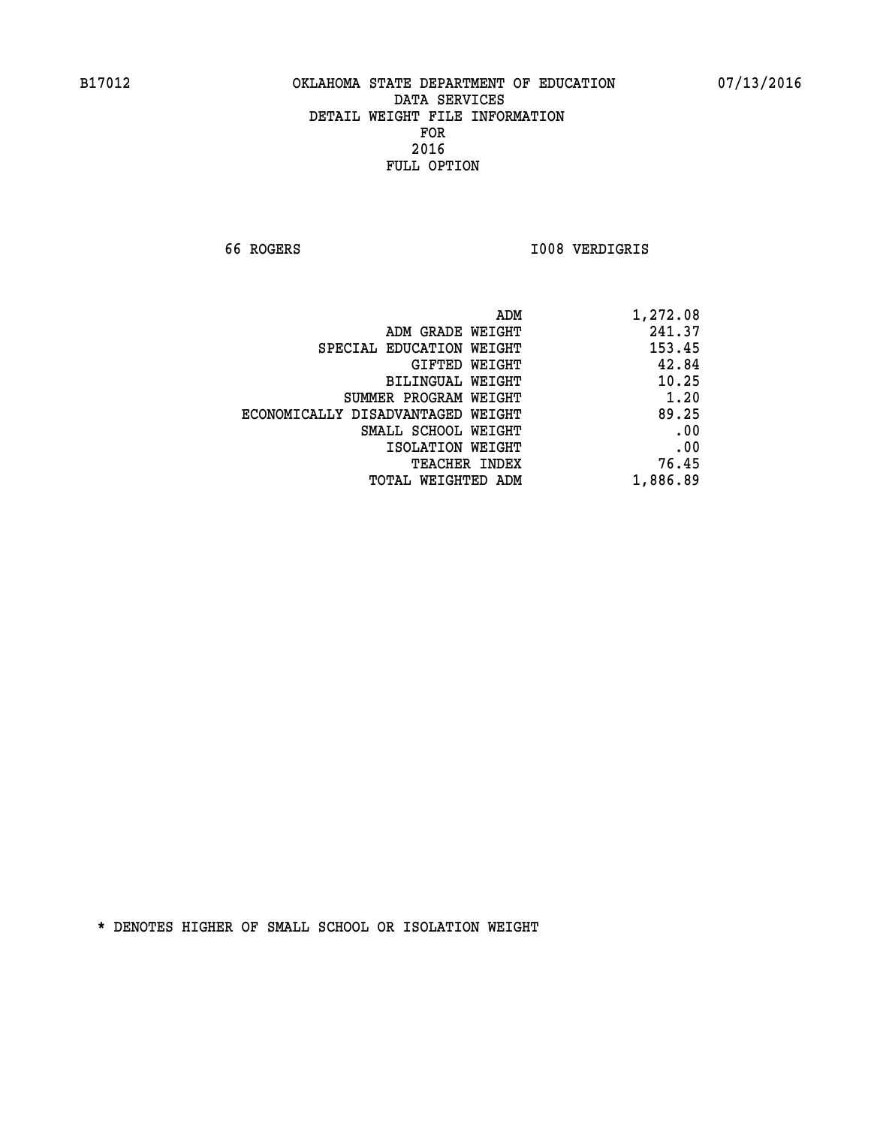**66 ROGERS I008 VERDIGRIS** 

| 1,272.08 |
|----------|
| 241.37   |
| 153.45   |
| 42.84    |
| 10.25    |
| 1.20     |
| 89.25    |
| .00      |
| .00      |
| 76.45    |
| 1,886.89 |
|          |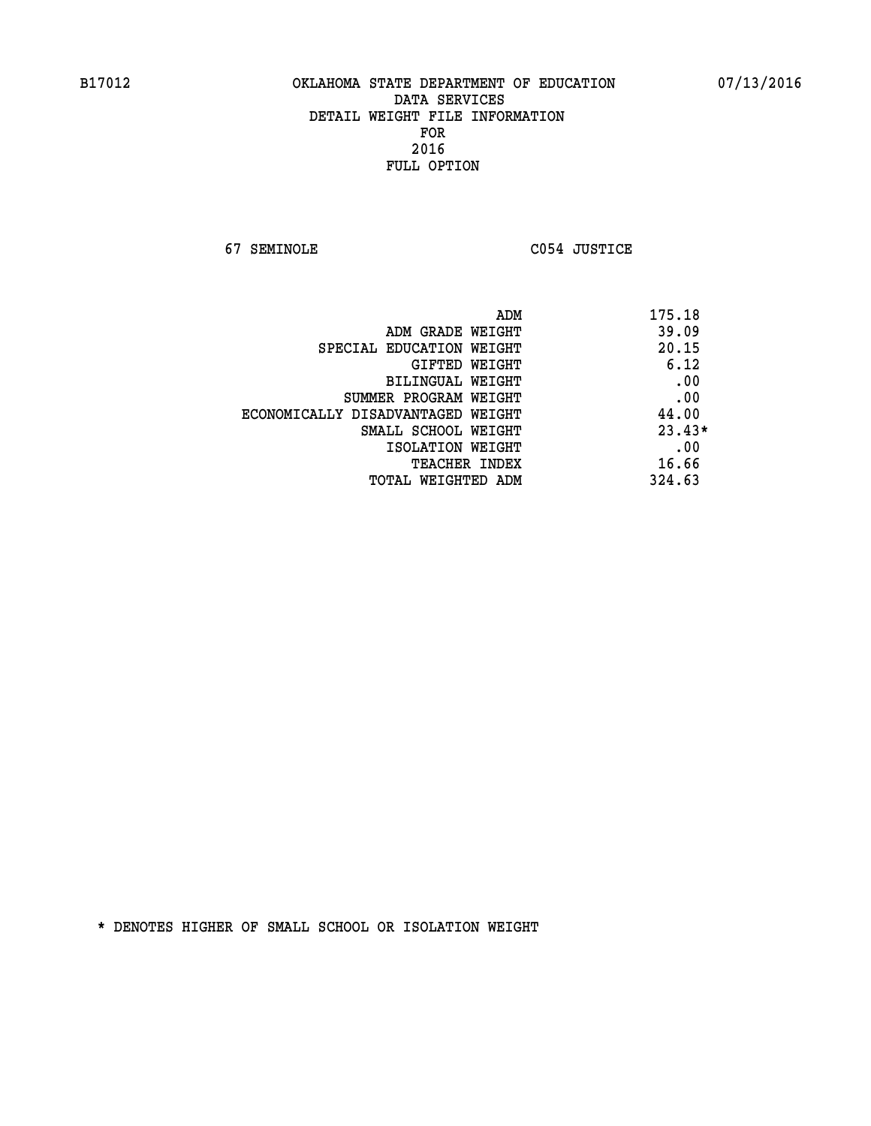**67 SEMINOLE C054 JUSTICE** 

| ADM                               | 175.18   |
|-----------------------------------|----------|
| ADM GRADE WEIGHT                  | 39.09    |
| SPECIAL EDUCATION WEIGHT          | 20.15    |
| GIFTED WEIGHT                     | 6.12     |
| BILINGUAL WEIGHT                  | .00      |
| SUMMER PROGRAM WEIGHT             | .00      |
| ECONOMICALLY DISADVANTAGED WEIGHT | 44.00    |
| SMALL SCHOOL WEIGHT               | $23.43*$ |
| ISOLATION WEIGHT                  | .00      |
| <b>TEACHER INDEX</b>              | 16.66    |
| TOTAL WEIGHTED ADM                | 324.63   |
|                                   |          |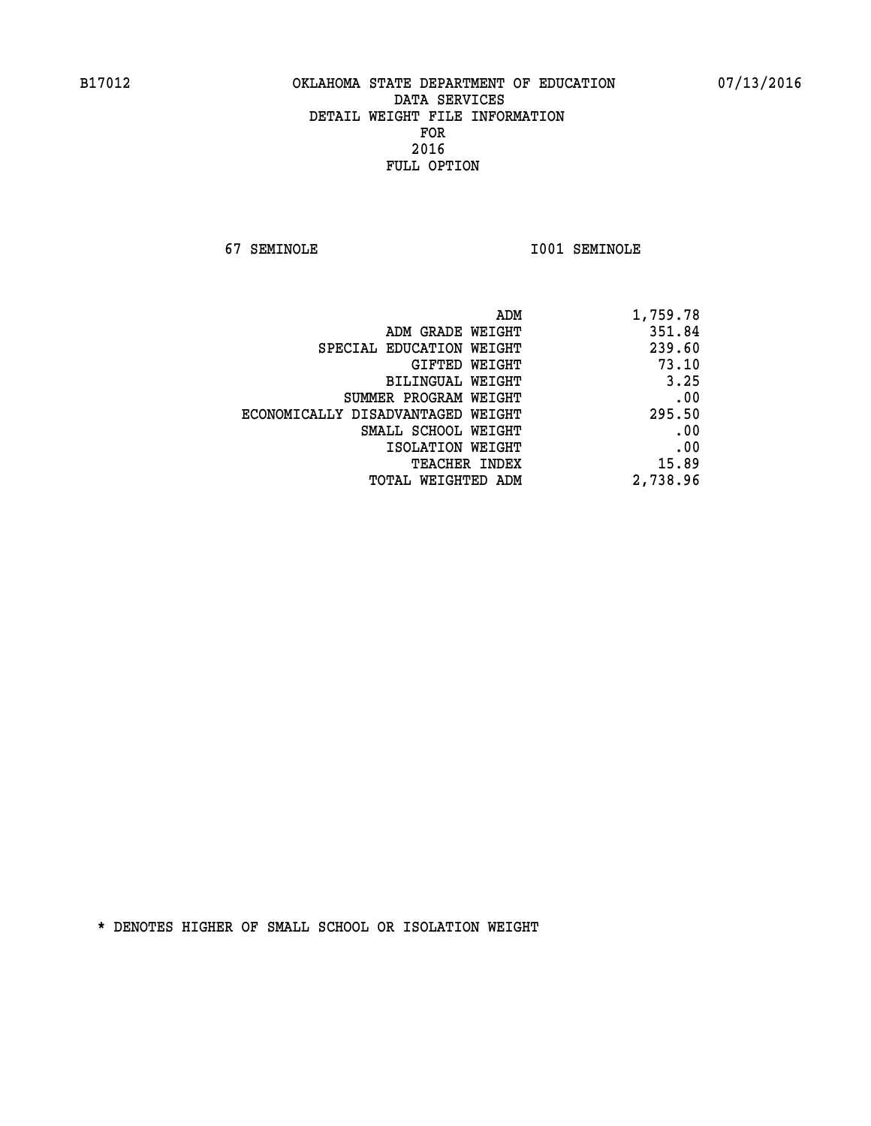**67 SEMINOLE I001 SEMINOLE** 

| ADM                               | 1,759.78 |
|-----------------------------------|----------|
| ADM GRADE WEIGHT                  | 351.84   |
| SPECIAL EDUCATION WEIGHT          | 239.60   |
| <b>GIFTED WEIGHT</b>              | 73.10    |
| BILINGUAL WEIGHT                  | 3.25     |
| SUMMER PROGRAM WEIGHT             | .00      |
| ECONOMICALLY DISADVANTAGED WEIGHT | 295.50   |
| SMALL SCHOOL WEIGHT               | .00      |
| ISOLATION WEIGHT                  | .00      |
| <b>TEACHER INDEX</b>              | 15.89    |
| <b>TOTAL WEIGHTED ADM</b>         | 2,738.96 |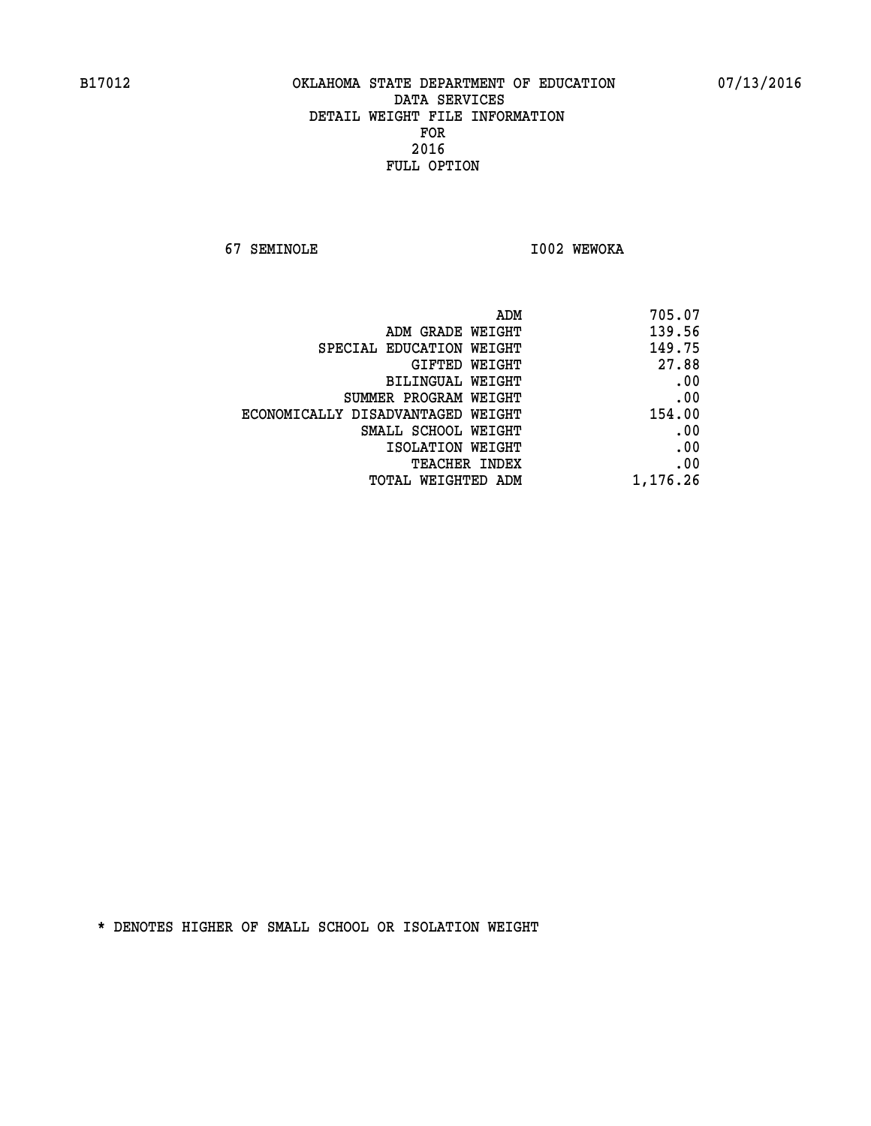**67 SEMINOLE I002 WEWOKA** 

| ADM                               | 705.07   |
|-----------------------------------|----------|
| ADM GRADE WEIGHT                  | 139.56   |
| SPECIAL EDUCATION WEIGHT          | 149.75   |
| GIFTED WEIGHT                     | 27.88    |
| BILINGUAL WEIGHT                  | .00      |
| SUMMER PROGRAM WEIGHT             | .00      |
| ECONOMICALLY DISADVANTAGED WEIGHT | 154.00   |
| SMALL SCHOOL WEIGHT               | .00      |
| ISOLATION WEIGHT                  | .00      |
| <b>TEACHER INDEX</b>              | .00      |
| TOTAL WEIGHTED ADM                | 1,176.26 |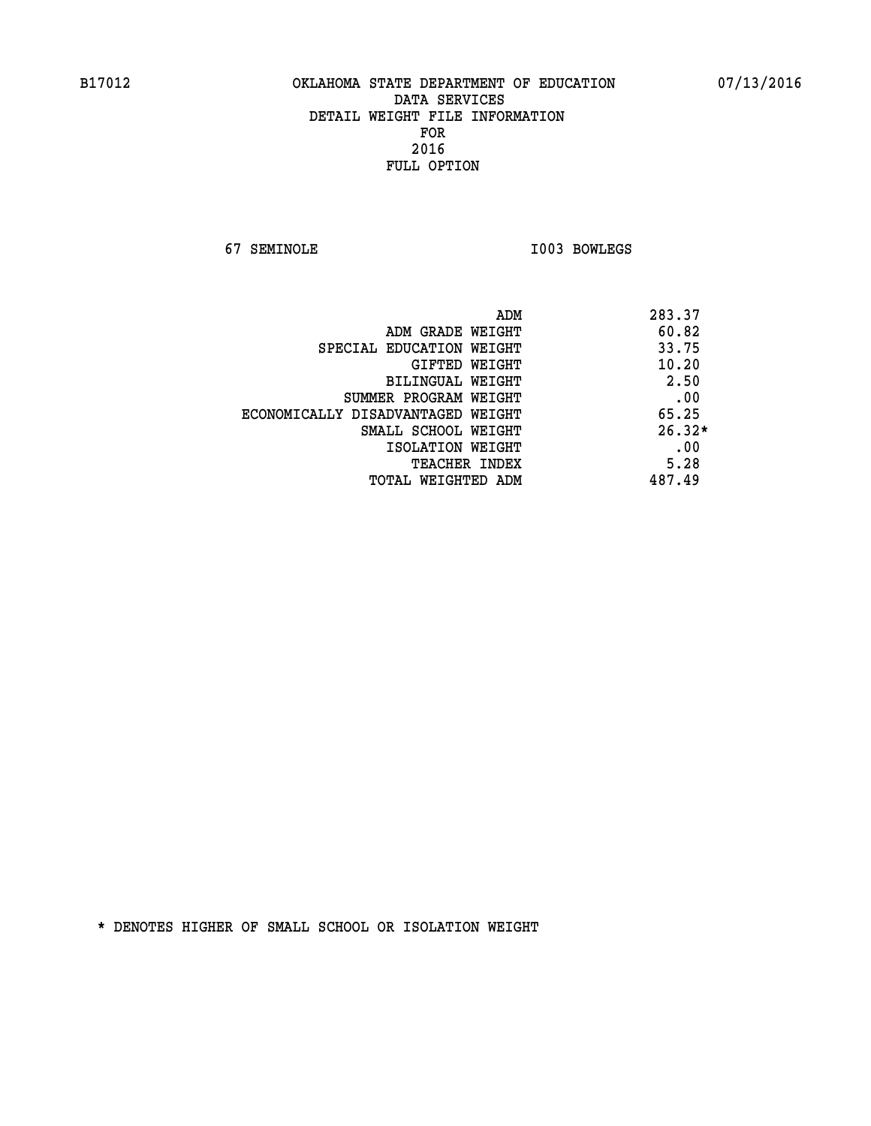**67 SEMINOLE I003 BOWLEGS** 

|                                   | ADM | 283.37   |
|-----------------------------------|-----|----------|
| ADM GRADE WEIGHT                  |     | 60.82    |
| SPECIAL EDUCATION WEIGHT          |     | 33.75    |
| GIFTED WEIGHT                     |     | 10.20    |
| BILINGUAL WEIGHT                  |     | 2.50     |
| SUMMER PROGRAM WEIGHT             |     | .00      |
| ECONOMICALLY DISADVANTAGED WEIGHT |     | 65.25    |
| SMALL SCHOOL WEIGHT               |     | $26.32*$ |
| ISOLATION WEIGHT                  |     | .00      |
| <b>TEACHER INDEX</b>              |     | 5.28     |
| TOTAL WEIGHTED ADM                |     | 487.49   |
|                                   |     |          |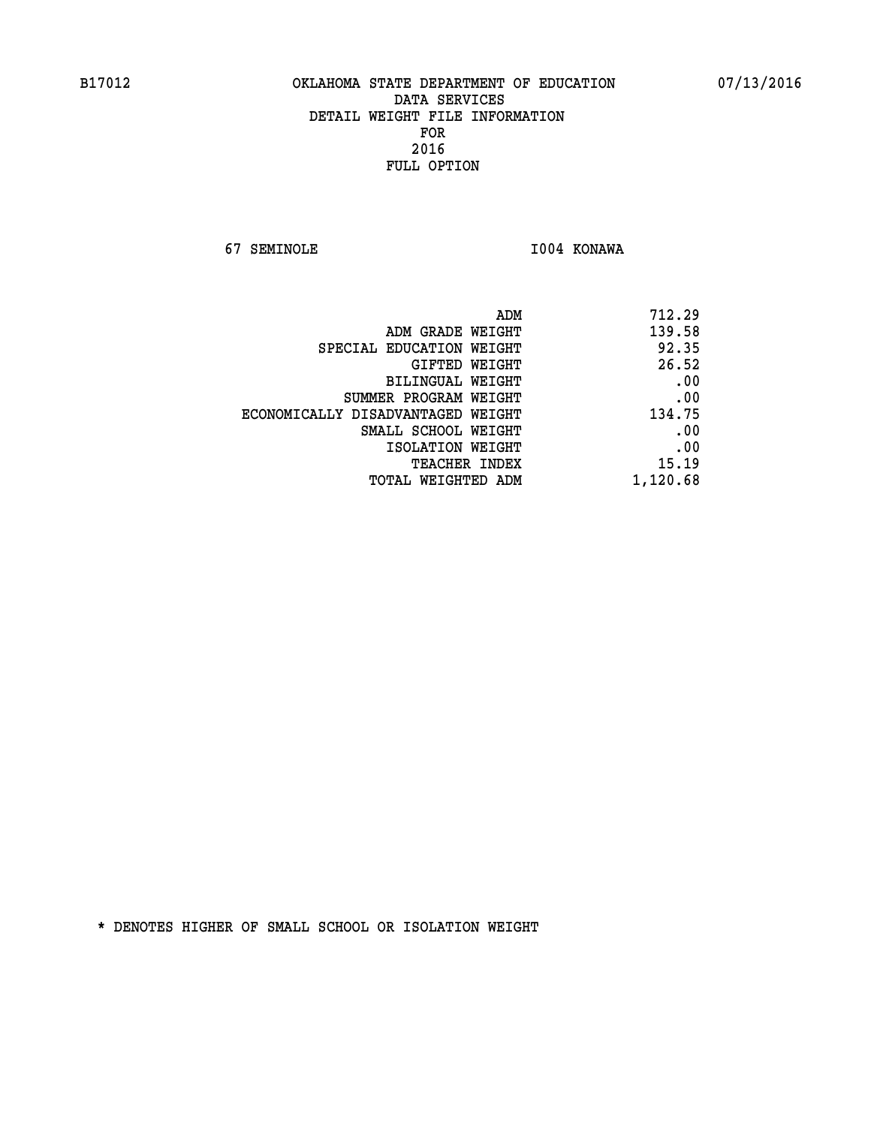**67 SEMINOLE I004 KONAWA** 

| 712.29   |
|----------|
| 139.58   |
| 92.35    |
| 26.52    |
| .00      |
| .00      |
| 134.75   |
| .00      |
| .00      |
| 15.19    |
| 1,120.68 |
|          |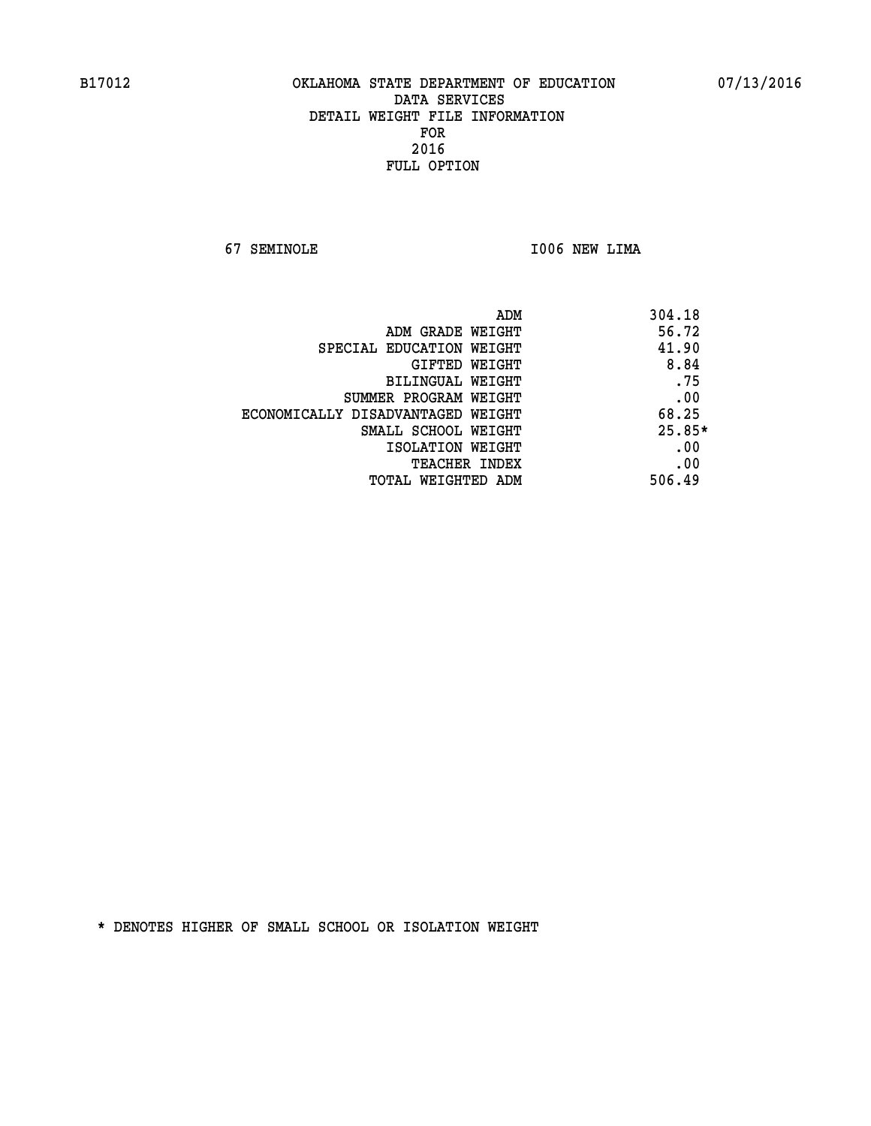**67 SEMINOLE I006 NEW LIMA** 

|                                   | 304.18<br>ADM |
|-----------------------------------|---------------|
| ADM GRADE WEIGHT                  | 56.72         |
| SPECIAL EDUCATION WEIGHT          | 41.90         |
| <b>GIFTED WEIGHT</b>              | 8.84          |
| BILINGUAL WEIGHT                  | .75           |
| SUMMER PROGRAM WEIGHT             | .00           |
| ECONOMICALLY DISADVANTAGED WEIGHT | 68.25         |
| SMALL SCHOOL WEIGHT               | $25.85*$      |
| ISOLATION WEIGHT                  | .00           |
| <b>TEACHER INDEX</b>              | .00           |
| TOTAL WEIGHTED ADM                | 506.49        |
|                                   |               |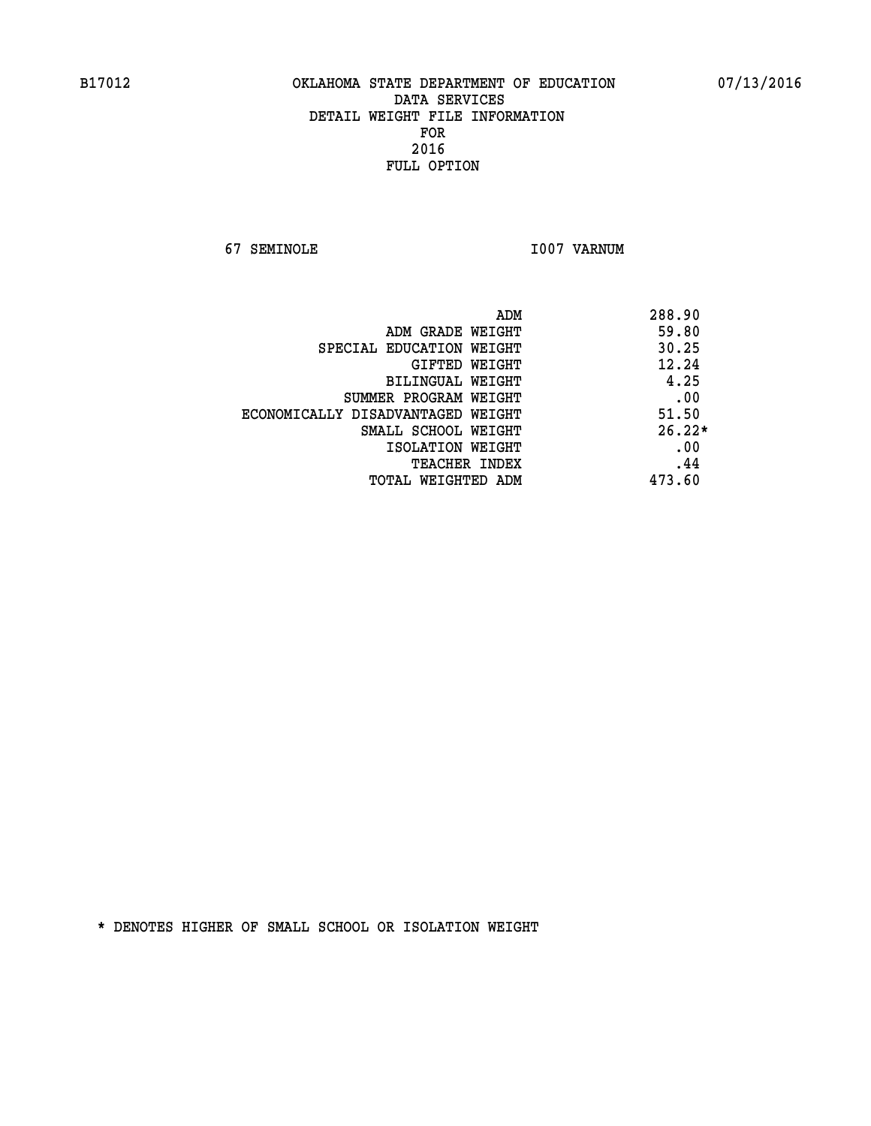**67 SEMINOLE I007 VARNUM** 

| ADM                               | 288.90   |
|-----------------------------------|----------|
| ADM GRADE WEIGHT                  | 59.80    |
| SPECIAL EDUCATION WEIGHT          | 30.25    |
| GIFTED WEIGHT                     | 12.24    |
| BILINGUAL WEIGHT                  | 4.25     |
| SUMMER PROGRAM WEIGHT             | .00      |
| ECONOMICALLY DISADVANTAGED WEIGHT | 51.50    |
| SMALL SCHOOL WEIGHT               | $26.22*$ |
| ISOLATION WEIGHT                  | .00      |
| <b>TEACHER INDEX</b>              | .44      |
| TOTAL WEIGHTED ADM                | 473.60   |
|                                   |          |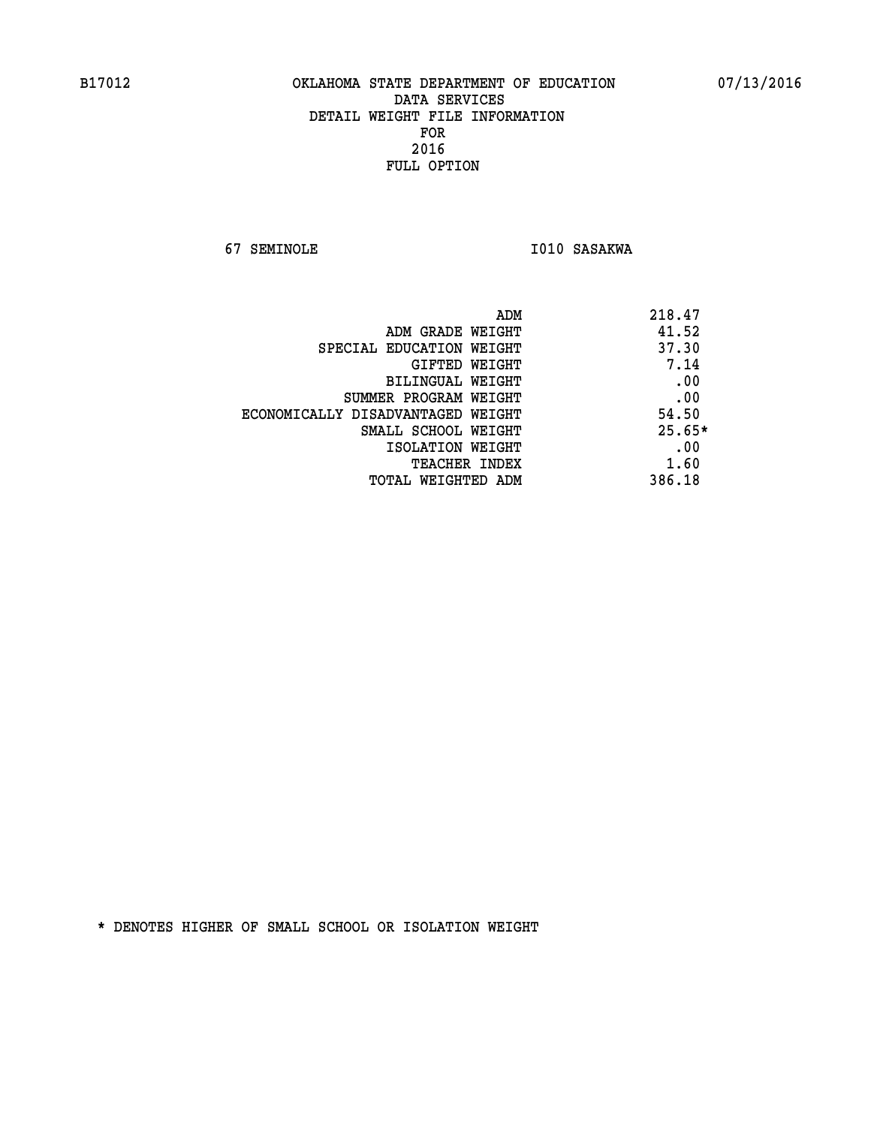**67 SEMINOLE 1010 SASAKWA** 

| ADM                               | 218.47   |
|-----------------------------------|----------|
| ADM GRADE WEIGHT                  | 41.52    |
| SPECIAL EDUCATION WEIGHT          | 37.30    |
| GIFTED WEIGHT                     | 7.14     |
| BILINGUAL WEIGHT                  | .00      |
| SUMMER PROGRAM WEIGHT             | .00      |
| ECONOMICALLY DISADVANTAGED WEIGHT | 54.50    |
| SMALL SCHOOL WEIGHT               | $25.65*$ |
| ISOLATION WEIGHT                  | .00      |
| <b>TEACHER INDEX</b>              | 1.60     |
| TOTAL WEIGHTED ADM                | 386.18   |
|                                   |          |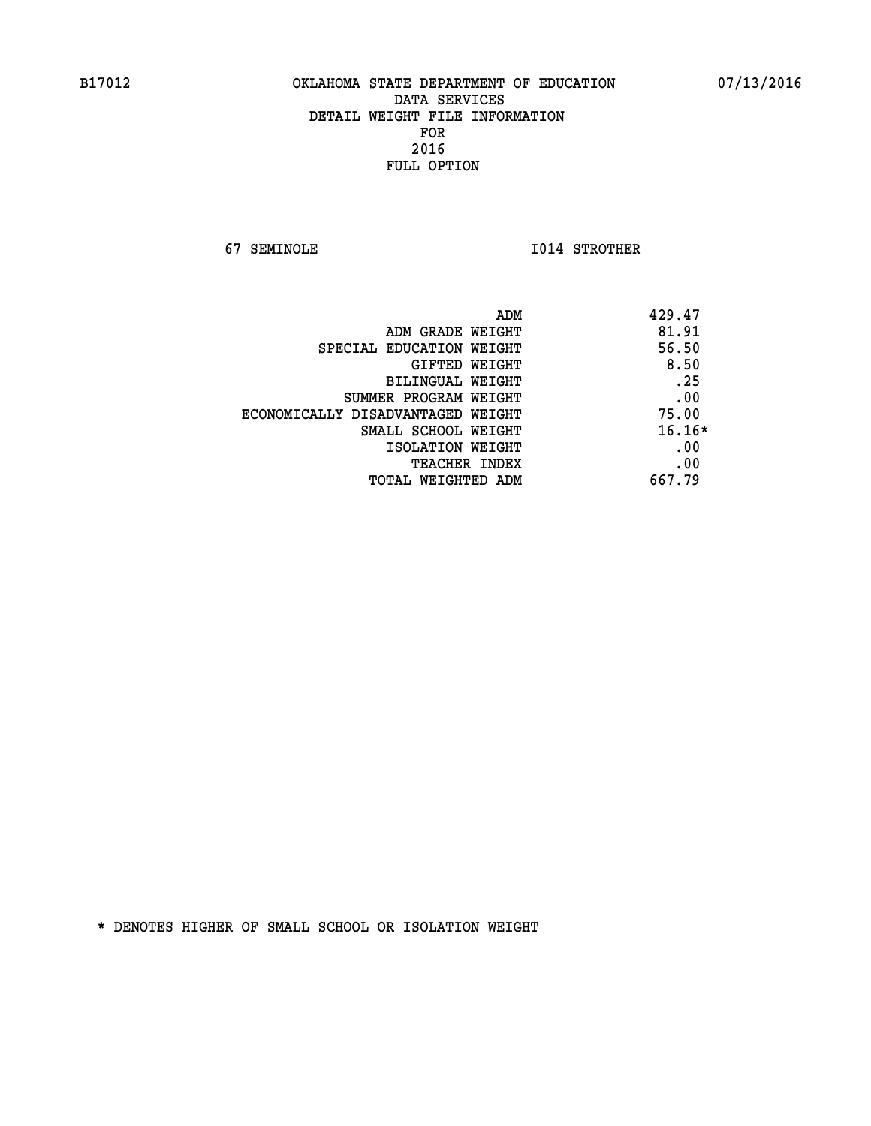**67 SEMINOLE I014 STROTHER** 

| ADM                               | 429.47   |  |
|-----------------------------------|----------|--|
| ADM GRADE WEIGHT                  | 81.91    |  |
| SPECIAL EDUCATION WEIGHT          | 56.50    |  |
| <b>GIFTED WEIGHT</b>              | 8.50     |  |
| <b>BILINGUAL WEIGHT</b>           | .25      |  |
| SUMMER PROGRAM WEIGHT             | .00      |  |
| ECONOMICALLY DISADVANTAGED WEIGHT | 75.00    |  |
| SMALL SCHOOL WEIGHT               | $16.16*$ |  |
| ISOLATION WEIGHT                  | .00      |  |
| <b>TEACHER INDEX</b>              | .00      |  |
| TOTAL WEIGHTED ADM                | 667.79   |  |
|                                   |          |  |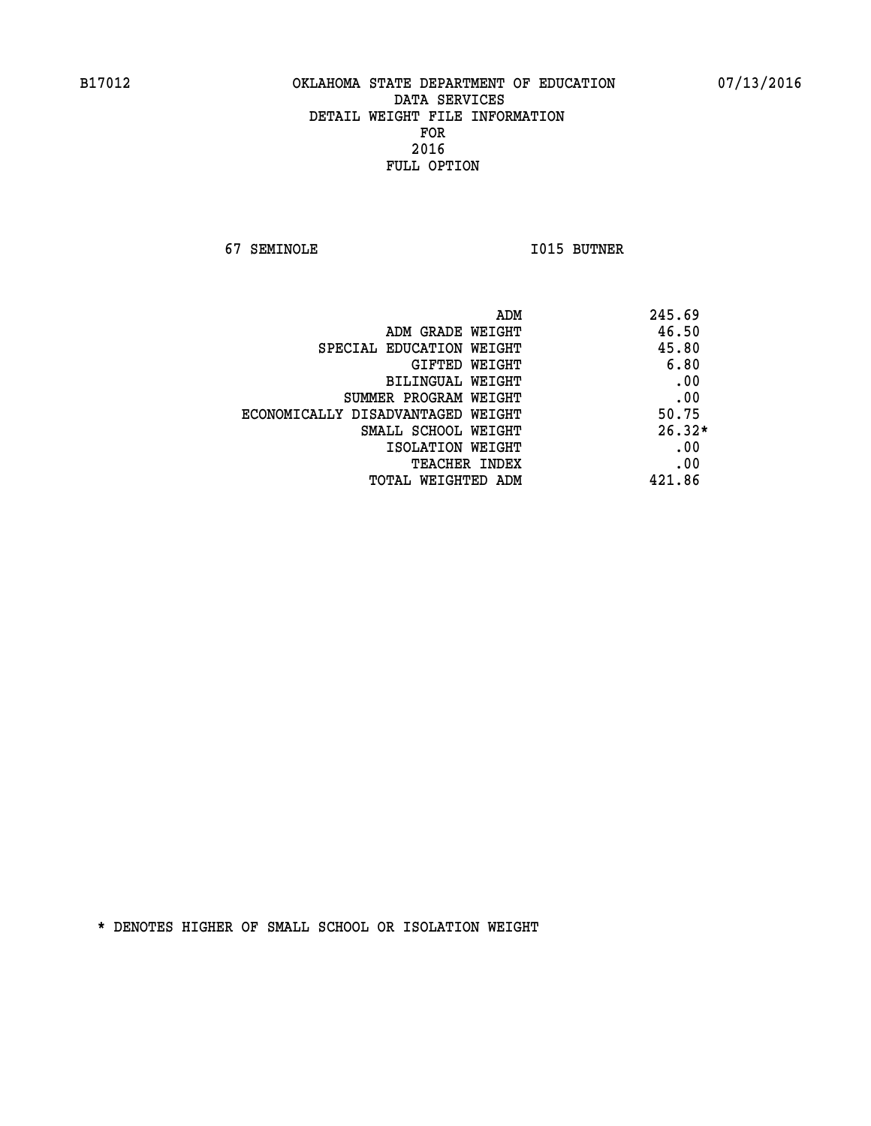**67 SEMINOLE I015 BUTNER** 

| ADM<br>245.69                              |  |
|--------------------------------------------|--|
| 46.50<br>ADM GRADE WEIGHT                  |  |
| 45.80<br>SPECIAL EDUCATION WEIGHT          |  |
| 6.80<br><b>GIFTED WEIGHT</b>               |  |
| .00<br>BILINGUAL WEIGHT                    |  |
| .00<br>SUMMER PROGRAM WEIGHT               |  |
| 50.75<br>ECONOMICALLY DISADVANTAGED WEIGHT |  |
| $26.32*$<br>SMALL SCHOOL WEIGHT            |  |
| .00<br>ISOLATION WEIGHT                    |  |
| .00<br><b>TEACHER INDEX</b>                |  |
| 421.86<br>TOTAL WEIGHTED ADM               |  |
|                                            |  |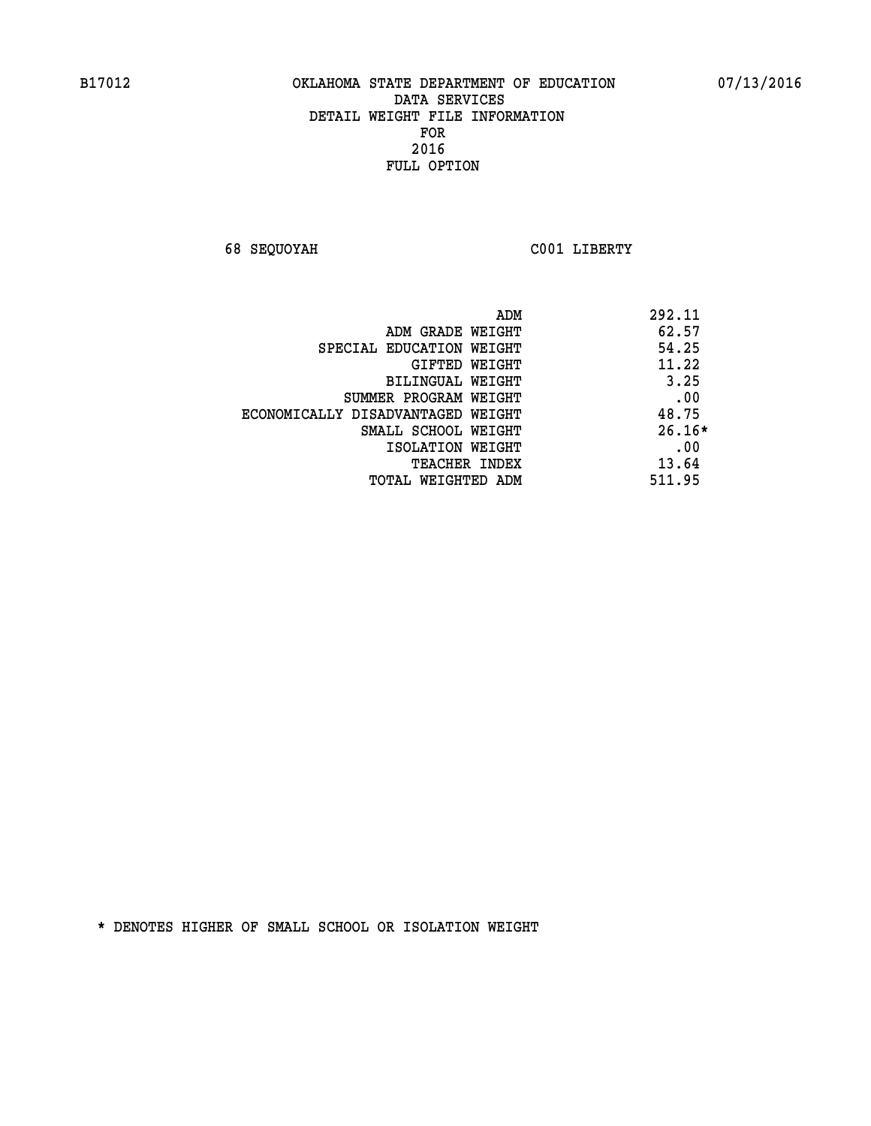**68 SEQUOYAH C001 LIBERTY** 

| ADM                               | 292.11   |
|-----------------------------------|----------|
| ADM GRADE WEIGHT                  | 62.57    |
| SPECIAL EDUCATION WEIGHT          | 54.25    |
| GIFTED WEIGHT                     | 11.22    |
| BILINGUAL WEIGHT                  | 3.25     |
| SUMMER PROGRAM WEIGHT             | .00      |
| ECONOMICALLY DISADVANTAGED WEIGHT | 48.75    |
| SMALL SCHOOL WEIGHT               | $26.16*$ |
| ISOLATION WEIGHT                  | .00      |
| <b>TEACHER INDEX</b>              | 13.64    |
| TOTAL WEIGHTED ADM                | 511.95   |
|                                   |          |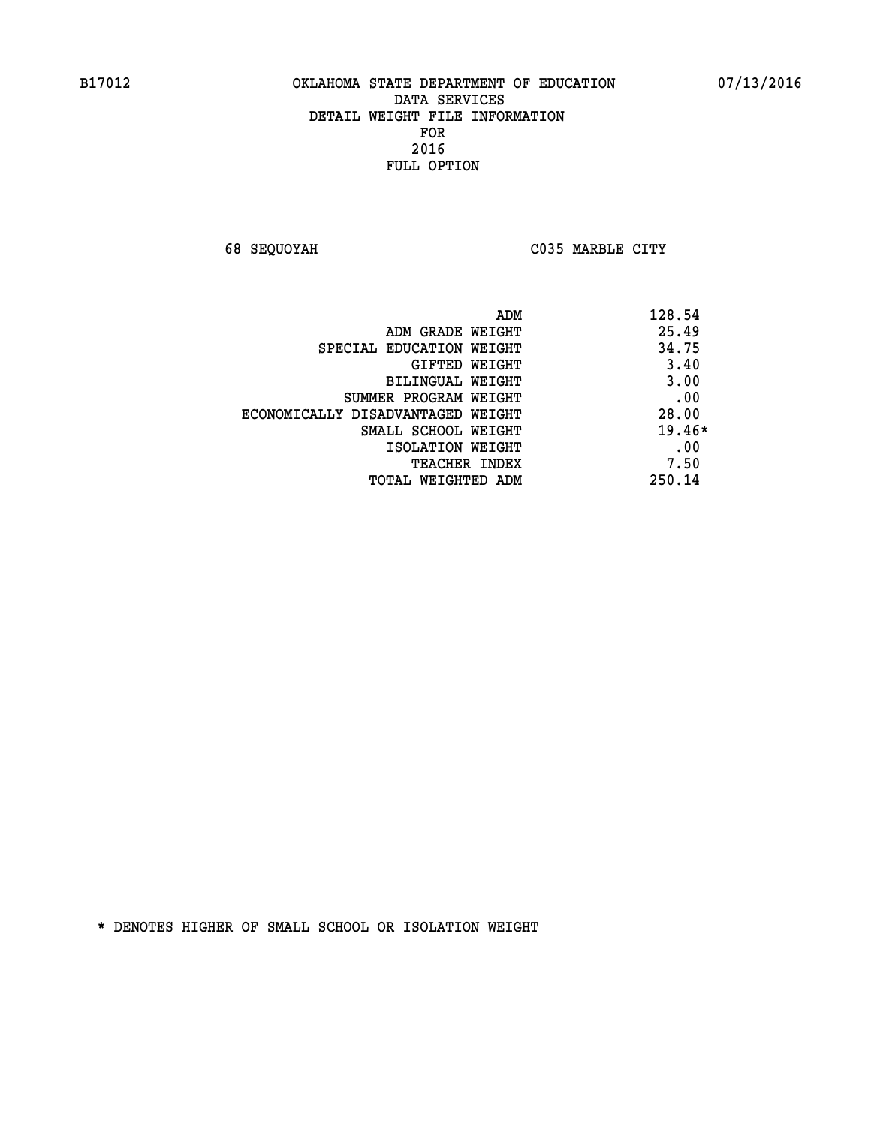**68 SEQUOYAH C035 MARBLE CITY** 

|                                   | 128.54<br>ADM |
|-----------------------------------|---------------|
| ADM GRADE WEIGHT                  | 25.49         |
| SPECIAL EDUCATION WEIGHT          | 34.75         |
| GIFTED WEIGHT                     | 3.40          |
| BILINGUAL WEIGHT                  | 3.00          |
| SUMMER PROGRAM WEIGHT             | .00           |
| ECONOMICALLY DISADVANTAGED WEIGHT | 28.00         |
| SMALL SCHOOL WEIGHT               | $19.46*$      |
| ISOLATION WEIGHT                  | .00           |
| TEACHER INDEX                     | 7.50          |
| TOTAL WEIGHTED ADM                | 250.14        |
|                                   |               |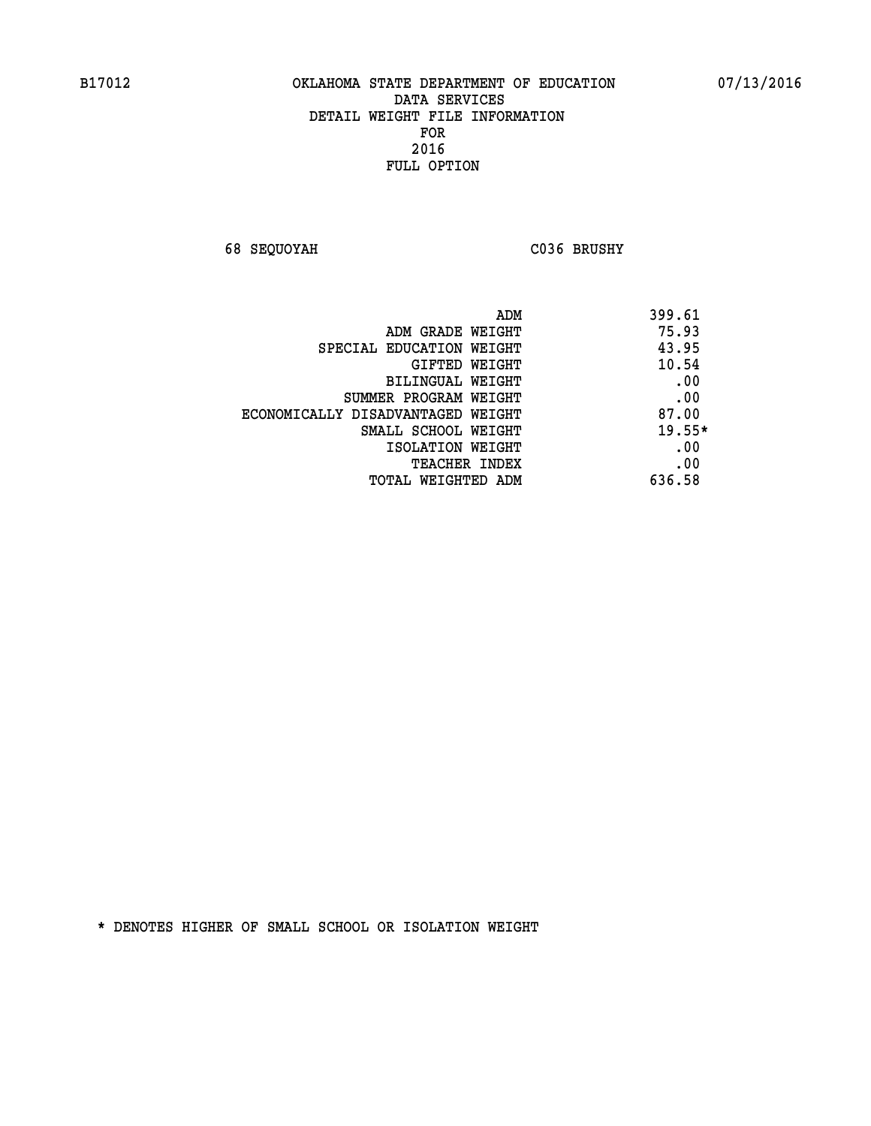**68 SEQUOYAH C036 BRUSHY** 

| ADM                               | 399.61 |
|-----------------------------------|--------|
| ADM GRADE WEIGHT                  | 75.93  |
| SPECIAL EDUCATION WEIGHT          | 43.95  |
| GIFTED WEIGHT                     | 10.54  |
| BILINGUAL WEIGHT                  | .00    |
| SUMMER PROGRAM WEIGHT             | .00    |
| ECONOMICALLY DISADVANTAGED WEIGHT | 87.00  |
| SMALL SCHOOL WEIGHT               | 19.55* |
| ISOLATION WEIGHT                  | .00    |
| <b>TEACHER INDEX</b>              | .00    |
| TOTAL WEIGHTED ADM                | 636.58 |
|                                   |        |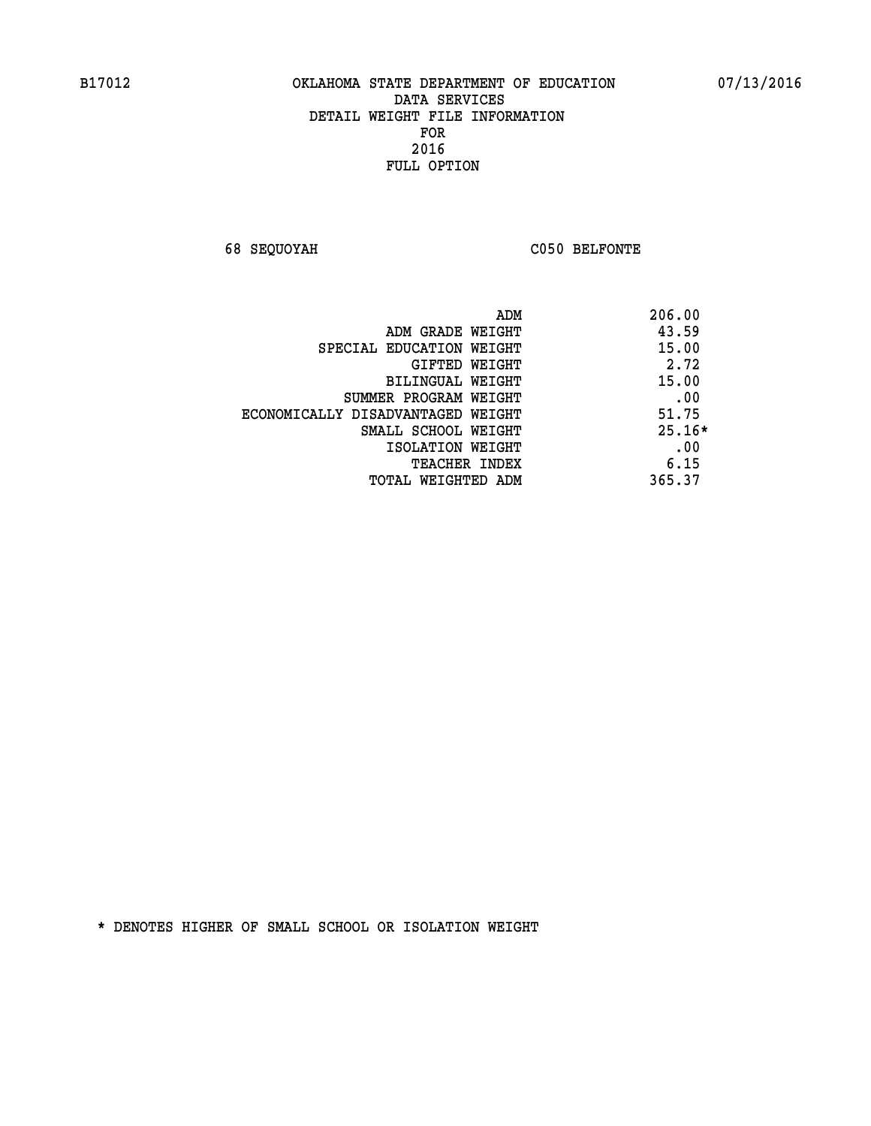**68 SEQUOYAH C050 BELFONTE** 

|                                   | 206.00<br>ADM |
|-----------------------------------|---------------|
| ADM GRADE WEIGHT                  | 43.59         |
| SPECIAL EDUCATION WEIGHT          | 15.00         |
| GIFTED WEIGHT                     | 2.72          |
| BILINGUAL WEIGHT                  | 15.00         |
| SUMMER PROGRAM WEIGHT             | .00           |
| ECONOMICALLY DISADVANTAGED WEIGHT | 51.75         |
| SMALL SCHOOL WEIGHT               | $25.16*$      |
| ISOLATION WEIGHT                  | .00           |
| <b>TEACHER INDEX</b>              | 6.15          |
| TOTAL WEIGHTED ADM                | 365.37        |
|                                   |               |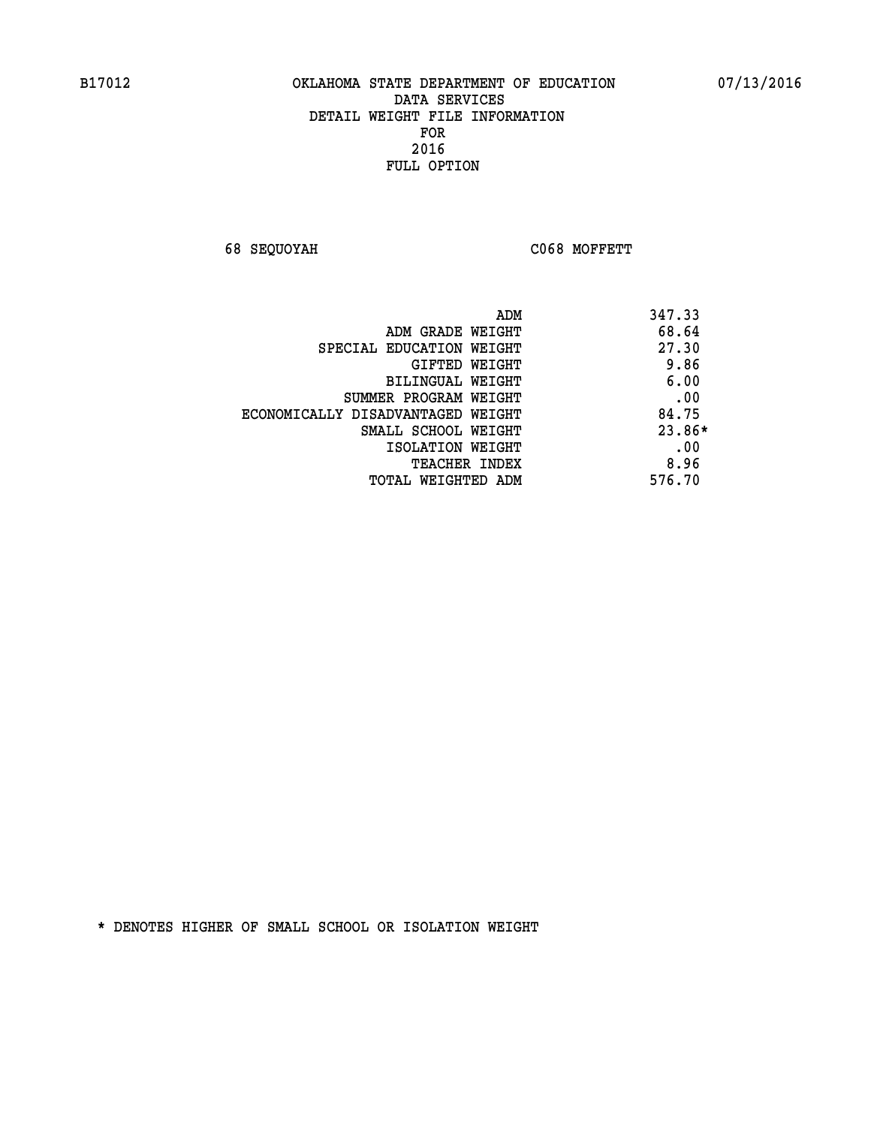**68 SEQUOYAH C068 MOFFETT** 

| ADM                               | 347.33 |
|-----------------------------------|--------|
| ADM GRADE WEIGHT                  | 68.64  |
| SPECIAL EDUCATION WEIGHT          | 27.30  |
| GIFTED WEIGHT                     | 9.86   |
| BILINGUAL WEIGHT                  | 6.00   |
| SUMMER PROGRAM WEIGHT             | .00    |
| ECONOMICALLY DISADVANTAGED WEIGHT | 84.75  |
| SMALL SCHOOL WEIGHT               | 23.86* |
| ISOLATION WEIGHT                  | .00    |
| <b>TEACHER INDEX</b>              | 8.96   |
| TOTAL WEIGHTED ADM                | 576.70 |
|                                   |        |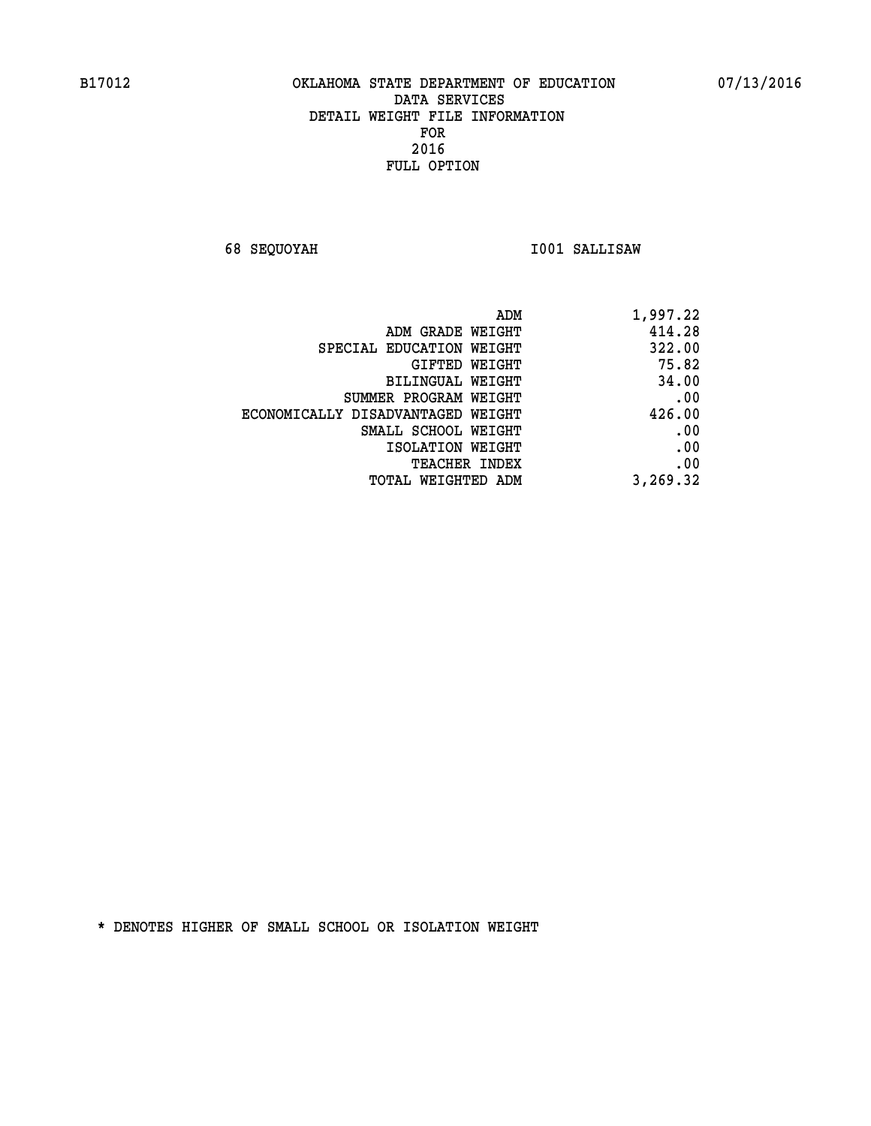**68 SEQUOYAH I001 SALLISAW** 

| ADM                               | 1,997.22 |
|-----------------------------------|----------|
| ADM GRADE WEIGHT                  | 414.28   |
| SPECIAL EDUCATION WEIGHT          | 322.00   |
| <b>GIFTED WEIGHT</b>              | 75.82    |
| BILINGUAL WEIGHT                  | 34.00    |
| SUMMER PROGRAM WEIGHT             | .00      |
| ECONOMICALLY DISADVANTAGED WEIGHT | 426.00   |
| SMALL SCHOOL WEIGHT               | .00      |
| ISOLATION WEIGHT                  | .00      |
| <b>TEACHER INDEX</b>              | .00      |
| <b>TOTAL WEIGHTED ADM</b>         | 3,269.32 |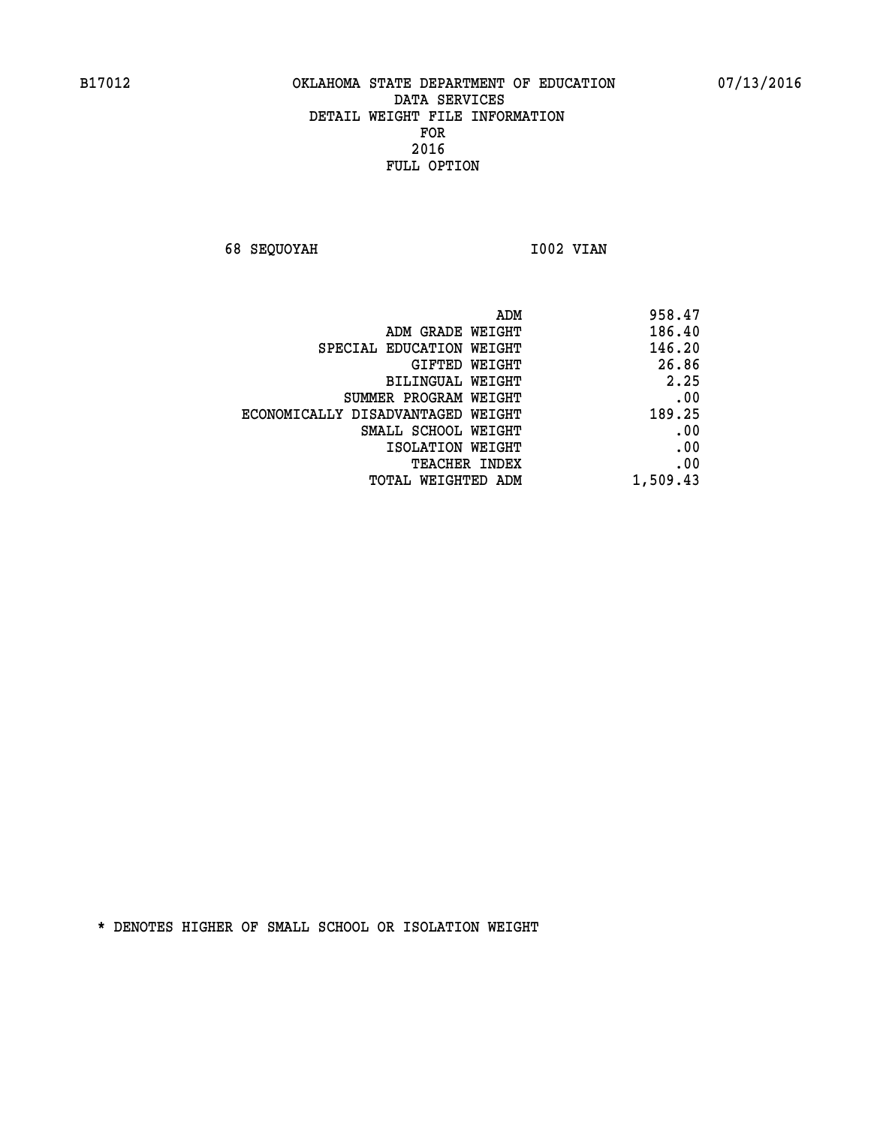**68 SEQUOYAH 1002 VIAN** 

|                                   | 958.47<br>ADM |
|-----------------------------------|---------------|
| ADM GRADE WEIGHT                  | 186.40        |
| SPECIAL EDUCATION WEIGHT          | 146.20        |
| GIFTED WEIGHT                     | 26.86         |
| <b>BILINGUAL WEIGHT</b>           | 2.25          |
| SUMMER PROGRAM WEIGHT             | .00           |
| ECONOMICALLY DISADVANTAGED WEIGHT | 189.25        |
| SMALL SCHOOL WEIGHT               | .00           |
| ISOLATION WEIGHT                  | .00           |
| TEACHER INDEX                     | .00           |
| TOTAL WEIGHTED ADM                | 1,509.43      |
|                                   |               |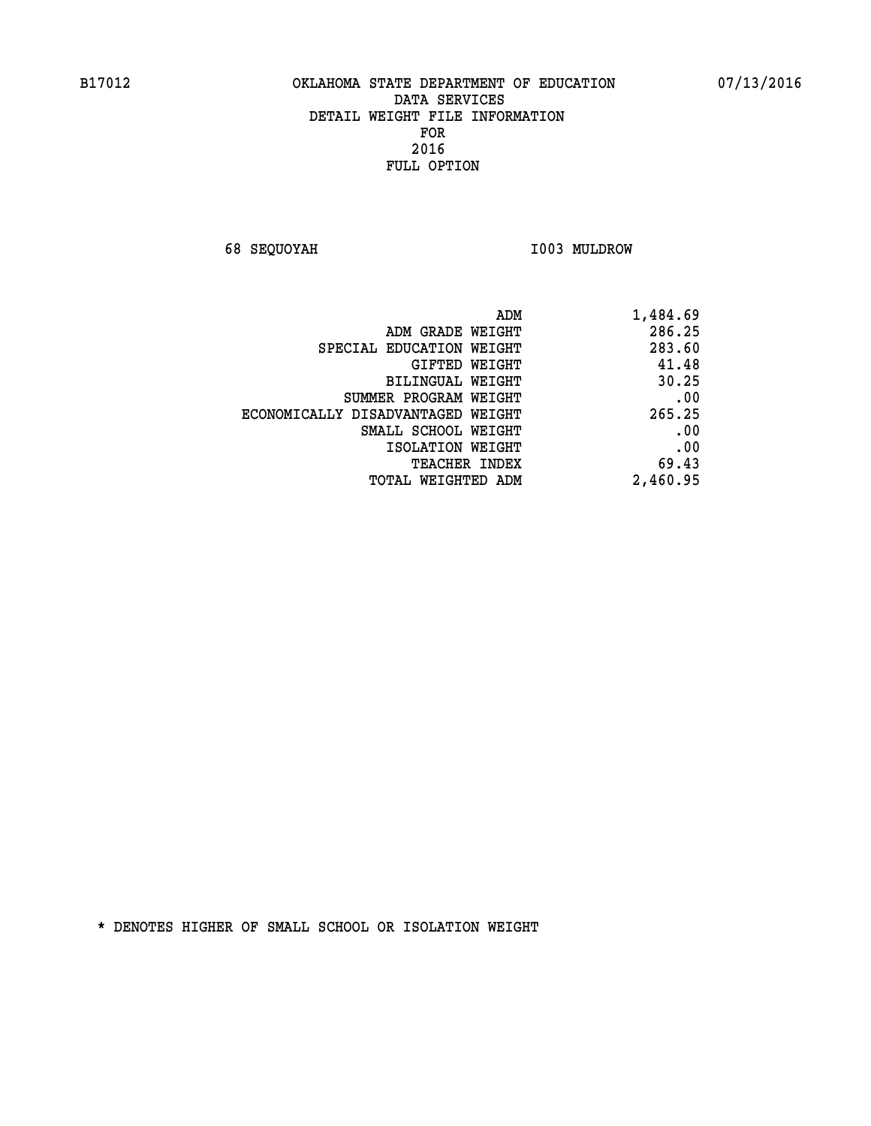**68 SEQUOYAH I003 MULDROW** 

| 1,484.69 |
|----------|
| 286.25   |
| 283.60   |
| 41.48    |
| 30.25    |
| .00      |
| 265.25   |
| .00      |
| .00      |
| 69.43    |
| 2,460.95 |
|          |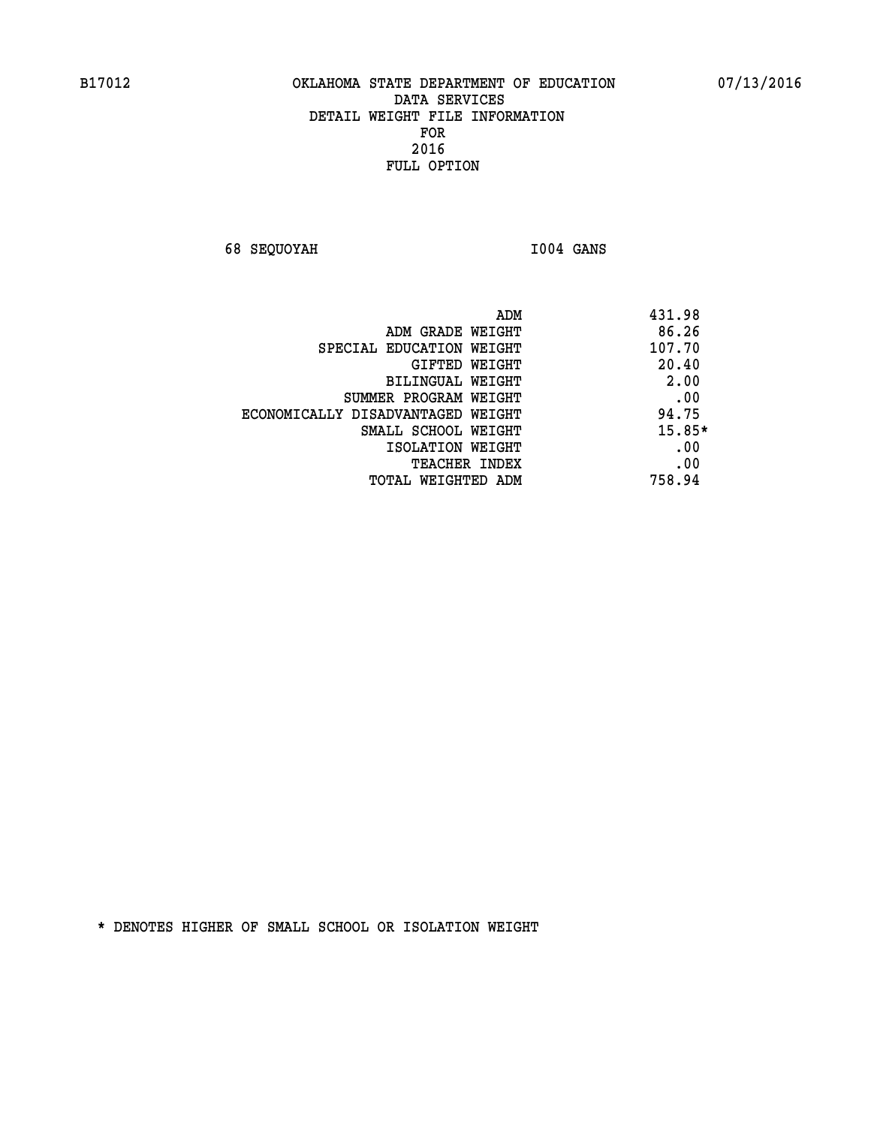**68 SEQUOYAH I004 GANS** 

|                                   | 431.98<br>ADM |
|-----------------------------------|---------------|
| ADM GRADE WEIGHT                  | 86.26         |
| SPECIAL EDUCATION WEIGHT          | 107.70        |
| GIFTED WEIGHT                     | 20.40         |
| BILINGUAL WEIGHT                  | 2.00          |
| SUMMER PROGRAM WEIGHT             | .00           |
| ECONOMICALLY DISADVANTAGED WEIGHT | 94.75         |
| SMALL SCHOOL WEIGHT               | $15.85*$      |
| ISOLATION WEIGHT                  | .00           |
| <b>TEACHER INDEX</b>              | .00           |
| TOTAL WEIGHTED ADM                | 758.94        |
|                                   |               |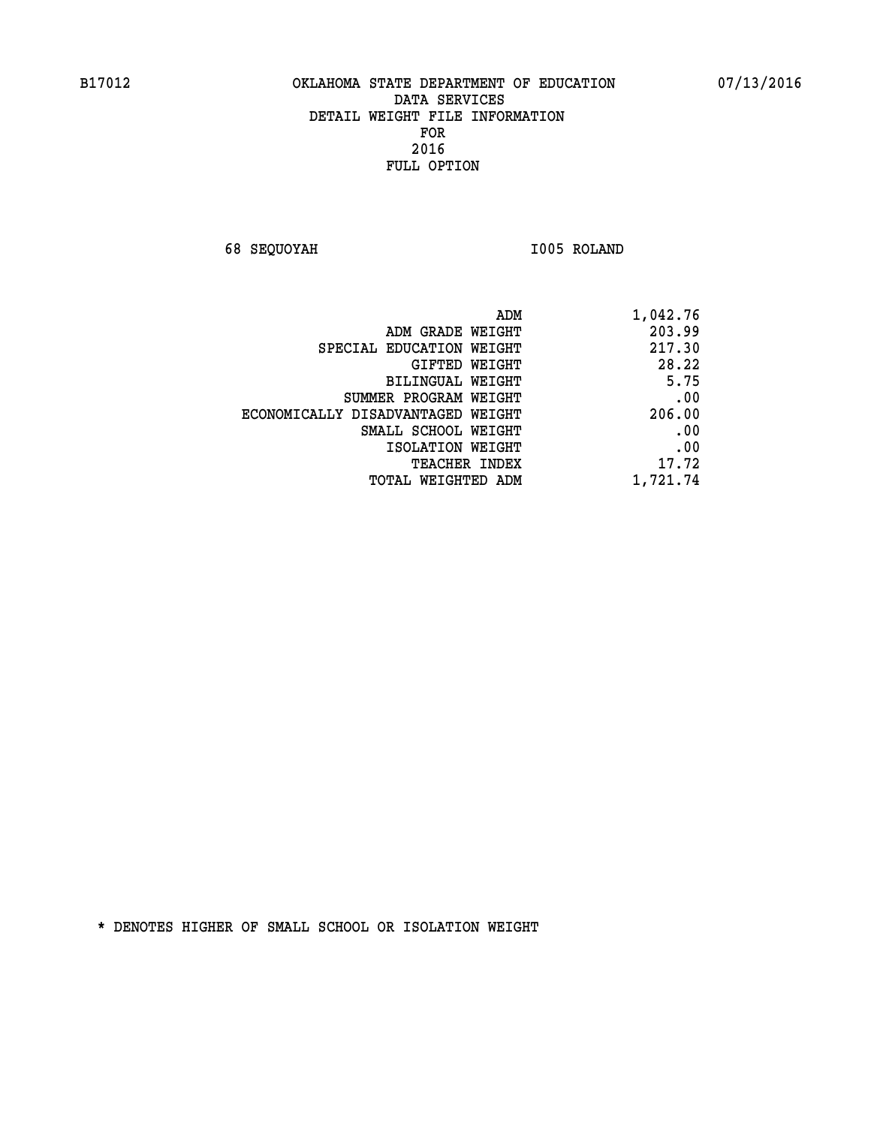**68 SEQUOYAH I005 ROLAND** 

| 1,042.76 |
|----------|
| 203.99   |
| 217.30   |
| 28.22    |
| 5.75     |
| .00      |
| 206.00   |
| .00      |
| .00      |
| 17.72    |
| 1,721.74 |
|          |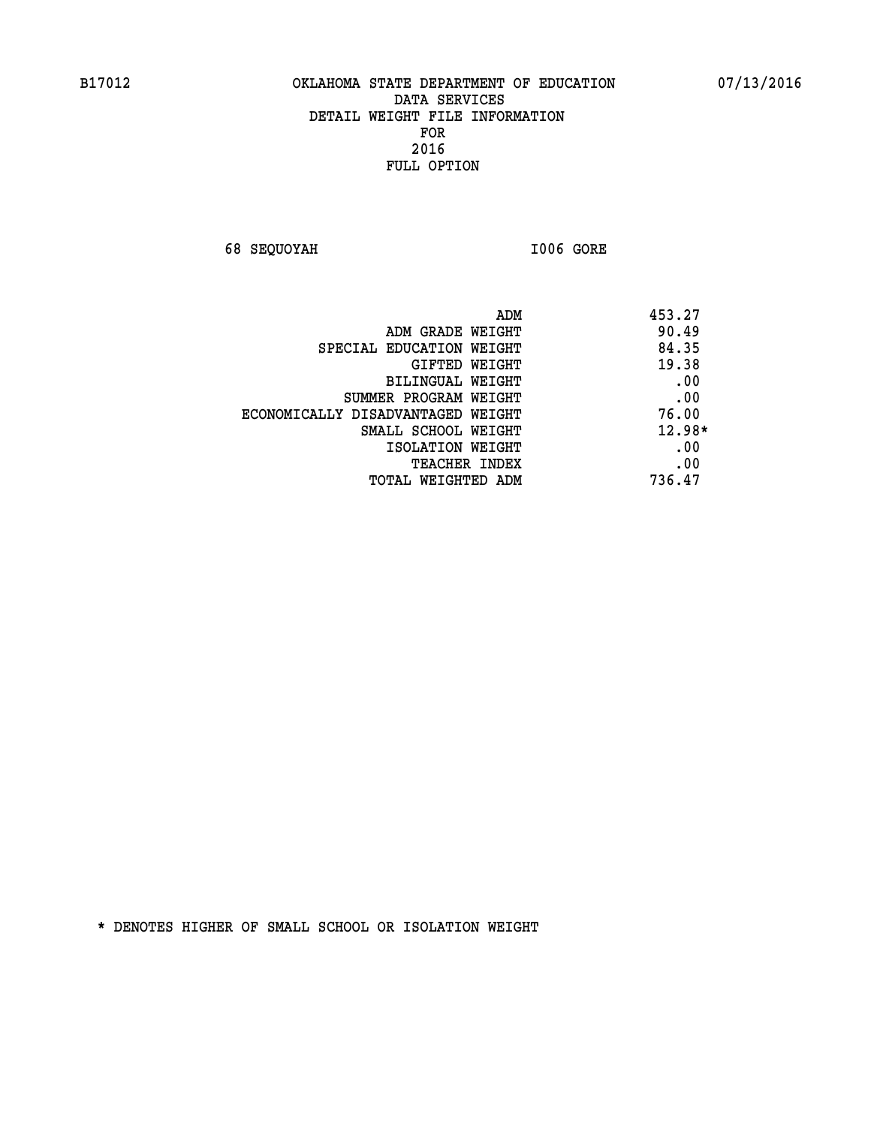**68 SEQUOYAH I006 GORE** 

| ADM<br>453.27                     |                                   |
|-----------------------------------|-----------------------------------|
| 90.49<br>ADM GRADE WEIGHT         |                                   |
| 84.35<br>SPECIAL EDUCATION WEIGHT |                                   |
| 19.38<br><b>GIFTED WEIGHT</b>     |                                   |
| .00<br>BILINGUAL WEIGHT           |                                   |
| .00<br>SUMMER PROGRAM WEIGHT      |                                   |
| 76.00                             | ECONOMICALLY DISADVANTAGED WEIGHT |
| 12.98*<br>SMALL SCHOOL WEIGHT     |                                   |
| .00<br>ISOLATION WEIGHT           |                                   |
| .00<br><b>TEACHER INDEX</b>       |                                   |
| 736.47<br>TOTAL WEIGHTED ADM      |                                   |
|                                   |                                   |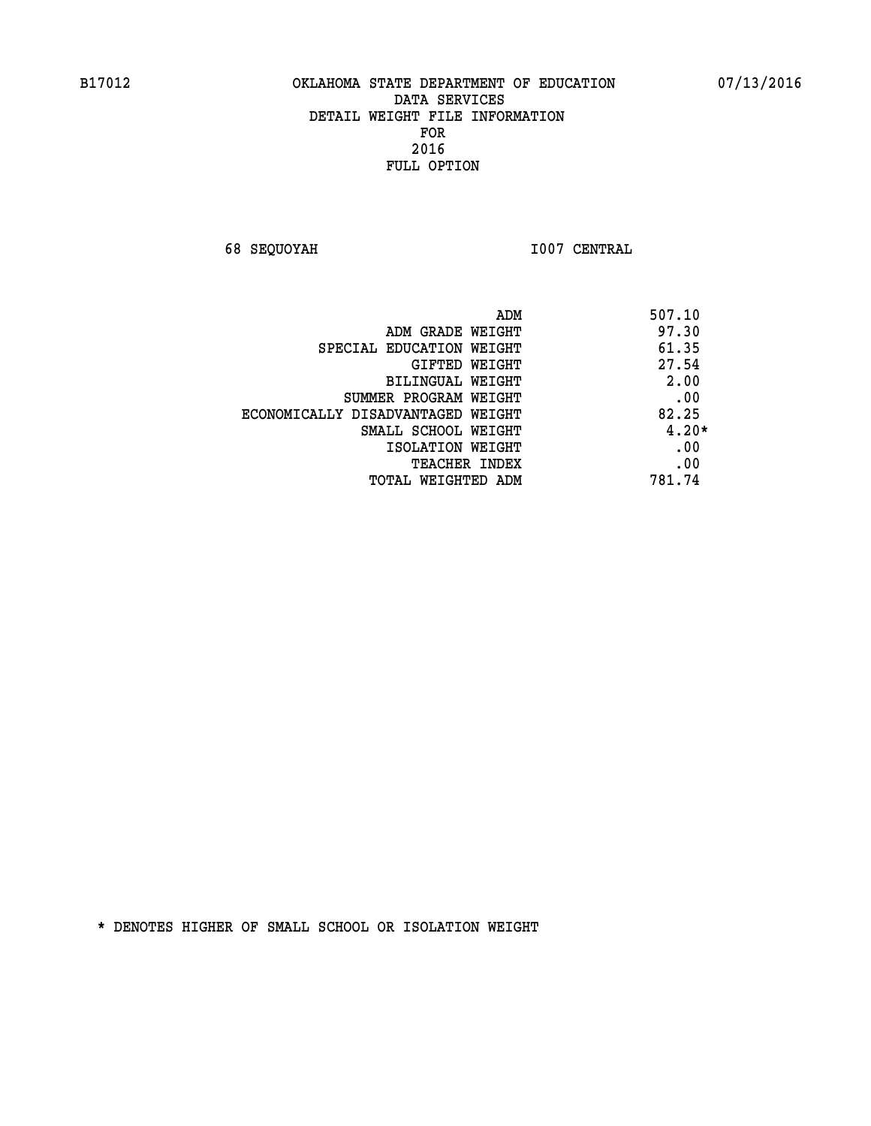**68 SEQUOYAH I007 CENTRAL** 

| ADM                               | 507.10  |
|-----------------------------------|---------|
| ADM GRADE WEIGHT                  | 97.30   |
| SPECIAL EDUCATION WEIGHT          | 61.35   |
| <b>GIFTED WEIGHT</b>              | 27.54   |
| BILINGUAL WEIGHT                  | 2.00    |
| SUMMER PROGRAM WEIGHT             | .00     |
| ECONOMICALLY DISADVANTAGED WEIGHT | 82.25   |
| SMALL SCHOOL WEIGHT               | $4.20*$ |
| ISOLATION WEIGHT                  | .00     |
| <b>TEACHER INDEX</b>              | .00     |
| TOTAL WEIGHTED ADM                | 781.74  |
|                                   |         |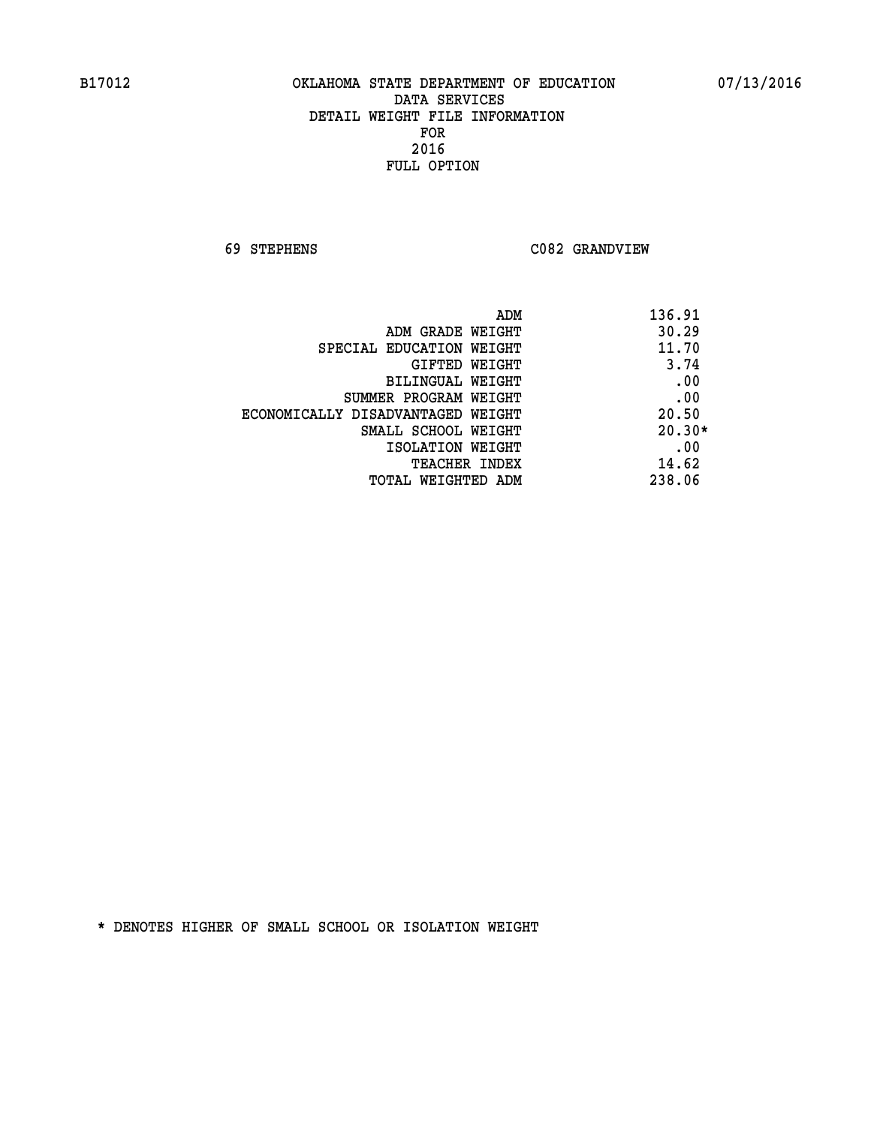**69 STEPHENS C082 GRANDVIEW** 

| ADM                               | 136.91   |
|-----------------------------------|----------|
| ADM GRADE WEIGHT                  | 30.29    |
| SPECIAL EDUCATION WEIGHT          | 11.70    |
| GIFTED WEIGHT                     | 3.74     |
| BILINGUAL WEIGHT                  | .00      |
| SUMMER PROGRAM WEIGHT             | .00      |
| ECONOMICALLY DISADVANTAGED WEIGHT | 20.50    |
| SMALL SCHOOL WEIGHT               | $20.30*$ |
| ISOLATION WEIGHT                  | .00      |
| <b>TEACHER INDEX</b>              | 14.62    |
| TOTAL WEIGHTED ADM                | 238.06   |
|                                   |          |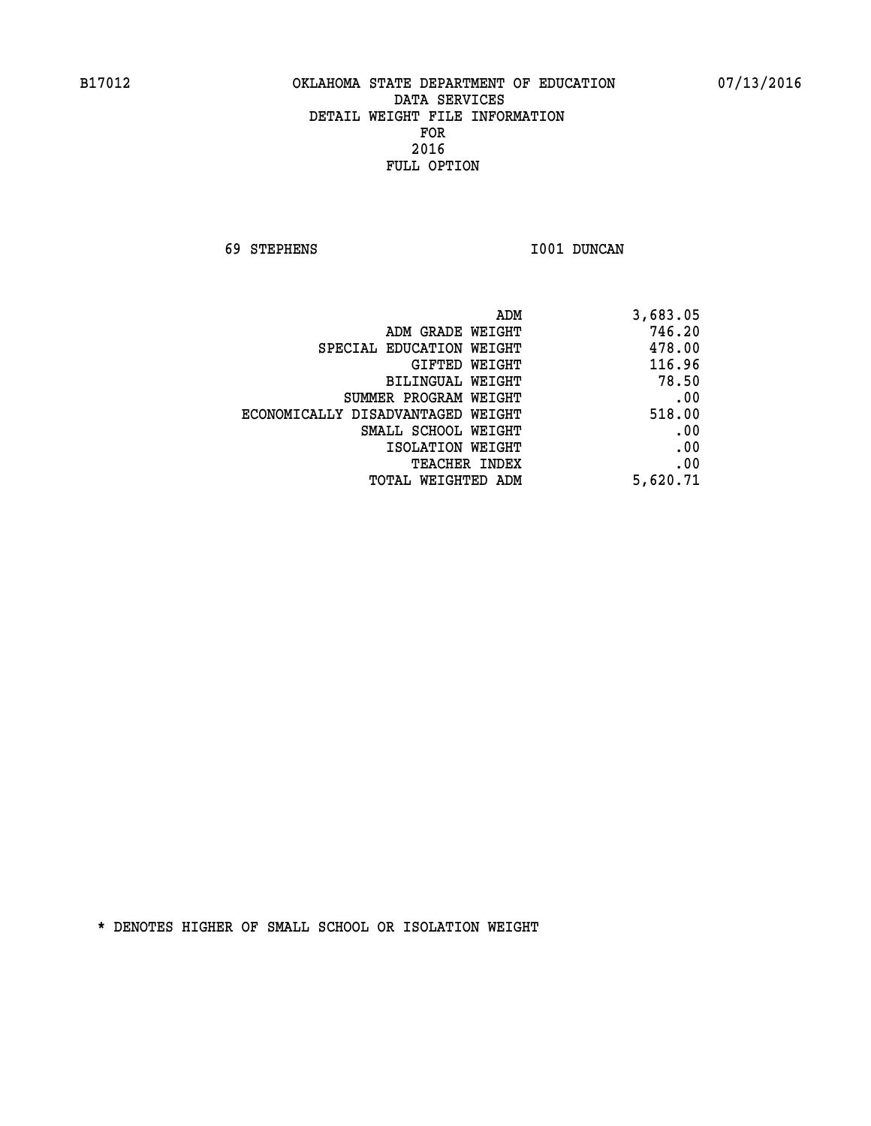**69 STEPHENS I001 DUNCAN** 

| 3,683.05 |
|----------|
| 746.20   |
| 478.00   |
| 116.96   |
| 78.50    |
| .00      |
| 518.00   |
| .00      |
| .00      |
| .00      |
| 5,620.71 |
|          |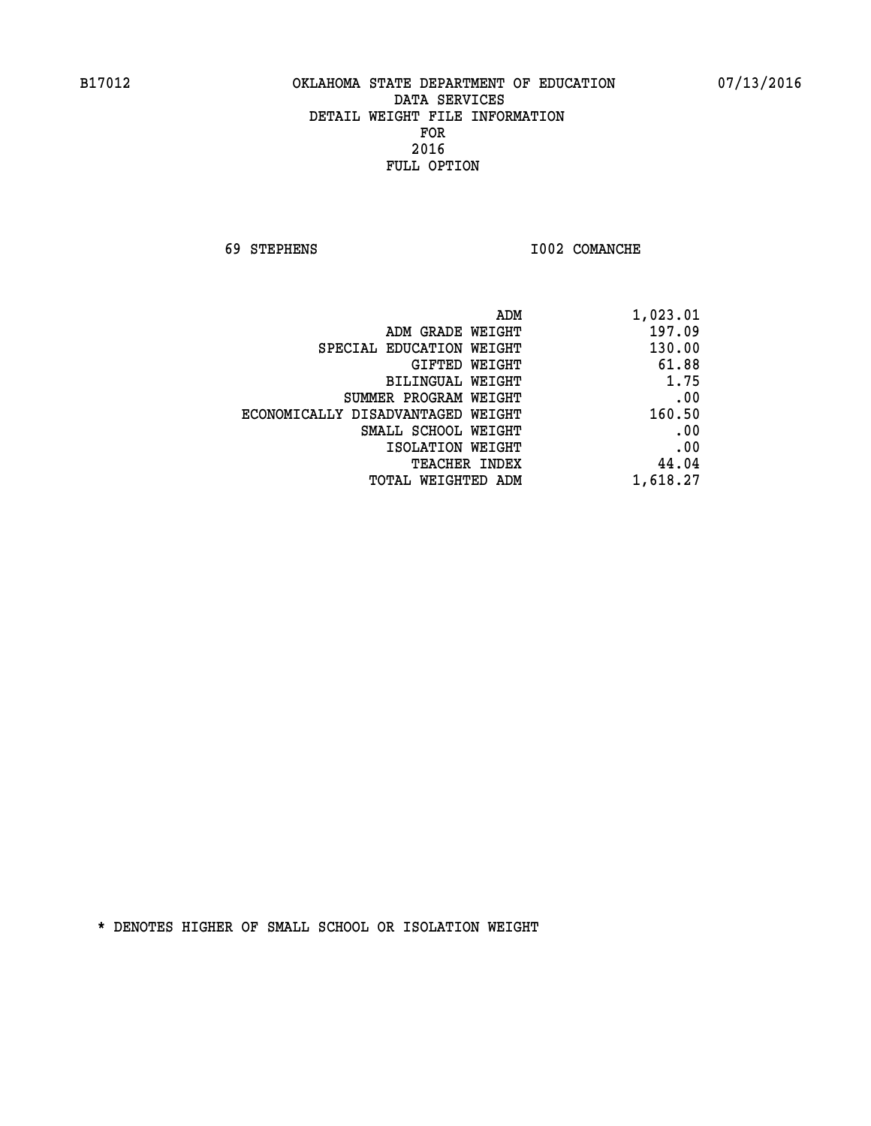**69 STEPHENS I002 COMANCHE** 

| 1,023.01 |
|----------|
| 197.09   |
| 130.00   |
| 61.88    |
| 1.75     |
| .00      |
| 160.50   |
| .00      |
| .00      |
| 44.04    |
| 1,618.27 |
|          |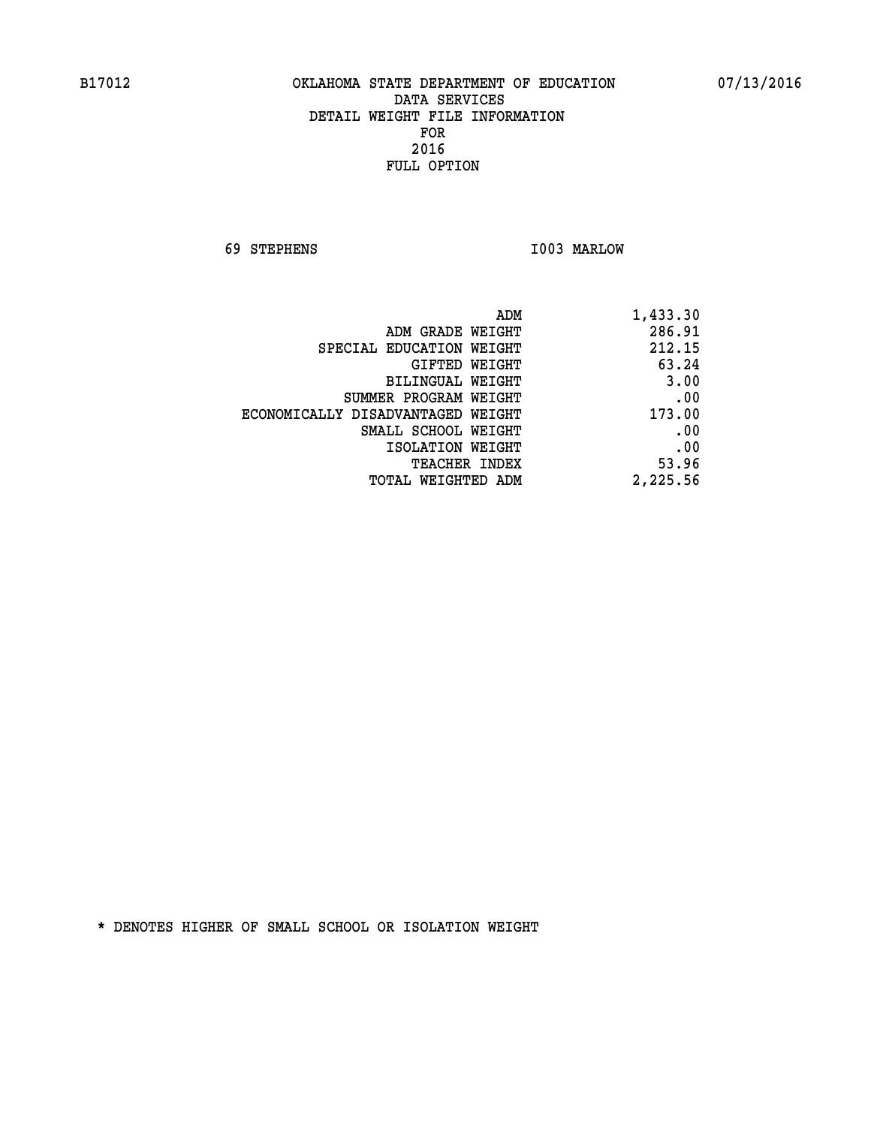**69 STEPHENS I003 MARLOW** 

| ADM                               | 1,433.30 |
|-----------------------------------|----------|
| ADM GRADE WEIGHT                  | 286.91   |
| SPECIAL EDUCATION WEIGHT          | 212.15   |
| GIFTED WEIGHT                     | 63.24    |
| BILINGUAL WEIGHT                  | 3.00     |
| SUMMER PROGRAM WEIGHT             | .00      |
| ECONOMICALLY DISADVANTAGED WEIGHT | 173.00   |
| SMALL SCHOOL WEIGHT               | .00      |
| ISOLATION WEIGHT                  | .00      |
| <b>TEACHER INDEX</b>              | 53.96    |
| TOTAL WEIGHTED ADM                | 2,225.56 |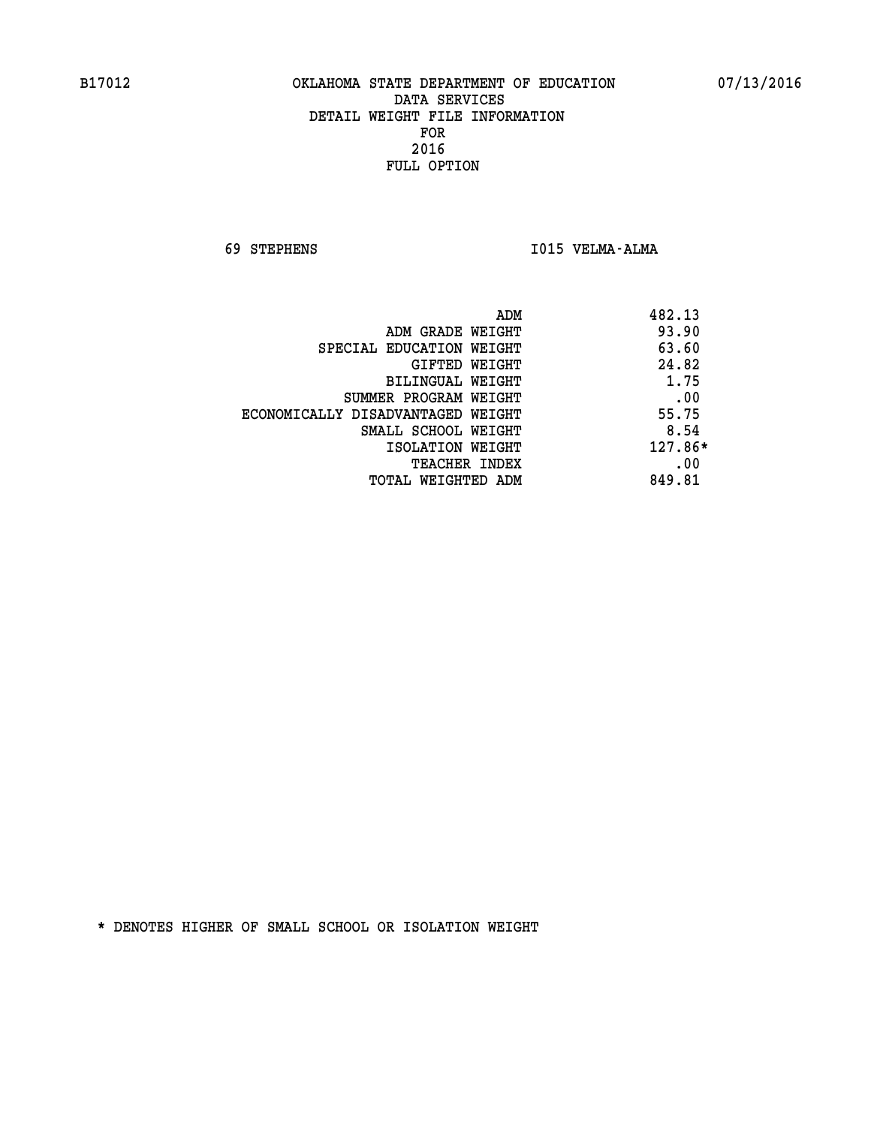**69 STEPHENS I015 VELMA-ALMA** 

| ADM                               | 482.13    |
|-----------------------------------|-----------|
| ADM GRADE WEIGHT                  | 93.90     |
| SPECIAL EDUCATION WEIGHT          | 63.60     |
| GIFTED WEIGHT                     | 24.82     |
| <b>BILINGUAL WEIGHT</b>           | 1.75      |
| SUMMER PROGRAM WEIGHT             | .00       |
| ECONOMICALLY DISADVANTAGED WEIGHT | 55.75     |
| SMALL SCHOOL WEIGHT               | 8.54      |
| ISOLATION WEIGHT                  | $127.86*$ |
| <b>TEACHER INDEX</b>              | .00       |
| TOTAL WEIGHTED ADM                | 849.81    |
|                                   |           |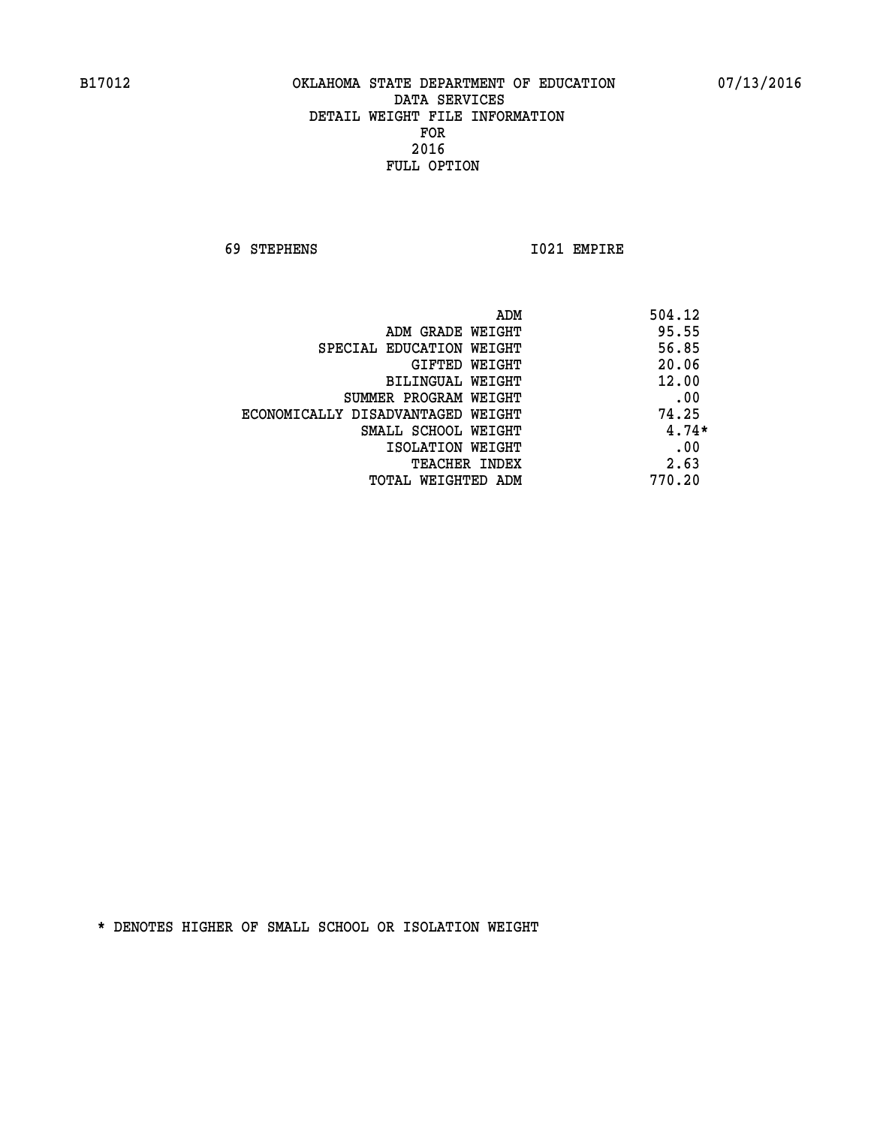**69 STEPHENS I021 EMPIRE** 

| ADM                               | 504.12  |
|-----------------------------------|---------|
| ADM GRADE WEIGHT                  | 95.55   |
| SPECIAL EDUCATION WEIGHT          | 56.85   |
| GIFTED WEIGHT                     | 20.06   |
| BILINGUAL WEIGHT                  | 12.00   |
| SUMMER PROGRAM WEIGHT             | .00     |
| ECONOMICALLY DISADVANTAGED WEIGHT | 74.25   |
| SMALL SCHOOL WEIGHT               | $4.74*$ |
| ISOLATION WEIGHT                  | .00     |
| <b>TEACHER INDEX</b>              | 2.63    |
| TOTAL WEIGHTED ADM                | 770.20  |
|                                   |         |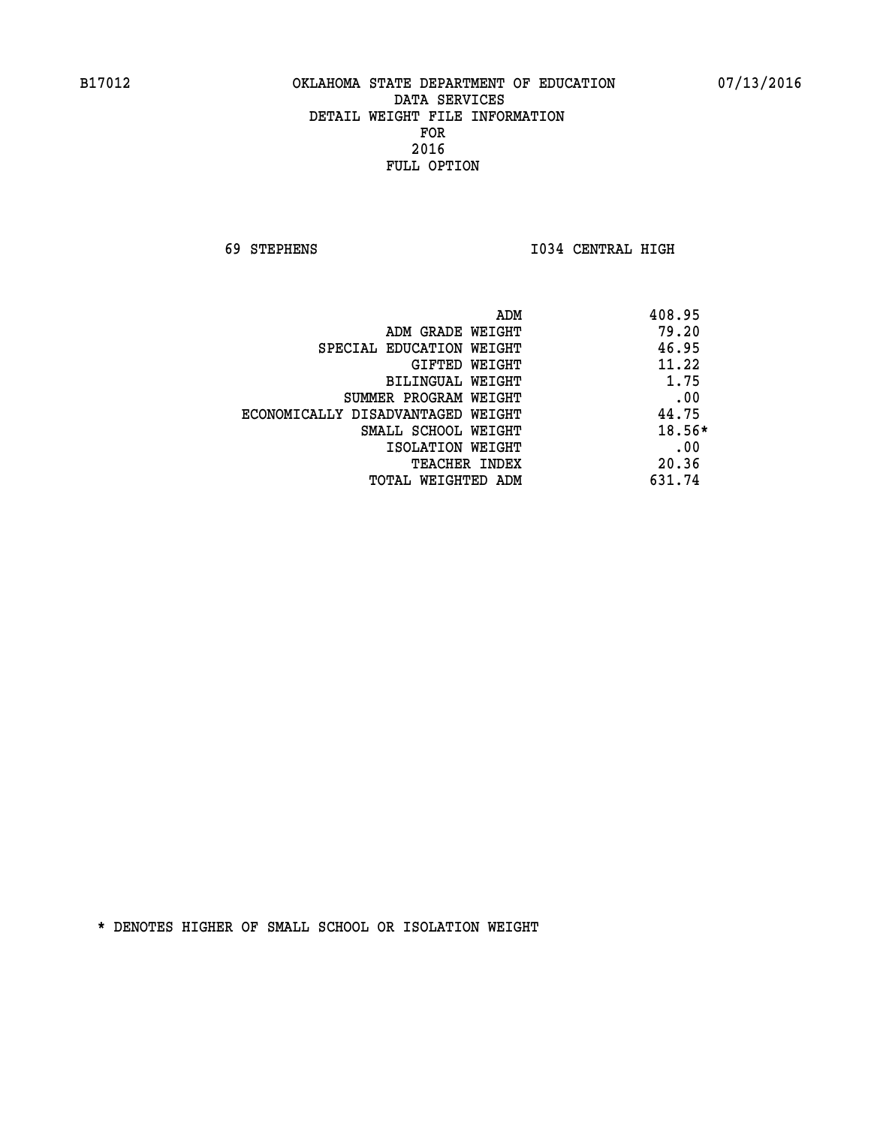**69 STEPHENS I034 CENTRAL HIGH** 

|                                   | ADM | 408.95 |
|-----------------------------------|-----|--------|
| ADM GRADE WEIGHT                  |     | 79.20  |
| SPECIAL EDUCATION WEIGHT          |     | 46.95  |
| GIFTED WEIGHT                     |     | 11.22  |
| BILINGUAL WEIGHT                  |     | 1.75   |
| SUMMER PROGRAM WEIGHT             |     | .00    |
| ECONOMICALLY DISADVANTAGED WEIGHT |     | 44.75  |
| SMALL SCHOOL WEIGHT               |     | 18.56* |
| ISOLATION WEIGHT                  |     | .00    |
| <b>TEACHER INDEX</b>              |     | 20.36  |
| TOTAL WEIGHTED ADM                |     | 631.74 |
|                                   |     |        |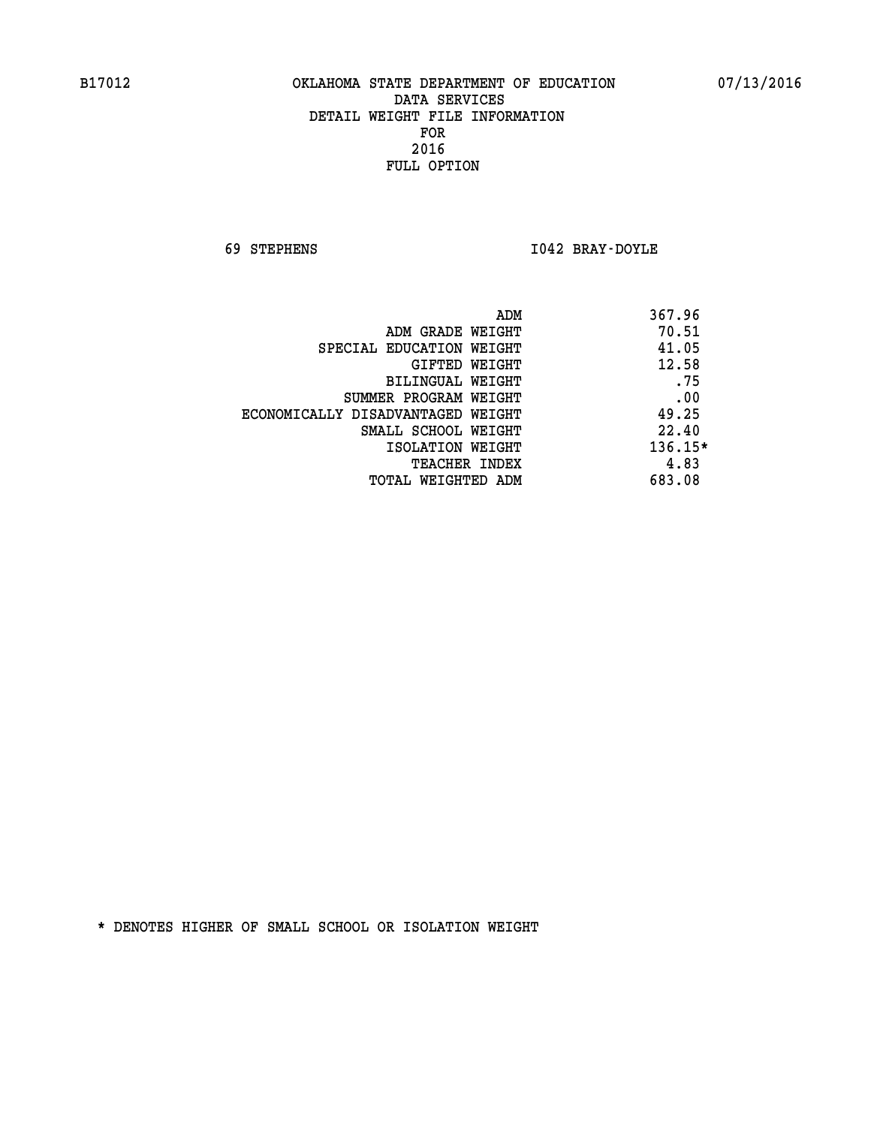**69 STEPHENS I042 BRAY-DOYLE** 

| ADM                               | 367.96    |
|-----------------------------------|-----------|
| ADM GRADE WEIGHT                  | 70.51     |
| SPECIAL EDUCATION WEIGHT          | 41.05     |
| GIFTED WEIGHT                     | 12.58     |
| <b>BILINGUAL WEIGHT</b>           | .75       |
| SUMMER PROGRAM WEIGHT             | .00       |
| ECONOMICALLY DISADVANTAGED WEIGHT | 49.25     |
| SMALL SCHOOL WEIGHT               | 22.40     |
| ISOLATION WEIGHT                  | $136.15*$ |
| <b>TEACHER INDEX</b>              | 4.83      |
| TOTAL WEIGHTED ADM                | 683.08    |
|                                   |           |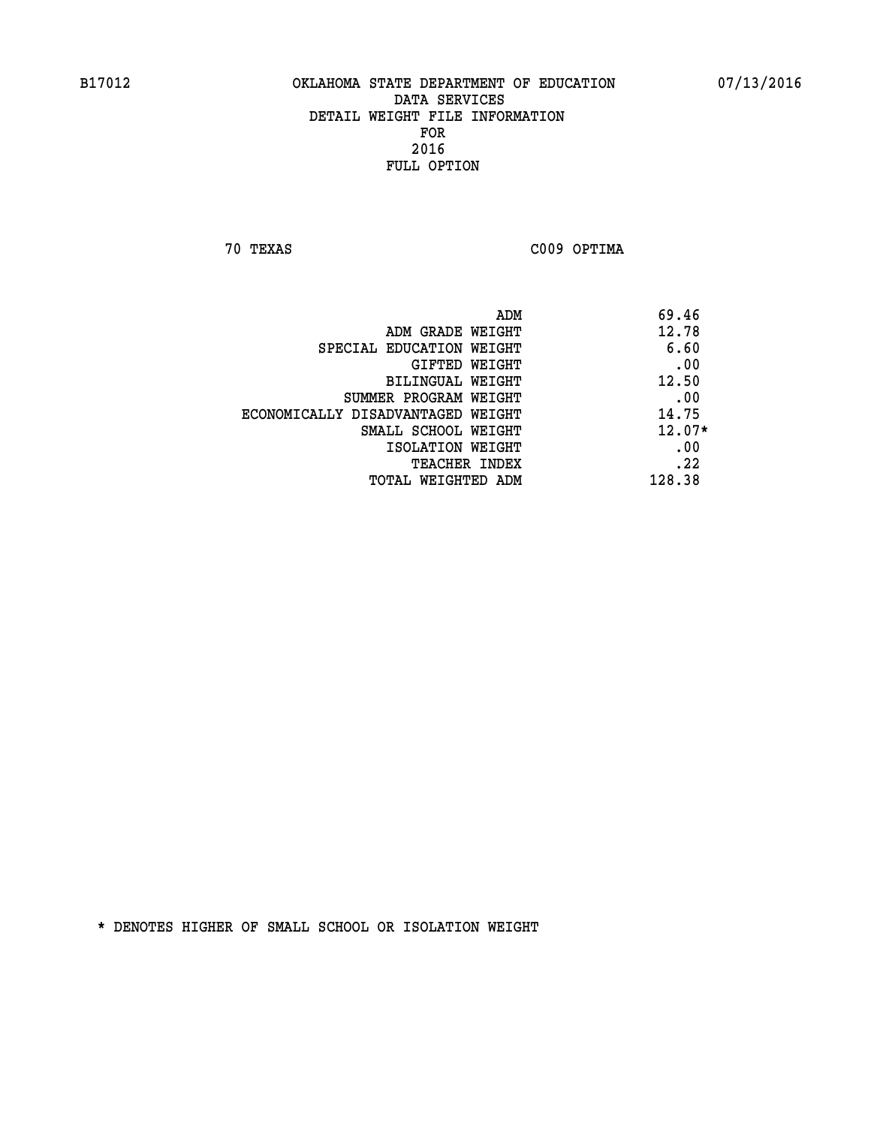**70 TEXAS C009 OPTIMA** 

| ADM                               | 69.46    |
|-----------------------------------|----------|
| ADM GRADE WEIGHT                  | 12.78    |
| SPECIAL EDUCATION WEIGHT          | 6.60     |
| GIFTED WEIGHT                     | .00      |
| BILINGUAL WEIGHT                  | 12.50    |
| SUMMER PROGRAM WEIGHT             | .00      |
| ECONOMICALLY DISADVANTAGED WEIGHT | 14.75    |
| SMALL SCHOOL WEIGHT               | $12.07*$ |
| ISOLATION WEIGHT                  | .00      |
| TEACHER INDEX                     | .22      |
| TOTAL WEIGHTED ADM                | 128.38   |
|                                   |          |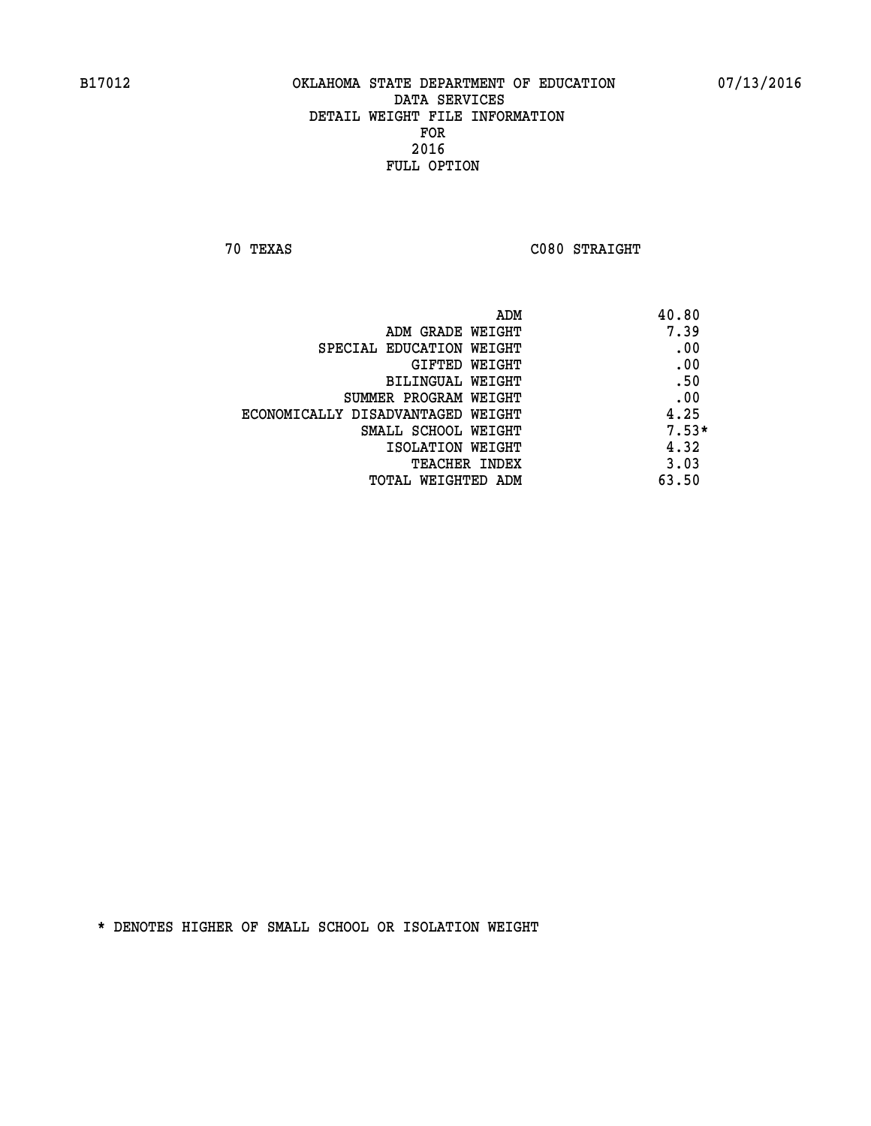**70 TEXAS C080 STRAIGHT** 

| ADM                               | 40.80   |
|-----------------------------------|---------|
| ADM GRADE WEIGHT                  | 7.39    |
| SPECIAL EDUCATION WEIGHT          | .00     |
| GIFTED WEIGHT                     | .00     |
| BILINGUAL WEIGHT                  | .50     |
| SUMMER PROGRAM WEIGHT             | .00     |
| ECONOMICALLY DISADVANTAGED WEIGHT | 4.25    |
| SMALL SCHOOL WEIGHT               | $7.53*$ |
| ISOLATION WEIGHT                  | 4.32    |
| TEACHER INDEX                     | 3.03    |
| TOTAL WEIGHTED ADM                | 63.50   |
|                                   |         |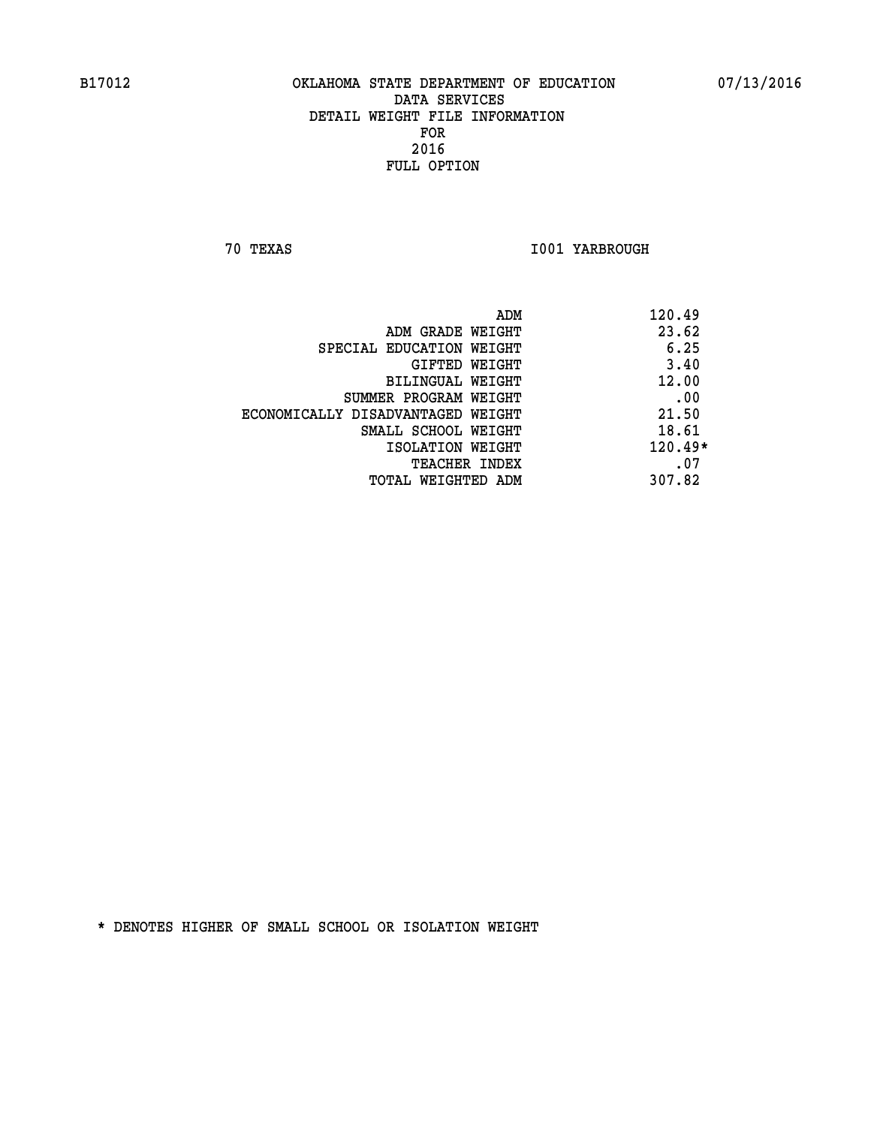**70 TEXAS I001 YARBROUGH** 

|                                   | ADM | 120.49    |
|-----------------------------------|-----|-----------|
| ADM GRADE WEIGHT                  |     | 23.62     |
| SPECIAL EDUCATION WEIGHT          |     | 6.25      |
| GIFTED WEIGHT                     |     | 3.40      |
| BILINGUAL WEIGHT                  |     | 12.00     |
| SUMMER PROGRAM WEIGHT             |     | .00       |
| ECONOMICALLY DISADVANTAGED WEIGHT |     | 21.50     |
| SMALL SCHOOL WEIGHT               |     | 18.61     |
| ISOLATION WEIGHT                  |     | $120.49*$ |
| TEACHER INDEX                     |     | .07       |
| TOTAL WEIGHTED ADM                |     | 307.82    |
|                                   |     |           |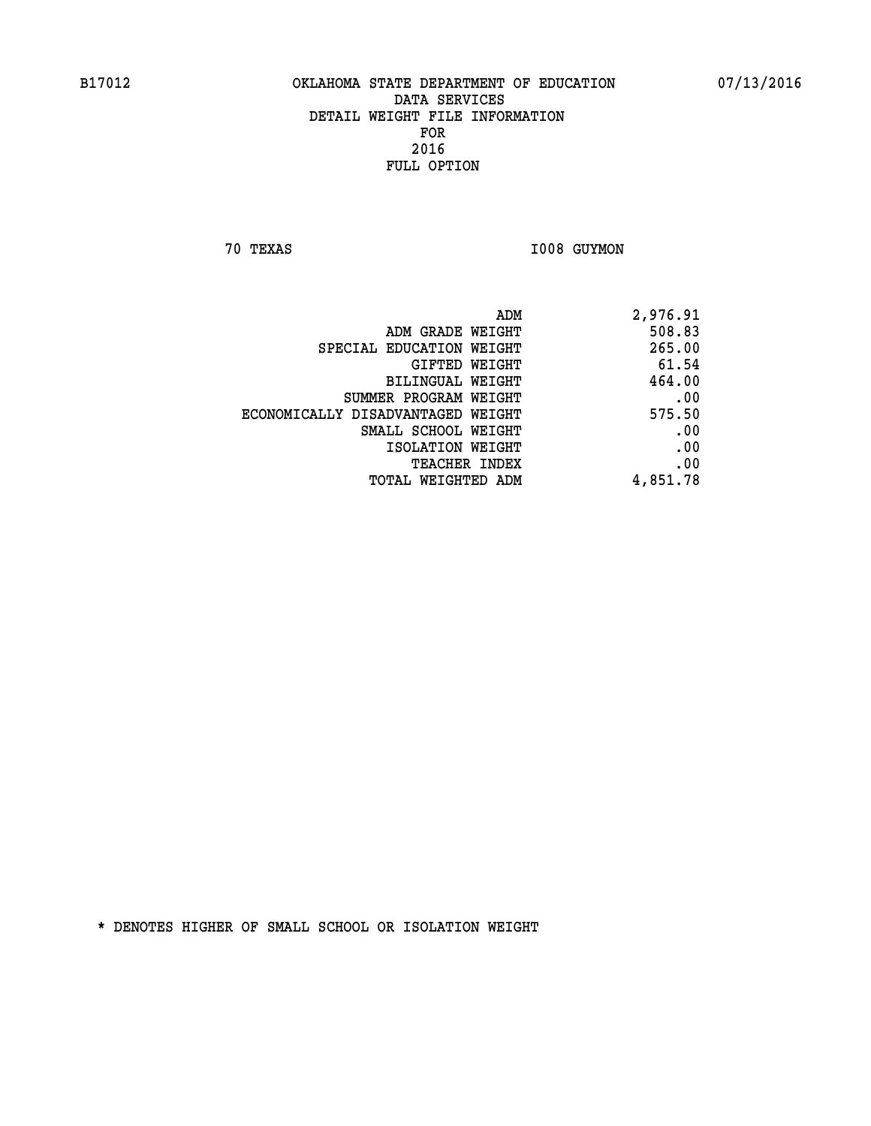**70 TEXAS I008 GUYMON** 

| ADM                               | 2,976.91 |
|-----------------------------------|----------|
| ADM GRADE WEIGHT                  | 508.83   |
| SPECIAL EDUCATION WEIGHT          | 265.00   |
| GIFTED WEIGHT                     | 61.54    |
| BILINGUAL WEIGHT                  | 464.00   |
| SUMMER PROGRAM WEIGHT             | .00      |
| ECONOMICALLY DISADVANTAGED WEIGHT | 575.50   |
| SMALL SCHOOL WEIGHT               | .00      |
| ISOLATION WEIGHT                  | .00      |
| TEACHER INDEX                     | .00      |
| TOTAL WEIGHTED ADM                | 4,851.78 |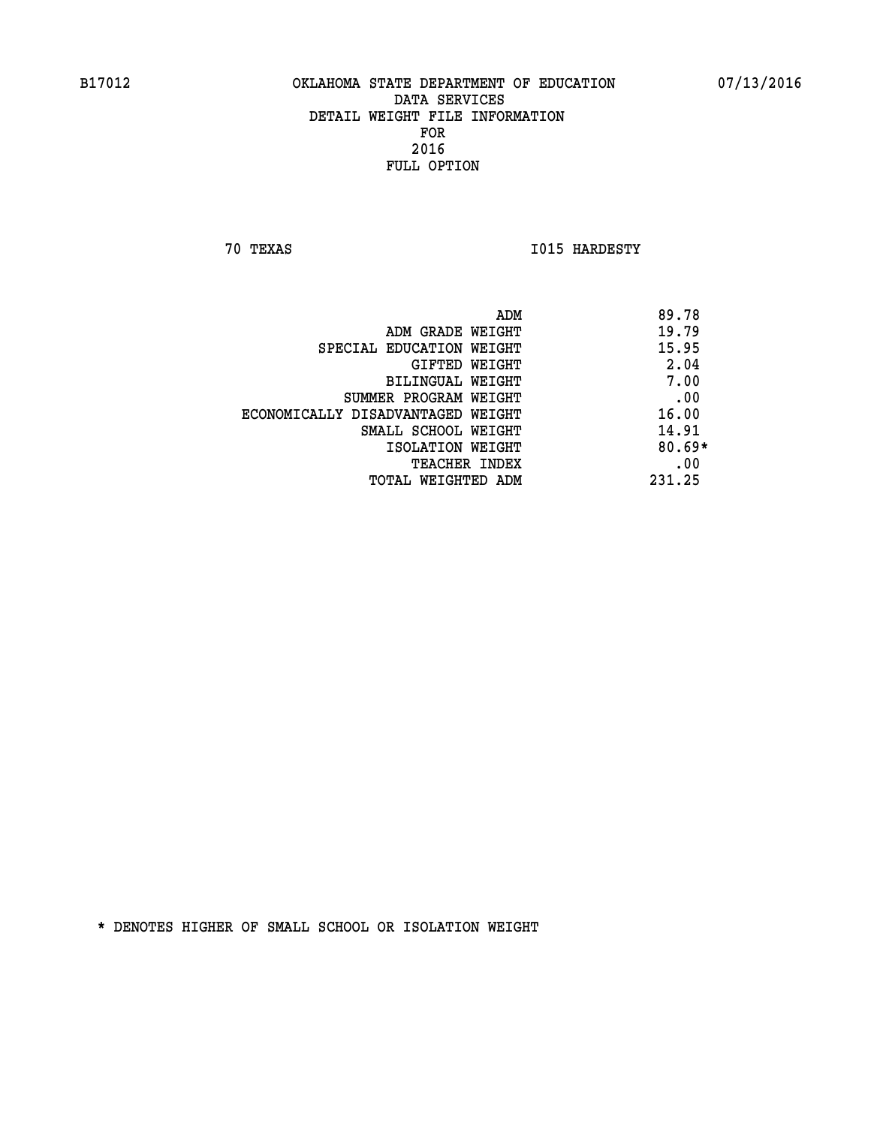**70 TEXAS I015 HARDESTY** 

|                                   | ADM | 89.78    |
|-----------------------------------|-----|----------|
| ADM GRADE WEIGHT                  |     | 19.79    |
| SPECIAL EDUCATION WEIGHT          |     | 15.95    |
| GIFTED WEIGHT                     |     | 2.04     |
| BILINGUAL WEIGHT                  |     | 7.00     |
| SUMMER PROGRAM WEIGHT             |     | .00      |
| ECONOMICALLY DISADVANTAGED WEIGHT |     | 16.00    |
| SMALL SCHOOL WEIGHT               |     | 14.91    |
| ISOLATION WEIGHT                  |     | $80.69*$ |
| TEACHER INDEX                     |     | .00      |
| TOTAL WEIGHTED ADM                |     | 231.25   |
|                                   |     |          |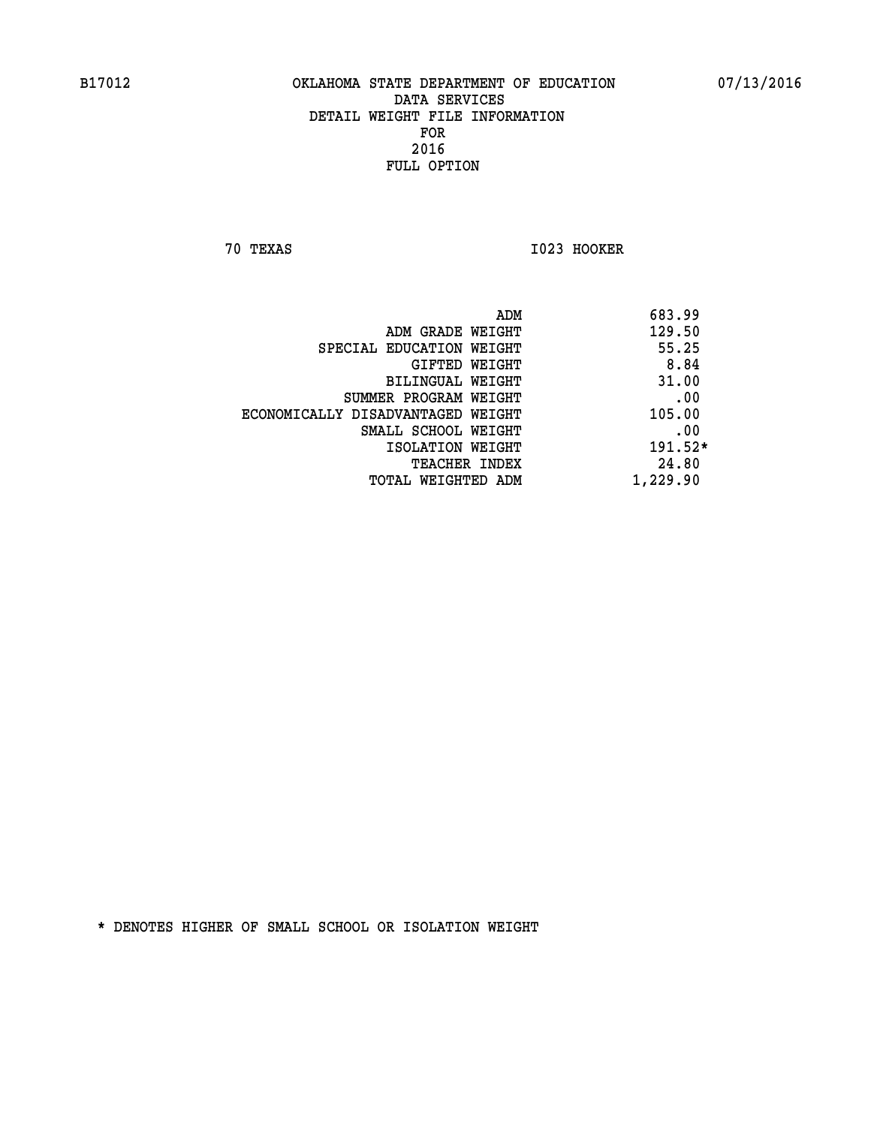**70 TEXAS I023 HOOKER** 

|                                   | ADM      | 683.99    |
|-----------------------------------|----------|-----------|
| ADM GRADE WEIGHT                  |          | 129.50    |
| SPECIAL EDUCATION WEIGHT          |          | 55.25     |
| GIFTED WEIGHT                     |          | 8.84      |
| BILINGUAL WEIGHT                  |          | 31.00     |
| SUMMER PROGRAM WEIGHT             |          | .00       |
| ECONOMICALLY DISADVANTAGED WEIGHT |          | 105.00    |
| SMALL SCHOOL WEIGHT               |          | .00       |
| ISOLATION WEIGHT                  |          | $191.52*$ |
| TEACHER INDEX                     |          | 24.80     |
| TOTAL WEIGHTED ADM                | 1,229.90 |           |
|                                   |          |           |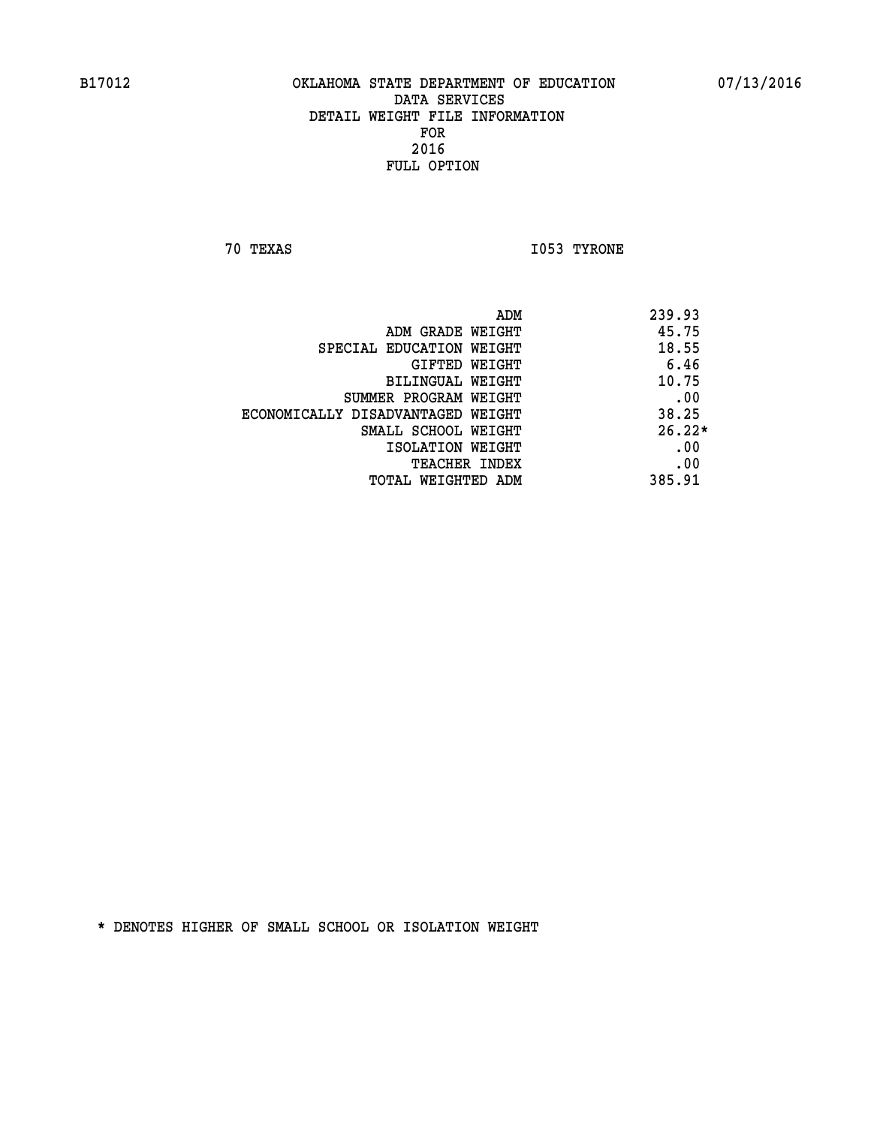**70 TEXAS I053 TYRONE** 

|                                   | ADM | 239.93   |
|-----------------------------------|-----|----------|
| ADM GRADE WEIGHT                  |     | 45.75    |
| SPECIAL EDUCATION WEIGHT          |     | 18.55    |
| GIFTED WEIGHT                     |     | 6.46     |
| BILINGUAL WEIGHT                  |     | 10.75    |
| SUMMER PROGRAM WEIGHT             |     | .00      |
| ECONOMICALLY DISADVANTAGED WEIGHT |     | 38.25    |
| SMALL SCHOOL WEIGHT               |     | $26.22*$ |
| ISOLATION WEIGHT                  |     | .00      |
| TEACHER INDEX                     |     | .00      |
| TOTAL WEIGHTED ADM                |     | 385.91   |
|                                   |     |          |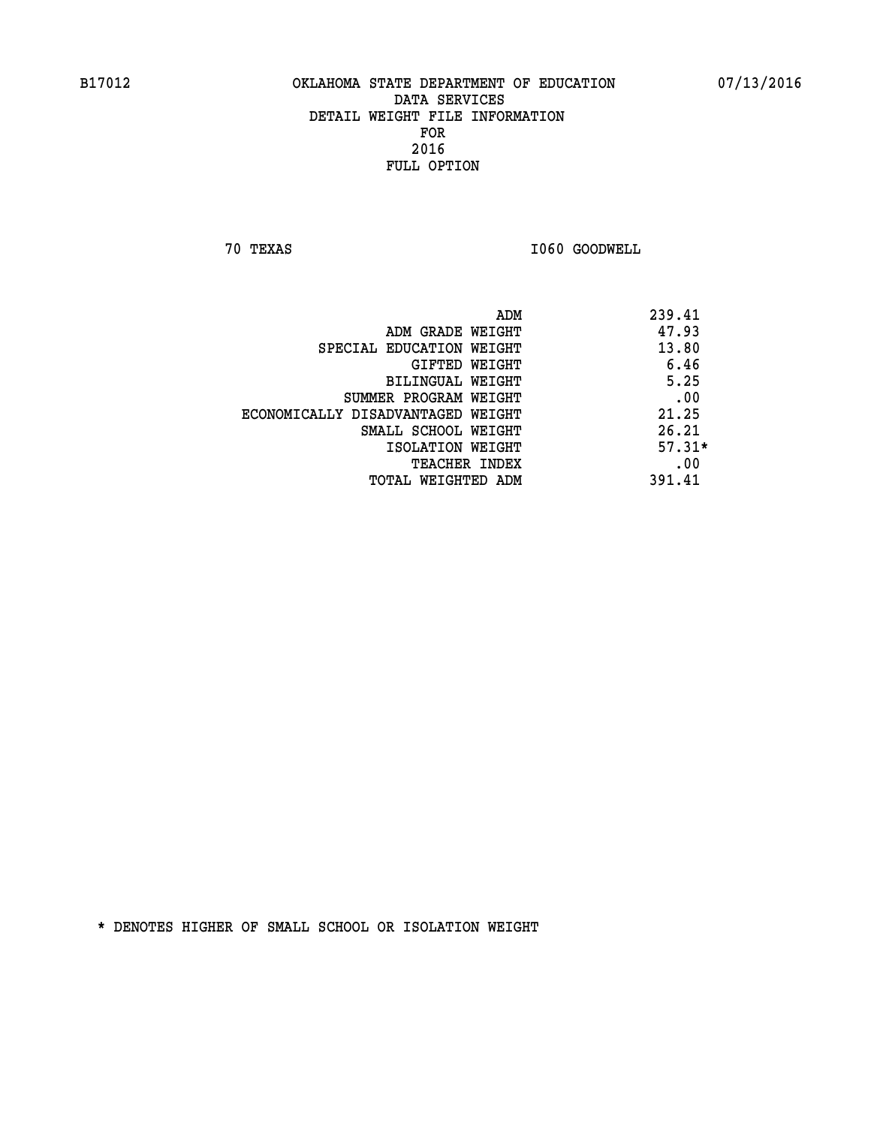**70 TEXAS I060 GOODWELL** 

|                                   | ADM | 239.41   |
|-----------------------------------|-----|----------|
| ADM GRADE WEIGHT                  |     | 47.93    |
| SPECIAL EDUCATION WEIGHT          |     | 13.80    |
| GIFTED WEIGHT                     |     | 6.46     |
| BILINGUAL WEIGHT                  |     | 5.25     |
| SUMMER PROGRAM WEIGHT             |     | .00      |
| ECONOMICALLY DISADVANTAGED WEIGHT |     | 21.25    |
| SMALL SCHOOL WEIGHT               |     | 26.21    |
| ISOLATION WEIGHT                  |     | $57.31*$ |
| TEACHER INDEX                     |     | .00      |
| TOTAL WEIGHTED ADM                |     | 391.41   |
|                                   |     |          |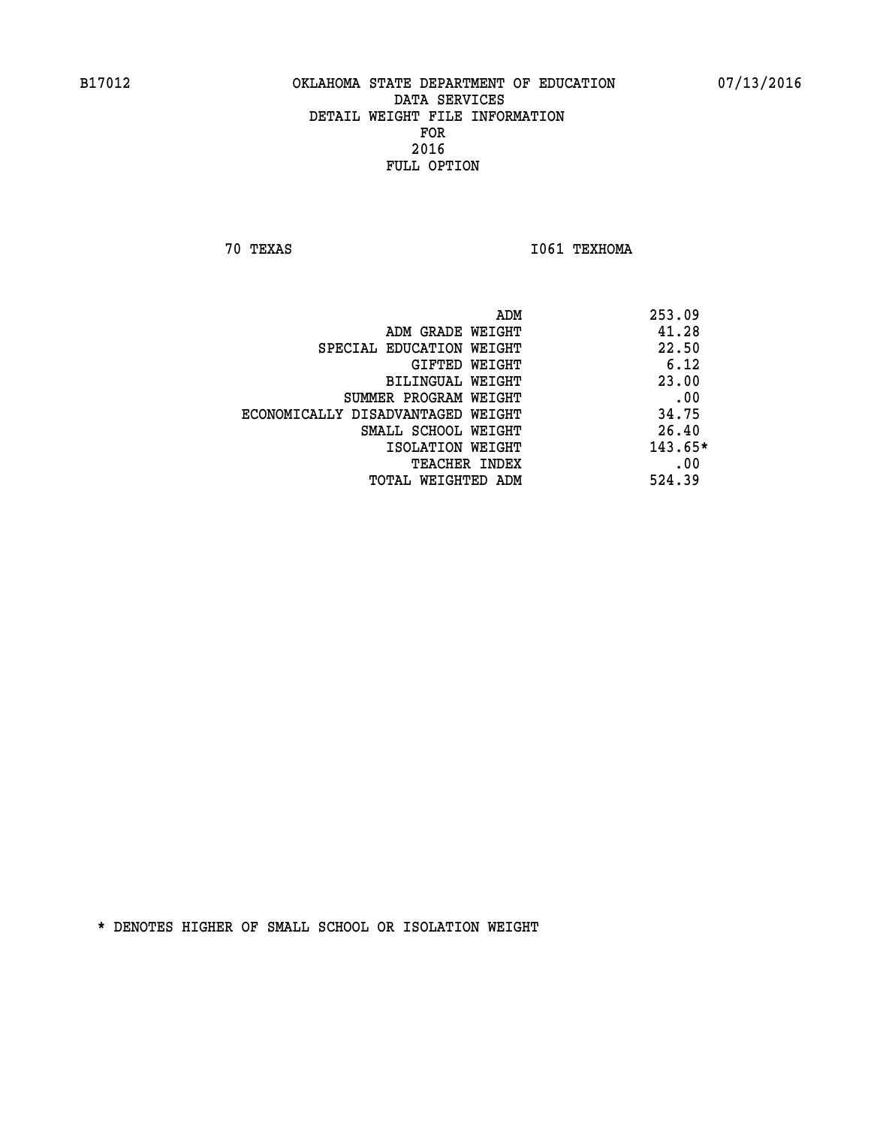**70 TEXAS I061 TEXHOMA** 

|                                   | ADM | 253.09    |
|-----------------------------------|-----|-----------|
| ADM GRADE WEIGHT                  |     | 41.28     |
| SPECIAL EDUCATION WEIGHT          |     | 22.50     |
| GIFTED WEIGHT                     |     | 6.12      |
| BILINGUAL WEIGHT                  |     | 23.00     |
| SUMMER PROGRAM WEIGHT             |     | .00       |
| ECONOMICALLY DISADVANTAGED WEIGHT |     | 34.75     |
| SMALL SCHOOL WEIGHT               |     | 26.40     |
| ISOLATION WEIGHT                  |     | $143.65*$ |
| <b>TEACHER INDEX</b>              |     | .00       |
| TOTAL WEIGHTED ADM                |     | 524.39    |
|                                   |     |           |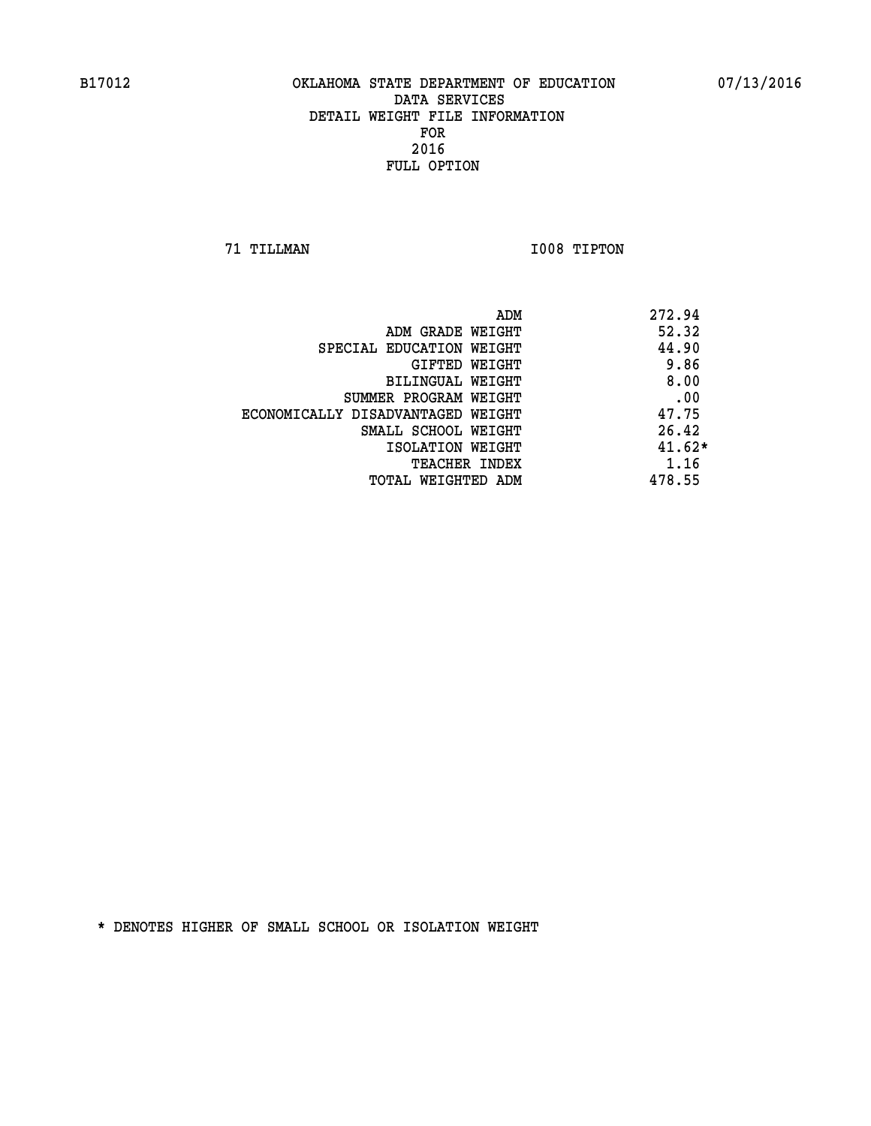**71 TILLMAN I008 TIPTON** 

| ADM                               | 272.94   |
|-----------------------------------|----------|
| ADM GRADE WEIGHT                  | 52.32    |
| SPECIAL EDUCATION WEIGHT          | 44.90    |
| GIFTED WEIGHT                     | 9.86     |
| BILINGUAL WEIGHT                  | 8.00     |
| SUMMER PROGRAM WEIGHT             | .00      |
| ECONOMICALLY DISADVANTAGED WEIGHT | 47.75    |
| SMALL SCHOOL WEIGHT               | 26.42    |
| ISOLATION WEIGHT                  | $41.62*$ |
| <b>TEACHER INDEX</b>              | 1.16     |
| TOTAL WEIGHTED ADM                | 478.55   |
|                                   |          |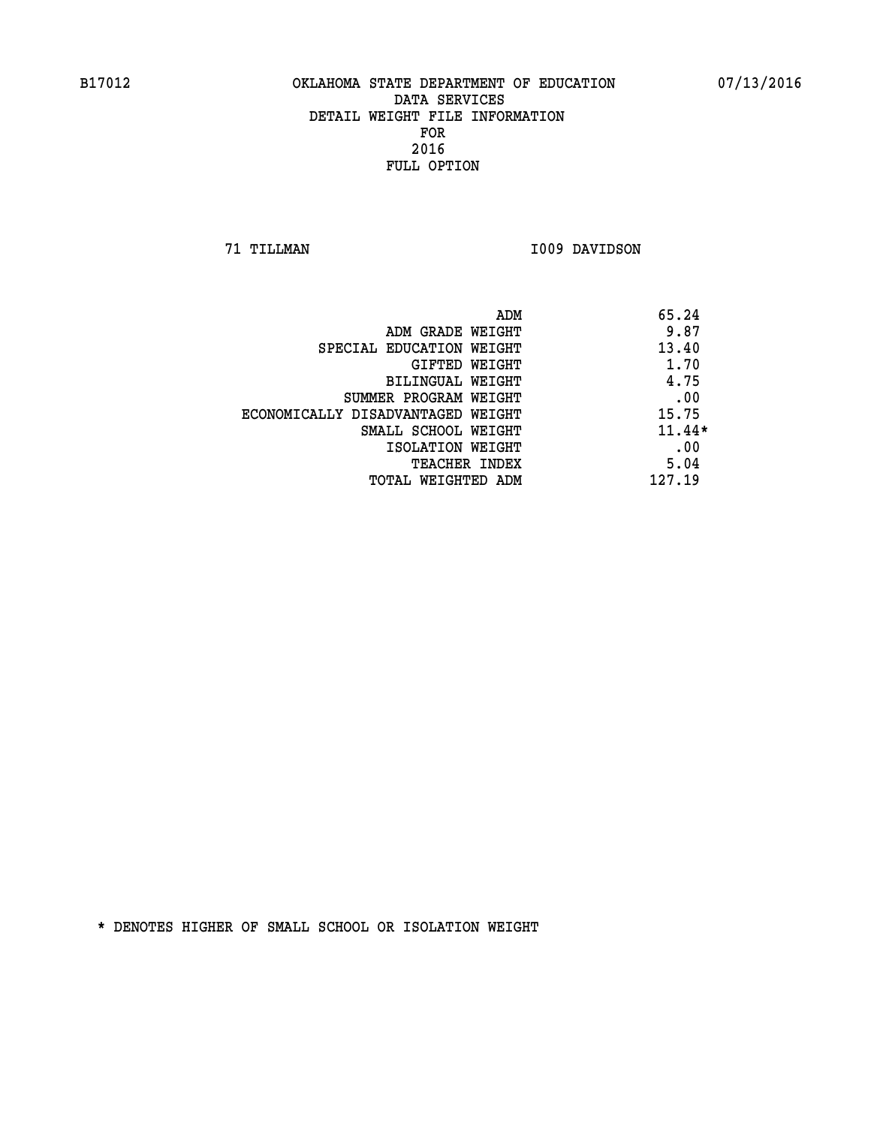**71 TILLMAN I009 DAVIDSON** 

| ADM                               | 65.24    |
|-----------------------------------|----------|
| ADM GRADE WEIGHT                  | 9.87     |
| SPECIAL EDUCATION WEIGHT          | 13.40    |
| GIFTED WEIGHT                     | 1.70     |
| BILINGUAL WEIGHT                  | 4.75     |
| SUMMER PROGRAM WEIGHT             | .00      |
| ECONOMICALLY DISADVANTAGED WEIGHT | 15.75    |
| SMALL SCHOOL WEIGHT               | $11.44*$ |
| ISOLATION WEIGHT                  | .00      |
| TEACHER INDEX                     | 5.04     |
| TOTAL WEIGHTED ADM                | 127.19   |
|                                   |          |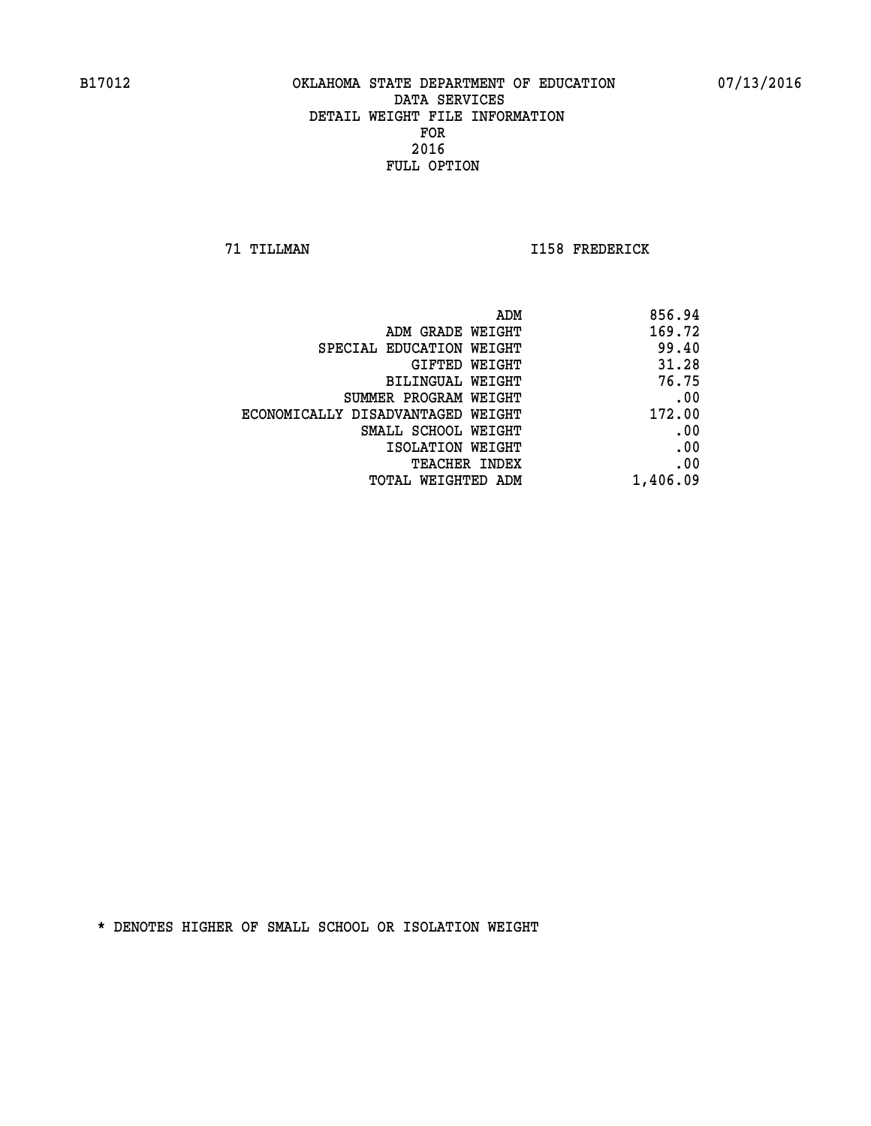**71 TILLMAN I158 FREDERICK** 

|                                   | ADM<br>856.94 |
|-----------------------------------|---------------|
| ADM GRADE WEIGHT                  | 169.72        |
| SPECIAL EDUCATION WEIGHT          | 99.40         |
| GIFTED WEIGHT                     | 31.28         |
| <b>BILINGUAL WEIGHT</b>           | 76.75         |
| SUMMER PROGRAM WEIGHT             | .00           |
| ECONOMICALLY DISADVANTAGED WEIGHT | 172.00        |
| SMALL SCHOOL WEIGHT               | .00           |
| ISOLATION WEIGHT                  | .00           |
| TEACHER INDEX                     | .00           |
| TOTAL WEIGHTED ADM                | 1,406.09      |
|                                   |               |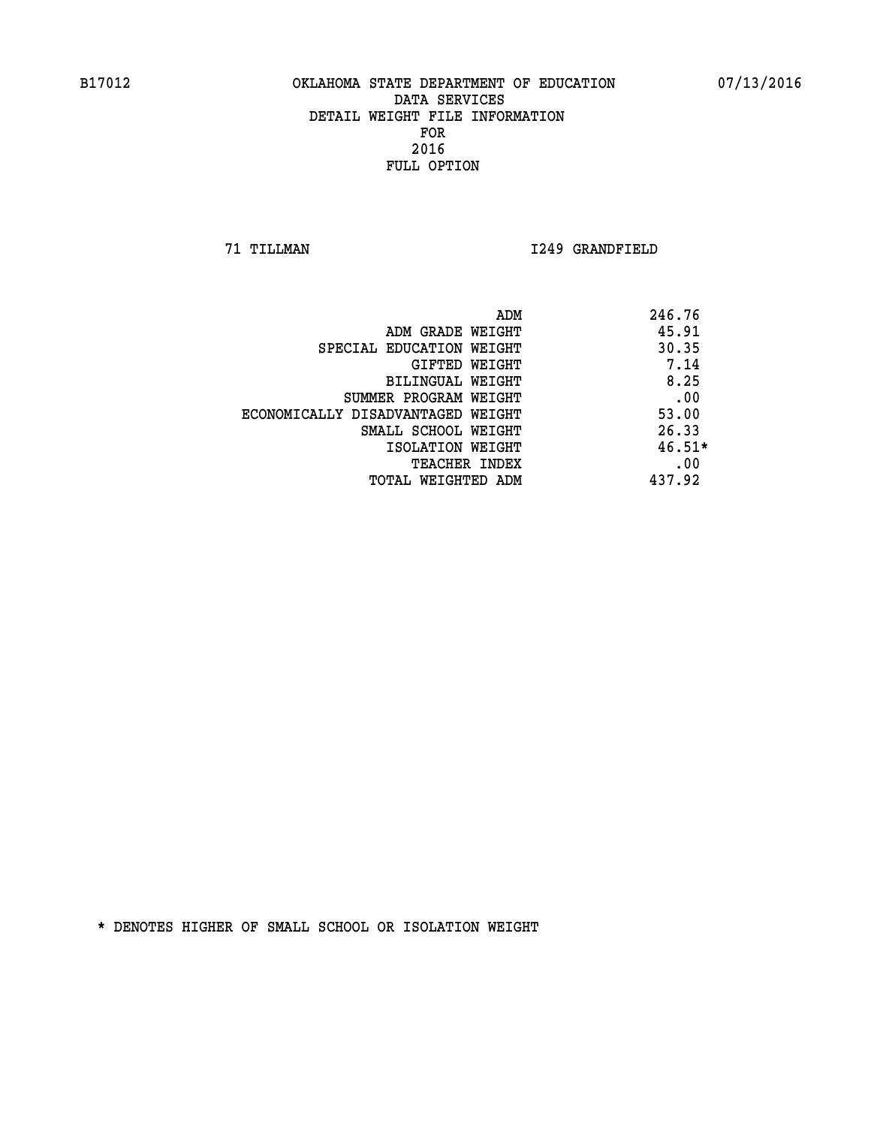**71 TILLMAN I249 GRANDFIELD** 

|                                   | ADM | 246.76   |
|-----------------------------------|-----|----------|
| ADM GRADE WEIGHT                  |     | 45.91    |
| SPECIAL EDUCATION WEIGHT          |     | 30.35    |
| <b>GIFTED WEIGHT</b>              |     | 7.14     |
| BILINGUAL WEIGHT                  |     | 8.25     |
| SUMMER PROGRAM WEIGHT             |     | .00      |
| ECONOMICALLY DISADVANTAGED WEIGHT |     | 53.00    |
| SMALL SCHOOL WEIGHT               |     | 26.33    |
| ISOLATION WEIGHT                  |     | $46.51*$ |
| TEACHER INDEX                     |     | .00      |
| TOTAL WEIGHTED ADM                |     | 437.92   |
|                                   |     |          |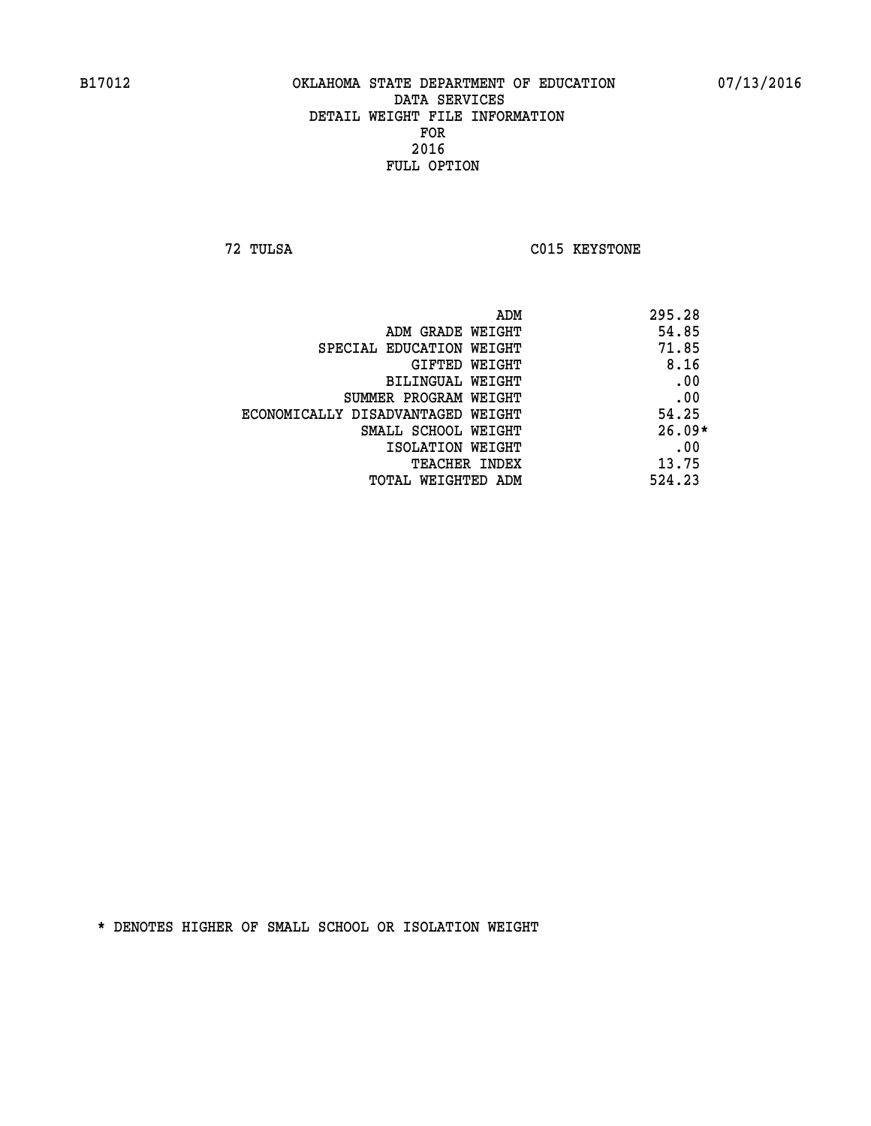**72 TULSA C015 KEYSTONE** 

|                                   | 295.28<br>ADM |
|-----------------------------------|---------------|
| ADM GRADE WEIGHT                  | 54.85         |
| SPECIAL EDUCATION WEIGHT          | 71.85         |
| GIFTED WEIGHT                     | 8.16          |
| BILINGUAL WEIGHT                  | .00           |
| SUMMER PROGRAM WEIGHT             | .00           |
| ECONOMICALLY DISADVANTAGED WEIGHT | 54.25         |
| SMALL SCHOOL WEIGHT               | $26.09*$      |
| ISOLATION WEIGHT                  | .00           |
| TEACHER INDEX                     | 13.75         |
| TOTAL WEIGHTED ADM                | 524.23        |
|                                   |               |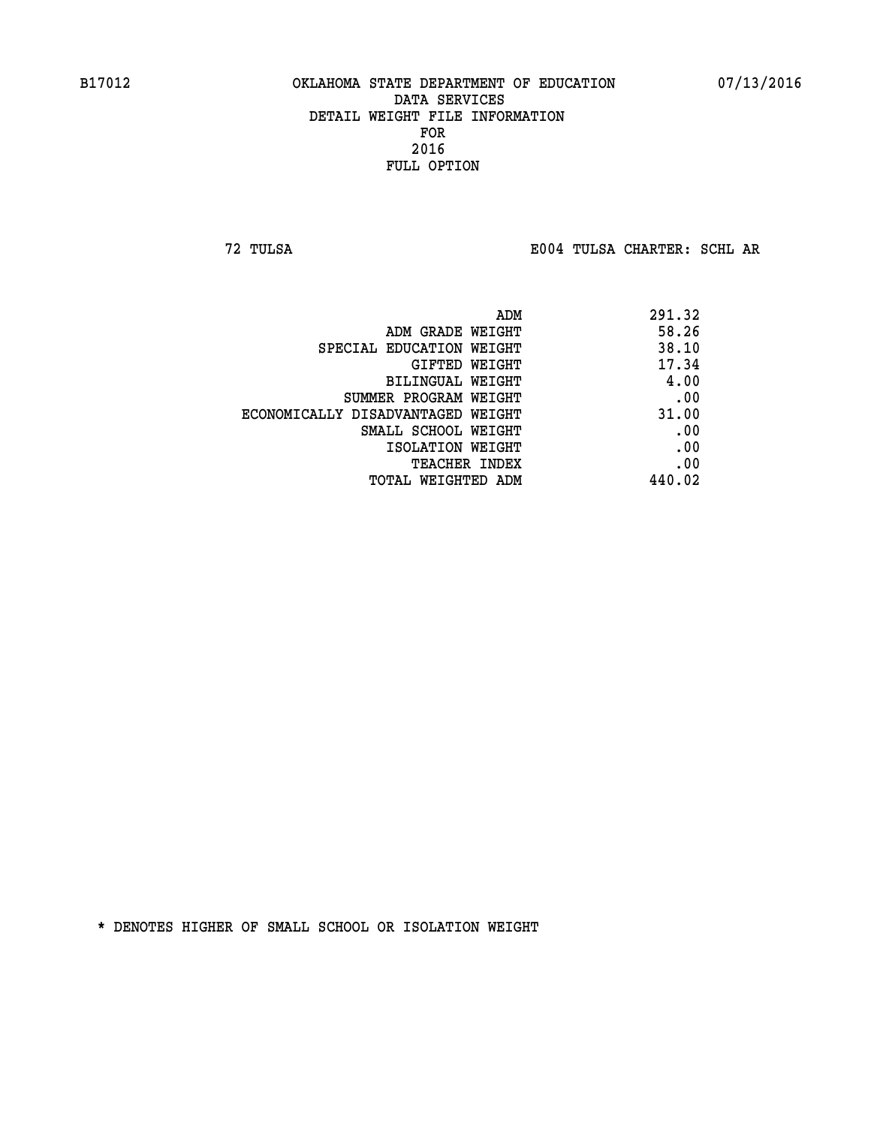**72 TULSA E004 TULSA CHARTER: SCHL AR**

|                                   | 291.32<br>ADM |  |
|-----------------------------------|---------------|--|
| ADM GRADE WEIGHT                  | 58.26         |  |
| SPECIAL EDUCATION WEIGHT          | 38.10         |  |
| <b>GIFTED WEIGHT</b>              | 17.34         |  |
| BILINGUAL WEIGHT                  | 4.00          |  |
| SUMMER PROGRAM WEIGHT             | .00           |  |
| ECONOMICALLY DISADVANTAGED WEIGHT | 31.00         |  |
| SMALL SCHOOL WEIGHT               | .00           |  |
| ISOLATION WEIGHT                  | .00           |  |
| <b>TEACHER INDEX</b>              | .00           |  |
| TOTAL WEIGHTED ADM                | 440.02        |  |
|                                   |               |  |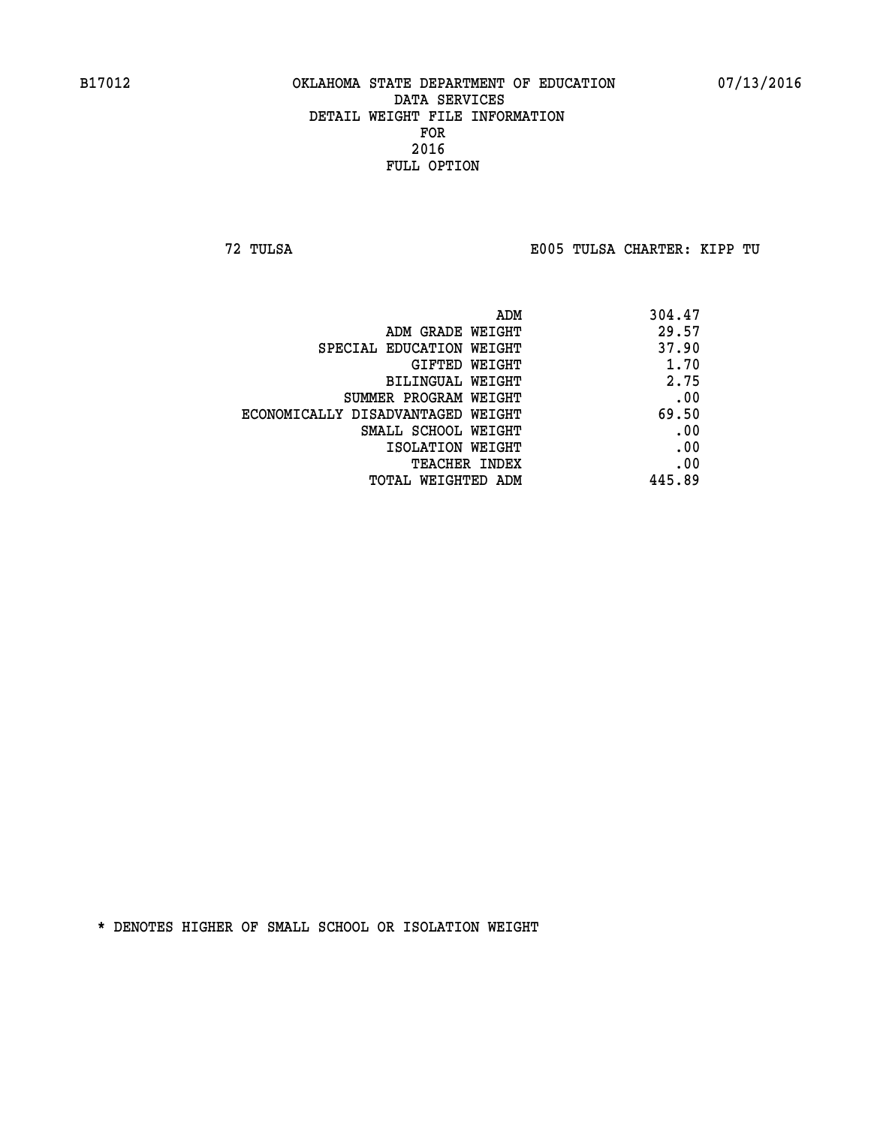**72 TULSA E005 TULSA CHARTER: KIPP TU**

| 304.47 |
|--------|
| 29.57  |
| 37.90  |
| 1.70   |
| 2.75   |
| .00    |
| 69.50  |
| .00    |
| .00    |
| .00    |
| 445.89 |
|        |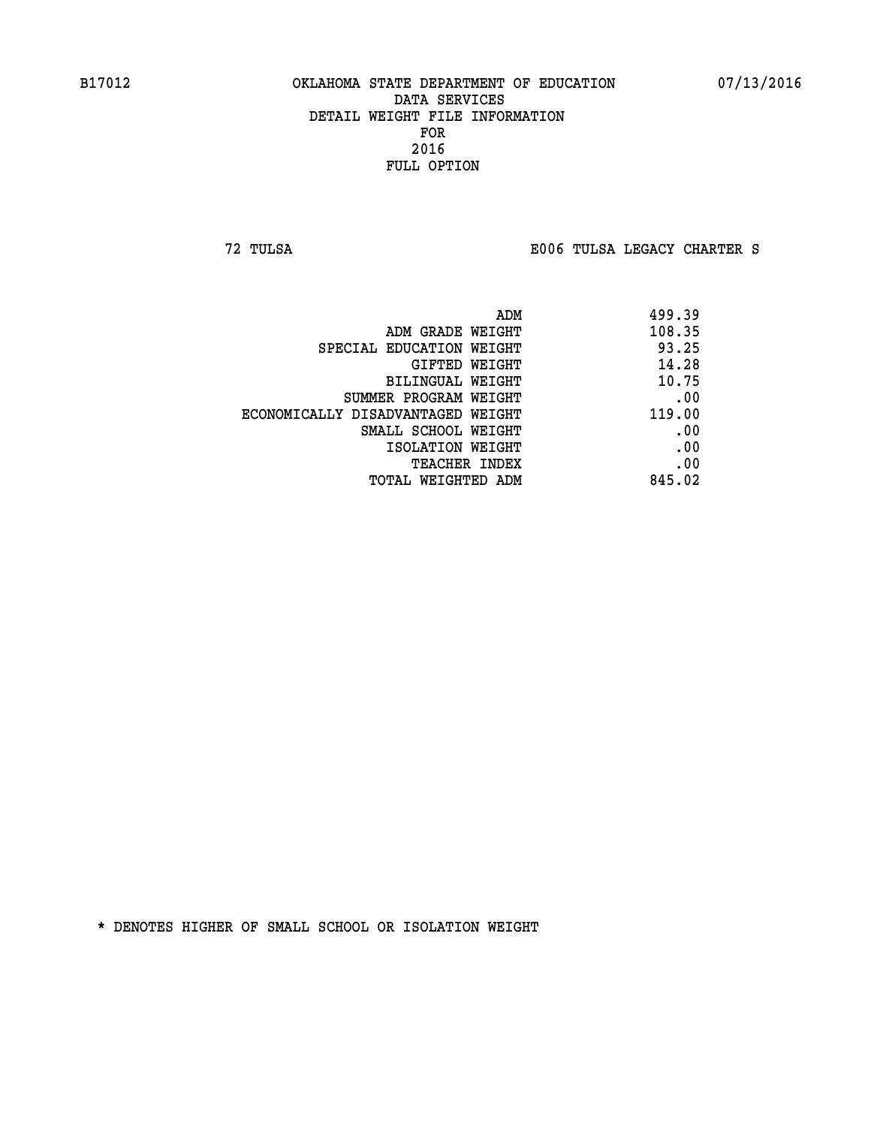**72 TULSA E006 TULSA LEGACY CHARTER S**

|                                   | 499.39<br>ADM |
|-----------------------------------|---------------|
| ADM GRADE WEIGHT                  | 108.35        |
| SPECIAL EDUCATION WEIGHT          | 93.25         |
| GIFTED WEIGHT                     | 14.28         |
| BILINGUAL WEIGHT                  | 10.75         |
| SUMMER PROGRAM WEIGHT             | .00           |
| ECONOMICALLY DISADVANTAGED WEIGHT | 119.00        |
| SMALL SCHOOL WEIGHT               | .00           |
| ISOLATION WEIGHT                  | .00           |
| <b>TEACHER INDEX</b>              | .00           |
| TOTAL WEIGHTED ADM                | 845.02        |
|                                   |               |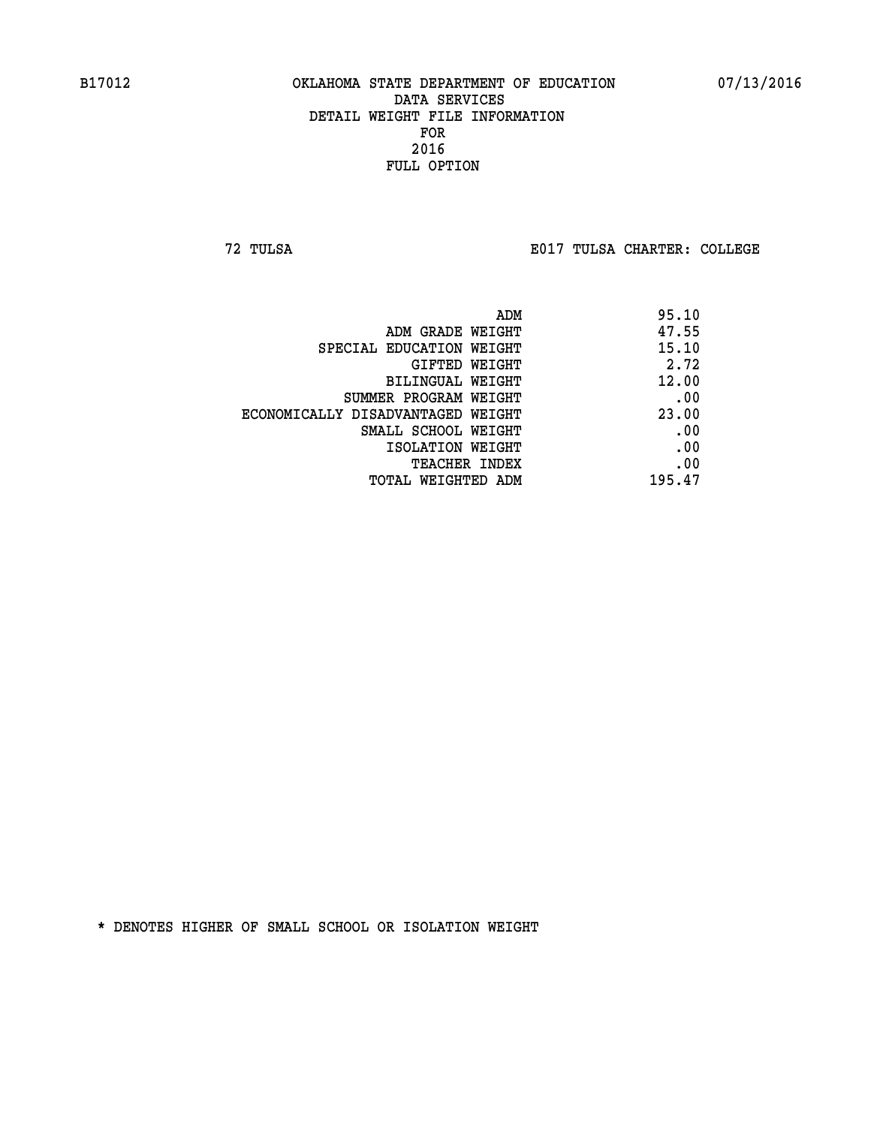**72 TULSA E017 TULSA CHARTER: COLLEGE**

| ADM                               | 95.10  |
|-----------------------------------|--------|
| ADM GRADE WEIGHT                  | 47.55  |
| SPECIAL EDUCATION WEIGHT          | 15.10  |
| GIFTED WEIGHT                     | 2.72   |
| BILINGUAL WEIGHT                  | 12.00  |
| SUMMER PROGRAM WEIGHT             | .00    |
| ECONOMICALLY DISADVANTAGED WEIGHT | 23.00  |
| SMALL SCHOOL WEIGHT               | .00    |
| ISOLATION WEIGHT                  | .00    |
| <b>TEACHER INDEX</b>              | .00    |
| TOTAL WEIGHTED ADM                | 195.47 |
|                                   |        |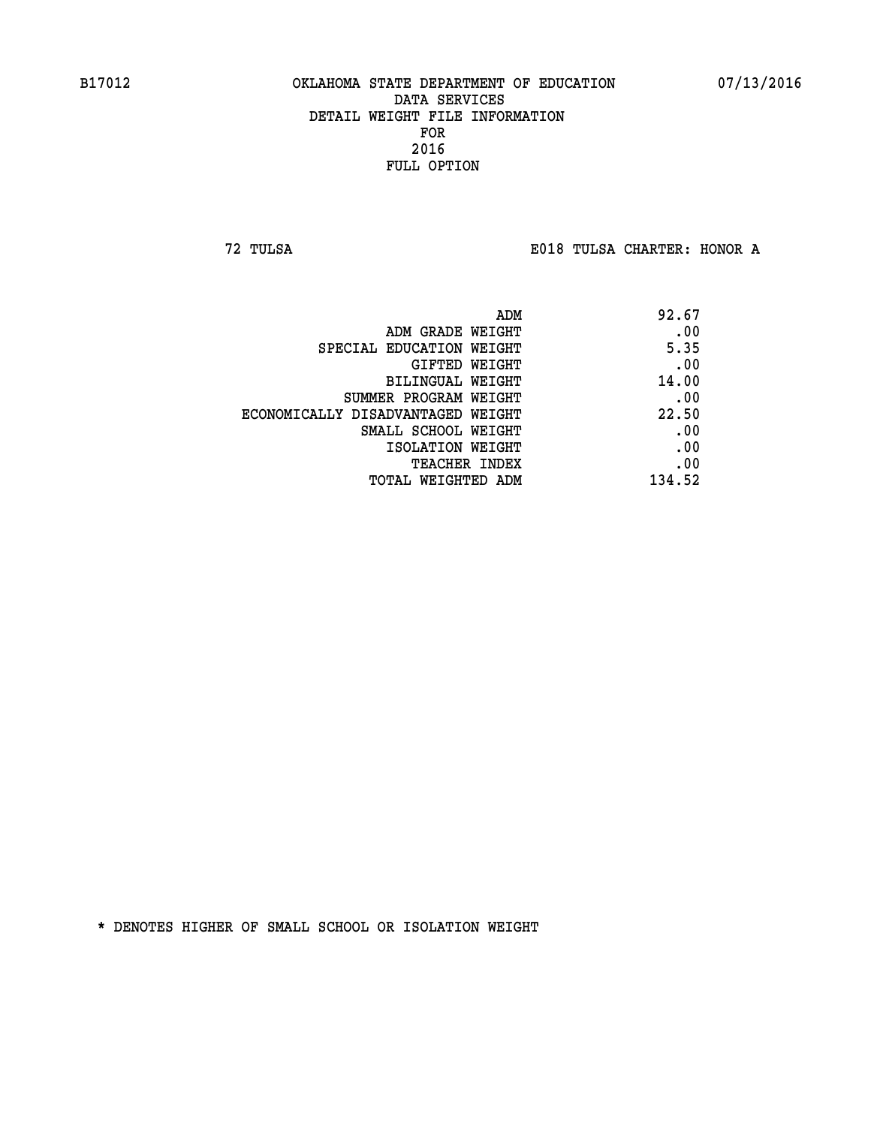**72 TULSA E018 TULSA CHARTER: HONOR A**

| ADM                               | 92.67  |
|-----------------------------------|--------|
| ADM GRADE WEIGHT                  | .00    |
| SPECIAL EDUCATION WEIGHT          | 5.35   |
| GIFTED WEIGHT                     | .00    |
| BILINGUAL WEIGHT                  | 14.00  |
| SUMMER PROGRAM WEIGHT             | .00    |
| ECONOMICALLY DISADVANTAGED WEIGHT | 22.50  |
| SMALL SCHOOL WEIGHT               | .00    |
| ISOLATION WEIGHT                  | .00    |
| TEACHER INDEX                     | .00    |
| TOTAL WEIGHTED ADM                | 134.52 |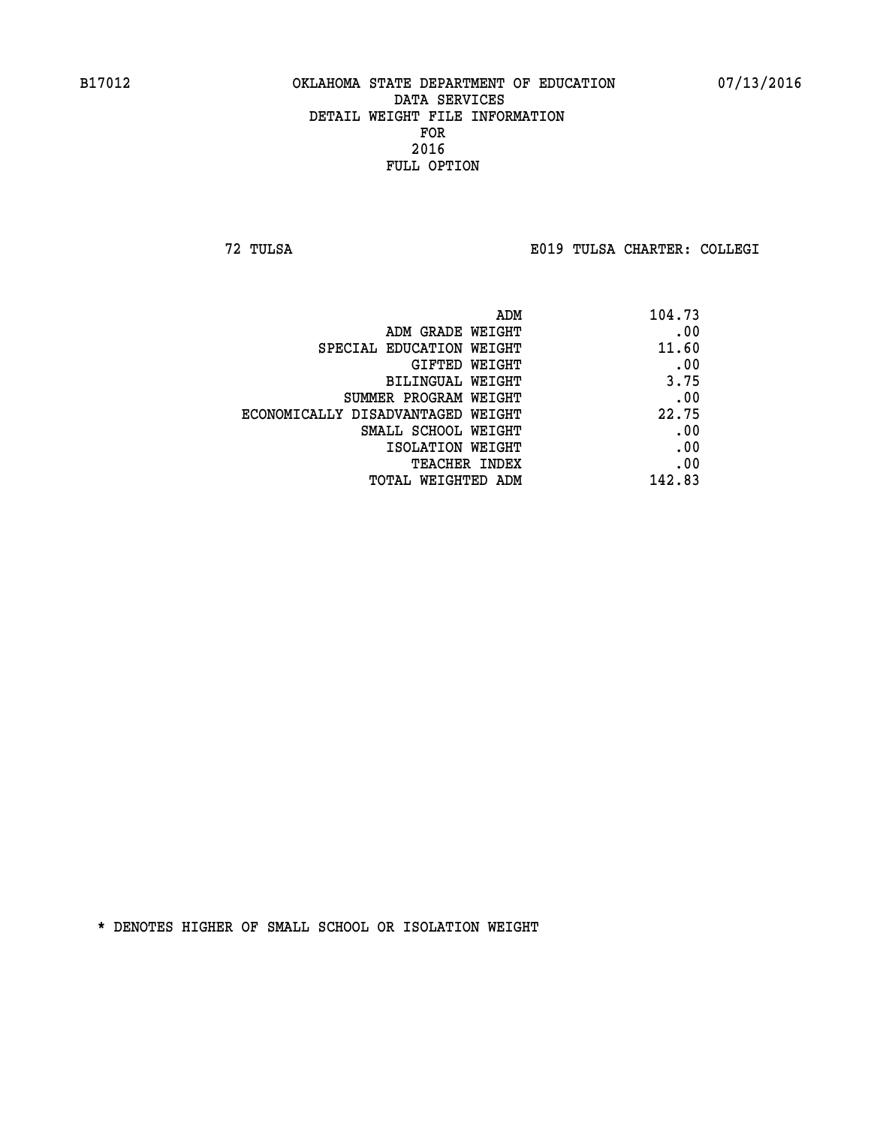**72 TULSA E019 TULSA CHARTER: COLLEGI**

| ADM                               | 104.73 |
|-----------------------------------|--------|
| ADM GRADE WEIGHT                  | .00    |
| SPECIAL EDUCATION WEIGHT          | 11.60  |
| GIFTED WEIGHT                     | .00    |
| BILINGUAL WEIGHT                  | 3.75   |
| SUMMER PROGRAM WEIGHT             | .00    |
| ECONOMICALLY DISADVANTAGED WEIGHT | 22.75  |
| SMALL SCHOOL WEIGHT               | .00    |
| ISOLATION WEIGHT                  | .00    |
| TEACHER INDEX                     | .00    |
| TOTAL WEIGHTED ADM                | 142.83 |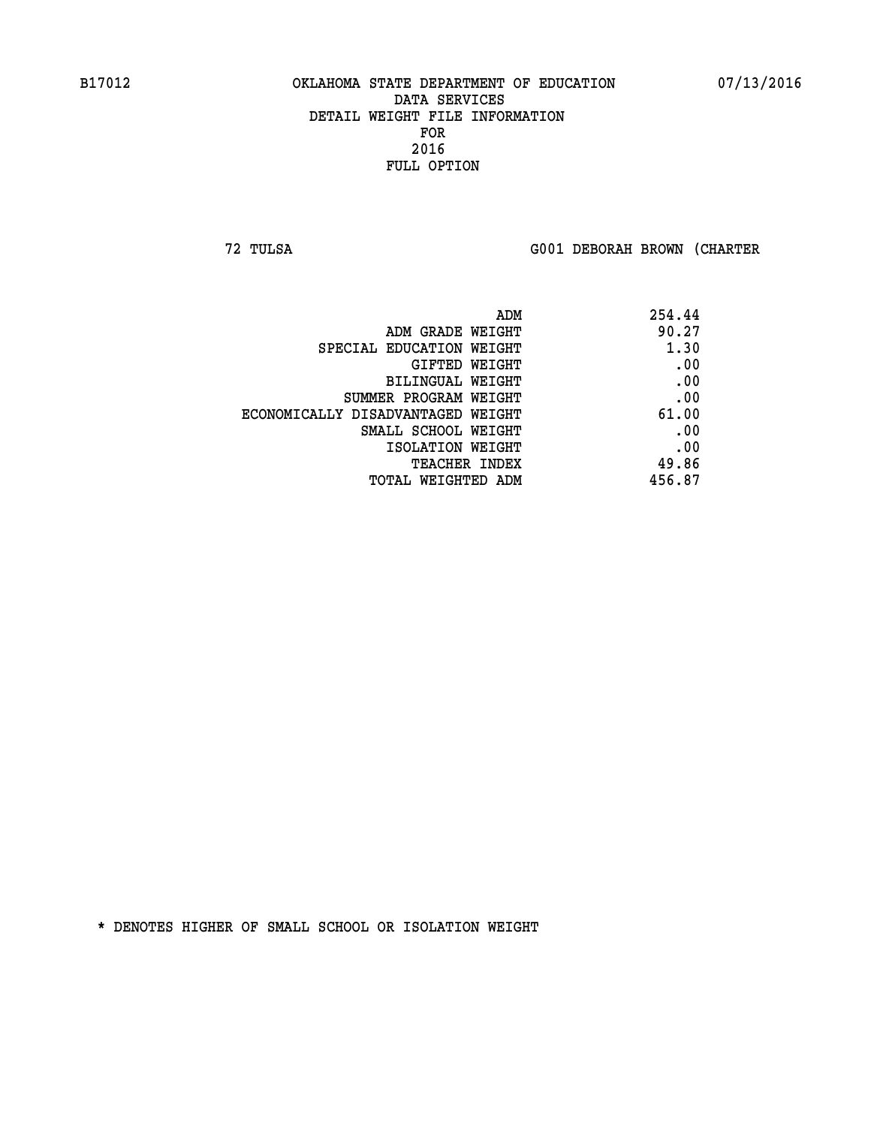**72 TULSA G001 DEBORAH BROWN (CHARTER**

| ADM                               | 254.44 |
|-----------------------------------|--------|
| ADM GRADE WEIGHT                  | 90.27  |
| SPECIAL EDUCATION WEIGHT          | 1.30   |
| GIFTED WEIGHT                     | .00    |
| BILINGUAL WEIGHT                  | .00    |
| SUMMER PROGRAM WEIGHT             | .00    |
| ECONOMICALLY DISADVANTAGED WEIGHT | 61.00  |
| SMALL SCHOOL WEIGHT               | .00    |
| ISOLATION WEIGHT                  | .00    |
| <b>TEACHER INDEX</b>              | 49.86  |
| TOTAL WEIGHTED ADM                | 456.87 |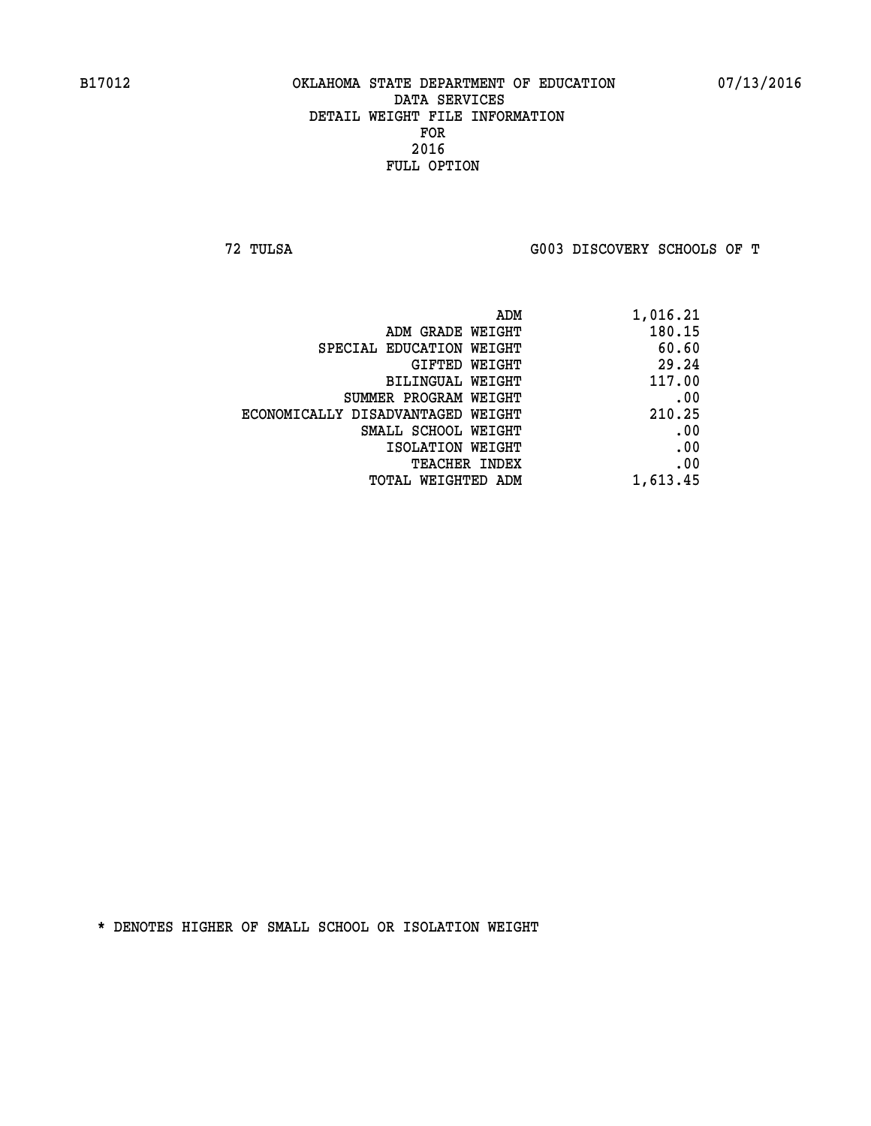**72 TULSA G003 DISCOVERY SCHOOLS OF T**

| 1,016.21 |
|----------|
| 180.15   |
| 60.60    |
| 29.24    |
| 117.00   |
| .00      |
| 210.25   |
| .00      |
| .00      |
| .00      |
| 1,613.45 |
|          |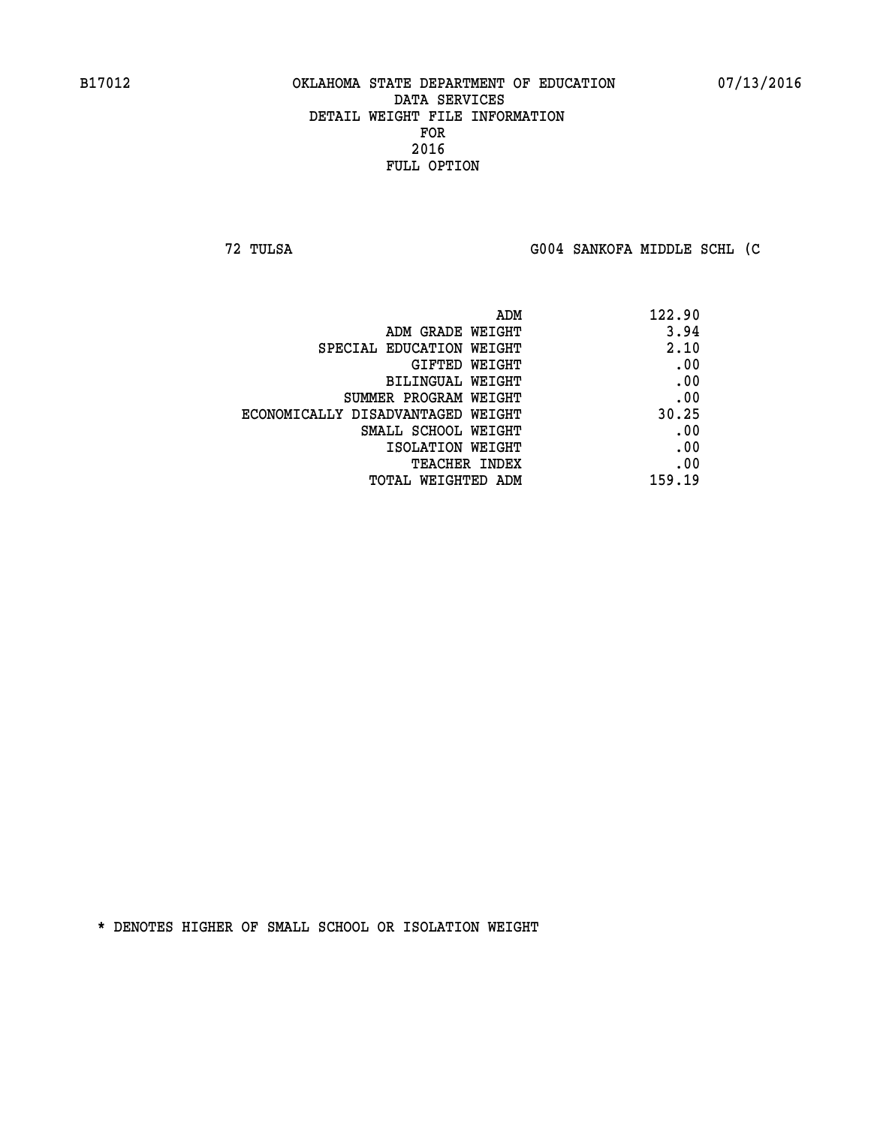**72 TULSA G004 SANKOFA MIDDLE SCHL (C**

| ADM                               | 122.90 |
|-----------------------------------|--------|
| ADM GRADE WEIGHT                  | 3.94   |
| SPECIAL EDUCATION WEIGHT          | 2.10   |
| GIFTED WEIGHT                     | .00    |
| BILINGUAL WEIGHT                  | .00    |
| SUMMER PROGRAM WEIGHT             | .00    |
| ECONOMICALLY DISADVANTAGED WEIGHT | 30.25  |
| SMALL SCHOOL WEIGHT               | .00    |
| ISOLATION WEIGHT                  | .00    |
| TEACHER INDEX                     | .00    |
| TOTAL WEIGHTED ADM                | 159.19 |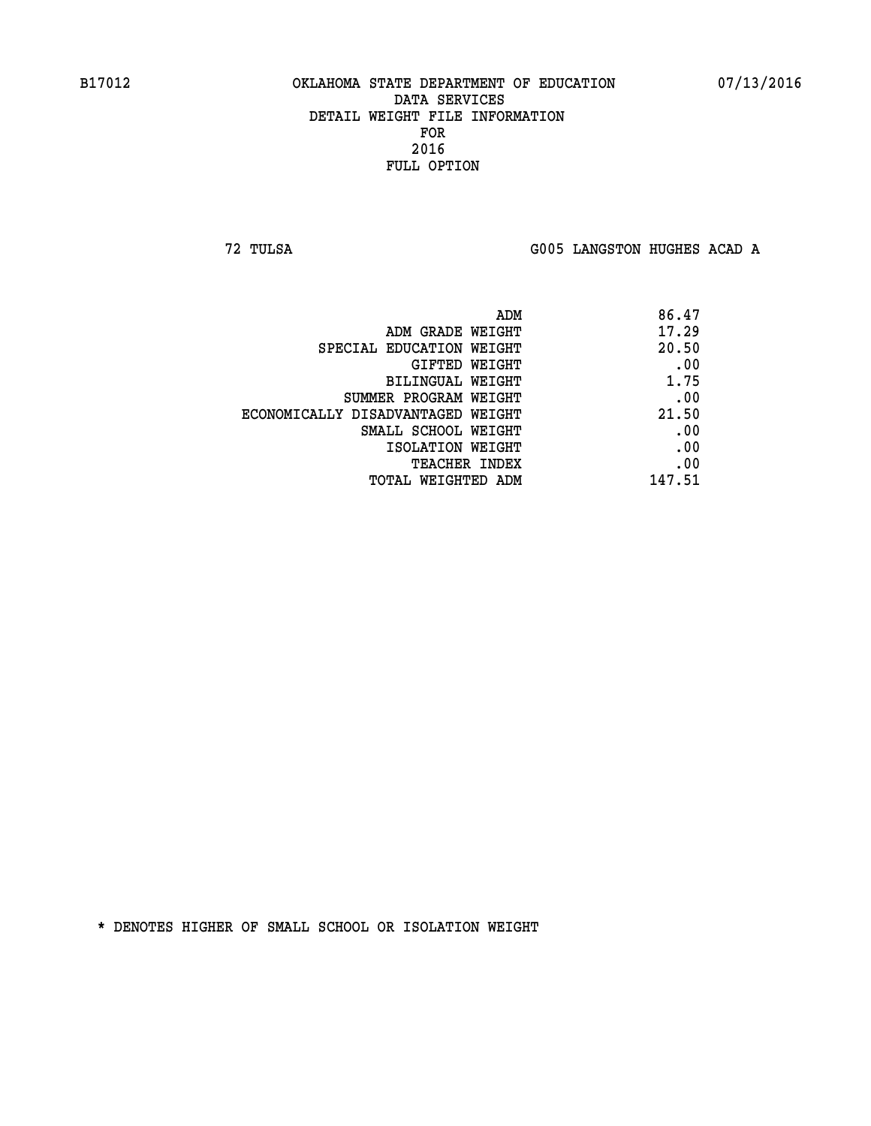**72 TULSA G005 LANGSTON HUGHES ACAD A**

|                                   | 86.47<br>ADM |
|-----------------------------------|--------------|
| ADM GRADE WEIGHT                  | 17.29        |
| SPECIAL EDUCATION WEIGHT          | 20.50        |
| GIFTED WEIGHT                     | .00          |
| BILINGUAL WEIGHT                  | 1.75         |
| SUMMER PROGRAM WEIGHT             | .00          |
| ECONOMICALLY DISADVANTAGED WEIGHT | 21.50        |
| SMALL SCHOOL WEIGHT               | .00          |
| ISOLATION WEIGHT                  | .00          |
| <b>TEACHER INDEX</b>              | .00          |
| TOTAL WEIGHTED ADM                | 147.51       |
|                                   |              |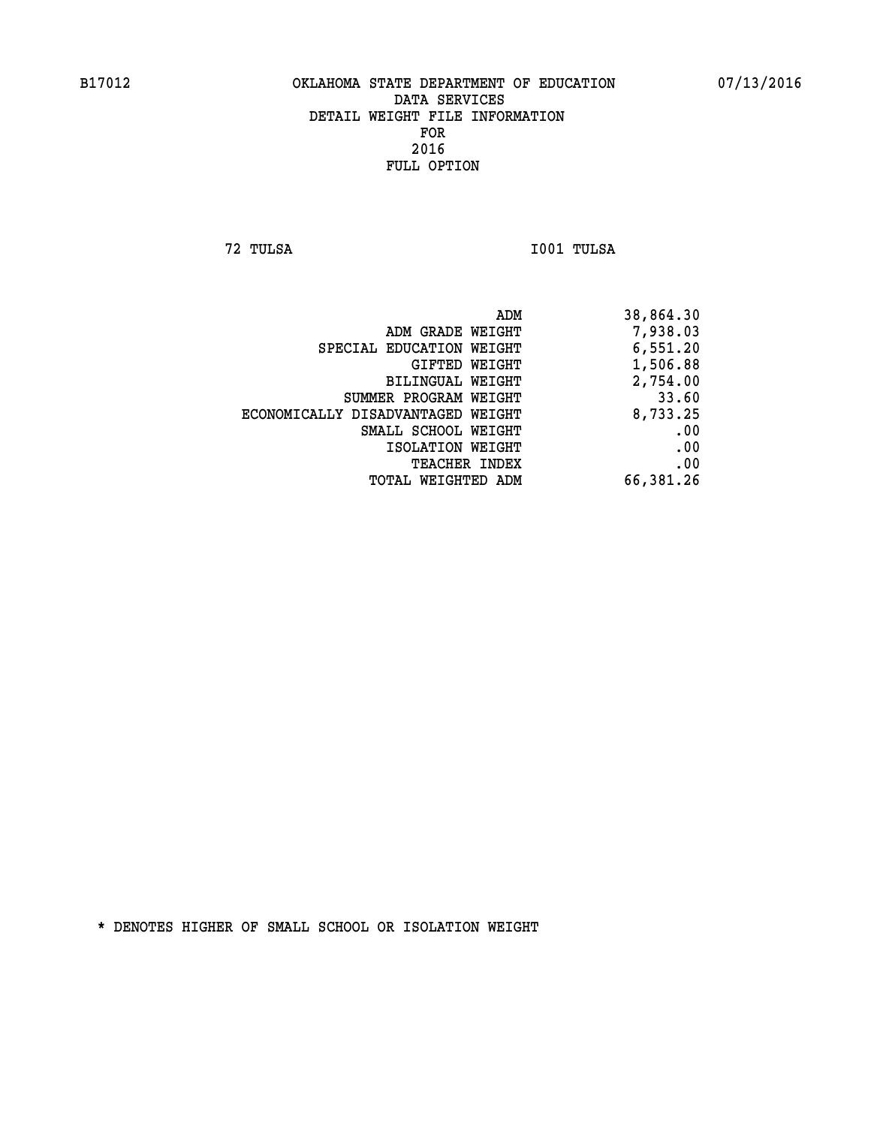**72 TULSA I001 TULSA** 

| 38,864.30 |
|-----------|
| 7,938.03  |
| 6,551.20  |
| 1,506.88  |
| 2,754.00  |
| 33.60     |
| 8,733.25  |
| .00       |
| .00       |
| .00       |
| 66,381.26 |
|           |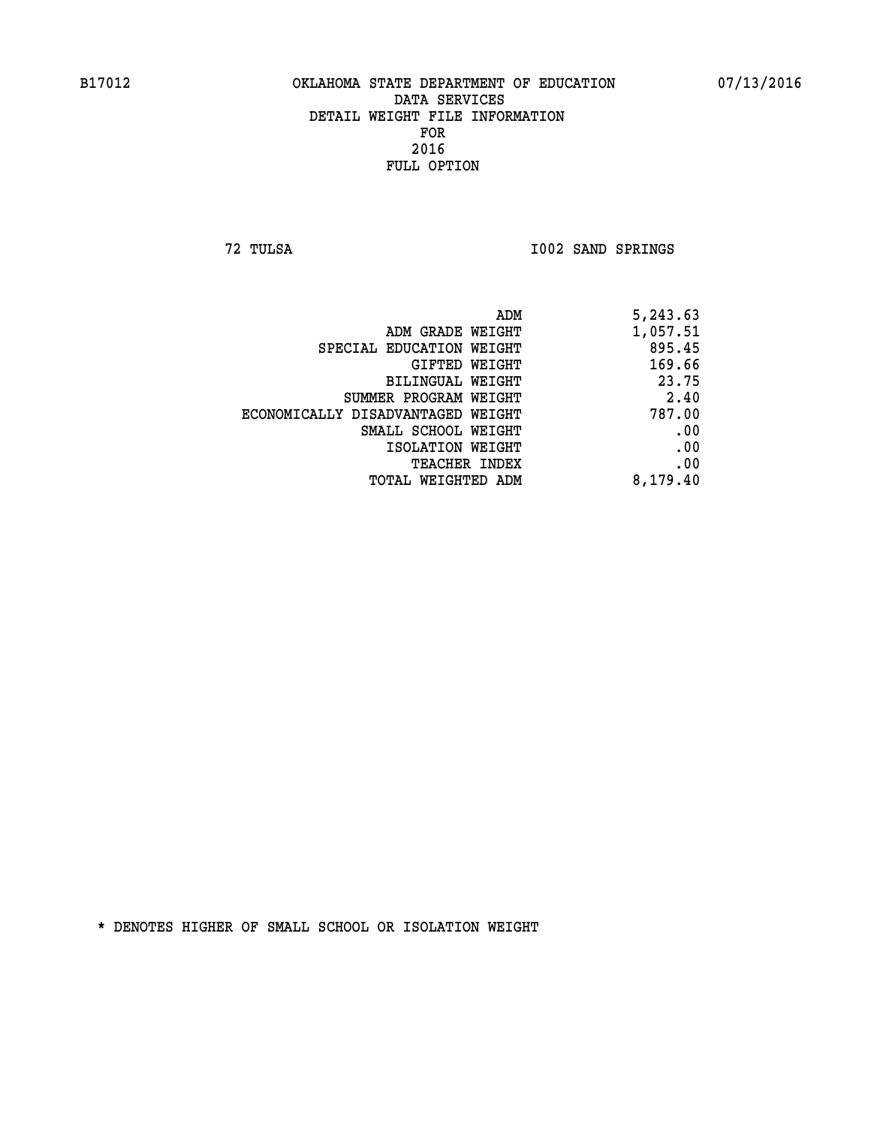**72 TULSA I002 SAND SPRINGS** 

| 5,243.63 |
|----------|
| 1,057.51 |
| 895.45   |
| 169.66   |
| 23.75    |
| 2.40     |
| 787.00   |
| .00      |
| .00      |
| .00      |
| 8,179.40 |
|          |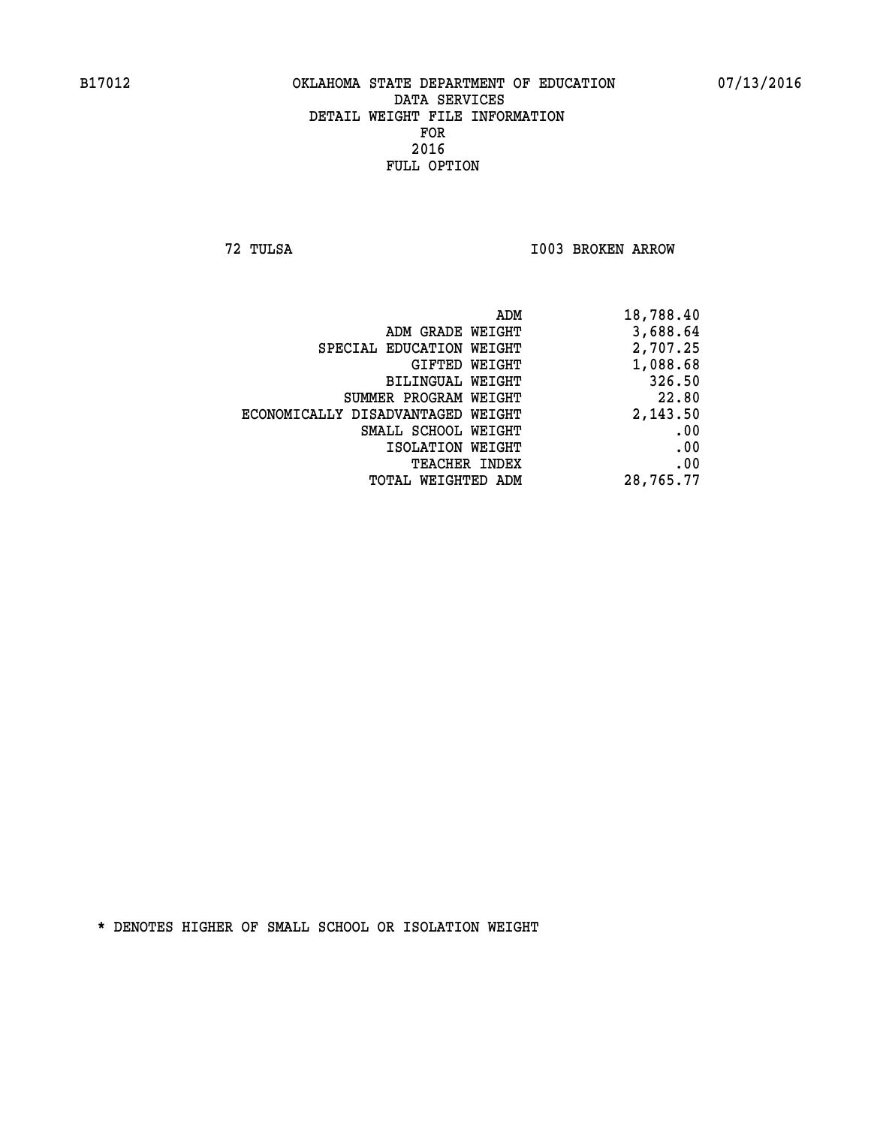**72 TULSA I003 BROKEN ARROW** 

|                                   | ADM<br>18,788.40 |
|-----------------------------------|------------------|
| ADM GRADE WEIGHT                  | 3,688.64         |
| SPECIAL EDUCATION WEIGHT          | 2,707.25         |
| GIFTED WEIGHT                     | 1,088.68         |
| BILINGUAL WEIGHT                  | 326.50           |
| SUMMER PROGRAM WEIGHT             | 22.80            |
| ECONOMICALLY DISADVANTAGED WEIGHT | 2,143.50         |
| SMALL SCHOOL WEIGHT               | .00              |
| ISOLATION WEIGHT                  | .00              |
| TEACHER INDEX                     | .00              |
| TOTAL WEIGHTED ADM                | 28,765.77        |
|                                   |                  |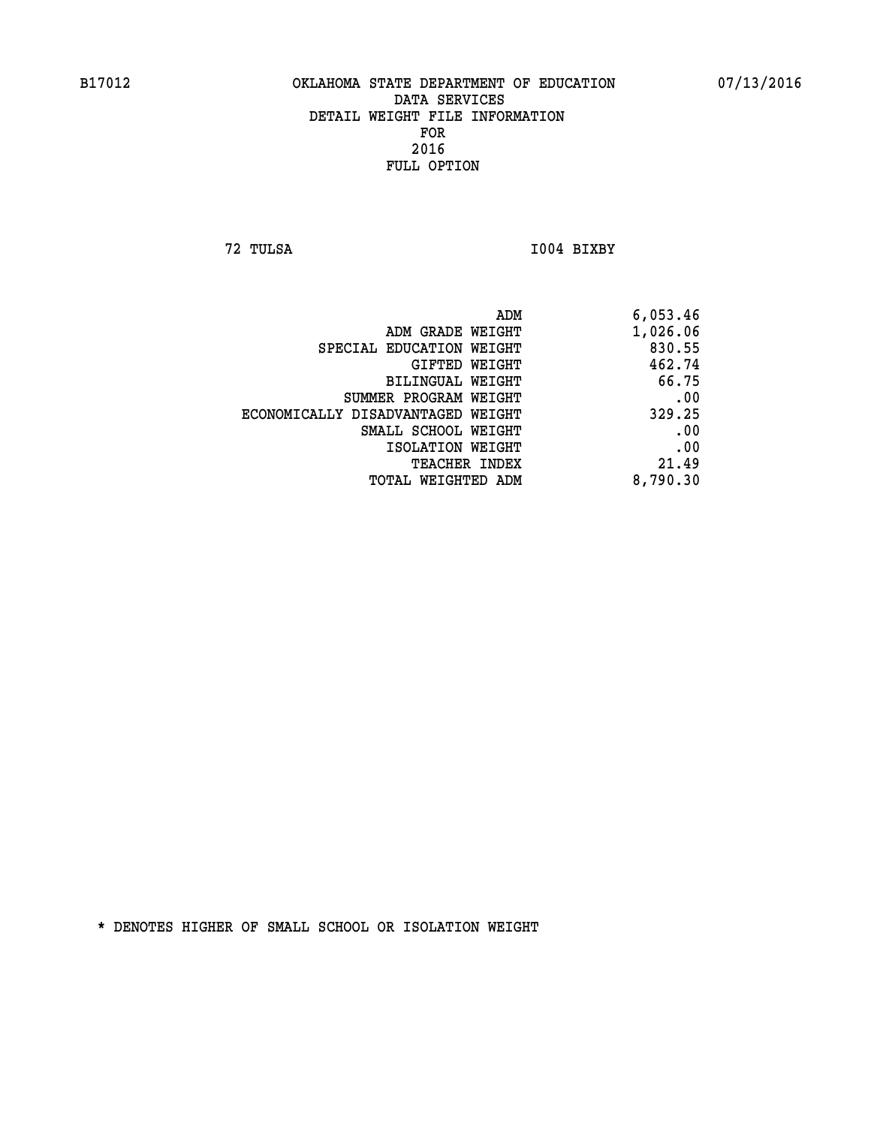**72 TULSA I004 BIXBY** 

| 6,053.46 |
|----------|
| 1,026.06 |
| 830.55   |
| 462.74   |
| 66.75    |
| .00      |
| 329.25   |
| .00      |
| .00      |
| 21.49    |
| 8,790.30 |
|          |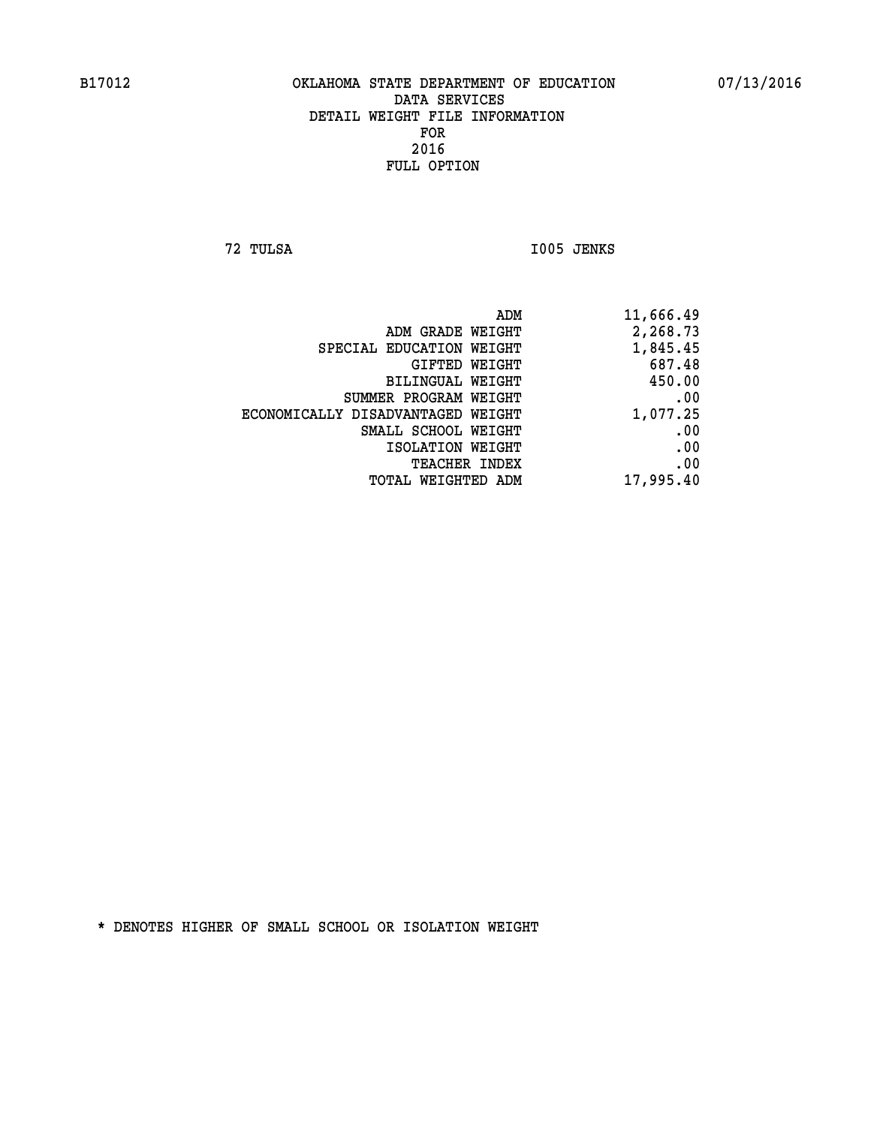**72 TULSA I005 JENKS** 

| 11,666.49 |
|-----------|
| 2,268.73  |
| 1,845.45  |
| 687.48    |
| 450.00    |
| .00       |
| 1,077.25  |
| .00       |
| .00       |
| .00       |
| 17,995.40 |
|           |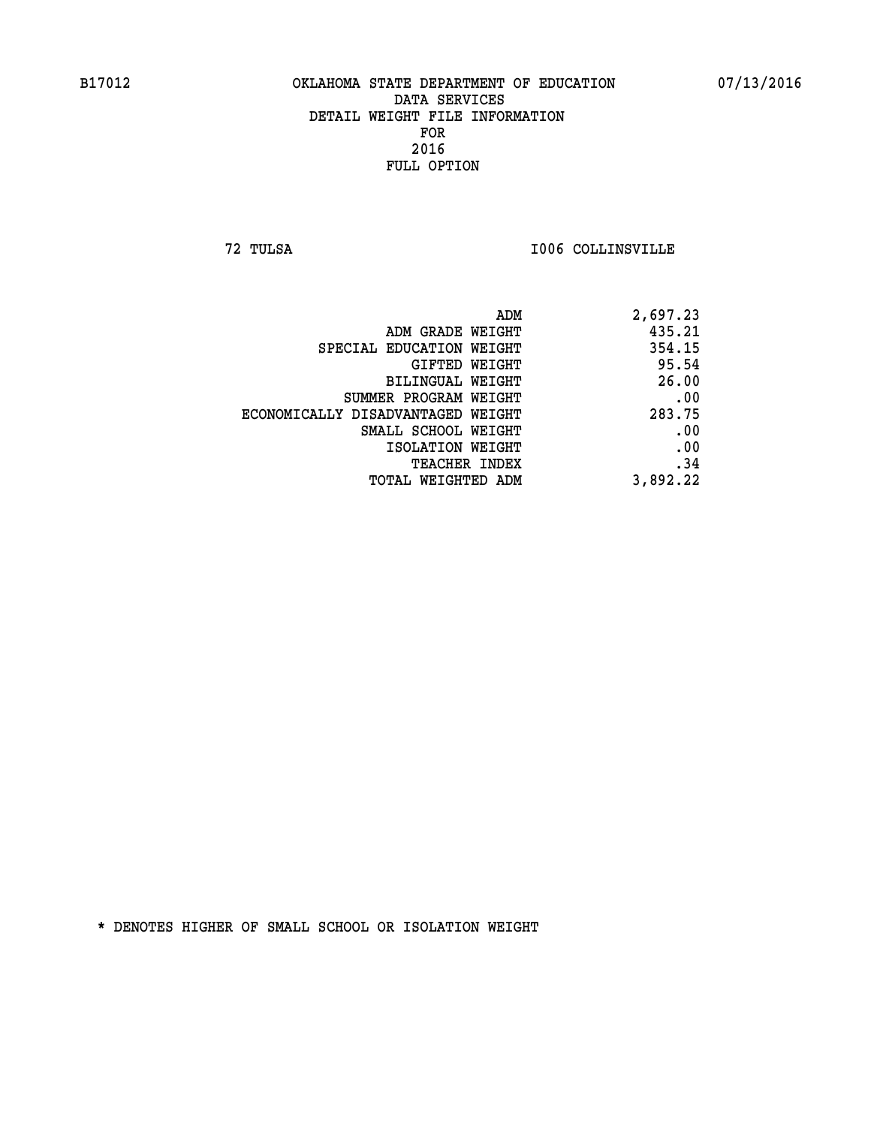**72 TULSA I006 COLLINSVILLE** 

| ADM                               | 2,697.23 |
|-----------------------------------|----------|
| ADM GRADE WEIGHT                  | 435.21   |
| SPECIAL EDUCATION WEIGHT          | 354.15   |
| GIFTED WEIGHT                     | 95.54    |
| BILINGUAL WEIGHT                  | 26.00    |
| SUMMER PROGRAM WEIGHT             | .00      |
| ECONOMICALLY DISADVANTAGED WEIGHT | 283.75   |
| SMALL SCHOOL WEIGHT               | .00      |
| ISOLATION WEIGHT                  | .00      |
| <b>TEACHER INDEX</b>              | .34      |
| <b>TOTAL WEIGHTED ADM</b>         | 3,892.22 |
|                                   |          |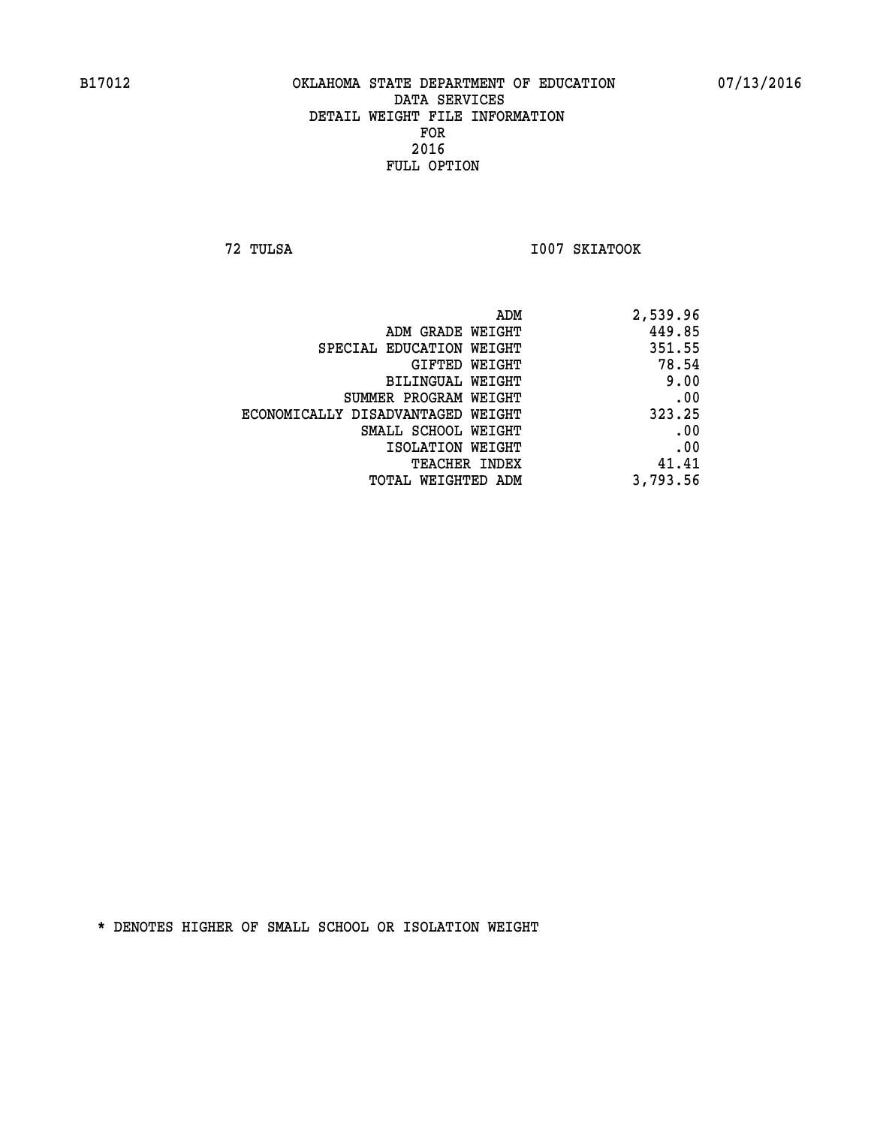**72 TULSA I007 SKIATOOK** 

| 2,539.96 |
|----------|
| 449.85   |
| 351.55   |
| 78.54    |
| 9.00     |
| .00      |
| 323.25   |
| .00      |
| .00      |
| 41.41    |
| 3,793.56 |
|          |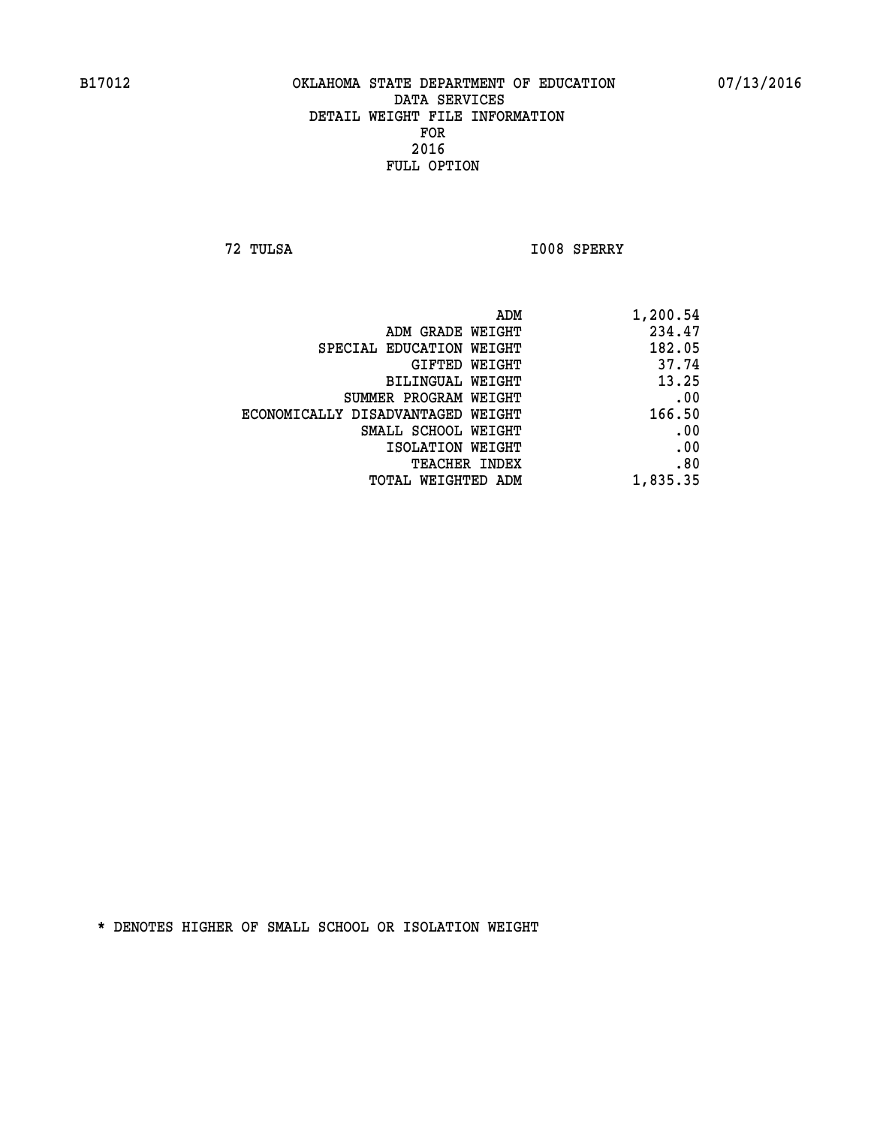**72 TULSA I008 SPERRY** 

|                                   | ADM<br>1,200.54 |
|-----------------------------------|-----------------|
| ADM GRADE WEIGHT                  | 234.47          |
| SPECIAL EDUCATION WEIGHT          | 182.05          |
| GIFTED WEIGHT                     | 37.74           |
| <b>BILINGUAL WEIGHT</b>           | 13.25           |
| SUMMER PROGRAM WEIGHT             | .00             |
| ECONOMICALLY DISADVANTAGED WEIGHT | 166.50          |
| SMALL SCHOOL WEIGHT               | .00             |
| ISOLATION WEIGHT                  | .00             |
| TEACHER INDEX                     | .80             |
| TOTAL WEIGHTED ADM                | 1,835.35        |
|                                   |                 |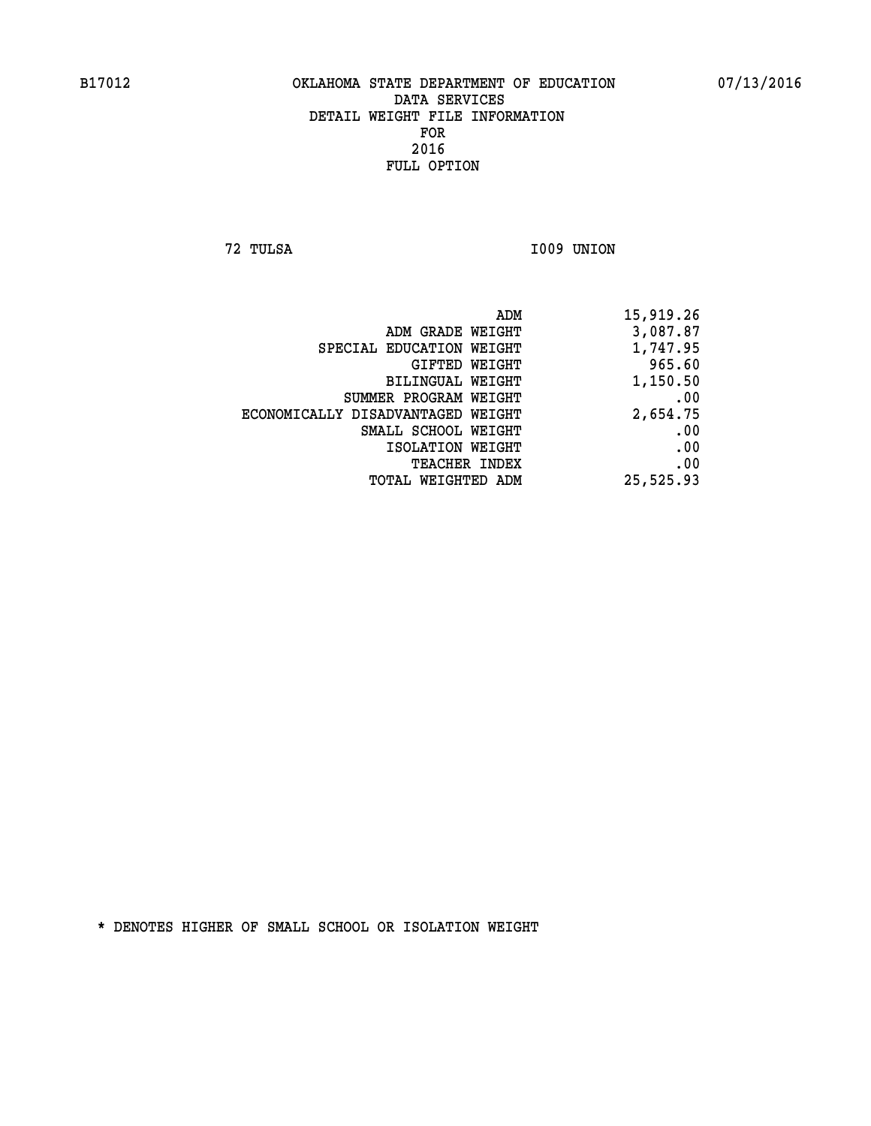**72 TULSA I009 UNION** 

|                                   | ADM<br>15,919.26 |
|-----------------------------------|------------------|
| ADM GRADE WEIGHT                  | 3,087.87         |
| SPECIAL EDUCATION WEIGHT          | 1,747.95         |
| GIFTED WEIGHT                     | 965.60           |
| <b>BILINGUAL WEIGHT</b>           | 1,150.50         |
| SUMMER PROGRAM WEIGHT             | .00              |
| ECONOMICALLY DISADVANTAGED WEIGHT | 2,654.75         |
| SMALL SCHOOL WEIGHT               | .00              |
| ISOLATION WEIGHT                  | .00              |
| TEACHER INDEX                     | .00              |
| TOTAL WEIGHTED ADM                | 25,525.93        |
|                                   |                  |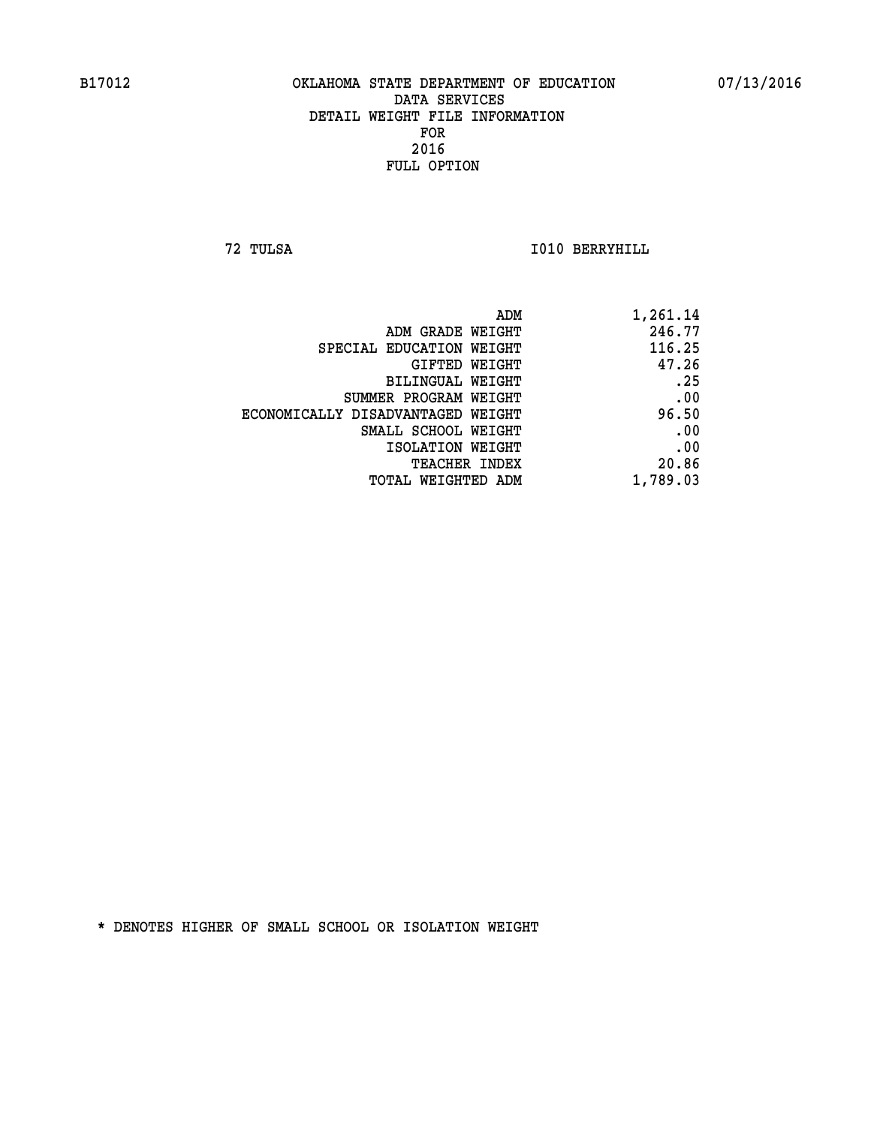**72 TULSA I010 BERRYHILL** 

| 1,261.14 |
|----------|
| 246.77   |
| 116.25   |
| 47.26    |
| .25      |
| .00      |
| 96.50    |
| .00      |
| .00      |
| 20.86    |
| 1,789.03 |
|          |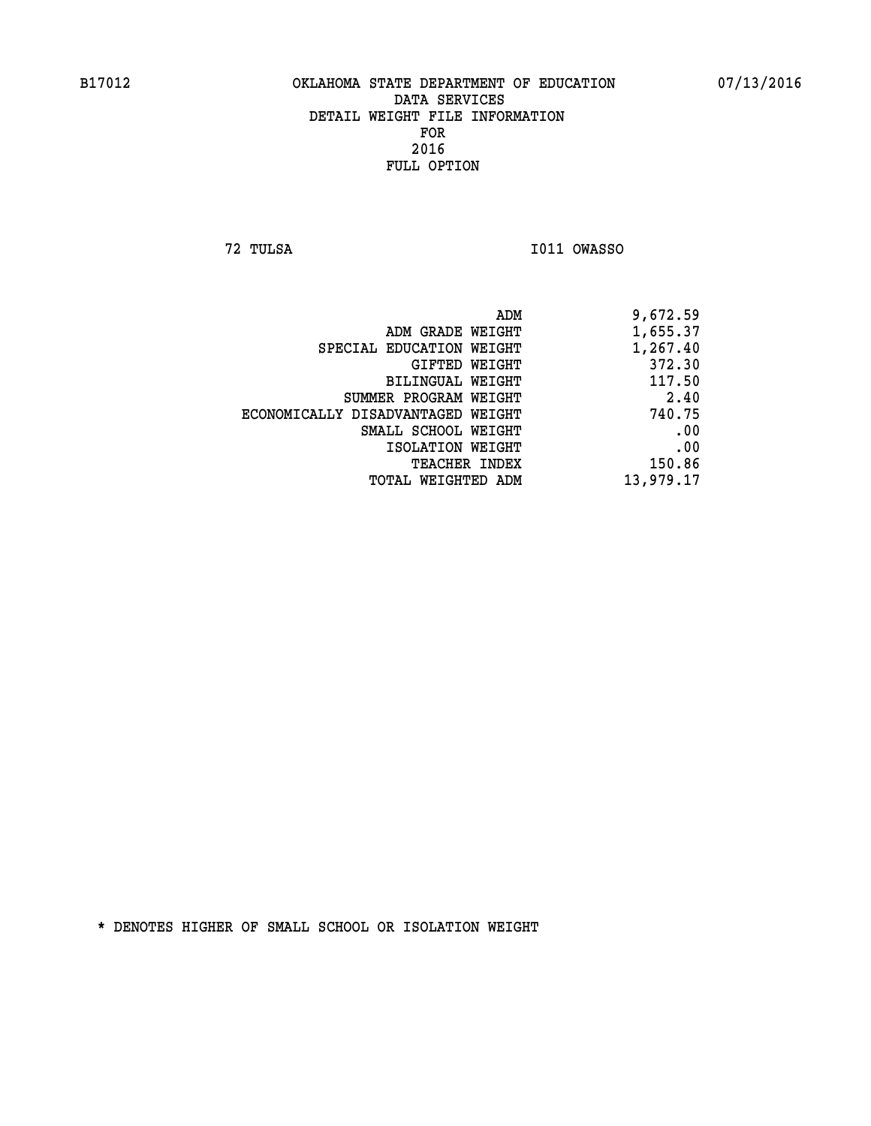**72 TULSA I011 OWASSO** 

| 9,672.59  |
|-----------|
| 1,655.37  |
| 1,267.40  |
| 372.30    |
| 117.50    |
| 2.40      |
| 740.75    |
| .00       |
| .00       |
| 150.86    |
| 13,979.17 |
|           |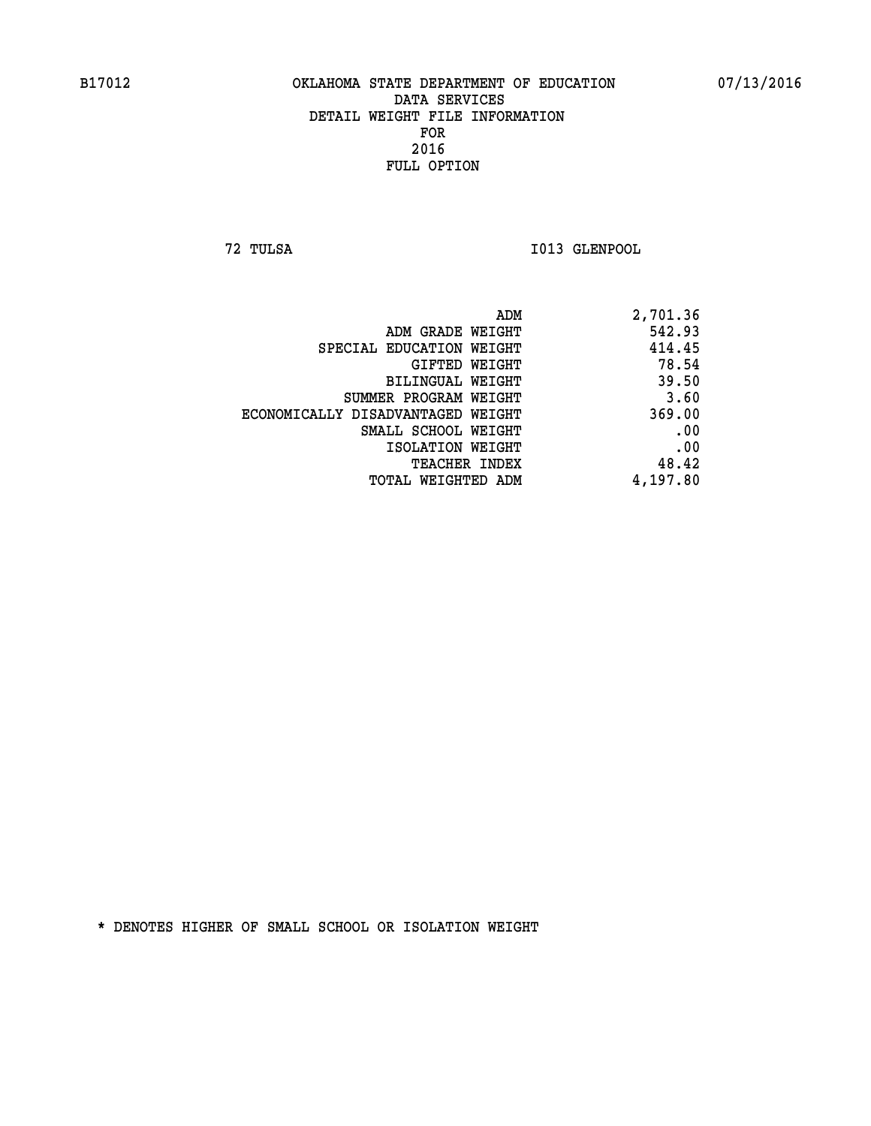**72 TULSA I013 GLENPOOL** 

| 2,701.36 |
|----------|
| 542.93   |
| 414.45   |
| 78.54    |
| 39.50    |
| 3.60     |
| 369.00   |
| .00      |
| .00      |
| 48.42    |
| 4,197.80 |
|          |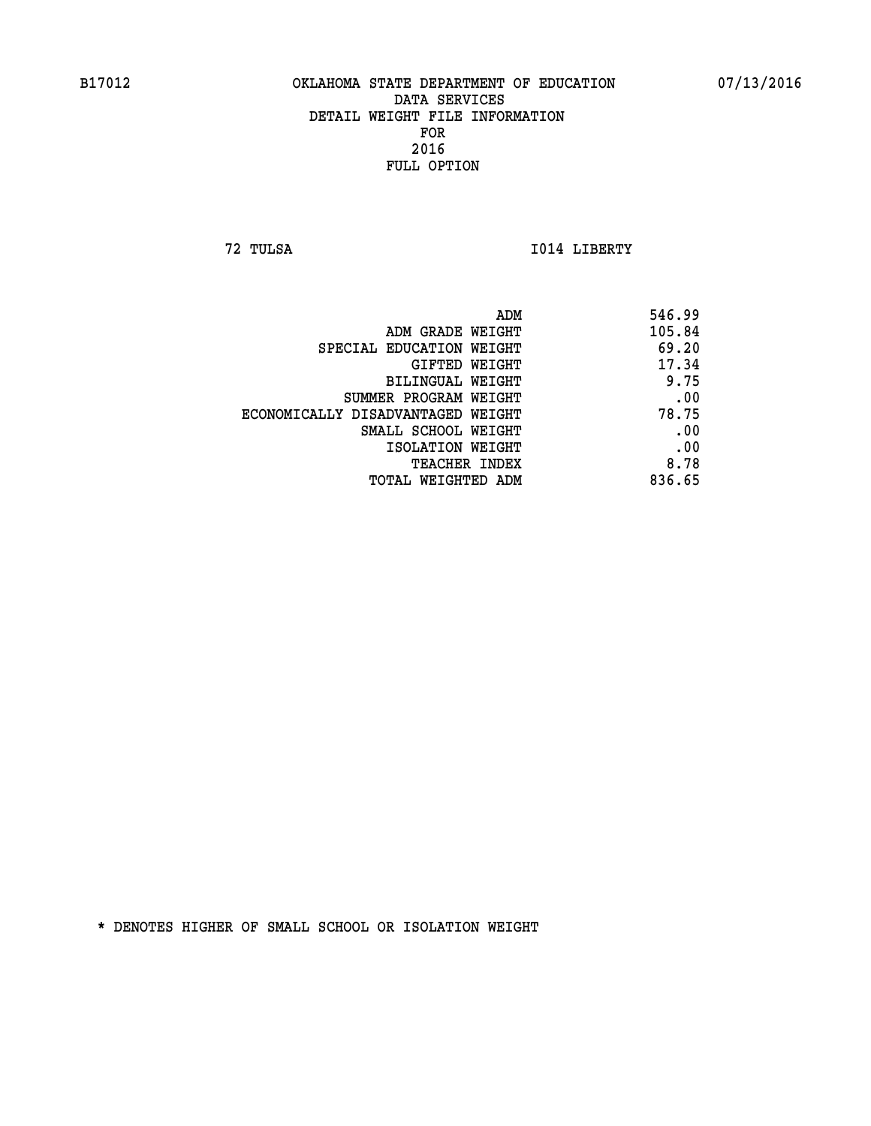**72 TULSA I014 LIBERTY** 

|                                   | 546.99<br>ADM |  |
|-----------------------------------|---------------|--|
| ADM GRADE WEIGHT                  | 105.84        |  |
| SPECIAL EDUCATION WEIGHT          | 69.20         |  |
| GIFTED WEIGHT                     | 17.34         |  |
| BILINGUAL WEIGHT                  | 9.75          |  |
| SUMMER PROGRAM WEIGHT             | .00           |  |
| ECONOMICALLY DISADVANTAGED WEIGHT | 78.75         |  |
| SMALL SCHOOL WEIGHT               | .00           |  |
| ISOLATION WEIGHT                  | .00           |  |
| TEACHER INDEX                     | 8.78          |  |
| TOTAL WEIGHTED ADM                | 836.65        |  |
|                                   |               |  |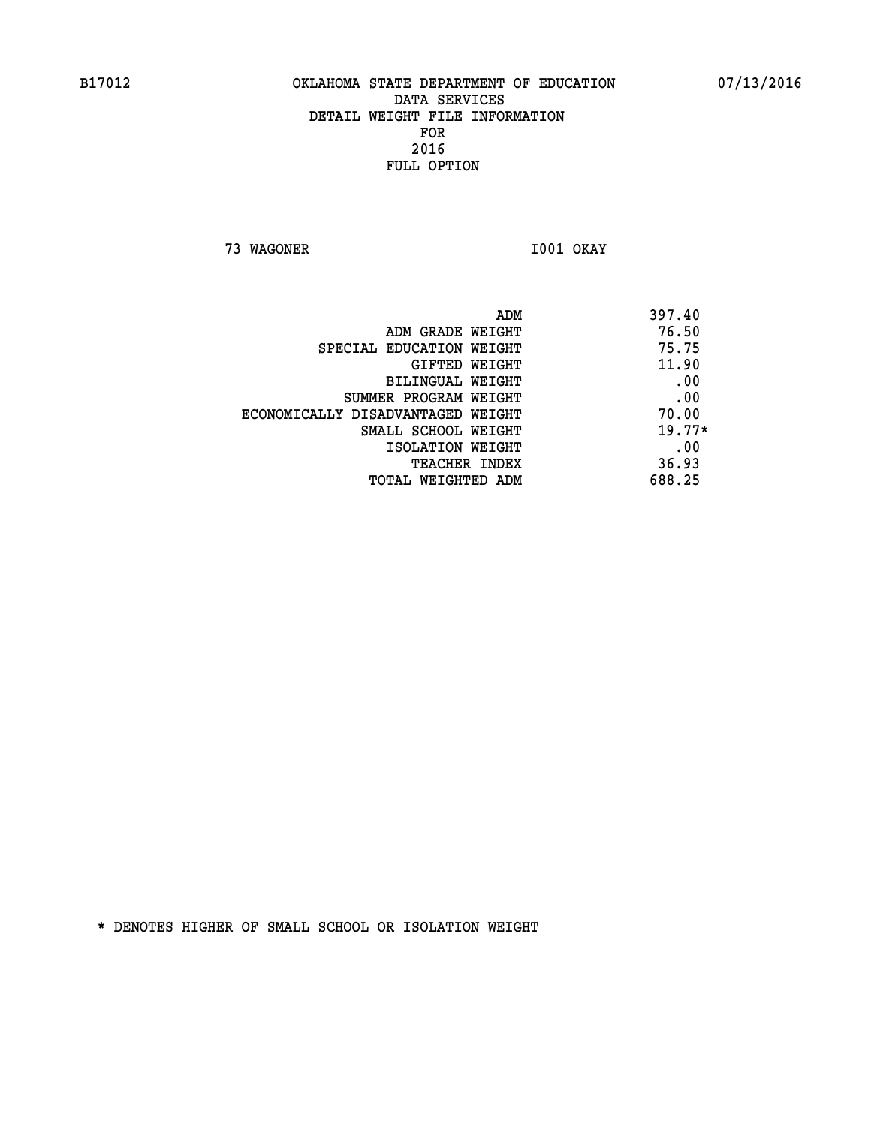**73 WAGONER I001 OKAY** 

| 397.40   |
|----------|
| 76.50    |
| 75.75    |
| 11.90    |
| .00      |
| .00      |
| 70.00    |
| $19.77*$ |
| .00      |
| 36.93    |
| 688.25   |
|          |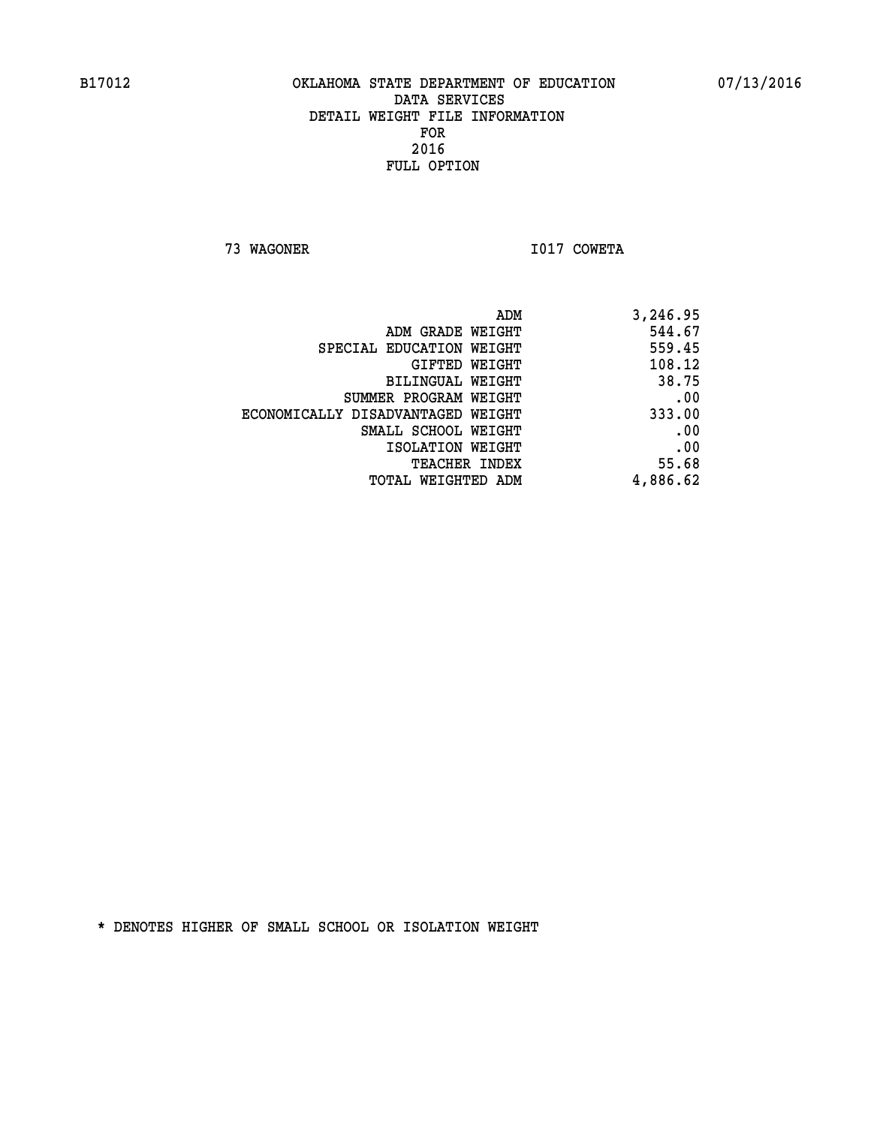**73 WAGONER I017 COWETA** 

| 3,246.95 |
|----------|
| 544.67   |
| 559.45   |
| 108.12   |
| 38.75    |
| .00      |
| 333.00   |
| .00      |
| .00      |
| 55.68    |
| 4,886.62 |
|          |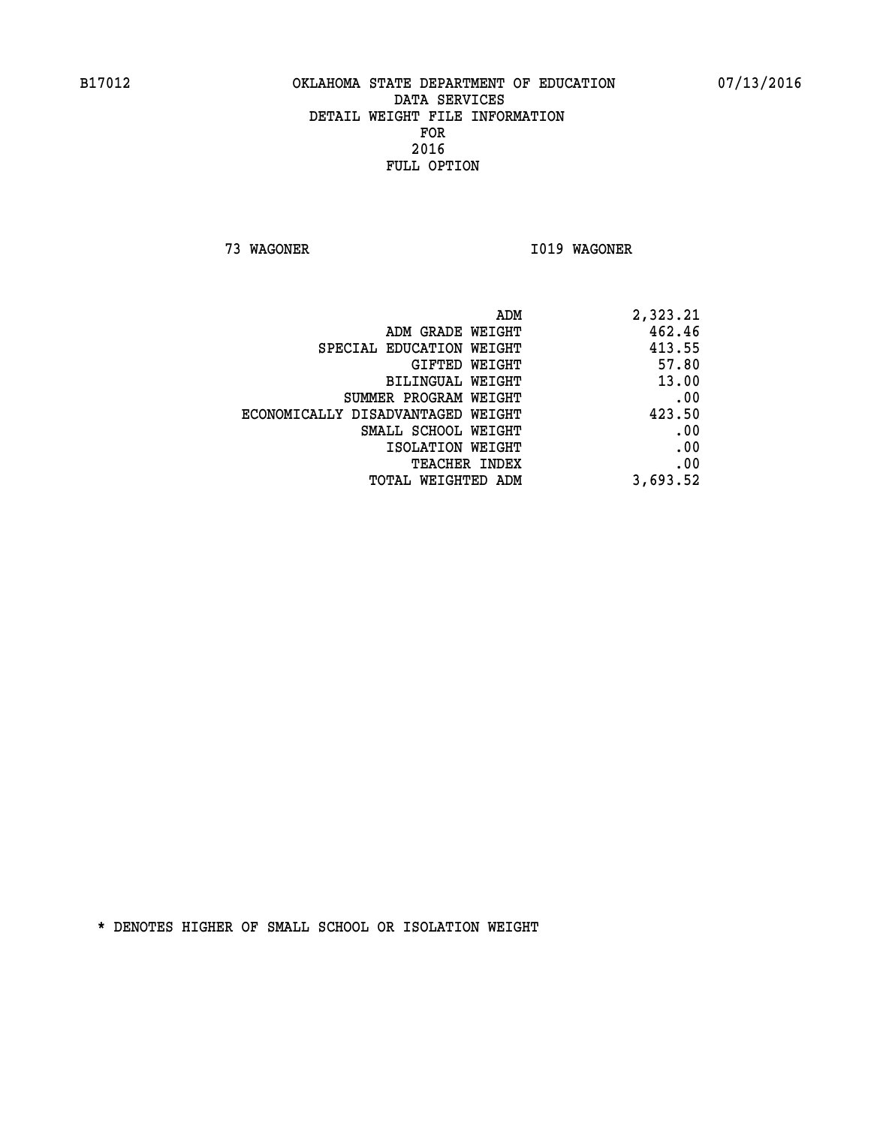**73 WAGONER I019 WAGONER** 

| ADM                               | 2,323.21 |
|-----------------------------------|----------|
| ADM GRADE WEIGHT                  | 462.46   |
| SPECIAL EDUCATION WEIGHT          | 413.55   |
| GIFTED WEIGHT                     | 57.80    |
| BILINGUAL WEIGHT                  | 13.00    |
| SUMMER PROGRAM WEIGHT             | .00      |
| ECONOMICALLY DISADVANTAGED WEIGHT | 423.50   |
| SMALL SCHOOL WEIGHT               | .00      |
| ISOLATION WEIGHT                  | .00      |
| <b>TEACHER INDEX</b>              | .00      |
| <b>TOTAL WEIGHTED ADM</b>         | 3,693.52 |
|                                   |          |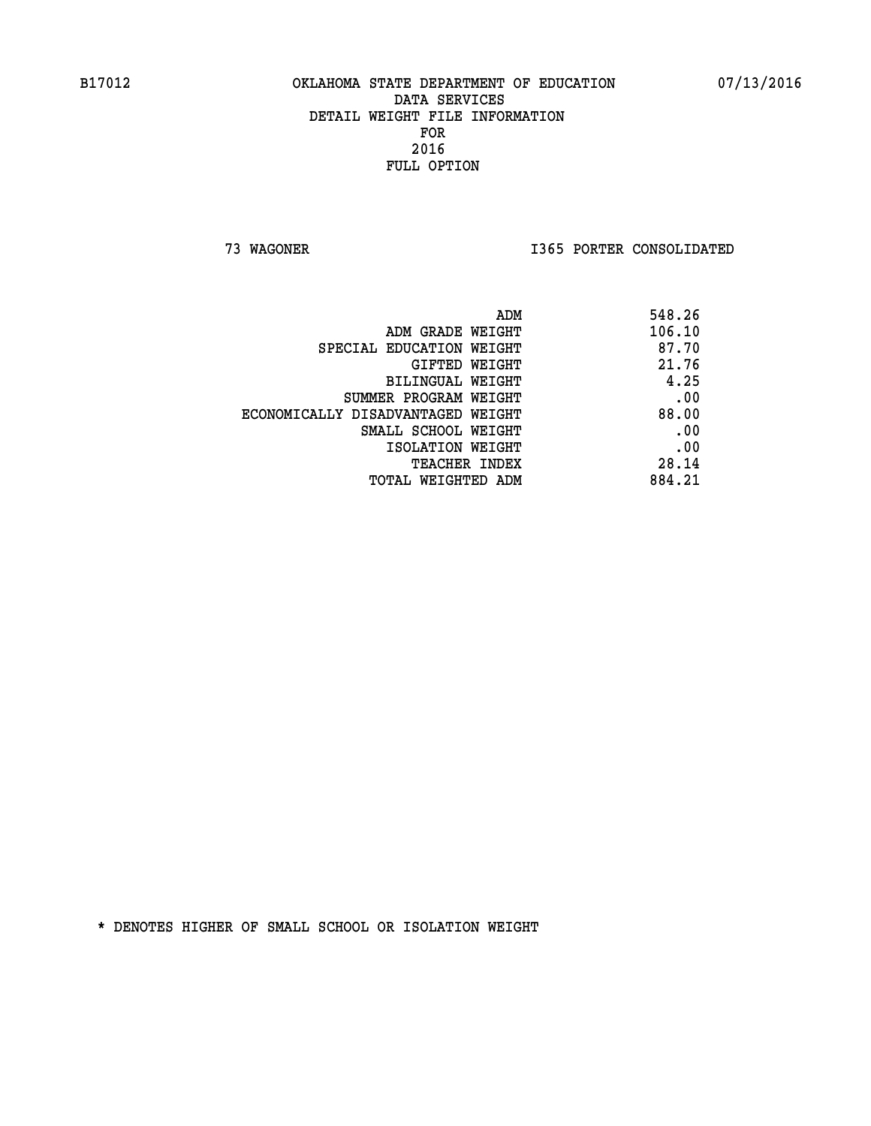**73 WAGONER I365 PORTER CONSOLIDATED** 

|                                   | 548.26<br>ADM |
|-----------------------------------|---------------|
| ADM GRADE WEIGHT                  | 106.10        |
| SPECIAL EDUCATION WEIGHT          | 87.70         |
| GIFTED WEIGHT                     | 21.76         |
| BILINGUAL WEIGHT                  | 4.25          |
| SUMMER PROGRAM WEIGHT             | .00           |
| ECONOMICALLY DISADVANTAGED WEIGHT | 88.00         |
| SMALL SCHOOL WEIGHT               | .00           |
| ISOLATION WEIGHT                  | .00           |
| <b>TEACHER INDEX</b>              | 28.14         |
| TOTAL WEIGHTED ADM                | 884.21        |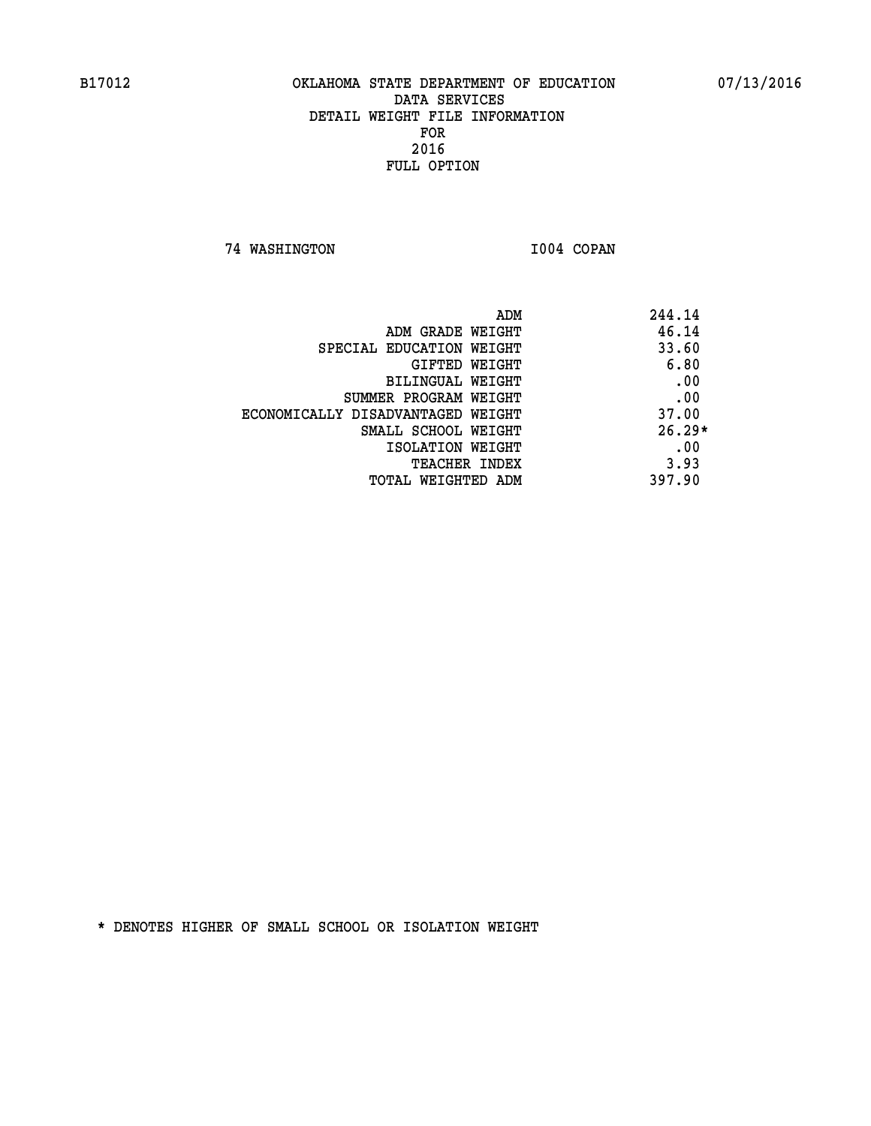**74 WASHINGTON I004 COPAN** 

| ADM                               | 244.14   |
|-----------------------------------|----------|
| ADM GRADE WEIGHT                  | 46.14    |
| SPECIAL EDUCATION WEIGHT          | 33.60    |
| GIFTED WEIGHT                     | 6.80     |
| BILINGUAL WEIGHT                  | .00      |
| SUMMER PROGRAM WEIGHT             | .00      |
| ECONOMICALLY DISADVANTAGED WEIGHT | 37.00    |
| SMALL SCHOOL WEIGHT               | $26.29*$ |
| ISOLATION WEIGHT                  | .00      |
| <b>TEACHER INDEX</b>              | 3.93     |
| TOTAL WEIGHTED ADM                | 397.90   |
|                                   |          |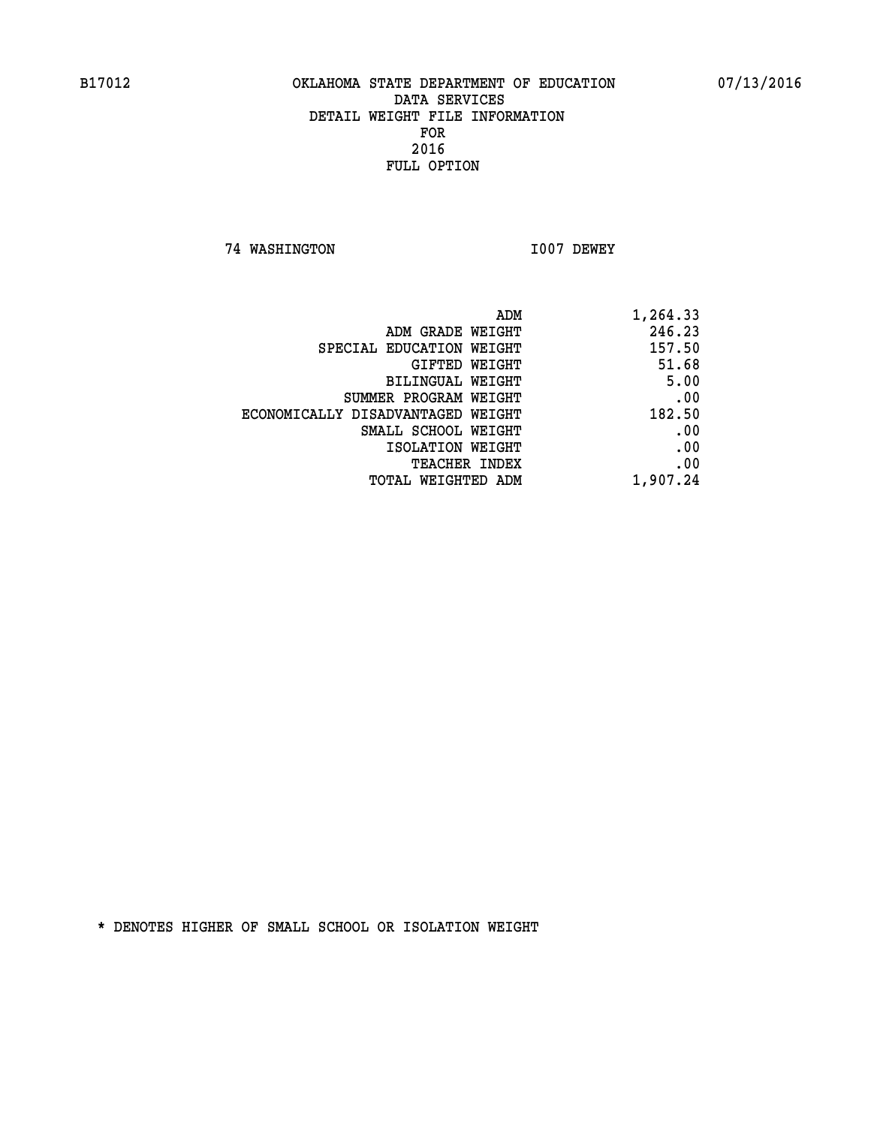**74 WASHINGTON I007 DEWEY** 

| ADM<br>1,264.33                             |  |
|---------------------------------------------|--|
| 246.23<br>ADM GRADE WEIGHT                  |  |
| 157.50<br>SPECIAL EDUCATION WEIGHT          |  |
| 51.68<br>GIFTED WEIGHT                      |  |
| 5.00<br>BILINGUAL WEIGHT                    |  |
| .00<br>SUMMER PROGRAM WEIGHT                |  |
| 182.50<br>ECONOMICALLY DISADVANTAGED WEIGHT |  |
| .00<br>SMALL SCHOOL WEIGHT                  |  |
| .00<br>ISOLATION WEIGHT                     |  |
| .00<br><b>TEACHER INDEX</b>                 |  |
| 1,907.24<br><b>TOTAL WEIGHTED ADM</b>       |  |
|                                             |  |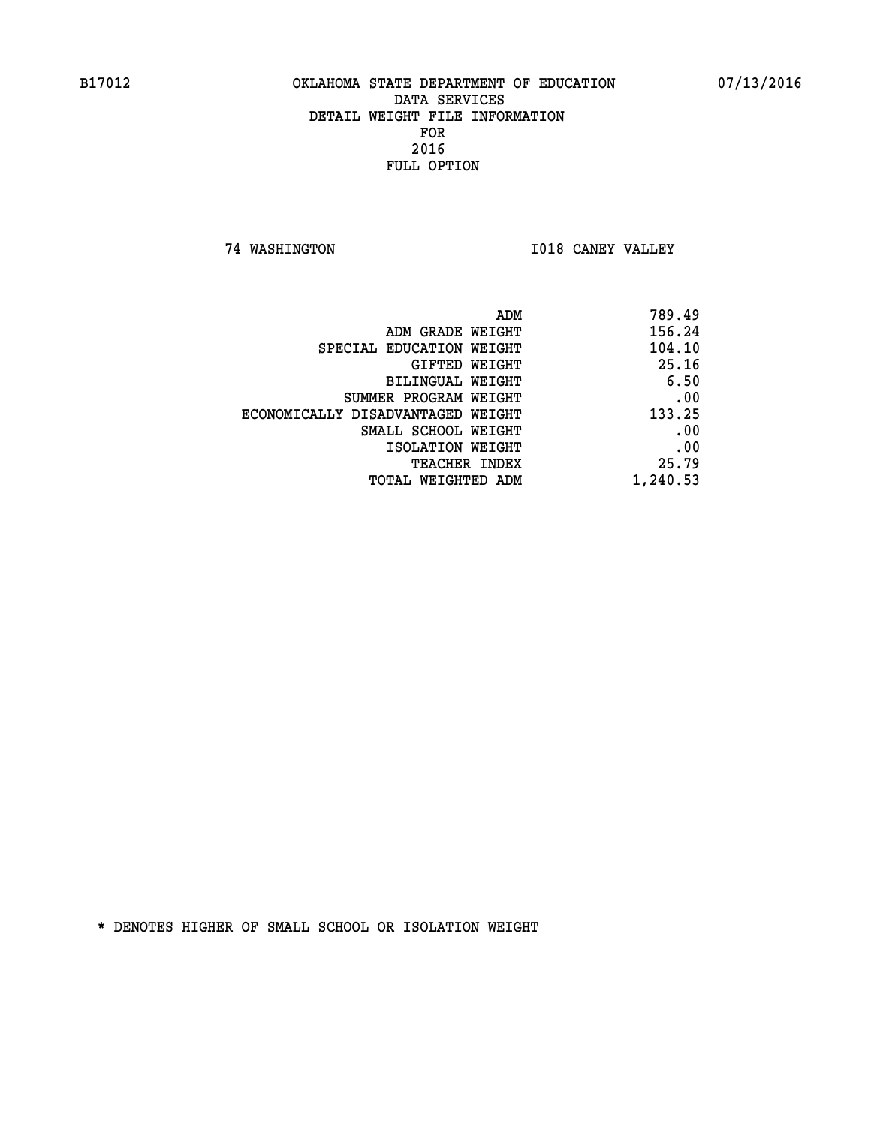**74 WASHINGTON I018 CANEY VALLEY** 

| ADM                               | 789.49   |
|-----------------------------------|----------|
| ADM GRADE WEIGHT                  | 156.24   |
| SPECIAL EDUCATION WEIGHT          | 104.10   |
| GIFTED WEIGHT                     | 25.16    |
| BILINGUAL WEIGHT                  | 6.50     |
| SUMMER PROGRAM WEIGHT             | .00      |
| ECONOMICALLY DISADVANTAGED WEIGHT | 133.25   |
| SMALL SCHOOL WEIGHT               | .00      |
| ISOLATION WEIGHT                  | .00      |
| TEACHER INDEX                     | 25.79    |
| TOTAL WEIGHTED ADM                | 1,240.53 |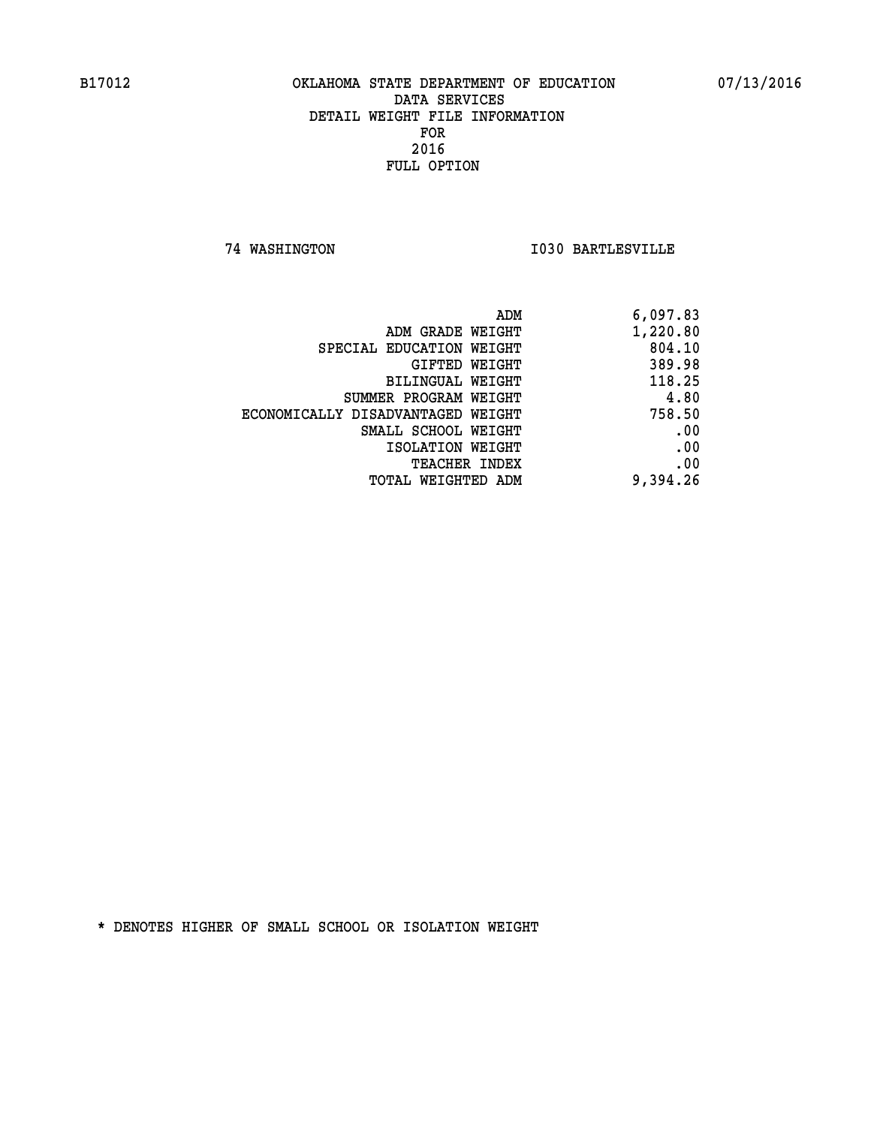**74 WASHINGTON I030 BARTLESVILLE** 

| 6,097.83 |
|----------|
| 1,220.80 |
| 804.10   |
| 389.98   |
| 118.25   |
| 4.80     |
| 758.50   |
| .00      |
| .00      |
| .00      |
| 9,394.26 |
|          |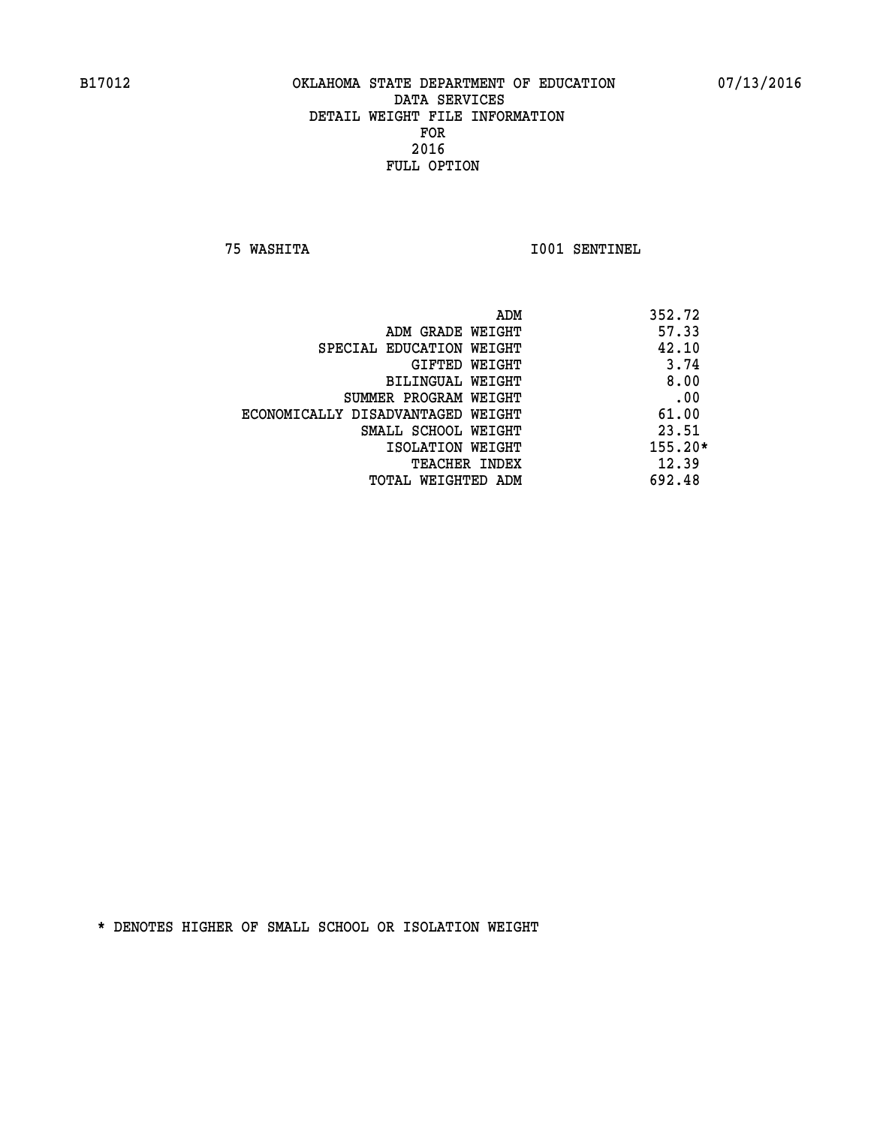**75 WASHITA I001 SENTINEL** 

|                                   | ADM | 352.72    |
|-----------------------------------|-----|-----------|
| ADM GRADE WEIGHT                  |     | 57.33     |
| SPECIAL EDUCATION WEIGHT          |     | 42.10     |
| GIFTED WEIGHT                     |     | 3.74      |
| BILINGUAL WEIGHT                  |     | 8.00      |
| SUMMER PROGRAM WEIGHT             |     | .00       |
| ECONOMICALLY DISADVANTAGED WEIGHT |     | 61.00     |
| SMALL SCHOOL WEIGHT               |     | 23.51     |
| ISOLATION WEIGHT                  |     | $155.20*$ |
| <b>TEACHER INDEX</b>              |     | 12.39     |
| TOTAL WEIGHTED ADM                |     | 692.48    |
|                                   |     |           |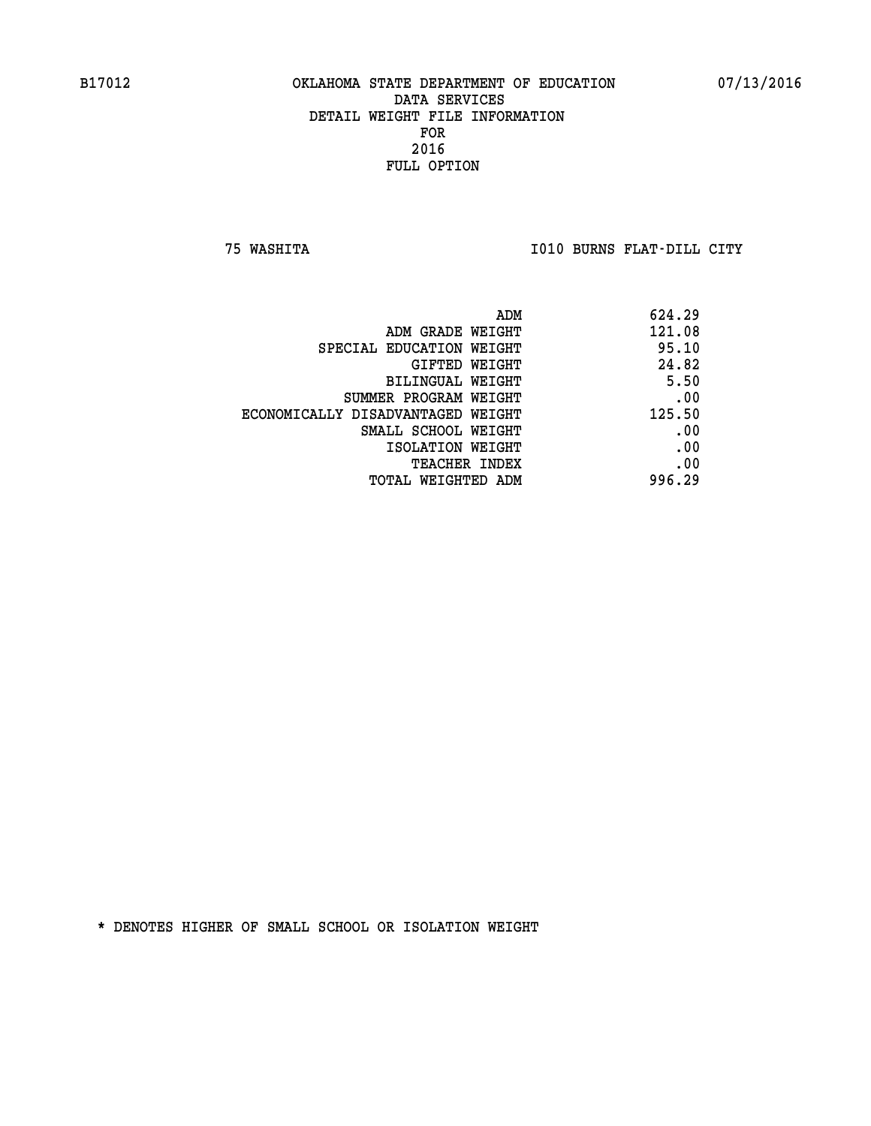**75 WASHITA I010 BURNS FLAT-DILL CITY** 

| 624.29<br>ADM                               |
|---------------------------------------------|
| 121.08<br>ADM GRADE WEIGHT                  |
| 95.10<br>SPECIAL EDUCATION WEIGHT           |
| 24.82<br>GIFTED WEIGHT                      |
| 5.50<br>BILINGUAL WEIGHT                    |
| .00<br>SUMMER PROGRAM WEIGHT                |
| 125.50<br>ECONOMICALLY DISADVANTAGED WEIGHT |
| .00<br>SMALL SCHOOL WEIGHT                  |
| .00<br>ISOLATION WEIGHT                     |
| .00<br><b>TEACHER INDEX</b>                 |
| 996.29<br>TOTAL WEIGHTED ADM                |
|                                             |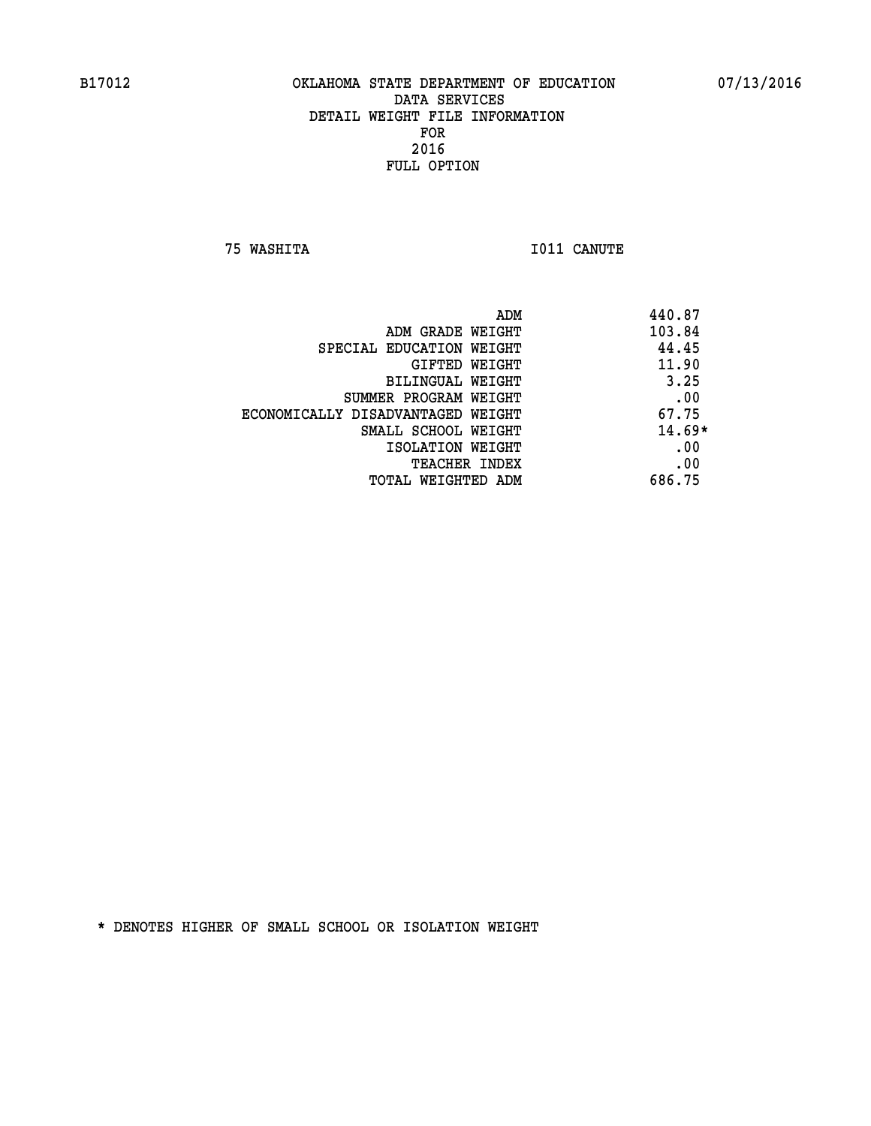**75 WASHITA I011 CANUTE** 

| ADM                               | 440.87   |
|-----------------------------------|----------|
| ADM GRADE WEIGHT                  | 103.84   |
| SPECIAL EDUCATION WEIGHT          | 44.45    |
| GIFTED WEIGHT                     | 11.90    |
| BILINGUAL WEIGHT                  | 3.25     |
| SUMMER PROGRAM WEIGHT             | .00      |
| ECONOMICALLY DISADVANTAGED WEIGHT | 67.75    |
| SMALL SCHOOL WEIGHT               | $14.69*$ |
| ISOLATION WEIGHT                  | .00      |
| <b>TEACHER INDEX</b>              | .00      |
| TOTAL WEIGHTED ADM                | 686.75   |
|                                   |          |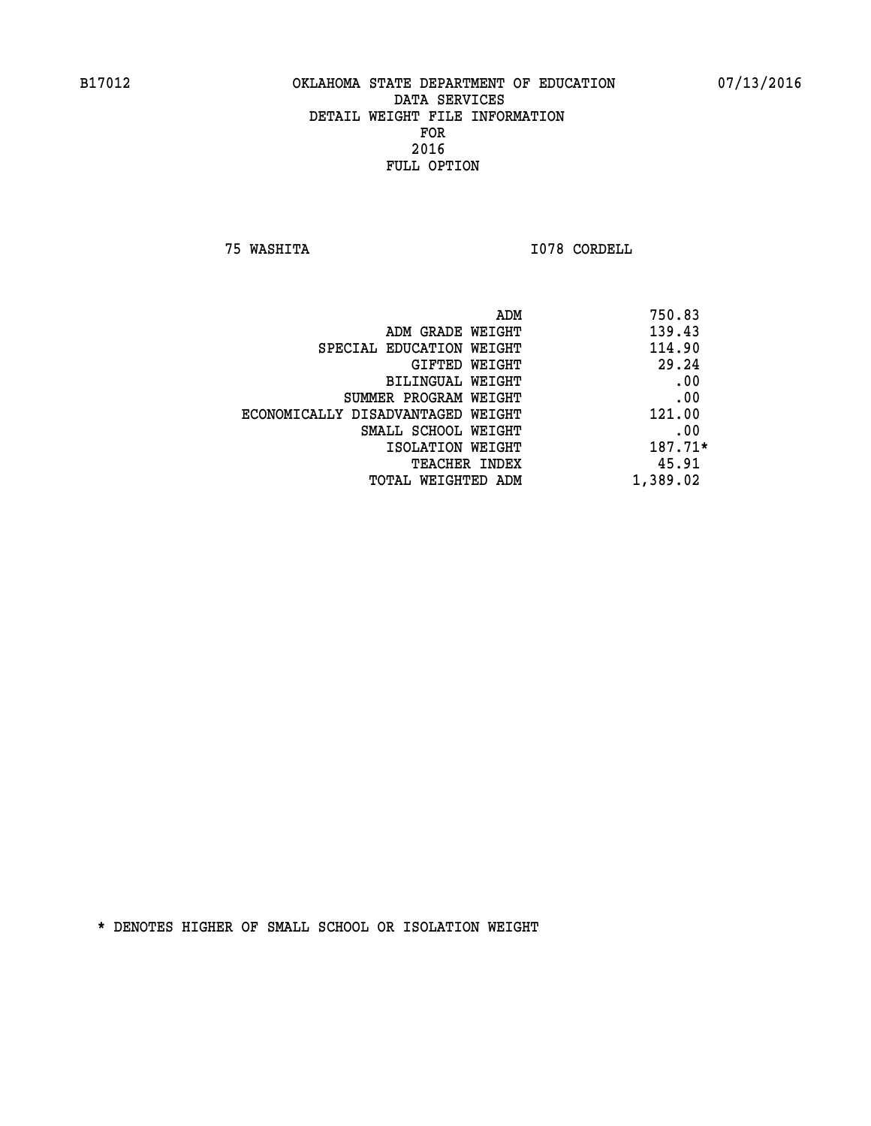**75 WASHITA I078 CORDELL** 

| ADM<br>750.83 |                                   |
|---------------|-----------------------------------|
| 139.43        | ADM GRADE WEIGHT                  |
| 114.90        | SPECIAL EDUCATION WEIGHT          |
| 29.24         | GIFTED WEIGHT                     |
| .00           | BILINGUAL WEIGHT                  |
| .00           | SUMMER PROGRAM WEIGHT             |
| 121.00        | ECONOMICALLY DISADVANTAGED WEIGHT |
| .00           | SMALL SCHOOL WEIGHT               |
| 187.71*       | ISOLATION WEIGHT                  |
| 45.91         | <b>TEACHER INDEX</b>              |
| 1,389.02      | TOTAL WEIGHTED ADM                |
|               |                                   |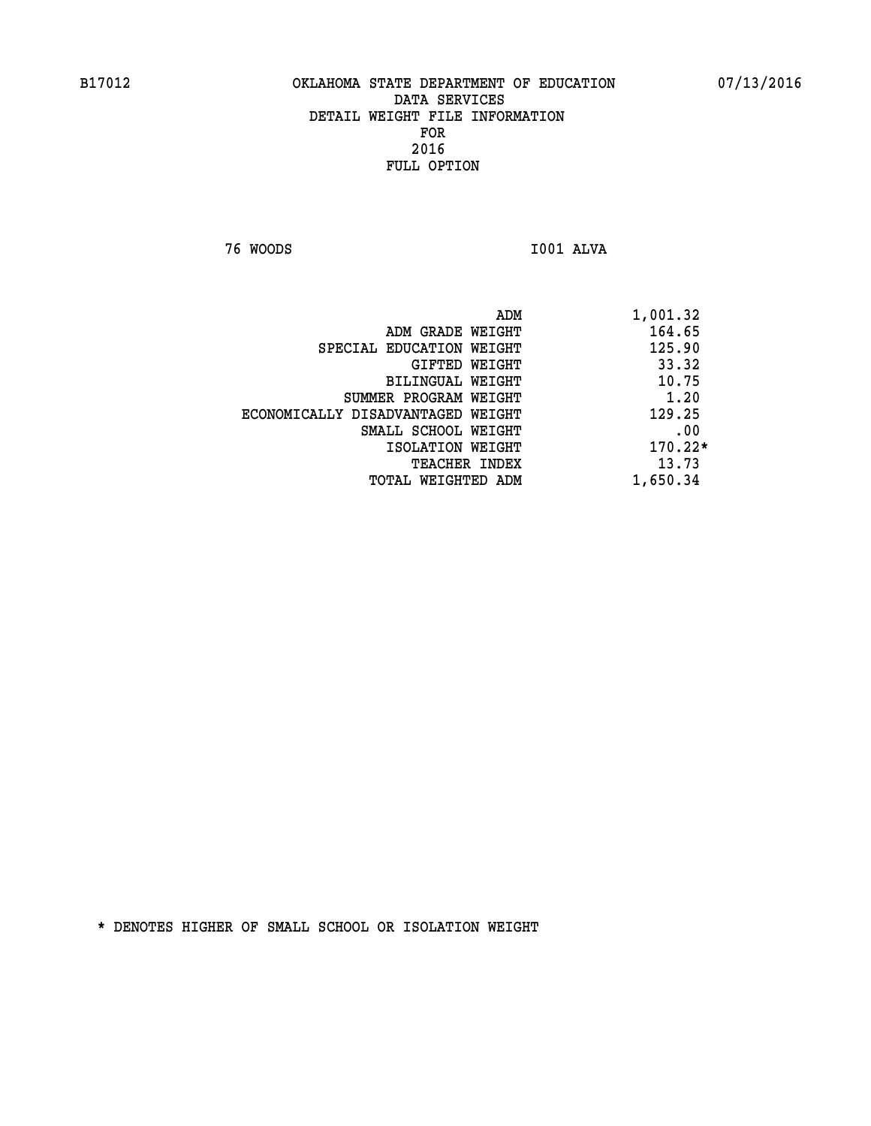**76 WOODS I001 ALVA** 

|                                   | ADM | 1,001.32  |
|-----------------------------------|-----|-----------|
| ADM GRADE WEIGHT                  |     | 164.65    |
| SPECIAL EDUCATION WEIGHT          |     | 125.90    |
| GIFTED WEIGHT                     |     | 33.32     |
| BILINGUAL WEIGHT                  |     | 10.75     |
| SUMMER PROGRAM WEIGHT             |     | 1.20      |
| ECONOMICALLY DISADVANTAGED WEIGHT |     | 129.25    |
| SMALL SCHOOL WEIGHT               |     | .00       |
| ISOLATION WEIGHT                  |     | $170.22*$ |
| TEACHER INDEX                     |     | 13.73     |
| TOTAL WEIGHTED ADM                |     | 1,650.34  |
|                                   |     |           |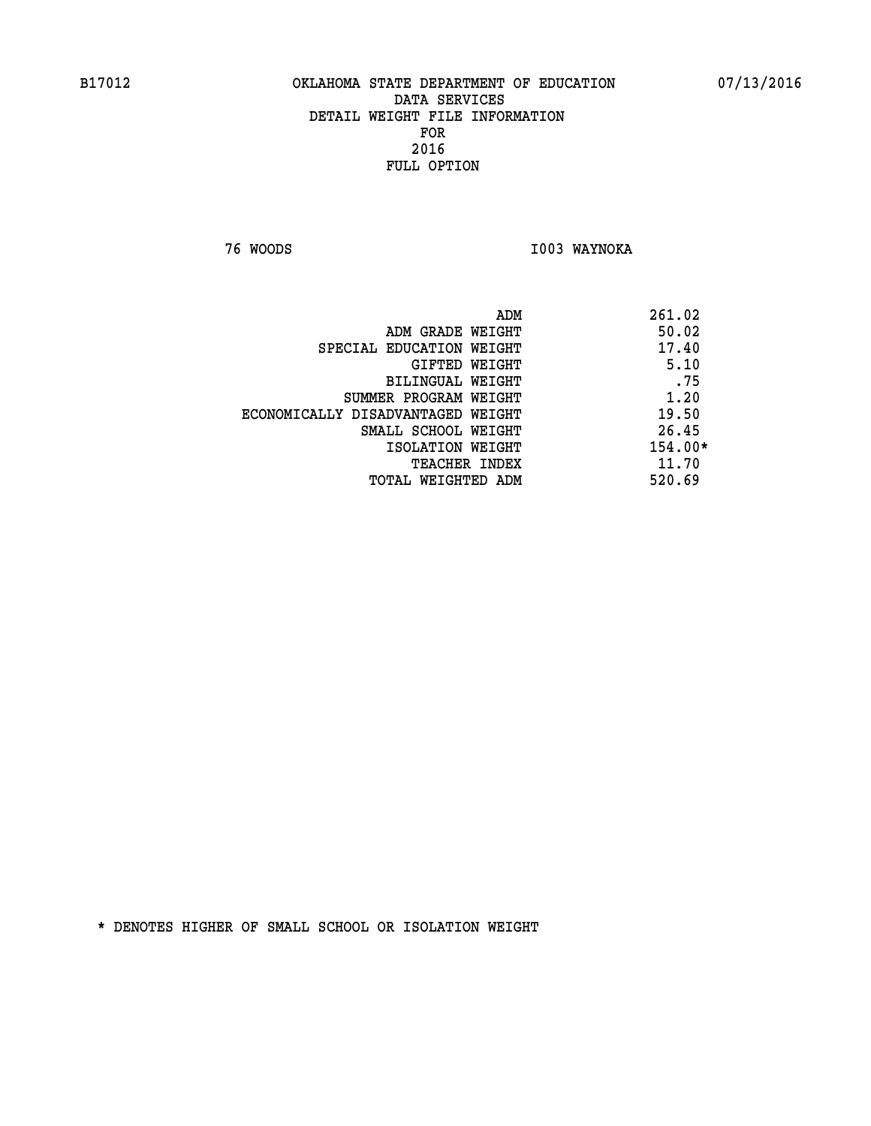**76 WOODS I003 WAYNOKA** 

|                                   | ADM | 261.02    |
|-----------------------------------|-----|-----------|
| ADM GRADE WEIGHT                  |     | 50.02     |
| SPECIAL EDUCATION WEIGHT          |     | 17.40     |
| GIFTED WEIGHT                     |     | 5.10      |
| BILINGUAL WEIGHT                  |     | .75       |
| SUMMER PROGRAM WEIGHT             |     | 1.20      |
| ECONOMICALLY DISADVANTAGED WEIGHT |     | 19.50     |
| SMALL SCHOOL WEIGHT               |     | 26.45     |
| ISOLATION WEIGHT                  |     | $154.00*$ |
| TEACHER INDEX                     |     | 11.70     |
| TOTAL WEIGHTED ADM                |     | 520.69    |
|                                   |     |           |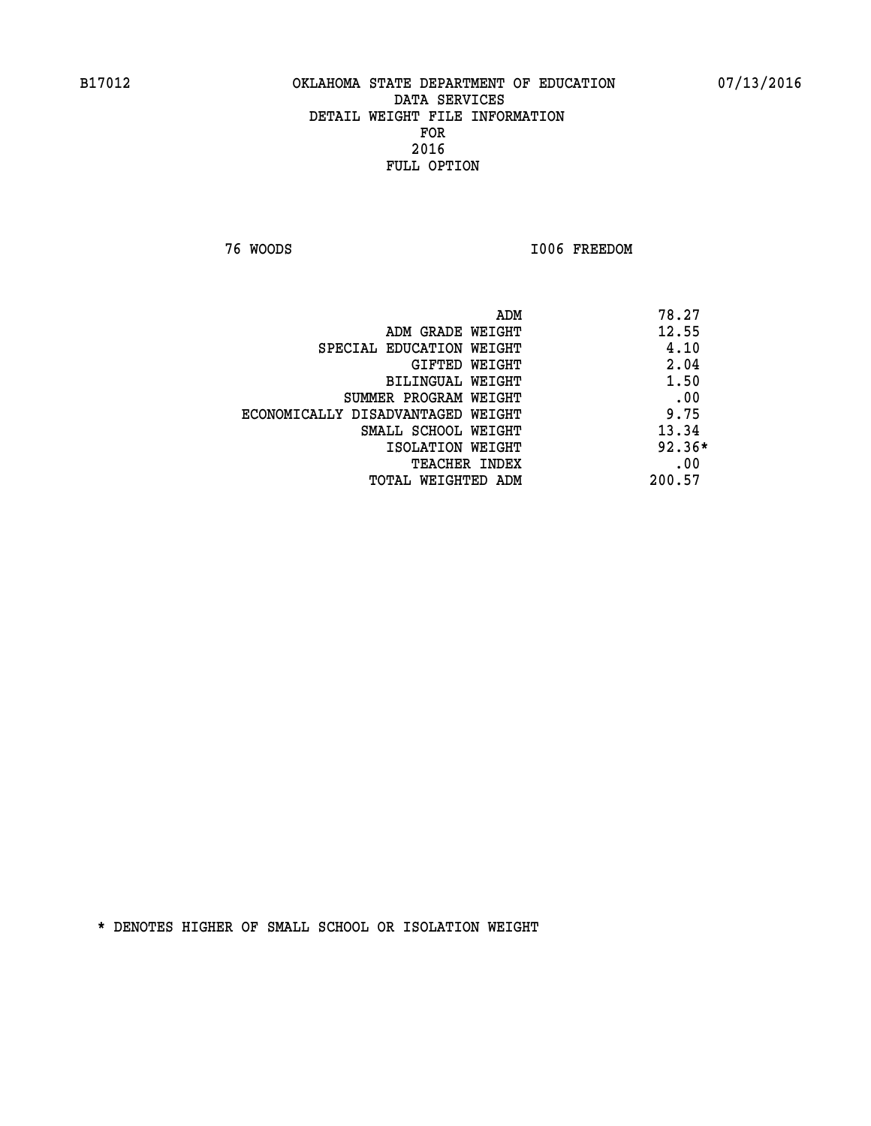**76 WOODS I006 FREEDOM** 

|                                   | ADM | 78.27    |
|-----------------------------------|-----|----------|
| ADM GRADE WEIGHT                  |     | 12.55    |
| SPECIAL EDUCATION WEIGHT          |     | 4.10     |
| <b>GIFTED WEIGHT</b>              |     | 2.04     |
| BILINGUAL WEIGHT                  |     | 1.50     |
| SUMMER PROGRAM WEIGHT             |     | .00      |
| ECONOMICALLY DISADVANTAGED WEIGHT |     | 9.75     |
| SMALL SCHOOL WEIGHT               |     | 13.34    |
| ISOLATION WEIGHT                  |     | $92.36*$ |
| TEACHER INDEX                     |     | .00      |
| TOTAL WEIGHTED ADM                |     | 200.57   |
|                                   |     |          |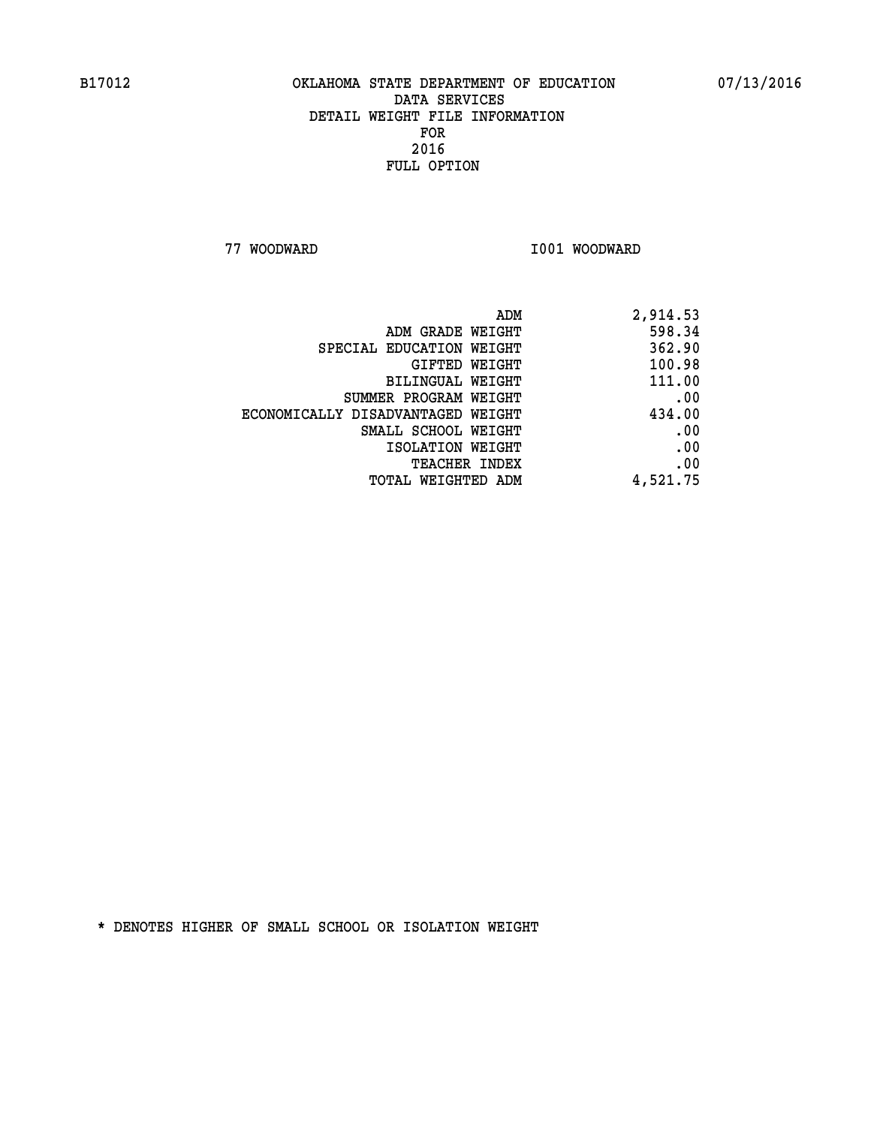**77 WOODWARD I001 WOODWARD** 

| ADM                               | 2,914.53 |
|-----------------------------------|----------|
| ADM GRADE WEIGHT                  | 598.34   |
| SPECIAL EDUCATION WEIGHT          | 362.90   |
| GIFTED WEIGHT                     | 100.98   |
| <b>BILINGUAL WEIGHT</b>           | 111.00   |
| SUMMER PROGRAM WEIGHT             | .00      |
| ECONOMICALLY DISADVANTAGED WEIGHT | 434.00   |
| SMALL SCHOOL WEIGHT               | .00      |
| ISOLATION WEIGHT                  | .00      |
| TEACHER INDEX                     | .00      |
| TOTAL WEIGHTED ADM                | 4,521.75 |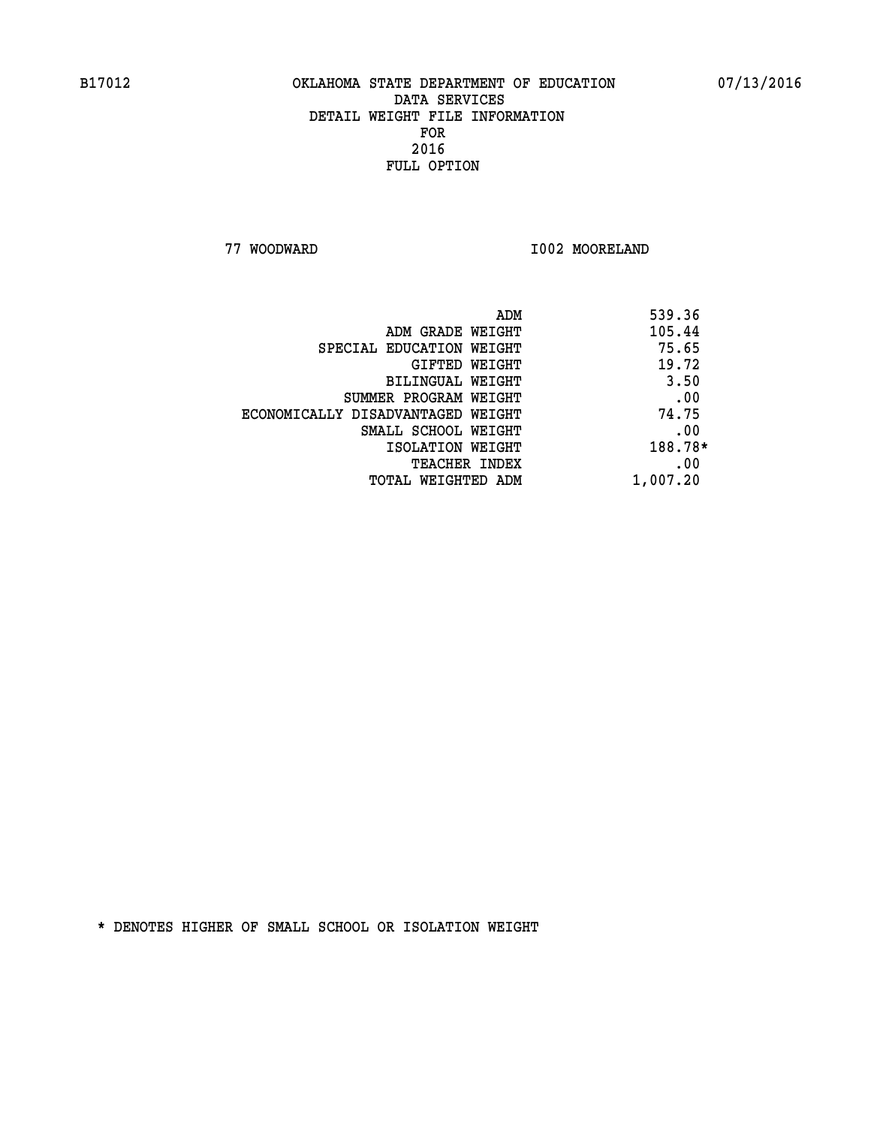**77 WOODWARD I002 MOORELAND** 

| 539.36<br>ADM |                                   |
|---------------|-----------------------------------|
| 105.44        | ADM GRADE WEIGHT                  |
| 75.65         | SPECIAL EDUCATION WEIGHT          |
| 19.72         | GIFTED WEIGHT                     |
| 3.50          | BILINGUAL WEIGHT                  |
| .00           | SUMMER PROGRAM WEIGHT             |
| 74.75         | ECONOMICALLY DISADVANTAGED WEIGHT |
| .00           | SMALL SCHOOL WEIGHT               |
| 188.78*       | ISOLATION WEIGHT                  |
| .00           | <b>TEACHER INDEX</b>              |
| 1,007.20      | TOTAL WEIGHTED ADM                |
|               |                                   |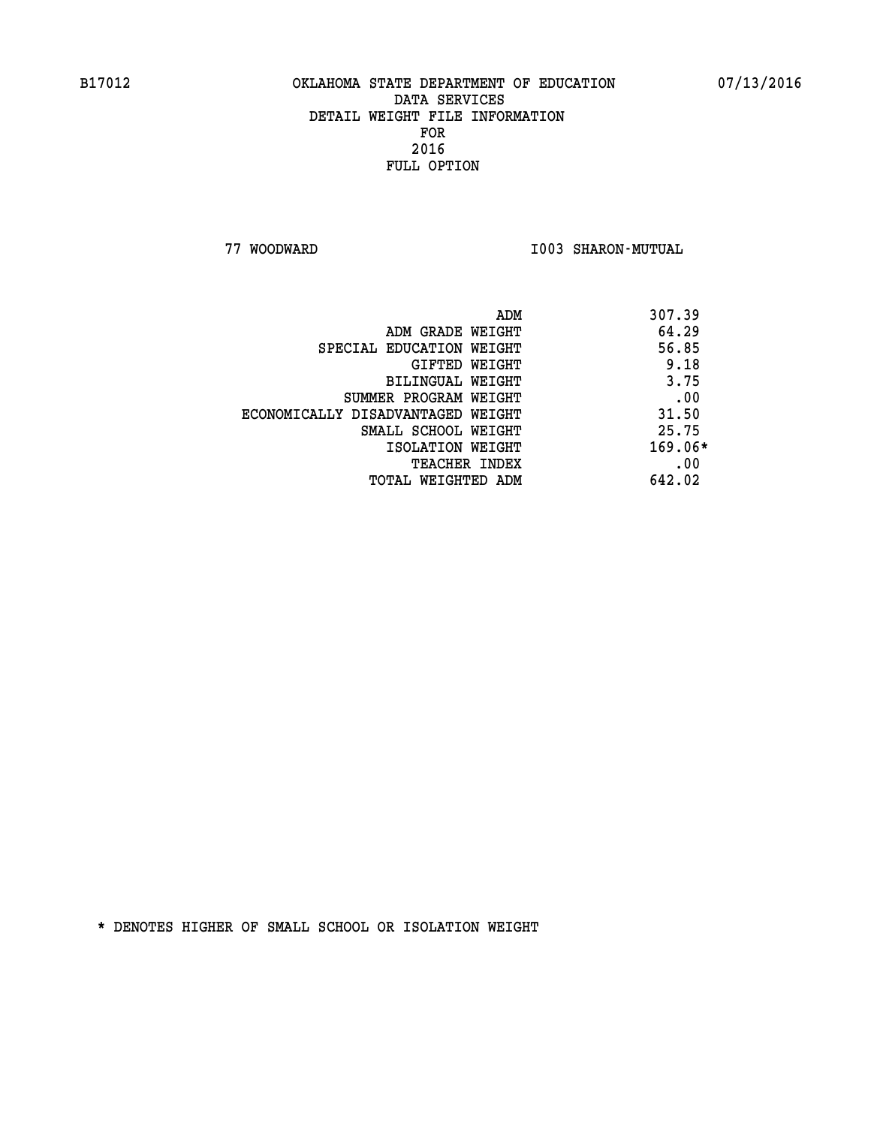**77 WOODWARD I003 SHARON-MUTUAL** 

|                                   | 307.39<br>ADM |
|-----------------------------------|---------------|
| ADM GRADE WEIGHT                  | 64.29         |
| SPECIAL EDUCATION WEIGHT          | 56.85         |
| GIFTED WEIGHT                     | 9.18          |
| BILINGUAL WEIGHT                  | 3.75          |
| SUMMER PROGRAM WEIGHT             | .00           |
| ECONOMICALLY DISADVANTAGED WEIGHT | 31.50         |
| SMALL SCHOOL WEIGHT               | 25.75         |
| ISOLATION WEIGHT                  | $169.06*$     |
| <b>TEACHER INDEX</b>              | .00           |
| TOTAL WEIGHTED ADM                | 642.02        |
|                                   |               |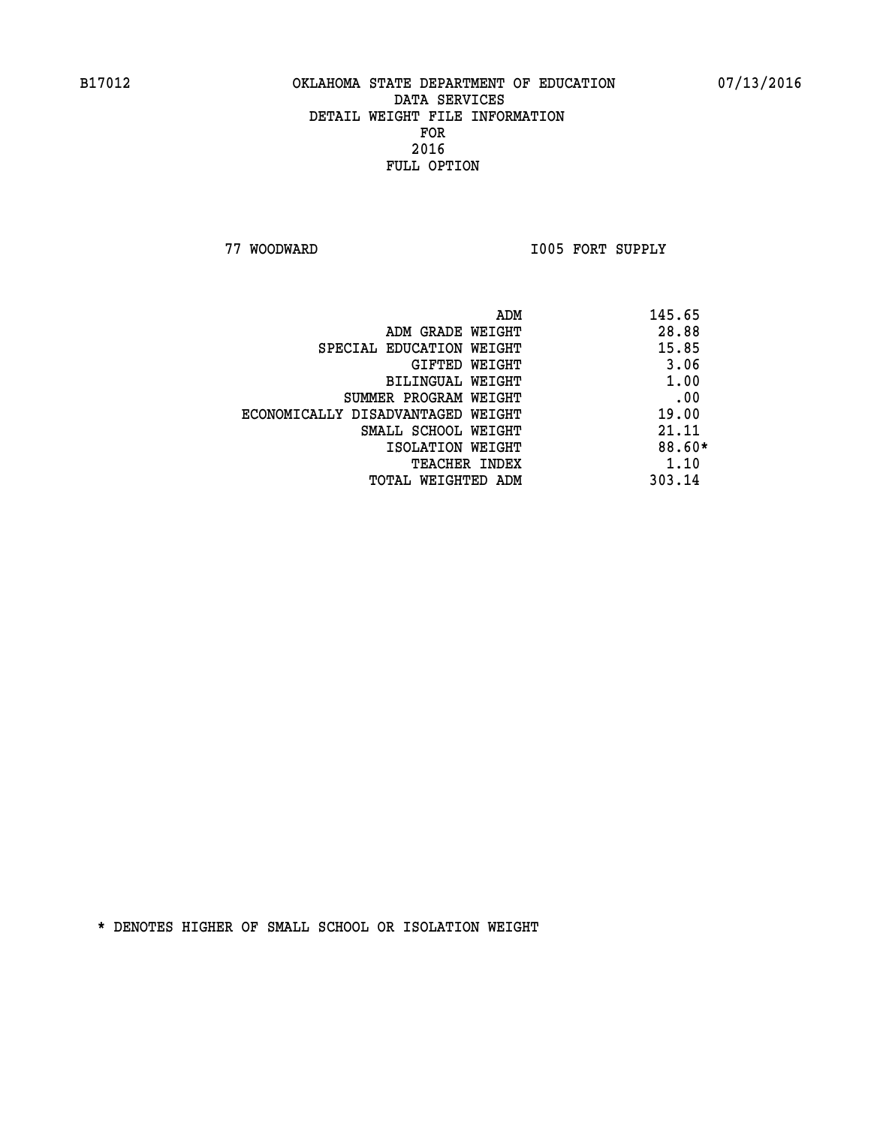**77 WOODWARD I005 FORT SUPPLY** 

|                                   | ADM | 145.65   |
|-----------------------------------|-----|----------|
| ADM GRADE WEIGHT                  |     | 28.88    |
| SPECIAL EDUCATION WEIGHT          |     | 15.85    |
| GIFTED WEIGHT                     |     | 3.06     |
| BILINGUAL WEIGHT                  |     | 1.00     |
| SUMMER PROGRAM WEIGHT             |     | .00      |
| ECONOMICALLY DISADVANTAGED WEIGHT |     | 19.00    |
| SMALL SCHOOL WEIGHT               |     | 21.11    |
| ISOLATION WEIGHT                  |     | $88.60*$ |
| TEACHER INDEX                     |     | 1.10     |
| TOTAL WEIGHTED ADM                |     | 303.14   |
|                                   |     |          |